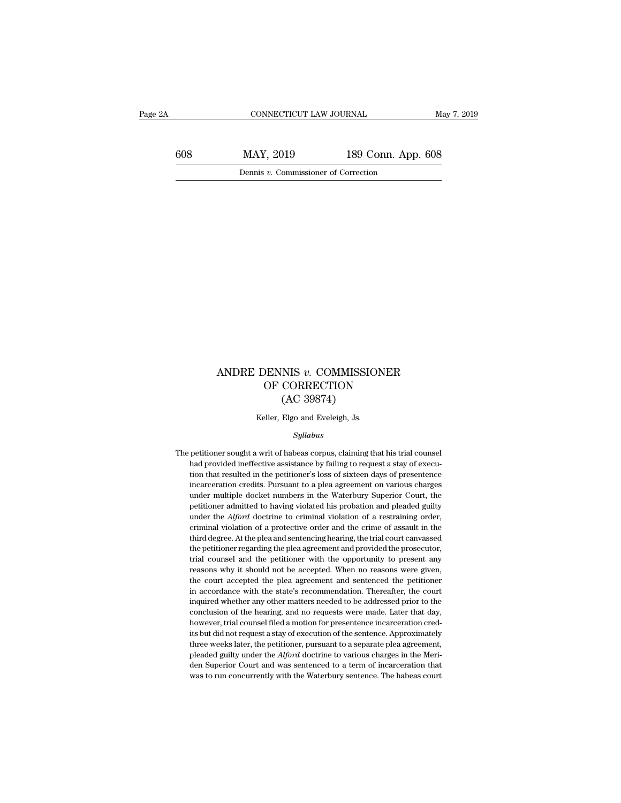CONNECTICUT LAW JOURNAL May 7, 2019<br>608 MAY, 2019 189 Conn. App. 608<br>Dennis v. Commissioner of Correction CONNECTICUT LAW JOURNAL<br>MAY, 2019 189 Conn. App<br>Dennis *v.* Commissioner of Correction

### ANDRE DENNIS *v*. COMMISSIONER<br>OF CORRECTION<br>(AC 30874) DENNIS  $v$ . COMMISSIONER<br>OF CORRECTION<br>(AC 39874) NIS v. COMMISSIC<br>CORRECTION<br>(AC 39874)<br>Elgo and Eveleigh, Js. ANDRE DENNIS  $v$ . COMMISSIONER<br>OF CORRECTION<br>(AC 39874)<br>Keller, Elgo and Eveleigh, Js.

### *Syllabus*

 ${\rm (AC~39874)}$  Keller, Elgo and Eveleigh, Js.<br>  $Syllabus$ <br>
The petitioner sought a writ of habeas corpus, claiming that his trial counsel<br>
had provided ineffective assistance by failing to request a stay of execu-Keller, Elgo and Eveleigh, Js.<br>
Syllabus<br>
petitioner sought a writ of habeas corpus, claiming that his trial counsel<br>
had provided ineffective assistance by failing to request a stay of execu-<br>
ition that resulted in the p Keller, Elgo and Eveleigh, Js.<br>
Syllabus<br>
petitioner sought a writ of habeas corpus, claiming that his trial counsel<br>
had provided ineffective assistance by failing to request a stay of execu-<br>
tion that resulted in the pe  $Syllabus$ <br>petitioner sought a writ of habeas corpus, claiming that his trial counsel<br>had provided ineffective assistance by failing to request a stay of execu-<br>tion that resulted in the petitioner's loss of sixteen days of pr syllabus<br>petitioner sought a writ of habeas corpus, claiming that his trial counsel<br>had provided ineffective assistance by failing to request a stay of execu-<br>tion that resulted in the petitioner's loss of sixteen days of petitioner sought a writ of habeas corpus, claiming that his trial counsel<br>had provided ineffective assistance by failing to request a stay of execu-<br>tion that resulted in the petitioner's loss of sixteen days of presente pear and provided ineffective assistance by failing to request a stay of execution that resulted in the petitioner's loss of sixteen days of presentence incarceration credits. Pursuant to a plea agreement on various charge tion that resulted in the petitioner's loss of sixteen days of presentence incarceration credits. Pursuant to a plea agreement on various charges under multiple docket numbers in the Waterbury Superior Court, the petition incarceration credits. Pursuant to a plea agreement on various charges under multiple docket numbers in the Waterbury Superior Court, the petitioner admitted to having violated his probation and pleaded guilty under the under multiple docket numbers in the Waterbury Superior Court, the petitioner admitted to having violated his probation and pleaded guilty under the  $Alford$  doctrine to criminal violation of a restraining order, criminal vio petitioner admitted to having violated his probation and pleaded guilty under the  $Alford$  doctrine to criminal violation of a restraining order, criminal violation of a protective order and the crime of assault in the third under the  $Alford$  doctrine to criminal violation of a restraining order,<br>criminal violation of a protective order and the crime of assault in the<br>third degree. At the plea and sentencing hearing, the trial court can<br>vassed t criminal violation of a protective order and the crime of assault in the third degree. At the plea and sentencing hearing, the trial court canvassed the petitioner regarding the plea agreement and provided the prosecutor, third degree. At the plea and sentencing hearing, the trial court canvassed the petitioner regarding the plea agreement and provided the prosecutor, trial counsel and the petitioner with the opportunity to present any reas the petitioner regarding the plea agreement and provided the prosecutor, trial counsel and the petitioner with the opportunity to present any reasons why it should not be accepted. When no reasons were given, the court acc real counsel and the petitioner with the opportunity to present any reasons why it should not be accepted. When no reasons were given, the court accepted the plea agreement and sentenced the petitioner in accordance with t reasons why it should not be accepted. When no reasons were given, the court accepted the plea agreement and sentenced the petitioner in accordance with the state's recommendation. Thereafter, the court inquired whether an its but did not request a stay of execution. Thereafter, the court accepted the plea agreement and sentenced the petitioner in accordance with the state's recommendation. Thereafter, the court inquired whether any other ma the court accepted the plea agreement and sentenced the petitioner in accordance with the state's recommendation. Thereafter, the court inquired whether any other matters needed to be addressed prior to the conclusion of inquired whether any other matters needed to be addressed prior to the conclusion of the hearing, and no requests were made. Later that day, however, trial counsel filed a motion for presentence incarceration credits but d conclusion of the hearing, and no requests were made. Later that day, however, trial counsel filed a motion for presentence incarceration cred-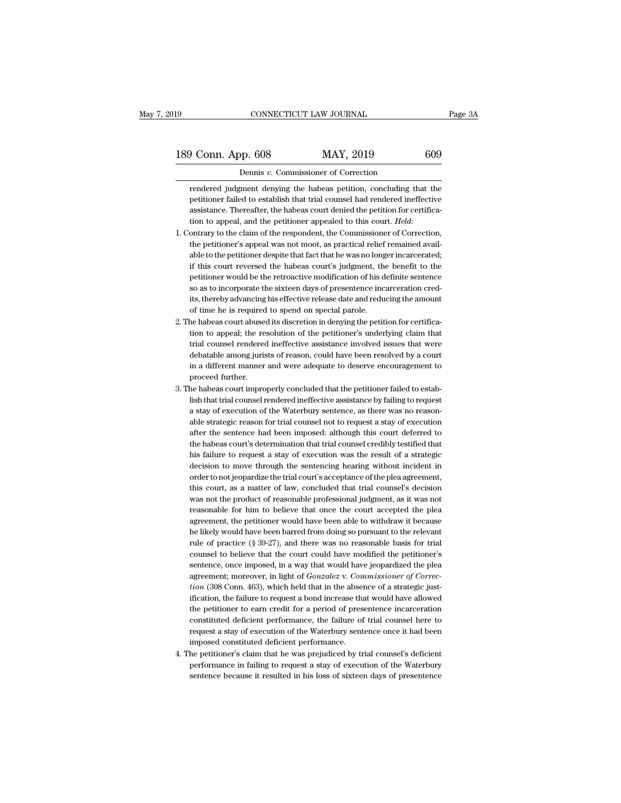# 189 CONNECTICUT LAW JOURNAL Page 3A<br>
189 Conn. App. 608 MAY, 2019 609<br>
Dennis v. Commissioner of Correction

CONNECTICUT LAW JOURNAL<br>DP. 608 MAY, 2019<br>Dennis *v*. Commissioner of Correction<br>gment denying the habeas petition, concluding th of Conn. App. 608 MAY, 2019 609<br>
Dennis v. Commissioner of Correction<br>
Fendered judgment denying the habeas petition, concluding that the<br>
petitioner failed to establish that trial counsel had rendered ineffective of Conneign Conneign Commissioner of Correction<br>
Dennis v. Commissioner of Correction<br>
Fendered judgment denying the habeas petition, concluding that the<br>
petitioner failed to establish that trial counsel had rendered inef **assumptuate 19 CONNET CONS**<br> **assumptuates** Dennis v. Commissioner of Correction<br> **Exerce 19 CONNET ASSES** relation, concluding that the petitioner failed to establish that trial counsel had rendered ineffective<br>
assista **Example 12** Dennis *v*. Commissioner of Correction<br>
rendered judgment denying the habeas petition, concluding that the<br>
petitioner failed to establish that trial counsel had rendered ineffective<br>
assistance. Thereafter, t rendered judgment denying the habeas petition, concluding that the petitioner failed to establish that trial counsel had rendered ineffective assistance. Thereafter, the habeas court denied the petition for certification t

- petitioner failed to establish that trial counsel had rendered ineffective<br>assistance. Thereafter, the habeas court denied the petition for certifica-<br>tion to appeal, and the petitioner appealed to this court. Held:<br>ontrar assistance. Thereafter, the habeas court denied the petition for certification to appeal, and the petitioner appealed to this court. *Held*: ontrary to the claim of the respondent, the Commissioner of Correction, the petit tion to appeal, and the petitioner appealed to this court. *Held*:<br>ontrary to the claim of the respondent, the Commissioner of Correction,<br>the petitioner's appeal was not moot, as practical relief remained avail-<br>able to t ontrary to the claim of the respondent, the Commissioner of Correction,<br>the petitioner's appeal was not moot, as practical relief remained available to the petitioner despite that fact that he was no longer incarcerated;<br>i the petitioner's appeal was not moot, as practical relief remained available to the petitioner despite that fact that he was no longer incarcerated; if this court reversed the habeas court's judgment, the benefit to the pe able to the petitioner despite that fact that he was no long<br>if this court reversed the habeas court's judgment, the<br>petitioner would be the retroactive modification of his d<br>so as to incorporate the sixteen days of presen if this court reversed the habeas court's judgment, the benefit to the petitioner would be the retroactive modification of his definite sentence so as to incorporate the sixteen days of presentence incarceration credits, t petitioner would be the retroactive modification of his definite sentence<br>so as to incorporate the sixteen days of presentence incarceration cred-<br>its, thereby advancing his effective release date and reducing the amount<br>o
- so as to incorporate the sixteen days of presentence incarceration credits, thereby advancing his effective release date and reducing the amount of time he is required to spend on special parole.<br>he habeas court abused its its, thereby advancing his effective release date and reducing the amount<br>of time he is required to spend on special parole.<br>he habeas court abused its discretion in denying the petition for certifica-<br>tion to appeal; the of time he is required to spend on special parole.<br>he habeas court abused its discretion in denying the petition for certifica-<br>tion to appeal; the resolution of the petitioner's underlying claim that<br>trial counsel rendere the habeas court abuse<br>tion to appeal; the re<br>trial counsel rendered<br>debatable among juris<br>in a different manner<br>proceed further.<br>he habeas court impro tion to appeal; the resolution of the petitioner's underlying claim that<br>trial counsel rendered ineffective assistance involved issues that were<br>debatable among jurists of reason, could have been resolved by a court<br>in a d trial counsel rendered ineffective assistance involved issues that were<br>debatable among jurists of reason, could have been resolved by a court<br>in a different manner and were adequate to deserve encouragement to<br>proceed fur
- debatable among jurists of reason, could have been resolved by a court<br>in a different manner and were adequate to deserve encouragement to<br>proceed further.<br>he habeas court improperly concluded that the petitioner failed to in a different manner and were adequate to deserve encouragement to<br>proceed further.<br>he habeas court improperly concluded that the petitioner failed to estab-<br>lish that trial counsel rendered ineffective assistance by fail proceed further.<br>he habeas court improperly concluded that the petitioner failed to estab-<br>lish that trial counsel rendered ineffective assistance by failing to request<br>a stay of execution of the Waterbury sentence, as the he habeas court improperly concluded that the petitioner failed to establish that trial counsel rendered ineffective assistance by failing to request a stay of execution of the Waterbury sentence, as there was no reasonabl lish that trial counsel rendered ineffective assistance by failing to request<br>a stay of execution of the Waterbury sentence, as there was no reason-<br>able strategic reason for trial counsel not to request a stay of executio a stay of execution of the Waterbury sentence, as there was no reason-<br>able strategic reason for trial counsel not to request a stay of execution<br>after the sentence had been imposed: although this court deferred to<br>the hab able strategic reason for trial counsel not to request a stay of execution<br>after the sentence had been imposed: although this court deferred to<br>the habeas court's determination that trial counsel credibly testified that<br>hi after the sentence had been imposed: although this court deferred to<br>the habeas court's determination that trial counsel credibly testified that<br>his failure to request a stay of execution was the result of a strategic<br>deci the habeas court's determination that trial counsel credibly testified that<br>his failure to request a stay of execution was the result of a strategic<br>decision to move through the sentencing hearing without incident in<br>order his failure to request a stay of execution was the result of a strategic<br>decision to move through the sentencing hearing without incident in<br>order to not jeopardize the trial court's acceptance of the plea agreement,<br>this decision to move through the sentencing hearing without incident in order to not jeopardize the trial court's acceptance of the plea agreement, this court, as a matter of law, concluded that trial counsel's decision was no order to not jeopardize the trial court's acceptance of the plea agreement,<br>this court, as a matter of law, concluded that trial counsel's decision<br>was not the product of reasonable professional judgment, as it was not<br>rea this court, as a matter of law, concluded that trial counsel's decision<br>was not the product of reasonable professional judgment, as it was not<br>reasonable for him to believe that once the court accepted the plea<br>agreement, was not the product of reasonable professional judgment, as it was not<br>reasonable for him to believe that once the court accepted the plea<br>agreement, the petitioner would have been able to withdraw it because<br>he likely wou reasonable for him to believe that once the court accepted the plea<br>agreement, the petitioner would have been able to withdraw it because<br>he likely would have been barred from doing so pursuant to the relevant<br>rule of prac agreement, the petitioner would have been able to withdraw it because<br>he likely would have been barred from doing so pursuant to the relevant<br>rule of practice (§ 39-27), and there was no reasonable basis for trial<br>counsel *the likely would have been barred from doing so pursuant to the relevant rule of practice (§ 39-27), and there was no reasonable basis for trial counsel to believe that the court could have modified the petitioner's sente* rule of practice (§ 39-27), and there was no reasonable basis for trial<br>counsel to believe that the court could have modified the petitioner's<br>sentence, once imposed, in a way that would have jeopardized the plea<br>agreemen counsel to believe that the court could have modified the petitioner's<br>sentence, once imposed, in a way that would have jeopardized the plea<br>agreement; moreover, in light of *Gonzalez* v. *Commissioner of Correc-<br>tion* (30 sentence, once imposed, in a way that would have jeopardized the plea<br>agreement; moreover, in light of *Gonzalez v. Commissioner of Correc-*<br>*tion* (308 Conn. 463), which held that in the absence of a strategic just-<br>ifica agreement; moreover, in light of *Gonzalez* v. *Commissioner of Correction* (308 Conn. 463), which held that in the absence of a strategic justification, the failure to request a bond increase that would have allowed the p *tion* (308 Conn. 463), which held that in the abseinction, the failure to request a bond increase the petitioner to earn credit for a period of presconstituted deficient performance, the failure of request a stay of execu ification, the failure to request a bond increase that would have allowed<br>the petitioner to earn credit for a period of presentence incarceration<br>constituted deficient performance, the failure of trial counsel here to<br>requ the petitioner to earn credit for a period of presentence incarceration<br>constituted deficient performance, the failure of trial counsel here to<br>request a stay of execution of the Waterbury sentence once it had been<br>imposed constituted deficient performance, the failure of trial counsel here to request a stay of execution of the Waterbury sentence once it had been imposed constituted deficient performance.<br>4. The petitioner's claim that he wa
-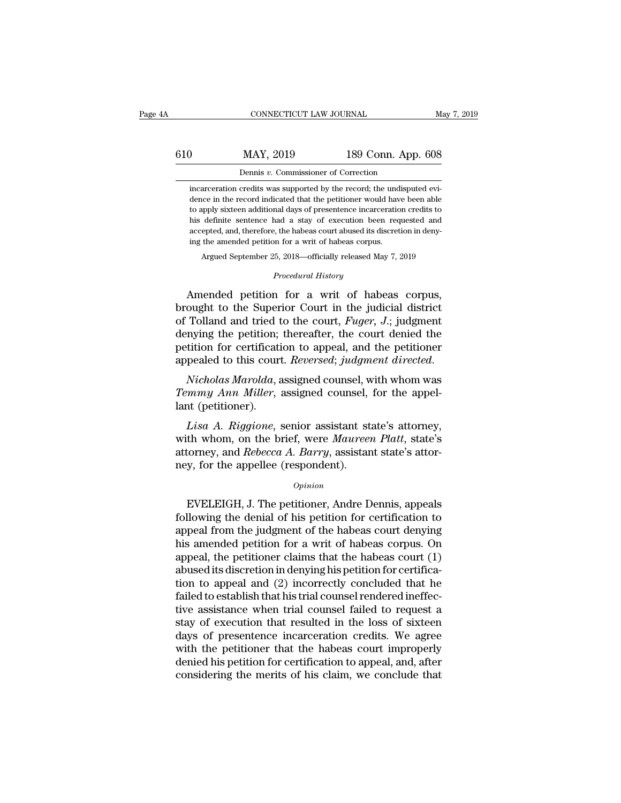## CONNECTICUT LAW JOURNAL May 7, 2019<br>610 MAY, 2019 189 Conn. App. 608<br>Dennis v. Commissioner of Correction CONNECTICUT LAW JOURNAL<br>MAY, 2019 189 Conn. App<br>Dennis *v*. Commissioner of Correction<br>credits was supported by the record; the undisput

MAY, 2019 189 Conn. App. 608<br>
Dennis v. Commissioner of Correction<br>
incarceration credits was supported by the record; the undisputed evi-<br>
dence in the record indicated that the petitioner would have been able MAY, 2019 189 Conn. App. 608<br>Dennis v. Commissioner of Correction<br>incarceration credits was supported by the record; the undisputed evi-<br>dence in the record indicated that the petitioner would have been able<br>to apply sixte MAY, 2019 189 Conn. App. 608<br>Dennis v. Commissioner of Correction<br>incarceration credits was supported by the record; the undisputed evi-<br>dence in the record indicated that the petitioner would have been able<br>to apply sixte his definite sentence had a stay of execution incarceration credits was supported by the record; the undisputed evidence in the record indicated that the petitioner would have been able to apply sixteen additional days of Dennis  $v$ . Commissioner of Correction<br>incarceration credits was supported by the record; the undisputed evi-<br>dence in the record indicated that the petitioner would have been able<br>to apply sixteen additional days of pres incarceration credits was supported by the record; the und<br>dence in the record indicated that the petitioner would hav<br>to apply sixteen additional days of presentence incarceratio<br>his definite sentence had a stay of execut ice in the record indicated that the petitioner would have been able<br>apply sixteen additional days of presentence incarceration credits to<br>definite sentence had a stay of execution been requested and<br>epted, and, therefore, read a stay of execution been<br> *Procedural History*<br> *Procedural History*<br> **Procedural History**<br> **Procedural History** to apply sixteen additional days or presentence incarceration credits to<br>his definite sentence had a stay of execution been requested and<br>accepted, and, therefore, the habeas court abused its discretion in deny-<br>ing the a

accepted, and, therefore, the habeas court abused its discretion in denying the amended petition for a writ of habeas corpus.<br>Argued September 25, 2018—officially released May 7, 2019<br>*Procedural History*<br>Amended petition ing the amended petition for a writ of habeas corpus.<br>Argued September 25, 2018—officially released May 7, 2019<br>*Procedural History*<br>Amended petition for a writ of habeas corpus,<br>brought to the Superior Court in the judici Argued September 25, 2018—officially released May 7, 2019<br> *Procedural History*<br> **Amended petition for a writ of habeas corpus,**<br>
brought to the Superior Court in the judicial district<br>
of Tolland and tried to the court, *Procedural History*<br>Amended petition for a writ of habeas corpus,<br>brought to the Superior Court in the judicial district<br>of Tolland and tried to the court, *Fuger*, *J*.; judgment<br>denying the petition; thereafter, the cou Froceaura History<br>brought to the Superior Court in the judicial district<br>of Tolland and tried to the court, *Fuger*, *J.*; judgment<br>denying the petition; thereafter, the court denied the<br>petition for certification to appea *Temmy Ann Miller,* assigned counsel, for the appel-<br>appel-band and tried to the court, *Fuger*, *J*.; judgment<br>denying the petition; thereafter, the court denied the<br>petition for certification to appeal, and the petitione or ronal and tried denying the petition;<br>petition for certification;<br>appealed to this cournappealed to this cournappealed to this cournappealed to this courn<br>many Ann Miller, land (petitioner).<br>Lisa A. Riggione, s

*Lisa A. Riggione, senior assistant state's attorney and Rehecta A. Riggione, senior assistant state's attorney, th whom was mmy Ann Miller, assigned counsel, for the appel-<br><i>Lisa A. Riggione, senior assistant state's atto* 

appealed to this court. *Reversed*; *judgment directed.*<br> *Nicholas Marolda*, assigned counsel, with whom was<br> *Temmy Ann Miller*, assigned counsel, for the appel-<br>
lant (petitioner).<br> *Lisa A. Riggione*, senior assistant Nicholas Marolda, assigned counsel, with whom was<br>Temmy Ann Miller, assigned counsel, for the appel-<br>lant (petitioner).<br>Lisa A. Riggione, senior assistant state's attorney,<br>with whom, on the brief, were Maureen Platt, stat *Nicholas marolad,* assigned counsel, *Temmy Ann Miller*, assigned counsel,<br>*Lisa A. Riggione*, senior assistant st<br>with whom, on the brief, were *Maureen*<br>attorney, and *Rebecca A. Barry*, assistan<br>ney, for the appellee ( Lisa A. Riggione, senior assistant state's attorney,<br>th whom, on the brief, were Maureen Platt, state's<br>torney, and Rebecca A. Barry, assistant state's attor-<br>y, for the appellee (respondent).<br> $o_{pinion}$ <br>EVELEIGH, J. The peti

### *Opinion*

with whom, on the brief, were *Maureen Platt*, state's<br>attorney, and *Rebecca A. Barry*, assistant state's attor-<br>ney, for the appellee (respondent).<br>*Opinion*<br>EVELEIGH, J. The petitioner, Andre Dennis, appeals<br>following t attorney, and *Rebecca A. Barry*, assistant state's attor-<br>ney, for the appellee (respondent).<br> $opinion$ <br>EVELEIGH, J. The petitioner, Andre Dennis, appeals<br>following the denial of his petition for certification to<br>appeal from t https://web/solution.com/solution/induction:<br>
https://web/solution.com/solution/induction/induction/induction/induction/induction/induction/induction/induction/induction/induction/induction/induction/induction/induction/in  $o$ <sup>*opinion*<br>
EVELEIGH, J. The petitioner, Andre Dennis, appeals<br>
following the denial of his petition for certification to<br>
appeal from the judgment of the habeas court denying<br>
his amended petition for a writ of habeas</sup> EVELEIGH, J. The petitioner, Andre Dennis, appeals following the denial of his petition for certification to appeal from the judgment of the habeas court denying his amended petition for a writ of habeas corpus. On appeal EVELEIGH, J. The petitioner, Andre Dennis, appeals<br>following the denial of his petition for certification to<br>appeal from the judgment of the habeas court denying<br>his amended petition for a writ of habeas corpus. On<br>appeal, following the denial of his petition for certification to<br>appeal from the judgment of the habeas court denying<br>his amended petition for a writ of habeas corpus. On<br>appeal, the petitioner claims that the habeas court (1)<br>ab appeal from the judgment of the habeas court denying<br>his amended petition for a writ of habeas corpus. On<br>appeal, the petitioner claims that the habeas court (1)<br>abused its discretion in denying his petition for certificahis amended petition for a writ of habeas corpus. On<br>appeal, the petitioner claims that the habeas court (1)<br>abused its discretion in denying his petition for certifica-<br>tion to appeal and (2) incorrectly concluded that he appeal, the petitioner claims that the habeas court (1)<br>abused its discretion in denying his petition for certifica-<br>tion to appeal and (2) incorrectly concluded that he<br>failed to establish that his trial counsel rendered abused its discretion in denying his petition for certification to appeal and (2) incorrectly concluded that he failed to establish that his trial counsel rendered ineffective assistance when trial counsel failed to reques tion to appeal and (2) incorrectly concluded that he<br>failed to establish that his trial counsel rendered ineffec-<br>tive assistance when trial counsel failed to request a<br>stay of execution that resulted in the loss of sixtee failed to establish that his trial counsel rendered ineffective assistance when trial counsel failed to request a stay of execution that resulted in the loss of sixteen days of presentence incarceration credits. We agree w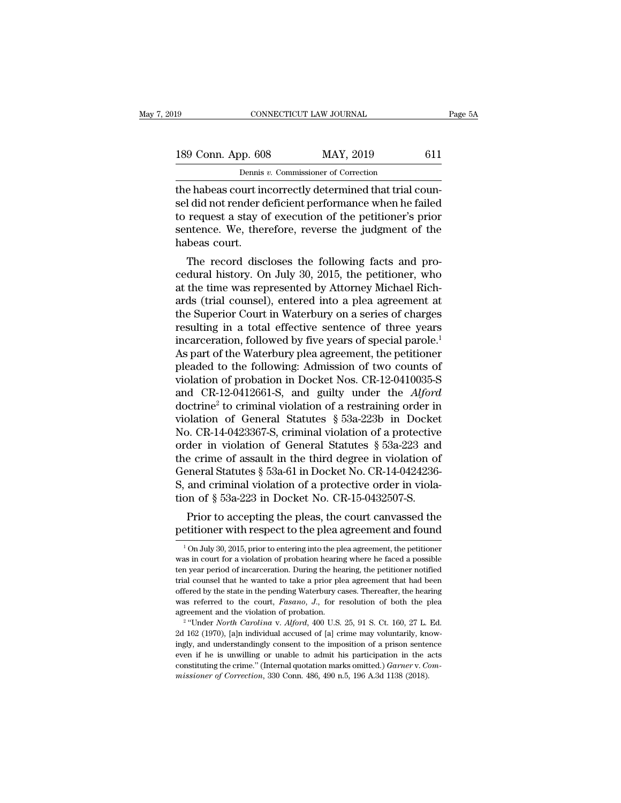| 19                 | CONNECTICUT LAW JOURNAL                                  | Page 5A |
|--------------------|----------------------------------------------------------|---------|
| 189 Conn. App. 608 | MAY, 2019<br>611                                         |         |
|                    | Dennis v. Commissioner of Correction                     |         |
|                    | the habeas court incorrectly determined that trial coun- |         |

the connective connective trial course.<br>
189 Conn. App. 608 MAY, 2019 611<br>
189 Conn. App. 608 MAY, 2019 611<br>
19 Dennis v. Commissioner of Correction<br>
19 Dennis v. Commissioner of Correction<br>
19 Dennis v. Commissioner of Co 189 Conn. App. 608 MAY, 2019 611<br>
Dennis v. Commissioner of Correction<br>
the habeas court incorrectly determined that trial counsel did not render deficient performance when he failed<br>
to request a stay of execution of the 189 Conn. App. 608 MAY, 2019 611<br>Dennis v. Commissioner of Correction<br>the habeas court incorrectly determined that trial counsel did not render deficient performance when he failed<br>to request a stay of execution of the pe  $\begin{tabular}{ c c c} 189 \text{ Conn. App. } 608 & \text{MAX, } 2019 & \text{611} \\ \hline \text{Dennis } v. \text{ Commissioner of Correction} \\ \hline \text{the habeas court incorrectly determined that trial coun-} \\ \text{sel did not render deficient performance when he failed} \\ \text{to request a stay of execution of the performance's prior} \\ \text{sentence. We, therefore, reverse the judgment of the} \\ \text{habeas court.} \end{tabular}$ Dennis<br>
the habeas court in<br>
sel did not render d<br>
to request a stay of<br>
sentence. We, then<br>
habeas court.<br>
The record disc e habeas court incorrectly determined that trial coun-<br>
I did not render deficient performance when he failed<br>
request a stay of execution of the petitioner's prior<br>
ntence. We, therefore, reverse the judgment of the<br>
beas the habeas court incorrectly determined that that counsel<br>sel did not render deficient performance when he failed<br>to request a stay of execution of the petitioner's prior<br>sentence. We, therefore, reverse the judgment of th

sei und not render dencient performance when he raned<br>to request a stay of execution of the petitioner's prior<br>sentence. We, therefore, reverse the judgment of the<br>habeas court.<br>The record discloses the following facts and to request a stay of execution of the petitioner's prior<br>sentence. We, therefore, reverse the judgment of the<br>habeas court.<br>The record discloses the following facts and pro-<br>cedural history. On July 30, 2015, the petitione sentence. we, therefore, reverse the judgment of the<br>habeas court.<br>The record discloses the following facts and pro-<br>cedural history. On July 30, 2015, the petitioner, who<br>at the time was represented by Attorney Michael Ri The record discloses the following facts and procedural history. On July 30, 2015, the petitioner, who at the time was represented by Attorney Michael Richards (trial counsel), entered into a plea agreement at the Superio The record discloses the following facts and pro-<br>cedural history. On July 30, 2015, the petitioner, who<br>at the time was represented by Attorney Michael Rich-<br>ards (trial counsel), entered into a plea agreement at<br>the Supe cedural history. On July 30, 2015, the petitioner, who<br>at the time was represented by Attorney Michael Rich-<br>ards (trial counsel), entered into a plea agreement at<br>the Superior Court in Waterbury on a series of charges<br>res at the time was represented by Attorney Michael Richards (trial counsel), entered into a plea agreement at<br>the Superior Court in Waterbury on a series of charges<br>resulting in a total effective sentence of three years<br>incar ards (trial counsel), entered into a plea agreement at<br>the Superior Court in Waterbury on a series of charges<br>resulting in a total effective sentence of three years<br>incarceration, followed by five years of special parole.<sup></sup> the Superior Court in Waterbury on a series of charges<br>resulting in a total effective sentence of three years<br>incarceration, followed by five years of special parole.<sup>1</sup><br>As part of the Waterbury plea agreement, the petitio resulting in a total effective sentence of three years<br>incarceration, followed by five years of special parole.<sup>1</sup><br>As part of the Waterbury plea agreement, the petitioner<br>pleaded to the following: Admission of two counts incarceration, followed by five years of special parole.<sup>1</sup><br>As part of the Waterbury plea agreement, the petitioner<br>pleaded to the following: Admission of two counts of<br>violation of probation in Docket Nos. CR-12-0410035-As part of the Waterbury plea agreement, the petitioner<br>pleaded to the following: Admission of two counts of<br>violation of probation in Docket Nos. CR-12-0410035-S<br>and CR-12-0412661-S, and guilty under the *Alford*<br>doctrin pleaded to the following: Admission of two counts of<br>violation of probation in Docket Nos. CR-12-0410035-S<br>and CR-12-0412661-S, and guilty under the *Alford*<br>doctrine<sup>2</sup> to criminal violation of a restraining order in<br>vio violation of probation in Docket Nos. CR-12-0410035-S<br>and CR-12-0412661-S, and guilty under the *Alford*<br>doctrine<sup>2</sup> to criminal violation of a restraining order in<br>violation of General Statutes § 53a-223b in Docket<br>No. C and CR-12-0412661-S, and guilty under the *Alford*<br>doctrine<sup>2</sup> to criminal violation of a restraining order in<br>violation of General Statutes § 53a-223b in Docket<br>No. CR-14-0423367-S, criminal violation of a protective<br>ord doctrine<sup>2</sup> to criminal violation of a restraining order in violation of General Statutes  $\S$  53a-223b in Docket No. CR-14-0423367-S, criminal violation of a protective order in violation of General Statutes  $\S$  53a-223 a violation of General Statutes  $\S$  53a-223b in Docket<br>No. CR-14-0423367-S, criminal violation of a protective<br>order in violation of General Statutes  $\S$  53a-223 and<br>the crime of assault in the third degree in violation of<br> 9. UR-14-0425507-5, Critical violation of a protective<br>der in violation of General Statutes § 53a-223 and<br>e crime of assault in the third degree in violation of<br>eneral Statutes § 53a-61 in Docket No. CR-14-0424236-<br>and cr petitioner in violation of General Statutes  $\frac{1}{3}$  33a-223 and<br>the crime of assault in the third degree in violation of<br>General Statutes  $\frac{5}{3}$  53a-61 in Docket No. CR-14-0424236-<br>S, and criminal violation of a prot

on of § 53a-223 in Docket No. CR-15-0432507-S.<br>Prior to accepting the pleas, the court canvassed the etitioner with respect to the plea agreement and found<br> $\frac{1}{100}$  July 30, 2015, prior to entering into the plea agreem

Frior to accepting the pleas, the court canvassed the petitioner with respect to the plea agreement and found  $\frac{1}{100}$  July 30, 2015, prior to entering into the plea agreement, the petitioner was in court for a violati Prior to accepting the pleas, the court canvassed the petitioner with respect to the plea agreement and found  $\frac{1}{10}$  July 30, 2015, prior to entering into the plea agreement, the petitioner was in court for a violatio petitioner with respect to the plea agreement and found<br> $\frac{1}{100}$  July 30, 2015, prior to entering into the plea agreement, the petitioner<br>was in court for a violation of probation hearing where he faced a possible<br>ten petricular with respect to the piea agreement, the petrioner<br>  $\frac{1}{1}$  on July 30, 2015, prior to entering into the plea agreement, the petitioner<br>
was in court for a violation of probation hearing where he faced a possi <sup>1</sup> On July 30, 2015, prior to entering into the plea agreement, the petitioner was in court for a violation of probation hearing where he faced a possible ten year period of incarceration. During the hearing, the petitio was in court for a violation of probation hearing then year period of incarceration. During the hearing ten bear that he wanted to take a prior ple offered by the state in the pending Waterbury cz was referred to the cour The version of incarceration. During the hearing, the petitioner notified a counsel that he wanted to take a prior plea agreement that had been ered by the state in the pending Waterbury cases. Thereafter, the hearing is r <sup>2</sup> Calculary of the wanted to take a prior plea agreement that had been offered by the state in the pending Waterbury cases. Thereafter, the hearing was referred to the court, *Fasano*, *J.*, for resolution of both the p

offered by the state in the pending Waterbury cases. Thereafter, the hearing was referred to the court, *Fasano*, *J*., for resolution of both the plea agreement and the violation of probation.<br><sup>2</sup> "Under *North Carolina* was referred to the court, *Fasano*, *J.*, for resolution of both the plea<br>agreement and the violation of probation.<br><sup>2</sup> "Under *North Carolina* v. *Alford*, 400 U.S. 25, 91 S. Ct. 160, 27 L. Ed.<br>2d 162 (1970), [a]n indiv agreement and the violation of problion.<br><sup>2</sup> "Under *North Carolina* v. *Alford*, 400 U.S. 25, 91 S. Ct. 160, 27 L. Ed.<br>2d 162 (1970), [a]n individual accused of [a] crime may voluntarily, know-<br>ingly, and understandingly <sup>2</sup> "Under *North Carolina* v. *Alford*, 400 U.S. 25, 91 S. Ct. 160, 27 L. 2d 162 (1970), [a]n individual accused of [a] crime may voluntarily, kniggly, and understandingly consent to the imposition of a prison sente even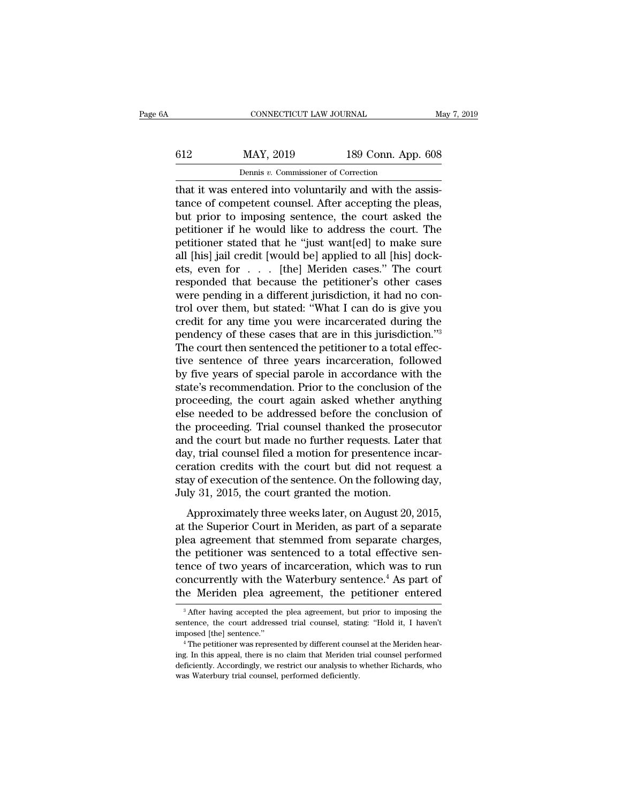# CONNECTICUT LAW JOURNAL May 7, 2019<br>612 MAY, 2019 189 Conn. App. 608<br>Dennis v. Commissioner of Correction

CONNECTICUT LAW JOURNAL<br> **EXECUTE A MAY, 2019** 189 Conn. App. 608<br>
Dennis *v*. Commissioner of Correction<br>
that it was entered into voluntarily and with the assis-<br>
tance of competent counsel. After accepting the pleas,<br>
b MAY, 2019 189 Conn. App. 608<br>
Dennis v. Commissioner of Correction<br>
that it was entered into voluntarily and with the assis-<br>
tance of competent counsel. After accepting the pleas,<br>
but prior to imposing sentence, the cour  $\begin{array}{r} \n 612 \quad \text{MAX, } 2019 \quad \text{189 Conn. App. 608} \\
 \frac{\text{Density } v. \text{ Commissioner of Correction}}{\text{that it was entered into voluntary and with the assistance of competent, After accepting the please, but prior to imposing sentence, the court asked the performance if he would like to address the court. The notification of that he "just wanted! to make sure.}\n \end{array}$  $\frac{612}{P}$  MAY, 2019 189 Conn. App. 608<br>
Dennis v. Commissioner of Correction<br>
that it was entered into voluntarily and with the assis-<br>
tance of competent counsel. After accepting the pleas,<br>
but prior to imposing sente period of the '''''' is a contract that it was entered into voluntarily and with the assistance of competent counsel. After accepting the pleas, but prior to imposing sentence, the court asked the petitioner if he would li benns v. Commissioner of Correction<br>
that it was entered into voluntarily and with the assis-<br>
tance of competent counsel. After accepting the pleas,<br>
but prior to imposing sentence, the court asked the<br>
petitioner if he w that it was entered into voluntarily and with the assistance of competent counsel. After accepting the pleas,<br>but prior to imposing sentence, the court asked the<br>petitioner if he would like to address the court. The<br>petiti tance of competent counsel. After accepting the pleas,<br>but prior to imposing sentence, the court asked the<br>petitioner if he would like to address the court. The<br>petitioner stated that he "just want[ed] to make sure<br>all [h but prior to imposing sentence, the court asked the petitioner if he would like to address the court. The petitioner stated that he "just want[ed] to make sure all [his] jail credit [would be] applied to all [his] dockets, petitioner if he would like to address the court. The<br>petitioner stated that he "just want[ed] to make sure<br>all [his] jail credit [would be] applied to all [his] dock-<br>ets, even for . . . [the] Meriden cases." The court<br>re petitioner stated that he "just want[ed] to make sure<br>all [his] jail credit [would be] applied to all [his] dock-<br>ets, even for  $\dots$  [the] Meriden cases." The court<br>responded that because the petitioner's other cases<br>were all [his] jail credit [would be] applied to all [his] dock-<br>ets, even for . . . [the] Meriden cases." The court<br>responded that because the petitioner's other cases<br>were pending in a different jurisdiction, it had no con-<br>t ets, even for  $\ldots$  [the] Meriden cases." The court responded that because the petitioner's other cases were pending in a different jurisdiction, it had no control over them, but stated: "What I can do is give you credit responded that because the petitioner's other cases<br>were pending in a different jurisdiction, it had no con-<br>trol over them, but stated: "What I can do is give you<br>credit for any time you were incarcerated during the<br>pende were pending in a different jurisdiction, it had no control over them, but stated: "What I can do is give you credit for any time you were incarcerated during the pendency of these cases that are in this jurisdiction."<sup>3</sup><br> trol over them, but stated: "What I can do is give you<br>credit for any time you were incarcerated during the<br>pendency of these cases that are in this jurisdiction."<sup>3</sup><br>The court then sentenced the petitioner to a total effe credit for any time you were incarcerated during the<br>pendency of these cases that are in this jurisdiction."<sup>3</sup><br>The court then sentenced the petitioner to a total effec-<br>tive sentence of three years incarceration, followed pendency of these cases that are in this jurisdiction."<sup>3</sup><br>The court then sentenced the petitioner to a total effec-<br>tive sentence of three years incarceration, followed<br>by five years of special parole in accordance with t The court then sentenced the petitioner to a total effective sentence of three years incarceration, followed<br>by five years of special parole in accordance with the<br>state's recommendation. Prior to the conclusion of the<br>pro tive sentence of three years incarceration, followed<br>by five years of special parole in accordance with the<br>state's recommendation. Prior to the conclusion of the<br>proceeding, the court again asked whether anything<br>else nee by five years of special parole in accordance with the state's recommendation. Prior to the conclusion of the proceeding, the court again asked whether anything else needed to be addressed before the conclusion of the proc state's recommendation. Prior to the conclusion of the<br>proceeding, the court again asked whether anything<br>else needed to be addressed before the conclusion of<br>the proceeding. Trial counsel thanked the prosecutor<br>and the co proceeding, the court again asked whether anything<br>else needed to be addressed before the conclusion of<br>the proceeding. Trial counsel thanked the prosecutor<br>and the court but made no further requests. Later that<br>day, trial else needed to be addressed before the conclusi<br>the proceeding. Trial counsel thanked the prose<br>and the court but made no further requests. Late:<br>day, trial counsel filed a motion for presentence i<br>ceration credits with th d the court but made no further requests. Later that y, trial counsel filed a motion for presentence incarration credits with the court but did not request a ay of execution of the sentence. On the following day, ly 31, 20 and the Court sut made no further requests. Eater that<br>day, trial counsel filed a motion for presentence incar-<br>ceration credits with the court but did not request a<br>stay of execution of the sentence. On the following day,

day, and comiser field a motion for presentence mean<br>ceration credits with the court but did not request a<br>stay of execution of the sentence. On the following day,<br>July 31, 2015, the court granted the motion.<br>Approximately stay of execution of the sentence. On the following day,<br>stay of execution of the sentence. On the following day,<br>July 31, 2015, the court granted the motion.<br>Approximately three weeks later, on August 20, 2015,<br>at the Sup July 31, 2015, the court granted the motion.<br>Approximately three weeks later, on August 20, 2015,<br>at the Superior Court in Meriden, as part of a separate<br>plea agreement that stemmed from separate charges,<br>the petitioner w Approximately three weeks later, on August 20, 2015,<br>at the Superior Court in Meriden, as part of a separate<br>plea agreement that stemmed from separate charges,<br>the petitioner was sentenced to a total effective sen-<br>tence Approximately three weeks later, on August 20, 2015,<br>at the Superior Court in Meriden, as part of a separate<br>plea agreement that stemmed from separate charges,<br>the petitioner was sentenced to a total effective sen-<br>tence ie petitioner was sentenced to a total effective sen-<br>nce of two years of incarceration, which was to run<br>oncurrently with the Waterbury sentence.<sup>4</sup> As part of<br>ie Meriden plea agreement, the petitioner entered<br><sup>3</sup> After h tence of two years of incarceration, which was to run<br>concurrently with the Waterbury sentence.<sup>4</sup> As part of<br>the Meriden plea agreement, the petitioner entered<br><sup>3</sup> After having accepted the plea agreement, but prior to im

concurrently with the Waterbury sentence.<sup>4</sup> As part of the Meriden plea agreement, the petitioner entered  $\frac{3}{4}$  After having accepted the plea agreement, but prior to imposing the sentence, the court addressed trial

<sup>&</sup>lt;sup>3</sup> After having accepted the plea agreement, but prior to imposing the sentence, the court addressed trial counsel, stating: "Hold it, I haven't imposed [the] sentence."<br><sup>4</sup> The petitioner was represented by different cou <sup>3</sup> After having accepted the plea agreement, but prior to imposing the sentence, the court addressed trial counsel, stating: "Hold it, I haven't imposed [the] sentence."<br>
<sup>4</sup> The petitioner was represented by different c sentence, the court addressed trial counsel, stating: "Hold it, I haven't imposed [the] sentence."<br>
"The petitioner was represented by different counsel at the Meriden hearing. In this appeal, there is no claim that Meride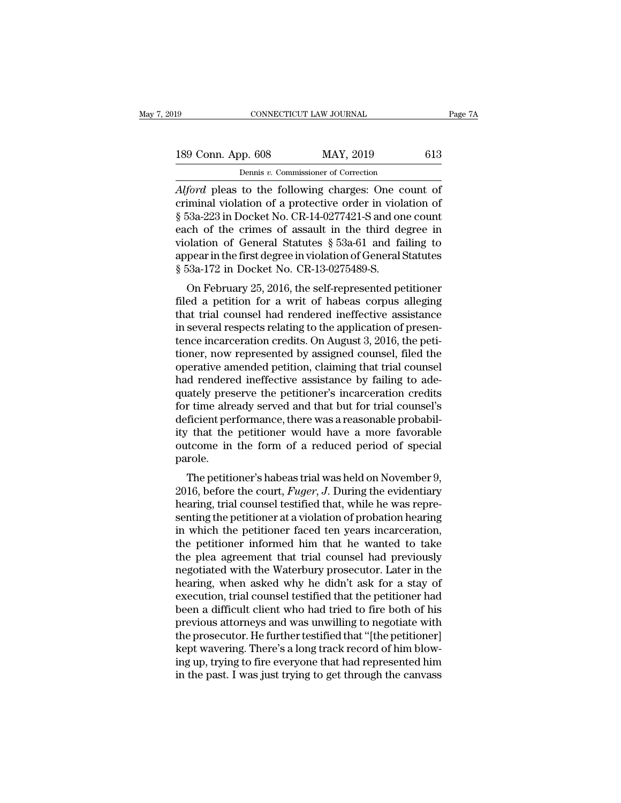| 19                 | CONNECTICUT LAW JOURNAL                                    | Page 7A |
|--------------------|------------------------------------------------------------|---------|
| 189 Conn. App. 608 | MAY, 2019                                                  | 613     |
|                    | Dennis v. Commissioner of Correction                       |         |
|                    | <i>Alford</i> pleas to the following charges. One count of |         |

Fage 71<br> **Also Conn. App. 608** MAY, 2019 613<br> **Alford pleas to the following charges: One count of<br>** *Alford* **pleas to the following charges: One count of<br>
criminal violation of a protective order in violation of<br>
8.539.223** 189 Conn. App. 608 MAY, 2019 613<br>
Dennis v. Commissioner of Correction<br>
Alford pleas to the following charges: One count of<br>
criminal violation of a protective order in violation of<br>
§ 53a-223 in Docket No. CR-14-0277421-S **EXECUTE:** 189 Conn. App. 608 MAY, 2019 613<br>
Dennis v. Commissioner of Correction<br> *Alford* pleas to the following charges: One count of<br>
criminal violation of a protective order in violation of<br>
§ 53a-223 in Docket No. C 189 Conn. App. 608 MAY, 2019 613<br>
Dennis v. Commissioner of Correction<br>
Alford pleas to the following charges: One count of<br>
criminal violation of a protective order in violation of<br>
§ 53a-223 in Docket No. CR-14-0277421-Dennis v. Commissioner of Correction<br>Alford pleas to the following charges: One count of<br>criminal violation of a protective order in violation of<br>§ 53a-223 in Docket No. CR-14-0277421-S and one count<br>each of the crimes of Dennis v. Commissioner of Correction<br>Alford pleas to the following charges: One count of<br>criminal violation of a protective order in violation of<br>§ 53a-223 in Docket No. CR-14-0277421-S and one count<br>each of the crimes of Alford pleas to the following charges: One c<br>criminal violation of a protective order in viol.<br>§ 53a-223 in Docket No. CR-14-0277421-S and or<br>each of the crimes of assault in the third de<br>violation of General Statutes § 5 miniar violation of a protective order in violation of<br>53a-223 in Docket No. CR-14-0277421-S and one count<br>ch of the crimes of assault in the third degree in<br>blation of General Statutes  $\S$  53a-61 and failing to<br>pear in t  $\frac{1}{2}$  s 33a-223 in Docket No. CR-14-0277421-3 and one count<br>each of the crimes of assault in the third degree in<br>violation of General Statutes  $\S$  53a-61 and failing to<br>appear in the first degree in violation of Gener

each of the chines of assault in the third degree in<br>violation of General Statutes § 53a-61 and failing to<br>appear in the first degree in violation of General Statutes<br>§ 53a-172 in Docket No. CR-13-0275489-S.<br>On February 2 violation of General statutes y 55a-01 and failing to<br>appear in the first degree in violation of General Statutes<br>§ 53a-172 in Docket No. CR-13-0275489-S.<br>On February 25, 2016, the self-represented petitioner<br>filed a petit appear in the first degree in violation of defieral statutes<br>
§ 53a-172 in Docket No. CR-13-0275489-S.<br>
On February 25, 2016, the self-represented petitioner<br>
filed a petition for a writ of habeas corpus alleging<br>
that tri s 55a-172 in Docket No. CR-15-0275485-5.<br>
On February 25, 2016, the self-represented petitioner<br>
filed a petition for a writ of habeas corpus alleging<br>
that trial counsel had rendered ineffective assistance<br>
in several res On February 25, 2016, the self-represented petitioner<br>filed a petition for a writ of habeas corpus alleging<br>that trial counsel had rendered ineffective assistance<br>in several respects relating to the application of presen-<br> filed a petition for a writ of habeas corpus alleging<br>that trial counsel had rendered ineffective assistance<br>in several respects relating to the application of presen-<br>tence incarceration credits. On August 3, 2016, the pe that trial counsel had rendered ineffective assistance<br>in several respects relating to the application of presen-<br>tence incarceration credits. On August 3, 2016, the peti-<br>tioner, now represented by assigned counsel, filed in several respects relating to the application of presentence incarceration credits. On August 3, 2016, the petitioner, now represented by assigned counsel, filed the operative amended petition, claiming that trial counse tence incarceration credits. On August 3, 2016, the petitioner, now represented by assigned counsel, filed the operative amended petition, claiming that trial counsel had rendered ineffective assistance by failing to adeq tioner, now represented by assigned counsel, filed the<br>operative amended petition, claiming that trial counsel<br>had rendered ineffective assistance by failing to ade-<br>quately preserve the petitioner's incarceration credits<br> operative amended petition, claiming that trial counsel<br>had rendered ineffective assistance by failing to ade-<br>quately preserve the petitioner's incarceration credits<br>for time already served and that but for trial counsel' parole. The petitioner's finds are increased in the petitioner's final counsel's<br>ficient performance, there was a reasonable probability<br>that the petitioner would have a more favorable<br>trade in the form of a reduced period of spe for thie aneady served and that but for that counsers<br>deficient performance, there was a reasonable probabil-<br>ity that the petitioner would have a more favorable<br>outcome in the form of a reduced period of special<br>parole.<br>T

deficient performance, there was a reasonable probability that the petitioner would have a more favorable outcome in the form of a reduced period of special parole.<br>The petitioner's habeas trial was held on November 9, 201 senting the petitioner would have a niote favorable<br>outcome in the form of a reduced period of special<br>parole.<br>The petitioner's habeas trial was held on November 9,<br>2016, before the court, *Fuger*, *J*. During the evidenti Following in the form of a reduced period of special parole.<br>
The petitioner's habeas trial was held on November 9,<br>
2016, before the court, *Fuger*, *J*. During the evidentiary<br>
hearing, trial counsel testified that, whi The petitioner's habeas trial was held on November 9, 2016, before the court, *Fuger*, *J*. During the evidentiary hearing, trial counsel testified that, while he was representing the petitioner at a violation of probatio The petitioner's habeas trial was held on November 9,<br>2016, before the court, *Fuger*, *J*. During the evidentiary<br>hearing, trial counsel testified that, while he was repre-<br>senting the petitioner at a violation of probat 2016, before the court, *Fuger*, *J*. During the evidentiary<br>hearing, trial counsel testified that, while he was repre-<br>senting the petitioner at a violation of probation hearing<br>in which the petitioner faced ten years inc hearing, trial counsel testified that, while he was representing the petitioner at a violation of probation hearing<br>in which the petitioner faced ten years incarceration,<br>the petitioner informed him that he wanted to take<br> senting the petitioner at a violation of probation hearing<br>in which the petitioner faced ten years incarceration,<br>the petitioner informed him that he wanted to take<br>the plea agreement that trial counsel had previously<br>nego in which the petitioner faced ten years incarceration,<br>the petitioner informed him that he wanted to take<br>the plea agreement that trial counsel had previously<br>negotiated with the Waterbury prosecutor. Later in the<br>hearing, the petitioner informed him that he wanted to take<br>the plea agreement that trial counsel had previously<br>negotiated with the Waterbury prosecutor. Later in the<br>hearing, when asked why he didn't ask for a stay of<br>execution, the plea agreement that trial counsel had previously<br>negotiated with the Waterbury prosecutor. Later in the<br>hearing, when asked why he didn't ask for a stay of<br>execution, trial counsel testified that the petitioner had<br>bee negotiated with the Waterbury prosecutor. Later in the hearing, when asked why he didn't ask for a stay of execution, trial counsel testified that the petitioner had been a difficult client who had tried to fire both of hi hearing, when asked why he didn't ask for a stay of<br>execution, trial counsel testified that the petitioner had<br>been a difficult client who had tried to fire both of his<br>previous attorneys and was unwilling to negotiate wit execution, trial counsel testified that the petitioner had<br>been a difficult client who had tried to fire both of his<br>previous attorneys and was unwilling to negotiate with<br>the prosecutor. He further testified that "[the pe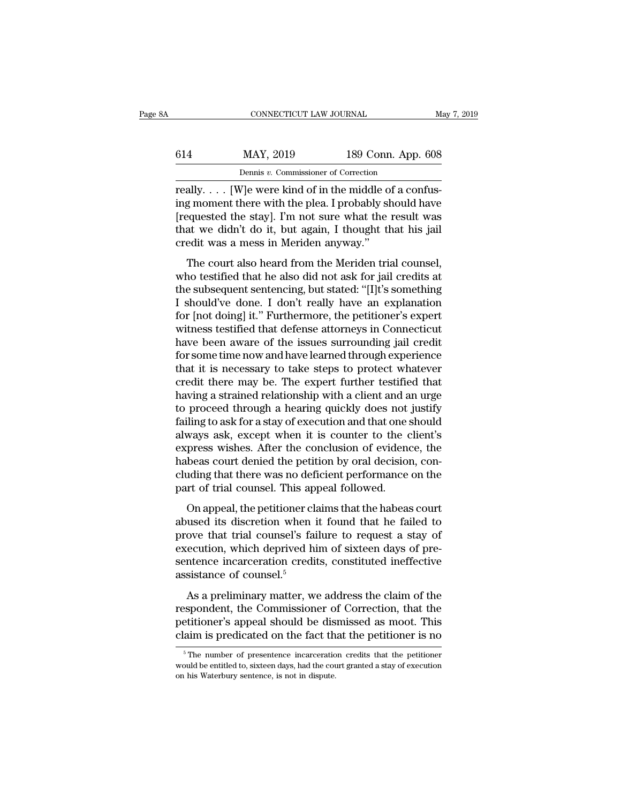|        | CONNECTICUT LAW JOURNAL                    |                    | May 7, 2019 |
|--------|--------------------------------------------|--------------------|-------------|
|        |                                            |                    |             |
| 614    | MAY, 2019                                  | 189 Conn. App. 608 |             |
|        | Dennis v. Commissioner of Correction       |                    |             |
| really | We were kind of in the middle of a confus- |                    |             |

CONNECTICUT LAW JOURNAL<br>
614 MAY, 2019 189 Conn. App. 608<br>
Dennis v. Commissioner of Correction<br>
Feally. . . . [W]e were kind of in the middle of a confus-<br>
ing moment there with the plea. I probably should have 614 MAY, 2019 189 Conn. App. 608<br>
Dennis v. Commissioner of Correction<br>
really.... [W]e were kind of in the middle of a confus-<br>
ing moment there with the plea. I probably should have<br>
[requested the stay]. I'm not sure w  $\frac{\text{MAX, 2019}}{\text{Dennis } v. \text{ Commissioner of Correction}}$ <br>
Teally.... [W]e were kind of in the middle of a confus-<br>
I'm not sure what the result was<br>
that we didn't do it, but again, I thought that his jail<br>
crodit was a moss in Moridon anyway." 614 MAY, 2019 189 Conn. App. 608<br>
Dennis v. Commissioner of Correction<br>
really.... [W]e were kind of in the middle of a confus-<br>
ing moment there with the plea. I probably should have<br>
[requested the stay]. I'm not sure w really.  $\ldots$  [W]e were kind of in the middle of a confusing moment there with the plea. I probably should have [requested the stay]. I'm not sure what the result was that we didn't do it, but again, I thought that his ja ally. . . . [W]e were kind of in the middle of a confus-<br>g moment there with the plea. I probably should have<br>equested the stay]. I'm not sure what the result was<br>at we didn't do it, but again, I thought that his jail<br>edi really.  $\ldots$  [ $w$ ]c were kind of in the middle of a comas-<br>ing moment there with the plea. I probably should have<br>[requested the stay]. I'm not sure what the result was<br>that we didn't do it, but again, I thought that his

Institute with the pear. I prostarly should have<br>
[requested the stay]. I'm not sure what the result was<br>
that we didn't do it, but again, I thought that his jail<br>
credit was a mess in Meriden anyway."<br>
The court also hear prequested are stay]. The not sure what the result was<br>that we didn't do it, but again, I thought that his jail<br>credit was a mess in Meriden anyway."<br>The court also heard from the Meriden trial counsel,<br>who testified that fract we didn't do it, but again, I along the this jail<br>credit was a mess in Meriden anyway."<br>The court also heard from the Meriden trial counsel,<br>who testified that he also did not ask for jail credits at<br>the subsequent s The court also heard from the Meriden trial counsel,<br>who testified that he also did not ask for jail credits at<br>the subsequent sentencing, but stated: "[I]t's something<br>I should've done. I don't really have an explanation<br> The court also heard from the Meriden trial counsel,<br>who testified that he also did not ask for jail credits at<br>the subsequent sentencing, but stated: "[I]t's something<br>I should've done. I don't really have an explanation<br> who testified that he also did not ask for jail credits at<br>the subsequent sentencing, but stated: "[I]t's something<br>I should've done. I don't really have an explanation<br>for [not doing] it." Furthermore, the petitioner's ex the subsequent sentencing, but stated: "[I]t's something<br>I should've done. I don't really have an explanation<br>for [not doing] it." Furthermore, the petitioner's expert<br>witness testified that defense attorneys in Connecticu I should've done. I don't really have an explanation<br>for [not doing] it." Furthermore, the petitioner's expert<br>witness testified that defense attorneys in Connecticut<br>have been aware of the issues surrounding jail credit<br>f for [not doing] it." Furthermore, the petitioner's expert<br>witness testified that defense attorneys in Connecticut<br>have been aware of the issues surrounding jail credit<br>for some time now and have learned through experience<br> witness testified that defense attorneys in Connecticut<br>have been aware of the issues surrounding jail credit<br>for some time now and have learned through experience<br>that it is necessary to take steps to protect whatever<br>cre have been aware of the issues surrounding jail credit<br>for some time now and have learned through experience<br>that it is necessary to take steps to protect whatever<br>credit there may be. The expert further testified that<br>havi for some time now and have learned through experience<br>that it is necessary to take steps to protect whatever<br>credit there may be. The expert further testified that<br>having a strained relationship with a client and an urge<br>t that it is necessary to take steps to protect whatever<br>credit there may be. The expert further testified that<br>having a strained relationship with a client and an urge<br>to proceed through a hearing quickly does not justify<br>f credit there may be. The expert further testified that<br>having a strained relationship with a client and an urge<br>to proceed through a hearing quickly does not justify<br>failing to ask for a stay of execution and that one shou having a strained relationship with a client and an urge<br>to proceed through a hearing quickly does not justify<br>failing to ask for a stay of execution and that one should<br>always ask, except when it is counter to the client' to proceed through a hearing quickly does not failing to ask for a stay of execution and that one s<br>always ask, except when it is counter to the c<br>express wishes. After the conclusion of evidence<br>habeas court denied the pe mag to district distay of excedition and that one should<br>ways ask, except when it is counter to the client's<br>press wishes. After the conclusion of evidence, the<br>beas court denied the petition by oral decision, con-<br>uding t abused is, sheep which it is solarce to the chemics<br>express wishes. After the conclusion of evidence, the<br>habeas court denied the petition by oral decision, con-<br>cluding that there was no deficient performance on the<br>part

reflects wishes. Their are conclusion of evidence, are habeas court denied the petition by oral decision, concluding that there was no deficient performance on the part of trial counsel. This appeal followed.<br>On appeal, th raiseas court deficed are perfacintly ortal decision, concluding that there was no deficient performance on the part of trial counsel. This appeal followed.<br>On appeal, the petitioner claims that the habeas court abused it part of trial counsel. This appeal followed.<br>
On appeal, the petitioner claims that the habeas court<br>
abused its discretion when it found that he failed to<br>
prove that trial counsel's failure to request a stay of<br>
executio part of that counsel. This appear of that counsel. This appear on appeal, the petitioner clabused its discretion when involved his execution, which deprived his sentence incarceration credifiests assistance of counsel.<sup>5</sup>  $\alpha$  and its discretion when it found that he failed to<br>ove that trial counsel's failure to request a stay of<br>ecution, which deprived him of sixteen days of pre-<br>ntence incarceration credits, constituted ineffective<br>sista respondent trial counsel's failure to request a stay of<br>prove that trial counsel's failure to request a stay of<br>execution, which deprived him of sixteen days of pre-<br>sentence incarceration credits, constituted ineffective<br>

prove and and coalisers rande to request a say of<br>execution, which deprived him of sixteen days of pre-<br>sentence incarceration credits, constituted ineffective<br>assistance of counsel.<sup>5</sup><br>As a preliminary matter, we address calculation, which depited that of statect days of presentence incarceration credits, constituted ineffective assistance of counsel.<sup>5</sup><br>As a preliminary matter, we address the claim of the respondent, the Commissioner of As a preliminary matter, we address the claim of the spondent, the Commissioner of Correction, that the etitioner's appeal should be dismissed as moot. This aim is predicated on the fact that the petitioner is no  $\frac{5 \text{$ respondent, the Commissioner of Correction, that the petitioner's appeal should be dismissed as moot. This claim is predicated on the fact that the petitioner is no  $\frac{1}{\pi}$  The number of presentence incarceration credi

petitioner's appeal should be disculaim is predicated on the fact the  $\frac{5}{10}$  The number of presentence incarceration would be entitled to, sixteen days, had the couse on his Waterbury sentence, is not in dispute.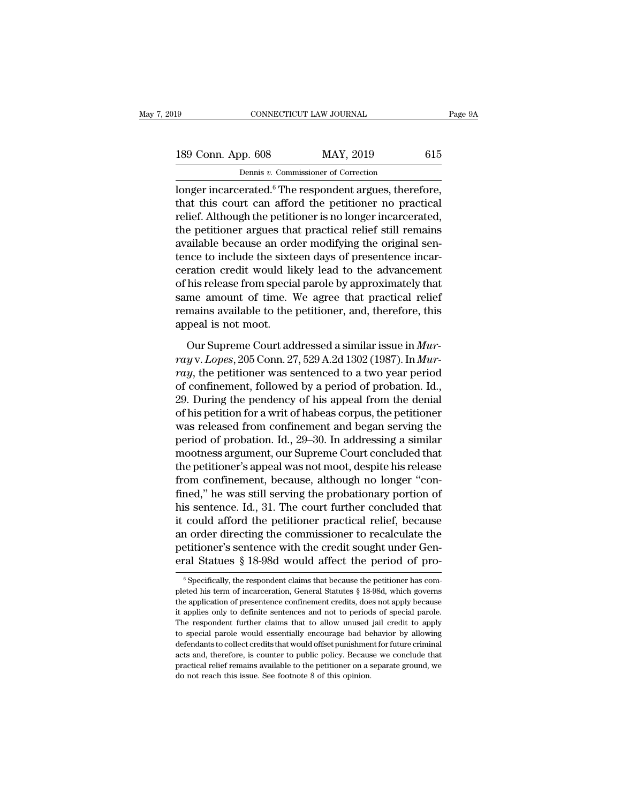| l9                 | CONNECTICUT LAW JOURNAL                                                 | Page 9A |
|--------------------|-------------------------------------------------------------------------|---------|
| 189 Conn. App. 608 | MAY, 2019                                                               | 615     |
|                    | Dennis v. Commissioner of Correction                                    |         |
|                    | $\lambda$ or $\alpha$ incarcerated $^6$ The respondent argues therefore |         |

connectricut LAW JOURNAL Page<br>
189 Conn. App. 608 MAY, 2019 615<br>
Dennis v. Commissioner of Correction<br>
longer incarcerated.<sup>6</sup> The respondent argues, therefore,<br>
that this court can afford the petitioner no practical<br>
reli 189 Conn. App. 608 MAY, 2019 615<br>
Dennis v. Commissioner of Correction<br>
longer incarcerated.<sup>6</sup> The respondent argues, therefore,<br>
that this court can afford the petitioner no practical<br>
relief. Although the petitioner is 189 Conn. App. 608 MAY, 2019 615<br>
Dennis v. Commissioner of Correction<br>
longer incarcerated.<sup>6</sup> The respondent argues, therefore,<br>
that this court can afford the petitioner no practical<br>
relief. Although the petitioner is 189 Conn. App. 608 MAY, 2019 615<br>
Dennis v. Commissioner of Correction<br>
longer incarcerated.<sup>6</sup> The respondent argues, therefore,<br>
that this court can afford the petitioner no practical<br>
relief. Although the petitioner is Dennis v. Commissioner of Correction<br>
longer incarcerated.<sup>6</sup> The respondent argues, therefore,<br>
that this court can afford the petitioner no practical<br>
relief. Although the petitioner is no longer incarcerated,<br>
the peti Dentis *v*. Commissioner of Correction<br>longer incarcerated.<sup>6</sup> The respondent argues, therefore,<br>that this court can afford the petitioner no practical<br>relief. Although the petitioner is no longer incarcerated,<br>the petitio longer incarcerated.<sup>6</sup> The respondent argues, therefore,<br>that this court can afford the petitioner no practical<br>relief. Although the petitioner is no longer incarcerated,<br>the petitioner argues that practical relief still that this court can afford the petitioner no practical<br>relief. Although the petitioner is no longer incarcerated,<br>the petitioner argues that practical relief still remains<br>available because an order modifying the original relief. Although the petitioner is no longer incarcerated,<br>the petitioner argues that practical relief still remains<br>available because an order modifying the original sen-<br>tence to include the sixteen days of presentence i the petitioner argues that practical relief still remains<br>available because an order modifying the original sen-<br>tence to include the sixteen days of presentence incar-<br>ceration credit would likely lead to the advancement<br> available because an ord<br>tence to include the sixte<br>ceration credit would lil<br>of his release from specia<br>same amount of time. V<br>remains available to the<br>appeal is not moot.<br>Our Supreme Court ade ration credit would likely lead to the advancement<br>his release from special parole by approximately that<br>me amount of time. We agree that practical relief<br>mains available to the petitioner, and, therefore, this<br>peal is not of his release from special parole by approximately that<br>same amount of time. We agree that practical relief<br>remains available to the petitioner, and, therefore, this<br>appeal is not moot.<br>Our Supreme Court addressed a simil

same amount of time. We agree that practical relief<br>remains available to the petitioner, and, therefore, this<br>appeal is not moot.<br>Our Supreme Court addressed a similar issue in *Mur-<br>ray* v. *Lopes*, 205 Conn. 27, 529 A.2d remains available to the petitioner, and, therefore, this<br>appeal is not moot.<br>Our Supreme Court addressed a similar issue in  $Mur-  
ray v. Lopes, 205 Conn. 27, 529 A.2d 1302 (1987). In Mur-  
ray, the pertinent was sentenced to a two year period  
of confinement, followed by a period of the production. Id.,  
29. During the pendercy of his appeal from the denial  
of his$ appeal is not moot.<br>
Our Supreme Court addressed a similar issue in *Murray v. Lopes*, 205 Conn. 27, 529 A.2d 1302 (1987). In *Murray*, the petitioner was sentenced to a two year period of confinement, followed by a perio Our Supreme Court addressed a similar issue in *Murray v. Lopes*, 205 Conn. 27, 529 A.2d 1302 (1987). In *Murray*, the petitioner was sentenced to a two year period of confinement, followed by a period of probation. Id., Our Supreme Court addressed a similar issue in *Murray* v. *Lopes*, 205 Conn. 27, 529 A.2d 1302 (1987). In *Murray*, the petitioner was sentenced to a two year period of confinement, followed by a period of probation. Id. *ray* v. *Lopes*, 205 Conn. 27, 529 A.2d 1302 (1987). In *Murray*, the petitioner was sentenced to a two year period of confinement, followed by a period of probation. Id., 29. During the pendency of his appeal from the d ray, the petitioner was sentenced to a two year period<br>of confinement, followed by a period of probation. Id.,<br>29. During the pendency of his appeal from the denial<br>of his petition for a writ of habeas corpus, the petition of confinement, followed by a period of probation. Id.,<br>29. During the pendency of his appeal from the denial<br>of his petition for a writ of habeas corpus, the petitioner<br>was released from confinement and began serving the<br> 29. During the pendency of his appeal from the denial<br>of his petition for a writ of habeas corpus, the petitioner<br>was released from confinement and began serving the<br>period of probation. Id., 29–30. In addressing a simila of his petition for a writ of habeas corpus, the petitioner<br>was released from confinement and began serving the<br>period of probation. Id., 29–30. In addressing a similar<br>mootness argument, our Supreme Court concluded that<br>t was released from confinement and began serving the<br>period of probation. Id., 29–30. In addressing a similar<br>mootness argument, our Supreme Court concluded that<br>the petitioner's appeal was not moot, despite his release<br>fro period of probation. Id., 29–30. In addressing a similar<br>mootness argument, our Supreme Court concluded that<br>the petitioner's appeal was not moot, despite his release<br>from confinement, because, although no longer "con-<br>fin mootness argument, our Supreme Court concluded that<br>the petitioner's appeal was not moot, despite his release<br>from confinement, because, although no longer "con-<br>fined," he was still serving the probationary portion of<br>his the petitioner's appeal was not moot, despite his release<br>from confinement, because, although no longer "con-<br>fined," he was still serving the probationary portion of<br>his sentence. Id., 31. The court further concluded that from confinement, because, although no longer "confined," he was still serving the probationary portion of his sentence. Id., 31. The court further concluded that it could afford the petitioner practical relief, because a it could afford the petitioner practical relief, because<br>an order directing the commissioner to recalculate the<br>petitioner's sentence with the credit sought under Gen-<br>eral Statues § 18-98d would affect the period of proan order directing the commissioner to recalculate the<br>petitioner's sentence with the credit sought under Gen-<br>eral Statues § 18-98d, would affect the period of pro-<br><sup>6</sup> Specifically, the respondent claims that because the

petitioner's sentence with the credit sought under General Statues § 18-98d would affect the period of pro-<br><sup>®</sup> Specifically, the respondent claims that because the petitioner has completed his term of incarceration, Gener eral Statues § 18-98d would affect the period of pro-<br>
<sup>6</sup> Specifically, the respondent claims that because the petitioner has completed his term of incarceration, General Statutes § 18-98d, which governs the application o The respondent further claims that because the period of pro-<br>
In Specifically, the respondent claims that because the petitioner has completed his term of incarceration, General Statutes § 18-98d, which governs<br>
the appli  $\degree$  Specifically, the respondent claims that because the petitioner has completed his term of incarceration, General Statutes  $\S$  18-98d, which governs the application of presentence confinement credits, does not apply b beted his term of incarceration, General Statutes § 18-98d, which governs the application of presentence confinement credits, does not apply because it applies only to definite sentences and not to periods of special parol Free application of presentence confinement credits, does not apply because it applies only to definite sentences and not to periods of special parole. The respondent further claims that to allow unused jail credit to appl it applies only to definite sentences and not to periods of special parole.<br>The respondent further claims that to allow unused jail credit to apply<br>to special parole would essentially encourage bad behavior by allowing<br>def The respondent further claims that to allow unused jail credit to apply<br>to special parole would essentially encourage bad behavior by allowing<br>defendants to collect credits that would offset punishment for future criminal<br>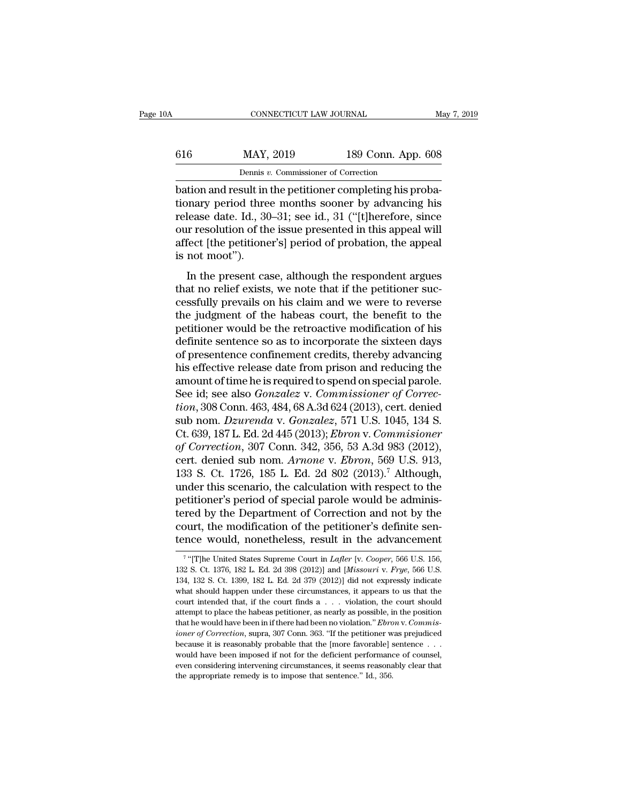| ۱A  | CONNECTICUT LAW JOURNAL                                   |                    | May 7, 2019 |
|-----|-----------------------------------------------------------|--------------------|-------------|
| 616 | MAY, 2019                                                 | 189 Conn. App. 608 |             |
|     | Dennis v. Commissioner of Correction                      |                    |             |
|     | hation and result in the petitioner completing his proba- |                    |             |

CONNECTICUT LAW JOURNAL<br>
Bation and result in the petitioner completing his proba-<br>
bation and result in the petitioner completing his proba-<br>
bationary period three months sooner by advancing his<br>
release date Id. 30, 31, MAY, 2019 189 Conn. App. 608<br>
Dennis v. Commissioner of Correction<br>
bation and result in the petitioner completing his proba-<br>
tionary period three months sooner by advancing his<br>
release date. Id., 30–31; see id., 31 ("[t For  $\frac{\text{MAX}}{\text{Density } v. \text{ Commissioner of Correction}}$ <br>
Dennis v. Commissioner of Correction<br>
bation and result in the petitioner completing his proba-<br>
tionary period three months sooner by advancing his<br>
release date. Id., 30–31; see id., 31 ("[ 616 MAY, 2019 189 Conn. App. 608<br>
Dennis v. Commissioner of Correction<br>
bation and result in the petitioner completing his proba-<br>
tionary period three months sooner by advancing his<br>
release date. Id., 30–31; see id., 31 Dennis v. Commissioner of Correction<br>bation and result in the petitioner completing his proba-<br>tionary period three months sooner by advancing his<br>release date. Id., 30–31; see id., 31 ("[t]herefore, since<br>our resolution o  $\frac{p_{\text{ennis }i}}{\text{bation and result in}}$ <br>
bation and result in<br>
tionary period thre<br>
release date. Id., 30<br>
our resolution of th<br>
affect [the petitione<br>
is not moot").<br>
In the present ca From and result in the pethodical completing ins proba-<br>
In the pethodic completing is probably<br>
In the issue presented in this appeal will<br>
fect [the petitioner's] period of probation, the appeal<br>
not moot").<br>
In the pres toliary period three months sooner by advancing his<br>release date. Id., 30–31; see id., 31 ("[t]herefore, since<br>our resolution of the issue presented in this appeal will<br>affect [the petitioner's] period of probation, the ap

release date. 1d., 50–51, see 1d., 51 (Finercrore, since<br>our resolution of the issue presented in this appeal will<br>affect [the petitioner's] period of probation, the appeal<br>is not moot").<br>In the present case, although the our resolution of the issue presented in this appear winduffect [the petitioner's] period of probation, the appeal<br>is not moot").<br>In the present case, although the respondent argues<br>that no relief exists, we note that if t ancet [the petholict s] period of probation, the appear<br>is not moot").<br>In the present case, although the respondent argues<br>that no relief exists, we note that if the petitioner suc-<br>cessfully prevails on his claim and we w Is not moot *j*.<br>In the present case, although the respondent argues<br>that no relief exists, we note that if the petitioner suc-<br>cessfully prevails on his claim and we were to reverse<br>the judgment of the habeas court, the b In the present case, although the respondent argues<br>that no relief exists, we note that if the petitioner suc-<br>cessfully prevails on his claim and we were to reverse<br>the judgment of the habeas court, the benefit to the<br>pet that no relief exists, we note that if the petitioner successfully prevails on his claim and we were to reverse<br>the judgment of the habeas court, the benefit to the<br>petitioner would be the retroactive modification of his<br>d cessfully prevails on his claim and we were to reverse<br>the judgment of the habeas court, the benefit to the<br>petitioner would be the retroactive modification of his<br>definite sentence so as to incorporate the sixteen days<br>of the judgment of the habeas court, the benefit to the petitioner would be the retroactive modification of his definite sentence so as to incorporate the sixteen days of presentence confinement credits, thereby advancing his petitioner would be the retroactive modification of his<br>definite sentence so as to incorporate the sixteen days<br>of presentence confinement credits, thereby advancing<br>his effective release date from prison and reducing the<br> definite sentence so as to incorporate the sixteen days<br>of presentence confinement credits, thereby advancing<br>his effective release date from prison and reducing the<br>amount of time he is required to spend on special parole of presentence confinement credits, thereby advancing<br>his effective release date from prison and reducing the<br>amount of time he is required to spend on special parole.<br>See id; see also *Gonzalez* v. *Commissioner of Correc* his effective release date from prison and reducing the<br>amount of time he is required to spend on special parole.<br>See id; see also *Gonzalez* v. *Commissioner of Correc-<br>tion*, 308 Conn. 463, 484, 68 A.3d 624 (2013), cert. amount of time he is required to spend on special parole.<br>See id; see also *Gonzalez* v. *Commissioner of Correction*, 308 Conn. 463, 484, 68 A.3d 624 (2013), cert. denied<br>sub nom. *Dzurenda* v. *Gonzalez*, 571 U.S. 1045, See id; see also *Gonzalez* v. *Commissioner of Correction*, 308 Conn. 463, 484, 68 A.3d 624 (2013), cert. denied<br>sub nom. *Dzurenda* v. *Gonzalez*, 571 U.S. 1045, 134 S.<br>Ct. 639, 187 L. Ed. 2d 445 (2013); *Ebron* v. *Comm tion*, 308 Conn. 463, 484, 68 A.3d 624 (2013), cert. denied<br>sub nom. *Dzurenda* v. *Gonzalez*, 571 U.S. 1045, 134 S.<br>Ct. 639, 187 L. Ed. 2d 445 (2013); *Ebron* v. *Commisioner*<br>of *Correction*, 307 Conn. 342, 356, 53 A.3 sub nom. *Dzurenda v. Gonzalez*, 571 U.S. 1045, 134 S.<br>Ct. 639, 187 L. Ed. 2d 445 (2013); *Ebron v. Commisioner*<br>of Correction, 307 Conn. 342, 356, 53 A.3d 983 (2012),<br>cert. denied sub nom. *Arnone v. Ebron*, 569 U.S. 913, Ct. 639, 187 L. Ed. 2d 445 (2013); *Ebron v. Commisioner*<br>of Correction, 307 Conn. 342, 356, 53 A.3d 983 (2012),<br>cert. denied sub nom. *Arnone v. Ebron*, 569 U.S. 913,<br>133 S. Ct. 1726, 185 L. Ed. 2d 802 (2013).<sup>7</sup> Althoug of Correction, 307 Conn. 342, 356, 53 A.3d 983 (2012), cert. denied sub nom. *Arnone v. Ebron*, 569 U.S. 913, 133 S. Ct. 1726, 185 L. Ed. 2d 802 (2013).<sup>7</sup> Although, under this scenario, the calculation with respect to the cert. denied sub nom. *Arnone* v. *Ebron*, 569 U.S. 913, 133 S. Ct. 1726, 185 L. Ed. 2d 802 (2013).<sup>7</sup> Although, under this scenario, the calculation with respect to the petitioner's period of special parole would be admi petitioner's period of special parole would be administered by the Department of Correction and not by the court, the modification of the petitioner's definite sentence would, nonetheless, result in the advancement  $\frac{1}{\$ tered by the Department of Correction and not by the court, the modification of the petitioner's definite sentence would, nonetheless, result in the advancement<br><sup>7</sup> "[T]he United States Supreme Court in *Lafler* [v. *Coope* 

<sup>&</sup>lt;sup>7</sup> "[T]he United States Supreme Court in *Lafler* [v. *Cooper*, 566 U.S. 156, court, the modification of the petitioner's definite sen-<br>tence would, nonetheless, result in the advancement<br> $\frac{7}{4}$ [T]he United States Supreme Court in *Lafler* [v. Cooper, 566 U.S. 156,<br>132 S. Ct. 1376, 182 L. Ed. 2d tence would, nonetheless, result in the advancement<br>
<sup>7</sup> "[T]he United States Supreme Court in *Lafler* [v. *Cooper*, 566 U.S. 156,<br>
132 S. Ct. 1376, 182 L. Ed. 2d 398 (2012)] and [*Missouri v. Frge*, 566 U.S.<br>
134, 132 S <sup>7</sup> "[T]he United States Supreme Court in *Lafter* [v. *Cooper*, 566 U.S. 156, 132 S. Ct. 1376, 182 L. Ed. 2d 398 (2012)] and [*Missouri v. Frye*, 566 U.S. 134, 132 S. Ct. 1399, 182 L. Ed. 2d 379 (2012)] did not expressly <sup>7</sup> "[T]he United States Supreme Court in *Lafler* [v. *Cooper*, 566 U.S. 156, 132 S. Ct. 1376, 182 L. Ed. 2d 398 (2012)] and [*Missouri v. Frye*, 566 U.S. 134, 132 S. Ct. 1399, 182 L. Ed. 2d 379 (2012)] did not expressly 132 S. Ct. 1376, 182 L. Ed. 2d 398 (2012)] and [*Missouri* v. *Frye*, 566 U.S. 134, 132 S. Ct. 1399, 182 L. Ed. 2d 379 (2012)] did not expressly indicate what should happen under these circumstances, it appears to us that <sup>134</sup>, 132 S. Ct. 1399, 182 L. Ed. 2d 379 (2012)] did not expressly indicate what should happen under these circumstances, it appears to us that the court intended that, if the court finds a . . . violation, the court shou what should happen under these circumstances, it appears to us that the court intended that, if the court finds a  $\dots$  violation, the court should attempt to place the habeas petitioner, as nearly as possible, in the posi court intended that, if the court finds a  $\dots$  violation, the court should attempt to place the habeas petitioner, as nearly as possible, in the position that he would have been in if there had been no violation." *Ebron* attempt to place the habeas petitioner, as nearly as possible, in the position that he would have been in if there had been no violation." Ebron v. Commis-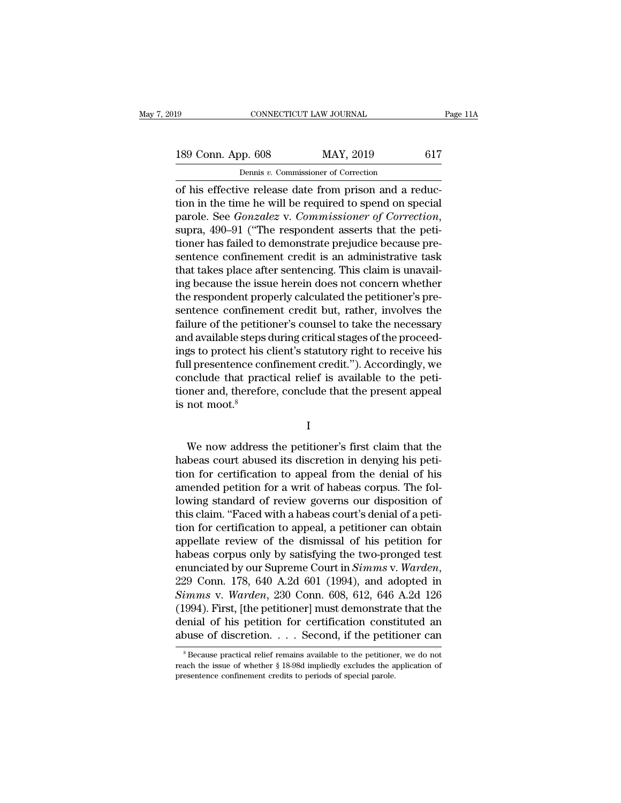189 CONNECTICUT LAW JOURNAL Page 11A<br>
189 Conn. App. 608 MAY, 2019 617<br>
Dennis v. Commissioner of Correction CONNECTICUT LAW JOURNAL<br>Dennis *v.* Commissioner of Correction<br>Vertelease date from prison and a re

CONNECTICUT LAW JOURNAL<br>
189 Conn. App. 608 MAY, 2019 617<br>
Dennis v. Commissioner of Correction<br>
of his effective release date from prison and a reduc-<br>
tion in the time he will be required to spend on special<br>
parale. See 189 Conn. App. 608 MAY, 2019 617<br>
Dennis v. Commissioner of Correction<br>
of his effective release date from prison and a reduc-<br>
tion in the time he will be required to spend on special<br>
parole. See *Gonzalez* v. *Commissi* 189 Conn. App. 608 MAY, 2019 617<br>
Dennis *v*. Commissioner of Correction<br>
of his effective release date from prison and a reduc-<br>
tion in the time he will be required to spend on special<br>
parole. See *Gonzalez* v. *Commiss* Dennis *v*. Commissioner of Correction<br>
of his effective release date from prison and a reduc-<br>
tion in the time he will be required to spend on special<br>
parole. See *Gonzalez* v. *Commissioner of Correction*,<br>
supra, 490 behins v. Commissioner of Correction<br>of his effective release date from prison and a reduc-<br>tion in the time he will be required to spend on special<br>parole. See *Gonzalez* v. *Commissioner of Correction*,<br>supra, 490–91 (" of his effective release date from prison and a reduction in the time he will be required to spend on special<br>parole. See *Gonzalez* v. *Commissioner of Correction*,<br>supra, 490–91 ("The respondent asserts that the peti-<br>ti tion in the time he will be required to spend on special<br>parole. See *Gonzalez* v. *Commissioner of Correction*,<br>supra, 490–91 ("The respondent asserts that the peti-<br>tioner has failed to demonstrate prejudice because preparole. See *Gonzalez* v. *Commissioner of Correction*, supra, 490–91 ("The respondent asserts that the petitioner has failed to demonstrate prejudice because presentence confinement credit is an administrative task that t supra, 490–91 ("The respondent asserts that the petitioner has failed to demonstrate prejudice because presentence confinement credit is an administrative task that takes place after sentencing. This claim is unavailing be tioner has failed to demonstrate prejudice because presentence confinement credit is an administrative task<br>that takes place after sentencing. This claim is unavail-<br>ing because the issue herein does not concern whether<br>th sentence confinement credit is an administrative task<br>that takes place after sentencing. This claim is unavail-<br>ing because the issue herein does not concern whether<br>the respondent properly calculated the petitioner's prethat takes place after sentencing. This claim is unavail-<br>ing because the issue herein does not concern whether<br>the respondent properly calculated the petitioner's pre-<br>sentence confinement credit but, rather, involves the ing because the issue herein does not concern whether<br>the respondent properly calculated the petitioner's pre-<br>sentence confinement credit but, rather, involves the<br>failure of the petitioner's counsel to take the necessary the respondent properly calculated the petitioner's pre-<br>sentence confinement credit but, rather, involves the<br>failure of the petitioner's counsel to take the necessary<br>and available steps during critical stages of the pro sentence confinement credit but, rather, involves the failure of the petitioner's counsel to take the necessary and available steps during critical stages of the proceedings to protect his client's statutory right to recei failure of the petitic<br>and available steps<br>ings to protect his of<br>full presentence con<br>conclude that practioner and, therefor<br>is not moot.<sup>8</sup> If presentence confinement credit."). Accordingly, we<br>nclude that practical relief is available to the peti-<br>pher and, therefore, conclude that the present appeal<br>not moot.<sup>8</sup><br>I<br>We now address the petitioner's first claim

### I

conclude that practical relief is available to the peti-<br>tioner and, therefore, conclude that the present appeal<br>is not moot.<sup>8</sup><br>I<br>We now address the petitioner's first claim that the<br>habeas court abused its discretion in tioner and, therefore, conclude that the present appeal<br>is not moot.<sup>8</sup><br>I<br>We now address the petitioner's first claim that the<br>habeas court abused its discretion in denying his peti-<br>tion for certification to appeal from t IS not moot."<br>I<br>We now address the petitioner's first claim that the<br>habeas court abused its discretion in denying his peti-<br>tion for certification to appeal from the denial of his<br>amended petition for a writ of habeas cor I<br>I<br>We now address the petitioner's first claim that the<br>habeas court abused its discretion in denying his peti-<br>tion for certification to appeal from the denial of his<br>amended petition for a writ of habeas corpus. The fol We now address the petitioner's first claim that the<br>habeas court abused its discretion in denying his peti-<br>tion for certification to appeal from the denial of his<br>amended petition for a writ of habeas corpus. The fol-<br>lo We now address the petitioner's first claim that the<br>habeas court abused its discretion in denying his peti-<br>tion for certification to appeal from the denial of his<br>amended petition for a writ of habeas corpus. The fol-<br>lo habeas court abused its discretion in denying his petition for certification to appeal from the denial of his<br>amended petition for a writ of habeas corpus. The fol-<br>lowing standard of review governs our disposition of<br>this tion for certification to appeal from the denial of his<br>amended petition for a writ of habeas corpus. The fol-<br>lowing standard of review governs our disposition of<br>this claim. "Faced with a habeas court's denial of a peti amended petition for a writ of habeas corpus. The fol-<br>lowing standard of review governs our disposition of<br>this claim. "Faced with a habeas court's denial of a peti-<br>tion for certification to appeal, a petitioner can obta this claim. "Faced with a habeas court's denial of a petition for certification to appeal, a petitioner can obtain appellate review of the dismissal of his petition for habeas corpus only by satisfying the two-pronged test tion for certification to appeal, a petitioner can obtain<br>appellate review of the dismissal of his petition for<br>habeas corpus only by satisfying the two-pronged test<br>enunciated by our Supreme Court in Simms v. Warden,<br>229 appellate review of the dismissal of his petition for<br>habeas corpus only by satisfying the two-pronged test<br>enunciated by our Supreme Court in *Simms v. Warden*,<br>229 Conn. 178, 640 A.2d 601 (1994), and adopted in<br>*Simms v* habeas corpus only by satisfying the two-pronged test<br>enunciated by our Supreme Court in *Simms* v. *Warden*,<br>229 Conn. 178, 640 A.2d 601 (1994), and adopted in<br>*Simms* v. *Warden*, 230 Conn. 608, 612, 646 A.2d 126<br>(1994) mms v. waraen, 230 Conn. 608, 612, 646 A.2d 126<br>994). First, [the petitioner] must demonstrate that the<br>enial of his petition for certification constituted an<br>ouse of discretion. . . . Second, if the petitioner can<br> $\frac{1}{$ (1994). First, [the petitioner] must demonstrate that the denial of his petition for certification constituted an abuse of discretion. . . . Second, if the petitioner can  ${}^8$ Because practical relief remains available to

denial of his petition for certification const<br>abuse of discretion. . . . . Second, if the petit<br><sup>8</sup>Because practical relief remains available to the petitione<br>reach the issue of whether § 18-98d impliedly excludes the a<br>p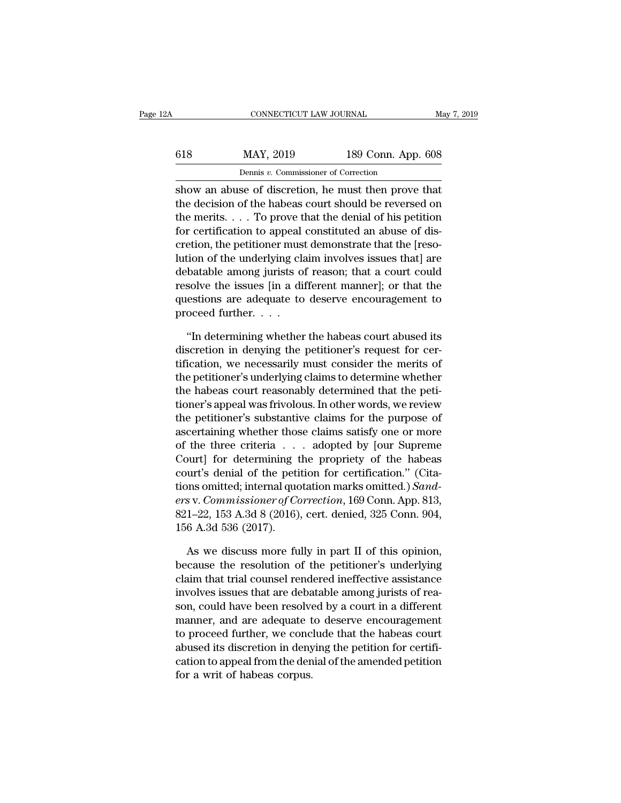| 2A  | CONNECTICUT LAW JOURNAL                             |                    | May 7, 2019 |
|-----|-----------------------------------------------------|--------------------|-------------|
| 618 | MAY, 2019                                           | 189 Conn. App. 608 |             |
|     | Dennis v. Commissioner of Correction                |                    |             |
|     | show an abuse of discretion he must then prove that |                    |             |

 $\begin{array}{ll}\n & \text{COMRECTICUT LAW JOURNAL} & \text{May 7, 2019} \\
 & \text{MAX, 2019} & \text{189 Conn. App. 608} \\
 & \text{Dennis } v. \text{ Commissioner of Correction} \\
 \text{show an abuse of discretion, he must then prove that} \\
 & \text{the decision of the habeas court should be reversed on} \\
 & \text{The energy that the density of his partition}\n \end{array}$ MAY, 2019 189 Conn. App. 608<br>
Dennis v. Commissioner of Correction<br>
show an abuse of discretion, he must then prove that<br>
the decision of the habeas court should be reversed on<br>
the merits.... To prove that the denial of h 618 MAY, 2019 189 Conn. App. 608<br>
Dennis v. Commissioner of Correction<br>
show an abuse of discretion, he must then prove that<br>
the decision of the habeas court should be reversed on<br>
the merits. . . . To prove that the den 618 MAY, 2019 189 Conn. App. 608<br>
Dennis v. Commissioner of Correction<br>
show an abuse of discretion, he must then prove that<br>
the decision of the habeas court should be reversed on<br>
the merits.... To prove that the denial Dennis  $v$ . Commissioner of Correction<br>
show an abuse of discretion, he must then prove that<br>
the decision of the habeas court should be reversed on<br>
the merits. . . . To prove that the denial of his petition<br>
for certifi being *v*. commissioner of conceduration<br>show an abuse of discretion, he must then prove that<br>the decision of the habeas court should be reversed on<br>the merits. . . . To prove that the denial of his petition<br>for certifica show an abuse of discretion, he must then prove that<br>the decision of the habeas court should be reversed on<br>the merits. . . . To prove that the denial of his petition<br>for certification to appeal constituted an abuse of di the decision of the habeas court should be reversed on<br>the merits. . . . To prove that the denial of his petition<br>for certification to appeal constituted an abuse of dis-<br>cretion, the petitioner must demonstrate that the [ the merits. . . . To prove that the denial of his petition<br>for certification to appeal constituted an abuse of dis-<br>cretion, the petitioner must demonstrate that the [reso-<br>lution of the underlying claim involves issues t for certification to appeal<br>cretion, the petitioner must<br>lution of the underlying cla<br>debatable among jurists of<br>resolve the issues [in a di<br>questions are adequate to<br>proceed further. . . . .<br>"In determining whether tion of the underlying claim involves issues that] are batable among jurists of reason; that a court could solve the issues [in a different manner]; or that the estions are adequate to deserve encouragement to oceed furth debatable among jurists of reason; that a court could<br>resolve the issues [in a different manner]; or that the<br>questions are adequate to deserve encouragement to<br>proceed further....<br>"In determining whether the habeas court

resolve the issues [in a different manner]; or that the<br>questions are adequate to deserve encouragement to<br>proceed further.  $\dots$ .<br>"In determining whether the habeas court abused its<br>discretion in denying the petitioner's questions are adequate to deserve encouragement to<br>proceed further. . . .<br>"In determining whether the habeas court abused its<br>discretion in denying the petitioner's request for cer-<br>tification, we necessarily must consider proceed further.  $\ldots$ <br>
"In determining whether the habeas court abused its<br>
discretion in denying the petitioner's request for cer-<br>
tification, we necessarily must consider the merits of<br>
the petitioner's underlying cla "In determining whether the habeas court abused its<br>discretion in denying the petitioner's request for cer-<br>tification, we necessarily must consider the merits of<br>the petitioner's underlying claims to determine whether<br>the "In determining whether the habeas court abused its<br>discretion in denying the petitioner's request for cer-<br>tification, we necessarily must consider the merits of<br>the petitioner's underlying claims to determine whether<br>the discretion in denying the petitioner's request for certification, we necessarily must consider the merits of the petitioner's underlying claims to determine whether the habeas court reasonably determined that the petitione tification, we necessarily must consider the merits of<br>the petitioner's underlying claims to determine whether<br>the habeas court reasonably determined that the peti-<br>tioner's appeal was frivolous. In other words, we review<br> the petitioner's underlying claims to determine whether<br>the habeas court reasonably determined that the peti-<br>tioner's appeal was frivolous. In other words, we review<br>the petitioner's substantive claims for the purpose of<br> the habeas court reasonably determined that the petitioner's appeal was frivolous. In other words, we review<br>the petitioner's substantive claims for the purpose of<br>ascertaining whether those claims satisfy one or more<br>of tioner's appeal was frivolous. In other words, we review<br>the petitioner's substantive claims for the purpose of<br>ascertaining whether those claims satisfy one or more<br>of the three criteria . . . . adopted by [our Supreme<br>Co the petitioner's substantive claims for the purpose of<br>ascertaining whether those claims satisfy one or more<br>of the three criteria . . . adopted by [our Supreme<br>Court] for determining the propriety of the habeas<br>court's de ascertaning whether those claims satisfy one or more<br>of the three criteria . . . adopted by [our Supreme<br>Court] for determining the propriety of the habeas<br>court's denial of the petition for certification." (Cita-<br>tions om of the three criteria . .<br>Court] for determining t<br>court's denial of the peti<br>tions omitted; internal quoders v. Commissioner of Co<br>821–22, 153 A.3d 8 (2016)<br>156 A.3d 536 (2017).<br>As we discuss more fu urt's denial of the petition for certification." (Cita-<br>ons omitted; internal quotation marks omitted.) Sand-<br>s v. Commissioner of Correction, 169 Conn. App. 813,<br>1–22, 153 A.3d 8 (2016), cert. denied, 325 Conn. 904,<br>6 A.3 tions omitted; internal quotation marks omitted.) Sand-<br>ers v. Commissioner of Correction, 169 Conn. App. 813,<br>821–22, 153 A.3d 8 (2016), cert. denied, 325 Conn. 904,<br>156 A.3d 536 (2017).<br>As we discuss more fully in part I

ers v. Commissioner of Correction, 169 Conn. App. 813,<br>821–22, 153 A.3d 8 (2016), cert. denied, 325 Conn. 904,<br>156 A.3d 536 (2017).<br>As we discuss more fully in part II of this opinion,<br>because the resolution of the petitio 821–22, 153 A.3d 8 (2016), cert. denied, 325 Conn. 904, 156 A.3d 536 (2017).<br>
As we discuss more fully in part II of this opinion, because the resolution of the petitioner's underlying claim that trial counsel rendered ine 156 A.3d 536 (2017).<br>As we discuss more fully in part II of this opinion,<br>because the resolution of the petitioner's underlying<br>claim that trial counsel rendered ineffective assistance<br>involves issues that are debatable am As we discuss more fully in part II of this opinion,<br>because the resolution of the petitioner's underlying<br>claim that trial counsel rendered ineffective assistance<br>involves issues that are debatable among jurists of rea-<br>s As we discuss more fully in part II of this opinion,<br>because the resolution of the petitioner's underlying<br>claim that trial counsel rendered ineffective assistance<br>involves issues that are debatable among jurists of rea-<br>s because the resolution of the petitioner's underlying<br>claim that trial counsel rendered ineffective assistance<br>involves issues that are debatable among jurists of rea-<br>son, could have been resolved by a court in a differen claim that trial counsel rendered ineffective assistance<br>involves issues that are debatable among jurists of rea-<br>son, could have been resolved by a court in a different<br>manner, and are adequate to deserve encouragement<br>to mvolves issues that are deba<br>son, could have been resolve<br>manner, and are adequate t<br>to proceed further, we conc<br>abused its discretion in deny<br>cation to appeal from the den<br>for a writ of habeas corpus.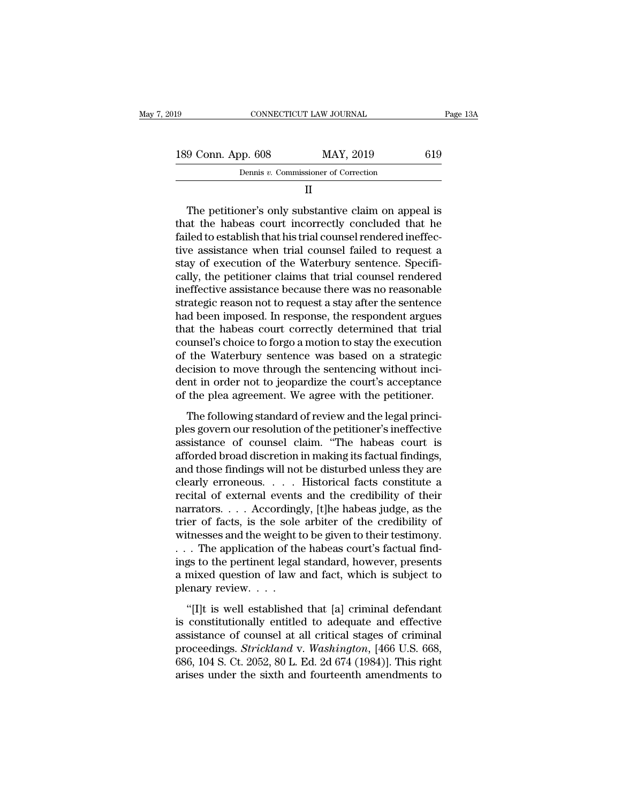| 019 |                    | CONNECTICUT LAW JOURNAL              | Page 13A |
|-----|--------------------|--------------------------------------|----------|
|     | 189 Conn. App. 608 | MAY, 2019                            | 619      |
|     |                    | Dennis v. Commissioner of Correction |          |
|     |                    |                                      |          |

### II

 $\begin{array}{r} \text{9 Conn. App. 608} \begin{array}{r} \text{MAY, 2019} \end{array} \begin{array}{r} \text{619} \ \text{Dennis } v. \text{ Commissioner of Correction} \end{array} \ \text{II} \ \end{array}$ <br>
The petitioner's only substantive claim on appeal is<br>
at the habeas court incorrectly concluded that he<br>
loo to establish th 189 Conn. App. 608 MAY, 2019 619<br>
Dennis v. Commissioner of Correction<br>
II<br>
The petitioner's only substantive claim on appeal is<br>
that the habeas court incorrectly concluded that he<br>
failed to establish that his trial cou Failed to establish that his trial counsel failed to request as<br>that the habeas court incorrectly concluded that he<br>failed to establish that his trial counsel rendered ineffec-<br>tive assistance when trial counsel failed to Dennis  $v$ . Commissioner of Correction<br>  $II$ <br>
The petitioner's only substantive claim on appeal is<br>
that the habeas court incorrectly concluded that he<br>
failed to establish that his trial counsel rendered ineffec-<br>
tive as II<br>In The petitioner's only substantive claim on appeal is<br>that the habeas court incorrectly concluded that he<br>failed to establish that his trial counsel rendered ineffec-<br>tive assistance when trial counsel failed to reque The petitioner's only substantive claim on appeal is<br>that the habeas court incorrectly concluded that he<br>failed to establish that his trial counsel rendered ineffec-<br>tive assistance when trial counsel failed to request a<br>s The petitioner's only substantive claim on appeal is<br>that the habeas court incorrectly concluded that he<br>failed to establish that his trial counsel rendered ineffec-<br>tive assistance when trial counsel failed to request a<br>s that the habeas court incorrectly concluded that he failed to establish that his trial counsel rendered ineffective assistance when trial counsel failed to request a stay of execution of the Waterbury sentence. Specificall failed to establish that his trial counsel rendered ineffective assistance when trial counsel failed to request a<br>stay of execution of the Waterbury sentence. Specifi-<br>cally, the petitioner claims that trial counsel render tive assistance when trial counsel failed to request a<br>stay of execution of the Waterbury sentence. Specifi-<br>cally, the petitioner claims that trial counsel rendered<br>ineffective assistance because there was no reasonable<br>s stay of execution of the Waterbury sentence. Specifically, the petitioner claims that trial counsel rendered ineffective assistance because there was no reasonable strategic reason not to request a stay after the sentence cally, the petitioner claims that trial counsel rendered<br>ineffective assistance because there was no reasonable<br>strategic reason not to request a stay after the sentence<br>had been imposed. In response, the respondent argues ineffective assistance because there was no reasonable<br>strategic reason not to request a stay after the sentence<br>had been imposed. In response, the respondent argues<br>that the habeas court correctly determined that trial<br>co strategic reason not to request a stay after the sentence<br>had been imposed. In response, the respondent argues<br>that the habeas court correctly determined that trial<br>counsel's choice to forgo a motion to stay the execution<br> had been imposed. In response, the respondent argues<br>that the habeas court correctly determined that trial<br>counsel's choice to forgo a motion to stay the execution<br>of the Waterbury sentence was based on a strategic<br>decisio and the mascal controllor determined that the<br>unsel's choice to forgo a motion to stay the execution<br>the Waterbury sentence was based on a strategic<br>cision to move through the sentencing without inci-<br>nt in order not to je bested to provide to provide the stage of the Waterbury sentence was based on a strategic<br>decision to move through the sentencing without inci-<br>dent in order not to jeopardize the court's acceptance<br>of the plea agreement.

are materially scheme was saled on a strategie<br>decision to move through the sentencing without inci-<br>dent in order not to jeopardize the court's acceptance<br>of the plea agreement. We agree with the petitioner.<br>The following dent in order not to jeopardize the court's acceptance<br>of the plea agreement. We agree with the petitioner.<br>The following standard of review and the legal princi-<br>ples govern our resolution of the petitioner's ineffective<br> and the plea agreement. We agree with the petitioner.<br>The following standard of review and the legal princi-<br>ples govern our resolution of the petitioner's ineffective<br>assistance of counsel claim. "The habeas court is<br>affo The following standard of review and the legal princi-<br>ples govern our resolution of the petitioner's ineffective<br>assistance of counsel claim. "The habeas court is<br>afforded broad discretion in making its factual findings, The following standard of review and the legal princi-<br>ples govern our resolution of the petitioner's ineffective<br>assistance of counsel claim. "The habeas court is<br>afforded broad discretion in making its factual findings,<br> ples govern our resolution of the petitioner's ineffective<br>assistance of counsel claim. "The habeas court is<br>afforded broad discretion in making its factual findings,<br>and those findings will not be disturbed unless they ar assistance of counsel claim. "The habeas court is<br>afforded broad discretion in making its factual findings,<br>and those findings will not be disturbed unless they are<br>clearly erroneous. . . . Historical facts constitute a<br>re afforded broad discretion in making its factual findings,<br>and those findings will not be disturbed unless they are<br>clearly erroneous. . . . Historical facts constitute a<br>recital of external events and the credibility of th and those findings will not be disturbed unless they are clearly erroneous. . . . Historical facts constitute a recital of external events and the credibility of their narrators. . . . Accordingly, [t]he habeas judge, as t clearly erroneous. . . . Historical facts constitute a<br>recital of external events and the credibility of their<br>narrators. . . . Accordingly, [t]he habeas judge, as the<br>trier of facts, is the sole arbiter of the credibility recital of external events and the credibility of their<br>narrators.... Accordingly, [t]he habeas judge, as the<br>trier of facts, is the sole arbiter of the credibility of<br>witnesses and the weight to be given to their testimo narrators. . . . According<br>trier of facts, is the sole<br>witnesses and the weight t<br>. . . The application of th<br>ings to the pertinent legal<br>a mixed question of law :<br>plenary review. . . . .<br>"[I]t is well established thesses and the weight to be given to their testimony.<br>
The application of the habeas court's factual find-<br>
gs to the pertinent legal standard, however, presents<br>
mixed question of law and fact, which is subject to<br>
enary is constitutionally entitled to adequate and effective<br>assistance of the habeas court's factual find-<br>ings to the pertinent legal standard, however, presents<br>a mixed question of law and fact, which is subject to<br>plenary r

ings to the pertinent legal standard, however, presents<br>a mixed question of law and fact, which is subject to<br>plenary review....<br>"[I]t is well established that [a] criminal defendant<br>is constitutionally entitled to adequa a mixed question of law and fact, which is subject to<br>plenary review. . . .<br>"[I]t is well established that [a] criminal defendant<br>is constitutionally entitled to adequate and effective<br>assistance of counsel at all critical d mated question of law did flact, which is subject to<br>plenary review....<br>"[I]t is well established that [a] criminal defendant<br>is constitutionally entitled to adequate and effective<br>assistance of counsel at all critical s "[I]t is well established that [a] criminal defendant<br>is constitutionally entitled to adequate and effective<br>assistance of counsel at all critical stages of criminal<br>proceedings. *Strickland* v. *Washington*, [466 U.S. 66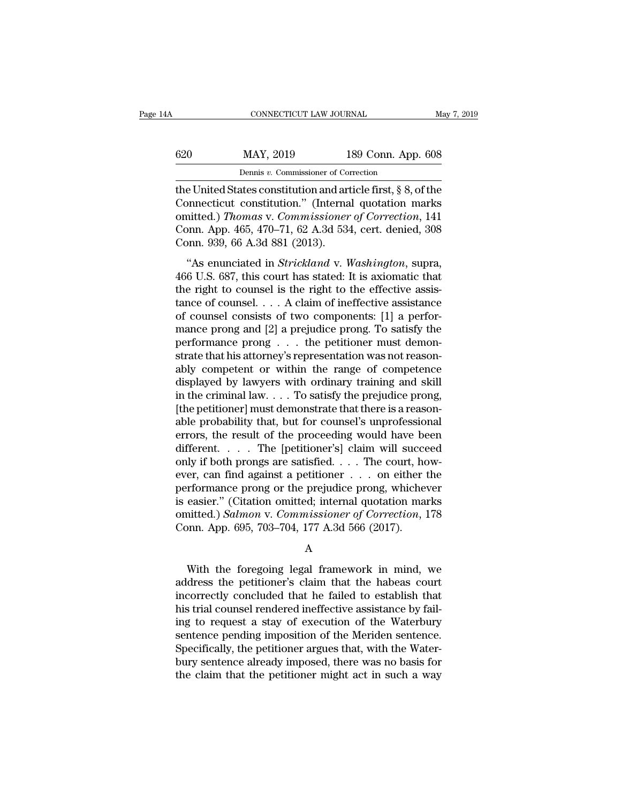| 4Α  | CONNECTICUT LAW JOURNAL                                     |                    | May 7, 2019 |
|-----|-------------------------------------------------------------|--------------------|-------------|
| 620 | MAY, 2019                                                   | 189 Conn. App. 608 |             |
|     | Dennis v. Commissioner of Correction                        |                    |             |
|     | the United States constitution and article first 8.8 of the |                    |             |

CONNECTICUT LAW JOURNAL May 7, 2019<br>
620 MAY, 2019 189 Conn. App. 608<br>
Dennis v. Commissioner of Correction<br>
the United States constitution and article first, § 8, of the<br>
Connecticut constitution." (Internal quotation mar G20 MAY, 2019 189 Conn. App. 608<br>
Dennis v. Commissioner of Correction<br>
the United States constitution and article first, § 8, of the<br>
Connecticut constitution.'' (Internal quotation marks<br>
omitted.) Thomas v. Commissioner 620 MAY, 2019 189 Conn. App. 608<br>
Dennis v. Commissioner of Correction<br>
the United States constitution and article first, § 8, of the<br>
Connecticut constitution." (Internal quotation marks<br>
omitted.) *Thomas* v. *Commission* MAY, 2019 189 Conn. App. 608<br>
Dennis v. Commissioner of Correction<br>
the United States constitution and article first, § 8, of the<br>
Connecticut constitution." (Internal quotation marks<br>
omitted.) Thomas v. Commissioner of C Dennis v. Commissioner of Connecticut Connecticut constitution." (Internal connecticut constitution." (Internal connecticut constitution." (Internal connecticut constitution." (Internal connection. App. 465, 470–71, 62 A.3 e United States constitution and article first, § 8, of the<br>
innecticut constitution." (Internal quotation marks<br>
inited.) *Thomas v. Commissioner of Correction*, 141<br>
Inn. App. 465, 470–71, 62 A.3d 534, cert. denied, 308<br> connecticut constitution." (Internal quotation marks<br>
omitted.) Thomas v. Commissioner of Correction, 141<br>
Conn. App. 465, 470–71, 62 A.3d 534, cert. denied, 308<br>
Conn. 939, 66 A.3d 881 (2013).<br>
"As enunciated in *Strickl* 

omitted.) Thomas v. Commissioner of Correction, 141<br>Conn. App. 465, 470–71, 62 A.3d 534, cert. denied, 308<br>Conn. 939, 66 A.3d 881 (2013).<br>"As enunciated in *Strickland* v. Washington, supra,<br>466 U.S. 687, this court has s Conn. App. 465, 470–71, 62 A.3d 534, cert. denied, 308<br>Conn. 939, 66 A.3d 881 (2013).<br>
"As enunciated in *Strickland* v. *Washington*, supra,<br>
466 U.S. 687, this court has stated: It is axiomatic that<br>
the right to counse Conn. 1<sub>4Pp</sub>. 169, 110 11, 62 1.8d 691, ecl. denied, 566<br>Conn. 939, 66 A.3d 881 (2013).<br>"As enunciated in *Strickland* v. *Washington*, supra,<br>466 U.S. 687, this court has stated: It is axiomatic that<br>the right to counsel "As enunciated in *Strickland* v. *Washington*, supra, 466 U.S. 687, this court has stated: It is axiomatic that the right to counsel is the right to the effective assistance of counsel.... A claim of ineffective assistan "As enunciated in *Strickland* v. *Washington*, supra, 466 U.S. 687, this court has stated: It is axiomatic that the right to counsel is the right to the effective assistance of counsel . . . . A claim of ineffective assi 466 U.S. 687, this court has stated: It is axiomatic that<br>the right to counsel is the right to the effective assistance<br>tance of counsel . . . . A claim of ineffective assistance<br>of counsel consists of two components: [1] the right to counsel is the right to the effective assistance<br>tance of counsel.... A claim of ineffective assistance<br>of counsel consists of two components: [1] a perfor-<br>mance prong and [2] a prejudice prong. To satisfy t tance of counsel. . . . A claim of ineffective assistance<br>of counsel consists of two components: [1] a perfor-<br>mance prong and [2] a prejudice prong. To satisfy the<br>performance prong . . . the petitioner must demon-<br>strat of counsel consists of two components: [1] a performance prong and [2] a prejudice prong. To satisfy the performance prong  $\ldots$  the petitioner must demonstrate that his attorney's representation was not reasonably compet mance prong and [2] a prejudice prong. To satisfy the performance prong  $\ldots$  the petitioner must demonstrate that his attorney's representation was not reasonably competent or within the range of competence displayed by performance prong . . . the petitioner must demonstrate that his attorney's representation was not reasonably competent or within the range of competence displayed by lawyers with ordinary training and skill in the crimina strate that his attorney's representation was not reasonably competent or within the range of competence displayed by lawyers with ordinary training and skill in the criminal law. . . . To satisfy the prejudice prong, [the ably competent or within the range of competence<br>displayed by lawyers with ordinary training and skill<br>in the criminal law.... To satisfy the prejudice prong,<br>[the petitioner] must demonstrate that there is a reason-<br>able displayed by lawyers with ordinary training and skill<br>in the criminal law. . . . To satisfy the prejudice prong,<br>[the petitioner] must demonstrate that there is a reason-<br>able probability that, but for counsel's unprofess in the criminal law. . . . To satisfy the prejudice prong,<br>
[the petitioner] must demonstrate that there is a reason-<br>
able probability that, but for counsel's unprofessional<br>
errors, the result of the proceeding would ha [the petitioner] must demonstrate that there is a reasonable probability that, but for counsel's unprofessional<br>errors, the result of the proceeding would have been<br>different.... The [petitioner's] claim will succeed<br>only able probability that, but for counsel's unprofessional<br>errors, the result of the proceeding would have been<br>different.... The [petitioner's] claim will succeed<br>only if both prongs are satisfied.... The court, how-<br>ever, errors, the result of the proceeding would have been<br>different.... The [petitioner's] claim will succeed<br>only if both prongs are satisfied.... The court, how-<br>ever, can find against a petitioner ... on either the<br>performan different. . . . . The [petitioner's] claim will succe<br>only if both prongs are satisfied. . . . The court, ho<br>ever, can find against a petitioner . . . on either performance prong or the prejudice prong, whiche<br>is easier. rformance prong or the prejudice prong, whichever<br>easier." (Citation omitted; internal quotation marks<br>aitted.) Salmon v. Commissioner of Correction, 178<br>pnn. App. 695, 703–704, 177 A.3d 566 (2017).<br>A<br>With the foregoing le

### A

is easier." (Citation omitted; internal quotation marks<br>
omitted.) Salmon v. Commissioner of Correction, 178<br>
Conn. App. 695, 703–704, 177 A.3d 566 (2017).<br>
A<br>
With the foregoing legal framework in mind, we<br>
address the p omitted.) Salmon v. Commissioner of Correction, 178<br>Conn. App. 695, 703–704, 177 A.3d 566 (2017).<br>A<br>With the foregoing legal framework in mind, we<br>address the petitioner's claim that the habeas court<br>incorrectly concluded Conn. App. 695, 703–704, 177 A.3d 566 (2017).<br>
A<br>
With the foregoing legal framework in mind, we<br>
address the petitioner's claim that the habeas court<br>
incorrectly concluded that he failed to establish that<br>
his trial coun A<br>
With the foregoing legal framework in mind, we<br>
address the petitioner's claim that the habeas court<br>
incorrectly concluded that he failed to establish that<br>
his trial counsel rendered ineffective assistance by fail-<br>
i With the foregoing legal framework in mind, we<br>address the petitioner's claim that the habeas court<br>incorrectly concluded that he failed to establish that<br>his trial counsel rendered ineffective assistance by fail-<br>ing to r With the foregoing legal framework in mind, we<br>address the petitioner's claim that the habeas court<br>incorrectly concluded that he failed to establish that<br>his trial counsel rendered ineffective assistance by fail-<br>ing to r address the petitioner's claim that the habeas court<br>incorrectly concluded that he failed to establish that<br>his trial counsel rendered ineffective assistance by fail-<br>ing to request a stay of execution of the Waterbury<br>sen incorrectly concluded that he failed to establish that<br>his trial counsel rendered ineffective assistance by fail-<br>ing to request a stay of execution of the Waterbury<br>sentence pending imposition of the Meriden sentence.<br>Spe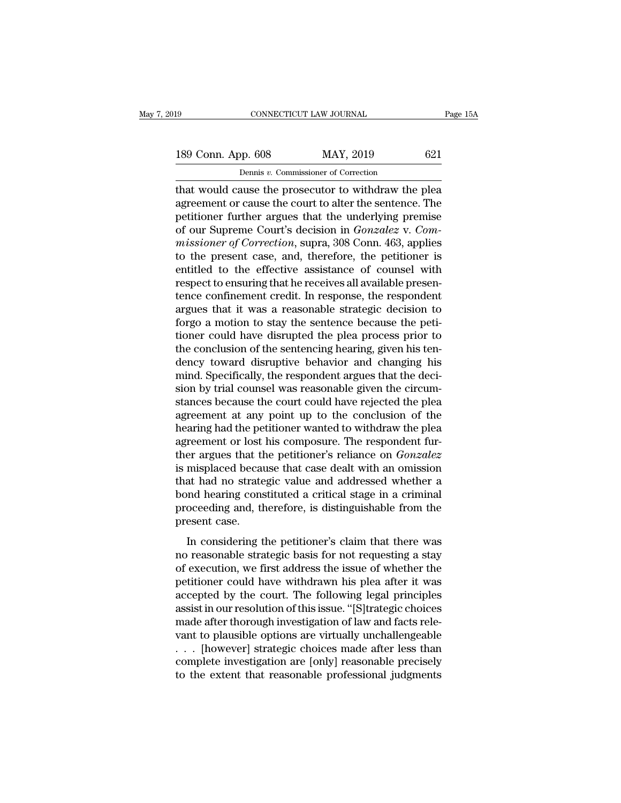## 189 CONNECTICUT LAW JOURNAL Page 15A<br>
189 Conn. App. 608 MAY, 2019 621<br>
Dennis v. Commissioner of Correction CONNECTICUT LAW JOURNAL<br>
189 Conn. App. 608 MAY, 2019 621<br>
Dennis *v*. Commissioner of Correction<br>
that would cause the prosecutor to withdraw the plea

The CONNECTICUT LAW JOURNAL Page 15A<br>
189 Conn. App. 608 MAY, 2019 621<br>
Dennis v. Commissioner of Correction<br>
that would cause the prosecutor to withdraw the plea<br>
agreement or cause the court to alter the sentence. The 189 Conn. App. 608 MAY, 2019 621<br>
Dennis v. Commissioner of Correction<br>
that would cause the prosecutor to withdraw the plea<br>
agreement or cause the court to alter the sentence. The<br>
petitioner further argues that the und 189 Conn. App. 608 MAY, 2019 621<br>
Dennis v. Commissioner of Correction<br>
that would cause the prosecutor to withdraw the plea<br>
agreement or cause the court to alter the sentence. The<br>
petitioner further argues that the und **189 Conn. App. 608** MAY, 2019 621<br>
Dennis v. Commissioner of Correction<br>
that would cause the prosecutor to withdraw the plea<br>
agreement or cause the court to alter the sentence. The<br>
petitioner further argues that the un **Example 1999 Contains and the United States of Correction**<br> **mass v. Commissioner of Correction**<br> **agreement or cause the court to alter the sentence. The**<br> **petitioner further argues that the underlying premise**<br> **of our** Dennis v. Commissioner of Correction<br>that would cause the prosecutor to withdraw the plea<br>agreement or cause the court to alter the sentence. The<br>petitioner further argues that the underlying premise<br>of our Supreme Court' that would cause the prosecutor to withdraw the plea<br>agreement or cause the court to alter the sentence. The<br>petitioner further argues that the underlying premise<br>of our Supreme Court's decision in *Gonzalez* v. *Com-<br>miss* agreement or cause the court to alter the sentence. The<br>petitioner further argues that the underlying premise<br>of our Supreme Court's decision in *Gonzalez* v. *Com-<br>missioner of Correction*, supra, 308 Conn. 463, applies<br>t petitioner further argues that the underlying premise<br>of our Supreme Court's decision in *Gonzalez* v. *Com-<br>missioner of Correction*, supra, 308 Conn. 463, applies<br>to the present case, and, therefore, the petitioner is<br>en of our Supreme Court's decision in *Gonzalez* v. *Commissioner of Correction*, supra, 308 Conn. 463, applies<br>to the present case, and, therefore, the petitioner is<br>entitled to the effective assistance of counsel with<br>respe missioner of Correction, supra, 308 Conn. 463, applies<br>to the present case, and, therefore, the petitioner is<br>entitled to the effective assistance of counsel with<br>respect to ensuring that he receives all available presen-<br> to the present case, and, therefore, the petitioner is<br>entitled to the effective assistance of counsel with<br>respect to ensuring that he receives all available presen-<br>tence confinement credit. In response, the respondent<br>a entitled to the effective assistance of counsel with<br>respect to ensuring that he receives all available presen-<br>tence confinement credit. In response, the respondent<br>argues that it was a reasonable strategic decision to<br>fo respect to ensuring that he receives all available presentence confinement credit. In response, the respondent<br>argues that it was a reasonable strategic decision to<br>forgo a motion to stay the sentence because the peti-<br>tio tence confinement credit. In response, the respondent argues that it was a reasonable strategic decision to forgo a motion to stay the sentence because the petitioner could have disrupted the plea process prior to the conc argues that it was a reasonable strategic decision to<br>forgo a motion to stay the sentence because the peti-<br>tioner could have disrupted the plea process prior to<br>the conclusion of the sentencing hearing, given his ten-<br>den forgo a motion to stay the sentence because the petitioner could have disrupted the plea process prior to the conclusion of the sentencing hearing, given his tendency toward disruptive behavior and changing his mind. Speci tioner could have disrupted the plea process prior to<br>the conclusion of the sentencing hearing, given his ten-<br>dency toward disruptive behavior and changing his<br>mind. Specifically, the respondent argues that the deci-<br>sion the conclusion of the sentencing hearing, given his ten-<br>dency toward disruptive behavior and changing his<br>mind. Specifically, the respondent argues that the deci-<br>sion by trial counsel was reasonable given the circum-<br>sta dency toward disruptive behavior and changing his<br>mind. Specifically, the respondent argues that the deci-<br>sion by trial counsel was reasonable given the circum-<br>stances because the court could have rejected the plea<br>agree mind. Specifically, the respondent argues that the decision by trial counsel was reasonable given the circumstances because the court could have rejected the pleadagreement at any point up to the conclusion of the hearing sion by trial counsel was reasonable given the circum-<br>stances because the court could have rejected the plea<br>agreement at any point up to the conclusion of the<br>hearing had the petitioner wanted to withdraw the plea<br>agreem stances because the court could have rejected the plea<br>agreement at any point up to the conclusion of the<br>hearing had the petitioner wanted to withdraw the plea<br>agreement or lost his composure. The respondent fur-<br>ther arg agreement at any point up to the conclusion of the<br>hearing had the petitioner wanted to withdraw the plea<br>agreement or lost his composure. The respondent fur-<br>ther argues that the petitioner's reliance on *Gonzalez*<br>is mis hearing had the petitioner wanted to withdraw the plea<br>agreement or lost his composure. The respondent fur-<br>ther argues that the petitioner's reliance on *Gonzalez*<br>is misplaced because that case dealt with an omission<br>tha agreement or lost<br>ther argues that the<br>is misplaced becau<br>that had no strate<br>bond hearing cons<br>proceeding and, th<br>present case.<br>In considering t In considerate that case dealt with an omission<br>at had no strategic value and addressed whether a<br>and hearing constituted a critical stage in a criminal<br>oceeding and, therefore, is distinguishable from the<br>esent case.<br>In c no misplaced because and case dealt what an omission<br>that had no strategic value and addressed whether a<br>bond hearing constituted a critical stage in a criminal<br>proceeding and, therefore, is distinguishable from the<br>presen

and had no strategie value and addressed whencer a<br>bond hearing constituted a critical stage in a criminal<br>proceeding and, therefore, is distinguishable from the<br>present case.<br>In considering the petitioner's claim that the proceeding and, therefore, is distinguishable from the<br>present case.<br>In considering the petitioner's claim that there was<br>no reasonable strategic basis for not requesting a stay<br>of execution, we first address the issue of proceeding and, alternate, is disaligated from the<br>present case.<br>In considering the petitioner's claim that there was<br>no reasonable strategic basis for not requesting a stay<br>of execution, we first address the issue of whet In considering the petitioner's claim that there was<br>no reasonable strategic basis for not requesting a stay<br>of execution, we first address the issue of whether the<br>petitioner could have withdrawn his plea after it was<br>acc In considering the petitioner's claim that there was<br>no reasonable strategic basis for not requesting a stay<br>of execution, we first address the issue of whether the<br>petitioner could have withdrawn his plea after it was<br>acc no reasonable strategic basis for not requesting a stay<br>of execution, we first address the issue of whether the<br>petitioner could have withdrawn his plea after it was<br>accepted by the court. The following legal principles<br>as of execution, we first address the issue of whether the<br>petitioner could have withdrawn his plea after it was<br>accepted by the court. The following legal principles<br>assist in our resolution of this issue. "[S]trategic choic petitioner could have withdrawn his plea after it was<br>accepted by the court. The following legal principles<br>assist in our resolution of this issue. "[S]trategic choices<br>made after thorough investigation of law and facts re accepted by the court. The following legal principles<br>assist in our resolution of this issue. "[S]trategic choices<br>made after thorough investigation of law and facts rele-<br>vant to plausible options are virtually unchalleng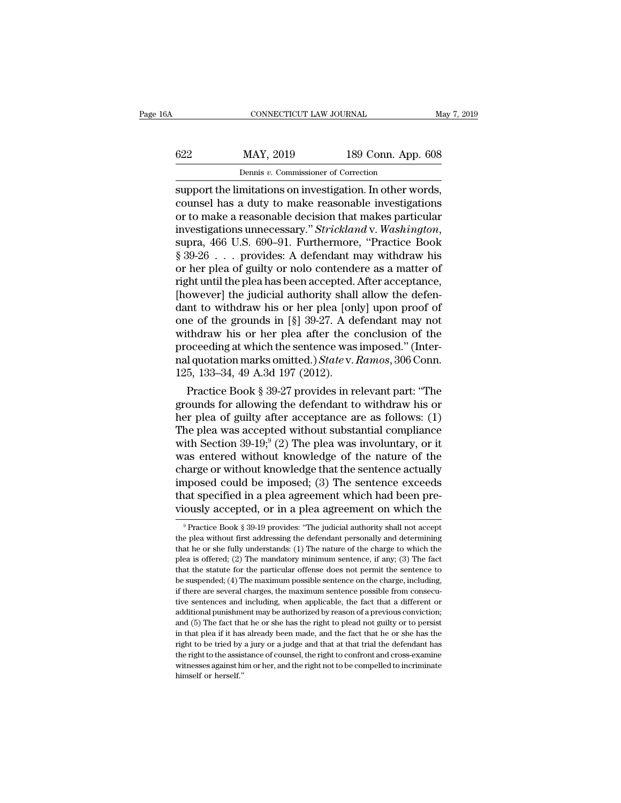|     | CONNECTICUT LAW JOURNAL                                  |                    | May 7, 2019 |
|-----|----------------------------------------------------------|--------------------|-------------|
|     |                                                          |                    |             |
| 622 | MAY, 2019                                                | 189 Conn. App. 608 |             |
|     | Dennis v. Commissioner of Correction                     |                    |             |
|     | support the limitations on investigation. In other words |                    |             |

CONNECTICUT LAW JOURNAL May 7, 2<br>
Support the limitations on investigation. In other words,<br>
support the limitations on investigation. In other words,<br>
counsel has a duty to make reasonable investigations<br>
or to make a rea 622 MAY, 2019 189 Conn. App. 608<br>
Dennis v. Commissioner of Correction<br>
support the limitations on investigation. In other words,<br>
counsel has a duty to make reasonable investigations<br>
or to make a reasonable decision that 622 MAY, 2019 189 Conn. App. 608<br>
Dennis v. Commissioner of Correction<br>
support the limitations on investigation. In other words,<br>
counsel has a duty to make reasonable investigations<br>
or to make a reasonable decision tha **interty** *MAY*, 2019 189 Conn. App. 608<br> **Example 189 Conn.** App. 608<br> **Example 189 Conn.** App. 608<br> **Example 189 Conn.** App. 608<br> **Example 189 Conn.** App. 608<br> **Example: Example: Example: Example: Example: Exam EXECUTE: DENSITY OF SURFACTS CONTROVERTY**<br> **EXECUTE:** Support the limitations on investigation. In other words,<br>
counsel has a duty to make reasonable investigations<br>
or to make a reasonable decision that makes particular support the limitations on investigation. In other words,<br>counsel has a duty to make reasonable investigations<br>or to make a reasonable decision that makes particular<br>investigations unnecessary." *Strickland* v. *Washington* counsel has a duty to make reasonable investigations<br>or to make a reasonable decision that makes particular<br>investigations unnecessary." *Strickland* v. *Washington*,<br>supra, 466 U.S. 690–91. Furthermore, "Practice Book<br>§ 3 or to make a reasonable decision that makes particular<br>investigations unnecessary." *Strickland* v. Washington,<br>supra, 466 U.S. 690–91. Furthermore, "Practice Book<br>§ 39-26 . . . provides: A defendant may withdraw his<br>or h investigations unnecessary." *Strickland* v. *Washington*,<br>supra, 466 U.S. 690–91. Furthermore, "Practice Book<br>§ 39-26 . . . provides: A defendant may withdraw his<br>or her plea of guilty or nolo contendere as a matter of<br>ri supra, 466 U.S. 690–91. Furthermore, "Practice Book  $\S 39-26$  . . . provides: A defendant may withdraw his or her plea of guilty or nolo contendere as a matter of right until the plea has been accepted. After acceptance, § 39-26 . . . provides: A defendant may withdraw his<br>or her plea of guilty or nolo contendere as a matter of<br>right until the plea has been accepted. After acceptance,<br>[however] the judicial authority shall allow the defen or her plea of guilty or nolo contendere as a matter of<br>right until the plea has been accepted. After acceptance,<br>[however] the judicial authority shall allow the defen-<br>dant to withdraw his or her plea [only] upon proof right until the plea has been accepted. After acceptance,<br>[however] the judicial authority shall allow the defen-<br>dant to withdraw his or her plea [only] upon proof of<br>one of the grounds in [§] 39-27. A defendant may not<br>w [however] the judicial authority shall<br>dant to withdraw his or her plea [on<br>one of the grounds in [§] 39-27. A de<br>withdraw his or her plea after the c<br>proceeding at which the sentence was<br>nal quotation marks omitted.) *St* In to withdraw his or her plea [only] upon proof of<br>the of the grounds in [§] 39-27. A defendant may not<br>thdraw his or her plea after the conclusion of the<br>oceeding at which the sentence was imposed." (Inter-<br>I quotation one of the grounds in [8] 39-27. A defendant may not<br>withdraw his or her plea after the conclusion of the<br>proceeding at which the sentence was imposed." (Inter-<br>nal quotation marks omitted.) *State* v. Ramos, 306 Conn.<br>12

withdraw his or her plea after the conclusion of the<br>proceeding at which the sentence was imposed." (Inter-<br>nal quotation marks omitted.) State v. Ramos, 306 Conn.<br>125, 133–34, 49 A.3d 197 (2012).<br>Practice Book § 39-27 pr proceeding at which the sentence was imposed. (Inter-<br>nal quotation marks omitted.) *State* v. Ramos, 306 Conn.<br>125, 133–34, 49 A.3d 197 (2012).<br>Practice Book § 39-27 provides in relevant part: "The<br>grounds for allowing t marquotation marks omitted.) *State v. Ramos*, 500 Cofin.<br>125, 133–34, 49 A.3d 197 (2012).<br>Practice Book § 39-27 provides in relevant part: "The<br>grounds for allowing the defendant to withdraw his or<br>her plea of guilty aft 125, 135–34, 49 A.5d 197 (2012).<br>
Practice Book § 39-27 provides in relevant part: "The<br>
grounds for allowing the defendant to withdraw his or<br>
her plea of guilty after acceptance are as follows: (1)<br>
The plea was accepte Practice Book § 39-27 provides in relevant part: "The<br>grounds for allowing the defendant to withdraw his or<br>her plea of guilty after acceptance are as follows:  $(1)$ <br>The plea was accepted without substantial compliance<br>wi grounds for allowing the defendant to withdraw his or<br>her plea of guilty after acceptance are as follows: (1)<br>The plea was accepted without substantial compliance<br>with Section 39-19;<sup>9</sup> (2) The plea was involuntary, or it her plea of guilty after acceptance are as follows: (1)<br>The plea was accepted without substantial compliance<br>with Section 39-19;<sup>9</sup> (2) The plea was involuntary, or it<br>was entered without knowledge of the nature of the<br>cha The plea was accepted without substantial compliance<br>with Section 39-19;<sup>9</sup> (2) The plea was involuntary, or it<br>was entered without knowledge of the nature of the<br>charge or without knowledge that the sentence actually<br>imp narge or without knowledge that the sentence actually<br>apposed could be imposed; (3) The sentence exceeds<br>aat specified in a plea agreement which had been pre-<br>ously accepted, or in a plea agreement on which the<br><sup>9</sup>Practice imposed could be imposed; (3) The sentence exceeds<br>that specified in a plea agreement which had been pre-<br>viously accepted, or in a plea agreement on which the<br> $\frac{9}{2}$ Practice Book § 39-19 provides: "The judicial author

that specified in a plea agreement which had been previously accepted, or in a plea agreement on which the <sup>9</sup> Practice Book § 39-19 provides: "The judicial authority shall not accept the plea without first addressing the viously accepted, or in a plea agreement on which the<br>
<sup>9</sup> Practice Book § 39-19 provides: "The judicial authority shall not accept<br>
the plea without first addressing the defendant personally and determining<br>
that he or s Practice Book § 39-19 provides: "The judicial authority shall not accept<br>  $\theta$  Practice Book § 39-19 provides: "The judicial authority shall not accept<br>
the plea without first addressing the defendant personally and deter <sup>9</sup> Practice Book § 39-19 provides: "The judicial authority shall not accept the plea without first addressing the defendant personally and determining that he or she fully understands: (1) The nature of the charge to whi the plea without first addressing the defendant personally and determining that he or she fully understands: (1) The nature of the charge to which the plea is offered; (2) The mandatory minimum sentence, if any; (3) The fa that he or she fully understands: (1) The nature of the charge to which the plea is offered; (2) The mandatory minimum sentence, if any; (3) The fact that the statute for the particular offense does not permit the sentence plea is offered; (2) The mandatory minimum sentence, if any; (3) The fact that the statute for the particular offense does not permit the sentence to be suspended; (4) The maximum possible sentence on the charge, including Fractional that the statute for the particular offense does not permit the sentence to be suspended; (4) The maximum possible sentence on the charge, including, if there are several charges, the maximum sentence possible in that subsequently the maximum possible sentence on the charge, including, the suspended; (4) The maximum possible sentence on the charge, including, if there are several charges, the maximum sentence possible from conse if there are several charges, the maximum sentence possible from consecutive sentences and including, when applicable, the fact that a different or additional punishment may be authorized by reason of a previous conviction the right to the assistance of counsel, the right to the complete process and including, when applicable, the fact that a different or additional punishment may be authorized by reason of a previous conviction; and (5) The and ditional punishment may be authorized by reason of a previous conviction;<br>and (5) The fact that he or she has the right to plead not guilty or to persist<br>in that plea if it has already been made, and the fact that he o and (5) The fact that he or she has the right to plead not guilty or to persist<br>in that plea if it has already been made, and the fact that he or she has the<br>right to be tried by a jury or a judge and that at that trial t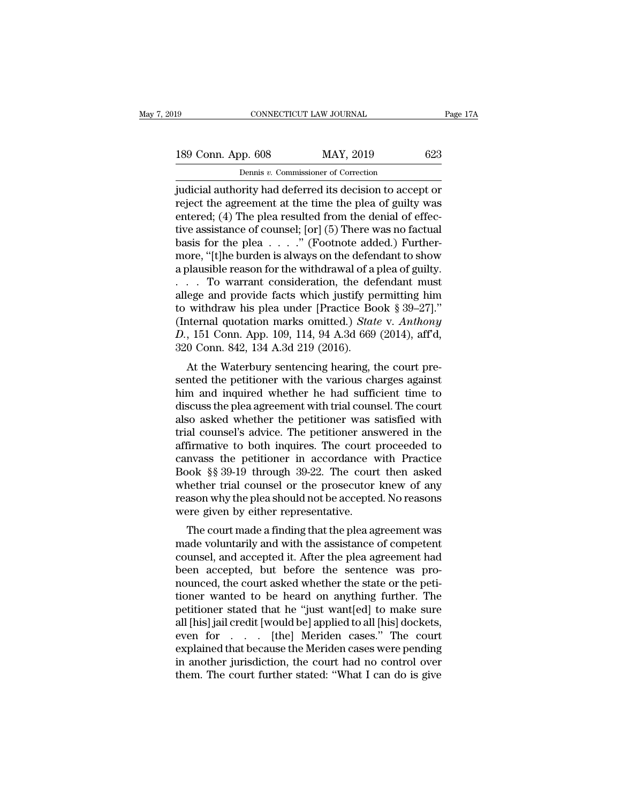189 CONNECTICUT LAW JOURNAL Page 17A<br>
189 Conn. App. 608 MAY, 2019 623<br>
Dennis v. Commissioner of Correction CONNECTICUT LAW JOURNAL<br>Dennis *v.* Commissioner of Correction<br>Dennis *v.* Commissioner of Correction<br>Drifty had deferred its decision to acce

Fage 17A<br>189 Conn. App. 608 MAY, 2019 623<br>Dennis v. Commissioner of Correction<br>judicial authority had deferred its decision to accept or<br>reject the agreement at the time the plea of guilty was<br>entered: (4) The plea resulte 189 Conn. App. 608 MAY, 2019 623<br>
Dennis v. Commissioner of Correction<br>
judicial authority had deferred its decision to accept or<br>
reject the agreement at the time the plea of guilty was<br>
entered; (4) The plea resulted fro 189 Conn. App. 608 MAY, 2019 623<br>
Dennis v. Commissioner of Correction<br>
judicial authority had deferred its decision to accept or<br>
reject the agreement at the time the plea of guilty was<br>
entered; (4) The plea resulted fr 189 Conn. App. 608 MAY, 2019 623<br>
Dennis v. Commissioner of Correction<br>
judicial authority had deferred its decision to accept or<br>
reject the agreement at the time the plea of guilty was<br>
entered; (4) The plea resulted fr bennis v. Commissioner of Correction<br>
judicial authority had deferred its decision to accept or<br>
reject the agreement at the time the plea of guilty was<br>
entered; (4) The plea resulted from the denial of effec-<br>
tive assi Dennis v. Commissioner of Correction<br>
judicial authority had deferred its decision to accept or<br>
reject the agreement at the time the plea of guilty was<br>
entered; (4) The plea resulted from the denial of effec-<br>
tive assi judicial authority had deferred its decision to accept or<br>reject the agreement at the time the plea of guilty was<br>entered; (4) The plea resulted from the denial of effec-<br>tive assistance of counsel; [or] (5) There was no f reject the agreement at the time the plea of guilty was<br>entered; (4) The plea resulted from the denial of effec-<br>tive assistance of counsel; [or] (5) There was no factual<br>basis for the plea . . . . " (Footnote added.) Fur entered; (4) The plea resulted from the denial of effective assistance of counsel; [or] (5) There was no factual<br>basis for the plea . . . . ." (Footnote added.) Furthermore, "[t]he burden is always on the defendant to sho tive assistance of counsel; [or] (5) There was no factual<br>basis for the plea . . . . ." (Footnote added.) Further-<br>more, "[t]he burden is always on the defendant to show<br>a plausible reason for the withdrawal of a plea of basis for the plea  $\ldots$ ." (Footnote added.) Furthermore, "[t]he burden is always on the defendant to show<br>a plausible reason for the withdrawal of a plea of guilty.<br> $\ldots$  To warrant consideration, the defendant must<br>alle more, "[t]he burden is always on the defendant to show<br>a plausible reason for the withdrawal of a plea of guilty.<br>. . . . To warrant consideration, the defendant must<br>allege and provide facts which justify permitting him<br>t a plausible reason for the withdrawal of a<br>
. . . To warrant consideration, the de-<br>
allege and provide facts which justify po<br>
to withdraw his plea under [Practice Bo<br>
(Internal quotation marks omitted.) *Stat*<br>
D., 151 C At the Wateralion, the defendant must<br>ege and provide facts which justify permitting him<br>withdraw his plea under [Practice Book § 39–27]."<br>ternal quotation marks omitted.) State v. Anthony<br>151 Conn. App. 109, 114, 94 A.3d anege and provide racts which justify permitting film<br>to withdraw his plea under [Practice Book § 39–27]."<br>(Internal quotation marks omitted.) *State v. Anthony*<br>D., 151 Conn. App. 109, 114, 94 A.3d 669 (2014), aff'd,<br>320

to withdaw his piea under [Fractice Book  $s$  33–27].<br>(Internal quotation marks omitted.) *State v. Anthony*<br>*D.*, 151 Conn. App. 109, 114, 94 A.3d 669 (2014), aff'd,<br>320 Conn. 842, 134 A.3d 219 (2016).<br>At the Waterbury se D., 151 Conn. App. 109, 114, 94 A.3d 669 (2014), aff'd, 320 Conn. 842, 134 A.3d 219 (2016).<br>At the Waterbury sentencing hearing, the court pre-<br>sented the petitioner with the various charges against<br>him and inquired wheth  $B$ , 151 Colli. App. 109, 114, 94 A.3d 009 (2014), and,<br>320 Conn. 842, 134 A.3d 219 (2016).<br>At the Waterbury sentencing hearing, the court pre-<br>sented the petitioner with the various charges against<br>him and inquired wheth  $520$  Collit.  $642$ ,  $154$  A.5d  $219$  ( $2010$ ).<br>At the Waterbury sentencing hearing, the court presented the petitioner with the various charges against<br>him and inquired whether he had sufficient time to<br>discuss the plea At the Waterbury sentencing hearing, the court pre-<br>sented the petitioner with the various charges against<br>him and inquired whether he had sufficient time to<br>discuss the plea agreement with trial counsel. The court<br>also as sented the petitioner with the various charges against<br>him and inquired whether he had sufficient time to<br>discuss the plea agreement with trial counsel. The court<br>also asked whether the petitioner was satisfied with<br>trial him and inquired whether he had sufficient time to<br>discuss the plea agreement with trial counsel. The court<br>also asked whether the petitioner was satisfied with<br>trial counsel's advice. The petitioner answered in the<br>affirm discuss the plea agreement with trial counsel. The court<br>also asked whether the petitioner was satisfied with<br>trial counsel's advice. The petitioner answered in the<br>affirmative to both inquires. The court proceeded to<br>canv also asked whether the petitioner was satisfied with<br>trial counsel's advice. The petitioner answered in the<br>affirmative to both inquires. The court proceeded to<br>canvass the petitioner in accordance with Practice<br>Book §§ 39 trial counsel's advice. The petitioner ans<br>affirmative to both inquires. The court p<br>canvass the petitioner in accordance v<br>Book §§ 39-19 through 39-22. The court<br>whether trial counsel or the prosecutor<br>reason why the plea miniarive to both inquires. The court proceeded to<br>nvass the petitioner in accordance with Practice<br>ook §§ 39-19 through 39-22. The court then asked<br>nether trial counsel or the prosecutor knew of any<br>ason why the plea shou Examples are perticular in accordance with tractice<br>Book §§ 39-19 through 39-22. The court then asked<br>whether trial counsel or the prosecutor knew of any<br>reason why the plea should not be accepted. No reasons<br>were given by

book 88.33-13 through 33-22. The court then asked<br>whether trial counsel or the prosecutor knew of any<br>reason why the plea should not be accepted. No reasons<br>were given by either representative.<br>The court made a finding tha whether that courser of the prosection kilew of any<br>reason why the plea should not be accepted. No reasons<br>were given by either representative.<br>The court made a finding that the plea agreement was<br>made voluntarily and with reason why the plea should not be accepted. No reasons<br>were given by either representative.<br>The court made a finding that the plea agreement was<br>made voluntarily and with the assistance of competent<br>counsel, and accepted i Were given by either representative.<br>The court made a finding that the plea agreement was<br>made voluntarily and with the assistance of competent<br>counsel, and accepted it. After the plea agreement had<br>been accepted, but befo The court made a finding that the plea agreement was<br>made voluntarily and with the assistance of competent<br>counsel, and accepted it. After the plea agreement had<br>been accepted, but before the sentence was pro-<br>nounced, the made voluntarily and with the assistance of competent<br>counsel, and accepted it. After the plea agreement had<br>been accepted, but before the sentence was pro-<br>nounced, the court asked whether the state or the peti-<br>tioner wa counsel, and accepted it. After the plea agreement had<br>been accepted, but before the sentence was pro-<br>nounced, the court asked whether the state or the peti-<br>tioner wanted to be heard on anything further. The<br>petitioner s been accepted, but before the sentence was pro-<br>nounced, the court asked whether the state or the peti-<br>tioner wanted to be heard on anything further. The<br>petitioner stated that he "just want[ed] to make sure<br>all [his] jai nounced, the court asked whether the state or the petitioner wanted to be heard on anything further. The petitioner stated that he "just want[ed] to make sure all [his] jail credit [would be] applied to all [his] dockets, tioner wanted to be heard on anything further. The<br>petitioner stated that he "just want[ed] to make sure<br>all [his] jail credit [would be] applied to all [his] dockets,<br>even for . . . [the] Meriden cases." The court<br>explain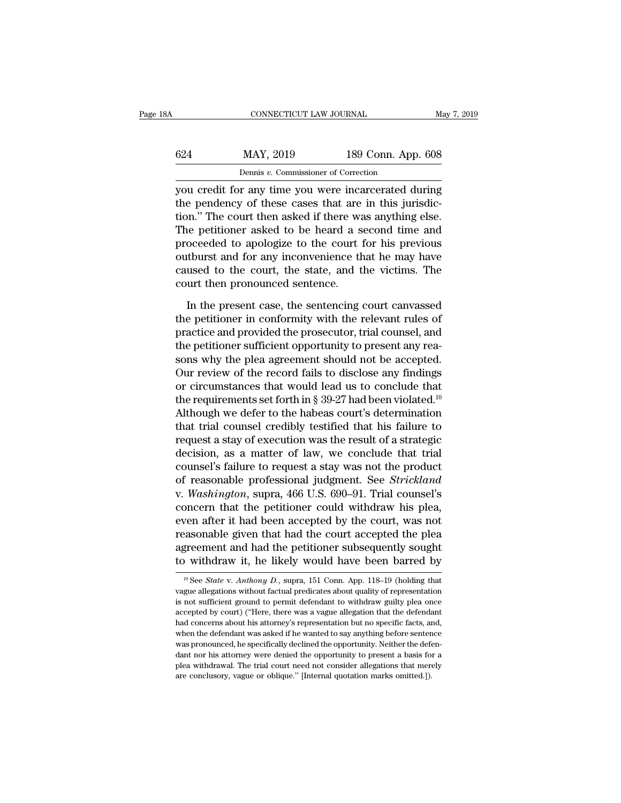| 8Α  | CONNECTICUT LAW JOURNAL                              |                    | May 7, 2019 |
|-----|------------------------------------------------------|--------------------|-------------|
| 624 | MAY, 2019                                            | 189 Conn. App. 608 |             |
|     | Dennis v. Commissioner of Correction                 |                    |             |
|     | vou credit for any time you were incarcerated during |                    |             |

CONNECTICUT LAW JOURNAL May 7, 2019<br>
624 MAY, 2019 189 Conn. App. 608<br>
Dennis v. Commissioner of Correction<br>
you credit for any time you were incarcerated during<br>
the pendency of these cases that are in this jurisdic- $\begin{array}{r} \n 624 \quad \text{MAT, } 2019 \quad \text{189 Conn. App. 608} \\
 \text{Dennis } v. \text{ Commissioner of Correction} \\
 \text{you credit for any time you were increased during the pendency of these cases that are in this jurisdiction.} \\
 \n The court then asked if there was anything else. The\n notification is proved, a second time, and the other hand, the second time, and the second time, respectively. \n The cost of the second time, and the second time, respectively. \n The cost of the second time, respectively, the cost of the second time, respectively, the cost of the second time, respectively, the cost of the second time, respectively, the cost of the second time, respectively, the cost of the second time, respectively, the cost of the second time, respectively, the cost of the second time, respectively, the$  $\frac{624}{\text{Dennis } v. \text{ Commissioner of Correction}}$ <br>Dennis v. Commissioner of Correction<br>you credit for any time you were incarcerated during<br>the pendency of these cases that are in this jurisdic-<br>tion." The court then asked if there was anything  $\frac{\text{MAX, 2019}}{\text{Dennis } v. \text{ Commissioner of Correction}}$ <br>you credit for any time you were incarcerated during<br>the pendency of these cases that are in this jurisdic-<br>tion." The court then asked if there was anything else.<br>The petitioner asked to b Dennis v. Commissioner of Correction<br>you credit for any time you were incarcerated during<br>the pendency of these cases that are in this jurisdic-<br>tion." The court then asked if there was anything else.<br>The petitioner asked bentus  $v$ . Commissioner of Correction<br>you credit for any time you were incarcerated during<br>the pendency of these cases that are in this jurisdic-<br>tion." The court then asked if there was anything else.<br>The petitioner ask you credit for any time you were incarcerated during<br>the pendency of these cases that are in this jurisdic-<br>tion." The court then asked if there was anything else.<br>The petitioner asked to be heard a second time and<br>proceed the pendency of these cases that are<br>tion." The court then asked if there was<br>The petitioner asked to be heard a s<br>proceeded to apologize to the court i<br>outburst and for any inconvenience th<br>caused to the court, the state, In the petitioner asked to be heard a second time and<br>occeded to apologize to the court for his previous<br>tiburst and for any inconvenience that he may have<br>used to the court, the state, and the victims. The<br>urt then pronou proceeded to apologize to the court for his previous<br>outburst and for any inconvenience that he may have<br>caused to the court, the state, and the victims. The<br>court then pronounced sentence.<br>In the present case, the sentenc

outburst and for any inconvenience that he may have<br>caused to the court, the state, and the victims. The<br>court then pronounced sentence.<br>In the present case, the sentencing court canvassed<br>the petitioner in conformity with caused to the court, the state, and the victims. The<br>court then pronounced sentence.<br>In the present case, the sentencing court canvassed<br>the petitioner in conformity with the relevant rules of<br>practice and provided the pro court then pronounced sentence.<br>
In the present case, the sentencing court canvassed<br>
the petitioner in conformity with the relevant rules of<br>
practice and provided the prosecutor, trial counsel, and<br>
the petitioner suffic In the present case, the sentencing court canvassed<br>the petitioner in conformity with the relevant rules of<br>practice and provided the prosecutor, trial counsel, and<br>the petitioner sufficient opportunity to present any rea In the present case, the sentencing court canvassed<br>the petitioner in conformity with the relevant rules of<br>practice and provided the prosecutor, trial counsel, and<br>the petitioner sufficient opportunity to present any rea the petitioner in conformity with the relevant rules of<br>practice and provided the prosecutor, trial counsel, and<br>the petitioner sufficient opportunity to present any rea-<br>sons why the plea agreement should not be accepted practice and provided the prosecutor, trial counsel, and<br>the petitioner sufficient opportunity to present any rea-<br>sons why the plea agreement should not be accepted.<br>Our review of the record fails to disclose any findings the petitioner sufficient opportunity to present any reasons why the plea agreement should not be accepted.<br>Our review of the record fails to disclose any findings<br>or circumstances that would lead us to conclude that<br>the sons why the plea agreement should not be accepted.<br>Our review of the record fails to disclose any findings<br>or circumstances that would lead us to conclude that<br>the requirements set forth in § 39-27 had been violated.<sup>10</sup> Our review of the record fails to disclose any findings<br>or circumstances that would lead us to conclude that<br>the requirements set forth in § 39-27 had been violated.<sup>10</sup><br>Although we defer to the habeas court's determinati or circumstances that would lead us to conclude that<br>the requirements set forth in § 39-27 had been violated.<sup>10</sup><br>Although we defer to the habeas court's determination<br>that trial counsel credibly testified that his failur the requirements set forth in § 39-27 had been violated.<sup>10</sup><br>Although we defer to the habeas court's determination<br>that trial counsel credibly testified that his failure to<br>request a stay of execution was the result of a s Although we defer to the habeas court's determination<br>that trial counsel credibly testified that his failure to<br>request a stay of execution was the result of a strategic<br>decision, as a matter of law, we conclude that trial that trial counsel credibly testified that his failure to<br>request a stay of execution was the result of a strategic<br>decision, as a matter of law, we conclude that trial<br>counsel's failure to request a stay was not the produ request a stay of execution was the result of a strategic<br>decision, as a matter of law, we conclude that trial<br>counsel's failure to request a stay was not the product<br>of reasonable professional judgment. See *Strickland*<br>v decision, as a matter of law, we conclude that trial<br>counsel's failure to request a stay was not the product<br>of reasonable professional judgment. See *Strickland*<br>v. Washington, supra, 466 U.S. 690–91. Trial counsel's<br>conc counsel's failure to request a stay was not the product<br>of reasonable professional judgment. See *Strickland*<br>v. Washington, supra, 466 U.S. 690–91. Trial counsel's<br>concern that the petitioner could withdraw his plea,<br>even of reasonable professional judgment. See *Strickland*<br>v. *Washington*, supra, 466 U.S. 690–91. Trial counsel's<br>concern that the petitioner could withdraw his plea,<br>even after it had been accepted by the court, was not<br>rea even after it had been accepted by the court, was not reasonable given that had the court accepted the plea agreement and had the petitioner subsequently sought to withdraw it, he likely would have been barred by  $\frac{10 \text{$ reasonable given that had the court accepted the plea<br>agreement and had the petitioner subsequently sought<br>to withdraw it, he likely would have been barred by<br> $\frac{10 \text{ See } State \text{ v. } Anthony \text{ D.}}{151 \text{ { Com. App. 118–19 (holding that}}$ <br>vague allega

agreement and had the petitioner subsequently sought<br>to withdraw it, he likely would have been barred by<br> $\frac{10 \text{ GeV}}{10 \text{ GeV}}$   $\frac{100 \text{ GeV}}{100 \text{ GeV}}$   $\frac{100 \text{ GeV}}{100 \text{ GeV}}$  and  $\frac{100 \text{ GeV}}{100 \text{ GeV}}$  and  $\frac{100 \text{$ to withdraw it, he likely would have been barred by<br>
<sup>10</sup> See *State* v. *Anthony D.*, supra, 151 Conn. App. 118-19 (holding that vague allegations without factual predicates about quality of representation is not suffici <sup>10</sup> See *State* v. *Anthony D.*, supra, 151 Conn. App. 118-19 (holding that vague allegations without factual predicates about quality of representation is not sufficient ground to permit defendant to withdraw guilty ple <sup>10</sup> See *State* v. *Anthony D.*, supra, 151 Conn. App. 118–19 (holding that vague allegations without factual predicates about quality of representation is not sufficient ground to permit defendant to withdraw guilty ple wague allegations without factual predicates about quality of representation is not sufficient ground to permit defendant to withdraw guilty plea once accepted by court) ("Here, there was a vague allegation that the defen region of sufficient ground to permit defendant to withdraw guilty plea once accepted by court) ("Here, there was a vague allegation that the defendant had concerns about his attorney's representation but no specific facts accepted by court) ("Here, there was a vague allegation that the defendant had concerns about his attorney's representation but no specific facts, and, when the defendant was asked if he wanted to say anything before sente had concerns about his attorney's representation but no specific facts, and, when the defendant was asked if he wanted to say anything before sentence was pronounced, he specifically declined the opportunity. Neither the d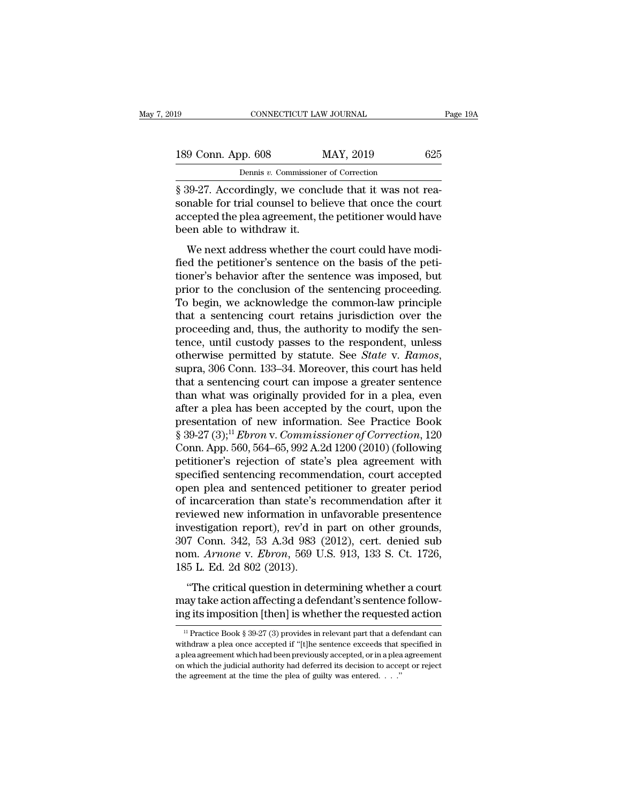| l9                 | CONNECTICUT LAW JOURNAL                              | Page 19A |
|--------------------|------------------------------------------------------|----------|
| 189 Conn. App. 608 | MAY, 2019                                            | 625      |
|                    | Dennis v. Commissioner of Correction                 |          |
|                    | 8.39-27 Accordingly we conclude that it was not rea- |          |

FORTE AN OVENAL<br>
SIGN CONNECTICUT LAW JOURNAL<br>
SIGN CONNECTICUT LAW JOURNAL<br>
SIGN CONNECTICUT LAW 2019<br>
SIGN CONNECTION CONNECTION<br>
SIGN-27. Accordingly, we conclude that it was not rea-<br>
sonable for trial counsel to belie 189 Conn. App. 608 MAY, 2019 625<br>Dennis v. Commissioner of Correction<br>§ 39-27. Accordingly, we conclude that it was not reasonable for trial counsel to believe that once the court<br>accepted the plea agreement, the petitione 189 Conn. App. 608 MAY, 2019 625<br>
Dennis v. Commissioner of Correction<br>
§ 39-27. Accordingly, we conclude that it was not reasonable for trial counsel to believe that once the court<br>
accepted the plea agreement, the petit  $\begin{tabular}{ c c c} 189 Conn. App. 608 & \multicolumn{1}{c}{\textbf{Dennis }v. \textbf{ Commissione}} \\ \hline \hline & \multicolumn{1}{c}{\textbf{Dennis }v. \textbf{ Commissione}} \\ \hline \hline \S 39-27. \textbf{ Accordingly, we concl} \\ \textbf{sonable for trial \textbf{counds to bel} \\ accepted the plea agreement, the been able to withdraw it. \\ We next address whether the \end{tabular}$ Dennis v. Commissioner of Correction<br>
29-27. Accordingly, we conclude that it was not rea-<br>
nable for trial counsel to believe that once the court<br>
cepted the plea agreement, the petitioner would have<br>
en able to withdraw  $\frac{1}{8}$  39-27. Accordingly, we conclude that it was not reasonable for trial counsel to believe that once the court<br>accepted the plea agreement, the petitioner would have<br>been able to withdraw it.<br>We next address whethe

s 55-21. Accordingly, we conclude that it was not reasonable for trial counsel to believe that once the court<br>accepted the plea agreement, the petitioner would have<br>been able to withdraw it.<br>We next address whether the cou sonable for that courser to beneve that once the court<br>accepted the plea agreement, the petitioner would have<br>been able to withdraw it.<br>We next address whether the court could have modi-<br>fied the petitioner's sentence on t Mean alle to withdraw it.<br>
We next address whether the court could have modi-<br>
fied the petitioner's sentence on the basis of the peti-<br>
tioner's behavior after the sentence was imposed, but<br>
prior to the conclusion of the We next address whether the court could have modified the petitioner's sentence on the basis of the petitioner's behavior after the sentence was imposed, but prior to the conclusion of the sentencing proceeding. To begin, We next address whether the court could have modified the petitioner's sentence on the basis of the petitioner's behavior after the sentence was imposed, but prior to the conclusion of the sentencing proceeding.<br>To begin, fied the petitioner's sentence on the basis of the petitioner's behavior after the sentence was imposed, but<br>prior to the conclusion of the sentencing proceeding.<br>To begin, we acknowledge the common-law principle<br>that a se tioner's behavior after the sentence was imposed, but<br>prior to the conclusion of the sentencing proceeding.<br>To begin, we acknowledge the common-law principle<br>that a sentencing court retains jurisdiction over the<br>proceeding To begin, we acknowledge the common-law principle<br>that a sentencing court retains jurisdiction over the<br>proceeding and, thus, the authority to modify the sen-<br>tence, until custody passes to the respondent, unless<br>otherwise that a sentencing court retains jurisdiction over the<br>proceeding and, thus, the authority to modify the sen-<br>tence, until custody passes to the respondent, unless<br>otherwise permitted by statute. See *State* v. Ramos,<br>supra proceeding and, thus, the authority to modify the sentence, until custody passes to the respondent, unless<br>otherwise permitted by statute. See *State* v. Ramos,<br>supra, 306 Conn. 133–34. Moreover, this court has held<br>that tence, until custody passes to the respondent, unless<br>otherwise permitted by statute. See *State* v. Ramos,<br>supra, 306 Conn. 133–34. Moreover, this court has held<br>that a sentencing court can impose a greater sentence<br>than otherwise permitted by statute. See *State* v. *Ramos*,<br>supra, 306 Conn. 133–34. Moreover, this court has held<br>that a sentencing court can impose a greater sentence<br>than what was originally provided for in a plea, even<br>aft supra, 306 Conn. 133–34. Moreover, this court has held<br>that a sentencing court can impose a greater sentence<br>than what was originally provided for in a plea, even<br>after a plea has been accepted by the court, upon the<br>prese that a sentencing court can impose a greater sentence<br>than what was originally provided for in a plea, even<br>after a plea has been accepted by the court, upon the<br>presentation of new information. See Practice Book<br>§ 39-27 ( than what was originally provided for in a plea, even<br>after a plea has been accepted by the court, upon the<br>presentation of new information. See Practice Book<br>§ 39-27 (3);<sup>11</sup> *Ebron* v. *Commissioner of Correction*, 120<br> after a plea has been accepted by the court, upon the<br>presentation of new information. See Practice Book<br> $\S 39-27 (3)$ ;<sup>11</sup>*Ebron v. Commissioner of Correction*, 120<br>Conn. App. 560, 564–65, 992 A.2d 1200 (2010) (following<br> presentation of new information. See Practice Book<br>§ 39-27 (3);<sup>11</sup> *Ebron* v. *Commissioner of Correction*, 120<br>Conn. App. 560, 564–65, 992 A.2d 1200 (2010) (following<br>petitioner's rejection of state's plea agreement with § 39-27 (3);<sup>11</sup> *Ebron* v. *Commissioner of Correction*, 120<br>Conn. App. 560, 564–65, 992 A.2d 1200 (2010) (following<br>petitioner's rejection of state's plea agreement with<br>specified sentencing recommendation, court accept Conn. App. 560, 564–65, 992 A.2d 1200 (2010) (following<br>petitioner's rejection of state's plea agreement with<br>specified sentencing recommendation, court accepted<br>open plea and sentenced petitioner to greater period<br>of inc petitioner's rejection of state's plea agreement with<br>specified sentencing recommendation, court accepted<br>open plea and sentenced petitioner to greater period<br>of incarceration than state's recommendation after it<br>reviewed specified sentencing recommendation, court accepted<br>open plea and sentenced petitioner to greater period<br>of incarceration than state's recommendation after it<br>reviewed new information in unfavorable presentence<br>investigati open plea and sentenced petiof incarceration than state's a<br>reviewed new information in investigation report), rev'd in<br>307 Conn. 342, 53 A.3d 983 (<br>nom. Arnone v. Ebron, 569 U<br>185 L. Ed. 2d 802 (2013).<br>"The critical quest The critical question in unfavorable presentence<br>
vestigation report), rev'd in part on other grounds,<br>
7 Conn. 342, 53 A.3d 983 (2012), cert. denied sub<br>
m. Arnone v. Ebron, 569 U.S. 913, 133 S. Ct. 1726,<br>
5 L. Ed. 2d 802 may take action and the material presentation and the single investigation report), rev'd in part on other grounds, 307 Conn. 342, 53 A.3d 983 (2012), cert. denied sub nom. *Arnone v. Ebron*, 569 U.S. 913, 133 S. Ct. 1726, investigation report), rev a in part on other grounds,<br>307 Conn. 342, 53 A.3d 983 (2012), cert. denied sub<br>nom. Arnone v. Ebron, 569 U.S. 913, 133 S. Ct. 1726,<br>185 L. Ed. 2d 802 (2013).<br>"The critical question in determini

"The critical question in determining whether a court<br>ay take action affecting a defendant's sentence follow-<br>g its imposition [then] is whether the requested action<br> $\frac{11}{2}$  Practice Book § 39-27 (3) provides in releva "The critical question in determining whether a court<br>may take action affecting a defendant's sentence following its imposition [then] is whether the requested action<br> $\frac{1}{1}$  Practice Book § 39-27 (3) provides in releva

may take action affecting a defendant's sentence following its imposition [then] is whether the requested action<br> $\frac{1}{12}$  Practice Book § 39-27 (3) provides in relevant part that a defendant can<br>withdraw a plea once acc ing its imposition [then] is whether the requested action<br>
<sup>11</sup> Practice Book § 39-27 (3) provides in relevant part that a defendant can<br>
withdraw a plea once accepted if "[t]he sentence exceeds that specified in<br>
a plea <sup>11</sup> Practice Book § 39-27 (3) provides in relevant part that a defendant can withdraw a plea once accepted if "[t]he sentence exceeds that specified in a plea agreement which had been previously accepted, or in a plea ag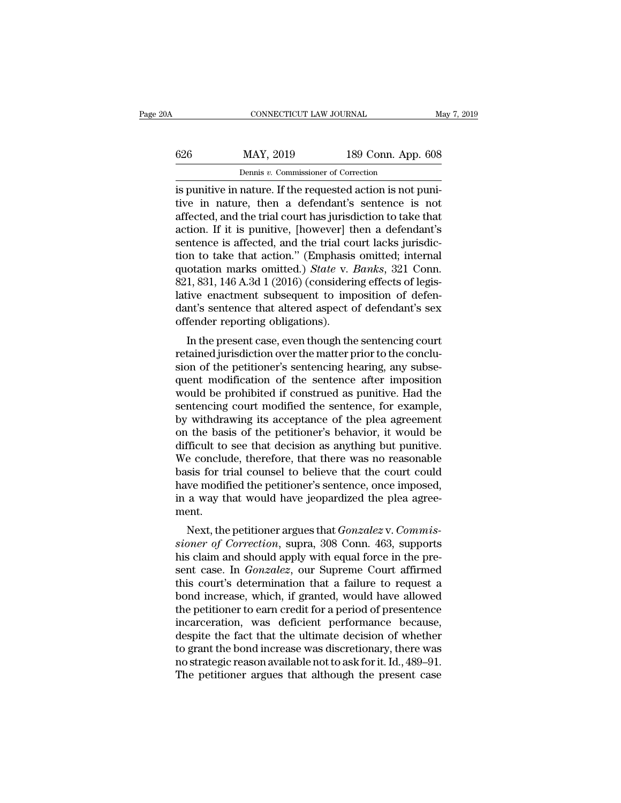| 0A  | CONNECTICUT LAW JOURNAL                                    |                    | May 7, 2019 |
|-----|------------------------------------------------------------|--------------------|-------------|
| 626 | MAY, 2019                                                  | 189 Conn. App. 608 |             |
|     | Dennis v. Commissioner of Correction                       |                    |             |
|     | is punitive in nature If the requested action is not puni- |                    |             |

CONNECTICUT LAW JOURNAL<br> **is punitive in nature.** If the requested action is not puni-<br>
is punitive in nature. If the requested action is not puni-<br>
itive in nature, then a defendant's sentence is not<br>
affected and the tri the mature, then a defendant's sentence is not punitive in nature. If the requested action is not punitive in nature, then a defendant's sentence is not affected, and the trial court has jurisdiction to take that action. I 626 MAY, 2019 189 Conn. App. 608<br>Dennis v. Commissioner of Correction<br>is punitive in nature. If the requested action is not puni-<br>tive in nature, then a defendant's sentence is not<br>affected, and the trial court has jurisd  $\frac{626}{P_{\text{ennis } v. \text{ Commissioner of Correction}}}$ <br>Is punitive in nature. If the requested action is not punitive in nature, then a defendant's sentence is not affected, and the trial court has jurisdiction to take that action. If it is puniti Dennis v. Commissioner of Correction<br>is punitive in nature. If the requested action is not puni-<br>tive in nature, then a defendant's sentence is not<br>affected, and the trial court has jurisdiction to take that<br>action. If it Dennis v. Commissioner of Correction<br>
is punitive in nature. If the requested action is not puni-<br>
tive in nature, then a defendant's sentence is not<br>
affected, and the trial court has jurisdiction to take that<br>
action. I is punitive in nature. If the requested action is not punitive in nature, then a defendant's sentence is not affected, and the trial court has jurisdiction to take that action. If it is punitive, [however] then a defendant tive in nature, then a defendant's sentence is not affected, and the trial court has jurisdiction to take that action. If it is punitive, [however] then a defendant's sentence is affected, and the trial court lacks jurisdi affected, and the trial court has jurisdiction to take that<br>action. If it is punitive, [however] then a defendant's<br>sentence is affected, and the trial court lacks jurisdic-<br>tion to take that action." (Emphasis omitted; in action. If it is punitive, [however] then a defendant's<br>sentence is affected, and the trial court lacks jurisdic-<br>tion to take that action." (Emphasis omitted; internal<br>quotation marks omitted.) *State* v. *Banks*, 321 Con sentence is affected, and the trial co<br>tion to take that action." (Emphasis<br>quotation marks omitted.) *State* v. 1<br>821, 831, 146 A.3d 1 (2016) (consideri<br>lative enactment subsequent to imp<br>dant's sentence that altered aspe In to take that action. (Emphasis omitted, international otation marks omitted.) *State* v. *Banks*, 321 Conn.<br>1, 831, 146 A.3d 1 (2016) (considering effects of legistive enactment subsequent to imposition of defen-<br>nt's s quotation marks omitted.) *State v. Banks*, 321 Comi.<br>821, 831, 146 A.3d 1 (2016) (considering effects of legis-<br>lative enactment subsequent to imposition of defen-<br>dant's sentence that altered aspect of defendant's sex<br>of

sion, 140 A.5d 1 (2010) (considering effects of legis-<br>lative enactment subsequent to imposition of defen-<br>dant's sentence that altered aspect of defendant's sex<br>offender reporting obligations).<br>In the present case, even t rative enactment subsequent to imposition of defendant's sex<br>dant's sentence that altered aspect of defendant's sex<br>offender reporting obligations).<br>In the present case, even though the sentencing court<br>retained jurisdicti dant s sentence that altered aspect of defendant s sex<br>offender reporting obligations).<br>In the present case, even though the sentencing court<br>retained jurisdiction over the matter prior to the conclu-<br>sion of the petitione In the present case, even though the sentencing court<br>retained jurisdiction over the matter prior to the conclu-<br>sion of the petitioner's sentencing hearing, any subse-<br>quent modification of the sentence after imposition<br>w In the present case, even though the sentencing court<br>retained jurisdiction over the matter prior to the conclu-<br>sion of the petitioner's sentencing hearing, any subse-<br>quent modification of the sentence after imposition<br>w retained jurisdiction over the matter prior to the conclusion of the petitioner's sentencing hearing, any subsequent modification of the sentence after imposition would be prohibited if construed as punitive. Had the sente sion of the petitioner's sentencing hearing, any subsequent modification of the sentence after imposition<br>would be prohibited if construed as punitive. Had the<br>sentencing court modified the sentence, for example,<br>by withdr quent modification of the sentence after imposition<br>would be prohibited if construed as punitive. Had the<br>sentencing court modified the sentence, for example,<br>by withdrawing its acceptance of the plea agreement<br>on the basi would be prohibited if construed as punitive. Had the sentencing court modified the sentence, for example, by withdrawing its acceptance of the plea agreement on the basis of the petitioner's behavior, it would be difficul sentencing court modified the sentence, for example,<br>by withdrawing its acceptance of the plea agreement<br>on the basis of the petitioner's behavior, it would be<br>difficult to see that decision as anything but punitive.<br>We co by withdrawing its acceptance of the plea agreement<br>on the basis of the petitioner's behavior, it would be<br>difficult to see that decision as anything but punitive.<br>We conclude, therefore, that there was no reasonable<br>basis ment. He conclude, therefore, that there was no reasonable<br>sis for trial counsel to believe that the court could<br>we modified the petitioner's sentence, once imposed,<br>a way that would have jeopardized the plea agree-<br>ent.<br>Next, t *sioner of Correction*, superalized the periodic believe that the court could have modified the petitioner's sentence, once imposed, in a way that would have jeopardized the plea agreement.<br>Next, the petitioner argues that

basis for trial coulser to beneve that the court could<br>have modified the petitioner's sentence, once imposed,<br>in a way that would have jeopardized the plea agree-<br>ment.<br>Next, the petitioner argues that *Gonzalez* v. *Commi* raive modified the petricoler's sentence, once imposed,<br>in a way that would have jeopardized the plea agree-<br>ment.<br>Next, the petitioner argues that *Gonzalez* v. *Commis-<br>sioner of Correction*, supra, 308 Conn. 463, suppor In a way that would have jeopatuzed the piea agreement.<br>
Next, the petitioner argues that *Gonzalez* v. *Commissioner of Correction*, supra, 308 Conn. 463, supports<br>
his claim and should apply with equal force in the pre-<br> Next, the petitioner argues that *Gonzalez* v. *Commissioner of Correction*, supra, 308 Conn. 463, supports<br>his claim and should apply with equal force in the pre-<br>sent case. In *Gonzalez*, our Supreme Court affirmed<br>this Next, the petitioner argues that *Gonzalez* v. *Commissioner of Correction*, supra, 308 Conn. 463, supports his claim and should apply with equal force in the present case. In *Gonzalez*, our Supreme Court affirmed this co sioner of Correction, supra, 308 Conn. 463, supports<br>his claim and should apply with equal force in the pre-<br>sent case. In *Gonzalez*, our Supreme Court affirmed<br>this court's determination that a failure to request a<br>bond his claim and should apply with equal force in the present case. In *Gonzalez*, our Supreme Court affirmed<br>this court's determination that a failure to request a<br>bond increase, which, if granted, would have allowed<br>the pet sent case. In *Gonzalez*, our Supreme Court affirmed<br>this court's determination that a failure to request a<br>bond increase, which, if granted, would have allowed<br>the petitioner to earn credit for a period of presentence<br>inc this court's determination that a failure to request a<br>bond increase, which, if granted, would have allowed<br>the petitioner to earn credit for a period of presentence<br>incarceration, was deficient performance because,<br>despit bond increase, which, if granted, would have allowed<br>the petitioner to earn credit for a period of presentence<br>incarceration, was deficient performance because,<br>despite the fact that the ultimate decision of whether<br>to gra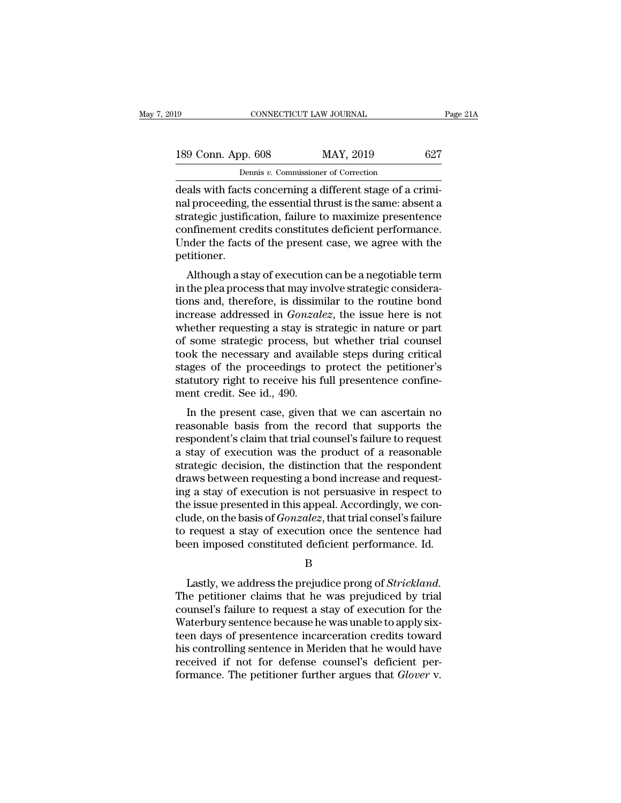| 19                                                        | CONNECTICUT LAW JOURNAL              | Page 21A |
|-----------------------------------------------------------|--------------------------------------|----------|
| 189 Conn. App. 608                                        | MAY, 2019                            | 627      |
|                                                           | Dennis v. Commissioner of Correction |          |
| deals with facts concerning a different stage of a crimi- |                                      |          |

connectricut LAW JOURNAL<br>
189 Conn. App. 608 MAY, 2019 627<br>
Dennis v. Commissioner of Correction<br>
deals with facts concerning a different stage of a crimi-<br>
nal proceeding, the essential thrust is the same: absent a<br>
strat 189 Conn. App. 608 MAY, 2019 627<br>
Dennis v. Commissioner of Correction<br>
deals with facts concerning a different stage of a crimi-<br>
nal proceeding, the essential thrust is the same: absent a<br>
strategic justification, failu 189 Conn. App. 608 MAY, 2019 627<br>
Dennis v. Commissioner of Correction<br>
deals with facts concerning a different stage of a crimi-<br>
nal proceeding, the essential thrust is the same: absent a<br>
strategic justification, failu 189 Conn. App. 608 MAY, 2019 627<br>
Dennis v. Commissioner of Correction<br>
deals with facts concerning a different stage of a crimi-<br>
nal proceeding, the essential thrust is the same: absent a<br>
strategic justification, failur Dennis v. Commissioner of Correction<br>deals with facts concerning a different stage of a crimi-<br>nal proceeding, the essential thrust is the same: absent a<br>strategic justification, failure to maximize presentence<br>confinement petitioner. all proceeding, the essential thrust is the same: absent a<br>ategic justification, failure to maximize presentence<br>nfinement credits constitutes deficient performance.<br>nder the facts of the present case, we agree with the<br>ti ran proceeding, the essentraturest is the same, absent a<br>strategic justification, failure to maximize presentence<br>confinement credits constitutes deficient performance.<br>Under the facts of the present case, we agree with th

strategic justincation, failure to flaximize presentence<br>confinement credits constitutes deficient performance.<br>Under the facts of the present case, we agree with the<br>petitioner.<br>Although a stay of execution can be a negot Under the facts of the present case, we agree with the petitioner.<br>
Although a stay of execution can be a negotiable term<br>
in the plea process that may involve strategic considera-<br>
tions and, therefore, is dissimilar to t bettioner.<br>
Although a stay of execution can be a negotiable term<br>
in the plea process that may involve strategic considera-<br>
tions and, therefore, is dissimilar to the routine bond<br>
increase addressed in *Gonzalez*, the i Although a stay of execution can be a negotiable term<br>in the plea process that may involve strategic considera-<br>tions and, therefore, is dissimilar to the routine bond<br>increase addressed in *Gonzalez*, the issue here is no Although a stay of execution can be a negotiable term<br>in the plea process that may involve strategic considera-<br>tions and, therefore, is dissimilar to the routine bond<br>increase addressed in *Gonzalez*, the issue here is no in the plea process that may involve strategic considerations and, therefore, is dissimilar to the routine bond<br>increase addressed in *Gonzalez*, the issue here is not<br>whether requesting a stay is strategic in nature or pa tions and, therefore, is dissimilar to the routine bond<br>increase addressed in *Gonzalez*, the issue here is not<br>whether requesting a stay is strategic in nature or part<br>of some strategic process, but whether trial counsel<br> increase addressed in *Gonzal*<br>whether requesting a stay is st<br>of some strategic process, be<br>took the necessary and availa<br>stages of the proceedings to<br>statutory right to receive his f<br>ment credit. See id., 490.<br>In the pre In the present case, but whether trial counsel<br>ok the necessary and available steps during critical<br>ages of the proceedings to protect the petitioner's<br>atutory right to receive his full presentence confine-<br>ent credit. See From the mechanism and available steps during critical<br>stages of the proceedings to protect the petitioner's<br>statutory right to receive his full presentence confine-<br>ment credit. See id., 490.<br>In the present case, given th

respondent to receive his full present<br>ence confinement credit. See id., 490.<br>In the present case, given that we can ascertain no<br>reasonable basis from the record that supports the<br>respondent's claim that trial counsel's f stages of the proceedings to protect the pethoder s<br>statutory right to receive his full presentence confine-<br>ment credit. See id., 490.<br>In the present case, given that we can ascertain no<br>reasonable basis from the record t statutory right to receive ins fun presentence comme-<br>ment credit. See id., 490.<br>In the present case, given that we can ascertain no<br>reasonable basis from the record that supports the<br>respondent's claim that trial counsel' In the present case, given that we can ascertain no<br>reasonable basis from the record that supports the<br>respondent's claim that trial counsel's failure to request<br>a stay of execution was the product of a reasonable<br>strateg In the present case, given that we can ascertain no<br>reasonable basis from the record that supports the<br>respondent's claim that trial counsel's failure to request<br>a stay of execution was the product of a reasonable<br>strategi reasonable basis from the record that supports the<br>respondent's claim that trial counsel's failure to request<br>a stay of execution was the product of a reasonable<br>strategic decision, the distinction that the respondent<br>draw respondent's claim that trial counsel's failure to request<br>a stay of execution was the product of a reasonable<br>strategic decision, the distinction that the respondent<br>draws between requesting a bond increase and request-<br>i a stay of execution was the product of a reasonable<br>strategic decision, the distinction that the respondent<br>draws between requesting a bond increase and request-<br>ing a stay of execution is not persuasive in respect to<br>the strategic decision, the distinction that the respondent<br>draws between requesting a bond increase and request-<br>ing a stay of execution is not persuasive in respect to<br>the issue presented in this appeal. Accordingly, we con-E issue presented in this appeal. Accordingly, we con-<br>
ide, on the basis of *Gonzalez*, that trial consel's failure<br>
request a stay of execution once the sentence had<br>
en imposed constituted deficient performance. Id.<br>
B<br>

B

clude, on the basis of *Gonzalez*, that trial consel's failure<br>to request a stay of execution once the sentence had<br>been imposed constituted deficient performance. Id.<br>B<br>Lastly, we address the prejudice prong of *Stricklan* to request a stay of execution once the sentence had<br>been imposed constituted deficient performance. Id.<br>B<br>Lastly, we address the prejudice prong of *Strickland*.<br>The petitioner claims that he was prejudiced by trial<br>couns been imposed constituted deficient performance. Id.<br>B<br>Lastly, we address the prejudice prong of *Strickland*.<br>The petitioner claims that he was prejudiced by trial<br>counsel's failure to request a stay of execution for the<br>W B<br>
Lastly, we address the prejudice prong of *Strickland*.<br>
The petitioner claims that he was prejudiced by trial<br>
counsel's failure to request a stay of execution for the<br>
Waterbury sentence because he was unable to apply his controlling sentence in Meriden that the Waterbury sentence because he was prejudiced by trial counsel's failure to request a stay of execution for the Waterbury sentence because he was unable to apply six-<br>teen days o Lastly, we address the prejudice prong of *Strickland*.<br>The petitioner claims that he was prejudiced by trial<br>counsel's failure to request a stay of execution for the<br>Waterbury sentence because he was unable to apply six-<br> The petitioner claims that he was prejudiced by trial counsel's failure to request a stay of execution for the Waterbury sentence because he was unable to apply six-<br>teen days of presentence incarceration credits toward<br>hi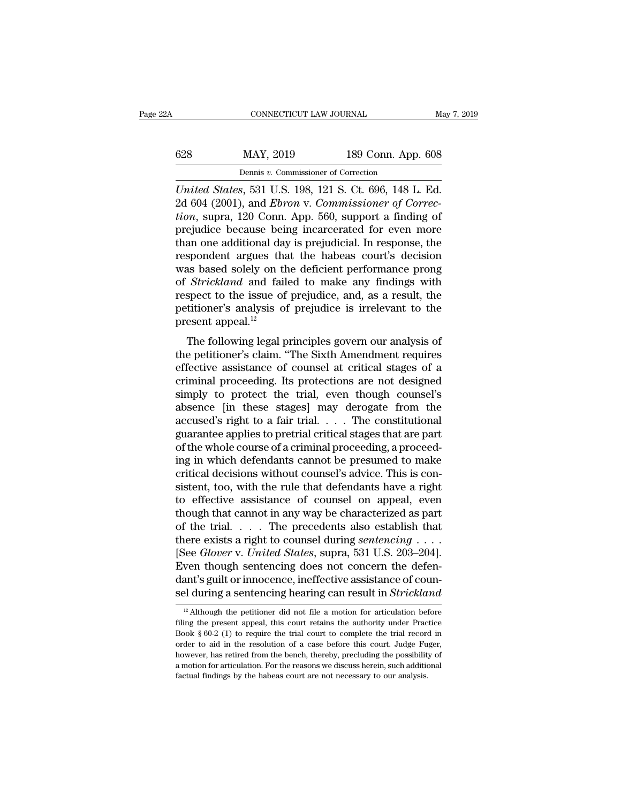|     | CONNECTICUT LAW JOURNAL                                       |                    | May 7, 2019 |
|-----|---------------------------------------------------------------|--------------------|-------------|
| 628 | MAY, 2019                                                     | 189 Conn. App. 608 |             |
|     | Dennis v. Commissioner of Correction                          |                    |             |
|     | <i>I Inited States</i> 531 U.S. 198 121 S. Ct. 696 148 L. Ed. |                    |             |

*UNITED CONNECTICUT LAW JOURNAL* May 7, 2019<br> *United States*, 531 U.S. 198, 121 S. Ct. 696, 148 L. Ed.<br> *United States*, 531 U.S. 198, 121 S. Ct. 696, 148 L. Ed.<br>
2d 604 (2001), and *Ebron v. Commissioner of Correction* s 628 MAY, 2019 189 Conn. App. 608<br>
Dennis v. Commissioner of Correction<br>
United States, 531 U.S. 198, 121 S. Ct. 696, 148 L. Ed.<br>
2d 604 (2001), and *Ebron* v. *Commissioner of Correc-*<br>
tion, supra, 120 Conn. App. 560, sup *tion*, support a finding the mass of the mass of the mass of the United States, 531 U.S. 198, 121 S. Ct. 696, 148 L. Ed.<br> *Limited States*, 531 U.S. 198, 121 S. Ct. 696, 148 L. Ed.<br>
2d 604 (2001), and *Ebron v. Commission* 628 MAY, 2019 189 Conn. App. 608<br>
Dennis v. Commissioner of Correction<br>
United States, 531 U.S. 198, 121 S. Ct. 696, 148 L. Ed.<br>
2d 604 (2001), and Ebron v. Commissioner of Correction, supra, 120 Conn. App. 560, support a Dennis v. Commissioner of Correction<br>United States, 531 U.S. 198, 121 S. Ct. 696, 148 L. Ed.<br>2d 604 (2001), and Ebron v. Commissioner of Correction, supra, 120 Conn. App. 560, support a finding of<br>prejudice because being Dennis v. Commissioner of Correction<br>United States, 531 U.S. 198, 121 S. Ct. 696, 148 L. Ed.<br>2d 604 (2001), and Ebron v. Commissioner of Correc-<br>tion, supra, 120 Conn. App. 560, support a finding of<br>prejudice because being United States, 531 U.S. 198, 121 S. Ct. 696, 148 L. Ed.<br>2d 604 (2001), and *Ebron v. Commissioner of Correction*, supra, 120 Conn. App. 560, support a finding of<br>prejudice because being incarcerated for even more<br>than one 2d 604 (2001), and *Ebron v. Commissioner of Correction*, supra, 120 Conn. App. 560, support a finding of prejudice because being incarcerated for even more than one additional day is prejudicial. In response, the responde *tion*, supra, 120 Conn. App. 560, support a finding of prejudice because being incarcerated for even more than one additional day is prejudicial. In response, the respondent argues that the habeas court's decision was ba prejudice because being incarcerated for even more<br>than one additional day is prejudicial. In response, the<br>respondent argues that the habeas court's decision<br>was based solely on the deficient performance prong<br>of *Strickl* than one additional day<br>respondent argues tha<br>was based solely on the of *Strickland* and fail<br>respect to the issue of<br>petitioner's analysis of<br>present appeal.<sup>12</sup><br>The following legal p as based solely on the deficient performance prong<br>strickland and failed to make any findings with<br>spect to the issue of prejudice, and, as a result, the<br>titioner's analysis of prejudice is irrelevant to the<br>esent appeal. was based solely on the defilered performance prong<br>of *Strickland* and failed to make any findings with<br>respect to the issue of prejudice, and, as a result, the<br>petitioner's analysis of prejudice is irrelevant to the<br>pres

effective assistance of prejudice, and, as a result, the petitioner's analysis of prejudice is irrelevant to the present appeal.<sup>12</sup><br>The following legal principles govern our analysis of the petitioner's claim. "The Sixth respect to the issue of prejudice, and, as a result, the<br>present appeal.<sup>12</sup><br>The following legal principles govern our analysis of<br>the petitioner's claim. "The Sixth Amendment requires<br>effective assistance of counsel at cr prediction is analysis of prejudice is increvant to the<br>present appeal.<sup>12</sup><br>The following legal principles govern our analysis of<br>the petitioner's claim. "The Sixth Amendment requires<br>effective assistance of counsel at cri The following legal principles govern our analysis of<br>the petitioner's claim. "The Sixth Amendment requires<br>effective assistance of counsel at critical stages of a<br>criminal proceeding. Its protections are not designed<br>simp The following legal principles govern our analysis of<br>the petitioner's claim. "The Sixth Amendment requires<br>effective assistance of counsel at critical stages of a<br>criminal proceeding. Its protections are not designed<br>simp the petitioner's claim. "The Sixth Amendment requires<br>effective assistance of counsel at critical stages of a<br>criminal proceeding. Its protections are not designed<br>simply to protect the trial, even though counsel's<br>absence effective assistance of counsel at critical stages of a<br>criminal proceeding. Its protections are not designed<br>simply to protect the trial, even though counsel's<br>absence [in these stages] may derogate from the<br>accused's rig criminal proceeding. Its protections are not designed<br>simply to protect the trial, even though counsel's<br>absence [in these stages] may derogate from the<br>accused's right to a fair trial. . . . The constitutional<br>guarantee a simply to protect the trial, even though counsel's<br>absence [in these stages] may derogate from the<br>accused's right to a fair trial. . . . The constitutional<br>guarantee applies to pretrial critical stages that are part<br>of th absence [in these stages] may derogate from the<br>accused's right to a fair trial. . . . The constitutional<br>guarantee applies to pretrial critical stages that are part<br>of the whole course of a criminal proceeding, a proceed accused's right to a fair trial. . . . The constitutional<br>guarantee applies to pretrial critical stages that are part<br>of the whole course of a criminal proceeding, a proceed-<br>ing in which defendants cannot be presumed to m guarantee applies to pretrial critical stages that are part<br>of the whole course of a criminal proceeding, a proceed-<br>ing in which defendants cannot be presumed to make<br>critical decisions without counsel's advice. This is c of the whole course of a criminal proceeding, a proceeding in which defendants cannot be presumed to make<br>critical decisions without counsel's advice. This is consistent, too, with the rule that defendants have a right<br>to ing in which defendants cannot be presumed to make<br>critical decisions without counsel's advice. This is con-<br>sistent, too, with the rule that defendants have a right<br>to effective assistance of counsel on appeal, even<br>thoug sistent, too, with the rule that defendants have a right<br>to effective assistance of counsel on appeal, even<br>though that cannot in any way be characterized as part<br>of the trial. . . . The precedents also establish that<br>the to effective assistance of counsel on appeal, even<br>though that cannot in any way be characterized as part<br>of the trial. . . . The precedents also establish that<br>there exists a right to counsel during *sentencing* . . . .<br> though that cannot in any way be characterized as part<br>of the trial. . . . The precedents also establish that<br>there exists a right to counsel during *sentencing* . . . .<br>[See *Glover v. United States*, supra, 531 U.S. 203– Executive CHOVET V. United States, supra, 531 U.S. 203–204].<br>
Ven though sentencing does not concern the defen-<br>
ant's guilt or innocence, ineffective assistance of coun-<br>
Electrication articulation before<br>
a motion for ar Even though sentencing does not concern the defendant's guilt or innocence, ineffective assistance of counsel during a sentencing hearing can result in *Strickland*<sup>12</sup> Although the petitioner did not file a motion for ar

dant's guilt or innocence, ineffective assistance of counsel during a sentencing hearing can result in *Strickland*<br><sup>12</sup> Although the petitioner did not file a motion for articulation before filing the present appeal, thi sel during a sentencing hearing can result in *Strickland*<br><sup>12</sup> Although the petitioner did not file a motion for articulation before filing the present appeal, this court retains the authority under Practice Book § 60-2 <sup>12</sup> Although the petitioner did not file a motion for articulation before filing the present appeal, this court retains the authority under Practice Book § 60-2 (1) to require the trial court to complete the trial record <sup>12</sup> Although the petitioner did not file a motion for articulation before filing the present appeal, this court retains the authority under Practice Book  $\S 60-2$  (1) to require the trial court to complete the trial reco filing the present appeal, this court retains the authority under Practice Book  $\S$  60-2 (1) to require the trial court to complete the trial record in order to aid in the resolution of a case before this court. Judge Fug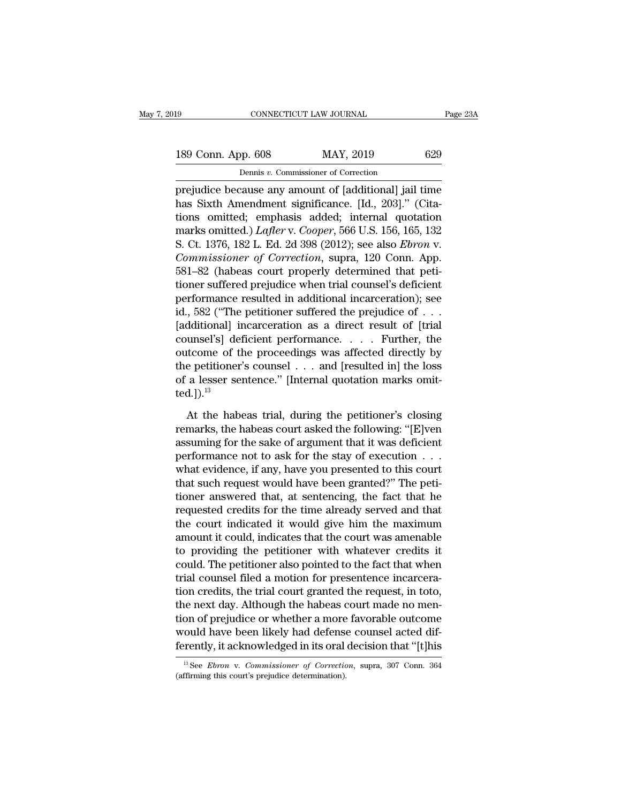189 CONNECTICUT LAW JOURNAL Page 23A<br>
189 Conn. App. 608 MAY, 2019 629<br>
Dennis v. Commissioner of Correction CONNECTICUT LAW JOURNAL<br>Dennis *v.* Commissioner of Correction<br>Pause any amount of [additional] iail

Fage 23A<br>
189 Conn. App. 608 MAY, 2019 629<br>
Dennis v. Commissioner of Correction<br>
prejudice because any amount of [additional] jail time<br>
has Sixth Amendment significance. [Id., 203]." (Cita-189 Conn. App. 608 MAY, 2019 629<br>
Dennis v. Commissioner of Correction<br>
prejudice because any amount of [additional] jail time<br>
has Sixth Amendment significance. [Id., 203]." (Cita-<br>
tions omitted; emphasis added; interna 189 Conn. App. 608 MAY, 2019 629<br>
Dennis v. Commissioner of Correction<br>
prejudice because any amount of [additional] jail time<br>
has Sixth Amendment significance. [Id., 203]." (Cita-<br>
tions omitted; emphasis added; interna 189 Conn. App. 608 MAY, 2019 629<br>
Dennis v. Commissioner of Correction<br>
prejudice because any amount of [additional] jail time<br>
has Sixth Amendment significance. [Id., 203]." (Cita-<br>
tions omitted; emphasis added; internal Dennis v. Commissioner of Correction<br>
prejudice because any amount of [additional] jail time<br>
has Sixth Amendment significance. [Id., 203]." (Cita-<br>
tions omitted; emphasis added; internal quotation<br>
marks omitted.) *Lafle Commissioner of Correction*<br> *Commissioner of Correction*<br> *Consecutions* Sixth Amendment significance. [Id., 203]." (Cita-<br>
tions omitted; emphasis added; internal quotation<br>
marks omitted.) *Lafler* v. *Cooper*, 566 U.S prejudice because any amount of [additional] jail time<br>has Sixth Amendment significance. [Id., 203]." (Cita-<br>tions omitted; emphasis added; internal quotation<br>marks omitted.) *Lafler* v. *Cooper*, 566 U.S. 156, 165, 132<br>S. has Sixth Amendment significance. [Id., 203]." (Cita-<br>tions omitted; emphasis added; internal quotation<br>marks omitted.) *Lafler* v. *Cooper*, 566 U.S. 156, 165, 132<br>S. Ct. 1376, 182 L. Ed. 2d 398 (2012); see also *Ebron* v tions omitted; emphasis added; internal quotation<br>marks omitted.) *Lafler* v. *Cooper*, 566 U.S. 156, 165, 132<br>S. Ct. 1376, 182 L. Ed. 2d 398 (2012); see also *Ebron* v.<br>*Commissioner of Correction*, supra, 120 Conn. App. marks omitted.) *Lafter* v. *Cooper*, 566 U.S. 156, 165, 132<br>
S. Ct. 1376, 182 L. Ed. 2d 398 (2012); see also *Ebron* v.<br> *Commissioner of Correction*, supra, 120 Conn. App.<br>
581–82 (habeas court properly determined that p S. Ct. 1376, 182 L. Ed. 2d 398 (2012); see also *Ebron v.*<br> *Commissioner of Correction*, supra, 120 Conn. App.<br>
581–82 (habeas court properly determined that peti-<br>
tioner suffered prejudice when trial counsel's deficien Commissioner of Correction, supra, 120 Conn. App.<br>581–82 (habeas court properly determined that peti-<br>tioner suffered prejudice when trial counsel's deficient<br>performance resulted in additional incarceration); see<br>id., 58 581–82 (habeas court properly determined that peti-<br>tioner suffered prejudice when trial counsel's deficient<br>performance resulted in additional incarceration); see<br>id., 582 ("The petitioner suffered the prejudice of  $\dots$ <br> tioner suffered prejudice when trial counsel's deficient<br>performance resulted in additional incarceration); see<br>id., 582 ("The petitioner suffered the prejudice of  $\dots$ <br>[additional] incarceration as a direct result of [tr performance resulted in additional incarceration); see<br>id., 582 ("The petitioner suffered the prejudice of . . .<br>[additional] incarceration as a direct result of [trial<br>counsel's] deficient performance. . . . . Further, t ted. $]$ ).<sup>13</sup> umsel's] deficient performance. . . . . Further, the<br>ttcome of the proceedings was affected directly by<br>e petitioner's counsel . . . and [resulted in] the loss<br>a lesser sentence." [Internal quotation marks omit-<br>d.]).<sup>13</sup> outcome of the proceedings was affected directly by<br>the petitioner's counsel . . . and [resulted in] the loss<br>of a lesser sentence." [Internal quotation marks omit-<br>ted.]).<sup>13</sup><br>At the habeas trial, during the petitioner's

the petitioner's counsel . . . and [resulted in] the loss<br>of a lesser sentence." [Internal quotation marks omit-<br>ted.]).<sup>13</sup><br>At the habeas trial, during the petitioner's closing<br>remarks, the habeas court asked the followi % of a lesser sentence." [Internal quotation marks omitted.]).<sup>13</sup><br>At the habeas trial, during the petitioner's closing<br>remarks, the habeas court asked the following: "[E]ven<br>assuming for the sake of argument that it was ted.]).<sup>13</sup><br>At the habeas trial, during the petitioner's closing<br>remarks, the habeas court asked the following: "[E]ven<br>assuming for the sake of argument that it was deficient<br>performance not to ask for the stay of executi At the habeas trial, during the petitioner's closing<br>remarks, the habeas court asked the following: "[E]ven<br>assuming for the sake of argument that it was deficient<br>performance not to ask for the stay of execution  $\dots$ <br>wha At the habeas trial, during the petitioner's closing<br>remarks, the habeas court asked the following: "[E]ven<br>assuming for the sake of argument that it was deficient<br>performance not to ask for the stay of execution . . .<br>wha remarks, the habeas court asked the following: "[E]ven<br>assuming for the sake of argument that it was deficient<br>performance not to ask for the stay of execution  $\ldots$ <br>what evidence, if any, have you presented to this court assuming for the sake of argument that it was deficient<br>performance not to ask for the stay of execution  $\dots$ <br>what evidence, if any, have you presented to this court<br>that such request would have been granted?" The peti-<br>t performance not to ask for the stay of execution . . .<br>what evidence, if any, have you presented to this court<br>that such request would have been granted?" The peti-<br>tioner answered that, at sentencing, the fact that he<br>req what evidence, if any, have you presented to this court<br>that such request would have been granted?" The peti-<br>tioner answered that, at sentencing, the fact that he<br>requested credits for the time already served and that<br>the that such request would have been granted?" The petitioner answered that, at sentencing, the fact that he requested credits for the time already served and that the court indicated it would give him the maximum amount it c tioner answered that, at sentencing, the fact that he<br>requested credits for the time already served and that<br>the court indicated it would give him the maximum<br>amount it could, indicates that the court was amenable<br>to provi requested credits for the time already served and that<br>the court indicated it would give him the maximum<br>amount it could, indicates that the court was amenable<br>to providing the petitioner with whatever credits it<br>could. Th the court indicated it would give him the maximum<br>amount it could, indicates that the court was amenable<br>to providing the petitioner with whatever credits it<br>could. The petitioner also pointed to the fact that when<br>trial c amount it could, indicates that the court was amenable<br>to providing the petitioner with whatever credits it<br>could. The petitioner also pointed to the fact that when<br>trial counsel filed a motion for presentence incarcera-<br>t to providing the petitioner with whatever credits it<br>could. The petitioner also pointed to the fact that when<br>trial counsel filed a motion for presentence incarcera-<br>tion credits, the trial court granted the request, in to could. The petitioner also pointed to the fact that when<br>trial counsel filed a motion for presentence incarcera-<br>tion credits, the trial court granted the request, in toto,<br>the next day. Although the habeas court made no m the next day. Although the habeas court made no mention of prejudice or whether a more favorable outcome would have been likely had defense counsel acted differently, it acknowledged in its oral decision that "[t]his <sup>13</sup> would have been likely had defense counsel acted dif-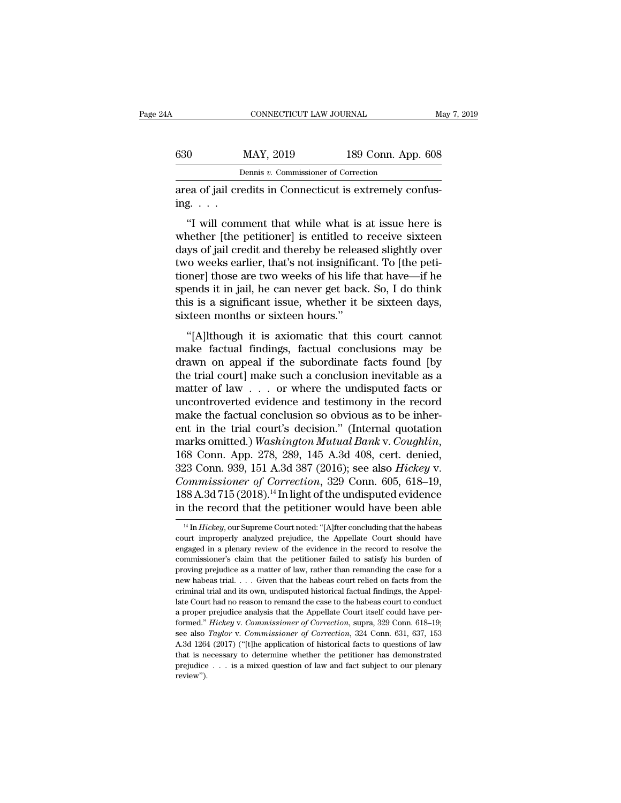| ŀΑ            | CONNECTICUT LAW JOURNAL                                  |                    | May 7, 2019 |
|---------------|----------------------------------------------------------|--------------------|-------------|
| 630           | MAY, 2019                                                | 189 Conn. App. 608 |             |
|               | Dennis v. Commissioner of Correction                     |                    |             |
| ing. $\ldots$ | area of jail credits in Connecticut is extremely confus- |                    |             |

MAY, 2019 189 Conn. App. 608<br>
Dennis v. Commissioner of Correction<br>
ea of jail credits in Connecticut is extremely confus-<br>
g. . . .<br>
"I will comment that while what is at issue here is<br>
nether [the petitioner] is entitled WAY, 2019 189 Conn. App. 608<br>
Dennis v. Commissioner of Correction<br>
area of jail credits in Connecticut is extremely confus-<br>
ing....<br>
"I will comment that while what is at issue here is<br>
whether [the petitioner] is entit Dennis  $v$ . Commissioner of Correction<br>
area of jail credits in Connecticut is extremely confus-<br>
ing.  $\cdots$ <br>
"I will comment that while what is at issue here is<br>
whether [the petitioner] is entitled to receive sixteen<br>
d area of jail credits in Connecticut is extremely confus-<br>ing.  $\ldots$ <br>"I will comment that while what is at issue here is<br>whether [the petitioner] is entitled to receive sixteen<br>days of jail credit and thereby be released s the spendale of yard creats in connecticut is extremely conta-<br>ing....<br>"I will comment that while what is at issue here is<br>whether [the petitioner] is entitled to receive sixteen<br>days of jail credit and thereby be released "I will comment that while what is at issue here is<br>whether [the petitioner] is entitled to receive sixteen<br>days of jail credit and thereby be released slightly over<br>two weeks earlier, that's not insignificant. To [the pe "I will comment that while what is at issue here is<br>whether [the petitioner] is entitled to receive sixteen<br>days of jail credit and thereby be released slightly over<br>two weeks earlier, that's not insignificant. To [the pet whether [the petitioner] is entitled to<br>days of jail credit and thereby be releas<br>two weeks earlier, that's not insignifica<br>tioner] those are two weeks of his life<br>spends it in jail, he can never get back<br>this is a signifi '''(A) It is axiomatic that this court cannot<br>
"''' (a) weeks earlier, that's not insignificant. To [the peti-<br>
"'' (a) It is a significant issue, whether it be sixteen days,<br>
"''(A) It hough it is axiomatic that this cour make factual findings, factual conclusions may be drawn on appeal if the spends it in jail, he can never get back. So, I do think<br>this is a significant issue, whether it be sixteen days,<br>sixteen months or sixteen hours."<br>"

spends it in jail, he can never get back. So, I do think<br>this is a significant issue, whether it be sixteen days,<br>sixteen months or sixteen hours."<br>"[A]lthough it is axiomatic that this court cannot<br>make factual findings, this is a significant issue, whether it be sixteen days,<br>sixteen months or sixteen hours."<br>"[A]lthough it is axiomatic that this court cannot<br>make factual findings, factual conclusions may be<br>drawn on appeal if the subord matter of a significant issue, whence it is estated target,<br>sixteen months or sixteen hours."<br>"[A]lthough it is axiomatic that this court cannot<br>make factual findings, factual conclusions may be<br>drawn on appeal if the sub "[A]lthough it is axiomatic that this court cannot<br>make factual findings, factual conclusions may be<br>drawn on appeal if the subordinate facts found [by<br>the trial court] make such a conclusion inevitable as a<br>matter of law "[A]<br/>lthough it is axiomatic that this court cannot make factual findings, factual conclusions may be drawn on appeal if the subordinate facts found [by the trial court] make such a conclusion inevitable as a matter o make factual findings, factual conclusions may be<br>drawn on appeal if the subordinate facts found [by<br>the trial court] make such a conclusion inevitable as a<br>matter of law  $\ldots$  or where the undisputed facts or<br>uncontrover drawn on appeal if the subordinate facts found [by<br>the trial court] make such a conclusion inevitable as a<br>matter of law . . . or where the undisputed facts or<br>uncontroverted evidence and testimony in the record<br>make the f matter of law . . . or where the undisputed facts or<br>uncontroverted evidence and testimony in the record<br>make the factual conclusion so obvious as to be inher-<br>ent in the trial court's decision." (Internal quotation<br>marks uncontroverted evidence and testimony in the record<br>make the factual conclusion so obvious as to be inher-<br>ent in the trial court's decision." (Internal quotation<br>marks omitted.) *Washington Mutual Bank* v. *Coughlin*,<br>168 make the factual conclusion so obvious as to be inherent in the trial court's decision." (Internal quotation marks omitted.) *Washington Mutual Bank v. Coughlin*, 168 Conn. App. 278, 289, 145 A.3d 408, cert. denied, 323 Co ent in the trial court's decision." (Internal quotation<br>marks omitted.) Washington Mutual Bank v. Coughlin,<br>168 Conn. App. 278, 289, 145 A.3d 408, cert. denied,<br>323 Conn. 939, 151 A.3d 387 (2016); see also *Hickey* v.<br>Com 23 Conn. 939, 151 A.3d 387 (2016); see also *Hickey* v.<br>ommissioner of Correction, 329 Conn. 605, 618–19,<br>88 A.3d 715 (2018).<sup>14</sup> In light of the undisputed evidence<br>the record that the petitioner would have been able<br><sup>14</sup> *Commissioner of Correction*, 329 Conn. 605, 618–19, 188 A.3d 715 (2018).<sup>14</sup> In light of the undisputed evidence in the record that the petitioner would have been able  $\frac{14 \text{ In} \text{Hickey}}{1 \text{ In} \text{Hickey}}$ , our Supreme Court

<sup>188</sup> A.3d 715 (2018).<sup>14</sup> In light of the undisputed evidence in the record that the petitioner would have been able  $\frac{14 \text{ In} \text{Hickey, our Supreme Court noted: "[Alfter concluding that the habeas court improperly analyzed prejudice, the Appellate Court should have engaged in a plenary review of the evidence in the record to resolve the commissioner's claim that the petitioner failed to satisfy his burden of$ in the record that the petitioner would have been able<br>
<sup>14</sup> In *Hickey*, our Supreme Court noted: "[A]fter concluding that the habeas<br>
court improperly analyzed prejudice, the Appellate Court should have<br>
engaged in a pl <sup>14</sup> In *Hickey*, our Supreme Court noted: "[A]fter concluding that the habeas court improperly analyzed prejudice, the Appellate Court should have engaged in a plenary review of the evidence in the record to resolve the <sup>14</sup> In *Hickey*, our Supreme Court noted: "[A]fter concluding that the habeas court improperly analyzed prejudice, the Appellate Court should have engaged in a plenary review of the evidence in the record to resolve the criminal trial and its own, undisputed historical factual factual factors our improperly analyzed prejudice, the Appellate Court should have engaged in a plenary review of the evidence in the record to resolve the commissi engaged in a plenary review of the evidence in the record to resolve the commissioner's claim that the petitioner failed to satisfy his burden of proving prejudice as a matter of law, rather than remanding the case for a commissioner's claim that the petitioner failed to satisfy his burden of proving prejudice as a matter of law, rather than remanding the case for a new habeas trial. . . . Given that the habeas court relied on facts from proving prejudice as a matter of law, rather than remanding the case for a new habeas trial. . . . Given that the habeas court relied on facts from the criminal trial and its own, undisputed historical factual findings, th see also *Taylor* v. *Civen* that the habeas court relied on facts from the criminal trial and its own, undisputed historical factual findings, the Appellate Court had no reason to remand the case to the habeas court to co criminal trial and its own, undisputed historical factual findings, the Appel-<br>are Court had no reason to remand the case to the habeas court to conduct<br>a proper prejudice analysis that the Appellate Court itself could hav Fracture what is necessary to determine the case to the habeas court to conduct<br>a proper prejudice analysis that the Appellate Court itself could have per-<br>formed." *Hickey v. Commissioner of Correction*, supra, 329 Conn. a proper prejudice analysis that the Appellate Court itself could have performed." *Hickey v. Commissioner of Correction*, supra, 329 Conn. 618–19; see also *Taylor v. Commissioner of Correction*, 324 Conn. 631, 637, 153<br> review'').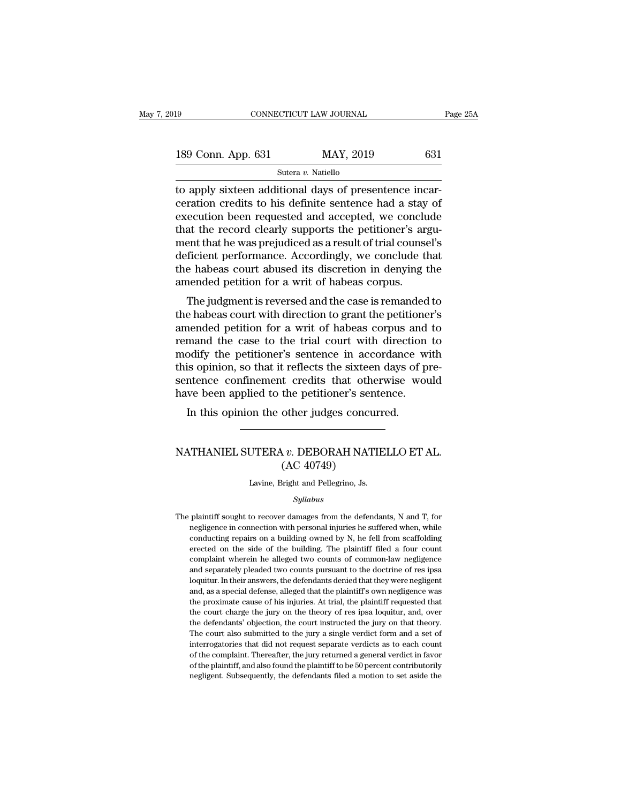| l9                 | CONNECTICUT LAW JOURNAL |     | Page 25A |
|--------------------|-------------------------|-----|----------|
|                    |                         |     |          |
| 189 Conn. App. 631 | MAY, 2019               | 631 |          |
|                    | Sutera v. Natiello      |     |          |

to apply sixteen additional days of presentence incar-<br>
apply sixteen additional days of presentence incar-<br>
days of presentence incar-<br>
dependent of presentence had a stay of present and a stay of<br>
dependent of a stay of 189 Conn. App. 631 MAY, 2019 631<br>
Sutera v. Natiello<br>
to apply sixteen additional days of presentence incarceration credits to his definite sentence had a stay of<br>
execution been requested and accepted, we conclude<br>
that 189 Conn. App. 631 MAY, 2019 631<br>
Sutera v. Natiello<br>
to apply sixteen additional days of presentence incar-<br>
ceration credits to his definite sentence had a stay of<br>
execution been requested and accepted, we conclude<br>
th 189 Conn. App. 631 MAY, 2019 631<br>
Sutera v. Natiello<br>
to apply sixteen additional days of presentence incar-<br>
ceration credits to his definite sentence had a stay of<br>
execution been requested and accepted, we conclude<br>
th Sutera *v*. Natiello<br>
to apply sixteen additional days of presentence incar-<br>
ceration credits to his definite sentence had a stay of<br>
execution been requested and accepted, we conclude<br>
that the record clearly supports t Sutera v. National<br>
to apply sixteen additional days of presentence incar-<br>
ceration credits to his definite sentence had a stay of<br>
execution been requested and accepted, we conclude<br>
that the record clearly supports the to apply sixteen additional days of presentence incarceration credits to his definite sentence had a stay of execution been requested and accepted, we conclude that the record clearly supports the petitioner's argument tha ceration credits to his definite sentence had a stay<br>execution been requested and accepted, we conclu<br>that the record clearly supports the petitioner's arguent that he was prejudiced as a result of trial counse<br>deficient p ecution been requested and accepted, we concrude<br>at the record clearly supports the petitioner's argu-<br>ent that he was prejudiced as a result of trial counsel's<br>ficient performance. Accordingly, we conclude that<br>e habeas c that the record clearly supports the pethroner's argument that he was prejudiced as a result of trial counsel's<br>deficient performance. Accordingly, we conclude that<br>the habeas court abused its discretion in denying the<br>ame

ment that he was prejudiced as a result of that coulser's<br>deficient performance. Accordingly, we conclude that<br>the habeas court abused its discretion in denying the<br>amended petition for a writ of habeas corpus.<br>The judgmen reflectent performance. Accordingly, we conclude that<br>the habeas court abused its discretion in denying the<br>amended petition for a writ of habeas corpus.<br>The judgment is reversed and the case is remanded to<br>the habeas cour the habeas court abused its uscretion in derlying the<br>amended petition for a writ of habeas corpus.<br>The judgment is reversed and the case is remanded to<br>the habeas court with direction to grant the petitioner's<br>amended pet The judgment is reversed and the case is remanded to<br>the habeas court with direction to grant the petitioner's<br>amended petition for a writ of habeas corpus and to<br>remand the case to the trial court with direction to<br>modify The judgment is reversed and the case is remanded to<br>the habeas court with direction to grant the petitioner's<br>amended petition for a writ of habeas corpus and to<br>remand the case to the trial court with direction to<br>modify the habeas court with direction to grant the petitione<br>amended petition for a writ of habeas corpus and<br>remand the case to the trial court with direction<br>modify the petitioner's sentence in accordance wi<br>this opinion, so t In this opinion to a wint of habeas corpus and<br>mand the case to the trial court with direction<br>odify the petitioner's sentence in accordance v<br>is opinion, so that it reflects the sixteen days of p<br>metapore confinement cred The sentence confinement credits that otherwise would<br>have been applied to the petitioner's sentence.<br>In this opinion the other judges concurred.<br>NATHANIEL SUTERA *v*. DEBORAH NATIELLO ET AL.<br>(AC 40749)

### the petitioner's send<br>the petitioner's send<br>other judges concuments<br> $v$ . DEBORAH NAT<br>(AC 40749)<br>sight and Pellegrino, Js. NATHANIEL SUTERA  $v$ . DEBORAH NATIELLO ET AL.<br>(AC 40749)<br>Lavine, Bright and Pellegrino, Js.

### *Syllabus*

The plaintiff sought to recover damages from the defendants, N and T, for<br>negligence in connection with personal injuries he suffered when, while Lavine, Bright and Pellegrino, Js.<br> *Syllabus*<br>
plaintiff sought to recover damages from the defendants, N and T, for<br>
negligence in connection with personal injuries he suffered when, while<br>
conducting repairs on a buildi Lavine, Bright and Pellegrino, Js.<br>
Syllabus<br>
plaintiff sought to recover damages from the defendants, N and T, for<br>
negligence in connection with personal injuries he suffered when, while<br>
conducting repairs on a building  $Syllabus$ <br>plaintiff sought to recover damages from the defendants, N and T, for<br>negligence in connection with personal injuries he suffered when, while<br>conducting repairs on a building owned by N, he fell from scaffolding<br>ere *Syllabus*<br>plaintiff sought to recover damages from the defendants, N and T, for<br>negligence in connection with personal injuries he suffered when, while<br>conducting repairs on a building owned by N, he fell from scaffolding plaintiff sought to recover damages from the defendants, N and T, for<br>negligence in connection with personal injuries he suffered when, while<br>conducting repairs on a building owned by N, he fell from scaffolding<br>erected on regligence in connection with personal injuries he suffered when, while conducting repairs on a building owned by N, he fell from scaffolding erected on the side of the building. The plaintiff filed a four count complaint conducting repairs on a building owned by N, he fell from scaffolding<br>erected on the side of the building. The plaintiff filed a four count<br>complaint wherein he alleged two counts of common-law negligence<br>and separately pl erected on the side of the building. The plaintiff filed a four count complaint wherein he alleged two counts of common-law negligence and separately pleaded two counts pursuant to the doctrine of res ipsa loquitur. In the complaint wherein he alleged two counts of common-law negligence and separately pleaded two counts pursuant to the doctrine of res ipsa loquitur. In their answers, the defendants denied that they were negligent and, as a s and separately pleaded two counts pursuant to the doctrine of res ipsa<br>loquitur. In their answers, the defendants denied that they were negligent<br>and, as a special defense, alleged that the plaintiff's own negligence was<br>t Loughton Internatively provided that the plaintiff's own negligent and, as a special defense, alleged that the plaintiff's own negligence was the proximate cause of his injuries. At trial, the plaintiff requested that the interrogatories that did not request separate verdicts as to each count charge and, as a special defense, alleged that the plaintiff's own negligence was the proximate cause of his injuries. At trial, the plaintiff request the proximate cause of his injuries. At trial, the plaintiff requested that the court charge the jury on the theory of res ipsa loquitur, and, over the defendants' objection, the court instructed the jury on that theory. the court charge the jury on the theory of res ipsa loquitur, and, over the defendants' objection, the court instructed the jury on that theory. The court also submitted to the jury a single verdict form and a set of inter the defendants' objection, the court instructed the jury on that theory.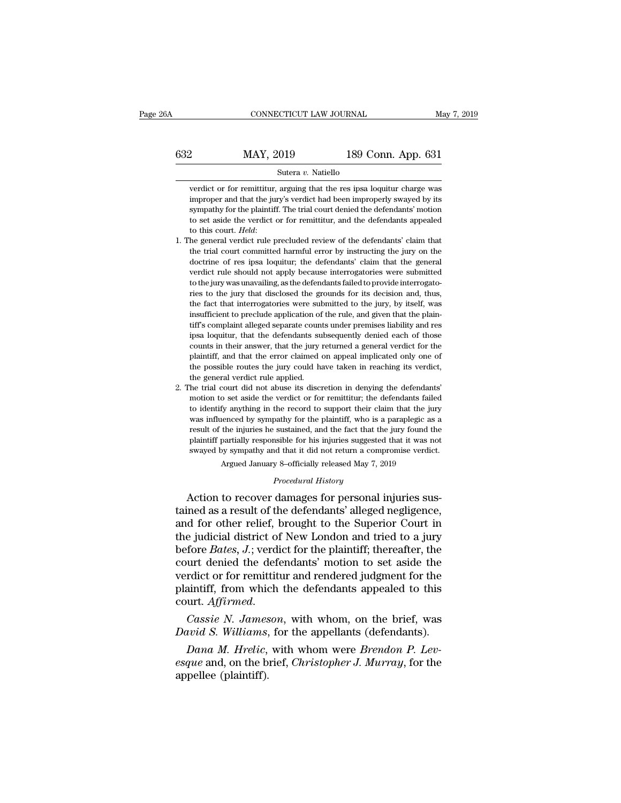### CONNECTICUT LAW JOURNAL May 7, 2019<br>632 MAY, 2019 189 Conn. App. 631<br>Sutera v. Natiello Sutera *v.* Natiello

Verdict or for remittitur, arguing that the res ipsa loquitur charge was improper and that the jury's verdict had been improperly swayed by its **improper and that the jury's verdict had been improperly swayed by its sympathy for the plaintiff. The trial court denied the defendants' motion** MAY,  $2019$  189 Conn. App. 631<br>
Sutera v. Natiello<br>
verdict or for remittitur, arguing that the res ipsa loquitur charge was<br>
improper and that the jury's verdict had been improperly swayed by its<br>
sympathy for the plaint Sutera  $v$ . Natiello<br>
verdict or for remittitur, arguing that the res ipsa loquitur charge was<br>
improper and that the jury's verdict had been improperly swayed by its<br>
sympathy for the plaintiff. The trial court denied th Sutera *v*. Natiello<br>verdict or for remittitur, arguing that the res ipsa loquitur charge was<br>improper and that the jury's verdict had been improperly swayed by its<br>sympathy for the plaintiff. The trial court denied the de terate of the childrent, arguing that the test spot loquidat entige was<br>improper and that the jury's verdict had been improperly swayed by its<br>sympathy for the plaintiff. The trial court denied the defendants' motion<br>to se

- doctrine of results and the predict rate of remittive, and the defendants' motion to set aside the verdict or for remittitur, and the defendants' motion to set aside the verdict or for remittitur, and the defendants' claim sympanty for all plantin. The trial court defied are detendants inodor<br>to set aside the verdict or for remittitur, and the defendants' claim that<br>the general verdict rule precluded review of the defendants' claim that<br>the to this court. *Held*:<br>he general verdict rule precluded review of the defendants' claim that<br>the trial court committed harmful error by instructing the jury on the<br>doctrine of res ipsa loquitur; the defendants' claim that for the general verdict rule. The precluded review of the defendants' claim that the general verdict rule promitted harmful error by instructing the jury on the doctrine of res ipsa loquitur; the defendants' claim that the the trial court committed harmful error by instructing the jury on the doctrine of res ipsa loquitur; the defendants' claim that the general verdict rule should not apply because interrogatories were submitted to the jury insulated application of the defendants' claim that the general verdict rule should not apply because interrogatories were submitted to the jury was unavailing, as the defendants failed to provide interrogatories to the ju the separate of the should not apply because interrogatories were submitted to the jury was unavailing, as the defendants failed to provide interrogatories to the jury that disclosed the grounds for its decision and, thus, is to the jury was unavailing, as the defendants failed to provide interrogatories to the jury that disclosed the grounds for its decision and, thus, the fact that interrogatories were submitted to the jury, by itself, was counts in the jury that disclosed the grounds for its decision and, thus, the fact that interrogatories were submitted to the jury, by itself, was insufficient to preclude application of the rule, and given that the plaint plant that interrogatories were submitted to the jury, by itself, was insufficient to preclude application of the rule, and given that the plaintiff's complaint alleged separate counts under premises liability and res ipsa the must find the possible application of the rule, and given that the plaintiff's complaint alleged separate counts under premises liability and res ipsa loquitur, that the defendants subsequently denied each of those cou tiff's complaint alleged separate coun<br>tiff's complaint alleged separate coun<br>psa loquitur, that the defendants su<br>counts in their answer, that the jury<br>plaintiff, and that the error claimed<br>the possible routes the jury co 2. The trial court did not abuse its discretion in denying the defendants' divide counts in their answer, that the jury returned a general verdict for the plaintiff, and that the error claimed on appeal implicated only one motion to set aside the verdiction in denying the verdiction to the plaintiff, and that the error claimed on appeal implicated only one of the possible routes the jury could have taken in reaching its verdict, the general
- between the record of the possible routed at the record of the possible routes the jury could have taken in reaching its verdict, the general verdict rule applied.<br>The trial court did not abuse its discretion in denying th plantan, and that the trior claimed on appear inpineated only one of<br>the possible routes the jury could have taken in reaching its verdict,<br>the general verdict rule applied.<br>he trial court did not abuse its discretion in d result of the general verdict rule applied.<br>The general verdict rule applied.<br>The trial court did not abuse its discretion in denying the defendants'<br>motion to set aside the verdict or for remittitur; the defendants failed In the trial court did not abuse its discretion in denying the defendants' motion to set aside the verdict or for remittitur; the defendants failed to identify anything in the record to support their claim that the jury wa she was in the above and the above in the term of the defendants failed to identify anything in the record to support their claim that the jury was influenced by sympathy for the plaintiff, who is a paraplegic as a result fy anything in the record to support their claim that the juenced by sympathy for the plaintiff, who is a paraplegic as the injuries he sustained, and the fact that the jury found to partially responsible for his injuries *Pauly* for the plantinity, who is a sustained, and the fact that the size suggested that it did not return a compy 8–officially released May 7, 2 *Procedural History* damages for personal i was influenced by sympathy for the plaintiff, who is a paraplegic as a<br>result of the injuries he sustained, and the fact that the jury found the<br>plaintiff partially responsible for his injuries suggested that it was not<br>sw

result of the injuries he sustained, and the fact that the jury found the<br>plaintiff partially responsible for his injuries suggested that it was not<br>swayed by sympathy and that it did not return a compromise verdict.<br>Argue plantif partially responsible for his injuries suggested that it was not<br>swayed by sympathy and that it did not return a compromise verdict.<br>Argued January 8-officially released May 7, 2019<br>*Procedural History*<br>Action to r swayca by sympany and diatrict of New London and Technology<br>Argued January 8-officially released May 7, 2019<br>Procedural History<br>Action to recover damages for personal injuries sus-<br>tained as a result of the defendants' all *Procedural History*<br>*Procedural History*<br>Action to recover damages for personal injuries sus-<br>tained as a result of the defendants' alleged negligence,<br>and for other relief, brought to the Superior Court in<br>the judicial d *Procedural History*<br>Action to recover damages for personal injuries sus-<br>tained as a result of the defendants' alleged negligence,<br>and for other relief, brought to the Superior Court in<br>the judicial district of New London Action to recover damages for personal injuries sus-<br>tained as a result of the defendants' alleged negligence,<br>and for other relief, brought to the Superior Court in<br>the judicial district of New London and tried to a jury<br> tained as a result of the defendants' alleged negligence,<br>and for other relief, brought to the Superior Court in<br>the judicial district of New London and tried to a jury<br>before *Bates*, *J*.; verdict for the plaintiff; ther the judicial district of New London and tried to a jury<br>before *Bates*, *J*.; verdict for the plaintiff; thereafter, the<br>court denied the defendants' motion to set aside the<br>verdict or for remittitur and rendered judgment *David Bates, J.*; verdict for the plaintiff; thereafter, the court denied the defendants' motion to set aside the verdict or for remittitur and rendered judgment for the plaintiff, from which the defendants appealed to th *Dana M. Hrelic, with whom, on the brief, was*<br>*Dana M. Heritarian, formeword and the aintiff, from which the defendants appealed to this urt. Affirmed.*<br>*Cassie N. Jameson, with whom, on the brief, was wid S. Williams, fo* 

*estantiff, from which the defendants appealed to this* court. *Affirmed.*<br> *Cassie N. Jameson, with whom, on the brief, was David S. Williams, for the appellants (defendants).*<br> *Dana M. Hrelic, with whom were Brendon P.* Francin, Hommark<br>
court. *Affirmed.*<br>
Cassie N. James<br>
David S. Williams,<br>
Dana M. Hrelic,<br>
esque and, on the b<br>
appellee (plaintiff).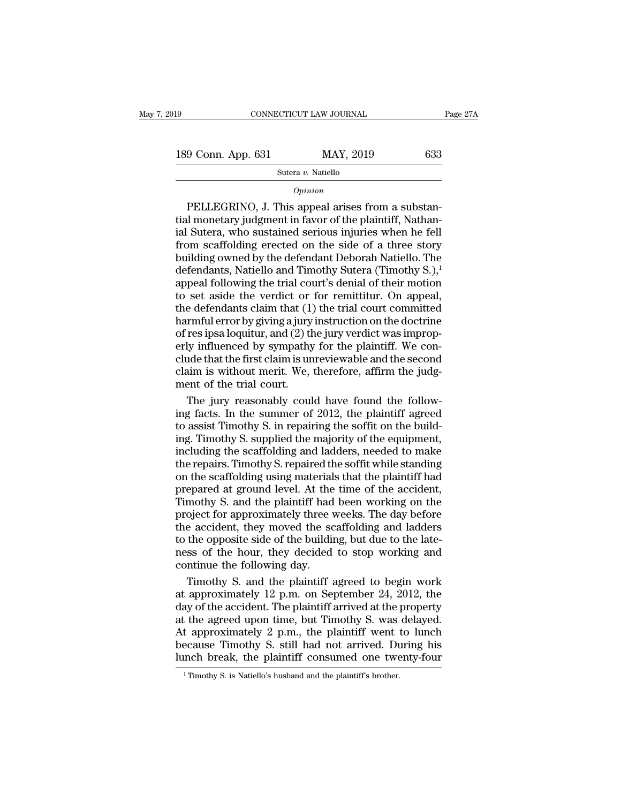Sutera *v.* Natiello

### *Opinion*

9 Conn. App. 631 MAY, 2019 633<br>
Sutera v. Natiello<br>
Opinion<br>
PELLEGRINO, J. This appeal arises from a substan-<br>
I monetary judgment in favor of the plaintiff, Nathan-<br>
Sutera who sustained serious injuries when he fell 189 Conn. App. 631 MAY, 2019 633<br>
Sutera v. Natiello<br>
Opinion<br>
PELLEGRINO, J. This appeal arises from a substantial monetary judgment in favor of the plaintiff, Nathan-<br>
ial Sutera, who sustained serious injuries when he 189 Conn. App. 631 MAY, 2019 633<br>
Sutera v. Natiello<br> *Opinion*<br>
PELLEGRINO, J. This appeal arises from a substantial monetary judgment in favor of the plaintiff, Nathanial Sutera, who sustained serious injuries when he f Sutera v. Natiello<br>
opinion<br>
PELLEGRINO, J. This appeal arises from a substantial monetary judgment in favor of the plaintiff, Nathan-<br>
ial Sutera, who sustained serious injuries when he fell<br>
from scaffolding erected on  $\frac{1}{\text{9} \cdot \text{6}}$ <br>
Dellegal and a substantial monetary judgment in favor of the plaintiff, Nathanial Sutera, who sustained serious injuries when he fell<br>
from scaffolding erected on the side of a three story<br>
building o  $o<sub>pinion</sub>$ <br>PELLEGRINO, J. This appeal arises from a substantial monetary judgment in favor of the plaintiff, Nathanial Sutera, who sustained serious injuries when he fell from scaffolding erected on the side of a three s PELLEGRINO, J. This appeal arises from a substantial monetary judgment in favor of the plaintiff, Nathanial Sutera, who sustained serious injuries when he fell from scaffolding erected on the side of a three story building tial monetary judgment in favor of the plaintiff, Nathanial Sutera, who sustained serious injuries when he fell<br>from scaffolding erected on the side of a three story<br>building owned by the defendant Deborah Natiello. The<br>de ial Sutera, who sustained serious injuries when he fell<br>from scaffolding erected on the side of a three story<br>building owned by the defendant Deborah Natiello. The<br>defendants, Natiello and Timothy Sutera (Timothy S.),<sup>1</sup><br> from scaffolding erected on the side of a three story<br>building owned by the defendant Deborah Natiello. The<br>defendants, Natiello and Timothy Sutera (Timothy S.),<sup>1</sup><br>appeal following the trial court's denial of their motio building owned by the defendant Deborah Natiello. The<br>defendants, Natiello and Timothy Sutera (Timothy S.),<sup>1</sup><br>appeal following the trial court's denial of their motion<br>to set aside the verdict or for remittitur. On appeal defendants, Natiello and Timothy Sutera (Timothy S.),<sup>1</sup><br>appeal following the trial court's denial of their motion<br>to set aside the verdict or for remittitur. On appeal,<br>the defendants claim that (1) the trial court commi appeal following the trial court's denial of their motion<br>to set aside the verdict or for remittitur. On appeal,<br>the defendants claim that (1) the trial court committed<br>harmful error by giving a jury instruction on the doc to set aside the verdict or for remittitur. On appeal,<br>the defendants claim that (1) the trial court committed<br>harmful error by giving a jury instruction on the doctrine<br>of res ipsa loquitur, and (2) the jury verdict was i the defendants claim that (1)<br>harmful error by giving a jury<br>of res ipsa loquitur, and (2) the<br>rly influenced by sympathy<br>clude that the first claim is un<br>claim is without merit. We,<br>ment of the trial court.<br>The jury reaso rmful error by giving a jury instruction on the doctrine<br>res ipsa loquitur, and (2) the jury verdict was improp-<br>ly influenced by sympathy for the plaintiff. We con-<br>ide that the first claim is unreviewable and the second<br> of res ipsa loquitur, and (2) the jury verdict was improperly influenced by sympathy for the plaintiff. We conclude that the first claim is unreviewable and the second claim is without merit. We, therefore, affirm the judg

erly influenced by sympathy for the plaintiff. We conclude that the first claim is unreviewable and the second<br>claim is without merit. We, therefore, affirm the judg-<br>ment of the trial court.<br>The jury reasonably could have clude that the first claim is unreviewable and the second<br>claim is without merit. We, therefore, affirm the judg-<br>ment of the trial court.<br>The jury reasonably could have found the follow-<br>ing facts. In the summer of 2012, claim is without merit. We, therefore, affirm the judgment of the trial court.<br>The jury reasonably could have found the following facts. In the summer of 2012, the plaintiff agreed<br>to assist Timothy S. in repairing the sof ment of the trial court.<br>The jury reasonably could have found the following facts. In the summer of 2012, the plaintiff agreed<br>to assist Timothy S. in repairing the soffit on the build-<br>ing. Timothy S. supplied the majorit The jury reasonably could have found the following facts. In the summer of 2012, the plaintiff agreed to assist Timothy S. in repairing the soffit on the building. Timothy S. supplied the majority of the equipment, includi ing facts. In the summer of 2012, the plaintiff agreed<br>to assist Timothy S. in repairing the soffit on the build-<br>ing. Timothy S. supplied the majority of the equipment,<br>including the scaffolding and ladders, needed to mak to assist Timothy S. in repairing the soffit on the building. Timothy S. supplied the majority of the equipment, including the scaffolding and ladders, needed to make the repairs. Timothy S. repaired the soffit while stand ing. Timothy S. supplied the majority of the equipment,<br>including the scaffolding and ladders, needed to make<br>the repairs. Timothy S. repaired the soffit while standing<br>on the scaffolding using materials that the plaintiff including the scaffolding and ladders, needed to make<br>the repairs. Timothy S. repaired the soffit while standing<br>on the scaffolding using materials that the plaintiff had<br>prepared at ground level. At the time of the accide the repairs. Timothy S. repaired the soffit while standing<br>on the scaffolding using materials that the plaintiff had<br>prepared at ground level. At the time of the accident,<br>Timothy S. and the plaintiff had been working on t on the scaffolding using materials that the plaintiff had<br>prepared at ground level. At the time of the accident,<br>Timothy S. and the plaintiff had been working on the<br>project for approximately three weeks. The day before<br>th prepared at ground level. At the<br>Timothy S. and the plaintiff had<br>project for approximately three v<br>the accident, they moved the sc<br>to the opposite side of the buildin<br>ness of the hour, they decided<br>continue the following mothy S. and the plaintiff had been working on the<br>oject for approximately three weeks. The day before<br>e accident, they moved the scaffolding and ladders<br>the opposite side of the building, but due to the late-<br>ss of the ho project for approximately three weeks. The day before<br>the accident, they moved the scaffolding and ladders<br>to the opposite side of the building, but due to the late-<br>ness of the hour, they decided to stop working and<br>conti

the accident, they moved the scaffolding and ladders<br>to the opposite side of the building, but due to the late-<br>ness of the hour, they decided to stop working and<br>continue the following day.<br>Timothy S. and the plaintiff a to the opposite side of the building, but due to the lateness of the hour, they decided to stop working and<br>continue the following day.<br>Timothy S. and the plaintiff agreed to begin work<br>at approximately 12 p.m. on Septembe ness of the hour, they decided to stop working and<br>continue the following day.<br>Timothy S. and the plaintiff agreed to begin work<br>at approximately 12 p.m. on September 24, 2012, the<br>day of the accident. The plaintiff arrive continue the following day.<br>
Timothy S. and the plaintiff agreed to begin work<br>
at approximately 12 p.m. on September 24, 2012, the<br>
day of the accident. The plaintiff arrived at the property<br>
at the agreed upon time, but Timothy S. and the plaintiff agreed to begin work<br>at approximately 12 p.m. on September 24, 2012, the<br>day of the accident. The plaintiff arrived at the property<br>at the agreed upon time, but Timothy S. was delayed.<br>At appr at the agreed upon time, but Timothy S. was delayed.<br>At approximately 2 p.m., the plaintiff went to lunch because Timothy S. still had not arrived. During his lunch break, the plaintiff consumed one twenty-four Timothy S.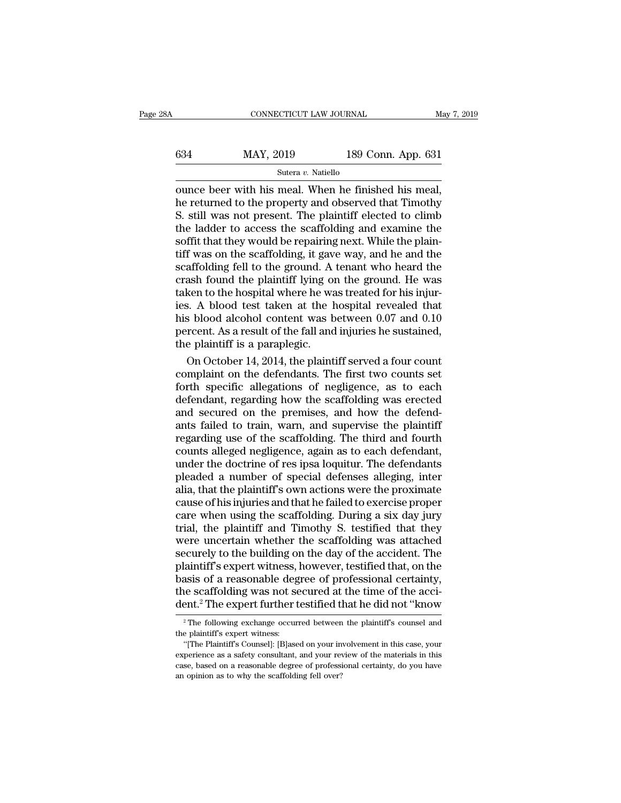| 3A  | CONNECTICUT LAW JOURNAL |                    | May 7, 2019 |
|-----|-------------------------|--------------------|-------------|
| 634 | MAY, 2019               | 189 Conn. App. 631 |             |
|     | Sutera v. Natiello      |                    |             |

 $\begin{tabular}{ll} \multicolumn{1}{l}{{\small \textbf{COMRECTICUT LAW JOURNAL}}}{\small \multicolumn{1}{l}{\small \textbf{May 7, 2}}}\\ \hline \multicolumn{1}{l}{\small \textbf{SAY, 2019}} & \multicolumn{1}{l}{\small \textbf{189 Conn. App. 631}}\\ \hline \multicolumn{1}{l}{\small \textbf{Sutera $v$. National} }\\ \hline \multicolumn{1}{l}{\small \textbf{Outer with his meal. When he finished his meal,} }\\ \hline \multicolumn{1}{l}{\small \textbf{A11} } \textbf{New} & \multicolumn{1}{l}{\small \$  $h = \frac{189 \text{ Com. App. } 631}{\text{Sutera } v. \text{ Native}}$ <br>
NAY, 2019 189 Conn. App. 631<br>
ounce beer with his meal. When he finished his meal,<br>
he returned to the property and observed that Timothy<br>
S. still was not present. The plaintiff ele  $\frac{\text{MAX, 2019}}{\text{Sutera } v. \text{ National } 631}$ <br>
Sutera v. Natiello<br>
Sutera v. Natiello<br>
Ounce beer with his meal. When he finished his meal,<br>
he returned to the property and observed that Timothy<br>
S. still was not present. The plaint 634 MAY, 2019 189 Conn. App. 631<br>
Sutera v. Natiello<br>
ounce beer with his meal. When he finished his meal,<br>
he returned to the property and observed that Timothy<br>
S. still was not present. The plaintiff elected to climb<br> Soft that they would be repairing next. Tapp. 551<br>Sutera v. Natiello<br>Sutera v. Natiello<br>Ahe returned to the property and observed that Timothy<br>S. still was not present. The plaintiff elected to climb<br>the ladder to access Sutera v. Natiello<br>
ounce beer with his meal. When he finished his meal,<br>
he returned to the property and observed that Timothy<br>
S. still was not present. The plaintiff elected to climb<br>
the ladder to access the scaffoldi ounce beer with his meal. When he finished his meal,<br>he returned to the property and observed that Timothy<br>S. still was not present. The plaintiff elected to climb<br>the ladder to access the scaffolding and examine the<br>soffi he returned to the property and observed that Timothy<br>S. still was not present. The plaintiff elected to climb<br>the ladder to access the scaffolding and examine the<br>soffit that they would be repairing next. While the plain-S. still was not present. The plaintiff elected to climb<br>the ladder to access the scaffolding and examine the<br>soffit that they would be repairing next. While the plain-<br>tiff was on the scaffolding, it gave way, and he and the ladder to access the scaffolding and examine the<br>soffit that they would be repairing next. While the plain-<br>tiff was on the scaffolding, it gave way, and he and the<br>scaffolding fell to the ground. A tenant who heard th soffit that they would be repairing next. While the plain-<br>tiff was on the scaffolding, it gave way, and he and the<br>scaffolding fell to the ground. A tenant who heard the<br>crash found the plaintiff lying on the ground. He w tiff was on the scaffolding, it gave way, and he and the scaffolding fell to the ground. A tenant who heard the crash found the plaintiff lying on the ground. He was taken to the hospital where he was treated for his injur scaffolding fell to the ground. A<br>crash found the plaintiff lying on<br>taken to the hospital where he wa<br>ies. A blood test taken at the h<br>his blood alcohol content was b<br>percent. As a result of the fall and<br>the plaintiff is ash found the plaintiff lying on the ground. He was<br>ken to the hospital where he was treated for his injur-<br>s. A blood test taken at the hospital revealed that<br>s blood alcohol content was between 0.07 and 0.10<br>rcent. As a taken to the hospital where he was treated for his injur-<br>ies. A blood test taken at the hospital revealed that<br>his blood alcohol content was between 0.07 and 0.10<br>percent. As a result of the fall and injuries he sustained

ies. A blood test taken at the hospital revealed that<br>his blood alcohol content was between 0.07 and 0.10<br>percent. As a result of the fall and injuries he sustained,<br>the plaintiff is a paraplegic.<br>On October 14, 2014, the his blood alcohol content was between 0.07 and 0.10<br>percent. As a result of the fall and injuries he sustained,<br>the plaintiff is a paraplegic.<br>On October 14, 2014, the plaintiff served a four count<br>complaint on the defenda percent. As a result of the fall and injuries he sustained,<br>the plaintiff is a paraplegic.<br>On October 14, 2014, the plaintiff served a four count<br>complaint on the defendants. The first two counts set<br>forth specific allegat the plaintiff is a paraplegic.<br>
On October 14, 2014, the plaintiff served a four count<br>
complaint on the defendants. The first two counts set<br>
forth specific allegations of negligence, as to each<br>
defendant, regarding how On October 14, 2014, the plaintiff served a four count<br>complaint on the defendants. The first two counts set<br>forth specific allegations of negligence, as to each<br>defendant, regarding how the scaffolding was erected<br>and sec complaint on the defendants. The first two counts set<br>forth specific allegations of negligence, as to each<br>defendant, regarding how the scaffolding was erected<br>and secured on the premises, and how the defend-<br>ants failed t forth specific allegations of negligence, as to each<br>defendant, regarding how the scaffolding was erected<br>and secured on the premises, and how the defend-<br>ants failed to train, warn, and supervise the plaintiff<br>regarding u defendant, regarding how the scaffolding was erected<br>and secured on the premises, and how the defend-<br>ants failed to train, warn, and supervise the plaintiff<br>regarding use of the scaffolding. The third and fourth<br>counts al and secured on the premises, and how the defendants failed to train, warn, and supervise the plaintiff<br>regarding use of the scaffolding. The third and fourth<br>counts alleged negligence, again as to each defendant,<br>under the ants failed to train, warn, and supervise the plaintiff<br>regarding use of the scaffolding. The third and fourth<br>counts alleged negligence, again as to each defendant,<br>under the doctrine of res ipsa loquitur. The defendants<br> regarding use of the scaffolding. The third and fourth<br>counts alleged negligence, again as to each defendant,<br>under the doctrine of res ipsa loquitur. The defendants<br>pleaded a number of special defenses alleging, inter<br>ali counts alleged negligence, again as to each defendant,<br>under the doctrine of res ipsa loquitur. The defendants<br>pleaded a number of special defenses alleging, inter<br>alia, that the plaintiff's own actions were the proximate<br> under the doctrine of res ipsa loquitur. The defendants<br>pleaded a number of special defenses alleging, inter<br>alia, that the plaintiff's own actions were the proximate<br>cause of his injuries and that he failed to exercise pr pleaded a number of special defenses alleging, inter<br>alia, that the plaintiff's own actions were the proximate<br>cause of his injuries and that he failed to exercise proper<br>care when using the scaffolding. During a six day j alia, that the plaintiff's own actions were the proximate<br>cause of his injuries and that he failed to exercise proper<br>care when using the scaffolding. During a six day jury<br>trial, the plaintiff and Timothy S. testified tha cause of his injuries and that he failed to exercise proper<br>care when using the scaffolding. During a six day jury<br>trial, the plaintiff and Timothy S. testified that they<br>were uncertain whether the scaffolding was attached care when using the scaffolding. During a six day jury<br>trial, the plaintiff and Timothy S. testified that they<br>were uncertain whether the scaffolding was attached<br>securely to the building on the day of the accident. The<br>pl trial, the plaintiff and Timothy S. testified that they<br>were uncertain whether the scaffolding was attached<br>securely to the building on the day of the accident. The<br>plaintiff's expert witness, however, testified that, on t laintiff's expert witness, however, testified that, on the<br>asis of a reasonable degree of professional certainty,<br>the scaffolding was not secured at the time of the acci-<br>ent.<sup>2</sup> The expert further testified that he did no **basis of a reasonable deg**<br>the scaffolding was not seement.<sup>2</sup> The expert further the<br> $\frac{1}{2}$  The following exchange occur<br>the plaintiff's expert witness:<br>"[The Plaintiff's Counsel]: [B]ase

the scaffolding was not secured at the time of the accident.<sup>2</sup> The expert further testified that he did not "know  $\overline{P}$ " The following exchange occurred between the plaintiff's counsel and the plaintiff's expert witne dent.<sup>2</sup> The expert further testified that he did not "know  $\frac{1}{2}$  The following exchange occurred between the plaintiff's counsel and the plaintiff's expert witness: "[The Plaintiff's Counsel]: [B]ased on your involve case, based on a reasonable degree of professional certainty, do you have an opinion as to why the scaffolding fell over?<br>
a reason of the materials in this case, your experience as a safety consultant, and your review of <sup>2</sup> The following exchange occurred between<br>the plaintiff's expert witness:<br>"[The Plaintiff's Counsel]: [B]ased on your in<br>experience as a safety consultant, and your rev<br>case, based on a reasonable degree of professi<br>an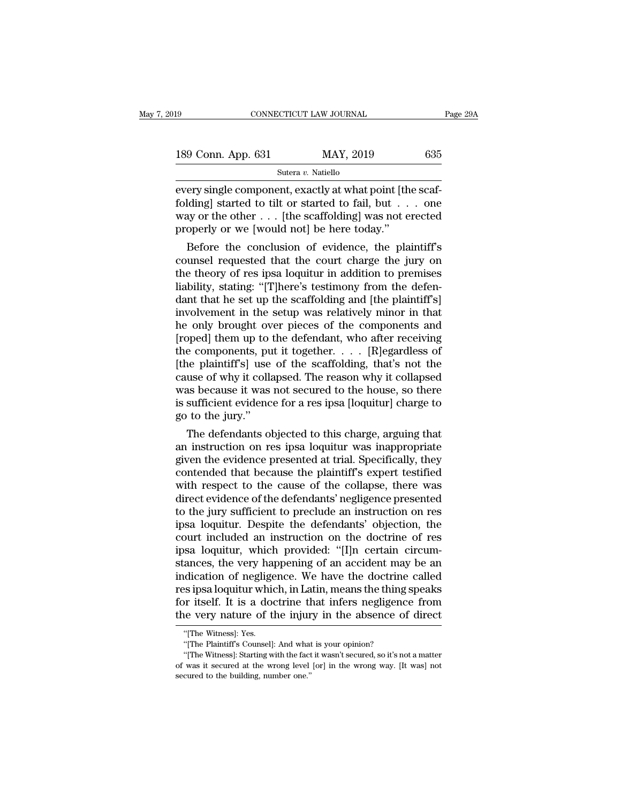| 19                 | CONNECTICUT LAW JOURNAL |           | Page 29A |  |
|--------------------|-------------------------|-----------|----------|--|
| 189 Conn. App. 631 |                         | MAY, 2019 | 635      |  |
|                    | Sutera v. Natiello      |           |          |  |

EVERT ISSN ENGTH OF SONE CONNECTICUT LAW JOURNAL<br>
Sutera v. Natiello<br>
Every single component, exactly at what point [the scaf-<br>
folding] started to tilt or started to fail, but . . . . one<br>
way or the other started to fail 189 Conn. App. 631 MAY, 2019 635<br>
Sutera v. Natiello<br>
every single component, exactly at what point [the scaffolding] started to tilt or started to fail, but . . . one<br>
way or the other . . . [the scaffolding] was not ere 189 Conn. App. 631 MAY, 2019 635<br>
Sutera v. Natiello<br>
every single component, exactly at what point [the scaffolding] started to tilt or started to fail, but . . . one<br>
way or the other . . . [the scaffolding] was not ere 189 Conn. App. 631 MAY, 2019<br>
Sutera v. Natiello<br>
every single component, exactly at what point [th<br>
folding] started to tilt or started to fail, but . . .<br>
way or the other . . . [the scaffolding] was not e<br>
properly or Sutera v. Natiello<br>
ery single component, exactly at what point [the scaf-<br>
Iding] started to tilt or started to fail, but . . . one<br>
ay or the other . . . [the scaffolding] was not erected<br>
operly or we [would not] be he every single component, exactly at what point [the scaffolding] started to tilt or started to fail, but  $\dots$  one way or the other  $\dots$  [the scaffolding] was not erected properly or we [would not] be here today."<br>Before th

every single component, exactly at what point [the scar-<br>folding] started to tilt or started to fail, but  $\dots$  one<br>way or the other  $\dots$  [the scaffolding] was not erected<br>properly or we [would not] be here today."<br>Before liability, stating: ''[T]here's testimony from the defendant that he settimony is related to the plaintiff's counsel requested that the court charge the jury on the theory of res ipsa loquitur in addition to premises liab way or the other  $\ldots$  [the scaffolding] was not erected<br>properly or we [would not] be here today."<br>Before the conclusion of evidence, the plaintiff's<br>counsel requested that the court charge the jury on<br>the theory of res property or we [would not] be nere today.<br>
Before the conclusion of evidence, the plaintiff's<br>
counsel requested that the court charge the jury on<br>
the theory of res ipsa loquitur in addition to premises<br>
liability, statin Before the conclusion of evidence, the plaintiff's<br>counsel requested that the court charge the jury on<br>the theory of res ipsa loquitur in addition to premises<br>liability, stating: "[T]here's testimony from the defen-<br>dant t counsel requested that the court charge the jury on<br>the theory of res ipsa loquitur in addition to premises<br>liability, stating: "[T]here's testimony from the defen-<br>dant that he set up the scaffolding and [the plaintiff's the theory of res ipsa loquitur in addition to premises<br>liability, stating: "[T]here's testimony from the defen-<br>dant that he set up the scaffolding and [the plaintiff's]<br>involvement in the setup was relatively minor in th liability, stating: "[T]here's testimony from the defen-<br>dant that he set up the scaffolding and [the plaintiff's]<br>involvement in the setup was relatively minor in that<br>he only brought over pieces of the components and<br>[ro dant that he set up the scaffolding and [the plaintiff's]<br>involvement in the setup was relatively minor in that<br>he only brought over pieces of the components and<br>[roped] them up to the defendant, who after receiving<br>the co involvement in the setup was relatively minor in that<br>he only brought over pieces of the components and<br>[roped] them up to the defendant, who after receiving<br>the components, put it together.  $\dots$  [R]egardless of<br>[the plai he only brought over pieces of the components and<br>[roped] them up to the defendant, who after receiving<br>the components, put it together.  $\dots$  [R]<br>egardless of<br>[the plaintiff's] use of the scaffolding, that's not the<br>cause [roped] them up to<br>the components, pu<br>[the plaintiff's] use<br>cause of why it colla<br>was because it was<br>is sufficient evidenc<br>go to the jury."<br>The defendants of Example 1 at the scaffolding, that's not the use of why it collapsed. The reason why it collapsed as because it was not secured to the house, so there sufficient evidence for a res ipsa [loquitur] charge to to the jury."<br> [the plaintiffs] use of the scatfolding, that's not the<br>cause of why it collapsed. The reason why it collapsed<br>was because it was not secured to the house, so there<br>is sufficient evidence for a res ipsa [loquitur] charge t

cause of why it collapsed. The reason why it collapsed<br>was because it was not secured to the house, so there<br>is sufficient evidence for a res ipsa [loquitur] charge to<br>go to the jury."<br>The defendants objected to this charg was because it was not secured to the house, so there<br>is sufficient evidence for a res ipsa [loquitur] charge to<br>go to the jury."<br>The defendants objected to this charge, arguing that<br>an instruction on res ipsa loquitur was is sufficient evidence for a res ipsa [loquitur] charge to<br>go to the jury."<br>The defendants objected to this charge, arguing that<br>an instruction on res ipsa loquitur was inappropriate<br>given the evidence presented at trial. go to the jury."<br>The defendants objected to this charge, arguing that<br>an instruction on res ipsa loquitur was inappropriate<br>given the evidence presented at trial. Specifically, they<br>contended that because the plaintiff's e The defendants objected to this charge, arguing that<br>an instruction on res ipsa loquitur was inappropriate<br>given the evidence presented at trial. Specifically, they<br>contended that because the plaintiff's expert testified<br>w an instruction on res ipsa loquitur was inappropriate<br>given the evidence presented at trial. Specifically, they<br>contended that because the plaintiff's expert testified<br>with respect to the cause of the collapse, there was<br>d given the evidence presented at trial. Specifically, they<br>contended that because the plaintiff's expert testified<br>with respect to the cause of the collapse, there was<br>direct evidence of the defendants' negligence presented contended that because the plaintiff's expert testified<br>with respect to the cause of the collapse, there was<br>direct evidence of the defendants' negligence presented<br>to the jury sufficient to preclude an instruction on res<br> with respect to the cause of the collapse, there was<br>direct evidence of the defendants' negligence presented<br>to the jury sufficient to preclude an instruction on res<br>ipsa loquitur. Despite the defendants' objection, the<br>co direct evidence of the defendants' negligence presented<br>to the jury sufficient to preclude an instruction on res<br>ipsa loquitur. Despite the defendants' objection, the<br>court included an instruction on the doctrine of res<br>ip to the jury sufficient to preclude an instruction on res<br>ipsa loquitur. Despite the defendants' objection, the<br>court included an instruction on the doctrine of res<br>ipsa loquitur, which provided: "[I]n certain circum-<br>stanc ipsa loquitur. Despite the defendants' objection, the<br>court included an instruction on the doctrine of res<br>ipsa loquitur, which provided: "[I]n certain circum-<br>stances, the very happening of an accident may be an<br>indicatio court included an instruction on the doctrine of res<br>ipsa loquitur, which provided: "[I]n certain circum-<br>stances, the very happening of an accident may be an<br>indication of negligence. We have the doctrine called<br>res ipsa dication of negliges<br>'nsa loquitur whior<br>'n itself. It is a door<br>'e very nature of the Witness of the Witness of the Witness of The Plaintiff's Counsel] So ipsa loquitur which, in Latin, means the thing<br>
or itself. It is a doctrine that infers negligence<br>
e very nature of the injury in the absence of<br>
"[The Witness]: Yes.<br>
"[The Plaintiff's Counsel]: And what is your opini It is a doctrine that infers negligence from<br>
it is a doctrine that infers negligence from<br>
it if the Witness]: Yes.<br>
"The Witness]: Starting with the fact it wasn't secured, so it's not a matter<br>
"The Witness]: Starting w

the very nature of the injury in the absence of direct<br>
"[The Witness]: Yes.<br>
"[The Plaintiff's Counsel]: And what is your opinion?<br>
"[The Witness]: Starting with the fact it wasn't secured, so it's not a matter<br>
of was it The Witness]: Yes.<br>
"The Witness]: Yes.<br>
"The Plaintiff's Counsel]: And what<br>
"The Witness]: Starting with the fact<br>
of was it secured at the wrong level<br>
secured to the building, number one."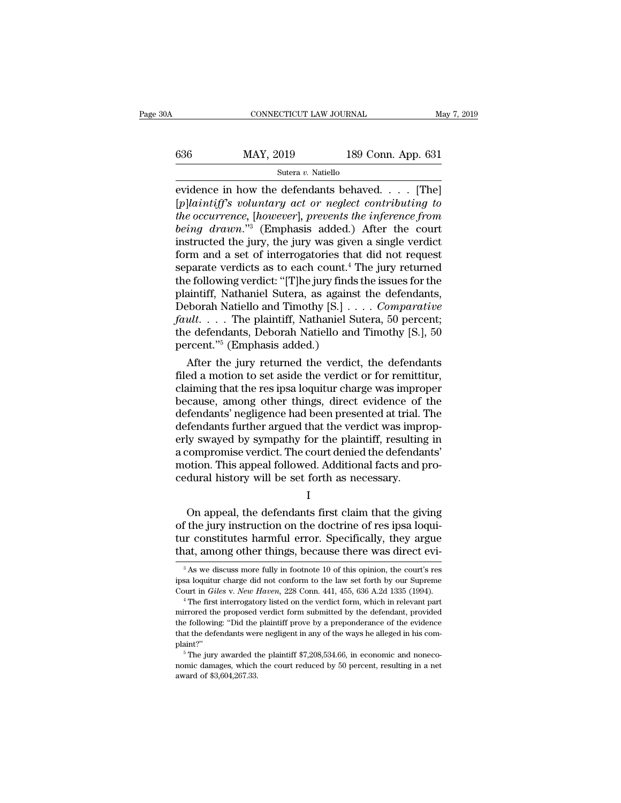| )A  | CONNECTICUT LAW JOURNAL |                    | May 7, 2019 |
|-----|-------------------------|--------------------|-------------|
| 636 | MAY, 2019               | 189 Conn. App. 631 |             |
|     | Sutera v. Natiello      |                    |             |

EVIDENTICUT LAW JOURNAL May 7, 2019<br>
EVIDENTICUT LAW JOURNAL May 7, 2019<br>
Sutera v. Natiello<br>
EVIDENCE in how the defendants behaved. . . . . [The]<br>
EVIDENCE in how the defendants behaved. . . . . [The]<br>
EVIDENCE in the su [*p*]<br> *p MAY*, 2019 189 Conn. App. 631<br> **b** *sutera v. Natiello*<br> **p**]<br> **p**]*laintiff's voluntary act or neglect contributing to<br>
the occurrence, [however], prevents the inference from<br>
being drawn "<sup>3</sup> (Emphasis adde the occurrence,* [*however]*, *prevents the inference from the inference,* [*however]*, *prevents the inference from the occurrence,* [*however]*, *prevents the inference from being drawn.*"<sup>3</sup> (Emphasis added.) Af **being drawn** and a set of interrordines that did not request<br>form and a set of intervals and a set of intervals and a set of intervals and a set of interrormetery and a set of interrormeteries that did not request Subsequence in how the defendants behaved. . . . . [The]<br>
[p]laintiff's voluntary act or neglect contributing to<br>
the occurrence, [however], prevents the inference from<br>
being drawn."<sup>3</sup> (Emphasis added.) After the court<br> Sutera v. Natiello<br>
evidence in how the defendants behaved. . . . . [The]<br>
[p]laintiff's voluntary act or neglect contributing to<br>
the occurrence, [however], prevents the inference from<br>
being drawn."<sup>3</sup> (Emphasis added.) evidence in how the defendants behaved. . . . . [The]<br>[p]laintiff's voluntary act or neglect contributing to<br>the occurrence, [however], prevents the inference from<br>being drawn."<sup>3</sup> (Emphasis added.) After the court<br>instru [p]laintiff's voluntary act or neglect contributing to<br>the occurrence, [however], prevents the inference from<br>being drawn."<sup>3</sup> (Emphasis added.) After the court<br>instructed the jury, the jury was given a single verdict<br>for *the occurrence, [however], prevents the inference from*<br>being drawn."<sup>3</sup> (Emphasis added.) After the court<br>instructed the jury, the jury was given a single verdict<br>form and a set of interrogatories that did not request<br>s being drawn."<sup>3</sup> (Emphasis added.) After the court<br>instructed the jury, the jury was given a single verdict<br>form and a set of interrogatories that did not request<br>separate verdicts as to each count.<sup>4</sup> The jury returned<br>t instructed the jury, the jury was given a single verdict<br>form and a set of interrogatories that did not request<br>separate verdicts as to each count.<sup>4</sup> The jury returned<br>the following verdict: "[T]he jury finds the issues f form and a set of interrogatories that did not request<br>separate verdicts as to each count.<sup>4</sup> The jury returned<br>the following verdict: "[T]he jury finds the issues for the<br>plaintiff, Nathaniel Sutera, as against the defen separate verdicts as to each count.<sup>4</sup> T<br>the following verdict: "[T]he jury finds<br>plaintiff, Nathaniel Sutera, as agains<br>Deborah Natiello and Timothy [S.] . .<br>*fault*. . . . The plaintiff, Nathaniel St<br>the defendants, Deb e following verdict: "[T]he jury finds the issues for the<br>aintiff, Nathaniel Sutera, as against the defendants,<br>bborah Natiello and Timothy [S.] . . . . *Comparative<br>ult.* . . . The plaintiff, Nathaniel Sutera, 50 percent plaintiff, Nathaniel Sutera, as against the defendants,<br>Deborah Natiello and Timothy [S.] . . . . *Comparative*<br>fault. . . . The plaintiff, Nathaniel Sutera, 50 percent;<br>the defendants, Deborah Natiello and Timothy [S.],

Deborah Natiello and Timothy  $[S.] \ldots$ . Comparative<br>fault.... The plaintiff, Nathaniel Sutera, 50 percent;<br>the defendants, Deborah Natiello and Timothy  $[S.]$ , 50<br>percent."<sup>5</sup> (Emphasis added.)<br>After the jury returned the v fault. . . . The plaintiff, Nathaniel Sutera, 50 percent;<br>the defendants, Deborah Natiello and Timothy [S.], 50<br>percent."<sup>5</sup> (Emphasis added.)<br>After the jury returned the verdict, the defendants<br>filed a motion to set asid the defendants, Deborah Natiello and Timothy [S.], 50<br>percent."<sup>5</sup> (Emphasis added.)<br>After the jury returned the verdict, the defendants<br>filed a motion to set aside the verdict or for remittitur,<br>claiming that the res ipsa percent."<sup>3</sup> (Emphasis added.)<br>After the jury returned the verdict, the defendants<br>filed a motion to set aside the verdict or for remittitur,<br>claiming that the res ipsa loquitur charge was improper<br>because, among other thi After the jury returned the verdict, the defendants<br>filed a motion to set aside the verdict or for remittitur,<br>claiming that the res ipsa loquitur charge was improper<br>because, among other things, direct evidence of the<br>def filed a motion to set aside the verdict or for remittitur,<br>claiming that the res ipsa loquitur charge was improper<br>because, among other things, direct evidence of the<br>defendants' negligence had been presented at trial. The claiming that the res ipsa loquitur charge was improper<br>because, among other things, direct evidence of the<br>defendants' negligence had been presented at trial. The<br>defendants further argued that the verdict was improp-<br>erl because, among other things, direct evidence of<br>defendants' negligence had been presented at trial. <sup>7</sup><br>defendants further argued that the verdict was impr<br>erly swayed by sympathy for the plaintiff, resulting<br>a compromise rendants rattice argued that the vertact was improp-<br>ly swayed by sympathy for the plaintiff, resulting in<br>compromise verdict. The court denied the defendants'<br>otion. This appeal followed. Additional facts and pro-<br>dural h

I

of the jury is say to the plantari, resulting in<br>a compromise verdict. The court denied the defendants'<br>motion. This appeal followed. Additional facts and pro-<br>cedural history will be set forth as necessary.<br>I<br>On appeal, t the different constraints and procedural history will be set forth as necessary.<br>
I<br>
On appeal, the defendants first claim that the giving<br>
of the jury instruction on the doctrine of res ipsa loqui-<br>
tur constitutes harmfu The state of the set forth as necessary.<br>
The only appeal, the defendants first claim that the giving<br>
of the jury instruction on the doctrine of res ipsa loqui-<br>
tur constitutes harmful error. Specifically, they argue<br>
th On appeal, the defendants first claim that the giving<br>if the jury instruction on the doctrine of res ipsa loqui-<br>ir constitutes harmful error. Specifically, they argue<br>aat, among other things, because there was direct eviof the jury instruction on the doctrine of res ipsa loquitur constitutes harmful error. Specifically, they argue that, among other things, because there was direct evi<sup>3</sup> as we discuss more fully in footnote 10 of this op

tur constitutes harmful error. Specifically, they argue that, among other things, because there was direct evi<sup>3</sup> As we discuss more fully in footnote 10 of this opinion, the court's res ipsa loquitur charge did not confor

That, altiong other things, because there was direct evi-<br>
<sup>3</sup> As we discuss more fully in footnote 10 of this opinion, the court's res<br>
ipsa loquitur charge did not conform to the law set forth by our Supreme<br>
Court in <sup>3</sup> As we discuss more fully in footnote 10 of this opinion, the court's res<br>ipsa loquitur charge did not conform to the law set forth by our Supreme<br>Court in *Giles v. New Haven*, 228 Conn. 441, 455, 636 A.2d 1335 (1994) <sup>3</sup> As we discuss more fully in footnote 10 of this opinion, the court's res ipsa loquitur charge did not conform to the law set forth by our Supreme Court in *Giles v. New Haven*, 228 Conn. 441, 455, 636 A.2d 1335 (1994) plaint?''  $^4$  The first interrogatory listed on the verdict form, which in relevant part mirrored the proposed verdict form submitted by the defendant, provided the following: "Did the plaintiff prove by a preponderance of the evi mirrored the proposed verdict form submitted by the defendant, provided the following: "Did the plaintiff prove by a preponderance of the evidence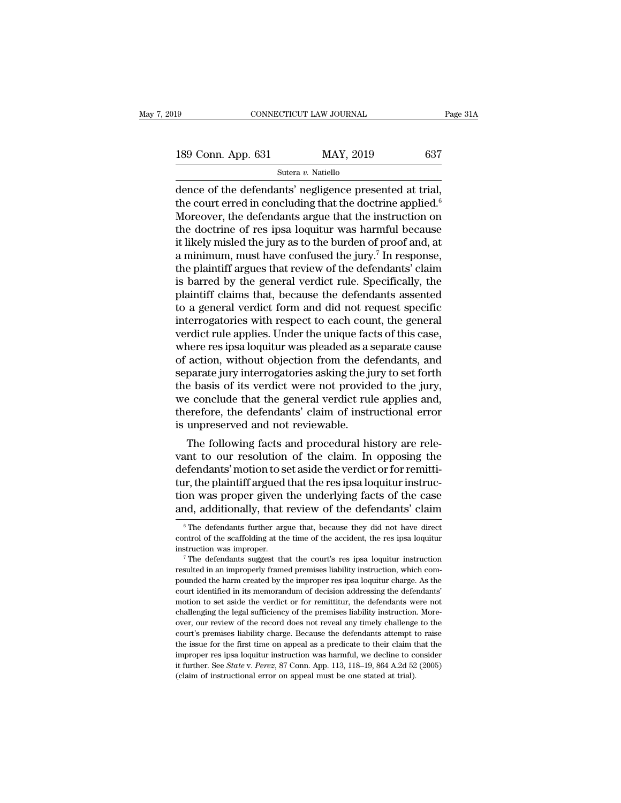189 CONNECTICUT LAW JOURNAL Page 31A<br>189 Conn. App. 631 MAY, 2019 637<br>Sutera v. Natiello

Sutera *v.* Natiello

 $\begin{array}{lll}\n\text{189 Conn. App. 631} & \text{MAX, } 2019 & \text{637} \\
\hline\n\text{Sutera } v. \text{ Native} & \text{MAY, } 2019 & \text{637} \\
\hline\n\end{array}$ <br>
dence of the defendants' negligence presented at trial,<br>
the court erred in concluding that the doctrine applied.<sup>6</sup><br>
Moreo 189 Conn. App. 631 MAY, 2019 637<br>
Sutera v. Natiello<br>
dence of the defendants' negligence presented at trial,<br>
the court erred in concluding that the doctrine applied.<sup>6</sup><br>
Moreover, the defendants argue that the instructi 189 Conn. App. 631 MAY, 2019 637<br>
Sutera v. Natiello<br>
dence of the defendants' negligence presented at trial,<br>
the court erred in concluding that the doctrine applied.<sup>6</sup><br>
Moreover, the defendants argue that the instructi 189 Conn. App. 631 MAY, 2019 637<br>
Sutera *v*. Natiello<br>
dence of the defendants' negligence presented at trial,<br>
the court erred in concluding that the doctrine applied.<sup>6</sup><br>
Moreover, the defendants argue that the instruc Sutera v. Natiello<br>
dence of the defendants' negligence presented at trial,<br>
the court erred in concluding that the doctrine applied.<sup>6</sup><br>
Moreover, the defendants argue that the instruction on<br>
the doctrine of res ipsa lo sutera v. Natiello<br>dence of the defendants' negligence presented at trial,<br>the court erred in concluding that the doctrine applied.<sup>6</sup><br>Moreover, the defendants argue that the instruction on<br>the doctrine of res ipsa loquit dence of the defendants' negligence presented at trial,<br>the court erred in concluding that the doctrine applied.<sup>6</sup><br>Moreover, the defendants argue that the instruction on<br>the doctrine of res ipsa loquitur was harmful beca the court erred in concluding that the doctrine applied.<sup>6</sup><br>Moreover, the defendants argue that the instruction on<br>the doctrine of res ipsa loquitur was harmful because<br>it likely misled the jury as to the burden of proof a Moreover, the defendants argue that the instruction on<br>the doctrine of res ipsa loquitur was harmful because<br>it likely misled the jury as to the burden of proof and, at<br>a minimum, must have confused the jury.<sup>7</sup> In respons the doctrine of res ipsa loquitur was harmful because<br>it likely misled the jury as to the burden of proof and, at<br>a minimum, must have confused the jury.<sup>7</sup> In response,<br>the plaintiff argues that review of the defendants' it likely misled the jury as to the burden of proof and, at<br>a minimum, must have confused the jury.<sup>7</sup> In response,<br>the plaintiff argues that review of the defendants' claim<br>is barred by the general verdict rule. Specifica a minimum, must have confused the jury.<sup>7</sup> In response,<br>the plaintiff argues that review of the defendants' claim<br>is barred by the general verdict rule. Specifically, the<br>plaintiff claims that, because the defendants assen the plaintiff argues that review of the defendants' claim<br>is barred by the general verdict rule. Specifically, the<br>plaintiff claims that, because the defendants assented<br>to a general verdict form and did not request specif is barred by the general verdict rule. Specifically, the plaintiff claims that, because the defendants assented to a general verdict form and did not request specific interrogatories with respect to each count, the general plaintiff claims that, because the defendants assented<br>to a general verdict form and did not request specific<br>interrogatories with respect to each count, the general<br>verdict rule applies. Under the unique facts of this cas to a general verdict form and did not request specific<br>interrogatories with respect to each count, the general<br>verdict rule applies. Under the unique facts of this case,<br>where res ipsa loquitur was pleaded as a separate ca interrogatories with respect to each count, the general verdict rule applies. Under the unique facts of this case, where res ipsa loquitur was pleaded as a separate cause of action, without objection from the defendants, a verdict rule applies. Under the unique facts of this case,<br>where res ipsa loquitur was pleaded as a separate cause<br>of action, without objection from the defendants, and<br>separate jury interrogatories asking the jury to set where res ipsa loquitur was pleaded as a s<br>of action, without objection from the de<br>separate jury interrogatories asking the ju<br>the basis of its verdict were not provide<br>we conclude that the general verdict rul<br>therefore, action, without objection from the defendants, and<br>parate jury interrogatories asking the jury to set forth<br>e basis of its verdict were not provided to the jury,<br>e conclude that the general verdict rule applies and,<br>erefor separate jury interrogatories asking the jury to set forth<br>the basis of its verdict were not provided to the jury,<br>we conclude that the general verdict rule applies and,<br>therefore, the defendants' claim of instructional er

the basis of its verdict were not provided to the jury,<br>we conclude that the general verdict rule applies and,<br>therefore, the defendants' claim of instructional error<br>is unpreserved and not reviewable.<br>The following facts we conclude that the general verdict rule applies and,<br>therefore, the defendants' claim of instructional error<br>is unpreserved and not reviewable.<br>The following facts and procedural history are rele-<br>vant to our resolution therefore, the defendants claim of instructional error<br>is unpreserved and not reviewable.<br>The following facts and procedural history are rele-<br>vant to our resolution of the claim. In opposing the<br>defendants' motion to set is unpreserved and not reviewable.<br>The following facts and procedural history are relevant to our resolution of the claim. In opposing the<br>defendants' motion to set aside the verdict or for remitti-<br>tur, the plaintiff argu efendants' motion to set aside the verdict or for remitti-<br>ur, the plaintiff argued that the res ipsa loquitur instruc-<br>on was proper given the underlying facts of the case<br>and, additionally, that review of the defendants' tur, the plaintiff argued that the res ipsa loquitur instruction was proper given the underlying facts of the case and, additionally, that review of the defendants' claim  $\frac{1}{\pi}$  The defendants further argue that, becau tion was proper given the underlying facts of the case<br>and, additionally, that review of the defendants' claim<br> $\frac{1}{\pi}$  The defendants further argue that, because they did not have direct<br>control of the scaffolding at t

and, additionally, that review of the defendants' claim<br>  $\overline{\phantom{a}}$   $\overline{\phantom{a}}$  The defendants further argue that, because they did not have direct<br>
control of the scaffolding at the time of the accident, the res ipsa lo  $^\circ$  The defendants further argue that, because they did not have direct control of the scaffolding at the time of the accident, the res ipsa loquitur instruction was improper. The defendants suggest that the court's res control of the scaffolding at the time of the accident, the res ipsa loquitur<br>instruction was improper.<br><sup>7</sup> The defendants suggest that the court's res ipsa loquitur instruction<br>resulted in an improperly framed premises li motion was improper.<br>
<sup>7</sup> The defendants suggest that the court's res ipsa loquitur instruction<br>
resulted in an improperly framed premises liability instruction, which com-<br>
pounded the harm created by the improper res ips The defendants suggest that the court's res ipsa loquitur instruction resulted in an improperly framed premises liability instruction, which compounded the harm created by the improper res ipsa loquitur charge. As the cou resulted in an improperly framed premises liability instruction, which compounded the harm created by the improper res ipsa loquitur charge. As the court identified in its memorandum of decision addressing the defendants' pounded the harm created by the improper res ipsa loquitur charge. As the court identified in its memorandum of decision addressing the defendants' motion to set aside the verdict or for remittitur, the defendants were not Fourt identified in its memoralum of decision adressing the defendants' motion to set aside the verdict or for remittitur, the defendants were not challenging the legal sufficiency of the premises liability instruction. Mo motion to set aside the verdict or for remittiur, the defendants were not challenging the legal sufficiency of the premises liability instruction. Moreover, our review of the record does not reveal any timely challenge to challenging the legal sufficiency of the premises liability instruction. Moreover, our review of the record does not reveal any timely challenge to the court's premises liability charge. Because the defendants attempt to r over, our review of the record does not reveal any timely challenge to the court's premises liability charge. Because the defendants attempt to raise the issue for the first time on appeal as a predicate to their claim th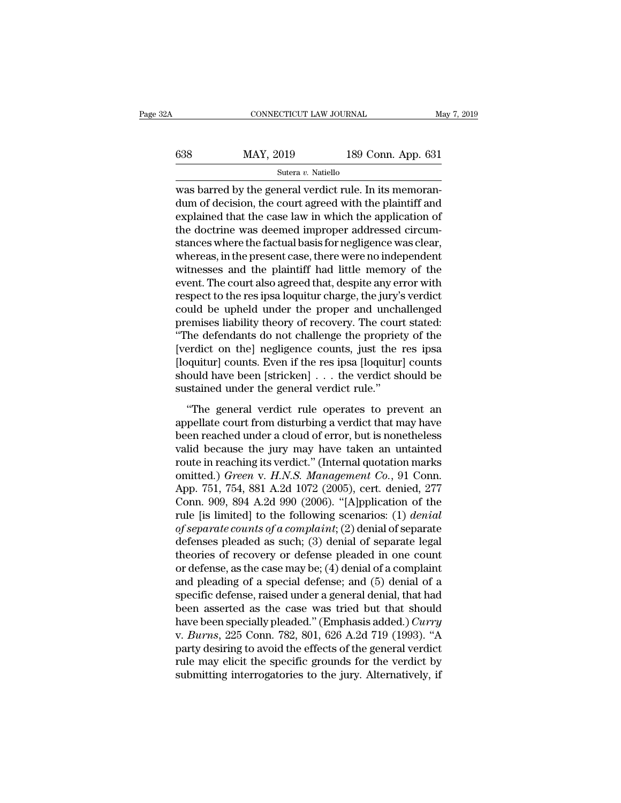| 2A  | CONNECTICUT LAW JOURNAL |                    | May 7, 2019 |
|-----|-------------------------|--------------------|-------------|
| 638 | MAY, 2019               | 189 Conn. App. 631 |             |
|     | Sutera v. Natiello      |                    |             |

CONNECTICUT LAW JOURNAL<br>
SURFACE REGISTER ON THE GAS BATTED WAS barred by the general verdict rule. In its memoran-<br>
dum of decision, the court agreed with the plaintiff and<br>
explained that the gase law in which the applic  $\begin{array}{c|l} \hline \text{638} & \text{MAX, 2019} & \text{189 Conn. App. 631} \\ \hline \text{Sutera } v. \text{ Nationaled form of the general.} \\ \hline \text{Was barred by the general verdict rule. In its memorandum of decision, the court agreed with the plaintiff and explained that the case law in which the application of the doctrine was deemed improved in a standard program.} \end{array}$ 638 MAY, 2019 189 Conn. App. 631<br>
Sutera v. Natiello<br>
Was barred by the general verdict rule. In its memoran-<br>
dum of decision, the court agreed with the plaintiff and<br>
explained that the case law in which the application  $\frac{\text{MAX}}{\text{Sulera } v. \text{ Native}}$  189 Conn. App. 631<br>  $\frac{\text{Sulera } v. \text{ Native}}{\text{Was barred by the general verdict rule. In its memorandum of decision, the court agreed with the plaintiff and explained that the case law in which the application of the doctrine was deemed improper addressed circum-  
stances where the factual basis for negligibleence was clear, whereas in the present case, there was no independent$ Sutera v. Natiello<br>
was barred by the general verdict rule. In its memoran-<br>
dum of decision, the court agreed with the plaintiff and<br>
explained that the case law in which the application of<br>
the doctrine was deemed impro sutera  $v$ . National Muslim was barred by the general verdict rule. In its memorandum of decision, the court agreed with the plaintiff and explained that the case law in which the application of the doctrine was deemed im was barred by the general verdict rule. In its memorandum of decision, the court agreed with the plaintiff and explained that the case law in which the application of the doctrine was deemed improper addressed circumstance dum of decision, the court agreed with the plaintiff and<br>explained that the case law in which the application of<br>the doctrine was deemed improper addressed circum-<br>stances where the factual basis for negligence was clear,<br> explained that the case law in which the application of<br>the doctrine was deemed improper addressed circum-<br>stances where the factual basis for negligence was clear,<br>whereas, in the present case, there were no independent<br>w the doctrine was deemed improper addressed circum-<br>stances where the factual basis for negligence was clear,<br>whereas, in the present case, there were no independent<br>witnesses and the plaintiff had little memory of the<br>even stances where the factual basis for negligence was clear,<br>whereas, in the present case, there were no independent<br>witnesses and the plaintiff had little memory of the<br>event. The court also agreed that, despite any error wi whereas, in the present case, there were no independent<br>
witnesses and the plaintiff had little memory of the<br>
event. The court also agreed that, despite any error with<br>
respect to the res ipsa loquitur charge, the jury's witnesses and the plaintiff had little memory of the<br>event. The court also agreed that, despite any error with<br>respect to the res ipsa loquitur charge, the jury's verdict<br>could be upheld under the proper and unchallenged<br>p event. The court also agreed that, despite any error with<br>respect to the res ipsa loquitur charge, the jury's verdict<br>could be upheld under the proper and unchallenged<br>premises liability theory of recovery. The court state respect to the res ipsa loquitur charge, the jury's verdict<br>could be upheld under the proper and unchallenged<br>premises liability theory of recovery. The court stated:<br>"The defendants do not challenge the propriety of the<br>[ could be upheld under the proper and unchappenises liability theory of recovery. The cour<br>"The defendants do not challenge the propriet<br>[verdict on the] negligence counts, just the [loquitur] counts. Even if the res ipsa [ The defendants do not challenge the propriety of the<br>
erdict on the] negligence counts, just the res ipsa<br>
oquitur] counts. Even if the res ipsa [loquitur] counts<br>
ould have been [stricken] . . . the verdict should be<br>
sta Frie determinis do not entantify are propriety of are<br>
[verdict on the] negligence counts, just the res ipsa<br>
[loquitur] counts. Even if the res ipsa [loquitur] counts<br>
should have been [stricken]  $\ldots$ , the verdict shoul

[loquitur] counts. Even if the res ipsa [loquitur] counts should have been [stricken]  $\ldots$  the verdict should be sustained under the general verdict rule."<br>"The general verdict rule operates to prevent an appellate court should have been [stricken]  $\ldots$  the verdict should be<br>sustained under the general verdict rule."<br>"The general verdict rule operates to prevent an<br>appellate court from disturbing a verdict that may have<br>been reached unde sustained under the general verdict rule."<br>
"The general verdict rule operates to prevent an<br>
appellate court from disturbing a verdict that may have<br>
been reached under a cloud of error, but is nonetheless<br>
valid because "The general verdict rule operates to prevent an appellate court from disturbing a verdict that may have been reached under a cloud of error, but is nonetheless valid because the jury may have taken an untainted route in r "The general verdict rule operates to prevent an appellate court from disturbing a verdict that may have been reached under a cloud of error, but is nonetheless valid because the jury may have taken an untainted route in appellate court from disturbing a verdict that may have<br>been reached under a cloud of error, but is nonetheless<br>valid because the jury may have taken an untainted<br>route in reaching its verdict." (Internal quotation marks<br>o been reached under a cloud of error, but is nonetheless<br>valid because the jury may have taken an untainted<br>route in reaching its verdict." (Internal quotation marks<br>omitted.) *Green v. H.N.S. Management Co.*, 91 Conn.<br>App. valid because the jury may have taken an untainted<br>route in reaching its verdict." (Internal quotation marks<br>omitted.) *Green* v. *H.N.S. Management Co.*, 91 Conn.<br>App. 751, 754, 881 A.2d 1072 (2005), cert. denied, 277<br>Con route in reaching its verdict." (Internal quotation marks<br>omitted.) *Green v. H.N.S. Management Co.*, 91 Conn.<br>App. 751, 754, 881 A.2d 1072 (2005), cert. denied, 277<br>Conn. 909, 894 A.2d 990 (2006). "[A]pplication of the<br>ru omitted.) *Green v. H.N.S. Management Co.*, 91 Conn.<br>App. 751, 754, 881 A.2d 1072 (2005), cert. denied, 277<br>Conn. 909, 894 A.2d 990 (2006). "[A]pplication of the<br>rule [is limited] to the following scenarios: (1) *denial*<br>o App. 751, 754, 881 A.2d 1072 (2005), cert. denied, 277<br>Conn. 909, 894 A.2d 990 (2006). "[A]pplication of the<br>rule [is limited] to the following scenarios: (1) *denial*<br>of separate counts of a complaint; (2) denial of sepa Conn. 909, 894 A.2d 990 (2006). "[A]pplication of the<br>rule [is limited] to the following scenarios: (1) *denial*<br>of separate counts of a complaint; (2) denial of separate<br>defenses pleaded as such; (3) denial of separate l rule [is limited] to the following scenarios: (1) *denial*<br>of separate counts of a complaint; (2) denial of separate<br>defenses pleaded as such; (3) denial of separate legal<br>theories of recovery or defense pleaded in one co of separate counts of a complaint; (2) denial of separate<br>defenses pleaded as such; (3) denial of separate legal<br>theories of recovery or defense pleaded in one count<br>or defense, as the case may be; (4) denial of a complai defenses pleaded as such; (3) denial of separate legal<br>theories of recovery or defense pleaded in one count<br>or defense, as the case may be; (4) denial of a complaint<br>and pleading of a special defense; and (5) denial of a<br>s theories of recovery or defense pleaded in one count<br>or defense, as the case may be; (4) denial of a complaint<br>and pleading of a special defense; and (5) denial of a<br>specific defense, raised under a general denial, that ha or defense, as the case may be; (4) denial of a complaint<br>and pleading of a special defense; and (5) denial of a<br>specific defense, raised under a general denial, that had<br>been asserted as the case was tried but that shoul and pleading of a special defense; and (5) denial of a specific defense, raised under a general denial, that had been asserted as the case was tried but that should have been specially pleaded." (Emphasis added.) *Curry* specific defense, raised under a general denial, that had<br>been asserted as the case was tried but that should<br>have been specially pleaded." (Emphasis added.) *Curry*<br>v. *Burns*, 225 Conn. 782, 801, 626 A.2d 719 (1993). "A<br>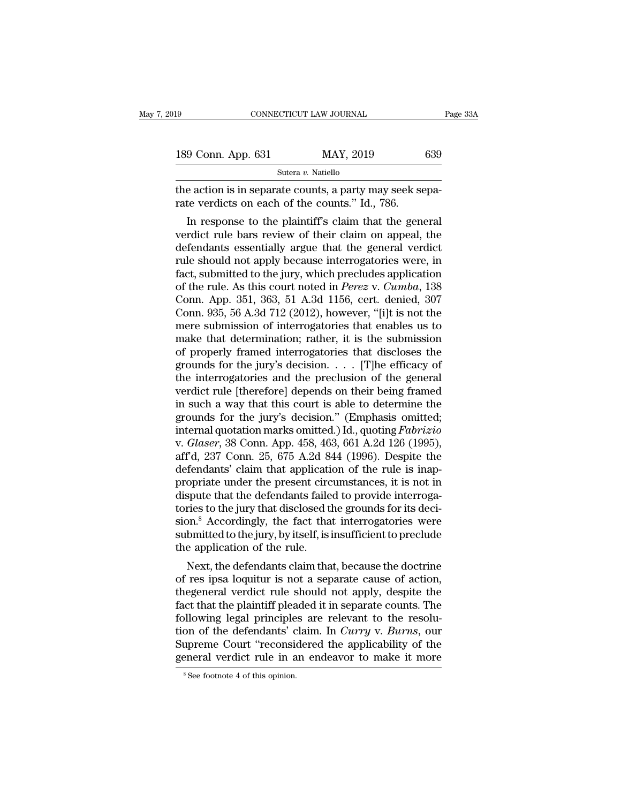| 19                 | CONNECTICUT LAW JOURNAL                                                                                     | Page 33A |
|--------------------|-------------------------------------------------------------------------------------------------------------|----------|
| 189 Conn. App. 631 | MAY, 2019                                                                                                   | 639      |
|                    | Sutera v. Natiello                                                                                          |          |
|                    | the action is in separate counts, a party may seek sepa-<br>rate verdicts on each of the counts." Id., 786. |          |
|                    | In response to the plaintiff's claim that the general                                                       |          |

9 Conn. App. 631 MAY, 2019 639<br>
Sutera v. Natiello<br>
e action is in separate counts, a party may seek separate verdicts on each of the counts." Id., 786.<br>
In response to the plaintiff's claim that the general<br>
rdict rule b 189 Conn. App. 631 MAY, 2019 639<br>
Sutera *v*. Natiello<br>
the action is in separate counts, a party may seek separate verdicts on each of the counts." Id., 786.<br>
In response to the plaintiff's claim that the general<br>
verdic Sutera v. Natiello<br>the action is in separate counts, a party may seek separate verdicts on each of the counts." Id., 786.<br>In response to the plaintiff's claim that the general<br>verdict rule bars review of their claim on ap the action is in separate counts, a party may seek separate verdicts on each of the counts." Id., 786.<br>In response to the plaintiff's claim that the general<br>verdict rule bars review of their claim on appeal, the<br>defendants the action is in separate counts, a party may seek separate verdicts on each of the counts." Id., 786.<br>
In response to the plaintiff's claim that the general<br>
verdict rule bars review of their claim on appeal, the<br>
defend rate verticts on each of the counts. Td., 780.<br>In response to the plaintiff's claim that the general<br>verdict rule bars review of their claim on appeal, the<br>defendants essentially argue that the general verdict<br>rule should In response to the plaintiff's claim that the general<br>verdict rule bars review of their claim on appeal, the<br>defendants essentially argue that the general verdict<br>rule should not apply because interrogatories were, in<br>fact verdict rule bars review of their claim on appeal, the<br>defendants essentially argue that the general verdict<br>rule should not apply because interrogatories were, in<br>fact, submitted to the jury, which precludes application<br>o defendants essentially argue that the general verdict<br>rule should not apply because interrogatories were, in<br>fact, submitted to the jury, which precludes application<br>of the rule. As this court noted in *Perez* v. *Cumba*, rule should not apply because interrogatories were, in<br>fact, submitted to the jury, which precludes application<br>of the rule. As this court noted in *Perez* v. *Cumba*, 138<br>Conn. App. 351, 363, 51 A.3d 1156, cert. denied, 3 fact, submitted to the jury, which precludes application<br>of the rule. As this court noted in *Perez* v. *Cumba*, 138<br>Conn. App. 351, 363, 51 A.3d 1156, cert. denied, 307<br>Conn. 935, 56 A.3d 712 (2012), however, "[i]t is no of the rule. As this court noted in *Perez* v. *Cumba*, 138<br>Conn. App. 351, 363, 51 A.3d 1156, cert. denied, 307<br>Conn. 935, 56 A.3d 712 (2012), however, "[i]t is not the<br>mere submission of interrogatories that enables us Conn. App. 351, 363, 51 A.3d 1156, cert. denied, 307<br>Conn. 935, 56 A.3d 712 (2012), however, "[i]t is not the<br>mere submission of interrogatories that enables us to<br>make that determination; rather, it is the submission<br>of Conn. 935, 56 A.3d 712 (2012), however, "[i]t is not the<br>mere submission of interrogatories that enables us to<br>make that determination; rather, it is the submission<br>of properly framed interrogatories that discloses the<br>gr mere submission of interrogatories that enables us to<br>make that determination; rather, it is the submission<br>of properly framed interrogatories that discloses the<br>grounds for the jury's decision. . . . [T]he efficacy of<br>th make that determination; rather, it is the submission<br>of properly framed interrogatories that discloses the<br>grounds for the jury's decision.... [T]he efficacy of<br>the interrogatories and the preclusion of the general<br>verdi of properly framed interrogatories that discloses the<br>grounds for the jury's decision. . . . [T]he efficacy of<br>the interrogatories and the preclusion of the general<br>verdict rule [therefore] depends on their being framed<br>i grounds for the jury's decision. . . . . [T]he efficacy of<br>the interrogatories and the preclusion of the general<br>verdict rule [therefore] depends on their being framed<br>in such a way that this court is able to determine the the interrogatories and the preclusion of the general<br>
verdict rule [therefore] depends on their being framed<br>
in such a way that this court is able to determine the<br>
grounds for the jury's decision." (Emphasis omitted;<br>
i verdict rule [therefore] depends on their being framed<br>in such a way that this court is able to determine the<br>grounds for the jury's decision." (Emphasis omitted;<br>internal quotation marks omitted.) Id., quoting *Fabrizio*<br> in such a way that this court is able to determine the<br>grounds for the jury's decision." (Emphasis omitted;<br>internal quotation marks omitted.) Id., quoting *Fabrizio*<br>v. *Glaser*, 38 Conn. App. 458, 463, 661 A.2d 126 (1995 grounds for the jury's decision." (Emphasis omitted;<br>internal quotation marks omitted.) Id., quoting *Fabrizio*<br>v. *Glaser*, 38 Conn. App. 458, 463, 661 A.2d 126 (1995),<br>aff'd, 237 Conn. 25, 675 A.2d 844 (1996). Despite th internal quotation marks omitted.) Id., quoting *Fabrizio*<br>v. *Glaser*, 38 Conn. App. 458, 463, 661 A.2d 126 (1995),<br>aff'd, 237 Conn. 25, 675 A.2d 844 (1996). Despite the<br>defendants' claim that application of the rule is i v. *Glaser*, 38 Conn. App. 458, 463, 661 A.2d 126 (1995),<br>aff'd, 237 Conn. 25, 675 A.2d 844 (1996). Despite the<br>defendants' claim that application of the rule is inap-<br>propriate under the present circumstances, it is not i aff'd, 237 Conn. 25, 675 A.2d 844 (1996). Despite the<br>defendants' claim that application of the rule is inap-<br>propriate under the present circumstances, it is not in<br>dispute that the defendants failed to provide interrogadefendants' claim that applicati<br>propriate under the present circ<br>dispute that the defendants faile<br>tories to the jury that disclosed tl<br>sion.<sup>8</sup> Accordingly, the fact tha<br>submitted to the jury, by itself, is i<br>the applica opriate under the present circumstances, it is not in<br>spute that the defendants failed to provide interroga-<br>ries to the jury that disclosed the grounds for its deci-<br>on.<sup>8</sup> Accordingly, the fact that interrogatories were<br> dispute that the defendants failed to provide interrogatories to the jury that disclosed the grounds for its decision.<sup>8</sup> Accordingly, the fact that interrogatories were submitted to the jury, by itself, is insufficient to

tories to the jury that disclosed the grounds for its decision.<sup>8</sup> Accordingly, the fact that interrogatories were<br>submitted to the jury, by itself, is insufficient to preclude<br>the application of the rule.<br>Next, the defend sion. Accordingly, the fact that interrogatories were<br>submitted to the jury, by itself, is insufficient to preclude<br>the application of the rule.<br>Next, the defendants claim that, because the doctrine<br>of res ipsa loquitur i submitted to the jury, by itself, is insufficient to precide<br>the application of the rule.<br>Next, the defendants claim that, because the doctrine<br>of res ipsa loquitur is not a separate cause of action,<br>the general verdict ru the application of the rule.<br>
Next, the defendants claim that, because the doctrine<br>
of res ipsa loquitur is not a separate cause of action,<br>
the<br>
the fact that the plaintiff pleaded it in separate counts. The<br>
following l Next, the defendants claim that, because the doctrine<br>of res ipsa loquitur is not a separate cause of action,<br>the<br>general verdict rule should not apply, despite the<br>fact that the plaintiff pleaded it in separate counts. T of res ipsa loquitur is not a separate cause of action,<br>the<br>general verdict rule should not apply, despite the<br>fact that the plaintiff pleaded it in separate counts. The<br>following legal principles are relevant to the reso following legal principles are relevant to the resolution of the defendants' claim. In *Curry* v. *Burns*, our Supreme Court "reconsidered the applicability of the general verdict rule in an endeavor to make it more  $s_{\text$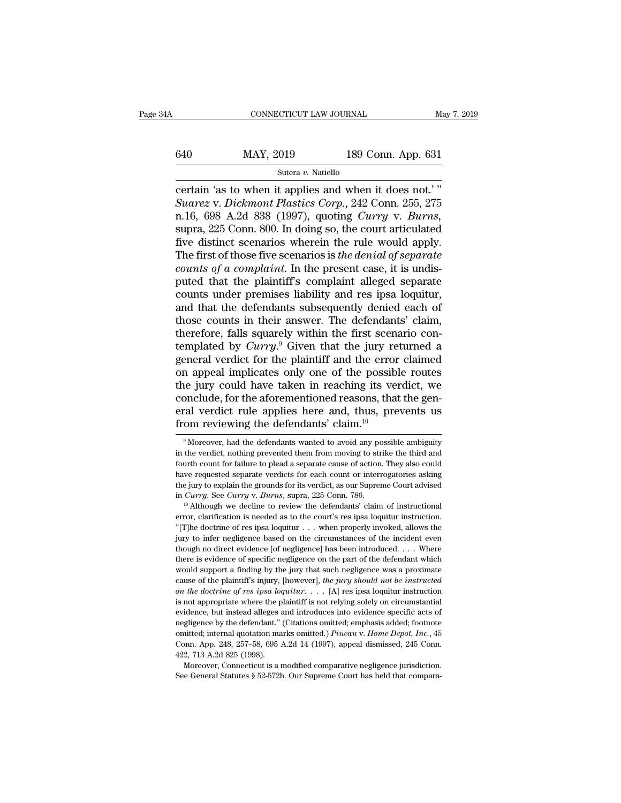# CONNECTICUT LAW JOURNAL May 7, 2019<br>640 MAY, 2019 189 Conn. App. 631<br>Sutera v. Natiello

Sutera *v.* Natiello

CONNECTICUT LAW JOURNAL May 7, 2<br>
640 MAY, 2019 189 Conn. App. 631<br>
Sutera v. Natiello<br>
Certain 'as to when it applies and when it does not.' "<br>
Suarez v. Dickmont Plastics Corp., 242 Conn. 255, 275<br>
r. 16, 698, A 2d, 838, *Suarez* v. *Dickmont Plastics Corp.*, 242 Conn. 255, 275<br> *Suarez* v. *Dickmont Plastics Corp.*, 242 Conn. 255, 275<br> *Suarez* v. *Dickmont Plastics Corp.*, 242 Conn. 255, 275<br> *n.16, 698 A.2d 838 (1997), quoting Curry v.* n. 1640 MAY, 2019 189 Conn. App. 631<br>
Sutera v. Natiello<br>
Certain 'as to when it applies and when it does not.'"<br>
Suarez v. *Dickmont Plastics Corp.*, 242 Conn. 255, 275<br>
n.16, 698 A.2d 838 (1997), quoting *Curry* v. *Burn* 640 MAY, 2019 189 Conn. App. 631<br>
Sutera v. Natiello<br>
certain 'as to when it applies and when it does not.'"<br>
Suarez v. Dickmont Plastics Corp., 242 Conn. 255, 275<br>
n.16, 698 A.2d 838 (1997), quoting Curry v. Burns,<br>
supr Since the rule of a completed to the research of a complete of a complete formulation of a complete of a complete  $\frac{1}{2}$  and  $\frac{1}{2}$  and  $\frac{1}{2}$  Conn. 255, 275 n.16, 698 A.2d 838 (1997), quoting *Curry v. Burns*, s Sutera *v*. Natiello<br>
certain 'as to when it applies and when it does not.'"<br>
Suarez v. Dickmont Plastics Corp., 242 Conn. 255, 275<br>
n.16, 698 A.2d 838 (1997), quoting Curry v. Burns,<br>
supra, 225 Conn. 800. In doing so, th certain 'as to when it applies and when it does not.'"<br>*Suarez* v. *Dickmont Plastics Corp.*, 242 Conn. 255, 275<br>n.16, 698 A.2d 838 (1997), quoting *Curry* v. *Burns*,<br>supra, 225 Conn. 800. In doing so, the court articulat Suarez v. Dickmont Plastics Corp., 242 Conn. 255, 275<br>n.16, 698 A.2d 838 (1997), quoting Curry v. Burns,<br>supra, 225 Conn. 800. In doing so, the court articulated<br>five distinct scenarios wherein the rule would apply.<br>The f n.16, 698 A.2d 838 (1997), quoting *Curry* v. *Burns*, supra, 225 Conn. 800. In doing so, the court articulated five distinct scenarios wherein the rule would apply. The first of those five scenarios is *the denial of sep* supra, 225 Conn. 800. In doing so, the court articulated<br>five distinct scenarios wherein the rule would apply.<br>The first of those five scenarios is *the denial of separate*<br>*counts of a complaint*. In the present case, it five distinct scenarios wherein the rule would apply.<br>The first of those five scenarios is *the denial of separate*<br>counts of a complaint. In the present case, it is undis-<br>puted that the plaintiff's complaint alleged sep The first of those five scenarios is *the denial of separate*<br>counts of a complaint. In the present case, it is undis-<br>puted that the plaintiff's complaint alleged separate<br>counts under premises liability and res ipsa loq *counts of a complaint*. In the present case, it is undis-<br>puted that the plaintiff's complaint alleged separate<br>counts under premises liability and res ipsa loquitur,<br>and that the defendants subsequently denied each of<br>t puted that the plaintiff's complaint alleged separate<br>counts under premises liability and res ipsa loquitur,<br>and that the defendants subsequently denied each of<br>those counts in their answer. The defendants' claim,<br>therefor counts under premises liability and res ipsa loquitur,<br>and that the defendants subsequently denied each of<br>those counts in their answer. The defendants' claim,<br>therefore, falls squarely within the first scenario con-<br>templ and that the defendants subsequently denied each of<br>those counts in their answer. The defendants' claim,<br>therefore, falls squarely within the first scenario con-<br>templated by *Curry*.<sup>9</sup> Given that the jury returned a<br>gene those counts in their answer. The defendants' claim,<br>therefore, falls squarely within the first scenario con-<br>templated by *Curry*.<sup>9</sup> Given that the jury returned a<br>general verdict for the plaintiff and the error claimed therefore, falls squarely within the first scenario con-<br>templated by *Curry*.<sup>9</sup> Given that the jury returned a<br>general verdict for the plaintiff and the error claimed<br>on appeal implicates only one of the possible routes templated by *Curry*.<sup>9</sup> Given that the jury re<br>general verdict for the plaintiff and the error<br>on appeal implicates only one of the possib.<br>the jury could have taken in reaching its ve-<br>conclude, for the aforementioned r e jury could have taken in reaching its verdict, we onclude, for the aforementioned reasons, that the gen-<br>cal verdict rule applies here and, thus, prevents us om reviewing the defendants' claim.<sup>10</sup><br><sup>9</sup> Moreover, had the conclude, for the aforementioned reasons, that the general verdict rule applies here and, thus, prevents us<br>from reviewing the defendants' claim.<sup>10</sup><br><sup>9</sup>Moreover, had the defendants wanted to avoid any possible ambiguity<br>i

eral verdict rule applies here and, thus, prevents us<br>from reviewing the defendants' claim.<sup>10</sup><br><sup>9</sup>Moreover, had the defendants wanted to avoid any possible ambiguity<br>in the verdict, nothing prevented them from moving to s From reviewing the defendants' claim.<sup>10</sup><br><sup>9</sup>Moreover, had the defendants wanted to avoid any possible ambiguity<br>in the verdict, nothing prevented them from moving to strike the third and<br>fourth count for failure to plead THOIT TEVIEWING LITE dETENDANTS CLAIM.<br>
<sup>9</sup> Moreover, had the defendants wanted to avoid any possible ambiguity<br>
in the verdict, nothing prevented them from moving to strike the third and<br>
fourth count for failure to plea <sup>9</sup> Moreover, had the defendants wanted to avoid any possible ambiguity<br>in the verdict, nothing prevented them from moving to strike the third and<br>fourth count for failure to plead a separate cause of action. They also co in the verdict, nothing prevented them from moving to strike the third and fourth count for failure to plead a separate cause of action. They also could have requested separate verdicts for each count or interrogatories a

The requested separate verdicts for each count or interrogatories asking the jury to explain the grounds for its verdict, as our Supreme Court advised in *Curry*. See *Curry* v. *Burns*, supra, 225 Conn. 786.<br>
<sup>10</sup> Althou the jury to explain the grounds for its verdict, as our Supreme Court advised<br>in *Curry*. See *Curry* v. *Burns*, supra, 225 Conn. 786.<br><sup>10</sup> Although we decline to review the defendants' claim of instructional<br>error, clar the *Curry*. See *Curry* v. *Burns*, supra, 225 Conn. 786.<br>
<sup>10</sup> Although we decline to review the defendants' claim of instructional<br>
error, clarification is needed as to the court's res ipsa loquitur instruction.<br>
"T]he <sup>th</sup> Although we decline to review the defendants' claim of instructional error, clarification is needed as to the court's res ipsa loquitur instruction. "[T]he doctrine of res ipsa loquitur . . . when properly invoked, a error, clarification is needed as to the court's res ipsa loquitur instruction.<br>"[T]he doctrine of res ipsa loquitur . . . when properly invoked, allows the<br>jury to infer negligence based on the circumstances of the incid <sup>ca</sup>ll ("[T]he doctrine of res ipsa loquitur . . . when properly invoked, allows the jury to infer negligence based on the circumstances of the incident even though no direct evidence [of negligence] has been introduced. *on the doctrine of res ipsa loquitur*. . . . [A] res ipsa loquitur instruction is not approach to dividend though no direct evidence [of negligence] has been introduced. . . . Where there is evidence of specific negligence on the part of the defendant which would support a finding by the jury that s there is evidence of specific negligence on the part of the defendant which would support a finding by the jury that such negligence was a proximate cause of the plaintiff's injury, [however], *the jury should not be inst* would support a finding by the jury that such negligence was a proximate cause of the plaintiff's injury, [however], *the jury should not be instructed* on the doctrine of res ipsa loquitur. . . . [A] res ipsa loquitur in cause of the plaintiff's injury, [however], the jury should not be instructed on the doctrine of res ipsa loquitur. . . . [A] res ipsa loquitur instruction is not appropriate where the plaintiff is not relying solely on c on the doctrine of res insa loquitur.  $\ldots$  [A] res ipsa loquitur instruction is not appropriate where the plaintiff is not relying solely on circumstantial evidence, but instead alleges and introduces into evidence speci is not appropriate where the p<br>evidence, but instead alleges  $\epsilon$ <br>negligence by the defendant."<br>omitted; internal quotation ma<br>Conn. App. 248, 257–58, 695  $\mu$ <br>422, 713 A.2d 825 (1998).<br>Moreover, Connecticut is a r evidence, but instead alleges and introduces into evidence specific acts of negligence by the defendant." (Citations omitted, emphasis added; footnote omitted; internal quotation marks omitted.)  $Pineau$  v.  $Home$   $Depot$ ,  $Inc$ , 45 negligence by the defendant." (Citations omitted; emphasis added; footnote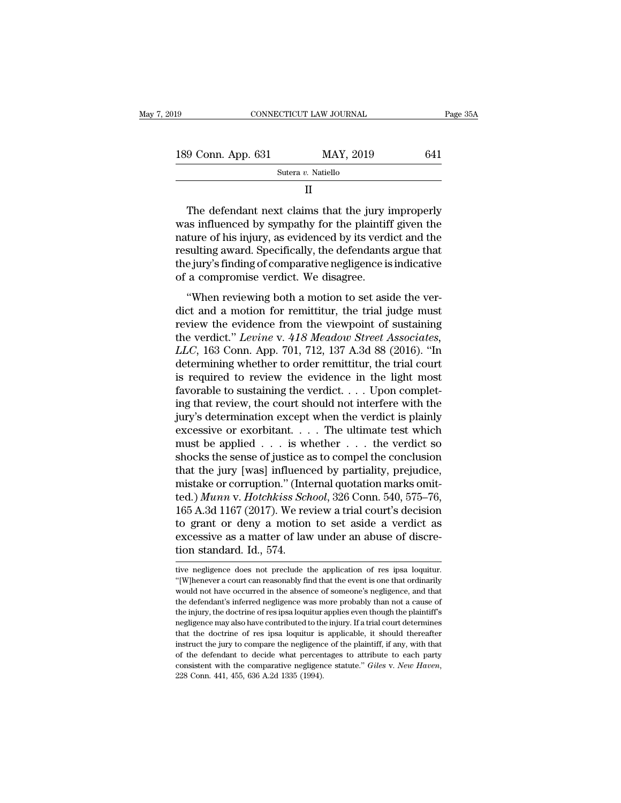| 019                                                                                                                                                                                                                                 | CONNECTICUT LAW JOURNAL | Page 35A |
|-------------------------------------------------------------------------------------------------------------------------------------------------------------------------------------------------------------------------------------|-------------------------|----------|
|                                                                                                                                                                                                                                     |                         |          |
| 189 Conn. App. 631                                                                                                                                                                                                                  | MAY, 2019               | 641      |
|                                                                                                                                                                                                                                     | Sutera v. Natiello      |          |
|                                                                                                                                                                                                                                     | Н                       |          |
| The defendant next claims that the jury improperly<br>was influenced by sympathy for the plaintiff given the<br>nature of his injury, as evidenced by its verdict and the<br>reculting event Coosificelly the defendants event that |                         |          |

189 Conn. App. 631 MAY, 2019 641<br>
Sutera v. Natiello<br>
II<br>
The defendant next claims that the jury improperly<br>
was influenced by sympathy for the plaintiff given the<br>
nature of his injury, as evidenced by its verdict and t Sutera v. Natiello<br>
II<br>
The defendant next claims that the jury improperly<br>
was influenced by sympathy for the plaintiff given the<br>
nature of his injury, as evidenced by its verdict and the<br>
resulting award. Specifically, II<br>The defendant next claims that the jury improperly<br>was influenced by sympathy for the plaintiff given the<br>nature of his injury, as evidenced by its verdict and the<br>resulting award. Specifically, the defendants argue tha The defendant next claims that the jury is<br>was influenced by sympathy for the plaintif<br>nature of his injury, as evidenced by its verd<br>resulting award. Specifically, the defendants<br>the jury's finding of comparative negligen The decendary here eachs and are jury improperty<br>
as influenced by sympathy for the plaintiff given the<br>
ture of his injury, as evidenced by its verdict and the<br>
sulting award. Specifically, the defendants argue that<br>
e ju mature of his injury, as evidenced by its verdict and the<br>resulting award. Specifically, the defendants argue that<br>the jury's finding of comparative negligence is indicative<br>of a compromise verdict. We disagree.<br>"When rev

resulting award. Specifically, the defendants argue that<br>the jury's finding of comparative negligence is indicative<br>of a compromise verdict. We disagree.<br>"When reviewing both a motion to set aside the ver-<br>dict and a moti resulting award. Specifically, the determinant argue that<br>the jury's finding of comparative negligence is indicative<br>of a compromise verdict. We disagree.<br>"When reviewing both a motion to set aside the ver-<br>dict and a moti *LLCC*, 163 Connelling the original connection of a compromise verdict. We disagree.<br> **LLCCCC** and a motion for remittitur, the trial judge must<br>
review the evidence from the viewpoint of sustaining<br>
the verdict." *Levine* "When reviewing both a motion to set aside the verdict and a motion for remittitur, the trial judge must<br>review the evidence from the viewpoint of sustaining<br>the verdict." Levine v. 418 Meadow Street Associates,<br>LLC, 163 "When reviewing both a motion to set aside the verdict and a motion for remittitur, the trial judge must<br>review the evidence from the viewpoint of sustaining<br>the verdict." Levine v. 418 Meadow Street Associates,<br>LLC, 163 dict and a motion for remittitur, the trial judge must<br>review the evidence from the viewpoint of sustaining<br>the verdict." *Levine* v. 418 *Meadow Street Associates*,<br>*LLC*, 163 Conn. App. 701, 712, 137 A.3d 88 (2016). "In review the evidence from the viewpoint of sustaining<br>the verdict." Levine v. 418 Meadow Street Associates,<br>LLC, 163 Conn. App. 701, 712, 137 A.3d 88 (2016). "In<br>determining whether to order remittitur, the trial court<br>is the verdict." Levine v. 418 Meadow Street Associates,<br>LLC, 163 Conn. App. 701, 712, 137 A.3d 88 (2016). "In<br>determining whether to order remittitur, the trial court<br>is required to review the evidence in the light most<br>fav LLC, 163 Conn. App. 701, 712, 137 A.3d 88 (2016). "In<br>determining whether to order remittitur, the trial court<br>is required to review the evidence in the light most<br>favorable to sustaining the verdict.... Upon complet-<br>ing determining whether to order remittitur, the trial court<br>is required to review the evidence in the light most<br>favorable to sustaining the verdict.... Upon complet-<br>ing that review, the court should not interfere with the<br>j is required to review the evidence in the light most<br>favorable to sustaining the verdict. . . . Upon complet-<br>ing that review, the court should not interfere with the<br>jury's determination except when the verdict is plainl favorable to sustaining the verdict. . . . Upon complet-<br>ing that review, the court should not interfere with the<br>jury's determination except when the verdict is plainly<br>excessive or exorbitant. . . . The ultimate test wh ing that review, the court should not interfere with the<br>jury's determination except when the verdict is plainly<br>excessive or exorbitant.... The ultimate test which<br>must be applied ... is whether ... the verdict so<br>shocks jury's determination except when the verdict is plainly<br>excessive or exorbitant. . . . The ultimate test which<br>must be applied . . . is whether . . . the verdict so<br>shocks the sense of justice as to compel the conclusion<br>t excessive or exorbitant. . . . The ultimate test which<br>must be applied . . . is whether . . . the verdict so<br>shocks the sense of justice as to compel the conclusion<br>that the jury [was] influenced by partiality, prejudice, must be applied . . . is whether . . . the verdict so<br>shocks the sense of justice as to compel the conclusion<br>that the jury [was] influenced by partiality, prejudice,<br>mistake or corruption." (Internal quotation marks omit shocks the sense of justice as to compel the conclusion<br>that the jury [was] influenced by partiality, prejudice,<br>mistake or corruption." (Internal quotation marks omit-<br>ted.) Munn v. Hotchkiss School, 326 Conn. 540, 575–76 that the jury [was] influence mistake or corruption." (Internation of the d.) *Munn v. Hotchkiss Sch* 165 A.3d 1167 (2017). We rever to grant or deny a motion excessive as a matter of law tion standard. Id., 574. 165 A.3d 1167 (2017). We review a trial court's decision<br>to grant or deny a motion to set aside a verdict as<br>excessive as a matter of law under an abuse of discre-<br>tion standard. Id., 574.<br>tive negligence does not preclude to grant or deny a motion to set aside a verdict as<br>excessive as a matter of law under an abuse of discre-<br>tion standard. Id., 574.<br>"Whenever a court can reasonably find that the event is one that ordinarily<br>would not have

excessive as a matter of law under an abuse of discretion standard. Id., 574.<br>
it is negligence does not preclude the application of res ipsa loquitur.<br>
"[W]henever a court can reasonably find that the event is one that or tion standard. Id., 574.<br>tive negligence does not preclude the application of res ipsa loquitur.<br>"(W) henever a court can reasonably find that the event is one that ordinarily<br>would not have occurred in the absence of some tion standard. 1d., 074.<br>
itive negligence does not preclude the application of res ipsa loquitur.<br>
"[W]henever a court can reasonably find that the event is one that ordinarily<br>
would not have occurred in the absence of s ive negligence does not preclude the application of res ipsa loquitur. "[W]henever a court can reasonably find that the event is one that ordinarily would not have occurred in the absence of someone's negligence, and that "(W) henever a court can reasonably find that the event is one that ordinarily would not have occurred in the absence of someone's negligence, and that the defendant's inferred negligence was more probably than not a caus In the defendant of the absence of someone's negligence, and that the defendant's inferred negligence was more probably than not a cause of the injury, the doctrine of res ipsa loquitur applies even though the plaintiff's the defendant's inferred negligence was more probably than not a cause of the injury, the doctrine of res ipsa loquitur applies even though the plaintiff's negligence may also have contributed to the injury. If a trial co consistent with the consistent with the comparative negligence statute injury, the doctrine of res ipsa loquitur applies even though the plaintiff's megligence may also have contributed to the injury. If a trial court dete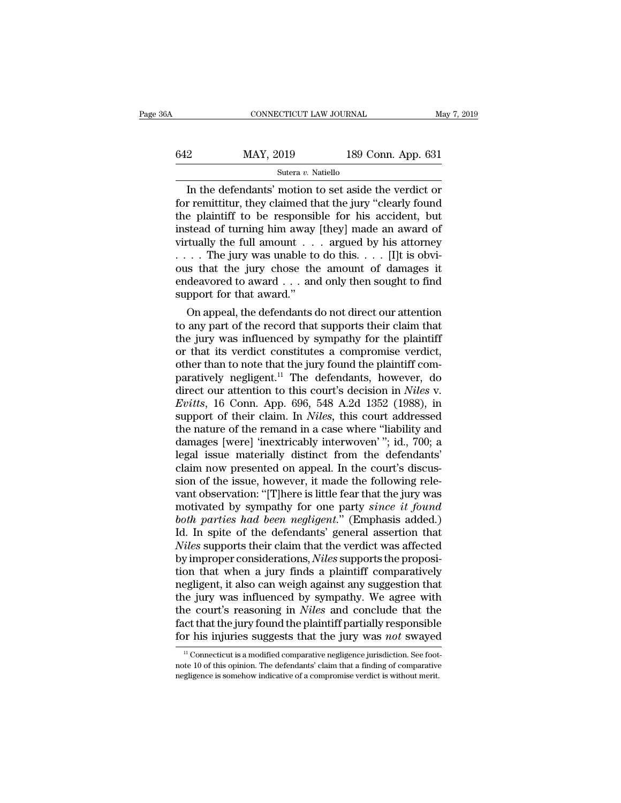| 6A  | CONNECTICUT LAW JOURNAL |                    | May 7, 2019 |
|-----|-------------------------|--------------------|-------------|
| 642 | MAY, 2019               | 189 Conn. App. 631 |             |
|     | Sutera v. Natiello      |                    |             |

CONNECTICUT LAW JOURNAL May 7, 2019<br>
2 MAY, 2019 189 Conn. App. 631<br>
Sutera v. Natiello<br>
In the defendants' motion to set aside the verdict or<br>
remittitur, they claimed that the jury "clearly found<br>
a plaintiff to be respo  $f(42)$  MAY, 2019 189 Conn. App. 631<br>Sutera v. Natiello<br>In the defendants' motion to set aside the verdict or<br>for remittitur, they claimed that the jury "clearly found<br>the plaintiff to be responsible for his accident, but MAY, 2019 189 Conn. App. 631<br>
Sutera v. Natiello<br>
In the defendants' motion to set aside the verdict or<br>
for remittitur, they claimed that the jury "clearly found<br>
the plaintiff to be responsible for his accident, but<br>
in 642 MAY, 2019 189 Conn. App. 631<br>
Sutera v. Natiello<br>
In the defendants' motion to set aside the verdict or<br>
for remittitur, they claimed that the jury "clearly found<br>
the plaintiff to be responsible for his accident, but Similarly 2019<br>
Sutera v. Natiello<br>
In the defendants' motion to set aside the verdict or<br>
for remittitur, they claimed that the jury "clearly found<br>
the plaintiff to be responsible for his accident, but<br>
instead of turni Sutera v. Natiello<br>
In the defendants' motion to set aside the verdict or<br>
for remittitur, they claimed that the jury "clearly found<br>
the plaintiff to be responsible for his accident, but<br>
instead of turning him away [the In the defendants' motion to set aside the verdict or<br>for remittitur, they claimed that the jury "clearly found<br>the plaintiff to be responsible for his accident, but<br>instead of turning him away [they] made an award of<br>vir for remittitur, they claimed that the jury "clearly found<br>the plaintiff to be responsible for his accident, but<br>instead of turning him away [they] made an award of<br>virtually the full amount . . . argued by his attorney<br>. the plaintiff to be responsity<br>instead of turning him away<br>virtually the full amount . . . . . . The jury was unable to<br>ous that the jury chose the<br>endeavored to award . . . and<br>support for that award."<br>On appeal, the def stead of turning nim away [they] made an award of<br>tually the full amount . . . argued by his attorney<br>. . The jury was unable to do this. . . . [I]t is obvi-<br>is that the jury chose the amount of damages it<br>deavored to awar virtually the full amount  $\ldots$  argued by his attorney<br>  $\ldots$ . The jury was unable to do this.  $\ldots$  [I]t is obvi-<br>
ous that the jury chose the amount of damages it<br>
endeavored to award  $\ldots$  and only then sought to find<br>

Fig. 1. The jury was unable to do this. The jury chose<br>ous that the jury chose the amount of damages it<br>endeavored to award . . . and only then sought to find<br>support for that award."<br>On appeal, the defendants do not dire ous that the jury chose the amount of damages it<br>endeavored to award . . . and only then sought to find<br>support for that award."<br>On appeal, the defendants do not direct our attention<br>to any part of the record that support endeavored to award . . . and only then sought to find<br>support for that award."<br>On appeal, the defendants do not direct our attention<br>to any part of the record that supports their claim that<br>the jury was influenced by sym support for that award.<br>
On appeal, the defendants do not direct our attention<br>
to any part of the record that supports their claim that<br>
the jury was influenced by sympathy for the plaintiff<br>
or that its verdict constitu On appeal, the defendants do not direct our attention<br>to any part of the record that supports their claim that<br>the jury was influenced by sympathy for the plaintiff<br>or that its verdict constitutes a compromise verdict,<br>oth to any part of the record that supports their claim that<br>the jury was influenced by sympathy for the plaintiff<br>or that its verdict constitutes a compromise verdict,<br>other than to note that the jury found the plaintiff comthe jury was influenced by sympathy for the plaintiff<br>or that its verdict constitutes a compromise verdict,<br>other than to note that the jury found the plaintiff com-<br>paratively negligent.<sup>11</sup> The defendants, however, do<br>di or that its verdict constitutes a compromise verdict,<br>other than to note that the jury found the plaintiff com-<br>paratively negligent.<sup>11</sup> The defendants, however, do<br>direct our attention to this court's decision in *Niles* other than to note that the jury found the plaintiff comparatively negligent.<sup>11</sup> The defendants, however, do direct our attention to this court's decision in *Niles* v. *Evitts*, 16 Conn. App. 696, 548 A.2d 1352 (1988), i paratively negligent.<sup>11</sup> The defendants, however, do<br>direct our attention to this court's decision in *Niles* v.<br>*Evitts*, 16 Conn. App. 696, 548 A.2d 1352 (1988), in<br>support of their claim. In *Niles*, this court address direct our attention to this court's decision in *Niles* v.<br> *Evitts*, 16 Conn. App. 696, 548 A.2d 1352 (1988), in<br>
support of their claim. In *Niles*, this court addressed<br>
the nature of the remand in a case where "liabil Evitts, 16 Conn. App. 696, 548 A.2d 1352 (1988), in<br>support of their claim. In *Niles*, this court addressed<br>the nature of the remand in a case where "liability and<br>damages [were] 'inextricably interwoven'"; id., 700; a<br>le support of their claim. In *Niles*, this court addressed<br>the nature of the remand in a case where "liability and<br>damages [were] 'inextricably interwoven'"; id., 700; a<br>legal issue materially distinct from the defendants'<br>c the nature of the remand in a case where "liability and<br>damages [were] 'inextricably interwoven' "; id., 700; a<br>legal issue materially distinct from the defendants'<br>claim now presented on appeal. In the court's discus-<br>sio damages [were] 'inextricably interwoven' "; id., 700; a<br>legal issue materially distinct from the defendants'<br>claim now presented on appeal. In the court's discus-<br>sion of the issue, however, it made the following rele-<br>van legal issue materially distinct from the defendants'<br>claim now presented on appeal. In the court's discus-<br>sion of the issue, however, it made the following rele-<br>vant observation: "[T]here is little fear that the jury was relaim now presented on appeal. In the court's discussion of the issue, however, it made the following relevant observation: "[T]here is little fear that the jury was motivated by sympathy for one party *since it found* bo sion of the issue, however, it made the following rele-<br>vant observation: "[T]here is little fear that the jury was<br>motivated by sympathy for one party *since it found*<br>both parties had been negligent." (Emphasis added.)<br>I vant observation: "[T]here is little fear that the jury was<br>motivated by sympathy for one party *since it found*<br>both parties had been negligent." (Emphasis added.)<br>Id. In spite of the defendants' general assertion that<br>*N* motivated by sympathy for one party *since it found*<br>both parties had been negligent." (Emphasis added.)<br>Id. In spite of the defendants' general assertion that<br>*Niles* supports their claim that the verdict was affected<br>by both parties had been negligent." (Emphasis added.)<br>Id. In spite of the defendants' general assertion that<br>*Niles* supports their claim that the verdict was affected<br>by improper considerations, *Niles* supports the proposi Id. In spite of the defendants' general assertion that *Niles* supports their claim that the verdict was affected by improper considerations, *Niles* supports the proposition that when a jury finds a plaintiff comparativel Niles supports their claim that the verdict was affected<br>by improper considerations, Niles supports the proposi-<br>tion that when a jury finds a plaintiff comparatively<br>negligent, it also can weigh against any suggestion tha by improper considerations, *Niles* supports the proposition that when a jury finds a plaintiff comparatively negligent, it also can weigh against any suggestion that the jury was influenced by sympathy. We agree with the 11 Iury was influenced by sympathy. We agree with<br>the court's reasoning in *Niles* and conclude that the<br>tect that the jury found the plaintiff partially responsible<br>or his injuries suggests that the jury was *not* swayed the court's reasoning in *Niles* and conclude that the fact that the jury found the plaintiff partially responsible for his injuries suggests that the jury was *not* swayed  $\frac{11}{10}$  Connecticut is a modified comparativ fact that the jury found the plaintiff partially responsible<br>for his injuries suggests that the jury was *not* swayed<br> $\frac{11}{10}$ Connecticut is a modified comparative negligence jurisdiction. See foot<br>note 10 of this opin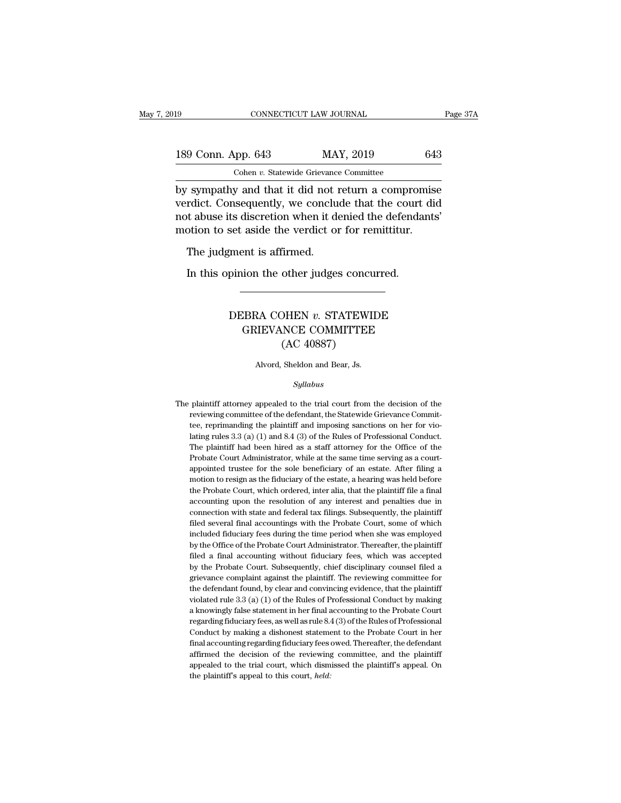## 189 CONNECTICUT LAW JOURNAL Page 37A<br>
189 Conn. App. 643 MAY, 2019 643<br>
Cohen v. Statewide Grievance Committee Cohen *v.* Statewide Grievance Committee

Fage 37A<br>
189 Conn. App. 643 MAY, 2019 643<br>
Cohen v. Statewide Grievance Committee<br>
by sympathy and that it did not return a compromise<br>
verdict. Consequently, we conclude that the court did<br>
not shuse its discretion when 189 Conn. App. 643 MAY, 2019 643<br>
Cohen v. Statewide Grievance Committee<br>
by sympathy and that it did not return a compromise<br>
verdict. Consequently, we conclude that the court did<br>
not abuse its discretion when it denied 189 Conn. App. 643 MAY, 2019 643<br>
Cohen v. Statewide Grievance Committee<br>
by sympathy and that it did not return a compromise<br>
verdict. Consequently, we conclude that the court did<br>
not abuse its discretion when it denied 189 Conn. App. 643 MAY, 2019 643<br>
Cohen *v*. Statewide Grievance Committee<br>
by sympathy and that it did not return a compromise<br>
verdict. Consequently, we conclude that the court did<br>
not abuse its discretion when it deni Cohen  $v$ . Statewide Grievance<br>
Sympathy and that it did not in<br>
Trdict. Consequently, we conclu<br>
ot abuse its discretion when it do<br>
otion to set aside the verdict on<br>
The judgment is affirmed.<br>
In this opinion the other In this opinion that it due not return a comprom<br>Indict. Consequently, we conclude that the court<br>t abuse its discretion when it denied the defenda<br>otion to set aside the verdict or for remittitur.<br>The judgment is affirmed

### France Communication<br>
Set aside the verdict of for fematities.<br>
pinion the other judges concurred.<br>
DEBRA COHEN *v*. STATEWIDE<br>
GRIEVANCE COMMITTEE ent is affirmed.<br>
ion the other judges concurred.<br>
CBRA COHEN v. STATEWIDE<br>
GRIEVANCE COMMITTEE<br>
(AC 40887) other judges concu<br>
HEN v. STATEWI<br>
NCE COMMITTEE<br>
(AC 40887)<br>
Sheldon and Bear, Js. DEBRA COHEN  $v$ . STATEWIDE<br>GRIEVANCE COMMITTEE<br>(AC 40887)<br>Alvord, Sheldon and Bear, Js.

### *Syllabus*

 $(AC 40887)$ <br>Alvord, Sheldon and Bear, Js.<br> $Syllabus$ <br>The plaintiff attorney appealed to the trial court from the decision of the reviewing committee of the defendant, the Statewide Grievance Commit-Alvord, Sheldon and Bear, Js.<br>
Syllabus<br>
plaintiff attorney appealed to the trial court from the decision of the<br>
reviewing committee of the defendant, the Statewide Grievance Commit-<br>
tee, reprimanding the plaintiff and i Alvord, sheldon and Bear, Js.<br>
Syllabus<br>
plaintiff attorney appealed to the trial court from the decision of the<br>
reviewing committee of the defendant, the Statewide Grievance Commit-<br>
tee, reprimanding the plaintiff and i *Syllabus*<br>plaintiff attorney appealed to the trial court from the decision of the<br>reviewing committee of the defendant, the Statewide Grievance Commit-<br>tee, reprimanding the plaintiff and imposing sanctions on her for vio Between hired as a staff attorney appealed to the trial court from the decision of the reviewing committee, reprimanding the plaintiff and imposing sanctions on her for violating rules 3.3 (a) (1) and 8.4 (3) of the Rules plaintiff attorney appealed to the trial court from the decision of the reviewing committee of the defendant, the Statewide Grievance Committee, reprimanding the plaintiff and imposing sanctions on her for violating rules reviewing committee of the defendant, the Statewide Grievance Committee, reprimanding the plaintiff and imposing sanctions on her for violating rules 3.3 (a) (1) and 8.4 (3) of the Rules of Professional Conduct. The plaint tee, reprimanding the plaintiff and imposing sanctions on her for violating rules 3.3 (a) (1) and 8.4 (3) of the Rules of Professional Conduct.<br>The plaintiff had been hired as a staff attorney for the Office of the Probat lating rules 3.3 (a) (1) and 8.4 (3) of the Rules of Professional Conduct.<br>The plaintiff had been hired as a staff attorney for the Office of the<br>Probate Court Administrator, while at the same time serving as a court-<br>app The plaintiff had been hired as a staff attorney for the Office of the Probate Court Administrator, while at the same time serving as a court-<br>appointed trustee for the sole beneficiary of an estate. After filing a<br>motion Probate Court Administrator, while at the same time serving as a court-<br>appointed trustee for the sole beneficiary of an estate. After filing a<br>motion to resign as the fiduciary of the estate, a hearing was held before<br>the appointed trustee for the sole beneficiary of an estate. After filing a motion to resign as the fiduciary of the estate, a hearing was held before the Probate Court, which ordered, inter alia, that the plaintiff file a fin motion to resign as the fiduciary of the estate, a hearing was held before the Probate Court, which ordered, inter alia, that the plaintiff file a final accounting upon the resolution of any interest and penalties due in c the Probate Court, which ordered, inter alia, that the plaintiff file a final accounting upon the resolution of any interest and penalties due in connection with state and federal tax filings. Subsequently, the plaintiff f accounting upon the resolution of any interest and penalties due in connection with state and federal tax filings. Subsequently, the plaintiff filed several final accountings with the Probate Court, some of which included connection with state and federal tax filings. Subsequently, the plaintiff filed several final accountings with the Probate Court, some of which included fiduciary fees during the time period when she was employed by the O filed several final accountings with the Probate Court, some of which included fiduciary fees during the time period when she was employed by the Office of the Probate Court Administrator. Thereafter, the plaintiff filed included fiduciary fees during the time period when she was employed<br>by the Office of the Probate Court Administrator. Thereafter, the plaintiff<br>filed a final accounting without fiduciary fees, which was accepted<br>by the Pr by the Office of the Probate Court Administrator. Thereafter, the plaintiff filed a final accounting without fiduciary fees, which was accepted by the Probate Court. Subsequently, chief disciplinary counsel filed a grievan filed a final accounting without fiduciary fees, which was accepted<br>by the Probate Court. Subsequently, chief disciplinary counsel filed a<br>grievance complaint against the plaintiff. The reviewing committee for<br>the defendan by the Probate Court. Subsequently, chief disciplinary counsel filed a grievance complaint against the plaintiff. The reviewing committee for the defendant found, by clear and convincing evidence, that the plaintiff violat grievance complaint against the plaintiff. The reviewing committee for<br>the defendant found, by clear and convincing evidence, that the plaintiff<br>violated rule 3.3 (a) (1) of the Rules of Professional Conduct by making<br>a kn the defendant found, by clear and convincing evidence, that the plaintiff violated rule 3.3 (a) (1) of the Rules of Professional Conduct by making a knowingly false statement in her final accounting to the Probate Court re violated rule 3.3 (a) (1) of the Rules of Professional Conduct by making a knowingly false statement in her final accounting to the Probate Court regarding fiduciary fees, as well as rule 8.4 (3) of the Rules of Professio a knowingly false statement in her final accounting to the Probate Court<br>regarding fiduciary fees, as well as rule 8.4 (3) of the Rules of Professional<br>Conduct by making a dishonest statement to the Probate Court in her<br>fi regarding fiduciary fees, as well as rule  $8.4(3)$  of the Rules of Professional Conduct by making a dishonest statement to the Probate Court in her final accounting regarding fiduciary fees owed. Thereafter, the defendant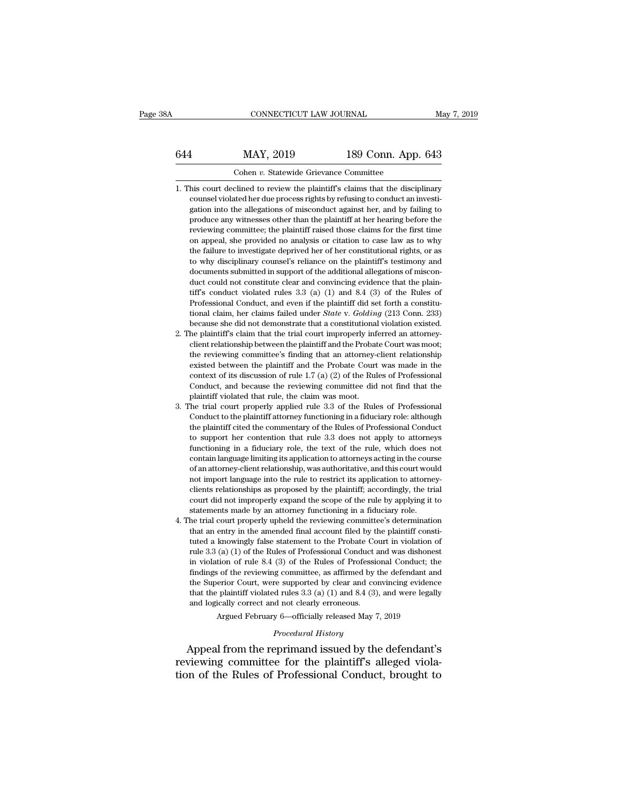# CONNECTICUT LAW JOURNAL May 7, 2019<br>644 MAY, 2019 189 Conn. App. 643<br>Cohen v. Statewide Grievance Committee CONNECTICUT LAW JOURNAL<br>MAY, 2019 189 Conn. App.<br>Cohen *v.* Statewide Grievance Committee<br>Clined to review the plaintiff's claims that the discip

- $\begin{array}{r} \text{1.1.} \quad \text{1.1.} \quad \text{1.1.} \quad \text{1.1.} \quad \text{1.1.} \quad \text{1.1.} \quad \text{1.1.} \quad \text{1.1.} \quad \text{1.1.} \quad \text{1.1.} \quad \text{1.1.} \quad \text{1.1.} \quad \text{1.1.} \quad \text{1.1.} \quad \text{1.1.} \quad \text{1.1.} \quad \text{1.1.} \quad \text{1.1.} \quad \text{1.1.} \quad \text{1.1.} \quad \text{1.1.} \quad \text{$ MAY, 2019 189 Conn. App. 643<br>
Cohen v. Statewide Grievance Committee<br>
his court declined to review the plaintiff's claims that the disciplinary<br>
counsel violated her due process rights by refusing to conduct an investi-<br>
g 189 Conn. App. 643<br>Cohen v. Statewide Grievance Committee<br>his court declined to review the plaintiff's claims that the disciplinary<br>counsel violated her due process rights by refusing to conduct an investi-<br>gation into the produce any witnesses other than the plaintiff's claims that the disciplinary<br>counsel violated her due process rights by refusing to conduct an investigation into the allegations of misconduct against her, and by failing t Cohen v. Statewide Grievance Committee<br>his court declined to review the plaintiff's claims that the disciplinary<br>counsel violated her due process rights by refusing to conduct an investi-<br>gation into the allegations of mis his court declined to review the plaintiff's claims that the disciplinary counsel violated her due process rights by refusing to conduct an investigation into the allegations of misconduct against her, and by failing to pr the failure to investigate deprived her disciplinary counsel violated her due process rights by refusing to conduct an investigation into the allegations of misconduct against her, and by failing to produce any witnesses o between the allegations of misconduct against by conduct an investigation into the allegations of misconduct against her, and by failing to produce any witnesses other than the plaintiff at her hearing before the reviewing gation mo the angulous of misconduct against her, and by family to<br>produce any witnesses other than the plaintiff at her hearing before the<br>reviewing committee; the plaintiff raised those claims for the first time<br>on appea product any whitesses once than the plaintin at her healing octot the<br>reviewing committee; the plaintiff raised those claims for the first time<br>on appeal, she provided no analysis or citation to case law as to why<br>the fail For example conducted rules and space that is conducted as a space of the rules and on appeal, she provided no analysis or citation to case law as to why the failure to investigate deprived her of her constitutional rights on appear, she provided to analysis of elation to case faw as to why<br>the failure to investigate deprived her of her constitutional rights, or as<br>to why disciplinary counsel's reliance on the plaintiff's testimony and<br>docu to why disciplinary counsel's reliance on the plaintiff's testimony and<br>documents submitted in support of the additional allegations of miscon-<br>duct could not constitute clear and convincing evidence that the plain-<br>tiff's be with discussive standard of the additional allegations of misconduct could not constitute clear and convincing evidence that the plaintiff's conduct violated rules 3.3 (a) (1) and 8.4 (3) of the Rules of Professional Co documents submitted in support of the additional anegations of inisconduct could not constitute clear and convincing evidence that the plaintiff's conduct violated rules 3.3 (a) (1) and 8.4 (3) of the Rules of Professiona date collid not constant clear and convincing evidence that the plaintiff's conduct violated rules 3.3 (a) (1) and 8.4 (3) of the Rules of Professional Conduct, and even if the plaintiff did set forth a constitutional clai
- In a conduct violated rules  $3.5$  (a) (1) and  $3.4$  (3) of the rules of Professional Conduct, and even if the plaintiff did set forth a constitutional claim, her claims failed under *State* v. *Golding* (213 Conn. 233) be rotessional conduct, and even if the plaintiff ud set form a consulational claim, her claims failed under *State* v. *Golding* (213 Conn. 233) because she did not demonstrate that a constitutional violation existed. He pl context of its discussion of rule 1.7 (a) (2) of the Rules of Professional context relationship between the plaintiff and the Probate Court was moot; the reviewing committee's finding that an attorney-client relationship because she und not demonstrate that a constitutional violation existed.<br>he plaintiff's claim that the trial court improperly inferred an attorney-<br>client relationship between the plaintiff and the Probate Court was moot;<br> not plaintiff violated that rule, the plaintiff and the Probat<br>the reviewing committee's finding that an attorney-<br>existed between the plaintiff and the Probate Court<br>context of its discussion of rule 1.7 (a) (2) of the Ru 2. The trial court properly applied rule 3.3 of the Rules of Professional<br>3. The trial court properly applied rules of Professional<br>3. The trial court properly applied rule 3.3 of the Rules of Professional<br>3. The trial cou the reviewing committee's intuity that an attorney-cheft relationship<br>existed between the plaintiff and the Probate Court was made in the<br>context of its discussion of rule 1.7 (a) (2) of the Rules of Professional<br>Conduct,
- calistical between the plantant and the Trobate Court was made in the context of its discussion of rule 1.7 (a) (2) of the Rules of Professional Conduct, and because the reviewing committee did not find that the plaintiff Context of its usedession of the ET (a) (2) of the tutes of Trofessional Conduct, and because the reviewing committee did not find that the plaintiff violated that rule, the claim was moot.<br>The trial court properly applie Functioning in a fiduciary role, the text of the rule, which does not conduct to the plaintiff violated that rule, the claim was moot.<br>The trial court properly applied rule 3.3 of the Rules of Professional Conduct to the p plantin violated that rule, the claim was moot.<br>The trial court properly applied rule 3.3 of the Rules of Professional<br>Conduct to the plaintiff cited the commentary of the Rules of Professional Conduct<br>to support her conte The and coal property applied rule 3.3 of all rades of Frotessional Conduct to the plaintiff attorney functioning in a fiduciary role: although the plaintiff cited the commentary of the Rules of Professional Conduct to sup conduct to the plantian attorney-introducing in a nuturity force attitude the plaintiff cited the commentary of the Rules of Professional Conduct to support her contention that rule 3.3 does not apply to attorneys function the plantant cited are continentally of the rates of Floressional contact<br>to support her contention that rule 3.3 does not apply to attorneys<br>functioning in a fiduciary role, the text of the rule, which does not<br>contain la court did not improperly expand the scope of the rule by applying it to contain language limiting its application to attorneys acting in the course of an attorney-client relationship, was authoritative, and this court woul Functioning in a fiduciary role, the exact of the rule, which does no<br>contain language limiting its application to attorneys acting in the cours<br>of an attorney-client relationship, was authoritative, and this court wou<br>not Fold and accounting the subset of an attorney-client relationship, was authoritative, and this court would<br>not import language into the rule to restrict its application to attorney-<br>clients relationships as proposed by the or an adorney-chemi-relationship, was additionately and this count would<br>not import language into the rule to restrict its application to attorney-<br>clients relationships as proposed by the plaintiff; accordingly, the trial
- the migration anguage into the rue to restrict its application to attorney-<br>clients relationships as proposed by the plaintiff; accordingly, the trial<br>court did not improperly expand the scope of the rule by applying it to chents relationships as proposed by the plantint, accordingly, the trial court did not improperly expand the scope of the rule by applying it to statements made by an attorney functioning in a fiduciary role.<br>he trial cour court did not improperly expand the scope of the rule by applying it to statements made by an attorney functioning in a fiduciary role.<br>he trial court properly upheld the reviewing committee's determination<br>that an entry i statements made by an attorney functioning in a nutclary fole.<br>he trial court properly upheld the reviewing committee's determination<br>that an entry in the amended final account filed by the plaintiff consti-<br>tuted a knowin the that court property uphetd the Fevrewing commutee's determination<br>that an entry in the amended final account filed by the plaintiff consti-<br>tuted a knowingly false statement to the Probate Court in violation of<br>rule 3 that an entry in the antentied rinal account fied by the plaintiff construted a knowingly false statement to the Probate Court in violation of rule 3.3 (a) (1) of the Rules of Professional Conduct and was dishonest in vio tuted a knowingly false statement to the Probate Court in violation of rule 3.3 (a) (1) of the Rules of Professional Conduct and was dishonest in violation of rule 8.4 (3) of the Rules of Professional Conduct; the findings in violation of rule 8.4 (3) of the Rules of Professional Conduct; the findings of the reviewing committee, as affirmed by the defendant and the Superior Court, were supported by clear and convincing evidence that the pla findings of the reviewing committee, as affirmed by the defendant and<br>the Superior Court, were supported by clear and convincing evidence<br>that the plaintiff violated rules  $3.3$  (a) (1) and  $8.4$  (3), and were legally<br>and

Argued February 6—officially released May 7, 2019<br>*Procedural History*<br>Appeal from the reprimand issued by the defendant's the Superior Court, were supported by clear and convincing evidence<br>that the plaintiff violated rules 3.3 (a) (1) and 8.4 (3), and were legally<br>and logically correct and not clearly erroneous.<br>Argued February 6—officially that the plaintiff violated rules 3.3 (a) (1) and 8.4 (3), and were legally<br>and logically correct and not clearly erroneous.<br>Argued February 6—officially released May 7, 2019<br>*Procedural History*<br>Appeal from the reprimand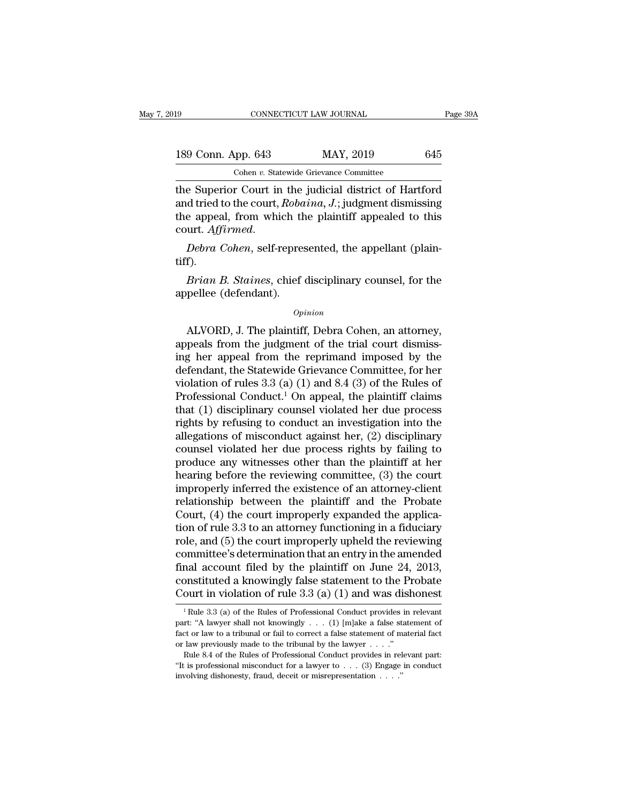| l9 |                    | CONNECTICUT LAW JOURNAL                                 | Page 39A |
|----|--------------------|---------------------------------------------------------|----------|
|    | 189 Conn. App. 643 | MAY, 2019                                               | 645      |
|    |                    | Cohen v. Statewide Grievance Committee                  |          |
|    |                    | the Superior Court in the indicial district of Hartford |          |

The Superior Court in the judicial district of Hartford<br>
189 Conn. App. 643 MAY, 2019 645<br>
189 Cohen v. Statewide Grievance Committee<br>
19 Cohen v. Statewide Grievance Committee<br>
19 Cohen v. Statewide Grievance Committee<br>
1 189 Conn. App. 643 MAY, 2019 645<br>
Cohen v. Statewide Grievance Committee<br>
the Superior Court in the judicial district of Hartford<br>
and tried to the court, *Robaina*, *J*.; judgment dismissing<br>
the appeal, from which the pl 189 Conn. App. 643 MAY, 2019 645<br>
Cohen v. Statewide Grievance Committee<br>
the Superior Court in the judicial district of Hartford<br>
and tried to the court, *Robaina*, *J*.; judgment dismissing<br>
the appeal, from which the p Cohen *v*. Statewide Grievance Committee<br>the Superior Court in the judicial district of Hartford<br>and tried to the court, *Robaina*, *J*.; judgment dismissing<br>the appeal, from which the plaintiff appealed to this<br>court. *Af Brian B. Staines, A.*; judgment dismissing<br>
e appeal, from which the plaintiff appealed to this<br>
urt. *Affirmed.*<br> *Bebra Cohen*, self-represented, the appellant (plain-<br>
f).<br> *Brian B. Staines*, chief disciplinary counse the appeal, from which the<br>
court. *Affirmed.*<br> *Debra Cohen*, self-represtiff).<br> *Brian B. Staines*, chief<br>
appellee (defendant).<br> *Op* 

tiff).

## *Opinion*

Debra Cohen, self-represented, the appellant (plain-<br>f).<br>Brian B. Staines, chief disciplinary counsel, for the<br>pellee (defendant).<br> $opinion$ <br>ALVORD, J. The plaintiff, Debra Cohen, an attorney,<br>peals from the judgment of the tri turt).<br> *Brian B. Staines*, chief disciplinary counsel, for the<br>
appellee (defendant).<br> *Opinion*<br>
ALVORD, J. The plaintiff, Debra Cohen, an attorney,<br>
appeals from the judgment of the trial court dismiss-<br>
ing her appeal *Brian B. Staines,* chief disciplinary counsel, for the appellee (defendant).<br>  $\omega_{pinion}$ <br>
ALVORD, J. The plaintiff, Debra Cohen, an attorney, appeals from the judgment of the trial court dismissing her appeal from the repr appellee (defendant).<br>
opinion<br>
ALVORD, J. The plaintiff, Debra Cohen, an attorney,<br>
appeals from the judgment of the trial court dismiss-<br>
ing her appeal from the reprimand imposed by the<br>
defendant, the Statewide Grievan *Opinion*<br>ALVORD, J. The plaintiff, Debra Cohen, an attorney,<br>appeals from the judgment of the trial court dismiss-<br>ing her appeal from the reprimand imposed by the<br>defendant, the Statewide Grievance Committee, for her<br>vi Example B. The plaintiff, Debra Cohen, an attorney,<br>appeals from the judgment of the trial court dismiss-<br>ing her appeal from the reprimand imposed by the<br>defendant, the Statewide Grievance Committee, for her<br>violation of ALVORD, J. The plaintiff, Debra Cohen, an attorney,<br>appeals from the judgment of the trial court dismiss-<br>ing her appeal from the reprimand imposed by the<br>defendant, the Statewide Grievance Committee, for her<br>violation of appeals from the judgment of the trial court dismissing her appeal from the reprimand imposed by the defendant, the Statewide Grievance Committee, for her violation of rules 3.3 (a) (1) and 8.4 (3) of the Rules of Professi ing her appeal from the reprimand imposed by the<br>defendant, the Statewide Grievance Committee, for her<br>violation of rules  $3.3$  (a) (1) and  $8.4$  (3) of the Rules of<br>Professional Conduct.<sup>1</sup> On appeal, the plaintiff claim defendant, the Statewide Grievance Committee, for her<br>violation of rules 3.3 (a) (1) and 8.4 (3) of the Rules of<br>Professional Conduct.<sup>1</sup> On appeal, the plaintiff claims<br>that (1) disciplinary counsel violated her due proce violation of rules 3.3 (a) (1) and 8.4 (3) of the Rules of<br>Professional Conduct.<sup>1</sup> On appeal, the plaintiff claims<br>that (1) disciplinary counsel violated her due process<br>rights by refusing to conduct an investigation int Professional Conduct.<sup>1</sup> On appeal, the plaintiff claims<br>that (1) disciplinary counsel violated her due process<br>rights by refusing to conduct an investigation into the<br>allegations of misconduct against her, (2) disciplinar that (1) disciplinary counsel violated her due process<br>rights by refusing to conduct an investigation into the<br>allegations of misconduct against her, (2) disciplinary<br>counsel violated her due process rights by failing to<br> rights by refusing to conduct an investigation into the allegations of misconduct against her,  $(2)$  disciplinary counsel violated her due process rights by failing to produce any witnesses other than the plaintiff at her allegations of misconduct against her,  $(2)$  disciplinary<br>counsel violated her due process rights by failing to<br>produce any witnesses other than the plaintiff at her<br>hearing before the reviewing committee,  $(3)$  the court counsel violated her due process rights by failing to<br>produce any witnesses other than the plaintiff at her<br>hearing before the reviewing committee, (3) the court<br>improperly inferred the existence of an attorney-client<br>rela produce any witnesses other than the plaintiff at her<br>hearing before the reviewing committee,  $(3)$  the court<br>improperly inferred the existence of an attorney-client<br>relationship between the plaintiff and the Probate<br>Cour hearing before the reviewing committee, (3) the court<br>improperly inferred the existence of an attorney-client<br>relationship between the plaintiff and the Probate<br>Court, (4) the court improperly expanded the applica-<br>tion of improperly inferred the existence of an attorney-client<br>relationship between the plaintiff and the Probate<br>Court, (4) the court improperly expanded the applica-<br>tion of rule 3.3 to an attorney functioning in a fiduciary<br>r relationship between the plaintiff and the Probate Court,  $(4)$  the court improperly expanded the application of rule 3.3 to an attorney functioning in a fiduciary role, and  $(5)$  the court improperly upheld the reviewing Court, (4) the court improperly expanded the application of rule 3.3 to an attorney functioning in a fiduciary role, and (5) the court improperly upheld the reviewing committee's determination that an entry in the amended by multitimeter's determination that an entry in the amended<br>nal account filed by the plaintiff on June 24, 2013,<br>onstituted a knowingly false statement to the Probate<br>ourt in violation of rule 3.3 (a) (1) and was dishone final account filed by the plaintiff on June 24, 2013,<br>constituted a knowingly false statement to the Probate<br>Court in violation of rule 3.3 (a) (1) and was dishonest<br> $\frac{1}{1}$ Rule 3.3 (a) of the Rules of Professional Con

constituted a knowingly false statement to the Probate<br>
Court in violation of rule 3.3 (a) (1) and was dishonest<br>
<sup>1</sup>Rule 3.3 (a) of the Rules of Professional Conduct provides in relevant<br>
part: "A lawyer shall not knowin **Court in violation of rule 3.3 (a) (1) and was dishonest**<br>
<sup>1</sup> Rule 3.3 (a) of the Rules of Professional Conduct provides in relevant<br>
part: "A lawyer shall not knowingly . . . (1) [m]ake a false statement of<br>
fact or la <sup>1</sup> Rule 3.3 (a) of the Rules of Professional Conduct provides in relevant part: "A lawyer shall not knowingly . . . . (1) [m]ake a false statement of fact or law to a tribunal or fail to correct a false statement of mate <sup>1</sup> Rule 3.3 (a) of the Rules of Professional Conduct provides in relevant part: "A lawyer shall not knowingly . . . . (1) [m]ake a false statement of fact or law to a tribunal or fail to correct a false statement of mate part: "A lawyer shall not knowingly . . . (1) [m]ake a false state or law to a tribunal or fail to correct a false statement of m or law previously made to the tribunal by the lawyer . . . ."<br>Rule 8.4 of the Rules of Prof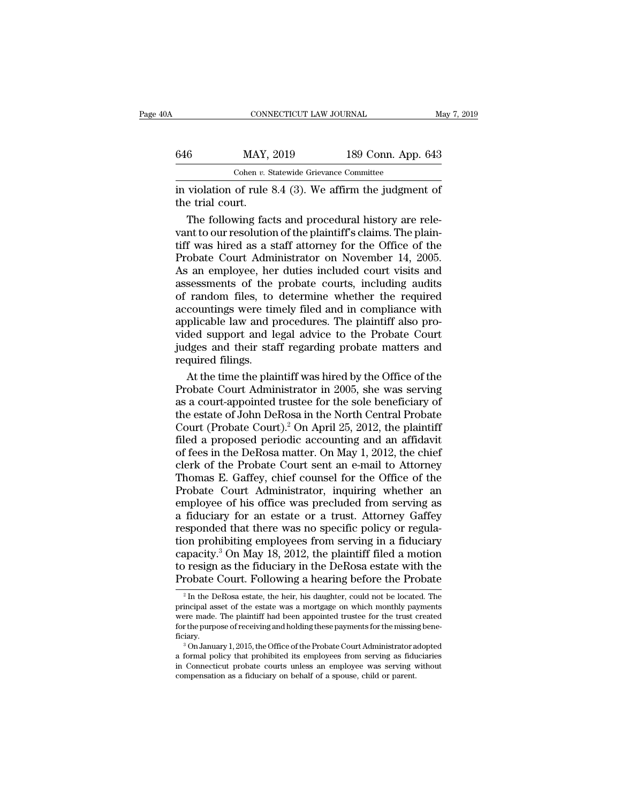| ۱A               | CONNECTICUT LAW JOURNAL                                            |                    | May 7, 2019 |
|------------------|--------------------------------------------------------------------|--------------------|-------------|
| 646              | MAY, 2019                                                          | 189 Conn. App. 643 |             |
|                  | Cohen v. Statewide Grievance Committee                             |                    |             |
| the trial court. | in violation of rule $8.4 \text{ (3)}$ . We affirm the judgment of |                    |             |
|                  | The following facts and procedural history are rele-               |                    |             |

 $\frac{\text{MAY, 2019}}{\text{Cohen } v. \text{ Statewide Grievance Committee}}$ <br>violation of rule 8.4 (3). We affirm the judgment of<br>e trial court.<br>The following facts and procedural history are rele-<br>nt to our resolution of the plaintiff's claims. The plain-<br>f was  $X_1$  and  $X_2$  and  $Y_3$  and  $Y_4$  and  $Y_5$  cohen  $v$ . Statewide Grievance Committee<br>
in violation of rule 8.4 (3). We affirm the judgment of<br>
the trial court.<br>
The following facts and procedural history are rele-<br>
vant Cohen v. Statewide Grievance Committee<br>
in violation of rule 8.4 (3). We affirm the judgment of<br>
the trial court.<br>
The following facts and procedural history are rele-<br>
vant to our resolution of the plaintiff's claims. Th From the judgment of<br>in violation of rule 8.4 (3). We affirm the judgment of<br>the trial court.<br>The following facts and procedural history are rele-<br>vant to our resolution of the plaintiff's claims. The plain-<br>tiff was hired in violation of rule 8.4 (3). We affirm the judgment of<br>the trial court.<br>The following facts and procedural history are rele-<br>vant to our resolution of the plaintiff's claims. The plain-<br>tiff was hired as a staff attorney the trial court.<br>The following facts and procedural history are rele-<br>vant to our resolution of the plaintiff's claims. The plain-<br>tiff was hired as a staff attorney for the Office of the<br>Probate Court Administrator on Nov The following facts and procedural history are relevant to our resolution of the plaintiff's claims. The plaintiff was hired as a staff attorney for the Office of the Probate Court Administrator on November 14, 2005.<br>As an vant to our resolution of the plaintiff's claims. The plaintiff was hired as a staff attorney for the Office of the Probate Court Administrator on November 14, 2005.<br>As an employee, her duties included court visits and ass tiff was hired as a staff attorney for the Office of the Probate Court Administrator on November 14, 2005.<br>As an employee, her duties included court visits and assessments of the probate courts, including audits<br>of random Probate Court Administrator on November 14, 2005.<br>As an employee, her duties included court visits and<br>assessments of the probate courts, including audits<br>of random files, to determine whether the required<br>accountings were As an employee, her duties included court visits and<br>assessments of the probate courts, including audits<br>of random files, to determine whether the required<br>accountings were timely filed and in compliance with<br>applicable la assessments of the<br>of random files, to<br>accountings were tin<br>applicable law and p<br>vided support and le<br>judges and their sta<br>required filings.<br>At the time the plai random files, to determine whether the required<br>countings were timely filed and in compliance with<br>plicable law and procedures. The plaintiff also pro-<br>led support and legal advice to the Probate Court<br>dges and their staff accountings were timely filed and in compliance with<br>applicable law and procedures. The plaintiff also pro-<br>vided support and legal advice to the Probate Court<br>judges and their staff regarding probate matters and<br>required

applicable law and procedures. The plaintiff also provided support and legal advice to the Probate Court<br>judges and their staff regarding probate matters and<br>required filings.<br>At the time the plaintiff was hired by the Of vided support and legal advice to the Probate Court<br>judges and their staff regarding probate matters and<br>required filings.<br>At the time the plaintiff was hired by the Office of the<br>Probate Court Administrator in 2005, she w judges and their staff regarding probate matters and<br>required filings.<br>At the time the plaintiff was hired by the Office of the<br>Probate Court Administrator in 2005, she was serving<br>as a court-appointed trustee for the sole required filings.<br>At the time the plaintiff was hired by the Office of the<br>Probate Court Administrator in 2005, she was serving<br>as a court-appointed trustee for the sole beneficiary of<br>the estate of John DeRosa in the Nort At the time the plaintiff was hired by the Office of the<br>Probate Court Administrator in 2005, she was serving<br>as a court-appointed trustee for the sole beneficiary of<br>the estate of John DeRosa in the North Central Probate<br> Probate Court Administrator in 2005, she was serving<br>as a court-appointed trustee for the sole beneficiary of<br>the estate of John DeRosa in the North Central Probate<br>Court (Probate Court).<sup>2</sup> On April 25, 2012, the plaintif as a court-appointed trustee for the sole beneficiary of<br>the estate of John DeRosa in the North Central Probate<br>Court (Probate Court).<sup>2</sup> On April 25, 2012, the plaintiff<br>filed a proposed periodic accounting and an affidav the estate of John DeRosa in the North Central Probate<br>Court (Probate Court).<sup>2</sup> On April 25, 2012, the plaintiff<br>filed a proposed periodic accounting and an affidavit<br>of fees in the DeRosa matter. On May 1, 2012, the chie Court (Probate Court).<sup>2</sup> On April 25, 2012, the plaintiff<br>filed a proposed periodic accounting and an affidavit<br>of fees in the DeRosa matter. On May 1, 2012, the chief<br>clerk of the Probate Court sent an e-mail to Attorney filed a proposed periodic accounting and an affidavit<br>of fees in the DeRosa matter. On May 1, 2012, the chief<br>clerk of the Probate Court sent an e-mail to Attorney<br>Thomas E. Gaffey, chief counsel for the Office of the<br>Prob of fees in the DeRosa matter. On May 1, 2012, the chief<br>clerk of the Probate Court sent an e-mail to Attorney<br>Thomas E. Gaffey, chief counsel for the Office of the<br>Probate Court Administrator, inquiring whether an<br>employe clerk of the Probate Court sent an e-mail to Attorney<br>Thomas E. Gaffey, chief counsel for the Office of the<br>Probate Court Administrator, inquiring whether an<br>employee of his office was precluded from serving as<br>a fiduciary Thomas E. Gaffey, chief counsel for the Office of the<br>Probate Court Administrator, inquiring whether an<br>employee of his office was precluded from serving as<br>a fiduciary for an estate or a trust. Attorney Gaffey<br>responded t Probate Court Administrator, inquiring whether an employee of his office was precluded from serving as a fiduciary for an estate or a trust. Attorney Gaffey responded that there was no specific policy or regulation prohibi employee of his office was precluded from serving as<br>a fiduciary for an estate or a trust. Attorney Gaffey<br>responded that there was no specific policy or regula-<br>tion prohibiting employees from serving in a fiduciary<br>capa on prohibiting employees from serving in a fiduciary<br>apacity.<sup>3</sup> On May 18, 2012, the plaintiff filed a motion<br>resign as the fiduciary in the DeRosa estate with the<br>robate Court. Following a hearing before the Probate<br> $\frac{$ capacity.<sup>3</sup> On May 18, 2012, the plaintiff filed a motion<br>to resign as the fiduciary in the DeRosa estate with the<br>Probate Court. Following a hearing before the Probate<br> $\frac{1}{2}$  In the DeRosa estate, the heir, his daugh

Explacity. On May 10, 2012, the plaintiff hed a modion<br>to resign as the fiduciary in the DeRosa estate with the<br>Probate Court. Following a hearing before the Probate<br> $\frac{1}{\pi}$  in the DeRosa estate, the heir, his daughter for the purpose of receiving a hearing before the Probate Probate Court. Following a hearing before the Probate  $\frac{1}{2}$  In the DeRosa estate, the heir, his daughter, could not be located. The principal asset of the esta ficiary. <sup>2</sup> In the DeRosa estate, the heir, his daughter, could not be located. The incipal asset of the estate was a mortgage on which monthly payments rere made. The plaintiff had been appointed trustee for the trust created th <sup>2</sup> In the DeRosa estate, the heir, his daughter, could not be located. The principal asset of the estate was a mortgage on which monthly payments were made. The plaintiff had been appointed trustee for the trust created

principal asset of the estate was a mortgage on which monthly payments<br>were made. The plaintiff had been appointed trustee for the trust created<br>for the purpose of receiving and holding these payments for the missing benefor the purpose of receiving and holding these payments for the missing bene-<br>ficiary.<br><sup>3</sup> On January 1, 2015, the Office of the Probate Court Administrator adopted<br>a formal policy that prohibited its employees from servin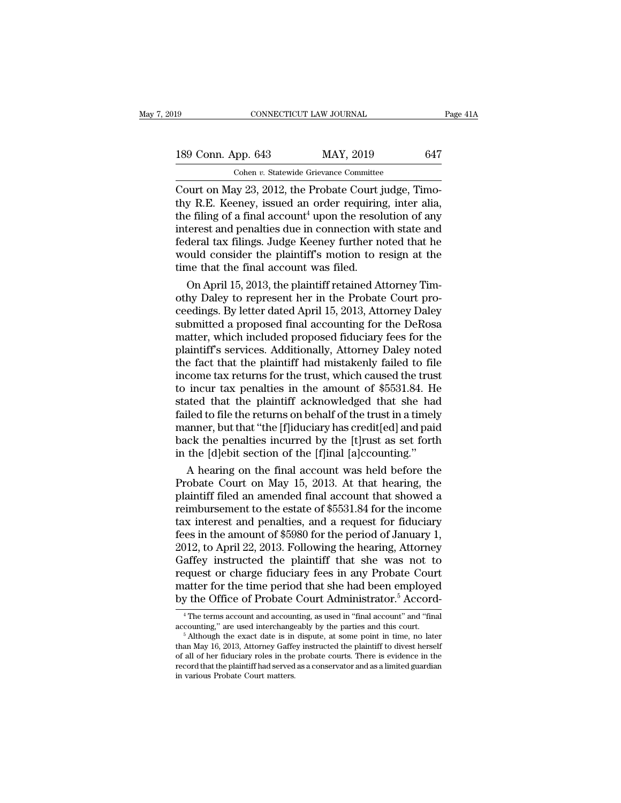CONNECTICUT LAW JOURNAL<br>
189 Conn. App. 643 MAY, 2019 647<br>
Cohen v. Statewide Grievance Committee<br>
Court on May 23, 2012, the Probate Court judge, Timo-<br>
thy R.E. Keeney, issued an order requiring, inter alia,<br>
the filing 189 Conn. App. 643 MAY, 2019 647<br>
Cohen v. Statewide Grievance Committee<br>
Court on May 23, 2012, the Probate Court judge, Timo-<br>
thy R.E. Keeney, issued an order requiring, inter alia,<br>
the filing of a final account<sup>4</sup> up 189 Conn. App. 643 MAY, 2019 647<br>
Cohen v. Statewide Grievance Committee<br>
Court on May 23, 2012, the Probate Court judge, Timo-<br>
thy R.E. Keeney, issued an order requiring, inter alia,<br>
the filing of a final account<sup>4</sup> up 189 Conn. App. 643 MAY, 2019 647<br>
Cohen v. Statewide Grievance Committee<br>
Court on May 23, 2012, the Probate Court judge, Timo-<br>
thy R.E. Keeney, issued an order requiring, inter alia,<br>
the filing of a final account<sup>4</sup> up For Solar Fig. 643 Fig. 2019 Fig. 2019<br>Cohen v. Statewide Grievance Committee<br>Court on May 23, 2012, the Probate Court judge, Timo-<br>thy R.E. Keeney, issued an order requiring, inter alia,<br>the filing of a final account<sup>4</sup> Columnum Cohen v. Statewide Grievance Committee<br>Court on May 23, 2012, the Probate Court judge, Timo-<br>thy R.E. Keeney, issued an order requiring, inter alia,<br>the filing of a final account<sup>4</sup> upon the resolution of any<br>int Court on May 23, 2012, the Probate Court j<br>thy R.E. Keeney, issued an order requiring<br>the filing of a final account<sup>4</sup> upon the resol<br>interest and penalties due in connection wi<br>federal tax filings. Judge Keeney further n y R.E. Keeney, issued an order requiring, inter alia,<br>e filing of a final account<sup>4</sup> upon the resolution of any<br>terest and penalties due in connection with state and<br>deral tax filings. Judge Keeney further noted that he<br>pu the filing of a final account" upon the resolution of any<br>interest and penalties due in connection with state and<br>federal tax filings. Judge Keeney further noted that he<br>would consider the plaintiff's motion to resign at t

interest and penalties due in connection with state and<br>federal tax filings. Judge Keeney further noted that he<br>would consider the plaintiff's motion to resign at the<br>time that the final account was filed.<br>On April 15, 201 federal tax filings. Judge Keeney further noted that he<br>would consider the plaintiff's motion to resign at the<br>time that the final account was filed.<br>On April 15, 2013, the plaintiff retained Attorney Tim-<br>othy Daley to re would consider the plaintiff's motion to resign at the<br>time that the final account was filed.<br>On April 15, 2013, the plaintiff retained Attorney Tim-<br>othy Daley to represent her in the Probate Court pro-<br>ceedings. By lette time that the final account was filed.<br>
On April 15, 2013, the plaintiff retained Attorney Tim-<br>
othy Daley to represent her in the Probate Court pro-<br>
ceedings. By letter dated April 15, 2013, Attorney Daley<br>
submitted a On April 15, 2013, the plaintiff retained Attorney Tim-<br>othy Daley to represent her in the Probate Court pro-<br>ceedings. By letter dated April 15, 2013, Attorney Daley<br>submitted a proposed final accounting for the DeRosa<br>ma othy Daley to represent her in the Probate Court proceedings. By letter dated April 15, 2013, Attorney Daley submitted a proposed final accounting for the DeRosa matter, which included proposed fiduciary fees for the plain ceedings. By letter dated April 15, 2013, Attorney Daley<br>submitted a proposed final accounting for the DeRosa<br>matter, which included proposed fiduciary fees for the<br>plaintiff's services. Additionally, Attorney Daley noted<br> submitted a proposed final accounting for the DeRosa<br>matter, which included proposed fiduciary fees for the<br>plaintiff's services. Additionally, Attorney Daley noted<br>the fact that the plaintiff had mistakenly failed to file matter, which included proposed fiduciary fees for the plaintiff's services. Additionally, Attorney Daley noted the fact that the plaintiff had mistakenly failed to file income tax returns for the trust, which caused the t plaintiff's services. Additionally, Attorney Daley noted<br>the fact that the plaintiff had mistakenly failed to file<br>income tax returns for the trust, which caused the trust<br>to incur tax penalties in the amount of \$5531.84. the fact that the plaintiff had mistakenly failed to file<br>income tax returns for the trust, which caused the trust<br>to incur tax penalties in the amount of \$5531.84. He<br>stated that the plaintiff acknowledged that she had<br>fa in the trust, which caused the trust<br>to incur tax penalties in the amount of \$5531.84. He<br>stated that the plaintiff acknowledged that she had<br>failed to file the returns on behalf of the trust in a timely<br>manner, but that " incur tax penalties in the amount of \$5531.84. He<br>ated that the plaintiff acknowledged that she had<br>iled to file the returns on behalf of the trust in a timely<br>anner, but that "the [f]iduciary has credit[ed] and paid<br>ck t stated that the plaintiff acknowledged that she had<br>failed to file the returns on behalf of the trust in a timely<br>manner, but that "the [f]iduciary has credit[ed] and paid<br>back the penalties incurred by the [t]rust as set

failed to file the returns on behalf of the trust in a timely<br>manner, but that "the [f]iduciary has credit[ed] and paid<br>back the penalties incurred by the [t]rust as set forth<br>in the [d]ebit section of the [f]inal [a]ccoun manner, but that "the [f]iduciary has credit[ed] and paid<br>back the penalties incurred by the [t]rust as set forth<br>in the [d]ebit section of the [f]inal [a]ccounting."<br>A hearing on the final account was held before the<br>Pro back the penalties incurred by the [t]rust as set forth<br>in the [d]ebit section of the [f]inal [a]ccounting."<br>A hearing on the final account was held before the<br>Probate Court on May 15, 2013. At that hearing, the<br>plaintiff in the [d]ebit section of the [f]inal [a]ccounting."<br>A hearing on the final account was held before the<br>Probate Court on May 15, 2013. At that hearing, the<br>plaintiff filed an amended final account that showed a<br>reimburseme A hearing on the final account was held before the<br>Probate Court on May 15, 2013. At that hearing, the<br>plaintiff filed an amended final account that showed a<br>reimbursement to the estate of \$5531.84 for the income<br>tax inter Probate Court on May 15, 2013. At that hearing, the plaintiff filed an amended final account that showed a reimbursement to the estate of \$5531.84 for the income tax interest and penalties, and a request for fiduciary fees plaintiff filed an amended final account that showed a<br>reimbursement to the estate of \$5531.84 for the income<br>tax interest and penalties, and a request for fiduciary<br>fees in the amount of \$5980 for the period of January 1, reimbursement to the estate of \$5531.84 for the income<br>tax interest and penalties, and a request for fiduciary<br>fees in the amount of \$5980 for the period of January 1,<br>2012, to April 22, 2013. Following the hearing, Attorn tax interest and penalties, and a request for fiduciary<br>fees in the amount of \$5980 for the period of January 1,<br>2012, to April 22, 2013. Following the hearing, Attorney<br>Gaffey instructed the plaintiff that she was not to<br> Gaffey instructed the plaintiff that she was not to request or charge fiduciary fees in any Probate Court matter for the time period that she had been employed by the Office of Probate Court Administrator.<sup>5</sup> Accord<sup>4</sup> Th request or charge fiduciary fees in any Probate Court<br>matter for the time period that she had been employed<br>by the Office of Probate Court Administrator.<sup>5</sup> Accord-<br><sup>4</sup>The terms account and accounting, as used in "final ac

by the Office of Probate Court Administrator.<sup>5</sup> Accord<sup>4</sup><br><sup>4</sup>The terms account and accounting, as used in "final account" and "final accounting," are used interchangeably by the parties and this court.<br><sup>5</sup> Although the e by the Office of Probate Court Administrator.<sup>5</sup> Accord-<br><sup>4</sup>The terms account and accounting, as used in "final account" and "final<br>accounting," are used interchangeably by the parties and this court.<br><sup>5</sup> Although the exac <sup>4</sup> The terms account and accounting, as used in "final account" and "final accounting," are used interchangeably by the parties and this court.<br><sup>5</sup> Although the exact date is in dispute, at some point in time, no later t than May 16, 2013, Attorney Gaffey instructed the plaintiff to divest herself of all of her fiduciary roles in the probate courts. There is evidence in the record that the plaintiff had served as a conservator and as a lim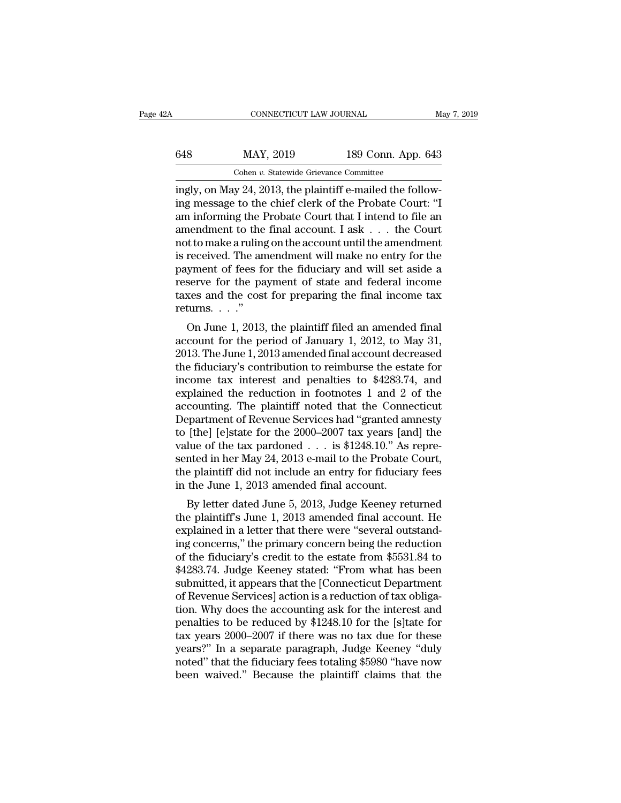| łА  | CONNECTICUT LAW JOURNAL                                           |                    | May 7, 2019 |
|-----|-------------------------------------------------------------------|--------------------|-------------|
| 648 | MAY, 2019                                                         | 189 Conn. App. 643 |             |
|     | Cohen v. Statewide Grievance Committee                            |                    |             |
|     | ingly on $\text{Mav } 24$ 2013 the plaintiff e-mailed the follow- |                    |             |

CONNECTICUT LAW JOURNAL<br> **in May 2019** 189 Conn. App. 643<br>
Cohen v. Statewide Grievance Committee<br>
ingly, on May 24, 2013, the plaintiff e-mailed the follow-<br>
ing message to the chief clerk of the Probate Court: "I  $\begin{array}{r} \text{MAY, 2019} \\ \text{Cohen } v. \text{ Statewide Grievance Committee} \\ \text{ingly, on May 24, 2013, the plaintiff e-mailed the following message to the chief clerk of the Probate Court: "I am informing the Probate Court that I intend to file an amount to the final account. Use the Court.} \end{array}$ 648 MAY, 2019 189 Conn. App. 643<br>
Cohen v. Statewide Grievance Committee<br>
ingly, on May 24, 2013, the plaintiff e-mailed the follow-<br>
ing message to the chief clerk of the Probate Court: "I<br>
am informing the Probate Court 648 MAY, 2019 189 Conn. App. 643<br>
Cohen v. Statewide Grievance Committee<br>
ingly, on May 24, 2013, the plaintiff e-mailed the follow-<br>
ing message to the chief clerk of the Probate Court: "I<br>
am informing the Probate Court Cohen v. Statewide Grievance Committee<br>ingly, on May 24, 2013, the plaintiff e-mailed the follow-<br>ing message to the chief clerk of the Probate Court: "I<br>am informing the Probate Court that I intend to file an<br>amendment t Cohen v. Statewide Grievance Committee<br>ingly, on May 24, 2013, the plaintiff e-mailed the follow-<br>ing message to the chief clerk of the Probate Court: "I<br>am informing the Probate Court that I intend to file an<br>amendment t ingly, on May 24, 2013, the plaintiff e-mailed the following message to the chief clerk of the Probate Court: "I<br>am informing the Probate Court that I intend to file an<br>amendment to the final account. I ask . . . the Court ing message to the chief clerk of the Probate Court: "I<br>am informing the Probate Court that I intend to file an<br>amendment to the final account. I ask . . . the Court<br>not to make a ruling on the account until the amendment<br> am informing the Probate Court that I intend to file an amendment to the final account. I ask  $\dots$  the Court not to make a ruling on the account until the amendment is received. The amendment will make no entry for the pa amendment to the<br>not to make a ruling<br>is received. The an<br>payment of fees for<br>reserve for the pa<br>taxes and the cost<br>returns. . . ."<br>On June 1, 2013 received. The amendment will make no entry for the<br>yment of fees for the fiduciary and will set aside a<br>serve for the payment of state and federal income<br>xes and the cost for preparing the final income tax<br>turns. . . ."<br>O as received. The amendment will make no entry for the<br>payment of fees for the fiduciary and will set aside a<br>reserve for the payment of state and federal income<br>taxes and the cost for preparing the final income tax<br>return

payment of rees for the huddary and will set aside a<br>reserve for the payment of state and federal income<br>taxes and the cost for preparing the final income tax<br>returns...."<br>On June 1, 2013, the plaintiff filed an amended f taxes and the cost for preparing the final income tax<br>
returns. . . ."<br>
On June 1, 2013, the plaintiff filed an amended final<br>
account for the period of January 1, 2012, to May 31,<br>
2013. The June 1, 2013 amended final ac cases and the cost for preparing the final income tax<br>returns...."<br>On June 1, 2013, the plaintiff filed an amended final<br>account for the period of January 1, 2012, to May 31,<br>2013. The June 1, 2013 amended final account d Feturis.  $\ldots$ <br>On June 1, 2013, the plaintiff filed an amended final<br>account for the period of January 1, 2012, to May 31,<br>2013. The June 1, 2013 amended final account decreased<br>the fiduciary's contribution to reimburse t On June 1, 2013, the plaintiff filed an amended final<br>account for the period of January 1, 2012, to May 31,<br>2013. The June 1, 2013 amended final account decreased<br>the fiduciary's contribution to reimburse the estate for<br>i account for the period of January 1, 2012, to May 31,<br>2013. The June 1, 2013 amended final account decreased<br>the fiduciary's contribution to reimburse the estate for<br>income tax interest and penalties to \$4283.74, and<br>expla 2013. The June 1, 2013 amended final account decreased<br>the fiduciary's contribution to reimburse the estate for<br>income tax interest and penalties to \$4283.74, and<br>explained the reduction in footnotes 1 and 2 of the<br>accoun the fiduciary's contribution to reimburse the estate for<br>income tax interest and penalties to \$4283.74, and<br>explained the reduction in footnotes 1 and 2 of the<br>accounting. The plaintiff noted that the Connecticut<br>Departmen income tax interest and penalties to \$4283.74, and<br>explained the reduction in footnotes 1 and 2 of the<br>accounting. The plaintiff noted that the Connecticut<br>Department of Revenue Services had "granted amnesty<br>to [the] [e]s explained the reduction in footnotes 1 and 2 of the<br>accounting. The plaintiff noted that the Connecticut<br>Department of Revenue Services had "granted amnesty<br>to [the] [e]state for the 2000–2007 tax years [and] the<br>value of accounting. The plaintiff noted that the Conne<br>Department of Revenue Services had "granted an<br>to [the] [e]state for the 2000–2007 tax years [an<br>value of the tax pardoned . . . is \$1248.10." As<br>sented in her May 24, 2013 epartment of nevertie services had granted antiesty<br>
[the] [e]state for the 2000–2007 tax years [and] the<br>
lue of the tax pardoned  $\ldots$  is \$1248.10." As repre-<br>
inted in her May 24, 2013 e-mail to the Probate Court,<br>
e pl to [the] [e]state for the 2000–2007 tax years [and] the<br>value of the tax pardoned  $\ldots$  is \$1248.10." As repre-<br>sented in her May 24, 2013 e-mail to the Probate Court,<br>the plaintiff did not include an entry for fiduciary

value of the tax particled  $\ldots$  is \$4246.10. As represented in her May 24, 2013 e-mail to the Probate Court, the plaintiff did not include an entry for fiduciary fees in the June 1, 2013 amended final account.<br>By letter sented in her may 24, 2015 e-mail to the r robate Court,<br>the plaintiff did not include an entry for fiduciary fees<br>in the June 1, 2013 amended final account.<br>By letter dated June 5, 2013, Judge Keeney returned<br>the plaintif in the June 1, 2013 amended final account.<br>By letter dated June 5, 2013, Judge Keeney returned<br>the plaintiff's June 1, 2013 amended final account. He<br>explained in a letter that there were "several outstand-<br>ing concerns," In the Julie 1, 2013 amended mial account.<br>By letter dated June 5, 2013, Judge Keeney returned<br>the plaintiff's June 1, 2013 amended final account. He<br>explained in a letter that there were "several outstand-<br>ing concerns," By letter dated June 5, 2013, Judge Keeney returned<br>the plaintiff's June 1, 2013 amended final account. He<br>explained in a letter that there were "several outstand-<br>ing concerns," the primary concern being the reduction<br>of the plaintiff's June 1, 2013 amended final account. He explained in a letter that there were "several outstanding concerns," the primary concern being the reduction of the fiduciary's credit to the estate from \$5531.84 to explained in a letter that there were "several outstand-<br>ing concerns," the primary concern being the reduction<br>of the fiduciary's credit to the estate from \$5531.84 to<br>\$4283.74. Judge Keeney stated: "From what has been<br>su ing concerns," the primary concern being the reduction<br>of the fiduciary's credit to the estate from \$5531.84 to<br>\$4283.74. Judge Keeney stated: "From what has been<br>submitted, it appears that the [Connecticut Department<br>of R of the fiduciary's credit to the estate from \$5531.84 to<br>\$4283.74. Judge Keeney stated: "From what has been<br>submitted, it appears that the [Connecticut Department<br>of Revenue Services] action is a reduction of tax obliga-<br>t \$4283.74. Judge Keeney stated: "From what has been<br>submitted, it appears that the [Connecticut Department<br>of Revenue Services] action is a reduction of tax obliga-<br>tion. Why does the accounting ask for the interest and<br>pen submitted, it appears that the [Connecticut Department<br>of Revenue Services] action is a reduction of tax obliga-<br>tion. Why does the accounting ask for the interest and<br>penalties to be reduced by \$1248.10 for the [s]tate fo of Revenue Services] action is a reduction of tax obligation. Why does the accounting ask for the interest and penalties to be reduced by \$1248.10 for the [s]tate for tax years 2000–2007 if there was no tax due for these y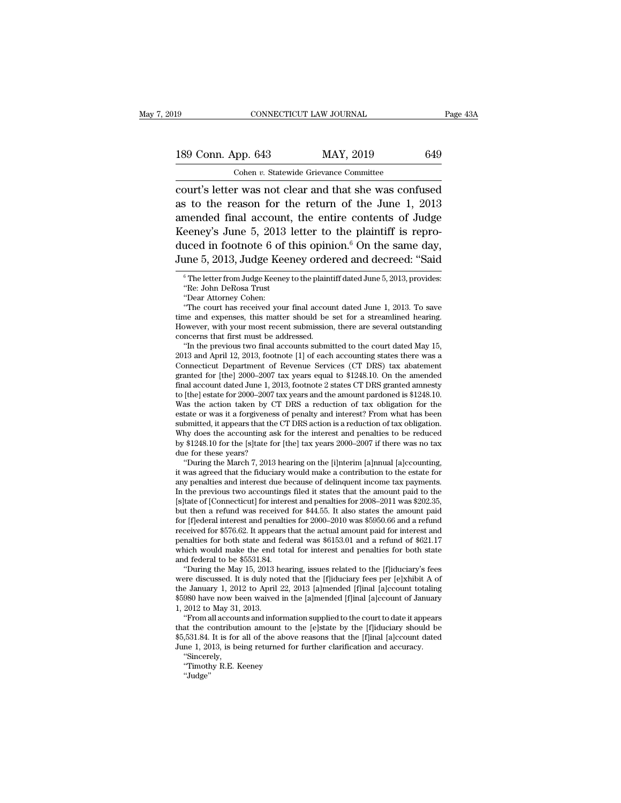| l9                 | CONNECTICUT LAW JOURNAL                                | Page 43A |
|--------------------|--------------------------------------------------------|----------|
| 189 Conn. App. 643 | MAY, 2019                                              | 649      |
|                    | Cohen v. Statewide Grievance Committee                 |          |
|                    | court's letter was not clear and that she was confused |          |

connectricut LAW JOURNAL Page 43A<br>
189 Conn. App. 643 MAY, 2019 649<br>
Cohen v. Statewide Grievance Committee<br>
court's letter was not clear and that she was confused<br>
as to the reason for the return of the June 1, 2013<br>
amen 189 Conn. App. 643 MAY, 2019 649<br>
Cohen v. Statewide Grievance Committee<br>
court's letter was not clear and that she was confused<br>
as to the reason for the return of the June 1, 2013<br>
amended final account, the entire cont 189 Conn. App. 643 MAY, 2019 649<br>
Cohen v. Statewide Grievance Committee<br>
court's letter was not clear and that she was confused<br>
as to the reason for the return of the June 1, 2013<br>
amended final account, the entire cont 189 Conn. App. 643 MAY, 2019 649<br>
Cohen v. Statewide Grievance Committee<br>
court's letter was not clear and that she was confused<br>
as to the reason for the return of the June 1, 2013<br>
amended final account, the entire cont Cohen v. Statewide Grievance Committee<br>
court's letter was not clear and that she was confused<br>
as to the reason for the return of the June 1, 2013<br>
amended final account, the entire contents of Judge<br>
Keeney's June 5, 20 Court's letter was not clear and that she was confused<br>as to the reason for the return of the June 1, 2013<br>amended final account, the entire contents of Judge<br>Keeney's June 5, 2013 letter to the plaintiff is repro-<br>duced Fraction Indian account, the entire contents of Judge<br>eeney's June 5, 2013 letter to the plaintiff is repro-<br>uced in footnote 6 of this opinion.<sup>6</sup> On the same day,<br>me 5, 2013, Judge Keeney ordered and decreed: "Said<br> $\frac{$ eeney's June 5, 2013 1<br>uced in footnote 6 of tl<br>me 5, 2013, Judge Keen<br><sup>6</sup>The letter from Judge Keeney t<br>"Re: John DeRosa Trust"<br>"Dear Attorney Cohen: uced in footnote 6 of<br>
ime 5, 2013, Judge Ke<br>
<sup>6</sup> The letter from Judge Keene<br>
<sup>6</sup> The letter from Judge Keene<br>
<sup>6</sup> The Court has received you<br>
"The court has received you

The court of this opinion. On the same day,<br>
ine 5, 2013, Judge Keeney ordered and decreed: "Said<br>
"The letter from Judge Keeney to the plaintiff dated June 5, 2013, provides:<br>
"Re: John DeRosa Trust<br>
"Dear Attorney Cohen: June 5, 2013, Judge Keeney ordered and decreed: "Said<br>  $\degree$ The letter from Judge Keeney to the plaintiff dated June 5, 2013, provides:<br>
"Re: John DeRosa Trust<br>
"Dear Attorney Cohen:<br>
"The court has received your final acc <sup>6</sup> The letter from Judge Keeney to the plaintiff dated June 5, 2013, provides:<br>
"Re: John DeRosa Trust<br>
"Dear Attorney Cohen:<br>
"The court has received your final account dated June 1, 2013. To save<br>
time and expenses, th <sup>6</sup> The letter from Judge Keeney to the plaint<br>
"Re: John DeRosa Trust<br>
"Dear Attorney Cohen:<br>
"The court has received your final accou<br>
time and expenses, this matter should be<br>
However, with your most recent submission<br> "Ne: John DeRosa Trust<br>"Dear Attorney Cohen:<br>"The court has received your final account dated June 1, 2013. To save<br>ne and expenses, this matter should be set for a streamlined hearing.<br>owever, with your most recent submis "Dear Attorney Cohen:<br>
"The court has received your final account dated June 1, 2013. To save<br>
time and expenses, this matter should be set for a streamlined hearing.<br>
However, with your most recent submission, there are

"The court has received your final account dated June 1, 2013. To save<br>time and expenses, this matter should be set for a streamlined hearing.<br>However, with your most recent submission, there are several outstanding<br>conce time and expenses, this matter should be set for a streamlined hearing.<br>However, with your most recent submission, there are several outstanding<br>concerns that first must be addressed.<br>"In the previous two final accounts su However, with your most recent submission, there are several outstanding<br>concerns that first must be addressed.<br>"In the previous two final accounts submitted to the court dated May 15,<br>2013 and April 12, 2013, footnote [1] concerns that first must be addressed.<br>
"In the previous two final accounts submitted to the court dated May 15,<br>
2013 and April 12, 2013, footnote [1] of each accounting states there was a<br>
Connecticut Department of Reven "In the previous two final accounts submitted to the court dated May 15, 2013 and April 12, 2013, footnote [1] of each accounting states there was a Connecticut Department of Revenue Services (CT DRS) tax abatement grante 2013 and April 12, 2013, footnote [1] of each accounting states there was a Connecticut Department of Revenue Services (CT DRS) tax abatement granted for [the] 2000–2007 tax years equal to \$1248.10. On the amended final ac Connecticut Department of Revenue Services (CT DRS) tax abatement<br>granted for [the] 2000–2007 tax years equal to \$1248.10. On the amended<br>final account dated June 1, 2013, footnote 2 states CT DRS granted amnesty<br>to [the] granted for [the] 2000–2007 tax years equal to \$1248.10. On the amended<br>final account dated June 1, 2013, footnote 2 states CT DRS granted amnesty<br>to [the] estate for 2000–2007 tax years and the amount pardoned is \$1248.10 final account dated June 1, 2013, footnote 2 states CT DRS granted amnesty<br>to [the] estate for 2000–2007 tax years and the amount pardoned is \$1248.10.<br>Was the action taken by CT DRS a reduction of tax obligation for the<br> to [the] estate for 2000–2007 ta<br>Was the action taken by CT<br>estate or was it a forgiveness<br>submitted, it appears that the why does the accounting ask<br>by \$1248.10 for the [s]tate for<br>due for these years?<br>"During the March 7 as the action taken by CT DRS a reduction of tax obligation for the tate or was it a forgiveness of penalty and interest? From what has been bmitted, it appears that the CT DRS action is a reduction of tax obligation.<br>hy d estate or was it a forgiveness of penalty and interest? From what has been<br>submitted, it appears that the CT DRS action is a reduction of tax obligation.<br>Why does the accounting ask for the interest and penalties to be red

submitted, it appears that the CT DRS action is a reduction of tax obligation.<br>Why does the accounting ask for the interest and penalties to be reduced<br>by \$1248.10 for the [s]tate for [the] tax years 2000–2007 if there was Why does the accounting ask for the interest and penalties to be reduced<br>by \$1248.10 for the [s]tate for [the] tax years  $2000-2007$  if there was no tax<br>due for these years?<br>"During the March 7, 2013 hearing on the [i]nte due for these years?<br>
"During the March 7, 2013 hearing on the [i]nterim [a]nnual [a]ccounting,<br>
it was agreed that the fiduciary would make a contribution to the estate for<br>
any penalties and interest due because of deli due for these years?<br>
"During the March 7, 2013 hearing on the [i]nterim [a]nnual [a]ccounting,<br>
it was agreed that the fiduciary would make a contribution to the estate for<br>
any penalties and interest due because of delin "During the March 7, 2013 hearing on the [i]nterim [a]nnual [a]ccounting,<br>it was agreed that the fiduciary would make a contribution to the estate for<br>any penalties and interest due because of delinquent income tax paymen it was agreed that the fiduciary would make a contribution to the estate for any penalties and interest due because of delinquent income tax payments. In the previous two accountings filed it states that the amount paid t any penalties and interest due because of delinquent income tax payments.<br>In the previous two accountings filed it states that the amount paid to the<br>[s]tate of [Connecticut] for interest and penalties for  $2008-2011$  was In the previous two accountings filed it states that the amount paid to the [s]tate of [Connecticut] for interest and penalties for  $2008-2011$  was \$202.35, but then a refund was received for \$44.55. It also states the am [s]tate of [Connecticut] for intere<br>but then a refund was received<br>for [f]ederal interest and penaltie<br>received for \$576.62. It appears t<br>penalties for both state and fed<br>which would make the end tota<br>and federal to be \$55 the May 15, 2013 hearing issues related to the [f]iduciary's fees discussed for \$576.62. It appears that the actual amount paid for interest and naities for both state and federal was \$6153.01 and a refund of \$621.17 high for [f]ederal interest and penalties for 2000–2010 was \$5950.66 and a refund<br>received for \$576.62. It appears that the actual amount paid for interest and<br>penalties for both state and federal was \$6153.01 and a refund of

received for \$576.62. It appears that the actual amount paid for interest and<br>penalties for both state and federal was \$6153.01 and a refund of \$621.17<br>which would make the end total for interest and penalties for both sta penalties for both state and federal was \$6153.01 and a refund of \$621.17<br>which would make the end total for interest and penalties for both state<br>and federal to be \$5531.84.<br>"During the May 15, 2013 hearing, issues relate which would make the end t<br>and federal to be \$5531.84.<br>"During the May 15, 2013 ł<br>were discussed. It is duly not<br>the January 1, 2012 to April<br>\$5980 have now been waived<br>1, 2012 to May 31, 2013.<br>"From all accounts and info d federal to be \$5531.84.<br>
"During the May 15, 2013 hearing, issues related to the [f]iduciary's fees<br>
ree discussed. It is duly noted that the [f]iduciary fees per [e]xhibit A of<br>
e January 1, 2012 to April 22, 2013 [a]me "During the May 15, 2013 hearing, issues related to the [f]iduciary's fees<br>were discussed. It is duly noted that the [f]iduciary fees per [e]xhibit A of<br>the January 1, 2012 to April 22, 2013 [a]mended [f]inal [a]ccount to

were discussed. It is duly noted that the [f]iduciary fees per [e]xhibit A of<br>the January 1, 2012 to April 22, 2013 [a]mended [f]inal [a]ccount totaling<br>\$5980 have now been waived in the [a]mended [f]inal [a]ccount of Janu the January 1, 2012 to April 22, 2013 [a]mended [f]inal [a]ccount totaling \$5980 have now been waived in the [a]mended [f]inal [a]ccount of January 1, 2012 to May 31, 2013.<br>
"From all accounts and information supplied to 2012 to May 31, 2013.<br>
"From all accounts and information"<br>
it the contribution amount to tlead<br>
531.84. It is for all of the above<br>
me 1, 2013, is being returned for<br>
"Sincerely,<br>
"Timothy R.E. Keeney<br>
"Judge"

''Sincerely,

''Judge''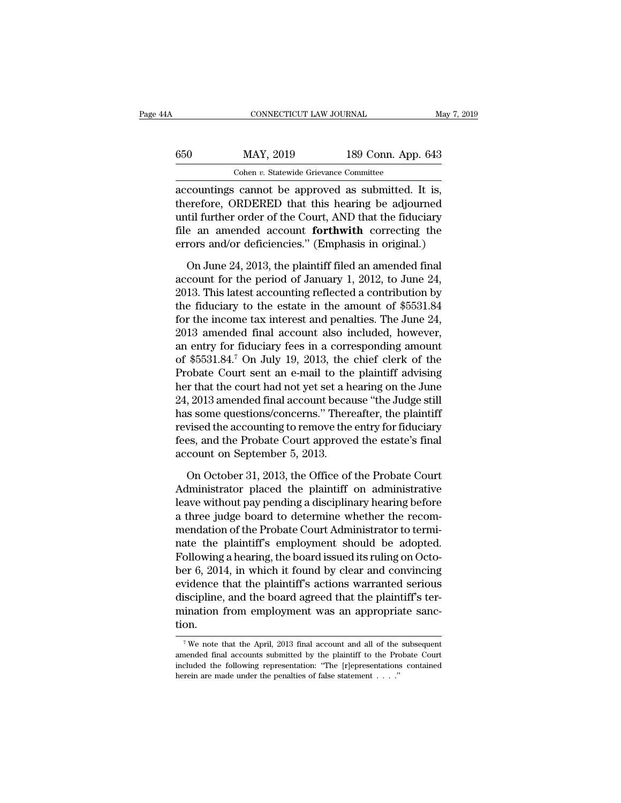| 1A  | CONNECTICUT LAW JOURNAL                           |                    | May 7, 2019 |
|-----|---------------------------------------------------|--------------------|-------------|
| 650 | MAY, 2019                                         | 189 Conn. App. 643 |             |
|     | Cohen v. Statewide Grievance Committee            |                    |             |
|     | accountings cannot be approved as submitted It is |                    |             |

 $\begin{array}{r} \text{COMRECTICUT LAW JOURNAL} \qquad \text{May 7, 2} \ \end{array}$ <br>  $\begin{array}{r} \text{AAY, 2019} \\ \text{Cohen } v. \text{ Statewide Grievance Committee} \ \end{array}$ <br>  $\begin{array}{r} \text{ACP, 2019} \\ \text{accountings cannot be approved as submitted. It is, \end{array}$ <br>  $\begin{array}{r} \text{therefore, ORDERED that this hearing be adjou, \end{array}$  $HAY, 2019$  189 Conn. App. 643<br>
Cohen v. Statewide Grievance Committee<br>
accountings cannot be approved as submitted. It is,<br>
therefore, ORDERED that this hearing be adjourned<br>
until further order of the Court, AND that the  $\begin{tabular}{ll} \hline 650 & \text{MAX, } 2019 & \text{189 Conn. App. 643} \\ \hline \multicolumn{2}{l}{\text{Cohen } v. Statewide Grievance Committee} \\ \hline \multicolumn{2}{l}{\text{accountings cannot be approved as submitted. It is,} \\ \hline \multicolumn{2}{l}{\text{therefore, ORDERED that this hearing be adjournal} \\ \hline \multicolumn{2}{l}{\text{until further order of the Court, AND that the fiduciary} \\ \hline \end{tabular}$  $f(650)$  MAY, 2019 189 Conn. App. 643<br>
Cohen *v*. Statewide Grievance Committee<br>
accountings cannot be approved as submitted. It is,<br>
therefore, ORDERED that this hearing be adjourned<br>
until further order of the Court, AN Cohen *v*. Statewide Grievance Committee<br>
accountings cannot be approved as submitted. It is,<br>
therefore, ORDERED that this hearing be adjourned<br>
until further order of the Court, AND that the fiduciary<br>
file an amended a countings cannot be approved as submitted. It is,<br>erefore, ORDERED that this hearing be adjourned<br>til further order of the Court, AND that the fiduciary<br>e an amended account **forthwith** correcting the<br>rors and/or deficienc therefore, ORDERED that this hearing be adjourned<br>until further order of the Court, AND that the fiduciary<br>file an amended account **forthwith** correcting the<br>errors and/or deficiencies." (Emphasis in original.)<br>On June 24

until further order of the Court, AND that the fiduciary<br>file an amended account **forthwith** correcting the<br>errors and/or deficiencies." (Emphasis in original.)<br>On June 24, 2013, the plaintiff filed an amended final<br>accoun file an amended account **forthwith** correcting the<br>errors and/or deficiencies." (Emphasis in original.)<br>On June 24, 2013, the plaintiff filed an amended final<br>account for the period of January 1, 2012, to June 24,<br>2013. T errors and/or deficiencies." (Emphasis in original.)<br>
On June 24, 2013, the plaintiff filed an amended final<br>
account for the period of January 1, 2012, to June 24,<br>
2013. This latest accounting reflected a contribution by On June 24, 2013, the plaintiff filed an amended final account for the period of January 1, 2012, to June 24, 2013. This latest accounting reflected a contribution by the fiduciary to the estate in the amount of \$5531.84 On June 24, 2013, the plaintiff filed an amended final<br>account for the period of January 1, 2012, to June 24,<br>2013. This latest accounting reflected a contribution by<br>the fiduciary to the estate in the amount of \$5531.84<br> account for the period of January 1, 2012, to June 24,<br>2013. This latest accounting reflected a contribution by<br>the fiduciary to the estate in the amount of \$5531.84<br>for the income tax interest and penalties. The June 24,<br> 2013. This latest accounting reflected a contribution by<br>the fiduciary to the estate in the amount of \$5531.84<br>for the income tax interest and penalties. The June 24,<br>2013 amended final account also included, however,<br>an the fiduciary to the estate in the amount of \$5531.84<br>for the income tax interest and penalties. The June 24,<br>2013 amended final account also included, however,<br>an entry for fiduciary fees in a corresponding amount<br>of \$553 for the income tax interest and penalties. The June 24,<br>2013 amended final account also included, however,<br>an entry for fiduciary fees in a corresponding amount<br>of \$5531.84.<sup>7</sup> On July 19, 2013, the chief clerk of the<br>Prob 2013 amended final account also included, however,<br>an entry for fiduciary fees in a corresponding amount<br>of \$5531.84.<sup>7</sup> On July 19, 2013, the chief clerk of the<br>Probate Court sent an e-mail to the plaintiff advising<br>her t an entry for fiduciary fees in a corresponding amount<br>of \$5531.84.<sup>7</sup> On July 19, 2013, the chief clerk of the<br>Probate Court sent an e-mail to the plaintiff advising<br>her that the court had not yet set a hearing on the June of \$5531.84.<sup>7</sup> On July 19, 2013, the chief clerk of the<br>Probate Court sent an e-mail to the plaintiff advising<br>her that the court had not yet set a hearing on the June<br>24, 2013 amended final account because "the Judge sti Probate Court sent an e-mail to the<br>her that the court had not yet set a h<br>24, 2013 amended final account beca<br>has some questions/concerns." Ther<br>revised the accounting to remove the<br>fees, and the Probate Court approve<br>acc , 2013 amended final account because "the Judge still<br>s some questions/concerns." Thereafter, the plaintiff<br>vised the accounting to remove the entry for fiduciary<br>es, and the Probate Court approved the estate's final<br>count has some questions/concerns." Thereafter, the plaintiff<br>revised the accounting to remove the entry for fiduciary<br>fees, and the Probate Court approved the estate's final<br>account on September 5, 2013.<br>On October 31, 2013, th

revised the accounting to remove the entry for fiduciary<br>fees, and the Probate Court approved the estate's final<br>account on September 5, 2013.<br>On October 31, 2013, the Office of the Probate Court<br>Administrator placed the p fees, and the Probate Court approved the estate's final<br>account on September 5, 2013.<br>On October 31, 2013, the Office of the Probate Court<br>Administrator placed the plaintiff on administrative<br>leave without pay pending a di account on September 5, 2013.<br>
On October 31, 2013, the Office of the Probate Court<br>
Administrator placed the plaintiff on administrative<br>
leave without pay pending a disciplinary hearing before<br>
a three judge board to det On October 31, 2013, the Office of the Probate Court<br>Administrator placed the plaintiff on administrative<br>leave without pay pending a disciplinary hearing before<br>a three judge board to determine whether the recom-<br>mendatio On October 31, 2013, the Office of the Probate Court<br>Administrator placed the plaintiff on administrative<br>leave without pay pending a disciplinary hearing before<br>a three judge board to determine whether the recom-<br>mendatio Administrator placed the plaintiff on administrative<br>leave without pay pending a disciplinary hearing before<br>a three judge board to determine whether the recom-<br>mendation of the Probate Court Administrator to termi-<br>nate t leave without pay pending a disciplinary hearing before<br>a three judge board to determine whether the recom-<br>mendation of the Probate Court Administrator to termi-<br>nate the plaintiff's employment should be adopted.<br>Followin a three judge board to determine whether the recom-<br>mendation of the Probate Court Administrator to termi-<br>nate the plaintiff's employment should be adopted.<br>Following a hearing, the board issued its ruling on Octo-<br>ber 6, mendation of the Probate Court Administrator to termi-<br>nate the plaintiff's employment should be adopted.<br>Following a hearing, the board issued its ruling on Octo-<br>ber 6, 2014, in which it found by clear and convincing<br>evi tion. evidence that the plaintiff's actions warranted serious<br>discipline, and the board agreed that the plaintiff's ter-<br>mination from employment was an appropriate sanc-<br>tion.<br> $\frac{1}{\sqrt{W}}$  we note that the April, 2013 final ac discipline, and the board agreed that the plaintiff's ter-<br>mination from employment was an appropriate sanc-<br>tion.<br><sup>7</sup>We note that the April, 2013 final account and all of the subsequent<br>amended final accounts submitted by

mination from employment was an appropriate sanction.<br> $\frac{1}{\sqrt{N}}$  we note that the April, 2013 final account and all of the subsequent<br>amended final accounts submitted by the plaintiff to the Probate Court<br>included the f <sup>7</sup> We note that the April, 2013 final account and all of the subsequent amended final accounts submitted by the plaintiff to the Probate Court included the following representation: "The [r]epresentations contained herei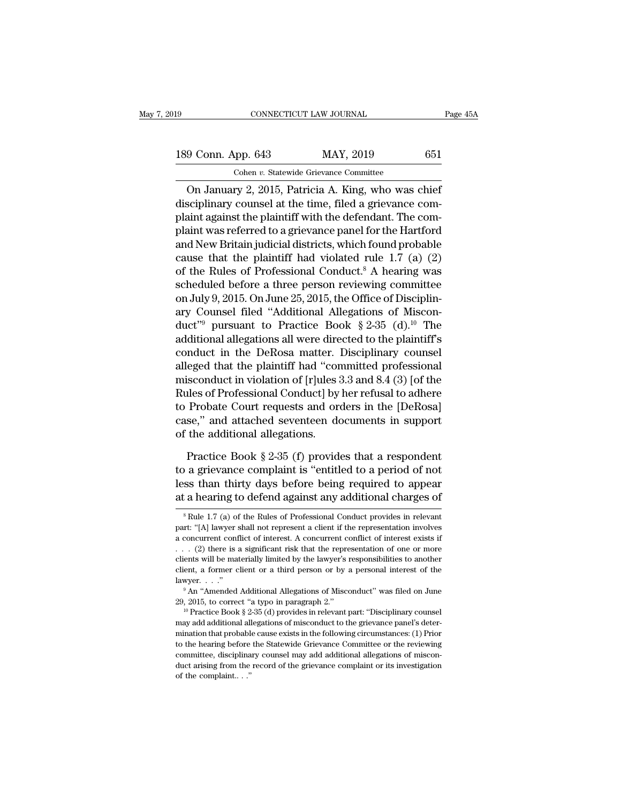CONNECTICUT LAW JOURNAL Page 45<br>
9 Conn. App. 643 MAY, 2019 651<br>
Cohen v. Statewide Grievance Committee<br>
On January 2, 2015, Patricia A. King, who was chief<br>
sciplinary counsel at the time, filed a grievance com-189 Conn. App. 643 MAY, 2019 651<br>
Cohen v. Statewide Grievance Committee<br>
On January 2, 2015, Patricia A. King, who was chief<br>
disciplinary counsel at the time, filed a grievance com-<br>
plaint against the plaintiff with the 189 Conn. App. 643 MAY, 2019 651<br>
Cohen v. Statewide Grievance Committee<br>
On January 2, 2015, Patricia A. King, who was chief<br>
disciplinary counsel at the time, filed a grievance com-<br>
plaint against the plaintiff with th 189 Conn. App. 643 MAY, 2019 651<br>
Cohen v. Statewide Grievance Committee<br>
On January 2, 2015, Patricia A. King, who was chief<br>
disciplinary counsel at the time, filed a grievance com-<br>
plaint against the plaintiff with th Cohen v. Statewide Grievance Committee<br>
On January 2, 2015, Patricia A. King, who was chief<br>
disciplinary counsel at the time, filed a grievance com-<br>
plaint against the plaintiff with the defendant. The com-<br>
plaint was Conen *t*. statewide chevalice conductive<br>On January 2, 2015, Patricia A. King, who was chief<br>disciplinary counsel at the time, filed a grievance com-<br>plaint against the plaintiff with the defendant. The com-<br>plaint was r On January 2, 2015, Patricia A. King, who was chief<br>disciplinary counsel at the time, filed a grievance com-<br>plaint against the plaintiff with the defendant. The com-<br>plaint was referred to a grievance panel for the Hartf disciplinary counsel at the time, filed a grievance com-<br>plaint against the plaintiff with the defendant. The com-<br>plaint was referred to a grievance panel for the Hartford<br>and New Britain judicial districts, which found p plaint against the plaintiff with the defendant. The com-<br>plaint was referred to a grievance panel for the Hartford<br>and New Britain judicial districts, which found probable<br>cause that the plaintiff had violated rule 1.7 (a plaint was referred to a grievance panel for the Hartford<br>and New Britain judicial districts, which found probable<br>cause that the plaintiff had violated rule 1.7 (a) (2)<br>of the Rules of Professional Conduct.<sup>8</sup> A hearing w and New Britain judicial districts, which found probable<br>
cause that the plaintiff had violated rule 1.7 (a) (2)<br>
of the Rules of Professional Conduct.<sup>8</sup> A hearing was<br>
scheduled before a three person reviewing committee cause that the plaintiff had violated rule 1.7 (a) (2)<br>of the Rules of Professional Conduct.<sup>8</sup> A hearing was<br>scheduled before a three person reviewing committee<br>on July 9, 2015. On June 25, 2015, the Office of Disciplinof the Rules of Professional Conduct.<sup>8</sup> A hearing was<br>scheduled before a three person reviewing committee<br>on July 9, 2015. On June 25, 2015, the Office of Disciplin-<br>ary Counsel filed "Additional Allegations of Miscon-<br>d scheduled before a three person reviewing committee<br>on July 9, 2015. On June 25, 2015, the Office of Disciplin-<br>ary Counsel filed "Additional Allegations of Miscon-<br>duct"<sup>9</sup> pursuant to Practice Book § 2-35 (d).<sup>10</sup> The<br>ad on July 9, 2015. On June 25, 2015, the Office of Disciplinary<br>counsel filed "Additional Allegations of Miscon-<br>duct"<sup>9</sup> pursuant to Practice Book § 2-35 (d).<sup>10</sup> The<br>additional allegations all were directed to the plaintif ary Counsel filed "Additional Allegations of Miscon-<br>duct"<sup>9</sup> pursuant to Practice Book § 2-35 (d).<sup>10</sup> The<br>additional allegations all were directed to the plaintiff's<br>conduct in the DeRosa matter. Disciplinary counsel<br>all duct"<sup>3</sup> pursuant to Practice Book § 2-35 (d).<sup>10</sup> The<br>additional allegations all were directed to the plaintiff's<br>conduct in the DeRosa matter. Disciplinary counsel<br>alleged that the plaintiff had "committed professional<br> additional allegations all were directed to the plaintiff's<br>conduct in the DeRosa matter. Disciplinary counsel<br>alleged that the plaintiff had "committed professional<br>misconduct in violation of [r]ules 3.3 and 8.4 (3) [of t conduct in the DeRosa matter.<br>alleged that the plaintiff had "cor<br>misconduct in violation of [r]ules ;<br>Rules of Professional Conduct] by<br>to Probate Court requests and or<br>case," and attached seventeen do<br>of the additional a is<br>conduct in violation of [r]ules 3.3 and 8.4 (3) [of the<br>lles of Professional Conduct] by her refusal to adhere<br>Probate Court requests and orders in the [DeRosa]<br>se," and attached seventeen documents in support<br>the addi Rules of Professional Conduct] by her refusal to adhere<br>to Probate Court requests and orders in the [DeRosa]<br>case," and attached seventeen documents in support<br>of the additional allegations.<br>Practice Book § 2-35 (f) provid

to Probate Court requests and orders in the [DeRosa]<br>case," and attached seventeen documents in support<br>of the additional allegations.<br>Practice Book § 2-35 (f) provides that a respondent<br>to a grievance complaint is "entitl case," and attached seventeen documents in support<br>of the additional allegations.<br>Practice Book § 2-35 (f) provides that a respondent<br>to a grievance complaint is "entitled to a period of not<br>less than thirty days before b Practice Book § 2-35 (f) provides that a respondent<br>to a grievance complaint is "entitled to a period of not<br>less than thirty days before being required to appear<br>at a hearing to defend against any additional charges of<br>to a grievance complaint is "entitled to a period of not<br>less than thirty days before being required to appear<br>at a hearing to defend against any additional charges of<br> $Rule 1.7 (a)$  of the Rules of Professional Conduct prov

less than thirty days before being required to appear<br>at a hearing to defend against any additional charges of<br> $Rule 1.7 (a)$  of the Rules of Professional Conduct provides in relevant<br>part: "[A] lawyer shall not represent a . . . (2) there is a significant risk that the representation of one or more <sup>8</sup> Rule 1.7 (a) of the Rules of Professional Conduct provides in relevant part: "[A] lawyer shall not represent a client if the representation involves a concurrent conflict of interest. A concurrent conflict of interest <sup>8</sup> Rule 1.7 (a) of the Rules of Professional Conduct provides in relevant part: "[A] lawyer shall not represent a client if the representation involves a concurrent conflict of interest. A concurrent conflict of interest part: "[A] lawyer shall not represent a client if the representation involves a concurrent conflict of interest. A concurrent conflict of interest exists if . . . . (2) there is a significant risk that the representation 29, 2015, to correct ''a typo in paragraph 2.'' 10 Practice Book § 2-35 (d) provides in relevant part: ''Disciplinary counsel'  $\frac{1}{10}$  Practice Book § 2-35 (d) provides in relevant part: ''Disciplinary counsel may add

client, a former client or a third person or by a personal interest of the lawyer. . . ."<br>
<sup>9</sup> An "Amended Additional Allegations of Misconduct" was filed on June 29, 2015, to correct "a typo in paragraph 2."<br>
<sup>10</sup> Practi mination that probable cause exists in the following circumstances: (1) Parameters:  $\cdot$  and "Amended Additional Allegations of Misconduct" was filed on June 29, 2015, to correct "a typo in paragraph 2."<br>
<sup>10</sup> Practice Bo <sup>9</sup> An "Amended Additional Allegations of Misconduct" was filed on June 29, 2015, to correct "a typo in paragraph 2."<br><sup>10</sup> Practice Book § 2-35 (d) provides in relevant part: "Disciplinary counsel may add additional alleg 29, 2015, to correct "a typo in paragraph 2."<br>
<sup>10</sup> Practice Book § 2-35 (d) provides in relevant part: "Disciplinary counsel<br>
may add additional allegations of misconduct to the grievance panel's deter-<br>
mination that pr <sup>10</sup> Practice Book § 2-35 (d) provides in relevant part: "Disciplinary counsel may add additional allegations of misconduct to the grievance panel's determination that probable cause exists in the following circumstances: may add additional all<br>mination that probabl<br>to the hearing before<br>committee, disciplina<br>duct arising from the<br>of the complaint...."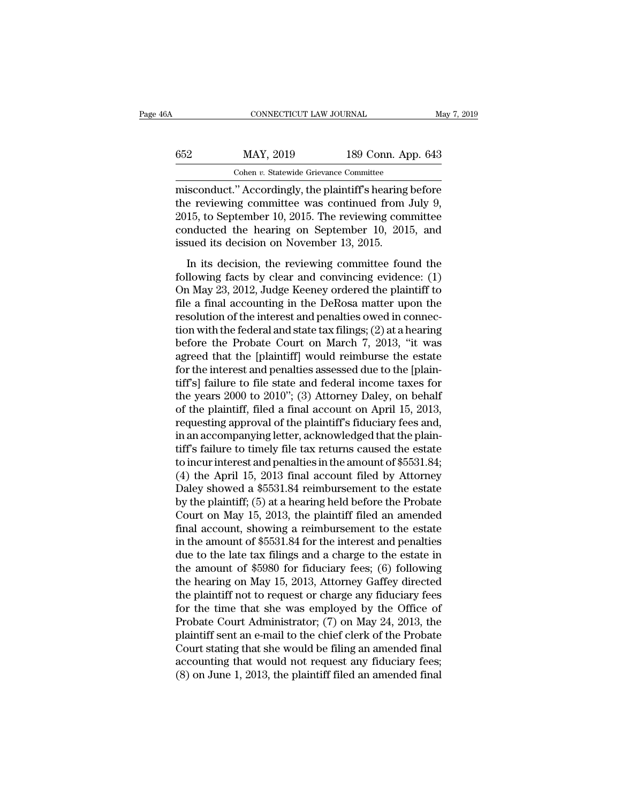| 6A  | CONNECTICUT LAW JOURNAL                                 |                    | May 7, 2019 |
|-----|---------------------------------------------------------|--------------------|-------------|
| 652 | MAY, 2019                                               | 189 Conn. App. 643 |             |
|     | Cohen v. Statewide Grievance Committee                  |                    |             |
|     | misconduct " Accordingly the plaintiff's hearing hefore |                    |             |

CONNECTICUT LAW JOURNAL May 7, 2019<br>
MAY, 2019 189 Conn. App. 643<br>
Cohen v. Statewide Grievance Committee<br>
misconduct.'' Accordingly, the plaintiff's hearing before<br>
the reviewing committee was continued from July 9,<br>
2015  $MAY$ , 2019 189 Conn. App. 643<br>
Cohen v. Statewide Grievance Committee<br>
misconduct." Accordingly, the plaintiff's hearing before<br>
the reviewing committee was continued from July 9,<br>
2015, to September 10, 2015. The reviewi 2015, to September 10, 2015. The reviewing committee 652 MAY, 2019 189 Conn. App. 643<br>
Cohen *v*. Statewide Grievance Committee<br>
misconduct." Accordingly, the plaintiff's hearing before<br>
the reviewing committee was continued from July 9,<br>
2015, to September 10, 2015. The re Cohen *v.* Statewide Grievance Committee<br>
misconduct." Accordingly, the plaintiff's hearing<br>
the reviewing committee was continued from<br>
2015, to September 10, 2015. The reviewing com<br>
conducted the hearing on September 10 is conduct." Accordingly, the plaintiff's hearing before<br>e reviewing committee was continued from July 9,<br>15, to September 10, 2015. The reviewing committee<br>nducted the hearing on September 10, 2015, and<br>sued its decision following committee was continued from July 9,<br>2015, to September 10, 2015. The reviewing committee<br>conducted the hearing on September 10, 2015, and<br>issued its decision on November 13, 2015.<br>In its decision, the reviewing

2015, to September 10, 2015. The reviewing committee<br>conducted the hearing on September 10, 2015, and<br>issued its decision on November 13, 2015.<br>In its decision, the reviewing committee found the<br>following facts by clear an for the file a final accounting in the DeRosa matter upon the resolution with the following facts by clear and convincing evidence: (1)<br>On May 23, 2012, Judge Keeney ordered the plaintiff to file a final accounting in the issued its decision on November 13, 2015.<br>
In its decision, the reviewing committee found the<br>
following facts by clear and convincing evidence: (1)<br>
On May 23, 2012, Judge Keeney ordered the plaintiff to<br>
file a final ac In its decision of Foveniser 15, 2015.<br>
In its decision, the reviewing committee found the<br>
following facts by clear and convincing evidence: (1)<br>
On May 23, 2012, Judge Keeney ordered the plaintiff to<br>
file a final accou In its decision, the reviewing committee found the<br>following facts by clear and convincing evidence: (1)<br>On May 23, 2012, Judge Keeney ordered the plaintiff to<br>file a final accounting in the DeRosa matter upon the<br>resoluti following facts by clear and convincing evidence:  $(1)$ <br>On May 23, 2012, Judge Keeney ordered the plaintiff to<br>file a final accounting in the DeRosa matter upon the<br>resolution of the interest and penalties owed in connec-On May 23, 2012, Judge Keeney ordered the plaintiff to file a final accounting in the DeRosa matter upon the resolution of the interest and penalties owed in connection with the federal and state tax filings; (2) at a hea file a final accounting in the DeRosa matter upon the<br>resolution of the interest and penalties owed in connec-<br>tion with the federal and state tax filings; (2) at a hearing<br>before the Probate Court on March 7, 2013, "it w resolution of the interest and penalties owed in connection with the federal and state tax filings; (2) at a hearing<br>before the Probate Court on March 7, 2013, "it was<br>agreed that the [plaintiff] would reimburse the estate tion with the federal and state tax filings; (2) at a hearing<br>before the Probate Court on March 7, 2013, "it was<br>agreed that the [plaintiff] would reimburse the estate<br>for the interest and penalties assessed due to the [pl before the Probate Court on March 7, 2013, "it was<br>agreed that the [plaintiff] would reimburse the estate<br>for the interest and penalties assessed due to the [plain-<br>tiff's] failure to file state and federal income taxes fo agreed that the [plaintiff] would reimburse the estate<br>for the interest and penalties assessed due to the [plain-<br>tiff's] failure to file state and federal income taxes for<br>the years 2000 to 2010"; (3) Attorney Daley, on b for the interest and penalties assessed due to the [plain-<br>tiff's] failure to file state and federal income taxes for<br>the years 2000 to 2010"; (3) Attorney Daley, on behalf<br>of the plaintiff, filed a final account on April tiff's] failure to file state and federal income taxes for<br>the years 2000 to 2010"; (3) Attorney Daley, on behalf<br>of the plaintiff, filed a final account on April 15, 2013,<br>requesting approval of the plaintiff's fiduciary the years 2000 to 2010"; (3) Attorney Daley, on behalf<br>of the plaintiff, filed a final account on April 15, 2013,<br>requesting approval of the plaintiff's fiduciary fees and,<br>in an accompanying letter, acknowledged that the of the plaintiff, filed a final account on April 15, 2013,<br>requesting approval of the plaintiff's fiduciary fees and,<br>in an accompanying letter, acknowledged that the plain-<br>tiff's failure to timely file tax returns caused requesting approval of the plaintiff's fiduciary fees and,<br>in an accompanying letter, acknowledged that the plain-<br>tiff's failure to timely file tax returns caused the estate<br>to incur interest and penalties in the amount o in an accompanying letter, acknowledged that the plain-<br>tiff's failure to timely file tax returns caused the estate<br>to incur interest and penalties in the amount of \$5531.84;<br>(4) the April 15, 2013 final account filed by A tiff's failure to timely file tax returns caused the estate<br>to incur interest and penalties in the amount of \$5531.84;<br>(4) the April 15, 2013 final account filed by Attorney<br>Daley showed a \$5531.84 reimbursement to the est to incur interest and penalties in the amount of \$5531.84;<br>
(4) the April 15, 2013 final account filed by Attorney<br>
Daley showed a \$5531.84 reimbursement to the estate<br>
by the plaintiff; (5) at a hearing held before the P (4) the April 15, 2013 final account filed by Attorney<br>Daley showed a \$5531.84 reimbursement to the estate<br>by the plaintiff; (5) at a hearing held before the Probate<br>Court on May 15, 2013, the plaintiff filed an amended<br>f Daley showed a \$5531.84 reimbursement to the estate<br>by the plaintiff; (5) at a hearing held before the Probate<br>Court on May 15, 2013, the plaintiff filed an amended<br>final account, showing a reimbursement to the estate<br>in t by the plaintiff; (5) at a hearing held before the Probate<br>Court on May 15, 2013, the plaintiff filed an amended<br>final account, showing a reimbursement to the estate<br>in the amount of \$5531.84 for the interest and penalties Court on May 15, 2013, the plaintiff filed an amended<br>final account, showing a reimbursement to the estate<br>in the amount of \$5531.84 for the interest and penalties<br>due to the late tax filings and a charge to the estate in final account, showing a reimbursement to the estate<br>in the amount of \$5531.84 for the interest and penalties<br>due to the late tax filings and a charge to the estate in<br>the amount of \$5980 for fiduciary fees; (6) following in the amount of \$5531.84 for the interest and penalties<br>due to the late tax filings and a charge to the estate in<br>the amount of \$5980 for fiduciary fees; (6) following<br>the hearing on May 15, 2013, Attorney Gaffey directed due to the late tax filings and a charge to the estate in<br>the amount of \$5980 for fiduciary fees; (6) following<br>the hearing on May 15, 2013, Attorney Gaffey directed<br>the plaintiff not to request or charge any fiduciary fee the amount of \$5980 for fiduciary fees; (6) following<br>the hearing on May 15, 2013, Attorney Gaffey directed<br>the plaintiff not to request or charge any fiduciary fees<br>for the time that she was employed by the Office of<br>Pro the hearing on May 15, 2013, Attorney Gaffey directed<br>the plaintiff not to request or charge any fiduciary fees<br>for the time that she was employed by the Office of<br>Probate Court Administrator; (7) on May 24, 2013, the<br>plai the plaintiff not to request or charge any fiduciary fees<br>for the time that she was employed by the Office of<br>Probate Court Administrator; (7) on May 24, 2013, the<br>plaintiff sent an e-mail to the chief clerk of the Probate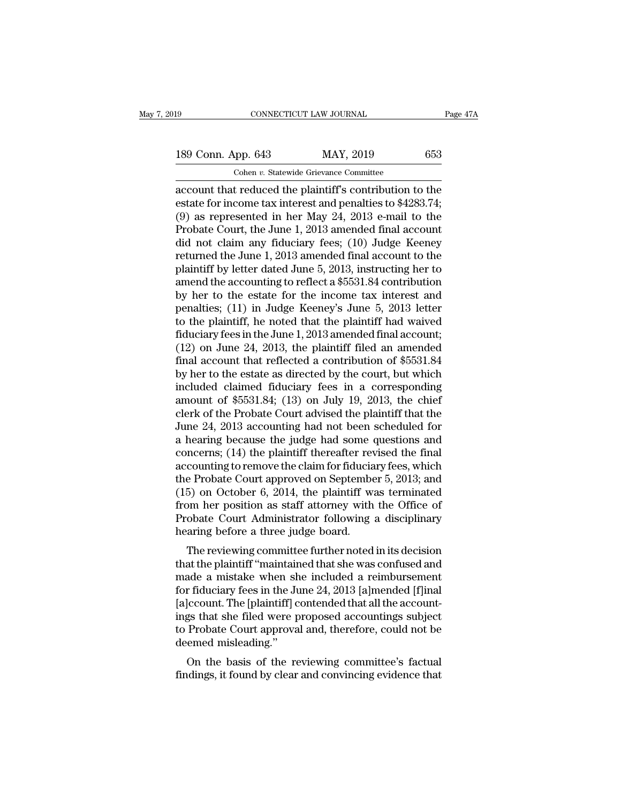189 CONNECTICUT LAW JOURNAL Page 47A<br>
189 Conn. App. 643 MAY, 2019 653<br>
Cohen v. Statewide Grievance Committee

Cohen *v.* Statewide Grievance Committee connectricut LAW JOURNAL Page 47A<br>
189 Conn. App. 643 MAY, 2019 653<br>
Cohen v. Statewide Grievance Committee<br>
account that reduced the plaintiff's contribution to the<br>
estate for income tax interest and penalties to \$4283.7 189 Conn. App. 643 MAY, 2019 653<br>
Cohen v. Statewide Grievance Committee<br>
account that reduced the plaintiff's contribution to the<br>
estate for income tax interest and penalties to \$4283.74;<br>
(9) as represented in her May 189 Conn. App. 643 MAY, 2019 653<br>
Cohen v. Statewide Grievance Committee<br>
account that reduced the plaintiff's contribution to the<br>
estate for income tax interest and penalties to \$4283.74;<br>
(9) as represented in her May 189 Conn. App. 643 MAY, 2019 653<br>
Cohen *v*. Statewide Grievance Committee<br>
account that reduced the plaintiff's contribution to the<br>
estate for income tax interest and penalties to \$4283.74;<br>
(9) as represented in her Ma Cohen v. Statewide Grievance Committee<br>account that reduced the plaintiff's contribution to the<br>estate for income tax interest and penalties to \$4283.74;<br>(9) as represented in her May 24, 2013 e-mail to the<br>Probate Court, Cohen v. Statewide Grievance Committee<br>account that reduced the plaintiff's contribution to the<br>estate for income tax interest and penalties to \$4283.74;<br>(9) as represented in her May 24, 2013 e-mail to the<br>Probate Court, account that reduced the plaintiff's contribution to the<br>estate for income tax interest and penalties to \$4283.74;<br>(9) as represented in her May 24, 2013 e-mail to the<br>Probate Court, the June 1, 2013 amended final account<br> estate for income tax interest and penalties to \$4283.74;<br>(9) as represented in her May 24, 2013 e-mail to the<br>Probate Court, the June 1, 2013 amended final account<br>did not claim any fiduciary fees; (10) Judge Keeney<br>retu (9) as represented in her May 24, 2013 e-mail to the<br>Probate Court, the June 1, 2013 amended final account<br>did not claim any fiduciary fees; (10) Judge Keeney<br>returned the June 1, 2013 amended final account to the<br>plainti Probate Court, the June 1, 2013 amended final account<br>did not claim any fiduciary fees; (10) Judge Keeney<br>returned the June 1, 2013 amended final account to the<br>plaintiff by letter dated June 5, 2013, instructing her to<br>am did not claim any fiduciary fees;  $(10)$  Judge Keeney<br>returned the June 1, 2013 amended final account to the<br>plaintiff by letter dated June 5, 2013, instructing her to<br>amend the accounting to reflect a \$5531.84 contributi returned the June 1, 2013 amended final account to the plaintiff by letter dated June 5, 2013, instructing her to amend the accounting to reflect a \$5531.84 contribution by her to the estate for the income tax interest and plaintiff by letter dated June 5, 2013, instructing her to<br>amend the accounting to reflect a \$5531.84 contribution<br>by her to the estate for the income tax interest and<br>penalties; (11) in Judge Keeney's June 5, 2013 letter<br> amend the accounting to reflect a \$5531.84 contribution<br>by her to the estate for the income tax interest and<br>penalties; (11) in Judge Keeney's June 5, 2013 letter<br>to the plaintiff, he noted that the plaintiff had waived<br>fi by her to the estate for the income tax interest and<br>penalties; (11) in Judge Keeney's June 5, 2013 letter<br>to the plaintiff, he noted that the plaintiff had waived<br>fiduciary fees in the June 1, 2013 amended final account; penalties; (11) in Judge Keeney's June 5, 2013 letter<br>to the plaintiff, he noted that the plaintiff had waived<br>fiduciary fees in the June 1, 2013 amended final account;<br>(12) on June 24, 2013, the plaintiff filed an amended to the plaintiff, he noted that the plaintiff had waived<br>fiduciary fees in the June 1, 2013 amended final account;<br>(12) on June 24, 2013, the plaintiff filed an amended<br>final account that reflected a contribution of \$5531 fiduciary fees in the June 1, 2013 amended final account;<br>(12) on June 24, 2013, the plaintiff filed an amended<br>final account that reflected a contribution of \$5531.84<br>by her to the estate as directed by the court, but wh (12) on June 24, 2013, the plaintiff filed an amended<br>final account that reflected a contribution of \$5531.84<br>by her to the estate as directed by the court, but which<br>included claimed fiduciary fees in a corresponding<br>amo final account that reflected a contribution of \$5531.84<br>by her to the estate as directed by the court, but which<br>included claimed fiduciary fees in a corresponding<br>amount of \$5531.84; (13) on July 19, 2013, the chief<br>cler by her to the estate as directed by the court, but which<br>included claimed fiduciary fees in a corresponding<br>amount of \$5531.84; (13) on July 19, 2013, the chief<br>clerk of the Probate Court advised the plaintiff that the<br>Jun included claimed fiduciary fees in a corresponding<br>amount of \$5531.84; (13) on July 19, 2013, the chief<br>clerk of the Probate Court advised the plaintiff that the<br>June 24, 2013 accounting had not been scheduled for<br>a heari amount of \$5531.84; (13) on July 19, 2013, the chief<br>clerk of the Probate Court advised the plaintiff that the<br>June 24, 2013 accounting had not been scheduled for<br>a hearing because the judge had some questions and<br>concerns clerk of the Probate Court advised the plaintiff that the<br>June 24, 2013 accounting had not been scheduled for<br>a hearing because the judge had some questions and<br>concerns; (14) the plaintiff thereafter revised the final<br>acc June 24, 2013 accounting had not been scheduled for<br>a hearing because the judge had some questions and<br>concerns; (14) the plaintiff thereafter revised the final<br>accounting to remove the claim for fiduciary fees, which<br>the a hearing because the judge had some questions and<br>concerns; (14) the plaintiff thereafter revised the final<br>accounting to remove the claim for fiduciary fees, which<br>the Probate Court approved on September 5, 2013; and<br>(15 concerns;  $(14)$  the plaintiff thereafter revised the final accounting to remove the claim for fiduciary fees, which the Probate Court approved on September 5, 2013; and  $(15)$  on October 6, 2014, the plaintiff was termin counting to remove the claim for inductary rees, which<br>e Probate Court approved on September 5, 2013; and<br>5) on October 6, 2014, the plaintiff was terminated<br>om her position as staff attorney with the Office of<br>obate Court the Frobate Court approved on September 5, 2015, and<br>
(15) on October 6, 2014, the plaintiff was terminated<br>
from her position as staff attorney with the Office of<br>
Probate Court Administrator following a disciplinary<br>
he

(15) on October 0, 2014, the plantint was terminated<br>from her position as staff attorney with the Office of<br>Probate Court Administrator following a disciplinary<br>hearing before a three judge board.<br>The reviewing committee from the position as start attorney with the Office of<br>Probate Court Administrator following a disciplinary<br>hearing before a three judge board.<br>The reviewing committee further noted in its decision<br>that the plaintiff "main Frobate Court Administrator following a disciplinary<br>hearing before a three judge board.<br>The reviewing committee further noted in its decision<br>that the plaintiff "maintained that she was confused and<br>made a mistake when sh The reviewing committee further noted in its decision<br>that the plaintiff "maintained that she was confused and<br>made a mistake when she included a reimbursement<br>for fiduciary fees in the June 24, 2013 [a]mended [f]inal<br>[a]c The reviewing committee further noted in its decision<br>that the plaintiff "maintained that she was confused and<br>made a mistake when she included a reimbursement<br>for fiduciary fees in the June 24, 2013 [a]mended [f]inal<br>[a]c that the plaintiff "maintair<br>made a mistake when sh<br>for fiduciary fees in the Ju<br>[a]ccount. The [plaintiff] c<br>ings that she filed were p<br>to Probate Court approva<br>deemed misleading."<br>On the basis of the re ade a nustake when she included a remnomeshement<br>r fiduciary fees in the June 24, 2013 [a]mended [f]inal<br>|ccount. The [plaintiff] contended that all the account-<br>gs that she filed were proposed accountings subject<br>Probate for nuderary rees in the suite 24, 2015 [a]Intended [1]Interfact [1]Interfact [2]<br>[a]Crount. The [plaintiff] contended that all the account-<br>ings that she filed were proposed accountings subject<br>to Probate Court approval a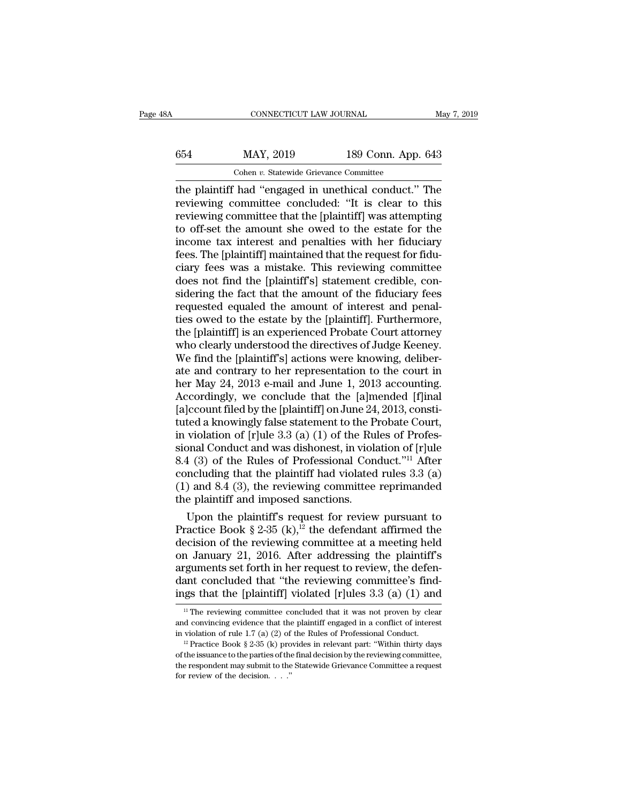# CONNECTICUT LAW JOURNAL May 7, 2019<br>654 MAY, 2019 189 Conn. App. 643<br>Cohen v. Statewide Grievance Committee CONNECTICUT LAW JOURNAL<br>MAY, 2019 189 Conn. App.<br>Cohen *v.* Statewide Grievance Committee<br>had "engaged in unethical conduct"

CONNECTICUT LAW JOURNAL May 7, 2019<br>
654 MAY, 2019 189 Conn. App. 643<br>
Cohen v. Statewide Grievance Committee<br>
the plaintiff had "engaged in unethical conduct." The<br>
reviewing committee concluded: "It is clear to this<br>
rev  $\begin{array}{r} \text{MAY, 2019} \\ \text{Cohen } v. \text{ Statewide Grievance Committee} \\ \text{the plaintiff had "engaged in unethical conduct." The reviewing committee concluded: "It is clear to this reviewing committee that the [plaintiff] was attempting to offset the amount she owed to the estate for the object.} \end{array}$  $\frac{189 \text{ Conn. App. } 643}{\text{Chen } v. \text{ Statewide Griewance Committee}}$ <br>
the plaintiff had "engaged in unethical conduct." The<br>
reviewing committee concluded: "It is clear to this<br>
reviewing committee that the [plaintiff] was attempting<br>
to off-set the 654 MAY, 2019 189 Conn. App. 643<br>
Cohen *v*. Statewide Grievance Committee<br>
the plaintiff had "engaged in unethical conduct." The<br>
reviewing committee concluded: "It is clear to this<br>
reviewing committee that the [plainti Cohen v. Statewide Grievance Committee<br>the plaintiff had "engaged in unethical conduct." The<br>reviewing committee concluded: "It is clear to this<br>reviewing committee that the [plaintiff] was attempting<br>to off-set the amoun Cohen v. Statewide Grievance Committee<br>the plaintiff had "engaged in unethical conduct." The<br>reviewing committee concluded: "It is clear to this<br>reviewing committee that the [plaintiff] was attempting<br>to off-set the amount the plaintiff had "engaged in unethical conduct." The<br>reviewing committee concluded: "It is clear to this<br>reviewing committee that the [plaintiff] was attempting<br>to off-set the amount she owed to the estate for the<br>income reviewing committee concluded: "It is clear to this<br>reviewing committee that the [plaintiff] was attempting<br>to off-set the amount she owed to the estate for the<br>income tax interest and penalties with her fiduciary<br>fees. Th reviewing committee that the [plaintiff] was attempting<br>to off-set the amount she owed to the estate for the<br>income tax interest and penalties with her fiduciary<br>fees. The [plaintiff] maintained that the request for fidu-<br> to off-set the amount she owed to the estate for the income tax interest and penalties with her fiduciary fees. The [plaintiff] maintained that the request for fiduciary fees was a mistake. This reviewing committee does no income tax interest and penalties with her fiduciary<br>fees. The [plaintiff] maintained that the request for fidu-<br>ciary fees was a mistake. This reviewing committee<br>does not find the [plaintiff's] statement credible, con-<br>s fees. The [plaintiff] maintained that the request for fiduciary fees was a mistake. This reviewing committee does not find the [plaintiff's] statement credible, considering the fact that the amount of the fiduciary fees re ciary fees was a mistake. This reviewing committee<br>does not find the [plaintiff's] statement credible, con-<br>sidering the fact that the amount of the fiduciary fees<br>requested equaled the amount of interest and penal-<br>ties o does not find the [plaintiff's] statement credible, considering the fact that the amount of the fiduciary fees<br>requested equaled the amount of interest and penal-<br>ties owed to the estate by the [plaintiff]. Furthermore,<br>t sidering the fact that the amount of the fiduciary fees<br>requested equaled the amount of interest and penal-<br>ties owed to the estate by the [plaintiff]. Furthermore,<br>the [plaintiff] is an experienced Probate Court attorney<br> requested equaled the amount of interest and penalties owed to the estate by the [plaintiff]. Furthermore, the [plaintiff] is an experienced Probate Court attorney who clearly understood the directives of Judge Keeney. We ties owed to the estate by the [plaintiff]. Furthermore,<br>the [plaintiff] is an experienced Probate Court attorney<br>who clearly understood the directives of Judge Keeney.<br>We find the [plaintiff's] actions were knowing, delib the [plaintiff] is an experienced Probate Court attorney<br>who clearly understood the directives of Judge Keeney.<br>We find the [plaintiff's] actions were knowing, deliber-<br>ate and contrary to her representation to the court i who clearly understood the directives of Judge Keeney.<br>We find the [plaintiff's] actions were knowing, deliber-<br>ate and contrary to her representation to the court in<br>her May 24, 2013 e-mail and June 1, 2013 accounting.<br>Ac We find the [plaintiff's] actions were knowing, deliberate and contrary to her representation to the court in<br>her May 24, 2013 e-mail and June 1, 2013 accounting.<br>Accordingly, we conclude that the [a]mended [f]inal<br>[a]cco ate and contrary to her representation to the court in<br>her May 24, 2013 e-mail and June 1, 2013 accounting.<br>Accordingly, we conclude that the [a]mended [f]inal<br>[a]ccount filed by the [plaintiff] on June 24, 2013, consti-<br>t her May 24, 2013 e-mail and June 1, 2013 accounting.<br>Accordingly, we conclude that the [a]mended [f]inal<br>[a]ccount filed by the [plaintiff] on June 24, 2013, consti-<br>tuted a knowingly false statement to the Probate Court, Accordingly, we conclude that the [a]mended [f]inal<br>[a]ccount filed by the [plaintiff] on June 24, 2013, constituted a knowingly false statement to the Probate Court,<br>in violation of [r]ule 3.3 (a) (1) of the Rules of Pro [a]ccount filed by the [plaintiff] on June 24, 2013, constituted a knowingly false statement to the Probate Court,<br>in violation of [r]ule 3.3 (a) (1) of the Rules of Professional Conduct and was dishonest, in violation of tuted a knowingly false statement to the P<br>in violation of [r]ule 3.3 (a) (1) of the Ru<br>sional Conduct and was dishonest, in viola<br>8.4 (3) of the Rules of Professional Con<br>concluding that the plaintiff had violated<br>(1) and violation of  $[r]$ ule 3.3 (a) (1) of the Rules of Profes-<br>
anal Conduct and was dishonest, in violation of  $[r]$ ule<br>
4 (3) of the Rules of Professional Conduct."<sup>11</sup> After<br>
ncluding that the plaintiff had violated rules 3.3 sional Conduct and was dishonest, in violation of  $[r]$ ule 8.4 (3) of the Rules of Professional Conduct."<sup>11</sup> After concluding that the plaintiff had violated rules 3.3 (a) (1) and 8.4 (3), the reviewing committee repriman

8.4 (3) of the Rules of Professional Conduct."<sup>11</sup> After<br>concluding that the plaintiff had violated rules 3.3 (a)<br>(1) and 8.4 (3), the reviewing committee reprimanded<br>the plaintiff and imposed sanctions.<br>Upon the plaintif concluding that the plaintiff had violated rules 3.3 (a)<br>
(1) and 8.4 (3), the reviewing committee reprimanded<br>
the plaintiff and imposed sanctions.<br>
Upon the plaintiff's request for review pursuant to<br>
Practice Book § 2-(1) and 8.4 (3), the reviewing committee reprimanded<br>the plaintiff and imposed sanctions.<br>Upon the plaintiff's request for review pursuant to<br>Practice Book § 2-35 (k),<sup>12</sup> the defendant affirmed the<br>decision of the review the plaintiff and imposed sanctions.<br>Upon the plaintiff's request for review pursuant to<br>Practice Book § 2-35 (k),<sup>12</sup> the defendant affirmed the<br>decision of the reviewing committee at a meeting held<br>on January 21, 2016. Upon the plaintiff's request for review pursuant to<br>Practice Book § 2-35 (k),<sup>12</sup> the defendant affirmed the<br>decision of the reviewing committee at a meeting held<br>on January 21, 2016. After addressing the plaintiff's<br>argu In January 21, 2016. After addressing the plaintiff's equinents set forth in her request to review, the defen-<br>ant concluded that "the reviewing committee's find-<br>gs that the [plaintiff] violated [r]ules 3.3 (a) (1) and<br>arguments set forth in her request to review, the defendant concluded that "the reviewing committee's findings that the [plaintiff] violated [r]ules 3.3 (a) (1) and  $\frac{1}{1}$  The reviewing committee concluded that it was

dant concluded that "the reviewing committee's findings that the [plaintiff] violated [r]ules 3.3 (a) (1) and  $\frac{1}{\pi}$  The reviewing committee concluded that it was not proven by clear and convincing evidence that the p

of the issuance to the parties of the final decision by the reviewing committee, <sup>11</sup> The reviewing committee concluded that it was not proven by clear and convincing evidence that the plaintiff engaged in a conflict of interest in violation of rule 1.7 (a) (2) of the Rules of Professional Conduct. <sup>1</sup> and convincing evidence that the<br>in violation of rule 1.7 (a) (2) of<br><sup>12</sup> Practice Book § 2-35 (k) pro<br>of the issuance to the parties of the<br>the respondent may submit to the<br>for review of the decision. . . ."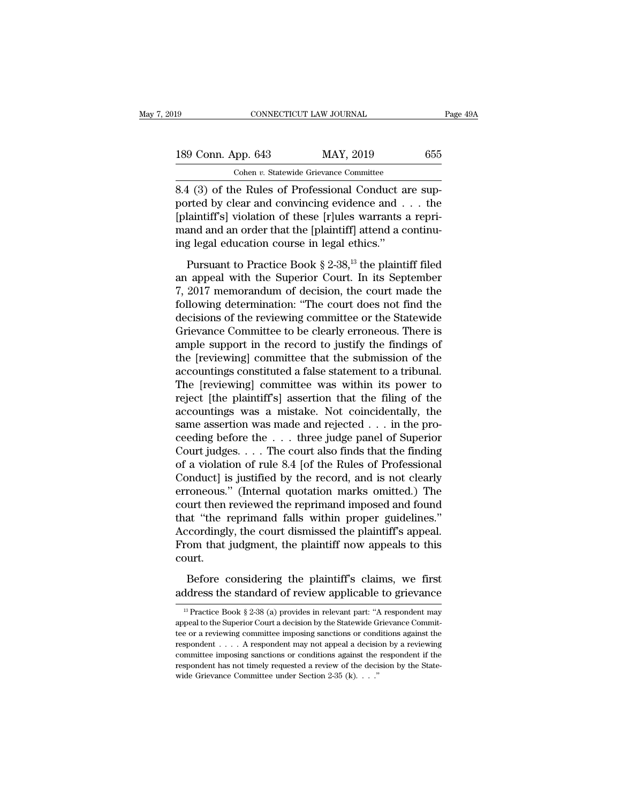| l9                 | CONNECTICUT LAW JOURNAL                               | Page 49A |
|--------------------|-------------------------------------------------------|----------|
| 189 Conn. App. 643 | MAY, 2019                                             | 655      |
|                    | Cohen v. Statewide Grievance Committee                |          |
|                    | 8.4 (3) of the Rules of Professional Conduct are sup- |          |

8.4 (3) of the Rules of these killed warrents a reminded to the Rules of Professional Conduct are supported by clear and convincing evidence and . . . the conductivity of these killed warrents a reminded by clear and convi 189 Conn. App. 643 MAY, 2019 655<br>
Cohen v. Statewide Grievance Committee<br>
8.4 (3) of the Rules of Professional Conduct are sup-<br>
ported by clear and convincing evidence and . . . the<br>
[plaintiff's] violation of these [r]ul 189 Conn. App. 643 MAY, 2019 655<br>
Cohen v. Statewide Grievance Committee<br>
8.4 (3) of the Rules of Professional Conduct are sup-<br>
ported by clear and convincing evidence and . . . the<br>
[plaintiff's] violation of these [r]u 189 Conn. App. 643 MAY, 2019 655<br>
Cohen v. Statewide Grievance Committee<br>
8.4 (3) of the Rules of Professional Conduct are supported by clear and convincing evidence and . . . the<br>
[plaintiff's] violation of these [r]ules Cohen v. Statewide Grievance Committee<br>
8.4 (3) of the Rules of Professional Conduct a<br>
ported by clear and convincing evidence and .<br>
[plaintiff's] violation of these [r]ules warrants :<br>
mand and an order that the [plain 1 (3) of the Rules of Professional Conduct are sup-<br>priced by clear and convincing evidence and . . . the<br>laintiff's] violation of these [r]ules warrants a repri-<br>and and an order that the [plaintiff] attend a continu-<br>g ported by clear and convincing evidence and  $\ldots$  the [plaintiff's] violation of these [r]ules warrants a repri-<br>mand and an order that the [plaintiff] attend a continu-<br>ing legal education course in legal ethics."<br>Pursua

[plaintiff's] violation of these [r]ules warrants a repri-<br>mand and an order that the [plaintiff] attend a continu-<br>ing legal education course in legal ethics."<br>Pursuant to Practice Book  $\S 2{\text -}38,{}^{13}$  the plaintiff fi frame and an order that the [plaintiff] attend a continuing legal education course in legal ethics."<br>
Pursuant to Practice Book § 2-38,<sup>13</sup> the plaintiff filed<br>
an appeal with the Superior Court. In its September<br>
7, 2017 make and an order due to the prainting letters."<br>
Dursuant to Practice Book § 2-38,<sup>13</sup> the plaintiff filed<br>
an appeal with the Superior Court. In its September<br>
7, 2017 memorandum of decision, the court made the<br>
followi Pursuant to Practice Book § 2-38,<sup>13</sup> the plaintiff filed<br>an appeal with the Superior Court. In its September<br>7, 2017 memorandum of decision, the court made the<br>following determination: "The court does not find the<br>decisi Pursuant to Practice Book § 2-38,<sup>13</sup> the plaintiff filed<br>an appeal with the Superior Court. In its September<br>7, 2017 memorandum of decision, the court made the<br>following determination: "The court does not find the<br>decisi an appeal with the Superior Court. In its September<br>7, 2017 memorandum of decision, the court made the<br>following determination: "The court does not find the<br>decisions of the reviewing committee or the Statewide<br>Grievance C 7, 2017 memorandum of decision, the court made the<br>following determination: "The court does not find the<br>decisions of the reviewing committee or the Statewide<br>Grievance Committee to be clearly erroneous. There is<br>ample sup following determination: "The court does not find the<br>decisions of the reviewing committee or the Statewide<br>Grievance Committee to be clearly erroneous. There is<br>ample support in the record to justify the findings of<br>the [ decisions of the reviewing committee or the Statewide<br>Grievance Committee to be clearly erroneous. There is<br>ample support in the record to justify the findings of<br>the [reviewing] committee that the submission of the<br>accoun Grievance Committee to be clearly erroneous. There is<br>ample support in the record to justify the findings of<br>the [reviewing] committee that the submission of the<br>accountings constituted a false statement to a tribunal.<br>The ample support in the record to justify the findings of<br>the [reviewing] committee that the submission of the<br>accountings constituted a false statement to a tribunal.<br>The [reviewing] committee was within its power to<br>reject the [reviewing] committee that the submission of the<br>accountings constituted a false statement to a tribunal.<br>The [reviewing] committee was within its power to<br>reject [the plaintiff's] assertion that the filing of the<br>acc accountings constituted a false statement to a tribunal.<br>The [reviewing] committee was within its power to<br>reject [the plaintiff's] assertion that the filing of the<br>accountings was a mistake. Not coincidentally, the<br>same a The [reviewing] committee was within its power to<br>reject [the plaintiff's] assertion that the filing of the<br>accountings was a mistake. Not coincidentally, the<br>same assertion was made and rejected . . . in the pro-<br>ceeding reject [the plaintiff's] assertion that the filing of the<br>accountings was a mistake. Not coincidentally, the<br>same assertion was made and rejected . . . in the pro-<br>ceeding before the . . . three judge panel of Superior<br>Co accountings was a mistake. Not coincidentally, the<br>same assertion was made and rejected . . . in the pro-<br>ceeding before the . . . three judge panel of Superior<br>Court judges. . . . The court also finds that the finding<br>of same assertion was made and rejected . . . in the proceeding before the . . . three judge panel of Superior Court judges. . . . The court also finds that the finding of a violation of rule 8.4 [of the Rules of Professiona ceeding before the . . . three judge panel of Superior<br>Court judges. . . . The court also finds that the finding<br>of a violation of rule 8.4 [of the Rules of Professional<br>Conduct] is justified by the record, and is not clea Court judges. . . . The court also finds that the finding<br>of a violation of rule 8.4 [of the Rules of Professional<br>Conduct] is justified by the record, and is not clearly<br>erroneous." (Internal quotation marks omitted.) The of a violation of rule 8.4 [of the Rules of Professional Conduct] is justified by the record, and is not clearly erroneous." (Internal quotation marks omitted.) The court then reviewed the reprimand imposed and found that court. Fraction reviewed the reprimand imposed and found<br>at "the reprimand falls within proper guidelines."<br>coordingly, the court dismissed the plaintiff's appeal.<br>om that judgment, the plaintiff now appeals to this<br>urt.<br>Before c that "the reprimand falls within proper guidelines."<br>Accordingly, the court dismissed the plaintiff's appeal.<br>From that judgment, the plaintiff now appeals to this<br>court.<br>Before considering the plaintiff's claims, we firs

burt.<br>
13 Practice Book § 2-38 (a) provides in relevant part: "A respondent may<br>
13 Practice Book § 2-38 (a) provides in relevant part: "A respondent may<br>
peal to the Superior Court a decision by the Statewide Grievance Co Before considering the plaintiff's claims, we first<br>address the standard of review applicable to grievance<br> $\frac{1}{3}$  Practice Book § 2-38 (a) provides in relevant part: "A respondent may<br>appeal to the Superior Court a dec Before considering the plaintiff's claims, we first address the standard of review applicable to grievance  $\frac{13}{12}$  Practice Book § 2-38 (a) provides in relevant part: "A respondent may appeal to the Superior Court a d address the standard of review applicable to grievance<br>
<sup>13</sup> Practice Book § 2-38 (a) provides in relevant part: "A respondent may<br>
appeal to the Superior Court a decision by the Statewide Grievance Commit-<br>
tee or a revi <sup>13</sup> Practice Book § 2-38 (a) provides in relevant part: "A respondent may appeal to the Superior Court a decision by the Statewide Grievance Committee or a reviewing committee imposing sanctions or conditions against the <sup>13</sup> Practice Book § 2-38 (a) provides in relevant part: "A respondent may appeal to the Superior Court a decision by the Statewide Grievance Committee or a reviewing committee imposing sanctions or conditions against the appeal to the Superior Court a decision by the Statewide Grievance Committee or a reviewing committee imposing sanctions or conditions against the respondent . . . . A respondent may not appeal a decision by a reviewing c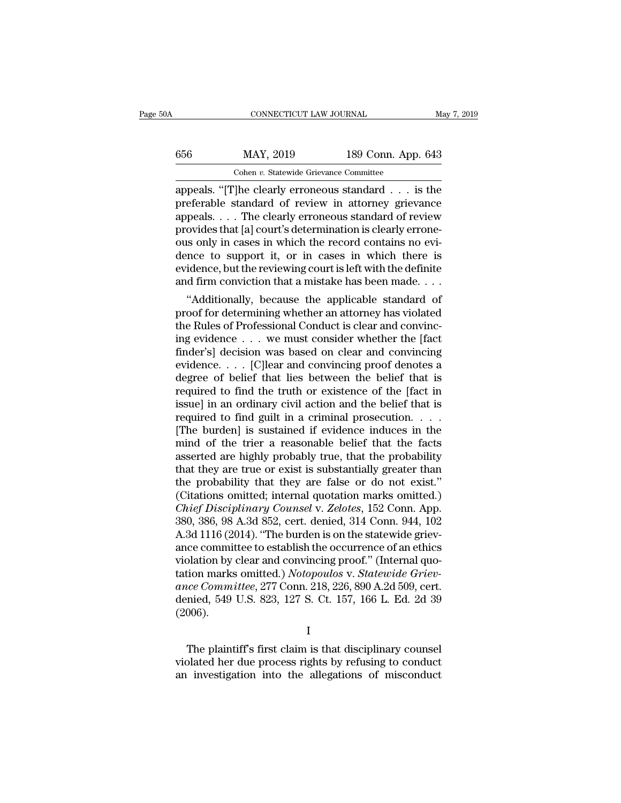| A   | CONNECTICUT LAW JOURNAL                 |                    | May 7, 2019 |
|-----|-----------------------------------------|--------------------|-------------|
| 656 | MAY, 2019                               | 189 Conn. App. 643 |             |
|     | Cohen v. Statewide Grievance Committee  |                    |             |
|     | appeals "The clearly erroneous standard |                    | is the      |

CONNECTICUT LAW JOURNAL May 7, 2019<br>
656 MAY, 2019 189 Conn. App. 643<br>
Cohen v. Statewide Grievance Committee<br>
appeals. "[T]he clearly erroneous standard . . . is the<br>
preferable standard of review in attorney grievance<br>
a MAY, 2019 189 Conn. App. 643<br>
Cohen v. Statewide Grievance Committee<br>
appeals. "[T]he clearly erroneous standard . . . is the<br>
preferable standard of review in attorney grievance<br>
appeals. . . . The clearly erroneous stand  $\begin{array}{c|c} \text{656} & \text{MAX, } 2019 & \text{189 Conn. App. 643} \\ \hline \text{Cohen } v. \text{ Statewide Grievance Committee} \\ \text{appeals. "[T]he clearly erroneous standard . . . is the preferable standard of review in attorney grievance} \\ \text{appeals. . . . The clearly erroneous standard of review provides that [a] court's determination is clearly erroneous only in cases in which the record contains no.} \end{array}$  $\frac{656}{\text{Cohen } v. \text{ Statewide Grievance Committee}}$ <br>  $\frac{\text{Cohen } v. \text{ Statewide Grievance Committee}}{\text{appeals.} \cdot \text{[T]he clearly erroneous standard . . . is the preferable standard of review in attorney grievance} \text{appeals. . . . The clearly erroneous standard of review provides that [a] court's determination is clearly erroneous only in cases in which the record contains no evidence to support it. or in cases in which there is$ Cohen v. Statewide Grievance Committee<br>
appeals. "[T]he clearly erroneous standard . . . is the<br>
preferable standard of review in attorney grievance<br>
appeals. . . . The clearly erroneous standard of review<br>
provides that Cohen v. Statewide Grievance Committee<br>appeals. "[T]he clearly erroneous standard  $\ldots$  is the<br>preferable standard of review in attorney grievance<br>appeals.  $\ldots$  The clearly erroneous standard of review<br>provides that [a] appeals. "[T]he clearly erroneous standard  $\ldots$  is the preferable standard of review in attorney grievance appeals.  $\ldots$ . The clearly erroneous standard of review provides that [a] court's determination is clearly erron preferable standard of review in attorney grievance<br>appeals.... The clearly erroneous standard of review<br>provides that [a] court's determination is clearly errone-<br>ous only in cases in which the record contains no evi-<br>den peais. . . . . The clearly erroneous standard of review<br>ovides that [a] court's determination is clearly errone-<br>is only in cases in which the record contains no evi-<br>nce to support it, or in cases in which there is<br>idence provides that [a] court s determination is clearly errone-<br>ous only in cases in which the record contains no evi-<br>dence to support it, or in cases in which there is<br>evidence, but the reviewing court is left with the defini

ous only in cases in which the record contains no evidence to support it, or in cases in which there is evidence, but the reviewing court is left with the definite and firm conviction that a mistake has been made....<br>"Addi dence to support it, or in cases in which there is<br>evidence, but the reviewing court is left with the definite<br>and firm conviction that a mistake has been made....<br>"Additionally, because the applicable standard of<br>proof fo evidence, but the reviewing court is left with the definite<br>and firm conviction that a mistake has been made....<br>"Additionally, because the applicable standard of<br>proof for determining whether an attorney has violated<br>the and firm conviction that a mistake has been made....<br>
"Additionally, because the applicable standard of<br>
proof for determining whether an attorney has violated<br>
the Rules of Professional Conduct is clear and convinci-<br>
in "Additionally, because the applicable standard of<br>proof for determining whether an attorney has violated<br>the Rules of Professional Conduct is clear and convinc-<br>ing evidence  $\dots$  we must consider whether the [fact<br>finder' proof for determining whether an attorney has violated<br>the Rules of Professional Conduct is clear and convinc-<br>ing evidence  $\ldots$  we must consider whether the [fact<br>finder's] decision was based on clear and convincing<br>evi the Rules of Professional Conduct is clear and convincing evidence  $\ldots$  we must consider whether the [fact finder's] decision was based on clear and convincing evidence.  $\ldots$  [C]lear and convincing proof denotes a degre ing evidence  $\ldots$  we must consider whether the [fact finder's] decision was based on clear and convincing evidence.  $\ldots$  [C]lear and convincing proof denotes a degree of belief that lies between the belief that is requi finder's] decision was based on clear and convincing<br>evidence. . . . [C]lear and convincing proof denotes a<br>degree of belief that lies between the belief that is<br>required to find the truth or existence of the [fact in<br>iss evidence. . . . [C]<br>lear and convincing proof denotes a degree of belief that lies between the belief that is<br>required to find the truth or existence of the [fact in<br>issue] in an ordinary civil action and the belief that degree of belief that lies between the belief that is<br>required to find the truth or existence of the [fact in<br>issue] in an ordinary civil action and the belief that is<br>required to find guilt in a criminal prosecution. . . required to find the truth or existence of the [fact in issue] in an ordinary civil action and the belief that is required to find guilt in a criminal prosecution.  $\dots$  [The burden] is sustained if evidence induces in the issue] in an ordinary civil action and the belief that is<br>required to find guilt in a criminal prosecution. . . .<br>The burden] is sustained if evidence induces in the<br>mind of the trier a reasonable belief that the facts<br>as (Citations omitted; internal quotation marks omitted.) [The burden] is sustained if evidence induces in the<br>mind of the trier a reasonable belief that the facts<br>asserted are highly probably true, that the probability<br>that they are true or exist is substantially greater than<br>th mind of the trier a reasonable belief that the facts<br>asserted are highly probably true, that the probability<br>that they are true or exist is substantially greater than<br>the probability that they are false or do not exist."<br>( asserted are highly probably true, that the probability<br>that they are true or exist is substantially greater than<br>the probability that they are false or do not exist."<br>(Citations omitted; internal quotation marks omitted.) that they are true or exist is substantially greater than<br>the probability that they are false or do not exist."<br>(Citations omitted; internal quotation marks omitted.)<br>*Chief Disciplinary Counsel* v. *Zelotes*, 152 Conn. Ap the probability that they are false or do not exist."<br>(Citations omitted; internal quotation marks omitted.)<br>*Chief Disciplinary Counsel* v. *Zelotes*, 152 Conn. App.<br>380, 386, 98 A.3d 852, cert. denied, 314 Conn. 944, 102 (Citations omitted; internal quotation marks omitted.)<br> *Chief Disciplinary Counsel* v. *Zelotes*, 152 Conn. App.<br>
380, 386, 98 A.3d 852, cert. denied, 314 Conn. 944, 102<br>
A.3d 1116 (2014). "The burden is on the statewide *Chief Disciplinary Counsel v. Zelotes*, 152 Conn. App. 380, 386, 98 A.3d 852, cert. denied, 314 Conn. 944, 102 A.3d 1116 (2014). "The burden is on the statewide grievance committee to establish the occurrence of an ethics 380, 386, 98 A.3d 852, cert. denied, 314 Conn. 944, 102<br>A.3d 1116 (2014). "The burden is on the statewide griev-<br>ance committee to establish the occurrence of an ethics<br>violation by clear and convincing proof." (Internal q (2006). The plaintiff's first claim is that disciplinary counsel planetistics.<br>The plaintiff's first claim is that disciplinary counsel<br>Diated her due process rights by refusing to conduct<br>investigation into the allegations of mis ance Committee, 277 Conn. 218, 226, 890 A.2d 509, cert.<br>denied, 549 U.S. 823, 127 S. Ct. 157, 166 L. Ed. 2d 39<br>(2006).<br>I<br>The plaintiff's first claim is that disciplinary counsel<br>violated her due process rights by refusing

I

denied, 549 U.S. 823, 127 S. Ct. 157, 166 L. Ed. 2d 39 (2006).<br>  $I$ <br>
The plaintiff's first claim is that disciplinary counsel violated her due process rights by refusing to conduct an investigation into the allegations of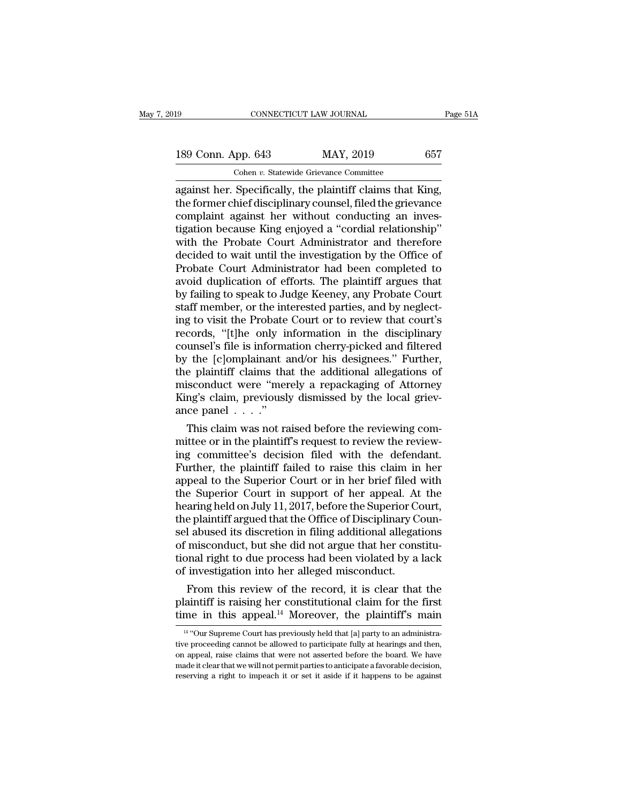189 CONNECTICUT LAW JOURNAL Page 51A<br>
189 Conn. App. 643 MAY, 2019 657<br>
Cohen v. Statewide Grievance Committee Cohen *v.* Statewide Grievance Committee

connectricut LAW JOURNAL Page!<br>
189 Conn. App. 643 MAY, 2019 657<br>
Cohen v. Statewide Grievance Committee<br>
against her. Specifically, the plaintiff claims that King,<br>
the former chief disciplinary counsel, filed the grievan 189 Conn. App. 643 MAY, 2019 657<br>
Cohen v. Statewide Grievance Committee<br>
against her. Specifically, the plaintiff claims that King,<br>
the former chief disciplinary counsel, filed the grievance<br>
complaint against her withou 189 Conn. App. 643 MAY, 2019 657<br>
Cohen v. Statewide Grievance Committee<br>
against her. Specifically, the plaintiff claims that King,<br>
the former chief disciplinary counsel, filed the grievance<br>
complaint against her witho 189 Conn. App. 643 MAY, 2019 657<br>
Cohen *v*. Statewide Grievance Committee<br>
against her. Specifically, the plaintiff claims that King,<br>
the former chief disciplinary counsel, filed the grievance<br>
complaint against her wit Colen v. Statewide Grievance Committee<br>
against her. Specifically, the plaintiff claims that King,<br>
the former chief disciplinary counsel, filed the grievance<br>
complaint against her without conducting an inves-<br>
tigation Cohen *v*. Statewide Grievance Committee<br>against her. Specifically, the plaintiff claims that King,<br>the former chief disciplinary counsel, filed the grievance<br>complaint against her without conducting an inves-<br>tigation be against her. Specifically, the plaintiff claims that King,<br>the former chief disciplinary counsel, filed the grievance<br>complaint against her without conducting an inves-<br>tigation because King enjoyed a "cordial relationship the former chief disciplinary counsel, filed the grievance<br>complaint against her without conducting an inves-<br>tigation because King enjoyed a "cordial relationship"<br>with the Probate Court Administrator and therefore<br>decide complaint against her without conducting an investigation because King enjoyed a "cordial relationship"<br>with the Probate Court Administrator and therefore<br>decided to wait until the investigation by the Office of<br>Probate Co tigation because King enjoyed a "cordial relationship"<br>with the Probate Court Administrator and therefore<br>decided to wait until the investigation by the Office of<br>Probate Court Administrator had been completed to<br>avoid dup with the Probate Court Administrator and therefore<br>decided to wait until the investigation by the Office of<br>Probate Court Administrator had been completed to<br>avoid duplication of efforts. The plaintiff argues that<br>by faili decided to wait until the investigation by the Office of<br>Probate Court Administrator had been completed to<br>avoid duplication of efforts. The plaintiff argues that<br>by failing to speak to Judge Keeney, any Probate Court<br>staf Probate Court Administrator had been completed to<br>avoid duplication of efforts. The plaintiff argues that<br>by failing to speak to Judge Keeney, any Probate Court<br>staff member, or the interested parties, and by neglect-<br>ing avoid duplication of efforts. The plaintiff argues that<br>by failing to speak to Judge Keeney, any Probate Court<br>staff member, or the interested parties, and by neglect-<br>ing to visit the Probate Court or to review that court by failing to speak to Judge Keeney, any Probate Court<br>staff member, or the interested parties, and by neglect-<br>ing to visit the Probate Court or to review that court's<br>records, "[t]he only information in the disciplinary<br> staff member, or the interested parties, and by neglect-<br>ing to visit the Probate Court or to review that court's<br>records, "[t]he only information in the disciplinary<br>counsel's file is information cherry-picked and filtere ing to visit the Probate Court or to review that court's records, "[t]he only information in the disciplinary counsel's file is information cherry-picked and filtered by the [c]omplainant and/or his designees." Further, t records, "[t]he only in<br>counsel's file is informa<br>by the [c]omplainant a<br>the plaintiff claims tha<br>misconduct were "mer<br>King's claim, previousl<br>ance panel . . . ."<br>This claim was not ra unset's file is information cherry-picked and filtered<br>  $\alpha$  the [c]omplainant and/or his designees." Further,<br>  $\alpha$  plaintiff claims that the additional allegations of<br>
isconduct were "merely a repackaging of Attorney<br> by the [c]omplamant and/or his designees." Further,<br>the plaintiff claims that the additional allegations of<br>misconduct were "merely a repackaging of Attorney<br>King's claim, previously dismissed by the local griev-<br>ance pane

the plaintiff claims that the additional allegations of<br>misconduct were "merely a repackaging of Attorney<br>King's claim, previously dismissed by the local griev-<br>ance panel . . . ."<br>This claim was not raised before the revi misconduct were "merely a repackaging of Attorney<br>King's claim, previously dismissed by the local griev-<br>ance panel  $\ldots$ ."<br>This claim was not raised before the reviewing com-<br>mittee or in the plaintiff's request to revie King's claim, previously dismissed by the local grievance panel  $\ldots$ ."<br>This claim was not raised before the reviewing committee or in the plaintiff's request to review the reviewing committee's decision filed with the de ance panel  $\ldots$ .<br>
This claim was not raised before the reviewing committee or in the plaintiff's request to review the reviewing committee's decision filed with the defendant.<br>
Further, the plaintiff failed to raise this This claim was not raised before the reviewing committee or in the plaintiff's request to review the reviewing committee's decision filed with the defendant.<br>Further, the plaintiff failed to raise this claim in her appeal mittee or in the plaintiff's request to review the reviewing committee's decision filed with the defendant.<br>Further, the plaintiff failed to raise this claim in her appeal to the Superior Court or in her brief filed with<br>t ing committee's decision filed with the defendant.<br>Further, the plaintiff failed to raise this claim in her<br>appeal to the Superior Court or in her brief filed with<br>the Superior Court in support of her appeal. At the<br>hearin Further, the plaintiff failed to raise this claim in her<br>appeal to the Superior Court or in her brief filed with<br>the Superior Court in support of her appeal. At the<br>hearing held on July 11, 2017, before the Superior Court, appeal to the Superior Court or in her brief filed with<br>the Superior Court in support of her appeal. At the<br>hearing held on July 11, 2017, before the Superior Court,<br>the plaintiff argued that the Office of Disciplinary Cou the Superior Court in support of her appeal. At<br>hearing held on July 11, 2017, before the Superior Co<br>the plaintiff argued that the Office of Disciplinary C<br>sel abused its discretion in filing additional allegat<br>of miscond aring neid on July 11, 2017, before the superior Court,<br>e plaintiff argued that the Office of Disciplinary Coun-<br>l abused its discretion in filing additional allegations<br>misconduct, but she did not argue that her constituthe plaintiff argued that the Office of Disciplinary Counsel abused its discretion in filing additional allegations<br>of misconduct, but she did not argue that her constitu-<br>tional right to due process had been violated by a set abused its discretion in filing additional allegations<br>of misconduct, but she did not argue that her constitu-<br>tional right to due process had been violated by a lack<br>of investigation into her alleged misconduct.<br>From

From this review of the record, it is clear that the laintiff is raising her constitutional claim for the first me in this appeal.<sup>14</sup> Moreover, the plaintiff's main <sup>14</sup> "Our Supreme Court has previously held that [a] par From this review of the record, it is clear that the plaintiff is raising her constitutional claim for the first time in this appeal.<sup>14</sup> Moreover, the plaintiff's main  $\frac{14 \text{``Our Supreme Court has previously held that [a] party to an administrative proceeding cannot be allowed to participate fully at hearings and then, on appeal, raise claims that were not asserted before the board. We have$ 

plaintiff is raising her constitutional claim for the first<br>time in this appeal.<sup>14</sup> Moreover, the plaintiff's main<br> $\frac{14}{14}$ "Our Supreme Court has previously held that [a] party to an administra-<br>tive proceeding cannot time in this appeal.<sup>14</sup> Moreover, the plaintiff's main  $\frac{14}{4}$  "Our Supreme Court has previously held that [a] party to an administrative proceeding cannot be allowed to participate fully at hearings and then, on appe <sup>14</sup> "Our Supreme Court has previously held that [a] party to an administrative proceeding cannot be allowed to participate fully at hearings and then, on appeal, raise claims that were not asserted before the board. We h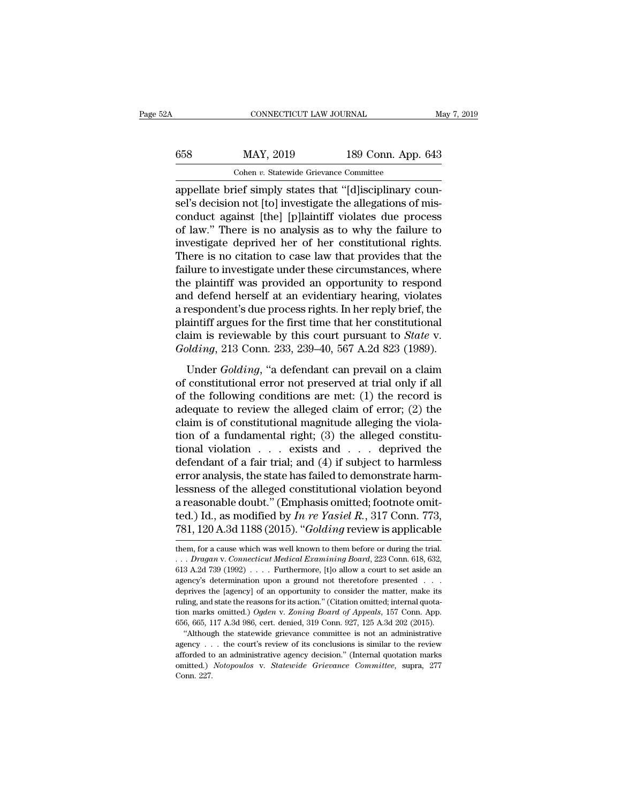|     | CONNECTICUT LAW JOURNAL                                  |                    | May 7, 2019 |
|-----|----------------------------------------------------------|--------------------|-------------|
| 658 | MAY, 2019                                                | 189 Conn. App. 643 |             |
|     | Cohen v. Statewide Grievance Committee                   |                    |             |
|     | appellate brief simply states that "Idlisciplinary coun- |                    |             |

CONNECTICUT LAW JOURNAL<br>
CONNECTICUT LAW JOURNAL<br>
Cohen v. Statewide Grievance Committee<br>
appellate brief simply states that "[d]isciplinary coun-<br>
sel's decision not [to] investigate the allegations of mis-<br>
conduct again Seltingthe MAY, 2019 189 Conn. App. 643<br>
Schen v. Statewide Grievance Committee<br>
appellate brief simply states that "[d] isciplinary counsel's decision not [to] investigate the allegations of mis-<br>
conduct against [the] [p 658 MAY, 2019 189 Conn. App. 643<br>
Cohen v. Statewide Grievance Committee<br>
appellate brief simply states that "[d] isciplinary counsel's decision not [to] investigate the allegations of mis-<br>
conduct against [the] [p] lain 658 MAY, 2019 189 Conn. App. 643<br>
Cohen *v*. Statewide Grievance Committee<br>
appellate brief simply states that "[d]isciplinary coun-<br>
sel's decision not [to] investigate the allegations of mis-<br>
conduct against [the] [p]l Cohen *v*. Statewide Grievance Committee<br>appellate brief simply states that "[d]isciplinary coun-<br>sel's decision not [to] investigate the allegations of mis-<br>conduct against [the] [p]laintiff violates due process<br>of law." Cohen *v*. Statewide Grievance Committee<br>appellate brief simply states that "[d]isciplinary coun-<br>sel's decision not [to] investigate the allegations of mis-<br>conduct against [the] [p]laintiff violates due process<br>of law." appellate brief simply states that "[d]isciplinary counsel's decision not [to] investigate the allegations of misconduct against [the] [p]laintiff violates due process of law." There is no analysis as to why the failure to sel's decision not [to] investigate the allegations of mis-<br>conduct against [the] [p]laintiff violates due process<br>of law." There is no analysis as to why the failure to<br>investigate deprived her of her constitutional right conduct against [the] [p]laintiff violates due process<br>of law." There is no analysis as to why the failure to<br>investigate deprived her of her constitutional rights.<br>There is no citation to case law that provides that the<br>f of law." There is no analysis as to why the failure to<br>investigate deprived her of her constitutional rights.<br>There is no citation to case law that provides that the<br>failure to investigate under these circumstances, where<br> investigate deprived her of her constitutional rights.<br>There is no citation to case law that provides that the<br>failure to investigate under these circumstances, where<br>the plaintiff was provided an opportunity to respond<br>a There is no citation to case law that provides that the failure to investigate under these circumstances, where the plaintiff was provided an opportunity to respond and defend herself at an evidentiary hearing, violates a failure to investigate under these circumstances, where<br>the plaintiff was provided an opportunity to respond<br>and defend herself at an evidentiary hearing, violates<br>a respondent's due process rights. In her reply brief, the d defend herself at an evidentiary hearing, violates<br>respondent's due process rights. In her reply brief, the<br>aintiff argues for the first time that her constitutional<br>aim is reviewable by this court pursuant to *State* v. and deterat herself de alle extendary healing, visitates<br>a respondent's due process rights. In her reply brief, the<br>plaintiff argues for the first time that her constitutional<br>claim is reviewable by this court pursuant to

plaintiff argues for the first time that her constitutional<br>claim is reviewable by this court pursuant to *State* v.<br>*Golding*, 213 Conn. 233, 239–40, 567 A.2d 823 (1989).<br>Under *Golding*, "a defendant can prevail on a cl claim is reviewable by this court pursuant to *State* v.<br> *Golding*, 213 Conn. 233, 239–40, 567 A.2d 823 (1989).<br>
Under *Golding*, "a defendant can prevail on a claim<br>
of constitutional error not preserved at trial only i Golding, 213 Conn. 233, 239–40, 567 A.2d 823 (1989).<br>
Under Golding, "a defendant can prevail on a claim<br>
of constitutional error not preserved at trial only if all<br>
of the following conditions are met: (1) the record is<br> Under *Golding*, "a defendant can prevail on a claim<br>of constitutional error not preserved at trial only if all<br>of the following conditions are met: (1) the record is<br>adequate to review the alleged claim of error; (2) the Under *Golding*, "a defendant can prevail on a claim<br>of constitutional error not preserved at trial only if all<br>of the following conditions are met: (1) the record is<br>adequate to review the alleged claim of error; (2) the of constitutional error not preserved at trial only if all<br>of the following conditions are met: (1) the record is<br>adequate to review the alleged claim of error; (2) the<br>claim is of constitutional magnitude alleging the vi % of the following conditions are met: (1) the record is<br>adequate to review the alleged claim of error; (2) the<br>claim is of constitutional magnitude alleging the viola-<br>tion of a fundamental right; (3) the alleged constit adequate to review the alleged claim of error; (2) the<br>claim is of constitutional magnitude alleging the viola-<br>tion of a fundamental right; (3) the alleged constitu-<br>tional violation  $\ldots$  exists and  $\ldots$  deprived the<br>d claim is of constitutional magnitude alleging the violation of a fundamental right; (3) the alleged constitutional violation . . . exists and . . . deprived the defendant of a fair trial; and (4) if subject to harmless er tion of a fundamental right; (3) the alleged constitutional violation  $\ldots$  exists and  $\ldots$  deprived the defendant of a fair trial; and (4) if subject to harmless error analysis, the state has failed to demonstrate harml tional violation . . . exists and . . . deprived the<br>defendant of a fair trial; and (4) if subject to harmless<br>error analysis, the state has failed to demonstrate harm-<br>lessness of the alleged constitutional violation beyo dessness of the alleged constitutional violation beyond<br>a reasonable doubt." (Emphasis omitted; footnote omit-<br>ted.) Id., as modified by *In re Yasiel R*., 317 Conn. 773,<br>781, 120 A.3d 1188 (2015). "Golding review is appl a reasonable doubt." (Emphasis omitted; footnote omitted.) Id., as modified by *In re Yasiel R.*, 317 Conn. 773, 781, 120 A.3d 1188 (2015). "*Golding* review is applicable them, for a cause which was well known to them bef

ted.) Id., as modified by In re Yasiel R., 317 Conn. 773,<br>781, 120 A.3d 1188 (2015). "*Golding* review is applicable<br>them, for a cause which was well known to them before or during the trial.<br>. . . Dragan v. Connecticut M 781, 120 A.3d 1188 (2015). "*Golding* review is applicable<br>them, for a cause which was well known to them before or during the trial.<br>... *Dragan* v. *Connecticut Medical Examining Board*, 223 Conn. 618, 632, 613 A.2d 739 dependence of a cause which was well known to them before or during the trial.<br>  $\ldots$  Dragan v. Connecticut Medical Examining Board, 223 Conn. 618, 632, 613 A.2d 739 (1992)  $\ldots$ . Furthermore, [t] o allow a court to set a them, for a cause which was well known to them before or during the trial.<br>
. . . Dragan v. Connecticut Medical Examining Board, 223 Conn. 618, 632, 613 A.2d 739 (1992) . . . . Furthermore, [t]o allow a court to set aside ... *Dragan v. Connecticut Medical Examining Board*, 223 Conn. 618, 632, 613 A.2d 739 (1992) . . . . Furthermore, [t]o allow a court to set aside an agency's determination upon a ground not theretofore presented . . . depr 666, 665, 117 A.3d 986, cert. denied, 319 Conn. 927, 125 A.3d 202 (2015).<br>
"Although the state wide privation was about to set aside an agency's determination upon a ground not theretofore presented . . . deprives the [ag ''Although the statewide grievance committee is not an administrative deprives the [agency] of an opportunity to consider the matter, make its ruling, and state the reasons for its action." (Citation omitted; internal quotation marks omitted.) Ogden v. Zoning Board of Appeals, 157 Conn. App

and the transform of the case of the and the cultum conduction marks omitted.) Ogden v. Zoning Board of Appeals, 157 Conn. App. 656, 665, 117 A.3d 986, cert. denied, 319 Conn. 927, 125 A.3d 202 (2015). "Although the state omitted.) *Ogden* v. *Zoning Board of Appeals*, 157 Conn. App. 656, 665, 117 A.3d 986, cert. denied, 319 Conn. 927, 125 A.3d 202 (2015).<br>
"Although the statewide grievance committee is not an administrative agency . . . th tion marks omitted.) Ogden v. Zoning Board of Appeals, 157 Conn. App. 656, 665, 117 A.3d 986, cert. denied, 319 Conn. 927, 125 A.3d 202 (2015). "Although the statewide grievance committee is not an administrative agency .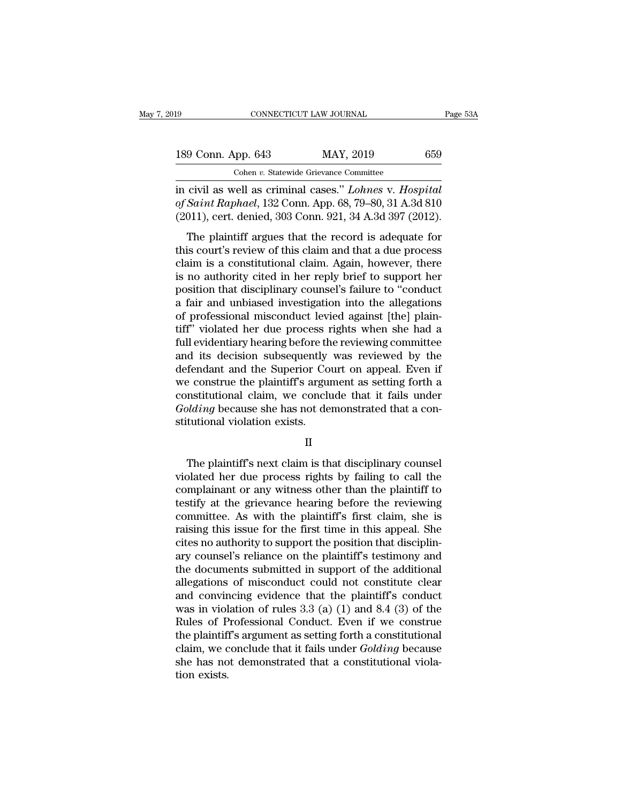| 19                 | CONNECTICUT LAW JOURNAL                               | Page 53A |
|--------------------|-------------------------------------------------------|----------|
| 189 Conn. App. 643 | MAY, 2019                                             | 659      |
|                    | Cohen v. Statewide Grievance Committee                |          |
|                    | in civil as well as criminal cases" Lohnes y Hospital |          |

Fage 5:<br>
189 Conn. App. 643 MAY, 2019 659<br>
Cohen v. Statewide Grievance Committee<br>
in civil as well as criminal cases.'' *Lohnes* v. *Hospital*<br>
of Saint Raphael, 132 Conn. App. 68, 79–80, 31 A.3d 810<br>
(2011) cart donied 3 **189 Conn. App. 643** MAY, 2019 659<br>
Cohen v. Statewide Grievance Committee<br>
in civil as well as criminal cases." *Lohnes* v. *Hospital*<br> *of Saint Raphael*, 132 Conn. App. 68, 79–80, 31 A.3d 810<br>
(2011), cert. denied, 303 189 Conn. App. 643 MAY, 2019 659<br>
Cohen v. Statewide Grievance Committee<br>
in civil as well as criminal cases." *Lohnes* v. Hospital<br>
of Saint Raphael, 132 Conn. App. 68, 79–80, 31 A.3d 810<br>
(2011), cert. denied, 303 Conn. 9 Conn. App. 643 MAY, 2019 659<br>
Cohen v. Statewide Grievance Committee<br>
civil as well as criminal cases." *Lohnes* v. Hospital<br>
Saint Raphael, 132 Conn. App. 68, 79–80, 31 A.3d 810<br>
011), cert. denied, 303 Conn. 921, 34 A

Cohen v. Statewide Grievance Committee<br>
in civil as well as criminal cases." Lohnes v. Hospital<br>
of Saint Raphael, 132 Conn. App. 68, 79–80, 31 A.3d 810<br>
(2011), cert. denied, 303 Conn. 921, 34 A.3d 397 (2012).<br>
The plain in civil as well as criminal cases." *Lohnes v. Hospital*<br>of *Saint Raphael*, 132 Conn. App. 68, 79–80, 31 A.3d 810<br>(2011), cert. denied, 303 Conn. 921, 34 A.3d 397 (2012).<br>The plaintiff argues that the record is adequate is no authority cited in her reply brief to support and that disciplinary counts in the plaintiff argues that the record is adequate for this court's review of this claim and that a due process claim is a constitutional cl (2011), cert. denied, 303 Conn. 1<sub>2</sub>pp. 05, 19 65, 91 K.3d 616<br>(2011), cert. denied, 303 Conn. 921, 34 A.3d 397 (2012).<br>The plaintiff argues that the record is adequate for<br>this court's review of this claim and that a due (2011), een tucked, 000 Contributed is adequate for this court's review of this claim and that a due process claim is a constitutional claim. Again, however, there is no authority cited in her reply brief to support her p The plaintiff argues that the record is adequate for<br>this court's review of this claim and that a due process<br>claim is a constitutional claim. Again, however, there<br>is no authority cited in her reply brief to support her<br>p this court's review of this claim and that a due process<br>claim is a constitutional claim. Again, however, there<br>is no authority cited in her reply brief to support her<br>position that disciplinary counsel's failure to "condu claim is a constitutional claim. Again, however, there<br>is no authority cited in her reply brief to support her<br>position that disciplinary counsel's failure to "conduct<br>a fair and unbiased investigation into the allegations is no authority cited in her reply brief to support her<br>position that disciplinary counsel's failure to "conduct<br>a fair and unbiased investigation into the allegations<br>of professional misconduct levied against [the] plainposition that disciplinary counsel's failure to "conduct<br>a fair and unbiased investigation into the allegations<br>of professional misconduct levied against [the] plain-<br>tiff" violated her due process rights when she had a<br>fu a fair and unbiased investigation into the allegations<br>of professional misconduct levied against [the] plain-<br>tiff'' violated her due process rights when she had a<br>full evidentiary hearing before the reviewing committee<br>an of professional misconduct levied against [the] plain-<br>tiff" violated her due process rights when she had a<br>full evidentiary hearing before the reviewing committee<br>and its decision subsequently was reviewed by the<br>defendan tiff" violated her due process rights when she had a full evidentiary hearing before the reviewing committee and its decision subsequently was reviewed by the defendant and the Superior Court on appeal. Even if we construe full evidentiary hearing before th<br>and its decision subsequently<br>defendant and the Superior Co<br>we construe the plaintiff's argu<br>constitutional claim, we conclu<br>*Golding* because she has not de<br>stitutional violation exists. Expective the plaintiff's argument as setting forth a<br>
institutional claim, we conclude that it fails under<br> *plding* because she has not demonstrated that a con-<br>
tutional violation exists.<br>
II<br>
The plaintiff's next claim

# II

constitutional claim, we conclude that it fails under<br> *Golding* because she has not demonstrated that a constitutional violation exists.<br>
II<br>
The plaintiff's next claim is that disciplinary counsel<br>
violated her due proce  $Golding$  because she has not demonstrated that a constitutional violation exists.<br>  $II$ <br>
The plaintiff's next claim is that disciplinary counsel<br>
violated her due process rights by failing to call the<br>
complainant or any witne stitutional violation exists.<br>
II<br>
The plaintiff's next claim is that disciplinary counsel<br>
violated her due process rights by failing to call the<br>
complainant or any witness other than the plaintiff to<br>
testify at the gri II<br>In The plaintiff's next claim is that disciplinary counsel<br>violated her due process rights by failing to call the<br>complainant or any witness other than the plaintiff to<br>testify at the grievance hearing before the review The plaintiff's next claim is that disciplinary counsel<br>violated her due process rights by failing to call the<br>complainant or any witness other than the plaintiff to<br>testify at the grievance hearing before the reviewing<br>co The plaintiff's next claim is that disciplinary counsel violated her due process rights by failing to call the complainant or any witness other than the plaintiff to testify at the grievance hearing before the reviewing co violated her due process rights by failing to call the complainant or any witness other than the plaintiff to testify at the grievance hearing before the reviewing committee. As with the plaintiff's first claim, she is rai complainant or any witness other than the plaintiff to<br>testify at the grievance hearing before the reviewing<br>committee. As with the plaintiff's first claim, she is<br>raising this issue for the first time in this appeal. She<br> testify at the grievance hearing before the reviewing<br>committee. As with the plaintiff's first claim, she is<br>raising this issue for the first time in this appeal. She<br>cites no authority to support the position that discip committee. As with the plaintiff's first claim, she is<br>raising this issue for the first time in this appeal. She<br>cites no authority to support the position that disciplin-<br>ary counsel's reliance on the plaintiff's testimon raising this issue for the first time in this appeal. She<br>cites no authority to support the position that disciplin-<br>ary counsel's reliance on the plaintiff's testimony and<br>the documents submitted in support of the additio cites no authority to support the position that disciplinary counsel's reliance on the plaintiff's testimony and<br>the documents submitted in support of the additional<br>allegations of misconduct could not constitute clear<br>and ary counsel's reliance on the plaintiff's testimony and<br>the documents submitted in support of the additional<br>allegations of misconduct could not constitute clear<br>and convincing evidence that the plaintiff's conduct<br>was in the documents submitted in support of the additional<br>allegations of misconduct could not constitute clear<br>and convincing evidence that the plaintiff's conduct<br>was in violation of rules 3.3 (a) (1) and 8.4 (3) of the<br>Rules allegations of misconduct could not constitute clear<br>and convincing evidence that the plaintiff's conduct<br>was in violation of rules  $3.3$  (a) (1) and  $8.4$  (3) of the<br>Rules of Professional Conduct. Even if we construe<br>the and convir<br>was in viol<br>Rules of P<br>the plaintif<br>claim, we c<br>she has no<br>tion exists.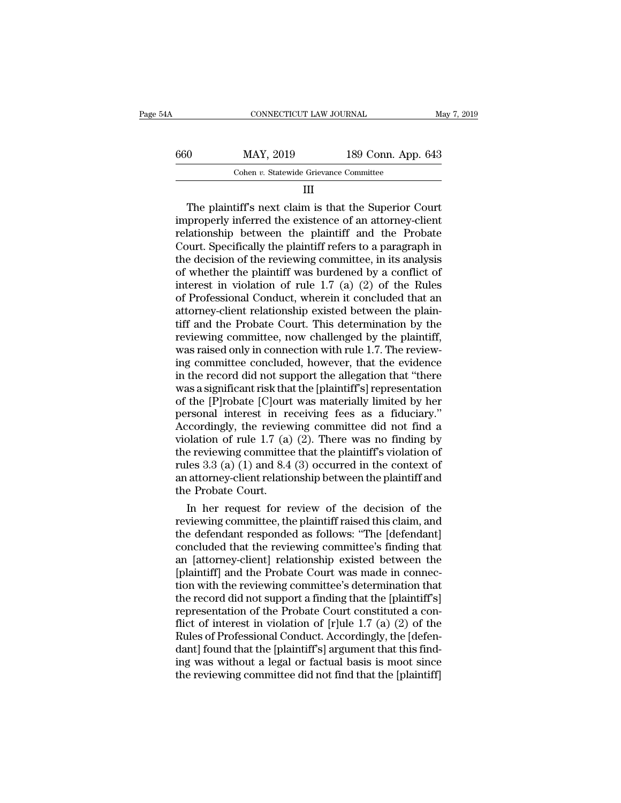| 660 | MAY, 2019               | 189 Conn. App. 643 |             |
|-----|-------------------------|--------------------|-------------|
|     |                         |                    |             |
| 54A | CONNECTICUT LAW JOURNAL |                    | May 7, 2019 |

# III

 $\begin{array}{r} \text{MAX, 2019} \\ \text{Cohen } v. \text{ Statewide Grievance Committee} \end{array}$ <br>  $\begin{array}{r} \text{The plaintiff's next claim is that the Superior Court properly inferred the existence of an attempt-client lations, between the plaintiff and the Problem \end{array}$  $\begin{array}{r} \text{660} & \text{MAX, } 2019 & 189 \text{ Conn. App. 643} \\ \hline \text{Cohen } v. \text{ Statewide Grievance Committee} & \text{III} \\ \text{III} & \text{The plaintiff's next claim is that the Superior Court} \\ \text{improperly inferred the existence of an attempt-client relationship between the plaintiff and the Probate} \\ \text{Court Snocifically the plaintiff refers to a paragraph in} \end{array}$ For  $\frac{189 \text{ Conn. App. } 643}{\text{Cohen } v. \text{ Statewide Grievance Committee}}$ <br>
III<br>
The plaintiff's next claim is that the Superior Court<br>
improperly inferred the existence of an attorney-client<br>
relationship between the plaintiff and the Probate<br>
Court. Cohen v. Statewide Grievance Committee<br>
III<br>
The plaintiff's next claim is that the Superior Court<br>
improperly inferred the existence of an attorney-client<br>
relationship between the plaintiff and the Probate<br>
Court. Speci The plaintiff's next claim is that the Superior Court<br>improperly inferred the existence of an attorney-client<br>relationship between the plaintiff and the Probate<br>Court. Specifically the plaintiff refers to a paragraph in<br>t III<br>The plaintiff's next claim is that the Superior Court<br>improperly inferred the existence of an attorney-client<br>relationship between the plaintiff and the Probate<br>Court. Specifically the plaintiff refers to a paragraph i The plaintiff's next claim is that the Superior Court<br>improperly inferred the existence of an attorney-client<br>relationship between the plaintiff and the Probate<br>Court. Specifically the plaintiff refers to a paragraph in<br>th improperly inferred the existence of an attorney-client<br>relationship between the plaintiff and the Probate<br>Court. Specifically the plaintiff refers to a paragraph in<br>the decision of the reviewing committee, in its analysis relationship between the plaintiff and the Probate<br>Court. Specifically the plaintiff refers to a paragraph in<br>the decision of the reviewing committee, in its analysis<br>of whether the plaintiff was burdened by a conflict of<br> Court. Specifically the plaintiff refers to a paragraph in<br>the decision of the reviewing committee, in its analysis<br>of whether the plaintiff was burdened by a conflict of<br>interest in violation of rule  $1.7$  (a) (2) of the the decision of the reviewing committee, in its analysis<br>of whether the plaintiff was burdened by a conflict of<br>interest in violation of rule 1.7 (a) (2) of the Rules<br>of Professional Conduct, wherein it concluded that an<br>a of whether the plaintiff was burdened by a conflict of<br>interest in violation of rule 1.7 (a) (2) of the Rules<br>of Professional Conduct, wherein it concluded that an<br>attorney-client relationship existed between the plain-<br>ti interest in violation of rule 1.7 (a) (2) of the Rules<br>of Professional Conduct, wherein it concluded that an<br>attorney-client relationship existed between the plain-<br>tiff and the Probate Court. This determination by the<br>rev of Professional Conduct, wherein it concluded that an attorney-client relationship existed between the plaintiff and the Probate Court. This determination by the reviewing committee, now challenged by the plaintiff, was ra attorney-client relationship existed between the plain-<br>tiff and the Probate Court. This determination by the<br>reviewing committee, now challenged by the plaintiff,<br>was raised only in connection with rule 1.7. The review-<br>i tiff and the Probate Court. This determination by the reviewing committee, now challenged by the plaintiff, was raised only in connection with rule 1.7. The reviewing committee concluded, however, that the evidence in the reviewing committee, now challenged by the plaintiff,<br>was raised only in connection with rule 1.7. The review-<br>ing committee concluded, however, that the evidence<br>in the record did not support the allegation that "there<br>w was raised only in connection with rule 1.7. The reviewing committee concluded, however, that the evidence<br>in the record did not support the allegation that "there<br>was a significant risk that the [plaintiff's] representati ing committee concluded, however, that the evidence<br>in the record did not support the allegation that "there<br>was a significant risk that the [plaintiff's] representation<br>of the [P]robate [C]ourt was materially limited by in the record did not support the allegation that "there<br>was a significant risk that the [plaintiff's] representation<br>of the [P]robate [C]ourt was materially limited by her<br>personal interest in receiving fees as a fiduciar was a significant risk that the [plaintiff's] representation<br>of the [P]robate [C]ourt was materially limited by her<br>personal interest in receiving fees as a fiduciary."<br>Accordingly, the reviewing committee did not find a<br>v of the [P]robate [C]ourt was materially limited by her<br>personal interest in receiving fees as a fiduciary."<br>Accordingly, the reviewing committee did not find a<br>violation of rule 1.7 (a) (2). There was no finding by<br>the rev personal interest in re<br>Accordingly, the review<br>violation of rule 1.7 (a)<br>the reviewing committee<br>rules 3.3 (a) (1) and 8.4<br>an attorney-client relation<br>the Probate Court.<br>In her request for r coordingly, the reviewing committee did not find a<br>plation of rule 1.7 (a) (2). There was no finding by<br>e reviewing committee that the plaintiff's violation of<br>les 3.3 (a) (1) and 8.4 (3) occurred in the context of<br>attorne violation of rule 1.7 (a) (2). There was no finding by<br>the reviewing committee that the plaintiff's violation of<br>rules 3.3 (a) (1) and 8.4 (3) occurred in the context of<br>an attorney-client relationship between the plaintif

the reviewing committee that the plaintiff's violation of<br>rules 3.3 (a) (1) and 8.4 (3) occurred in the context of<br>an attorney-client relationship between the plaintiff and<br>the Probate Court.<br>In her request for review of t rules 3.3 (a) (1) and 8.4 (3) occurred in the context of<br>an attorney-client relationship between the plaintiff and<br>the Probate Court.<br>In her request for review of the decision of the<br>reviewing committee, the plaintiff rais an attorney-client relationship between the plaintiff and<br>the Probate Court.<br>In her request for review of the decision of the<br>reviewing committee, the plaintiff raised this claim, and<br>the defendant responded as follows: "T the Probate Court.<br>
In her request for review of the decision of the<br>
reviewing committee, the plaintiff raised this claim, and<br>
the defendant responded as follows: "The [defendant]<br>
concluded that the reviewing committee' In her request for review of the decision of the<br>reviewing committee, the plaintiff raised this claim, and<br>the defendant responded as follows: "The [defendant]<br>concluded that the reviewing committee's finding that<br>an [atto reviewing committee, the plaintiff raised this claim, and<br>the defendant responded as follows: "The [defendant]<br>concluded that the reviewing committee's finding that<br>an [attorney-client] relationship existed between the<br>[pl the defendant responded as follows: "The [defendant]<br>concluded that the reviewing committee's finding that<br>an [attorney-client] relationship existed between the<br>[plaintiff] and the Probate Court was made in connec-<br>tion wi concluded that the reviewing committee's finding that<br>an [attorney-client] relationship existed between the<br>[plaintiff] and the Probate Court was made in connec-<br>tion with the reviewing committee's determination that<br>the r an [attorney-client] relationship existed between the<br>[plaintiff] and the Probate Court was made in connec-<br>tion with the reviewing committee's determination that<br>the record did not support a finding that the [plaintiff's] [plaintiff] and the Probate Court was made in connection with the reviewing committee's determination that the record did not support a finding that the [plaintiff's] representation of the Probate Court constituted a confl tion with the reviewing committee's determination that<br>the record did not support a finding that the [plaintiff's]<br>representation of the Probate Court constituted a con-<br>flict of interest in violation of [r]ule 1.7 (a) (2) the record did not support a finding that the [plaintiff's]<br>representation of the Probate Court constituted a con-<br>flict of interest in violation of [r]ule 1.7 (a) (2) of the<br>Rules of Professional Conduct. Accordingly, the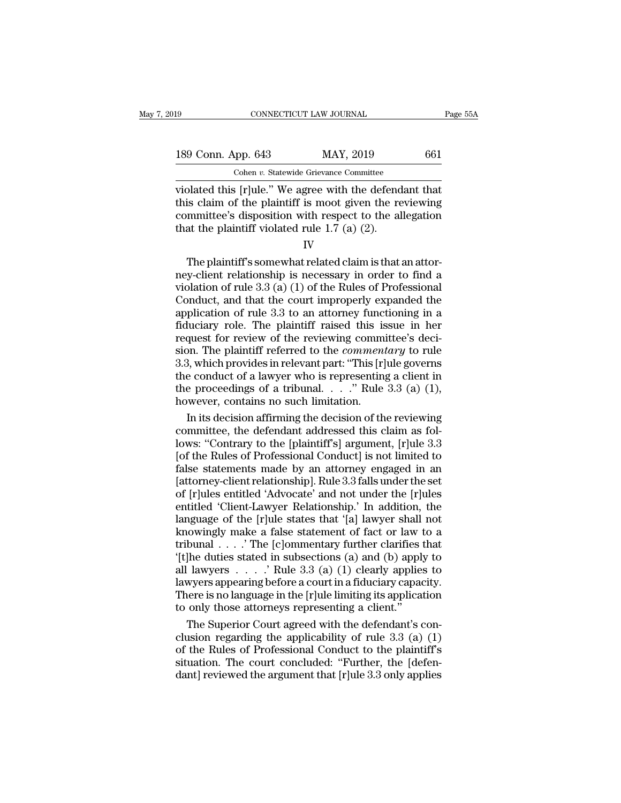| 19                 | CONNECTICUT LAW JOURNAL                                 | Page 55A |
|--------------------|---------------------------------------------------------|----------|
| 189 Conn. App. 643 | MAY, 2019                                               | 661      |
|                    | Cohen v. Statewide Grievance Committee                  |          |
|                    | violated this [rlule " We agree with the defendant that |          |

Equals to the state of the slow of the slogger of the slogger of the slogger of the plaintiff is moot given the reviewing<br>
this claim of the plaintiff is moot given the reviewing<br>
committee's disposition with respect to t 189 Conn. App. 643 MAY, 2019 661<br>Cohen v. Statewide Grievance Committee<br>violated this [r]ule." We agree with the defendant that<br>this claim of the plaintiff is moot given the reviewing<br>committee's disposition with respect t 189 Conn. App. 643 MAY, 2019 661<br>
Cohen v. Statewide Grievance Committee<br>
violated this [r]ule." We agree with the defendant that<br>
this claim of the plaintiff is moot given the reviewing<br>
committee's disposition with resp 189 Conn. App. 643 MAY, 2019<br>
Cohen v. Statewide Grievance Committee<br>
violated this [r]ule." We agree with the defend<br>
this claim of the plaintiff is moot given the re<br>
committee's disposition with respect to the al<br>
that plated this [r]ule." We agree with the defendant that<br>is claim of the plaintiff is moot given the reviewing<br>mmittee's disposition with respect to the allegation<br>at the plaintiff violated rule 1.7 (a) (2).<br>IV<br>The plaintiff

IV

violated this plane. We agree with the detendant that<br>this claim of the plaintiff is moot given the reviewing<br>committee's disposition with respect to the allegation<br>that the plaintiff violated rule 1.7 (a) (2).<br> $IV$ <br>The pl Fig. 2.1 of the plainting is moot given the reviewing<br>committee's disposition with respect to the allegation<br>that the plaintiff violated rule 1.7 (a) (2).<br> $IV$ <br>The plaintiff's somewhat related claim is that an attor-<br>ney-c Conducted Exposition with respect to the anegation<br>that the plaintiff violated rule 1.7 (a) (2).<br>IV<br>The plaintiff's somewhat related claim is that an attor-<br>ney-client relationship is necessary in order to find a<br>violatio IV<br>IV<br>IV<br>IT The plaintiff's somewhat related claim is that an attor-<br>ney-client relationship is necessary in order to find a<br>violation of rule 3.3 (a) (1) of the Rules of Professional<br>Conduct, and that the court improperl IV<br>The plaintiff's somewhat related claim is that an attor-<br>ney-client relationship is necessary in order to find a<br>violation of rule 3.3 (a) (1) of the Rules of Professional<br>Conduct, and that the court improperly expanded The plaintiff's somewhat related claim is that an attor-<br>ney-client relationship is necessary in order to find a<br>violation of rule 3.3 (a) (1) of the Rules of Professional<br>Conduct, and that the court improperly expanded t ney-client relationship is necessary in order to find a<br>violation of rule 3.3 (a) (1) of the Rules of Professional<br>Conduct, and that the court improperly expanded the<br>application of rule 3.3 to an attorney functioning in a violation of rule 3.3 (a) (1) of the Rules of Professional<br>Conduct, and that the court improperly expanded the<br>application of rule 3.3 to an attorney functioning in a<br>fiduciary role. The plaintiff raised this issue in her Conduct, and that the court improperly expanded the<br>application of rule 3.3 to an attorney functioning in a<br>fiduciary role. The plaintiff raised this issue in her<br>request for review of the reviewing committee's deci-<br>sion application of rule 3.3 to an attorney functioning in a fiduciary role. The plaintiff raised this issue in her request for review of the reviewing committee's decision. The plaintiff referred to the *commentary* to rule 3 fiduciary role. The plaintiff raised this is<br>request for review of the reviewing commi<br>sion. The plaintiff referred to the *comment*<br>3.3, which provides in relevant part: "This  $[r]$ <br>the conduct of a lawyer who is represen quest for review of the reviewing committee's deci-<br>on. The plaintiff referred to the *commentary* to rule<br>3, which provides in relevant part: "This [r]ule governs<br>e conduct of a lawyer who is representing a client in<br>e pr sion. The plaintiff referred to the *commentary* to rule 3.3, which provides in relevant part: "This [r]ule governs the conduct of a lawyer who is representing a client in the proceedings of a tribunal.  $\ldots$  " Rule 3.3 (

3.3, which provides in relevant part: "This [r]ule governs<br>the conduct of a lawyer who is representing a client in<br>the proceedings of a tribunal.  $\ldots$ ." Rule 3.3 (a) (1),<br>however, contains no such limitation.<br>In its deci the conduct of a lawyer who is representing a client in<br>the proceedings of a tribunal.  $\ldots$ " Rule 3.3 (a) (1),<br>however, contains no such limitation.<br>In its decision affirming the decision of the reviewing<br>committee, the the proceedings of a tribunal. . . ." Rule 3.3 (a) (1),<br>however, contains no such limitation.<br>In its decision affirming the decision of the reviewing<br>committee, the defendant addressed this claim as fol-<br>lows: "Contrary t however, contains no such limitation.<br>
In its decision affirming the decision of the reviewing<br>
committee, the defendant addressed this claim as fol-<br>
lows: "Contrary to the [plaintiff's] argument, [r]ule 3.3<br>
[of the Rule In its decision affirming the decision of the reviewing<br>committee, the defendant addressed this claim as fol-<br>lows: "Contrary to the [plaintiff's] argument, [r]ule 3.3<br>[of the Rules of Professional Conduct] is not limited committee, the defendant addressed this claim as fol-<br>lows: "Contrary to the [plaintiff's] argument, [r]ule 3.3<br>[of the Rules of Professional Conduct] is not limited to<br>false statements made by an attorney engaged in an<br>[a lows: "Contrary to the [plaintiff's] argument, [r]ule 3.3<br>[of the Rules of Professional Conduct] is not limited to<br>false statements made by an attorney engaged in an<br>[attorney-client relationship]. Rule 3.3 falls under the [of the Rules of Professional Conduct] is not limited to<br>false statements made by an attorney engaged in an<br>[attorney-client relationship]. Rule 3.3 falls under the set<br>of [r]ules entitled 'Advocate' and not under the [r] false statements made by an attorney engaged in an [attorney-client relationship]. Rule 3.3 falls under the set<br>of [r]ules entitled 'Advocate' and not under the [r]ules<br>entitled 'Client-Lawyer Relationship.' In addition, [attorney-client relationship]. Rule 3.3 falls under the set<br>of [r]ules entitled 'Advocate' and not under the [r]ules<br>entitled 'Client-Lawyer Relationship.' In addition, the<br>language of the [r]ule states that '[a] lawyer of [r]ules entitled 'Advocate' and not under the [r]ules<br>entitled 'Client-Lawyer Relationship.' In addition, the<br>language of the [r]ule states that '[a] lawyer shall not<br>knowingly make a false statement of fact or law to entitled 'Client-Lawyer Relationship.' In addition, the language of the [r]ule states that '[a] lawyer shall not knowingly make a false statement of fact or law to a tribunal . . . . ' The [c]ommentary further clarifies t language of the [r]ule states that '[a] lawyer shall not<br>knowingly make a false statement of fact or law to a<br>tribunal . . . . "The [c]ommentary further clarifies that<br>'[t]he duties stated in subsections (a) and (b) apply knowingly make a false statement of fact or law t<br>tribunal  $\ldots$ . The [c]ommentary further clarifies t<br>"(t]he duties stated in subsections (a) and (b) apply<br>all lawyers  $\ldots$ . Rule 3.3 (a) (1) clearly applies<br>lawyers appe bunal . . . . ' The [c]ommentary further clarifies that<br>|he duties stated in subsections (a) and (b) apply to<br>|lawyers . . . . ' Rule 3.3 (a) (1) clearly applies to<br>|wyers appearing before a court in a fiduciary capacity. '[t]he duties stated in subsections (a) and (b) apply to<br>all lawyers . . . . . ' Rule 3.3 (a) (1) clearly applies to<br>lawyers appearing before a court in a fiduciary capacity.<br>There is no language in the [r]ule limiting it

all lawyers . . . . . ' Rule 3.3 (a) (1) clearly applies to<br>lawyers appearing before a court in a fiduciary capacity.<br>There is no language in the [r]ule limiting its application<br>to only those attorneys representing a clien lawyers appearing before a court in a fiduciary capacity.<br>There is no language in the [r]ule limiting its application<br>to only those attorneys representing a client."<br>The Superior Court agreed with the defendant's con-<br>clus There is no language in the [r]ule limiting its application<br>to only those attorneys representing a client."<br>The Superior Court agreed with the defendant's con-<br>clusion regarding the applicability of rule 3.3 (a) (1)<br>of th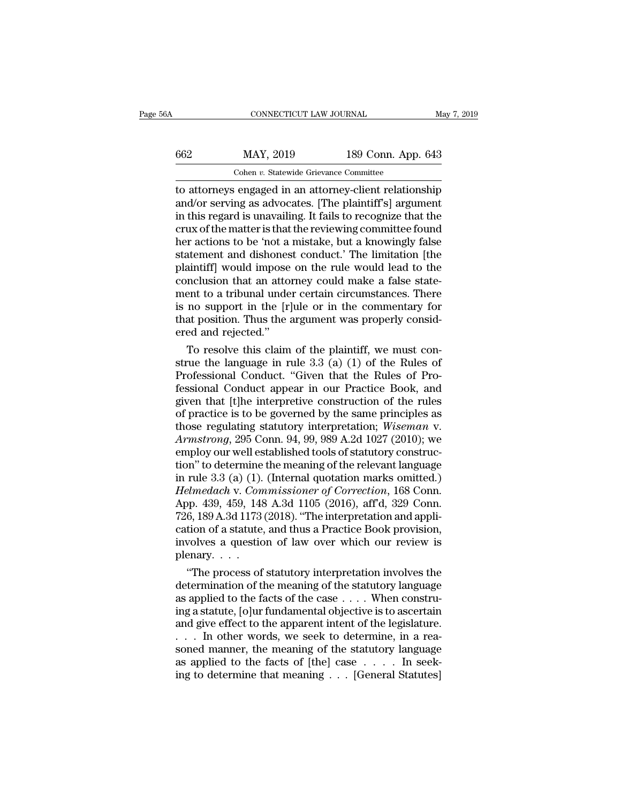|     | CONNECTICUT LAW JOURNAL                                 |                    | May 7, 2019 |
|-----|---------------------------------------------------------|--------------------|-------------|
| 662 | MAY, 2019                                               | 189 Conn. App. 643 |             |
|     | Cohen v. Statewide Grievance Committee                  |                    |             |
|     | to attorneys engaged in an attorney-client relationship |                    |             |

CONNECTICUT LAW JOURNAL May 7, 2019<br>
662 MAY, 2019 189 Conn. App. 643<br>
Cohen v. Statewide Grievance Committee<br>
to attorneys engaged in an attorney-client relationship<br>
and/or serving as advocates. [The plaintiff's] argumen MAY, 2019 189 Conn. App. 643<br>
Cohen v. Statewide Grievance Committee<br>
to attorneys engaged in an attorney-client relationship<br>
and/or serving as advocates. [The plaintiff's] argument<br>
in this regard is unavailing. It fails  $\frac{\text{MAY, 2019}}{\text{Cohen } v. \text{ Statewide Griewance Committee}}$ <br>to attorneys engaged in an attorney-client relationship<br>and/or serving as advocates. [The plaintiff's] argument<br>in this regard is unavailing. It fails to recognize that the<br>crux of the m 662 MAY, 2019 189 Conn. App. 643<br>
Cohen *v.* Statewide Grievance Committee<br>
to attorneys engaged in an attorney-client relationship<br>
and/or serving as advocates. [The plaintiff's] argument<br>
in this regard is unavailing. I For any state of the column right. The column of the column right of the attorneys engaged in an attorney-client relationship and/or serving as advocates. [The plaintiff's] argument in this regard is unavailing. It fails Cohen v. Statewide Grievance Committee<br>to attorneys engaged in an attorney-client relationship<br>and/or serving as advocates. [The plaintiff's] argument<br>in this regard is unavailing. It fails to recognize that the<br>crux of th to attorneys engaged in an attorney-client relationship<br>and/or serving as advocates. [The plaintiff's] argument<br>in this regard is unavailing. It fails to recognize that the<br>crux of the matter is that the reviewing committe and/or serving as advocates. [The plaintiff's] argument<br>in this regard is unavailing. It fails to recognize that the<br>crux of the matter is that the reviewing committee found<br>her actions to be 'not a mistake, but a knowingl in this regard is unavailing. It fails to recognize that the<br>crux of the matter is that the reviewing committee found<br>her actions to be 'not a mistake, but a knowingly false<br>statement and dishonest conduct.' The limitation crux of the matter is that the reviewing committee found<br>her actions to be 'not a mistake, but a knowingly false<br>statement and dishonest conduct.' The limitation [the<br>plaintiff] would impose on the rule would lead to the<br>c her actions to be 'not a mistake, but a knowingly false<br>statement and dishonest conduct.' The limitation [the<br>plaintiff] would impose on the rule would lead to the<br>conclusion that an attorney could make a false state-<br>ment statement and dishones<br>plaintiff] would impose<br>conclusion that an atto<br>ment to a tribunal unde<br>is no support in the [r]<br>that position. Thus the a<br>ered and rejected.''<br>To resolve this claim anntiff, would impose on the rule would lead to the<br>nclusion that an attorney could make a false state-<br>ent to a tribunal under certain circumstances. There<br>no support in the [r]ule or in the commentary for<br>at position. Th conclusion that an attorney could make a false statement to a tribunal under certain circumstances. There is no support in the [r]ule or in the commentary for that position. Thus the argument was properly considered and re

ment to a tribunal under certain circumstances. There<br>is no support in the [r]ule or in the commentary for<br>that position. Thus the argument was properly consid-<br>ered and rejected."<br>To resolve this claim of the plaintiff, w is no support in the  $[r]$ ule or in the commentary for<br>that position. Thus the argument was properly consid-<br>ered and rejected."<br>To resolve this claim of the plaintiff, we must con-<br>strue the language in rule 3.3 (a) (1) o that position. Thus the argument was properly considered and rejected."<br>
To resolve this claim of the plaintiff, we must construe the language in rule 3.3 (a) (1) of the Rules of<br>
Professional Conduct. "Given that the Rule ered and rejected."<br>
To resolve this claim of the plaintiff, we must construe the language in rule 3.3 (a) (1) of the Rules of<br>
Professional Conduct. "Given that the Rules of Pro-<br>
fessional Conduct appear in our Practice To resolve this claim of the plaintiff, we must construe the language in rule 3.3 (a) (1) of the Rules of Professional Conduct. "Given that the Rules of Professional Conduct appear in our Practice Book, and given that [t]h strue the language in rule 3.3 (a) (1) of the Rules of<br>Professional Conduct. "Given that the Rules of Pro-<br>fessional Conduct appear in our Practice Book, and<br>given that [t]he interpretive construction of the rules<br>of pract Professional Conduct. "Given that the Rules of Pro-<br>fessional Conduct appear in our Practice Book, and<br>given that [t]he interpretive construction of the rules<br>of practice is to be governed by the same principles as<br>those fessional Conduct appear in our Practice Book, and<br>given that [t]he interpretive construction of the rules<br>of practice is to be governed by the same principles as<br>those regulating statutory interpretation; *Wiseman v.<br>Arms* given that [t]he interpretive construction of the rules<br>of practice is to be governed by the same principles as<br>those regulating statutory interpretation; *Wiseman v.*<br>Armstrong, 295 Conn. 94, 99, 989 A.2d 1027 (2010); we<br> of practice is to be governed by the same principles as<br>those regulating statutory interpretation; *Wiseman v.*<br>*Armstrong*, 295 Conn. 94, 99, 989 A.2d 1027 (2010); we<br>employ our well established tools of statutory constru those regulating statutory interpretation; *Wiseman v.*<br>Armstrong, 295 Conn. 94, 99, 989 A.2d 1027 (2010); we<br>employ our well established tools of statutory construc-<br>tion" to determine the meaning of the relevant language Armstrong, 295 Conn. 94, 99, 989 A.2d 1027 (2010); we<br>employ our well established tools of statutory construc-<br>tion" to determine the meaning of the relevant language<br>in rule 3.3 (a) (1). (Internal quotation marks omitted. employ our well established tools of statutory construction" to determine the meaning of the relevant language<br>in rule 3.3 (a) (1). (Internal quotation marks omitted.)<br>*Helmedach v. Commissioner of Correction*, 168 Conn.<br>A tion" to determine the meaning of the relevant language<br>in rule 3.3 (a) (1). (Internal quotation marks omitted.)<br>Helmedach v. Commissioner of Correction, 168 Conn.<br>App. 439, 459, 148 A.3d 1105 (2016), aff'd, 329 Conn.<br>726 in rule 3.3 (a) (1).<br> *Helmedach* v. *Com*<br>
App. 439, 459, 148<br>
726, 189 A.3d 1173<br>
cation of a statute,<br>
involves a questio<br>
plenary. . . . .<br>
"The process of elmedach v. Commissioner of Correction, 168 Conn.<br>
op. 439, 459, 148 A.3d 1105 (2016), aff'd, 329 Conn.<br>
6, 189 A.3d 1173 (2018). "The interpretation and appli-<br>
tion of a statute, and thus a Practice Book provision,<br>
volv App. 439, 459, 148 A.3d 1105 (2016), aff'd, 329 Conn.<br>726, 189 A.3d 1173 (2018). "The interpretation and application of a statute, and thus a Practice Book provision,<br>involves a question of law over which our review is<br>pl

726, 189 A.3d 1173 (2018). "The interpretation and application of a statute, and thus a Practice Book provision, involves a question of law over which our review is plenary.<br>
"The process of statutory interpretation invol cation of a statute, and thus a Practice Book provision,<br>involves a question of law over which our review is<br>plenary....<br>"The process of statutory interpretation involves the<br>determination of the meaning of the statutory involves a question of law over which our review is<br>plenary....<br>"The process of statutory interpretation involves the<br>determination of the meaning of the statutory language<br>as applied to the facts of the case .... When co plenary. . . .<br>
"The process of statutory interpretation involves the<br>
determination of the meaning of the statutory language<br>
as applied to the facts of the case . . . . When constru-<br>
ing a statute, [o]ur fundamental ob "The process of statutory interpretation involves the<br>determination of the meaning of the statutory language<br>as applied to the facts of the case . . . . When constru-<br>ing a statute, [o]ur fundamental objective is to ascer determination of the meaning of the statutory language<br>as applied to the facts of the case . . . . When constru-<br>ing a statute, [o]ur fundamental objective is to ascertain<br>and give effect to the apparent intent of the legi as applied to the facts of the case . . . . When constru-<br>ing a statute, [o]ur fundamental objective is to ascertain<br>and give effect to the apparent intent of the legislature.<br>. . . . In other words, we seek to determine,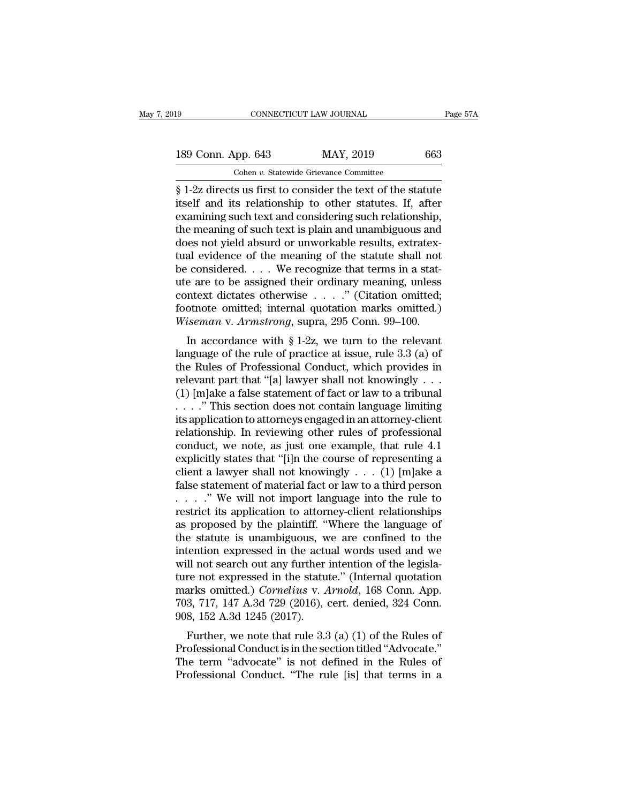Fage 57A<br> **EXECUTE 10** 100 100 100 100 11 129 0663<br> **EXECUTE:** Cohen v. Statewide Grievance Committee<br>
Simple 1-2z directs us first to consider the text of the statute<br>
itself and its relationship to other statutes. If, a 189 Conn. App. 643 MAY, 2019 663<br>
Cohen v. Statewide Grievance Committee<br>
§ 1-2z directs us first to consider the text of the statute<br>
itself and its relationship to other statutes. If, after<br>
examining such text and consi 189 Conn. App. 643 MAY, 2019 663<br>
Cohen v. Statewide Grievance Committee<br>
§ 1-2z directs us first to consider the text of the statute<br>
itself and its relationship to other statutes. If, after<br>
examining such text and cons 189 Conn. App. 643 MAY, 2019 663<br>
Cohen *v.* Statewide Grievance Committee<br>
§ 1-2z directs us first to consider the text of the statute<br>
itself and its relationship to other statutes. If, after<br>
examining such text and co Cohen v. Statewide Grievance Committee<br>  $\S$  1-2z directs us first to consider the text of the statute<br>
itself and its relationship to other statutes. If, after<br>
examining such text and considering such relationship,<br>
the Cohen *v*. Statewide Grievance Committee<br>
§ 1-2z directs us first to consider the text of the statute<br>
itself and its relationship to other statutes. If, after<br>
examining such text and considering such relationship,<br>
the  $\S$  1-2z directs us first to consider the text of the statute<br>itself and its relationship to other statutes. If, after<br>examining such text and considering such relationship,<br>the meaning of such text is plain and unambiguo itself and its relationship to other statutes. If, after<br>examining such text and considering such relationship,<br>the meaning of such text is plain and unambiguous and<br>does not yield absurd or unworkable results, extratex-<br>t examining such text and considering such relationship,<br>the meaning of such text is plain and unambiguous and<br>does not yield absurd or unworkable results, extratex-<br>tual evidence of the meaning of the statute shall not<br>be the meaning of such text is plain and unambiguous and<br>does not yield absurd or unworkable results, extratex-<br>tual evidence of the meaning of the statute shall not<br>be considered. . . . We recognize that terms in a stat-<br>ut does not yield absurd or unworkable results, extratextual evidence of the meaning of the statute shall not be considered. . . . We recognize that terms in a statute are to be assigned their ordinary meaning, unless context at evidence of the meaning of the statute shall not<br>
considered.... We recognize that terms in a stat-<br>
e are to be assigned their ordinary meaning, unless<br>
intext dictates otherwise ...." (Citation omitted;<br>
othote omitt be considered.  $\ldots$  we recognize that terms in a statute are to be assigned their ordinary meaning, unless context dictates otherwise  $\ldots$  ." (Citation omitted; footnote omitted; internal quotation marks omitted.) Wisem

the are to be assigned their ordinary meaning, unless<br>context dictates otherwise . . . ." (Citation omitted;<br>footnote omitted; internal quotation marks omitted.)<br>Wiseman v. Armstrong, supra, 295 Conn. 99–100.<br>In accordanc From the context dictates otherwise  $\cdot \cdot \cdot \cdot$  (Chation onlined,<br>footnote omitted; internal quotation marks omitted.)<br>Wiseman v. Armstrong, supra, 295 Conn. 99–100.<br>In accordance with § 1-2z, we turn to the relevant<br>langu Miseman v. Armstrong, supra, 295 Conn. 99–100.<br>
In accordance with § 1-2z, we turn to the relevant<br>
language of the rule of practice at issue, rule 3.3 (a) of<br>
the Rules of Professional Conduct, which provides in<br>
relevan Frame of the relation of the relationship in provided in the relationship in provides in relevant part that "[a] lawyer shall not knowingly . . . (1) [m]ake a false statement of fact or law to a tribunal . . . . " This se In accordance with § 1-2z, we turn to the relevant<br>language of the rule of practice at issue, rule 3.3 (a) of<br>the Rules of Professional Conduct, which provides in<br>relevant part that "[a] lawyer shall not knowingly . . .<br>( language of the rule of practice at issue, rule 3.3 (a) of<br>the Rules of Professional Conduct, which provides in<br>relevant part that "[a] lawyer shall not knowingly . . .<br>(1) [m]ake a false statement of fact or law to a tri the Rules of Professional Conduct, which provides in<br>relevant part that "[a] lawyer shall not knowingly . . .<br>(1) [m]ake a false statement of fact or law to a tribunal<br>. . . . " This section does not contain language limi relevant part that "[a] lawyer shall not knowingly . . .<br>
(1) [m]ake a false statement of fact or law to a tribunal<br>
. . . . " This section does not contain language limiting<br>
its application to attorneys engaged in an at (1) [m]ake a false statement of fact or law to a tribunal<br>
. . . . " This section does not contain language limiting<br>
its application to attorneys engaged in an attorney-client<br>
relationship. In reviewing other rules of p . . . . . " This section does not contain language limiting<br>its application to attorneys engaged in an attorney-client<br>relationship. In reviewing other rules of professional<br>conduct, we note, as just one example, that rul its application to attorneys engaged in an attorney-client<br>relationship. In reviewing other rules of professional<br>conduct, we note, as just one example, that rule 4.1<br>explicitly states that "[i]n the course of representin relationship. In reviewing other rules of professional conduct, we note, as just one example, that rule 4.1 explicitly states that "[i]n the course of representing a client a lawyer shall not knowingly  $\dots$  (1) [m]ake a f conduct, we note, as just one example, that rule 4.1<br>explicitly states that "[i]n the course of representing a<br>client a lawyer shall not knowingly  $\dots$  (1) [m]ake a<br>false statement of material fact or law to a third perso explicitly states that "[i]n the course of representing a<br>client a lawyer shall not knowingly  $\dots$  (1) [m]ake a<br>false statement of material fact or law to a third person<br> $\dots$ ." We will not import language into the rule to client a lawyer shall not knowingly  $\ldots$  (1) [m]ake a<br>false statement of material fact or law to a third person<br> $\ldots$ ." We will not import language into the rule to<br>restrict its application to attorney-client relationshi false statement of material fact or law to a third person<br>  $\dots$   $\therefore$  " We will not import language into the rule to<br>
restrict its application to attorney-client relationships<br>
as proposed by the plaintiff. "Where the lan ....." We will not import language into the rule to<br>restrict its application to attorney-client relationships<br>as proposed by the plaintiff. "Where the language of<br>the statute is unambiguous, we are confined to the<br>intenti restrict its application to attorney-client relationships<br>as proposed by the plaintiff. "Where the language of<br>the statute is unambiguous, we are confined to the<br>intention expressed in the actual words used and we<br>will not as proposed by the plaintiff. "Where the language of<br>the statute is unambiguous, we are confined to the<br>intention expressed in the actual words used and we<br>will not search out any further intention of the legisla-<br>ture not the statute is unambiguous, we intention expressed in the actuvill not search out any further ture not expressed in the stature marks omitted.) *Cornelius* v.  $A$  703, 717, 147 A.3d 729 (2016),  $908$ , 152 A.3d 1245 (2017) If not search out any further intention of the legisla-<br>re not expressed in the statute." (Internal quotation<br>arks omitted.) *Cornelius* v. Arnold, 168 Conn. App.<br>3, 717, 147 A.3d 729 (2016), cert. denied, 324 Conn.<br>8, 15 will not search out any further intention of the legisla-<br>ture not expressed in the statute." (Internal quotation<br>marks omitted.) *Cornelius* v. Arnold, 168 Conn. App.<br>703, 717, 147 A.3d 729 (2016), cert. denied, 324 Conn.

ture not expressed in the statute. (Internal quotation<br>marks omitted.) *Cornelius* v. *Arnold*, 168 Conn. App.<br>703, 717, 147 A.3d 729 (2016), cert. denied, 324 Conn.<br>908, 152 A.3d 1245 (2017).<br>Further, we note that rule 3. marks onlined.) Cornectas v. Arnold, 108 Confl. App.<br>703, 717, 147 A.3d 729 (2016), cert. denied, 324 Conn.<br>908, 152 A.3d 1245 (2017).<br>Further, we note that rule 3.3 (a) (1) of the Rules of<br>Professional Conduct is in the s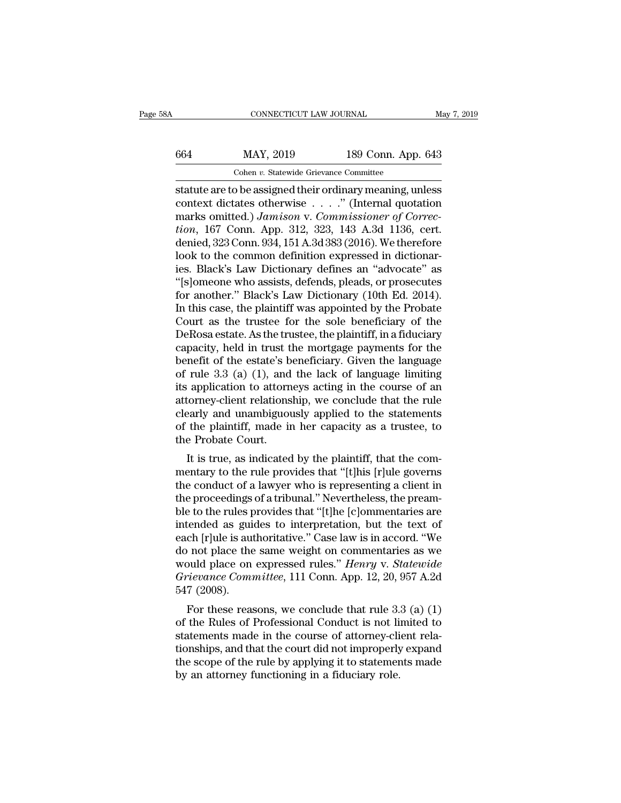# CONNECTICUT LAW JOURNAL May 7, 2019<br>664 MAY, 2019 189 Conn. App. 643<br>Cohen v. Statewide Grievance Committee CONNECTICUT LAW JOURNAL<br>MAY, 2019 189 Conn. App.<br>Cohen *v.* Statewide Grievance Committee<br>De assigned their ordinary meaning un

STR CONNECTICUT LAW JOURNAL<br>
Statute are to be assigned their ordinary meaning, unless<br>
context dictates otherwise . . . . " (Internal quotation<br>
marks emitted ) Jamison v Commissioner of Correo 664 MAY, 2019 189 Conn. App. 643<br>
Cohen v. Statewide Grievance Committee<br>
statute are to be assigned their ordinary meaning, unless<br>
context dictates otherwise . . . . " (Internal quotation<br>
marks omitted.) *Jamison* v. MAY, 2019 189 Conn. App. 643<br>
Cohen *v.* Statewide Grievance Committee<br>
statute are to be assigned their ordinary meaning, unless<br>
context dictates otherwise . . . . ." (Internal quotation<br>
marks omitted.) *Jamison* v. *Co the MAY, 2019* 189 Conn. App. 643<br> *Cohen v. Statewide Grievance Committee*<br> *tatute are to be assigned their ordinary meaning, unless*<br>
context dictates otherwise . . . . " (Internal quotation<br>
marks omitted.) *Jamison v* Cohen v. Statewide Grievance Committee<br>
statute are to be assigned their ordinary meaning, unless<br>
context dictates otherwise . . . . " (Internal quotation<br>
marks omitted.) *Jamison* v. *Commissioner of Correction*, 167 C Cohen v. Statewide Grevance Committee<br>
statute are to be assigned their ordinary meaning, unless<br>
context dictates otherwise  $\ldots$ ." (Internal quotation<br>
marks omitted.) *Jamison* v. *Commissioner of Correc-<br>
tion*, 167 C statute are to be assigned their ordinary meaning, unless<br>context dictates otherwise . . . ." (Internal quotation<br>marks omitted.) *Jamison v. Commissioner of Correc-<br>tion*, 167 Conn. App. 312, 323, 143 A.3d 1136, cert.<br>den context dictates otherwise . . . ." (Internal quotation<br>marks omitted.) *Jamison v. Commissioner of Correction*, 167 Conn. App. 312, 323, 143 A.3d 1136, cert.<br>denied, 323 Conn. 934, 151 A.3d 383 (2016). We therefore<br>look t marks omitted.) Jamison v. Commissioner of Correction, 167 Conn. App. 312, 323, 143 A.3d 1136, cert.<br>denied, 323 Conn. 934, 151 A.3d 383 (2016). We therefore<br>look to the common definition expressed in dictionar-<br>ies. Black tion, 167 Conn. App. 312, 323, 143 A.3d 1136, cert.<br>denied, 323 Conn. 934, 151 A.3d 383 (2016). We therefore<br>look to the common definition expressed in dictionar-<br>ies. Black's Law Dictionary defines an "advocate" as<br>"[s]om denied, 323 Conn. 934, 151 A.3d 383 (2016). We therefore<br>look to the common definition expressed in dictionar-<br>ies. Black's Law Dictionary defines an "advocate" as<br>"[s]omeone who assists, defends, pleads, or prosecutes<br>for look to the common definition expressed in dictionaries. Black's Law Dictionary defines an "advocate" as<br>"[s]omeone who assists, defends, pleads, or prosecutes<br>for another." Black's Law Dictionary (10th Ed. 2014).<br>In this ies. Black's Law Dictionary defines an "advocate" as<br>"[s]omeone who assists, defends, pleads, or prosecutes<br>for another." Black's Law Dictionary (10th Ed. 2014).<br>In this case, the plaintiff was appointed by the Probate<br>Cou "[s]omeone who assists, defends, pleads, or prosecutes<br>for another." Black's Law Dictionary (10th Ed. 2014).<br>In this case, the plaintiff was appointed by the Probate<br>Court as the trustee for the sole beneficiary of the<br>DeR for another." Black's Law Dictionary (10th Ed. 2014).<br>In this case, the plaintiff was appointed by the Probate<br>Court as the trustee for the sole beneficiary of the<br>DeRosa estate. As the trustee, the plaintiff, in a fiducia In this case, the plaintiff was appointed by the Probate<br>Court as the trustee for the sole beneficiary of the<br>DeRosa estate. As the trustee, the plaintiff, in a fiduciary<br>capacity, held in trust the mortgage payments for t Court as the trustee for the sole beneficiary of the<br>DeRosa estate. As the trustee, the plaintiff, in a fiduciary<br>capacity, held in trust the mortgage payments for the<br>benefit of the estate's beneficiary. Given the langua DeRosa estate. As the trustee, the plaintiff, in a fiduciary<br>capacity, held in trust the mortgage payments for the<br>benefit of the estate's beneficiary. Given the language<br>of rule 3.3 (a) (1), and the lack of language limit capacity, held in trust the mortgage payments for the<br>benefit of the estate's beneficiary. Given the language<br>of rule 3.3 (a) (1), and the lack of language limiting<br>its application to attorneys acting in the course of an<br>a benefit of the estate's b<br>of rule 3.3 (a) (1), and<br>its application to attorn<br>attorney-client relations<br>clearly and unambiguou<br>of the plaintiff, made in<br>the Probate Court.<br>It is true, as indicated It is true, as indicated by the plaintiff, that the com-<br>
It is true, as indicated by the plaintiff, that the rule<br>
Dealty and unambiguously applied to the statements<br>
the plaintiff, made in her capacity as a trustee, to<br> mentary client relationship, we conclude that the rule<br>clearly and unambiguously applied to the statements<br>of the plaintiff, made in her capacity as a trustee, to<br>the Probate Court.<br>It is true, as indicated by the plaintif

ationney-chent relationship, we conclude that the rule<br>clearly and unambiguously applied to the statements<br>of the plaintiff, made in her capacity as a trustee, to<br>the Probate Court.<br>It is true, as indicated by the plaintif the plaintiff, made in her capacity as a trustee, to<br>the Probate Court.<br>It is true, as indicated by the plaintiff, that the com-<br>mentary to the rule provides that "[t]his [r]ule governs<br>the conduct of a lawyer who is repre ble to the plant.... It is true, as indicated by the plaintiff, that the com-<br>mentary to the rule provides that "[t]his [r]ule governs<br>the conduct of a lawyer who is representing a client in<br>the proceedings of a tribunal." It is true, as indicated by the plaintiff, that the com-<br>mentary to the rule provides that "[t]his [r]ule governs<br>the conduct of a lawyer who is representing a client in<br>the proceedings of a tribunal." Nevertheless, the pr It is true, as indicated by the plaintiff, that the com-<br>mentary to the rule provides that "[t]his [r]ule governs<br>the conduct of a lawyer who is representing a client in<br>the proceedings of a tribunal." Nevertheless, the pr mentary to the rule provides that "[t]his [r]ule governs<br>the conduct of a lawyer who is representing a client in<br>the proceedings of a tribunal." Nevertheless, the pream-<br>ble to the rules provides that "[t]he [c]ommentarie the conduct of a lawyer who is representing a client in<br>the proceedings of a tribunal." Nevertheless, the pream-<br>ble to the rules provides that "[t]he [c]ommentaries are<br>intended as guides to interpretation, but the text o the proceedings of a tribunal." Nevertheless, the pream-<br>ble to the rules provides that "[t]he [c]ommentaries are<br>intended as guides to interpretation, but the text of<br>each [r]ule is authoritative." Case law is in accord. ble to the rules p<br>intended as guideach [r]ule is aut<br>do not place the<br>would place on<br>*Grievance Comn*<br>547 (2008).<br>For these reas For these reasons, we conclude that rule 3.3 (a) (1)<br>the Rules of Professional Commentaries as we<br>puld place on expressed rules." *Henry v. Statewide*<br>rievance Committee, 111 Conn. App. 12, 20, 957 A.2d<br>7 (2008).<br>For thes each place the same weight on commentaries as we<br>do not place the same weight on commentaries as we<br>would place on expressed rules." *Henry v. Statewide*<br>Grievance Committee, 111 Conn. App. 12, 20, 957 A.2d<br>547 (2008).<br>Fo

statements made in the course of the course of the connectionships, and that the course of attorney-client rela-<br>tionships, and that the course of attorney-client rela-<br>tionships, and that the course of attorney-client rel would place on expressed rules. *Tienty* v. *Statewide*<br>Grievance Committee, 111 Conn. App. 12, 20, 957 A.2d<br>547 (2008).<br>For these reasons, we conclude that rule 3.3 (a) (1)<br>of the Rules of Professional Conduct is not lim For these reasons, we conclude that rule 3.3 (a) (1) of the Rules of Professional Conduct is not limited to statements made in the course of attorney-client relationships, and that the court did not improperly expand the  $\overline{B}$  and  $\overline{C}$  and  $\overline{C}$  and  $\overline{C}$  and  $\overline{C}$  and  $\overline{C}$  and  $\overline{C}$  and  $\overline{C}$  and  $\overline{C}$  and  $\overline{C}$  and  $\overline{C}$  and  $\overline{C}$  and  $\overline{C}$  and  $\overline{C}$  and  $\overline{C}$  and  $\overline{C}$  and  $\overline{C}$  and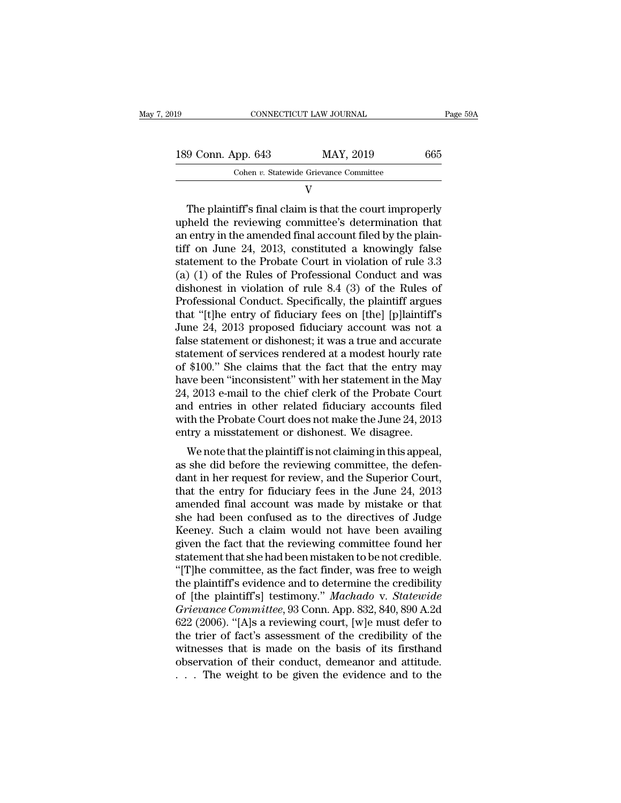| 2019 |                    | CONNECTICUT LAW JOURNAL                | Page 59A |
|------|--------------------|----------------------------------------|----------|
|      | 189 Conn. App. 643 | MAY, 2019                              | 665      |
|      |                    | Cohen v. Statewide Grievance Committee |          |
|      |                    |                                        |          |

V

9 Conn. App. 643 MAY, 2019 665<br>
Cohen v. Statewide Grievance Committee<br>
V<br>
The plaintiff's final claim is that the court improperly<br>
held the reviewing committee's determination that<br>
ontry in the amonded final account fi 189 Conn. App. 643 MAY, 2019 665<br>
Cohen v. Statewide Grievance Committee<br>
V<br>
The plaintiff's final claim is that the court improperly<br>
upheld the reviewing committee's determination that<br>
an entry in the amended final acc 189 Conn. App. 643 MAY, 2019 665<br>
Cohen v. Statewide Grievance Committee<br>
V<br>
The plaintiff's final claim is that the court improperly<br>
upheld the reviewing committee's determination that<br>
an entry in the amended final acc Cohen v. Statewide Grievance Committee<br>
V<br>
The plaintiff's final claim is that the court improperly<br>
upheld the reviewing committee's determination that<br>
an entry in the amended final account filed by the plain-<br>
tiff on V<br>
The plaintiff's final claim is that the court improperly<br>
upheld the reviewing committee's determination that<br>
an entry in the amended final account filed by the plain-<br>
tiff on June 24, 2013, constituted a knowingly f The plaintiff's final claim is that the court improperly<br>upheld the reviewing committee's determination that<br>an entry in the amended final account filed by the plain-<br>tiff on June 24, 2013, constituted a knowingly false<br>s The plaintiff's final claim is that the court improperly<br>upheld the reviewing committee's determination that<br>an entry in the amended final account filed by the plain-<br>tiff on June 24, 2013, constituted a knowingly false<br>st upheld the reviewing committee's determination that<br>an entry in the amended final account filed by the plain-<br>tiff on June 24, 2013, constituted a knowingly false<br>statement to the Probate Court in violation of rule 3.3<br>(a) an entry in the amended final account filed by the plain-<br>tiff on June 24, 2013, constituted a knowingly false<br>statement to the Probate Court in violation of rule 3.3<br>(a) (1) of the Rules of Professional Conduct and was<br>di tiff on June 24, 2013, constituted a knowingly false<br>statement to the Probate Court in violation of rule 3.3<br>(a) (1) of the Rules of Professional Conduct and was<br>dishonest in violation of rule 8.4 (3) of the Rules of<br>Profe statement to the Probate Court in violation of rule 3.3<br>(a) (1) of the Rules of Professional Conduct and was<br>dishonest in violation of rule 8.4 (3) of the Rules of<br>Professional Conduct. Specifically, the plaintiff argues<br>t (a) (1) of the Rules of Professional Conduct and was<br>dishonest in violation of rule 8.4 (3) of the Rules of<br>Professional Conduct. Specifically, the plaintiff argues<br>that "[t]he entry of fiduciary fees on [the] [p]laintiff dishonest in violation of rule 8.4 (3) of the Rules of<br>Professional Conduct. Specifically, the plaintiff argues<br>that "[t]he entry of fiduciary fees on [the] [p]laintiff's<br>June 24, 2013 proposed fiduciary account was not a<br> Professional Conduct. Specifically, the plaintiff argues<br>that "[t]he entry of fiduciary fees on [the] [p]laintiff's<br>June 24, 2013 proposed fiduciary account was not a<br>false statement or dishonest; it was a true and accurat that "[t]he entry of fiduciary fees on [the] [p]laintiff's<br>June 24, 2013 proposed fiduciary account was not a<br>false statement or dishonest; it was a true and accurate<br>statement of services rendered at a modest hourly rate<br> June 24, 2013 proposed fiduciary account was not a<br>false statement or dishonest; it was a true and accurate<br>statement of services rendered at a modest hourly rate<br>of \$100." She claims that the fact that the entry may<br>have false statement or dishonest; it was a true and accurate<br>statement of services rendered at a modest hourly rate<br>of \$100." She claims that the fact that the entry may<br>have been "inconsistent" with her statement in the May<br>2 statement of services rendered at a modest hourly rate<br>of \$100." She claims that the fact that the entry may<br>have been "inconsistent" with her statement in the May<br>24, 2013 e-mail to the chief clerk of the Probate Cour<br>and Fig. 3.100. She claims that the fact that the entry hay<br>we been "inconsistent" with her statement in the May<br>, 2013 e-mail to the chief clerk of the Probate Court<br>d entries in other related fiduciary accounts filed<br>th the rate been inconsistent with her statement in the may<br>24, 2013 e-mail to the chief clerk of the Probate Court<br>and entries in other related fiduciary accounts filed<br>with the Probate Court does not make the June 24, 2013<br>entr

24, 2015 e-mail to the chief clerk of the Frobate Court<br>and entries in other related fiduciary accounts filed<br>with the Probate Court does not make the June 24, 2013<br>entry a misstatement or dishonest. We disagree.<br>We note and entries in other related mutchary accounts filed<br>with the Probate Court does not make the June 24, 2013<br>entry a misstatement or dishonest. We disagree.<br>We note that the plaintiff is not claiming in this appeal,<br>as she with the 1 robate Court does not hake the Julie 24, 2015<br>entry a misstatement or dishonest. We disagree.<br>We note that the plaintiff is not claiming in this appeal,<br>as she did before the reviewing committee, the defen-<br>dan Finally a misstatement of dishonest. We disagree.<br>We note that the plaintiff is not claiming in this appeal,<br>as she did before the reviewing committee, the defen-<br>dant in her request for review, and the Superior Court,<br>tha We note that the plaintiff is not claiming in this appeal,<br>as she did before the reviewing committee, the defen-<br>dant in her request for review, and the Superior Court,<br>that the entry for fiduciary fees in the June 24, 201 as she did before the reviewing committee, the defendant in her request for review, and the Superior Court, that the entry for fiduciary fees in the June 24, 2013 amended final account was made by mistake or that she had b dant in her request for review, and the Superior Court,<br>that the entry for fiduciary fees in the June 24, 2013<br>amended final account was made by mistake or that<br>she had been confused as to the directives of Judge<br>Keeney. S that the entry for fiduciary fees in the June 24, 2013<br>amended final account was made by mistake or that<br>she had been confused as to the directives of Judge<br>Keeney. Such a claim would not have been availing<br>given the fact amended final account was made by mistake or that<br>she had been confused as to the directives of Judge<br>Keeney. Such a claim would not have been availing<br>given the fact that the reviewing committee found her<br>statement that s she had been confused as to the directives of Judge<br>Keeney. Such a claim would not have been availing<br>given the fact that the reviewing committee found her<br>statement that she had been mistaken to be not credible.<br>"[T]he co Keeney. Such a claim would not have been availing<br>given the fact that the reviewing committee found her<br>statement that she had been mistaken to be not credible.<br>"[T]he committee, as the fact finder, was free to weigh<br>the p given the fact that the reviewing committee found her<br>statement that she had been mistaken to be not credible.<br>"[T]he committee, as the fact finder, was free to weigh<br>the plaintiff's evidence and to determine the credibili statement that she had been mistaken to be not credible.<br>
"[T]he committee, as the fact finder, was free to weigh<br>
the plaintiff's evidence and to determine the credibility<br>
of [the plaintiff's] testimony." Machado v. Stat "[T]he committee, as the fact finder, was free to weigh<br>the plaintiff's evidence and to determine the credibility<br>of [the plaintiff's] testimony." Machado v. Statewide<br>Grievance Committee, 93 Conn. App. 832, 840, 890 A.2d the plaintiff's evidence and to determine the credibility<br>of [the plaintiff's] testimony." Machado v. Statewide<br>Grievance Committee, 93 Conn. App. 832, 840, 890 A.2d<br>622 (2006). "[A]s a reviewing court, [w]e must defer to<br> of [the plaintiff's] testimony." Machado v. Statewide Grievance Committee, 93 Conn. App. 832, 840, 890 A.2d 622 (2006). "[A]s a reviewing court, [w]e must defer to the trier of fact's assessment of the credibility of the w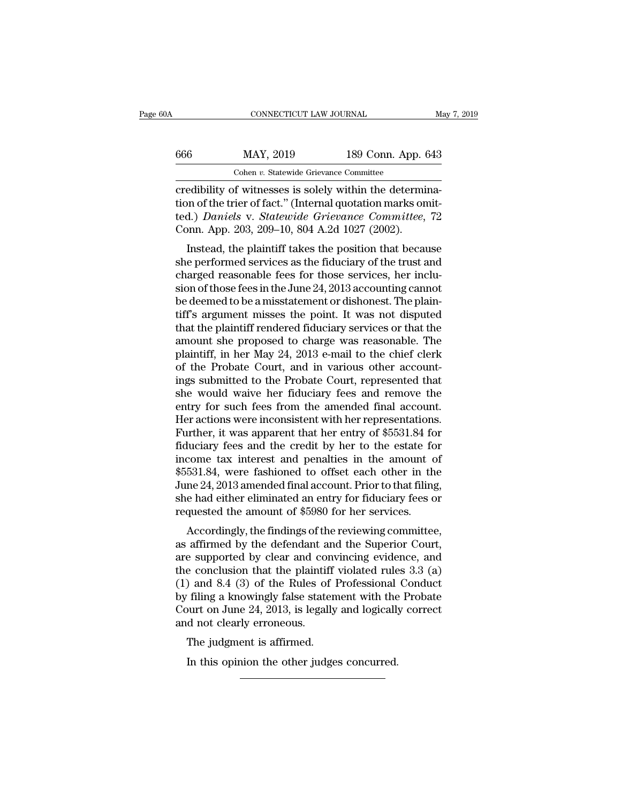| Λ   | CONNECTICUT LAW JOURNAL                                  |                    | May 7, 2019 |
|-----|----------------------------------------------------------|--------------------|-------------|
| 666 | MAY, 2019                                                | 189 Conn. App. 643 |             |
|     | Cohen v. Statewide Grievance Committee                   |                    |             |
|     | credibility of witnesses is solely within the determina- |                    |             |

 $\begin{array}{ccc}\n & \text{COMRECTICUT LAW JOURNAL} & \text{M} \\
 \hline\n 666 & \text{MAX, } 2019 & \text{189 Conn. App. 643} \\
 \hline\n & \text{Cohen } v. \text{ Statewide Grievance Committee} \\
 \hline\n \text{creditibility of witnesses is solely within the determina-} \\
 \text{tion of the trier of fact." (Internal quotation marks omitted.)}\n \text{Damiele V. Statenida Grievanee. Commultae, 72\n} \end{array}$ 666 MAY, 2019 189 Conn. App. 643<br>
Cohen v. Statewide Grievance Committee<br>
credibility of witnesses is solely within the determina-<br>
tion of the trier of fact.'' (Internal quotation marks omit-<br>
ted.) Daniels v. Statewide G 189 Conn. App. 643<br>
Cohen v. Statewide Grievance Committee<br>
credibility of witnesses is solely within the determina-<br>
tion of the trier of fact." (Internal quotation marks omit-<br>
ted.) *Daniels* v. *Statewide Grievance Com*  $\frac{666}{\text{Cohen } v. \text{ Statewide Grievance Committee}}$ <br>Cohen v. Statewide Grievance Committee<br>credibility of witnesses is solely within the determi<br>tion of the trier of fact." (Internal quotation marks on<br>ted.) *Daniels* v. *Statewide Grievance Co* Cohen v. Statewide Grievance Committee<br>
edibility of witnesses is solely within the determina-<br>
in of the trier of fact." (Internal quotation marks omit-<br>
d.) *Daniels* v. *Statewide Grievance Committee*, 72<br>
position. Ap credibility of witnesses is solely within the determination of the trier of fact." (Internal quotation marks omitted.) Daniels v. Statewide Grievance Committee, 72<br>Conn. App. 203, 209–10, 804 A.2d 1027 (2002).<br>Instead, the

creation of the trier of fact." (Internal quotation marks omit-<br>ted.) *Daniels v. Statewide Grievance Committee*, 72<br>Conn. App. 203, 209–10, 804 A.2d 1027 (2002).<br>Instead, the plaintiff takes the position that because<br>she sion of the ther of fact. (Internal quotation marks onticled.) Daniels v. Statewide Grievance Committee, 72<br>Conn. App. 203, 209–10, 804 A.2d 1027 (2002).<br>Instead, the plaintiff takes the position that because<br>she performed be detaily Dances v. Statewide Grietalice Committee, 72<br>Conn. App. 203, 209–10, 804 A.2d 1027 (2002).<br>Instead, the plaintiff takes the position that because<br>she performed services as the fiduciary of the trust and<br>charged that the plaintiff takes the position that because<br>the performed services as the fiduciary of the trust and<br>charged reasonable fees for those services, her inclu-<br>sion of those fees in the June 24, 2013 accounting cannot<br> Instead, the plaintiff takes the position that because<br>she performed services as the fiduciary of the trust and<br>charged reasonable fees for those services, her inclu-<br>sion of those fees in the June 24, 2013 accounting can she performed services as the fiduciary of the trust and<br>charged reasonable fees for those services, her inclu-<br>sion of those fees in the June 24, 2013 accounting cannot<br>be deemed to be a misstatement or dishonest. The pla charged reasonable fees for those services, her inclusion of those fees in the June 24, 2013 accounting cannot<br>be deemed to be a misstatement or dishonest. The plain-<br>tiff's argument misses the point. It was not disputed<br>t sion of those fees in the June 24, 2013 accounting cannot<br>be deemed to be a misstatement or dishonest. The plain-<br>tiff's argument misses the point. It was not disputed<br>that the plaintiff rendered fiduciary services or that be deemed to be a misstatement or dishonest. The plain-<br>tiff's argument misses the point. It was not disputed<br>that the plaintiff rendered fiduciary services or that the<br>amount she proposed to charge was reasonable. The<br>pla tiff's argument misses the point. It was not disputed<br>that the plaintiff rendered fiduciary services or that the<br>amount she proposed to charge was reasonable. The<br>plaintiff, in her May 24, 2013 e-mail to the chief clerk<br>of that the plaintiff rendered fiduciary services or that the amount she proposed to charge was reasonable. The plaintiff, in her May 24, 2013 e-mail to the chief clerk of the Probate Court, and in various other accountings s amount she proposed to charge was reasonable. The<br>plaintiff, in her May 24, 2013 e-mail to the chief clerk<br>of the Probate Court, and in various other account-<br>ings submitted to the Probate Court, represented that<br>she would plaintiff, in her May 24, 2013 e-mail to the chief clerk<br>of the Probate Court, and in various other account-<br>ings submitted to the Probate Court, represented that<br>she would waive her fiduciary fees and remove the<br>entry for of the Probate Court, and in various other account-<br>ings submitted to the Probate Court, represented that<br>she would waive her fiduciary fees and remove the<br>entry for such fees from the amended final account.<br>Her actions we ings submitted to the Probate Court, represented that<br>she would waive her fiduciary fees and remove the<br>entry for such fees from the amended final account.<br>Her actions were inconsistent with her representations.<br>Further, i she would waive her fiduciary fees and remove the<br>entry for such fees from the amended final account.<br>Her actions were inconsistent with her representations.<br>Further, it was apparent that her entry of \$5531.84 for<br>fiduciar entry for such fees from the amended final account.<br>Her actions were inconsistent with her representations.<br>Further, it was apparent that her entry of \$5531.84 for<br>fiduciary fees and the credit by her to the estate for<br>inc Her actions were inconsistent with her representations.<br>Further, it was apparent that her entry of \$5531.84 for<br>fiduciary fees and the credit by her to the estate for<br>income tax interest and penalties in the amount of<br>\$553 Further, it was apparent that her entry of \$5531.84 for fiduciary fees and the credit by her to the estate for<br>income tax interest and penalties in the amount c<br>\$5531.84, were fashioned to offset each other in th<br>June 24, Example 19 and the credit by the follower scale for<br>come tax interest and penalties in the amount of<br>531.84, were fashioned to offset each other in the<br>ne 24, 2013 amended final account. Prior to that filing,<br>e had either first<br>state and penalies in the amount of<br>\$5531.84, were fashioned to offset each other in the<br>June 24, 2013 amended final account. Prior to that filing,<br>she had either eliminated an entry for fiduciary fees or<br>requested

by a 1.64, were rashfolied to onset each other in the June 24, 2013 amended final account. Prior to that filing, she had either eliminated an entry for fiduciary fees or requested the amount of \$5980 for her services.<br>Acc sune 24, 2013 and the dimark account. Thorto that imity,<br>she had either eliminated an entry for fiduciary fees or<br>requested the amount of \$5980 for her services.<br>Accordingly, the findings of the reviewing committee,<br>as aff she had ether eminiated an entry for houctary rees of<br>requested the amount of \$5980 for her services.<br>Accordingly, the findings of the reviewing committee,<br>as affirmed by the defendant and the Superior Court,<br>are supported by filing a knowing of the reviewing committee,<br>as affirmed by the defendant and the Superior Court,<br>are supported by clear and convincing evidence, and<br>the conclusion that the plaintiff violated rules 3.3 (a)<br>(1) and 8.4 Accordingly, the findings of the reviewing committee,<br>as affirmed by the defendant and the Superior Court,<br>are supported by clear and convincing evidence, and<br>the conclusion that the plaintiff violated rules 3.3 (a)<br>(1) an as affirmed by the defendant a<br>are supported by clear and cor<br>the conclusion that the plaintif<br>(1) and 8.4 (3) of the Rules of<br>by filing a knowingly false state<br>Court on June 24, 2013, is legall<br>and not clearly erroneous.<br> Example if the plaintiff<br>
if example in the plaintiff<br>
if iling a knowingly false statem<br>
if iling a knowingly false statem<br>
uurt on June 24, 2013, is legally<br>
d not clearly erroneous.<br>
The judgment is affirmed.<br>
In this o In this opinion the Rules of Professional in this a knowingly false statement with the other of June 24, 2013, is legally and logically do not clearly erroneous.<br>The judgment is affirmed.<br>In this opinion the other judges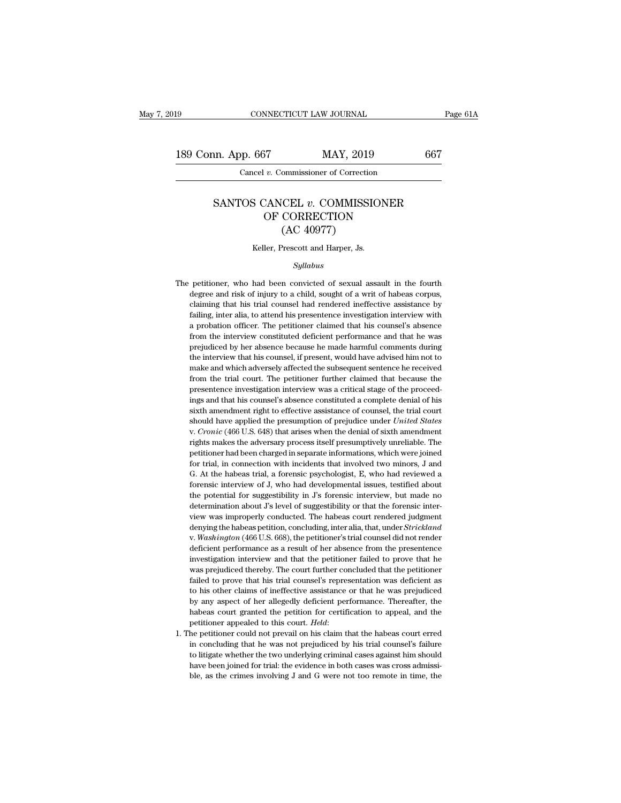189 CONNECTICUT LAW JOURNAL Page 61A<br>
189 Conn. App. 667 MAY, 2019 667<br>
Cancel v. Commissioner of Correction CONNECTICUT LAW JOURNAL<br>
pp. 667 MAY, 2019<br>
Cancel *v.* Commissioner of Correction

# 1. App. 667 MAY, 2019 667<br>
Cancel *v.* Commissioner of Correction<br>
SANTOS CANCEL *v.* COMMISSIONER<br>
OF CORRECTION  $\frac{MAY}{v}$ . Commissioner of Correction<br>
CANCEL  $v$ . COMMISSIONER<br>
OF CORRECTION<br>
(AC 40977) MAY, 2019<br>
numissioner of Correction<br>
(CEL v. COMMISSIC<br>
CORRECTION<br>
(AC 40977)<br>
Prescott and Harper, Js. SANTOS CANCEL  $v$ . COMMISSIONER<br>OF CORRECTION<br>(AC 40977)<br>Keller, Prescott and Harper, Js.

## *Syllabus*

 $(AC 40977)$ <br>Keller, Prescott and Harper, Js.<br> $Syllabus$ <br>The petitioner, who had been convicted of sexual assault in the fourth<br>degree and risk of injury to a child, sought of a writ of habeas corpus, The petitioner, who had been convicted of sexual assault in the fourth degree and risk of injury to a child, sought of a writ of habeas corpus, claiming that his trial counsel had rendered ineffective assistance by failing Keller, Prescott and Harper, Js.<br>
Syllabus<br>
petitioner, who had been convicted of sexual assault in the fourth<br>
degree and risk of injury to a child, sought of a writ of habeas corpus,<br>
claiming that his trial counsel had *Syllabus*<br> *Syllabus*<br>
petitioner, who had been convicted of sexual assault in the fourth<br>
degree and risk of injury to a child, sought of a writ of habeas corpus,<br>
claiming that his trial counsel had rendered ineffective syllabus<br>petitioner, who had been convicted of sexual assault in the fourth<br>degree and risk of injury to a child, sought of a writ of habeas corpus,<br>claiming that his trial counsel had rendered ineffective assistance by<br>fa petitioner, who had been convicted of sexual assault in the fourth<br>degree and risk of injury to a child, sought of a writ of habeas corpus,<br>claiming that his trial counsel had rendered ineffective assistance by<br>failing, in degree and risk of injury to a child, sought of a writ of habeas corpus, claiming that his trial counsel had rendered ineffective assistance by failing, inter alia, to attend his presentence investigation interview with a elaiming that his trial counsel had rendered ineffective assistance by failing, inter alia, to attend his presentence investigation interview with a probation officer. The petitioner claimed that his counsel's absence from failing, inter alia, to attend his presentence investigation interview with a probation officer. The petitioner claimed that his counsel's absence from the interview constituted deficient performance and that he was prejud a probation officer. The petitioner claimed that his counsel's absence from the interview constituted deficient performance and that he was prejudiced by her absence because he made harmful comments during the interview th a probation officer. The petitioner claimed that his counsel's absence from the interview constituted deficient performance and that he was prejudiced by her absence because he made harmful comments during the interview th prejudiced by her absence because he made harmful comments during<br>the interview that his counsel, if present, would have advised him not to<br>make and which adversely affected the subsequent sentence he received<br>from the tri Frequences in the interview that his counsel, if present, would have advised him not to make and which adversely affected the subsequent sentence he received from the trial court. The petitioner further claimed that becau show that the presumption of prejudice under a received from the trial court. The petitioner further claimed that because the presentence investigation interview was a critical stage of the proceedings and that his counsel presentence investigation interview was a critical stage of the proceedings and that his counsel's absence constituted a complete denial of his sixth amendment right to effective assistance of counsel, the trial court shou petitioner had been charged in separate informations, J and that his counsel's absence constituted a complete denial of his sixth amendment right to effective assistance of counsel, the trial court should have applied the first american response in the effective assistance of counsel, the trial court should have applied the presumption of prejudice under *United States* v. *Cronic* (466 U.S. 648) that arises when the denial of sixth amendm should have applied the presumption of prejudice under *United States* v. *Cronic* (466 U.S. 648) that arises when the denial of sixth amendment rights makes the adversary process itself presumptively unreliable. The peti *v. Cronic* (466 U.S. 648) that arises when the denial of sixth amendment rights makes the adversary process itself presumptively unreliable. The petitioner had been charged in separate informations, which were joined for rights makes the adversary process itself presumptively unreliable. The petitioner had been charged in separate informations, which were joined for trial, in connection with incidents that involved two minors, J and G. At rights makes the adversary process itself presumptively unreliable. The petitioner had been charged in separate informations, which were joined for trial, in connection with incidents that involved two minors, J and G. At for trial, in connection with incidents that involved two minors, J and G. At the habeas trial, a forensic psychologist, E, who had reviewed a forensic interview of J, who had developmental issues, testified about the pot G. At the habeas trial, a forensic psychologist, E, who had reviewed a forensic interview of J, who had developmental issues, testified about the potential for suggestibility in J's forensic interview, but made no determin forensic interview of J, who had developmental issues, testified about<br>the potential for suggestibility in J's forensic interview, but made no<br>determination about J's level of suggestibility or that the forensic inter-<br>vie the potential for suggestibility in J's forensic interview, but made no<br>determination about J's level of suggestibility or that the forensic inter-<br>view was improperly conducted. The habeas court rendered judgment<br>denying determination about *J*'s level of suggestibility or that the forensic inter-<br>determination about *J*'s level of suggestibility or that the forensic inter-<br>view was improperly conducted. The habeas court rendered judgment<br> v. Washington (466 U.S. 668), the petitioner's trial counsel did not render deficient performance as a result of her absence from the presentence investigation interview and that the petitioner failed to prove that he was failed to prove that his trial counsel's representation, and the providence of the providence of the proventation. Concluding, inter alia, that, under *Strickland* v. *Washington* (466 U.S. 668), the petitioner's trial cou w. *Washington* (466 U.S. 668), the petitioner's trial counsel did not render deficient performance as a result of her absence from the presentence investigation interview and that the petitioner failed to prove that he wa deficient performance as a result of her absence from the presentence investigation interview and that the petitioner failed to prove that he was prejudiced thereby. The court further concluded that the petitioner failed t investigation interview and that the petitioner failed to prove that he was prejudiced thereby. The court further concluded that the petitioner failed to prove that his trial counsel's representation was deficient as to hi was prejudiced thereby. The court further concluded that the petitioner failed to prove that his trial counsel's representation was deficient as to his other claims of ineffective assistance or that he was prejudiced by an to his other claims of ineffective assistance or that he was prejudiced by any aspect of her allegedly deficient performance. Thereafter, the habeas court granted the petition for certification to appeal, and the petitione

by any aspect of her allegedly deficient performance. Thereafter, the habeas court granted the petition for certification to appeal, and the petitioner appealed to this court. *Held*:<br>he petitioner could not prevail on his by any aspect of her allegedly deficient performance. Thereafter, the habeas court granted the petition for certification to appeal, and the petitioner appealed to this court. *Held*: The petitioner could not prevail on h 1. The petitioner could not prevail on his claim that the habeas court erred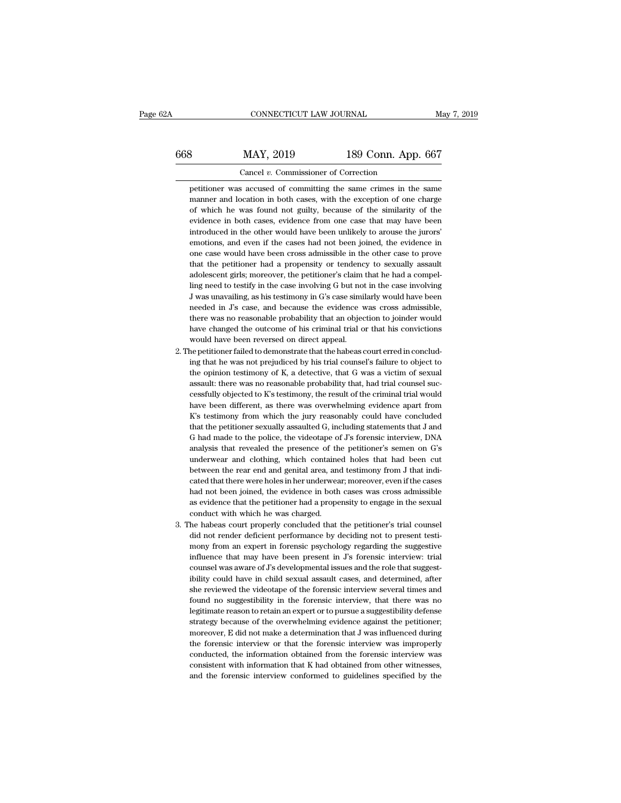CONNECTICUT LAW JOURNAL May 7, 2019<br>668 MAY, 2019 189 Conn. App. 667<br>Cancel v. Commissioner of Correction CONNECTICUT LAW JOURNAL<br>
S MAY, 2019 189 Conn. App. 667<br>
Cancel *v.* Commissioner of Correction<br>
petitioner was accused of committing the same crimes in the same MAY, 2019 189 Conn. App. 667<br>Cancel v. Commissioner of Correction<br>petitioner was accused of committing the same crimes in the same<br>manner and location in both cases, with the exception of one charge

MAY, 2019 189 Conn. App. 667<br>Cancel v. Commissioner of Correction<br>petitioner was accused of committing the same crimes in the same<br>manner and location in both cases, with the exception of one charge<br>of which he was found n MAY, 2019 189 Conn. App. 667<br>Cancel v. Commissioner of Correction<br>petitioner was accused of committing the same crimes in the same<br>manner and location in both cases, with the exception of one charge<br>of which he was found n Cancel  $v$ . Commissioner of Correction<br>petitioner was accused of committing the same crimes in the same<br>manner and location in both cases, with the exception of one charge<br>of which he was found not guilty, because of the Cancel  $v$ . Commissioner of Correction<br>petitioner was accused of committing the same crimes in the same<br>manner and location in both cases, with the exception of one charge<br>of which he was found not guilty, because of the petitioner was accused of committing the same crimes in the same manner and location in both cases, with the exception of one charge of which he was found not guilty, because of the similarity of the evidence in both cases manner and location in both cases, with the exception of one charge of which he was found not guilty, because of the similarity of the evidence in both cases, evidence from one case that may have been introduced in the oth of which he was found not guilty, because of the similarity of the evidence in both cases, evidence from one case that may have been introduced in the other would have been unlikely to arouse the jurors' emotions, and even of which he was found not guilty, because of the similarity of the evidence in both cases, evidence from one case that may have been introduced in the other would have been unlikely to arouse the jurors' emotions, and even introduced in the other would have been unlikely to arouse the jurors'<br>emotions, and even if the cases had not been joined, the evidence in<br>one case would have been cross admissible in the other case to prove<br>that the peti emotions, and even if the cases had not been joined, the evidence in<br>one case would have been cross admissible in the other case to prove<br>that the petitioner had a propensity or tendency to sexually assault<br>adolescent girl one case would have been cross admissible in the other case to prove<br>that the petitioner had a propensity or tendency to sexually assault<br>adolescent girls; moreover, the petitioner's claim that he had a compel-<br>ling need t that the petitioner had a propensity or tendency to sexually assault<br>adolescent girls; moreover, the petitioner's claim that he had a compel-<br>ling need to testify in the case involving G but not in the case involving<br>J was adolescent girls; moreover, the petitioner's claim that he had a compelling need to testify in the case involving G but not in the case involving J was unavailing, as his testimony in G's case similarly would have been nee ling need to testify in the case involving G but not<br>J was unavailing, as his testimony in G's case simi<br>needed in J's case, and because the evidence v<br>there was no reasonable probability that an objec<br>have changed the out 2. The petitioner failed to demonstrate that the habeas court erred in concluding that are performed to demonstrate that the habeas court erred in conclud-<br>2. The petitioner failed to demonstrate that the habeas court err needed in J's case, and because the evidence was cross admissible,<br>there was no reasonable probability that an objection to joinder would<br>have changed the outcome of his criminal trial or that his convictions<br>would have be

- readed in  $J$ s case, and because the evidence was cross admissible, there was no reasonable probability that an objection to joinder would have changed the outcome of his criminal trial or that his convictions would have the opinion testimony of K, a detective, that G was a victim of sexual would have been reversed on direct appeal.<br>
ne petitioner failed to demonstrate that the habeas court erred in conclud-<br>
ing that he was not prejudiced by his trial counsel's failure to object to<br>
the opinion testimony of have petitioner failed to demonstrate that the habeas court erred in concluding that he was not prejudiced by his trial counsel's failure to object to the opinion testimony of K, a detective, that G was a victim of sexual ing that he was not prejudiced by his trial counsel's failure to object to the opinion testimony of K, a detective, that G was a victim of sexual assault: there was no reasonable probability that, had trial counsel succes the opinion testimony of K, a detective, that G was a victim of sexual assault: there was no reasonable probability that, had trial counsel successfully objected to K's testimony, the result of the criminal trial would hav assault: there was no reasonable probability that, had trial counsel successfully objected to K's testimony, the result of the criminal trial would have been different, as there was overwhelming evidence apart from K's te cessfully objected to K's testimony, the result of the criminal trial would<br>have been different, as there was overwhelming evidence apart from<br>K's testimony from which the jury reasonably could have concluded<br>that the peti have been different, as there was overwhelming evidence apart from K's testimony from which the jury reasonably could have concluded that the petitioner sexually assaulted G, including statements that J and G had made to t K's testimony from which the jury reasonably could have concluded<br>that the petitioner sexually assaulted  $G$ , including statements that  $J$  and<br> $G$  had made to the police, the videotape of  $J$ 's forensic interview, DNA<br>an that the petitioner sexually assaulted G, including statements that J and G had made to the police, the videotape of J's forensic interview, DNA analysis that revealed the presence of the petitioner's semen on G's underwea G had made to the police, the videotape of J's forensic interview, DNA analysis that revealed the presence of the petitioner's semen on G's underwear and clothing, which contained holes that had been cut between the rear e analysis that revealed the presence of the petitioner's semen on G's underwear and clothing, which contained holes that had been cut between the rear end and genital area, and testimony from J that indicated that there wer as evidence that the petitioner had a propensity to engage in the sexual conduct with which he was charged.<br>The habeas court properly concluded that the petitioner's trial counsel<br>did not render deficient performance by de between the rear end and genital area, and testimony from J that indicated that there were holes in her underwear; moreover, even if the cases had not been joined, the evidence in both cases was cross admissible as evidenc
- had not been joined, the evidence in both cases was cross admissible as evidence that the petitioner had a propensity to engage in the sexual conduct with which he was charged.<br>The habeas court properly concluded that the had not been joined, the evidence in both cases was cross admissible<br>as evidence that the petitioner had a propensity to engage in the sexual<br>conduct with which he was charged.<br>he habeas court properly concluded that the p as evidence that the petitioner had a propensity to engage in the sexual conduct with which he was charged.<br>
he habeas court properly concluded that the petitioner's trial counsel<br>
did not render deficient performance by d 3. The habeas court properly concluded that the petitioner's trial counsel did not render deficient performance by deciding not to present testimony from an expert in forensic psychology regarding the suggestive influence he habeas court properly concluded that the petitioner's trial counsel<br>did not render deficient performance by deciding not to present testi-<br>mony from an expert in forensic psychology regarding the suggestive<br>influence th did not render deficient performance by deciding not to present testi-<br>mony from an expert in forensic psychology regarding the suggestive<br>influence that may have been present in J's forensic interview: trial<br>counsel was a mony from an expert in forensic psychology regarding the suggestive influence that may have been present in J's forensic interview: trial counsel was aware of J's developmental issues and the role that suggestibility could influence that may have been present in J's forensic interview: trial counsel was aware of J's developmental issues and the role that suggestibility could have in child sexual assault cases, and determined, after she revie counsel was aware of J's developmental issues and the role that suggestibility could have in child sexual assault cases, and determined, after she reviewed the videotape of the forensic interview several times and found no ibility could have in child sexual assault cases, and determined, after she reviewed the videotape of the forensic interview several times and found no suggestibility in the forensic interview, that there was no legitimate she reviewed the videotape of the forensic interview several times and found no suggestibility in the forensic interview, that there was no legitimate reason to retain an expert or to pursue a suggestibility defense strate found no suggestibility in the forensic interview, that there was no<br>legitimate reason to retain an expert or to pursue a suggestibility defense<br>strategy because of the overwhelming evidence against the petitioner;<br>moreov legitimate reason to retain an expert or to pursue a suggestibility defense<br>strategy because of the overwhelming evidence against the petitioner;<br>moreover, E did not make a determination that J was influenced during<br>the fo strategy because of the overwhelming evidence against the petitioner;<br>moreover, E did not make a determination that J was influenced during<br>the forensic interview or that the forensic interview was improperly<br>conducted, t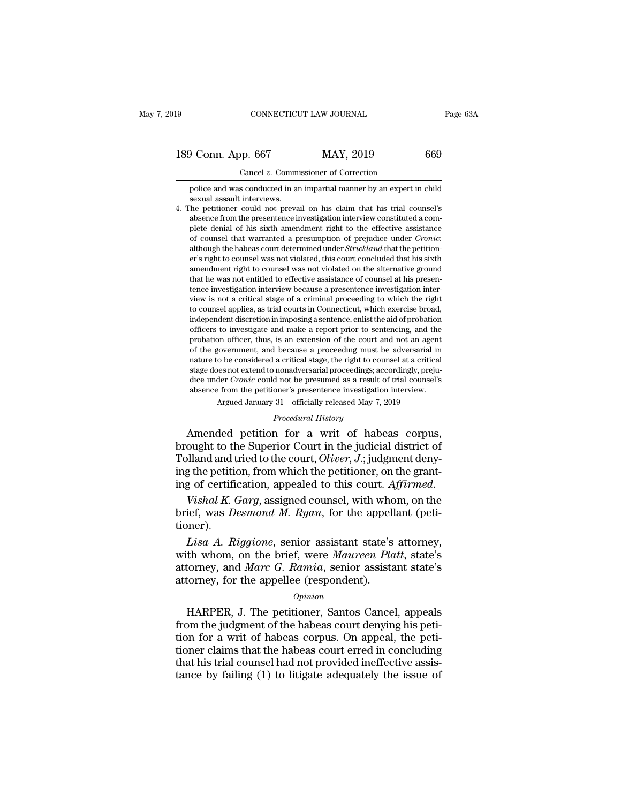189 CONNECTICUT LAW JOURNAL Page 63A<br>
189 Conn. App. 667 MAY, 2019 669<br>
Cancel v. Commissioner of Correction

CONNECTICUT LAW JOURNAL<br>
189 Conn. App. 667 MAY, 2019 669<br>
Cancel *v.* Commissioner of Correction<br>
police and was conducted in an impartial manner by an expert in child  $\begin{array}{r@{\,}c@{\,}} \text{O} & \text{O} & \text{O} & \text{O} & \text{O} \text{O} \ \hline \text{C} & \text{C} & \text{A} & \text{A} & \text{A} & \text{A} & \text{A} & \text{A} & \text{A} & \text{B} & \text{B} \ \hline \text{police and was conducted in an impaired manner by an expert in child sexual assault interviews.} \end{array}$ **Solution**<br>Cancel v. Comminuation<br>police and was conducted in an<br>sexual assault interviews.<br>The petitioner could not preva

189 Conn. App. 667 MAY, 2019 669<br>
Cancel v. Commissioner of Correction<br>
police and was conducted in an impartial manner by an expert in child<br>
sexual assault interviews.<br>
4. The petitioner could not prevail on his claim th From the presentence investigation interview constituted a com-<br>police and was conducted in an impartial manner by an expert in child<br>sexual assault interviews.<br>The petitioner could not prevail on his claim that his trial Cancel  $v$ . Commissioner of Correction<br>police and was conducted in an impartial manner by an expert in child<br>sexual assault interviews.<br>he petitioner could not prevail on his claim that his trial counsel's<br>absence from th police and was conducted in an impartial manner by an expert in child<br>sexual assault interviews.<br>The petitioner could not prevail on his claim that his trial counsel's<br>absence from the presentence investigation interview c sexual assault interviews.<br>
The petitioner could not prevail on his claim that his trial counsel's<br>
absence from the presentence investigation interview constituted a com-<br>
plete denial of his sixth annendment right to the ne peutioner could not prevail on his claim that his trial counsels<br>absence from the presentence investigation interview constituted a com-<br>plete denial of his sixth annendment right to the effective assistance<br>of counsel absence from the presentence investigation interview constituted a complete denial of his sixth amendment right to the effective assistance of counsel that warranted a presumption of prejudice under *Cronic*: although the of counsel that warranted a presumption of prejudice under *Cronic*:<br>although the habeas court determined under *Strickland* that the petition-<br>er's right to counsel was not violated, this court concluded that his sixth<br>a or counsel that warranted a presumption of prejudice under *Cronic*:<br>although the habeas court determined under *Strickland* that the petition-<br>er's right to counsel was not violated, this court concluded that his sixth<br>am atthough the nabeas court determined under *Strickiand* that the petition-<br>er's right to counsel was not violated, this court concluded that his sixth<br>amendment right to counsel was not violated on the alternative ground<br>t er's right to counsel was not violated, this court concluded that his sixth<br>amendment right to counsel was not violated on the alternative ground<br>that he was not entitled to effective assistance of counsel at his presen-<br>t amenament right to counsel was not violated on the alternative ground<br>that he was not entitled to effective assistance of counsel at his presen-<br>tence investigation interview because a presentence investigation inter-<br>view that he was not entuted to effective assistance of counsel at his presentence investigation interview is not a critical stage of a criminal proceeding to which the right to counsel applies, as trial courts in Connecticut, bence investigation interview because a presentence investigation interview is not a critical stage of a criminal proceeding to which the right to counsel applies, as trial courts in Connecticut, which exercise broad, inde view is not a critical stage or a criminal proceeding to which the right to counsel applies, as trial courts in Connecticut, which exercise broad, independent discretion in imposing a sentence, enlist the aid of probation to counsel applies, as trial courts in Connecticut, which exercise broad, independent discretion in imposing a sentence, enlist the aid of probation officers to investigate and make a report prior to sentencing, and the pr malapenaent aiscretion in imposing a sentence, enlist the aid of probation<br>officers to investigate and make a report prior to sentencing, and the<br>probation officer, thus, is an extension of the court and not an agent<br>of th omcers to investigate and make a report prior to sentencing, and the probation officer, thus, is an extension of the court and not an agent of the government, and because a proceeding must be adversarial in nature to be co % of the government, and because a proceeding must be adversarial in nature to be considered a critical stage, the right to counsel at a critical stage does not extend to nonadversarial proceedings; accordingly, prejudice of the government, and because a proceeding must be adversarial in<br>nature to be considered a critical stage, the right to counsel at a critical<br>stage does not extend to nonadversarial proceedings; accordingly, preju-<br>dice

Amended petition for a writ of habeas corpus, stage does not extend to nonadversarial proceedings; accordingly, prejudice under *Cronic* could not be presumed as a result of trial counsel's<br>absence from the petitioner's presentence investigation interview.<br>Argued Jan dice under *Cronic* could not be presumed as a result of trial counsel's<br>absence from the petitioner's presentence investigation interview.<br>Argued January 31—officially released May 7, 2019<br>*Procedural History*<br>Amended pet absence from the petitioner's presentence investigation interview.<br>
Argued January 31—officially released May 7, 2019<br>
Procedural History<br>
Amended petition for a writ of habeas corpus,<br>
brought to the Superior Court in the *Frocedural History*<br>*Procedural History*<br>*Procedural History*<br>**Amended petition for a writ of habeas corpus,**<br>brought to the Superior Court in the judicial district of<br>Tolland and tried to the court, *Oliver*, *J*.; judgm Amended petition for a writ of habeas corpus,<br>brought to the Superior Court in the judicial district of<br>Tolland and tried to the court, *Oliver*, *J*.; judgment deny-<br>ing the petition, from which the petitioner, on the gra

tioner). *Lisa A. Riggione, senior assistant state's*<br>*Lisa A. Riggione, senior and M. Ryan, for the grant-*<br>*Lisa A. Riggione, senior assistant state's attorney,*<br>*Lisa A. Riggione, senior assistant state's attorney,*<br>*Lisa A. Rig* 

ing the petition, from which the petitioner, on the grant-<br>ing of certification, appealed to this court. Affirmed.<br>Vishal K. Garg, assigned counsel, with whom, on the<br>brief, was *Desmond M. Ryan*, for the appellant (peti-<br> ing or certincation, appeaied to this court. *Affirmed.*<br>Vishal K. Garg, assigned counsel, with whom, on the<br>brief, was Desmond M. Ryan, for the appellant (peti-<br>tioner).<br>Lisa A. Riggione, senior assistant state's attorney Vishal K. Garg, assigned counsel, with who<br>brief, was *Desmond M. Ryan*, for the appell<br>tioner).<br>Lisa A. Riggione, senior assistant state's<br>with whom, on the brief, were *Maureen Pla*<br>attorney, and *Marc G. Ramia*, senior Lisa A. Riggione, senior assistant state's attorney,<br>th whom, on the brief, were *Maureen Platt*, state's<br>torney, and *Marc G. Ramia*, senior assistant state's<br>formey, for the appellee (respondent).<br>*Opinion*<br>HARPER, J. Th *Lisa A. Riggione,* senior assistant state's attorney,<br>with whom, on the brief, were *Maureen Platt*, state's<br>attorney, and *Marc G. Ramia*, senior assistant state's<br>attorney, for the appellee (respondent).<br> $o_{pinion}$ <br>HARPER,

## *Opinion*

with whom, on the brief, were *Maureen Platt*, state's<br>attorney, and *Marc G. Ramia*, senior assistant state's<br>attorney, for the appellee (respondent).<br>*Opinion*<br>HARPER, J. The petitioner, Santos Cancel, appeals<br>from the j attorney, and *Marc G. Ramua*, senior assistant state's<br>attorney, for the appellee (respondent).<br> $opinion$ <br>HARPER, J. The petitioner, Santos Cancel, appeals<br>from the judgment of the habeas court denying his peti-<br>tion for a wr attorney, for the appellee (respondent).<br>  $\frac{Option}{1}$ <br>
HARPER, J. The petitioner, Santos Cancel, appeals<br>
from the judgment of the habeas court denying his peti-<br>
tion for a writ of habeas corpus. On appeal, the peti-<br>
tione opinion<br>HARPER, J. The petitioner, Santos Cancel, appeals<br>from the judgment of the habeas court denying his peti-<br>tion for a writ of habeas corpus. On appeal, the peti-<br>tioner claims that the habeas court erred in concludi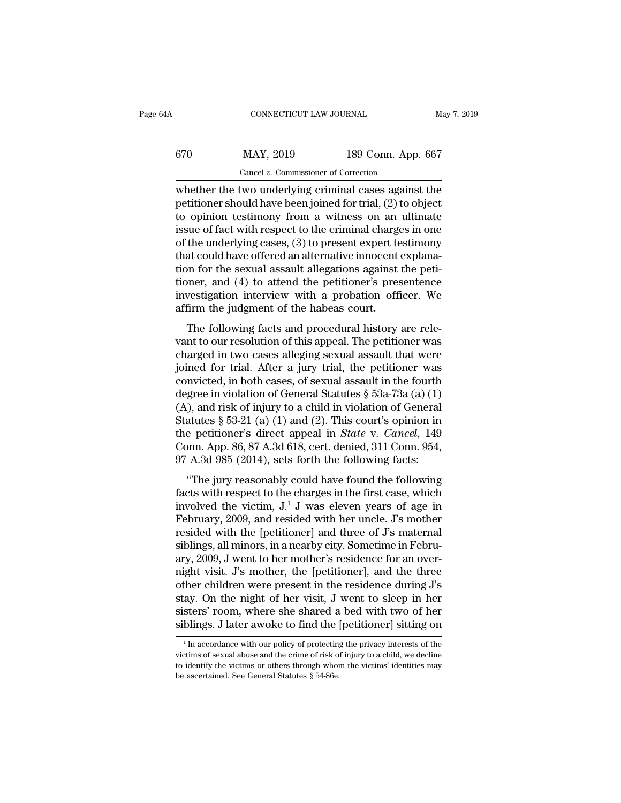| 4A  | CONNECTICUT LAW JOURNAL                               |                    | May 7, 2019 |
|-----|-------------------------------------------------------|--------------------|-------------|
| 670 | MAY, 2019                                             | 189 Conn. App. 667 |             |
|     | Cancel $v$ . Commissioner of Correction               |                    |             |
|     | whether the two underlying criminal cases against the |                    |             |

CONNECTICUT LAW JOURNAL May 7, 2019<br>
WAY, 2019 189 Conn. App. 667<br>
Cancel v. Commissioner of Correction<br>
whether the two underlying criminal cases against the<br>
petitioner should have been joined for trial, (2) to object<br>
t  $\begin{array}{r} \text{MAX, 2019} \\ \text{Cancel } v. \text{ Commissioner of Correction} \end{array}$ <br>
whether the two underlying criminal cases against the petitioner should have been joined for trial, (2) to object to opinion testimony from a witness on an ultimate issue of fec  $\frac{\text{KAP}}{\text{Gaeel } v \cdot \text{Commissioner of Correction}}$ <br>
Whether the two underlying criminal cases against the petitioner should have been joined for trial, (2) to object<br>
to opinion testimony from a witness on an ultimate<br>
issue of fact with respe  $\frac{\text{MAY, 2019}}{\text{Cancel } v. \text{ Commissioner of Correction}}$ <br>
whether the two underlying criminal cases against the petitioner should have been joined for trial, (2) to object<br>
to opinion testimony from a witness on an ultimate<br>
issue of fact with r Cancel v. Commissioner of Correction<br>whether the two underlying criminal cases against the<br>petitioner should have been joined for trial, (2) to object<br>to opinion testimony from a witness on an ultimate<br>issue of fact with Cancel v. Commissioner of Correction<br>whether the two underlying criminal cases against the<br>petitioner should have been joined for trial, (2) to object<br>to opinion testimony from a witness on an ultimate<br>issue of fact with whether the two underlying criminal cases against the petitioner should have been joined for trial,  $(2)$  to object to opinion testimony from a witness on an ultimate issue of fact with respect to the criminal charges in petitioner should have been joined for trial, (2) to object<br>to opinion testimony from a witness on an ultimate<br>issue of fact with respect to the criminal charges in one<br>of the underlying cases, (3) to present expert testim to opinion testimony from a witness on an ultimate<br>issue of fact with respect to the criminal charges in one<br>of the underlying cases, (3) to present expert testimony<br>that could have offered an alternative innocent explanaissue of fact with respect to the criminal charge<br>of the underlying cases, (3) to present expert te<br>that could have offered an alternative innocent<br>tion for the sexual assault allegations against<br>tioner, and (4) to attend and could have offered an alternative innocent explanation for the sexual assault allegations against the peti-<br>pher, and (4) to attend the petitioner's presentence<br>vestigation interview with a probation officer. We<br>firm t ration for the sexual assault allegations against the petitioner, and (4) to attend the petitioner's presentence<br>investigation interview with a probation officer. We<br>affirm the judgment of the habeas court.<br>The following f

charged in two cases alleging sexual assault and protectioner, and (4) to attend the petitioner's presentence<br>investigation interview with a probation officer. We<br>affirm the judgment of the habeas court.<br>The following fact investigation interview with a probation officer. We<br>affirm the judgment of the habeas court.<br>The following facts and procedural history are rele-<br>vant to our resolution of this appeal. The petitioner was<br>charged in two c mvestigation interview with a probation officer. We<br>affirm the judgment of the habeas court.<br>The following facts and procedural history are rele-<br>vant to our resolution of this appeal. The petitioner was<br>charged in two ca The following facts and procedural history are relevant to our resolution of this appeal. The petitioner was charged in two cases alleging sexual assault that were joined for trial. After a jury trial, the petitioner was The following facts and procedural history are relevant to our resolution of this appeal. The petitioner was charged in two cases alleging sexual assault that were joined for trial. After a jury trial, the petitioner was vant to our resolution of this appeal. The petitioner was<br>charged in two cases alleging sexual assault that were<br>joined for trial. After a jury trial, the petitioner was<br>convicted, in both cases, of sexual assault in the charged in two cases alleging sexual assault that were<br>joined for trial. After a jury trial, the petitioner was<br>convicted, in both cases, of sexual assault in the fourth<br>degree in violation of General Statutes § 53a-73a (a joined for trial. After a jury trial, the petitioner was convicted, in both cases, of sexual assault in the fourth degree in violation of General Statutes  $\S$  53a-73a (a) (1) (A), and risk of injury to a child in violatio convicted, in both cases, of sexual assault in the fourth<br>degree in violation of General Statutes § 53a-73a (a) (1)<br>(A), and risk of injury to a child in violation of General<br>Statutes § 53-21 (a) (1) and (2). This court's ), and risk of injury to a child in violation of General<br>atutes § 53-21 (a) (1) and (2). This court's opinion in<br>e petitioner's direct appeal in *State* v. *Cancel*, 149<br>pnn. App. 86, 87 A.3d 618, cert. denied, 311 Conn. Statutes § 53-21 (a) (1) and (2). This court's opinion in<br>the petitioner's direct appeal in *State* v. *Cancel*, 149<br>Conn. App. 86, 87 A.3d 618, cert. denied, 311 Conn. 954,<br>97 A.3d 985 (2014), sets forth the following fa

blacked s  $\frac{1}{2}$  of  $\frac{1}{2}$  and  $\frac{1}{2}$ . This court s opmort in<br>the petitioner's direct appeal in *State* v. *Cancel*, 149<br>Conn. App. 86, 87 A.3d 618, cert. denied, 311 Conn. 954,<br>97 A.3d 985 (2014), sets forth the Fractional Surface and Findel v. Cancer, 145<br>Conn. App. 86, 87 A.3d 618, cert. denied, 311 Conn. 954,<br>97 A.3d 985 (2014), sets forth the following facts:<br>"The jury reasonably could have found the following<br>facts with resp 97 A.3d 985 (2014), sets forth the following facts:<br>
"The jury reasonably could have found the following<br>
facts with respect to the charges in the first case, which<br>
involved the victim,  $J<sup>1</sup> J$  was eleven years of ag The jury reasonably could have found the following<br>facts with respect to the charges in the first case, which<br>involved the victim,  $J^1 J$  was eleven years of age in<br>February, 2009, and resided with her uncle.  $J$ 's mother "The jury reasonably could have found the following<br>facts with respect to the charges in the first case, which<br>involved the victim,  $J<sup>1</sup>J$  was eleven years of age in<br>February, 2009, and resided with her uncle.  $J$ 's m facts with respect to the charges in the first case, which<br>involved the victim, J.<sup>1</sup> J was eleven years of age in<br>February, 2009, and resided with her uncle. J's mother<br>resided with the [petitioner] and three of J's mater involved the victim, J.<sup>1</sup> J was eleven years of age in<br>February, 2009, and resided with her uncle. J's mother<br>resided with the [petitioner] and three of J's maternal<br>siblings, all minors, in a nearby city. Sometime in Feb February, 2009, and resided with her uncle. J's mother<br>resided with the [petitioner] and three of J's maternal<br>siblings, all minors, in a nearby city. Sometime in Febru-<br>ary, 2009, J went to her mother's residence for an o resided with the [petitioner] and three of J's maternal<br>siblings, all minors, in a nearby city. Sometime in Febru-<br>ary, 2009, J went to her mother's residence for an over-<br>night visit. J's mother, the [petitioner], and the siblings, all minors, in a nearby city. Sometime in February, 2009, J went to her mother's residence for an over-<br>night visit. J's mother, the [petitioner], and the three<br>other children were present in the residence during other children were present in the residence during J's<br>stay. On the night of her visit, J went to sleep in her<br>sisters' room, where she shared a bed with two of her<br>siblings. J later awoke to find the [petitioner] sittin stay. On the night of her visit, J went to sleep in her sisters' room, where she shared a bed with two of her siblings. J later awoke to find the [petitioner] sitting on  $\frac{1}{1}$  In accordance with our policy of protectin

sisters' room, where she shared a bed with two of her siblings. J later awoke to find the [petitioner] sitting on  $\frac{1}{1}$  in accordance with our policy of protecting the privacy interests of the victims of sexual abuse siblings. J later awoke to find the  $\frac{1}{1}$  In accordance with our policy of protecting victims of sexual abuse and the crime of risk of to identify the victims or others through whom be ascertained. See General Statute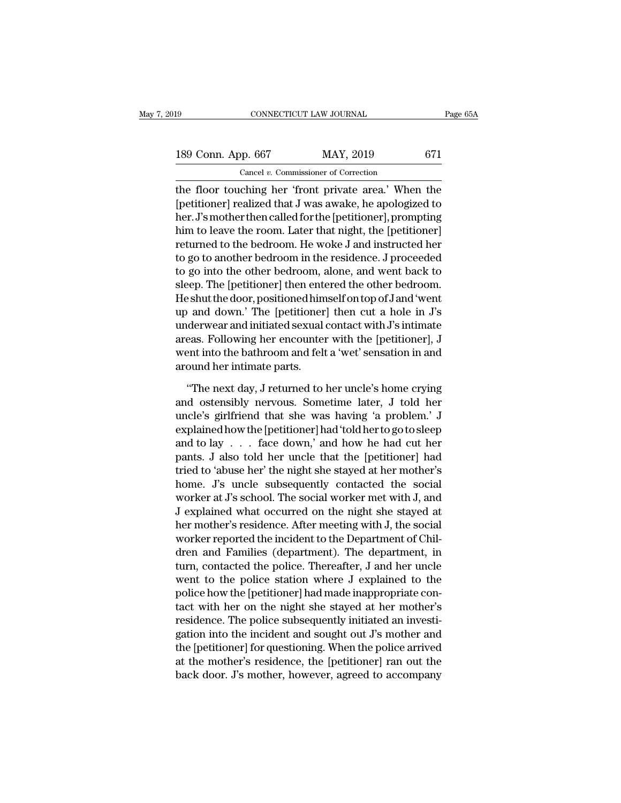189 CONNECTICUT LAW JOURNAL Page 65A<br>
189 Conn. App. 667 MAY, 2019 671<br>
Cancel v. Commissioner of Correction CONNECTICUT LAW JOURNAL<br>
pp. 667 MAY, 2019<br>
Cancel *v.* Commissioner of Correction<br>
ching her 'front private area' When

The floor touching her 'front private area.' When the floor touching her 'front private area.' When the spectrum cancel with a same area.' When the spectrum can be seen that J was awake, he apologized to the France between 189 Conn. App. 667 MAY, 2019 671<br>
Cancel v. Commissioner of Correction<br>
the floor touching her 'front private area.' When the<br>
[petitioner] realized that J was awake, he apologized to<br>
her. J's mother then called for the 189 Conn. App. 667 MAY, 2019 671<br>
Cancel v. Commissioner of Correction<br>
the floor touching her 'front private area.' When the<br>
[petitioner] realized that J was awake, he apologized to<br>
her. J's mother then called for the 189 Conn. App. 667 MAY, 2019 671<br>
Cancel v. Commissioner of Correction<br>
the floor touching her 'front private area.' When the<br>
[petitioner] realized that J was awake, he apologized to<br>
her. J's mother then called for the Cancel v. Commissioner of Correction<br>the floor touching her 'front private area.' When the<br>[petitioner] realized that J was awake, he apologized to<br>her. J's mother then called for the [petitioner], prompting<br>him to leave Caller *v.* Commissioner or Correction<br>the floor touching her 'front private area.' When the<br>[petitioner] realized that J was awake, he apologized to<br>her. J's mother then called for the [petitioner], prompting<br>him to leave the floor touching her 'front private area.' When the<br>[petitioner] realized that J was awake, he apologized to<br>her. J's mother then called for the [petitioner], prompting<br>him to leave the room. Later that night, the [petit [petitioner] realized that J was awake, he apologized to<br>her. J's mother then called for the [petitioner], prompting<br>him to leave the room. Later that night, the [petitioner]<br>returned to the bedroom. He woke J and instruct her. J's mother then called for the [petitioner], prompting<br>him to leave the room. Later that night, the [petitioner]<br>returned to the bedroom. He woke J and instructed her<br>to go to another bedroom in the residence. J proce him to leave the room. Later that night, the [petitioner]<br>returned to the bedroom. He woke J and instructed her<br>to go to another bedroom in the residence. J proceeded<br>to go into the other bedroom, alone, and went back to<br>s returned to the bedroom. He woke J and instructed her<br>to go to another bedroom in the residence. J proceeded<br>to go into the other bedroom, alone, and went back to<br>sleep. The [petitioner] then entered the other bedroom.<br>He to go to another bedroom in the residence. J proceeded<br>to go into the other bedroom, alone, and went back to<br>sleep. The [petitioner] then entered the other bedroom.<br>He shut the door, positioned himself on top of J and 'wen to go into the other bedroom, alone, and went back to<br>sleep. The [petitioner] then entered the other bedroom.<br>He shut the door, positioned himself on top of J and 'went<br>up and down.' The [petitioner] then cut a hole in J's sleep. The [petitioner] then enta<br>He shut the door, positioned him<br>up and down.' The [petitioner<br>underwear and initiated sexual<br>areas. Following her encounter<br>went into the bathroom and felt<br>around her intimate parts.<br>"The o and down.' The [petitioner] then cut a hole in J's<br>derwear and initiated sexual contact with J's intimate<br>eas. Following her encounter with the [petitioner], J<br>ent into the bathroom and felt a 'wet' sensation in and<br>ound underwear and initiated sexual contact with J's intimate<br>areas. Following her encounter with the [petitioner], J<br>went into the bathroom and felt a 'wet' sensation in and<br>around her intimate parts.<br>"The next day, J returned

areas. Following her encounter with the [petitioner], J<br>went into the bathroom and felt a 'wet' sensation in and<br>around her intimate parts.<br>"The next day, J returned to her uncle's home crying<br>and ostensibly nervous. Somet went into the bathroom and felt a 'wet' sensation in and<br>around her intimate parts.<br>"The next day, J returned to her uncle's home crying<br>and ostensibly nervous. Sometime later, J told her<br>uncle's girlfriend that she was ha around her intimate parts.<br>
"The next day, J returned to her uncle's home crying<br>
and ostensibly nervous. Sometime later, J told her<br>
uncle's girlfriend that she was having 'a problem.' J<br>
explained how the [petitioner] ha "The next day, J returned to her uncle's home crying<br>and ostensibly nervous. Sometime later, J told her<br>uncle's girlfriend that she was having 'a problem.' J<br>explained how the [petitioner] had 'told her to go to sleep<br>and "The next day, J returned to her uncle's home crying<br>and ostensibly nervous. Sometime later, J told her<br>uncle's girlfriend that she was having 'a problem.' J<br>explained how the [petitioner] had 'told her to go to sleep<br>and and ostensibly nervous. Sometime later, J told her<br>uncle's girlfriend that she was having 'a problem.' J<br>explained how the [petitioner] had 'told her to go to sleep<br>and to lay . . . face down,' and how he had cut her<br>pants uncle's girlfriend that she was having 'a problem.' J<br>explained how the [petitioner] had 'told her to go to sleep<br>and to lay  $\ldots$  face down,' and how he had cut her<br>pants. J also told her uncle that the [petitioner] had<br> explained how the [petitioner] had 'told her to go to sleep<br>and to lay  $\ldots$  face down,' and how he had cut her<br>pants. J also told her uncle that the [petitioner] had<br>tried to 'abuse her' the night she stayed at her mothe and to lay . . . face down,' and how he had cut her<br>pants. J also told her uncle that the [petitioner] had<br>tried to 'abuse her' the night she stayed at her mother's<br>home. J's uncle subsequently contacted the social<br>worker pants. J also told her uncle that the [petitioner] had<br>tried to 'abuse her' the night she stayed at her mother's<br>home. J's uncle subsequently contacted the social<br>worker at J's school. The social worker met with J, and<br>J e tried to 'abuse her' the night she stayed at her mother's<br>home. J's uncle subsequently contacted the social<br>worker at J's school. The social worker met with J, and<br>J explained what occurred on the night she stayed at<br>her m home. J's uncle subsequently contacted the social<br>worker at J's school. The social worker met with J, and<br>J explained what occurred on the night she stayed at<br>her mother's residence. After meeting with J, the social<br>worker worker at J's school. The social worker met with J, and<br>J explained what occurred on the night she stayed at<br>her mother's residence. After meeting with J, the social<br>worker reported the incident to the Department of Chil-<br> J explained what occurred on the night she stayed at<br>her mother's residence. After meeting with J, the social<br>worker reported the incident to the Department of Chil-<br>dren and Families (department). The department, in<br>turn, her mother's residence. After meeting with J, the social<br>worker reported the incident to the Department of Chil-<br>dren and Families (department). The department, in<br>turn, contacted the police. Thereafter, J and her uncle<br>we worker reported the incident to the Department of Children and Families (department). The department, in<br>turn, contacted the police. Thereafter, J and her uncle<br>went to the police station where J explained to the<br>police ho dren and Families (department). The department, in<br>turn, contacted the police. Thereafter, J and her uncle<br>went to the police station where J explained to the<br>police how the [petitioner] had made inappropriate con-<br>tact wi turn, contacted the police. Thereafter, J and her uncle<br>went to the police station where J explained to the<br>police how the [petitioner] had made inappropriate con-<br>tact with her on the night she stayed at her mother's<br>resi went to the police station where J explained to the<br>police how the [petitioner] had made inappropriate con-<br>tact with her on the night she stayed at her mother's<br>residence. The police subsequently initiated an investi-<br>gat police how the [petitioner] had made inappropriate contact with her on the night she stayed at her mother's residence. The police subsequently initiated an investigation into the incident and sought out J's mother and the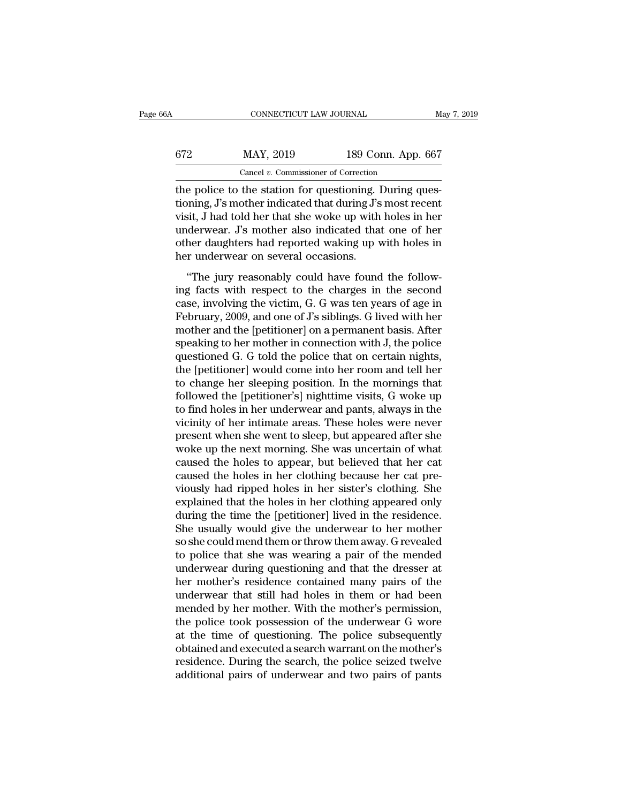| 6A  | CONNECTICUT LAW JOURNAL                                |                    | May 7, 2019 |
|-----|--------------------------------------------------------|--------------------|-------------|
| 672 | MAY, 2019                                              | 189 Conn. App. 667 |             |
|     | Cancel $v$ . Commissioner of Correction                |                    |             |
|     | the police to the station for questioning During ques- |                    |             |

CONNECTICUT LAW JOURNAL<br>
STREET MAY, 2019 189 Conn. App. 667<br>
Cancel v. Commissioner of Correction<br>
The police to the station for questioning. During ques-<br>
tioning, J's mother indicated that during J's most recent<br>
visit. the police to the station for questioning. During questioning, J's mother indicated that during J's most recent<br>wisit, J had told her that she woke up with holes in her underwork. For method and price indicated that one of  $X$   $\frac{189}{2019}$   $\frac{189}{2010}$   $\frac{189}{2010}$ . App. 667<br>
the police to the station for questioning. During questioning, J's mother indicated that during J's most recent<br>
visit, J had told her that she woke up with hole  $\frac{\text{MAY, 2019}}{\text{Cancel } v. \text{ Commissioner of Correction}}$ <br>
the police to the station for questioning. During questioning, J's mother indicated that during J's most recent<br>
visit, J had told her that she woke up with holes in her<br>
underwear. J's m Cancel v. Commissioner of Correction<br>the police to the station for questioning. During ques-<br>tioning, J's mother indicated that during J's most recent<br>visit, J had told her that she woke up with holes in her<br>underwear. J's Cancel v. Commissioner of Correction<br>the police to the station for questioning. I<br>tioning, J's mother indicated that during J's<br>visit, J had told her that she woke up with<br>underwear. J's mother also indicated that<br>other da  $\mu$  is mother indicated that during J's most recent<br>sit, J had told her that she woke up with holes in her<br>derwear. J's mother also indicated that one of her<br>her daughters had reported waking up with holes in<br>r underwear visit, J had told her that she woke up with holes in her underwear. J's mother also indicated that one of her other daughters had reported waking up with holes in her underwear on several occasions.<br>
"The jury reasonably

visit, 3 nad cold her dide she worke up with holes in her<br>underwear. J's mother also indicated that one of her<br>other daughters had reported waking up with holes in<br>her underwear on several occasions.<br>"The jury reasonably c other daughters had reported waking up with holes in<br>her underwear on several occasions.<br>"The jury reasonably could have found the follow-<br>ing facts with respect to the charges in the second<br>case, involving the victim, G. basis and the petitions.<br>
The implementary could have found the following facts with respect to the charges in the second<br>
case, involving the victim, G. G was ten years of age in<br>
February, 2009, and one of J's siblings. "The jury reasonably could have found the follow-<br>ing facts with respect to the charges in the second<br>case, involving the victim, G. G was ten years of age in<br>February, 2009, and one of J's siblings. G lived with her<br>mothe "The jury reasonably could have found the following facts with respect to the charges in the second case, involving the victim, G. G was ten years of age in February, 2009, and one of  $J$ 's siblings. G lived with her moth ing facts with respect to the charges in the second<br>case, involving the victim, G. G was ten years of age in<br>February, 2009, and one of J's siblings. G lived with her<br>mother and the [petitioner] on a permanent basis. After case, involving the victim, G. G was ten years of age in<br>February, 2009, and one of J's siblings. G lived with her<br>mother and the [petitioner] on a permanent basis. After<br>speaking to her mother in connection with J, the po February, 2009, and one of J's siblings. G lived with her<br>mother and the [petitioner] on a permanent basis. After<br>speaking to her mother in connection with J, the police<br>questioned G. G told the police that on certain nigh mother and the [petitioner] on a permanent basis. After<br>speaking to her mother in connection with J, the police<br>questioned G. G told the police that on certain nights,<br>the [petitioner] would come into her room and tell her speaking to her mother in connection with J, the police<br>questioned G. G told the police that on certain nights,<br>the [petitioner] would come into her room and tell her<br>to change her sleeping position. In the mornings that<br>f questioned G. G told the police that on certain nights,<br>the [petitioner] would come into her room and tell her<br>to change her sleeping position. In the mornings that<br>followed the [petitioner's] nighttime visits, G woke up<br>t the [petitioner] would come into her room and tell her<br>to change her sleeping position. In the mornings that<br>followed the [petitioner's] nighttime visits, G woke up<br>to find holes in her underwear and pants, always in the<br>v to change her sleeping position. In the mornings that<br>followed the [petitioner's] nighttime visits, G woke up<br>to find holes in her underwear and pants, always in the<br>vicinity of her intimate areas. These holes were never<br>p followed the [petitioner's] nighttime visits, G woke up<br>to find holes in her underwear and pants, always in the<br>vicinity of her intimate areas. These holes were never<br>present when she went to sleep, but appeared after she<br> to find holes in her underwear and pants, always in the vicinity of her intimate areas. These holes were never present when she went to sleep, but appeared after she woke up the next morning. She was uncertain of what caus vicinity of her intimate areas. These holes were never<br>present when she went to sleep, but appeared after she<br>woke up the next morning. She was uncertain of what<br>caused the holes to appear, but believed that her cat<br>caused present when she went to sleep, but appeared after she<br>woke up the next morning. She was uncertain of what<br>caused the holes to appear, but believed that her cat<br>caused the holes in her clothing because her cat pre-<br>viously woke up the next morning. She was uncertain of what<br>caused the holes to appear, but believed that her cat<br>caused the holes in her clothing because her cat pre-<br>viously had ripped holes in her sister's clothing. She<br>explain caused the holes to appear, but believed that her cat<br>caused the holes in her clothing because her cat pre-<br>viously had ripped holes in her sister's clothing. She<br>explained that the holes in her clothing appeared only<br>duri caused the holes in her clothing because her cat pre-<br>viously had ripped holes in her sister's clothing. She<br>explained that the holes in her clothing appeared only<br>during the time the [petitioner] lived in the residence.<br>S viously had ripped holes in her sister's clothing. She<br>explained that the holes in her clothing appeared only<br>during the time the [petitioner] lived in the residence.<br>She usually would give the underwear to her mother<br>so s explained that the holes in her clothing appeared only<br>during the time the [petitioner] lived in the residence.<br>She usually would give the underwear to her mother<br>so she could mend them or throw them away. G revealed<br>to po during the time the [petitioner] lived in the residence.<br>She usually would give the underwear to her mother<br>so she could mend them or throw them away. G revealed<br>to police that she was wearing a pair of the mended<br>underwea She usually would give the underwear to her mother<br>so she could mend them or throw them away. G revealed<br>to police that she was wearing a pair of the mended<br>underwear during questioning and that the dresser at<br>her mother's so she could mend them or throw them away. G revealed<br>to police that she was wearing a pair of the mended<br>underwear during questioning and that the dresser at<br>her mother's residence contained many pairs of the<br>underwear th to police that she was wearing a pair of the mended<br>underwear during questioning and that the dresser at<br>her mother's residence contained many pairs of the<br>underwear that still had holes in them or had been<br>mended by her m underwear during questioning and that the dresser at<br>her mother's residence contained many pairs of the<br>underwear that still had holes in them or had been<br>mended by her mother. With the mother's permission,<br>the police took her mother's residence contained many pairs of the<br>underwear that still had holes in them or had been<br>mended by her mother. With the mother's permission,<br>the police took possession of the underwear G wore<br>at the time of qu underwear that still had holes in them or had been<br>mended by her mother. With the mother's permission,<br>the police took possession of the underwear G wore<br>at the time of questioning. The police subsequently<br>obtained and exe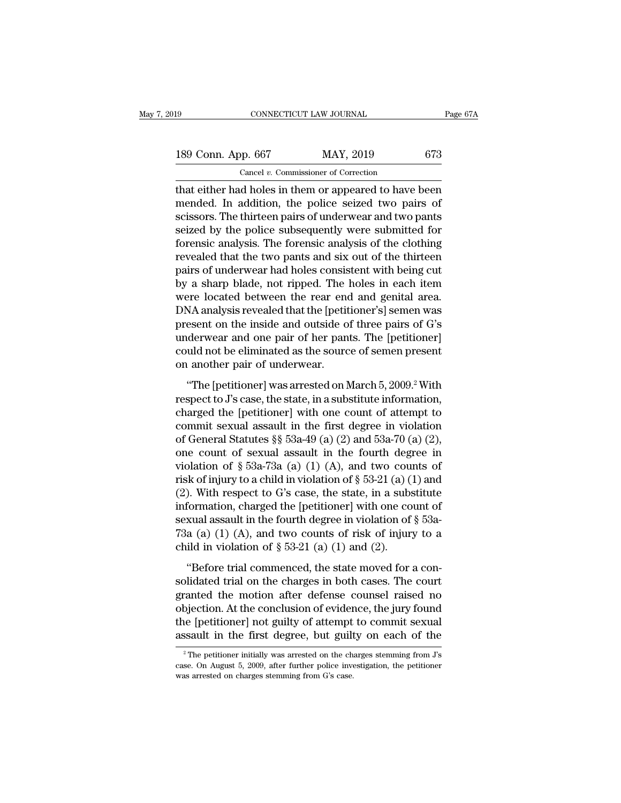189 CONNECTICUT LAW JOURNAL Page 67A<br>
189 Conn. App. 667 MAY, 2019 673<br>
Cancel v. Commissioner of Correction CONNECTICUT LAW JOURNAL<br>
pp. 667 MAY, 2019<br>
Cancel *v.* Commissioner of Correction<br>
d holes in them or anneared to have

that either had holes in them or appeared to have been<br>that either had holes in them or appeared to have been<br>mended. In addition, the police seized two pairs of<br>resiscers. The thirteen neire of underwear and two pairs 189 Conn. App. 667 MAY, 2019 673<br>
Cancel v. Commissioner of Correction<br>
that either had holes in them or appeared to have been<br>
mended. In addition, the police seized two pairs of<br>
scissors. The thirteen pairs of underwear 189 Conn. App. 667 MAY, 2019 673<br>
Cancel v. Commissioner of Correction<br>
that either had holes in them or appeared to have been<br>
mended. In addition, the police seized two pairs of<br>
scissors. The thirteen pairs of underwea 189 Conn. App. 667 MAY, 2019 673<br>
Cancel v. Commissioner of Correction<br>
that either had holes in them or appeared to have been<br>
mended. In addition, the police seized two pairs of<br>
scissors. The thirteen pairs of underwea For the cancel v. Commissioner of Correction<br>that either had holes in them or appeared to have been<br>mended. In addition, the police seized two pairs of<br>scissors. The thirteen pairs of underwear and two pants<br>seized by the Cancer v. Commissioner of Correction<br>that either had holes in them or appeared to have been<br>mended. In addition, the police seized two pairs of<br>scissors. The thirteen pairs of underwear and two pants<br>seized by the police s that either had holes in them or appeared to have been<br>mended. In addition, the police seized two pairs of<br>scissors. The thirteen pairs of underwear and two pants<br>seized by the police subsequently were submitted for<br>forens mended. In addition, the police seized two pairs of<br>scissors. The thirteen pairs of underwear and two pants<br>seized by the police subsequently were submitted for<br>forensic analysis. The forensic analysis of the clothing<br>reve scissors. The thirteen pairs of underwear and two pants<br>seized by the police subsequently were submitted for<br>forensic analysis. The forensic analysis of the clothing<br>revealed that the two pants and six out of the thirteen<br> seized by the police subsequently were submitted for<br>forensic analysis. The forensic analysis of the clothing<br>revealed that the two pants and six out of the thirteen<br>pairs of underwear had holes consistent with being cut<br>b forensic analysis. The forensic analysis of the clothing<br>revealed that the two pants and six out of the thirteen<br>pairs of underwear had holes consistent with being cut<br>by a sharp blade, not ripped. The holes in each item<br>w revealed that the two pants and six out of the thirteen<br>pairs of underwear had holes consistent with being cut<br>by a sharp blade, not ripped. The holes in each item<br>were located between the rear end and genital area.<br>DNA an pairs of underwear had holes consistent with being cut<br>by a sharp blade, not ripped. The holes in each item<br>were located between the rear end and genital area.<br>DNA analysis revealed that the [petitioner's] semen was<br>presen by a sharp blade, not ripped. The livere located between the rear end<br>DNA analysis revealed that the [petit<br>present on the inside and outside of<br>underwear and one pair of her pan<br>could not be eliminated as the sourc<br>on ano NA analysis revealed that the [petitioner's] semen was<br>esent on the inside and outside of three pairs of G's<br>derwear and one pair of her pants. The [petitioner]<br>uld not be eliminated as the source of semen present<br>another present on the inside and outside of three pairs of G's<br>underwear and one pair of her pants. The [petitioner]<br>could not be eliminated as the source of semen present<br>on another pair of underwear.<br>"The [petitioner] was arres

underwear and one pair of her pants. The [petitioner]<br>could not be eliminated as the source of semen present<br>on another pair of underwear.<br>"The [petitioner] was arrested on March 5, 2009.<sup>2</sup> With<br>respect to J's case, the could not be eliminated as the source of semen present<br>on another pair of underwear.<br>"The [petitioner] was arrested on March 5, 2009.<sup>2</sup> With<br>respect to J's case, the state, in a substitute information,<br>charged the [petit on another pair of underwear.<br>
"The [petitioner] was arrested on March 5, 2009.<sup>2</sup> With<br>
respect to J's case, the state, in a substitute information,<br>
charged the [petitioner] with one count of attempt to<br>
commit sexual a "The [petitioner] was arrested on March 5, 2009.<sup>2</sup> With<br>respect to J's case, the state, in a substitute information,<br>charged the [petitioner] with one count of attempt to<br>commit sexual assault in the first degree in viol "The [petitioner] was arrested on March 5, 2009.<sup>2</sup> With<br>respect to J's case, the state, in a substitute information,<br>charged the [petitioner] with one count of attempt to<br>commit sexual assault in the first degree in viol respect to J's case, the state, in a substitute information,<br>charged the [petitioner] with one count of attempt to<br>commit sexual assault in the first degree in violation<br>of General Statutes §§ 53a-49 (a) (2) and 53a-70 (a charged the [petitioner] with one count of attempt to<br>commit sexual assault in the first degree in violation<br>of General Statutes §§ 53a-49 (a) (2) and 53a-70 (a) (2),<br>one count of sexual assault in the fourth degree in<br>vi commit sexual assault in the first degree in violation<br>of General Statutes §§ 53a-49 (a) (2) and 53a-70 (a) (2),<br>one count of sexual assault in the fourth degree in<br>violation of § 53a-73a (a) (1) (A), and two counts of<br>ri of General Statutes §§ 53a-49 (a) (2) and 53a-70 (a) (2),<br>one count of sexual assault in the fourth degree in<br>violation of § 53a-73a (a) (1) (A), and two counts of<br>risk of injury to a child in violation of § 53-21 (a) (1) one count of sexual assault in the fourth degree in violation of  $\S$  53a-73a (a) (1) (A), and two counts of risk of injury to a child in violation of  $\S$  53-21 (a) (1) and (2). With respect to G's case, the state, in a su violation of § 53a-73a (a) (1) (A), and two coursined in violation of § 53-21 (a) ((2). With respect to G's case, the state, in a subselinformation, charged the [petitioner] with one co sexual assault in the fourth degree ). With respect to G's case, the state, in a substitute<br>formation, charged the [petitioner] with one count of<br>xual assault in the fourth degree in violation of § 53a-<br>a (a) (1) (A), and two counts of risk of injury to a<br>i information, charged the [petitioner] with one count of<br>sexual assault in the fourth degree in violation of  $\S$  53a-<br>73a (a) (1) (A), and two counts of risk of injury to a<br>child in violation of  $\S$  53-21 (a) (1) and (2).<br>

sexual assault in the fourth degree in violation of  $\S$  53a-<br>73a (a) (1) (A), and two counts of risk of injury to a<br>child in violation of  $\S$  53-21 (a) (1) and (2).<br>"Before trial commenced, the state moved for a con-<br>soli 73a (a) (1) (A), and two counts of risk of injury to a<br>child in violation of  $\S$  53-21 (a) (1) and (2).<br>"Before trial commenced, the state moved for a con-<br>solidated trial on the charges in both cases. The court<br>granted t child in violation of  $\S$  53-21 (a) (1) and (2).<br>
"Before trial commenced, the state moved for a consolidated trial on the charges in both cases. The court<br>
granted the motion after defense counsel raised no<br>
objection. A "Before trial commenced, the state moved for a consolidated trial on the charges in both cases. The court granted the motion after defense counsel raised no objection. At the conclusion of evidence, the jury found the [pe canted the motion arter defense counsel raised no<br>bjection. At the conclusion of evidence, the jury found<br>le [petitioner] not guilty of attempt to commit sexual<br>ssault in the first degree, but guilty on each of the<br> $\frac{1}{$ objection. At the conclusion of evidence, the jury found<br>the [petitioner] not guilty of attempt to commit sexual<br>assault in the first degree, but guilty on each of the<br> $\frac{1}{2}$ The petitioner initially was arrested on the

the [petitioner] not guilty of attempt assault in the first degree, but guilt  $\frac{1}{2}$  The petitioner initially was arrested on the charges stemming from G's case.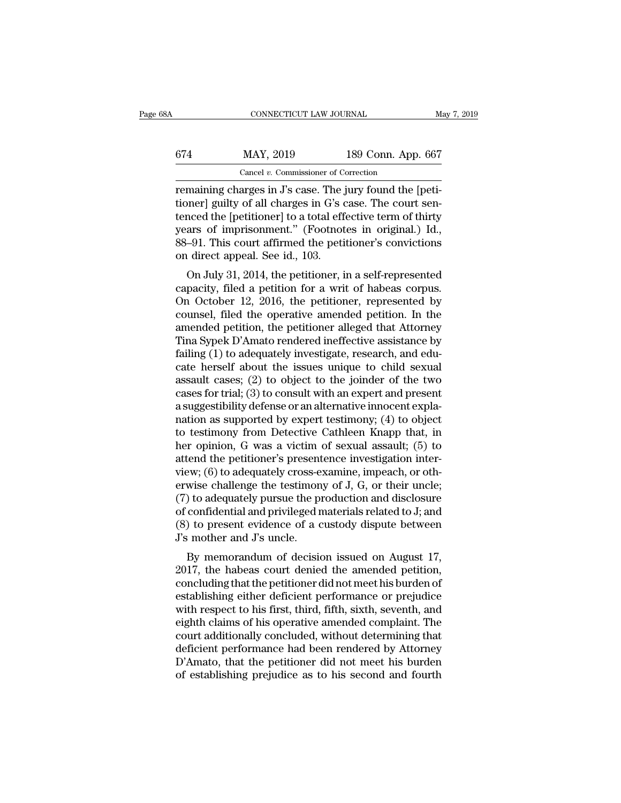| šΑ  | CONNECTICUT LAW JOURNAL                                  |                    | May 7, 2019 |
|-----|----------------------------------------------------------|--------------------|-------------|
| 674 | MAY, 2019                                                | 189 Conn. App. 667 |             |
|     | Cancel $v$ . Commissioner of Correction                  |                    |             |
|     | remaining charges in I's case. The jury found the Ineti- |                    |             |

CONNECTICUT LAW JOURNAL<br>
FORMAL MAY, 2019 189 Conn. App. 667<br>
Cancel v. Commissioner of Correction<br>
Fermaining charges in J's case. The jury found the [peti-<br>
tioner] guilty of all charges in G's case. The court sen-<br>
teng 674 MAY, 2019 189 Conn. App. 667<br>
Cancel *v.* Commissioner of Correction<br>
remaining charges in J's case. The jury found the [peti-<br>
tioner] guilty of all charges in G's case. The court sen-<br>
tenced the [petitioner] to a to  $\frac{\text{KAP}}{\text{Gaeel } v \cdot \text{Commissioner of Correction}}$ <br>  $\frac{\text{Caneel } v \cdot \text{Commissioner of Correction}}{\text{remaining charges in J's case. The jury found the [peti-  
tioner] guilty of all charges in G's case. The court sen-  
tenced the [petitioner] to a total effective term of thirty  
years of imprisonment." ( Footnotes in original.) Id.,  
88.01 This court offirmod the notificationer's convictions$  $\frac{\text{MAY, 2019}}{\text{Cancel } v. \text{ Commissioner of Correction}}$ <br>
remaining charges in J's case. The jury found the [petitioner] guilty of all charges in G's case. The court sentenced the [petitioner] to a total effective term of thirty years of impriso Cancel v. Commissioner of Correction<br>
remaining charges in J's case. The jury found the [peti-<br>
tioner] guilty of all charges in G's case. The court sen-<br>
tenced the [petitioner] to a total effective term of thirty<br>
years Cancel v. Commissioner of Care<br>remaining charges in  $J$ 's case. The j<br>tioner] guilty of all charges in  $G$ 's c<br>tenced the [petitioner] to a total eff<br>years of imprisonment." (Footnot<br>88–91. This court affirmed the petit<br>o maning charges in J s case. The jury found the [peu-<br>mer] guilty of all charges in G's case. The court sen-<br>nced the [petitioner] to a total effective term of thirty<br>ars of imprisonment." (Footnotes in original.) Id.,<br>-91 conter j gunty of an charges in G s case. The court sent-<br>tenced the [petitioner] to a total effective term of thirty<br>years of imprisonment." (Footnotes in original.) Id.,<br>88–91. This court affirmed the petitioner's convic

Lenceu the [petitioner] to a total effective term of thirty<br>years of imprisonment." (Footnotes in original.) Id.,<br>88–91. This court affirmed the petitioner's convictions<br>on direct appeal. See id., 103.<br>On July 31, 2014, th between the petitioner's convictions<br>on direct appeal. See id., 103.<br>On July 31, 2014, the petitioner, in a self-represented<br>capacity, filed a petition for a writ of habeas corpus.<br>On October 12, 2016, the petitioner, repr so-51. This court annihed the petitioner s convictions<br>on direct appeal. See id., 103.<br>On July 31, 2014, the petitioner, in a self-represented<br>capacity, filed a petition for a writ of habeas corpus.<br>On October 12, 2016, th on unect appear. See id., 105.<br>
On July 31, 2014, the petitioner, in a self-represented<br>
capacity, filed a petition for a writ of habeas corpus.<br>
On October 12, 2016, the petitioner, represented by<br>
counsel, filed the oper On July 31, 2014, the petitioner, in a self-represented capacity, filed a petition for a writ of habeas corpus.<br>On October 12, 2016, the petitioner, represented by counsel, filed the operative amended petition. In the ame capacity, filed a petition for a writ of habeas corpus.<br>On October 12, 2016, the petitioner, represented by<br>counsel, filed the operative amended petition. In the<br>amended petition, the petitioner alleged that Attorney<br>Tina On October 12, 2016, the petitioner, represented by<br>counsel, filed the operative amended petition. In the<br>amended petition, the petitioner alleged that Attorney<br>Tina Sypek D'Amato rendered ineffective assistance by<br>failing counsel, filed the operative amended petition. In the amended petition, the petitioner alleged that Attorney Tina Sypek D'Amato rendered ineffective assistance by failing (1) to adequately investigate, research, and educat amended petition, the petitioner alleged that Attorney<br>Tina Sypek D'Amato rendered ineffective assistance by<br>failing (1) to adequately investigate, research, and edu-<br>cate herself about the issues unique to child sexual<br>as Tina Sypek D'Amato rendered ineffective assistance by<br>failing (1) to adequately investigate, research, and edu-<br>cate herself about the issues unique to child sexual<br>assault cases; (2) to object to the joinder of the two<br>c failing (1) to adequately investigate, research, and educate herself about the issues unique to child sexual assault cases; (2) to object to the joinder of the two cases for trial; (3) to consult with an expert and present cate herself about the issues unique to child sexual<br>assault cases; (2) to object to the joinder of the two<br>cases for trial; (3) to consult with an expert and present<br>a suggestibility defense or an alternative innocent exp assault cases; (2) to object to the joinder of the two<br>cases for trial; (3) to consult with an expert and present<br>a suggestibility defense or an alternative innocent expla-<br>nation as supported by expert testimony; (4) to cases for trial; (3) to consult with an expert and present<br>a suggestibility defense or an alternative innocent expla-<br>nation as supported by expert testimony; (4) to object<br>to testimony from Detective Cathleen Knapp that, a suggestibility defense or an alternative innocent explanation as supported by expert testimony; (4) to object<br>to testimony from Detective Cathleen Knapp that, in<br>her opinion, G was a victim of sexual assault; (5) to<br>atte nation as supported by expert testimony; (4) to object<br>to testimony from Detective Cathleen Knapp that, in<br>her opinion, G was a victim of sexual assault; (5) to<br>attend the petitioner's presentence investigation inter-<br>vie to testimony from Detective Cathleen Knapp that, in<br>her opinion, G was a victim of sexual assault; (5) to<br>attend the petitioner's presentence investigation inter-<br>view; (6) to adequately cross-examine, impeach, or oth-<br>er her opinion, G was a victim of sexual assault; (5) to<br>attend the petitioner's presentence investigation inter-<br>view; (6) to adequately cross-examine, impeach, or oth-<br>erwise challenge the testimony of J, G, or their uncle attend the petitioner's present<br>view; (6) to adequately cross-e<br>erwise challenge the testimon<br>(7) to adequately pursue the pi<br>of confidential and privileged r<br>(8) to present evidence of a c<br>J's mother and J's uncle.<br>By mem EW, (0) to adequately cross-examme, impeach, or other<br>wise challenge the testimony of J, G, or their uncle;<br>b) to adequately pursue the production and disclosure<br>confidential and privileged materials related to J; and<br>b) t erwise channing the test<br>
(7) to adequately pursue the production and disclosure<br>
of confidential and privileged materials related to J; and<br>
(8) to present evidence of a custody dispute between<br>
J's mother and J's uncle.<br>

( $\tau$ ) to adequately pursue the production and usefosure<br>of confidential and privileged materials related to J; and<br>(8) to present evidence of a custody dispute between<br> $J$ 's mother and  $J$ 's uncle.<br>By memorandum of decis or connuential and privileged materials related to J, and<br>
(8) to present evidence of a custody dispute between<br>
J's mother and J's uncle.<br>
By memorandum of decision issued on August 17,<br>
2017, the habeas court denied the (b) to present evidence or a custody ulspute between<br>J's mother and J's uncle.<br>By memorandum of decision issued on August 17,<br>2017, the habeas court denied the amended petition,<br>concluding that the petitioner did not meet By memorandum of decision issued on August 17,<br>2017, the habeas court denied the amended petition,<br>concluding that the petitioner did not meet his burden of<br>establishing either deficient performance or prejudice<br>with respe By memorandum of decision issued on August 17, 2017, the habeas court denied the amended petition, concluding that the petitioner did not meet his burden of establishing either deficient performance or prejudice with resp 2017, the habeas court denied the amended petition,<br>concluding that the petitioner did not meet his burden of<br>establishing either deficient performance or prejudice<br>with respect to his first, third, fifth, sixth, seventh, concluding that the petitioner did not meet his burden of<br>establishing either deficient performance or prejudice<br>with respect to his first, third, fifth, sixth, seventh, and<br>eighth claims of his operative amended complaint establishing either deficient performance or prejudice<br>with respect to his first, third, fifth, sixth, seventh, and<br>eighth claims of his operative amended complaint. The<br>court additionally concluded, without determining th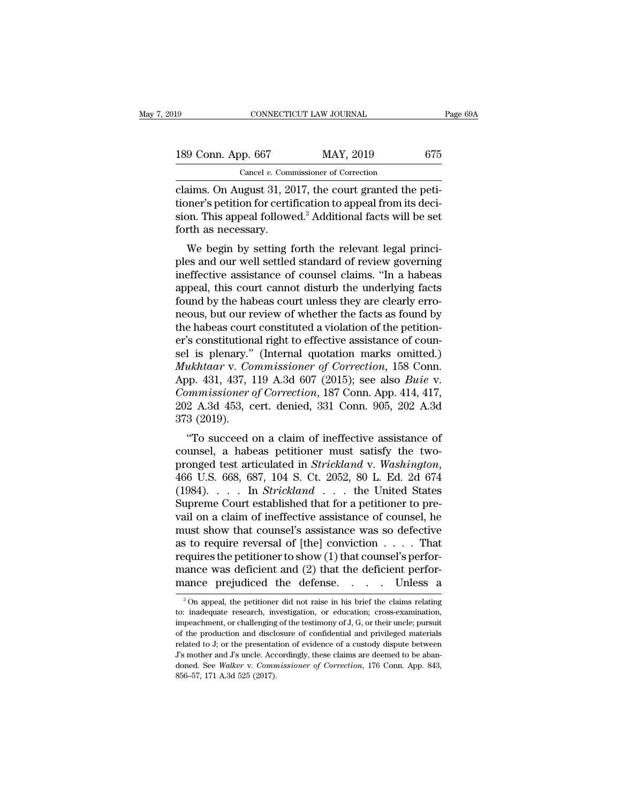| 19                 | CONNECTICUT LAW JOURNAL                                 | Page 69A |
|--------------------|---------------------------------------------------------|----------|
| 189 Conn. App. 667 | MAY, 2019                                               | 675      |
|                    | Cancel $v$ . Commissioner of Correction                 |          |
|                    | claims. On August 31, 2017, the court granted the neti- |          |

connectricut LAW JOURNAL<br>
189 Conn. App. 667 MAY, 2019 675<br>
Cancel v. Commissioner of Correction<br>
Claims. On August 31, 2017, the court granted the peti-<br>
tioner's petition for certification to appeal from its deci-<br>
sign. 189 Conn. App. 667 MAY, 2019 675<br>
Cancel *v.* Commissioner of Correction<br>
Claims. On August 31, 2017, the court granted the petitioner's petition for certification to appeal from its deci-<br>
sion. This appeal followed.<sup>3</sup> A 189 Conn. App. 667 MAY, 2019 675<br>
Cancel *v.* Commissioner of Correction<br>
claims. On August 31, 2017, the court granted the peti-<br>
tioner's petition for certification to appeal from its deci-<br>
sion. This appeal followed.<sup></sup> 189 Conn. App. 667<br>Cancel v. Comm<br>Claims. On August 31, 20<br>tioner's petition for certi<br>sion. This appeal follows<br>forth as necessary.<br>We begin by setting 1 Cancel v. Commissioner of Correction<br>
aims. On August 31, 2017, the court granted the peti-<br>
pher's petition for certification to appeal from its deci-<br>
ph. This appeal followed.<sup>3</sup> Additional facts will be set<br>
rth as ne claims. On August 31, 2017, the court granted the petitioner's petition for certification to appeal from its decition. This appeal followed.<sup>3</sup> Additional facts will be set forth as necessary.<br>We begin by setting forth the

Erainis. On August 31, 2017, the court granted the peu-<br>tioner's petition for certification to appeal from its deci-<br>sion. This appeal followed.<sup>3</sup> Additional facts will be set<br>forth as necessary.<br>We begin by setting forth appear if the section. This appeal followed.<sup>3</sup> Additional facts will be set<br>forth as necessary.<br>We begin by setting forth the relevant legal princi-<br>ples and our well settled standard of review governing<br>ineffective assis sion. This appear followed. Additional facts will be set<br>forth as necessary.<br>We begin by setting forth the relevant legal princi-<br>ples and our well settled standard of review governing<br>ineffective assistance of counsel cla Noth as necessary.<br>We begin by setting forth the relevant legal princi-<br>ples and our well settled standard of review governing<br>ineffective assistance of counsel claims. "In a habeas<br>appeal, this court cannot disturb the un We begin by setting forth the relevant legal princi-<br>ples and our well settled standard of review governing<br>ineffective assistance of counsel claims. "In a habeas<br>appeal, this court cannot disturb the underlying facts<br>foun ples and our well settled standard of review governing<br>ineffective assistance of counsel claims. "In a habeas<br>appeal, this court cannot disturb the underlying facts<br>found by the habeas court unless they are clearly erro-<br>n ineffective assistance of counsel claims. "In a habeas<br>appeal, this court cannot disturb the underlying facts<br>found by the habeas court unless they are clearly erro-<br>neous, but our review of whether the facts as found by<br> appeal, this court cannot disturb the underlying facts<br>found by the habeas court unless they are clearly erro-<br>neous, but our review of whether the facts as found by<br>the habeas court constituted a violation of the petition found by the habeas court unless they are clearly erro-<br>neous, but our review of whether the facts as found by<br>the habeas court constituted a violation of the petition-<br>er's constitutional right to effective assistance of requised to the matrice of whether the facts as found by<br>the habeas court constituted a violation of the petition-<br>er's constitutional right to effective assistance of coun-<br>sel is plenary." (Internal quotation marks omitt the habeas court constituted a violation of the petition-<br>er's constitutional right to effective assistance of coun-<br>sel is plenary." (Internal quotation marks omitted.)<br>*Mukhtaar* v. *Commissioner of Correction*, 158 Conn er's constitution<br>sel is plenary."<br>Mukhtaar v. Co<br>App. 431, 437, 1<br>Commissioner c<br>202 A.3d 453, c<br>373 (2019).<br>"To succeed o I is pienary. (internal quotation marks ontitied.)<br>
ukhtaar v. Commissioner of Correction, 158 Conn.<br>
pp. 431, 437, 119 A.3d 607 (2015); see also *Buie* v.<br>
mumissioner of Correction, 187 Conn. App. 414, 417,<br>
2 A.3d 453, makhidar v. Commissioner of Correction, 158 Colin.<br>App. 431, 437, 119 A.3d 607 (2015); see also *Buie v.*<br>Commissioner of Correction, 187 Conn. App. 414, 417,<br>202 A.3d 453, cert. denied, 331 Conn. 905, 202 A.3d<br>373 (2019)

Repr. 431, 431, 119 A.5d 607 (2015), see also *Bate* v.<br> *Commissioner of Correction*, 187 Conn. App. 414, 417,<br>
202 A.3d 453, cert. denied, 331 Conn. 905, 202 A.3d<br>
373 (2019).<br>
"To succeed on a claim of ineffective assis 202 A.5d 455, cert. denied, 551 Collit. 505, 202 A.5d<br>373 (2019).<br>"To succeed on a claim of ineffective assistance of<br>counsel, a habeas petitioner must satisfy the two-<br>pronged test articulated in *Strickland* v. *Washingt* To succeed on a claim of ineffective assistance of<br>counsel, a habeas petitioner must satisfy the two-<br>pronged test articulated in *Strickland* v. *Washington*,<br>466 U.S. 668, 687, 104 S. Ct. 2052, 80 L. Ed. 2d 674<br>(1984).. "To succeed on a claim of ineffective assistance of counsel, a habeas petitioner must satisfy the two-<br>pronged test articulated in *Strickland* v. *Washington*, 466 U.S. 668, 687, 104 S. Ct. 2052, 80 L. Ed. 2d 674<br>(1984). counsel, a habeas petitioner must satisfy the two-<br>pronged test articulated in *Strickland* v. *Washington*,<br>466 U.S. 668, 687, 104 S. Ct. 2052, 80 L. Ed. 2d 674<br>(1984).... In *Strickland* ... the United States<br>Supreme Co pronged test articulated in *Strickland* v. Washington,<br>466 U.S. 668, 687, 104 S. Ct. 2052, 80 L. Ed. 2d 674<br>(1984). . . . In *Strickland* . . . the United States<br>Supreme Court established that for a petitioner to pre-<br>va 466 U.S. 668, 687, 104 S. Ct. 2052, 80 L. Ed. 2d 674 (1984). . . . In *Strickland* . . . the United States Supreme Court established that for a petitioner to prevail on a claim of ineffective assistance of counsel, he mus (1984). . . . In *Strickland* . . . the United States Supreme Court established that for a petitioner to prevail on a claim of ineffective assistance of counsel, he must show that counsel's assistance was so defective as Supreme Court established that for a petitioner to prevail on a claim of ineffective assistance of counsel, he must show that counsel's assistance was so defective as to require reversal of [the] conviction . . . . That r 3 to require reversal of [the] conviction  $\ldots$  . That equires the petitioner to show (1) that counsel's perfor-<br>ance was deficient and (2) that the deficient perfor-<br>ance prejudiced the defense.  $\ldots$  Unless a<br><sup>3</sup>On appe requires the petitioner to show (1) that counsel's perfor-<br>mance was deficient and (2) that the deficient perfor-<br>mance prejudiced the defense.... Unless a<br><sup>3</sup>On appeal, the petitioner did not raise in his brief the claim

mance was deficient and (2) that the deficient perfor-<br>mance prejudiced the defense. . . . . Unless a<br><sup>3</sup>On appeal, the petitioner did not raise in his brief the claims relating<br>to: inadequate research, investigation, or mance prejudiced the defense.  $\ldots$  Unless a<br>
<sup>3</sup>On appeal, the petitioner did not raise in his brief the claims relating<br>
to: inadequate research, investigation, or education; cross-examination,<br>
impeachment, or challeng Firal CCP prejudiced Life deferise. The UTLESS and a custody dispute of a custom of a custody dispute in the production of the production and disclosure of confidential and privileged materials related to J; or the presen <sup>3</sup> On appeal, the petitioner did not raise in his brief the claims relating to: inadequate research, investigation, or education; cross-examination, impeachment, or challenging of the testimony of J, G, or their uncle; p to: inadequate research, investigation, or education; cross-examination, impeachment, or challenging of the testimony of J, G, or their uncle; pursuit of the production and disclosure of confidential and privileged materia impeachment, or challenging of the testimony of J, G, or their uncle; pursuit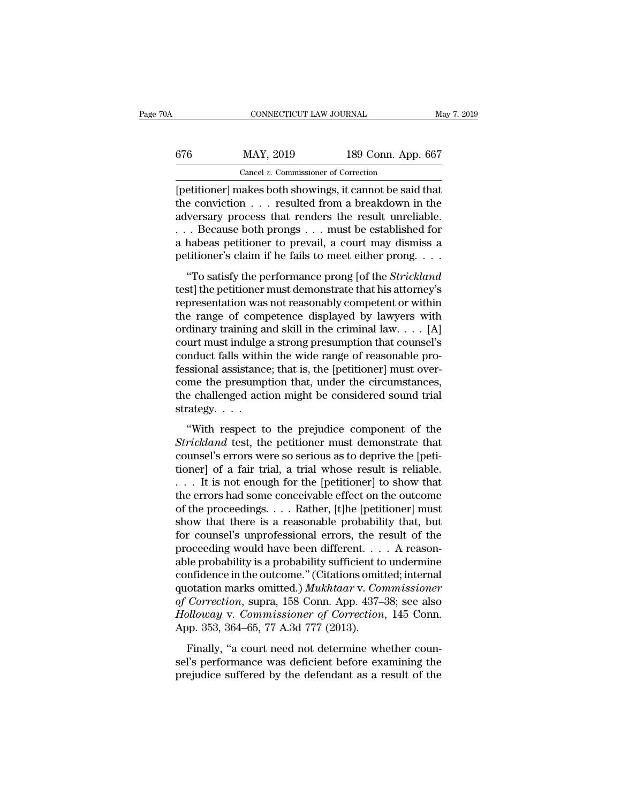| ΌA  | CONNECTICUT LAW JOURNAL                                |                    | May 7, 2019 |
|-----|--------------------------------------------------------|--------------------|-------------|
| 676 | MAY, 2019                                              | 189 Conn. App. 667 |             |
|     | Cancel $v$ . Commissioner of Correction                |                    |             |
|     | netitionerl makes both showings it cannot be said that |                    |             |

 $\begin{array}{r} \text{CONRECTICUT LAW JOURNAL} \qquad \text{May 7, 2019} \ \end{array}$ <br>  $\begin{array}{r} \text{G76} \qquad \text{MAX, 2019} \qquad \text{189 Conn. App. 667} \ \text{Cancel } v. \text{ Commissioner of Correction} \ \text{[petitioner] makes both showing, it cannot be said that} \ \text{the conviction . . . resulted from a breakdown in the adversary process that renders the result unraliable.} \end{array}$ the conviction . . . resulted from a breakdown in the 676 MAY, 2019 189 Conn. App. 667<br>
Cancel v. Commissioner of Correction<br>
[petitioner] makes both showings, it cannot be said that<br>
the conviction . . . resulted from a breakdown in the<br>
adversary process that renders the r 676 MAY, 2019 189 Conn. App. 667<br>
Cancel v. Commissioner of Correction<br>
[petitioner] makes both showings, it cannot be said that<br>
the conviction . . . resulted from a breakdown in the<br>
adversary process that renders the r Cancel v. Commissioner of Correction<br>
[petitioner] makes both showings, it cannot be said that<br>
the conviction . . . resulted from a breakdown in the<br>
adversary process that renders the result unreliable.<br>
. . . Because b Cancel v. Commissioner of Correction<br>
[petitioner] makes both showings, it cannot be said that<br>
the conviction . . . resulted from a breakdown in the<br>
adversary process that renders the result unreliable.<br>
. . . Because b e conviction . . . resulted from a breakdown in the<br>
versary process that renders the result unreliable.<br>
. Because both prongs . . . must be established for<br>
habeas petitioner to prevail, a court may dismiss a<br>
titioner's are converion  $\ldots$  resulted from a breakdown in the adversary process that renders the result unreliable.<br>  $\ldots$  Because both prongs  $\ldots$  must be established for a habeas petitioner to prevail, a court may dismiss a<br>
pe

representation was not reasonably competent or with  $\alpha$  reasonably competent or a habeas petitioner to prevail, a court may dismiss a petitioner's claim if he fails to meet either prong. . . . . . . . . . . . . . . . . . The range of competence displayed by lawyers with competence and competence displayed by lawyers with ordinary training and skill in the criminal law.  $\ldots$  [A] court must demonstrate that his attorney's representation wa a mascas performer to prevait, a court may dismiss a<br>petitioner's claim if he fails to meet either prong. . . .<br>"To satisfy the performance prong [of the *Strickland*<br>test] the petitioner must demonstrate that his attorne "To satisfy the performance prong [of the *Strickland* test] the petitioner must demonstrate that his attorney's representation was not reasonably competent or within the range of competence displayed by lawyers with ordi "To satisfy the performance prong [of the *Strickland* test] the petitioner must demonstrate that his attorney's representation was not reasonably competent or within the range of competence displayed by lawyers with ordi test] the petitioner must demonstrate that his attorney's<br>representation was not reasonably competent or within<br>the range of competence displayed by lawyers with<br>ordinary training and skill in the criminal law. . . . [A]<br>c representation was not reasonably competent or within<br>the range of competence displayed by lawyers with<br>ordinary training and skill in the criminal law. . . . [A]<br>court must indulge a strong presumption that counsel's<br>cond the range of competence displayed by lawyers with<br>ordinary training and skill in the criminal law. . . . [A]<br>court must indulge a strong presumption that counsel's<br>conduct falls within the wide range of reasonable pro-<br>fe ordinary training a<br>court must indulge<br>conduct falls withi<br>fessional assistanc<br>come the presump<br>the challenged acti<br>strategy. . . . .<br>"With respect to are mast mange a strong presumption that example is<br>
mduct falls within the wide range of reasonable pro-<br>
ssional assistance; that is, the [petitioner] must over-<br>
me the presumption that, under the circumstances,<br>
e chal Fessional assistance; that is, the [petitioner] must over-<br> *Strickland* assistance; that is, the [petitioner] must over-<br>
come the presumption that, under the circumstances,<br>
the challenged action might be considered soun

considerate that the considered procession and the considered component of the challenged action might be considered sound trial strategy.  $\cdots$  "With respect to the prejudice component of the *Strickland* test, the petit the challenged action might be considered sound trial<br>strategy....<br>"With respect to the prejudice component of the<br>*Strickland* test, the petitioner must demonstrate that<br>counsel's errors were so serious as to deprive the strategy. . . .<br>"With respect to the prejudice component of the<br>*Strickland* test, the petitioner must demonstrate that<br>counsel's errors were so serious as to deprive the [peti-<br>tioner] of a fair trial, a trial whose resul "With respect to the prejudice component of the *Strickland* test, the petitioner must demonstrate that counsel's errors were so serious as to deprive the [petitioner] of a fair trial, a trial whose result is reliable.<br>
. "With respect to the prejudice component of the *Strickland* test, the petitioner must demonstrate that counsel's errors were so serious as to deprive the [petitioner] of a fair trial, a trial whose result is reliable.<br>
. Strickland test, the petitioner must demonstrate that<br>counsel's errors were so serious as to deprive the [peti-<br>tioner] of a fair trial, a trial whose result is reliable.<br> $\dots$  It is not enough for the [petitioner] to show counsel's errors were so serious as to deprive the [petitioner] of a fair trial, a trial whose result is reliable.<br>  $\dots$  It is not enough for the [petitioner] to show that<br>
the errors had some conceivable effect on the ou tioner] of a fair trial, a trial whose result is reliable.<br>
. . . It is not enough for the [petitioner] to show that<br>
the errors had some conceivable effect on the outcome<br>
of the proceedings. . . . Rather, [t]he [petitio . . . It is not enough for the [petitioner] to show that<br>the errors had some conceivable effect on the outcome<br>of the proceedings. . . . Rather, [t]he [petitioner] must<br>show that there is a reasonable probability that, bu the errors had some conceivable effect on the outcome<br>of the proceedings. . . . Rather, [t]he [petitioner] must<br>show that there is a reasonable probability that, but<br>for counsel's unprofessional errors, the result of the<br> of the proceedings. . . . Rather, [t]he [petitioner] must<br>show that there is a reasonable probability that, but<br>for counsel's unprofessional errors, the result of the<br>proceeding would have been different. . . . A reason-<br>a show that there is a reasonable probability that, but<br>for counsel's unprofessional errors, the result of the<br>proceeding would have been different.... A reason-<br>able probability is a probability sufficient to undermine<br>conf for counsel's unprofessional errors, the result of the proceeding would have been different. . . . A reasonable probability is a probability sufficient to undermine confidence in the outcome." (Citations omitted; internal proceeding would have been different. . .<br>able probability is a probability sufficient to<br>confidence in the outcome." (Citations omit<br>quotation marks omitted.) Mukhtaar v. Con<br>of Correction, supra, 158 Conn. App. 437–<br>Holl Frostality is a prosticity sufficient to anternate<br>Infidence in the outcome." (Citations omitted; internal<br>otation marks omitted.) Mukhtaar v. Commissioner<br>Correction, supra, 158 Conn. App. 437–38; see also<br>plloway v. Comm connactice in the statestic. (challends stated, international discussions discussed, international discussed of Correction, supra, 158 Conn. App. 437–38; see also Holloway v. Commissioner of Correction, 145 Conn. App. 353, prefudes a result of Correction, supra, 158 Conn. App. 437–38; see also *Holloway v. Commissioner of Correction*, 145 Conn. App. 353, 364–65, 77 A.3d 777 (2013). Finally, "a court need not determine whether counsel's perfo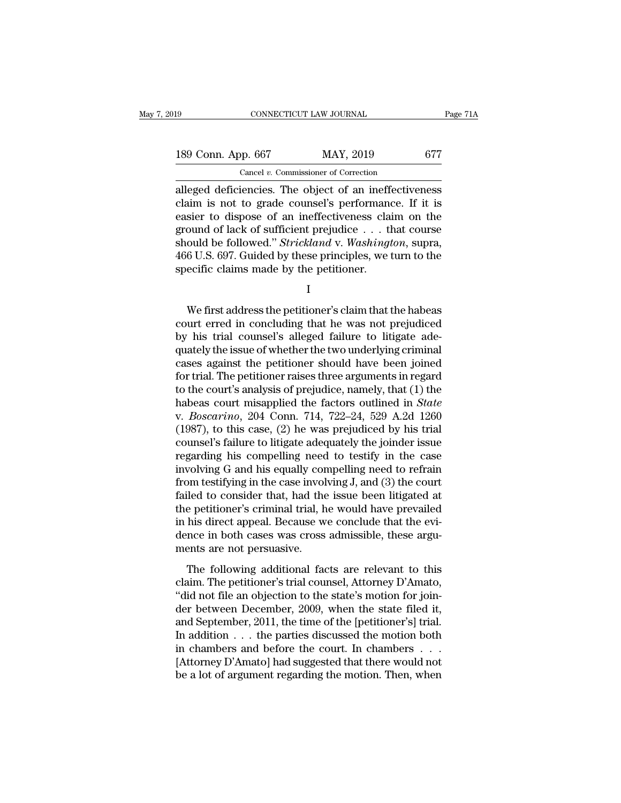| l9                 | CONNECTICUT LAW JOURNAL                                | Page 71A |
|--------------------|--------------------------------------------------------|----------|
| 189 Conn. App. 667 | MAY, 2019                                              | 677      |
|                    | Cancel $v$ . Commissioner of Correction                |          |
|                    | alleged deficiencies. The object of an ineffectiveness |          |

Fage 71A<br>
189 Conn. App. 667 MAY, 2019 677<br>
Cancel v. Commissioner of Correction<br>
alleged deficiencies. The object of an ineffectiveness<br>
claim is not to grade counsel's performance. If it is<br>
easier to dispese of an ineff 189 Conn. App. 667 MAY, 2019 677<br>
Cancel v. Commissioner of Correction<br>
alleged deficiencies. The object of an ineffectiveness<br>
claim is not to grade counsel's performance. If it is<br>
easier to dispose of an ineffectiveness 189 Conn. App. 667 MAY, 2019 677<br>
Cancel v. Commissioner of Correction<br>
alleged deficiencies. The object of an ineffectiveness<br>
claim is not to grade counsel's performance. If it is<br>
easier to dispose of an ineffectivenes 189 Conn. App. 667 MAY, 2019 677<br>
Cancel v. Commissioner of Correction<br>
alleged deficiencies. The object of an ineffectiveness<br>
claim is not to grade counsel's performance. If it is<br>
easier to dispose of an ineffectivenes Cancel v. Commissioner of Correction<br>alleged deficiencies. The object of an ineffectiveness<br>claim is not to grade counsel's performance. If it is<br>easier to dispose of an ineffectiveness claim on the<br>ground of lack of suffi Cancel *v*. Commissioner of Correction<br>alleged deficiencies. The object of an ineffectiveness<br>claim is not to grade counsel's performance. If it is<br>easier to dispose of an ineffectiveness claim on the<br>ground of lack of su alleged deficiencies. The object of an inefficial<br>claim is not to grade counsel's performance<br>asier to dispose of an ineffectiveness clai<br>ground of lack of sufficient prejudice . . . th<br>should be followed." *Strickland* v. ould be followed." *Strickland* v. *Washington*, supra,<br>6 U.S. 697. Guided by these principles, we turn to the<br>ecific claims made by the petitioner.<br>I<br>We first address the petitioner's claim that the habeas<br>urt erred in co

I

should be followed." *Strickland* v. Washington, supra,<br>466 U.S. 697. Guided by these principles, we turn to the<br>specific claims made by the petitioner.<br> $I$ <br>We first address the petitioner's claim that the habeas<br>court er 466 U.S. 697. Guided by these principles, we turn to the<br>specific claims made by the petitioner.<br>I<br>We first address the petitioner's claim that the habeas<br>court erred in concluding that he was not prejudiced<br>by his trial c specific claims made by the petitioner.<br>
I<br>
We first address the petitioner's claim that the habeas<br>
court erred in concluding that he was not prejudiced<br>
by his trial counsel's alleged failure to litigate ade-<br>
quately th I<br>We first address the petitioner's claim that the habeas<br>court erred in concluding that he was not prejudiced<br>by his trial counsel's alleged failure to litigate ade-<br>quately the issue of whether the two underlying crimina We first address the petitioner's claim that the habeas<br>court erred in concluding that he was not prejudiced<br>by his trial counsel's alleged failure to litigate ade-<br>quately the issue of whether the two underlying criminal<br> We first address the petitioner's claim that the habeas<br>court erred in concluding that he was not prejudiced<br>by his trial counsel's alleged failure to litigate ade-<br>quately the issue of whether the two underlying criminal court erred in concluding that he was not prejudiced<br>by his trial counsel's alleged failure to litigate ade-<br>quately the issue of whether the two underlying criminal<br>cases against the petitioner should have been joined<br>for by his trial counsel's alleged failure to litigate ade-<br>quately the issue of whether the two underlying criminal<br>cases against the petitioner should have been joined<br>for trial. The petitioner raises three arguments in rega quately the issue of whether the two underlying criminal<br>cases against the petitioner should have been joined<br>for trial. The petitioner raises three arguments in regard<br>to the court's analysis of prejudice, namely, that (1 cases against the petitioner should have been joined<br>for trial. The petitioner raises three arguments in regard<br>to the court's analysis of prejudice, namely, that (1) the<br>habeas court misapplied the factors outlined in *St* for trial. The petitioner raises three arguments in regard<br>to the court's analysis of prejudice, namely, that (1) the<br>habeas court misapplied the factors outlined in *State*<br>v. *Boscarino*, 204 Conn. 714, 722–24, 529 A.2d to the court's analysis of prejudice, namely, that  $(1)$  the<br>habeas court misapplied the factors outlined in *State*<br>v. *Boscarino*, 204 Conn. 714, 722–24, 529 A.2d 1260<br> $(1987)$ , to this case,  $(2)$  he was prejudiced by habeas court misapplied the factors outlined in *State* v. *Boscarino*, 204 Conn. 714, 722–24, 529 A.2d 1260 (1987), to this case, (2) he was prejudiced by his trial counsel's failure to litigate adequately the joinder is v. *Boscarino*, 204 Conn. 714, 722–24, 529 A.2d 1260 (1987), to this case, (2) he was prejudiced by his trial counsel's failure to litigate adequately the joinder issue regarding his compelling need to testify in the case (1987), to this case, (2) he was prejudiced by his trial counsel's failure to litigate adequately the joinder issue<br>regarding his compelling need to testify in the case<br>involving G and his equally compelling need to refra counsel's failure to litigate adequately the joinder issue<br>regarding his compelling need to testify in the case<br>involving G and his equally compelling need to refrain<br>from testifying in the case involving J, and (3) the co regarding his compelling need to testify in the case<br>involving G and his equally compelling need to refrain<br>from testifying in the case involving J, and (3) the court<br>failed to consider that, had the issue been litigated a involving G and his equally cor<br>from testifying in the case invol<br>failed to consider that, had the<br>the petitioner's criminal trial, h<br>in his direct appeal. Because w<br>dence in both cases was cross<br>ments are not persuasive.<br>  $\mu$  and to consider that, had the issue been litigated at e petitioner's criminal trial, he would have prevailed his direct appeal. Because we conclude that the evince in both cases was cross admissible, these arguents a rance to consider and, had are issue occir inguited as<br>the petitioner's criminal trial, he would have prevailed<br>in his direct appeal. Because we conclude that the evi-<br>dence in both cases was cross admissible, these argu-<br>

The behavior of the state in this direct appeal. Because we conclude that the evidence in both cases was cross admissible, these arguments are not persuasive.<br>The following additional facts are relevant to this claim. The In this different between December, and the state filed it,<br>dence in both cases was cross admissible, these argu-<br>ments are not persuasive.<br>The following additional facts are relevant to this<br>claim. The petitioner's trial and September and persons and septembers.<br>The following additional facts are relevant to this<br>claim. The petitioner's trial counsel, Attorney D'Amato,<br>"did not file an objection to the state's motion for join-<br>der between The following additional facts are relevant to this<br>claim. The petitioner's trial counsel, Attorney D'Amato,<br>"did not file an objection to the state's motion for join-<br>der between December, 2009, when the state filed it,<br> The following additional facts are relevant to this<br>claim. The petitioner's trial counsel, Attorney D'Amato,<br>"did not file an objection to the state's motion for join-<br>der between December, 2009, when the state filed it,<br> claim. The petitioner's trial counsel, Attorney D'Amato,<br>
"did not file an objection to the state's motion for join-<br>
der between December, 2009, when the state filed it,<br>
and September, 2011, the time of the [petitioner's "did not file an objection to the state's motion for join-<br>der between December, 2009, when the state filed it,<br>and September, 2011, the time of the [petitioner's] trial.<br>In addition  $\dots$  the parties discussed the motion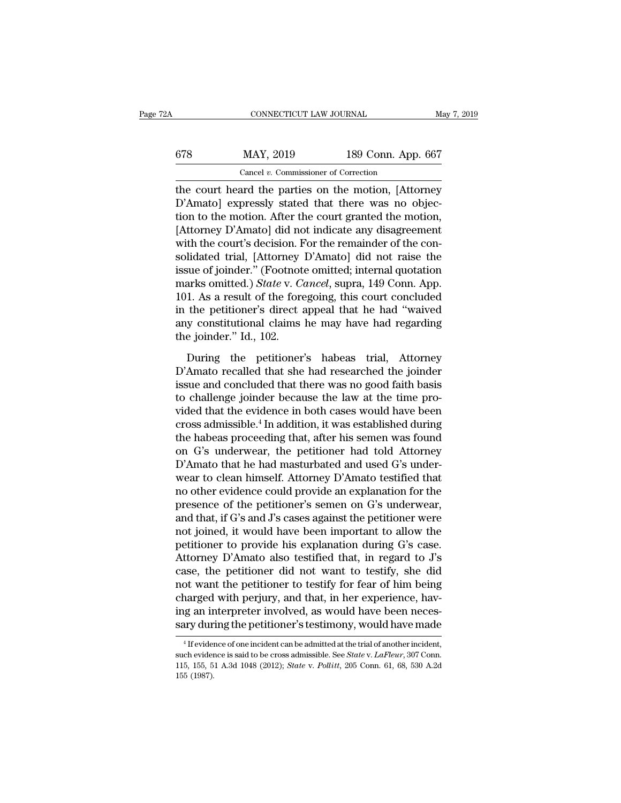| 2A  | CONNECTICUT LAW JOURNAL                             |                    | May 7, 2019 |
|-----|-----------------------------------------------------|--------------------|-------------|
| 678 | MAY, 2019                                           | 189 Conn. App. 667 |             |
|     | Cancel $v$ . Commissioner of Correction             |                    |             |
|     | the court heard the parties on the motion (Attorney |                    |             |

CONNECTICUT LAW JOURNAL May 7, 2019<br>
678 MAY, 2019 189 Conn. App. 667<br>
Cancel v. Commissioner of Correction<br>
the court heard the parties on the motion, [Attorney<br>
D'Amato] expressly stated that there was no objec- $MAY$ , 2019 189 Conn. App. 667<br>
Cancel *v.* Commissioner of Correction<br>
the court heard the parties on the motion, [Attorney<br>
D'Amato] expressly stated that there was no objec-<br>
tion to the motion. After the court granted 678 MAY, 2019 189 Conn. App. 667<br>
Cancel v. Commissioner of Correction<br>
the court heard the parties on the motion, [Attorney<br>
D'Amato] expressly stated that there was no objec-<br>
tion to the motion. After the court granted  $\frac{\text{MAX, 2019}}{\text{Cancel } v. \text{ Commissioner of Correction}}$ <br>
the court heard the parties on the motion, [Attorney D'Amato] expressly stated that there was no objection to the motion. After the court granted the motion, [Attorney D'Amato] did not ind Cancel v. Commissioner of Correction<br>the court heard the parties on the motion, [Attorney<br>D'Amato] expressly stated that there was no objec-<br>tion to the motion. After the court granted the motion,<br>[Attorney D'Amato] did n Cancel *v*. Commissioner of Correction<br>the court heard the parties on the motion, [Attorney<br>D'Amato] expressly stated that there was no objec-<br>tion to the motion. After the court granted the motion,<br>[Attorney D'Amato] did the court heard the parties on the motion, [Attorney D'Amato] expressly stated that there was no objection to the motion. After the court granted the motion, [Attorney D'Amato] did not indicate any disagreement with the co D'Amato] expressly stated that there was no objection to the motion. After the court granted the motion, [Attorney D'Amato] did not indicate any disagreement with the court's decision. For the remainder of the consolidated tion to the motion. After the court granted the motion,<br>[Attorney D'Amato] did not indicate any disagreement<br>with the court's decision. For the remainder of the con-<br>solidated trial, [Attorney D'Amato] did not raise the<br>is [Attorney D'Amato] did not indicate any disagreement<br>with the court's decision. For the remainder of the con-<br>solidated trial, [Attorney D'Amato] did not raise the<br>issue of joinder." (Footnote omitted; internal quotation<br>m with the court's decision. For the remainder of the consolidated trial, [Attorney D'Amato] did not raise the issue of joinder." (Footnote omitted; internal quotation marks omitted.) *State v. Cancel*, supra, 149 Conn. App. solidated trial, [Attorney<br>issue of joinder." (Footnot<br>marks omitted.) *State* v. *C*<br>101. As a result of the fore<br>in the petitioner's direct a<br>any constitutional claims<br>the joinder." Id., 102.<br>During the petitioner Frankling the v. Cancel, supra, 149 Conn. App.<br>1. As a result of the foregoing, this court concluded<br>the petitioner's direct appeal that he had "waived<br>y constitutional claims he may have had regarding<br>e joinder." Id., 102 Final Brancolary Scale TV states, stapping, the Solar Tipp.<br>101. As a result of the foregoing, this court concluded<br>any constitutional claims he may have had regarding<br>the joinder." Id., 102.<br>During the petitioner's habeas

For the artistance and corresponds, the concluded that the had "waived<br>any constitutional claims he may have had regarding<br>the joinder." Id., 102.<br>During the petitioner's habeas trial, Attorney<br>D'Amato recalled that she ha The challenge is the may have had regarding<br>any constitutional claims he may have had regarding<br>the joinder." Id., 102.<br>During the petitioner's habeas trial, Attorney<br>D'Amato recalled that she had researched the joinder<br>is video the joinder." Id., 102.<br>
During the petitioner's habeas trial, Attorney<br>
D'Amato recalled that she had researched the joinder<br>
issue and concluded that there was no good faith basis<br>
to challenge joinder because the During the petitioner's habeas trial, Attorney<br>D'Amato recalled that she had researched the joinder<br>issue and concluded that there was no good faith basis<br>to challenge joinder because the law at the time pro-<br>vided that th During the petitioner's habeas trial, Attorney<br>D'Amato recalled that she had researched the joinder<br>issue and concluded that there was no good faith basis<br>to challenge joinder because the law at the time pro-<br>vided that t D'Amato recalled that she had researched the joinder<br>issue and concluded that there was no good faith basis<br>to challenge joinder because the law at the time pro-<br>vided that the evidence in both cases would have been<br>cross issue and concluded that there was no good faith basis<br>to challenge joinder because the law at the time pro-<br>vided that the evidence in both cases would have been<br>cross admissible.<sup>4</sup> In addition, it was established during to challenge joinder because the law at the time pro-<br>vided that the evidence in both cases would have been<br>cross admissible.<sup>4</sup> In addition, it was established during<br>the habeas proceeding that, after his semen was found<br> vided that the evidence in both cases would have been<br>cross admissible.<sup>4</sup> In addition, it was established during<br>the habeas proceeding that, after his semen was found<br>on G's underwear, the petitioner had told Attorney<br>D'A cross admissible.<sup>4</sup> In addition, it was established during<br>the habeas proceeding that, after his semen was found<br>on G's underwear, the petitioner had told Attorney<br>D'Amato that he had masturbated and used G's under-<br>wear the habeas proceeding that, after his semen was found<br>on G's underwear, the petitioner had told Attorney<br>D'Amato that he had masturbated and used G's under-<br>wear to clean himself. Attorney D'Amato testified that<br>no other e on G's underwear, the petitioner had told Attorney<br>D'Amato that he had masturbated and used G's under-<br>wear to clean himself. Attorney D'Amato testified that<br>no other evidence could provide an explanation for the<br>presence D'Amato that he had masturbated and used G's under-<br>wear to clean himself. Attorney D'Amato testified that<br>no other evidence could provide an explanation for the<br>presence of the petitioner's semen on G's underwear,<br>and tha wear to clean himself. Attorney D'Amato testified that<br>no other evidence could provide an explanation for the<br>presence of the petitioner's semen on G's underwear,<br>and that, if G's and J's cases against the petitioner were<br> no other evidence could provide an explanation for the<br>presence of the petitioner's semen on G's underwear,<br>and that, if G's and J's cases against the petitioner were<br>not joined, it would have been important to allow the<br>p presence of the petitioner's semen on G's underwear,<br>and that, if G's and J's cases against the petitioner were<br>not joined, it would have been important to allow the<br>petitioner to provide his explanation during G's case.<br>A and that, if G's and J's cases against the petitioner were<br>not joined, it would have been important to allow the<br>petitioner to provide his explanation during G's case.<br>Attorney D'Amato also testified that, in regard to J's not joined, it would have been important to allow the petitioner to provide his explanation during G's case.<br>Attorney D'Amato also testified that, in regard to J's case, the petitioner did not want to testify, she did<br>not petitioner to provide his explanation during G's case.<br>Attorney D'Amato also testified that, in regard to J's<br>case, the petitioner did not want to testify, she did<br>not want the petitioner to testify for fear of him being<br>c bot want the petitioner to testify for fear of him being<br>narged with perjury, and that, in her experience, havig an interpreter involved, as would have been neces-<br>ry during the petitioner's testimony, would have made<br> $^{4$ charged with perjury, and that, in her experience, having an interpreter involved, as would have been necessary during the petitioner's testimony, would have made<br><sup>4</sup> If evidence of one incident can be admitted at the tria

ing an interpreter involved, as would have been necessary during the petitioner's testimony, would have made<br><sup>4</sup> If evidence of one incident can be admitted at the trial of another incident,<br>such evidence is said to be cro 115<br>
115, 155, 5<br>
155, 155, 5<br>
155 (1987).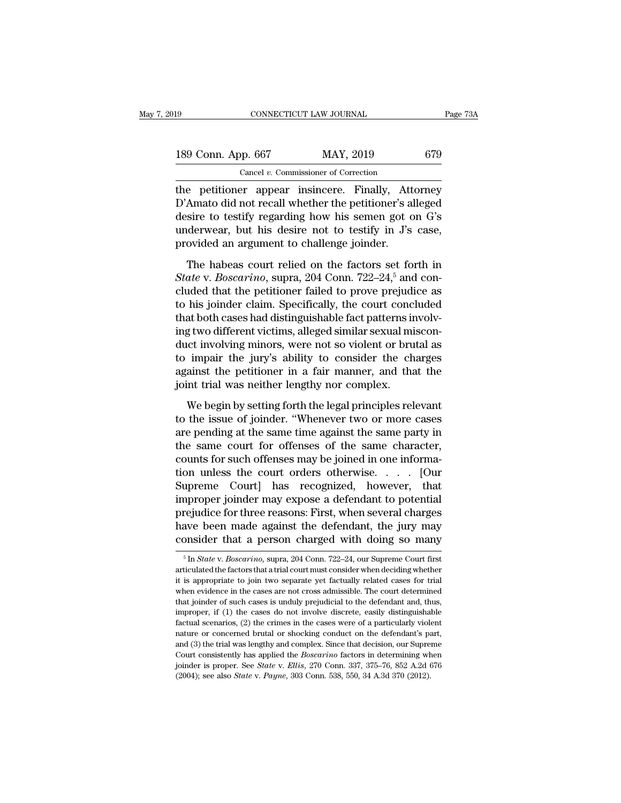| l9    |                             | CONNECTICUT LAW JOURNAL                 |         |          | Page 73A |
|-------|-----------------------------|-----------------------------------------|---------|----------|----------|
|       |                             |                                         |         |          |          |
|       | 189 Conn. App. 667          | MAY, 2019                               |         | 679      |          |
|       |                             | Cancel $v$ . Commissioner of Correction |         |          |          |
| the ⊹ | netitioner annear insincere |                                         | Finally | Attorney |          |

The petitioner appear insincere. Finally, Attorney<br>D'Amato did not recall whether the petitioner's alleged<br>desire to testify regarding how his somen act on C's 189 Conn. App. 667 MAY, 2019 679<br>
Cancel v. Commissioner of Correction<br>
the petitioner appear insincere. Finally, Attorney<br>
D'Amato did not recall whether the petitioner's alleged<br>
desire to testify regarding how his semen 189 Conn. App. 667 MAY, 2019 679<br>
Cancel v. Commissioner of Correction<br>
the petitioner appear insincere. Finally, Attorney<br>
D'Amato did not recall whether the petitioner's alleged<br>
desire to testify regarding how his seme 189 Conn. App. 667 MAY, 2019 679<br>
Cancel v. Commissioner of Correction<br>
the petitioner appear insincere. Finally, Attorney<br>
D'Amato did not recall whether the petitioner's alleged<br>
desire to testify regarding how his seme Cancel v. Commissioner of Correction<br>the petitioner appear insincere. Finally, Att<br>D'Amato did not recall whether the petitioner's a<br>desire to testify regarding how his semen got c<br>underwear, but his desire not to testify e petitioner appear insincere. Finally, Attorney<br>Amato did not recall whether the petitioner's alleged<br>sire to testify regarding how his semen got on G's<br>derwear, but his desire not to testify in J's case,<br>ovided an argum *State is a point of the mail of the petitioner's* alleged desire to testify regarding how his semen got on G's underwear, but his desire not to testify in J's case, provided an argument to challenge joinder.<br>The habeas co

contributed that the performance are performed to desire to testify regarding how his semen got on  $G$ 's underwear, but his desire not to testify in  $J$ 's case, provided an argument to challenge joinder.<br>The habeas court underwear, but his desire not to testify in  $J$ 's case,<br>provided an argument to challenge joinder.<br>The habeas court relied on the factors set forth in<br> $State$  v.  $Boscarino$ , supra, 204 Conn. 722–24,<sup>5</sup> and con-<br>cluded that the pe that both cases had distinguished an argument to challenge joinder.<br>The habeas court relied on the factors set forth in State v. Boscarino, supra, 204 Conn. 722–24,<sup>5</sup> and concluded that the petitioner failed to prove pre The habeas court relied on the factors set forth in<br>State v. Boscarino, supra, 204 Conn. 722–24,<sup>5</sup> and con-<br>cluded that the petitioner failed to prove prejudice as<br>to his joinder claim. Specifically, the court concluded<br>t The habeas court relied on the factors set forth in<br> *State* v. *Boscarino*, supra, 204 Conn. 722–24,<sup>5</sup> and con-<br>
cluded that the petitioner failed to prove prejudice as<br>
to his joinder claim. Specifically, the court con State v. Boscarino, supra, 204 Conn. 722–24,<sup>5</sup> and concluded that the petitioner failed to prove prejudice as<br>to his joinder claim. Specifically, the court concluded<br>that both cases had distinguishable fact patterns invo cluded that the petitioner failed to prove prejudice as<br>to his joinder claim. Specifically, the court concluded<br>that both cases had distinguishable fact patterns involv-<br>ing two different victims, alleged similar sexual mi to his joinder claim. Specifically, the court concl<br>that both cases had distinguishable fact patterns in<br>ing two different victims, alleged similar sexual mi<br>duct involving minors, were not so violent or bru<br>to impair the g two different victims, alleged similar sexual miscon-<br>et involving minors, were not so violent or brutal as<br>impair the jury's ability to consider the charges<br>ainst the petitioner in a fair manner, and that the<br>int trial the involving minors, were not so violent or brutal as<br>duct involving minors, were not so violent or brutal as<br>against the petitioner in a fair manner, and that the<br>joint trial was neither lengthy nor complex.<br>We begin by

are morning matrix, were not so there is strated as<br>to impair the jury's ability to consider the charges<br>against the petitioner in a fair manner, and that the<br>joint trial was neither lengthy nor complex.<br>We begin by settin against the petitioner in a fair manner, and that the joint trial was neither lengthy nor complex.<br>We begin by setting forth the legal principles relevant<br>to the issue of joinder. "Whenever two or more cases<br>are pending a Example 1 For such a small interact of point trial was neither lengthy nor complex.<br>We begin by setting forth the legal principles relevant<br>to the issue of joinder. "Whenever two or more cases<br>are pending at the same time We begin by setting forth the legal principles relevant<br>to the issue of joinder. "Whenever two or more cases<br>are pending at the same time against the same party in<br>the same court for offenses of the same character,<br>counts We begin by setting forth the legal principles relevant<br>to the issue of joinder. "Whenever two or more cases<br>are pending at the same time against the same party in<br>the same court for offenses of the same character,<br>counts to the issue of joinder. "Whenever two or more cases<br>are pending at the same time against the same party in<br>the same court for offenses of the same character,<br>counts for such offenses may be joined in one informa-<br>tion unl are pending at the same time against the same party in<br>the same court for offenses of the same character,<br>counts for such offenses may be joined in one informa-<br>tion unless the court orders otherwise. . . . . [Our<br>Supreme the same court for offenses of the same character,<br>counts for such offenses may be joined in one informa-<br>tion unless the court orders otherwise.... [Our<br>Supreme Court] has recognized, however, that<br>improper joinder may ex counts for such offenses may be joined in one informa-<br>tion unless the court orders otherwise. . . . . [Our<br>Supreme Court] has recognized, however, that<br>improper joinder may expose a defendant to potential<br>prejudice for t improper joinder may expose a defendant to potential<br>prejudice for three reasons: First, when several charges<br>have been made against the defendant, the jury may<br>consider that a person charged with doing so many<br> $\frac{5 \text{ In State v$ prejudice for three reasons: First, when several charges<br>have been made against the defendant, the jury may<br>consider that a person charged with doing so many<br><sup>5</sup> In *State* v. *Boscarino*, supra, 204 Conn. 722–24, our Supr

have been made against the defendant, the jury may consider that a person charged with doing so many  $\frac{1}{10}$  in *State v. Boscarino*, supra, 204 Conn. 722–24, our Supreme Court first articulated the factors that a tria consider that a person charged with doing so many<br>  $\frac{1}{100}$  in *State v. Boscarino*, supra, 204 Conn. 722–24, our Supreme Court first<br>
articulated the factors that a trial court must consider when deciding whether<br>
it The such cases is unduly prejudicial to the defendant and, thus, in proper is all to cases is unduly prejudicial to the defendant and, thus, in propriate to join two separate yet factually related cases for trial when evi <sup>5</sup> In *State* v. *Boscarino*, supra, 204 Conn. 722–24, our Supreme Court first articulated the factors that a trial court must consider when deciding whether it is appropriate to join two separate yet factually related c articulated the factors that a trial court must consider when deciding whether it is appropriate to join two separate yet factually related cases for trial when evidence in the cases are not cross admissible. The court det it is appropriate to join two separate yet factually related cases for trial<br>when evidence in the cases are not cross admissible. The court determined<br>that joinder of such cases is unduly prejudicial to the defendant and, and experience in the cases are not cross admissible. The court determined that joinder of such cases is unduly prejudicial to the defendant and, thus, improper, if (1) the cases do not involve discrete, easily distinguish that joinder of such cases is unduly prejudicial to the defendant and, thus, improper, if (1) the cases do not involve discrete, easily distinguishable factual scenarios, (2) the crimes in the cases were of a particularly improper, if (1) the cases do not involve discrete, easily distinguishable factual scenarios, (2) the crimes in the cases were of a particularly violent nature or concerned brutal or shocking conduct on the defendant's par improper, if (1) the cases do not involve discrete, easily distinguishable factual scenarios, (2) the crimes in the cases were of a particularly violent nature or concerned brutal or shocking conduct on the defendant's par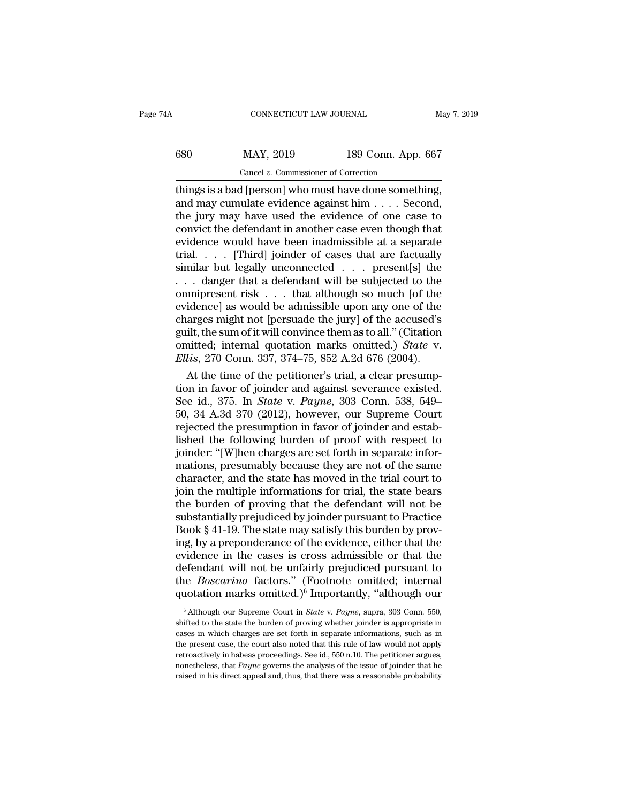| 680<br>MAY, 2019        | 189 Conn. App. 667 |
|-------------------------|--------------------|
|                         |                    |
| CONNECTICUT LAW JOURNAL | May 7, 2019        |

CONNECTICUT LAW JOURNAL May 7, 2<br>  $\frac{189}{20}$  Conn. App. 667<br>
Cancel v. Commissioner of Correction<br>
things is a bad [person] who must have done something,<br>
and may cumulate evidence against him . . . . Second,<br>
the jury 680 MAY, 2019 189 Conn. App. 667<br>
Cancel v. Commissioner of Correction<br>
things is a bad [person] who must have done something,<br>
and may cumulate evidence against him . . . . Second,<br>
the jury may have used the evidence of 680 MAY, 2019 189 Conn. App. 667<br>
Cancel v. Commissioner of Correction<br>
things is a bad [person] who must have done something,<br>
and may cumulate evidence against him . . . . Second,<br>
the jury may have used the evidence of 680 MAY, 2019 189 Conn. App. 667<br>
Cancel v. Commissioner of Correction<br>
things is a bad [person] who must have done something,<br>
and may cumulate evidence against him . . . . Second,<br>
the jury may have used the evidence of Cancel v. Commissioner of Correction<br>
things is a bad [person] who must have done something,<br>
and may cumulate evidence against him . . . . Second,<br>
the jury may have used the evidence of one case to<br>
convict the defendan Cancel v. Commissioner of Correction<br>things is a bad [person] who must have done something,<br>and may cumulate evidence against him . . . . Second,<br>the jury may have used the evidence of one case to<br>convict the defendant in things is a bad [person] who must have done something,<br>and may cumulate evidence against him . . . . Second,<br>the jury may have used the evidence of one case to<br>convict the defendant in another case even though that<br>eviden and may cumulate evidence against him . . . . Second,<br>the jury may have used the evidence of one case to<br>convict the defendant in another case even though that<br>evidence would have been inadmissible at a separate<br>trial. . the jury may have used the evidence of one case to<br>convict the defendant in another case even though that<br>evidence would have been inadmissible at a separate<br>trial.... [Third] joinder of cases that are factually<br>similar b convict the defendant in another case even though that<br>evidence would have been inadmissible at a separate<br>trial.... [Third] joinder of cases that are factually<br>similar but legally unconnected ... present[s] the<br>... dange evidence would have been inadmissible at a separate<br>trial. . . . [Third] joinder of cases that are factually<br>similar but legally unconnected . . . present[s] the<br>. . . danger that a defendant will be subjected to the<br>omni trial. . . . [Third] joinder of cases that are factually<br>similar but legally unconnected . . . present[s] the<br>. . . danger that a defendant will be subjected to the<br>omnipresent risk . . . that although so much [of the<br>evi similar but legally unconnected . . . present[s] the<br>. . . danger that a defendant will be subjected to the<br>omnipresent risk . . . that although so much [of the<br>evidence] as would be admissible upon any one of the<br>charges *Ellis*, 270 Conn. 337, 374–75, 852 A.2d 676 (2004). At the time of the periducing as would be admissible upon any one of the charges might not [persuade the jury] of the accused's guilt, the sum of it will convince them a mipresent risk  $\ldots$  that although so much [of the idence] as would be admissible upon any one of the arges might not [persuade the jury] of the accused's ilt, the sum of it will convince them as to all." (Citation initte evidence] as would be admissible upon any one of the<br>charges might not [persuade the jury] of the accused's<br>guilt, the sum of it will convince them as to all." (Citation<br>omitted; internal quotation marks omitted.) *State* 

charges might not [persuade the jury] of the accused's<br>guilt, the sum of it will convince them as to all." (Citation<br>omitted; internal quotation marks omitted.) *State* v.<br>*Ellis*, 270 Conn. 337, 374–75, 852 A.2d 676 (2004 guilt, the sum of it will convince them as to all." (Citation<br>
omitted; internal quotation marks omitted.) *State* v.<br> *Ellis*, 270 Conn. 337, 374–75, 852 A.2d 676 (2004).<br>
At the time of the petitioner's trial, a clear pr omitted; internal quotation marks omitted.) *State* v.<br> *Ellis*, 270 Conn. 337, 374–75, 852 A.2d 676 (2004).<br>
At the time of the petitioner's trial, a clear presump-<br>
tion in favor of joinder and against severance existed. *Ellis*, 270 Conn. 337, 374–75, 852 A.2d 676 (2004).<br>
At the time of the petitioner's trial, a clear presumption in favor of joinder and against severance existed.<br>
See id., 375. In *State v. Payne*, 303 Conn. 538, 549–<br> At the time of the petitioner's trial, a clear presumption in favor of joinder and against severance existed.<br>See id., 375. In *State v. Payne*, 303 Conn. 538, 549–<br>50, 34 A.3d 370 (2012), however, our Supreme Court<br>reject tion in favor of joinder and against severance existed.<br>See id., 375. In *State v. Payne*, 303 Conn. 538, 549–50, 34 A.3d 370 (2012), however, our Supreme Court<br>rejected the presumption in favor of joinder and estab-<br>lishe See id., 375. In *State* v. *Payne*, 303 Conn. 538, 549–<br>50, 34 A.3d 370 (2012), however, our Supreme Court<br>rejected the presumption in favor of joinder and estab-<br>lished the following burden of proof with respect to<br>joind 50, 34 A.3d 370 (2012), however, our Supreme Court<br>rejected the presumption in favor of joinder and estab-<br>lished the following burden of proof with respect to<br>joinder: "[W]hen charges are set forth in separate infor-<br>mati rejected the presumption in favor of joinder and established the following burden of proof with respect to<br>joinder: "[W]hen charges are set forth in separate infor-<br>mations, presumably because they are not of the same<br>char lished the following burden of proof with respect to<br>joinder: "[W]hen charges are set forth in separate infor-<br>mations, presumably because they are not of the same<br>character, and the state has moved in the trial court to<br>j joinder: "[W]hen charges are set forth in separate informations, presumably because they are not of the same character, and the state has moved in the trial court to join the multiple informations for trial, the state bear mations, presumably because they are not of the same<br>character, and the state has moved in the trial court to<br>join the multiple informations for trial, the state bears<br>the burden of proving that the defendant will not be<br>s character, and the state has moved in the trial court to<br>join the multiple informations for trial, the state bears<br>the burden of proving that the defendant will not be<br>substantially prejudiced by joinder pursuant to Practi join the multiple informations for trial, the state bears<br>the burden of proving that the defendant will not be<br>substantially prejudiced by joinder pursuant to Practice<br>Book § 41-19. The state may satisfy this burden by pr the burden of proving that the defendant will not be<br>substantially prejudiced by joinder pursuant to Practice<br>Book § 41-19. The state may satisfy this burden by prov-<br>ing, by a preponderance of the evidence, either that th substantially prejudiced by joinder pursuant to Practice<br>Book § 41-19. The state may satisfy this burden by prov-<br>ing, by a preponderance of the evidence, either that the<br>evidence in the cases is cross admissible or that vidence in the cases is cross admissible or that the efendant will not be unfairly prejudiced pursuant to the *Boscarino* factors." (Footnote omitted; internal notation marks omitted.)<sup>6</sup> Importantly, "although our  $\frac{6}{1$ defendant will not be unfairly prejudiced pursuant to<br>the *Boscarino* factors." (Footnote omitted; internal<br>quotation marks omitted.)<sup>6</sup> Importantly, "although our<br> $\frac{1}{6}$  Although our Supreme Court in *State* v. *Payne* 

the *Boscarino* factors." (Footnote omitted; internal quotation marks omitted.)<sup>6</sup> Importantly, "although our  $\frac{1}{6}$  Although our Supreme Court in *State v. Payne*, supra, 303 Conn. 550, shifted to the state the burden quotation marks omitted.)<sup>6</sup> Importantly, "although our  $\frac{1}{6}$  Although our Supreme Court in *State v. Payne*, supra, 303 Conn. 550, shifted to the state the burden of proving whether joinder is appropriate in cases in quotation marks omitted.) Importantly, anthough our<br>
<sup>6</sup> Although our Supreme Court in *State v. Payne*, supra, 303 Conn. 550, shifted to the state the burden of proving whether joinder is appropriate in cases in which ch <sup>6</sup> Although our Supreme Court in *State v. Payne*, supra, 303 Conn. 550, shifted to the state the burden of proving whether joinder is appropriate in cases in which charges are set forth in separate informations, such as shifted to the state the burden of proving whether joinder is appropriate in cases in which charges are set forth in separate informations, such as in the present case, the court also noted that this rule of law would not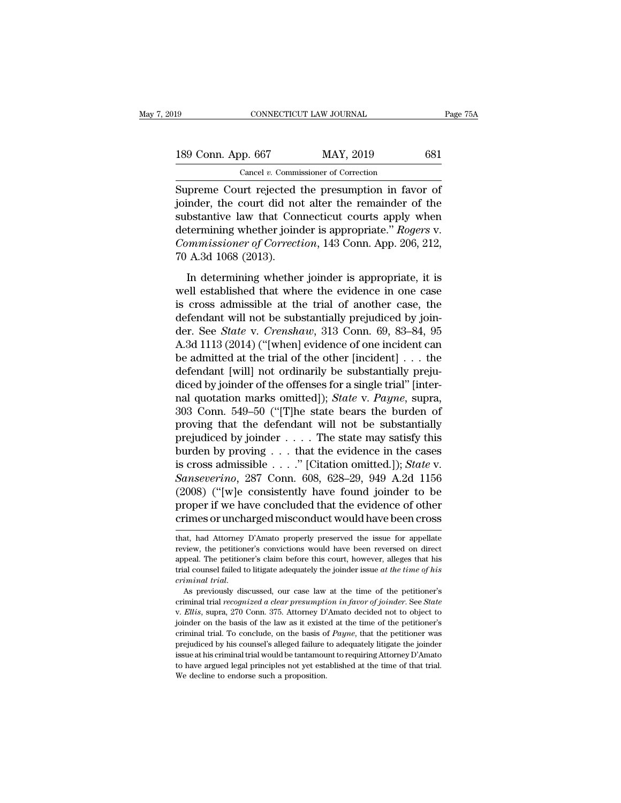| 19                 | CONNECTICUT LAW JOURNAL                            | Page 75A |
|--------------------|----------------------------------------------------|----------|
| 189 Conn. App. 667 | MAY, 2019                                          | 681      |
|                    | Cancel $v$ . Commissioner of Correction            |          |
|                    | Supreme Court rejected the presumption in favor of |          |

 $\begin{array}{|l|l|} \hline \text{GONRECTICUT LAW JOURNAL} & \text{Page 75}\ \hline \end{array}$ <br>189 Conn. App. 667 MAY, 2019 681<br>Cancel v. Commissioner of Correction<br>Supreme Court rejected the presumption in favor of<br>joinder, the court did not alter the remainder of t 189 Conn. App. 667 MAY, 2019 681<br>
Cancel v. Commissioner of Correction<br>
Supreme Court rejected the presumption in favor of joinder, the court did not alter the remainder of the substantive law that Connecticut courts appl 189 Conn. App. 667 MAY, 2019 681<br>
Cancel v. Commissioner of Correction<br>
Supreme Court rejected the presumption in favor of<br>
joinder, the court did not alter the remainder of the<br>
substantive law that Connecticut courts ap 189 Conn. App. 667 MAY, 2019 681<br>
Cancel *v*. Commissioner of Correction<br>
Supreme Court rejected the presumption in favor of<br>
joinder, the court did not alter the remainder of the<br>
substantive law that Connecticut courts a Cancel *v.* Commissioner of Correction<br>
Supreme Court rejected the presumption in favor of<br>
joinder, the court did not alter the remainder of the<br>
substantive law that Connecticut courts apply when<br>
determining whether joi Cancer *v*. Communistance *v.* Communist<br>
Supreme Court rejected<br>
joinder, the court did no<br>
substantive law that Cor<br>
determining whether joint<br>
Communistioner of Correct<br>
70 A.3d 1068 (2013).<br>
In determining whether inder, the court did not alter the remainder of the<br>bstantive law that Connecticut courts apply when<br>termining whether joinder is appropriate." Rogers v.<br>mumissioner of Correction, 143 Conn. App. 206, 212,<br>A.3d 1068 (2013) substantive law that Connecticut courts apply when<br>determining whether joinder is appropriate." *Rogers v.*<br>Commissioner of Correction, 143 Conn. App. 206, 212,<br>70 A.3d 1068 (2013).<br>In determining whether joinder is approp

determining whether joinder is appropriate." Rogers v.<br>Commissioner of Correction, 143 Conn. App. 206, 212,<br>70 A.3d 1068 (2013).<br>In determining whether joinder is appropriate, it is<br>well established that where the evidenc *Commissioner of Correction*, 143 Conn. App. 206, 212, 70 A.3d 1068 (2013).<br>In determining whether joinder is appropriate, it is<br>well established that where the evidence in one case<br>is cross admissible at the trial of ano 70 A.3d 1068 (2013).<br>The determining whether joinder is appropriate, it is<br>well established that where the evidence in one case<br>is cross admissible at the trial of another case, the<br>defendant will not be substantially prej In determining whether joinder is appropriate, it is<br>well established that where the evidence in one case<br>is cross admissible at the trial of another case, the<br>defendant will not be substantially prejudiced by join-<br>der. In determining whether joinder is appropriate, it is<br>well established that where the evidence in one case<br>is cross admissible at the trial of another case, the<br>defendant will not be substantially prejudiced by join-<br>der. well established that where the evidence in one case<br>is cross admissible at the trial of another case, the<br>defendant will not be substantially prejudiced by join-<br>der. See *State* v. *Crenshaw*, 313 Conn. 69, 83–84, 95<br>A. is cross admissible at the trial of another case, the<br>defendant will not be substantially prejudiced by join-<br>der. See *State* v. *Crenshaw*, 313 Conn. 69, 83–84, 95<br>A.3d 1113 (2014) ("[when] evidence of one incident can<br> defendant will not be substantially prejudiced by join-<br>der. See *State* v. *Crenshaw*, 313 Conn. 69, 83–84, 95<br>A.3d 1113 (2014) ("[when] evidence of one incident can<br>be admitted at the trial of the other [incident] . . . der. See *State* v. *Crenshaw*, 313 Conn. 69, 83–84, 95<br>A.3d 1113 (2014) ("[when] evidence of one incident can<br>be admitted at the trial of the other [incident] . . . the<br>defendant [will] not ordinarily be substantially pr A.3d 1113 (2014) ("[when] evidence of one incident can<br>be admitted at the trial of the other [incident] . . . the<br>defendant [will] not ordinarily be substantially preju-<br>diced by joinder of the offenses for a single trial be admitted at the trial of the other [incident] . . . the<br>defendant [will] not ordinarily be substantially preju-<br>diced by joinder of the offenses for a single trial" [inter-<br>nal quotation marks omitted]); *State* v. *Pa* defendant [will] not ordinarily be substantially prejudiced by joinder of the offenses for a single trial" [internal quotation marks omitted]); *State* v. *Payne*, supra, 303 Conn. 549–50 ("[T]he state bears the burden of diced by joinder of the offenses for a single trial" [internal quotation marks omitted]); *State* v. *Payne*, supra, 303 Conn. 549–50 ("[T]he state bears the burden of proving that the defendant will not be substantially p real quotation marks omitted]); *State* v. *Payne*, supra, 303 Conn. 549–50 ("[T]he state bears the burden of proving that the defendant will not be substantially prejudiced by joinder . . . . The state may satisfy this bu 303 Conn. 549–50 ("[T]he state bears the burden of<br>proving that the defendant will not be substantially<br>prejudiced by joinder . . . . The state may satisfy this<br>burden by proving . . . that the evidence in the cases<br>is cr proving that the defendant will not be substantially<br>prejudiced by joinder . . . . The state may satisfy this<br>burden by proving . . . that the evidence in the cases<br>is cross admissible . . . . " [Citation omitted.]); *Sta* prejudiced by joinder . . . . The state may satisfy this<br>burden by proving . . . that the evidence in the cases<br>is cross admissible . . . ." [Citation omitted.]); *State* v.<br>*Sanseverino*, 287 Conn. 608, 628–29, 949 A.2d Sanseverino, 287 Conn. 608, 628–29, 949 A.2d 1156<br>(2008) ("[w]e consistently have found joinder to be<br>proper if we have concluded that the evidence of other<br>crimes or uncharged misconduct would have been cross<br>that, had A (2008) ("[w]e consistently have found joinder to be<br>proper if we have concluded that the evidence of other<br>crimes or uncharged misconduct would have been cross<br>that, had Attorney D'Amato properly preserved the issue for ap

proper if we have concluded that the evidence of other<br>crimes or uncharged misconduct would have been cross<br>that, had Attorney D'Amato properly preserved the issue for appellate<br>review, the petitioner's convictions would h crimes or uncharged misconduct would have been cross<br>that, had Attorney D'Amato properly preserved the issue for appellate<br>review, the petitioner's convictions would have been reversed on direct<br>appeal. The petitioner's cl *crimies of uncital ged inisconduct would have been cross*<br>*that, had Attorney D'Amato properly preserved the issue for appellate*<br>review, the petitioner's convictions would have been reversed on direct<br>appeal. The petitio review, the petitioner's convictions would have been reversed on direct appeal. The petitioner's claim before this court, however, alleges that his trial counsel failed to litigate adequately the joinder issue *at the time* 

trial counsel failed to litigate adequately the joinder issue at the time of his criminal trial.<br>As previously discussed, our case law at the time of the petitioner's criminal trial recognized a clear presumption in favor criminal trial.<br>As previously discussed, our case law at the time of the petitioner's<br>criminal trial *recognized a clear presumption in favor of joinder*. See *State*<br>v. *Ellis*, supra, 270 Conn. 375. Attorney D'Amato deci As previously discussed, our case law at the time of the petitioner's criminal trial *recognized a clear presumption in favor of joinder*. See *State* v. *Ellis*, supra, 270 Conn. 375. Attorney D'Amato decided not to obje is the mind trial recognized a clear presumption in favor of joinder. See *State* v. *Ellis*, supra, 270 Conn. 375. Attorney D'Amato decided not to object to joinder on the basis of the law as it existed at the time of the v. *Ellis*, supra, 270 Conn. 375. Attorney D'Amato decided not to object to joinder on the basis of the law as it existed at the time of the petitioner's criminal trial. To conclude, on the basis of *Payne*, that the peti joinder on the basis of the law as it existed at the time of the petitioner's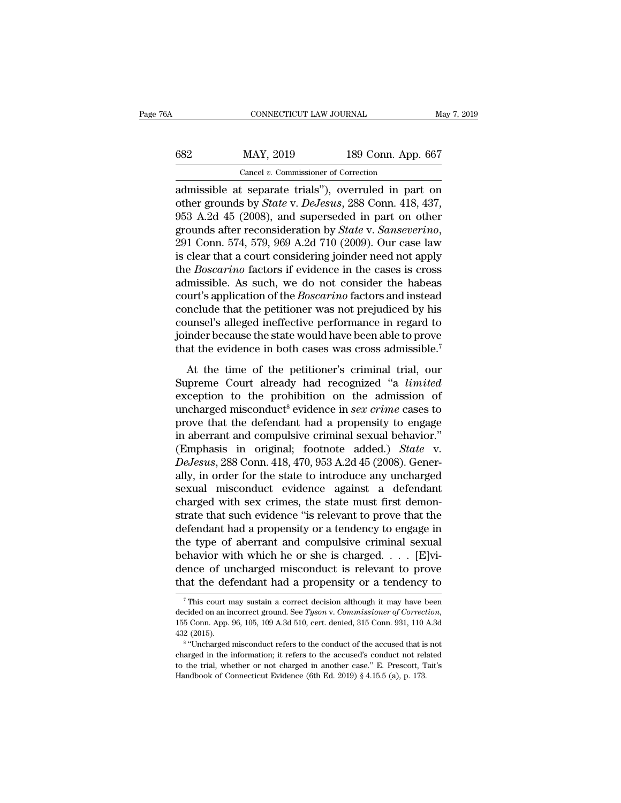| May 7, 2019                                          |
|------------------------------------------------------|
|                                                      |
| 189 Conn. App. 667                                   |
|                                                      |
| admissible at separate trials") overruled in part on |

CONNECTICUT LAW JOURNAL May 7, 2019<br>
682 MAY, 2019 189 Conn. App. 667<br>
Cancel v. Commissioner of Correction<br>
admissible at separate trials''), overruled in part on<br>
other grounds by *State* v. *DeJesus*, 288 Conn. 418, 437 other grounds after reconsideration by *State* v. *Senegararing*<br>grounds by *State* v. *DeJesus*, 288 Conn. 418, 437, 953 A.2d 45 (2008), and superseded in part on other grounds of the reconsideration by *State* v. *Senega* 953 MAY, 2019 189 Conn. App. 667<br>
Cancel v. Commissioner of Correction<br>
admissible at separate trials"), overruled in part on<br>
other grounds by *State* v. *DeJesus*, 288 Conn. 418, 437,<br>
953 A.2d 45 (2008), and superseded max 682 MAY, 2019 189 Conn. App. 667<br>
Cancel *v*. Commissioner of Correction<br>
admissible at separate trials"), overruled in part on<br>
other grounds by *State* v. *DeJesus*, 288 Conn. 418, 437,<br>
953 A.2d 45 (2008), and super Cancel v. Commissioner of Correction<br>admissible at separate trials"), overruled in part on<br>other grounds by *State* v. *DeJesus*, 288 Conn. 418, 437,<br>953 A.2d 45 (2008), and superseded in part on other<br>grounds after recon admissible at separate trials"), overruled in part on<br>other grounds by *State* v. *DeJesus*, 288 Conn. 418, 437,<br>953 A.2d 45 (2008), and superseded in part on other<br>grounds after reconsideration by *State* v. *Sanseverino* other grounds by *State* v. *DeJesus*, 288 Conn. 418, 437, 953 A.2d 45 (2008), and superseded in part on other grounds after reconsideration by *State* v. *Sanseverino*, 291 Conn. 574, 579, 969 A.2d 710 (2009). Our case la 953 A.2d 45 (2008), and superseded in part on other<br>grounds after reconsideration by *State* v. *Sanseverino*,<br>291 Conn. 574, 579, 969 A.2d 710 (2009). Our case law<br>is clear that a court considering joinder need not apply<br> grounds after reconsideration by *State* v. *Sanseverino*,<br>291 Conn. 574, 579, 969 A.2d 710 (2009). Our case law<br>is clear that a court considering joinder need not apply<br>the *Boscarino* factors if evidence in the cases is 291 Conn. 574, 579, 969 A.2d 710 (2009). Our case law<br>is clear that a court considering joinder need not apply<br>the *Boscarino* factors if evidence in the cases is cross<br>admissible. As such, we do not consider the habeas<br>c is clear that a court considering joinder need not apply<br>the *Boscarino* factors if evidence in the cases is cross<br>admissible. As such, we do not consider the habeas<br>court's application of the *Boscarino* factors and inst the *Boscarino* factors if evidence in the cases is cross<br>admissible. As such, we do not consider the habeas<br>court's application of the *Boscarino* factors and instead<br>conclude that the petitioner was not prejudiced by his At the time of the petitioner's criminal trial, our preme Court already had recognized  $\mu$  is alleged ineffective performance in regard to inder because the state would have been able to prove at the evidence in both cas courts appreciated of alc *boods the factors* and misted conclude that the petitioner was not prejudiced by his counsel's alleged ineffective performance in regard to joinder because the state would have been able to prove

coincide that the perhable was not prejudiced by this<br>counsel's alleged ineffective performance in regard to<br>joinder because the state would have been able to prove<br>that the evidence in both cases was cross admissible.<sup>7</sup> by inder because the state would have been able to prove<br>that the evidence in both cases was cross admissible.<sup>7</sup><br>At the time of the petitioner's criminal trial, our<br>Supreme Court already had recognized "a *limited*<br>except that the evidence in both cases was cross admissible.<sup>7</sup><br>At the time of the petitioner's criminal trial, our<br>Supreme Court already had recognized "a *limited*<br>exception to the prohibition on the admission of<br>uncharged mis At the time of the petitioner's criminal trial, our<br>Supreme Court already had recognized "a *limited*<br>exception to the prohibition on the admission of<br>uncharged misconduct<sup>8</sup> evidence in *sex crime* cases to<br>prove that th At the time of the petitioner's criminal trial, our<br>Supreme Court already had recognized "a *limited*<br>exception to the prohibition on the admission of<br>uncharged misconduct<sup>8</sup> evidence in *sex crime* cases to<br>prove that the Supreme Court already had recognized "a *limited* exception to the prohibition on the admission of uncharged misconduct<sup>8</sup> evidence in *sex crime* cases to prove that the defendant had a propensity to engage in aberrant an exception to the prohibition on the admission of<br>uncharged misconduct<sup>8</sup> evidence in *sex crime* cases to<br>prove that the defendant had a propensity to engage<br>in aberrant and compulsive criminal sexual behavior."<br>(Emphasis uncharged misconduct<sup>8</sup> evidence in *sex crime* cases to<br>prove that the defendant had a propensity to engage<br>in aberrant and compulsive criminal sexual behavior."<br>(Emphasis in original; footnote added.) *State* v.<br>*DeJesu* prove that the defendant had a propensity to engage<br>in aberrant and compulsive criminal sexual behavior."<br>(Emphasis in original; footnote added.) *State* v.<br>*DeJesus*, 288 Conn. 418, 470, 953 A.2d 45 (2008). Generally, in in aberrant and compulsive criminal sexual behavior."<br>(Emphasis in original; footnote added.) *State* v.<br>*DeJesus*, 288 Conn. 418, 470, 953 A.2d 45 (2008). Gener-<br>ally, in order for the state to introduce any uncharged<br>sex (Emphasis in original; footnote added.) *State* v.<br> *DeJesus*, 288 Conn. 418, 470, 953 A.2d 45 (2008). Generally, in order for the state to introduce any uncharged<br>
sexual misconduct evidence against a defendant<br>
charged DeJesus, 288 Conn. 418, 470, 953 A.2d 45 (2008). Generally, in order for the state to introduce any uncharged<br>sexual misconduct evidence against a defendant<br>charged with sex crimes, the state must first demon-<br>strate that ally, in order for the state to introduce any uncharged<br>sexual misconduct evidence against a defendant<br>charged with sex crimes, the state must first demon-<br>strate that such evidence "is relevant to prove that the<br>defendant sexual misconduct evidence against a defendant<br>charged with sex crimes, the state must first demon-<br>strate that such evidence "is relevant to prove that the<br>defendant had a propensity or a tendency to engage in<br>the type of charged with sex crimes, the state must first demonstrate that such evidence "is relevant to prove that the defendant had a propensity or a tendency to engage in the type of aberrant and compulsive criminal sexual behavio Following the type of aberrant and compulsive criminal sexual<br>ehavior with which he or she is charged.... [E]vi-<br>ence of uncharged misconduct is relevant to prove<br>at the defendant had a propensity or a tendency to<br> $\frac{1}{7$ 

behavior with which he or she is charged. . . . . [E]vidence of uncharged misconduct is relevant to prove that the defendant had a propensity or a tendency to  $\frac{7}{1}$  This court may sustain a correct decision although it dence of uncharged misconduct is relevant to prove<br>that the defendant had a propensity or a tendency to<br> $\frac{1}{7}$ This court may sustain a correct decision although it may have been<br>decided on an incorrect ground. See *Tys* This court may sustain a correct decision although it may have been<br>
died on an incorrect ground. See *Tyson v. Commissioner of Correction*,<br>
Conn. App. 96, 105, 109 A.3d 510, cert. denied, 315 Conn. 931, 110 A.3d<br>
(2015). <sup>7</sup> This court may sustain a correct decision although it may have been decided on an incorrect ground. See *Tyson v. Commissioner of Correction*, 155 Conn. App. 96, 105, 109 A.3d 510, cert. denied, 315 Conn. 931, 110 A.3 155 Conn. App. 96, 105, 109 A.3d 510, cert. denied, 315 Conn. 931, 110 A.3d

decided on an incorrect ground. See Tyson v. Commissioner of Correction, 155 Conn. App. 96, 105, 109 A.3d 510, cert. denied, 315 Conn. 931, 110 A.3d 432 (2015).<br>
<sup>8</sup> "Uncharged misconduct refers to the conduct of the accu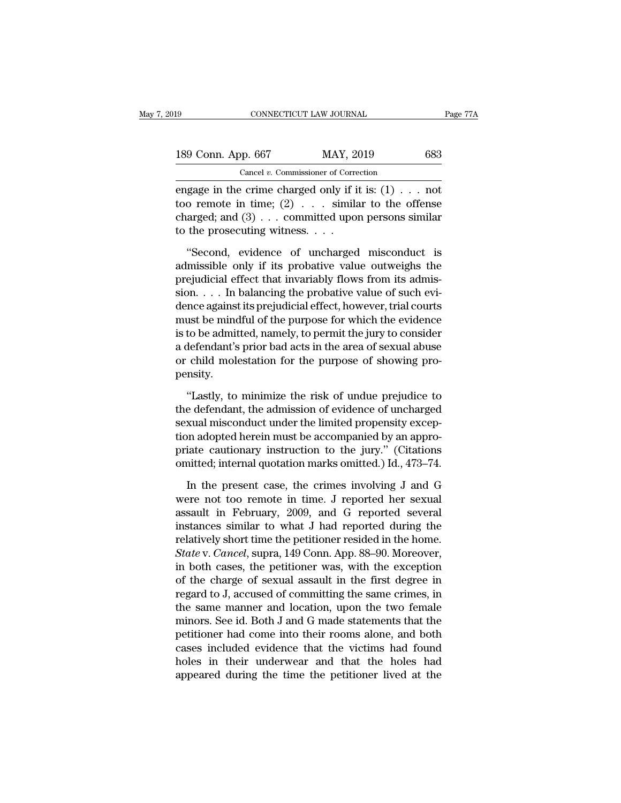| 19                 | CONNECTICUT LAW JOURNAL                                                                                                                                                                                                                                                                                                                                                                                             | Page 77A |
|--------------------|---------------------------------------------------------------------------------------------------------------------------------------------------------------------------------------------------------------------------------------------------------------------------------------------------------------------------------------------------------------------------------------------------------------------|----------|
| 189 Conn. App. 667 | MAY, 2019                                                                                                                                                                                                                                                                                                                                                                                                           | 683      |
|                    | Cancel $v$ . Commissioner of Correction                                                                                                                                                                                                                                                                                                                                                                             |          |
|                    | engage in the crime charged only if it is: $(1)$ not<br>too remote in time; $(2)$ similar to the offense<br>$\alpha$ above denoted in $\alpha$ above $\alpha$ above $\alpha$ above $\alpha$ above $\alpha$ above $\alpha$ above $\alpha$ above $\alpha$ above $\alpha$ above $\alpha$ above $\alpha$ above $\alpha$ above $\alpha$ above $\alpha$ above $\alpha$ above $\alpha$ above $\alpha$ above $\alpha$ above |          |

189 Conn. App. 667 MAY, 2019 683<br>
Cancel *v*. Commissioner of Correction<br>
engage in the crime charged only if it is:  $(1)$  . . . not<br>
too remote in time;  $(2)$  . . . similar to the offense<br>
charged; and  $(3)$  . . . commit 189 Conn. App. 667 MAY, 2019 683<br>
Cancel v. Commissioner of Correction<br>
engage in the crime charged only if it is:  $(1)$ ... not<br>
too remote in time;  $(2)$ ... similar to the offense<br>
charged; and  $(3)$ ... committed upon pe 189 Conn. App. 667 MAY, 20<br>
Cancel v. Commissioner of Corre<br>
engage in the crime charged only if it<br>
too remote in time; (2) . . . simila<br>
charged; and (3) . . . committed upor<br>
to the prosecuting witness. . . .<br>
"Second, Cancel v. Commissioner of Correction<br>
gage in the crime charged only if it is: (1) . . . not<br>
o remote in time; (2) . . . similar to the offense<br>
arged; and (3) . . . committed upon persons similar<br>
the prosecuting witnes engage in the crime charged only if it is:  $(1) \ldots$  not<br>too remote in time;  $(2) \ldots$  similar to the offense<br>charged; and  $(3) \ldots$  committed upon persons similar<br>to the prosecuting witness. . . .<br>"Second, evidence of uncha

too remote in time; (2)  $\ldots$  similar to the offense<br>charged; and (3)  $\ldots$  committed upon persons similar<br>to the prosecuting witness.  $\ldots$ <br>"Second, evidence of uncharged misconduct is<br>admissible only if its probative va charged; and  $(3)$ ... committed upon persons similar<br>to the prosecuting witness....<br>"Second, evidence of uncharged misconduct is<br>admissible only if its probative value outweighs the<br>prejudicial effect that invariably flow to the prosecuting witness. . . .<br>
"Second, evidence of uncharged misconduct is<br>
admissible only if its probative value outweighs the<br>
prejudicial effect that invariably flows from its admis-<br>
sion. . . . In balancing the "Second, evidence of uncharged misconduct is<br>admissible only if its probative value outweighs the<br>prejudicial effect that invariably flows from its admis-<br>sion.... In balancing the probative value of such evi-<br>dence again "Second, evidence of uncharged misconduct is<br>admissible only if its probative value outweighs the<br>prejudicial effect that invariably flows from its admis-<br>sion.... In balancing the probative value of such evi-<br>dence again admissible only if its probative value outweighs the<br>prejudicial effect that invariably flows from its admis-<br>sion. . . . In balancing the probative value of such evi-<br>dence against its prejudicial effect, however, trial c prejudicial effect that invariably flows from its admission. . . . In balancing the probative value of such evidence against its prejudicial effect, however, trial courts must be mindful of the purpose for which the eviden pensity. ust be mindful of the purpose for which the evidence<br>to be admitted, namely, to permit the jury to consider<br>defendant's prior bad acts in the area of sexual abuse<br>child molestation for the purpose of showing pro-<br>nsity.<br>"L is to be admitted, namely, to permit the jury to consider<br>a defendant's prior bad acts in the area of sexual abuse<br>or child molestation for the purpose of showing pro-<br>pensity.<br>"Lastly, to minimize the risk of undue prejud

a defendant's prior bad acts in the area of sexual abuse<br>or child molestation for the purpose of showing pro-<br>pensity.<br>"Lastly, to minimize the risk of undue prejudice to<br>the defendant, the admission of evidence of uncharg or child molestation for the purpose of showing pro-<br>pensity.<br>"Lastly, to minimize the risk of undue prejudice to<br>the defendant, the admission of evidence of uncharged<br>sexual misconduct under the limited propensity exceppensity.<br>
"Lastly, to minimize the risk of undue prejudice to<br>
the defendant, the admission of evidence of uncharged<br>
sexual misconduct under the limited propensity excep-<br>
tion adopted herein must be accompanied by an app "Lastly, to minimize the risk of undue prejudice to<br>the defendant, the admission of evidence of uncharged<br>sexual misconduct under the limited propensity excep-<br>tion adopted herein must be accompanied by an appro-<br>priate ca e defendant, the admission of evidence of uncharged<br>
xual misconduct under the limited propensity excep-<br>
in adopted herein must be accompanied by an appro-<br>
iate cautionary instruction to the jury." (Citations<br>
initted; i sexual misconduct under the limited propensity exception adopted herein must be accompanied by an appropriate cautionary instruction to the jury." (Citations omitted; internal quotation marks omitted.) Id., 473–74.<br>In the

tion adopted herein must be accompanied by an appropriate cautionary instruction to the jury." (Citations omitted; internal quotation marks omitted.) Id., 473–74.<br>In the present case, the crimes involving J and G were not priate cautionary instruction to the jury." (Citations<br>omitted; internal quotation marks omitted.) Id., 473–74.<br>In the present case, the crimes involving J and G<br>were not too remote in time. J reported her sexual<br>assault omitted; internal quotation marks omitted.) Id., 473–74.<br>In the present case, the crimes involving J and G<br>were not too remote in time. J reported her sexual<br>assault in February, 2009, and G reported several<br>instances simi In the present case, the crimes involving J and G<br>were not too remote in time. J reported her sexual<br>assault in February, 2009, and G reported several<br>instances similar to what J had reported during the<br>relatively short ti In the present case, the crimes involving J and G<br>were not too remote in time. J reported her sexual<br>assault in February, 2009, and G reported several<br>instances similar to what J had reported during the<br>relatively short ti were not too remote in time. J reported her sexual<br>assault in February, 2009, and G reported several<br>instances similar to what J had reported during the<br>relatively short time the petitioner resided in the home.<br>*State* v. assault in February, 2009, and G reported several<br>instances similar to what J had reported during the<br>relatively short time the petitioner resided in the home.<br>State v. Cancel, supra, 149 Conn. App. 88–90. Moreover,<br>in bot instances similar to what J had reported during the<br>relatively short time the petitioner resided in the home.<br>State v. Cancel, supra, 149 Conn. App. 88–90. Moreover,<br>in both cases, the petitioner was, with the exception<br>of relatively short time the petitioner resided in the home.<br>State v. Cancel, supra, 149 Conn. App. 88–90. Moreover,<br>in both cases, the petitioner was, with the exception<br>of the charge of sexual assault in the first degree in State v. Cancel, supra, 149 Conn. App. 88–90. Moreover,<br>in both cases, the petitioner was, with the exception<br>of the charge of sexual assault in the first degree in<br>regard to J, accused of committing the same crimes, in<br>th in both cases, the petitioner was, with the exception<br>of the charge of sexual assault in the first degree in<br>regard to J, accused of committing the same crimes, in<br>the same manner and location, upon the two female<br>minors. of the charge of sexual assault in the first degree in<br>regard to J, accused of committing the same crimes, in<br>the same manner and location, upon the two female<br>minors. See id. Both J and G made statements that the<br>petition regard to J, accused of committing the same crimes, in<br>the same manner and location, upon the two female<br>minors. See id. Both J and G made statements that the<br>petitioner had come into their rooms alone, and both<br>cases incl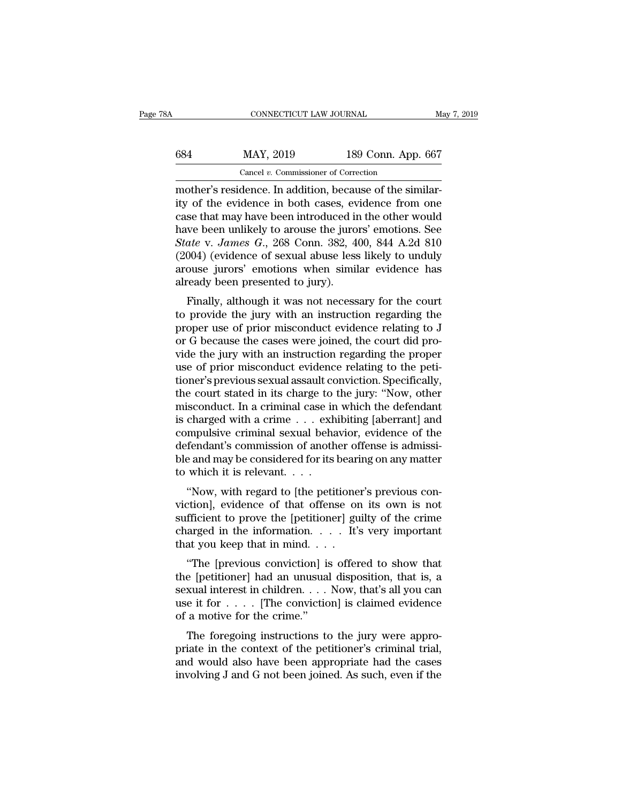| ЗA  | CONNECTICUT LAW JOURNAL                                  |                    | May 7, 2019 |
|-----|----------------------------------------------------------|--------------------|-------------|
| 684 | MAY, 2019                                                | 189 Conn. App. 667 |             |
|     | Cancel $v$ . Commissioner of Correction                  |                    |             |
|     | mother's residence. In addition, because of the similar- |                    |             |

CONNECTICUT LAW JOURNAL<br>
MAY, 2019 189 Conn. App. 667<br>
Cancel v. Commissioner of Correction<br>
mother's residence. In addition, because of the similar-<br>
ity of the evidence in both cases, evidence from one<br>
case that may hav MAY, 2019 189 Conn. App. 667<br>
Cancel v. Commissioner of Correction<br>
mother's residence. In addition, because of the similarity<br>
of the evidence in both cases, evidence from one<br>
case that may have been introduced in the ot 684 MAY, 2019 189 Conn. App. 667<br>
Cancel v. Commissioner of Correction<br>
mother's residence. In addition, because of the similarity of the evidence in both cases, evidence from one<br>
case that may have been introduced in th  $\frac{\text{KAN}}{\text{HAN}}$ , 2019 189 Conn. App. 667<br>  $\frac{\text{Cancel } v. \text{ Commissioner of Correction}}{\text{mother's residence. In addition, because of the similarity of the evidence in both cases, evidence from one case that may have been introduced in the other would have been unlikely to arouse the jurors' emotions. See State v. James G., 268 Conn. 382, 400, 844 A.2d 810 (2004) (oxidance of sovula phase less likely to unduly.$ *State v. Commissioner of Corection*<br> **State v.** *Commissioner of Corection*<br> **State v.** *Janes G.***,** *Data Light* **cannonically of the evidence in both cases, evidence from one<br>
case that may have been introduced in the oth** Cancel v. Commissioner of Correction<br>
mother's residence. In addition, because of the similar-<br>
ity of the evidence in both cases, evidence from one<br>
case that may have been introduced in the other would<br>
have been unlike mother's residence. In addition, because of the similarity of the evidence in both cases, evidence from one case that may have been introduced in the other would have been unlikely to arouse the jurors' emotions. See *Stat* ity of the evidence in both cases, ev<br>case that may have been introduced in<br>have been unlikely to arouse the juro<br> $State$  v.  $James$   $G$ ,  $268$  Conn.  $382$ ,  $4$ <br> $(2004)$  (evidence of sexual abuse less<br>arouse jurors' emotions when se that may have been introduced in the other would<br>we been unlikely to arouse the jurors' emotions. See<br>ate v. James G., 268 Conn. 382, 400, 844 A.2d 810<br>004) (evidence of sexual abuse less likely to unduly<br>ouse jurors' e that we been univery to arouse the jurors emotions. See<br>State v. James G., 268 Conn. 382, 400, 844 A.2d 810<br>(2004) (evidence of sexual abuse less likely to unduly<br>arouse jurors' emotions when similar evidence has<br>already b

battle v. James G., 200 Contr. 302, 400, 644 A.2d 810 (2004) (evidence of sexual abuse less likely to unduly arouse jurors' emotions when similar evidence has already been presented to jury).<br>Finally, although it was not  $(2004)$  (evidence of sexual abuse fess intery to unduly arouse jurors' emotions when similar evidence has already been presented to jury).<br>Finally, although it was not necessary for the court to provide the jury with an arouse jurors emotions when similar evidence has<br>already been presented to jury).<br>Finally, although it was not necessary for the court<br>to provide the jury with an instruction regarding the<br>proper use of prior misconduct ev Finally, although it was not necessary for the court<br>to provide the jury with an instruction regarding the<br>proper use of prior misconduct evidence relating to J<br>or G because the cases were joined, the court did pro-<br>vide t Finally, although it was not necessary for the court<br>to provide the jury with an instruction regarding the<br>proper use of prior misconduct evidence relating to J<br>or G because the cases were joined, the court did pro-<br>vide t to provide the jury with an instruction regarding the<br>proper use of prior misconduct evidence relating to J<br>or G because the cases were joined, the court did pro-<br>vide the jury with an instruction regarding the proper<br>use proper use of prior misconduct evidence relating to J<br>or G because the cases were joined, the court did pro-<br>vide the jury with an instruction regarding the proper<br>use of prior misconduct evidence relating to the peti-<br>tio or G because the cases were joined, the court did provide the jury with an instruction regarding the proper<br>use of prior misconduct evidence relating to the peti-<br>tioner's previous sexual assault conviction. Specifically,<br> vide the jury with an instruction regarding the proper<br>use of prior misconduct evidence relating to the peti-<br>tioner's previous sexual assault conviction. Specifically,<br>the court stated in its charge to the jury: "Now, oth use of prior misconduct evidence relating to the petitioner's previous sexual assault conviction. Specifically, the court stated in its charge to the jury: "Now, other misconduct. In a criminal case in which the defendant tioner's previous sexual assault conviction. Specifically,<br>the court stated in its charge to the jury: "Now, other<br>misconduct. In a criminal case in which the defendant<br>is charged with a crime . . . exhibiting [aberrant] a the court stated in its charge to<br>misconduct. In a criminal case in<br>is charged with a crime  $\dots$  exh<br>compulsive criminal sexual beha<br>defendant's commission of anoth<br>ble and may be considered for its<br>to which it is relevan Subsecution. In a criminal case in which the detendant<br>
charged with a crime . . . exhibiting [aberrant] and<br>
mpulsive criminal sexual behavior, evidence of the<br>
fendant's commission of another offense is admissi-<br>
and may is charged with a critic . . . exhibiting [aberrait] and<br>compulsive criminal sexual behavior, evidence of the<br>defendant's commission of another offense is admissi-<br>ble and may be considered for its bearing on any matter<br>to

compusive criminal sexual behavior, evidence of the<br>defendant's commission of another offense is admissi-<br>ble and may be considered for its bearing on any matter<br>to which it is relevant...<br>"Now, with regard to [the petiti defendant s'confinission of another offerise is admissible and may be considered for its bearing on any matter<br>to which it is relevant. . . .<br>"Now, with regard to [the petitioner's previous con-<br>viction], evidence of that to which it is relevant. . . .<br>"Now, with regard to [the petitione viction], evidence of that offense or sufficient to prove the [petitioner] guedarged in the information. . . . It's that you keep that in mind. . . . . . "Now, with regard to [the petitioner's previous contribution], evidence of that offense on its own is not fficient to prove the [petitioner] guilty of the crime arged in the information.  $\dots$  It's very important at you ke Frow, while regard to [the pethoder s previous conviction], evidence of that offense on its own is not sufficient to prove the [petitioner] guilty of the crime charged in the information.  $\dots$  It's very important that you

sufficient to prove the [petitioner] guilty of the crime<br>charged in the information. . . . It's very important<br>that you keep that in mind. . . .<br>"The [previous conviction] is offered to show that<br>the [petitioner] had an u sumclent to prove the [petholder] guinty of the crime<br>charged in the information. . . . It's very important<br>that you keep that in mind. . . .<br>"The [previous conviction] is offered to show that<br>the [petitioner] had an unus that you keep that in mind...<br>
"The [previous conviction] is<br>
the [petitioner] had an unusual<br>
sexual interest in children....<br>
use it for .... [The conviction<br>
of a motive for the crime."<br>
The foregoing instructions to "The [previous conviction] is offered to show that<br>e [petitioner] had an unusual disposition, that is, a<br>xual interest in children.... Now, that's all you can<br>e it for .... [The conviction] is claimed evidence<br>a motive fo The [previous conviction] is offered to show that<br>the [petitioner] had an unusual disposition, that is, a<br>sexual interest in children.  $\dots$  Now, that's all you can<br>use it for  $\dots$ . [The conviction] is claimed evidence<br>of

and interest in children.  $\dots$  Now, that's all you can use it for  $\dots$ . [The conviction] is claimed evidence of a motive for the crime."<br>The foregoing instructions to the jury were appropriate in the context of the petiti sexual interest in children.  $\ldots$  Now, that s an you can<br>use it for  $\ldots$ . [The conviction] is claimed evidence<br>of a motive for the crime."<br>The foregoing instructions to the jury were appro-<br>priate in the context of the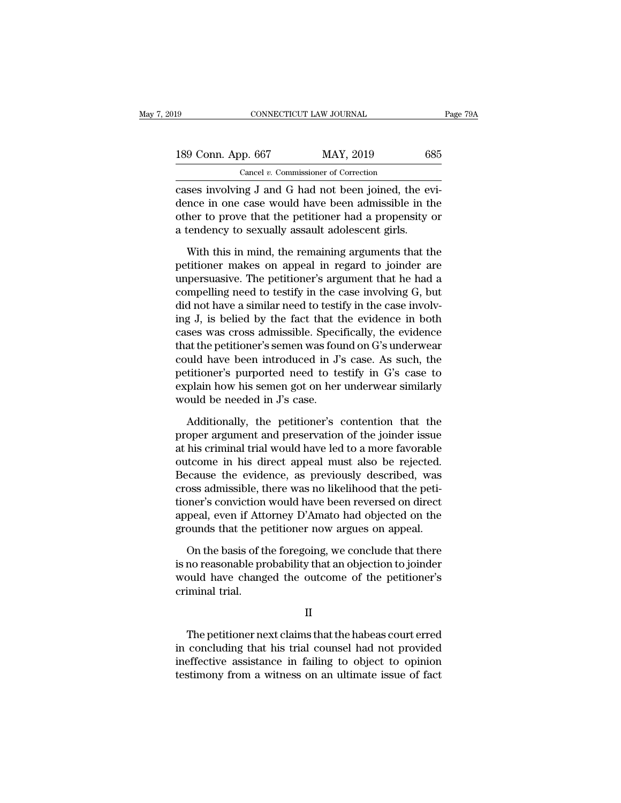| 19                 | CONNECTICUT LAW JOURNAL                                                                                                                                                | Page 79A |
|--------------------|------------------------------------------------------------------------------------------------------------------------------------------------------------------------|----------|
| 189 Conn. App. 667 | MAY, 2019                                                                                                                                                              | 685      |
|                    | Cancel $v$ . Commissioner of Correction                                                                                                                                |          |
|                    | cases involving J and G had not been joined, the evi-<br>dence in one case would have been admissible in the<br>other to prove that the petitioner had a proponsity or |          |

189 Conn. App. 667 MAY, 2019 685<br>
Cancel v. Commissioner of Correction<br>
Cases involving J and G had not been joined, the evidence in one case would have been admissible in the<br>
other to prove that the petitioner had a pro 189 Conn. App. 667 MAY, 2019 685<br>Cancel v. Commissioner of Correction<br>Cases involving J and G had not been joined, the evi-<br>dence in one case would have been admissible in the<br>other to prove that the petitioner had a prope 189 Conn. App. 667 MAY, 2019 68<br>
Cancel v. Commissioner of Correction<br>
cases involving J and G had not been joined, the even<br>
dence in one case would have been admissible in the<br>
other to prove that the petitioner had a p Cancel v. Commissioner of Correction<br>
ses involving J and G had not been joined, the evi-<br>
nce in one case would have been admissible in the<br>
her to prove that the petitioner had a propensity or<br>
tendency to sexually assa cases involving J and G had not been joined, the evi-<br>dence in one case would have been admissible in the<br>other to prove that the petitioner had a propensity or<br>a tendency to sexually assault adolescent girls.<br>With this in

dence in one case would have been admissible in the<br>other to prove that the petitioner had a propensity or<br>a tendency to sexually assault adolescent girls.<br>With this in mind, the remaining arguments that the<br>petitioner mak other to prove that the petitioner had a propensity or<br>a tendency to sexually assault adolescent girls.<br>With this in mind, the remaining arguments that the<br>petitioner makes on appeal in regard to joinder are<br>unpersuasive. other to prove that the petitioner had a propensity or<br>a tendency to sexually assault adolescent girls.<br>With this in mind, the remaining arguments that the<br>petitioner makes on appeal in regard to joinder are<br>unpersuasive. With this in mind, the remaining arguments that the petitioner makes on appeal in regard to joinder are unpersuasive. The petitioner's argument that he had a compelling need to testify in the case involving  $G$ , but did n With this in mind, the remaining arguments that the<br>petitioner makes on appeal in regard to joinder are<br>unpersuasive. The petitioner's argument that he had a<br>compelling need to testify in the case involving G, but<br>did not petitioner makes on appeal in regard to joinder are<br>unpersuasive. The petitioner's argument that he had a<br>compelling need to testify in the case involving G, but<br>did not have a similar need to testify in the case involv-<br>i unpersuasive. The petitioner's argument that he had a<br>compelling need to testify in the case involving G, but<br>did not have a similar need to testify in the case involv-<br>ing J, is belied by the fact that the evidence in bot compelling need to testify in the case involving G, but<br>did not have a similar need to testify in the case involv-<br>ing J, is belied by the fact that the evidence in both<br>cases was cross admissible. Specifically, the eviden did not have a similar need to testify in the case involving J, is belied by the fact that the evidence in both cases was cross admissible. Specifically, the evidence that the petitioner's semen was found on G's underwear ing J, is belied by the fact that the cases was cross admissible. Speci<br>that the petitioner's semen was fou<br>could have been introduced in J's<br>petitioner's purported need to te<br>explain how his semen got on her<br>would be need at the petitioner's semen was found on G's underwear<br>uld have been introduced in J's case. As such, the<br>titioner's purported need to testify in G's case to<br>plain how his semen got on her underwear similarly<br>ould be needed could have been introduced in J's case. As such, the<br>petitioner's purported need to testify in G's case to<br>explain how his semen got on her underwear similarly<br>would be needed in J's case.<br>Additionally, the petitioner's co

petitioner's purported need to testify in G's case to<br>explain how his semen got on her underwear similarly<br>would be needed in J's case.<br>Additionally, the petitioner's contention that the<br>proper argument and preservation of explain how his semen got on her underwear similarly<br>would be needed in J's case.<br>Additionally, the petitioner's contention that the<br>proper argument and preservation of the joinder issue<br>at his criminal trial would have le would be needed in J's case.<br>
Additionally, the petitioner's contention that the<br>
proper argument and preservation of the joinder issue<br>
at his criminal trial would have led to a more favorable<br>
outcome in his direct appea Additionally, the petitioner's contention that the proper argument and preservation of the joinder issue at his criminal trial would have led to a more favorable outcome in his direct appeal must also be rejected. Because Additionally, the petitioner's contention that the<br>proper argument and preservation of the joinder issue<br>at his criminal trial would have led to a more favorable<br>outcome in his direct appeal must also be rejected.<br>Because proper argument and preservation of the joinder issue<br>at his criminal trial would have led to a more favorable<br>outcome in his direct appeal must also be rejected.<br>Because the evidence, as previously described, was<br>cross ad at his criminal trial would have led to a more favorable<br>outcome in his direct appeal must also be rejected.<br>Because the evidence, as previously described, was<br>cross admissible, there was no likelihood that the peti-<br>tione ecause the evidence, as previously described, was<br>oss admissible, there was no likelihood that the peti-<br>oner's conviction would have been reversed on direct<br>peal, even if Attorney D'Amato had objected on the<br>ounds that th cross admissible, there was no likelihood that the petitioner's conviction would have been reversed on direct<br>appeal, even if Attorney D'Amato had objected on the<br>grounds that the petitioner now argues on appeal.<br>On the ba

tioner's conviction would have been reversed on direct<br>appeal, even if Attorney D'Amato had objected on the<br>grounds that the petitioner now argues on appeal.<br>On the basis of the foregoing, we conclude that there<br>is no reas appeal, even if Attu<br>grounds that the p<br>On the basis of tl<br>is no reasonable pr<br>would have chang<br>criminal trial. On the basis of the foregoing, we conclude that there<br>no reasonable probability that an objection to joinder<br>build have changed the outcome of the petitioner's<br>iminal trial.<br>II<br>The petitioner next claims that the habeas co

II

is no reasonable probability that an objection to jointer<br>would have changed the outcome of the petitioner's<br>criminal trial.<br>II<br>The petitioner next claims that the habeas court erred<br>in concluding that his trial counsel ha Final trial.<br>
II<br>
The petitioner next claims that the habeas court erred<br>
in concluding that his trial counsel had not provided<br>
ineffective assistance in failing to object to opinion<br>
testimony from a witness on an ultima II<br>II<br>The petitioner next claims that the habeas court erred<br>in concluding that his trial counsel had not provided<br>ineffective assistance in failing to object to opinion<br>testimony from a witness on an ultimate issue of fac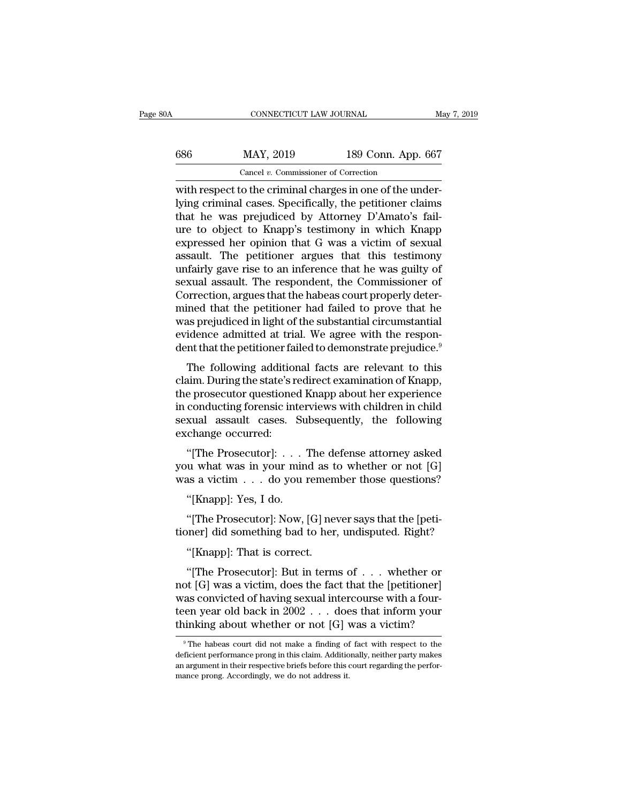| CONNECTICUT LAW JOURNAL<br>May 7, 2019                    |
|-----------------------------------------------------------|
|                                                           |
| 189 Conn. App. 667                                        |
| Cancel $v$ . Commissioner of Correction                   |
| with respect to the criminal charges in one of the under- |

CONNECTICUT LAW JOURNAL<br>
CONNECTICUT LAW JOURNAL<br>
Cancel v. Commissioner of Correction<br>
With respect to the criminal charges in one of the under-<br>
lying criminal cases. Specifically, the petitioner claims<br>
that he was prej MAY, 2019 189 Conn. App. 667<br>
Cancel v. Commissioner of Correction<br>
with respect to the criminal charges in one of the under-<br>
lying criminal cases. Specifically, the petitioner claims<br>
that he was prejudiced by Attorney D  $\begin{tabular}{ll} \hline & \text{MAY, 2019} & \text{189 Conn. App. 667} \\ \hline \text{Cancel } v. \text{ Commissioner of Correction} \\ \hline \text{with respect to the criminal charges in one of the underlying criminal cases. Specifically, the pertinent claims that he was prejudiced by Attorney D'Amato's failure to object to Knapp's testimony in which Knapp expressed her opinion that G was a victim of sovuel \end{tabular}$  $\begin{tabular}{ll} \hline & \text{MAY, 2019} & \text{189 Conn. App. 667} \\ \hline \text{Cancel }v. \text{ Commissioner of Correction} \\ \hline \text{with respect to the criminal charges in one of the underlying criminal cases. Specifically, the pertinent claims that he was prejudiced by Attorney D'Amato's failure to object to Knapp's testimony in which Knapp expressed her opinion that G was a victim of sexual result. The notification or groups that this testimony. \end{tabular}$ Cancel v. Commissioner of Correction<br>with respect to the criminal charges in one of the under-<br>lying criminal cases. Specifically, the petitioner claims<br>that he was prejudiced by Attorney D'Amato's fail-<br>ure to object to Cancel v. Commissioner of Correction<br>
with respect to the criminal charges in one of the under-<br>
lying criminal cases. Specifically, the petitioner claims<br>
that he was prejudiced by Attorney D'Amato's fail-<br>
ure to object with respect to the criminal charges in one of the underlying criminal cases. Specifically, the petitioner claims<br>that he was prejudiced by Attorney D'Amato's fail-<br>ure to object to Knapp's testimony in which Knapp<br>express lying criminal cases. Specifically, the petitioner claims<br>that he was prejudiced by Attorney D'Amato's fail-<br>ure to object to Knapp's testimony in which Knapp<br>expressed her opinion that G was a victim of sexual<br>assault. Th that he was prejudiced by Attorney D'Amato's fail-<br>ure to object to Knapp's testimony in which Knapp<br>expressed her opinion that G was a victim of sexual<br>assault. The petitioner argues that this testimony<br>unfairly gave rise ure to object to Knapp's testimony in which Knapp<br>expressed her opinion that G was a victim of sexual<br>assault. The petitioner argues that this testimony<br>unfairly gave rise to an inference that he was guilty of<br>sexual assau expressed her opinion that G was a victim of sexual<br>assault. The petitioner argues that this testimony<br>unfairly gave rise to an inference that he was guilty of<br>sexual assault. The respondent, the Commissioner of<br>Correction assault. The petitioner argues that this testimony<br>unfairly gave rise to an inference that he was guilty of<br>sexual assault. The respondent, the Commissioner of<br>Correction, argues that the habeas court properly deter-<br>mined unfairly gave rise to an inference that he was guilty of<br>sexual assault. The respondent, the Commissioner of<br>Correction, argues that the habeas court properly deter-<br>mined that the petitioner had failed to prove that he<br>wa Adar assault: The Tespondent, the Commissioner of<br>prrection, argues that the habeas court properly deter-<br>ined that the petitioner had failed to prove that he<br>as prejudiced in light of the substantial circumstantial<br>idence correction, argues that the habeas court property deter-<br>mined that the petitioner had failed to prove that he<br>was prejudiced in light of the substantial circumstantial<br>evidence admitted at trial. We agree with the respon-

mined that the petholier had raned to prove that he<br>was prejudiced in light of the substantial circumstantial<br>evidence admitted at trial. We agree with the respon-<br>dent that the petitioner failed to demonstrate prejudice.<sup></sup> was prejudiced in fight of the substantial circumstantial<br>evidence admitted at trial. We agree with the respon-<br>dent that the petitioner failed to demonstrate prejudice.<sup>9</sup><br>The following additional facts are relevant to th evidence admitted at trial. We agree with the respondent that the petitioner failed to demonstrate prejudice.<sup>9</sup><br>The following additional facts are relevant to this<br>claim. During the state's redirect examination of Knapp,<br> The following addition<br>claim. During the state's r<br>the prosecutor questione<br>in conducting forensic int<br>sexual assault cases.<br>exchange occurred:<br>"[The Prosecutor]: . . The Fohowing additional facts are Felevant to this<br>aim. During the state's redirect examination of Knapp,<br>e prosecutor questioned Knapp about her experience<br>conducting forensic interviews with children in child<br>xual assaul Earni. During the state steamect examination of Knapp,<br>the prosecutor questioned Knapp about her experience<br>in conducting forensic interviews with children in child<br>sexual assault cases. Subsequently, the following<br>exchan In conducting forensic interviews with children in child<br>sexual assault cases. Subsequently, the following<br>exchange occurred:<br>"[The Prosecutor]: . . . The defense attorney asked<br>you what was in your mind as to whether or n

xual assault cases. Su<br>
change occurred:<br>
"[The Prosecutor]: . . . '<br>
u what was in your min<br>
as a victim . . . do you i<br>"[Knapp]: Yes, I do.<br>"[The Prosecutor]: Now, | "[The Prosecutor]: . . . The defense attorney asked<br>u what was in your mind as to whether or not [G]<br>as a victim . . . do you remember those questions?<br>"[Knapp]: Yes, I do.<br>"[The Prosecutor]: Now, [G] never says that the [ "[The Prosecutor]: . . . The defense attorney asked<br>you what was in your mind as to whether or not [G]<br>was a victim . . . do you remember those questions?<br>"[Knapp]: Yes, I do.<br>"[The Prosecutor]: Now, [G] never says that th

as a victim . . . do you remem<br>
"[Knapp]: Yes, I do.<br>
"[The Prosecutor]: Now, [G] nee<br>
mer] did something bad to her.<br>"[Knapp]: That is correct.<br>"[The Prosecutor]: But in term

"[Knapp]: Yes, I do.<br>"[The Prosecutor]: Now, [G] never says that the [peti-<br>"ner] did something bad to her, undisputed. Right?<br>"[Knapp]: That is correct.<br>"[The Prosecutor]: But in terms of . . . whether or<br>"[G] was a victi "[The Prosecutor]: Now, [G] never says that the [petitioner] did something bad to her, undisputed. Right?"<br>"[Knapp]: That is correct.<br>"[The Prosecutor]: But in terms of  $\ldots$  whether or not [G] was a victim, does the fact "[The Prosecutor]: Now, [G] never says that the [petitioner] did something bad to her, undisputed. Right?<br>"[Knapp]: That is correct.<br>"[The Prosecutor]: But in terms of  $\ldots$  whether or not [G] was a victim, does the fact tioner] did something bad to her, undisputed. Right?<br>
"[Knapp]: That is correct.<br>
"[The Prosecutor]: But in terms of . . . whether or<br>
not [G] was a victim, does the fact that the [petitioner]<br>
was convicted of having sexu "[Knapp]: That is correct.<br>
"[The Prosecutor]: But in terms of . . . whether or<br>
not [G] was a victim, does the fact that the [petitioner]<br>
was convicted of having sexual intercourse with a four-<br>
teen year old back in 20 not [G] was a victim, does the fact that the [petitioner]<br>was convicted of having sexual intercourse with a four-<br>teen year old back in  $2002...$  does that inform your<br>thinking about whether or not [G] was a victim?<br>The hab was convicted of having sexual intercourse with a four-<br>teen year old back in  $2002...$  does that inform your<br>thinking about whether or not [G] was a victim?<br><sup>9</sup>The habeas court did not make a finding of fact with respect t

teen year old back in  $2002...$  does that inform your thinking about whether or not [G] was a victim?<br><sup>9</sup>The habeas court did not make a finding of fact with respect to the deficient performance prong in this claim. Additio thinking about whether or not  $[G]$  was a victim?<br>
<sup>9</sup> The habeas court did not make a finding of fact with respect deficient performance prong in this claim. Additionally, neither party an argument in their respective bri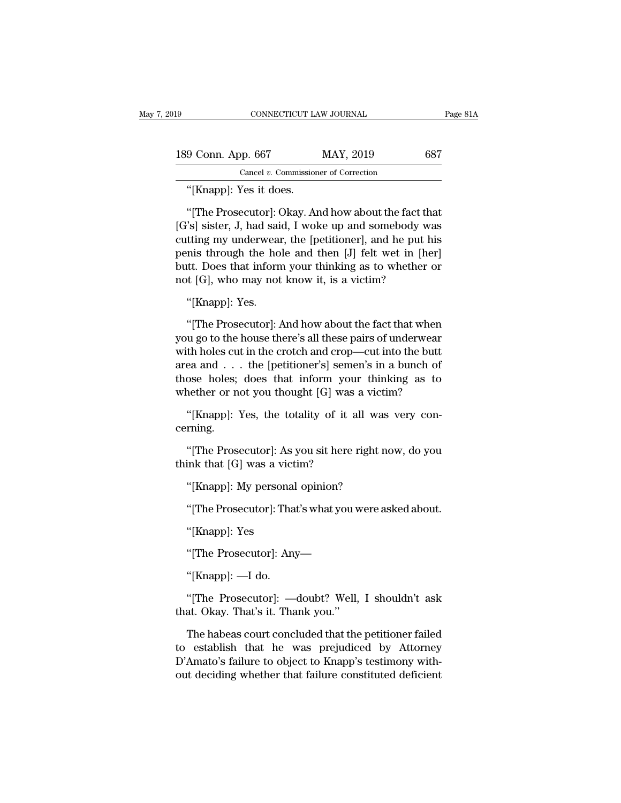| 19                                                   | CONNECTICUT LAW JOURNAL                 | Page 81A |
|------------------------------------------------------|-----------------------------------------|----------|
| 189 Conn. App. 667                                   | MAY, 2019                               | 687      |
|                                                      | Cancel $v$ . Commissioner of Correction |          |
| "[Knapp]: Yes it does.                               |                                         |          |
| "[The Prosecutor]: Okay. And how about the fact that |                                         |          |

9 Conn. App. 667 MAY, 2019 687<br>
Cancel v. Commissioner of Correction<br>
"[Knapp]: Yes it does.<br>
"[The Prosecutor]: Okay. And how about the fact that<br>
"s] sister, J, had said, I woke up and somebody was<br>
"ting my underwear, t 189 Conn. App. 667 MAY, 2019 687<br>
Cancel *v.* Commissioner of Correction<br>
"[Knapp]: Yes it does.<br>
"[The Prosecutor]: Okay. And how about the fact that<br>
[G's] sister, J, had said, I woke up and somebody was<br>
cutting my und Cancel v. Commissioner of Correction<br>
"[Knapp]: Yes it does.<br>
"[The Prosecutor]: Okay. And how about the fact that<br>
[G's] sister, J, had said, I woke up and somebody was<br>
cutting my underwear, the [petitioner], and he put Cancel v. Commissioner of Correction<br>
"[Knapp]: Yes it does.<br>
"[The Prosecutor]: Okay. And how about the fact that<br>
[G's] sister, J, had said, I woke up and somebody was<br>
cutting my underwear, the [petitioner], and he put "[Knapp]: Yes it does.<br>"[The Prosecutor]: Okay. And how about the fact that<br>[G's] sister, J, had said, I woke up and somebody was<br>cutting my underwear, the [petitioner], and he put his<br>penis through the hole and then [J] "[The Prosecutor]: Okay. And how about the fact the [G's] sister, J, had said, I woke up and somebody w cutting my underwear, the [petitioner], and he put he penis through the hole and then [J] felt wet in [he butt. Does 's] sister, J, had sai<br>tting my underwear<br>mis through the ho<br>ttt. Does that inform<br>t [G], who may not<br>"[Knapp]: Yes.<br>"[The Prosecutor]:  $\mu$ the put in the periodical compared in the put in the put in the put in the put in the put in the post that inform your thinking as to whether or tt [G], who may not know it, is a victim?<br>"[Knapp]: Yes.<br>"[The Prosecutor]: A

pents urough the note and then [5] felt wet in [her]<br>butt. Does that inform your thinking as to whether or<br>not [G], who may not know it, is a victim?<br>"[Knapp]: Yes.<br>"[The Prosecutor]: And how about the fact that when<br>you g bout. Does that miorin your timiking as to whether or<br>not [G], who may not know it, is a victim?<br>"[Knapp]: Yes.<br>"[The Prosecutor]: And how about the fact that when<br>you go to the house there's all these pairs of underwear<br>w area and . . . the [petitioner's] sements in a bunch of the prosecutor]: And how about the fact that when you go to the house there's all these pairs of underwear with holes cut in the crotch and crop—cut into the butt ar "[Knapp]: Yes.<br>"[The Prosecutor]: And how about the fact that when<br>you go to the house there's all these pairs of underwear<br>with holes cut in the crotch and crop—cut into the butt<br>area and . . . the [petitioner's] semen's "[The Prosecutor]: And how about the fact that when<br>you go to the house there's all these pairs of underwear<br>with holes cut in the crotch and crop—cut into the butt<br>area and . . . the [petitioner's] semen's in a bunch of<br> u go to the house there's all these pairs of underwear<br>th holes cut in the crotch and crop—cut into the butt<br>ea and . . . the [petitioner's] semen's in a bunch of<br>ose holes; does that inform your thinking as to<br>nether or n Example 2. The performer speakers in a bunch of ose holes; does that inform your thinking as to nether or not you thought [G] was a victim?<br>"[Knapp]: Yes, the totality of it all was very con-<br>ming.<br>"[The Prosecutor]: As y

cerning. whether or not you thought [G] was<br>
"[Knapp]: Yes, the totality of it a<br>
cerning.<br>
"[The Prosecutor]: As you sit here if<br>
think that [G] was a victim?<br>
"[Knapp]: My personal opinion? "[Knapp]: Yes, the totality of it all was<br>rning.<br>"[The Prosecutor]: As you sit here right n<br>ink that [G] was a victim?<br>"[Knapp]: My personal opinion?<br>"[The Prosecutor]: That's what you were a

rning.<br>"[The Prosecutor]: As you sit here right now, do you<br>ink that [G] was a victim?<br>"[Knapp]: My personal opinion?<br>"[The Prosecutor]: That's what you were asked about.<br>"[Knapp]: Yes "[The Prosecutor]: As y<br>ink that [G] was a victi<br>"[Knapp]: My personal<br>"[The Prosecutor]: That<br>"[Knapp]: Yes<br>"[The Prosecutor]: Any

"[Knapp]: My personal opinion?<br>"[The Prosecutor]: That's what you were asked:<br>"[Knapp]: Yes<br>"[The Prosecutor]: Any—<br>"[Knapp]: —I do. "[The Prosecutor]: Tha<br>"[Knapp]: Yes<br>"[The Prosecutor]: Ang"<br>"[Knapp]: —I do.<br>"[The Prosecutor]: —

"[Knapp]: Yes<br>"[The Prosecutor]: Any—<br>"[Knapp]: —I do.<br>"[The Prosecutor]: —doubt? Well, I shouldn't ask at. Okay. That's it. Thank you." "[Knapp]: Yes<br>"[The Prosecutor]: Any—<br>"[Knapp]: —I do.<br>"[The Prosecutor]: —doubt? Well,<br>that. Okay. That's it. Thank you."<br>The habeas court concluded that the

"[The Prosecutor]: Any—<br>"[Knapp]: —I do.<br>"[The Prosecutor]: —doubt? Well, I shouldn't ask<br>at. Okay. That's it. Thank you."<br>The habeas court concluded that the petitioner failed<br>establish that he was prejudiced by Attorney<br> "[Knapp]: —I do.<br>"[The Prosecutor]: —doubt? Well, I shouldn't ask<br>that. Okay. That's it. Thank you."<br>The habeas court concluded that the petitioner failed<br>to establish that he was prejudiced by Attorney<br>D'Amato's failure t "[The Prosecutor]:  $\rightarrow$  doubt? Well, I shouldn't ask<br>that. Okay. That's it. Thank you."<br>The habeas court concluded that the petitioner failed<br>to establish that he was prejudiced by Attorney<br>D'Amato's failure to object to "[The Prosecutor]: —doubt? Well, I shouldn't ask<br>that. Okay. That's it. Thank you."<br>The habeas court concluded that the petitioner failed<br>to establish that he was prejudiced by Attorney<br>D'Amato's failure to object to Knapp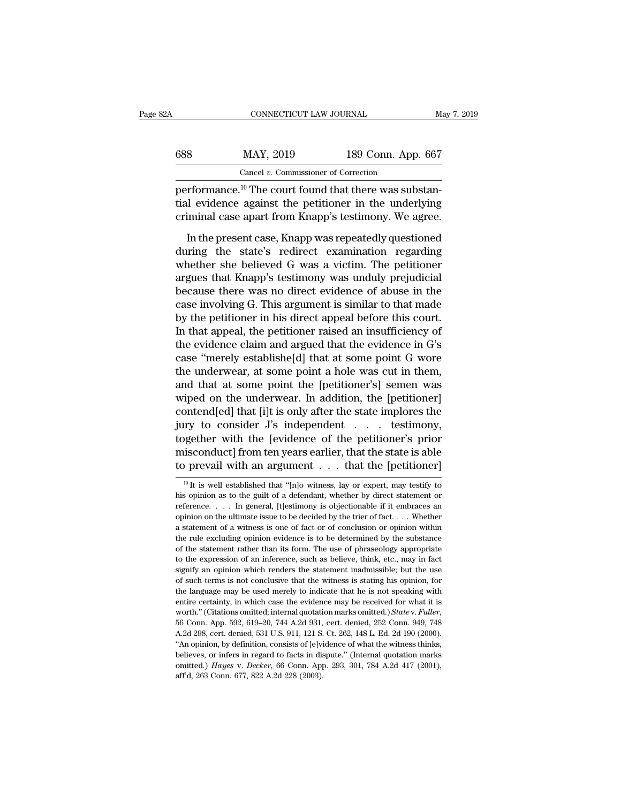| 32A | CONNECTICUT LAW JOURNAL                                                                                                      |                                                    | May 7, 2019 |
|-----|------------------------------------------------------------------------------------------------------------------------------|----------------------------------------------------|-------------|
|     |                                                                                                                              |                                                    |             |
| 688 | MAY, 2019                                                                                                                    | 189 Conn. App. 667                                 |             |
|     | Cancel $v$ . Commissioner of Correction                                                                                      |                                                    |             |
|     | performance. <sup>10</sup> The court found that there was substan-<br>tial evidence against the petitioner in the underlying | evining eaco apart from Knapp's testimony We agree |             |

the G88 MAY, 2019 189 Conn. App. 667<br>
Cancel v. Commissioner of Correction<br>
performance.<sup>10</sup> The court found that there was substantial evidence against the petitioner in the underlying<br>
criminal case apart from Knapp's te  $\begin{tabular}{ c c c} \multicolumn{1}{c|}{\textbf{688}} & \multicolumn{1}{c}{\textbf{MAX, 2019}} & \multicolumn{1}{c}{\textbf{189 Conn. App. 667}} \\ \hline \textbf{cancel }v. \textbf{ Commissioner of Correction} \\ \hline performance.<sup>10</sup> The court found that there was substantial evidence against the performance in the underlying criminal case apart from Knapp's testimony. We agree. \\ \hline In the present case, Knapp was repeatedly questioned. \end{tabular}$  $MAY$ , 2019<br>
Cancel v. Commissioner of Correction<br>
In the court found that there was substantial evidence against the petitioner in the underlying<br>
iminal case apart from Knapp's testimony. We agree.<br>
In the present case,

Cancel v. Commissioner of Correction<br>
performance.<sup>10</sup> The court found that there was substantial evidence against the petitioner in the underlying<br>
criminal case apart from Knapp's testimony. We agree.<br>
In the present ca performance.<sup>10</sup> The court found that there was substantial evidence against the petitioner in the underlying criminal case apart from Knapp's testimony. We agree.<br>In the present case, Knapp was repeatedly questioned durin referred and the ends of the state of the state is that the state is that the underlying<br>criminal case apart from Knapp's testimony. We agree.<br>In the present case, Knapp was repeatedly questioned<br>during the state's redirec rational case apart from Knapp's testimony. We agree.<br>
In the present case, Knapp was repeatedly questioned<br>
during the state's redirect examination regarding<br>
whether she believed G was a victim. The petitioner<br>
argues th In the present case, Knapp was repeatedly questioned<br>during the state's redirect examination regarding<br>whether she believed G was a victim. The petitioner<br>argues that Knapp's testimony was unduly prejudicial<br>because there In the present case, Knapp was repeatedly questioned<br>during the state's redirect examination regarding<br>whether she believed G was a victim. The petitioner<br>argues that Knapp's testimony was unduly prejudicial<br>because there during the state's redirect examination regarding<br>whether she believed G was a victim. The petitioner<br>argues that Knapp's testimony was unduly prejudicial<br>because there was no direct evidence of abuse in the<br>case involving whether she believed G was a victim. The petitioner<br>argues that Knapp's testimony was unduly prejudicial<br>because there was no direct evidence of abuse in the<br>case involving G. This argument is similar to that made<br>by the p argues that Knapp's testimony was unduly prejudicial<br>because there was no direct evidence of abuse in the<br>case involving G. This argument is similar to that made<br>by the petitioner in his direct appeal before this court.<br>In because there was no direct evidence of abuse in the case involving G. This argument is similar to that made by the petitioner in his direct appeal before this court. In that appeal, the petitioner raised an insufficiency case involving G. This argument is similar to that made<br>by the petitioner in his direct appeal before this court.<br>In that appeal, the petitioner raised an insufficiency of<br>the evidence claim and argued that the evidence in by the petitioner in his direct appeal before this court.<br>In that appeal, the petitioner raised an insufficiency of<br>the evidence claim and argued that the evidence in G's<br>case "merely establishe[d] that at some point G wor In that appeal, the petitioner raised an insufficiency of<br>the evidence claim and argued that the evidence in G's<br>case "merely establishe[d] that at some point G wore<br>the underwear, at some point a hole was cut in them,<br>and the evidence claim and argued that the evidence in G's<br>case "merely establishe[d] that at some point G wore<br>the underwear, at some point a hole was cut in them,<br>and that at some point the [petitioner's] semen was<br>wiped on case "merely establishe[d] that at some point G wore<br>the underwear, at some point a hole was cut in them,<br>and that at some point the [petitioner's] semen was<br>wiped on the underwear. In addition, the [petitioner]<br>contend[ed the underwear, at some point a hole was cut in them,<br>and that at some point the [petitioner's] semen was<br>wiped on the underwear. In addition, the [petitioner]<br>contend[ed] that [i]t is only after the state implores the<br>jury and that at some point the [petitioner's] semen was<br>wiped on the underwear. In addition, the [petitioner]<br>contend[ed] that [i]t is only after the state implores the<br>jury to consider J's independent . . . testimony,<br>togeth In the sum of the petitioner's prior is<br>conduct] from ten years earlier, that the state is able<br>prevail with an argument . . . that the [petitioner]<br> $\frac{10}{10}$  It is well established that "[n]o witness, lay or expert, ma together with the [evidence of the petitioner's prior<br>misconduct] from ten years earlier, that the state is able<br>to prevail with an argument  $\dots$  that the [petitioner]<br><sup>10</sup> It is well established that "[n]o witness, lay o

misconduct] from ten years earlier, that the state is able<br>to prevail with an argument . . . that the [petitioner]<br> $\frac{10 \text{ ft}}{10 \text{ ft}}$  is well established that "[n]o witness, lay or expert, may testify to<br>his opinion as to prevail with an argument . . . that the [petitioner]<br>
<sup>10</sup> It is well established that "[n]o witness, lay or expert, may testify to his opinion as to the guilt of a defendant, whether by direct statement or reference. a statement of a witness is one of fact or of conclusion or opinion with the rule is well established that "[n]o witness, lay or expert, may testify to his opinion as to the guilt of a defendant, whether by direct stateme <sup>10</sup> It is well established that "[n]o witness, lay or expert, may testify to his opinion as to the guilt of a defendant, whether by direct statement or reference. . . . In general, [t]estimony is objectionable if it embr For the statement rather than its form. The use of phraseology appropriate to the explicit of a defendant, whether by direct statement or reference. . . . In general, [t]estimony is objectionable if it embraces an opinion the expression of an inference, such as believe, think, etc., may in fact as dependence,  $\alpha$ , in general, [t] estimony is objectionable if it embraces an opinion on the ultimate issue to be decided by the trier of fact.. shoppinion on the ultimate issue to be decided by the trier of fact.  $\ldots$  Whether a statement of a witness is one of fact or of conclusion or opinion within the rule excluding opinion evidence is to be determined by the a statement of a witness is one of fact or of conclusion or opinion within the rule excluding opinion evidence is to be determined by the substance of the statement rather than its form. The use of phraseology appropriate the rule excluding opinion evidence is to be determined by the substance of the statement rather than its form. The use of phraseology appropriate to the expression of an inference, such as believe, think, etc., may in fac for the statement rather than its form. The use of phraseology appropriate to the expression of an inference, such as believe, think, etc., may in fact signify an opinion which renders the statement inadmissible; but the to the expression of an inference, such as believe, think, etc., may in fact signify an opinion which renders the statement inadmissible; but the use of such terms is not conclusive that the witness is stating his opinion,  $\sigma$  such terms is not conclusive that the witness is stating his opinion, for the language may be used merely to indicate that he is not speaking with entire certainty, in which case the evidence may be received for what The language may be used merely to indicate that he is not speaking with entire certainty, in which case the evidence may be received for what it is worth." (Citations omitted; internal quotation marks omitted.) *State v.* entire certainty, in which case the evidence may be received for what it is worth." (Citations omitted; internal quotation marks omitted.) Statev. Fuller, 56 Conn. App. 592, 619–20, 744 A.2d 931, cert. denied, 252 Conn. 9 worth." (Citations omitted; internal quotation marks omitted.) State v. Fuller, 56 Conn. App. 592, 619-20, 744 A.2d 931, cert. denied, 252 Conn. 949, 748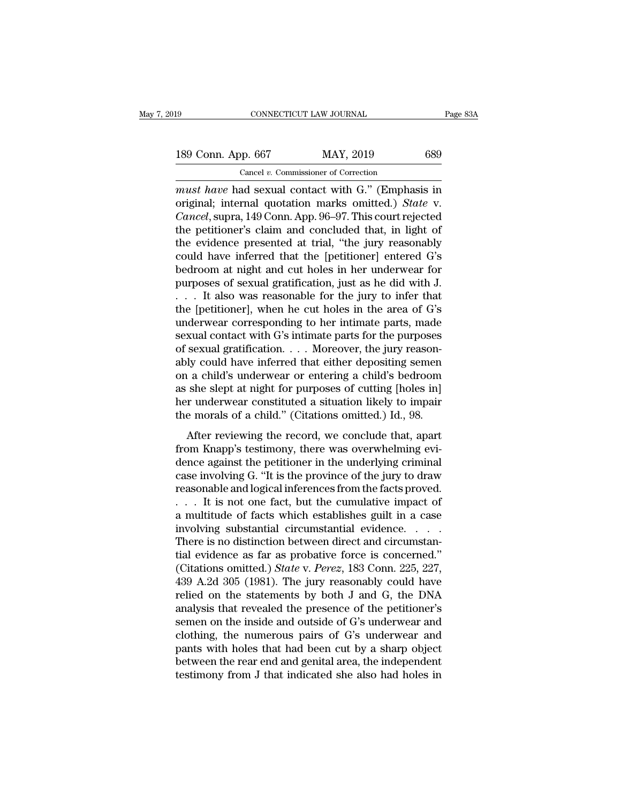## 189 CONNECTICUT LAW JOURNAL Page 83A<br>
189 Conn. App. 667 MAY, 2019 689<br>
Cancel v. Commissioner of Correction CONNECTICUT LAW JOURNAL<br>
pp. 667 MAY, 2019<br>
Cancel *v.* Commissioner of Correction<br>
ad sexual contact with G " (Emphas

<sup>19</sup> CONNECTICUT LAW JOURNAL Page 83A<br> **189 Conn. App. 667** MAY, 2019 689<br>
Cancel v. Commissioner of Correction<br> *must have* had sexual contact with G.'' (Emphasis in<br>
original; internal quotation marks omitted.) *State* v 189 Conn. App. 667 MAY, 2019 689<br>
Cancel *v.* Commissioner of Correction<br>
must have had sexual contact with G." (Emphasis in<br>
original; internal quotation marks omitted.) *State* v.<br>
Cancel, supra, 149 Conn. App. 96–97. Th 189 Conn. App. 667 MAY, 2019 689<br>
Cancel *v.* Commissioner of Correction<br> *Cancel*, supra, 149 Conn. App. 96–97. This court rejected<br>
the petitioner's claim and concluded that, in light of<br>
the guidence presented at trial 189 Conn. App. 667 MAY, 2019 689<br>
Cancel v. Commissioner of Correction<br>
must have had sexual contact with G." (Emphasis in<br>
original; internal quotation marks omitted.) *State* v.<br> *Cancel*, supra, 149 Conn. App. 96–97. T Cancel v. Commissioner of Correction<br>
must have had sexual contact with G." (Emphasis in<br>
original; internal quotation marks omitted.) State v.<br>
Cancel, supra, 149 Conn. App. 96–97. This court rejected<br>
the petitioner's c Cancel v. Commissioner of Correction<br>
must have had sexual contact with G." (Emphasis in<br>
original; internal quotation marks omitted.) State v.<br>
Cancel, supra, 149 Conn. App. 96–97. This court rejected<br>
the petitioner's c must have had sexual contact with G." (Emphasis in<br>original; internal quotation marks omitted.) *State* v.<br>*Cancel*, supra, 149 Conn. App. 96–97. This court rejected<br>the petitioner's claim and concluded that, in light of<br>t original; internal quotation marks omitted.) *State* v.<br>Cancel, supra, 149 Conn. App. 96–97. This court rejected<br>the petitioner's claim and concluded that, in light of<br>the evidence presented at trial, "the jury reasonably<br> Cancel, supra, 149 Conn. App. 96–97. This court rejected<br>the petitioner's claim and concluded that, in light of<br>the evidence presented at trial, "the jury reasonably<br>could have inferred that the [petitioner] entered G's<br>b the petitioner's claim and concluded that, in light of<br>the evidence presented at trial, "the jury reasonably<br>could have inferred that the [petitioner] entered G's<br>bedroom at night and cut holes in her underwear for<br>purpos the evidence presented at trial, "the jury reasonably<br>could have inferred that the [petitioner] entered G's<br>bedroom at night and cut holes in her underwear for<br>purposes of sexual gratification, just as he did with J.<br> $\dots$ could have inferred that the [petitioner] entered G's<br>bedroom at night and cut holes in her underwear for<br>purposes of sexual gratification, just as he did with J.<br> $\dots$  It also was reasonable for the jury to infer that<br>the bedroom at night and cut holes in her underwear for<br>purposes of sexual gratification, just as he did with J.<br>... It also was reasonable for the jury to infer that<br>the [petitioner], when he cut holes in the area of G's<br>unde purposes of sexual gratification, just as he did with J.<br>
. . . . It also was reasonable for the jury to infer that<br>
the [petitioner], when he cut holes in the area of G's<br>
underwear corresponding to her intimate parts, ma ... It also was reasonable for the jury to infer that<br>the [petitioner], when he cut holes in the area of G's<br>underwear corresponding to her intimate parts, made<br>sexual contact with G's intimate parts for the purposes<br>of se the [petitioner], when he cut holes in the area of G's<br>underwear corresponding to her intimate parts, made<br>sexual contact with G's intimate parts for the purposes<br>of sexual gratification. . . . Moreover, the jury reason-<br> underwear corresponding to her intimate parts, made<br>sexual contact with G's intimate parts for the purposes<br>of sexual gratification. . . . Moreover, the jury reason-<br>ably could have inferred that either depositing semen<br>o sexual contact with G's intimate parts for the purposes<br>of sexual gratification. . . . Moreover, the jury reason-<br>ably could have inferred that either depositing semen<br>on a child's underwear or entering a child's bedroom<br> behavior in the reviewing sementrical probability could have inferred that either depositing sementrical a child's bedroom she slept at night for purposes of cutting [holes in] r underwear constituted a situation likely t ably could have inferred that either depositing semen<br>on a child's underwear or entering a child's bedroom<br>as she slept at night for purposes of cutting [holes in]<br>her underwear constituted a situation likely to impair<br>the

on a child's anderwear of chiering a child's searcom<br>as she slept at night for purposes of cutting [holes in]<br>her underwear constituted a situation likely to impair<br>the morals of a child." (Citations omitted.) Id., 98.<br>Aft as she slept at hight for parposes of eating photos in<br>the underwear constituted a situation likely to impair<br>the morals of a child." (Citations omitted.) Id., 98.<br>After reviewing the record, we conclude that, apart<br>from K reasonable and logical inferences from the morals of a child." (Citations omitted.) Id., 98.<br>After reviewing the record, we conclude that, apart<br>from Knapp's testimony, there was overwhelming evi-<br>dence against the petitio After reviewing the record, we conclude that, apart<br>from Knapp's testimony, there was overwhelming evi-<br>dence against the petitioner in the underlying criminal<br>case involving G. "It is the province of the jury to draw<br>reas After reviewing the record, we conclude that, apart<br>from Knapp's testimony, there was overwhelming evi-<br>dence against the petitioner in the underlying criminal<br>case involving G. "It is the province of the jury to draw<br>rea from Knapp's testimony, there was overwhelming evidence against the petitioner in the underlying criminal case involving G. "It is the province of the jury to draw reasonable and logical inferences from the facts proved.<br> dence against the petitioner in the underlying criminal<br>case involving G. "It is the province of the jury to draw<br>reasonable and logical inferences from the facts proved.<br> $\dots$  It is not one fact, but the cumulative impact case involving G. "It is the province of the jury to draw<br>reasonable and logical inferences from the facts proved.<br>... It is not one fact, but the cumulative impact of<br>a multitude of facts which establishes guilt in a cas reasonable and logical inferences from the facts proved.<br>
. . . . It is not one fact, but the cumulative impact of<br>
a multitude of facts which establishes guilt in a case<br>
involving substantial circumstantial evidence.<br>
. 439 A.2d 305 (1981). The jury reasonal of the nettion  $\alpha$  is a case involving substantial circumstantial evidence. . . . . There is no distinction between direct and circumstantial evidence as far as probative force is c a multitude of facts which establishes guilt in a case<br>involving substantial circumstantial evidence. . . . .<br>There is no distinction between direct and circumstan-<br>tial evidence as far as probative force is concerned."<br>( involving substantial circumstantial evidence.  $\ldots$  .<br>There is no distinction between direct and circumstantial evidence as far as probative force is concerned."<br>(Citations omitted.) *State* v. *Perez*, 183 Conn. 225, 22 There is no distinction between direct and circumstantial evidence as far as probative force is concerned."<br>(Citations omitted.) *State* v. *Perez*, 183 Conn. 225, 227, 439 A.2d 305 (1981). The jury reasonably could have r tial evidence as far as probative force is concerned."<br>(Citations omitted.) *State* v. *Perez*, 183 Conn. 225, 227,<br>439 A.2d 305 (1981). The jury reasonably could have<br>relied on the statements by both J and G, the DNA<br>ana (Citations omitted.) *State v. Perez*, 183 Conn. 225, 227, 439 A.2d 305 (1981). The jury reasonably could have relied on the statements by both J and G, the DNA analysis that revealed the presence of the petitioner's seme 439 A.2d 305 (1981). The jury reasonably could have<br>relied on the statements by both J and G, the DNA<br>analysis that revealed the presence of the petitioner's<br>semen on the inside and outside of G's underwear and<br>clothing, relied on the statements by both J and G, the DNA<br>analysis that revealed the presence of the petitioner's<br>semen on the inside and outside of G's underwear and<br>clothing, the numerous pairs of G's underwear and<br>pants with ho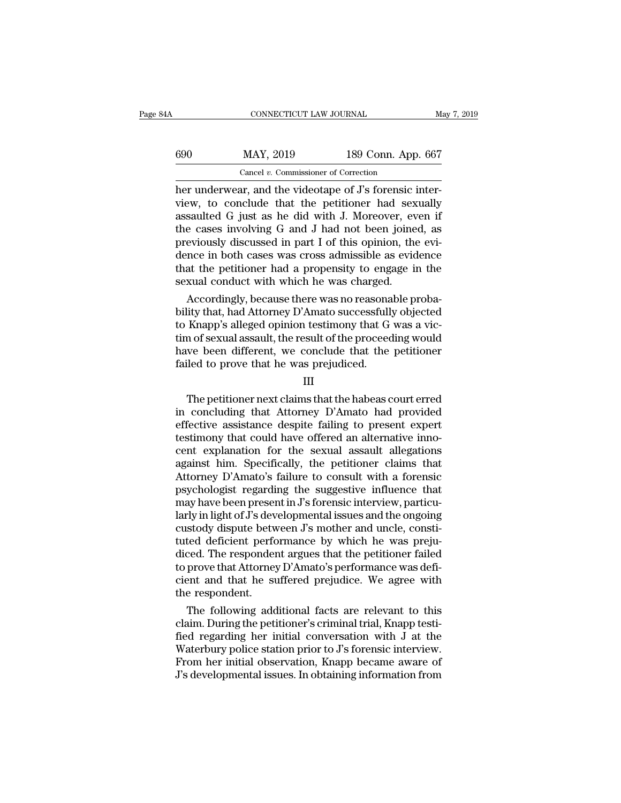| ΆA  | CONNECTICUT LAW JOURNAL                                 |                    | May 7, 2019 |
|-----|---------------------------------------------------------|--------------------|-------------|
| 690 | MAY, 2019                                               | 189 Conn. App. 667 |             |
|     | Cancel $v$ . Commissioner of Correction                 |                    |             |
|     | her underwear, and the videotane of I's forensic inter- |                    |             |

CONNECTICUT LAW JOURNAL<br>
690 MAY, 2019 189 Conn. App. 667<br>
Cancel v. Commissioner of Correction<br>
her underwear, and the videotape of J's forensic inter-<br>
view, to conclude that the petitioner had sexually<br>
assaulted G just View, 189 Conn. App. 667<br>
Cancel v. Commissioner of Correction<br>
her underwear, and the videotape of J's forensic inter-<br>
view, to conclude that the petitioner had sexually<br>
assaulted G just as he did with J. Moreover, even 690 MAY, 2019 189 Conn. App. 667<br>
Cancel v. Commissioner of Correction<br>
her underwear, and the videotape of J's forensic inter-<br>
view, to conclude that the petitioner had sexually<br>
assaulted G just as he did with J. Moreo  $HAY, 2019$  189 Conn. App. 667<br>
Cancel v. Commissioner of Correction<br>
her underwear, and the videotape of J's forensic inter-<br>
view, to conclude that the petitioner had sexually<br>
assaulted G just as he did with J. Moreover Cancel v. Commissioner of Correction<br>
her underwear, and the videotape of J's forensic inter-<br>
view, to conclude that the petitioner had sexually<br>
assaulted G just as he did with J. Moreover, even if<br>
the cases involving Cancel v. Commissioner of Correction<br>her underwear, and the videotape of J's forensic inter-<br>view, to conclude that the petitioner had sexually<br>assaulted G just as he did with J. Moreover, even if<br>the cases involving G an her underwear, and the videotape of J's forensic inter-<br>view, to conclude that the petitioner had sexually<br>assaulted G just as he did with J. Moreover, even if<br>the cases involving G and J had not been joined, as<br>previously view, to conclude that the petitioner had sex<br>assaulted G just as he did with J. Moreover, ev<br>the cases involving G and J had not been joine<br>previously discussed in part I of this opinion, the<br>dence in both cases was cross sautted G just as he did with J. Moreover, even if<br>e cases involving G and J had not been joined, as<br>eviously discussed in part I of this opinion, the evi-<br>nce in both cases was cross admissible as evidence<br>at the petition the cases involving G and J nad not been joined, as<br>previously discussed in part I of this opinion, the evi-<br>dence in both cases was cross admissible as evidence<br>that the petitioner had a propensity to engage in the<br>sexual

previously discussed in part I of this opinion, the evidence<br>dence in both cases was cross admissible as evidence<br>that the petitioner had a propensity to engage in the<br>sexual conduct with which he was charged.<br>Accordingly, dence in both cases was cross admissible as evidence<br>that the petitioner had a propensity to engage in the<br>sexual conduct with which he was charged.<br>Accordingly, because there was no reasonable proba-<br>bility that, had Atto that the petitioner had a propensity to engage in the<br>sexual conduct with which he was charged.<br>Accordingly, because there was no reasonable proba-<br>bility that, had Attorney D'Amato successfully objected<br>to Knapp's allege sexual conduct with which he was charged.<br>Accordingly, because there was no reasona<br>bility that, had Attorney D'Amato successfull<br>to Knapp's alleged opinion testimony that G<br>tim of sexual assault, the result of the proceed The petitioner next claims that the habeas court erred<br>conditioner next claims that the petitioner<br>iled to prove that he was prejudiced.<br>III<br>The petitioner next claims that the habeas court erred<br>concluding that Attorney D

III

in of sexual assault, the result of the proceeding would<br>have been different, we conclude that the petitioner<br>failed to prove that he was prejudiced.<br>III<br>The petitioner next claims that the habeas court erred<br>in concluding effective assistance despite failed to prove that he was prejudiced.<br>
III<br>
The petitioner next claims that the habeas court erred<br>
in concluding that Attorney D'Amato had provided<br>
effective assistance despite failing to p Failed to prove that he was prejudiced.<br>
III<br>
The petitioner next claims that the habeas court erred<br>
in concluding that Attorney D'Amato had provided<br>
effective assistance despite failing to present expert<br>
testimony that III<br>III<br>The petitioner next claims that the habeas court erred<br>in concluding that Attorney D'Amato had provided<br>effective assistance despite failing to present expert<br>testimony that could have offered an alternative inno-<br> III<br>The petitioner next claims that the habeas court erred<br>in concluding that Attorney D'Amato had provided<br>effective assistance despite failing to present expert<br>testimony that could have offered an alternative inno-<br>cent The petitioner next claims that the habeas court erred<br>in concluding that Attorney D'Amato had provided<br>effective assistance despite failing to present expert<br>testimony that could have offered an alternative inno-<br>cent exp in concluding that Attorney D'Amato had provided<br>effective assistance despite failing to present expert<br>testimony that could have offered an alternative inno-<br>cent explanation for the sexual assault allegations<br>against him effective assistance despite failing to present expert<br>testimony that could have offered an alternative inno-<br>cent explanation for the sexual assault allegations<br>against him. Specifically, the petitioner claims that<br>Attorn testimony that could have offered an alternative inno-<br>cent explanation for the sexual assault allegations<br>against him. Specifically, the petitioner claims that<br>Attorney D'Amato's failure to consult with a forensic<br>psychol cent explanation for the sexual assault allegations<br>against him. Specifically, the petitioner claims that<br>Attorney D'Amato's failure to consult with a forensic<br>psychologist regarding the suggestive influence that<br>may have against him. Specifically, the petitioner claims that<br>Attorney D'Amato's failure to consult with a forensic<br>psychologist regarding the suggestive influence that<br>may have been present in J's forensic interview, particu-<br>lar Attorney D'Amato's failure to consult with a forensic<br>psychologist regarding the suggestive influence that<br>may have been present in J's forensic interview, particu-<br>larly in light of J's developmental issues and the ongoin psychologist regarding the suggestive influence that<br>may have been present in J's forensic interview, particu-<br>larly in light of J's developmental issues and the ongoing<br>custody dispute between J's mother and uncle, consti may have been present in J's forensic interview, particularly in light of J's developmental issues and the ongoing<br>custody dispute between J's mother and uncle, constituted deficient performance by which he was prejudiced. larly in light of J's dev<br>custody dispute betw<br>tuted deficient perfc<br>diced. The responder<br>to prove that Attorney<br>cient and that he su<br>the respondent.<br>The following add stody dispute between J's mother and uncle, constited deficient performance by which he was preju-<br>ced. The respondent argues that the petitioner failed<br>prove that Attorney D'Amato's performance was defi-<br>ent and that he s tuted deficient performance by which he was prejudiced. The respondent argues that the petitioner failed<br>to prove that Attorney D'Amato's performance was defi-<br>cient and that he suffered prejudice. We agree with<br>the respon

diced. The respondent argues that the petitioner failed<br>to prove that Attorney D'Amato's performance was defi-<br>cient and that he suffered prejudice. We agree with<br>the respondent.<br>The following additional facts are relevant to prove that Attorney D'Amato's performance was defi-<br>cient and that he suffered prejudice. We agree with<br>the respondent.<br>The following additional facts are relevant to this<br>claim. During the petitioner's criminal trial, cient and that he suffered prejudice. We agree with<br>the respondent.<br>The following additional facts are relevant to this<br>claim. During the petitioner's criminal trial, Knapp testi-<br>fied regarding her initial conversation wi the respondent.<br>The following additional facts are relevant to this<br>claim. During the petitioner's criminal trial, Knapp testi-<br>fied regarding her initial conversation with J at the<br>Waterbury police station prior to J's fo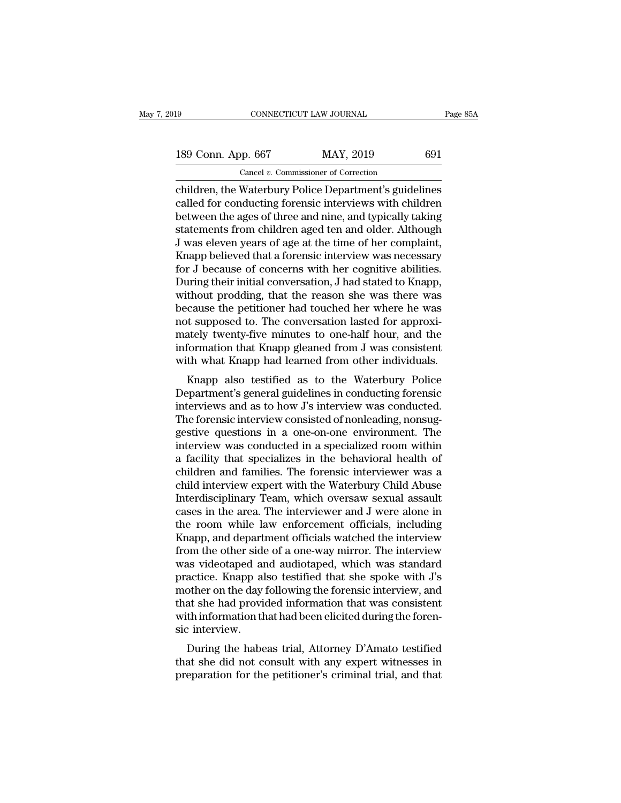connectricut LAW JOURNAL Page 85A<br>
189 Conn. App. 667 MAY, 2019 691<br>
Cancel v. Commissioner of Correction<br>
children, the Waterbury Police Department's guidelines<br>
called for conducting forensic interviews with children<br>
ho 189 Conn. App. 667 MAY, 2019 691<br>
Cancel v. Commissioner of Correction<br>
children, the Waterbury Police Department's guidelines<br>
called for conducting forensic interviews with children<br>
between the ages of three and nine, a 189 Conn. App. 667 MAY, 2019 691<br>
Cancel v. Commissioner of Correction<br>
children, the Waterbury Police Department's guidelines<br>
called for conducting forensic interviews with children<br>
between the ages of three and nine, 189 Conn. App. 667 MAY, 2019 691<br>
Cancel v. Commissioner of Correction<br>
children, the Waterbury Police Department's guidelines<br>
called for conducting forensic interviews with children<br>
between the ages of three and nine, Cancel v. Commissioner of Correction<br>Cancel v. Commissioner of Correction<br>Called for conducting forensic interviews with children<br>between the ages of three and nine, and typically taking<br>statements from children aged ten a Cancel v. Commissioner of Correction<br>
children, the Waterbury Police Department's guidelines<br>
called for conducting forensic interviews with children<br>
between the ages of three and nine, and typically taking<br>
statements f children, the Waterbury Police Department's guidelines<br>called for conducting forensic interviews with children<br>between the ages of three and nine, and typically taking<br>statements from children aged ten and older. Although<br> called for conducting forensic interviews with children<br>between the ages of three and nine, and typically taking<br>statements from children aged ten and older. Although<br>J was eleven years of age at the time of her complaint, between the ages of three and nine, and typically taking<br>statements from children aged ten and older. Although<br>J was eleven years of age at the time of her complaint,<br>Knapp believed that a forensic interview was necessary<br> statements from children aged ten and older. Although<br>J was eleven years of age at the time of her complaint,<br>Knapp believed that a forensic interview was necessary<br>for J because of concerns with her cognitive abilities.<br>D J was eleven years of age at the time of her complaint,<br>Knapp believed that a forensic interview was necessary<br>for J because of concerns with her cognitive abilities.<br>During their initial conversation, J had stated to Knap Knapp believed that a forensic interview was necessary<br>for J because of concerns with her cognitive abilities.<br>During their initial conversation, J had stated to Knapp,<br>without prodding, that the reason she was there was<br>b for J because of concerns with her cognitive abilities.<br>During their initial conversation, J had stated to Knapp,<br>without prodding, that the reason she was there was<br>because the petitioner had touched her where he was<br>not During their initial conversation, J had stated to Knapp,<br>without prodding, that the reason she was there was<br>because the petitioner had touched her where he was<br>not supposed to. The conversation lasted for approxi-<br>mately From produity, that the reason she was there was<br>cause the petitioner had touched her where he was<br>t supposed to. The conversation lasted for approxi-<br>ately twenty-five minutes to one-half hour, and the<br>formation that Knap because the petholier had touched her where he was<br>not supposed to. The conversation lasted for approxi-<br>mately twenty-five minutes to one-half hour, and the<br>information that Knapp gleaned from J was consistent<br>with what K

interviews and as to how J's interview was consistent<br>mately twenty-five minutes to one-half hour, and the<br>information that Knapp gleaned from J was consistent<br>with what Knapp had learned from other individuals.<br>Knapp also matery twenty-ive nimities to one-nair nour, and the<br>information that Knapp gleaned from J was consistent<br>with what Knapp had learned from other individuals.<br>Knapp also testified as to the Waterbury Police<br>Department's gen muorination that Khapp greated from 5 was consistent<br>with what Knapp had learned from other individuals.<br>Knapp also testified as to the Waterbury Police<br>Department's general guidelines in conducting forensic<br>interviews and with what Khapp had learned from other mutviduals.<br>
Knapp also testified as to the Waterbury Police<br>
Department's general guidelines in conducting forensic<br>
interviews and as to how J's interview was conducted.<br>
The forens Knapp also testified as to the Waterbury Police<br>Department's general guidelines in conducting forensic<br>interviews and as to how J's interview was conducted.<br>The forensic interview consisted of nonleading, nonsug-<br>gestive q Department's general guidelines in conducting forensic<br>interviews and as to how J's interview was conducted.<br>The forensic interview consisted of nonleading, nonsug-<br>gestive questions in a one-on-one environment. The<br>interv interviews and as to how J's interview was conducted.<br>The forensic interview consisted of nonleading, nonsuggestive questions in a one-on-one environment. The<br>interview was conducted in a specialized room within<br>a facility The forensic interview consisted of nonleading, nonsuggestive questions in a one-on-one environment. The interview was conducted in a specialized room within a facility that specializes in the behavioral health of children gestive questions in a one-on-one environment. The<br>interview was conducted in a specialized room within<br>a facility that specializes in the behavioral health of<br>children and families. The forensic interviewer was a<br>child in interview was conducted in a specialized room within<br>a facility that specializes in the behavioral health of<br>children and families. The forensic interviewer was a<br>child interview expert with the Waterbury Child Abuse<br>Inter a facility that specializes in the behavioral health of<br>children and families. The forensic interviewer was a<br>child interview expert with the Waterbury Child Abuse<br>Interdisciplinary Team, which oversaw sexual assault<br>cases children and families. The forensic interviewer was a<br>child interview expert with the Waterbury Child Abuse<br>Interdisciplinary Team, which oversaw sexual assault<br>cases in the area. The interviewer and J were alone in<br>the ro child interview expert with the Waterbury Child Abuse<br>Interdisciplinary Team, which oversaw sexual assault<br>cases in the area. The interviewer and J were alone in<br>the room while law enforcement officials, including<br>Knapp, a Interdisciplinary Team, which oversaw sexual assault<br>cases in the area. The interviewer and J were alone in<br>the room while law enforcement officials, including<br>Knapp, and department officials watched the interview<br>from the cases in the area. The interviewer and J were alone in<br>the room while law enforcement officials, including<br>Knapp, and department officials watched the interview<br>from the other side of a one-way mirror. The interview<br>was vi the room while law enforcement officials, including<br>Knapp, and department officials watched the interview<br>from the other side of a one-way mirror. The interview<br>was videotaped and audiotaped, which was standard<br>practice. K Knapp, and department officials watched the interview<br>from the other side of a one-way mirror. The interview<br>was videotaped and audiotaped, which was standard<br>practice. Knapp also testified that she spoke with J's<br>mother o from the other side<br>was videotaped are<br>practice. Knapp al<br>mother on the day<br>that she had provid<br>with information th<br>sic interview.<br>During the habe as videolaped and addiotaped, which was standard<br>actice. Knapp also testified that she spoke with J's<br>other on the day following the forensic interview, and<br>at she had provided information that was consistent<br>th informatio practice. Kilapp also testified that she spoke with 3 s<br>mother on the day following the forensic interview, and<br>that she had provided information that was consistent<br>with information that had been elicited during the foren mother of the day following the forefisic interview, and<br>that she had provided information that was consistent<br>with information that had been elicited during the foren-<br>sic interview.<br>During the habeas trial, Attorney D'Am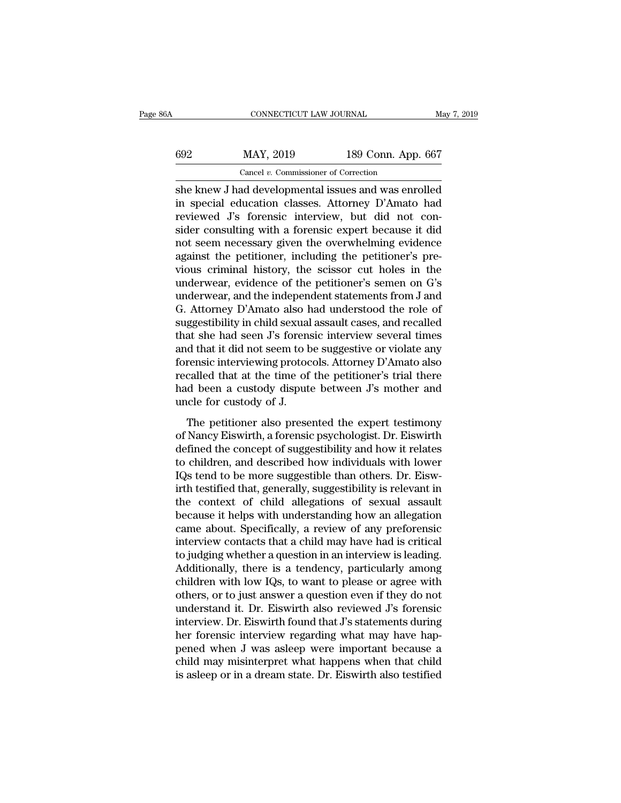| jΑ  | CONNECTICUT LAW JOURNAL                               |                    | May 7, 2019 |
|-----|-------------------------------------------------------|--------------------|-------------|
| 692 | MAY, 2019                                             | 189 Conn. App. 667 |             |
|     | Cancel $v$ . Commissioner of Correction               |                    |             |
|     | she knew. I had developmental issues and was enrolled |                    |             |

She knew J had developmental issues and was enrolled<br>
she knew J had developmental issues and was enrolled<br>
in special education classes. Attorney D'Amato had<br>
reviewed Fs foresig interview but did not con-MAY, 2019 189 Conn. App. 667<br>
Cancel v. Commissioner of Correction<br>
She knew J had developmental issues and was enrolled<br>
in special education classes. Attorney D'Amato had<br>
reviewed J's forensic interview, but did not con  $\begin{tabular}{ll} \multicolumn{1}{l}{{\small 692}\hspace{2.2cm} \text{MAP, 2019} & \multicolumn{1}{l}{{\small 189}}\hspace{2.2cm} \text{Conn. App. 667} } \\ \hline \multicolumn{1}{l}{\small 697}\hspace{2.2cm} \text{Canc.} & \multicolumn{1}{l}{\small 698}\hspace{2.2cm} \text{Conn.} & \multicolumn{1}{l}{\small 698}\hspace{2.2cm} \text{Conn.} & \multicolumn{1}{l}{\small 698}\hspace{2.2cm} \text{Conn.} & \multicolumn{1}{$  $\frac{\text{max}}{\text{Gancal }v}$ . Commissioner of Correction<br>
She knew J had developmental issues and was enrolled<br>
in special education classes. Attorney D'Amato had<br>
reviewed J's forensic interview, but did not con-<br>
sider consulting Cancel v. Commissioner of Correction<br>
She knew J had developmental issues and was enrolled<br>
in special education classes. Attorney D'Amato had<br>
reviewed J's forensic interview, but did not con-<br>
sider consulting with a for Cancel v. Commissioner of Correction<br>
She knew J had developmental issues and was enrolled<br>
in special education classes. Attorney D'Amato had<br>
reviewed J's forensic interview, but did not con-<br>
sider consulting with a fo she knew J had developmental issues and was enrolled<br>in special education classes. Attorney D'Amato had<br>reviewed J's forensic interview, but did not con-<br>sider consulting with a forensic expert because it did<br>not seem nece in special education classes. Attorney D'Amato had<br>reviewed J's forensic interview, but did not con-<br>sider consulting with a forensic expert because it did<br>not seem necessary given the overwhelming evidence<br>against the pet reviewed J's forensic interview, but did not consider consulting with a forensic expert because it did<br>not seem necessary given the overwhelming evidence<br>against the petitioner, including the petitioner's pre-<br>vious crimin sider consulting with a forensic expert because it did<br>not seem necessary given the overwhelming evidence<br>against the petitioner, including the petitioner's pre-<br>vious criminal history, the scissor cut holes in the<br>underwe not seem necessary given the overwhelming evidence<br>against the petitioner, including the petitioner's pre-<br>vious criminal history, the scissor cut holes in the<br>underwear, evidence of the petitioner's semen on G's<br>underwear against the petitioner, including the petitioner's pre-<br>vious criminal history, the scissor cut holes in the<br>underwear, evidence of the petitioner's semen on G's<br>underwear, and the independent statements from J and<br>G. Atto vious criminal history, the scissor cut holes in the<br>underwear, evidence of the petitioner's semen on G's<br>underwear, and the independent statements from J and<br>G. Attorney D'Amato also had understood the role of<br>suggestibil underwear, evidence of the petitioner's semen on G's<br>underwear, and the independent statements from J and<br>G. Attorney D'Amato also had understood the role of<br>suggestibility in child sexual assault cases, and recalled<br>that underwear, and the independent statements from J and<br>G. Attorney D'Amato also had understood the role of<br>suggestibility in child sexual assault cases, and recalled<br>that she had seen J's forensic interview several times<br>and G. Attorney D'Amato also had understood the role of<br>suggestibility in child sexual assault cases, and recalled<br>that she had seen J's forensic interview several times<br>and that it did not seem to be suggestive or violate any suggestibility in child sexual<br>that she had seen J's forens<br>and that it did not seem to b<br>forensic interviewing protoc<br>recalled that at the time of<br>had been a custody disput<br>uncle for custody of J.<br>The petitioner also pres d that it did not seem to be suggestive or violate any<br>d that it did not seem to be suggestive or violate any<br>rensic interviewing protocols. Attorney D'Amato also<br>called that at the time of the petitioner's trial there<br>d b defined that it and not seem to be buggebarted a violate any<br>forensic interviewing protocols. Attorney D'Amato also<br>recalled that at the time of the petitioner's trial there<br>had been a custody dispute between J's mother an

recalled that at the time of the petitioner's trial there<br>had been a custody dispute between J's mother and<br>uncle for custody of J.<br>The petitioner also presented the expert testimony<br>of Nancy Eiswirth, a forensic psycholog The petitioner and described with the serves of the periodic is and the children and uncle for custody of J.<br>The petitioner also presented the expert testimony of Nancy Eiswirth, a forensic psychologist. Dr. Eiswirth defin IT The petitioner also presented the expert testimony<br>
of Nancy Eiswirth, a forensic psychologist. Dr. Eiswirth<br>
defined the concept of suggestibility and how it relates<br>
to children, and described how individuals with low The petitioner also presented the expert testimony<br>of Nancy Eiswirth, a forensic psychologist. Dr. Eiswirth<br>defined the concept of suggestibility and how it relates<br>to children, and described how individuals with lower<br>IQs The petitioner also presented the expert testimony<br>of Nancy Eiswirth, a forensic psychologist. Dr. Eiswirth<br>defined the concept of suggestibility and how it relates<br>to children, and described how individuals with lower<br>IQs of Nancy Eiswirth, a forensic psychologist. Dr. Eiswirth<br>defined the concept of suggestibility and how it relates<br>to children, and described how individuals with lower<br>IQs tend to be more suggestible than others. Dr. Eiswdefined the concept of suggestibility and how it relates<br>to children, and described how individuals with lower<br>IQs tend to be more suggestible than others. Dr. Eisw-<br>irth testified that, generally, suggestibility is releva to children, and described how individuals with lower<br>IQs tend to be more suggestible than others. Dr. Eisw-<br>irth testified that, generally, suggestibility is relevant in<br>the context of child allegations of sexual assault<br> IQs tend to be more suggestible than others. Dr. Eiswirth testified that, generally, suggestibility is relevant in the context of child allegations of sexual assault because it helps with understanding how an allegation ca irth testified that, generally, suggestibility is relevant in<br>the context of child allegations of sexual assault<br>because it helps with understanding how an allegation<br>came about. Specifically, a review of any preforensic<br>i the context of child allegations of sexual assault<br>because it helps with understanding how an allegation<br>came about. Specifically, a review of any preforensic<br>interview contacts that a child may have had is critical<br>to jud because it helps with understanding how an allegation<br>came about. Specifically, a review of any preforensic<br>interview contacts that a child may have had is critical<br>to judging whether a question in an interview is leading. came about. Specifically, a review of any preforensic<br>interview contacts that a child may have had is critical<br>to judging whether a question in an interview is leading.<br>Additionally, there is a tendency, particularly among interview contacts that a child may have had is critical<br>to judging whether a question in an interview is leading.<br>Additionally, there is a tendency, particularly among<br>children with low IQs, to want to please or agree wit to judging whether a question in an interview is leading.<br>Additionally, there is a tendency, particularly among children with low IQs, to want to please or agree with<br>others, or to just answer a question even if they do no Additionally, there is a tendency, particularly among<br>children with low IQs, to want to please or agree with<br>others, or to just answer a question even if they do not<br>understand it. Dr. Eiswirth also reviewed J's forensic<br>i children with low IQs, to want to please or agree with<br>others, or to just answer a question even if they do not<br>understand it. Dr. Eiswirth also reviewed J's forensic<br>interview. Dr. Eiswirth found that J's statements durin others, or to just answer a question even if they do not<br>understand it. Dr. Eiswirth also reviewed J's forensic<br>interview. Dr. Eiswirth found that J's statements during<br>her forensic interview regarding what may have hap-<br>p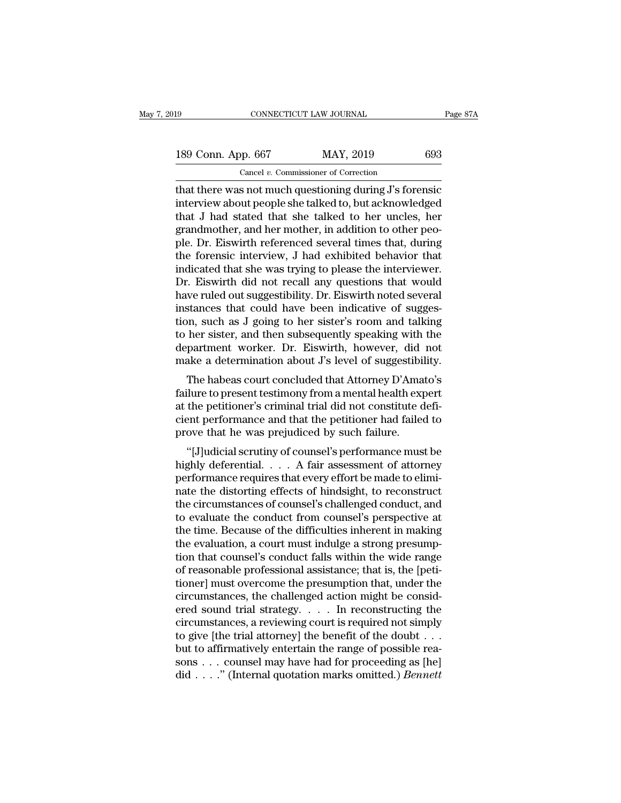that there was not much questioning during J's forensice that I had stated that there was not much questioning during J's forensice that I had stated that she talked to be unclessed that I had stated that she talked to be 189 Conn. App. 667 MAY, 2019 693<br>
Cancel v. Commissioner of Correction<br>
that there was not much questioning during J's forensic<br>
interview about people she talked to, but acknowledged<br>
that J had stated that she talked to 189 Conn. App. 667 MAY, 2019 693<br>
Cancel v. Commissioner of Correction<br>
that there was not much questioning during J's forensic<br>
interview about people she talked to, but acknowledged<br>
that J had stated that she talked to 189 Conn. App. 667 MAY, 2019 693<br>
Cancel v. Commissioner of Correction<br>
that there was not much questioning during J's forensic<br>
interview about people she talked to, but acknowledged<br>
that J had stated that she talked to Cancel v. Commissioner of Correction<br>
that there was not much questioning during J's forensic<br>
interview about people she talked to, but acknowledged<br>
that J had stated that she talked to her uncles, her<br>
grandmother, and Cancel v. Commissioner of Correction<br>
that there was not much questioning during J's forensic<br>
interview about people she talked to, but acknowledged<br>
that J had stated that she talked to her uncles, her<br>
grandmother, and that there was not much questioning during J's forensic<br>interview about people she talked to, but acknowledged<br>that J had stated that she talked to her uncles, her<br>grandmother, and her mother, in addition to other peo-<br>ple interview about people she talked to, but acknowledged<br>that J had stated that she talked to her uncles, her<br>grandmother, and her mother, in addition to other peo-<br>ple. Dr. Eiswirth referenced several times that, during<br>the that J had stated that she talked to her uncles, her grandmother, and her mother, in addition to other people. Dr. Eiswirth referenced several times that, during the forensic interview, J had exhibited behavior that indica grandmother, and her mother, in addition to other peo-<br>ple. Dr. Eiswirth referenced several times that, during<br>the forensic interview, J had exhibited behavior that<br>indicated that she was trying to please the interviewer.<br> ple. Dr. Eiswirth referenced several times that, during<br>the forensic interview, J had exhibited behavior that<br>indicated that she was trying to please the interviewer.<br>Dr. Eiswirth did not recall any questions that would<br>ha the forensic interview, J had exhibited behavior that<br>indicated that she was trying to please the interviewer.<br>Dr. Eiswirth did not recall any questions that would<br>have ruled out suggestibility. Dr. Eiswirth noted several<br> indicated that she was trying to please the interviewer.<br>Dr. Eiswirth did not recall any questions that would<br>have ruled out suggestibility. Dr. Eiswirth noted several<br>instances that could have been indicative of sugges-<br>t Dr. Eiswirth did not recall any questions that would<br>have ruled out suggestibility. Dr. Eiswirth noted several<br>instances that could have been indicative of sugges-<br>tion, such as J going to her sister's room and talking<br>to Frances that could have been indicative of suggestion, such as J going to her sister's room and talking<br>her sister, and then subsequently speaking with the<br>partment worker. Dr. Eiswirth, however, did not<br>ake a determinatio firstances that could have been indicative of suggestion, such as J going to her sister's room and talking<br>to her sister, and then subsequently speaking with the<br>department worker. Dr. Eiswirth, however, did not<br>make a det

at the petitioner's criminal trial did not constitute department worker. Dr. Eiswirth, however, did not make a determination about J's level of suggestibility.<br>The habeas court concluded that Attorney D'Amato's failure to to her sister, and then subsequently speaking with the<br>department worker. Dr. Eiswirth, however, did not<br>make a determination about J's level of suggestibility.<br>The habeas court concluded that Attorney D'Amato's<br>failure to department worker. Dr. Eiswirth, however, did<br>make a determination about J's level of suggestibil<br>The habeas court concluded that Attorney D'Ama<br>failure to present testimony from a mental health ex<br>at the petitioner's crim The habeas court concluded that Attorney D'Amato's<br>
ilure to present testimony from a mental health expert<br>
the petitioner's criminal trial did not constitute defi-<br>
ent performance and that the petitioner had failed to<br>
o The nabeas court concluded that Attorney D Aniato's<br>failure to present testimony from a mental health expert<br>at the petitioner's criminal trial did not constitute defi-<br>cient performance and that the petitioner had failed

raintie to present testimony from a memain early expert<br>at the petitioner's criminal trial did not constitute defi-<br>cient performance and that the petitioner had failed to<br>prove that he was prejudiced by such failure.<br>"[J] at the petholer's criminal that did not constitute derivation<br>cient performance and that the petitioner had failed to<br>prove that he was prejudiced by such failure.<br>"[J]udicial scrutiny of counsel's performance must be<br>high cient performance and that the performer had failure.<br>
"[J]udicial scrutiny of counsel's performance must be<br>
highly deferential.... A fair assessment of attorney<br>
performance requires that every effort be made to elimi-<br> prove that he was prejudiced by such randic.<br>
"[J]udicial scrutiny of counsel's performance must be<br>
highly deferential.... A fair assessment of attorney<br>
performance requires that every effort be made to elimi-<br>
nate the "[J]udicial scrutiny of counsel's performance must be<br>highly deferential.  $\dots$  A fair assessment of attorney<br>performance requires that every effort be made to elimi-<br>nate the distorting effects of hindsight, to reconstruc highly deferential. . . . . A fair assessment of attorney<br>performance requires that every effort be made to elimi-<br>nate the distorting effects of hindsight, to reconstruct<br>the circumstances of counsel's challenged conduct, performance requires that every effort be made to eliminate the distorting effects of hindsight, to reconstruct<br>the circumstances of counsel's challenged conduct, and<br>to evaluate the conduct from counsel's perspective at<br>t nate the distorting effects of hindsight, to reconstruct<br>the circumstances of counsel's challenged conduct, and<br>to evaluate the conduct from counsel's perspective at<br>the time. Because of the difficulties inherent in making the circumstances of counsel's challenged conduct, and<br>to evaluate the conduct from counsel's perspective at<br>the time. Because of the difficulties inherent in making<br>the evaluation, a court must indulge a strong presump-<br>t to evaluate the conduct from counsel's perspective at<br>the time. Because of the difficulties inherent in making<br>the evaluation, a court must indulge a strong presump-<br>tion that counsel's conduct falls within the wide range the time. Because of the difficulties inherent in making<br>the evaluation, a court must indulge a strong presump-<br>tion that counsel's conduct falls within the wide range<br>of reasonable professional assistance; that is, the [p the evaluation, a court must indulge a strong presumption that counsel's conduct falls within the wide range<br>of reasonable professional assistance; that is, the [peti-<br>tioner] must overcome the presumption that, under the tion that counsel's conduct falls within the wide range<br>of reasonable professional assistance; that is, the [peti-<br>tioner] must overcome the presumption that, under the<br>circumstances, the challenged action might be consid of reasonable professional assistance; that is, the [petitioner] must overcome the presumption that, under the circumstances, the challenged action might be considered sound trial strategy.  $\dots$  In reconstructing the circ tioner] must overcome the presumption that, under the circumstances, the challenged action might be considered sound trial strategy. . . . . In reconstructing the circumstances, a reviewing court is required not simply to circumstances, the challenged action might be considered sound trial strategy. . . . . In reconstructing the circumstances, a reviewing court is required not simply to give [the trial attorney] the benefit of the doubt . .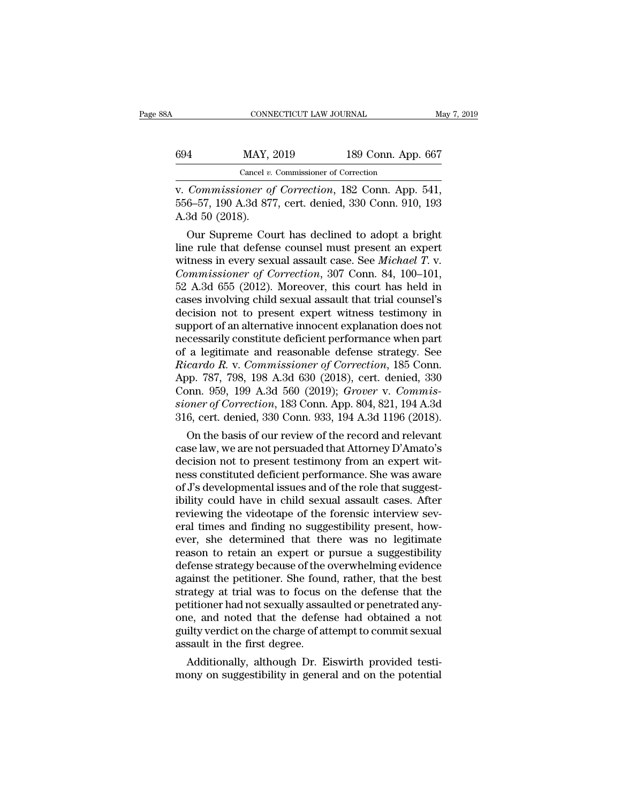| ЗA  | CONNECTICUT LAW JOURNAL                         |                    | May 7, 2019 |
|-----|-------------------------------------------------|--------------------|-------------|
| 694 | MAY, 2019                                       | 189 Conn. App. 667 |             |
|     | Cancel $v$ . Commissioner of Correction         |                    |             |
|     | y Commissioner of Correction 182 Conn. Ann. 541 |                    |             |

CONNECTICUT LAW JOURNAL<br>
<u>Kay 7, 2019</u><br>
Cancel v. Commissioner of Correction<br>
V. *Commissioner of Correction*, 182 Conn. App. 541,<br>
556–57, 190 A.3d 877, cert. denied, 330 Conn. 910, 193<br>
A 3d 50 (2018) 694 MAY, 2019 189 Conn. App. 667<br>
Cancel v. Commissioner of Correction<br>
v. Commissioner of Correction, 182 Conn. App. 541,<br>556–57, 190 A.3d 877, cert. denied, 330 Conn. 910, 193<br>
A.3d 50 (2018). 894 MAY, 3<br>
Cancel v.<br>
Cancel v.<br>
Cancel v.<br>
556–57, 190 A.3d 87<br>
A.3d 50 (2018).<br>
Our Supreme Cou  $\frac{\text{MANY, 2019}}{\text{Caneel } v. \text{ Commissioner of Correction}}$ <br>Commissioner of Correction, 182 Conn. App. 541,<br>6–57, 190 A.3d 877, cert. denied, 330 Conn. 910, 193<br>3d 50 (2018).<br>Our Supreme Court has declined to adopt a bright<br>te rule that defense co

Cancel v. Commissioner of Correction<br>
v. Commissioner of Correction, 182 Conn. App. 541,<br>
556–57, 190 A.3d 877, cert. denied, 330 Conn. 910, 193<br>
A.3d 50 (2018).<br>
Our Supreme Court has declined to adopt a bright<br>
line rul v. Commissioner of Correction, 182 Conn. App. 541,<br>556–57, 190 A.3d 877, cert. denied, 330 Conn. 910, 193<br>A.3d 50 (2018).<br>Our Supreme Court has declined to adopt a bright<br>line rule that defense counsel must present an expe *Commissioner of Correction*, 182 Conn. App. 541, 556–57, 190 A.3d 877, cert. denied, 330 Conn. 910, 193<br>A.3d 50 (2018).<br>Our Supreme Court has declined to adopt a bright<br>line rule that defense counsel must present an exper 550–57, 190 A.3d 877, cert. denied, 350 Conn. 910, 193<br>A.3d 50 (2018).<br>Our Supreme Court has declined to adopt a bright<br>line rule that defense counsel must present an expert<br>witness in every sexual assault case. See *Mich* A.3d 50 (2018).<br>
Our Supreme Court has declined to adopt a bright<br>
line rule that defense counsel must present an expert<br>
witness in every sexual assault case. See *Michael T.* v.<br> *Commissioner of Correction*, 307 Conn. 8 Our Supreme Court has declined to adopt a bright<br>line rule that defense counsel must present an expert<br>witness in every sexual assault case. See *Michael T*. v.<br>*Commissioner of Correction*, 307 Conn. 84, 100–101,<br>52 A.3d line rule that defense counsel must present an expert<br>witness in every sexual assault case. See *Michael T*. v.<br>*Commissioner of Correction*, 307 Conn. 84, 100–101,<br>52 A.3d 655 (2012). Moreover, this court has held in<br>case witness in every sexual assault case. See *Michael T*. v.<br>Commissioner of Correction, 307 Conn. 84, 100–101,<br>52 A.3d 655 (2012). Moreover, this court has held in<br>cases involving child sexual assault that trial counsel's<br>de *Commissioner of Correction*, 307 Conn. 84, 100–101, 52 A.3d 655 (2012). Moreover, this court has held in cases involving child sexual assault that trial counsel's decision not to present expert witness testimony in suppo 52 A.3d 655 (2012). Moreover, this court has held in cases involving child sexual assault that trial counsel's decision not to present expert witness testimony in support of an alternative innocent explanation does not nec cases involving child sexual assault that trial counsel's<br>decision not to present expert witness testimony in<br>support of an alternative innocent explanation does not<br>necessarily constitute deficient performance when part<br>o decision not to present expert witness testimony in<br>support of an alternative innocent explanation does not<br>necessarily constitute deficient performance when part<br>of a legitimate and reasonable defense strategy. See<br>*Ricar* support of an alternative innocent explanation does not<br>necessarily constitute deficient performance when part<br>of a legitimate and reasonable defense strategy. See<br>Ricardo R. v. Commissioner of Correction, 185 Conn.<br>App. 7 necessarily constitute deficient performance when part<br>of a legitimate and reasonable defense strategy. See<br>*Ricardo R. v. Commissioner of Correction*, 185 Conn.<br>App. 787, 798, 198 A.3d 630 (2018), cert. denied, 330<br>Conn. a legitimate and reasonable defense strategy. See<br>cardo R. v. Commissioner of Correction, 185 Conn.<br>pp. 787, 798, 198 A.3d 630 (2018), cert. denied, 330<br>pnn. 959, 199 A.3d 560 (2019); Grover v. Commis-<br>pner of Correction, *Ricardo R. v. Commissioner of Correction*, 185 Conn.<br>App. 787, 798, 198 A.3d 630 (2018), cert. denied, 330<br>Conn. 959, 199 A.3d 560 (2019); *Grover v. Commis-<br>sioner of Correction*, 183 Conn. App. 804, 821, 194 A.3d<br>316, c

App.  $787$ ,  $798$ ,  $198$  A.3d  $630$  (2018), cert. denied,  $330$ <br>Conn. 959, 199 A.3d  $560$  (2019); *Grover v. Commissioner of Correction*, 183 Conn. App. 804, 821, 194 A.3d<br>316, cert. denied, 330 Conn. 933, 194 A.3d 1196 ( Conn. 959, 199 A.3d 500 (2019); Grover v. Commissioner of Correction, 183 Conn. App. 804, 821, 194 A.3d 316, cert. denied, 330 Conn. 933, 194 A.3d 1196 (2018).<br>On the basis of our review of the record and relevant<br>case law stoner of Correction, 183 Conn. App. 804, 821, 194 A.3d<br>316, cert. denied, 330 Conn. 933, 194 A.3d 1196 (2018).<br>On the basis of our review of the record and relevant<br>case law, we are not persuaded that Attorney D'Amato's<br>d 316, cert. denied, 330 Conn. 933, 194 A.3d 1196 (2018).<br>
On the basis of our review of the record and relevant<br>
case law, we are not persuaded that Attorney D'Amato's<br>
decision not to present testimony from an expert wit-<br> On the basis of our review of the record and relevant<br>case law, we are not persuaded that Attorney D'Amato's<br>decision not to present testimony from an expert wit-<br>ness constituted deficient performance. She was aware<br>of J' case law, we are not persuaded that Attorney D'Amato's<br>decision not to present testimony from an expert wit-<br>ness constituted deficient performance. She was aware<br>of J's developmental issues and of the role that suggest-<br>i decision not to present testimony from an expert wit-<br>ness constituted deficient performance. She was aware<br>of J's developmental issues and of the role that suggest-<br>ibility could have in child sexual assault cases. After<br> reas constituted deficient performance. She was aware<br>of J's developmental issues and of the role that suggest-<br>ibility could have in child sexual assault cases. After<br>reviewing the videotape of the forensic interview sevof J's developmental issues and of the role that suggest-<br>ibility could have in child sexual assault cases. After<br>reviewing the videotape of the forensic interview sev-<br>eral times and finding no suggestibility present, how ibility could have in child sexual assault cases. After<br>reviewing the videotape of the forensic interview sev-<br>eral times and finding no suggestibility present, how-<br>ever, she determined that there was no legitimate<br>reason reviewing the videotape of the forensic interview several times and finding no suggestibility present, however, she determined that there was no legitimate reason to retain an expert or pursue a suggestibility defense stra eral times and finding no suggestibility present, how-<br>ever, she determined that there was no legitimate<br>reason to retain an expert or pursue a suggestibility<br>defense strategy because of the overwhelming evidence<br>against t ever, she determined that there was no legitimate<br>reason to retain an expert or pursue a suggestibility<br>defense strategy because of the overwhelming evidence<br>against the petitioner. She found, rather, that the best<br>strateg reason to retain an expert or pursue a suggestibility<br>defense strategy because of the overwhelming evidence<br>against the petitioner. She found, rather, that the best<br>strategy at trial was to focus on the defense that the<br>pe defense strategy because of the eagainst the petitioner. She found strategy at trial was to focus constrategy at trial was to focus conselection and noted that the defendered assault in the first degree. Additionally, alth amst the petitioner. She round, rather, that the best<br>rategy at trial was to focus on the defense that the<br>titioner had not sexually assaulted or penetrated any-<br>le, and noted that the defense had obtained a not<br>ilty verdi strategy at trial was to focus on the defense that the<br>petitioner had not sexually assaulted or penetrated any-<br>one, and noted that the defense had obtained a not<br>guilty verdict on the charge of attempt to commit sexual<br>as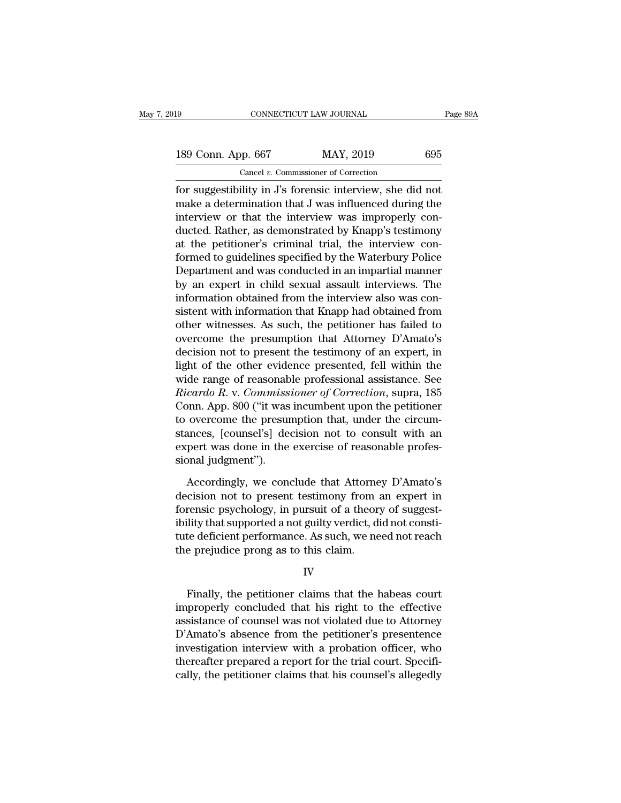## 189 CONNECTICUT LAW JOURNAL Page 89A<br>
189 Conn. App. 667 MAY, 2019 695<br>
Cancel v. Commissioner of Correction CONNECTICUT LAW JOURNAL<br>
pp. 667 MAY, 2019<br>
Cancel *v.* Commissioner of Correction<br>
ility in .I's forensic interview she die

Fage 89<sup>1</sup><br>
for suggestibility in J's forensic interview, she did not<br>
for suggestibility in J's forensic interview, she did not<br>
make a determination that J was influenced during the<br>
interview, or that the interview was 189 Conn. App. 667 MAY, 2019 695<br>
Cancel v. Commissioner of Correction<br>
for suggestibility in J's forensic interview, she did not<br>
make a determination that J was influenced during the<br>
interview or that the interview was 189 Conn. App. 667 MAY, 2019 695<br>
Cancel v. Commissioner of Correction<br>
for suggestibility in J's forensic interview, she did not<br>
make a determination that J was influenced during the<br>
interview or that the interview was 189 Conn. App. 667 MAY, 2019 695<br>
Cancel v. Commissioner of Correction<br>
for suggestibility in J's forensic interview, she did not<br>
make a determination that J was influenced during the<br>
interview or that the interview was Cancel v. Commissioner of Correction<br>
for suggestibility in J's forensic interview, she did not<br>
make a determination that J was influenced during the<br>
interview or that the interview was improperly con-<br>
ducted. Rather, Callel *v.* Columisable of Corection<br>for suggestibility in J's forensic interview, she did not<br>make a determination that J was influenced during the<br>interview or that the interview was improperly con-<br>ducted. Rather, as d for suggestibility in J's forensic interview, she did not<br>make a determination that J was influenced during the<br>interview or that the interview was improperly con-<br>ducted. Rather, as demonstrated by Knapp's testimony<br>at th make a determination that J was influenced during the<br>interview or that the interview was improperly con-<br>ducted. Rather, as demonstrated by Knapp's testimony<br>at the petitioner's criminal trial, the interview con-<br>formed t interview or that the interview was improperly con-<br>ducted. Rather, as demonstrated by Knapp's testimony<br>at the petitioner's criminal trial, the interview con-<br>formed to guidelines specified by the Waterbury Police<br>Departm ducted. Rather, as demonstrated by Knapp's testimony<br>at the petitioner's criminal trial, the interview con-<br>formed to guidelines specified by the Waterbury Police<br>Department and was conducted in an impartial manner<br>by an e at the petitioner's criminal trial, the interview con-<br>formed to guidelines specified by the Waterbury Police<br>Department and was conducted in an impartial manner<br>by an expert in child sexual assault interviews. The<br>informa formed to guidelines specified by the Waterbury Police<br>Department and was conducted in an impartial manner<br>by an expert in child sexual assault interviews. The<br>information obtained from the interview also was con-<br>sistent Department and was conducted in an impartial manner<br>by an expert in child sexual assault interviews. The<br>information obtained from the interview also was con-<br>sistent with information that Knapp had obtained from<br>other wit by an expert in child sexual assault interviews. The<br>information obtained from the interview also was con-<br>sistent with information that Knapp had obtained from<br>other witnesses. As such, the petitioner has failed to<br>overco information obtained from the interview also was consistent with information that Knapp had obtained from<br>other witnesses. As such, the petitioner has failed to<br>overcome the presumption that Attorney D'Amato's<br>decision not sistent with information that Knapp had obtained from<br>
other witnesses. As such, the petitioner has failed to<br>
overcome the presumption that Attorney D'Amato's<br>
decision not to present the testimony of an expert, in<br>
light other witnesses. As such, the petitioner has failed to<br>overcome the presumption that Attorney D'Amato's<br>decision not to present the testimony of an expert, in<br>light of the other evidence presented, fell within the<br>wide ran overcome the presumption that Attorney D'Amato's<br>decision not to present the testimony of an expert, in<br>light of the other evidence presented, fell within the<br>wide range of reasonable professional assistance. See<br>Ricardo R decision not to present the testimony of an expert, in<br>light of the other evidence presented, fell within the<br>wide range of reasonable professional assistance. See<br>Ricardo R. v. Commissioner of Correction, supra, 185<br>Conn. light of the other evidence presented, fell within the wide range of reasonable professional assistance. See Ricardo R. v. Commissioner of Correction, supra, 185 Conn. App. 800 ("it was incumbent upon the petitioner to ove wide range of reasonab<br>*Ricardo R.* v. *Commiss*<br>Conn. App. 800 ("it was<br>to overcome the presur<br>stances, [counsel's] de<br>expert was done in the<br>sional judgment").<br>Accordingly, we cone by the persumption that, under the petitioner<br>overcome the presumption that, under the circum-<br>ances, [counsel's] decision not to consult with an<br>pert was done in the exercise of reasonable profes-<br>post judgment").<br>Accordi to overcome the presumption that, under the circum-<br>stances, [counsel's] decision not to consult with an<br>expert was done in the exercise of reasonable profes-<br>sional judgment").<br>Accordingly, we conclude that Attorney D'Ama

stances, [counsel's] decision not to consult with an<br>expert was done in the exercise of reasonable profes-<br>sional judgment").<br>Accordingly, we conclude that Attorney D'Amato's<br>decision not to present testimony from an exper expert was done in the exercise of reasonable profes-<br>sional judgment").<br>Accordingly, we conclude that Attorney D'Amato's<br>decision not to present testimony from an expert in<br>forensic psychology, in pursuit of a theory of s sional judgment").<br>
Accordingly, we conclude that Attorney D'Amato's<br>
decision not to present testimony from an expert in<br>
forensic psychology, in pursuit of a theory of suggest-<br>
ibility that supported a not guilty verdic Accordingly, we conclude that Attorne<br>decision not to present testimony from<br>forensic psychology, in pursuit of a theor<br>ibility that supported a not guilty verdict, d<br>tute deficient performance. As such, we ne<br>the prejudic Frinally, the petitioner claims that the habeas court<br>Finally, the petitioner claims that the habeas court<br>properly concluded that his right to the effective<br>citange of coursel was not violated due to Attorney

### IV

Finally that supported a not guilty vertuct, that not consult<br>tute deficient performance. As such, we need not reach<br>the prejudice prong as to this claim.<br>IV<br>Finally, the petitioner claims that the habeas court<br>improperly Finally, the petitioner claims that the habeas court<br>Finally, the petitioner claims that the habeas court<br>improperly concluded that his right to the effective<br>assistance of counsel was not violated due to Attorney<br>D'Amato' IV<br>IV<br>IV<br>Finally, the petitioner claims that the habeas court<br>improperly concluded that his right to the effective<br>assistance of counsel was not violated due to Attorney<br>D'Amato's absence from the petitioner's presentence<br> IV<br>
Finally, the petitioner claims that the habeas court<br>
improperly concluded that his right to the effective<br>
assistance of counsel was not violated due to Attorney<br>
D'Amato's absence from the petitioner's presentence<br>
i Finally, the petitioner claims that the habeas court<br>improperly concluded that his right to the effective<br>assistance of counsel was not violated due to Attorney<br>D'Amato's absence from the petitioner's presentence<br>investiga Finally, the petitioner claims that the habeas court<br>improperly concluded that his right to the effective<br>assistance of counsel was not violated due to Attorney<br>D'Amato's absence from the petitioner's presentence<br>investiga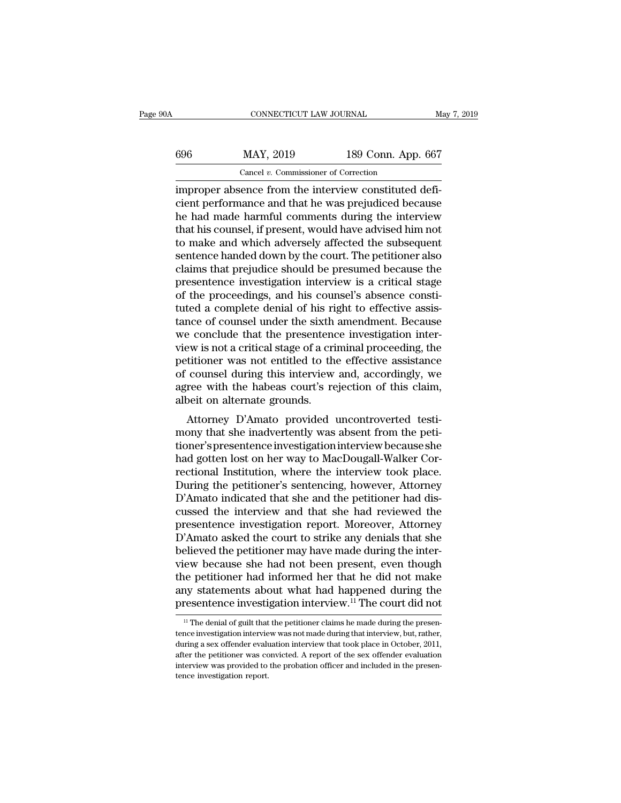## CONNECTICUT LAW JOURNAL May 7, 2019<br>696 MAY, 2019 189 Conn. App. 667<br>Cancel v. Commissioner of Correction CONNECTICUT LAW JOURNAL<br>MAY, 2019 189 Conn. App<br>Cancel *v*. Commissioner of Correction<br>Rence from the interview constituted

CONNECTICUT LAW JOURNAL<br>
SO SO SO MAY, 2019 189 Conn. App. 667<br>
Cancel v. Commissioner of Correction<br>
improper absence from the interview constituted defi-<br>
cient performance and that he was prejudiced because Example 189 Conn. App. 667<br>
Cancel v. Commissioner of Correction<br>
improper absence from the interview constituted defi-<br>
cient performance and that he was prejudiced because<br>
that his counsel if prosent would be advised bi  $\begin{tabular}{ c c c c} \multicolumn{1}{c|}{\textbf{MAY, 2019}} & \multicolumn{1}{c|}{\textbf{189 Conn. App. 667}} \\ \hline \hline \multicolumn{1}{c|}{\textbf{Cancel } v. \textbf{ Commissioner of Correction}} \\ \hline \multicolumn{1}{c|}{\textbf{improper absence from the interview constituted defi-}cient performance and that he was prejudiced because} \\ \hline \multicolumn{1}{c|}{\textbf{he had made harmful comments during the interview}} \\ \hline \multicolumn{1}{c|}{\textbf{the and made harmful comments during the interview}} \\ \hline \multicolumn{1}{c|}{\textbf{the only one} and which always by affected the subsequent$  $\frac{\text{MAY, 2019}}{\text{Cancel } v. \text{ Commissioner of Correction}}$ <br>
improper absence from the interview constituted deficient performance and that he was prejudiced because<br>
the had made harmful comments during the interview<br>
that his counsel, if present Cancel v. Commissioner of Correction<br>
improper absence from the interview constituted defi-<br>
cient performance and that he was prejudiced because<br>
he had made harmful comments during the interview<br>
that his counsel, if pr Cancel v. Commissioner of Correction<br>
improper absence from the interview constituted defi-<br>
cient performance and that he was prejudiced because<br>
he had made harmful comments during the interview<br>
that his counsel, if pre improper absence from the interview constituted deficient performance and that he was prejudiced because<br>he had made harmful comments during the interview<br>that his counsel, if present, would have advised him not<br>to make an cient performance and that he was prejudiced because<br>he had made harmful comments during the interview<br>that his counsel, if present, would have advised him not<br>to make and which adversely affected the subsequent<br>sentence h he had made harmful comments during the interview<br>that his counsel, if present, would have advised him not<br>to make and which adversely affected the subsequent<br>sentence handed down by the court. The petitioner also<br>claims t that his counsel, if present, would have advised him not<br>to make and which adversely affected the subsequent<br>sentence handed down by the court. The petitioner also<br>claims that prejudice should be presumed because the<br>prese to make and which adversely affected the subsequent<br>sentence handed down by the court. The petitioner also<br>claims that prejudice should be presumed because the<br>presentence investigation interview is a critical stage<br>of the sentence handed down by the court. The petitioner also claims that prejudice should be presumed because the presentence investigation interview is a critical stage of the proceedings, and his counsel's absence constituted claims that prejudice should be presumed because the<br>presentence investigation interview is a critical stage<br>of the proceedings, and his counsel's absence consti-<br>tuted a complete denial of his right to effective assis-<br>ta presentence investigation interview is a critical stage<br>of the proceedings, and his counsel's absence consti-<br>tuted a complete denial of his right to effective assis-<br>tance of counsel under the sixth amendment. Because<br>we of the proceedings, and his counsel's absence constituted a complete denial of his right to effective assistance of counsel under the sixth amendment. Because we conclude that the presentence investigation interview is not tuted a complete denial of his right to effective assistance of counsel under the sixth amendment. Because we conclude that the presentence investigation interview is not a critical stage of a criminal proceeding, the peti tance of counsel under the sixth<br>we conclude that the presentenc<br>view is not a critical stage of a cri<br>petitioner was not entitled to th<br>of counsel during this interview<br>agree with the habeas court's re<br>albeit on alternate Functional and the presentence investigation inter-<br>ew is not a critical stage of a criminal proceeding, the<br>titioner was not entitled to the effective assistance<br>counsel during this interview and, accordingly, we<br>ree with view is not a critical stage of a criticial proceeding, the<br>petitioner was not entitled to the effective assistance<br>of counsel during this interview and, accordingly, we<br>agree with the habeas court's rejection of this clai

petitioner was not entitied to the enective assistance<br>of counsel during this interview and, accordingly, we<br>agree with the habeas court's rejection of this claim,<br>albeit on alternate grounds.<br>Attorney D'Amato provided unc or courser during this interview and, accordingly, we<br>agree with the habeas court's rejection of this claim,<br>albeit on alternate grounds.<br>Attorney D'Amato provided uncontroverted testi-<br>mony that she inadvertently was abse agree with the habeas court's rejection of this claim,<br>albeit on alternate grounds.<br>Attorney D'Amato provided uncontroverted testi-<br>mony that she inadvertently was absent from the peti-<br>tioner's presentence investigation i aben on alternate grounds.<br>
Attorney D'Amato provided uncontroverted testi-<br>
mony that she inadvertently was absent from the peti-<br>
tioner's presentence investigation interview because she<br>
had gotten lost on her way to Ma Attorney D'Amato provided uncontroverted testi-<br>mony that she inadvertently was absent from the peti-<br>tioner's presentence investigation interview because she<br>had gotten lost on her way to MacDougall-Walker Cor-<br>rectional mony that she inadvertently was absent from the petitioner's presentence investigation interview because she<br>had gotten lost on her way to MacDougall-Walker Cor-<br>rectional Institution, where the interview took place.<br>Durin tioner's presentence investigation interview because she<br>had gotten lost on her way to MacDougall-Walker Cor-<br>rectional Institution, where the interview took place.<br>During the petitioner's sentencing, however, Attorney<br>D'A had gotten lost on her way to MacDougall-Walker Correctional Institution, where the interview took place.<br>During the petitioner's sentencing, however, Attorney D'Amato indicated that she and the petitioner had discussed th rectional Institution, where the interview took place.<br>During the petitioner's sentencing, however, Attorney<br>D'Amato indicated that she and the petitioner had dis-<br>cussed the interview and that she had reviewed the<br>present During the petitioner's sentencing, however, Attorney<br>D'Amato indicated that she and the petitioner had dis-<br>cussed the interview and that she had reviewed the<br>presentence investigation report. Moreover, Attorney<br>D'Amato a D'Amato indicated that she and the petitioner had discussed the interview and that she had reviewed the presentence investigation report. Moreover, Attorney D'Amato asked the court to strike any denials that she believed cussed the interview and that she had reviewed the<br>presentence investigation report. Moreover, Attorney<br>D'Amato asked the court to strike any denials that she<br>believed the petitioner may have made during the inter-<br>view be presentence investigation report. Moreover, Attorney D'Amato asked the court to strike any denials that she believed the petitioner may have made during the interview because she had not been present, even though the petit ew because she had not been present, even though<br>the petitioner had informed her that he did not make<br>hy statements about what had happened during the<br>resentence investigation interview.<sup>11</sup> The court did not<br><sup>11</sup> The deni the petitioner had informed her that he did not make<br>any statements about what had happened during the<br>presentence investigation interview.<sup>11</sup> The court did not<br><sup>11</sup> The denial of guilt that the petitioner claims he made

any statements about what had happened during the presentence investigation interview.<sup>11</sup> The court did not  $\frac{11}{1}$  The denial of guilt that the petitioner claims he made during the presentence investigation interview presentence investigation interview.<sup>11</sup> The court did not  $\frac{1}{1}$  The denial of guilt that the petitioner claims he made during the presentence investigation interview was not made during that interview, but, rather, d If the denial of guilt that the petitioner claims he made during the presentence investigation interview was not made during that interview, but, rather, during a sex offender evaluation interview that took place in Octob <sup>11</sup> The denial of guilt that tence investigation interview during a sex offender evaluater the petitioner was conterview was provided to tence investigation report.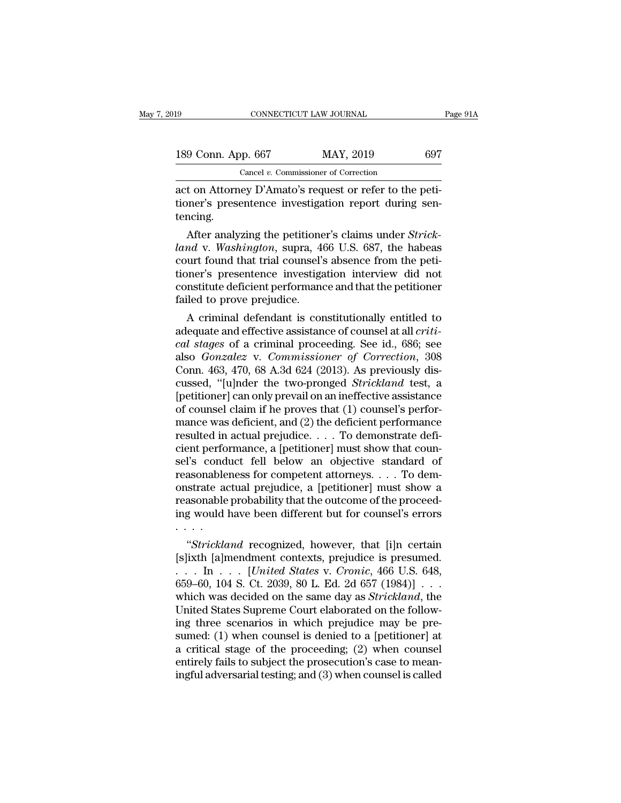| 19                 | CONNECTICUT LAW JOURNAL                                 |     | Page 91A |
|--------------------|---------------------------------------------------------|-----|----------|
| 189 Conn. App. 667 | MAY, 2019                                               | 697 |          |
|                    | Cancel $v$ . Commissioner of Correction                 |     |          |
|                    | act on Attorney D'Amato's request or refer to the neti- |     |          |

connectricut LAW JOURNAL<br>
189 Conn. App. 667 MAY, 2019 697<br>
Cancel v. Commissioner of Correction<br>
act on Attorney D'Amato's request or refer to the peti-<br>
tioner's presentence investigation report during sen-189 Conn. App. 667 MAY, 2019 697<br>Cancel v. Commissioner of Correction<br>act on Attorney D'Amato's request or refer to the peti-<br>tioner's presentence investigation report during sen-<br>tencing. tencing. 9 Conn. App. 667 MAY, 2019 697<br>
Cancel *v.* Commissioner of Correction<br>
t on Attorney D'Amato's request or refer to the peti-<br>
personer's presentence investigation report during sen-<br>
ncing.<br>
After analyzing the petitioner

*Cancel v. Commissioner of Correction*<br>
act on Attorney D'Amato's request or refer to the peti-<br>
tioner's presentence investigation report during sen-<br>
tencing.<br>
After analyzing the petitioner's claims under *Strick-*<br>
lan act on Attorney D'Amato's request or refer to the petitioner's presentence investigation report during sentencing.<br>After analyzing the petitioner's claims under *Strick-land* v. Washington, supra, 466 U.S. 687, the habeas act on Attorney D Amato's request or reter to the petitioner's presentence investigation report during sentencing.<br>
After analyzing the petitioner's claims under *Strick-*<br> *land* v. *Washington*, supra, 466 U.S. 687, the tioner's presentence investigation report during sentencing.<br>
After analyzing the petitioner's claims under *Strick-*<br> *land* v. *Washington*, supra, 466 U.S. 687, the habeas<br>
court found that trial counsel's absence from Failed the petitione<br>*land v. Washington*, supra, 44<br>court found that trial counsel's<br>tioner's presentence investiga<br>constitute deficient performanc<br>failed to prove prejudice.<br>A criminal defendant is cor After analyzing the petitioner's claims under *Strick-*<br> *Mdv. Washington*, supra, 466 U.S. 687, the habeas<br>
urt found that trial counsel's absence from the peti-<br>
iner's presentence investigation interview did not<br>
mstitu dana v. *washington*, supra, 400 U.S. 087, the nabease court found that trial counsel's absence from the petitioner's presentence investigation interview did not constitute deficient performance and that the petitioner fai

rourt round that trial counser's absence from the petitioner's presentence investigation interview did not constitute deficient performance and that the petitioner failed to prove prejudice.<br>A criminal defendant is constit tioner's presentence investigation interview did not<br>constitute deficient performance and that the petitioner<br>failed to prove prejudice.<br>A criminal defendant is constitutionally entitled to<br>adequate and effective assistanc consulture deficient performance and that the petitioner<br>failed to prove prejudice.<br>A criminal defendant is constitutionally entitled to<br>adequate and effective assistance of counsel at all *criti-*<br>*cal stages* of a crimin railed to prove prejudice.<br>
A criminal defendant is constitutionally entitled to<br>
adequate and effective assistance of counsel at all *criti-*<br>
cal stages of a criminal proceeding. See id., 686; see<br>
also *Gonzalez* v. *Co* A criminal defendant is constitutionally entitled to<br>adequate and effective assistance of counsel at all *criti-*<br>cal stages of a criminal proceeding. See id., 686; see<br>also *Gonzalez* v. *Commissioner of Correction*, 308 adequate and effective assistance of counsel at all *critical stages* of a criminal proceeding. See id., 686; see also *Gonzalez* v. *Commissioner of Correction*, 308 Conn. 463, 470, 68 A.3d 624 (2013). As previously discu cal stages of a criminal proceeding. See id., 686; see<br>also *Gonzalez* v. *Commissioner of Correction*, 308<br>Conn. 463, 470, 68 A.3d 624 (2013). As previously dis-<br>cussed, "[u]nder the two-pronged *Strickland* test, a<br>[pet also *Gonzalez* v. *Commissioner of Correction*, 308<br>Conn. 463, 470, 68 A.3d 624 (2013). As previously dis-<br>cussed, "[u]nder the two-pronged *Strickland* test, a<br>[petitioner] can only prevail on an ineffective assistance<br> Conn. 463, 470, 68 A.3d 624 (2013). As previously discussed, "[u]nder the two-pronged *Strickland* test, a [petitioner] can only prevail on an ineffective assistance of counsel claim if he proves that (1) counsel's perfor cussed, "[u]nder the two-pronged *Strickland* test, a<br>[petitioner] can only prevail on an ineffective assistance<br>of counsel claim if he proves that (1) counsel's perfor-<br>mance was deficient, and (2) the deficient performa [petitioner] can only prevail on an ineffective assistance<br>of counsel claim if he proves that (1) counsel's perfor-<br>mance was deficient, and (2) the deficient performance<br>resulted in actual prejudice. . . . To demonstrate of counsel claim if he proves that (1) counsel's performance was deficient, and (2) the deficient performance<br>resulted in actual prejudice.  $\dots$  To demonstrate defi-<br>cient performance, a [petitioner] must show that coun-<br> mance was deficient, and (2) the deficient performance<br>resulted in actual prejudice. . . . To demonstrate defi-<br>cient performance, a [petitioner] must show that coun-<br>sel's conduct fell below an objective standard of<br>reas resulted in actual prejudice. . . . To demonstrate deficient performance, a [petitioner] must show that counsel's conduct fell below an objective standard of reasonableness for competent attorneys. . . . To demonstrate ac cient perfo<br>sel's cond<br>reasonable<br>onstrate ac<br>reasonable<br>ing would<br>wistrickla It is conduct fell below an objective standard of<br>asonableness for competent attorneys. . . . To dem-<br>strate actual prejudice, a [petitioner] must show a<br>asonable probability that the outcome of the proceed-<br>g would have b reasonableness for competent attorneys.  $\ldots$  10 demonstrate actual prejudice, a [petitioner] must show a<br>reasonable probability that the outcome of the proceed-<br>ing would have been different but for counsel's errors<br> $\ldots$ 

onstrate actual prejudice, a [petitioner] must show a<br>reasonable probability that the outcome of the proceed-<br>ing would have been different but for counsel's errors<br>...<br>... *"Strickland* recognized, however, that [i]n cert reasonable probability that the outcome of the proceeding would have been different but for counsel's errors<br>
"Strickland recognized, however, that [i]n certain<br>
[s]ixth [a]mendment contexts, prejudice is presumed.<br>
. . . mg would nave been different but for counsers errors<br>
....<br>
"Strickland recognized, however, that [i]n certain<br>
[s]ixth [a]mendment contexts, prejudice is presumed.<br>
... In ... [*United States v. Cronic*, 466 U.S. 648,<br>
65 "Strickland recognized, however, that [i]n certain [s]ixth [a]mendment contexts, prejudice is presumed.<br>  $\ldots$  In  $\ldots$  [*United States v. Cronic*, 466 U.S. 648, 659–60, 104 S. Ct. 2039, 80 L. Ed. 2d 657 (1984)]  $\ldots$  whi "Strickland recognized, however, that [i]n certain [s]ixth [a]mendment contexts, prejudice is presumed.<br>
... In ... [*United States v. Cronic*, 466 U.S. 648, 659–60, 104 S. Ct. 2039, 80 L. Ed. 2d 657 (1984)] ...<br>
which wa [s]ixth [a]mendment contexts, prejudice is presumed.<br>  $\dots$  In  $\dots$  [United States v. Cronic, 466 U.S. 648,<br>
659–60, 104 S. Ct. 2039, 80 L. Ed. 2d 657 (1984)]  $\dots$ <br>
which was decided on the same day as *Strickland*, the<br>
U ... In ... [*United States v. Cronic*, 466 U.S. 648, 659–60, 104 S. Ct. 2039, 80 L. Ed. 2d 657 (1984)] ...<br>which was decided on the same day as *Strickland*, the United States Supreme Court elaborated on the following thr 659–60, 104 S. Ct. 2039, 80 L. Ed. 2d 657 (1984)] . . . which was decided on the same day as *Strickland*, the United States Supreme Court elaborated on the following three scenarios in which prejudice may be presumed: (1 which was decided on the same day as *Strickland*, the United States Supreme Court elaborated on the following three scenarios in which prejudice may be presumed: (1) when counsel is denied to a [petitioner] at a critical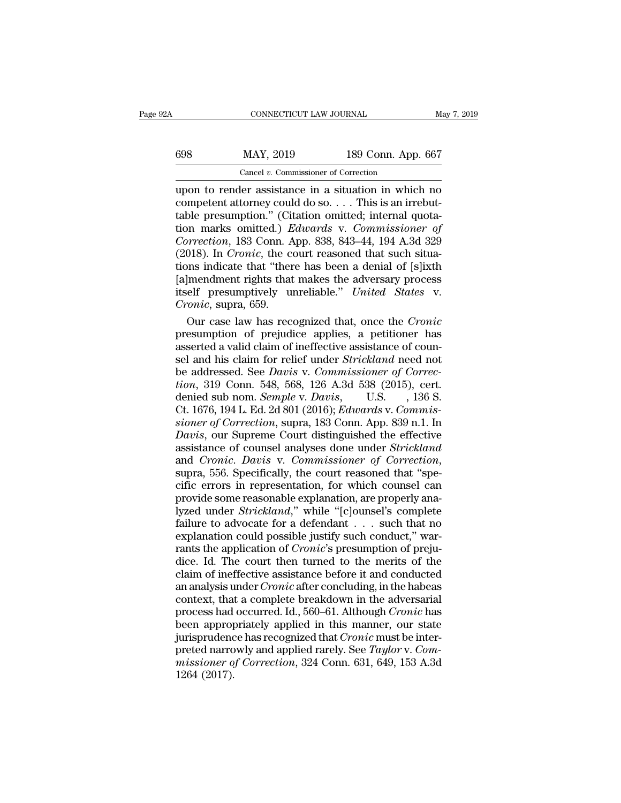| łА  | CONNECTICUT LAW JOURNAL                 |                    | May 7, 2019 |
|-----|-----------------------------------------|--------------------|-------------|
| 698 | MAY, 2019                               | 189 Conn. App. 667 |             |
|     | Cancel $v$ . Commissioner of Correction |                    |             |

CONNECTICUT LAW JOURNAL May 7, 2019<br>
698 MAY, 2019 189 Conn. App. 667<br>
Cancel v. Commissioner of Correction<br>
(upon to render assistance in a situation in which no<br>
competent attorney could do so.... This is an irrebut-<br>
ta 698 MAY, 2019 189 Conn. App. 667<br>
Cancel *v.* Commissioner of Correction<br>
upon to render assistance in a situation in which no<br>
competent attorney could do so. . . . This is an irrebut-<br>
table presumption." (Citation omit table presumption." (Citation of Correction<br>  $\frac{189 \text{ Conn. App. } 667}{\text{Open to render assistance in a situation in which no  
\ncomponent at  
\ntorney could do so. . . . This is an irrebut-  
\ntable presupption." (Citation omitted; internal quotation marks omitted.) *Edwards v. Commissioner of*  
\nCorrection 183 Conn. Ann. 838–843–44–194–4–3d–3299$ MAY, 2019 189 Conn. App. 667<br>
Cancel *v.* Commissioner of Correction<br>
upon to render assistance in a situation in which no<br>
competent attorney could do so. . . . This is an irrebut-<br>
table presumption." (Citation omitted; *Cancel v. Commissioner of Correction*<br>
upon to render assistance in a situation in which no<br>
competent attorney could do so.... This is an irrebut-<br>
table presumption." (Citation omitted; internal quota-<br>
tion marks omitt Cancel *v.* Commissioner of Correction<br>upon to render assistance in a situation in which no<br>competent attorney could do so.... This is an irrebut-<br>table presumption." (Citation omitted; internal quota-<br>tion marks omitted. upon to render assistance in a situation in which no<br>
competent attorney could do so.... This is an irrebut-<br>
table presumption." (Citation omitted; internal quota-<br>
tion marks omitted.) *Edwards* v. Commissioner of<br>
Corr competent attorney could do so.... This is an irrebut-<br>table presumption." (Citation omitted; internal quota-<br>tion marks omitted.) *Edwards* v. Commissioner of<br>Correction, 183 Conn. App. 838, 843–44, 194 A.3d 329<br>(2018). I table presumption." (Citation omitted; internal quotation marks omitted.) *Edwards* v. *Commissioner of Correction*, 183 Conn. App. 838, 843–44, 194 A.3d 329 (2018). In *Cronic*, the court reasoned that such situations i tion marks omitted.) *E*<br> *Correction*, 183 Conn. A<br>
(2018). In *Cronic*, the co<br>
tions indicate that "ther<br>
[a]mendment rights that<br>
itself presumptively un<br> *Cronic*, supra, 659.<br>
Our case law has reco our case in the court reasoned that such situa-<br>
018). In *Cronic*, the court reasoned that such situa-<br>
Inserting indicate that "there has been a denial of [s]ixth<br>
[mendment rights that makes the adversary process<br>
elf p (2018). In *Cronic*, the court reasoned that such situations indicate that "there has been a denial of [s]ixth [a]mendment rights that makes the adversary process itself presumptively unreliable." *United States v. Cronic* 

tions indicate that "there has been a denial of [s]ixth [a]mendment rights that makes the adversary process<br>itself presumptively unreliable." *United States v.*<br>Cronic, supra, 659.<br>Our case law has recognized that, once t [a]mendment rights that makes the adversary process<br>itself presumptively unreliable." *United States v.*<br>Cronic, supra, 659.<br>Our case law has recognized that, once the Cronic<br>presumption of prejudice applies, a petitioner itself presumptively unreliable." *United States v.*<br> *Cronic*, supra, 659.<br>
Our case law has recognized that, once the *Cronic*<br>
presumption of prejudice applies, a petitioner has<br>
asserted a valid claim of ineffective as *Cronic*, supra, 659.<br>
Our case law has recognized that, once the *Cronic*<br>
presumption of prejudice applies, a petitioner has<br>
asserted a valid claim of ineffective assistance of coun-<br>
sel and his claim for relief under Our case law has recognized that, once the *Cronic*<br>presumption of prejudice applies, a petitioner has<br>asserted a valid claim of ineffective assistance of coun-<br>sel and his claim for relief under *Strickland* need not<br>be a presumption of prejudice applies, a petitioner has<br>asserted a valid claim of ineffective assistance of coun-<br>sel and his claim for relief under *Strickland* need not<br>be addressed. See *Davis* v. *Commissioner of Correc-*<br> *siserted a valid claim of ineffective assistance of counsel and his claim for relief under <i>Strickland need not* be addressed. See *Davis v. Commissioner of Correction*, 319 Conn. 548, 568, 126 A.3d 538 (2015), cert. deni **Sel and his claim for relief under Strickland need not**<br>be addressed. See *Davis* v. *Commissioner of Correction*, 319 Conn. 548, 568, 126 A.3d 538 (2015), cert.<br>denied sub nom. *Semple* v. *Davis*, U.S. , 136 S.<br>Ct. 1676 be addressed. See *Davis* v. *Commissioner of Correction*, 319 Conn. 548, 568, 126 A.3d 538 (2015), cert.<br>denied sub nom. *Semple* v. *Davis*, U.S., 136 S.<br>Ct. 1676, 194 L. Ed. 2d 801 (2016); *Edwards* v. *Commissioner of* tion, 319 Conn. 548, 568, 126 A.3d 538 (2015), cert.<br>denied sub nom. *Semple* v. *Davis*, U.S., 136 S.<br>Ct. 1676, 194 L. Ed. 2d 801 (2016); *Edwards* v. *Commissioner of Correction*, supra, 183 Conn. App. 839 n.1. In<br>*Davis* Ct. 1676, 194 L. Ed. 2d 801 (2016); *Edwards v. Commissioner of Correction*, supra, 183 Conn. App. 839 n.1. In<br>*Davis*, our Supreme Court distinguished the effective<br>assistance of counsel analyses done under *Strickland*<br>a sioner of Correction, supra, 183 Conn. App. 839 n.1. In<br>Davis, our Supreme Court distinguished the effective<br>assistance of counsel analyses done under *Strickland*<br>and *Cronic. Davis* v. *Commissioner of Correction*,<br>supra Davis, our Supreme Court distinguished the effective<br>assistance of counsel analyses done under *Strickland*<br>and *Cronic. Davis* v. *Commissioner of Correction*,<br>supra, 556. Specifically, the court reasoned that "spe-<br>cific assistance of counsel analyses done under *Strickland*<br>and *Cronic. Davis* v. *Commissioner of Correction*,<br>supra, 556. Specifically, the court reasoned that "spe-<br>cific errors in representation, for which counsel can<br>prov and *Cronic. Davis* v. *Commissioner of Correction*, supra, 556. Specifically, the court reasoned that "specific errors in representation, for which counsel can provide some reasonable explanation, are properly analyzed un supra, 556. Specifically, the court reasoned that "specific errors in representation, for which counsel can provide some reasonable explanation, are properly analyzed under *Strickland*," while "[c]ounsel's complete failur cific errors in representation, for which counsel can<br>provide some reasonable explanation, are properly ana-<br>lyzed under *Strickland*," while "[c]ounsel's complete<br>failure to advocate for a defendant  $\dots$  such that no<br>exp provide some reasonable explanation, are properly analyzed under *Strickland*," while "[c]ounsel's complete failure to advocate for a defendant  $\dots$  such that no explanation could possible justify such conduct," warrants lyzed under *Strickland*," while "[c]ounsel's complete failure to advocate for a defendant . . . such that no explanation could possible justify such conduct," warrants the application of *Cronic*'s presumption of prejudic failure to advocate for a defendant  $\ldots$  such that no explanation could possible justify such conduct," warrants the application of *Cronic'*s presumption of prejudice. Id. The court then turned to the merits of the clai explanation could possible justify such conduct," warrants the application of *Cronic*'s presumption of prejudice. Id. The court then turned to the merits of the claim of ineffective assistance before it and conducted an a rants the application of *Cronic'*s presumption of prejudice. Id. The court then turned to the merits of the claim of ineffective assistance before it and conducted an analysis under *Cronic* after concluding, in the habe dice. Id. The court then turned to the merits of the claim of ineffective assistance before it and conducted an analysis under *Cronic* after concluding, in the habeas context, that a complete breakdown in the adversarial claim of ineffective assistance before it and conducted<br>an analysis under *Cronic* after concluding, in the habeas<br>context, that a complete breakdown in the adversarial<br>process had occurred. Id., 560–61. Although *Cronic* an analysis under *Cronic* after concluding, in the habeas context, that a complete breakdown in the adversarial process had occurred. Id., 560–61. Although *Cronic* has been appropriately applied in this manner, our state context, that<br>process had<br>been approp<br>jurisprudenc<br>preted narro<br>missioner of<br>1264 (2017).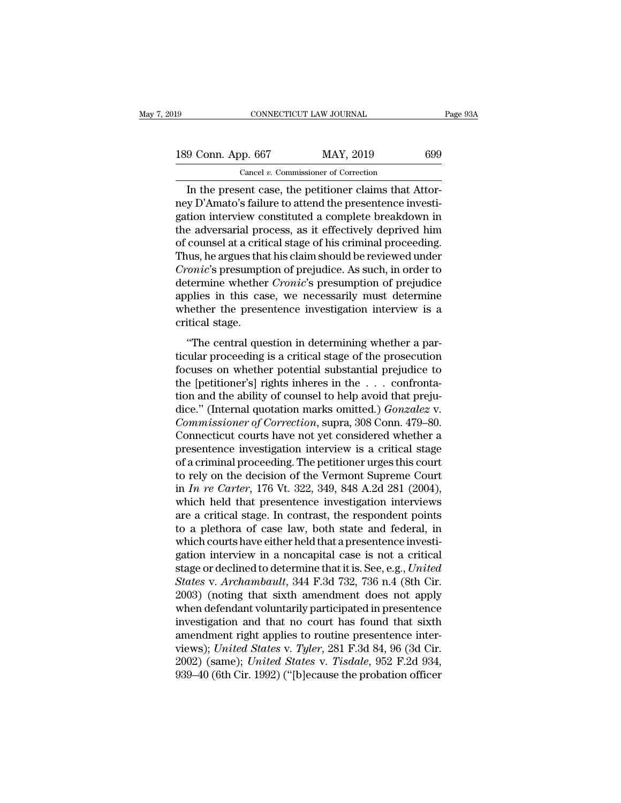| l9                 | CONNECTICUT LAW JOURNAL                               | Page 93A |
|--------------------|-------------------------------------------------------|----------|
| 189 Conn. App. 667 | MAY, 2019                                             | 699      |
|                    | Cancel $v$ . Commissioner of Correction               |          |
|                    | In the present case the petitioner claims that Attor- |          |

CONNECTICUT LAW JOURNAL<br>
9 Conn. App. 667 MAY, 2019 699<br>
Cancel v. Commissioner of Correction<br>
In the present case, the petitioner claims that Attor-<br>
y D'Amato's failure to attend the presentence investi-<br>
tion interview 189 Conn. App. 667 MAY, 2019 699<br>
Cancel *v.* Commissioner of Correction<br>
In the present case, the petitioner claims that Attor-<br>
ney D'Amato's failure to attend the presentence investi-<br>
gation interview constituted a com 189 Conn. App. 667 MAY, 2019 699<br>
Cancel v. Commissioner of Correction<br>
In the present case, the petitioner claims that Attor-<br>
mey D'Amato's failure to attend the presentence investigation interview constituted a complet 189 Conn. App. 667 MAY, 2019 699<br>
Cancel v. Commissioner of Correction<br>
In the present case, the petitioner claims that Attor-<br>
ney D'Amato's failure to attend the presentence investi-<br>
gation interview constituted a comp Cancel v. Commissioner of Correction<br>
In the present case, the petitioner claims that Attor-<br>
ney D'Amato's failure to attend the presentence investigation interview constituted a complete breakdown in<br>
the adversarial pr Cancel *v*. Commissioner of Correction<br>In the present case, the petitioner claims that Attor-<br>ney D'Amato's failure to attend the presentence investi-<br>gation interview constituted a complete breakdown in<br>the adversarial p In the present case, the petitioner claims that Attor-<br> *Cronical*'s failure to attend the presentence investigation interview constituted a complete breakdown in<br>
the adversarial process, as it effectively deprived him<br>
o ney D'Amato's failure to attend the presentence investigation interview constituted a complete breakdown in the adversarial process, as it effectively deprived him of counsel at a critical stage of his criminal proceeding. gation interview constituted a complete breakdown in<br>the adversarial process, as it effectively deprived him<br>of counsel at a critical stage of his criminal proceeding.<br>Thus, he argues that his claim should be reviewed unde the adversarial process, as it effectively deprived him<br>of counsel at a critical stage of his criminal proceeding.<br>Thus, he argues that his claim should be reviewed under<br>*Cronic'*s presumption of prejudice. As such, in or of counsel at a criti<br>Thus, he argues tha<br>*Cronic'*s presumpt<br>determine whether<br>applies in this case<br>whether the prese<br>critical stage.<br>"The central que onic's presumption of prejudice. As such, in order to<br>
termine whether *Cronic'*s presumption of prejudice<br>
plies in this case, we necessarily must determine<br>
nether the presentence investigation interview is a<br>
titical st determine whether *Cronic's* presumption of prejudice<br>applies in this case, we necessarily must determine<br>whether the presentence investigation interview is a<br>critical stage.<br>"The central question in determining whether a

applies in this case, we necessarily must determine<br>whether the presentence investigation interview is a<br>critical stage.<br>"The central question in determining whether a par-<br>ticular proceeding is a critical stage of the pro whether the presentence investigation interview is a critical stage.<br>
"The central question in determining whether a particular proceeding is a critical stage of the prosecution focuses on whether potential substantial pr The central question in determining whether a particular proceeding is a critical stage of the prosecution<br>focuses on whether potential substantial prejudice to<br>the [petitioner's] rights inheres in the  $\dots$  confronta-<br>tio "The central question in determining whether a particular proceeding is a critical stage of the prosecution<br>focuses on whether potential substantial prejudice to<br>the [petitioner's] rights inheres in the . . . confronta-<br>ti "The central question in determining whether a particular proceeding is a critical stage of the prosecution focuses on whether potential substantial prejudice to the [petitioner's] rights inheres in the . . . confrontation ticular proceeding is a critical stage of the prosecution<br>focuses on whether potential substantial prejudice to<br>the [petitioner's] rights inheres in the . . . confronta-<br>tion and the ability of counsel to help avoid that p focuses on whether potential substantial prejudice to<br>the [petitioner's] rights inheres in the  $\ldots$  confronta-<br>tion and the ability of counsel to help avoid that preju-<br>dice." (Internal quotation marks omitted.) *Gonzale* the [petitioner's] rights inheres in the . . . confrontation and the ability of counsel to help avoid that prejudice." (Internal quotation marks omitted.) *Gonzalez* v. *Commissioner of Correction*, supra, 308 Conn. 479–8 tion and the ability of counsel to help avoid that prejudice." (Internal quotation marks omitted.) *Gonzalez* v.<br> *Commissioner of Correction*, supra, 308 Conn. 479–80.<br>
Connecticut courts have not yet considered whether a dice." (Internal quotation marks omitted.) *Gonzalez* v.<br> *Commissioner of Correction*, supra, 308 Conn. 479–80.<br>
Connecticut courts have not yet considered whether a<br>
presentence investigation interview is a critical stag Commissioner of Correction, supra, 308 Conn. 479–80.<br>Connecticut courts have not yet considered whether a<br>presentence investigation interview is a critical stage<br>of a criminal proceeding. The petitioner urges this court<br>to Connecticut courts have not yet considered whether a<br>presentence investigation interview is a critical stage<br>of a criminal proceeding. The petitioner urges this court<br>to rely on the decision of the Vermont Supreme Court<br>i presentence investigation interview is a critical stage<br>of a criminal proceeding. The petitioner urges this court<br>to rely on the decision of the Vermont Supreme Court<br>in  $In$   $re$   $Carter$ , 176 Vt. 322, 349, 848 A.2d 281 (2004) of a criminal proceeding. The petitioner urges this court<br>to rely on the decision of the Vermont Supreme Court<br>in  $In$   $ne$  Carter, 176 Vt. 322, 349, 848 A.2d 281 (2004),<br>which held that presentence investigation interviews to rely on the decision of the Vermont Supreme Court<br>in *In re Carter*, 176 Vt. 322, 349, 848 A.2d 281 (2004),<br>which held that presentence investigation interviews<br>are a critical stage. In contrast, the respondent points<br> in *In re Carter*, 176 Vt. 322, 349, 848 A.2d 281 (2004),<br>which held that presentence investigation interviews<br>are a critical stage. In contrast, the respondent points<br>to a plethora of case law, both state and federal, in<br> which held that presentence investigation interviews<br>are a critical stage. In contrast, the respondent points<br>to a plethora of case law, both state and federal, in<br>which courts have either held that a presentence investi-<br> are a critical stage. In contrast, the respondent points<br>to a plethora of case law, both state and federal, in<br>which courts have either held that a presentence investi-<br>gation interview in a noncapital case is not a critic to a plethora of case law, both state and federal, in<br>which courts have either held that a presentence investi-<br>gation interview in a noncapital case is not a critical<br>stage or declined to determine that it is. See, e.g., which courts have either held that a presentence investigation interview in a noncapital case is not a critical<br>stage or declined to determine that it is. See, e.g., *United*<br>*States* v. *Archambault*, 344 F.3d 732, 736 n gation interview in a noncapital case is not a critical<br>stage or declined to determine that it is. See, e.g., *United*<br>*States v. Archambault*, 344 F.3d 732, 736 n.4 (8th Cir.<br>2003) (noting that sixth amendment does not a stage or declined to determine that it is. See, e.g., *United*<br>*States* v. *Archambault*, 344 F.3d 732, 736 n.4 (8th Cir.<br>2003) (noting that sixth amendment does not apply<br>when defendant voluntarily participated in present States v. *Archambault*, 344 F.3d 732, 736 n.4 (8th Cir. 2003) (noting that sixth amendment does not apply when defendant voluntarily participated in presentence investigation and that no court has found that sixth amendme 2003) (noting that sixth amendment does not apply<br>when defendant voluntarily participated in presentence<br>investigation and that no court has found that sixth<br>amendment right applies to routine presentence inter-<br>views); *U*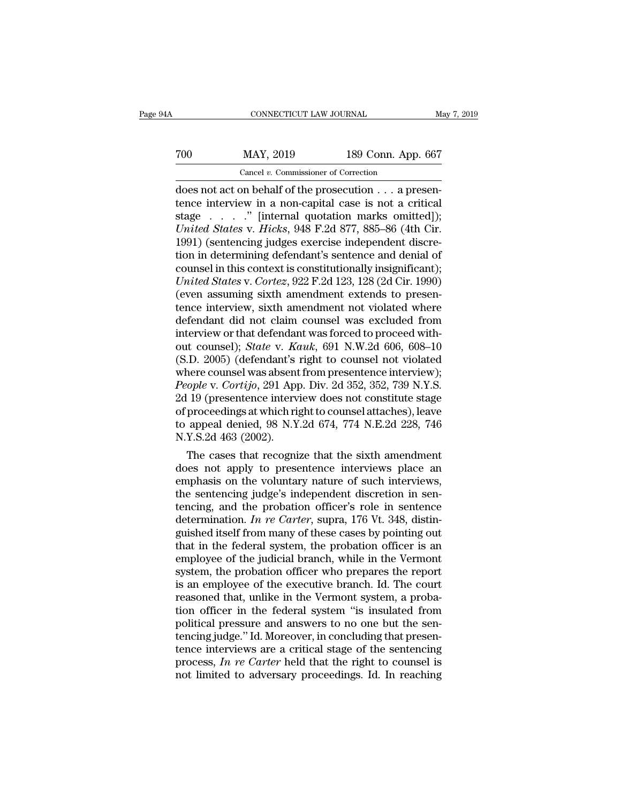## CONNECTICUT LAW JOURNAL May 7, 2019<br>
700 MAY, 2019 189 Conn. App. 667<br>
Cancel v. Commissioner of Correction CONNECTICUT LAW JOURNAL<br>
MAY, 2019 189 Conn. App<br>
Cancel *v.* Commissioner of Correction<br>
On behalf of the prosecution a pro

CONNECTICUT LAW JOURNAL<br>
TOO MAY, 2019 189 Conn. App. 667<br>
Cancel v. Commissioner of Correction<br>
does not act on behalf of the prosecution . . . a presen-<br>
tence interview in a non-capital case is not a critical<br>
stage int The MAY, 2019 189 Conn. App. 667<br>
Cancel v. Commissioner of Correction<br>
does not act on behalf of the prosecution . . . a presen-<br>
tence interview in a non-capital case is not a critical<br>
stage . . . . " [internal quotatio To cancel v. Commissioner of Correction<br>
Cancel v. Commissioner of Correction<br>
does not act on behalf of the prosecution  $\ldots$  a presen-<br>
tence interview in a non-capital case is not a critical<br>
stage  $\ldots$  ... " [interna *United States* v. *Hicks*, 948 F.2d 877, 885–86 (4th Cir. 1991) (sentencing judges exercise independent discretion in determining defendent's sentence and donial of the prosecution. Cancel v. Commissioner of Correction<br>
does not act on behalf of the prosecution  $\ldots$  a presen-<br>
tence interview in a non-capital case is not a critical<br>
stage  $\ldots$  ... " [internal quotation marks omitted]);<br>
United Stat Cancel v. Commissioner of Correction<br>
does not act on behalf of the prosecution . . . a presen-<br>
tence interview in a non-capital case is not a critical<br>
stage . . . . . " [internal quotation marks omitted]);<br>
United Stat does not act on behalf of the prosecution  $\dots$  a presentence interview in a non-capital case is not a critical stage  $\dots$   $\ddots$  " [internal quotation marks omitted]); *United States* v. *Hicks*, 948 F.2d 877, 885–86 (4th *United States* v. *R* (internal quotation marks omitted]);<br> *United States* v. *Hicks*, 948 F.2d 877, 885–86 (4th Cir.<br>
1991) (sentencing judges exercise independent discretion in determining defendant's sentence and deni stage . . . . ." [internal quotation marks omitted]);<br>
United States v. Hicks, 948 F.2d 877, 885–86 (4th Cir.<br>
1991) (sentencing judges exercise independent discretion in determining defendant's sentence and denial of<br>
cou United States v. Hicks, 948 F.2d 877, 885–86 (4th Cir.<br>1991) (sentencing judges exercise independent discretion in determining defendant's sentence and denial of<br>counsel in this context is constitutionally insignificant);<br> 1991) (sentencing judges exercise independent discretion in determining defendant's sentence and denial of<br>counsel in this context is constitutionally insignificant);<br>*United States v. Cortez*, 922 F.2d 123, 128 (2d Cir. tion in determining defendant's sentence and denial of<br>counsel in this context is constitutionally insignificant);<br>*United States v. Cortez*, 922 F.2d 123, 128 (2d Cir. 1990)<br>(even assuming sixth amendment extends to pres counsel in this context is constitutionally insignificant);<br> *United States* v. *Cortez*, 922 F.2d 123, 128 (2d Cir. 1990)<br>
(even assuming sixth amendment extends to presen-<br>
tence interview, sixth amendment not violated w United States v. Cortez, 922 F.2d 123, 128 (2d Cir. 1990)<br>(even assuming sixth amendment extends to presen-<br>tence interview, sixth amendment not violated where<br>defendant did not claim counsel was excluded from<br>interview o (even assuming sixth amendment extends to presentence interview, sixth amendment not violated where defendant did not claim counsel was excluded from interview or that defendant was forced to proceed without counsel); *St People* interview, sixth amendment not violated where defendant did not claim counsel was excluded from interview or that defendant was forced to proceed without counsel); *State* v. *Kauk*, 691 N.W.2d 606, 608–10 (S.D. 2 defendant did not claim counsel was excluded from<br>interview or that defendant was forced to proceed with-<br>out counsel); *State* v. *Kauk*, 691 N.W.2d 606, 608–10<br>(S.D. 2005) (defendant's right to counsel not violated<br>wher interview or that defendant was forced to proceed with-<br>out counsel); *State* v. *Kauk*, 691 N.W.2d 606, 608–10<br>(S.D. 2005) (defendant's right to counsel not violated<br>where counsel was absent from presentence interview);<br> out counsel); *State* v. *Kauk*, 691 N.W.2d 606, 608–10 (S.D. 2005) (defendant's right to counsel not violated where counsel was absent from presentence interview); *People* v. *Cortijo*, 291 App. Div. 2d 352, 352, 739 N.Y (S.D. 2005) (defendant's<br>where counsel was absent<br>*People v. Cortijo*, 291 App<br>2d 19 (presentence interv<br>of proceedings at which rij<br>to appeal denied, 98 N.Y<br>N.Y.S.2d 463 (2002).<br>The cases that recogni nere counsel was absent from presentence interview);<br> *tople v. Cortijo*, 291 App. Div. 2d 352, 352, 739 N.Y.S.<br>
19 (presentence interview does not constitute stage<br>
proceedings at which right to counsel attaches), leave<br> People v. Cortigo, 291 App. Div. 2d 352, 352, 739 N.Y.S.<br>2d 19 (presentence interview does not constitute stage<br>of proceedings at which right to counsel attaches), leave<br>to appeal denied, 98 N.Y.2d 674, 774 N.E.2d 228, 74

2d 19 (presentence interview does not constitute stage<br>of proceedings at which right to counsel attaches), leave<br>to appeal denied, 98 N.Y.2d 674, 774 N.E.2d 228, 746<br>N.Y.S.2d 463 (2002).<br>The cases that recognize that the s of proceedings at which right to counsel attaches), leave<br>to appeal denied, 98 N.Y.2d 674, 774 N.E.2d 228, 746<br>N.Y.S.2d 463 (2002).<br>The cases that recognize that the sixth amendment<br>does not apply to presentence interview to appeal denied, 98 N.Y.2d 674, 774 N.E.2d 228, 746<br>N.Y.S.2d 463 (2002).<br>The cases that recognize that the sixth amendment<br>does not apply to presentence interviews place an<br>emphasis on the voluntary nature of such interv N.Y.S.2d 463 (2002).<br>The cases that recognize that the sixth amendment<br>does not apply to presentence interviews place an<br>emphasis on the voluntary nature of such interviews,<br>the sentencing judge's independent discretion in The cases that recognize that the sixth amendment<br>does not apply to presentence interviews place an<br>emphasis on the voluntary nature of such interviews,<br>the sentencing judge's independent discretion in sen-<br>tencing, and t does not apply to presentence interviews place an emphasis on the voluntary nature of such interviews, the sentencing judge's independent discretion in sentencing, and the probation officer's role in sentence determinatio emphasis on the voluntary nature of such interviews,<br>the sentencing judge's independent discretion in sen-<br>tencing, and the probation officer's role in sentence<br>determination. In re Carter, supra, 176 Vt. 348, distin-<br>guis the sentencing judge's independent discretion in sentencing, and the probation officer's role in sentence<br>determination. *In re Carter*, supra, 176 Vt. 348, distinguished itself from many of these cases by pointing out<br>tha tencing, and the probation officer's role in sentence<br>determination. In re Carter, supra, 176 Vt. 348, distinguished itself from many of these cases by pointing out<br>that in the federal system, the probation officer is an<br> determination. *In re Carter*, supra, 176 Vt. 348, distinguished itself from many of these cases by pointing out that in the federal system, the probation officer is an employee of the judicial branch, while in the Vermont guished itself from many of these cases by pointing out<br>that in the federal system, the probation officer is an<br>employee of the judicial branch, while in the Vermont<br>system, the probation officer who prepares the report<br>is that in the federal system, the probation officer is an employee of the judicial branch, while in the Vermont<br>system, the probation officer who prepares the report<br>is an employee of the executive branch. Id. The court<br>reas employee of the judicial branch, while in the Vermont<br>system, the probation officer who prepares the report<br>is an employee of the executive branch. Id. The court<br>reasoned that, unlike in the Vermont system, a proba-<br>tion o system, the probation officer who prepares the report<br>is an employee of the executive branch. Id. The court<br>reasoned that, unlike in the Vermont system, a proba-<br>tion officer in the federal system "is insulated from<br>politi is an employee of the executive branch. Id. The court<br>reasoned that, unlike in the Vermont system, a proba-<br>tion officer in the federal system "is insulated from<br>political pressure and answers to no one but the sen-<br>tencin reasoned that, unlike in the Vermont system, a probation officer in the federal system "is insulated from political pressure and answers to no one but the sentencing judge." Id. Moreover, in concluding that presentence int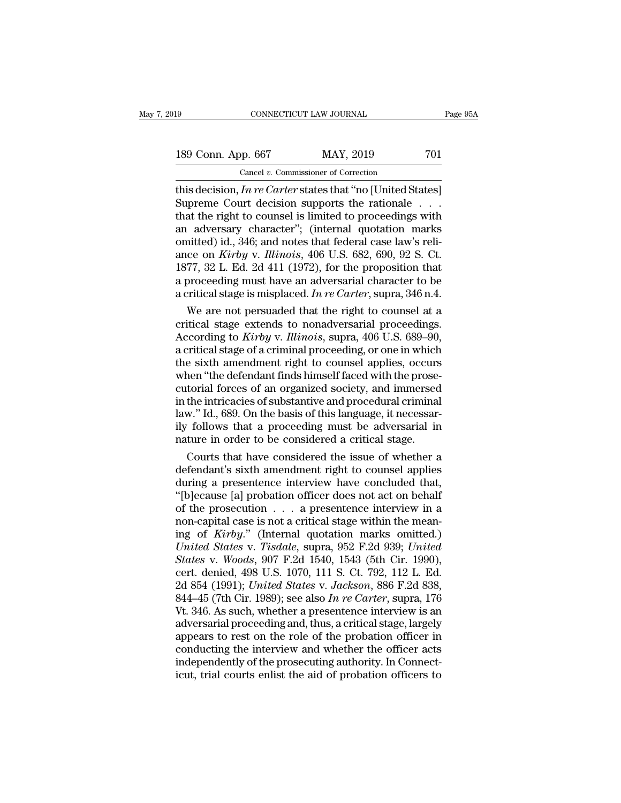189 CONNECTICUT LAW JOURNAL Page 95A<br>
189 Conn. App. 667 MAY, 2019 701<br>
Cancel v. Commissioner of Correction CONNECTICUT LAW JOURNAL<br>
pp. 667 MAY, 2019<br>
Cancel *v.* Commissioner of Correction<br>
In re Carter states that "no HInited St

This decision, *In re Carter* states that ''no [United States]<br>
Supreme Court decision supports the rationale . . .<br>
This decision, *In re Carter* states that ''no [United States]<br>
Supreme Court decision supports the ratio Supreme Court decision supports the rationale . . . 189 Conn. App. 667 MAY, 2019 701<br>
Cancel v. Commissioner of Correction<br>
this decision, *In re Carter* states that "no [United States]<br>
Supreme Court decision supports the rationale . . .<br>
that the right to counsel is limi 189 Conn. App. 667 MAY, 2019 701<br>
Cancel v. Commissioner of Correction<br>
this decision, *In re Carter* states that "no [United States]<br>
Supreme Court decision supports the rationale . . .<br>
that the right to counsel is limi 189 Conn. App. 667 MAY, 2019 701<br>
Cancel v. Commissioner of Correction<br>
this decision, *In re Carter* states that "no [United States]<br>
Supreme Court decision supports the rationale ...<br>
that the right to counsel is limite Cancel *v.* Commissioner of Correction<br>
this decision, *In re Carter* states that "no [United States]<br>
Supreme Court decision supports the rationale . . .<br>
that the right to counsel is limited to proceedings with<br>
an adver this decision, *In re Carter* states that "no [United States]<br>Supreme Court decision supports the rationale . . .<br>that the right to counsel is limited to proceedings with<br>an adversary character"; (internal quotation marks Supreme Court decision supports the rationale . . . .<br>that the right to counsel is limited to proceedings with<br>an adversary character"; (internal quotation marks<br>omitted) id., 346; and notes that federal case law's reli-<br> that the right to counsel is limited to proceedings with<br>an adversary character"; (internal quotation marks<br>omitted) id., 346; and notes that federal case law's reli-<br>ance on *Kirby* v. *Illinois*, 406 U.S. 682, 690, 92 S. adversary character"; (internal quotation marks<br>nitted) id., 346; and notes that federal case law's reli-<br>ce on *Kirby* v. *Illinois*, 406 U.S. 682, 690, 92 S. Ct.<br>77, 32 L. Ed. 2d 411 (1972), for the proposition that<br>pro omitted) id., 346; and notes that federal case law's reli-<br>ance on *Kirby* v. *Illinois*, 406 U.S. 682, 690, 92 S. Ct.<br>1877, 32 L. Ed. 2d 411 (1972), for the proposition that<br>a proceeding must have an adversarial characte

ance on *Kirby* v. *Illinois*, 406 U.S. 682, 690, 92 S. Ct.<br>1877, 32 L. Ed. 2d 411 (1972), for the proposition that<br>a proceeding must have an adversarial character to be<br>a critical stage is misplaced. *In re Carter*, supra 1877, 32 L. Ed. 2d 411 (1972), for the proposition that<br>a proceeding must have an adversarial character to be<br>a critical stage is misplaced. In re Carter, supra, 346 n.4.<br>We are not persuaded that the right to counsel at a proceeding must have an adversarial character to be<br>a critical stage is misplaced. In re Carter, supra, 346 n.4.<br>We are not persuaded that the right to counsel at a<br>critical stage extends to nonadversarial proceedings.<br> a critical stage is misplaced. In re Carter, supra, 346 n.4.<br>We are not persuaded that the right to counsel at a<br>critical stage extends to nonadversarial proceedings.<br>According to *Kirby v. Illinois*, supra, 406 U.S. 689– We are not persuaded that the right to counsel at a<br>critical stage extends to nonadversarial proceedings.<br>According to *Kirby* v. *Illinois*, supra, 406 U.S. 689–90,<br>a critical stage of a criminal proceeding, or one in whi critical stage extends to nonadversarial proceedings.<br>According to *Kirby* v. *Illinois*, supra, 406 U.S. 689–90,<br>a critical stage of a criminal proceeding, or one in which<br>the sixth amendment right to counsel applies, occ According to *Kirby* v. *Illinois*, supra, 406 U.S. 689–90,<br>a critical stage of a criminal proceeding, or one in which<br>the sixth amendment right to counsel applies, occurs<br>when "the defendant finds himself faced with the p a critical stage of a criminal proceeding, or one in which<br>the sixth amendment right to counsel applies, occurs<br>when "the defendant finds himself faced with the prose-<br>cutorial forces of an organized society, and immersed<br> the sixth amendment right to counsel applies, occurs<br>when "the defendant finds himself faced with the prose-<br>cutorial forces of an organized society, and immersed<br>in the intricacies of substantive and procedural criminal<br>l nen "the defendant finds himself faced with the prose-<br>torial forces of an organized society, and immersed<br>the intricacies of substantive and procedural criminal<br>w." Id., 689. On the basis of this language, it necessar-<br>fo cutorial forces of an organized society, and immersed<br>in the intricacies of substantive and procedural criminal<br>law." Id., 689. On the basis of this language, it necessar-<br>ily follows that a proceeding must be adversarial

in the intricacies of substantive and procedural criminal<br>law." Id., 689. On the basis of this language, it necessar-<br>ily follows that a proceeding must be adversarial in<br>nature in order to be considered a critical stage.<br> law." Id., 689. On the basis of this language, it necessarily follows that a proceeding must be adversarial in nature in order to be considered a critical stage.<br>Courts that have considered the issue of whether a defendant ily follows that a proceeding must be adversarial in<br>nature in order to be considered a critical stage.<br>Courts that have considered the issue of whether a<br>defendant's sixth amendment right to counsel applies<br>during a pres nature in order to be considered a critical stage.<br>Courts that have considered the issue of whether a defendant's sixth amendment right to counsel applies during a presentence interview have concluded that, "[b]ecause [a] Courts that have considered the issue of whether a<br>defendant's sixth amendment right to counsel applies<br>during a presentence interview have concluded that,<br>"[b]ecause [a] probation officer does not act on behalf<br>of the pro defendant's sixth amendment right to counsel applies<br>during a presentence interview have concluded that,<br>"[b]ecause [a] probation officer does not act on behalf<br>of the prosecution . . . a presentence interview in a<br>non-cap during a presentence interview have concluded that,<br>
"[b]ecause [a] probation officer does not act on behalf<br>
of the prosecution . . . a presentence interview in a<br>
non-capital case is not a critical stage within the mean-"[b]ecause [a] probation officer does not act on behalf<br>of the prosecution  $\ldots$  a presentence interview in a<br>non-capital case is not a critical stage within the mean-<br>ing of *Kirby.*" (Internal quotation marks omitted.)<br> of the prosecution . . . a presentence interview in a<br>non-capital case is not a critical stage within the mean-<br>ing of *Kirby.*" (Internal quotation marks omitted.)<br>*United States* v. *Tisdale*, supra, 952 F.2d 939; *Unite* non-capital case is not a critical stage within the mean-<br>ing of *Kirby.*" (Internal quotation marks omitted.)<br>*United States v. Tisdale*, supra, 952 F.2d 939; *United*<br>*States v. Woods*, 907 F.2d 1540, 1543 (5th Cir. 1990 ing of *Kirby.*" (Internal quotation marks omitted.)<br>
United States v. Tisdale, supra, 952 F.2d 939; United<br>
States v. Woods, 907 F.2d 1540, 1543 (5th Cir. 1990),<br>
cert. denied, 498 U.S. 1070, 111 S. Ct. 792, 112 L. Ed.<br>
2 United States v. Tisdale, supra, 952 F.2d 939; United<br>States v. Woods, 907 F.2d 1540, 1543 (5th Cir. 1990),<br>cert. denied, 498 U.S. 1070, 111 S. Ct. 792, 112 L. Ed.<br>2d 854 (1991); United States v. Jackson, 886 F.2d 838,<br>844 States v. Woods, 907 F.2d 1540, 1543 (5th Cir. 1990),<br>cert. denied, 498 U.S. 1070, 111 S. Ct. 792, 112 L. Ed.<br>2d 854 (1991); *United States v. Jackson*, 886 F.2d 838,<br>844–45 (7th Cir. 1989); see also *In re Carter*, supra, cert. denied, 498 U.S. 1070, 111 S. Ct. 792, 112 L. Ed.<br>2d 854 (1991); *United States v. Jackson*, 886 F.2d 838,<br>844–45 (7th Cir. 1989); see also *In re Carter*, supra, 176<br>Vt. 346. As such, whether a presentence interview 2d 854 (1991); *United States v. Jackson*, 886 F.2d 838, 844–45 (7th Cir. 1989); see also *In re Carter*, supra, 176 Vt. 346. As such, whether a presentence interview is an adversarial proceeding and, thus, a critical sta 844–45 (7th Cir. 1989); see also *In re Carter*, supra, 176 Vt. 346. As such, whether a presentence interview is an adversarial proceeding and, thus, a critical stage, largely appears to rest on the role of the probation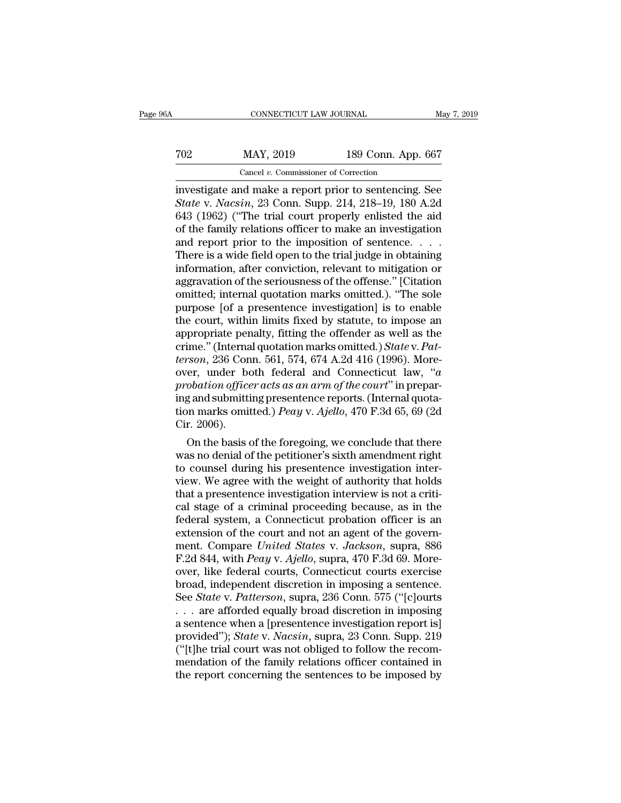## CONNECTICUT LAW JOURNAL May 7, 2019<br>
702 MAY, 2019 189 Conn. App. 667<br>
Cancel v. Commissioner of Correction CONNECTICUT LAW JOURNAL<br>MAY, 2019 189 Conn. App<br>Cancel *v*. Commissioner of Correction<br>and make a report prior to sentencing

CONNECTICUT LAW JOURNAL May 7, 2019<br>
TO2 MAY, 2019 189 Conn. App. 667<br>
Cancel v. Commissioner of Correction<br>
investigate and make a report prior to sentencing. See<br>
State v. Nacsin, 23 Conn. Supp. 214, 218–19, 180 A.2d<br>
64 *State v. Nacsin*, 2019 *State v. Commissioner of Correction*<br> *State v. Nacsin*, 23 Conn. Supp. 214, 218–19, 180 A.2d (1962) ("The trial court properly enlisted the aid of the family relations officer to make an investiga 702 MAY, 2019 189 Conn. App. 667<br>
Cancel v. Commissioner of Correction<br>
investigate and make a report prior to sentencing. See<br> *State* v. *Nacsin*, 23 Conn. Supp. 214, 218–19, 180 A.2d<br>
643 (1962) ("The trial court prope To the family relationship in the family relation of the family relations of the family relations of the family relations of ficer to make an investigation and report prior to the imposition of sentence.  $\ldots$  The family Cancel v. Commissioner of Correction<br>investigate and make a report prior to sentencing. See<br>State v. Nacsin, 23 Conn. Supp. 214, 218–19, 180 A.2d<br>643 (1962) ("The trial court properly enlisted the aid<br>of the family relati Cancel v. Commissioner of Correction<br>investigate and make a report prior to sentencing. See<br>State v. Nacsin, 23 Conn. Supp. 214, 218–19, 180 A.2d<br>643 (1962) ("The trial court properly enlisted the aid<br>of the family relati investigate and make a report prior to sentencing. See<br>State v. Nacsin, 23 Conn. Supp. 214, 218–19, 180 A.2d<br>643 (1962) ("The trial court properly enlisted the aid<br>of the family relations officer to make an investigation<br>a State v. Nacsin, 23 Conn. Supp. 214, 218–19, 180 A.2d 643 (1962) ("The trial court properly enlisted the aid of the family relations officer to make an investigation and report prior to the imposition of sentence.  $\ldots$ . 643 (1962) ("The trial court properly enlisted the aid<br>of the family relations officer to make an investigation<br>and report prior to the imposition of sentence. . . . .<br>There is a wide field open to the trial judge in obta of the family relations officer to make an investigation<br>and report prior to the imposition of sentence. . . .<br>There is a wide field open to the trial judge in obtaining<br>information, after conviction, relevant to mitigati and report prior to the imposition of sentence. . . . . There is a wide field open to the trial judge in obtaining<br>information, after conviction, relevant to mitigation or<br>aggravation of the seriousness of the offense." [ There is a wide field open to the trial judge in obtaining<br>information, after conviction, relevant to mitigation or<br>aggravation of the seriousness of the offense." [Citation<br>omitted; internal quotation marks omitted.). "T information, after conviction, relevant to mitigation or aggravation of the seriousness of the offense." [Citation omitted; internal quotation marks omitted.). "The sole purpose [of a presentence investigation] is to enabl aggravation of the seriousness of the offense." [Citation omitted; internal quotation marks omitted.). "The sole purpose [of a presentence investigation] is to enable the court, within limits fixed by statute, to impose an omitted; internal quotation marks omitted.). "The sole<br>purpose [of a presentence investigation] is to enable<br>the court, within limits fixed by statute, to impose an<br>appropriate penalty, fitting the offender as well as the<br> purpose [of a presentence investigation] is to enable<br>the court, within limits fixed by statute, to impose an<br>appropriate penalty, fitting the offender as well as the<br>crime." (Internal quotation marks omitted.) *State v. P* the court, within limits fixed by statute, to impose an appropriate penalty, fitting the offender as well as the crime." (Internal quotation marks omitted.) *State* v. *Patterson*, 236 Conn. 561, 574, 674 A.2d 416 (1996). appropriate penalty, fitting the offender as well as the crime." (Internal quotation marks omitted.) *State* v. *Patterson*, 236 Conn. 561, 574, 674 A.2d 416 (1996). Moreover, under both federal and Connecticut law, "a pro crime." (Interna<br>*terson*, 236 Con<br>over, under be<br>*probation office*<br>ing and submitti<br>tion marks omit<br>Cir. 2006).<br>On the basis o *rson*, 236 Conn. 561, 574, 674 A.2d 416 (1996). More-<br>er, under both federal and Connecticut law, "*a*<br>obation officer acts as an arm of the court" in prepar-<br>g and submitting presentence reports. (Internal quota-<br>nn mar over, under both federal and Connecticut law, "*a*<br>probation officer acts as an arm of the court" in prepar-<br>ing and submitting presentence reports. (Internal quota-<br>tion marks omitted.) *Peay* v. Ajello, 470 F.3d 65, 69

probation officer acts as an arm of the court" in preparing and submitting presentence reports. (Internal quotation marks omitted.) Peay v. Ajello, 470 F.3d 65, 69 (2d Cir. 2006).<br>On the basis of the foregoing, we conclude ing and submitting presentence reports. (internal quotation marks omitted.) *Peay* v. Ajello, 470 F.3d 65, 69 (2d Cir. 2006).<br>
On the basis of the foregoing, we conclude that there was no denial of the petitioner's sixth tion marks omitted.) *Peay* v. *Ajello*, 470 F.3d 65, 69 (2d Cir. 2006).<br>
On the basis of the foregoing, we conclude that there<br>
was no denial of the petitioner's sixth amendment right<br>
to counsel during his presentence i Cir. 2006).<br>
On the basis of the foregoing, we conclude that there<br>
was no denial of the petitioner's sixth amendment right<br>
to counsel during his presentence investigation inter-<br>
view. We agree with the weight of authori On the basis of the foregoing, we conclude that there<br>was no denial of the petitioner's sixth amendment right<br>to counsel during his presentence investigation inter-<br>view. We agree with the weight of authority that holds<br>th was no denial of the petitioner's sixth amendment right<br>to counsel during his presentence investigation inter-<br>view. We agree with the weight of authority that holds<br>that a presentence investigation interview is not a cri to counsel during his presentence investigation inter-<br>view. We agree with the weight of authority that holds<br>that a presentence investigation interview is not a criti-<br>cal stage of a criminal proceeding because, as in the view. We agree with the weight of authority that holds<br>that a presentence investigation interview is not a criti-<br>cal stage of a criminal proceeding because, as in the<br>federal system, a Connecticut probation officer is an<br> that a presentence investigation interview is not a critical stage of a criminal proceeding because, as in the federal system, a Connecticut probation officer is an extension of the court and not an agent of the government cal stage of a criminal proceeding because, as in the<br>federal system, a Connecticut probation officer is an<br>extension of the court and not an agent of the govern-<br>ment. Compare United States v. Jackson, supra, 886<br>F.2d 844 federal system, a Connecticut probation officer is an extension of the court and not an agent of the government. Compare *United States v. Jackson*, supra, 886 F.2d 844, with *Peay v. Ajello*, supra, 470 F.3d 69. Moreover, extension of the court and not an agent of the government. Compare *United States v. Jackson*, supra, 886<br>F.2d 844, with *Peay v. Ajello*, supra, 470 F.3d 69. More-<br>over, like federal courts, Connecticut courts exercise<br>br ment. Compare *United States* v. Jackson, supra, 886<br>F.2d 844, with *Peay* v. Ajello, supra, 470 F.3d 69. More-<br>over, like federal courts, Connecticut courts exercise<br>broad, independent discretion in imposing a sentence.<br>S F.2d 844, with *Peay* v. *Ajello*, supra, 470 F.3d 69. More-<br>over, like federal courts, Connecticut courts exercise<br>broad, independent discretion in imposing a sentence.<br>See *State* v. *Patterson*, supra, 236 Conn. 575 ("[ over, like federal courts, Connecticut courts exercise<br>broad, independent discretion in imposing a sentence.<br>See *State v. Patterson*, supra, 236 Conn. 575 ("[c]ourts<br>... are afforded equally broad discretion in imposing<br>a broad, independent discretion in imposing a sentence.<br>See *State* v. *Patterson*, supra, 236 Conn. 575 ("[c]ourts<br>... are afforded equally broad discretion in imposing<br>a sentence when a [presentence investigation report i See *State* v. *Patterson*, supra, 236 Conn. 575 ("[c]ourts . . . are afforded equally broad discretion in imposing a sentence when a [presentence investigation report is] provided"); *State* v. *Nacsin*, supra, 23 Conn.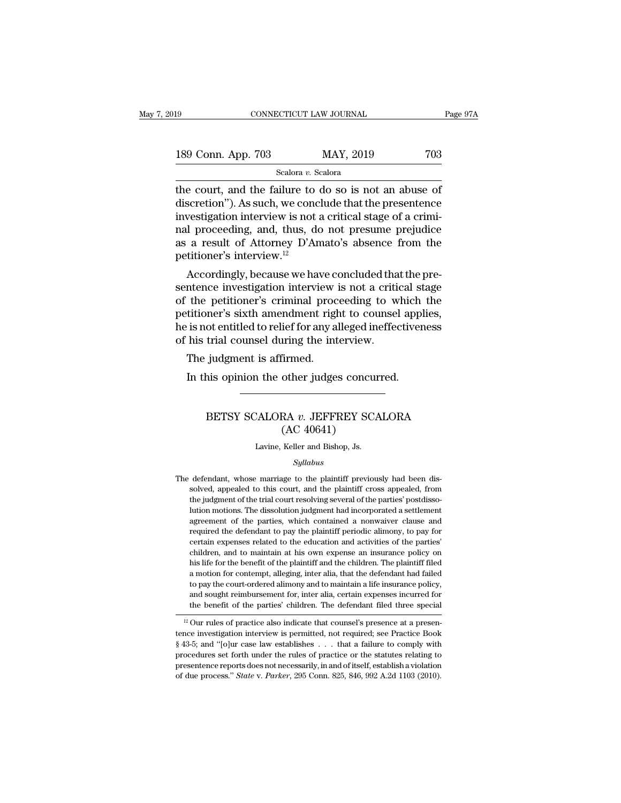| 19                 | CONNECTICUT LAW JOURNAL |           | Page 97A |  |
|--------------------|-------------------------|-----------|----------|--|
| 189 Conn. App. 703 |                         | MAY, 2019 | 703      |  |
|                    | Scalora v. Scalora      |           |          |  |

the court, and the failure to do so is not an abuse of<br>  $\frac{\text{Sledora } v. \text{ Scalar}}{\text{Scolora } v. \text{ Scalar}}$ <br>  $\frac{\text{Scolora } v. \text{ Scalar}}{\text{Ccolor}}$ <br>  $\frac{\text{Ccolor}}{\text{discretion}}$ . As such, we conclude that the presentence<br>  $\frac{\text{invection}}{\text{inactivation}}$ 189 Conn. App. 703 MAY, 2019 703<br>Scalora v. Scalora<br>the court, and the failure to do so is not an abuse of discretion''). As such, we conclude that the presentence<br>investigation interview is not a critical stage of a crimi 189 Conn. App. 703 MAY, 2019 703<br>
Scalora v. Scalora<br>
the court, and the failure to do so is not an abuse of<br>
discretion"). As such, we conclude that the presentence<br>
investigation interview is not a critical stage of a c 189 Conn. App. 703 MAY, 2019 703<br>
Scalora *v*. Scalora<br>
the court, and the failure to do so is not an abuse of<br>
discretion"). As such, we conclude that the presentence<br>
investigation interview is not a critical stage of a Scalora *v*. Scalora<br>
absoluting the court, and the failure to do so is not an abuse of<br>
discretion"). As such, we conclude that the presentence<br>
investigation interview is not a critical stage of a crimi-<br>
ranal proceedi scalora *v*. s<br>the court, and the failure to<br>discretion"). As such, we conce<br>investigation interview is not<br>nal proceeding, and, thus, do<br>as a result of Attorney D'Ar<br>petitioner's interview.<sup>12</sup><br>Accordingly, because we ha E court, and the failure to do so is not an abuse of<br>scretion"). As such, we conclude that the presentence<br>vestigation interview is not a critical stage of a crimi-<br>I proceeding, and, thus, do not presume prejudice<br>a resul diversity in the conclude that the presentence<br>investigation interview is not a critical stage of a crimi-<br>nal proceeding, and, thus, do not presume prejudice<br>as a result of Attorney D'Amato's absence from the<br>petitioner's

mvesugation interview is not a critical stage of a critici-<br>nal proceeding, and, thus, do not presume prejudice<br>as a result of Attorney D'Amato's absence from the<br>petitioner's interview.<sup>12</sup><br>Accordingly, because we have co ral proceeding, and, thus, do not presume prejudice<br>as a result of Attorney D'Amato's absence from the<br>petitioner's interview.<sup>12</sup><br>Accordingly, because we have concluded that the pre-<br>sentence investigation interview is no as a result of Attorney D Amato's absence from the<br>petitioner's interview.<sup>12</sup><br>Accordingly, because we have concluded that the pre-<br>sentence investigation interview is not a critical stage<br>of the petitioner's criminal pro petitioner's interview.<br>
Accordingly, because we have concluded tha<br>
sentence investigation interview is not a crition<br>
of the petitioner's criminal proceeding to w<br>
petitioner's sixth amendment right to counsel<br>
he is not Accordingly, because we have contended interview the petitioner's criminal production interview the petitioner's sixth amendment right is not entitled to relief for any at his trial counsel during the intervals of the judg In the petitioner's criminal proceeding to which<br>Intitioner's sixth amendment right to counsel apple<br>is not entitled to relief for any alleged ineffectiver<br>his trial counsel during the interview.<br>The judgment is affirmed.<br>

### %trial counsel during the interview.<br>
judgment is affirmed.<br>
his opinion the other judges concurred.<br>
BETSY SCALORA *v.* JEFFREY SCALORA<br>
(AC 40641) Firmed.<br>
other judges concu<br>
RA v. JEFFREY SC<br>
(AC 40641)<br>
Keller and Bishop, Js. BETSY SCALORA *v*. JEFFREY SCALORA<br>(AC 40641)<br>Lavine, Keller and Bishop, Js.

### *Syllabus*

The defendant, whose marriage to the plaintiff previously had been dis-<br>solved, appealed to this court, and the plaintiff cross appealed, from  $(AC 40641)$ <br>Lavine, Keller and Bishop, Js.<br> $Syllabus$ <br>defendant, whose marriage to the plaintiff previously had been dis-<br>solved, appealed to this court, and the plaintiff cross appealed, from<br>the judgment of the trial court Lavine, Keller and Bishop, Js.<br>
Syllabus<br>
defendant, whose marriage to the plaintiff previously had been dis-<br>
solved, appealed to this court, and the plaintiff cross appealed, from<br>
the judgment of the trial court resolvi Syllabus<br>
Syllabus<br>
defendant, whose marriage to the plaintiff previously had been dis-<br>
solved, appealed to this court, and the plaintiff cross appealed, from<br>
the judgment of the trial court resolving several of the part *Syllabus*<br>defendant, whose marriage to the plaintiff previously had been dis-<br>solved, appealed to this court, and the plaintiff cross appealed, from<br>the judgment of the trial court resolving several of the parties' postdi defendant, whose marriage to the plaintiff previously had been dissolved, appealed to this court, and the plaintiff cross appealed, from the judgment of the trial court resolving several of the parties' postdissolution mot solved, appealed to this court, and the plaintiff cross appealed, from<br>the judgment of the trial court resolving several of the parties' postdisso-<br>lution motions. The dissolution judgment had incorporated a settlement<br>agr solved, appeared to this court, and the plantinit cross appeared, non-<br>the judgment of the trial court resolving several of the parties' postdisso-<br>lution motions. The dissolution judgment had incorporated a settlement<br>agr are judgment of the land courtesoring several of the plattes possumes<br>his lution motions. The dissolution judgment had incorporated a settlement<br>agreement of the parties, which contained a nonwaiver clause and<br>required the a motion for contempt, alleging, inter alia, that the defendant had recorded a set aliad required the defendant to pay the plaintiff periodic alimony, to pay for certain expenses related to the education and activities of depred the defendant to pay the plaintiff periodic alimony, to pay for certain expenses related to the education and activities of the parties' children, and to maintain at his own expense an insurance policy on his life f required are determined to pay the plantari periodic dimitory, so pay for<br>certain expenses related to the education and activities of the parties'<br>children, and to maintain at his own expense an insurance policy on<br>his lif the benefit of the parties' children. The plaintiff filed a motion for contempt, alleging, inter alia, that the defendant had failed to pay the court-ordered alimony and to maintain a life insurance policy, and sought reim a motion for contempt, alleging, inter alia, that the defendant had failed<br>to pay the court-ordered alimony and to maintain a life insurance policy,<br>and sought reimbursement for, inter alia, certain expenses incurred for<br>

to pay the court-ordered almony and to maintain a life insurance policy,<br>and sought reimbursement for, inter alia, certain expenses incurred for<br>the benefit of the parties' children. The defendant filed three special<br> $\frac{$ and sought reimbursement for, inter alia, certain expenses incurred for<br>the benefit of the parties' children. The defendant filed three special<br> $\frac{12}{2}$  Our rules of practice also indicate that counsel's presence at a p the benefit of the parties' children. The detendant filed three special<br><sup>12</sup> Our rules of practice also indicate that counsel's presence at a presentence investigation interview is permitted, not required; see Practice Bo <sup>12</sup> Our rules of practice also indicate that counsel's presence at a presentence investigation interview is permitted, not required; see Practice Book § 43-5; and "[o]ur case law establishes . . . that a failure to compl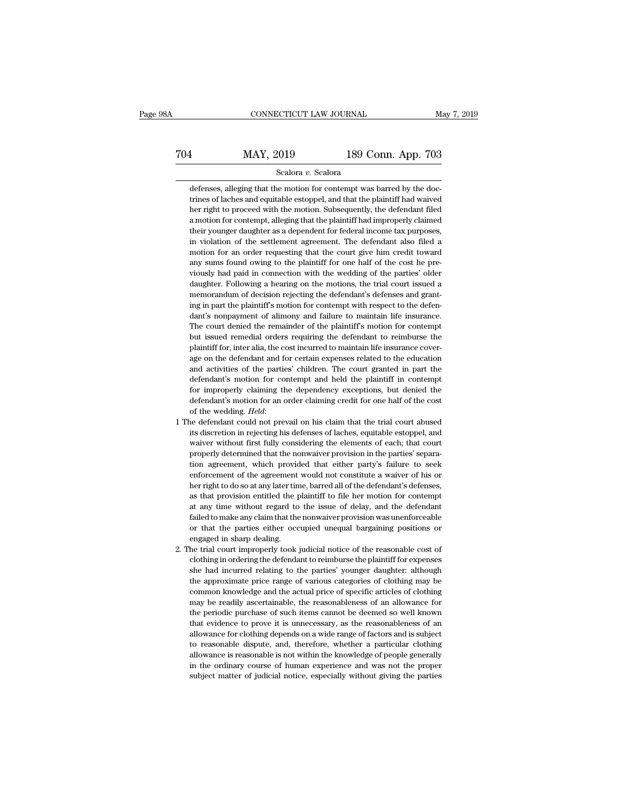# EXECUTE CONNECTICUT LAW JOURNAL May 7, 2019<br>
704 MAY, 2019 189 Conn. App. 703<br>
Scalora v. Scalora

### Scalora *v.* Scalora

 $\begin{array}{r} \hline \text{704} \text{189 Conn. App. 703} \\ \hline \text{5calora } v. \text{ Scalar} \\ \hline \text{defenses, alleging that the motion for content was barred by the doc-  
trines of laches and equitable estoppel, and that the plaintiff had waved  
her right to proceed with the motion. Subsequently, the defendant filed$ MAY, 2019 189 Conn. App. 703<br>Scalora v. Scalora<br>defenses, alleging that the motion for contempt was barred by the doctrines of laches and equitable estoppel, and that the plaintiff had waived<br>her right to proceed with the her right to proceed with the motion for contempt was barred by the doctrines of laches and equitable estoppel, and that the plaintiff had waived ther right to proceed with the motion. Subsequently, the defendant filed a m  ${\bf S}$  defenses, alleging that the motion for contempt was barred by the doctrines of laches and equitable estoppel, and that the plaintiff had waived ther right to proceed with the motion. Subsequently, the defendant fil Scalora  $v$ . Scalora<br>defenses, alleging that the motion for contempt was barred by the doc-<br>trines of laches and equitable estoppel, and that the plaintiff had waived<br>her right to proceed with the motion. Subsequently, th defenses, alleging that the motion for contempt was barred by the doctrines of laches and equitable estoppel, and that the plaintiff had waived her right to proceed with the motion. Subsequently, the defendant filed a moti trines of laches and equitable estoppel, and that the plaintiff had waived<br>her right to proceed with the motion. Subsequently, the defendant filed<br>a motion for contempt, alleging that the plaintiff had improperly claimed<br>t any sums found owing the method. Subsequently, the defendant filed her right to proceed with the motion. Subsequently, the defendant filed a motion for contempt, alleging that the plaintiff had improperly claimed their you a motion for contempt, alleging that the plaintiff had improperly claimed<br>their younger daughter as a dependent for federal income tax purposes,<br>in violation of the settlement agreement. The defendant also filed a<br>motion f their younger daughter as a dependent for federal income tax purposes, in violation of the settlement agreement. The defendant also filed a motion for an order requesting that the court give him credit toward any sums foun memorandum of the settlement agreement. The defendant also filed a motion for an order requesting that the court give him credit toward any sums found owing to the plaintiff for one half of the cost he previously had paid motion for an order requesting that the court give him credit toward<br>any sums found owing to the plaintiff for one half of the cost he pre-<br>viously had paid in connection with the wedding of the parties' older<br>daughter. Fo any sums found owing to the plaintiff for one half of the cost he previously had paid in connection with the wedding of the parties' older daughter. Following a hearing on the motions, the trial court issued a memorandum o wiously had paid in connection with the wedding of the parties' older daughter. Following a hearing on the motions, the trial court issued a memorandum of decision rejecting the defendant's defenses and granting in part th but issued remember and the methods, the trial court issued a memorandum of decision rejecting the defendant's defenses and granting in part the plaintiff's motion for contempt with respect to the defendant's nonpayment of memorandum of decision rejecting the defendant's defenses and granting in part the plaintiff's motion for contempt with respect to the defendant's nonpayment of alimony and failure to maintain life insurance. The court den ing in part the plaintiff's motion for contempt with respect to the defendant's nonpayment of alimony and failure to maintain life insurance.<br>The court denied the remainder of the plaintiff's motion for contempt<br>but issued and activities of all mony and failure to maintain life insurance.<br>The court denied the remainder of the plaintiff's motion for contempt<br>but issued remedial orders requiring the defendant to reimburse the<br>plaintiff for, in The court denied the remainder of the plaintiff's motion for contempt<br>but issued remedial orders requiring the defendant to reimburse the<br>plaintiff for, inter alia, the cost incurred to maintain life insurance cover-<br>age o For improperly claiming the defendant to reimburse the but issued remedial orders requiring the defendant to reimburse the plaintiff for, inter alia, the cost incurred to maintain life insurance coverage on the defendant a between the paintiff for, inter alia, the cost reurred to maintain life insurance cover-<br>age on the defendant and for certain expenses related to the education<br>and activities of the parties' children. The court granted in age on the defendant and for certain expenses related to the education<br>and activities of the parties' children. The court granted in part the<br>defendant's motion for contempt and held the plaintiff in contempt<br>for improperl defendant's motion for contempt and held the plaintiff in contempt<br>for improperly claiming the dependency exceptions, but denied the<br>defendant's motion for an order claiming credit for one half of the cost<br>of the wedding.

- for improperly claiming the dependency exceptions, but denied the defendant's motion for an order claiming credit for one half of the cost of the wedding. *Held*: we defendant could not prevail on his claim that the trial properly determined that the nonwaiver provision in the non-<br>defendant's motion for an order claiming credit for one half of the cost<br>of the wedding. *Held*:<br>the defendant could not prevail on his claim that the trial cour of the wedding. *Held*:<br>of the wedding. *Held*:<br>e defendant could not prevail on his claim that the trial court abused<br>its discretion in rejecting his defenses of laches, equitable estoppel, and<br>waiver without first fully enforcement of the defendant could not prevail on his claim that the trial court abused<br>its discretion in rejecting his defenses of laches, equitable estoppel, and<br>waiver without first fully considering the elements of eac its discretion in rejecting his defenses of laches, equitable estoppel, and waiver without first fully considering the elements of each; that court properly determined that the nonwaiver provision in the parties' separatio as that provision entirely considering the elements of each; that court<br>properly determined that the nonwaiver provision in the parties' separa-<br>tion agreement, which provided that either party's failure to seek<br>enforcemen at any time without regard to the issue of delay, and the defendant construction agreement, which provided that either party's failure to seek enforcement of the agreement would not constitute a waiver of his or her right failure to make any claim that be provided that either party's failure to seek enforcement of the agreement would not constitute a waiver of his or her right to do so at any later time, barred all of the defendant's defens enforcement of the agreement would not constitute a waiver of his or<br>her right to do so at any later time, barred all of the defendant's defenses,<br>as that provision entitled the plaintiff to file her motion for contempt<br>at her right to do so at any later tin<br>as that provision entitled the  $\mu$ <br>at any time without regard to<br>failed to make any claim that the<br>or that the parties either occ<br>engaged in sharp dealing.<br>he trial court improperly too 2. The trial court improperly took judicial notice of the reasonable cost of clothing in ordering the defendant failed to make any claim that the nonwaiver provision was unenforceable or that the parties either occupied un at any time without regard to the issue of delay, and the defendant failed to make any claim that the nonwaiver provision was unenforceable or that the parties either occupied unequal bargaining positions or engaged in sha
- she had incurred relating to the parties' younger daughter: although that the parties either occupied unequal bargaining positions or engaged in sharp dealing.<br>The trial court improperly took judicial notice of the reasona For that the parties either occupied unequal bargaining positions or<br>engaged in sharp dealing.<br>he trial court improperly took judicial notice of the reasonable cost of<br>clothing in ordering the defendant to reimburse the pl engaged in sharp dealing.<br>
engaged in sharp dealing.<br>
he trial court improperly took judicial notice of the reasonable cost of<br>
clothing in ordering the defendant to reimburse the plaintiff for expenses<br>
she had incurred r ength are trial court improperly took judicial notice of the reasonable cost of clothing in ordering the defendant to reimburse the plaintiff for expenses she had incurred relating to the parties' younger daughter: althoug the distinct and interpret in the periodic control elothing in ordering the definiant to reimburse the plaintiff for expenses she had incurred relating to the parties' younger daughter: although the approximate price range she had incurred relating to the parties' younger daughter: although<br>the approximate price range of various categories of clothing may be<br>common knowledge and the actual price of specific articles of clothing<br>may be readil allowance for clothing depends on a wide range of clothing may be common knowledge and the actual price of specific articles of clothing may be common knowledge and the actual price of specific articles of clothing may be the university and the actual price of specific articles of clothing<br>may be readily ascertainable, the reasonableness of an allowance for<br>the periodic purchase of such items cannot be deemed so well known<br>that evidence to may be readily ascertainable, the reasonableness of an allowance for the periodic purchase of such items cannot be deemed so well known that evidence to prove it is unnecessary, as the reasonableness of an allowance for cl in the periodic purchase of such items cannot be deemed so well known<br>that evidence to prove it is unnecessary, as the reasonableness of an<br>allowance for clothing depends on a wide range of factors and is subject<br>to reason subject matter of publiscial notice, especially without giving the parties and is subject to reasonable dispute, and, therefore, whether a particular clothing allowance is reasonable is not within the knowledge of people g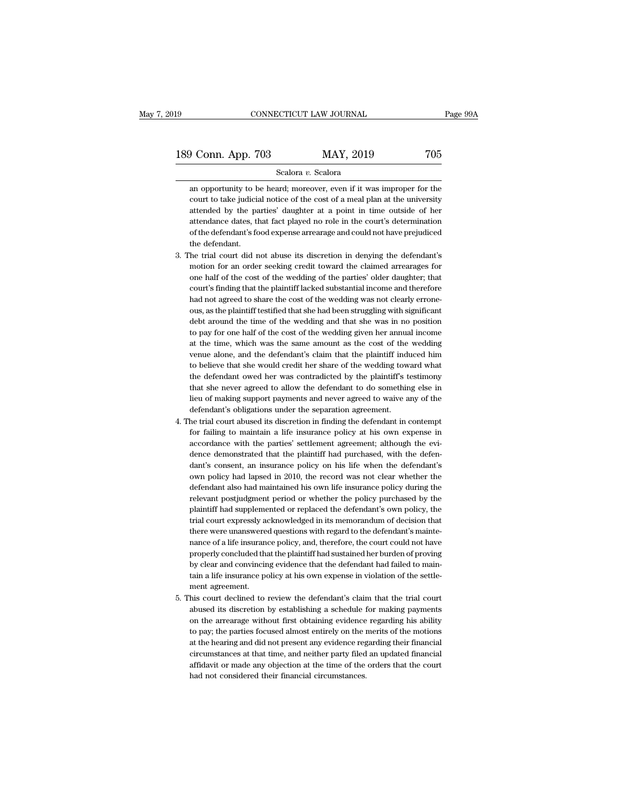### Scalora *v.* Scalora

an opportunity to be heard; moreover, even if it was improper for the court to take judicial notice of the cost of a meal plan at the university Conn. App. 703 MAY, 2019 705<br>Scalora v. Scalora<br>an opportunity to be heard; moreover, even if it was improper for the<br>court to take judicial notice of the cost of a meal plan at the university<br>attended by the parties' daug **attended by the parties'** daughter at a point in time outside of her attendance dates, that fact played no role in the court's determination attendance dates, that fact played no role in the court's determination Scalora  $v$ . Scalora<br>an opportunity to be heard; moreover, even if it was improper for the<br>court to take judicial notice of the cost of a meal plan at the university<br>attended by the parties' daughter at a point in time ou Scalora v. Scalora<br>an opportunity to be heard; moreover, even if it was improper for the<br>court to take judicial notice of the cost of a meal plan at the university<br>attended by the parties' daughter at a point in time outsi an opportunity to b<br>court to take judicia<br>attendance dates, the<br>attendance dates, the<br>of the defendant's fo<br>the defendant.<br>he trial court did r % court to take judicial notice of the cost of a meal plan at the university<br>attended by the parties' daughter at a point in time outside of her<br>attendance dates, that fact played no role in the court's determination<br>of th attended by the parties' daughter at a point in time outside of her attendance dates, that fact played no role in the court's determination of the defendant's food expense arrearage and could not have prejudiced the defend

- attendance dates, that fact played no role in the court's determination<br>of the defendant's food expense arrearage and could not have prejudiced<br>the defendant.<br>he trial court did not abuse its discretion in denying the defe of the defendant's food expense arrearage and could not have prejudiced<br>the defendant.<br>The trial court did not abuse its discretion in denying the defendant's<br>motion for an order seeking credit toward the claimed arrearage the defendant.<br>
he trial court did not abuse its discretion in denying the defendant's<br>
motion for an order seeking credit toward the claimed arrearages for<br>
one half of the cost of the wedding of the parties' older daught he trial court did not abuse its discretion in denying the defendant's<br>motion for an order seeking credit toward the claimed arrearages for<br>one half of the cost of the wedding of the parties' older daughter; that<br>court's f motion for an order seeking credit toward the claimed arrearages for<br>one half of the cost of the wedding of the parties' older daughter; that<br>court's finding that the plaintiff lacked substantial income and therefore<br>had n one half of the cost of the wedding of the parties' older daughter; that court's finding that the plaintiff lacked substantial income and therefore had not agreed to share the cost of the wedding was not clearly erroneous, court's finding that the plaintiff lacked substantial income and therefore had not agreed to share the cost of the wedding was not clearly erroneous, as the plaintiff testified that she had been struggling with significant had not agreed to share the cost of the wedding was not clearly errone-<br>ous, as the plaintiff testified that she had been struggling with significant<br>debt around the time of the wedding and that she was in no position<br>to p ous, as the plaintiff testified that she had been struggling with significant<br>debt around the time of the wedding and that she was in no position<br>to pay for one half of the cost of the wedding given her annual income<br>at th debt around the time of the wedding and that she was in no position<br>to pay for one half of the cost of the wedding given her annual income<br>at the time, which was the same amount as the cost of the wedding<br>venue alone, and to pay for one half of the cost of the wedding given her annual income<br>at the time, which was the same amount as the cost of the wedding<br>venue alone, and the defendant's claim that the plaintiff induced him<br>to believe that at the time, which was the same amount as the cost of the wedding<br>venue alone, and the defendant's claim that the plaintiff induced him<br>to believe that she would credit her share of the wedding toward what<br>the defendant ow venue alone, and the defendant's claim that the plaintiff ind<br>to believe that she would credit her share of the wedding tow<br>the defendant owed her was contradicted by the plaintiff's t<br>that she never agreed to allow the de to believe that she would credit her share of the wedding toward what<br>the defendant owed her was contradicted by the plaintiff's testimony<br>that she never agreed to allow the defendant to do something else in<br>lieu of making the defendant owed her was contradicted by the plaintiff's testimony<br>that she never agreed to allow the defendant to do something else in<br>lieu of making support payments and never agreed to waive any of the<br>defendant's obl
- that she never agreed to allow the defendant to do something else in<br>lieu of making support payments and never agreed to waive any of the<br>defendant's obligations under the separation agreement.<br>he trial court abused its di lieu of making support payments and never agreed to waive any of the defendant's obligations under the separation agreement.<br>he trial court abused its discretion in finding the defendant in contempt<br>for failing to maintain defendant's obligations under the separation agreement.<br>he trial court abused its discretion in finding the defendant in contempt<br>for failing to maintain a life insurance policy at his own expense in<br>accordance with the pa he trial court abused its discretion in finding the defendant in contempt<br>for failing to maintain a life insurance policy at his own expense in<br>accordance with the parties' settlement agreement; although the evi-<br>dence dem for failing to maintain a life insurance policy at his own expense in accordance with the parties' settlement agreement; although the evidence demonstrated that the plaintiff had purchased, with the defendant's consent, an accordance with the parties' settlement agreement; although the evi-<br>dence demonstrated that the plaintiff had purchased, with the defen-<br>dant's consent, an insurance policy on his life when the defendant's<br>own policy had dence demonstrated that the plaintiff had purchased, with the defendant's consent, an insurance policy on his life when the defendant's own policy had lapsed in 2010, the record was not clear whether the defendant also had dant's consent, an insurance policy on his life when the defendant's own policy had lapsed in 2010, the record was not clear whether the defendant also had maintained his own life insurance policy during the relevant postj own policy had lapsed in 2010, the record was not clear whether the defendant also had maintained his own life insurance policy during the relevant postjudgment period or whether the policy purchased by the plaintiff had s defendant also had maintained his own life insurance policy during the relevant postjudgment period or whether the policy purchased by the plaintiff had supplemented or replaced the defendant's own policy, the trial court relevant postjudgment period or whether the policy purchased by the plaintiff had supplemented or replaced the defendant's own policy, the trial court expressly acknowledged in its memorandum of decision that there were un plaintiff had supplemented or replaced the defendant's own policy, the trial court expressly acknowledged in its memorandum of decision that there were unanswered questions with regard to the defendant's maintenance of a l trial court expressly acknowledged in its memorandum of decision that<br>there were unanswered questions with regard to the defendant's mainte-<br>nance of a life insurance policy, and, therefore, the court could not have<br>proper there were unanswered questions with regard to the defendant's mainte-<br>nance of a life insurance policy, and, therefore, the court could not have<br>properly concluded that the plaintiff had sustained her burden of proving<br>by mance of a life insurance policy, and, therefore, the court could not have<br>properly concluded that the plaintiff had sustained her burden of proving<br>by clear and convincing evidence that the defendant had failed to main-<br>t properly concluded that the plaintiff had sustained her burden of proving<br>by clear and convincing evidence that the defendant had failed to main-<br>tain a life insurance policy at his own expense in violation of the settle-<br>
- by clear and convincing evidence that the defendant had failed to maintain a life insurance policy at his own expense in violation of the settlement agreement.<br>his court declined to review the defendant's claim that the tr tain a life insurance policy at his own expense in violation of the settlement agreement.<br>
his court declined to review the defendant's claim that the trial court<br>
abused its discretion by establishing a schedule for makin ment agreement.<br>
his court declined to review the defendant's claim that the trial court<br>
abused its discretion by establishing a schedule for making payments<br>
on the arrearage without first obtaining evidence regarding hi his court declined to review the defendant's claim that the trial court<br>abused its discretion by establishing a schedule for making payments<br>on the arrearage without first obtaining evidence regarding his ability<br>to pay; t abused its discretion by establishing a schedule for making payments<br>on the arrearage without first obtaining evidence regarding his ability<br>to pay; the parties focused almost entirely on the merits of the motions<br>at the h on the arrearage without first obtaining evidence<br>to pay; the parties focused almost entirely on the i<br>at the hearing and did not present any evidence reg<br>circumstances at that time, and neither party filed<br>affidavit or ma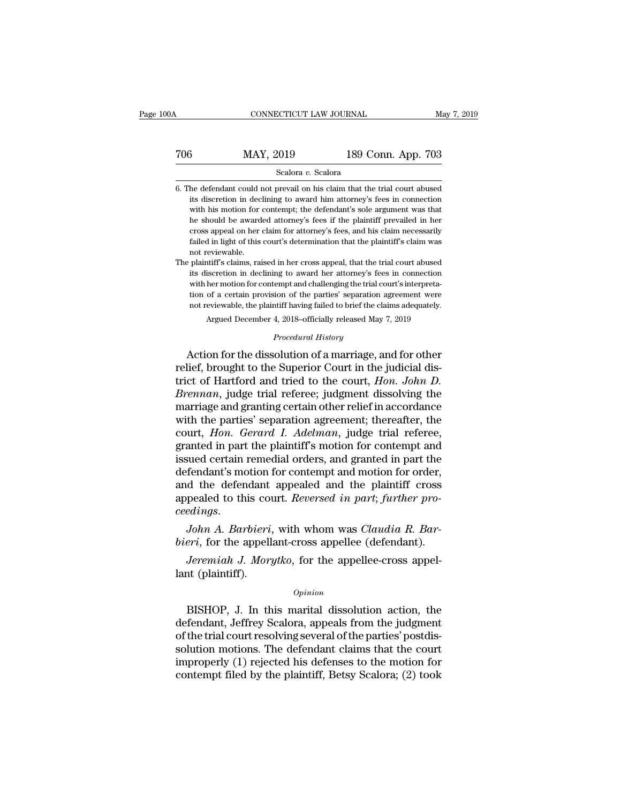### CONNECTICUT LAW JOURNAL May 7, 2019<br>
706 MAY, 2019 189 Conn. App. 703<br>
Scalora v. Scalora Scalora *v.* Scalora 189 Conn. App. 703<br>
Scalora v. Scalora<br>
6. The defendant could not prevail on his claim that the trial court abused<br>
its discretion in declining to award him attorney's fees in connection

its discretion in declining to award him attention in declining to award him attorney's fees in connection with his motion for contempt; the defendant's sole argument was that  $\frac{\text{MAP189} \text{Conn. App. 703}}{\text{Scalar } v. \text{ Scalar } v. \text{Scalar}}$ <br>
he defendant could not prevail on his claim that the trial court abused<br>
its discretion in declining to award him attorney's fees in connection<br>
with his motion for contempt; t Scalora v. Scalora<br>
he defendant could not prevail on his claim that the trial court abused<br>
its discretion in declining to award him attorney's fees in connection<br>
with his motion for contempt; the defendant's sole argume Scalora v. Scalora<br>he defendant could not prevail on his claim that the trial court abused<br>its discretion in declining to award him attorney's fees in connection<br>with his motion for contempt; the defendant's sole argument failed in light of this court abused its discretion in declining to award him attorney's fees in connection with his motion for contempt; the defendant's sole argument was that he should be awarded attorney's fees if the p not its discretion in declinities in the should be award cross appeal on her failed in light of this not reviewable.<br>Plaintiff's claims, raintiff's claims, raintiff's claims, raintiff's claims, raintiff's claims, raintiff' It with his motion for contempt; the defendant's sole argument was that he should be awarded attorney's fees if the plaintiff prevailed in her cross appeal on her claim for attorney's fees, and his claim necessarily failed its discretion in declining to award the plaintiff prevailed in her cross appeal on her claim for attorney's fees, and his claim necessarily failed in light of this court's determination that the plaintiff's claim was not

cross appeal on her claim for attorney's fees, and his claim necessarily<br>failed in light of this court's determination that the plaintiff's claim was<br>not reviewable.<br>The plaintiff's claims, raised in her cross appeal, that failed in light of this court's determination that the plaintiff's claim was not reviewable.<br>
plaintiff's claims, raised in her cross appeal, that the trial court abused<br>
its discretion in declining to award her attorney's not reviewable.<br>
not reviewable.<br>
plaintiff's claims, raised in her cross appeal, that the trial court abused<br>
its discretion in declining to award her attorney's fees in connection<br>
with her motion for contempt and challe its discretion in declining to award her attorney's fees in connection with her motion for contempt and challenging the trial court's interpretation of a certain provision of the parties' separation agreement were not rev with her motion for contempt and challenging the trial court's interpretation of a certain provision of the parties' separation agreement were not reviewable, the plaintiff having failed to brief the claims adequately.<br>Arg its discretion in declining to award her attorney's fees in connection<br>with her motion for contempt and challenging the trial court's interpreta-<br>tion of a certain provision of the parties' separation agreement were<br>not r

with her motion for contempt and challenging the trial court is interpreta-<br>tion of a certain provision of the parties' separation agreement were<br>not reviewable, the plaintiff having failed to brief the claims adequately.<br> trict of Hartford and tried to brief the claims adequately.<br>Argued December 4, 2018–officially released May 7, 2019<br>*Procedural History*<br>Action for the dissolution of a marriage, and for other<br>relief, brought to the Superi *Argued December 4, 2018–officially released May 7, 2019*<br>*Procedural History*<br>*Procedural History*<br>**Action for the dissolution of a marriage, and for other relief, brought to the Superior Court in the judicial dis-<br>trict** Procedural History<br>Action for the dissolution of a marriage, and for other<br>relief, brought to the Superior Court in the judicial dis-<br>trict of Hartford and tried to the court, *Hon. John D.<br>Brennan*, judge trial referee; j *Procedural History*<br>Action for the dissolution of a marriage, and for other<br>relief, brought to the Superior Court in the judicial dis-<br>trict of Hartford and tried to the court, *Hon. John D.<br>Brennan*, judge trial referee; Action for the dissolution of a marriage, and for other<br>relief, brought to the Superior Court in the judicial dis-<br>trict of Hartford and tried to the court, *Hon. John D.*<br>*Breman*, judge trial referee; judgment dissolving relief, brought to the Superior Court in the judicial district of Hartford and tried to the court, *Hon. John D.*<br>*Brennan*, judge trial referee; judgment dissolving the<br>marriage and granting certain other relief in accord trict of Hartford and tried to the court, *Hon. John D.*<br>Brennan, judge trial referee; judgment dissolving the<br>marriage and granting certain other relief in accordance<br>with the parties' separation agreement; thereafter, th Brennan, judge trial referee; judgment dissolving the<br>marriage and granting certain other relief in accordance<br>with the parties' separation agreement; thereafter, the<br>court, *Hon. Gerard I. Adelman*, judge trial referee,<br>g marriage and granting certain other relief in accordance<br>with the parties' separation agreement; thereafter, the<br>court, *Hon. Gerard I. Adelman*, judge trial referee,<br>granted in part the plaintiff's motion for contempt and with the parties' separation agreement; thereafter, the court, *Hon. Gerard I. Adelman*, judge trial referee, granted in part the plaintiff's motion for contempt and issued certain remedial orders, and granted in part the granted in part the plaintiff s motion for contempt and<br>issued certain remedial orders, and granted in part the<br>defendant's motion for contempt and motion for order,<br>and the defendant appealed and the plaintiff cross<br>appea Issued certain remedial orders, and granted in part the<br>defendant's motion for contempt and motion for order,<br>and the defendant appealed and the plaintiff cross<br>appealed to this court. *Reversed in part*; *further pro-*<br>*c Jeremiah J. Morytko*, for the appellee-cross appel-<br>*John A. Barbieri*, with whom was *Claudia R. Bar-*<br>*John A. Barbieri*, with whom was *Claudia R. Bar-*<br>*Permiah J. Morytko*, for the appellee-cross appel-<br>*Jeremiah J.* appealed to this cover<br> *ceedings.*<br>
John A. Barbieri<br>
bieri, for the appell<br>
Jeremiah J. Morg<br>
lant (plaintiff).

*Opinion*

John A. Barbieri, with whom was Claudia R. Bar-<br>eri, for the appellant-cross appellee (defendant).<br>Jeremiah J. Morytko, for the appellee-cross appel-<br>int (plaintiff).<br> $opinion$ <br>BISHOP, J. In this marital dissolution action, the *bieri*, for the appellant-cross appellee (defendant).<br> *Jeremiah J. Morytko*, for the appellee-cross appel-<br>
lant (plaintiff).<br> *Opinion*<br>
BISHOP, J. In this marital dissolution action, the<br>
defendant, Jeffrey Scalora, ap *Jeremiah J. Morytko*, for the appellee-cross appel-<br>lant (plaintiff).<br>*Opinion*<br>BISHOP, J. In this marital dissolution action, the<br>defendant, Jeffrey Scalora, appeals from the judgment<br>of the trial court resolving several solution motions.<br>
Solution motions.<br>
SISHOP, J. In this marital dissolution action, the<br>
defendant, Jeffrey Scalora, appeals from the judgment<br>
of the trial court resolving several of the parties' postdis-<br>
solution moti opinion<br>BISHOP, J. In this marital dissolution action, the<br>defendant, Jeffrey Scalora, appeals from the judgment<br>of the trial court resolving several of the parties' postdis-<br>solution motions. The defendant claims that the  $\alpha$  BISHOP, J. In this marital dissolution action, the defendant, Jeffrey Scalora, appeals from the judgment of the trial court resolving several of the parties' postdissolution motions. The defendant claims that the cou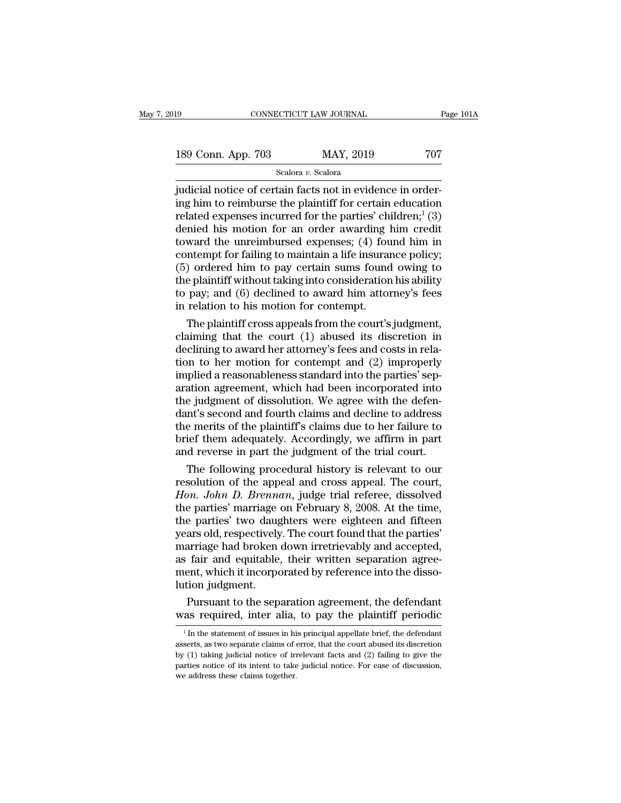189 CONNECTICUT LAW JOURNAL Page 101A<br>189 Conn. App. 703 MAY, 2019 707<br>Scalora v. Scalora

Scalora *v.* Scalora

FORE CONNECTICUT LAW JOURNAL<br>
189 Conn. App. 703 MAY, 2019 707<br>
5 Scalora v. Scalora<br>
judicial notice of certain facts not in evidence in order-<br>
ing him to reimburse the plaintiff for certain education<br>
related exponses i 189 Conn. App. 703 MAY, 2019 707<br>Scalora v. Scalora<br>judicial notice of certain facts not in evidence in order-<br>ing him to reimburse the plaintiff for certain education<br>related expenses incurred for the parties' children;<sup>1</sup> 189 Conn. App. 703 MAY, 2019 707<br>
Scalora v. Scalora<br>
judicial notice of certain facts not in evidence in order-<br>
ing him to reimburse the plaintiff for certain education<br>
related expenses incurred for the parties' childr 189 Conn. App. 703 MAY, 2019 707<br>
Scalora *v.* Scalora<br>
judicial notice of certain facts not in evidence in order-<br>
ing him to reimburse the plaintiff for certain education<br>
related expenses incurred for the parties' chil Scalora *v.* Scalora<br>
intervalses and intervalses and intervalses in the unreferring him to reimburse the plaintiff for certain education<br>
related expenses incurred for the parties' children;<sup>1</sup> (3)<br>
denied his motion for Scalora v. Scalora<br>
indicial notice of certain facts not in evidence in order-<br>
ing him to reimburse the plaintiff for certain education<br>
related expenses incurred for the parties' children;<sup>1</sup> (3)<br>
denied his motion for judicial notice of certain facts not in evidence in order-<br>ing him to reimburse the plaintiff for certain education<br>related expenses incurred for the parties' children;<sup>1</sup> (3)<br>denied his motion for an order awarding him c ing him to reimburse the plaintiff for certain education<br>related expenses incurred for the parties' children;<sup>1</sup> (3)<br>denied his motion for an order awarding him credit<br>toward the unreimbursed expenses; (4) found him in<br>co related expenses incurred for the parties' children;<sup>1</sup> (3)<br>denied his motion for an order awarding him credit<br>toward the unreimbursed expenses; (4) found him in<br>contempt for failing to maintain a life insurance policy;<br>(5 denied his motion for an order awarding l<br>toward the unreimbursed expenses; (4) fou<br>contempt for failing to maintain a life insura<br>(5) ordered him to pay certain sums found<br>the plaintiff without taking into consideration<br>t ward the unreimbursed expenses; (4) found him in<br>ntempt for failing to maintain a life insurance policy;<br>) ordered him to pay certain sums found owing to<br>e plaintiff without taking into consideration his ability<br>pay; and contempt for failing to maintain a life insurance policy;<br>
(5) ordered him to pay certain sums found owing to<br>
the plaintiff without taking into consideration his ability<br>
to pay; and (6) declined to award him attorney's

(5) ordered him to pay certain sums found owing to<br>the plaintiff without taking into consideration his ability<br>to pay; and (6) declined to award him attorney's fees<br>in relation to his motion for contempt.<br>The plaintiff cr the plaintiff without taking into consideration his ability<br>to pay; and (6) declined to award him attorney's fees<br>in relation to his motion for contempt.<br>The plaintiff cross appeals from the court's judgment,<br>claiming that to pay; and (6) declined to award him attorney's fees<br>in relation to his motion for contempt.<br>The plaintiff cross appeals from the court's judgment,<br>claiming that the court (1) abused its discretion in<br>declining to award in relation to his motion for contempt.<br>
The plaintiff cross appeals from the court's judgment,<br>
claiming that the court (1) abused its discretion in<br>
declining to award her attorney's fees and costs in rela-<br>
tion to her The plaintiff cross appeals from the court's judgment,<br>claiming that the court  $(1)$  abused its discretion in<br>declining to award her attorney's fees and costs in rela-<br>tion to her motion for contempt and  $(2)$  improperly<br> claiming that the court (1) abused its discretion in<br>declining to award her attorney's fees and costs in rela-<br>tion to her motion for contempt and (2) improperly<br>implied a reasonableness standard into the parties' sep-<br>ara declining to award her attorney's fees and costs in relation to her motion for contempt and (2) improperly implied a reasonableness standard into the parties' separation agreement, which had been incorporated into the judg tion to her motion for contempt and (2) improperly<br>implied a reasonableness standard into the parties' sep-<br>aration agreement, which had been incorporated into<br>the judgment of dissolution. We agree with the defen-<br>dant's s implied a reasonableness standard into the parties' separation agreement, which had been incorporated into the judgment of dissolution. We agree with the defendant's second and fourth claims and decline to address the meri ation agreement, which had been incorporated into<br>e judgment of dissolution. We agree with the defen-<br>nt's second and fourth claims and decline to address<br>e merits of the plaintiff's claims due to her failure to<br>ief them a the judgment of dissolution. We agree with the defen-<br>dant's second and fourth claims and decline to address<br>the merits of the plaintiff's claims due to her failure to<br>brief them adequately. Accordingly, we affirm in part<br>

dant's second and fourth claims and decline to address<br>the merits of the plaintiff's claims due to her failure to<br>brief them adequately. Accordingly, we affirm in part<br>and reverse in part the judgment of the trial court.<br>T the merits of the plaintiff's claims due to her failure to<br>brief them adequately. Accordingly, we affirm in part<br>and reverse in part the judgment of the trial court.<br>The following procedural history is relevant to our<br>reso brief them adequately. Accordingly, we affirm in part<br>and reverse in part the judgment of the trial court.<br>The following procedural history is relevant to our<br>resolution of the appeal and cross appeal. The court,<br>*Hon. Joh* and reverse in part the judgment of the trial court.<br>
The following procedural history is relevant to our<br>
resolution of the appeal and cross appeal. The court,<br> *Hon. John D. Brennan*, judge trial referee, dissolved<br>
the The following procedural history is relevant to our resolution of the appeal and cross appeal. The court, *Hon. John D. Brennan*, judge trial referee, dissolved the parties' marriage on February 8, 2008. At the time, the p resolution of the appeal and cross appeal. The court,<br>Hon. John D. Brennan, judge trial referee, dissolved<br>the parties' marriage on February 8, 2008. At the time,<br>the parties' two daughters were eighteen and fifteen<br>years Hon. John D. Brennan, judge trial referee, dissolved<br>the parties' marriage on February 8, 2008. At the time,<br>the parties' two daughters were eighteen and fifteen<br>years old, respectively. The court found that the parties'<br>m the parties' marriage<br>the parties' two daug<br>years old, respectively<br>marriage had broken<br>as fair and equitable<br>ment, which it incorpo<br>lution judgment.<br>Pursuant to the sep e parties' two daughters were eighteen and fifteen<br>ars old, respectively. The court found that the parties'<br>arriage had broken down irretrievably and accepted,<br>fair and equitable, their written separation agree-<br>ent, which years old, respectively. The court found that the parties'<br>marriage had broken down irretrievably and accepted,<br>as fair and equitable, their written separation agree-<br>ment, which it incorporated by reference into the disso

Figure 1. For the statement of issues in his principal appellate brief, the defendant as required, inter alia, to pay the plaintiff periodic  $\frac{1}{1}$  In the statement of issues in his principal appellate brief, the defend

Fursuant to the separation agreement, the defendant<br>was required, inter alia, to pay the plaintiff periodic<br> $\frac{1}{1}$  In the statement of issues in his principal appellate brief, the defendant<br>asserts, as two separate cla Pursuant to the separation agreement, the defendant was required, inter alia, to pay the plaintiff periodic  $\frac{1}{1}$  in the statement of issues in his principal appellate brief, the defendant asserts, as two separate cla **was required, inter alia, to pay the plaintiff periodic**<br><sup>1</sup>In the statement of issues in his principal appellate brief, the defendant asserts, as two separate claims of error, that the court abused its discretion by (1) was required, inter ana,<br> $\frac{1}{1}$  In the statement of issues in his asserts, as two separate claims of oby (1) taking judicial notice of imparties notice of its intent to take we address these claims together.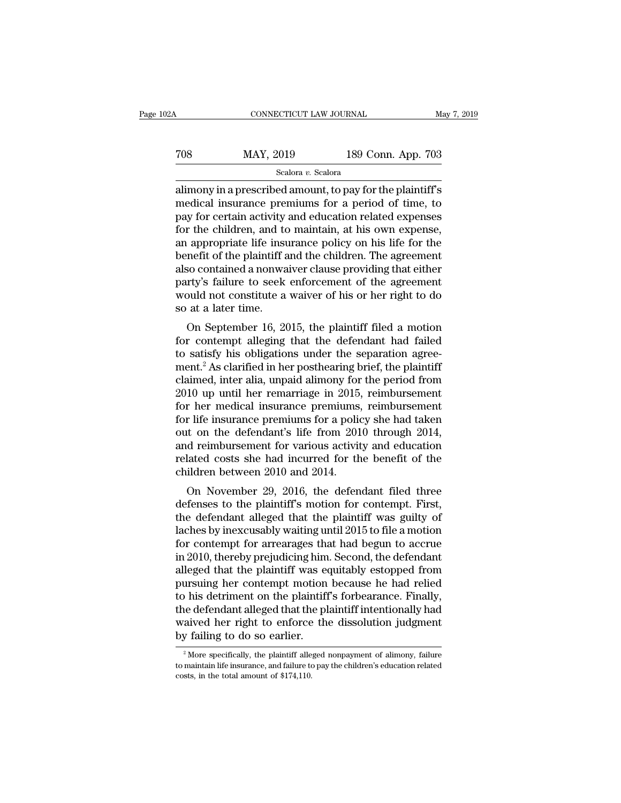### CONNECTICUT LAW JOURNAL May 7, 2019<br>
708 MAY, 2019 189 Conn. App. 703<br>
Scalora v. Scalora Scalora *v.* Scalora

CONNECTICUT LAW JOURNAL May 7, 2019<br>
TOS MAY, 2019 189 Conn. App. 703<br>
Scalora v. Scalora<br>
alimony in a prescribed amount, to pay for the plaintiff's<br>
medical insurance premiums for a period of time, to MAY, 2019 189 Conn. App. 703<br>
Scalora v. Scalora<br>
alimony in a prescribed amount, to pay for the plaintiff's<br>
medical insurance premiums for a period of time, to<br>
pay for certain activity and education related expenses<br>
fo For the children, and to maintain, at his own expenses an appropriate life insurance policy on his life for the children appropriate life insurance policy on his life for the children appropriate life insurance policy on For the children, and to maintain a single parameter of the plaintiff's<br>alimony in a prescribed amount, to pay for the plaintiff's<br>medical insurance premiums for a period of time, to<br>pay for certain activity and education scalora *v*. Scalora<br>alimony in a prescribed amount, to pay for the plaintiff's<br>medical insurance premiums for a period of time, to<br>pay for certain activity and education related expenses<br>for the children, and to maintain scalora  $v$ . Scalora<br>alimony in a prescribed amount, to pay for the plaintiff's<br>medical insurance premiums for a period of time, to<br>pay for certain activity and education related expenses<br>for the children, and to maintain alimony in a prescribed amount, to pay for the plaintiff's<br>medical insurance premiums for a period of time, to<br>pay for certain activity and education related expenses<br>for the children, and to maintain, at his own expense,<br> medical insurance premiums for a period of time, to<br>pay for certain activity and education related expenses<br>for the children, and to maintain, at his own expense,<br>an appropriate life insurance policy on his life for the<br>be pay for certain activity and education related expenses<br>for the children, and to maintain, at his own expense,<br>an appropriate life insurance policy on his life for the<br>benefit of the plaintiff and the children. The agreeme for the children, and to<br>an appropriate life insu<br>benefit of the plaintiff a<br>also contained a nonwa<br>party's failure to seek<br>would not constitute a<br>so at a later time.<br>On September 16, 20 Expression is the behavior of the plaintiff and the children. The agreement<br>so contained a nonwaiver clause providing that either<br>rty's failure to seek enforcement of the agreement<br>ould not constitute a waiver of his or he benefit of the plantificant and the children. The agreement<br>also contained a nonwaiver clause providing that either<br>party's failure to seek enforcement of the agreement<br>would not constitute a waiver of his or her right to

also contained a nonwarver clause providing that entier<br>party's failure to seek enforcement of the agreement<br>would not constitute a waiver of his or her right to do<br>so at a later time.<br>On September 16, 2015, the plaintiff party's ranure to seek enforcement of the agreement<br>would not constitute a waiver of his or her right to do<br>so at a later time.<br>On September 16, 2015, the plaintiff filed a motion<br>for contempt alleging that the defendant h so at a later time.<br>
So at a later time.<br>
On September 16, 2015, the plaintiff filed a motion<br>
for contempt alleging that the defendant had failed<br>
to satisfy his obligations under the separation agree-<br>
ment.<sup>2</sup> As clarif so at a later time.<br>
On September 16, 2015, the plaintiff filed a motion<br>
for contempt alleging that the defendant had failed<br>
to satisfy his obligations under the separation agree-<br>
ment.<sup>2</sup> As clarified in her posthearin On September 16, 2015, the plaintiff filed a motion<br>for contempt alleging that the defendant had failed<br>to satisfy his obligations under the separation agree-<br>ment.<sup>2</sup> As clarified in her posthearing brief, the plaintiff<br> for contempt alleging that the defendant had failed<br>to satisfy his obligations under the separation agree-<br>ment.<sup>2</sup> As clarified in her posthearing brief, the plaintiff<br>claimed, inter alia, unpaid alimony for the period fr to satisfy his obligations under the separation agreement.<sup>2</sup> As clarified in her posthearing brief, the plaintiff claimed, inter alia, unpaid alimony for the period from 2010 up until her remarriage in 2015, reimbursement ment.<sup>2</sup> As clarified in her posthearing brief, the plaintiff<br>claimed, inter alia, unpaid alimony for the period from<br>2010 up until her remarriage in 2015, reimbursement<br>for her medical insurance premiums, reimbursement<br>fo claimed, inter alia, unpaid alimony for the period from<br>2010 up until her remarriage in 2015, reimbursement<br>for her medical insurance premiums, reimbursement<br>for life insurance premiums for a policy she had taken<br>out on th 2010 up until her remarriage in 2015,<br>for her medical insurance premiums,<br>for life insurance premiums for a polic<br>out on the defendant's life from 201<br>and reimbursement for various activit<br>related costs she had incurred fo r life insurance premiums, removes<br>the defendant's life from 2010 through 2014,<br>d reimbursement for various activity and education<br>lated costs she had incurred for the benefit of the<br>ildren between 2010 and 2014.<br>On Novemb For the insurance premiums for a poincy she had taken<br>out on the defendant's life from 2010 through 2014,<br>and reimbursement for various activity and education<br>related costs she had incurred for the benefit of the<br>children

out on the defendant s me front 2010 diffough 2014,<br>and reimbursement for various activity and education<br>related costs she had incurred for the benefit of the<br>children between 2010 and 2014.<br>On November 29, 2016, the defen and remioursement for various activity and education<br>related costs she had incurred for the benefit of the<br>children between 2010 and 2014.<br>On November 29, 2016, the defendant filed three<br>defenses to the plaintiff's motion related costs site had incurred for the behefit of the<br>children between 2010 and 2014.<br>On November 29, 2016, the defendant filed three<br>defenses to the plaintiff's motion for contempt. First,<br>the defendant alleged that the Imaren between 2010 and 2014.<br>
On November 29, 2016, the defendant filed three<br>
defenses to the plaintiff's motion for contempt. First,<br>
the defendant alleged that the plaintiff was guilty of<br>
laches by inexcusably waiting On November 29, 2016, the defendant filed three<br>defenses to the plaintiff's motion for contempt. First,<br>the defendant alleged that the plaintiff was guilty of<br>laches by inexcusably waiting until 2015 to file a motion<br>for c defenses to the plaintiff's motion for contempt. First,<br>the defendant alleged that the plaintiff was guilty of<br>laches by inexcusably waiting until 2015 to file a motion<br>for contempt for arrearages that had begun to accrue<br> the defendant alleged that the plaintiff was guilty of laches by inexcusably waiting until 2015 to file a motion<br>for contempt for arrearages that had begun to accrue<br>in 2010, thereby prejudicing him. Second, the defendant<br> laches by inexcusably waiting until 2015 to file a motion<br>for contempt for arrearages that had begun to accrue<br>in 2010, thereby prejudicing him. Second, the defendant<br>alleged that the plaintiff was equitably estopped from<br> for contempt for arrearages that had begun to accrue<br>in 2010, thereby prejudicing him. Second, the defendant<br>alleged that the plaintiff was equitably estopped from<br>pursuing her contempt motion because he had relied<br>to his in 2010, thereby prejudicing him<br>alleged that the plaintiff was equivalently as equivalent and plaintiff<br>the defendant alleged that the plaintiff<br>the defendant alleged that the plaintiff<br>waived her right to enforce the<br>by Finally, the defendant alleged that the plaintiff's forbearance. Finally, the defendant alleged that the plaintiff intentionally had aived her right to enforce the dissolution judgment of alimony, failure  $\frac{2}{100}$  More the defendant alleged that the plaintiff intentionally had<br>waived her right to enforce the dissolution judgment<br>by failing to do so earlier.<br> $\frac{2}{\pi}$ More specifically, the plaintiff alleged nonpayment of alimony, failur

waived her right to enforce<br>by failing to do so earlier.<br> $\frac{1}{2}$  More specifically, the plaintiff alle<br>to maintain life insurance, and failure to<br>costs, in the total amount of \$174,110.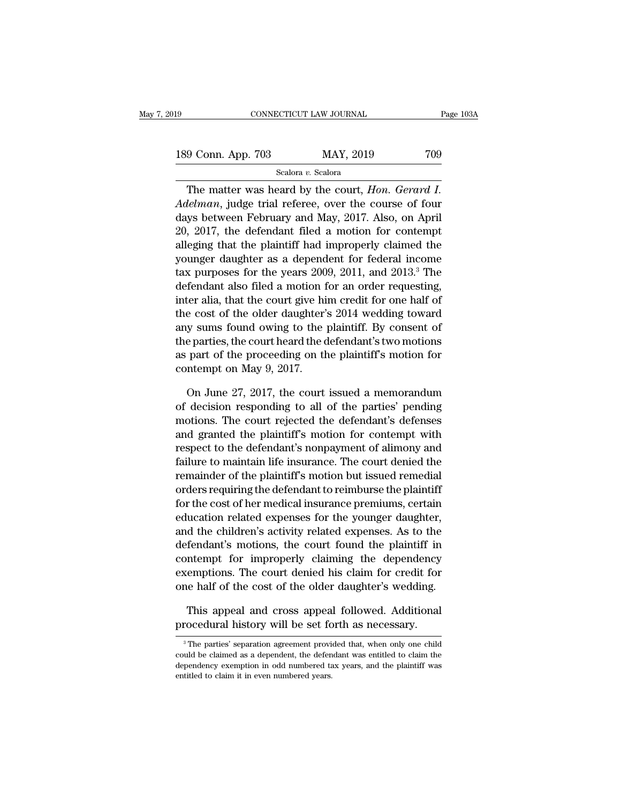| 19                 | CONNECTICUT LAW JOURNAL | Page 103A |
|--------------------|-------------------------|-----------|
| 189 Conn. App. 703 | MAY, 2019               | 709       |
|                    | Scalora v. Scalora      |           |

CONNECTICUT LAW JOURNAL Page 10:<br>
9 Conn. App. 703 MAY, 2019 709<br>
Scalora v. Scalora<br>
The matter was heard by the court, *Hon. Gerard I.*<br> *Lelman*, judge trial referee, over the course of four *Adelman*, judge trial referee, over the course of four<br>days between February and May, 2017. Also, on April<br>and 20, 2017, the defendent filed a metian for contenuting the defendent filed a metian for contenuting 189 Conn. App. 703 MAY, 2019 709<br>
Scalora v. Scalora<br>
The matter was heard by the court, *Hon. Gerard I.*<br> *Adelman*, judge trial referee, over the course of four<br>
days between February and May, 2017. Also, on April<br>
20, 189 Conn. App. 703 MAY, 2019 709<br>
Scalora v. Scalora<br>
The matter was heard by the court, *Hon. Gerard I.*<br>
Adelman, judge trial referee, over the course of four<br>
days between February and May, 2017. Also, on April<br>
20, 20 Scalora v. Scalora<br>
The matter was heard by the court, *Hon. Gerard I.*<br> *Adelman*, judge trial referee, over the course of four<br>
days between February and May, 2017. Also, on April<br>
20, 2017, the defendant filed a motion The matter was heard by the court, *Hon. Gerard I.*<br>Adelman, judge trial referee, over the course of four<br>days between February and May, 2017. Also, on April<br>20, 2017, the defendant filed a motion for contempt<br>alleging tha The matter was heard by the court, *Hon. Gerard 1.*<br>Adelman, judge trial referee, over the course of four<br>days between February and May, 2017. Also, on April<br>20, 2017, the defendant filed a motion for contempt<br>alleging tha Adelman, judge trial referee, over the course of four<br>days between February and May, 2017. Also, on April<br>20, 2017, the defendant filed a motion for contempt<br>alleging that the plaintiff had improperly claimed the<br>younger d days between February and May, 2017. Also, on April 20, 2017, the defendant filed a motion for contempt alleging that the plaintiff had improperly claimed the younger daughter as a dependent for federal income tax purpose 20, 2017, the defendant filed a motion for contempt<br>alleging that the plaintiff had improperly claimed the<br>younger daughter as a dependent for federal income<br>tax purposes for the years 2009, 2011, and 2013.<sup>3</sup> The<br>defendan alleging that the plaintiff had improperly claimed the<br>younger daughter as a dependent for federal income<br>tax purposes for the years 2009, 2011, and 2013.<sup>3</sup> The<br>defendant also filed a motion for an order requesting,<br>inter younger daughter as a dependent for federal income<br>tax purposes for the years 2009, 2011, and 2013.<sup>3</sup> The<br>defendant also filed a motion for an order requesting,<br>inter alia, that the court give him credit for one half of<br>t tax purposes for the years 2009, 2011, and 2013.<sup>5</sup> The<br>defendant also filed a motion for an order requesting,<br>inter alia, that the court give him credit for one half of<br>the cost of the older daughter's 2014 wedding toward defendant also filed a motion 1<br>inter alia, that the court give hi<br>the cost of the older daughter'<br>any sums found owing to the<br>the parties, the court heard the c<br>as part of the proceeding on th<br>contempt on May 9, 2017.<br>On e cost of the older daughter's 2014 wedding toward<br>y sums found owing to the plaintiff. By consent of<br>e parties, the court heard the defendant's two motions<br>part of the proceeding on the plaintiff's motion for<br>ntempt on Ma any sums found owing to the plaintiff. By consent of<br>the parties, the court heard the defendant's two motions<br>as part of the proceeding on the plaintiff's motion for<br>contempt on May 9, 2017.<br>On June 27, 2017, the court iss

the parties, the court heard the defendant's two motions<br>as part of the proceeding on the plaintiff's motion for<br>contempt on May 9, 2017.<br>On June 27, 2017, the court issued a memorandum<br>of decision responding to all of the as part of the proceeding on the plaintiff's motion for<br>contempt on May 9, 2017.<br>On June 27, 2017, the court issued a memorandum<br>of decision responding to all of the parties' pending<br>motions. The court rejected the defenda contempt on May 9, 2017.<br>
On June 27, 2017, the court issued a memorandum<br>
of decision responding to all of the parties' pending<br>
motions. The court rejected the defendant's defenses<br>
and granted the plaintiff's motion for On June 27, 2017, the court issued a memorandum<br>of decision responding to all of the parties' pending<br>motions. The court rejected the defendant's defenses<br>and granted the plaintiff's motion for contempt with<br>respect to the On June 27, 2017, the court issued a memorandum<br>of decision responding to all of the parties' pending<br>motions. The court rejected the defendant's defenses<br>and granted the plaintiff's motion for contempt with<br>respect to th or decision responding to all of the parties pending<br>motions. The court rejected the defendant's defenses<br>and granted the plaintiff's motion for contempt with<br>respect to the defendant's nonpayment of alimony and<br>failure to motions. The court rejected the defendant's defenses<br>and granted the plaintiff's motion for contempt with<br>respect to the defendant's nonpayment of alimony and<br>failure to maintain life insurance. The court denied the<br>remain and granted the plaintiff's motion for contempt with<br>respect to the defendant's nonpayment of alimony and<br>failure to maintain life insurance. The court denied the<br>remainder of the plaintiff's motion but issued remedial<br>ord respect to the derendant s nonpayment or allmony and<br>failure to maintain life insurance. The court denied the<br>remainder of the plaintiff's motion but issued remedial<br>orders requiring the defendant to reimburse the plaintif railure to maintain life insurance. The court denied the<br>remainder of the plaintiff's motion but issued remedial<br>orders requiring the defendant to reimburse the plaintiff<br>for the cost of her medical insurance premiums, cer remainder of the plaintiff smotion but issued remedial<br>orders requiring the defendant to reimburse the plaintiff<br>for the cost of her medical insurance premiums, certain<br>education related expenses for the younger daughter,<br> orders requiring the detendant to reimburse the plaintiff<br>for the cost of her medical insurance premiums, certain<br>education related expenses for the younger daughter,<br>and the children's activity related expenses. As to the for the cost of her medical insurance premiums, certain<br>education related expenses for the younger daughter,<br>and the children's activity related expenses. As to the<br>defendant's motions, the court found the plaintiff in<br>con d the children's activity related expenses. As to the fendant's motions, the court found the plaintiff in intempt for improperly claiming the dependency emptions. The court denied his claim for credit for the half of the c defendant's motions, the court found the plaintiff in contempt for improperly claiming the dependency exemptions. The court denied his claim for credit for one half of the cost of the older daughter's wedding. This appeal

one half of the cost of the older daughter's wedding.<br>This appeal and cross appeal followed. Additional<br>procedural history will be set forth as necessary.<br><sup>3</sup>The parties' separation agreement provided that, when only one c This appeal and cross appeal followed. Additional procedural history will be set forth as necessary.<br><sup>3</sup>The parties' separation agreement provided that, when only one child could be claimed as a dependent, the defendant wa This appeal and cross appeal followed. Additional procedural history will be set forth as necessary.<br><sup>3</sup>The parties' separation agreement provided that, when only one child could be claimed as a dependent, the defendant w procedural history will be set for a The parties' separation agreement provisould be claimed as a dependent, the defendependency exemption in odd numbered tentitled to claim it in even numbered years.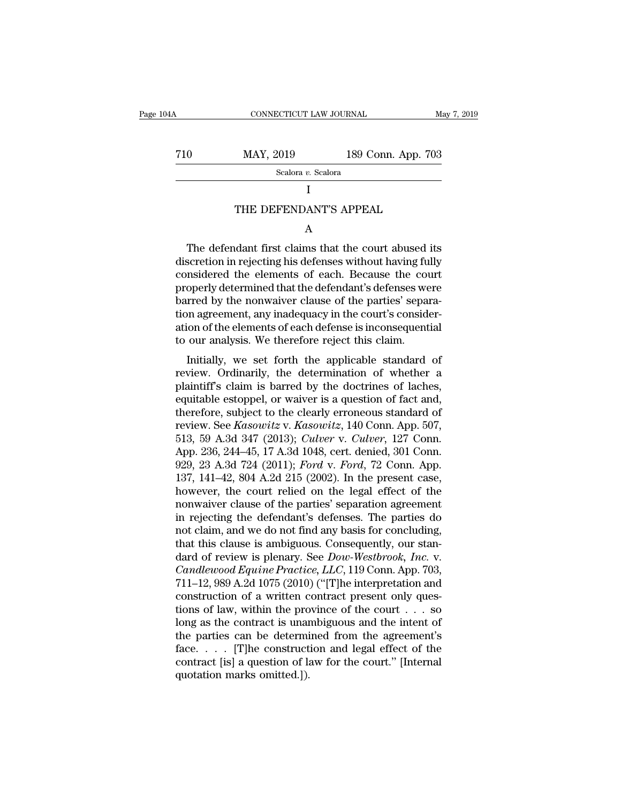CONNECTICUT LAW JOURNAL May 7, 2019<br>
710 MAY, 2019 189 Conn. App. 703<br>
Scalora v. Scalora Scalora *v.* Scalora  $\begin{tabular}{ll} \bf \textit{MAX, } 2019 & 189 \text{ Conn. App. 703}\ \textit{Scalar $v$. Scalar} \\[.1cm] & I \\[.1cm] {\bf \textit{THE DEFENDANT'S APPEAL}}\\[.1cm] {\bf \textit{A}} \\[.1cm] {\bf \textit{A}} \\[.1cm] {\bf \textit{A}} \\[.1cm] {\bf \textit{A}} \\[.1cm] {\bf \textit{B}} \\[.1cm] {\bf \textit{A}} \\[.1cm] {\bf \textit{B}} \\[.1cm] {\bf \textit{B}} \\[.1cm] {\bf \textit{B}} \\[.1cm] {\bf \textit{B}}$ 

I and the set of  $\mathbf I$ 

### A

Scalora v. Scalora<br>
I<br>
THE DEFENDANT'S APPEAL<br>
A<br>
The defendant first claims that the court abused its<br>
scretion in rejecting his defenses without having fully<br>
projected the elements of each. Because the court I<br>
THE DEFENDANT'S APPEAL<br>
A<br>
The defendant first claims that the court abused its<br>
discretion in rejecting his defenses without having fully<br>
considered the elements of each. Because the court<br>
properly determined that th THE DEFENDANT'S APPEAL<br>
A<br>
The defendant first claims that the court abused its<br>
discretion in rejecting his defenses without having fully<br>
considered the elements of each. Because the court<br>
properly determined that the d THE DEFENDANT'S APPEAL<br>
A<br>
The defendant first claims that the court abused its<br>
discretion in rejecting his defenses without having fully<br>
considered the elements of each. Because the court<br>
properly determined that the d A<br>The defendant first claims that the court abused its<br>discretion in rejecting his defenses without having fully<br>considered the elements of each. Because the court<br>properly determined that the defendant's defenses were<br>bar The defendant first claims that the court abused its<br>discretion in rejecting his defenses without having fully<br>considered the elements of each. Because the court<br>properly determined that the defendant's defenses were<br>barre The defendant first claims that the court abused its<br>discretion in rejecting his defenses without having fully<br>considered the elements of each. Because the court<br>properly determined that the defendant's defenses were<br>barre discretion in rejecting his defenses without having fu<br>considered the elements of each. Because the cou<br>properly determined that the defendant's defenses we<br>barred by the nonwaiver clause of the parties' sepan<br>tion agreeme Installeted the efference of each. Because the Court<br>operly determined that the defendant's defenses were<br>rred by the nonwaiver clause of the parties' separa-<br>on agreement, any inadequacy in the court's consider-<br>ion of th properly determined that the detendant sucretises were<br>barred by the nonwaiver clause of the parties' separa-<br>tion agreement, any inadequacy in the court's consider-<br>ation of the elements of each defense is inconsequential

barred by the honwaver clause of the parties separa-<br>tion agreement, any inadequacy in the court's consider-<br>ation of the elements of each defense is inconsequential<br>to our analysis. We therefore reject this claim.<br>Initial Fraction agreement, any matequacy in the court's consider-<br>ation of the elements of each defense is inconsequential<br>to our analysis. We therefore reject this claim.<br>Initially, we set forth the applicable standard of<br>revie to our analysis. We therefore reject this claim.<br>
Initially, we set forth the applicable standard of<br>
review. Ordinarily, the determination of whether a<br>
plaintiff's claim is barred by the doctrines of laches,<br>
equitable to our analysis. We therefore reject this claim.<br>
Initially, we set forth the applicable standard of<br>
review. Ordinarily, the determination of whether a<br>
plaintiff's claim is barred by the doctrines of laches,<br>
equitable e Initially, we set forth the applicable standard of<br>review. Ordinarily, the determination of whether a<br>plaintiff's claim is barred by the doctrines of laches,<br>equitable estoppel, or waiver is a question of fact and,<br>therefo review. Ordinarily, the determination of whether a plaintiff's claim is barred by the doctrines of laches, equitable estoppel, or waiver is a question of fact and, therefore, subject to the clearly erroneous standard of re plaintiff's claim is barred by the doctrines of laches,<br>equitable estoppel, or waiver is a question of fact and,<br>therefore, subject to the clearly erroneous standard of<br>review. See *Kasowitz* v. *Kasowitz*, 140 Conn. App. equitable estoppel, or waiver is a question of fact and,<br>therefore, subject to the clearly erroneous standard of<br>review. See *Kasowitz* v. *Kasowitz*, 140 Conn. App. 507,<br>513, 59 A.3d 347 (2013); *Culver* v. *Culver*, 127 therefore, subject to the clearly erroneous standard of<br>review. See *Kasowitz* v. *Kasowitz*, 140 Conn. App. 507,<br>513, 59 A.3d 347 (2013); *Culver* v. *Culver*, 127 Conn.<br>App. 236, 244–45, 17 A.3d 1048, cert. denied, 301 C review. See *Kasowitz* v. *Kasowitz*, 140 Conn. App. 507, 513, 59 A.3d 347 (2013); *Culver* v. *Culver*, 127 Conn. App. 236, 244–45, 17 A.3d 1048, cert. denied, 301 Conn. 929, 23 A.3d 724 (2011); *Ford* v. *Ford*, 72 Conn. 513, 59 A.3d 347 (2013); *Culver v. Culver*, 127 Conn.<br>App. 236, 244–45, 17 A.3d 1048, cert. denied, 301 Conn.<br>929, 23 A.3d 724 (2011); *Ford v. Ford*, 72 Conn. App.<br>137, 141–42, 804 A.2d 215 (2002). In the present case,<br>h App. 236, 244–45, 17 A.3d 1048, cert. denied, 301 Conn.<br>929, 23 A.3d 724 (2011); *Ford v. Ford*, 72 Conn. App.<br>137, 141–42, 804 A.2d 215 (2002). In the present case,<br>however, the court relied on the legal effect of the<br>no 929, 23 A.3d 724 (2011); *Ford v. Ford*, 72 Conn. App.<br>137, 141–42, 804 A.2d 215 (2002). In the present case,<br>however, the court relied on the legal effect of the<br>nonwaiver clause of the parties' separation agreement<br>in r 137, 141–42, 804 A.2d 215 (2002). In the present case,<br>however, the court relied on the legal effect of the<br>nonwaiver clause of the parties' separation agreement<br>in rejecting the defendant's defenses. The parties do<br>not cl however, the court relied on the legal effect of the<br>nonwaiver clause of the parties' separation agreement<br>in rejecting the defendant's defenses. The parties do<br>not claim, and we do not find any basis for concluding,<br>that nonwaiver clause of the parties' separation agreement<br>in rejecting the defendant's defenses. The parties do<br>not claim, and we do not find any basis for concluding,<br>that this clause is ambiguous. Consequently, our stan-<br>dar in rejecting the defendant's defenses. The parties do<br>not claim, and we do not find any basis for concluding,<br>that this clause is ambiguous. Consequently, our stan-<br>dard of review is plenary. See *Dow-Westbrook, Inc.* v.<br> not claim, and we do not find any basis for concluding,<br>that this clause is ambiguous. Consequently, our stan-<br>dard of review is plenary. See *Dow-Westbrook, Inc.* v.<br>*Candlewood Equine Practice, LLC*, 119 Conn. App. 703, that this clause is ambiguous. Consequently, our stan-<br>dard of review is plenary. See *Dow-Westbrook, Inc.* v.<br>*Candlewood Equine Practice, LLC*, 119 Conn. App. 703,<br>711–12, 989 A.2d 1075 (2010) ("[T]he interpretation and dard of review is plenary. See *Dow-Westbrook, Inc.* v.<br>Candlewood Equine Practice, LLC, 119 Conn. App. 703,<br>711–12, 989 A.2d 1075 (2010) ("[T]he interpretation and<br>construction of a written contract present only ques-<br>ti Candlewood Equine Practice, LLC, 119 Conn. App. 703,<br>711–12, 989 A.2d 1075 (2010) ("[T]he interpretation and<br>construction of a written contract present only ques-<br>tions of law, within the province of the court  $\ldots$  so<br>lo 711–12, 989 A.2d 1075 (2010) ("[T]he interpretation and construction of a written contract present only questions of law, within the province of the court  $\ldots$  so long as the contract is unambiguous and the intent of the construction of a written c<br>tions of law, within the pro<br>long as the contract is unar<br>the parties can be determi<br>face..... [T]he construct<br>contract [is] a question of li<br>quotation marks omitted.]).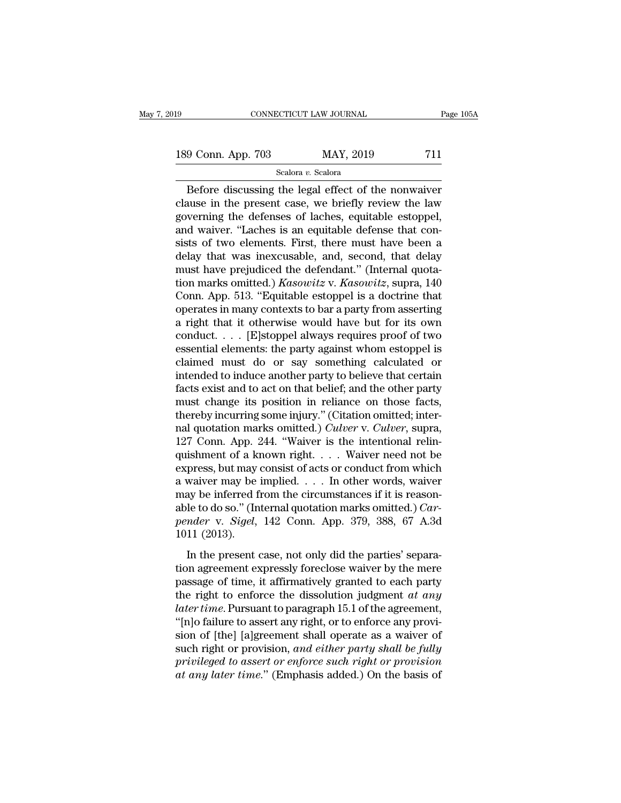# 189 CONNECTICUT LAW JOURNAL Page 105A<br>
189 Conn. App. 703 MAY, 2019 711<br>
Scalora v. Scalora

Scalora *v.* Scalora

CONNECTICUT LAW JOURNAL Page 105A<br>
9 Conn. App. 703 MAY, 2019 711<br>
Scalora v. Scalora<br>
Before discussing the legal effect of the nonwaiver<br>
nuse in the present case, we briefly review the law<br>
Norming the defenses of lache 189 Conn. App. 703 MAY, 2019 711<br>Scalora v. Scalora<br>Before discussing the legal effect of the nonwaiver<br>clause in the present case, we briefly review the law<br>governing the defenses of laches, equitable estoppel, 189 Conn. App. 703 MAY, 2019 711<br>
Scalora v. Scalora<br>
Before discussing the legal effect of the nonwaiver<br>
clause in the present case, we briefly review the law<br>
governing the defenses of laches, equitable estoppel,<br>
and 189 Conn. App. 703 MAY, 2019 711<br>
Scalora v. Scalora<br>
Before discussing the legal effect of the nonwaiver<br>
clause in the present case, we briefly review the law<br>
governing the defenses of laches, equitable estoppel,<br>
and Scalora v. Scalora<br>
Scalora v. Scalora<br>
Before discussing the legal effect of the nonwaiver<br>
clause in the present case, we briefly review the law<br>
governing the defenses of laches, equitable estoppel,<br>
and waiver. "Lache Scalora v. Scalora<br>
Before discussing the legal effect of the nonwaiver<br>
clause in the present case, we briefly review the law<br>
governing the defenses of laches, equitable estoppel,<br>
and waiver. "Laches is an equitable de Before discussing the legal effect of the nonwaiver<br>clause in the present case, we briefly review the law<br>governing the defenses of laches, equitable estoppel,<br>and waiver. "Laches is an equitable defense that con-<br>sists o clause in the present case, we briefly review the law<br>governing the defenses of laches, equitable estoppel,<br>and waiver. "Laches is an equitable defense that con-<br>sists of two elements. First, there must have been a<br>delay t governing the defenses of laches, equitable estoppel,<br>and waiver. "Laches is an equitable defense that con-<br>sists of two elements. First, there must have been a<br>delay that was inexcusable, and, second, that delay<br>must have and waiver. "Laches is an equitable defense that consists of two elements. First, there must have been a delay that was inexcusable, and, second, that delay must have prejudiced the defendant." (Internal quotation marks om sists of two elements. First, there must have been a<br>delay that was inexcusable, and, second, that delay<br>must have prejudiced the defendant." (Internal quota-<br>tion marks omitted.) *Kasowitz* v. *Kasowitz*, supra, 140<br>Conn delay that was inexcusable, and, second, that delay<br>must have prejudiced the defendant." (Internal quota-<br>tion marks omitted.) *Kasowitz* v. *Kasowitz*, supra, 140<br>Conn. App. 513. "Equitable estoppel is a doctrine that<br>ope must have prejudiced the defendant." (Internal quotation marks omitted.) *Kasowitz* v. *Kasowitz*, supra, 140 Conn. App. 513. "Equitable estoppel is a doctrine that operates in many contexts to bar a party from asserting a tion marks omitted.) *Kasowitz* v. *Kasowitz*, supra, 140<br>Conn. App. 513. "Equitable estoppel is a doctrine that<br>operates in many contexts to bar a party from asserting<br>a right that it otherwise would have but for its own Conn. App. 513. "Equitable estoppel is a doctrine that<br>operates in many contexts to bar a party from asserting<br>a right that it otherwise would have but for its own<br>conduct.... [E]stoppel always requires proof of two<br>essen operates in many contexts to bar a party from asserting<br>a right that it otherwise would have but for its own<br>conduct. . . . [E]stoppel always requires proof of two<br>essential elements: the party against whom estoppel is<br>cl a right that it otherwise would have but for its own<br>conduct.... [E]stoppel always requires proof of two<br>essential elements: the party against whom estoppel is<br>claimed must do or say something calculated or<br>intended to in conduct.... [E]stoppel always requires proof of two<br>essential elements: the party against whom estoppel is<br>claimed must do or say something calculated or<br>intended to induce another party to believe that certain<br>facts exis essential elements: the party against whom estoppel is<br>claimed must do or say something calculated or<br>intended to induce another party to believe that certain<br>facts exist and to act on that belief; and the other party<br>must claimed must do or say something calculated or<br>intended to induce another party to believe that certain<br>facts exist and to act on that belief; and the other party<br>must change its position in reliance on those facts,<br>there intended to induce another party to believe that certain<br>facts exist and to act on that belief; and the other party<br>must change its position in reliance on those facts,<br>thereby incurring some injury." (Citation omitted; i facts exist and to act on that belief; and the other party<br>must change its position in reliance on those facts,<br>thereby incurring some injury." (Citation omitted; inter-<br>nal quotation marks omitted.) *Culver* v. *Culver*, must change its position in reliance on those facts,<br>thereby incurring some injury." (Citation omitted; inter-<br>nal quotation marks omitted.) *Culver* v. *Culver*, supra,<br>127 Conn. App. 244. "Waiver is the intentional reli thereby incurring some injury." (Citation omitted; internal quotation marks omitted.) *Culver* v. *Culver*, supra, 127 Conn. App. 244. "Waiver is the intentional relinquishment of a known right. . . . Waiver need not be e nal quotation marks omitted.) *Culver* v. *Culver*, supra, 127 Conn. App. 244. "Waiver is the intentional relin-<br>quishment of a known right. . . . Waiver need not be<br>express, but may consist of acts or conduct from which<br>a 127 Conn. App. 244. "Waiver is the intentional relin-<br>quishment of a known right. . . . Waiver need not be<br>express, but may consist of acts or conduct from which<br>a waiver may be implied. . . . In other words, waiver<br>may be quishment of a kinetal<br>express, but may<br>a waiver may be<br>may be inferred f<br>able to do so." (In<br>pender v. Sigel,<br>1011 (2013).<br>In the present of waiver may be implied.  $\ldots$  In other words, waiver<br>waiver may be implied.  $\ldots$  In other words, waiver<br>ay be inferred from the circumstances if it is reason-<br>le to do so." (Internal quotation marks omitted.) *Car-*<br>*nder* the may be inferred from the circumstances if it is reasonable to do so." (Internal quotation marks omitted.) *Car-*<br>pender v. *Sigel*, 142 Conn. App. 379, 388, 67 A.3d<br>1011 (2013).<br>In the present case, not only did the p

able to do so." (Internal quotation marks omitted.) *Car-*<br>pender v. *Sigel*, 142 Conn. App. 379, 388, 67 A.3d<br>1011 (2013).<br>In the present case, not only did the parties' separa-<br>tion agreement expressly foreclose waiver the right of engles and the particle of the period of the period of the period of the period of the period of the period of the period of the period of the period of the period of the period of the mere passage of time, it *later times*. The state of the parties' separation agreement expressly foreclose waiver by the mere<br>passage of time, it affirmatively granted to each party<br>the right to enforce the dissolution judgment *at any*<br>*later tim* In the present case, not only did the parties' separation agreement expressly foreclose waiver by the mere<br>passage of time, it affirmatively granted to each party<br>the right to enforce the dissolution judgment at any<br>later In the present case, not only did the parties' separation agreement expressly foreclose waiver by the mere<br>passage of time, it affirmatively granted to each party<br>the right to enforce the dissolution judgment *at any*<br>lat tion agreement expressly foreclose waiver by the mere<br>passage of time, it affirmatively granted to each party<br>the right to enforce the dissolution judgment *at any*<br>later time. Pursuant to paragraph 15.1 of the agreement,<br> passage of time, it affirmatively granted to each party<br>the right to enforce the dissolution judgment *at any*<br>*later time*. Pursuant to paragraph 15.1 of the agreement,<br>"[n]o failure to assert any right, or to enforce any the right to enforce the dissolution judgment *at any later time*. Pursuant to paragraph 15.1 of the agreement, "[n]o failure to assert any right, or to enforce any provision of [the] [a]greement shall operate as a waive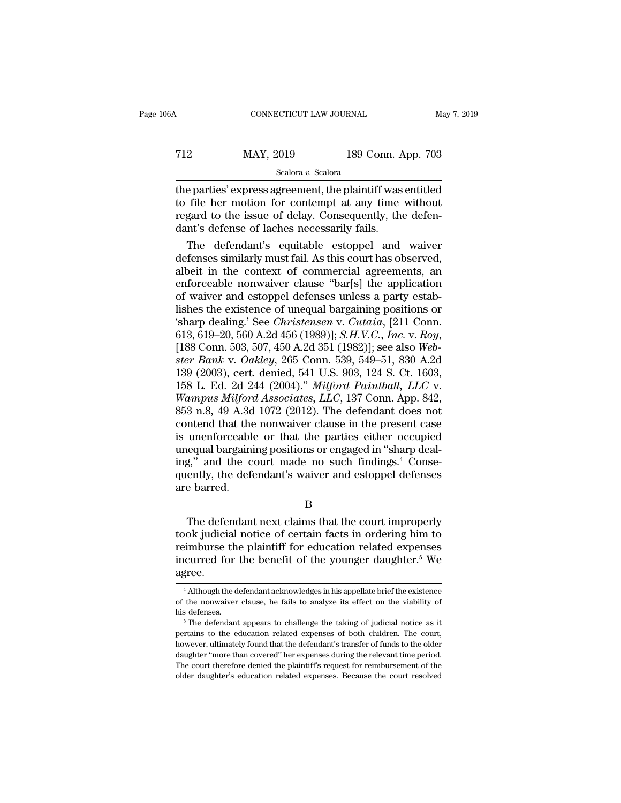# CONNECTICUT LAW JOURNAL May 7, 2019<br>
MAY, 2019 189 Conn. App. 703<br>
Scalora v. Scalora

### Scalora *v.* Scalora

CONNECTICUT LAW JOURNAL May 7, 2019<br>
MAY, 2019 189 Conn. App. 703<br>
Scalora v. Scalora<br>
the parties' express agreement, the plaintiff was entitled<br>
to file her motion for contempt at any time without<br>
regard to the issue of T12 MAY, 2019 189 Conn. App. 703<br>Scalora v. Scalora<br>the parties' express agreement, the plaintiff was entitled<br>to file her motion for contempt at any time without<br>regard to the issue of delay. Consequently, the defen-<br>dan T12 MAY, 2019 189 Conn. App. 703<br>
Scalora v. Scalora<br>
the parties' express agreement, the plaintiff was entitled<br>
to file her motion for contempt at any time without<br>
regard to the issue of delay. Consequently, the defen-MAY, 2019 189 Conn. A<br>
scalora v. Scalora<br>
the parties' express agreement, the plaintiff was<br>
to file her motion for contempt at any time<br>
regard to the issue of delay. Consequently, the<br>
dant's defense of laches necessari Scalora v. Scalora<br>
e parties' express agreement, the plaintiff was entitled<br>
file her motion for contempt at any time without<br>
gard to the issue of delay. Consequently, the defen-<br>
nt's defense of laches necessarily fail definite the parties' express agreement, the plaintiff was entitled<br>to file her motion for contempt at any time without<br>regard to the issue of delay. Consequently, the defen-<br>dant's defense of laches necessarily fails.<br>The

the parties' express agreement, the plaintiff was entitled<br>to file her motion for contempt at any time without<br>regard to the issue of delay. Consequently, the defen-<br>dant's defense of laches necessarily fails.<br>The defendan to file her motion for contempt at any time without<br>regard to the issue of delay. Consequently, the defen-<br>dant's defense of laches necessarily fails.<br>The defendant's equitable estoppel and waiver<br>defenses similarly must f regard to the issue of delay. Consequently, the defendant's defense of laches necessarily fails.<br>The defendant's equitable estoppel and waiver<br>defenses similarly must fail. As this court has observed,<br>albeit in the context dant's defense of laches necessarily fails.<br>
The defendant's equitable estoppel and waiver<br>
defenses similarly must fail. As this court has observed,<br>
albeit in the context of commercial agreements, an<br>
enforceable nonwai The defendant's equitable estoppel and waiver<br>defenses similarly must fail. As this court has observed,<br>albeit in the context of commercial agreements, an<br>enforceable nonwaiver clause "bar[s] the application<br>of waiver and defenses similarly must fail. As this court has observed,<br>albeit in the context of commercial agreements, an<br>enforceable nonwaiver clause "bar[s] the application<br>of waiver and estoppel defenses unless a party estab-<br>lishes enforceable nonwaiver clause "bar[s] the application<br>of waiver and estoppel defenses unless a party estab-<br>lishes the existence of unequal bargaining positions or<br>'sharp dealing.' See *Christensen* v. *Cutaia*, [211 Conn.<br> of waiver and estoppel defenses unless a party establishes the existence of unequal bargaining positions or 'sharp dealing.' See *Christensen* v. *Cutaia*, [211 Conn. 613, 619–20, 560 A.2d 456 (1989)]; *S.H.V.C., Inc.* v. lishes the existence of unequal bargaining positions or<br>
'sharp dealing.' See *Christensen v. Cutaia*, [211 Conn.<br>
613, 619–20, 560 A.2d 456 (1989)]; *S.H.V.C., Inc. v. Roy,*<br>
[188 Conn. 503, 507, 450 A.2d 351 (1982)]; se 'sharp dealing.' See *Christensen v. Cutaia*, [211 Conn.<br>613, 619–20, 560 A.2d 456 (1989)]; *S.H.V.C., Inc. v. Roy,*<br>[188 Conn. 503, 507, 450 A.2d 351 (1982)]; see also *Web-<br>ster Bank v. Oakley*, 265 Conn. 539, 549–51, 8 613, 619–20, 560 A.2d 456 (1989)]; *S.H.V.C., Inc. v. Roy,*<br>[188 Conn. 503, 507, 450 A.2d 351 (1982)]; see also *Web-<br>ster Bank v. Oakley*, 265 Conn. 539, 549–51, 830 A.2d<br>139 (2003), cert. denied, 541 U.S. 903, 124 S. Ct [188 Conn. 503, 507, 450 A.2d 351 (1982)]; see also Web-<br>ster Bank v. Oakley, 265 Conn. 539, 549–51, 830 A.2d<br>139 (2003), cert. denied, 541 U.S. 903, 124 S. Ct. 1603,<br>158 L. Ed. 2d 244 (2004)." Milford Paintball, LLC v.<br>W ster Bank v. Oakley, 265 Conn. 539, 549–51, 830 A.2d<br>139 (2003), cert. denied, 541 U.S. 903, 124 S. Ct. 1603,<br>158 L. Ed. 2d 244 (2004)." *Milford Paintball, LLC* v.<br>Wampus Milford Associates, LLC, 137 Conn. App. 842,<br>853 139 (2003), cert. denied, 541 U.S. 903, 124 S. Ct. 1603, 158 L. Ed. 2d 244 (2004)." *Milford Paintball, LLC v. Wampus Milford Associates, LLC*, 137 Conn. App. 842, 853 n.8, 49 A.3d 1072 (2012). The defendant does not cont 158 L. Ed. 2d 244 (2004)." *Milford Paintball, LLC* v.<br>Wampus *Milford Associates, LLC*, 137 Conn. App. 842,<br>853 n.8, 49 A.3d 1072 (2012). The defendant does not<br>contend that the nonwaiver clause in the present case<br>is un *Wampus Milford Associates, LLC,* 137 Conn. App. 842, 853 n.8, 49 A.3d 1072 (2012). The defendant does not contend that the nonwaiver clause in the present case is unenforceable or that the parties either occupied unequal 853 n.8, 49 A.3d<br>contend that the<br>is unenforceable<br>unequal bargaini<br>ing," and the c<br>quently, the defe<br>are barred. mentoteable of that the parties entier occupied<br>equal bargaining positions or engaged in "sharp deal-<br>g," and the court made no such findings.<sup>4</sup> Conse-<br>ently, the defendant's waiver and estoppel defenses<br>e barred.<br>B<br>The d

B

the defendant is of engaged in starp dealing," and the court made no such findings.<sup>4</sup> Consequently, the defendant's waiver and estoppel defenses are barred.<br>B<br>B<br>The defendant next claims that the court improperly took ju referred.<br>
For the defendant's waiver and estoppel defenses<br>
are barred.<br>
B<br>
The defendant next claims that the court improperly<br>
took judicial notice of certain facts in ordering him to<br>
reimburse the plaintiff for educat quently, the defendant s waiver and estopper defenses<br>are barred.<br>B<br>The defendant next claims that the court improperly<br>took judicial notice of certain facts in ordering him to<br>reimburse the plaintiff for education related agree. % pook judicial notice of certain facts in ordering him to<br>eimburse the plaintiff for education related expenses<br>curred for the benefit of the younger daughter.<sup>5</sup> We<br>gree.<br><sup>4</sup> Although the defendant acknowledges in his ap reimburse the plaintiff for education related expenses<br>incurred for the benefit of the younger daughter.<sup>5</sup> We<br>agree.<br><sup>4</sup> Although the defendant acknowledges in his appellate brief the existence<br>of the nonwaiver clause, he

incurred for the benefit of the younger daughter.<sup>5</sup> We<br>agree.<br><sup>4</sup> Although the defendant acknowledges in his appellate brief the existence<br>of the nonwaiver clause, he fails to analyze its effect on the viability of<br>his de

agree.<br>
<sup>4</sup> Although the defendant acknowledges in his appellate brief the existence<br>
of the nonwaiver clause, he fails to analyze its effect on the viability of<br>
his defenses.<br>
<sup>5</sup> The defendant appears to challenge the t <sup>4</sup> Although the defendant acknowledges in his appellate brief the existence of the nonwaiver clause, he fails to analyze its effect on the viability of his defenses.<br><sup>5</sup> The defendant appears to challenge the taking of j The monwaver clause, he fails to analyze its effect on the viability of<br>his defenses.<br><sup>5</sup> The defendant appears to challenge the taking of judicial notice as it<br>pertains to the education related expenses of both children. The court therefore denied the plaintiff's request of reimbursement of the planning of  $\frac{1}{2}$  in the effect of the education related expenses of both children. The court, however, ultimately found that the defendant's t his defenses.<br>  $\degree$  The defendant appears to challenge the taking of judicial notice as it pertains to the education related expenses of both children. The court, however, ultimately found that the defendant's transfer of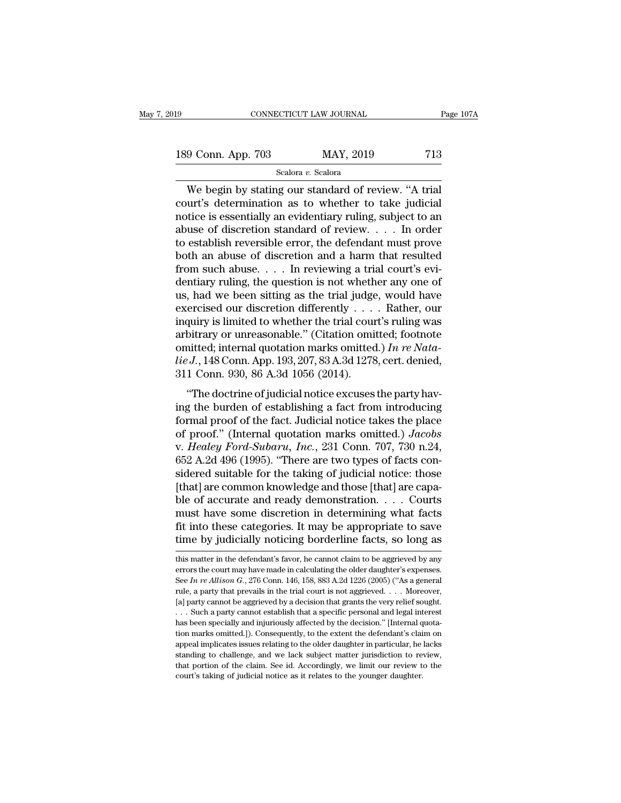189 CONNECTICUT LAW JOURNAL Page 107A<br>189 Conn. App. 703 MAY, 2019 713<br>Scalora v. Scalora

Scalora *v.* Scalora

CONNECTICUT LAW JOURNAL Page 10'<br>
9 Conn. App. 703 MAY, 2019 713<br>
Scalora v. Scalora<br>
We begin by stating our standard of review. "A trial<br>
urt's determination as to whether to take judicial<br>
tigo is oscontially an ovident 189 Conn. App. 703 MAY, 2019 713<br>
Scalora v. Scalora<br>
We begin by stating our standard of review. "A trial<br>
court's determination as to whether to take judicial<br>
notice is essentially an evidentiary ruling, subject to an<br> 189 Conn. App. 703 MAY, 2019 713<br>
Scalora v. Scalora<br>
We begin by stating our standard of review. "A trial<br>
court's determination as to whether to take judicial<br>
notice is essentially an evidentiary ruling, subject to an<br> 189 Conn. App. 703 MAY, 2019 713<br>
Scalora v. Scalora<br>
We begin by stating our standard of review. "A trial<br>
court's determination as to whether to take judicial<br>
notice is essentially an evidentiary ruling, subject to an<br> Scalora *v.* Scalora<br>
Scalora *v.* Scalora<br>
We begin by stating our standard of review. "A trial<br>
court's determination as to whether to take judicial<br>
notice is essentially an evidentiary ruling, subject to an<br>
abuse of Scalora v. Scalora<br>
We begin by stating our standard of review. "A trial<br>
court's determination as to whether to take judicial<br>
notice is essentially an evidentiary ruling, subject to an<br>
abuse of discretion standard of r We begin by stating our standard of review. "A trial court's determination as to whether to take judicial notice is essentially an evidentiary ruling, subject to an abuse of discretion standard of review. . . . In order t court's determination as to whether to take judicial<br>notice is essentially an evidentiary ruling, subject to an<br>abuse of discretion standard of review. . . . In order<br>to establish reversible error, the defendant must prov notice is essentially an evidentiary ruling, subject to an<br>abuse of discretion standard of review. . . . In order<br>to establish reversible error, the defendant must prove<br>both an abuse of discretion and a harm that resulte abuse of discretion standard of review. . . . In order<br>to establish reversible error, the defendant must prove<br>both an abuse of discretion and a harm that resulted<br>from such abuse. . . . In reviewing a trial court's evi-<br> to establish reversible error, the defendant must prove<br>both an abuse of discretion and a harm that resulted<br>from such abuse.... In reviewing a trial court's evi-<br>dentiary ruling, the question is not whether any one of<br>us both an abuse of discretion and a harm that resulted<br>from such abuse.... In reviewing a trial court's evi-<br>dentiary ruling, the question is not whether any one of<br>us, had we been sitting as the trial judge, would have<br>exe from such abuse. . . . . In reviewing a trial court's evidentiary ruling, the question is not whether any one of us, had we been sitting as the trial judge, would have exercised our discretion differently . . . . Rather, dentiary ruling, the question is not whether any one of<br>us, had we been sitting as the trial judge, would have<br>exercised our discretion differently . . . . Rather, our<br>inquiry is limited to whether the trial court's ruling us, had we been sitting as the trial judge<br>exercised our discretion differently . . .<br>inquiry is limited to whether the trial cour<br>arbitrary or unreasonable." (Citation omi<br>omitted; internal quotation marks omitted<br> $lie J., 1$ fully is limited to whether the trial court's ruling was<br>bitrary or unreasonable." (Citation omitted; footnote<br>aitted; internal quotation marks omitted.) In re Nata-<br> $iJ.$ , 148 Conn. App. 193, 207, 83 A.3d 1278, cert. den ing the burden of establishing a fact from introducing formal proof." (Citation on the burden of establishing a fact from introducing formal proof of the fact. Judicial notice excuses the party having the burden of establ

arbitrary of unceasonable. (Chatton omitted, roothotcomitted; internal quotation marks omitted.) In re Nata-<br>lie J., 148 Conn. App. 193, 207, 83 A.3d 1278, cert. denied,<br>311 Conn. 930, 86 A.3d 1056 (2014).<br>"The doctrine o *lie J.*, 148 Conn. App. 193, 207, 83 A.3d 1278, cert. denied,<br>
311 Conn. 930, 86 A.3d 1056 (2014).<br>
"The doctrine of judicial notice excuses the party having the burden of establishing a fact from introducing<br>
formal pro v. *Healey, 140 Conit. App. 155, 201, 65 A.5d 1216, cert. defied,*<br>311 Conn. 930, 86 A.3d 1056 (2014).<br>"The doctrine of judicial notice excuses the party having the burden of establishing a fact from introducing<br>formal pro "The doctrine of judicial notice excuses the party having the burden of establishing a fact from introducing<br>formal proof of the fact. Judicial notice takes the place<br>of proof." (Internal quotation marks omitted.) Jacobs<br> "The doctrine of judicial notice excuses the party having the burden of establishing a fact from introducing<br>formal proof of the fact. Judicial notice takes the place<br>of proof." (Internal quotation marks omitted.) *Jacobs* ing the burden of establishing a fact from introducing<br>formal proof of the fact. Judicial notice takes the place<br>of proof." (Internal quotation marks omitted.) *Jacobs*<br>v. *Healey Ford-Subaru*, *Inc.*, 231 Conn. 707, 730 formal proof of the fact. Judicial notice takes the place<br>of proof." (Internal quotation marks omitted.) *Jacobs*<br>v. *Healey Ford-Subaru, Inc.*, 231 Conn. 707, 730 n.24,<br>652 A.2d 496 (1995). "There are two types of facts of proof." (Internal quotation marks omitted.) Jacobs<br>v. Healey Ford-Subaru, Inc., 231 Conn. 707, 730 n.24,<br>652 A.2d 496 (1995). "There are two types of facts con-<br>sidered suitable for the taking of judicial notice: those v. *Healey Ford-Subaru*, *Inc.*, 231 Conn. 707, 730 n.24, 652 A.2d 496 (1995). "There are two types of facts considered suitable for the taking of judicial notice: those [that] are common knowledge and those [that] are cap 652 A.2d 496 (1995). "There are two types of facts considered suitable for the taking of judicial notice: those [that] are common knowledge and those [that] are capable of accurate and ready demonstration. . . . Courts mu ble of accurate and ready demonstration. . . . Courts<br>must have some discretion in determining what facts<br>fit into these categories. It may be appropriate to save<br>time by judicially noticing borderline facts, so long as<br>t must have some discretion in determining what facts<br>fit into these categories. It may be appropriate to save<br>time by judicially noticing borderline facts, so long as<br>this matter in the defendant's favor, he cannot claim t

fit into these categories. It may be appropriate to save<br>time by judicially noticing borderline facts, so long as<br>this matter in the defendant's favor, he cannot claim to be aggrieved by any<br>errors the court may have made time by judicially noticing borderline facts, so long as<br>this matter in the defendant's favor, he cannot claim to be aggrieved by any<br>errors the court may have made in calculating the older daughter's expenses.<br>See In re A The by Judiciany Hoticing bordernite racts, so long as<br>this matter in the defendant's favor, he cannot claim to be aggrieved by any<br>errors the court may have made in calculating the older daughter's expenses.<br>See *In re Al* this matter in the defendant's favor, he cannot claim to be aggrieved by any<br>errors the court may have made in calculating the older daughter's expenses.<br>See In re Allison G., 276 Conn. 146, 158, 883 A.2d 1226 (2005) ("As errors the court may have made in calculating the older daughter's expenses.<br>See *In re Allison G.*, 276 Conn. 146, 158, 883 A.2d 1226 (2005) ("As a general<br>rule, a party that prevails in the trial court is not aggrieved. See In re Allison G., 276 Conn. 146, 158, 883 A.2d 1226 (2005) ("As a general rule, a party that prevails in the trial court is not aggrieved. . . . Moreover, [a] party cannot be aggrieved by a decision that grants the ve Figure 1.1 appears a period in the trial court is not aggrieved.  $\ldots$  Moreover, [a] party cannot be aggrieved by a decision that grants the very relief sought.  $\ldots$  Such a party cannot establish that a specific personal Finally party cannot be aggrieved by a decision that grants the very relief sought.<br>  $\ldots$  Such a party cannot establish that a specific personal and legal interest<br>
has been specially and injuriously affected by the deci Let pury cannot establish that a specific personal and legal interest<br>has been specially and injuriously affected by the decision." [Internal quota-<br>tion marks omitted.]). Consequently, to the extent the defendant's claim ... Such a party cannot establish that a specific personal and legal interest has been specially and injuriously affected by the decision." [Internal quotation marks omitted.]). Consequently, to the extent the defendant's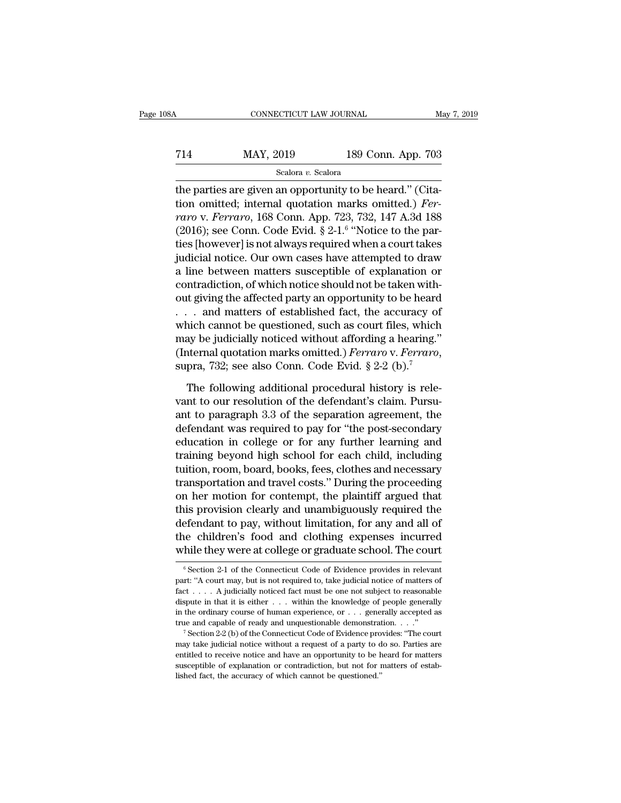| 3A  | CONNECTICUT LAW JOURNAL         |                    | May 7, 2019 |
|-----|---------------------------------|--------------------|-------------|
|     |                                 |                    |             |
| 714 | MAY, 2019<br>Scalora v. Scalora | 189 Conn. App. 703 |             |

CONNECTICUT LAW JOURNAL<br>
T14 MAY, 2019 189 Conn. App. 703<br>
Scalora v. Scalora<br>
the parties are given an opportunity to be heard.'' (Cita-<br>
tion omitted; internal quotation marks omitted.) Fer-T14 MAY, 2019 189 Conn. App. 703<br>
Scalora *v.* Scalora<br>
the parties are given an opportunity to be heard." (Cita-<br>
tion omitted; internal quotation marks omitted.) *Fer-*<br> *Fer-*<br> *Taro v. Ferraro*, 168 Conn. App. 723, 732 *raro MAY*, 2019 189 Conn. App. 703<br> *Scalora v. Scalora*<br> *ration* parties are given an opportunity to be heard." (Citation omitted; internal quotation marks omitted.) *Ferraro* v. *Ferraro*, 168 Conn. App. 723, 732, 14 (2014) The MAY, 2019 189 Connection of the parties are given an opportunity to be l<br>tion omitted; internal quotation marks of the parties (internal quotation marks of the party v. Ferraro, 168 Conn. App. 723, 732, (2016); 89 Conn. App. 703<br>to be heard." (Cita-<br>rks omitted.) Fer-<br>, 732, 147 A.3d 188<br>"Notice to the par-<br>when a court takes Scalora *v.* Scalora<br>
the parties are given an opportunity to be heard." (Cita-<br>
tion omitted; internal quotation marks omitted.) *Fer-*<br> *raro* v. *Ferraro*, 168 Conn. App. 723, 732, 147 A.3d 188<br>
(2016); see Conn. Code seasona v. seasona<br>the parties are given an opportunity to be heard." (Cita-<br>tion omitted; internal quotation marks omitted.) Fer-<br>raro v. Ferraro, 168 Conn. App. 723, 732, 147 A.3d 188<br>(2016); see Conn. Code Evid. § 2-1. the parties are given an opportunity to be heard." (Citation omitted; internal quotation marks omitted.) *Ferraro* v. *Ferraro*, 168 Conn. App. 723, 732, 147 A.3d 188 (2016); see Conn. Code Evid. § 2-1.<sup>6</sup> "Notice to the tion omitted; internal quotation marks omitted.) Fer-<br>raro v. Ferraro, 168 Conn. App. 723, 732, 147 A.3d 188<br>(2016); see Conn. Code Evid. § 2-1.<sup>6</sup> "Notice to the par-<br>ties [however] is not always required when a court ta *raro* v. *Ferraro*, 168 Conn. App. 723, 732, 147 A.3d 188<br>(2016); see Conn. Code Evid. § 2-1.<sup>6</sup> "Notice to the parties [however] is not always required when a court takes<br>judicial notice. Our own cases have attempted to (2016); see Conn. Code Evid. § 2-1.<sup>6</sup> "Notice to the parties [however] is not always required when a court takes judicial notice. Our own cases have attempted to draw a line between matters susceptible of explanation or ties [however] is not always required when a court takes<br>judicial notice. Our own cases have attempted to draw<br>a line between matters susceptible of explanation or<br>contradiction, of which notice should not be taken with-<br>o judicial notice. Our own cases have attempted to draw<br>a line between matters susceptible of explanation or<br>contradiction, of which notice should not be taken with-<br>out giving the affected party an opportunity to be heard<br> a line between matters susceptible of explanation or contradiction, of which notice should not be taken without giving the affected party an opportunity to be heard . . . and matters of established fact, the accuracy of wh . and matters of established fact, the accuracy of<br>nich cannot be questioned, such as court files, which<br>ay be judicially noticed without affording a hearing."<br>nternal quotation marks omitted.) *Ferraro* v. *Ferraro*,<br>pra which cannot be questioned, such as court files, which<br>may be judicially noticed without affording a hearing."<br>(Internal quotation marks omitted.) *Ferraro* v. *Ferraro*,<br>supra, 732; see also Conn. Code Evid.  $\S 2-2$  (b).

may be judicially noticed without affording a hearing."<br>
(Internal quotation marks omitted.) *Ferraro* v. *Ferraro*,<br>
supra, 732; see also Conn. Code Evid.  $\S 2{\text -}2$  (b).<sup>7</sup><br>
The following additional procedural history i (Internal quotation marks omitted.) *Ferraro* v. *Ferraro*, supra, 732; see also Conn. Code Evid.  $\S 2{\text -}2$  (b).<sup>7</sup><br>The following additional procedural history is relevant to our resolution of the defendant's claim. Purs supra, 732; see also Conn. Code Evid.  $\S 2-2$  (b).<sup>7</sup><br>The following additional procedural history is relevant to our resolution of the defendant's claim. Pursu-<br>ant to paragraph 3.3 of the separation agreement, the<br>defend The following additional procedural history is relevant to our resolution of the defendant's claim. Pursuant to paragraph 3.3 of the separation agreement, the defendant was required to pay for "the post-secondary education The following additional procedural history is relevant to our resolution of the defendant's claim. Pursu-<br>ant to paragraph 3.3 of the separation agreement, the<br>defendant was required to pay for "the post-secondary<br>educati vant to our resolution of the defendant's claim. Pursu-<br>ant to paragraph 3.3 of the separation agreement, the<br>defendant was required to pay for "the post-secondary<br>education in college or for any further learning and<br>train ant to paragraph 3.3 of the separation agreement, the<br>defendant was required to pay for "the post-secondary<br>education in college or for any further learning and<br>training beyond high school for each child, including<br>tuition defendant was required to pay for "the post-secondary<br>education in college or for any further learning and<br>training beyond high school for each child, including<br>tuition, room, board, books, fees, clothes and necessary<br>tran education in college or for any further learning and<br>training beyond high school for each child, including<br>tuition, room, board, books, fees, clothes and necessary<br>transportation and travel costs." During the proceeding<br>on training beyond high school for each child, including<br>tuition, room, board, books, fees, clothes and necessary<br>transportation and travel costs." During the proceeding<br>on her motion for contempt, the plaintiff argued that<br>t tuition, room, board, books, fees, clothes and necessary<br>transportation and travel costs." During the proceeding<br>on her motion for contempt, the plaintiff argued that<br>this provision clearly and unambiguously required the<br>d this provision clearly and unambiguously required the defendant to pay, without limitation, for any and all of the children's food and clothing expenses incurred while they were at college or graduate school. The court  $\$ defendant to pay, without limitation, for any and all of<br>the children's food and clothing expenses incurred<br>while they were at college or graduate school. The court<br><sup>6</sup> Section 2-1 of the Connecticut Code of Evidence provi while they were at college or graduate school. The court

the children's food and clothing expenses incurred<br>while they were at college or graduate school. The court<br> $\frac{1}{\sqrt{2}}$ <br> $\frac{1}{\sqrt{2}}$ <br> $\frac{1}{\sqrt{2}}$  for the Connecticut Code of Evidence provides in relevant<br>part: "A court m fact . . . . A judicially noticed fact must be one not subject to reasonable dispute in that it is either . . . within the knowledge of people generally in the ordinary course of human experience, or . . . generally accep <sup>6</sup> Section 2-1 of the Connecticut Code of Evidence provides in relevant part: "A court may, but is not required to, take judicial notice of matters of fact . . . . A judicially noticed fact must be one not subject to rea Fact  $\ldots$  A judicially noticed fact must be one not subject to reasonable dispute in that it is either  $\ldots$  within the knowledge of people generally in the ordinary course of human experience, or  $\ldots$  generally accepte in the ordinary course of human experience, or  $\dots$  generally accepted as true and capable of ready and unquestionable demonstration.  $\ldots$ ."

dispute in that it is either . . . within the knowledge of people generally in the ordinary course of human experience, or . . . generally accepted as true and capable of ready and unquestionable demonstration. . . ."<br><sup>7</sup>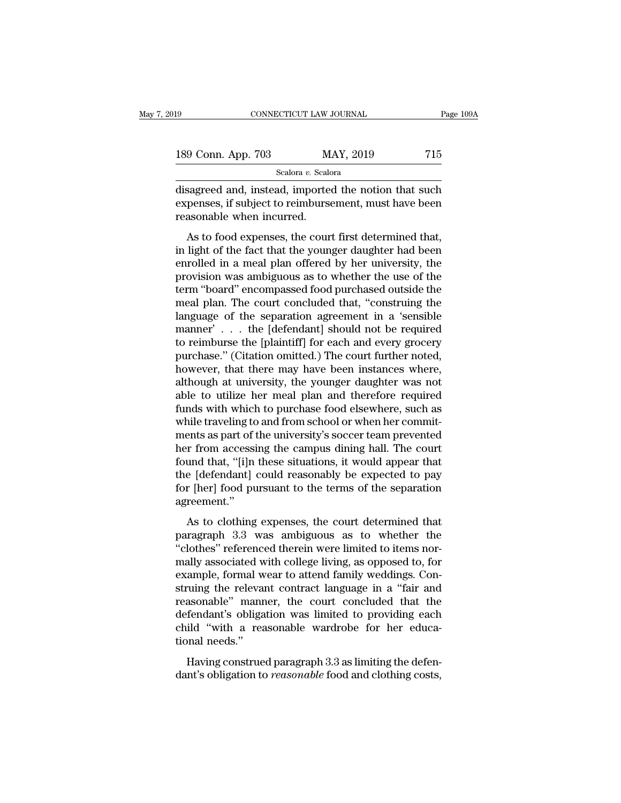| L9                 | CONNECTICUT LAW JOURNAL | Page 109A |
|--------------------|-------------------------|-----------|
| 189 Conn. App. 703 | MAY, 2019               | 715       |
|                    | Scalora v. Scalora      |           |

connectricut LAW JOURNAL Page 109A<br>
189 Conn. App. 703 MAY, 2019 715<br>
Scalora v. Scalora<br>
disagreed and, instead, imported the notion that such<br>
expenses, if subject to reimbursement, must have been<br>
reasonable when incurr 189 Conn. App. 703 MAY, 2019 715<br>Scalora v. Scalora<br>disagreed and, instead, imported the notion that such<br>expenses, if subject to reimbursement, must have been<br>reasonable when incurred. 189 Conn. App. 703 M<br>
Scalora v. Scalora v. Scalora v. Scalora v. Scalora v. Scalora v. Scalora v. Scalora v. Scalora v. Scalora expenses, if subject to reimburse reasonable when incurred.<br>
As to food expenses, the cour  $\frac{9 \text{ Conn. App. } 703}{\text{Scalar } v. \text{ Scalar}}$ <br>  $\frac{8 \text{ calora } v. \text{ Scalar}}{2 \text{ Realor} a}$ <br>
sagreed and, instead, imported the notion that such<br>
penses, if subject to reimbursement, must have been<br>
asonable when incurred.<br>
As to food expenses, the c

scalora v. Scalora<br>
disagreed and, instead, imported the notion that such<br>
expenses, if subject to reimbursement, must have been<br>
reasonable when incurred.<br>
As to food expenses, the court first determined that,<br>
in light o disagreed and, instead, imported the notion that such<br>expenses, if subject to reimbursement, must have been<br>reasonable when incurred.<br>As to food expenses, the court first determined that,<br>in light of the fact that the youn expenses, if subject to reimbursement, must have been<br>reasonable when incurred.<br>As to food expenses, the court first determined that,<br>in light of the fact that the younger daughter had been<br>enrolled in a meal plan offered texpenses, it subject to reinibulisation, mast have seen<br>reasonable when incurred.<br>As to food expenses, the court first determined that,<br>in light of the fact that the younger daughter had been<br>enrolled in a meal plan offer As to food expenses, the court first determined that,<br>in light of the fact that the younger daughter had been<br>enrolled in a meal plan offered by her university, the<br>provision was ambiguous as to whether the use of the<br>term As to food expenses, the court first determined that,<br>in light of the fact that the younger daughter had been<br>enrolled in a meal plan offered by her university, the<br>provision was ambiguous as to whether the use of the<br>ter in light of the fact that the younger daughter had been<br>enrolled in a meal plan offered by her university, the<br>provision was ambiguous as to whether the use of the<br>term "board" encompassed food purchased outside the<br>meal p enrolled in a meal plan offered by her university, the<br>provision was ambiguous as to whether the use of the<br>term "board" encompassed food purchased outside the<br>meal plan. The court concluded that, "construing the<br>language provision was ambiguous as to whether the use of the<br>term "board" encompassed food purchased outside the<br>meal plan. The court concluded that, "construing the<br>language of the separation agreement in a 'sensible<br>manner' . . term "board" encompassed food purchased outside the<br>meal plan. The court concluded that, "construing the<br>language of the separation agreement in a 'sensible<br>manner'... the [defendant] should not be required<br>to reimburse th meal plan. The court concluded that, "construing the<br>language of the separation agreement in a 'sensible<br>manner' . . . the [defendant] should not be required<br>to reimburse the [plaintiff] for each and every grocery<br>purchase language of the separation agreement in a 'sensible<br>manner' . . . the [defendant] should not be required<br>to reimburse the [plaintiff] for each and every grocery<br>purchase." (Citation omitted.) The court further noted,<br>howe manner' . . . the [defendant] should not be required<br>to reimburse the [plaintiff] for each and every grocery<br>purchase." (Citation omitted.) The court further noted,<br>however, that there may have been instances where,<br>althou to reimburse the [plaintiff] for each and every grocery<br>purchase." (Citation omitted.) The court further noted,<br>however, that there may have been instances where,<br>although at university, the younger daughter was not<br>able t purchase." (Citation omitted.) The court further noted,<br>however, that there may have been instances where,<br>although at university, the younger daughter was not<br>able to utilize her meal plan and therefore required<br>funds wit however, that there may have been instances where,<br>although at university, the younger daughter was not<br>able to utilize her meal plan and therefore required<br>funds with which to purchase food elsewhere, such as<br>while travel although at university, the younger daughter was not<br>able to utilize her meal plan and therefore required<br>funds with which to purchase food elsewhere, such as<br>while traveling to and from school or when her commit-<br>ments as able to utilize her meal plan and therefore required<br>funds with which to purchase food elsewhere, such as<br>while traveling to and from school or when her commit-<br>ments as part of the university's soccer team prevented<br>her f funds with which to purchase food elsewhere, such as<br>while traveling to and from school or when her commit-<br>ments as part of the university's soccer team prevented<br>her from accessing the campus dining hall. The court<br>found agreement.'' The court of the directions is become that the court<br>of the court and that, "[i]n these situations, it would appear that<br>e [defendant] could reasonably be expected to pay<br>r [her] food pursuant to the terms of the separatio From accessing are campas aning nant The coard<br>found that, "[i]n these situations, it would appear that<br>the [defendant] could reasonably be expected to pay<br>for [her] food pursuant to the terms of the separation<br>agreement."

Fight and the statement, a world appear and<br>the [defendant] could reasonably be expected to pay<br>for [her] food pursuant to the terms of the separation<br>agreement."<br>As to clothing expenses, the court determined that<br>paragrap mally associated with college living, as opposed to for the separation<br>agreement."<br>As to clothing expenses, the court determined that<br>paragraph 3.3 was ambiguous as to whether the<br>"clothes" referenced therein were limited example."<br>
As to clothing expenses, the court determined that<br>
paragraph 3.3 was ambiguous as to whether the<br>
"clothes" referenced therein were limited to items nor-<br>
mally associated with college living, as opposed to, fo As to clothing expenses, the court determined that<br>paragraph 3.3 was ambiguous as to whether the<br>"clothes" referenced therein were limited to items nor-<br>mally associated with college living, as opposed to, for<br>example, for As to clothing expenses, the court determined that<br>paragraph 3.3 was ambiguous as to whether the<br>"clothes" referenced therein were limited to items nor-<br>mally associated with college living, as opposed to, for<br>example, for paragraph 3.3 was ambiguous as to whether the<br>"clothes" referenced therein were limited to items nor-<br>mally associated with college living, as opposed to, for<br>example, formal wear to attend family weddings. Con-<br>struing th "clothes" referenced therein were limited to items normally associated with college living, as opposed to, for example, formal wear to attend family weddings. Construing the relevant contract language in a "fair and reason mally associated w<br>example, formal w<br>struing the releva<br>reasonable" manr<br>defendant's obliga<br>child "with a rea<br>tional needs."<br>Having construe Example, formal weal to attend randly weddings. Contraining the relevant contract language in a "fair and assonable" manner, the court concluded that the fendant's obligation was limited to providing each ild "with a reaso barange are referant contract anguage in a rian distributed reasonable" manner, the court concluded that the defendant's obligation was limited to providing each child "with a reasonable wardrobe for her educational needs.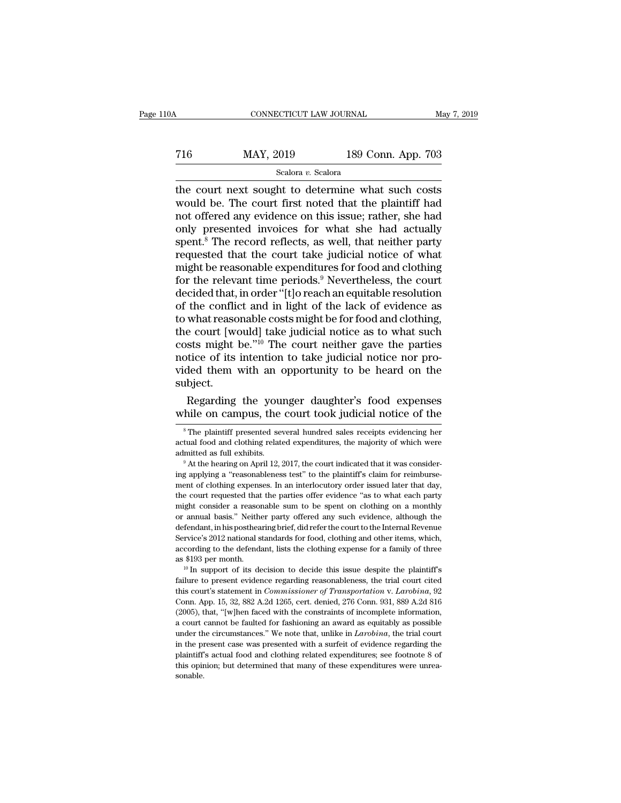# CONNECTICUT LAW JOURNAL May 7, 2019<br>
716 MAY, 2019 189 Conn. App. 703<br>
Scalora v. Scalora

## Scalora *v.* Scalora

THE CONNECTICUT LAW JOURNAL May 7, 2019<br>
The MAY, 2019 189 Conn. App. 703<br>
Scalora v. Scalora<br>
The court next sought to determine what such costs<br>
would be. The court first noted that the plaintiff had<br>
not offered any ovi MAY, 2019 189 Conn. App. 703<br>
Scalora v. Scalora<br>
the court next sought to determine what such costs<br>
would be. The court first noted that the plaintiff had<br>
not offered any evidence on this issue; rather, she had<br>
only pr The MAY, 2019 189 Conn. App. 703<br>
Scalora v. Scalora<br>
the court next sought to determine what such costs<br>
would be. The court first noted that the plaintiff had<br>
not offered any evidence on this issue; rather, she had<br>
on T16 MAY, 2019 189 Conn. App. 703<br>
scalora *v*. Scalora<br>
the court next sought to determine what such costs<br>
would be. The court first noted that the plaintiff had<br>
not offered any evidence on this issue; rather, she had<br> scalora *v*. Scalora<br>scalora *v*. Scalora<br>the court next sought to determine what such costs<br>would be. The court first noted that the plaintiff had<br>not offered any evidence on this issue; rather, she had<br>only presented in Scalora v. Scalora<br>the court next sought to determine what such costs<br>would be. The court first noted that the plaintiff had<br>not offered any evidence on this issue; rather, she had<br>only presented invoices for what she had the court next sought to determine what such costs<br>would be. The court first noted that the plaintiff had<br>not offered any evidence on this issue; rather, she had<br>only presented invoices for what she had actually<br>spent.<sup>8</sup> would be. The court first noted that the plaintiff had<br>not offered any evidence on this issue; rather, she had<br>only presented invoices for what she had actually<br>spent.<sup>8</sup> The record reflects, as well, that neither party<br>re not offered any evidence on this issue; rather, she had<br>only presented invoices for what she had actually<br>spent.<sup>8</sup> The record reflects, as well, that neither party<br>requested that the court take judicial notice of what<br>mig only presented invoices for what she had actually<br>spent.<sup>8</sup> The record reflects, as well, that neither party<br>requested that the court take judicial notice of what<br>might be reasonable expenditures for food and clothing<br>for spent.<sup>8</sup> The record reflects, as well, that neither party<br>requested that the court take judicial notice of what<br>might be reasonable expenditures for food and clothing<br>for the relevant time periods.<sup>9</sup> Nevertheless, the c requested that the court take judicial notice of what<br>might be reasonable expenditures for food and clothing<br>for the relevant time periods.<sup>9</sup> Nevertheless, the court<br>decided that, in order "[t]o reach an equitable resolut might be reasonable expenditures for food and clothing<br>for the relevant time periods.<sup>9</sup> Nevertheless, the court<br>decided that, in order "[t]o reach an equitable resolution<br>of the conflict and in light of the lack of eviden for the relevant time periods.<sup>9</sup> Nevertheless, the court decided that, in order "[t]o reach an equitable resolution of the conflict and in light of the lack of evidence as to what reasonable costs might be for food and cl decided that, in order "[t]o reach an equitable resolution<br>of the conflict and in light of the lack of evidence as<br>to what reasonable costs might be for food and clothing,<br>the court [would] take judicial notice as to what subject. what reasonable costs might be for food and clothing,<br>e court [would] take judicial notice as to what such<br>sts might be."<sup>10</sup> The court neither gave the parties<br>tice of its intention to take judicial notice nor pro-<br>ded th the court [would] take judicial notice as to what such costs might be."<sup>10</sup> The court neither gave the parties notice of its intention to take judicial notice nor provided them with an opportunity to be heard on the subjec

ded them with an opportunity to be heard on the ubject.<br>
Regarding the younger daughter's food expenses<br>
hile on campus, the court took judicial notice of the<br>
<sup>8</sup>The plaintiff presented several hundred sales receipts evid subject.<br>
Regarding the younger daughter's food expenses<br>
while on campus, the court took judicial notice of the<br>
<sup>8</sup>The plaintiff presented several hundred sales receipts evidencing her<br>
actual food and clothing related e Regarding the younger daughter's food expenses while on campus, the court took judicial notice of the  $*$ The plaintiff presented several hundred sales receipts evidencing her actual food and clothing related expenditures,

while on campus, the court took judicial notice of the<br>
<sup>8</sup>The plaintiff presented several hundred sales receipts evidencing her<br>
actual food and clothing related expenditures, the majority of which were<br>
admitted as full <sup>8</sup> The plaintiff presented several hundred sales receipts evidencing her actual food and clothing related expenditures, the majority of which were admitted as full exhibits.<br><sup>9</sup> At the hearing on April 12, 2017, the cour actual food and clothing related expenditures, the majority of which were<br>admitted as full exhibits.<br><sup>9</sup> At the hearing on April 12, 2017, the court indicated that it was consider-<br>ing applying a "reasonableness test" to t admitted as full exhibits.<br>
<sup>9</sup> At the hearing on April 12, 2017, the court indicated that it was considering applying a "reasonableness test" to the plaintiff's claim for reimbursement of clothing expenses. In an interloc <sup>o</sup> At the hearing on April 12, 2017, the court indicated that it was considering applying a "reasonableness test" to the plaintiff's claim for reimbursement of clothing expenses. In an interlocutory order issued later tha ing applying a "reasonableness test" to the plaintiff's claim for reimbursement of clothing expenses. In an interlocutory order issued later that day, the court requested that the parties offer evidence "as to what each pa Example to defining expenses. In an interlocutory order issued later that day, the court requested that the parties offer evidence "as to what each party might consider a reasonable sum to be spent on clothing on a monthly the court requested that the parties offer evidence "as to what each party<br>might consider a reasonable sum to be spent on clothing on a monthly<br>or annual basis." Neither party offered any such evidence, although the<br>defend might consider a reasonable sum to be spent on clothing on a monthly<br>or annual basis." Neither party offered any such evidence, although the<br>defendant, in his posthearing brief, did refer the court to the Internal Revenue<br> defendant, in his posthearing brief, did refer the court to the Internal Revenue<br>Service's 2012 national standards for food, clothing and other items, which,<br>according to the defendant, lists the clothing expense for a fam

Service's 2012 national standards for food, clothing and other items, which, according to the defendant, lists the clothing expense for a family of three as \$193 per month.<br><sup>10</sup> In support of its decision to decide this is according to the defendant, lists the clothing expense for a family of three as \$193 per month.<br><sup>10</sup> In support of its decision to decide this issue despite the plaintiff's failure to present evidence regarding reasonable as \$193 per month.<br>
<sup>10</sup> In support of its decision to decide this issue despite the plaintiff's<br>
failure to present evidence regarding reasonableness, the trial court cited<br>
this court's statement in *Commissioner of Tra* a court cannot be faulted for fashioning an award as equitably and court is statement in *Commissioner of Transportation* v. *Larobina*, 92 Conn. App. 15, 32, 882 A.2d 1265, cert. denied, 276 Conn. 931, 889 A.2d 816 (2005 failure to present evidence regarding reasonableness, the trial court cited<br>this court's statement in *Commissioner of Transportation* v. *Larobina*, 92<br>Conn. App. 15, 32, 882 A.2d 1265, cert. denied, 276 Conn. 931, 889 A. this court's statement in *Commissioner of Transportation v. Larobina*, 92<br>Conn. App. 15, 32, 882 A.2d 1265, cert. denied, 276 Conn. 931, 889 A.2d 816<br>(2005), that, "[w]hen faced with the constraints of incomplete informat this court's statement in *Commissioner of Transportation v. Larobina*, 92 Conn. App. 15, 32, 882 A.2d 1265, cert. denied, 276 Conn. 931, 889 A.2d 816 (2005), that, "[w]hen faced with the constraints of incomplete informa (2005), that, "[w]hen faced with the constraints of incomplete information, sonable.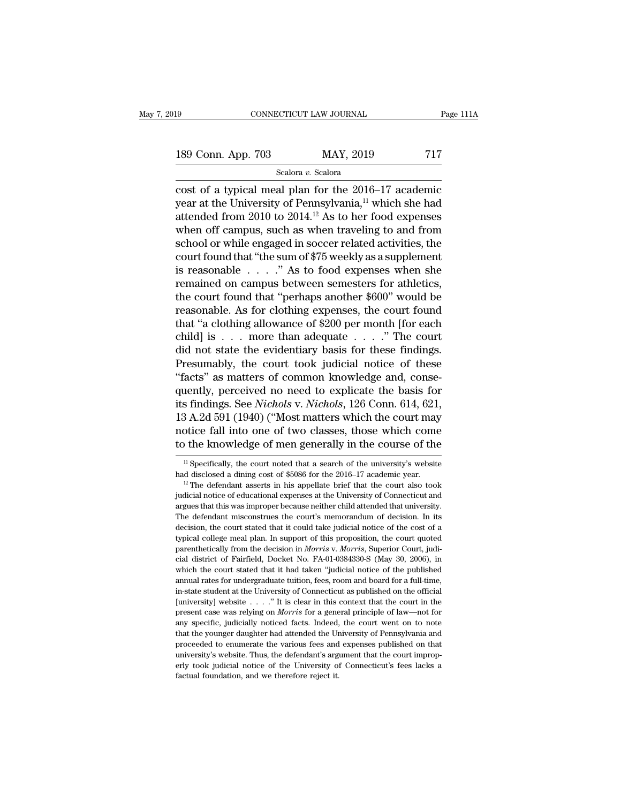connectricut LAW JOURNAL Page 111A<br>
189 Conn. App. 703 MAY, 2019 717<br>
Scalora v. Scalora<br>
cost of a typical meal plan for the 2016–17 academic<br>
year at the University of Pennsylvania,<sup>11</sup> which she had<br>
attended from 2010 189 Conn. App. 703 MAY, 2019 717<br>Scalora v. Scalora<br>cost of a typical meal plan for the 2016–17 academic<br>year at the University of Pennsylvania,<sup>11</sup> which she had<br>attended from 2010 to 2014.<sup>12</sup> As to her food expenses<br>wh 189 Conn. App. 703 MAY, 2019 717<br>
Scalora v. Scalora<br>
cost of a typical meal plan for the 2016–17 academic<br>
year at the University of Pennsylvania,<sup>11</sup> which she had<br>
attended from 2010 to 2014.<sup>12</sup> As to her food expense 189 Conn. App. 703 MAY, 2019 717<br>
Scalora v. Scalora<br>
cost of a typical meal plan for the 2016–17 academic<br>
year at the University of Pennsylvania,<sup>11</sup> which she had<br>
attended from 2010 to 2014.<sup>12</sup> As to her food expense scalora *v*. Scalora<br>cost of a typical meal plan for the 2016–17 academic<br>year at the University of Pennsylvania,<sup>11</sup> which she had<br>attended from 2010 to 2014.<sup>12</sup> As to her food expenses<br>when off campus, such as when tra seasora v. seasora<br>
cost of a typical meal plan for the 2016–17 academic<br>
year at the University of Pennsylvania,<sup>11</sup> which she had<br>
attended from 2010 to 2014.<sup>12</sup> As to her food expenses<br>
when off campus, such as when t cost of a typical meal plan for the 2016–17 academic<br>year at the University of Pennsylvania,<sup>11</sup> which she had<br>attended from 2010 to 2014.<sup>12</sup> As to her food expenses<br>when off campus, such as when traveling to and from<br>sc year at the University of Pennsylvania,<sup>11</sup> which she had<br>attended from 2010 to 2014.<sup>12</sup> As to her food expenses<br>when off campus, such as when traveling to and from<br>school or while engaged in soccer related activities, t attended from 2010 to 2014.<sup>12</sup> As to her food expenses<br>when off campus, such as when traveling to and from<br>school or while engaged in soccer related activities, the<br>court found that "the sum of \$75 weekly as a supplement when off campus, such as when traveling to and from<br>school or while engaged in soccer related activities, the<br>court found that "the sum of \$75 weekly as a supplement<br>is reasonable  $\ldots$ ." As to food expenses when she<br>rema school or while engaged in soccer related activities, the<br>court found that "the sum of \$75 weekly as a supplement<br>is reasonable  $\ldots$ ." As to food expenses when she<br>remained on campus between semesters for athletics,<br>the court found that "the sum of \$75 weekly as a supplement<br>is reasonable . . . . " As to food expenses when she<br>remained on campus between semesters for athletics,<br>the court found that "perhaps another \$600" would be<br>reasona is reasonable  $\ldots$  ." As to food expenses when she<br>remained on campus between semesters for athletics,<br>the court found that "perhaps another \$600" would be<br>reasonable. As for clothing expenses, the court found<br>that "a cl remained on campus between semesters for athletics,<br>the court found that "perhaps another \$600" would be<br>reasonable. As for clothing expenses, the court found<br>that "a clothing allowance of \$200 per month [for each<br>child] i the court found that "perhaps another \$600" would be reasonable. As for clothing expenses, the court found that "a clothing allowance of \$200 per month [for each child] is . . . more than adequate . . . ." The court did n reasonable. As for clothing expenses, the court found<br>that "a clothing allowance of \$200 per month [for each<br>child] is . . . more than adequate . . . . ." The court<br>did not state the evidentiary basis for these findings.<br> that "a clothing allowance of \$200 per month [for each child] is . . . more than adequate . . . ." The court did not state the evidentiary basis for these findings. Presumably, the court took judicial notice of these "fact child] is . . . more than adequate . . . ." The court<br>did not state the evidentiary basis for these findings.<br>Presumably, the court took judicial notice of these<br>"facts" as matters of common knowledge and, conse-<br>quently, did not state the evidentiary basis for these findings.<br>Presumably, the court took judicial notice of these<br>"facts" as matters of common knowledge and, conse-<br>quently, perceived no need to explicate the basis for<br>its findi Presumably, the court took judicial notice of these<br>
"facts" as matters of common knowledge and, conse-<br>
quently, perceived no need to explicate the basis for<br>
its findings. See *Nichols* v. *Nichols*, 126 Conn. 614, 621,<br> 13 A.2d 591 (1940) ("Most matters which the court may<br>notice fall into one of two classes, those which come<br>to the knowledge of men generally in the course of the<br> $\frac{1}{12}$  Specifically, the court noted that a search of 13 A.2d 591 (1940) ("Most matters which the court may<br>notice fall into one of two classes, those which come<br>to the knowledge of men generally in the course of the<br> $\frac{1}{1}$  Specifically, the court noted that a search of t

to the knowledge of men generally in the course of the<br>
<sup>11</sup> Specifically, the court noted that a search of the university's website<br>
had disclosed a dining cost of \$5086 for the 2016–17 academic year.<br>
<sup>12</sup> The defendant argues that this was improper because neither child attended that university<sup>'s</sup> website had disclosed a dining cost of \$5086 for the 2016–17 academic year.<sup>12</sup> The defendant asserts in his appellate brief that the court <sup>11</sup> Specifically, the court noted that a search of the university's website had disclosed a dining cost of \$5086 for the 2016–17 academic year.<br><sup>12</sup> The defendant asserts in his appellate brief that the court also took j had disclosed a dining cost of \$5086 for the 2016–17 academic year.<br><sup>12</sup> The defendant asserts in his appellate brief that the court also took judicial notice of educational expenses at the University of Connecticut and a <sup>12</sup> The defendant asserts in his appellate brief that the court also took judicial notice of educational expenses at the University of Connecticut and argues that this was improper because neither child attended that uni judicial notice of educational expenses at the University of Connecticut and argues that this was improper because neither child attended that university. The defendant misconstrues the court's memorandum of decision. In i argues that this was improper because neither child attended that university.<br>The defendant misconstrues the court's memorandum of decision. In its<br>decision, the court stated that it could take judicial notice of the cost The defendant misconstrues the court's memorandum of decision. In its decision, the court stated that it could take judicial notice of the cost of a typical college meal plan. In support of this proposition, the court quo decision, the court stated that it could take judicial notice of the cost of a dypical college meal plan. In support of this proposition, the court quoted parenthetically from the decision in *Morris* v. *Morris*, Superior typical college meal plan. In support of this proposition, the court quoted parenthetically from the decision in *Morris* v. *Morris*, Superior Court, judicial district of Fairfield, Docket No. FA-01-0384330-S (May 30, 20 parenthetically from the decision in *Morris* v. *Morris*, Superior Court, judicial district of Fairfield, Docket No. FA-01-0384330-S (May 30, 2006), in which the court stated that it had taken "judicial notice of the pub cial district of Fairfield, Docket No. FA-01-0384330-S (May 30, 2006), in which the court stated that it had taken "judicial notice of the published annual rates for undergraduate tuition, fees, room and board for a full-t which the court stated that it had taken "judicial notice of the published annual rates for undergraduate tuition, fees, room and board for a full-time, in-state student at the University of Connecticut as published on th manual rates for undergraduate tuition, fees, room and board for a full-time, in-state student at the University of Connecticut as published on the official [university] website  $\ldots$  ." It is clear in this context that t annual rates for undergraduate tuition, fees, room and board for a full-time, in-state student at the University of Connecticut as published on the official [university] website  $\ldots$  ." It is clear in this context that t [university] website . . . . ." It is clear in this context that the court in the present case was relying on *Morris* for a general principle of law—not for any specific, judicially noticed facts. Indeed, the court went erly took judicially noticed facts. Indeed, the court went on to note that the younger daughter had attended the University of Pennsylvania and proceeded to enumerate the various fees and expenses published on that univers any specific, judicially noticed facts. Indeed, the court went on to note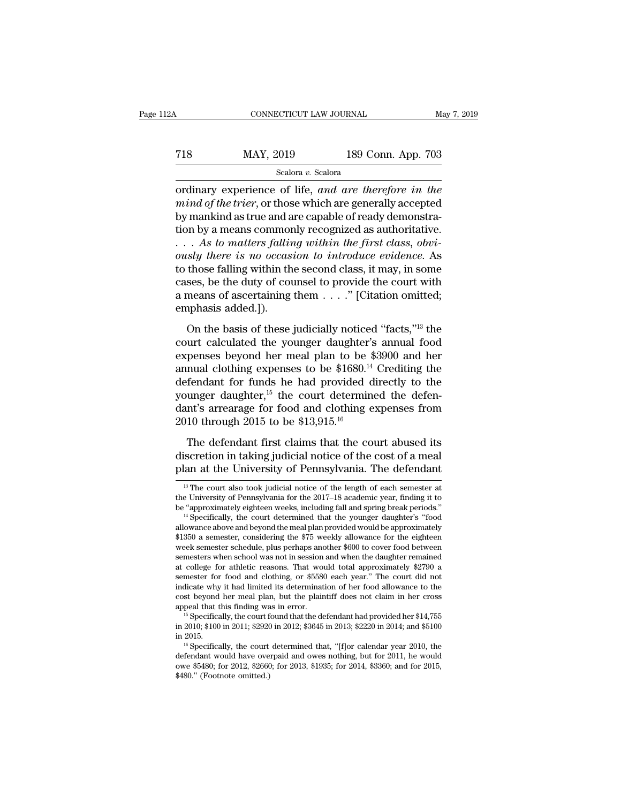## CONNECTICUT LAW JOURNAL May 7, 2019<br>
718 MAY, 2019 189 Conn. App. 703<br>
Scalora v. Scalora Scalora *v.* Scalora

CONNECTICUT LAW JOURNAL May 7, 2019<br>
T18 MAY, 2019 189 Conn. App. 703<br>
Scalora v. Scalora<br>
ordinary experience of life, *and are therefore in the*<br>
mind of the trier, or those which are generally accepted<br>
by mankind as tr *mind of the trier*, or those which are therefore in the mind of the trier, or those which are generally accepted by mankind as true and are capable of ready demonstration by a moans commonly recognized as authoritative. Fig. May, 2019 189 Conn. App. 703<br>
Scalora v. Scalora<br>
ordinary experience of life, and are therefore in the<br>
mind of the trier, or those which are generally accepted<br>
by mankind as true and are capable of ready demonstra T18 MAY, 2019 189 Conn. App. 703<br>
scalora v. Scalora<br>
ordinary experience of life, and are therefore in the<br>
mind of the trier, or those which are generally accepted<br>
by mankind as true and are capable of ready demonstra-Scalora *v.* Scalora<br>
Scalora *v.* Scalora<br>
ordinary experience of life, and are therefore in the<br>
mind of the trier, or those which are generally accepted<br>
by mankind as true and are capable of ready demonstra-<br>
tion by a Scalora *v.* Scalora<br>
ordinary experience of life, and are therefore in the<br>
mind of the trier, or those which are generally accepted<br>
by mankind as true and are capable of ready demonstra-<br>
tion by a means commonly recogn ordinary experience of life, and are therefore in the<br>mind of the trier, or those which are generally accepted<br>by mankind as true and are capable of ready demonstra-<br>tion by a means commonly recognized as authoritative.<br>mind of the trier, or those which are generally accepted<br>by mankind as true and are capable of ready demonstra-<br>tion by a means commonly recognized as authoritative.<br> $\ldots$  As to matters falling within the first class, obv by mankind as true and are capable of ready demonstration by a means commonly recognized as authoritative.<br>
. . . As to matters falling within the first class, obviously there is no occasion to introduce evidence. As<br>
to tion by a means commonly recognized as authoritative.<br>  $\ldots$  As to matters falling within the first class, obviously there is no occasion to introduce evidence. As<br>
to those falling within the second class, it may, in som Cases, solver the basis of these is no occasion to introduce evidence. As<br>those falling within the second class, it may, in some<br>ses, be the duty of counsel to provide the court with<br>means of ascertaining them  $\dots$ ." [Cit to those falling within the second class, it may, in some<br>cases, be the duty of counsel to provide the court with<br>a means of ascertaining them  $\dots$ ." [Citation omitted;<br>emphasis added.]).<br>On the basis of these judicially

cases, be the duty of counsel to provide the court with<br>a means of ascertaining them  $\ldots$ ." [Citation omitted;<br>emphasis added.]).<br>On the basis of these judicially noticed "facts,"<sup>13</sup> the<br>court calculated the younger dau a means of ascertaining them  $\ldots$ ." [Citation omitted;<br>a means of ascertaining them  $\ldots$ ." [Citation omitted;<br>emphasis added.]).<br>On the basis of these judicially noticed "facts,"<sup>13</sup> the<br>court calculated the younger dau definition of assessment  $\ldots$  (station of matter,<br>emphasis added.]).<br>On the basis of these judicially noticed "facts,"<sup>13</sup> the<br>court calculated the younger daughter's annual food<br>expenses beyond her meal plan to be \$3900 On the basis of these judicially noticed "facts,"<sup>13</sup> the<br>court calculated the younger daughter's annual food<br>expenses beyond her meal plan to be \$3900 and her<br>annual clothing expenses to be \$1680.<sup>14</sup> Crediting the<br>defen On the basis of these judicially noticed "facts,"<sup>13</sup> the<br>court calculated the younger daughter's annual food<br>expenses beyond her meal plan to be \$3900 and her<br>annual clothing expenses to be \$1680.<sup>14</sup> Crediting the<br>defen court calculated the younger daughter's<br>expenses beyond her meal plan to be  $\frac{2}{3}$ <br>annual clothing expenses to be  $\$1680.^{14}$ <br>defendant for funds he had provided d<br>younger daughter,<sup>15</sup> the court determin<br>dant's arrea mual clothing expenses to be \$1680.<sup>14</sup> Crediting the<br>fendant for funds he had provided directly to the<br>unger daughter,<sup>15</sup> the court determined the defen-<br>nt's arrearage for food and clothing expenses from<br>10 through 201 defendant for funds he had provided directly to the younger daughter,<sup>15</sup> the court determined the defendant's arrearage for food and clothing expenses from 2010 through 2015 to be \$13,915.<sup>16</sup><br>The defendant first claims plane is the University of Pennsylvania. The defendant's arrearage for food and clothing expenses from 2010 through 2015 to be \$13,915.<sup>16</sup><br>The defendant first claims that the court abused its discretion in taking judicia

The defendant first claims that the court abused its<br>iscretion in taking judicial notice of the cost of a meal<br>lan at the University of Pennsylvania. The defendant<br><sup>13</sup> The court also took judicial notice of the length of The defendant first claims that the court abused its<br>discretion in taking judicial notice of the cost of a meal<br>plan at the University of Pennsylvania. The defendant<br> $\frac{1}{12}$  The court also took judicial notice of the l discretion in taking judicial notice of the cost of a meal<br>plan at the University of Pennsylvania. The defendant<br> $\frac{18}{10}$  The court also took judicial notice of the length of each semester at<br>the University of Pennsylv

plan at the University of Pennsylvania. The defendant<br>
<sup>13</sup> The court also took judicial notice of the length of each semester at<br>
the University of Pennsylvania for the 2017–18 academic year, finding it to<br>
be "approxima <sup>13</sup> The court also took judicial notice of the length of each semester at the University of Pennsylvania for the 2017–18 academic year, finding it to be "approximately eighteen weeks, including fall and spring break peri <sup>13</sup> The court also took judicial notice of the length of each semester at the University of Pennsylvania for the 2017–18 academic year, finding it to be "approximately eighteen weeks, including fall and spring break peri the University of Pennsylvania for the 2017–18 academic year, finding it to<br>be "approximately eighteen weeks, including fall and spring break periods."<br><sup>14</sup> Specifically, the court determined that the younger daughter's " be "approximately eighteen weeks, including fall and spring break periods."<br><sup>14</sup> Specifically, the court determined that the younger daughter's "food<br>allowance above and beyond the meal plan provided would be approximatel " Specifically, the court determined that the younger daughter's "tood allowance above and beyond the meal plan provided would be approximately \$1350 a semester, considering the \$75 weekly allowance for the eighteen week allowance above and beyond the meal plan provided would be approximately \$1350 a semester, considering the \$75 weekly allowance for the eighteen week semester schedule, plus perhaps another \$600 to cover food between semes \$1350 a semester, considering the \$75 weekly allowance for the eighteen<br>week semester schedule, plus perhaps another \$600 to cover food between<br>semesters when school was not in session and when the daughter remained<br>at co week semester schedule, plus perhaps another \$600 to cover food between<br>semesters when school was not in session and when the daughter remained<br>at college for athletic reasons. That would total approximately \$2790 a<br>semest at college for athletic reasons. That would total approximately \$2790 a<br>semester for food and clothing, or \$5580 each year." The court did not<br>indicate why it had limited its determination of her food allowance to the<br>cos semester for food and clothing, or \$5580 each year." The court did not<br>indicate why it had limited its determination of her food allowance to the<br>cost beyond her meal plan, but the plaintiff does not claim in her cross<br>ap

cost beyond her meal plan, but the plaintiff does not claim in her cross<br>appeal that this finding was in error.<br><sup>15</sup> Specifically, the court found that the defendant had provided her \$14,755<br>in 2010, \$100 in 2011, \$2920 i appeal that this finding was in error.<br><sup>15</sup> Specifically, the court found that the defendant had provided her \$14,755 in 2010; \$100 in 2011; \$2920 in 2012; \$3645 in 2013; \$2220 in 2014; and \$5100 in 2015.<br><sup>16</sup> Specificall  $^{15}$  Specifically, the court found that the defendant had provided her \$14,755 in 2010; \$100 in 2011; \$2920 in 2012; \$3645 in 2013; \$2220 in 2014; and \$5100 in 2015.<br>  $^{16}$  Specifically, the court determined that, "[f]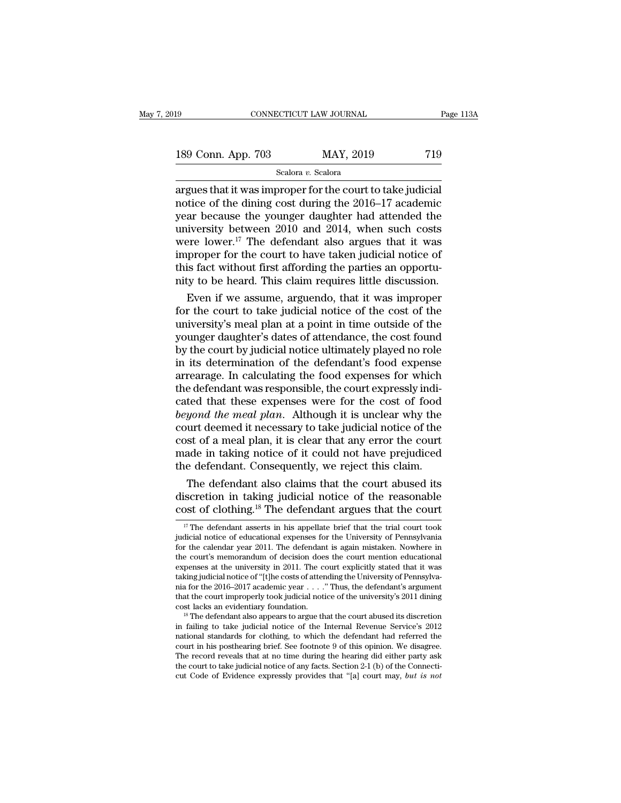# 189 CONNECTICUT LAW JOURNAL Page 113A<br>189 Conn. App. 703 MAY, 2019 719<br>Scalora v. Scalora

Scalora *v.* Scalora

cONNECTICUT LAW JOURNAL Page 11:<br>
189 Conn. App. 703 MAY, 2019 719<br>
Scalora v. Scalora<br>
argues that it was improper for the court to take judicial<br>
notice of the dining cost during the 2016–17 academic<br>
wear because the yo 189 Conn. App. 703 MAY, 2019 719<br>Scalora v. Scalora<br>argues that it was improper for the court to take judicial<br>notice of the dining cost during the 2016–17 academic<br>year because the younger daughter had attended the<br>univer 189 Conn. App. 703 MAY, 2019 719<br>
Scalora v. Scalora<br>
argues that it was improper for the court to take judicial<br>
notice of the dining cost during the 2016–17 academic<br>
year because the younger daughter had attended the<br> 189 Conn. App. 703 MAY, 2019 719<br>
Scalora *v*. Scalora<br>
argues that it was improper for the court to take judicial<br>
notice of the dining cost during the 2016–17 academic<br>
year because the younger daughter had attended the Scalora v. Scalora<br>
Scalora v. Scalora<br>
argues that it was improper for the court to take judicial<br>
notice of the dining cost during the 2016–17 academic<br>
year because the younger daughter had attended the<br>
university bet Scalora *v*. Scalora<br>
argues that it was improper for the court to take judicial<br>
notice of the dining cost during the 2016–17 academic<br>
year because the younger daughter had attended the<br>
university between 2010 and 2014 argues that it was improper for the court to take judicial<br>notice of the dining cost during the 2016–17 academic<br>year because the younger daughter had attended the<br>university between 2010 and 2014, when such costs<br>were lo notice of the dining cost during the 2016–17 academic<br>year because the younger daughter had attended the<br>university between 2010 and 2014, when such costs<br>were lower.<sup>17</sup> The defendant also argues that it was<br>improper for ar because the younger daughter had attended the<br>iversity between 2010 and 2014, when such costs<br>ere lower.<sup>17</sup> The defendant also argues that it was<br>proper for the court to have taken judicial notice of<br>is fact without fi university between 2010 and 2014, when such costs<br>were lower.<sup>17</sup> The defendant also argues that it was<br>improper for the court to have taken judicial notice of<br>this fact without first affording the parties an opportu-<br>nit

were lower." The defendant also argues that it was<br>improper for the court to have taken judicial notice of<br>this fact without first affording the parties an opportu-<br>nity to be heard. This claim requires little discussion.<br> improper for the court to have taken judicial notice of<br>this fact without first affording the parties an opportu-<br>nity to be heard. This claim requires little discussion.<br>Even if we assume, arguendo, that it was improper<br>f this fact without first affording the parties an opportunity to be heard. This claim requires little discussion.<br>Even if we assume, arguendo, that it was improper<br>for the court to take judicial notice of the cost of the<br>un nity to be heard. This claim requires little discussion.<br>Even if we assume, arguendo, that it was improper<br>for the court to take judicial notice of the cost of the<br>university's meal plan at a point in time outside of the<br>y Even if we assume, arguendo, that it was improper<br>for the court to take judicial notice of the cost of the<br>university's meal plan at a point in time outside of the<br>younger daughter's dates of attendance, the cost found<br>by for the court to take judicial notice of the cost of the university's meal plan at a point in time outside of the younger daughter's dates of attendance, the cost found by the court by judicial notice ultimately played no university's meal plan at a point in time outside of the<br>younger daughter's dates of attendance, the cost found<br>by the court by judicial notice ultimately played no role<br>in its determination of the defendant's food expense younger daughter's dates of attendance, the cost found<br>by the court by judicial notice ultimately played no role<br>in its determination of the defendant's food expense<br>arrearage. In calculating the food expenses for which<br>th by the court by judicial notice ultimately played no role<br>in its determination of the defendant's food expense<br>arrearage. In calculating the food expenses for which<br>the defendant was responsible, the court expressly indi-<br> in its determination of the defendant's food expense<br>arrearage. In calculating the food expenses for which<br>the defendant was responsible, the court expressly indi-<br>cated that these expenses were for the cost of food<br>beyond arrearage. In calculating the food expenses for which<br>the defendant was responsible, the court expressly indi-<br>cated that these expenses were for the cost of food<br>beyond the meal plan. Although it is unclear why the<br>court the defendant was responsible, the court expressly indicated that these expenses were for the cost of food beyond the meal plan. Although it is unclear why the court deemed it necessary to take judicial notice of the cost ted that these expenses were for the cost of food<br>*yond the meal plan*. Although it is unclear why the<br>urt deemed it necessary to take judicial notice of the<br>st of a meal plan, it is clear that any error the court<br>ade in t beyond the meal plan. Although it is unclear why the<br>court deemed it necessary to take judicial notice of the<br>cost of a meal plan, it is clear that any error the court<br>made in taking notice of it could not have prejudiced<br> court deemed it necessary to take judicial notice of the<br>cost of a meal plan, it is clear that any error the court<br>made in taking notice of it could not have prejudiced<br>the defendant. Consequently, we reject this claim.<br>T

The defendant also claims that the court abused its<br>iscretion in taking judicial notice of the reasonable<br>post of clothing.<sup>18</sup> The defendant argues that the court<br><sup>17</sup> The defendant asserts in his appellate brief that the The defendant also claims that the court abused its<br>discretion in taking judicial notice of the reasonable<br>cost of clothing.<sup>18</sup> The defendant argues that the court<br> $\frac{17}{17}$  The defendant asserts in his appellate brief

for the deterministance of the reasonable<br>cost of clothing.<sup>18</sup> The defendant argues that the court<br> $\frac{17}{17}$  The defendant asserts in his appellate brief that the trial court took<br>judicial notice of educational expense cost of clothing.<sup>18</sup> The defendant argues that the court<br>
<sup>17</sup> The defendant asserts in his appellate brief that the trial court took<br>
judicial notice of educational expenses for the University of Pennsylvania<br>
for the c **COST Of Clothing.**<sup>18</sup> The defendant argues that the court  $\frac{17}{17}$  The defendant asserts in his appellate brief that the trial court took judicial notice of educational expenses for the University of Pennsylvania for <sup>17</sup> The defendant asserts in his appellate brief that the trial court took judicial notice of educational expenses for the University of Pennsylvania for the calendar year 2011. The defendant is again mistaken. Nowhere i " The defendant asserts in his appellate brief that the trial court took<br>judicial notice of educational expenses for the University of Pennsylvania<br>for the calendar year 2011. The defendant is again mistaken. Nowhere in<br>t judicial notice of educational expenses for the University of Pennsylvania<br>for the calendar year 2011. The defendant is again mistaken. Nowhere in<br>the court's memorandum of decision does the court mention educational<br>expen for the calendar year 2011. The defendant is again mistaken. Nowhere in the court's memorandum of decision does the court mention educational expenses at the university in 2011. The court explicitly stated that it was tak expenses at the university in 2011. The court explicitly stated that it was<br>taking judicial notice of "[t]he costs of attending the University of Pennsylva-<br>nia for the 2016–2017 academic year . . . . " Thus, the defendan

taking judicial notice of "[t]he costs of attending the University of Pennsylva-<br>nia for the 2016–2017 academic year . . . . " Thus, the defendant's argument<br>that the court improperly took judicial notice of the universit mia for the 2016–2017 academic year  $\ldots$  ... ... Thus, the defendant's argument that the court improperly took judicial notice of the university's 2011 dining cost lacks an evidentiary foundation.<br><sup>18</sup> The defendant also that the court improperly took judicial notice of the university's 2011 dining<br>cost lacks an evidentiary foundation.<br><sup>18</sup> The defendant also appears to argue that the court abused its discretion<br>in failing to take judicial cost lacks an evidentiary foundation.<br><sup>18</sup> The defendant also appears to argue that the court abused its discretion<br>in failing to take judicial notice of the Internal Revenue Service's 2012<br>national standards for clothing in failing to take judicial notice of the Internal Revenue Service's  $2012$  national standards for clothing, to which the defendant had referred the court in his posthearing brief. See footnote 9 of this opinion. We disag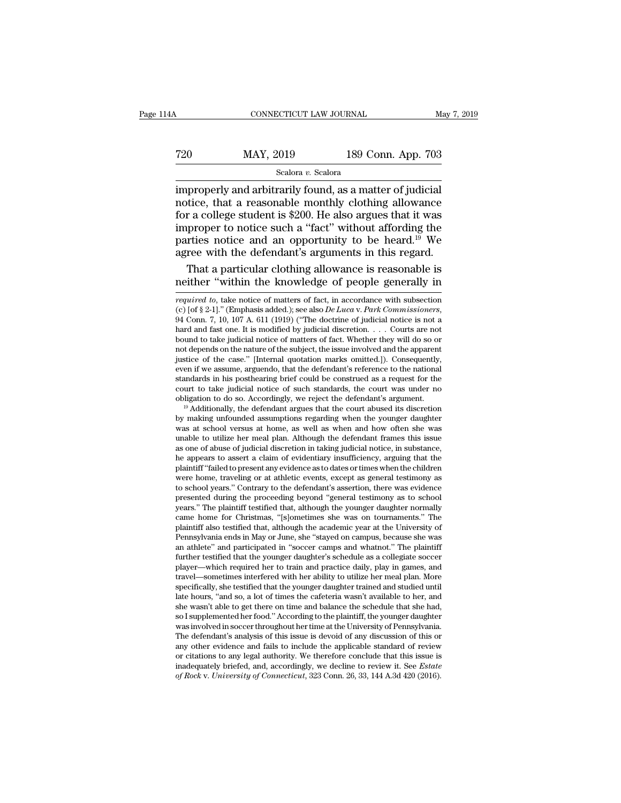# CONNECTICUT LAW JOURNAL May 7, 2019<br>
720 MAY, 2019 189 Conn. App. 703<br>
Scalora v. Scalora

## Scalora *v.* Scalora

CONNECTICUT LAW JOURNAL May 7, 20<br>
T20 MAY, 2019 189 Conn. App. 703<br>
Scalora v. Scalora<br>
improperly and arbitrarily found, as a matter of judicial<br>
notice, that a reasonable monthly clothing allowance<br>
for a college studen  $\begin{tabular}{ll} \hline 720 & \multicolumn{1}{l}{{\bf MAY, 2019}} & \multicolumn{1}{l}{{\bf 189 Conn. App. 703}}\\ \hline & \multicolumn{1}{l}{{\bf 5calora } v. Scalar} \\ \hline \hline & \multicolumn{1}{l}{\bf 189 from. App. 703} \\ \hline \hline & \multicolumn{1}{l}{\bf 189 from. App. 703} \\ \hline \hline & \multicolumn{1}{l}{\bf 189 from. Top. 703} \\ \hline & \multicolumn{1}{l}{\bf 189 from. Top. 703} \\ \hline & \$ For a college student is  $\frac{\text{Kalora } v \cdot \text{Scalar}}{200}$ . He also argues that a reasonable monthly clothing allowance<br>for a college student is \$200. He also argues that it was improper to notice such a "fact" without affording t The MAY, 2019 189 Conn. App. 703<br>
Scalora v. Scalora<br>
improperly and arbitrarily found, as a matter of judicial<br>
notice, that a reasonable monthly clothing allowance<br>
for a college student is \$200. He also argues that it scalora *v.* Scalora **be colution**. App. 705<br>
scalora *v.* Scalora<br>
improperly and arbitrarily found, as a matter of judicial<br>
notice, that a reasonable monthly clothing allowance<br>
for a college student is \$200. He also a Scalora *v*. Scalora<br>
improperly and arbitrarily found, as a matter of judicial<br>
notice, that a reasonable monthly clothing allowance<br>
for a college student is \$200. He also argues that it was<br>
improper to notice such a " properly and arbitrarily found, as a matter of judicial<br>tice, that a reasonable monthly clothing allowance<br>r a college student is \$200. He also argues that it was<br>proper to notice such a "fact" without affording the<br>reties notice, that a reasonable monthly clothing allowance<br>for a college student is \$200. He also argues that it was<br>improper to notice such a "fact" without affording the<br>parties notice and an opportunity to be heard.<sup>19</sup> We<br>a

even if we assume, arguendo, that the defendant's reference to the national standards in his posthearing brief could be construed as a request for the court to take judicial notice of such standards, the court was under no standards in his posthearing brief could be construed as a request for the court to take judicial notice of such standards, the court was under no obligation to do so. Accordingly, we reject the defendant's argument. <sup>19</sup> court to take judicial notice of such standards, the court was under no<br>obligation to do so. Accordingly, we reject the defendant's argument.<br><sup>19</sup> Additionally, the defendant argues that the court abused its discretion<br>by obligation to do so. Accordingly, we reject the defendant's argument.<br><sup>19</sup> Additionally, the defendant argues that the court abused its discretion<br>by making unfounded assumptions regarding when the younger daughter<br>was at  $^{\omega}$  Additionally, the defendant argues that the court abused its discretion<br>by making unfounded assumptions regarding when the younger daughter<br>was at school versus at home, as well as when and how often she was<br>unable by making unfounded assumptions regarding when the younger daughter was at school versus at home, as well as when and how often she was unable to utilize her meal plan. Although the defendant frames this issue as one of ab was at school versus at home, as well as when and how often she was unable to utilize her meal plan. Although the defendant frames this issue as one of abuse of judicial discretion in taking judicial notice, in substance, unable to utilize her meal plan. Although the defendant frames this issue as one of abuse of judicial discretion in taking judicial notice, in substance, he appears to assert a claim of evidentiary insufficiency, arguing t as one of abuse of judicial discretion in taking judicial notice, in substance,<br>he appears to assert a claim of evidentiary insufficiency, arguing that the<br>plaintiff "failed to present any evidence as to dates or times whe he appears to assert a claim of evidentiary insufficiency, arguing that the plaintiff "failed to present any evidence as to dates or times when the children were home, traveling or at athletic events, except as general tes plaintiff "failed to present any evidence as to dates or times when the children<br>were home, traveling or at athletic events, except as general testimony as<br>to school years." Contrary to the defendant's assertion, there was were home, traveling or at athletic events, except as general testimony as<br>to school years." Contrary to the defendant's assertion, there was evidence<br>presented during the proceeding beyond "general testimony as to school<br> to school years." Contrary to the defendant's assertion, there was evidence<br>presented during the proceeding beyond "general testimony as to school<br>years." The plaintiff testified that, although the younger daughter normall presented during the proceeding beyond "general testimony as to school<br>years." The plaintiff testified that, although the younger daughter normally<br>came home for Christmas, "[s]ometimes she was on tournaments." The<br>plainti years." The plaintiff testified that, although the younger daughter normally came home for Christmas, "[s]ometimes she was on tournaments." The plaintiff also testified that, although the academic year at the University of came home for Christmas, "[s]ometimes she was on tournaments." The plaintiff also testified that, although the academic year at the University of Pennsylvania ends in May or June, she "stayed on campus, because she was an plaintiff also testified that, although the academic year at the University of<br>Pennsylvania ends in May or June, she "stayed on campus, because she was<br>an athlete" and participated in "soccer camps and whatnot." The plaint Pennsylvania ends in May or June, she "stayed on campus, because she was<br>an athlete" and participated in "soccer camps and whatnot." The plaintiff<br>further testified that the younger daughter's schedule as a collegiate socc an athlete" and participated in "soccer camps and whatnot." The plaintiff<br>further testified that the younger daughter's schedule as a collegiate soccer<br>player—which required her to train and practice daily, play in games, further testified that the younger daughter's schedule as a collegiate soccer<br>player—which required her to train and practice daily, play in games, and<br>travel—sometimes interfered with her ability to utilize her meal plan. player—which required her to train and practice daily, play in games, and<br>travel—sometimes interfered with her ability to utilize her meal plan. More<br>specifically, she testified that the younger daughter trained and studie travel—sometimes interfered with her ability to utilize her meal plan. More<br>specifically, she testified that the younger daughter trained and studied until<br>late hours, "and so, a lot of times the cafeteria wasn't available specifically, she testified that the younger daughter trained and studied until<br>late hours, "and so, a lot of times the cafeteria wasn't available to her, and<br>she wasn't able to get there on time and balance the schedule t late hours, "and so, a lot of times the cafeteria wasn't available to her, and<br>she wasn't able to get there on time and balance the schedule that she had,<br>so I supplemented her food." According to the plaintiff, the young she wasn't able to get there on time and balance the schedule that she had, so I supplemented her food." According to the plaintiff, the younger daughter was involved in soccer throughout her time at the University of Penn so I supplemented her food." According to the plaintiff, the younger daughter was involved in soccer throughout her time at the University of Pennsylvania. The defendant's analysis of this issue is devoid of any discussion

parties notice and an opportunity to be heard.<sup>19</sup> We agree with the defendant's arguments in this regard.<br>That a particular clothing allowance is reasonable is neither "within the knowledge of people generally in *require* agree with the defendant's arguments in this regard.<br>
That a particular clothing allowance is reasonable is<br>
neither "within the knowledge of people generally in<br>
required to, take notice of matters of fact, in accordance That a particular clothing allowance is reasonable is<br>neither "within the knowledge of people generally in<br>required to, take notice of matters of fact, in accordance with subsection<br>(c) [of § 2-1]." (Emphasis added.); see meither "within the knowledge of people generally in required to, take notice of matters of fact, in accordance with subsection (c) [of § 2-1]." (Emphasis added.); see also *De Luca v. Park Commissioners*, 94 Conn. 7, 10, required to, take notice of matters of fact, in accordance with subsection (c) [of § 2-1]." (Emphasis added.); see also *De Luca v. Park Commissioners*, 94 Conn. 7, 10, 107 A. 611 (1919) ("The doctrine of judicial notice *required to*, take notice of matters of fact, in accordance with subsection (c) [of § 2-1]." (Emphasis added.); see also *De Luca v. Park Commissioners*, 94 Conn. 7, 10, 107 A. 611 (1919) ("The doctrine of judicial notic (c) [of § 2-1]." (Emphasis added.); see also *De Luca v. Park Commissioners*, 94 Conn. 7, 10, 107 A. 611 (1919) ("The doctrine of judicial notice is not a hard and fast one. It is modified by judicial discretion. . . . Co 94 Conn. 7, 10, 107 A. 611 (1919) ("The doctrine of judicial notice is not a hard and fast one. It is modified by judicial discretion. . . . Courts are not bound to take judicial notice of matters of fact. Whether they wi hard and fast one. It is modified by judicial discretion. . . . Courts are not bound to take judicial notice of matters of fact. Whether they will do so or not depends on the nature of the subject, the issue involved and bound to take judicial notice of matters of fact. Whether they will do so or<br>not depends on the nature of the subject, the issue involved and the apparent<br>justice of the case." [Internal quotation marks omitted.]). Consequ justice of the case." [Internal quotation marks omitted.]). Consequently,<br>even if we assume, arguendo, that the defendant's reference to the national<br>standards in his posthearing brief could be construed as a request for t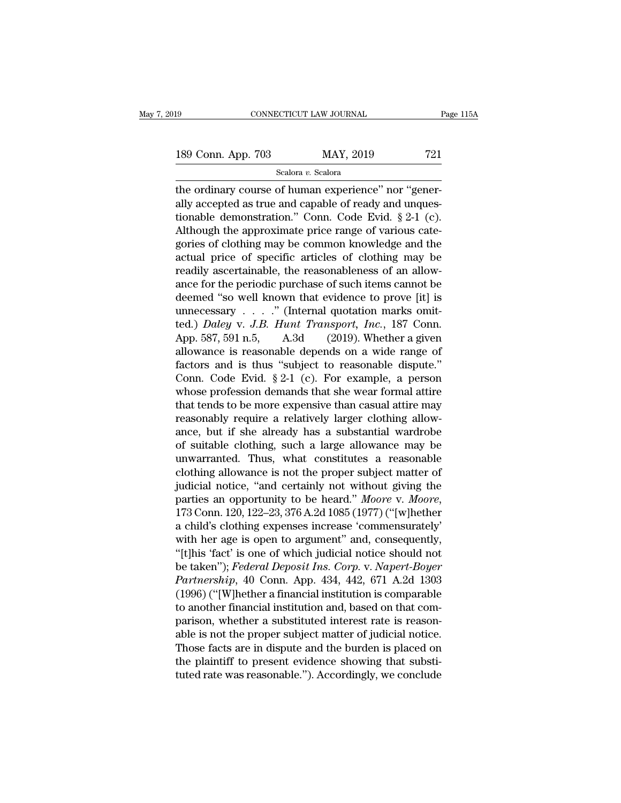the ordinary connectricured with the ordinary course of human experience'' nor ''gener-<br>ally accepted as true and capable of ready and unques-<br>tionable demonstration ". Conn. Code Evid. 8.2.1.(e) 189 Conn. App. 703 MAY, 2019 721<br>
Scalora v. Scalora<br>
the ordinary course of human experience" nor "gener-<br>
ally accepted as true and capable of ready and unques-<br>
tionable demonstration." Conn. Code Evid.  $\S 2-1$  (c). 189 Conn. App. 703 MAY, 2019 721<br>
Scalora v. Scalora<br>
the ordinary course of human experience" nor "gener-<br>
ally accepted as true and capable of ready and unques-<br>
tionable demonstration." Conn. Code Evid. § 2-1 (c).<br>
Alt 189 Conn. App. 703 MAY, 2019 721<br>
Scalora v. Scalora<br>
the ordinary course of human experience" nor "generally accepted as true and capable of ready and unquestionable demonstration." Conn. Code Evid.  $\S 2-1$  (c).<br>
Althoug Scalora v. Scalora<br>the ordinary course of human experience" nor "generally accepted as true and capable of ready and unques-<br>tionable demonstration." Conn. Code Evid. § 2-1 (c).<br>Although the approximate price range of var seasar *v*. season <br>the ordinary course of human experience" nor "gener-<br>ally accepted as true and capable of ready and unques-<br>tionable demonstration." Conn. Code Evid.  $\S 2-1$  (c).<br>Although the approximate price range o the ordinary course of human experience" nor "generally accepted as true and capable of ready and unquestionable demonstration." Conn. Code Evid. § 2-1 (c).<br>Although the approximate price range of various categories of clo ally accepted as true and capable of ready and unquestionable demonstration." Conn. Code Evid. § 2-1 (c).<br>Although the approximate price range of various categories of clothing may be common knowledge and the<br>actual price tionable demonstration." Conn. Code Evid. § 2-1 (c).<br>Although the approximate price range of various categories of clothing may be common knowledge and the<br>actual price of specific articles of clothing may be<br>readily asce Although the approximate price range of various categories of clothing may be common knowledge and the actual price of specific articles of clothing may be readily ascertainable, the reasonableness of an allowance for the gories of clothing may be common knowledge and the<br>actual price of specific articles of clothing may be<br>readily ascertainable, the reasonableness of an allow-<br>ance for the periodic purchase of such items cannot be<br>deemed " actual price of specific articles of clothing may be<br>readily ascertainable, the reasonableness of an allow-<br>ance for the periodic purchase of such items cannot be<br>deemed "so well known that evidence to prove [it] is<br>unnec readily ascertainable, the reasonableness of an allow-<br>ance for the periodic purchase of such items cannot be<br>deemed "so well known that evidence to prove [it] is<br>unnecessary . . . . " (Internal quotation marks omit-<br>ted. ance for the periodic purchase of such items cannot be<br>deemed "so well known that evidence to prove [it] is<br>unnecessary  $\ldots$ " (Internal quotation marks omit-<br>ted.) *Daley* v. *J.B. Hunt Transport, Inc.*, 187 Conn.<br>App. 5 deemed "so well known that evidence to prove [it] is<br>unnecessary . . . ." (Internal quotation marks omit-<br>ted.) *Daley* v. *J.B. Hunt Transport*, *Inc.*, 187 Conn.<br>App. 587, 591 n.5, A.3d (2019). Whether a given<br>allowance unnecessary  $\ldots$  " (Internal quotation marks omit-<br>ted.) *Daley* v. *J.B. Hunt Transport, Inc.*, 187 Conn.<br>App. 587, 591 n.5, A.3d (2019). Whether a given<br>allowance is reasonable depends on a wide range of<br>factors and is ted.) *Daley* v. *J.B. Hunt Transport, Inc.*, 187 Conn.<br>App. 587, 591 n.5, A.3d (2019). Whether a given<br>allowance is reasonable depends on a wide range of<br>factors and is thus "subject to reasonable dispute."<br>Conn. Code Ev App. 587, 591 n.5, A.3d (2019). Whether a given allowance is reasonable depends on a wide range of factors and is thus "subject to reasonable dispute." Conn. Code Evid.  $\S 2-1$  (c). For example, a person whose profession allowance is reasonable depends on a wide range of<br>factors and is thus "subject to reasonable dispute."<br>Conn. Code Evid. § 2-1 (c). For example, a person<br>whose profession demands that she wear formal attire<br>that tends to b factors and is thus "subject to reasonable dispute."<br>Conn. Code Evid.  $\S 2-1$  (c). For example, a person<br>whose profession demands that she wear formal attire<br>that tends to be more expensive than casual attire may<br>reasonab Conn. Code Evid. § 2-1 (c). For example, a person<br>whose profession demands that she wear formal attire<br>that tends to be more expensive than casual attire may<br>reasonably require a relatively larger clothing allow-<br>ance, but whose profession demands that she wear formal attire<br>that tends to be more expensive than casual attire may<br>reasonably require a relatively larger clothing allow-<br>ance, but if she already has a substantial wardrobe<br>of suit that tends to be more expensive than casual attire may<br>reasonably require a relatively larger clothing allow-<br>ance, but if she already has a substantial wardrobe<br>of suitable clothing, such a large allowance may be<br>unwarra reasonably require a relatively larger clothing allow-<br>ance, but if she already has a substantial wardrobe<br>of suitable clothing, such a large allowance may be<br>unwarranted. Thus, what constitutes a reasonable<br>clothing allow of suitable clothing, such a large allowance may be<br>unwarranted. Thus, what constitutes a reasonable<br>clothing allowance is not the proper subject matter of<br>judicial notice, "and certainly not without giving the<br>parties an unwarranted. Thus, what constitutes a reasonable<br>clothing allowance is not the proper subject matter of<br>judicial notice, "and certainly not without giving the<br>parties an opportunity to be heard." Moore v. Moore,<br>173 Conn. clothing allowance is not the proper subject matter of<br>
judicial notice, "and certainly not without giving the<br>
parties an opportunity to be heard." Moore v. Moore,<br>
173 Conn. 120, 122–23, 376 A.2d 1085 (1977) ("[w]hether judicial notice, "and certainly not without giving the<br>parties an opportunity to be heard." *Moore* v. *Moore*,<br>173 Conn. 120, 122–23, 376 A.2d 1085 (1977) ("[w]hether<br>a child's clothing expenses increase 'commensurately'<br> parties an opportunity to be heard." *Moore v. Moore,*<br>173 Conn. 120, 122–23, 376 A.2d 1085 (1977) ("[w]hether<br>a child's clothing expenses increase 'commensurately'<br>with her age is open to argument" and, consequently,<br>"[t] 173 Conn. 120, 122–23, 376 A.2d 1085 (1977) ("[w]hether<br>a child's clothing expenses increase 'commensurately'<br>with her age is open to argument" and, consequently,<br>"[t]his 'fact' is one of which judicial notice should not<br> a child's clothing expenses increase 'commensurately'<br>with her age is open to argument" and, consequently,<br>"[t]his 'fact' is one of which judicial notice should not<br>be taken"); *Federal Deposit Ins. Corp.* v. *Napert-Boyer* with her age is open to argument" and, consequently,<br>"[t]his 'fact' is one of which judicial notice should not<br>be taken"); *Federal Deposit Ins. Corp.* v. *Napert-Boyer*<br>*Partnership*, 40 Conn. App. 434, 442, 671 A.2d 1303 "[t]his 'fact' is one of which judicial notice should not<br>be taken"); *Federal Deposit Ins. Corp.* v. *Napert-Boyer*<br>*Partnership*, 40 Conn. App. 434, 442, 671 A.2d 1303<br>(1996) ("[W]hether a financial institution is compa be taken"); *Federal Deposit Ins. Corp.* v. *Napert-Boyer*<br>*Partnership*, 40 Conn. App. 434, 442, 671 A.2d 1303<br>(1996) ("[W]hether a financial institution is comparable<br>to another financial institution and, based on that c Partnership, 40 Conn. App. 434, 442, 671 A.2d 1303<br>(1996) ("[W]hether a financial institution is comparable<br>to another financial institution and, based on that com-<br>parison, whether a substituted interest rate is reason-<br>a (1996) ("[W]hether a financial institution is comparable<br>to another financial institution and, based on that com-<br>parison, whether a substituted interest rate is reason-<br>able is not the proper subject matter of judicial n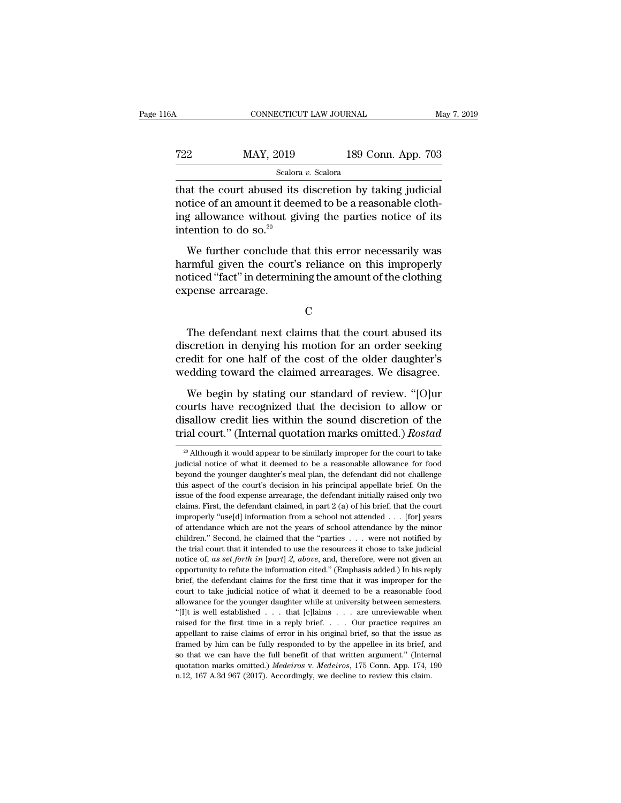$\begin{tabular}{ll} \multicolumn{1}{l}{{\text{COMRECTICUT LAW JOURNAL}}} & \multicolumn{1}{l}{May 7, 20} \\ \hline & \multicolumn{1}{l}{\text{Scdora } v.~\text{Scalar}} \\ & \multicolumn{1}{l}{\text{Scalar } v.~\text{Scalar}} \\ \hline \end{tabular}$ T22 MAY, 2019 189 Conn. App. 703<br>
Scalora v. Scalora<br>
that the court abused its discretion by taking judicial<br>
notice of an amount it deemed to be a reasonable cloth-<br>
ing allowance without giving the parties notice of it T22 MAY, 2019 189 Conn. App. 703<br>
Scalora v. Scalora<br>
that the court abused its discretion by taking judicial<br>
notice of an amount it deemed to be a reasonable cloth-<br>
ing allowance without giving the parties notice of it  $\begin{array}{r} \hline \text{max, 2019} \\ \text{Scalar} \\ \text{that the court abused its \\\ \text{notice of an amount it deer} \\ \text{ing allowance without give \\\text{intention to do so.<sup>20</sup> \\ \text{We further conclude that} \end{array}$ Scalora v. Scalora<br>
at the court abused its discretion by taking judicial<br>
tice of an amount it deemed to be a reasonable cloth-<br>
g allowance without giving the parties notice of its<br>
tention to do so.<sup>20</sup><br>
We further con that the court abused its discretion by taking judicial<br>notice of an amount it deemed to be a reasonable cloth-<br>ing allowance without giving the parties notice of its<br>intention to do so.<sup>20</sup><br>We further conclude that this

notice of an amount it deemed to be a reasonable clothing allowance without giving the parties notice of its intention to do so.<sup>20</sup><br>We further conclude that this error necessarily was harmful given the court's reliance o rearching allowance without gintention to do so.<sup>20</sup><br>We further conclude tharmful given the court<br>noticed "fact" in determinexpense arrearage. We further conclude that this error necessarily was<br>trafiul given the court's reliance on this improperly<br>ticed "fact" in determining the amount of the clothing<br>pense arrearage.<br>C<br>The defendant next claims that the court a

C<sub>c</sub>

harmful given the court's reliance on this improperly<br>noticed "fact" in determining the amount of the clothing<br>expense arrearage.<br>C<br>The defendant next claims that the court abused its<br>discretion in denying his motion for a noticed "fact" in determining the amount of the clothing<br>expense arrearage.<br>C<br>The defendant next claims that the court abused its<br>discretion in denying his motion for an order seeking<br>credit for one half of the cost of the c<br>C<br>The defendant next claims that the court abused its<br>discretion in denying his motion for an order seeking<br>credit for one half of the cost of the older daughter's<br>wedding toward the claimed arrearages. We disagree.<br>We b C<br>The defendant next claims that the court abused its<br>scretion in denying his motion for an order seeking<br>edit for one half of the cost of the older daughter's<br>edding toward the claimed arrearages. We disagree.<br>We begin by The defendant next claims that the court abused its<br>discretion in denying his motion for an order seeking<br>credit for one half of the cost of the older daughter's<br>wedding toward the claimed arrearages. We disagree.<br>We begin

discretion in denying his motion for an order seeking<br>credit for one half of the cost of the older daughter's<br>wedding toward the claimed arrearages. We disagree.<br>We begin by stating our standard of review. "[O]ur<br>courts ha The court of the cost of the older daughter's<br>wedding toward the claimed arrearages. We disagree.<br>We begin by stating our standard of review. "[O]ur<br>courts have recognized that the decision to allow or<br>disallow credit lies We begin by stating our standard of review. "[O]ur ourts have recognized that the decision to allow or is<br>allow credit lies within the sound discretion of the fial court." (Internal quotation marks omitted.) Rostad<br> $\frac{1}{$ courts have recognized that the decision to allow or disallow credit lies within the sound discretion of the trial court." (Internal quotation marks omitted.) *Rostad*  $\frac{1}{20}$  Although it would appear to be similarly i

disallow credit lies within the sound discretion of the<br>trial court." (Internal quotation marks omitted.) *Rostad*<br><sup>20</sup> Although it would appear to be similarly improper for the court to take<br>judicial notice of what it dee trial court." (Internal quotation marks omitted.) Rostad  $\frac{1}{20}$  Although it would appear to be similarly improper for the court to take judicial notice of what it deemed to be a reasonable allowance for food beyond th <sup>20</sup> Although it would appear to be similarly improper for the court to take judicial notice of what it deemed to be a reasonable allowance for food beyond the younger daughter's meal plan, the defendant did not challenge <sup>20</sup> Although it would appear to be similarly improper for the court to take judicial notice of what it deemed to be a reasonable allowance for food beyond the younger daughter's meal plan, the defendant did not challenge judicial notice of what it deemed to be a reasonable allowance for food beyond the younger daughter's meal plan, the defendant did not challenge this aspect of the court's decision in his principal appellate brief. On the beyond the younger daughter's meal plan, the defendant did not challenge this aspect of the court's decision in his principal appellate brief. On the issue of the food expense arrearage, the defendant initially raised onl Existem are youngled and the court's decision in his principal appellate brief. On the issue of the food expense arrearage, the defendant initially raised only two claims. First, the defendant claimed, in part 2 (a) of hi the trial court of the food expense arrearage, the defendant initially raised only two claims. First, the defendant claimed, in part 2 (a) of his brief, that the court improperly "use[d] information from a school not atte claims. First, the defendant claimed, in part 2 (a) of his brief, that the court<br>improperly "use[d] information from a school not attended . . . [for] years<br>of attendance which are not the years of school attendance by the improperly "use[d] information from a school not attended . . . [for] years of attendance which are not the years of school attendance by the minor children." Second, he claimed that the "parties . . . were not notified b for attendance which are not the years of school attendance by the minor children." Second, he claimed that the "parties . . . were not notified by the minor children." Second, he claimed that the "parties . . . were not children." Second, he claimed that the "parties  $\ldots$  were not notified by the trial court that it intended to use the resources it chose to take judicial notice of, as set forth in [part] 2, above, and, therefore, were n children." Second, he claimed that the "parties . . . were not notified by the trial court that it intended to use the resources it chose to take judicial notice of, as set forth in [part] 2, above, and, therefore, were n notice of, as set forth in [part] 2, above, and, therefore, were not given an opportunity to refute the information cited." (Emphasis added.) In his reply brief, the defendant claims for the first time that it was imprope respectively to reflue the information cited." (Emphasis added.) In his reply brief, the defendant claims for the first time that it was improper for the court to take judicial notice of what it deemed to be a reasonable brief, the defendant claims for the first time that it was improper for the court to take judicial notice of what it deemed to be a reasonable food allowance for the younger daughter while at university between semesters. framed to take judicial notice of what it deemed to be a reasonable food allowance for the younger daughter while at university between semesters. "[I]t is well established  $\ldots$  that [c]laims  $\ldots$  are unreviewable when allowance for the younger daughter while at university between semesters. "[I]t is well established . . . that [c]laims . . . are unreviewable when raised for the first time in a reply brief. . . . Our practice requires a "[I]t is well established . . . that [c]laims . . . are unreviewable when raised for the first time in a reply brief. . . . Our practice requires an appellant to raise claims of error in his original brief, so that the iss raised for the first time in a reply brief. . . . Our practice requires an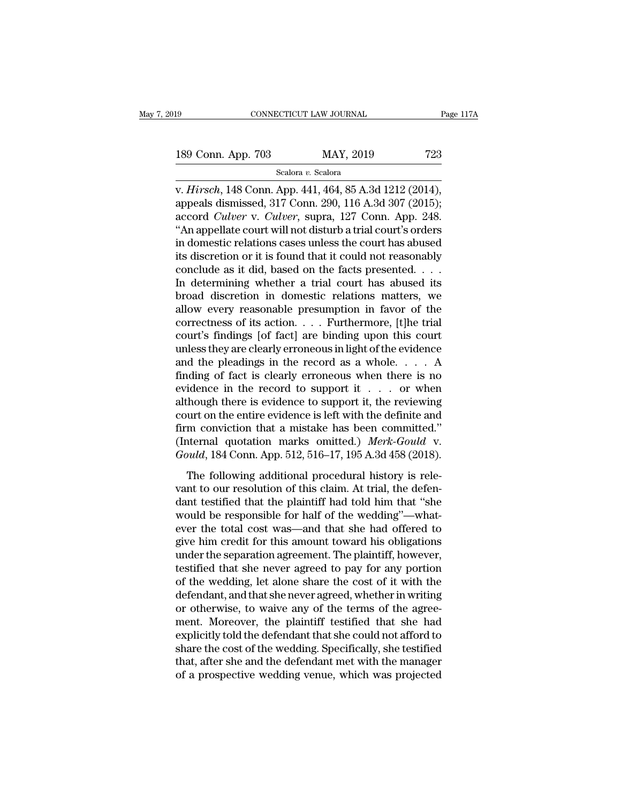v. *Hirsch*, 148 Conn. App. 703<br>
Scalora v. Scalora<br>
v. *Hirsch*, 148 Conn. App. 441, 464, 85 A.3d 1212 (2014),<br>
appeals dismissed, 317 Conn. 290, 116 A.3d 307 (2015); 189 Conn. App. 703 MAY, 2019 723<br>
Scalora v. Scalora<br>
v. *Hirsch*, 148 Conn. App. 441, 464, 85 A.3d 1212 (2014),<br>
appeals dismissed, 317 Conn. 290, 116 A.3d 307 (2015);<br>
accord *Culver* v. *Culver*, supra, 127 Conn. App. 2 189 Conn. App. 703 MAY, 2019 723<br>
Scalora *v.* Scalora<br>
v. *Hirsch*, 148 Conn. App. 441, 464, 85 A.3d 1212 (2014),<br>
appeals dismissed, 317 Conn. 290, 116 A.3d 307 (2015);<br>
accord *Culver* v. *Culver*, supra, 127 Conn. App. 189 Conn. App. 703 MAY, 2019 723<br>
Scalora v. Scalora<br>
v. Hirsch, 148 Conn. App. 441, 464, 85 A.3d 1212 (2014),<br>
appeals dismissed, 317 Conn. 290, 116 A.3d 307 (2015);<br>
accord *Culver* v. *Culver*, supra, 127 Conn. App. 24 Scalora v. Scalora<br>
v. Hirsch, 148 Conn. App. 441, 464, 85 A.3d 1212 (2014),<br>
appeals dismissed, 317 Conn. 290, 116 A.3d 307 (2015);<br>
accord *Culver* v. *Culver*, supra, 127 Conn. App. 248.<br>
"An appellate court will not d scalora v. Scalora<br>
v. Hirsch, 148 Conn. App. 441, 464, 85 A.3d 1212 (2014),<br>
appeals dismissed, 317 Conn. 290, 116 A.3d 307 (2015);<br>
accord *Culver* v. *Culver*, supra, 127 Conn. App. 248.<br>
"An appellate court will not d v. Hirsch, 148 Conn. App. 441, 464, 85 A.3d 1212 (2014),<br>appeals dismissed, 317 Conn. 290, 116 A.3d 307 (2015);<br>accord *Culver* v. *Culver*, supra, 127 Conn. App. 248.<br>"An appellate court will not disturb a trial court's o appeals dismissed, 317 Conn. 290, 116 A.3d 307 (2015);<br>accord *Culver* v. *Culver*, supra, 127 Conn. App. 248.<br>"An appellate court will not disturb a trial court's orders<br>in domestic relations cases unless the court has a accord *Culver* v. *Culver*, supra, 127 Conn. App. 248.<br>
"An appellate court will not disturb a trial court's orders<br>
in domestic relations cases unless the court has abused<br>
its discretion or it is found that it could no "An appellate court will not disturb a trial court's orders<br>in domestic relations cases unless the court has abused<br>its discretion or it is found that it could not reasonably<br>conclude as it did, based on the facts present in domestic relations cases unless the court has abused<br>its discretion or it is found that it could not reasonably<br>conclude as it did, based on the facts presented. . . .<br>In determining whether a trial court has abused it its discretion or it is found that it could not reasonably<br>conclude as it did, based on the facts presented. . . .<br>In determining whether a trial court has abused its<br>broad discretion in domestic relations matters, we<br>all conclude as it did, based on the facts presented. . . . .<br>In determining whether a trial court has abused its<br>broad discretion in domestic relations matters, we<br>allow every reasonable presumption in favor of the<br>correctne In determining whether a trial court has abused its<br>broad discretion in domestic relations matters, we<br>allow every reasonable presumption in favor of the<br>correctness of its action. . . . Furthermore, [t]he trial<br>court's f broad discretion in domestic relations matters, we<br>allow every reasonable presumption in favor of the<br>correctness of its action.... Furthermore, [t]he trial<br>court's findings [of fact] are binding upon this court<br>unless th allow every reasonable presumption in favor of the<br>correctness of its action.... Furthermore, [t]he trial<br>court's findings [of fact] are binding upon this court<br>unless they are clearly erroneous in light of the evidence<br>a correctness of its action. . . . Furthermore, [t]he trial<br>court's findings [of fact] are binding upon this court<br>unless they are clearly erroneous in light of the evidence<br>and the pleadings in the record as a whole. . . . court's findings [of fact] are binding upon this court<br>unless they are clearly erroneous in light of the evidence<br>and the pleadings in the record as a whole.... A<br>finding of fact is clearly erroneous when there is no<br>evid unless they are clearly erroneous in light of the evidence<br>and the pleadings in the record as a whole.... A<br>finding of fact is clearly erroneous when there is no<br>evidence in the record to support it ... or when<br>although t and the pleadings in the record as a whole. . . . A<br>finding of fact is clearly erroneous when there is no<br>evidence in the record to support it . . . . or when<br>although there is evidence to support it, the reviewing<br>court finding of fact is clearly erroneous when there is no<br>evidence in the record to support it . . . . or when<br>although there is evidence to support it, the reviewing<br>court on the entire evidence is left with the definite and Model in the following additional procedural history is related.<br>
Though there is evidence is left with the definite and<br>
m conviction that a mistake has been committed."<br>
Merk-Gould v.<br>
puld, 184 Conn. App. 512, 516–17, court on the entire evidence is left with the definite and<br>firm conviction that a mistake has been committed."<br>(Internal quotation marks omitted.) *Merk-Gould* v.<br>*Gould*, 184 Conn. App. 512, 516–17, 195 A.3d 458 (2018).<br>

firm conviction that a mistake has been committed."<br>(Internal quotation marks omitted.) *Merk-Gould* v.<br>*Gould*, 184 Conn. App. 512, 516–17, 195 A.3d 458 (2018).<br>The following additional procedural history is rele-<br>vant t The responsible for half of the wedding's contaminated.<br>
Gould, 184 Conn. App. 512, 516–17, 195 A.3d 458 (2018).<br>
The following additional procedural history is relevant to our resolution of this claim. At trial, the defe Gould, 184 Conn. App. 512, 516–17, 195 A.3d 458 (2018).<br>The following additional procedural history is relevant to our resolution of this claim. At trial, the defendant testified that the plaintiff had told him that "she The following additional procedural history is relevant to our resolution of this claim. At trial, the defendant testified that the plaintiff had told him that "she would be responsible for half of the wedding"—whatever th The following additional procedural history is relevant to our resolution of this claim. At trial, the defendant testified that the plaintiff had told him that "she would be responsible for half of the wedding"—whatever th vant to our resolution of this claim. At trial, the defen-<br>dant testified that the plaintiff had told him that "she<br>would be responsible for half of the wedding"—what-<br>ever the total cost was—and that she had offered to<br>gi dant testified that the plaintiff had told him that "she<br>would be responsible for half of the wedding"—what-<br>ever the total cost was—and that she had offered to<br>give him credit for this amount toward his obligations<br>under would be responsible for half of the wedding"—what-<br>ever the total cost was—and that she had offered to<br>give him credit for this amount toward his obligations<br>under the separation agreement. The plaintiff, however,<br>testifi ever the total cost was—and that she had offered to<br>give him credit for this amount toward his obligations<br>under the separation agreement. The plaintiff, however,<br>testified that she never agreed to pay for any portion<br>of t give him credit for this amount toward his obligations<br>under the separation agreement. The plaintiff, however,<br>testified that she never agreed to pay for any portion<br>of the wedding, let alone share the cost of it with the<br> under the separation agreement. The plaintiff, however,<br>testified that she never agreed to pay for any portion<br>of the wedding, let alone share the cost of it with the<br>defendant, and that she never agreed, whether in writin testified that she never agreed to pay for any portion<br>of the wedding, let alone share the cost of it with the<br>defendant, and that she never agreed, whether in writing<br>or otherwise, to waive any of the terms of the agree-<br> of the wedding, let alone share the cost of it with the defendant, and that she never agreed, whether in writing or otherwise, to waive any of the terms of the agreement. Moreover, the plaintiff testified that she had expl defendant, and that she never agreed, whether in writing<br>or otherwise, to waive any of the terms of the agree-<br>ment. Moreover, the plaintiff testified that she had<br>explicitly told the defendant that she could not afford to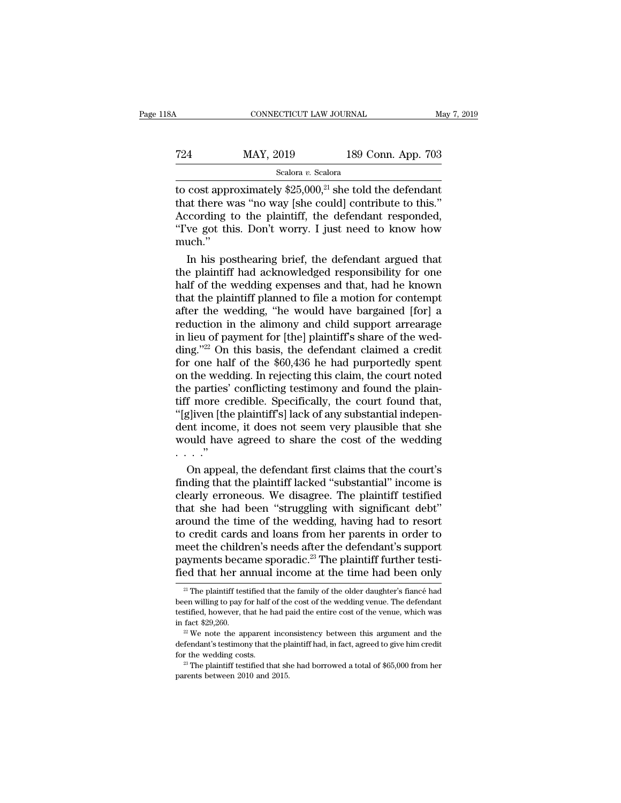| l8A | CONNECTICUT LAW JOURNAL |                    | May 7, 2019 |
|-----|-------------------------|--------------------|-------------|
| 724 | MAY, 2019               | 189 Conn. App. 703 |             |
|     | Scalora v. Scalora      |                    |             |

CONNECTICUT LAW JOURNAL May 7, 2019<br>
T24 MAY, 2019 189 Conn. App. 703<br>
Scalora v. Scalora<br>
to cost approximately \$25,000,<sup>21</sup> she told the defendant<br>
that there was "no way [she could] contribute to this."<br>
According to th T24 MAY, 2019 189 Conn. App. 703<br>
Scalora v. Scalora<br>
to cost approximately \$25,000,<sup>21</sup> she told the defendant<br>
that there was "no way [she could] contribute to this."<br>
According to the plaintiff, the defendant responded T24 MAY, 2019 189 Conn. App. 703<br>
Scalora v. Scalora<br>
to cost approximately \$25,000,<sup>21</sup> she told the defendant<br>
that there was "no way [she could] contribute to this."<br>
According to the plaintiff, the defendant responded T24 MAY, 2019 189 Conn. App. 703<br>
Scalora v. Scalora<br>
to cost approximately \$25,000,<sup>21</sup> she told the defendant<br>
that there was "no way [she could] contribute to this."<br>
According to the plaintiff, the defendant responded much.'' cost approximately \$25,000,<sup>21</sup> she told the defendant<br>at there was "no way [she could] contribute to this."<br>coording to the plaintiff, the defendant responded,<br>we got this. Don't worry. I just need to know how<br>uch."<br>In h to cost approximately  $$25,000,^2$$  she told the defendant<br>that there was "no way [she could] contribute to this."<br>According to the plaintiff, the defendant responded,<br>"I've got this. Don't worry. I just need to know how<br>

that there was "no way [she could] contribute to this."<br>According to the plaintiff, the defendant responded,<br>"I've got this. Don't worry. I just need to know how<br>much."<br>In his posthearing brief, the defendant argued that<br>t According to the plaintiff, the defendant responded,<br>
"I've got this. Don't worry. I just need to know how<br>
much."<br>
In his posthearing brief, the defendant argued that<br>
the plaintiff had acknowledged responsibility for one "I've got this. Don't worry. I just need to know how<br>much."<br>In his posthearing brief, the defendant argued that<br>the plaintiff had acknowledged responsibility for one<br>half of the wedding expenses and that, had he known<br>that much."<br>In his posthearing brief, the defendant argued that<br>the plaintiff had acknowledged responsibility for one<br>half of the wedding expenses and that, had he known<br>that the plaintiff planned to file a motion for contempt<br> In his posthearing brief, the defendant argued that<br>the plaintiff had acknowledged responsibility for one<br>half of the wedding expenses and that, had he known<br>that the plaintiff planned to file a motion for contempt<br>after the plaintiff had acknowledged responsibility for one<br>half of the wedding expenses and that, had he known<br>that the plaintiff planned to file a motion for contempt<br>after the wedding, "he would have bargained [for] a<br>reducti half of the wedding expenses and that, had he known<br>that the plaintiff planned to file a motion for contempt<br>after the wedding, "he would have bargained [for] a<br>reduction in the alimony and child support arrearage<br>in lieu that the plaintiff planned to file a motion for contempt<br>after the wedding, "he would have bargained [for] a<br>reduction in the alimony and child support arrearage<br>in lieu of payment for [the] plaintiff's share of the wed-<br>d after the wedding, "he would have bargained [for] a<br>reduction in the alimony and child support arrearage<br>in lieu of payment for [the] plaintiff's share of the wed-<br>ding."<sup>22</sup> On this basis, the defendant claimed a credit<br>f reduction in the alimony and child support arrearage<br>in lieu of payment for [the] plaintiff's share of the wed-<br>ding."<sup>22</sup> On this basis, the defendant claimed a credit<br>for one half of the \$60,436 he had purportedly spent<br> in lieu of payment for [the] plaintiff's share of the wedding."<sup>22</sup> On this basis, the defendant claimed a credit for one half of the \$60,436 he had purportedly spent on the wedding. In rejecting this claim, the court note ding."<sup>22</sup> On this basis, the defendant claimed a credit<br>for one half of the \$60,436 he had purportedly spent<br>on the wedding. In rejecting this claim, the court noted<br>the parties' conflicting testimony and found the plainfor one half of the  $$60,436$  he had purportedly spent<br>on the wedding. In rejecting this claim, the court noted<br>the parties' conflicting testimony and found the plain-<br>tiff more credible. Specifically, the court found tha on the wed<br>the parties'<br>tiff more c<br>"[g]iven [th]<br>dent incom<br>would have<br>...."<br>On appea e parties' conflicting testimony and found the plain-<br>f more credible. Specifically, the court found that,<br>gliven [the plaintiff's] lack of any substantial indepen-<br>nt income, it does not seem very plausible that she<br>pould tiff more credible. Specifically, the court found that,<br>"[g]iven [the plaintiff's] lack of any substantial indepen-<br>dent income, it does not seem very plausible that she<br>would have agreed to share the cost of the wedding<br>.

"[g]iven [the plaintiff's] lack of any substantial independent income, it does not seem very plausible that she<br>would have agreed to share the cost of the wedding<br>..."<br>On appeal, the defendant first claims that the court's dent income, it does not seem very plausible that she<br>would have agreed to share the cost of the wedding<br> $\ldots$ ."<br>On appeal, the defendant first claims that the court's<br>finding that the plaintiff lacked "substantial" incom would have agreed to share the cost of the wedding<br>  $\ldots$ ."<br>
On appeal, the defendant first claims that the court's<br>
finding that the plaintiff lacked "substantial" income is<br>
clearly erroneous. We disagree. The plaintiff to credit cards and loans from her parents in order to On appeal, the defendant first claims that the court's<br>finding that the plaintiff lacked "substantial" income is<br>clearly erroneous. We disagree. The plaintiff testified<br>that she had been "struggling with significant debt"<br> finding that the plaintiff lacked "substantial" income is<br>clearly erroneous. We disagree. The plaintiff testified<br>that she had been "struggling with significant debt"<br>around the time of the wedding, having had to resort<br>t clearly erroneous. We disagree. The plaintiff testified<br>that she had been "struggling with significant debt"<br>around the time of the wedding, having had to resort<br>to credit cards and loans from her parents in order to<br>meet b credit cards and loans from her parents in order to<br>eet the children's needs after the defendant's support<br>ayments became sporadic.<sup>23</sup> The plaintiff further testi-<br>ed that her annual income at the time had been only<br><sup>2</sup> meet the children's needs after the defendant's support<br>payments became sporadic.<sup>23</sup> The plaintiff further testi-<br>fied that her annual income at the time had been only<br><sup>21</sup> The plaintiff testified that the family of the o

payments became sporadic.<sup>23</sup> The plaintiff further testified that her annual income at the time had been only  $\frac{2!}{1}$  The plaintiff testified that the family of the older daughter's fiance had been willing to pay for fied that her annual income at the time had been only<br>
<sup>21</sup> The plaintiff testified that the family of the older daughter's fiance had<br>
been willing to pay for half of the cost of the wedding venue. The defendant<br>
testifi been willing to pay for half of the cost of the wedding venue. The defendant testified, however, that he had paid the entire cost of the venue, which was in fact \$29,260.<br><sup>22</sup> We note the apparent inconsistency between th

been willing to pay for half of the cost of the wedding venue. The defendant testified, however, that he had paid the entire cost of the venue, which was in fact \$29,260.<br><sup>22</sup> We note the apparent inconsistency between th  $^{22}$  We note the apparent inconsistency between this argument and the defendant's testimony that the plaintiff had, in fact, agreed to give him credit for the wedding costs.<br>  $^{23}$  The plaintiff testified that she had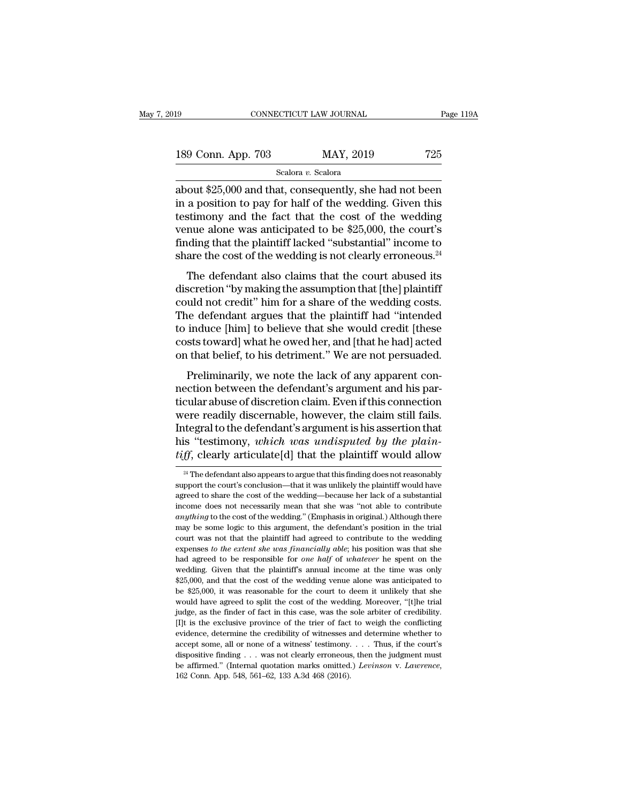| l9                 | CONNECTICUT LAW JOURNAL |           | Page 119A |
|--------------------|-------------------------|-----------|-----------|
|                    |                         |           |           |
| 189 Conn. App. 703 |                         | MAY, 2019 | 725       |
|                    | Scalora v. Scalora      |           |           |

connectricut LAW JOURNAL Page 119A<br>
189 Conn. App. 703 MAY, 2019 725<br>
Scalora v. Scalora<br>
about \$25,000 and that, consequently, she had not been<br>
in a position to pay for half of the wedding. Given this<br>
testimony and the 189 Conn. App. 703 MAY, 2019 725<br>Scalora v. Scalora<br>about \$25,000 and that, consequently, she had not been<br>in a position to pay for half of the wedding. Given this<br>testimony and the fact that the cost of the wedding<br>you a 189 Conn. App. 703 MAY, 2019 725<br>
Scalora v. Scalora<br>
about \$25,000 and that, consequently, she had not been<br>
in a position to pay for half of the wedding. Given this<br>
testimony and the fact that the cost of the wedding<br> 189 Conn. App. 703 MAY, 2019 725<br>
scalora v. Scalora<br>
about \$25,000 and that, consequently, she had not been<br>
in a position to pay for half of the wedding. Given this<br>
testimony and the fact that the cost of the wedding<br> Scalora v. Scalora<br>about \$25,000 and that, consequently, she had not been<br>in a position to pay for half of the wedding. Given this<br>testimony and the fact that the cost of the wedding<br>venue alone was anticipated to be \$25, scalora v. Scalora<br>about \$25,000 and that, consequently, she had not been<br>in a position to pay for half of the wedding. Given this<br>testimony and the fact that the cost of the wedding<br>venue alone was anticipated to be \$25, but  $\psi$ 25,000 and that, consequently, she had not been<br>a position to pay for half of the wedding. Given this<br>stimony and the fact that the cost of the wedding<br>nue alone was anticipated to be \$25,000, the court's<br>ding tha In a position to pay for half of the wedding. Given this testimony and the fact that the cost of the wedding venue alone was anticipated to be \$25,000, the court's finding that the plaintiff lacked "substantial" income to

could was anticipated to be \$25,000, the court's<br>finding that the plaintiff lacked "substantial" income to<br>share the cost of the wedding is not clearly erroneous.<sup>24</sup><br>The defendant also claims that the court abused its<br>dis Finding that the plaintiff lacked "substantial" income to<br>share the cost of the wedding is not clearly erroneous.<sup>24</sup><br>The defendant also claims that the court abused its<br>discretion "by making the assumption that [the] pla the induced substantial income to<br>share the cost of the wedding is not clearly erroneous.<sup>24</sup><br>The defendant also claims that the court abused its<br>discretion "by making the assumption that [the] plaintiff<br>could not credit" The defendant also claims that the court abused its<br>discretion "by making the assumption that [the] plaintiff<br>could not credit" him for a share of the wedding costs.<br>The defendant argues that the plaintiff had "intended<br>to The defendant also claims that the court abused its<br>discretion "by making the assumption that [the] plaintiff<br>could not credit" him for a share of the wedding costs.<br>The defendant argues that the plaintiff had "intended<br>to bereaded by making are assumption that [the] plants.<br>
uld not credit" him for a share of the wedding costs.<br>
ie defendant argues that the plaintiff had "intended<br>
induce [him] to believe that she would credit [these<br>
sts t Example 18 and hot created in the defendant argues that the plaintiff had "intended to induce [him] to believe that she would credit [these costs toward] what he owed her, and [that he had] acted on that belief, to his det

The decentual digacs dide are plaintin had "interacted"<br>to induce [him] to believe that she would credit [these<br>costs toward] what he owed her, and [that he had] acted<br>on that belief, to his detriment." We are not persuade we made that if we send to that she would creat these<br>costs toward] what he owed her, and [that he had] acted<br>on that belief, to his detriment." We are not persuaded.<br>Preliminarily, we note the lack of any apparent con-<br>ne Figure 1.1 That is detriment." We are not persuaded.<br>
Preliminarily, we note the lack of any apparent con-<br>
nection between the defendant's argument and his par-<br>
ticular abuse of discretion claim. Even if this connection<br> his detrimon. We are not persuaded.<br>Preliminarily, we note the lack of any apparent con-<br>nection between the defendant's argument and his par-<br>ticular abuse of discretion claim. Even if this connection<br>were readily discern Preliminarily, we note the lack of any apparent con-<br>nection between the defendant's argument and his par-<br>ticular abuse of discretion claim. Even if this connection<br>were readily discernable, however, the claim still fails were readily discernable, however, the claim still fails.<br>Integral to the defendant's argument is his assertion that<br>his "testimony, *which was undisputed by the plain-<br>tiff*, clearly articulate[d] that the plaintiff woul Integral to the defendant's argument is his assertion that<br>his "testimony, *which was undisputed by the plaintiff*, clearly articulate[d] that the plaintiff would allow<br> $\frac{24}{100}$  The defendant also appears to argue tha

his "testimony, *which was undisputed by the plain-*<br>tiff, clearly articulate[d] that the plaintiff would allow<br><sup>24</sup> The defendant also appears to argue that this finding does not reasonably<br>support the court's conclusion *ifff*, clearly articulate[d] that the plaintiff would allow  $\frac{24}{10}$  The defendant also appears to argue that this finding does not reasonably support the court's conclusion—that it was unlikely the plaintiff would ha *a*<sup>24</sup> The defendant also appears to argue that this finding does not reasonably support the court's conclusion—that it was unlikely the plaintiff would have agreed to share the cost of the wedding—because her lack of a s <sup>24</sup> The defendant also appears to argue that this finding does not reasonably support the court's conclusion—that it was unlikely the plaintiff would have agreed to share the cost of the wedding—because her lack of a sub support the court's conclusion—that it was unlikely the plaintiff would have agreed to share the cost of the wedding—because her lack of a substantial income does not necessarily mean that she was "not able to contribute experience of the vedding—because her lack of a substantial<br>income does not necessarily mean that she was "not able to contribute<br>*anything* to the cost of the wedding." (Emphasis in original.) Although there<br>may be some l income does not necessarily mean that she was "not able to contribute *anything* to the cost of the wedding." (Emphasis in original.) Although there may be some logic to this argument, the defendant's position in the trial *anything* to the cost of the wedding." (Emphasis in original.) Although there may be some logic to this argument, the defendant's position in the trial court was not that the plaintiff had agreed to contribute to the wedd shows be some logic to this argument, the defendant's position in the trial court was not that the plaintiff had agreed to contribute to the wedding expenses to the extent she was financially able; his position was that s be court was not that the plaintiff had agreed to contribute to the wedding expenses to the extent she was financially able; his position was that she had agreed to be responsible for one half of whatever he spent on the expenses to the extent she was financially able; his position was that she<br>had agreed to be responsible for one half of whatever he spent on the<br>wedding. Given that the plaintiff's annual income at the time was only<br> $$25,$ had agreed to be responsible for *one half* of *whatever* he spent on the wedding. Given that the plaintiff's annual income at the time was only \$25,000, and that the cost of the wedding venue alone was anticipated to be wedding. Given that the plaintiff's annual income at the time was only \$25,000, and that the cost of the wedding venue alone was anticipated to be \$25,000, it was reasonable for the court to deem it unlikely that she would <sup>9.5</sup> 25,000, and that the cost of the wedding venue alone was anticipated to be \$25,000, and that the cost of the wedding venue alone was anticipated to be \$25,000, it was reasonable for the court to deem it unlikely tha \$25,000, and that the cost of the wedding venue alone was anticipated to be \$25,000, it was reasonable for the court to deem it unlikely that she would have agreed to split the cost of the wedding. Moreover, "[t]he trial would have agreed to split the cost of the wedding. Moreover, "[t]he trial judge, as the finder of fact in this case, was the sole arbiter of credibility. [I]t is the exclusive province of the trier of fact to weigh the c budge, as the finder of fact in this case, was the sole arbiter of credibility.<br>[I]t is the exclusive province of the trier of fact to weigh the conflicting evidence, determine the credibility of witnesses and determine wh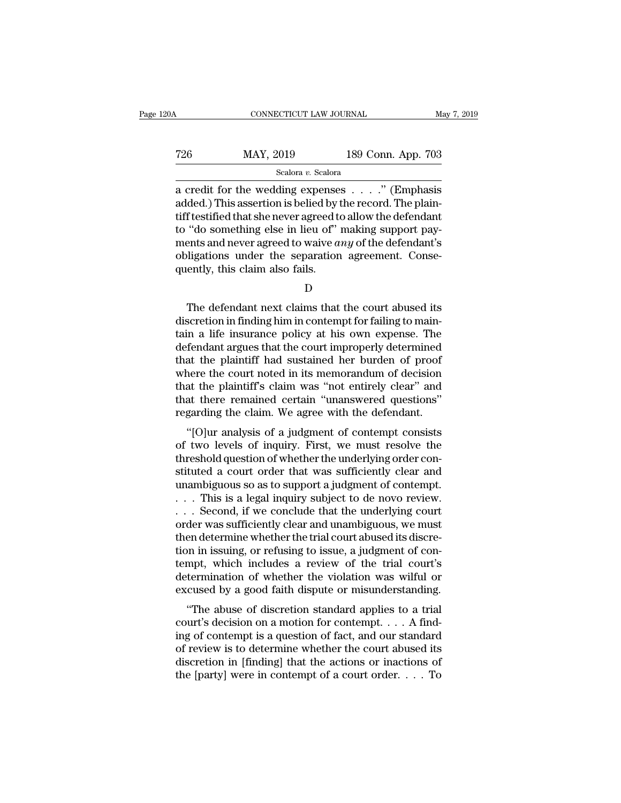| 20A | CONNECTICUT LAW JOURNAL |                    | May 7, 2019 |
|-----|-------------------------|--------------------|-------------|
| 726 | MAY, 2019               | 189 Conn. App. 703 |             |
|     | Scalora v. Scalora      |                    |             |

CONNECTICUT LAW JOURNAL May 7, 2019<br>
T26 MAY, 2019 189 Conn. App. 703<br>
Scalora v. Scalora<br>
a credit for the wedding expenses . . . . ." (Emphasis<br>
added.) This assertion is belied by the record. The plain-T26 MAY, 2019 189 Conn. App. 703<br>
Scalora v. Scalora<br>
a credit for the wedding expenses . . . . ." (Emphasis<br>
added.) This assertion is belied by the record. The plain-<br>
tiff testified that she never agreed to allow the d T26 MAY, 2019 189 Conn. App. 703<br>
Scalora v. Scalora<br>
a credit for the wedding expenses . . . . ." (Emphasis<br>
added.) This assertion is belied by the record. The plain-<br>
tiff testified that she never agreed to allow the d T26 MAY, 2019 189 Conn. App. 703<br>
Scalora v. Scalora<br>
a credit for the wedding expenses . . . . . " (Emphasis<br>
added.) This assertion is belied by the record. The plain-<br>
tiff testified that she never agreed to allow the Scalora *v.* Scalora <br>
Scalora *v.* Scalora<br>
a credit for the wedding expenses . . . . ." (Emphasis<br>
added.) This assertion is belied by the record. The plain-<br>tiff testified that she never agreed to allow the defendant<br>
t scalora v. Scalora<br>
a credit for the wedding expenses  $\ldots$ ." (Emphasis<br>
added.) This assertion is belied by the record. The plain-<br>
tiff testified that she never agreed to allow the defendant<br>
to "do something else in li a credit for the wedding expense<br>added.) This assertion is belied by t<br>tiff testified that she never agreed to<br>to "do something else in lieu of"<br>ments and never agreed to waive a<br>obligations under the separation<br>quently, t "do something else in lieu of" making support payents and never agreed to waive *any* of the defendant's bligations under the separation agreement. Conseently, this claim also fails.<br> $D$ <br>The defendant next claims that the

ments and never agreed to waive *any* of the defendant's<br>obligations under the separation agreement. Consequently, this claim also fails.<br> $D$ <br>The defendant next claims that the court abused its<br>discretion in finding him i obligations under the separation agreement. Consequently, this claim also fails.<br>
D<br>
The defendant next claims that the court abused its<br>
discretion in finding him in contempt for failing to main-<br>
tain a life insurance po quently, this claim also fails.<br>
D<br>
The defendant next claims that the court abused its<br>
discretion in finding him in contempt for failing to main-<br>
tain a life insurance policy at his own expense. The<br>
defendant argues th D<br>
D<br>
The defendant next claims that the court abused its<br>
discretion in finding him in contempt for failing to main-<br>
tain a life insurance policy at his own expense. The<br>
defendant argues that the court improperly determ D<br>The defendant next claims that the court abused its<br>discretion in finding him in contempt for failing to main-<br>tain a life insurance policy at his own expense. The<br>defendant argues that the court improperly determined<br>th The defendant next claims that the court abused its<br>discretion in finding him in contempt for failing to main-<br>tain a life insurance policy at his own expense. The<br>defendant argues that the court improperly determined<br>that discretion in finding him in contempt for failing to maintain a life insurance policy at his own expense. The defendant argues that the court improperly determined that the plaintiff had sustained her burden of proof where tain a life insurance policy at his own expense. The<br>defendant argues that the court improperly determined<br>that the plaintiff had sustained her burden of proof<br>where the court noted in its memorandum of decision<br>that the p Thendant argues that the court improperly determined<br>at the plaintiff had sustained her burden of proof<br>nere the court noted in its memorandum of decision<br>at the plaintiff's claim was "not entirely clear" and<br>at there rema mat the plant in the sustained her burden of proof<br>where the court noted in its memorandum of decision<br>that there remained certain "unanswered questions"<br>regarding the claim. We agree with the defendant.<br>"[O]ur analysis of

where the court hoted in its inembrandum of decision<br>that the plaintiff's claim was "not entirely clear" and<br>that there remained certain "unanswered questions"<br>regarding the claim. We agree with the defendant.<br>"[O]ur analy that there remained certain "unanswered questions"<br>regarding the claim. We agree with the defendant.<br>"[O]ur analysis of a judgment of contempt consists<br>of two levels of inquiry. First, we must resolve the<br>threshold questio regarding the claim. We agree with the defendant.<br>
"[O]ur analysis of a judgment of contempt consists<br>
of two levels of inquiry. First, we must resolve the<br>
threshold question of whether the underlying order con-<br>
stituted regarding the claim. We agree with the defendant.<br>
"[O]ur analysis of a judgment of contempt consists<br>
of two levels of inquiry. First, we must resolve the<br>
threshold question of whether the underlying order con-<br>
stituted "[O]ur analysis of a judgment of contempt consists<br>of two levels of inquiry. First, we must resolve the<br>threshold question of whether the underlying order con-<br>stituted a court order that was sufficiently clear and<br>unambi order wollowed is of inquiry. First, we must resolve the threshold question of whether the underlying order constituted a court order that was sufficiently clear and unambiguous so as to support a judgment of contempt.<br>
.. threshold question of whether the underlying order constituted a court order that was sufficiently clear and<br>unambiguous so as to support a judgment of contempt.<br>... This is a legal inquiry subject to de novo review.<br>... stituted a court order that was sufficiently clear and<br>unambiguous so as to support a judgment of contempt.<br>... This is a legal inquiry subject to de novo review.<br>... Second, if we conclude that the underlying court<br>order unambiguous so as to support a judgment of contempt.<br>  $\dots$  This is a legal inquiry subject to de novo review.<br>  $\dots$  Second, if we conclude that the underlying court<br>
order was sufficiently clear and unambiguous, we must<br> ... This is a legal inquiry subject to de novo review.<br>... Second, if we conclude that the underlying court<br>order was sufficiently clear and unambiguous, we must<br>then determine whether the trial court abused its discre-<br>t ... Second, if we conclude that the underlying court<br>order was sufficiently clear and unambiguous, we must<br>then determine whether the trial court abused its discre-<br>tion in issuing, or refusing to issue, a judgment of con der was sumclemly clear and unanloguous, we must<br>en determine whether the trial court abused its discre-<br>on in issuing, or refusing to issue, a judgment of con-<br>mpt, which includes a review of the trial court's<br>termination court abused its discretion in issuing, or refusing to issue, a judgment of contempt, which includes a review of the trial court's determination of whether the violation was wilful or excused by a good faith dispute or mis

Figure 1.1 The includes a review of the trial court's<br>determination of whether the violation was wilful or<br>excused by a good faith dispute or misunderstanding.<br>"The abuse of discretion standard applies to a trial<br>court's determination of whether the violation was wilful or<br>excused by a good faith dispute or misunderstanding.<br>"The abuse of discretion standard applies to a trial<br>court's decision on a motion for contempt.... A find-<br>ing of c determination of whether the violation was wintu of<br>excused by a good faith dispute or misunderstanding.<br>"The abuse of discretion standard applies to a trial<br>court's decision on a motion for contempt.... A find-<br>ing of co "The abuse of discretion standard applies to a trial court's decision on a motion for contempt.... A finding of contempt is a question of fact, and our standard of review is to determine whether the court abused its discr

D<sub>a</sub>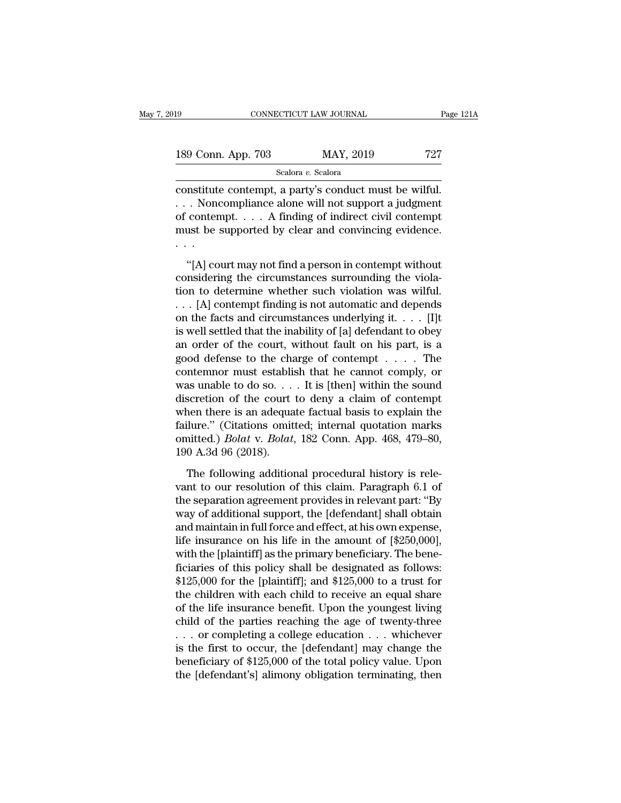| l9                 | CONNECTICUT LAW JOURNAL |           | Page 121A |
|--------------------|-------------------------|-----------|-----------|
|                    |                         |           |           |
| 189 Conn. App. 703 |                         | MAY, 2019 | 727       |
|                    | Scalora v. Scalora      |           |           |

constant constant content of content of content of content of content of content of content of content of content of content of content of content  $\alpha$  finding of inding  $\alpha$  inding  $\alpha$  inding  $\alpha$  inding  $\alpha$  inding  $\alpha$ 189 Conn. App. 703 MAY, 2019 727<br>Scalora v. Scalora (Scalora v. Scalora v. Scalora v. Scalora constitute contempt, a party's conduct must be wilful.<br>
... Noncompliance alone will not support a judgment of contempt.... A fi 189 Conn. App. 703 MAY, 2019 727<br>
Scalora v. Scalora<br>
constitute contempt, a party's conduct must be wilful.<br>
... Noncompliance alone will not support a judgment<br>
of contempt.... A finding of indirect civil contempt<br>
must 189 Conn. App. 703 MAY, 2019 727<br>
Scalora v. Scalora<br>
constitute contempt, a party's conduct must be wilful.<br>
... Noncompliance alone will not support a judgment<br>
of contempt.... A finding of indirect civil contempt<br>
must . . . nstitute contempt, a party's conduct must be wilful.<br>
. Noncompliance alone will not support a judgment<br>
contempt . . . . A finding of indirect civil contempt<br>
ust be supported by clear and convincing evidence.<br>
.<br>
"[A] co considerate contempt, a party  $\sigma$  contains the viola-<br>  $\ldots$  Noncompliance alone will not support a judgment<br>
of contempt.  $\ldots$  A finding of indirect civil contempt<br>
must be supported by clear and convincing evidence.<br>

of contempt.... A finding of indirect civil contempt<br>must be supported by clear and convincing evidence.<br> $\cdot$ ...<br>"[A] court may not find a person in contempt without<br>considering the circumstances surrounding the viola-<br>ti must be supported by clear and convincing evidence.<br>
...<br>
...<br>
... [A] court may not find a person in contempt without<br>
considering the circumstances surrounding the viola-<br>
tion to determine whether such violation was wi (A) court may not find a person in contempt without<br>considering the circumstances surrounding the viola-<br>tion to determine whether such violation was wilful.<br>... [A] contempt finding is not automatic and depends<br>on the fa "[A] court may not find a person in contempt without<br>considering the circumstances surrounding the viola-<br>tion to determine whether such violation was wilful.<br> $\ldots$  [A] contempt finding is not automatic and depends<br>on the "[A] court may not find a person in contempt without<br>considering the circumstances surrounding the viola-<br>tion to determine whether such violation was wilful.<br>... [A] contempt finding is not automatic and depends<br>on the f considering the circumstances surrounding the violation to determine whether such violation was wilful.<br>
... [A] contempt finding is not automatic and depends<br>
on the facts and circumstances underlying it. . . . [I]t<br>
is tion to determine whether such violation was wilful.<br>
. . . [A] contempt finding is not automatic and depends<br>
on the facts and circumstances underlying it. . . . [I]t<br>
is well settled that the inability of [a] defendant ... [A] contempt finding is not automatic and depends<br>on the facts and circumstances underlying it. . . . [I]t<br>is well settled that the inability of [a] defendant to obey<br>an order of the court, without fault on his part, on the facts and circumstances underlying it.  $\dots$  [1] is well settled that the inability of [a] defendant to obey<br>an order of the court, without fault on his part, is a<br>good defense to the charge of contempt  $\dots$ . The<br>co is well settled that the inability of [a] defendant to obey<br>an order of the court, without fault on his part, is a<br>good defense to the charge of contempt  $\dots$ . The<br>contemnor must establish that he cannot comply, or<br>was un an order of the court, without fault on his part, is a<br>good defense to the charge of contempt . . . . The<br>contemnor must establish that he cannot comply, or<br>was unable to do so. . . . It is [then] within the sound<br>discret good defense to the charge of contempt . . . . . The contemnor must establish that he cannot comply, or was unable to do so. . . . It is [then] within the sound discretion of the court to deny a claim of contempt when ther contemnor must establis<br>was unable to do so. . .<br>discretion of the court<br>when there is an adequa<br>failure." (Citations omit<br>omitted.) *Bolat* v. *Bolat*,<br>190 A.3d 96 (2018).<br>The following addition scretion of the court to deny a claim of contempt<br>nen there is an adequate factual basis to explain the<br>ilure." (Citations omitted; internal quotation marks<br>nitted.) *Bolat* v. *Bolat*, 182 Conn. App. 468, 479–80,<br>0 A.3d 9 when there is an adequate factual basis to explain the<br>failure." (Citations omitted; internal quotation marks<br>omitted.) *Bolat* v. *Bolat*, 182 Conn. App. 468, 479–80,<br>190 A.3d 96 (2018).<br>The following additional procedur

failure." (Citations omitted; internal quotation marks<br>omitted.) *Bolat* v. *Bolat*, 182 Conn. App. 468, 479–80,<br>190 A.3d 96 (2018).<br>The following additional procedural history is rele-<br>vant to our resolution of this clai omitted.) *Bolat* v. *Bolat*, 182 Conn. App. 468, 479–80, 190 A.3d 96 (2018).<br>The following additional procedural history is relevant to our resolution of this claim. Paragraph 6.1 of the separation agreement provides in 190 A.3d 96 (2018).<br>The following additional procedural history is relevant to our resolution of this claim. Paragraph 6.1 of<br>the separation agreement provides in relevant part: "By<br>way of additional support, the [defenda The following additional procedural history is relevant to our resolution of this claim. Paragraph 6.1 of the separation agreement provides in relevant part: "By way of additional support, the [defendant] shall obtain and The following additional procedural history is relevant to our resolution of this claim. Paragraph 6.1 of the separation agreement provides in relevant part: "By way of additional support, the [defendant] shall obtain and vant to our resolution of this claim. Paragraph 6.1 of<br>the separation agreement provides in relevant part: "By<br>way of additional support, the [defendant] shall obtain<br>and maintain in full force and effect, at his own expen the separation agreement provides in relevant part: "By<br>way of additional support, the [defendant] shall obtain<br>and maintain in full force and effect, at his own expense,<br>life insurance on his life in the amount of [\$250,0 way of additional support, the [defendant] shall obtain<br>and maintain in full force and effect, at his own expense,<br>life insurance on his life in the amount of [\$250,000],<br>with the [plaintiff] as the primary beneficiary. Th and maintain in full force and effect, at his own expense,<br>life insurance on his life in the amount of [\$250,000],<br>with the [plaintiff] as the primary beneficiary. The bene-<br>ficiaries of this policy shall be designated as life insurance on his life in the amount of  $[$250,000]$ ,<br>with the [plaintiff] as the primary beneficiary. The bene-<br>ficiaries of this policy shall be designated as follows:<br> $$125,000$  for the [plaintiff]; and  $$125,000$  with the [plaintiff] as the primary beneficiary. The bene-<br>ficiaries of this policy shall be designated as follows:<br>\$125,000 for the [plaintiff]; and \$125,000 to a trust for<br>the children with each child to receive an equa ficiaries of this policy shall be designated as follows:<br>\$125,000 for the [plaintiff]; and \$125,000 to a trust for<br>the children with each child to receive an equal share<br>of the life insurance benefit. Upon the youngest li \$125,000 for the [plaintiff]; and \$125,000 to a trust for<br>the children with each child to receive an equal share<br>of the life insurance benefit. Upon the youngest living<br>child of the parties reaching the age of twenty-thre the children with each child to receive an equal share<br>of the life insurance benefit. Upon the youngest living<br>child of the parties reaching the age of twenty-three<br>... or completing a college education ... whichever<br>is th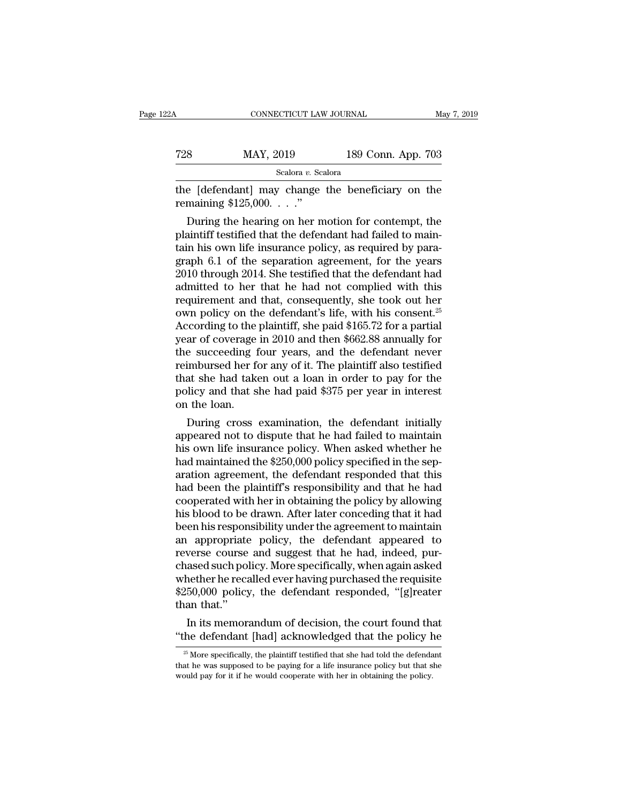| 22 A | CONNECTICUT LAW JOURNAL                                                     |                    | May 7, 2019 |
|------|-----------------------------------------------------------------------------|--------------------|-------------|
| 728  | MAY, 2019                                                                   | 189 Conn. App. 703 |             |
|      | Scalora v. Scalora                                                          |                    |             |
|      | the [defendant] may change the beneficiary on the<br>remaining $$125,000."$ |                    |             |
|      | During the hearing on her motion for contempt, the                          |                    |             |

 $MAY, 2019$  189 Conn. App. 703<br>
Scalora *v.* Scalora<br>
e [defendant] may change the beneficiary on the<br>
maining \$125,000. . . ."<br>
During the hearing on her motion for contempt, the<br>
aintiff testified that the defendant had Fall 189 Conn. App. 703<br>
Scalora v. Scalora<br>
the [defendant] may change the beneficiary on the<br>
remaining \$125,000. . . ."<br>
During the hearing on her motion for contempt, the<br>
plaintiff testified that the defendant had fa Scalora *v.* Scalora<br>the [defendant] may change the beneficiary on the<br>remaining \$125,000...."<br>During the hearing on her motion for contempt, the<br>plaintiff testified that the defendant had failed to main-<br>tain his own lif the [defendant] may change the beneficiary on the<br>remaining \$125,000. . . ."<br>During the hearing on her motion for contempt, the<br>plaintiff testified that the defendant had failed to main-<br>tain his own life insurance policy, the parameters and the testified that the defendant had failed to maintain his own life insurance policy, as required by para-<br>graph 6.1 of the separation agreement, for the years<br>2010 through 2014. She testified that the Femanting \$125,000. . . . .<br>During the hearing on her motion for contempt, the<br>plaintiff testified that the defendant had failed to main-<br>tain his own life insurance policy, as required by para-<br>graph 6.1 of the separatio During the hearing on her motion for contempt, the plaintiff testified that the defendant had failed to maintain his own life insurance policy, as required by paragraph 6.1 of the separation agreement, for the years 2010 plaintiff testified that the defendant had failed to maintain his own life insurance policy, as required by para-<br>graph 6.1 of the separation agreement, for the years<br>2010 through 2014. She testified that the defendant had tain his own life insurance policy, as required by paragraph 6.1 of the separation agreement, for the years 2010 through 2014. She testified that the defendant had admitted to her that he had not complied with this requir graph 6.1 of the separation agreement, for the years<br>2010 through 2014. She testified that the defendant had<br>admitted to her that he had not complied with this<br>requirement and that, consequently, she took out her<br>own polic 2010 through 2014. She testified that the defendant had<br>admitted to her that he had not complied with this<br>requirement and that, consequently, she took out her<br>own policy on the defendant's life, with his consent.<sup>25</sup><br>Acc admitted to her that he had not complied with this<br>requirement and that, consequently, she took out her<br>own policy on the defendant's life, with his consent.<sup>25</sup><br>According to the plaintiff, she paid \$165.72 for a partial<br>y requirement and that, consequently, she took out her<br>own policy on the defendant's life, with his consent.<sup>25</sup><br>According to the plaintiff, she paid \$165.72 for a partial<br>year of coverage in 2010 and then \$662.88 annually f own policy on the defendant's life, with his consent.<sup>25</sup><br>According to the plaintiff, she paid \$165.72 for a partial<br>year of coverage in 2010 and then \$662.88 annually for<br>the succeeding four years, and the defendant never According to the<br>year of coverage<br>the succeeding f<br>reimbursed her fo<br>that she had take<br>policy and that s<br>on the loan.<br>During cross ar of coverage in 2010 and then \$662.88 annually for<br>e succeeding four years, and the defendant never<br>imbursed her for any of it. The plaintiff also testified<br>at she had taken out a loan in order to pay for the<br>licy and t the succeeding four years, and the defendant never<br>reimbursed her for any of it. The plaintiff also testified<br>that she had taken out a loan in order to pay for the<br>policy and that she had paid \$375 per year in interest<br>on

remnoursed ner for any of it. The plaintiff also testified<br>that she had taken out a loan in order to pay for the<br>policy and that she had paid \$375 per year in interest<br>on the loan.<br>During cross examination, the defendant i that she had taken out a loan in order to pay for the<br>policy and that she had paid \$375 per year in interest<br>on the loan.<br>During cross examination, the defendant initially<br>appeared not to dispute that he had failed to main policy and that she had paid \$375 per year in interest<br>on the loan.<br>During cross examination, the defendant initially<br>appeared not to dispute that he had failed to maintain<br>his own life insurance policy. When asked whether on the loan.<br>
During cross examination, the defendant initially<br>
appeared not to dispute that he had failed to maintain<br>
his own life insurance policy. When asked whether he<br>
had maintained the \$250,000 policy specified in During cross examination, the defendant initially<br>appeared not to dispute that he had failed to maintain<br>his own life insurance policy. When asked whether he<br>had maintained the \$250,000 policy specified in the sep-<br>aration appeared not to dispute that he had failed to maintain<br>his own life insurance policy. When asked whether he<br>had maintained the \$250,000 policy specified in the sep-<br>aration agreement, the defendant responded that this<br>had his own life insurance policy. When asked whether he<br>had maintained the \$250,000 policy specified in the sep-<br>aration agreement, the defendant responded that this<br>had been the plaintiff's responsibility and that he had<br>coo had maintained the \$250,000 policy specified in the separation agreement, the defendant responded that this<br>had been the plaintiff's responsibility and that he had<br>cooperated with her in obtaining the policy by allowing<br>hi aration agreement, the defendant responded that this<br>had been the plaintiff's responsibility and that he had<br>cooperated with her in obtaining the policy by allowing<br>his blood to be drawn. After later conceding that it had<br> had been the plaintiff's responsibility and that he had<br>cooperated with her in obtaining the policy by allowing<br>his blood to be drawn. After later conceding that it had<br>been his responsibility under the agreement to mainta cooperated with her in obtaining the policy by allowing<br>his blood to be drawn. After later conceding that it had<br>been his responsibility under the agreement to maintain<br>an appropriate policy, the defendant appeared to<br>reve his blood to be drawn. After later conceding that it had<br>been his responsibility under the agreement to maintain<br>an appropriate policy, the defendant appeared to<br>reverse course and suggest that he had, indeed, pur-<br>chased been his respon<br>an appropriate<br>reverse course<br>chased such pol<br>whether he reca<br>\$250,000 policy<br>than that.''<br>In its memora appropriate policy, the defendant appeared to<br>verse course and suggest that he had, indeed, pur-<br>ased such policy. More specifically, when again asked<br>nether he recalled ever having purchased the requisite<br>50,000 policy, t reverse course and suggest that he had, indeed, pur-<br>chased such policy. More specifically, when again asked<br>whether he recalled ever having purchased the requisite<br>\$250,000 policy, the defendant responded, "[g]reater<br>than

25 More specifically, the determining that is experienced. The its memorandum of decision, the court found that the defendant [had] acknowledged that the policy he  $\frac{25}{5}$  More specifically, the plaintiff testified that

In its memorandum of decision, the court found that<br>
"the defendant [had] acknowledged that the policy he<br>  $\frac{1}{x}$  More specifically, the plaintiff testified that she had told the defendant<br>
that he was supposed to be p In its memorandum of decision, the court found the "the defendant [had] acknowledged that the policy  $\frac{1}{20}$  More specifically, the plaintiff testified that she had told the defendathat he was supposed to be paying for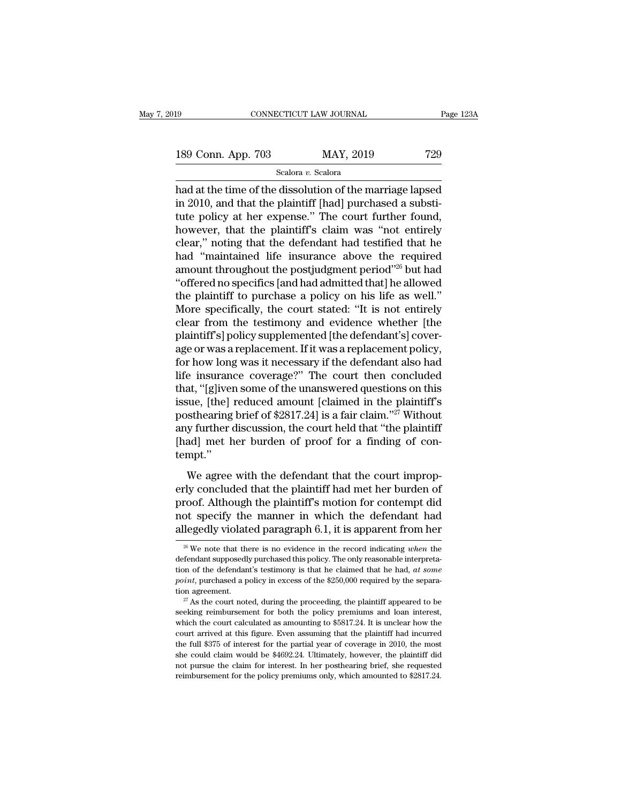| 19                 | CONNECTICUT LAW JOURNAL |           | Page 123A |
|--------------------|-------------------------|-----------|-----------|
| 189 Conn. App. 703 |                         | MAY, 2019 | 729       |
|                    | Scalora v. Scalora      |           |           |

Fage 123A<br>
189 Conn. App. 703 MAY, 2019 729<br>
Scalora v. Scalora<br>
had at the time of the dissolution of the marriage lapsed<br>
in 2010, and that the plaintiff [had] purchased a substitute policy at her exponse." The court fur 189 Conn. App. 703 MAY, 2019 729<br>
Scalora v. Scalora<br>
had at the time of the dissolution of the marriage lapsed<br>
in 2010, and that the plaintiff [had] purchased a substi-<br>
tute policy at her expense." The court further fou 189 Conn. App. 703 MAY, 2019 729<br>
Scalora v. Scalora<br>
had at the time of the dissolution of the marriage lapsed<br>
in 2010, and that the plaintiff [had] purchased a substitute policy at her expense." The court further found 189 Conn. App. 703 MAY, 2019 729<br>
Scalora v. Scalora<br>
had at the time of the dissolution of the marriage lapsed<br>
in 2010, and that the plaintiff [had] purchased a substi-<br>
tute policy at her expense." The court further fo Scalora v. Scalora<br>
Scalora v. Scalora<br>
had at the time of the dissolution of the marriage lapsed<br>
in 2010, and that the plaintiff [had] purchased a substitute<br>
policy at her expense." The court further found,<br>
however, t sealora  $v$ . Sealora<br>had at the time of the dissolution of the marriage lapsed<br>in 2010, and that the plaintiff [had] purchased a substi-<br>tute policy at her expense." The court further found,<br>however, that the plaintiff's had at the time of the dissolution of the marriage lapsed<br>in 2010, and that the plaintiff [had] purchased a substi-<br>tute policy at her expense." The court further found,<br>however, that the plaintiff's claim was "not entirel in 2010, and that the plaintiff [had] purchased a substitute policy at her expense." The court further found,<br>however, that the plaintiff's claim was "not entirely<br>clear," noting that the defendant had testified that he<br>ha tute policy at her expense." The court further found,<br>however, that the plaintiff's claim was "not entirely<br>clear," noting that the defendant had testified that he<br>had "maintained life insurance above the required<br>amount t however, that the plaintiff's claim was "not entirely<br>clear," noting that the defendant had testified that he<br>had "maintained life insurance above the required<br>amount throughout the postjudgment period"<sup>26</sup> but had<br>"offere clear," noting that the defendant had testified that he<br>had "maintained life insurance above the required<br>amount throughout the postjudgment period"<sup>26</sup> but had<br>"offered no specifics [and had admitted that] he allowed<br>the had "maintained life insurance above the required<br>amount throughout the postjudgment period"<sup>26</sup> but had<br>"offered no specifics [and had admitted that] he allowed<br>the plaintiff to purchase a policy on his life as well."<br>Mor amount throughout the postjudgment period"<sup>26</sup> but had<br>"offered no specifics [and had admitted that] he allowed<br>the plaintiff to purchase a policy on his life as well."<br>More specifically, the court stated: "It is not entir "offered no specifics [and had admitted that] he allowed<br>the plaintiff to purchase a policy on his life as well."<br>More specifically, the court stated: "It is not entirely<br>clear from the testimony and evidence whether [the<br> the plaintiff to purchase a policy on his life as well."<br>More specifically, the court stated: "It is not entirely<br>clear from the testimony and evidence whether [the<br>plaintiff's] policy supplemented [the defendant's] cover-More specifically, the court stated: "It is not entirely<br>clear from the testimony and evidence whether [the<br>plaintiff's] policy supplemented [the defendant's] cover-<br>age or was a replacement. If it was a replacement polic clear from the testimony and evidence whether [the<br>plaintiff's] policy supplemented [the defendant's] cover-<br>age or was a replacement. If it was a replacement policy,<br>for how long was it necessary if the defendant also had plaintiff's] policy supplemented [the defendant's] cover-<br>age or was a replacement. If it was a replacement policy,<br>for how long was it necessary if the defendant also had<br>life insurance coverage?'' The court then conclude age or was a replacement. If it was a replacement policy,<br>for how long was it necessary if the defendant also had<br>life insurance coverage?" The court then concluded<br>that, "[g]iven some of the unanswered questions on this<br>i for how long was it necessary if the defendant also had<br>life insurance coverage?" The court then concluded<br>that, "[g]iven some of the unanswered questions on this<br>issue, [the] reduced amount [claimed in the plaintiff's<br>pos tempt.'' ince, [the] reduced amount [claimed in the plaintiff's<br>sthearing brief of \$2817.24] is a fair claim."<sup>27</sup> Without<br>y further discussion, the court held that "the plaintiff<br>ad] met her burden of proof for a finding of con-<br>m posthearing brief of \$2817.24] is a fair claim."<sup>27</sup> Without<br>any further discussion, the court held that "the plaintiff<br>[had] met her burden of proof for a finding of con-<br>tempt."<br>We agree with the defendant that the cour

probability and the court held that "the plaintiff"<br>any further discussion, the court held that "the plaintiff"<br>[had] met her burden of proof for a finding of con-<br>tempt."<br>We agree with the defendant that the court impropnot specify the manner in which the defendant from her<br>we agree with the defendant that the court improp-<br>erly concluded that the plaintiff had met her burden of<br>proof. Although the plaintiff's motion for contempt did<br>not Example 1.02 Section of proof for a metallic density<br>tempt."<br>We agree with the defendant that the court improp-<br>erly concluded that the plaintiff had met her burden of<br>proof. Although the plaintiff's motion for contempt d erly concluded that the plaintiff had met her burden of<br>proof. Although the plaintiff's motion for contempt did<br>not specify the manner in which the defendant had<br>allegedly violated paragraph 6.1, it is apparent from her<br> $\$ proof. Although the plaintiff's motion for contempt did<br>not specify the manner in which the defendant had<br>allegedly violated paragraph 6.1, it is apparent from her<br> $\frac{26}{w}$  We note that there is no evidence in the recor

not specify the manner in which the defendant had<br>allegedly violated paragraph  $6.1$ , it is apparent from her<br><sup>26</sup>We note that there is no evidence in the record indicating *when* the<br>defendant supposedly purchased this p allegedly violated paragraph 6.1, it is apparent from her<br>
<sup>26</sup> We note that there is no evidence in the record indicating *when* the<br>
defendant supposedly purchased this policy. The only reasonable interpreta-<br>
tion of th  $\frac{28}{x}$  We note that there is no evidence in the record indicating *when* the defendant supposedly purchased this policy. The only reasonable interpretation of the defendant's testimony is that he claimed that he had,

tion of the defendant's testimony is that he claimed that he had, *at some point*, purchased a policy in excess of the \$250,000 required by the separation agreement.<br><sup>27</sup> As the court noted, during the proceeding, the pla tion of the defendant's testimony is that he claimed that he had, at some point, purchased a policy in excess of the \$250,000 required by the separation agreement.<br>
<sup>27</sup> As the court noted, during the proceeding, the plai point, purchased a policy in excess of the \$250,000 required by the separation agreement.<br>
<sup>27</sup> As the court noted, during the proceeding, the plaintiff appeared to be seeking reimbursement for both the policy premiums an seeking reimbursement for both the policy premiums and loan interest, which the court calculated as amounting to  $$5817.24$ . It is unclear how the court arrived at this figure. Even assuming that the plaintiff had incurre <sup>27</sup> As the court noted, during the proceeding, the plaintiff appeared to be seeking reimbursement for both the policy premiums and loan interest, which the court calculated as amounting to  $$5817.24$ . It is unclear how t seeking reimbursement for both the policy premiums and loan interest, which the court calculated as amounting to \$5817.24. It is unclear how the court arrived at this figure. Even assuming that the plaintiff had incurred t which the court calculated as amounting to  $$5817.24$ . It is unclear how the court arrived at this figure. Even assuming that the plaintiff had incurred the full  $$375$  of interest for the partial year of coverage in 2010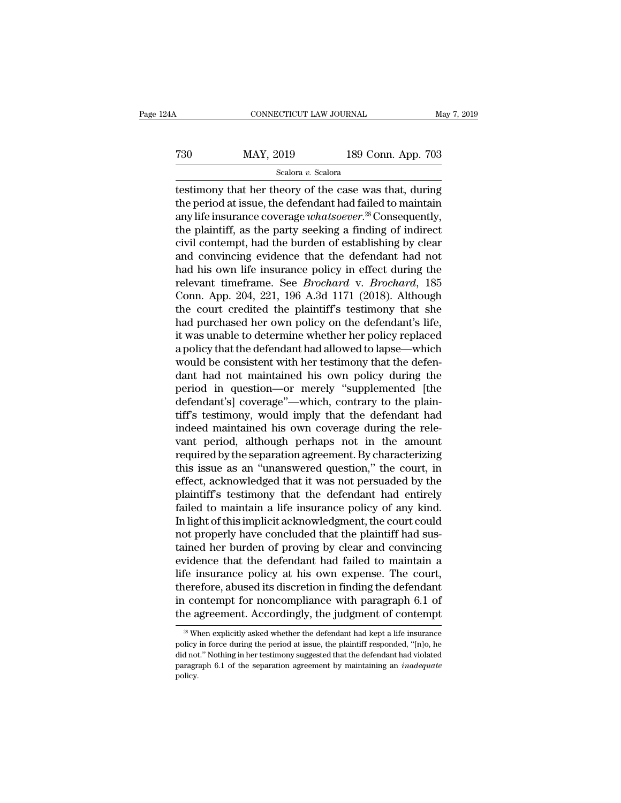| 24A | CONNECTICUT LAW JOURNAL |                    | May 7, 2019 |
|-----|-------------------------|--------------------|-------------|
| 730 | MAY, 2019               | 189 Conn. App. 703 |             |
|     | Scalora v. Scalora      |                    |             |

testimony that her theory of the case was that, during<br>the period at issue, the defendant had failed to maintain<br>any life insurance coverage what scaver<sup>28</sup> Consequently T30 MAY, 2019 189 Conn. App. 703<br>Scalora v. Scalora<br>testimony that her theory of the case was that, during<br>the period at issue, the defendant had failed to maintain<br>any life insurance coverage whatsoever.<sup>28</sup> Consequently Tany Marty, 2019<br>
and the Scalora *v*. Scalora<br>
any that her theory of the case was that, during<br>
the period at issue, the defendant had failed to maintain<br>
any life insurance coverage *whatsoever*.<sup>28</sup> Consequently,<br>
the T30 MAY, 2019 189 Conn. App. 703<br>
Scalora v. Scalora<br>
testimony that her theory of the case was that, during<br>
the period at issue, the defendant had failed to maintain<br>
any life insurance coverage whatsoever.<sup>28</sup> Conseque Scalora *v*. Scalora<br>
scalora *v*. Scalora<br>
testimony that her theory of the case was that, during<br>
the period at issue, the defendant had failed to maintain<br>
any life insurance coverage *whatsoever*.<sup>28</sup> Consequently,<br>
t sealora v. sealora<br>testimony that her theory of the case was that, during<br>the period at issue, the defendant had failed to maintain<br>any life insurance coverage whatsoever.<sup>28</sup> Consequently,<br>the plaintiff, as the party see testimony that her theory of the case was that, during<br>the period at issue, the defendant had failed to maintain<br>any life insurance coverage *whatsoever*.<sup>28</sup> Consequently,<br>the plaintiff, as the party seeking a finding of the period at issue, the defendant had failed to maintain<br>any life insurance coverage *whatsoever*.<sup>28</sup> Consequently,<br>the plaintiff, as the party seeking a finding of indirect<br>civil contempt, had the burden of establishing any life insurance coverage *whatsoever*.<sup>28</sup> Consequently,<br>the plaintiff, as the party seeking a finding of indirect<br>civil contempt, had the burden of establishing by clear<br>and convincing evidence that the defendant had n the plaintiff, as the party seeking a finding of indirect<br>civil contempt, had the burden of establishing by clear<br>and convincing evidence that the defendant had not<br>had his own life insurance policy in effect during the<br>re civil contempt, had the burden of establishing by clear<br>and convincing evidence that the defendant had not<br>had his own life insurance policy in effect during the<br>relevant timeframe. See *Brochard* v. *Brochard*, 185<br>Conn. and convincing evidence that the defendant had not<br>had his own life insurance policy in effect during the<br>relevant timeframe. See *Brochard* v. *Brochard*, 185<br>Conn. App. 204, 221, 196 A.3d 1171 (2018). Although<br>the court had his own life insurance policy in effect during the<br>relevant timeframe. See *Brochard* v. *Brochard*, 185<br>Conn. App. 204, 221, 196 A.3d 1171 (2018). Although<br>the court credited the plaintiff's testimony that she<br>had pur relevant timeframe. See *Brochard* v. *Brochard*, 185<br>Conn. App. 204, 221, 196 A.3d 1171 (2018). Although<br>the court credited the plaintiff's testimony that she<br>had purchased her own policy on the defendant's life,<br>it was u Conn. App. 204, 221, 196 A.3d 1171 (2018). Although<br>the court credited the plaintiff's testimony that she<br>had purchased her own policy on the defendant's life,<br>it was unable to determine whether her policy replaced<br>a polic the court credited the plaintiff's testimony that she<br>had purchased her own policy on the defendant's life,<br>it was unable to determine whether her policy replaced<br>a policy that the defendant had allowed to lapse—which<br>woul had purchased her own policy on the defendant's life,<br>it was unable to determine whether her policy replaced<br>a policy that the defendant had allowed to lapse—which<br>would be consistent with her testimony that the defen-<br>dan it was unable to determine whether her policy replaced<br>a policy that the defendant had allowed to lapse—which<br>would be consistent with her testimony that the defen-<br>dant had not maintained his own policy during the<br>period a policy that the defendant had allowed to lapse—which<br>would be consistent with her testimony that the defen-<br>dant had not maintained his own policy during the<br>period in question—or merely "supplemented [the<br>defendant's] c would be consistent with her testimony that the defendant had not maintained his own policy during the period in question—or merely "supplemented [the defendant's] coverage"—which, contrary to the plaintiff's testimony, wo dant had not maintained his own policy during the<br>period in question—or merely "supplemented [the<br>defendant's] coverage"—which, contrary to the plain-<br>tiff's testimony, would imply that the defendant had<br>indeed maintained period in question—or merely "supplemented [the<br>defendant's] coverage"—which, contrary to the plain-<br>tiff's testimony, would imply that the defendant had<br>indeed maintained his own coverage during the rele-<br>vant period, alt defendant's] coverage"—which, contrary to the plain-<br>tiff's testimony, would imply that the defendant had<br>indeed maintained his own coverage during the rele-<br>vant period, although perhaps not in the amount<br>required by the tiff's testimony, would imply that the defendant had<br>indeed maintained his own coverage during the rele-<br>vant period, although perhaps not in the amount<br>required by the separation agreement. By characterizing<br>this issue as indeed maintained his own coverage during the relevant period, although perhaps not in the amount<br>required by the separation agreement. By characterizing<br>this issue as an "unanswered question," the court, in<br>effect, acknow vant period, although perhaps not in the amount<br>required by the separation agreement. By characterizing<br>this issue as an "unanswered question," the court, in<br>effect, acknowledged that it was not persuaded by the<br>plaintiff' required by the separation agreement. By characterizing<br>this issue as an "unanswered question," the court, in<br>effect, acknowledged that it was not persuaded by the<br>plaintiff's testimony that the defendant had entirely<br>fail this issue as an "unanswered question," the court, in<br>effect, acknowledged that it was not persuaded by the<br>plaintiff's testimony that the defendant had entirely<br>failed to maintain a life insurance policy of any kind.<br>In l effect, acknowledged that it was not persuaded by the plaintiff's testimony that the defendant had entirely failed to maintain a life insurance policy of any kind. In light of this implicit acknowledgment, the court could plaintiff's testimony that the defendant had entirely<br>failed to maintain a life insurance policy of any kind.<br>In light of this implicit acknowledgment, the court could<br>not properly have concluded that the plaintiff had sus failed to maintain a life insurance policy of any kind.<br>In light of this implicit acknowledgment, the court could<br>not properly have concluded that the plaintiff had sus-<br>tained her burden of proving by clear and convincing In light of this implicit acknowledgment, the court could<br>not properly have concluded that the plaintiff had sus-<br>tained her burden of proving by clear and convincing<br>evidence that the defendant had failed to maintain a<br>li not properly have concluded that the plaintiff had sus-<br>tained her burden of proving by clear and convincing<br>evidence that the defendant had failed to maintain a<br>life insurance policy at his own expense. The court,<br>therefo Elementary and its discretion in finding the defendant<br>
28 Contempt for noncompliance with paragraph 6.1 of<br>
28 When explicitly asked whether the defendant had kept a life insurance<br>
28 When explicitly asked whether the d therefore, abused its discretion in finding the defendant<br>in contempt for noncompliance with paragraph 6.1 of<br>the agreement. Accordingly, the judgment of contempt<br><sup>28</sup> When explicitly asked whether the defendant had kept a

in contempt for noncompliance with paragraph 6.1 of<br>the agreement. Accordingly, the judgment of contempt<br> $\frac{1}{\sqrt{2}}$  When explicitly asked whether the defendant had kept a life insurance<br>policy in force during the period The agreement. Accordingly, the judgment of contempt<br>
<sup>28</sup> When explicitly asked whether the defendant had kept a life insurance<br>
policy in force during the period at issue, the plaintiff responded, "[n]o, he<br>
did not." No policy.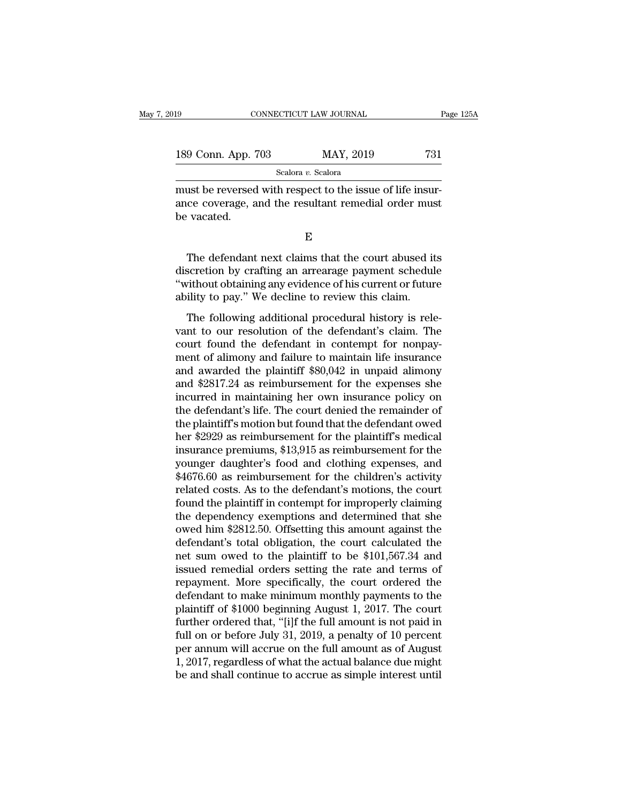| 19                 | CONNECTICUT LAW JOURNAL                                                                                           | Page 125A |
|--------------------|-------------------------------------------------------------------------------------------------------------------|-----------|
| 189 Conn. App. 703 | MAY, 2019                                                                                                         | 731       |
|                    | Scalora v. Scalora                                                                                                |           |
| ho maatad          | must be reversed with respect to the issue of life insur-<br>ance coverage, and the resultant remedial order must |           |

189 Conn. App. 703 MAY, 2019 731<br>Scalora v. Scalora Coverage, and the resultant remedial order must<br>be vacated. 189 Conn. App. '<br>must be reversed<br>ance coverage, a<br>be vacated.  $\frac{1}{2}$ <br>  $\frac{1}{2}$  and the resultant remedial order must<br>  $\frac{1}{2}$ <br>  $\frac{1}{2}$ <br>
The defendant next claims that the court abused its<br>
scretion by crafting an arrearage payment schedule<br>
without obtaining any ovidence of

E<sub>co</sub> extended to the set of the set of the set of the set of the set of the set of the set of the set of the set of the set of the set of the set of the set of the set of the set of the set of the set of the set of the se

must be reversed with respect to the issue of life insur-<br>ance coverage, and the resultant remedial order must<br>be vacated.<br> $E$ <br>The defendant next claims that the court abused its<br>discretion by crafting an arrearage payment ance coverage, and the resultant remedial order must<br>be vacated.<br> $$\rm\,E$$ <br>The defendant next claims that the court abused its<br>discretion by crafting an arrearage payment schedule<br>"without obtaining any evidence of his cur E<br>
The defendant next claims that the court abused it<br>
discretion by crafting an arrearage payment schedul<br>
"without obtaining any evidence of his current or futur<br>
ability to pay." We decline to review this claim.<br>
The fo E<br>The defendant next claims that the court abused its<br>scretion by crafting an arrearage payment schedule<br>ithout obtaining any evidence of his current or future<br>ility to pay." We decline to review this claim.<br>The following The defendant next claims that the court abused its<br>discretion by crafting an arrearage payment schedule<br>"without obtaining any evidence of his current or future<br>ability to pay." We decline to review this claim.<br>The follow

The decidual field claims that the court abased its<br>discretion by crafting an arrearage payment schedule<br>"without obtaining any evidence of his current or future<br>ability to pay." We decline to review this claim.<br>The follow ment of alimony and failure to review this claim.<br>
"without obtaining any evidence of his current or future<br>
ability to pay." We decline to review this claim.<br>
The following additional procedural history is rele-<br>
vant to ability to pay." We decline to review this claim.<br>The following additional procedural history is relevant to our resolution of the defendant's claim. The<br>court found the defendant in contempt for nonpay-<br>ment of alimony an The following additional procedural history is relevant to our resolution of the defendant's claim. The court found the defendant in contempt for nonpayment of alimony and failure to maintain life insurance and awarded th The following additional procedural history is relevant to our resolution of the defendant's claim. The court found the defendant in contempt for nonpayment of alimony and failure to maintain life insurance and awarded the vant to our resolution of the defendant's claim. The<br>court found the defendant in contempt for nonpay-<br>ment of alimony and failure to maintain life insurance<br>and awarded the plaintiff \$80,042 in unpaid alimony<br>and \$2817.24 court found the defendant in contempt for nonpayment of alimony and failure to maintain life insurance<br>and awarded the plaintiff \$80,042 in unpaid alimony<br>and \$2817.24 as reimbursement for the expenses she<br>incurred in main ment of alimony and failure to maintain life insurance<br>and awarded the plaintiff \$80,042 in unpaid alimony<br>and \$2817.24 as reimbursement for the expenses she<br>incurred in maintaining her own insurance policy on<br>the defendan and awarded the plaintiff \$80,042 in unpaid alimony<br>and \$2817.24 as reimbursement for the expenses she<br>incurred in maintaining her own insurance policy on<br>the defendant's life. The court denied the remainder of<br>the plainti and \$2817.24 as reimbursement for the expenses she<br>incurred in maintaining her own insurance policy on<br>the defendant's life. The court denied the remainder of<br>the plaintiff's motion but found that the defendant owed<br>her \$2 incurred in maintaining her own insurance policy on<br>the defendant's life. The court denied the remainder of<br>the plaintiff's motion but found that the defendant owed<br>her \$2929 as reimbursement for the plaintiff's medical<br>in the defendant's life. The court denied the remainder of<br>the plaintiff's motion but found that the defendant owed<br>her \$2929 as reimbursement for the plaintiff's medical<br>insurance premiums, \$13,915 as reimbursement for the<br>y the plaintiff's motion but found that the defendant owed<br>her \$2929 as reimbursement for the plaintiff's medical<br>insurance premiums, \$13,915 as reimbursement for the<br>younger daughter's food and clothing expenses, and<br>\$4676. her \$2929 as reimbursement for the plaintiff's medical<br>insurance premiums, \$13,915 as reimbursement for the<br>younger daughter's food and clothing expenses, and<br>\$4676.60 as reimbursement for the children's activity<br>related c insurance premiums, \$13,915 as reimbursement for the<br>younger daughter's food and clothing expenses, and<br>\$4676.60 as reimbursement for the children's activity<br>related costs. As to the defendant's motions, the court<br>found th younger daughter's food and clothing expenses, and<br>\$4676.60 as reimbursement for the children's activity<br>related costs. As to the defendant's motions, the court<br>found the plaintiff in contempt for improperly claiming<br>the d \$4676.60 as reimbursement for the children's activity<br>related costs. As to the defendant's motions, the court<br>found the plaintiff in contempt for improperly claiming<br>the dependency exemptions and determined that she<br>owed h related costs. As to the defendant's motions, the court<br>found the plaintiff in contempt for improperly claiming<br>the dependency exemptions and determined that she<br>owed him \$2812.50. Offsetting this amount against the<br>defend found the plaintiff in contempt for improperly claiming<br>the dependency exemptions and determined that she<br>owed him \$2812.50. Offsetting this amount against the<br>defendant's total obligation, the court calculated the<br>net su the dependency exemptions and determined that she<br>owed him \$2812.50. Offsetting this amount against the<br>defendant's total obligation, the court calculated the<br>net sum owed to the plaintiff to be \$101,567.34 and<br>issued reme owed him \$2812.50. Offsetting this amount against the<br>defendant's total obligation, the court calculated the<br>net sum owed to the plaintiff to be \$101,567.34 and<br>issued remedial orders setting the rate and terms of<br>repaymen defendant's total obligation, the court calculated the<br>net sum owed to the plaintiff to be \$101,567.34 and<br>issued remedial orders setting the rate and terms of<br>repayment. More specifically, the court ordered the<br>defendant net sum owed to the plaintiff to be \$101,567.34 and<br>issued remedial orders setting the rate and terms of<br>repayment. More specifically, the court ordered the<br>defendant to make minimum monthly payments to the<br>plaintiff of \$1 issued remedial orders setting the rate and terms of<br>repayment. More specifically, the court ordered the<br>defendant to make minimum monthly payments to the<br>plaintiff of \$1000 beginning August 1, 2017. The court<br>further orde repayment. More specifically, the court ordered the<br>defendant to make minimum monthly payments to the<br>plaintiff of \$1000 beginning August 1, 2017. The court<br>further ordered that, "[i]f the full amount is not paid in<br>full o defendant to make minimum monthly payments to the plaintiff of \$1000 beginning August 1, 2017. The court further ordered that, "[i]f the full amount is not paid in full on or before July 31, 2019, a penalty of 10 percent p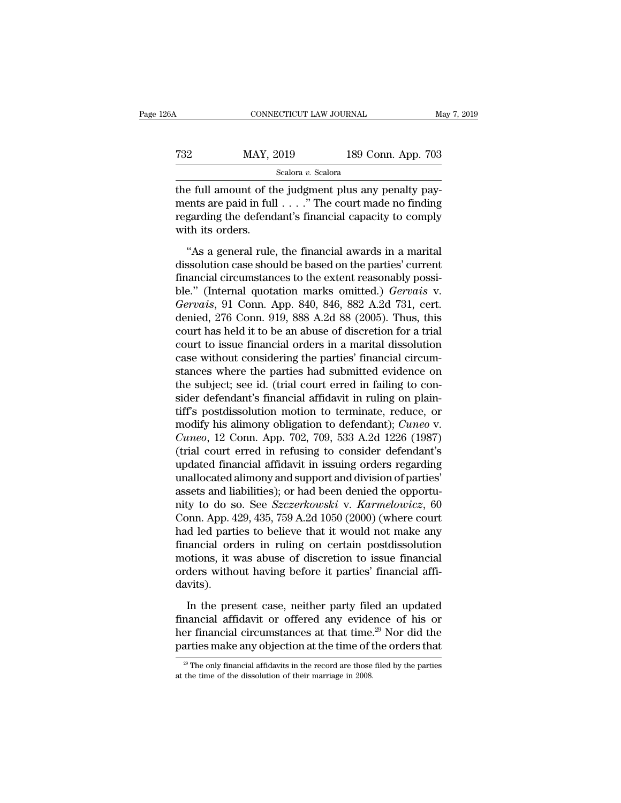# CONNECTICUT LAW JOURNAL May 7, 2019<br>
MAY, 2019 189 Conn. App. 703<br>
Scalora v. Scalora

Scalora *v.* Scalora

CONNECTICUT LAW JOURNAL<br>
T32 MAY, 2019 189 Conn. App. 703<br>
Scalora v. Scalora<br>
the full amount of the judgment plus any penalty pay-<br>
ments are paid in full . . . ." The court made no finding<br>
regarding the defendent's fin MAY, 2019 189 Conn. App. 703<br>Scalora v. Scalora<br>the full amount of the judgment plus any penalty pay-<br>ments are paid in full . . . .." The court made no finding<br>regarding the defendant's financial capacity to comply<br>with i T32 MAY, 2019 189 Conn. App. 703<br>Scalora v. Scalora<br>the full amount of the judgment plus any penalty pay-<br>ments are paid in full . . . . " The court made no finding<br>regarding the defendant's financial capacity to comply<br>w WAY, 2<br>
The full amount of the full amount of the full amount of the ments are paid in full<br>
regarding the defend<br>
with its orders.<br>
"As a general rule Scalora v. Scalora<br>
e full amount of the judgment plus any penalty payents are paid in full  $\ldots$ ." The court made no finding<br>
garding the defendant's financial capacity to comply<br>
th its orders.<br>
"As a general rule, the the full amount of the judgment plus any penalty payments are paid in full  $\dots$ ." The court made no finding<br>regarding the defendant's financial capacity to comply<br>with its orders.<br>"As a general rule, the financial awards

Final dissolution of the galaxies provided in  $f$  and  $f$  positive reasonably ments are paid in full  $\ldots$ ." The court made no finding regarding the defendant's financial capacity to comply with its orders.<br>"As a general ble.to are plant fait to the beat final controlled to the displant regarding the defendant's financial capacity to comply<br>with its orders.<br>"As a general rule, the financial awards in a marital<br>dissolution case should be ba *Germanics* Entricolate Scheres, 1918 with its orders.<br>
"As a general rule, the financial awards in a marital<br>
dissolution case should be based on the parties' current<br>
financial circumstances to the extent reasonably poss "As a general rule, the financial awards in a marital<br>dissolution case should be based on the parties' current<br>financial circumstances to the extent reasonably possi-<br>ble." (Internal quotation marks omitted.) *Gervais* v. "As a general rule, the financial awards in a marital dissolution case should be based on the parties' current financial circumstances to the extent reasonably possible." (Internal quotation marks omitted.) *Gervais* v. dissolution case should be based on the parties' current<br>financial circumstances to the extent reasonably possi-<br>ble." (Internal quotation marks omitted.) *Gervais* v.<br>*Gervais*, 91 Conn. App. 840, 846, 882 A.2d 731, cert. financial circumstances to the extent reasonably possible." (Internal quotation marks omitted.) *Gervais* v.<br>*Gervais*, 91 Conn. App. 840, 846, 882 A.2d 731, cert.<br>denied, 276 Conn. 919, 888 A.2d 88 (2005). Thus, this<br>cour ble." (Internal quotation marks omitted.) *Gervais* v.<br> *Gervais*, 91 Conn. App. 840, 846, 882 A.2d 731, cert.<br>
denied, 276 Conn. 919, 888 A.2d 88 (2005). Thus, this<br>
court has held it to be an abuse of discretion for a tr Gervais, 91 Conn. App. 840, 846, 882 A.2d 731, cert.<br>denied, 276 Conn. 919, 888 A.2d 88 (2005). Thus, this<br>court has held it to be an abuse of discretion for a trial<br>court to issue financial orders in a marital dissolution denied, 276 Conn. 919, 888 A.2d 88 (2005). Thus, this court has held it to be an abuse of discretion for a trial court to issue financial orders in a marital dissolution case without considering the parties' financial circ court has held it to be an abuse of discretion for a trial<br>court to issue financial orders in a marital dissolution<br>case without considering the parties' financial circum-<br>stances where the parties had submitted evidence court to issue financial orders in a marital dissolution<br>case without considering the parties' financial circum-<br>stances where the parties had submitted evidence on<br>the subject; see id. (trial court erred in failing to con case without considering the parties' financial circumstances where the parties had submitted evidence on the subject; see id. (trial court erred in failing to consider defendant's financial affidavit in ruling on plaintif stances where the parties had submitted evidence on<br>the subject; see id. (trial court erred in failing to con-<br>sider defendant's financial affidavit in ruling on plain-<br>tiff's postdissolution motion to terminate, reduce, o the subject; see id. (trial court erred in failing to consider defendant's financial affidavit in ruling on plain-<br>tiff's postdissolution motion to terminate, reduce, or<br>modify his alimony obligation to defendant); *Cuneo* sider defendant's financial affidavit in ruling on plaintiff's postdissolution motion to terminate, reduce, or<br>modify his alimony obligation to defendant); *Cuneo* v.<br>*Cuneo*, 12 Conn. App. 702, 709, 533 A.2d 1226 (1987)<br>( tiff's postdissolution motion to terminate, reduce, or modify his alimony obligation to defendant); *Cuneo v. Cuneo*, 12 Conn. App. 702, 709, 533 A.2d 1226 (1987) (trial court erred in refusing to consider defendant's u modify his alimony obligation to defendant); *Cuneo v.*<br> *Cuneo*, 12 Conn. App. 702, 709, 533 A.2d 1226 (1987)<br>
(trial court erred in refusing to consider defendant's<br>
updated financial affidavit in issuing orders regardin *Cuneo*, 12 Conn. App. 702, 709, 533 A.2d 1226 (1987)<br>(trial court erred in refusing to consider defendant's<br>updated financial affidavit in issuing orders regarding<br>unallocated alimony and support and division of parties' (trial court erred in refusing to consider defendant's<br>updated financial affidavit in issuing orders regarding<br>unallocated alimony and support and division of parties'<br>assets and liabilities); or had been denied the oppor updated financial affidavit in issuing orders regarding<br>unallocated alimony and support and division of parties'<br>assets and liabilities); or had been denied the opportu-<br>nity to do so. See *Szczerkowski* v. *Karmelowicz*, unallocated alimony and support and division of parties'<br>assets and liabilities); or had been denied the opportu-<br>nity to do so. See *Szczerkowski* v. *Karmelowicz*, 60<br>Conn. App. 429, 435, 759 A.2d 1050 (2000) (where cour assets and liabilities); or had been denied the opportunity to do so. See *Szczerkowski* v. *Karmelowicz*, 60 Conn. App. 429, 435, 759 A.2d 1050 (2000) (where court had led parties to believe that it would not make any fin davits). In the present case, neither party filed an updated<br>ancial orders in ruling on certain postdissolution<br>otions, it was abuse of discretion to issue financial<br>ders without having before it parties' financial affi-<br>vits).<br>In Financial orders in ruling on certain postdissolution<br>financial orders in ruling on certain postdissolution<br>motions, it was abuse of discretion to issue financial<br>orders without having before it parties' financial affi-<br>da

motions, it was abuse of discretion to issue financial<br>orders without having before it parties' financial affi-<br>davits).<br>In the present case, neither party filed an updated<br>financial affidavit or offered any evidence of hi particles make any objection at the time of the orders difficular davits).<br>In the present case, neither party filed an updated financial affidavit or offered any evidence of his or her financial circumstances at that time In the present case, neither party filed an updated financial affidavit or offered any evidence of his or her financial circumstances at that time.<sup>29</sup> Nor did the parties make any objection at the time of the orders that her financial circumstances at that time.<sup>29</sup> Nor did the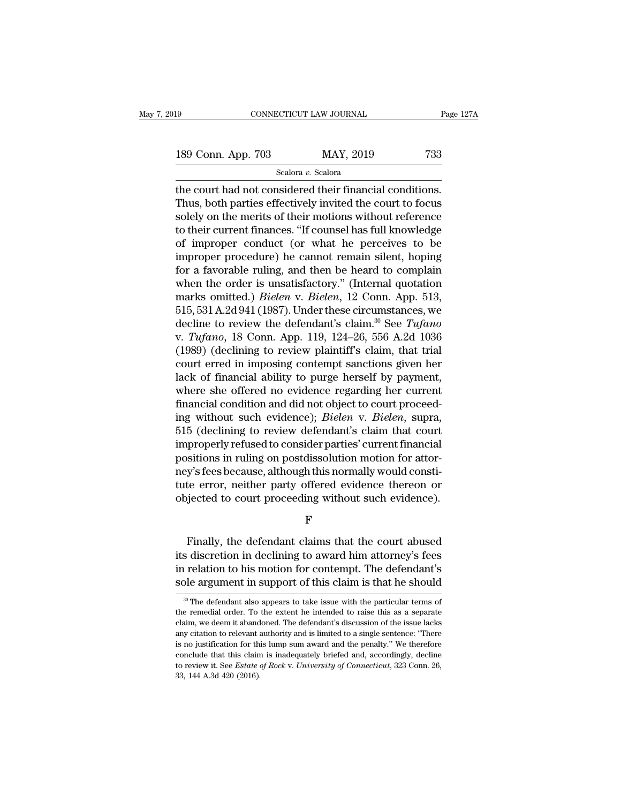189 CONNECTICUT LAW JOURNAL Page 127A<br>189 Conn. App. 703 MAY, 2019 733<br>Scalora v. Scalora

Scalora *v.* Scalora

the court had not considered their financial conditions.<br>
Thus, both parties effectively invited the court to focus<br>
realistics on the morits of their mations without reference 189 Conn. App. 703 MAY, 2019 733<br>
Scalora v. Scalora<br>
the court had not considered their financial conditions.<br>
Thus, both parties effectively invited the court to focus<br>
solely on the merits of their motions without refe 189 Conn. App. 703 MAY, 2019 733<br>
Scalora v. Scalora<br>
the court had not considered their financial conditions.<br>
Thus, both parties effectively invited the court to focus<br>
solely on the merits of their motions without refe 189 Conn. App. 703 MAY, 2019 733<br>
Scalora v. Scalora<br>
the court had not considered their financial conditions.<br>
Thus, both parties effectively invited the court to focus<br>
solely on the merits of their motions without refe Scalora  $v$ . Scalora<br>
the court had not considered their financial conditions.<br>
Thus, both parties effectively invited the court to focus<br>
solely on the merits of their motions without reference<br>
to their current finances seasar v. seasora<br>the court had not considered their financial conditions.<br>Thus, both parties effectively invited the court to focus<br>solely on the merits of their motions without reference<br>to their current finances. "If co the court had not considered their financial conditions.<br>Thus, both parties effectively invited the court to focus<br>solely on the merits of their motions without reference<br>to their current finances. "If counsel has full kn Thus, both parties effectively invited the court to focus<br>solely on the merits of their motions without reference<br>to their current finances. "If counsel has full knowledge<br>of improper conduct (or what he perceives to be<br>im solely on the merits of their motions without reference<br>to their current finances. "If counsel has full knowledge<br>of improper conduct (or what he perceives to be<br>improper procedure) he cannot remain silent, hoping<br>for a fa to their current finances. "If counsel has full knowledge<br>of improper conduct (or what he perceives to be<br>improper procedure) he cannot remain silent, hoping<br>for a favorable ruling, and then be heard to complain<br>when the of improper conduct (or what he perceives to be<br>improper procedure) he cannot remain silent, hoping<br>for a favorable ruling, and then be heard to complain<br>when the order is unsatisfactory." (Internal quotation<br>marks omitted improper procedure) he cannot remain silent, hoping<br>for a favorable ruling, and then be heard to complain<br>when the order is unsatisfactory." (Internal quotation<br>marks omitted.) *Bielen* v. *Bielen*, 12 Conn. App. 513,<br>515, for a favorable ruling, and then be heard to complain<br>when the order is unsatisfactory." (Internal quotation<br>marks omitted.) *Bielen* v. *Bielen*, 12 Conn. App. 513,<br>515, 531 A.2d 941 (1987). Under these circumstances, we when the order is unsatisfactory." (Internal quotation<br>marks omitted.) *Bielen* v. *Bielen*, 12 Conn. App. 513,<br>515, 531 A.2d 941 (1987). Under these circumstances, we<br>decline to review the defendant's claim.<sup>30</sup> See *Tuf* marks omitted.) *Bielen* v. *Bielen*, 12 Conn. App. 513, 515, 531 A.2d 941 (1987). Under these circumstances, we decline to review the defendant's claim.<sup>30</sup> See *Tufano* v. *Tufano*, 18 Conn. App. 119, 124–26, 556 A.2d 1 515, 531 A.2d 941 (1987). Under these circumstances, we<br>decline to review the defendant's claim.<sup>30</sup> See *Tufano*<br>v. *Tufano*, 18 Conn. App. 119, 124–26, 556 A.2d 1036<br>(1989) (declining to review plaintiff's claim, that t decline to review the defendant's claim.<sup>30</sup> See *Tufano* v. *Tufano*, 18 Conn. App. 119, 124–26, 556 A.2d 1036 (1989) (declining to review plaintiff's claim, that trial court erred in imposing contempt sanctions given he v. *Tufano*, 18 Conn. App. 119, 124–26, 556 A.2d 1036 (1989) (declining to review plaintiff's claim, that trial court erred in imposing contempt sanctions given her lack of financial ability to purge herself by payment, wh (1989) (declining to review plaintiff's claim, that trial<br>court erred in imposing contempt sanctions given her<br>lack of financial ability to purge herself by payment,<br>where she offered no evidence regarding her current<br>fin court erred in imposing contempt sanctions given her<br>lack of financial ability to purge herself by payment,<br>where she offered no evidence regarding her current<br>financial condition and did not object to court proceed-<br>ing w lack of financial ability to purge herself by payment,<br>where she offered no evidence regarding her current<br>financial condition and did not object to court proceed-<br>ing without such evidence); *Bielen* v. *Bielen*, supra,<br>5 where she offered no evidence regarding her current<br>financial condition and did not object to court proceed-<br>ing without such evidence); *Bielen* v. *Bielen*, supra,<br>515 (declining to review defendant's claim that court<br>im financial condition and did not object to court proceed-<br>ing without such evidence); *Bielen* v. *Bielen*, supra,<br>515 (declining to review defendant's claim that court<br>improperly refused to consider parties' current financ ing without such evidence); *Bielen* v. *Bielen*, supra,<br>515 (declining to review defendant's claim that court<br>improperly refused to consider parties' current financial<br>positions in ruling on postdissolution motion for att stuons in ruing on postussoution motion for attor-<br>y's fees because, although this normally would constite<br>te error, neither party offered evidence thereon or<br>jected to court proceeding without such evidence).<br>F<br>Finally, t

F<sup>1</sup>

respectative, attributed evidence thereon or<br>objected to court proceeding without such evidence).<br>F<br>Finally, the defendant claims that the court abused<br>its discretion in declining to award him attorney's fees<br>in relation t Finally, the defendant claims that the court abused<br>Finally, the defendant claims that the court abused<br>its discretion in declining to award him attorney's fees<br>in relation to his motion for contempt. The defendant's<br>sole  $$\rm F$$ <br>Finally, the defendant claims that the court abused<br>its discretion in declining to award him attorney's fees<br>in relation to his motion for contempt. The defendant's<br>sole argument in support of this claim is that he Finally, the defendant claims that the court abused<br>its discretion in declining to award him attorney's fees<br>in relation to his motion for contempt. The defendant's<br>sole argument in support of this claim is that he should its discretion in declining to award him attorney's fees<br>in relation to his motion for contempt. The defendant's<br>sole argument in support of this claim is that he should<br> $\frac{1}{20}$  The defendant also appears to take issue

in relation to his motion for contempt. The defendant's sole argument in support of this claim is that he should  $\frac{1}{2}$ . The defendant also appears to take issue with the particular terms of the remedial order. To the sole argument in support of this claim is that he should<br><sup>30</sup> The defendant also appears to take issue with the particular terms of<br>the remedial order. To the extent he intended to raise this as a separate<br>claim, we deem i <sup>30</sup> The defendant also appears to take issue with the particular terms of the remedial order. To the extent he intended to raise this as a separate claim, we deem it abandoned. The defendant's discussion of the issue lack <sup>30</sup> The defendant also appears to take issue with the particular terms of the remedial order. To the extent he intended to raise this as a separate claim, we deem it abandoned. The defendant's discussion of the issue lac The definition of the extent he intended to raise this as a separate claim, we deem it abandoned. The defendant's discussion of the issue lacks any citation to relevant authority and is limited to a single sentence: "There claim, we deem it abandoned. The defendant's discussion of the issue lacks any citation to relevant authority and is limited to a single sentence: "There is no justification for this lump sum award and the penalty." We th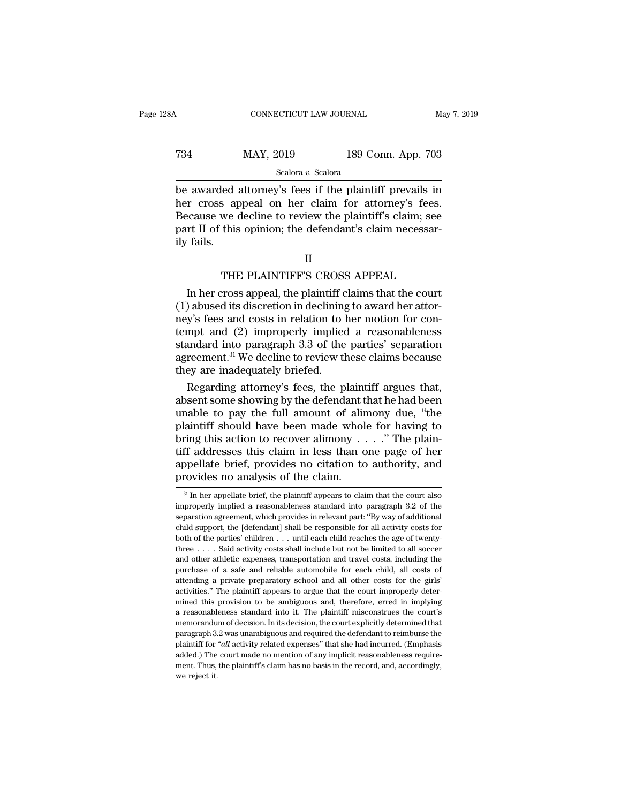## CONNECTICUT LAW JOURNAL May 7, 2019<br>
T34 MAY, 2019 189 Conn. App. 703<br>
Scalora v. Scalora Scalora *v.* Scalora

CONNECTICUT LAW JOURNAL May 7, 2019<br>
T34 MAY, 2019 189 Conn. App. 703<br>
Scalora v. Scalora<br>
be awarded attorney's fees if the plaintiff prevails in<br>
her cross appeal on her claim for attorney's fees.<br>
Because we decline to MAY, 2019 189 Conn. App. 703<br>Scalora v. Scalora<br>be awarded attorney's fees if the plaintiff prevails in<br>her cross appeal on her claim for attorney's fees.<br>Because we decline to review the plaintiff's claim; see<br>part II of T34 MAY, 2019 189 Conn. App. 703<br>
Scalora v. Scalora<br>
be awarded attorney's fees if the plaintiff prevails in<br>
her cross appeal on her claim for attorney's fees.<br>
Because we decline to review the plaintiff's claim; see<br>
p  $\begin{array}{ll}\n\text{734} & \text{MAT, } 2019 & \text{189 Conn. App. } 703 \\
\hline\n\text{683} & \text{593} \\
\hline\n\text{69} & \text{693} \\
\hline\n\text{608} & \text{608} \\
\hline\n\text{608} & \text{608} \\
\hline\n\text{608} & \text{608} \\
\hline\n\text{608} & \text{608} \\
\hline\n\text{608} & \text{608} \\
\hline\n\text{608} & \text{60$ **Example 2**<br>be awarded<br>her cross ap<br>Because we depart II of this<br>ily fails. Examples a more plainting prevails in<br>the plainting prevails in the plainting of the plainting of the plainting<br>this opinion; the defendant's claim necessar-<br>II<br>THE PLAINTIFF'S CROSS APPEAL<br>cross appeal, the plaintiff clai In the plaintiff's claim; see that II of this opinion; the defendant's claim necessaries appeal.<br>
II<br>
II<br>
THE PLAINTIFF'S CROSS APPEAL<br>
In her cross appeal, the plaintiff claims that the court<br>
abused its discretion in dec

part II of this opinion; the defendant's claim necessarily fails.<br>
II<br>
THE PLAINTIFF'S CROSS APPEAL<br>
In her cross appeal, the plaintiff claims that the court<br>
(1) abused its discretion in declining to award her attor-<br>
ney ily fails.<br>
II<br>
THE PLAINTIFF'S CROSS APPEAL<br>
In her cross appeal, the plaintiff claims that the court<br>
(1) abused its discretion in declining to award her attor-<br>
ney's fees and costs in relation to her motion for con-<br>
t II<br>
THE PLAINTIFF'S CROSS APPEAL<br>
In her cross appeal, the plaintiff claims that the court<br>
(1) abused its discretion in declining to award her attor-<br>
ney's fees and costs in relation to her motion for con-<br>
tempt and (2) THE PLAINTIFF'S CROSS APPEAL<br>In her cross appeal, the plaintiff claims that the court<br>(1) abused its discretion in declining to award her attor-<br>ney's fees and costs in relation to her motion for con-<br>tempt and (2) imprope THE PLAINTIFF'S CROSS APPEAL<br>In her cross appeal, the plaintiff claims that the court<br>(1) abused its discretion in declining to award her attor-<br>ney's fees and costs in relation to her motion for con-<br>tempt and (2) improp In her cross appeal, the plaintiff claims that the court (1) abused its discretion in declining to award her attorney's fees and costs in relation to her motion for contempt and (2) improperly implied a reasonableness sta ) abused its discretion in declining to award her attor-<br>y's fees and costs in relation to her motion for con-<br>mpt and (2) improperly implied a reasonableness<br>andard into paragraph 3.3 of the parties' separation<br>reement.<sup></sup> ney's fees and costs in relation to her motion for con-<br>tempt and (2) improperly implied a reasonableness<br>standard into paragraph 3.3 of the parties' separation<br>agreement.<sup>31</sup> We decline to review these claims because<br>they

tempt and (2) improperly implied a reasonableness<br>standard into paragraph 3.3 of the parties' separation<br>agreement.<sup>31</sup> We decline to review these claims because<br>they are inadequately briefed.<br>Regarding attorney's fees, th standard into paragraph 3.3 of the parties' separation<br>agreement.<sup>31</sup> We decline to review these claims because<br>they are inadequately briefed.<br>Regarding attorney's fees, the plaintiff argues that,<br>absent some showing by t agreement.<sup>31</sup> We decline to review these claims because<br>they are inadequately briefed.<br>Regarding attorney's fees, the plaintiff argues that,<br>absent some showing by the defendant that he had been<br>unable to pay the full amo they are inadequately briefed.<br>
Regarding attorney's fees, the plaintiff argues that,<br>
absent some showing by the defendant that he had been<br>
unable to pay the full amount of alimony due, "the<br>
plaintiff should have been Regarding attorney's fees, the plaintiff argues that,<br>absent some showing by the defendant that he had been<br>unable to pay the full amount of alimony due, "the<br>plaintiff should have been made whole for having to<br>bring this absent some showing by the defendant t<br>unable to pay the full amount of alir<br>plaintiff should have been made whol<br>bring this action to recover alimony .<br>tiff addresses this claim in less than c<br>appellate brief, provides no Fing this action to recover alimony  $\ldots$ ." The plain-<br>ff addresses this claim in less than one page of her<br>oppellate brief, provides no citation to authority, and<br>rovides no analysis of the claim.<br> $\frac{31}{21}$  In her appe tiff addresses this claim in less than one page of her<br>appellate brief, provides no citation to authority, and<br>provides no analysis of the claim.<br><sup>31</sup> In her appellate brief, the plaintiff appears to claim that the court a

II

appellate brief, provides no citation to authority, and<br>provides no analysis of the claim.<br> $\frac{3!}{10}$  In her appellate brief, the plaintiff appears to claim that the court also<br>improperly implied a reasonableness standar provides no analysis of the claim.<br>  $\frac{31 \text{ In her appellate brief, the plaintiff appears to claim that the court also  
\nimproperly implied a reasonableness standard into paragraph 3.2 of the  
\nseparation agreement, which provides in relevant part: "By way of additional  
\nchild support, the [defendant] shall be responsible for all activity costs for  
\nboth of the parties' children . . . until each child reaches the age of twenty-  
\nboth of the parties' children . . . until each child reaches the age of twenty-$ <sup>31</sup> In her appellate brief, the plaintiff appears to claim that the court also improperly implied a reasonableness standard into paragraph 3.2 of the separation agreement, which provides in relevant part: "By way of addi <sup>31</sup> In her appellate brief, the plaintiff appears to claim that the court also improperly implied a reasonableness standard into paragraph 3.2 of the separation agreement, which provides in relevant part: "By way of addi improperly implied a reasonableness standard into paragraph 3.2 of the separation agreement, which provides in relevant part: "By way of additional child support, the [defendant] shall be responsible for all activity cost method is approached and reliable automobile for and reliable automobile for all activity costs for both of the parties' children . . . until each child reaches the age of twenty-three . . . . Said activity costs shall inc attending a private preparatory school and all other costs for the particle and support, the [defendant] shall be responsible for all activity costs for both of the parties' children  $\ldots$  until each child reaches the age activities.'' The plaintiff appears to argue that the court is apply the parties' children  $\ldots$  until each child reaches the age of twenty-<br>three  $\ldots$ . Said activity costs shall include but not be limited to all soccerthree . . . . Said activity costs shall include but not be limited to all soccer and other athletic expenses, transportation and travel costs, including the purchase of a safe and reliable automobile for each child, all co and other athletic expenses, transportation and travel costs, including the purchase of a safe and reliable automobile for each child, all costs of attending a private preparatory school and all other costs for the girls' murchase of a safe and reliable automobile for each child, all costs of attending a private preparatory school and all other costs for the girls' activities." The plaintiff appears to argue that the court improperly determ attending a private preparatory school and all other costs for the girls' activities." The plaintiff appears to argue that the court improperly determined this provision to be ambiguous and, therefore, erred in implying a attending a private preparatory school and all other costs for the girls' activities." The plaintiff appears to argue that the court improperly determined this provision to be ambiguous and, therefore, erred in implying a mined this provision to be ambiguous and, therefore, erred in implying a reasonableness standard into it. The plaintiff misconstrues the court's memorandum of decision. In its decision, the court explicitly determined tha a reasonableness standard into it. The plaintiff misconstrues the court's memorandum of decision. In its decision, the court explicitly determined that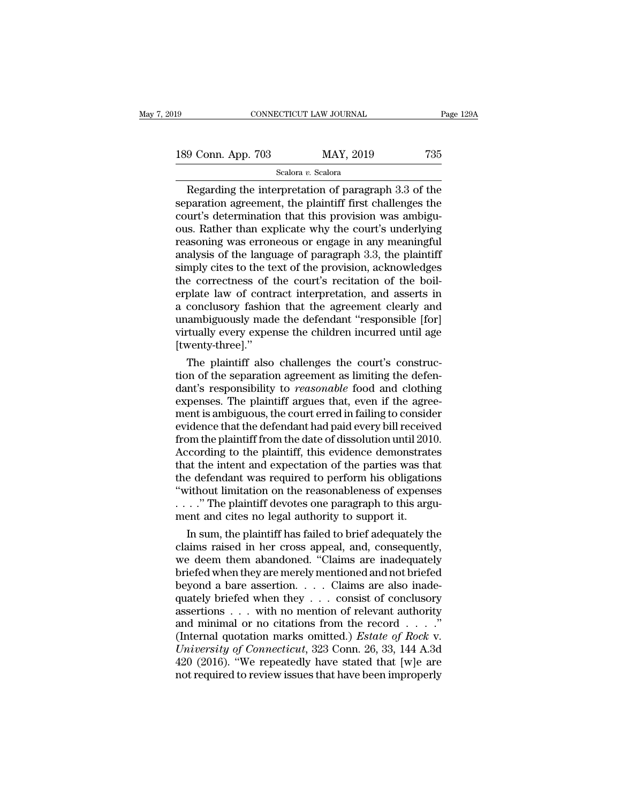189 CONNECTICUT LAW JOURNAL Page 129A<br>189 Conn. App. 703 MAY, 2019 735<br>Scalora v. Scalora

## Scalora *v.* Scalora

CONNECTICUT LAW JOURNAL Page 129A<br>
9 Conn. App. 703 MAY, 2019 735<br>
Scalora v. Scalora<br>
Regarding the interpretation of paragraph 3.3 of the<br>
paration agreement, the plaintiff first challenges the<br>
uur's dotermination that 189 Conn. App. 703 MAY, 2019 735<br>
Scalora v. Scalora<br>
Regarding the interpretation of paragraph 3.3 of the<br>
separation agreement, the plaintiff first challenges the<br>
court's determination that this provision was ambigu-<br>
p 189 Conn. App. 703 MAY, 2019 735<br>
Scalora v. Scalora<br>
Regarding the interpretation of paragraph 3.3 of the<br>
separation agreement, the plaintiff first challenges the<br>
court's determination that this provision was ambigu-<br> 189 Conn. App. 703 MAY, 2019 735<br>
Scalora v. Scalora<br>
Regarding the interpretation of paragraph 3.3 of the<br>
separation agreement, the plaintiff first challenges the<br>
court's determination that this provision was ambigu-<br> For Somma Tapp. 155 Exalora (Scalora v. Scalora v. Scalora v. Scalora v. Scalora v. Scalora (Scalora v. Scalora scalora v. Scalora scales in any meaning scale of the court's determination that this provision was ambiguous Scalora v. Scalora<br>
Regarding the interpretation of paragraph 3.3 of the<br>
separation agreement, the plaintiff first challenges the<br>
court's determination that this provision was ambigu-<br>
ous. Rather than explicate why the Regarding the interpretation of paragraph 3.3 of the<br>separation agreement, the plaintiff first challenges the<br>court's determination that this provision was ambigu-<br>ous. Rather than explicate why the court's underlying<br>reas separation agreement, the plaintiff first challenges the<br>court's determination that this provision was ambigu-<br>ous. Rather than explicate why the court's underlying<br>reasoning was erroneous or engage in any meaningful<br>analy court's determination that this provision was ambiguous. Rather than explicate why the court's underlying<br>reasoning was erroneous or engage in any meaningful<br>analysis of the language of paragraph 3.3, the plaintiff<br>simply ous. Rather than explicate why the court's underlying<br>reasoning was erroneous or engage in any meaningful<br>analysis of the language of paragraph 3.3, the plaintiff<br>simply cites to the text of the provision, acknowledges<br>the reasoning was erroneous or engage in any meaningful<br>analysis of the language of paragraph 3.3, the plaintiff<br>simply cites to the text of the provision, acknowledges<br>the correctness of the court's recitation of the boil-<br>er analysis of the language of paragraph 3.3, the plaintiff<br>simply cites to the text of the provision, acknowledges<br>the correctness of the court's recitation of the boil-<br>erplate law of contract interpretation, and asserts in [twenty-three].'' e correctness of the court's recitation of the boil-<br>plate law of contract interpretation, and asserts in<br>conclusory fashion that the agreement clearly and<br>ambiguously made the defendant "responsible [for]<br>tually every exp erplate law of contract interpretation, and asserts in<br>a conclusory fashion that the agreement clearly and<br>unambiguously made the defendant "responsible [for]<br>virtually every expense the children incurred until age<br>[twenty

a conclusory fashion that the agreement clearly and<br>
unambiguously made the defendant "responsible [for]<br>
virtually every expense the children incurred until age<br>
[twenty-three]."<br>
The plaintiff also challenges the court's unambiguously made the defendant "responsible [for]<br>virtually every expense the children incurred until age<br>[twenty-three]."<br>The plaintiff also challenges the court's construc-<br>tion of the separation agreement as limiting virtually every expense the children incurred until age<br>[twenty-three]."<br>The plaintiff also challenges the court's construc-<br>tion of the separation agreement as limiting the defen-<br>dant's responsibility to *reasonable* foo [twenty-three]."<br>The plaintiff also challenges the court's construc-<br>tion of the separation agreement as limiting the defen-<br>dant's responsibility to *reasonable* food and clothing<br>expenses. The plaintiff argues that, even The plaintiff also challenges the court's construction of the separation agreement as limiting the defendant's responsibility to *reasonable* food and clothing expenses. The plaintiff argues that, even if the agreement is tion of the separation agreement as limiting the defen-<br>dant's responsibility to *reasonable* food and clothing<br>expenses. The plaintiff argues that, even if the agree-<br>ment is ambiguous, the court erred in failing to consi dant's responsibility to *reasonable* food and clothing<br>expenses. The plaintiff argues that, even if the agree-<br>ment is ambiguous, the court erred in failing to consider<br>evidence that the defendant had paid every bill rece expenses. The plaintiff argues that, even if the agreement is ambiguous, the court erred in failing to consider<br>evidence that the defendant had paid every bill received<br>from the plaintiff from the date of dissolution until ment is ambiguous, the court erred in failing to consider<br>
evidence that the defendant had paid every bill received<br>
from the plaintiff from the date of dissolution until 2010.<br>
According to the plaintiff, this evidence de evidence that the defendant had paid every bill received<br>from the plaintiff from the date of dissolution until 2010.<br>According to the plaintiff, this evidence demonstrates<br>that the intent and expectation of the parties was from the plaintiff from the date of dissolution until 201<br>According to the plaintiff, this evidence demonstrate<br>that the intent and expectation of the parties was the<br>the defendant was required to perform his obligation<br>" cording to the plaintiff, this evidence demonstrates<br>at the intent and expectation of the parties was that<br>e defendant was required to perform his obligations<br>ithout limitation on the reasonableness of expenses<br>..." The pl that the intent and expectation of the parties was that<br>the defendant was required to perform his obligations<br>"without limitation on the reasonableness of expenses<br> $\ldots$ ." The plaintiff devotes one paragraph to this argu-

the defendant was required to perform his obligations<br>
"without limitation on the reasonableness of expenses<br>  $\ldots$ ." The plaintiff devotes one paragraph to this argu-<br>
ment and cites no legal authority to support it.<br>
In "without limitation on the reasonableness of expenses<br>  $\ldots$ " The plaintiff devotes one paragraph to this argument and cites no legal authority to support it.<br>
In sum, the plaintiff has failed to brief adequately the<br>
cla  $\ldots$ ." The plaintiff devotes one paragraph to this argument and cites no legal authority to support it.<br>In sum, the plaintiff has failed to brief adequately the claims raised in her cross appeal, and, consequently, we de ment and cites no legal authority to support it.<br>
In sum, the plaintiff has failed to brief adequately the<br>
claims raised in her cross appeal, and, consequently,<br>
we deem them abandoned. "Claims are inadequately<br>
briefed w In sum, the plaintiff has failed to brief adequately the claims raised in her cross appeal, and, consequently, we deem them abandoned. "Claims are inadequately briefed when they are merely mentioned and not briefed beyond claims raised in her cross appeal, and, consequently,<br>we deem them abandoned. "Claims are inadequately<br>briefed when they are merely mentioned and not briefed<br>beyond a bare assertion. . . . Claims are also inade-<br>quately b we deem them abandoned. "Claims are inadequately<br>briefed when they are merely mentioned and not briefed<br>beyond a bare assertion. . . . Claims are also inade-<br>quately briefed when they . . . consist of conclusory<br>assertions *University of Connecticut*, 323 Conn. 26, 33, 144 A.3d beyond a bare assertion. . . . Claims are also inade-<br>quately briefed when they . . . consist of conclusory<br>assertions . . . with no mention of relevant authority<br>and minimal or no citations from the record . . . ."<br>(Inte quately briefed when they  $\dots$  consist of conclusory assertions  $\dots$  with no mention of relevant authority and minimal or no citations from the record  $\dots$ ."<br>(Internal quotation marks omitted.) *Estate of Rock* v. *Univer*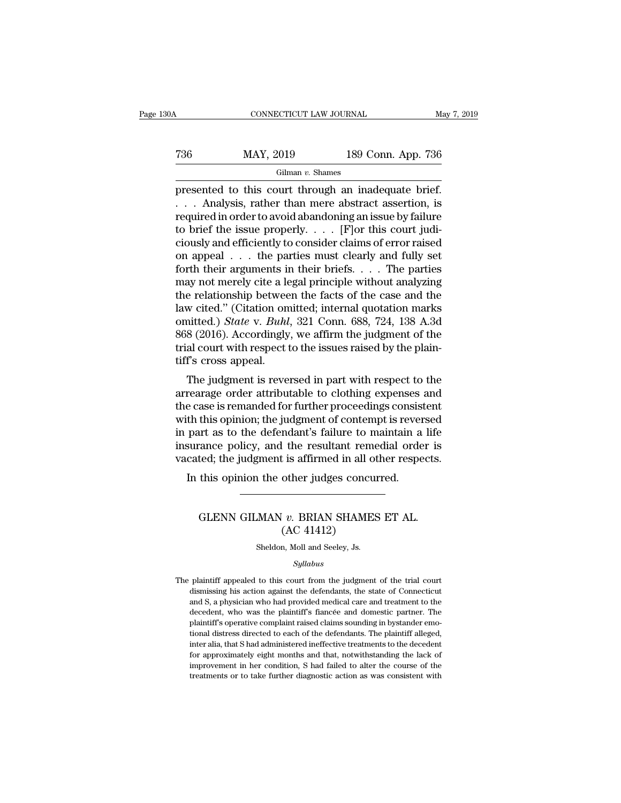## CONNECTICUT LAW JOURNAL May 7, 2019<br>
T36 MAY, 2019 189 Conn. App. 736<br>
Gilman v. Shames Gilman *v.* Shames

CONNECTICUT LAW JOURNAL May 7, 2019<br>
T36 MAY, 2019 189 Conn. App. 736<br>
Gilman v. Shames<br>
presented to this court through an inadequate brief.<br>
... Analysis, rather than mere abstract assertion, is<br>
required in order to avo  $\begin{array}{lll} \text{MAY, 2019} & \text{189 Conn. App. 736} \ \text{Gilman } v. \text{ Shames} \ \hline \text{presented to this court through an inadequate brief.} \ \ldots & \text{Analysis, rather than mere abstract assertion, is required in order to avoid abandoning an issue by failure to brief the issue properly} & \text{[Flor this court, indi]}\ \end{array}$ T36 MAY, 2019 189 Conn. App. 736<br>
Gilman v. Shames<br>
presented to this court through an inadequate brief.<br>
... Analysis, rather than mere abstract assertion, is<br>
required in order to avoid abandoning an issue by failure<br>
t Take May, 2019 189 Conn. App. 736<br>
Gilman v. Shames<br>
presented to this court through an inadequate brief.<br>
... Analysis, rather than mere abstract assertion, is<br>
required in order to avoid abandoning an issue by failure<br> Gilman v. Shames<br>
The constant of events of events of the presented to this court through an inadequate brief.<br>  $\ldots$  Analysis, rather than mere abstract assertion, is<br>
required in order to avoid abandoning an issue by fa Gilman v. Shames<br>presented to this court through an inadequate brief.<br>... Analysis, rather than mere abstract assertion, is<br>required in order to avoid abandoning an issue by failure<br>to brief the issue properly.... [F]or t presented to this court through an inadequate brief.<br>
. . . Analysis, rather than mere abstract assertion, is<br>
required in order to avoid abandoning an issue by failure<br>
to brief the issue properly. . . . [F]or this court . . . Analysis, rather than mere abstract assertion, is<br>required in order to avoid abandoning an issue by failure<br>to brief the issue properly. . . . [F]or this court judi-<br>ciously and efficiently to consider claims of err required in order to avoid abandoning an issue by failure<br>to brief the issue properly. . . . [F]or this court judi-<br>ciously and efficiently to consider claims of error raised<br>on appeal . . . the parties must clearly and f to brief the issue properly. . . . [F]or this court judi-<br>ciously and efficiently to consider claims of error raised<br>on appeal . . . the parties must clearly and fully set<br>forth their arguments in their briefs. . . . The ciously and efficiently to consider claims of error raised<br>on appeal . . . the parties must clearly and fully set<br>forth their arguments in their briefs. . . . The parties<br>may not merely cite a legal principle without analy on appeal  $\ldots$  the parties must clearly and fully set<br>forth their arguments in their briefs.  $\ldots$  The parties<br>may not merely cite a legal principle without analyzing<br>the relationship between the facts of the case and th forth their arguments in their briefs. . . . . The parties<br>may not merely cite a legal principle without analyzing<br>the relationship between the facts of the case and the<br>law cited." (Citation omitted; internal quotation m may not merely cite a let<br>the relationship betwee<br>law cited." (Citation on<br>omitted.) *State* v. *Buhl*<br>868 (2016). Accordingly<br>trial court with respect<br>tiff's cross appeal.<br>The judgment is reve reflect to the case and the vected." (Citation omitted; internal quotation marks<br>nitted.) *State v. Buhl*, 321 Conn. 688, 724, 138 A.3d<br>8 (2016). Accordingly, we affirm the judgment of the<br>al court with respect to the issu raw ched. (Chation omitted, internal quotation marks<br>omitted.) *State* v. *Buhl*, 321 Conn. 688, 724, 138 A.3d<br>868 (2016). Accordingly, we affirm the judgment of the<br>trial court with respect to the issues raised by the pla

ommeted.) *State v. Buht*, 321 Coffil. 066, 724, 156 A.5d<br>868 (2016). Accordingly, we affirm the judgment of the<br>trial court with respect to the issues raised by the plain-<br>tiff's cross appeal.<br>The judgment is reversed in soo (2010). Accordingly, we all lift the judgment of the trial court with respect to the issues raised by the plain-<br>tiff's cross appeal.<br>The judgment is reversed in part with respect to the<br>arrearage order attributable to that court whit respect to the issues raised by the plant-<br>tiff's cross appeal.<br>The judgment is reversed in part with respect to the<br>arrearage order attributable to clothing expenses and<br>the case is remanded for further pr In s cross appear.<br>The judgment is reversed in part with respect to the arrearage order attributable to clothing expenses and<br>the case is remanded for further proceedings consistent<br>with this opinion; the judgment of conte The judgment is reversed in part with respect to the arrearage order attributable to clothing expenses and the case is remanded for further proceedings consistent with this opinion; the judgment of contempt is reversed in It also case is remanded for further proceedings consist<br>th this opinion; the judgment of contempt is rever<br>part as to the defendant's failure to maintain a<br>surance policy, and the resultant remedial orde<br>cated; the judgme Figure 1.4 as to the detendant stande to maintain a file<br>ance policy, and the resultant remedial order is<br>ted; the judgment is affirmed in all other respects.<br>this opinion the other judges concurred.<br>GLENN GILMAN *v*. BRIA

## The Festival Hern<br>
is affirmed in all of<br>
other judges concu<br>
v. BRIAN SHAME<br>
(AC 41412)<br>
n, Moll and Seeley, Js. GLENN GILMAN  $v$ . BRIAN SHAMES ET AL.<br>(AC 41412)<br>Sheldon, Moll and Seeley, Js.

## *Syllabus*

 $(AC 41412)$ <br>Sheldon, Moll and Seeley, Js.<br> $Syllabus$ <br>The plaintiff appealed to this court from the judgment of the trial court dismissing his action against the defendants, the state of Connecticut  $(AC 41412)$ <br>Sheldon, Moll and Seeley, Js.<br>Syllabus<br>plaintiff appealed to this court from the judgment of the trial court<br>dismissing his action against the defendants, the state of Connecticut<br>and S, a physician who had pr Sheldon, Moll and Seeley, Js.<br>
Syllabus<br>
plaintiff appealed to this court from the judgment of the trial court<br>
dismissing his action against the defendants, the state of Connecticut<br>
and S, a physician who had provided me Syllabus<br>
Buintiff' appealed to this court from the judgment of the trial court<br>
dismissing his action against the defendants, the state of Connecticut<br>
and S, a physician who had provided medical care and treatment to the *Syllabus*<br> *Syllabus*<br>
plaintiff appealed to this court from the judgment of the trial court<br>
dismissing his action against the defendants, the state of Connecticut<br>
and S, a physician who had provided medical care and tr plaintiff appealed to this court from the judgment of the trial court dismissing his action against the defendants, the state of Connecticut and S, a physician who had provided medical care and treatment to the decedent, w dismissing his action against the defendants, the state of Connecticut<br>and S, a physician who had provided medical care and treatment to the<br>decedent, who was the plaintiff's fiancée and domestic partner. The<br>plaintiff's o and S, a physician who had provided medical care and treatment to the decedent, who was the plaintiff's fiancée and domestic partner. The plaintiff's operative complaint raised claims sounding in bystander emotional distre decedent, who was the plaintiff's fiancée and domestic partner. The plaintiff's operative complaint raised claims sounding in bystander emotional distress directed to each of the defendants. The plaintiff alleged, inter al plaintiff's operative complaint raised claims sounding in bystander emo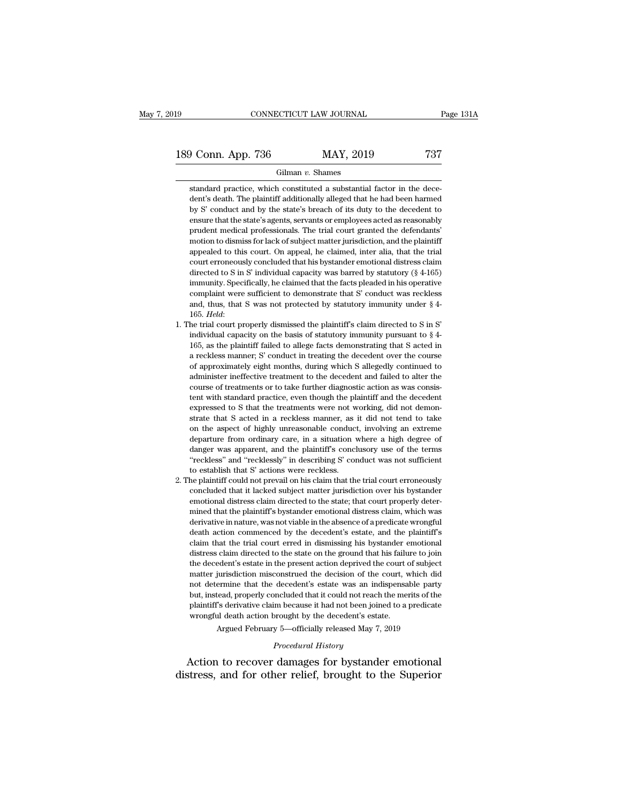189 CONNECTICUT LAW JOURNAL Page 131A<br>
189 Conn. App. 736 MAY, 2019 737<br>
Gilman v. Shames

## Gilman *v.* Shames

of Conn. App. 736 MAY, 2019 737<br>Gilman v. Shames<br>standard practice, which constituted a substantial factor in the dece-<br>dent's death. The plaintiff additionally alleged that he had been harmed  $\begin{array}{c|c} \text{O} & \text{MAP, 2019} & \text{737} \\ \hline \text{Gilman } v. \text{ Shames} \\\text{standard practice, which constituted a substantial factor in the decelent's death. The plaintiff additionally alleged that he had been harmed by S' conduct and by the state's breach of its duty to the decoder to the decelent to the second.} \end{array}$ **b** Conn. App. 736 **MAY**, 2019 737<br>
Gilman v. Shames<br>
standard practice, which constituted a substantial factor in the decedent's death. The plaintiff additionally alleged that he had been harmed<br>
by S' conduct and by the Gilman v. Shames<br>
standard practice, which constituted a substantial factor in the dece-<br>
dent's death. The plaintiff additionally alleged that he had been harmed<br>
by S' conduct and by the state's breach of its duty to the Gilman v. Shames<br>standard practice, which constituted a substantial factor in the dece-<br>dent's death. The plaintiff additionally alleged that he had been harmed<br>by S' conduct and by the state's breach of its duty to the de standard practice, which constituted a substantial factor in the decedent's death. The plaintiff additionally alleged that he had been harmed by S' conduct and by the state's breach of its duty to the decedent to ensure th beaming principle and by the state's breach and beach and the condent's death. The plaintiff additionally alleged that he had been harmed by S' conduct and by the state's preach of its duty to the decedent to ensure that t by S' conduct and by the state's breach of its duty to the decedent to ensure that the state's agents, servants or employees acted as reasonably prudent medical professionals. The trial court granted the defendants' motion density of solution and the state of the state of the state of the state of the state of status of engly so the decedent of a state engineer that the state's agents, servants or employees acted as reasonably prudent medic immunity. Specifically, here are that the facts pleaded in the plaintiff product medical professionals. The trial court granted the defendants' motion to dismiss for lack of subject matter jurisdiction, and the plaintiff a proach method processionals. The dial coard granted are determined<br>motion to dismiss for lack of subject matter jurisdiction, and the plaintiff<br>appealed to this court. On appeal, he claimed, inter alia, that the trial<br>cou and, thus, that S was not protected parameter, and the primary appealed to this court. On appeal, he claimed, inter alia, that the trial court erroneously concluded that his bystander emotional distress claim directed to directed to S in S' individual capacity was barred by statutory (§ 4-165)<br>immunity. Specifically, he claimed that the facts pleaded in his operative<br>complaint were sufficient to demonstrate that S' conduct was reckless<br>and infinity. Specifically, he claimed that the facts pleaded in his operative complaint were sufficient to demonstrate that S' conduct was reckless and, thus, that S' was not protected by statutory immunity under § 4-165. *H* 

- minimity. Specificantly, i.e claimed that the racts pleaded in his operative<br>complaint were sufficient to demonstrate that S' conduct was reckless<br>and, thus, that S' was not protected by statutory immunity under § 4-<br>165. and, thus, that S was not protected by statutory immunity under  $§$  4-165. *Held*:<br>he trial court properly dismissed the plaintiff's claim directed to S in S'<br>individual capacity on the basis of statutory immunity pursuan and, thus, that 5 was not protected by statutory infiniting under  $\frac{1}{2}$  + 165. *Held*:<br>he trial court properly dismissed the plaintiff's claim directed to S in S'<br>individual capacity on the basis of statutory immunity From the trial court properly dismissed the plaintiff's claim directed to S in S'<br>individual capacity on the basis of statutory immunity pursuant to  $\S$  4-<br>165, as the plaintiff failed to allege facts demonstrating that S in the trial court property usinissed are plaintiff scially individual capacity on the basis of statutory immunity pursuant to § 4-165, as the plaintiff failed to allege facts demonstrating that S acted in a reckless manne Individual capacity of the basis of statutory infiniting pursuant to  $s + 165$ , as the plaintiff failed to allege facts demonstrating that S acted in a reckless manner; S' conduct in treating the decedent over the course o From as the plantificant and to analytical denotes a thronstraining that is acted in a reckless manner; S' conduct in treating the decedent over the course of approximately eight months, during which S allegedly continued a reckless manner, b conduct in treating the decedent over the course of approximately eight months, during which S allegedly continued to administer ineffective treatment to the decedent and failed to alter the course of or approximately eight montais, uting which is analyour conducted to administer ineffective treatment to the decedent and failed to alter the course of treatments or to take further diagnostic action as was consistent with departure from ordinary care, in a situation where a high degree of the association as was consistent with standard practice, even though the plaintiff and the decedent expressed to S that the treatments were not working, dent with standard practice, even though the plaintiff and the decedent expressed to S that the treatments were not working, did not demonstrate that S acted in a reckless manner, as it did not tend to take on the aspect o EXERCT WHAT STANDART PRACTICLES, EVER INDIGHT ARE PRIMITED AND ASSEMBLE that S acted in a reckless manner, as it did not tend to take on the aspect of highly unreasonable conduct, involving an extreme departure from ordina Expressed to 5 that the detailed<br>state that S acted in a reckless manner, as<br>on the aspect of highly unreasonable conduct<br>departure from ordinary care, in a situation v<br>danger was apparent, and the plaintiff's conclused "r 2. The plaintiff could not prevail on his claim that the trial court errore of the terms "reckless" and "recklessly" in describing S' conduct was not sufficient to establish that S' actions were reckless.<br>
2. The plaintiff of the aspect of nighty unteasonable conduct, involving an extreme<br>departure from ordinary care, in a situation where a high degree of<br>danger was apparent, and the plaintiff's conclusory use of the terms<br>"reckless" and "re
- departure from ordinary care, in a situation where a light degree of danger was apparent, and the plaintiff's conclusory use of the terms "reckless" and "recklessly" in describing S' conduct was not sufficient to establish danger was apparent, and the plaintiff's conclusery dist of the terms<br>
"reckless" and "recklessly" in describing S' conduct was not sufficient<br>
to establish that S' actions were reckless.<br>
he plaintiff could not prevail on reckiess and reckiessly in describing 5 conduct was not sumchent<br>to establish that S' actions were reckless.<br>he plaintiff could not prevail on his claim that the trial court erroneously<br>concluded that it lacked subject mat death actions were reckless.<br>
He plaintiff could not prevail on his claim that the trial court erroneously<br>
concluded that it lacked subject matter jurisdiction over his bystander<br>
emotional distress claim directed to the replantant collar to prevain on its claim that the trial court erroncously concluded that it lacked subject matter jurisdiction over his bystander emotional distress claim, which was derivative in nature, was not viable in emotional distress claim directed to the state; that court properly determined that the plaintiff's bystander emotional distress claim, which was derivative in nature, was not viable in the absence of a predicate wrongful emotional distress claim directed to the state, that court property deter-<br>mined that the plaintiff's bystander emotional distress claim, which was<br>derivative in nature, was not viable in the absence of a predicate wrongfu matter dual the plantant is bystanced emotional distitess claim, which was<br>derivative in nature, was not viable in the absence of a predicate wrongful<br>death action commenced by the decedent's estate, and the plaintiff's<br>cl death action commenced by the decedent's estate, and the plaintiff's claim that the trial court erred in dismissing his bystander emotional distress claim directed to the state on the ground that his failure to join the de but and a calon confinenced by the decedent's estate, and the plantin's claim that the trial court erred in dismissing his bystander emotional distress claim directed to the state on the ground that his failure to join the claim that the trial court cried in dishussing ins bystance chronolar distress claim directed to the state on the ground that his failure to join the decedent's estate in the present action deprived the court, which did no disticts claim unceted to the state of the ground that its tand<br>the decedent's estate in the present action deprived the court, v<br>mot determine that the decedent's estate was an indispensa<br>but, instead, properly concluded iurisdiction misconstrued the decision of the court, which diermine that the decedent's estate was an indispensable particleard, properly concluded that it could not reach the merits of the "s" derivative claim because it decedent s estate was an indimediate that it could not reach<br>im because it had not been joint<br>prought by the decedent's estat<br>y 5—officially released May 7,<br>*Procedural History*<br>damages for bystande not determine that the decedent's estate was an indispensable party<br>but, instead, properly concluded that it could not reach the merits of the<br>plaintiff's derivative claim because it had not been joined to a predicate<br>wron but, instead, properly concluded that it could not reach the merits of the plaintiff's derivative claim because it had not been joined to a predicate wrongful death action brought by the decedent's estate.<br>Argued February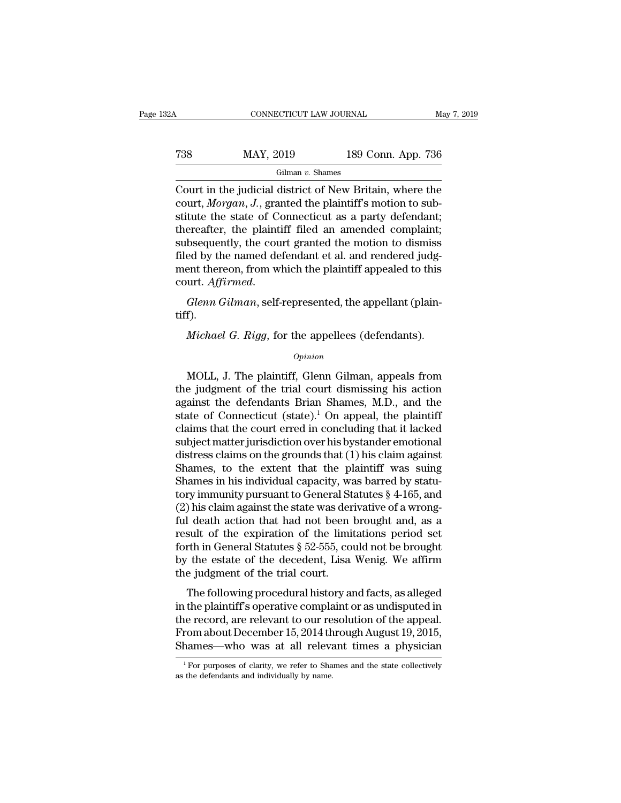| 32A | CONNECTICUT LAW JOURNAL |                    | May 7, 2019 |
|-----|-------------------------|--------------------|-------------|
| 738 | MAY, 2019               | 189 Conn. App. 736 |             |
|     | Gilman $v$ . Shames     |                    |             |

CONNECTICUT LAW JOURNAL May 7, 2019<br>
T38 MAY, 2019 189 Conn. App. 736<br>
Gilman v. Shames<br>
Court in the judicial district of New Britain, where the<br>
court, *Morgan*, J., granted the plaintiff's motion to sub-Tas May, 2019 189 Conn. App. 736<br>
Gilman *v*. Shames<br>
Court in the judicial district of New Britain, where the<br>
court, *Morgan*, *J*., granted the plaintiff's motion to sub-<br>
stitute the state of Connecticut as a party def T38 MAY, 2019 189 Conn. App. 736<br>
Gilman v. Shames<br>
Court in the judicial district of New Britain, where the<br>
court, *Morgan*, *J*., granted the plaintiff's motion to substitute the state of Connecticut as a party defenda T38 MAY, 2019 189 Conn. App. 736<br>
Gilman v. Shames<br>
Court in the judicial district of New Britain, where the<br>
court, *Morgan*, *J*., granted the plaintiff's motion to sub-<br>
stitute the state of Connecticut as a party defe Gilman v. Shames<br>Court in the judicial district of New Britain, where the<br>court, *Morgan*, *J*., granted the plaintiff's motion to sub-<br>stitute the state of Connecticut as a party defendant;<br>thereafter, the plaintiff file Filman v. Shames<br>Court in the judicial district of New Britain, where the<br>court, *Morgan*, *J*., granted the plaintiff's motion to sub-<br>stitute the state of Connecticut as a party defendant;<br>thereafter, the plaintiff file Court in the judicial district of New Britain, where the court, *Morgan*, *J*., granted the plaintiff's motion to substitute the state of Connecticut as a party defendant; thereafter, the plaintiff filed an amended compla strute the state of Connecticut as a party detendant, thereafter, the plaintiff filed an amended complaint; subsequently, the court granted the motion to dismiss filed by the named defendant et al. and rendered judgment th Figure 1 and rendered judgent thereon, from which the plaintiff appealed to this urt. Affirmed.<br>*Glenn Gilman*, self-represented, the appellant (plain-<br>f).<br>*Michael G. Rigg*, for the appellees (defendants).<br>*Opinion* 

tiff).

## *Opinion*

Glenn Gilman, self-represented, the appellant (plain-<br>f).<br>Michael G. Rigg, for the appellees (defendants).<br> $opinion$ <br>MOLL, J. The plaintiff, Glenn Gilman, appeals from<br>e judgment of the trial court dismissing his action<br>ainst t Michael G. Rigg, for the appellees (defendants).<br>  $\omega_{pinion}$ <br>
MOLL, J. The plaintiff, Glenn Gilman, appeals from<br>
the judgment of the trial court dismissing his action<br>
against the defendants Brian Shames, M.D., and the<br>
st *Michael G. Rigg*, for the appellees (defendants).<br>  $\omega$ <br>
MOLL, J. The plaintiff, Glenn Gilman, appeals from<br>
the judgment of the trial court dismissing his action<br>
against the defendants Brian Shames, M.D., and the<br>
stat Michael G. Rigg, for the appellees (defendants).<br>
opinion<br>
MOLL, J. The plaintiff, Glenn Gilman, appeals from<br>
the judgment of the trial court dismissing his action<br>
against the defendants Brian Shames, M.D., and the<br>
stat opinion<br>
MOLL, J. The plaintiff, Glenn Gilman, appeals from<br>
the judgment of the trial court dismissing his action<br>
against the defendants Brian Shames, M.D., and the<br>
state of Connecticut (state).<sup>1</sup> On appeal, the plain MOLL, J. The plaintiff, Glenn Gilman, appeals from<br>the judgment of the trial court dismissing his action<br>against the defendants Brian Shames, M.D., and the<br>state of Connecticut (state).<sup>1</sup> On appeal, the plaintiff<br>claims MOLL, J. The plaintiff, Glenn Gilman, appeals from<br>the judgment of the trial court dismissing his action<br>against the defendants Brian Shames, M.D., and the<br>state of Connecticut (state).<sup>1</sup> On appeal, the plaintiff<br>claims t the judgment of the trial court dismissing his action<br>against the defendants Brian Shames, M.D., and the<br>state of Connecticut (state).<sup>1</sup> On appeal, the plaintiff<br>claims that the court erred in concluding that it lacked<br>su against the defendants Brian Shames, M.D., and the<br>state of Connecticut (state).<sup>1</sup> On appeal, the plaintiff<br>claims that the court erred in concluding that it lacked<br>subject matter jurisdiction over his by stander emotion state of Connecticut (state).<sup>1</sup> On appeal, the plaintiff<br>claims that the court erred in concluding that it lacked<br>subject matter jurisdiction over his bystander emotional<br>distress claims on the grounds that (1) his claim claims that the court erred in concluding that it lacked<br>subject matter jurisdiction over his bystander emotional<br>distress claims on the grounds that (1) his claim against<br>Shames, to the extent that the plaintiff was suing subject matter jurisdiction over his bystander emotional<br>distress claims on the grounds that (1) his claim against<br>Shames, to the extent that the plaintiff was suing<br>Shames in his individual capacity, was barred by statu-<br> distress claims on the grounds that (1) his claim against<br>Shames, to the extent that the plaintiff was suing<br>Shames in his individual capacity, was barred by statu-<br>tory immunity pursuant to General Statutes  $\S$  4-165, an Shames, to the extent that the plaintiff was suing<br>Shames in his individual capacity, was barred by statu-<br>tory immunity pursuant to General Statutes  $\S$  4-165, and<br>(2) his claim against the state was derivative of a wron Shames in his individual capacity, was barred by statu-<br>tory immunity pursuant to General Statutes  $\S$  4-165, and<br>(2) his claim against the state was derivative of a wrong-<br>ful death action that had not been brought and, tory immunity pursuant to General St<br>(2) his claim against the state was der<br>ful death action that had not been<br>result of the expiration of the limi<br>forth in General Statutes § 52-555, co<br>by the estate of the decedent, Lis The following procedural history and facts, as alleged<br>the procedure profile profile and factor of the limitations period set<br>rth in General Statutes  $\S~52\textrm{-}555$ , could not be brought<br>the estate of the decedent, Lisa W Figure 2014 the plant of the texpiration of the limitations period set<br>forth in General Statutes  $\S$  52-555, could not be brought<br>by the estate of the decedent, Lisa Wenig. We affirm<br>the judgment of the trial court.<br>The f

Forth in General Statutes § 52-555, could not be brought<br>by the estate of the decedent, Lisa Wenig. We affirm<br>the judgment of the trial court.<br>The following procedural history and facts, as alleged<br>in the plaintiff's opera From about a statutes a bar-bood, column for the biological<br>by the estate of the decedent, Lisa Wenig. We affirm<br>the judgment of the trial court.<br>The following procedural history and facts, as alleged<br>in the plaintiff's op By the estate of the treededing. East weing, we annual the judgment of the trial court.<br>The following procedural history and facts, as alleged<br>in the plaintiff's operative complaint or as undisputed in<br>the record, are rele in the plaintiff's operative complaint or as undisputed in<br>the record, are relevant to our resolution of the appeal.<br>From about December 15, 2014 through August 19, 2015,<br>Shames—who was at all relevant times a physician<br>Shames—who was at all relevant times a physician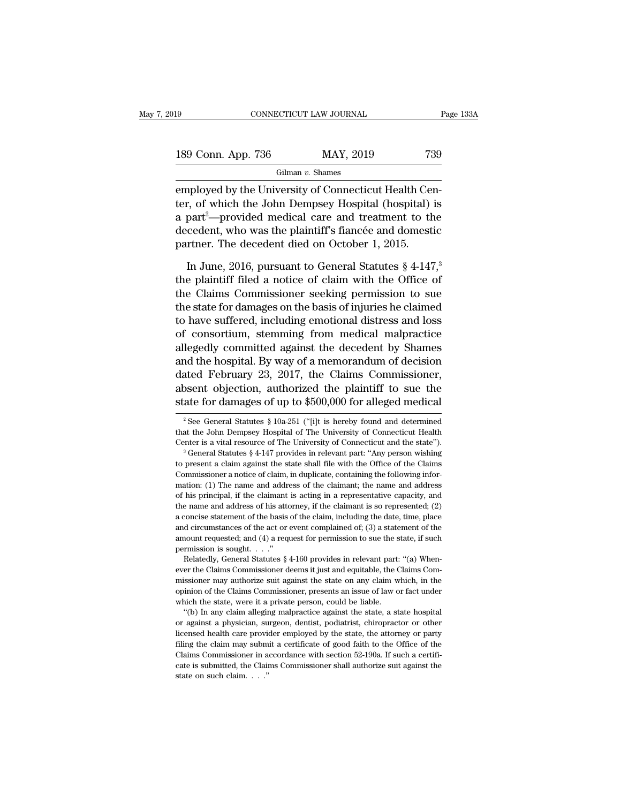| 19                 | CONNECTICUT LAW JOURNAL |           | Page 133A |
|--------------------|-------------------------|-----------|-----------|
| 189 Conn. App. 736 |                         | MAY, 2019 | 739       |
|                    | Gilman $v$ . Shames     |           |           |

EMBRED USB CONNECTICUT LAW JOURNAL<br>
EMBRED 189 Conn. App. 736<br>
Gilman v. Shames<br>
Employed by the University of Connecticut Health Center, of which the John Dempsey Hospital (hospital) is 189 Conn. App. 736 MAY, 2019 739<br>
Gilman v. Shames<br>
employed by the University of Connecticut Health Center, of which the John Dempsey Hospital (hospital) is<br>
a part<sup>2</sup>—provided medical care and treatment to the<br>
docedent 189 Conn. App. 736 MAY, 2019 739<br>
Gilman v. Shames<br>
employed by the University of Connecticut Health Center, of which the John Dempsey Hospital (hospital) is<br>
a part<sup>2</sup>—provided medical care and treatment to the<br>
decedent 189 Conn. App. 736 MAY, 2019 739<br>
Gilman v. Shames<br>
employed by the University of Connecticut Health Center, of which the John Dempsey Hospital (hospital) is<br>
a part<sup>2</sup>—provided medical care and treatment to the<br>
decedent Gilman v. Shames<br>
employed by the University of Connecticut Health Cer<br>
ter, of which the John Dempsey Hospital (hospital)<br>
a part<sup>2</sup>—provided medical care and treatment to th<br>
decedent, who was the plaintiff's fiancée and nployed by the University of Connecticut Health Cen-<br>r, of which the John Dempsey Hospital (hospital) is<br>part<sup>2</sup>—provided medical care and treatment to the<br>cedent, who was the plaintiff's fiancée and domestic<br>rtner. The de ter, of which the John Dempsey Hospital (hospital) is<br>a part<sup>2</sup>—provided medical care and treatment to the<br>decedent, who was the plaintiff's fiancée and domestic<br>partner. The decedent died on October 1, 2015.<br>In June, 201

a part<sup>2</sup>—provided medical care and treatment to the decedent, who was the plaintiff's fiancée and domestic partner. The decedent died on October 1, 2015.<br>In June, 2016, pursuant to General Statutes  $\S 4$ -147,<sup>3</sup> the plai decedent, who was the plaintiff's fiancée and domestic<br>partner. The decedent died on October 1, 2015.<br>In June, 2016, pursuant to General Statutes § 4-147,<sup>3</sup><br>the plaintiff filed a notice of claim with the Office of<br>the Cla partner. The decedent died on October 1, 2015.<br>In June, 2016, pursuant to General Statutes § 4-147,<sup>3</sup><br>the plaintiff filed a notice of claim with the Office of<br>the Claims Commissioner seeking permission to sue<br>the state fo In June, 2016, pursuant to General Statutes  $\S$  4-147,<sup>3</sup><br>the plaintiff filed a notice of claim with the Office of<br>the Claims Commissioner seeking permission to sue<br>the state for damages on the basis of injuries he claime In June, 2016, pursuant to General Statutes  $\S 4$ -147,<sup>3</sup><br>the plaintiff filed a notice of claim with the Office of<br>the Claims Commissioner seeking permission to sue<br>the state for damages on the basis of injuries he claime the plaintiff filed a notice of claim with the Office of<br>the Claims Commissioner seeking permission to sue<br>the state for damages on the basis of injuries he claimed<br>to have suffered, including emotional distress and loss<br>o the Claims Commissioner seeking permission to sue<br>the state for damages on the basis of injuries he claimed<br>to have suffered, including emotional distress and loss<br>of consortium, stemming from medical malpractice<br>allegedly the state for damages on the basis of injuries he claimed<br>to have suffered, including emotional distress and loss<br>of consortium, stemming from medical malpractice<br>allegedly committed against the decedent by Shames<br>and the to have suffered, including emotional distress and loss<br>of consortium, stemming from medical malpractice<br>allegedly committed against the decedent by Shames<br>and the hospital. By way of a memorandum of decision<br>dated Februa ated February 23, 2017, the Claims Commissioner,<br>ated February 23, 2017, the Claims Commissioner,<br>osent objection, authorized the plaintiff to sue the<br>ate for damages of up to \$500,000 for alleged medical<br> $\frac{1}{2}$  See Ge dated February 23, 2017, the Claims Commissioner,<br>absent objection, authorized the plaintiff to sue the<br>state for damages of up to \$500,000 for alleged medical<br> $\frac{1}{2}$  See General Statutes § 10a-251 ("[i]t is hereby fou

absent objection, authorized the plaintiff to sue the state for damages of up to \$500,000 for alleged medical  $\frac{1}{2}$  See General Statutes § 10a-251 ("[i]t is hereby found and determined that the John Dempsey Hospital o State for daritages of up to  $\psi$ 500,000 for alreged filed<br>
<sup>2</sup> See General Statutes § 10a-251 ("[i]t is hereby found and determined<br>
that the John Dempsey Hospital of The University of Connecticut Health<br>
Center is a vit

<sup>&</sup>lt;sup>2</sup> See General Statutes § 10a-251 ("[i]t is hereby found and determined that the John Dempsey Hospital of The University of Connecticut Health Center is a vital resource of The University of Connecticut and the state"). that the John Dempsey Hospital of The University of Connecticut Health<br>Center is a vital resource of The University of Connecticut Health<br>Center is a vital resource of The University of Connecticut and the state").<br><sup>3</sup> Ge Center is a vital resource of The University of Connecticut and the state").<br>
<sup>3</sup> General Statutes § 4-147 provides in relevant part: "Any person wishing<br>
to present a claim against the state shall file with the Office of <sup>3</sup> General Statutes § 4-147 provides in relevant part: "Any person wishing to present a claim against the state shall file with the Office of the Claims Commissioner a notice of claim, in duplicate, containing the follow to present a claim against the state shall file with the Office of the Claims<br>Commissioner a notice of claim, in duplicate, containing the following infor-<br>mation: (1) The name and address of the claimant; the name and ad commissioner a notice of claim, in duplicate, containing the following information: (1) The name and address of the claimant; the name and address of his principal, if the claimant is acting in a representative capacity, mation: (1) The name and address of the claimant; the name and address of his principal, if the claimant is acting in a representative capacity, and the name and address of his attorney, if the claimant is so represented; mation: (1) The name and address of the claimant; the name and address of his principal, if the claimant is acting in a representative capacity, and the name and address of his attorney, if the claimant is so represented; the name and address of his attorney, if the claimant is so represented; (2) a concise statement of the basis of the claim, including the date, time, place and circumstances of the act or event complained of; (3) a statem a concise statement of the basis of the claim, including the date, time, place<br>and circumstances of the act or event complained of; (3) a statement of the<br>amount requested; and (4) a request for permission to sue the stat

and circumstances of the act or event complained of; (3) a statement of the amount requested; and (4) a request for permission to sue the state, if such permission is sought. . . ."<br>Relatedly, General Statutes  $\S$  4-160 p amount requested; and (4) a request for permission to sue the state, if such permission is sought. . . ."<br>Relatedly, General Statutes § 4-160 provides in relevant part: "(a) When-<br>ever the Claims Commissioner deems it jus permission is sought...."<br>
Relatedly, General Statutes § 4-160 provides in relevant part:<br>
ever the Claims Commissioner deems it just and equitable, the C<br>
missioner may authorize suit against the state on any claim w<br>
opi Relatedly, General Statutes § 4-160 provides in relevant part: "(a) When-<br>er the Claims Commissioner deems it just and equitable, the Claims Com-<br>issioner may authorize suit against the state on any claim which, in the<br>ini or a per the Claims Commissioner deems it just and equitable, the Claims Commissioner may authorize suit against the state on any claim which, in the opinion of the Claims Commissioner, presents an issue of law or fact und

missioner may authorize suit against the state on any claim which, in the opinion of the Claims Commissioner, presents an issue of law or fact under which the state, were it a private person, could be liable. "(b) In any c filing the claims Commissioner, presents an issue of law or fact under<br>which the state, were it a private person, could be liable.<br>"(b) In any claim alleging malpractice against the state, a state hospital<br>or against a phy Fraction the state, were it a private person, could be liable.<br>
"(b) In any claim alleging malpractice against the state, a state hospital<br>
or against a physician, surgeon, dentist, podiatrist, chiropractor or other<br>
lice "(b) In any claim alleging malpractice against the state, a state hospital or against a physician, surgeon, dentist, podiatrist, chiropractor or other licensed health care provider employed by the state, the attorney or p or against a physician, su<br>or against a physician, su<br>iliensed health care providing the claim may subm<br>Claims Commissioner in a<br>cate is submitted, the Claim<br>state on such claim.......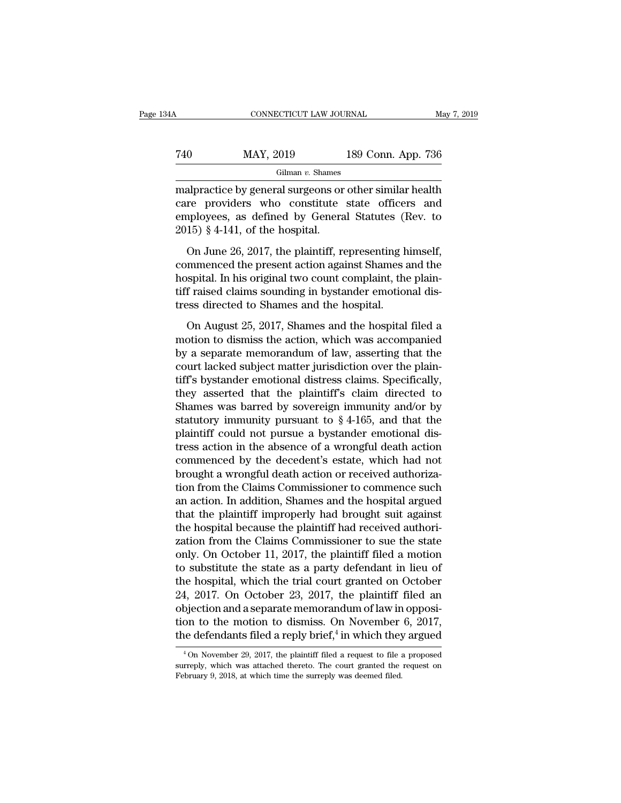# CONNECTICUT LAW JOURNAL May 7, 2019<br>
740 MAY, 2019 189 Conn. App. 736<br>
Gilman v. Shames

Gilman *v.* Shames

CONNECTICUT LAW JOURNAL May 7, 2019<br>
MAY, 2019 189 Conn. App. 736<br>
Gilman v. Shames<br>
malpractice by general surgeons or other similar health<br>
care providers who constitute state officers and<br>
employees as defined by Conora T40 MAY, 2019 189 Conn. App. 736<br>Gilman v. Shames<br>malpractice by general surgeons or other similar health<br>care providers who constitute state officers and<br>employees, as defined by General Statutes (Rev. to<br>2015) 8.4.141 of For the MAY, 2019 and the Status of the Status of Gilman v. Shames<br>
eliman v. Shames<br>
malpractice by general surgeons or other similar health<br>
care providers who constitute state officers and<br>
employees, as defined by Gen  $\begin{array}{ll}\n 740 & \text{MAX, } 2019 \\
 \hline \text{Gilman } v. \text{ Shames} \\
 \text{malpractive by general surgeons or} \\
 \text{care provides a specific solution of the model.} \\
 2015) \text{ § } 4\text{-}141, \text{ of the hospital.} \\
 \text{On June } 26, 2017, \text{the plaintiff, re} \n\end{array}$ Gilman v. Shames<br>
alpractice by general surgeons or other similar health<br>
re providers who constitute state officers and<br>
uployees, as defined by General Statutes (Rev. to<br>
15) § 4-141, of the hospital.<br>
On June 26, 2017, malpractice by general surgeons or other similar health<br>care providers who constitute state officers and<br>employees, as defined by General Statutes (Rev. to<br>2015) § 4-141, of the hospital.<br>On June 26, 2017, the plaintiff, r

rad providers who constitute state officers and<br>employees, as defined by General Statutes (Rev. to<br>2015) § 4-141, of the hospital.<br>On June 26, 2017, the plaintiff, representing himself,<br>commenced the present action against the previous wind between the belowing in<br>employees, as defined by General Statutes (Rev. to<br>2015) § 4-141, of the hospital.<br>On June 26, 2017, the plaintiff, representing himself,<br>commenced the present action against Shame 2015) § 4-141, of the hospital.<br>On June 26, 2017, the plaintiff, representing h<br>commenced the present action against Shames a<br>hospital. In his original two count complaint, the<br>tiff raised claims sounding in bystander emo On June 26, 2017, the plaintiff, representing himself,<br>mmenced the present action against Shames and the<br>spital. In his original two count complaint, the plain-<br>f raised claims sounding in bystander emotional dis-<br>ses dire commenced the present action against Shames and the<br>hospital. In his original two count complaint, the plain-<br>tiff raised claims sounding in bystander emotional dis-<br>tress directed to Shames and the hospital.<br>On August 25,

hospital. In his original two count complaint, the plaintiff raised claims sounding in bystander emotional distress directed to Shames and the hospital.<br>On August 25, 2017, Shames and the hospital filed a<br>motion to dismiss tiff raised claims sounding in bystander emotional dis-<br>tress directed to Shames and the hospital.<br>On August 25, 2017, Shames and the hospital filed a<br>motion to dismiss the action, which was accompanied<br>by a separate memor tress directed to Shames and the hospital.<br>
On August 25, 2017, Shames and the hospital filed a<br>
motion to dismiss the action, which was accompanied<br>
by a separate memorandum of law, asserting that the<br>
court lacked subjec On August 25, 2017, Shames and the hospital filed a<br>motion to dismiss the action, which was accompanied<br>by a separate memorandum of law, asserting that the<br>court lacked subject matter jurisdiction over the plain-<br>tiff's b On August 25, 2017, Shames and the hospital filed a<br>motion to dismiss the action, which was accompanied<br>by a separate memorandum of law, asserting that the<br>court lacked subject matter jurisdiction over the plain-<br>tiff's b motion to dismiss the action, which was accompanied<br>by a separate memorandum of law, asserting that the<br>court lacked subject matter jurisdiction over the plain-<br>tiff's bystander emotional distress claims. Specifically,<br>th by a separate memorandum of law, asserting that the<br>court lacked subject matter jurisdiction over the plain-<br>tiff's bystander emotional distress claims. Specifically,<br>they asserted that the plaintiff's claim directed to<br>Sh court lacked subject matter jurisdiction over the plain-<br>tiff's bystander emotional distress claims. Specifically,<br>they asserted that the plaintiff's claim directed to<br>Shames was barred by sovereign immunity and/or by<br>sta tiff's bystander emotional distress claims. Specifically,<br>they asserted that the plaintiff's claim directed to<br>Shames was barred by sovereign immunity and/or by<br>statutory immunity pursuant to § 4-165, and that the<br>plaintif they asserted that the plaintiff's claim directed to<br>Shames was barred by sovereign immunity and/or by<br>statutory immunity pursuant to  $\S$  4-165, and that the<br>plaintiff could not pursue a bystander emotional dis-<br>tress act Shames was barred by sovereign immunity and/or by<br>statutory immunity pursuant to  $\S 4{\text -}165$ , and that the<br>plaintiff could not pursue a bystander emotional dis-<br>tress action in the absence of a wrongful death action<br>comm statutory immunity pursuant to § 4-165, and that the<br>plaintiff could not pursue a bystander emotional dis-<br>tress action in the absence of a wrongful death action<br>commenced by the decedent's estate, which had not<br>brought a plaintiff could not pursue a bystander emotional distress action in the absence of a wrongful death action<br>commenced by the decedent's estate, which had not<br>brought a wrongful death action or received authoriza-<br>tion from tress action in the absence of a wrongful death action<br>commenced by the decedent's estate, which had not<br>brought a wrongful death action or received authoriza-<br>tion from the Claims Commissioner to commence such<br>an action. commenced by the decedent's estate, which had not<br>brought a wrongful death action or received authoriza-<br>tion from the Claims Commissioner to commence such<br>an action. In addition, Shames and the hospital argued<br>that the pl brought a wrongful death action or received authorization from the Claims Commissioner to commence such<br>an action. In addition, Shames and the hospital argued<br>that the plaintiff improperly had brought suit against<br>the hosp tion from the Claims Commissioner to commence such<br>an action. In addition, Shames and the hospital argued<br>that the plaintiff improperly had brought suit against<br>the hospital because the plaintiff had received authori-<br>zat an action. In addition, Shames and the hospital argued<br>that the plaintiff improperly had brought suit against<br>the hospital because the plaintiff had received authori-<br>zation from the Claims Commissioner to sue the state<br>on that the plaintiff improperly had brought suit against<br>the hospital because the plaintiff had received authori-<br>zation from the Claims Commissioner to sue the state<br>only. On October 11, 2017, the plaintiff filed a motion<br> the hospital because the plaintiff had received authorization from the Claims Commissioner to sue the state<br>only. On October 11, 2017, the plaintiff filed a motion<br>to substitute the state as a party defendant in lieu of<br>th zation from the Claims Commissioner to sue the state<br>only. On October 11, 2017, the plaintiff filed a motion<br>to substitute the state as a party defendant in lieu of<br>the hospital, which the trial court granted on October<br>2 only. On October 11, 2017, the plaintiff<br>to substitute the state as a party defer<br>the hospital, which the trial court grant<br>24, 2017. On October 23, 2017, the pl<br>objection and a separate memorandum o<br>tion to the motion to aintiff filed a motion<br>defendant in lieu of<br>granted on October<br>the plaintiff filed an<br>dum of law in opposi-<br>n November 6, 2017,<br>in which they argued<br>a request to file a proposed 4, 2017. On October 23, 2017, the plaintiff filed an objection and a separate memorandum of law in opposition to the motion to dismiss. On November 6, 2017, i.e defendants filed a reply brief,<sup>4</sup> in which they argued  $\frac{$ objection and a separate memorandum of law in opposition to the motion to dismiss. On November 6, 2017, the defendants filed a reply brief,<sup>4</sup> in which they argued  $\frac{4}{100}$  November 29, 2017, the plaintiff filed a requ

tion to the motion to dismiss. On November<br>the defendants filed a reply brief,<sup>4</sup> in which they<br> $\frac{4 \text{On November 29, 2017}}{4 \text{On November 29, 2017}}$ , the plaintiff filed a request to file a<br>surreply, which was attached thereto. The cou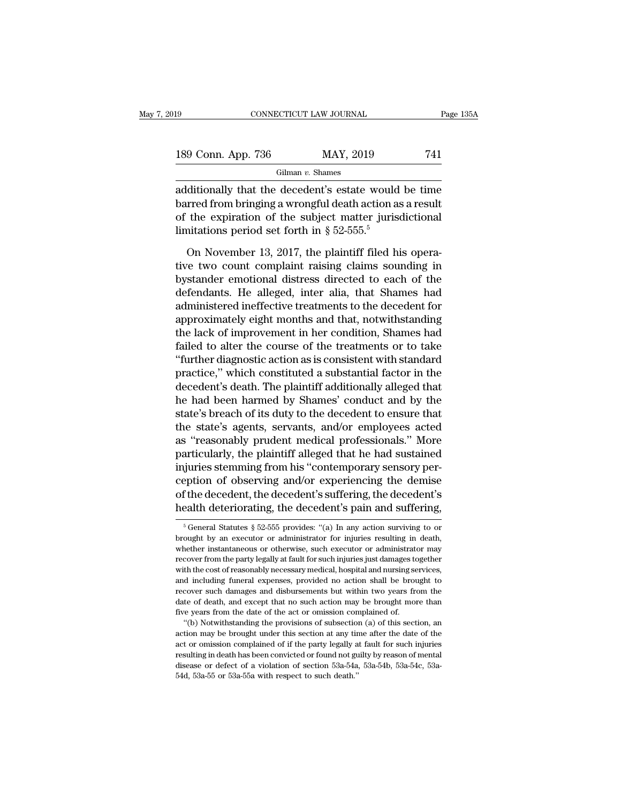| 19                 | CONNECTICUT LAW JOURNAL | Page 135A |
|--------------------|-------------------------|-----------|
| 189 Conn. App. 736 | MAY, 2019               | 741       |
|                    | Gilman $v$ . Shames     |           |

Gilman *v.* Shames

Eq. 354<br>
189 Conn. App. 736 MAY, 2019 741<br>
Gilman v. Shames<br>
additionally that the decedent's estate would be time<br>
barred from bringing a wrongful death action as a result<br>
of the evolution of the cubiest metter iurisdic 189 Conn. App. 736 MAY, 2019 741<br>
Gilman v. Shames<br>
additionally that the decedent's estate would be time<br>
barred from bringing a wrongful death action as a result<br>
of the expiration of the subject matter jurisdictional<br> 189 Conn. App. 736 MAY, 2019 741<br>
Gilman v. Shames<br>
additionally that the decedent's estate would be time<br>
barred from bringing a wrongful death action as a result<br>
of the expiration of the subject matter jurisdictional<br> 189 Conn. App. 736 MAY, 2019<br>
Gilman v. Shames<br>
additionally that the decedent's estate would<br>
barred from bringing a wrongful death action as<br>
of the expiration of the subject matter juris<br>
limitations period set forth i Gilman v. Shames<br>
ditionally that the decedent's estate would be time<br>
rred from bringing a wrongful death action as a result<br>
the expiration of the subject matter jurisdictional<br>
initiations period set forth in § 52-555. additionally that the decedent's estate would be time<br>barred from bringing a wrongful death action as a result<br>of the expiration of the subject matter jurisdictional<br>limitations period set forth in  $\S 52{\text -}555{\text -}55$ <br>On

barred from bringing a wrongful death action as a result<br>of the expiration of the subject matter jurisdictional<br>limitations period set forth in  $\S 52-555.$ <sup>5</sup><br>On November 13, 2017, the plaintiff filed his opera-<br>tive two % of the expiration of the subject matter jurisdictional<br>limitations period set forth in  $\S 52{\text -}555$ .<sup>5</sup><br>On November 13, 2017, the plaintiff filed his opera-<br>tive two count complaint raising claims sounding in<br>bystander limitations period set forth in  $\S$  52-555.<sup>5</sup><br>On November 13, 2017, the plaintiff filed his opera-<br>tive two count complaint raising claims sounding in<br>bystander emotional distress directed to each of the<br>defendants. He a On November 13, 2017, the plaintiff filed his operative two count complaint raising claims sounding in bystander emotional distress directed to each of the defendants. He alleged, inter alia, that Shames had administered i On November 13, 2017, the plaintiff filed his operative two count complaint raising claims sounding in bystander emotional distress directed to each of the defendants. He alleged, inter alia, that Shames had administered i tive two count complaint raising claims sounding in<br>bystander emotional distress directed to each of the<br>defendants. He alleged, inter alia, that Shames had<br>administered ineffective treatments to the decedent for<br>approxima bystander emotional distress directed to each of the<br>defendants. He alleged, inter alia, that Shames had<br>administered ineffective treatments to the decedent for<br>approximately eight months and that, notwithstanding<br>the lack defendants. He alleged, inter alia, that Shames had<br>administered ineffective treatments to the decedent for<br>approximately eight months and that, notwithstanding<br>the lack of improvement in her condition, Shames had<br>failed t administered ineffective treatments to the decedent for<br>approximately eight months and that, notwithstanding<br>the lack of improvement in her condition, Shames had<br>failed to alter the course of the treatments or to take<br>"fur approximately eight months and that, notwithstanding<br>the lack of improvement in her condition, Shames had<br>failed to alter the course of the treatments or to take<br>"further diagnostic action as is consistent with standard<br>pr the lack of improvement in her condition, Shames had<br>failed to alter the course of the treatments or to take<br>"further diagnostic action as is consistent with standard<br>practice," which constituted a substantial factor in th failed to alter the course of the treatments or to take<br>"further diagnostic action as is consistent with standard<br>practice," which constituted a substantial factor in the<br>decedent's death. The plaintiff additionally allege "further diagnostic action as is consistent with standard<br>practice," which constituted a substantial factor in the<br>decedent's death. The plaintiff additionally alleged that<br>he had been harmed by Shames' conduct and by the<br> practice," which constituted a substantial factor in the<br>decedent's death. The plaintiff additionally alleged that<br>he had been harmed by Shames' conduct and by the<br>state's breach of its duty to the decedent to ensure that<br> decedent's death. The plaintiff additionally alleged that<br>he had been harmed by Shames' conduct and by the<br>state's breach of its duty to the decedent to ensure that<br>the state's agents, servants, and/or employees acted<br>as " he had been harmed by Shames' conduct and by the<br>state's breach of its duty to the decedent to ensure that<br>the state's agents, servants, and/or employees acted<br>as "reasonably prudent medical professionals." More<br>particular state's breach of its duty to the decedent to ensure that<br>the state's agents, servants, and/or employees acted<br>as "reasonably prudent medical professionals." More<br>particularly, the plaintiff alleged that he had sustained<br>i the state's agents, servants, and/or employees acted<br>as "reasonably prudent medical professionals." More<br>particularly, the plaintiff alleged that he had sustained<br>injuries stemming from his "contemporary sensory per-<br>cept injuries stemming from his "contemporary sensory perception of observing and/or experiencing the demise<br>of the decedent, the decedent's suffering, the decedent's<br>health deteriorating, the decedent's pain and suffering,<br> $\$ ception of observing and/or experiencing the demise<br>of the decedent, the decedent's suffering, the decedent's<br>health deteriorating, the decedent's pain and suffering,<br> $\frac{1}{6}$  General Statutes § 52-555 provides: "(a) In

of the decedent, the decedent's suffering, the decedent's health deteriorating, the decedent's pain and suffering,<br>health deteriorating, the decedent's pain and suffering,<br> $\frac{1}{5}$  General Statutes  $\frac{8}{5}$  52-555 provi realth deteriorating, the decedent's pain and suffering,<br>
<sup>5</sup> General Statutes § 52-555 provides: "(a) In any action surviving to or<br>
brought by an executor or administrator for injuries resulting in death,<br>
whether instan We determined the cost of reasonably, the detected in spann and surfering,<br>  $\frac{1}{2}$  of General Statutes § 52-555 provides: "(a) In any action surviving to or<br>
brought by an executor or administrator for injuries resulti <sup>5</sup> General Statutes § 52-555 provides: "(a) In any action surviving to or brought by an executor or administrator for injuries resulting in death, whether instantaneous or otherwise, such executor or administrator may re brought by an executor or administrator for injuries resulting in death, whether instantaneous or otherwise, such executor or administrator may recover from the party legally at fault for such injuries just damages togethe whether instantaneous or otherwise, such executor or administrator may recover from the party legally at fault for such injuries just damages together with the cost of reasonably necessary medical, hospital and nursing ser free the method in the party legally at fault for such injuries just damages to with the cost of reasonably necessary medical, hospital and nursing se and including funeral expenses, provided no action shall be broust reco of the cost of reasonably necessary medical, hospital and nursing services, directed including funeral expenses, provided no action shall be brought to cover such damages and disbursements but within two years from the te and including funeral expenses, provided no action shall be brought to recover such damages and disbursements but within two years from the date of death, and except that no such action may be brought more than five years

act or omission complained of it the party legally by reason of mental or except that no such action may be brought more than five years from the date of the act or omission complained of.<br>
"(b) Notwithstanding the provisi date of death, and except that no such action may be brought more than<br>five years from the date of the act or omission complained of.<br>"(b) Notwithstanding the provisions of subsection (a) of this section, an<br>action may be dive years from the date of the act or omission complained of.<br>
"(b) Notwithstanding the provisions of subsection (a) of this section, an<br>
action may be brought under this section at any time after the date of the<br>
act or  $(6)$  Notwithstanding the provisions of subsection<br>action may be brought under this section at any tir<br>act or omission complained of if the party legally a<br>resulting in death has been convicted or found not gu<br>disease or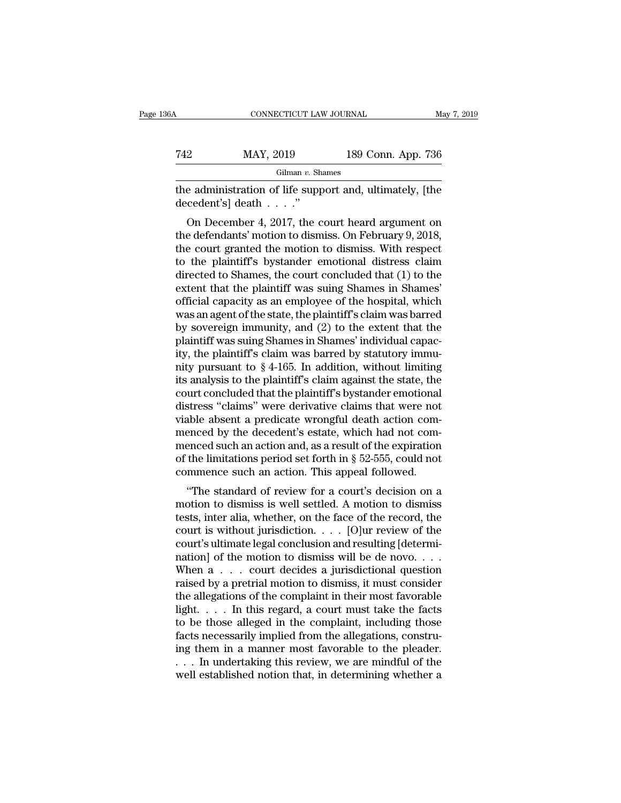| 86A | CONNECTICUT LAW JOURNAL                                                       |                    | May 7, 2019 |
|-----|-------------------------------------------------------------------------------|--------------------|-------------|
| 742 | MAY, 2019                                                                     | 189 Conn. App. 736 |             |
|     | Gilman $v$ . Shames                                                           |                    |             |
|     | the administration of life support and, ultimately, [the<br>decedent's death" |                    |             |
|     | On December 4, 2017, the court heard argument on                              |                    |             |

 $\frac{\text{Gilman } v. \text{ Shames}}{\text{Gilman } v. \text{ Shames}}$ <br> **Exercise administration of life support and, ultimately, [the**<br> **Con December 4, 2017, the court heard argument on**<br> **Exercise Argument on**<br> **Exercise Argument on the display of the su** T42 MAY, 2019 189 Conn. App. 736<br>
Gilman v. Shames<br>
the administration of life support and, ultimately, [the<br>
decedent's] death . . . ."<br>
On December 4, 2017, the court heard argument on<br>
the defendants' motion to dismiss Gilman v. Shames<br>the administration of life support and, ultimately, [the<br>decedent's] death . . . ."<br>On December 4, 2017, the court heard argument on<br>the defendants' motion to dismiss. On February 9, 2018,<br>the court grant the administration of life support and, ultimately, [the decedent's] death  $\dots$ ."<br>
On December 4, 2017, the court heard argument on the defendants' motion to dismiss. On February 9, 2018, the court granted the motion to d decedent's] death  $\dots$ ."<br>
On December 4, 2017, the court heard argument on<br>
the defendants' motion to dismiss. On February 9, 2018,<br>
the court granted the motion to dismiss. With respect<br>
to the plaintiff's bystander emot on December 4, 2017, the court heard argument on<br>the defendants' motion to dismiss. On February 9, 2018,<br>the court granted the motion to dismiss. With respect<br>to the plaintiff's bystander emotional distress claim<br>directed On December 4, 2017, the court heard argument on<br>the defendants' motion to dismiss. On February 9, 2018,<br>the court granted the motion to dismiss. With respect<br>to the plaintiff's bystander emotional distress claim<br>directed the defendants' motion to dismiss. On February 9, 2018,<br>the court granted the motion to dismiss. With respect<br>to the plaintiff's bystander emotional distress claim<br>directed to Shames, the court concluded that (1) to the<br>ex the court granted the motion to dismiss. With respect<br>to the plaintiff's bystander emotional distress claim<br>directed to Shames, the court concluded that (1) to the<br>extent that the plaintiff was suing Shames in Shames'<br>offi to the plaintiff's bystander emotional distress claim<br>directed to Shames, the court concluded that  $(1)$  to the<br>extent that the plaintiff was suing Shames in Shames'<br>official capacity as an employee of the hospital, which directed to Shames, the court concluded that  $(1)$  to the extent that the plaintiff was suing Shames in Shames'<br>official capacity as an employee of the hospital, which<br>was an agent of the state, the plaintiff's claim was extent that the plaintiff was suing Shames in Shames'<br>official capacity as an employee of the hospital, which<br>was an agent of the state, the plaintiff's claim was barred<br>by sovereign immunity, and (2) to the extent that th official capacity as an employee of the hospital, which<br>was an agent of the state, the plaintiff's claim was barred<br>by sovereign immunity, and (2) to the extent that the<br>plaintiff was suing Shames in Shames' individual cap was an agent of the state, the plaintiff's claim was barred<br>by sovereign immunity, and  $(2)$  to the extent that the<br>plaintiff was suing Shames in Shames' individual capac-<br>ity, the plaintiff's claim was barred by statutor by sovereign immunity, and (2) to the extent that the plaintiff was suing Shames in Shames' individual capacity, the plaintiff's claim was barred by statutory immunity pursuant to § 4-165. In addition, without limiting its plaintiff was suing Shames in Shames' individual capacity, the plaintiff's claim was barred by statutory immunity pursuant to § 4-165. In addition, without limiting its analysis to the plaintiff's claim against the state, ity, the plaintiff's claim was barred by statutory immunity pursuant to  $\S 4$ -165. In addition, without limiting<br>its analysis to the plaintiff's claim against the state, the<br>court concluded that the plaintiff's bystander mity pursuant to  $\S$  4-165. In addition, without limiting<br>its analysis to the plaintiff's claim against the state, the<br>court concluded that the plaintiff's bystander emotional<br>distress "claims" were derivative claims that its analysis to the plaintiff's claim against the state, the<br>court concluded that the plaintiff's bystander emotional<br>distress "claims" were derivative claims that were not<br>viable absent a predicate wrongful death action c court concluded that the plaintiff's bystander emotional<br>distress "claims" were derivative claims that were not<br>viable absent a predicate wrongful death action com-<br>menced by the decedent's estate, which had not com-<br>mence stress claims were derivative claims that were not<br>able absent a predicate wrongful death action com-<br>enced such an action and, as a result of the expiration<br>the limitations period set forth in § 52-555, could not<br>mmence s viable absent a predicate wrongtur death action com-<br>menced by the decedent's estate, which had not com-<br>menced such an action and, as a result of the expiration<br>of the limitations period set forth in  $\S$  52-555, could no

menced by the decedent s estate, which had not com-<br>menced such an action and, as a result of the expiration<br>of the limitations period set forth in § 52-555, could not<br>commence such an action. This appeal followed.<br>"The st menced such an action and, as a result of the expiration<br>of the limitations period set forth in § 52-555, could not<br>commence such an action. This appeal followed.<br>"The standard of review for a court's decision on a<br>motion of the initiations period set forth if  $\frac{1}{8}$  52-555, could not commence such an action. This appeal followed.<br>
"The standard of review for a court's decision on a<br>
motion to dismiss is well settled. A motion to dismis "The standard of review for a court's decision on a<br>
"The standard of review for a court's decision on a<br>
motion to dismiss is well settled. A motion to dismiss<br>
tests, inter alia, whether, on the face of the record, the<br> "The standard of review for a court's decision on a<br>motion to dismiss is well settled. A motion to dismiss<br>tests, inter alia, whether, on the face of the record, the<br>court is without jurisdiction. . . . [O]ur review of th motion to dismiss is well settled. A motion to dismiss<br>tests, inter alia, whether, on the face of the record, the<br>court is without jurisdiction. . . . [O]ur review of the<br>court's ultimate legal conclusion and resulting [d tests, inter alia, whether, on the face of the record, the court is without jurisdiction. . . . [O]ur review of the court's ultimate legal conclusion and resulting [determination] of the motion to dismiss will be de novo. court is without jurisdiction. . . . [O]ur review of the<br>court's ultimate legal conclusion and resulting [determi-<br>nation] of the motion to dismiss will be de novo. . . .<br>When  $a \tldots$  court decides a jurisdictional questi court's ultimate legal conclusion and resulting [determination] of the motion to dismiss will be de novo. . . .<br>When  $a \tldots$  court decides a jurisdictional question<br>raised by a pretrial motion to dismiss, it must consider mation] of the motion to dismiss will be de novo. . . . When  $a \dots$  court decides a jurisdictional question raised by a pretrial motion to dismiss, it must consider the allegations of the complaint in their most favorable When  $a \dots$  court decides a jurisdictional question<br>raised by a pretrial motion to dismiss, it must consider<br>the allegations of the complaint in their most favorable<br>light.... In this regard, a court must take the facts<br>to raised by a pretrial motion to dismiss, it must consider<br>the allegations of the complaint in their most favorable<br>light. . . . In this regard, a court must take the facts<br>to be those alleged in the complaint, including th the allegations of the complaint in their most favorable<br>light..... In this regard, a court must take the facts<br>to be those alleged in the complaint, including those<br>facts necessarily implied from the allegations, constru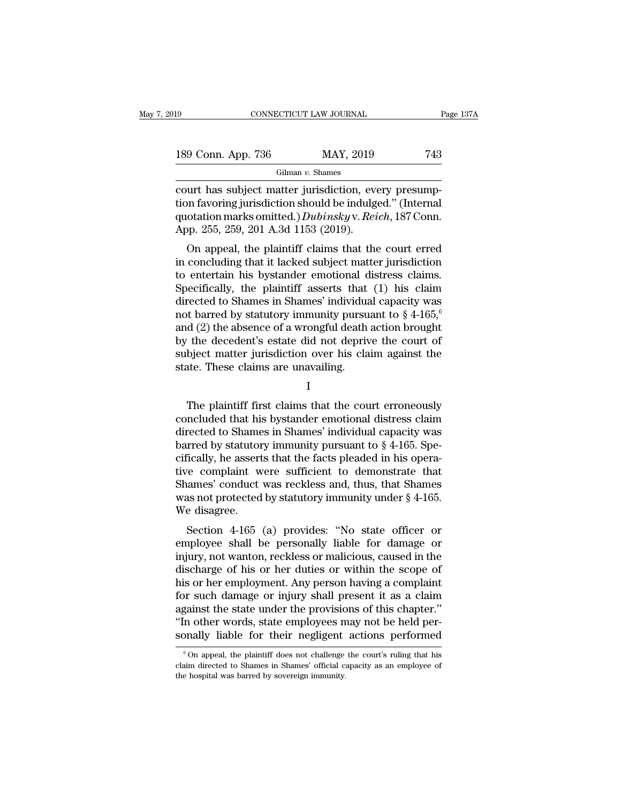| l9                 | CONNECTICUT LAW JOURNAL |           | Page 137A |
|--------------------|-------------------------|-----------|-----------|
|                    |                         |           |           |
| 189 Conn. App. 736 |                         | MAY, 2019 | 743       |
|                    | Gilman $v$ . Shames     |           |           |

connectricut LAW JOURNAL<br>
189 Conn. App. 736 MAY, 2019 743<br>
Gilman v. Shames<br>
Court has subject matter jurisdiction, every presump-<br>
tion favoring jurisdiction should be indulged." (Internal<br>
custation marks emitted ) Dubi 189 Conn. App. 736 MAY, 2019 743<br>
Gilman v. Shames<br>
court has subject matter jurisdiction, every presump-<br>
tion favoring jurisdiction should be indulged.'' (Internal<br>
quotation marks omitted.) Dubinsky v. Reich, 187 Conn.<br> 189 Conn. App. 736 MAY, 2019 743<br>
Gilman v. Shames<br>
court has subject matter jurisdiction, every presump-<br>
tion favoring jurisdiction should be indulged." (Internal<br>
quotation marks omitted.) *Dubinsky* v. *Reich*, 187 Con 189 Conn. App. 736 MAY, 2019<br>
Gilman v. Shames<br>
court has subject matter jurisdiction, even tion favoring jurisdiction should be indulg<br>
quotation marks omitted.) *Dubinsky* v. Rei<br>
App. 255, 259, 201 A.3d 1153 (2019).<br>
O Gilman v. Shames<br>
urt has subject matter jurisdiction, every presump-<br>
on favoring jurisdiction should be indulged." (Internal<br>
otation marks omitted.) *Dubinsky* v. *Reich*, 187 Conn.<br>
pp. 255, 259, 201 A.3d 1153 (2019). court has subject matter jurisdiction, every presumption favoring jurisdiction should be indulged." (Internal quotation marks omitted.) *Dubinsky* v. *Reich*, 187 Conn.<br>App. 255, 259, 201 A.3d 1153 (2019).<br>On appeal, the

France Court has subject matter jurisdiction, every presumption favoring jurisdiction should be indulged." (Internal quotation marks omitted.) *Dubinsky* v. *Reich*, 187 Conn. App. 255, 259, 201 A.3d 1153 (2019).<br>On appeal Fraction and Specifically, the plaintiff asserts that (1) his claim<br>Specifically, the plaintiff claims that the court erred<br>in concluding that it lacked subject matter jurisdiction<br>to entertain his bystander emotional dis quotation manks onlined.) Duothsky v. Retch, 161 Colli.<br>App. 255, 259, 201 A.3d 1153 (2019).<br>On appeal, the plaintiff claims that the court erred<br>in concluding that it lacked subject matter jurisdiction<br>to entertain his b App. 255, 259, 201 A.5d 1155 (2019).<br>
On appeal, the plaintiff claims that the court erred<br>
in concluding that it lacked subject matter jurisdiction<br>
to entertain his bystander emotional distress claims.<br>
Specifically, th On appeal, the plaintiff claims that the court erred<br>in concluding that it lacked subject matter jurisdiction<br>to entertain his bystander emotional distress claims.<br>Specifically, the plaintiff asserts that (1) his claim<br>di in concluding that it lacked subject matter jurisdiction<br>to entertain his bystander emotional distress claims.<br>Specifically, the plaintiff asserts that (1) his claim<br>directed to Shames in Shames' individual capacity was<br>n to entertain his bystander emotional distress claims.<br>Specifically, the plaintiff asserts that (1) his claim<br>directed to Shames in Shames' individual capacity was<br>not barred by statutory immunity pursuant to  $\S 4{\text -}165,^$ Specifically, the plaintiff asserts that<br>directed to Shames in Shames' individua<br>not barred by statutory immunity pursu<br>and (2) the absence of a wrongful death<br>by the decedent's estate did not depriv<br>subject matter jurisdi d (2) the absence of a wrongful death action brought<br>
the decedent's estate did not deprive the court of<br>
bject matter jurisdiction over his claim against the<br>
atte. These claims are unavailing.<br>
I<br>
The plaintiff first cla

I

by the decedent's estate did not deprive the court of<br>subject matter jurisdiction over his claim against the<br>state. These claims are unavailing.<br> $I$ <br>The plaintiff first claims that the court erroneously<br>concluded that his subject matter jurisdiction over his claim against the<br>state. These claims are unavailing.<br>I<br>The plaintiff first claims that the court erroneously<br>concluded that his bystander emotional distress claim<br>directed to Shames in state. These claims are unavailing.<br>
I<br>
The plaintiff first claims that the court erroneously<br>
concluded that his bystander emotional distress claim<br>
directed to Shames in Shames' individual capacity was<br>
barred by statuto I<br>I<br>The plaintiff first claims that the court erroneously<br>concluded that his bystander emotional distress claim<br>directed to Shames in Shames' individual capacity was<br>barred by statutory immunity pursuant to § 4-165. Spe-<br>c The plaintiff first claims that the court erroneously<br>concluded that his bystander emotional distress claim<br>directed to Shames in Shames' individual capacity was<br>barred by statutory immunity pursuant to  $\S$  4-165. Spe-<br>ci The plaintiff first claims that the court erroneously<br>concluded that his bystander emotional distress claim<br>directed to Shames in Shames' individual capacity was<br>barred by statutory immunity pursuant to  $\S$  4-165. Spe-<br>ci concluded that his bystander emotional distress claim<br>directed to Shames in Shames' individual capacity was<br>barred by statutory immunity pursuant to  $\S 4-165$ . Spe-<br>cifically, he asserts that the facts pleaded in his oper directed to Shame<br>barred by statutor<br>cifically, he assert<br>tive complaint w<br>Shames' conduct<br>was not protected<br>We disagree.<br>Section 4-165 Freed by statutory minitary pursuant to  $\S$  4-105. Specially, he asserts that the facts pleaded in his opera-<br>re complaint were sufficient to demonstrate that<br>aames' conduct was reckless and, thus, that Shames<br>as not prote emeany, he asserts that the facts pleaded in his opera-<br>tive complaint were sufficient to demonstrate that<br>Shames' conduct was reckless and, thus, that Shames<br>was not protected by statutory immunity under  $\S$  4-165.<br>We di

Internal were sufficient to demonstrate that<br>Shames' conduct was reckless and, thus, that Shames<br>was not protected by statutory immunity under § 4-165.<br>We disagree.<br>Section 4-165 (a) provides: "No state officer or<br>employee shames conduct was reckless and, thus, that shames<br>was not protected by statutory immunity under  $\S$  4-165.<br>We disagree.<br>Section 4-165 (a) provides: "No state officer or<br>employee shall be personally liable for damage or<br>i was not protected by statutory infinitinty under  $\S$  4-105.<br>We disagree.<br>Section 4-165 (a) provides: "No state officer or<br>employee shall be personally liable for damage or<br>injury, not wanton, reckless or malicious, caused we usagree.<br>
Section 4-165 (a) provides: "No state officer or<br>
employee shall be personally liable for damage or<br>
injury, not wanton, reckless or malicious, caused in the<br>
discharge of his or her duties or within the scope Section 4-165 (a) provides: "No state officer or<br>employee shall be personally liable for damage or<br>injury, not wanton, reckless or malicious, caused in the<br>discharge of his or her duties or within the scope of<br>his or her e employee shall be personally liable for damage or<br>
injury, not wanton, reckless or malicious, caused in the<br>
discharge of his or her duties or within the scope of<br>
his or her employment. Any person having a complaint<br>
for injury, not wanton, reckless or malicious, caused in the discharge of his or her duties or within the scope of his or her employment. Any person having a complaint for such damage or injury shall present it as a claim agai or such damage or injury shall present it as a claim<br>gainst the state under the provisions of this chapter."<br>In other words, state employees may not be held per-<br>panally liable for their negligent actions performed<br> $\frac{6}{$ against the state under the provisions of this chapter."<br>"In other words, state employees may not be held personally liable for their negligent actions performed<br> $\frac{1}{6}$  On appeal, the plaintiff does not challenge the c "In other words, state employees n sonally liable for their negligent  $\frac{1}{\pi}$  on appeal, the plaintiff does not challenge claim directed to Shames in Shames' official cather hospital was barred by sovereign immunity.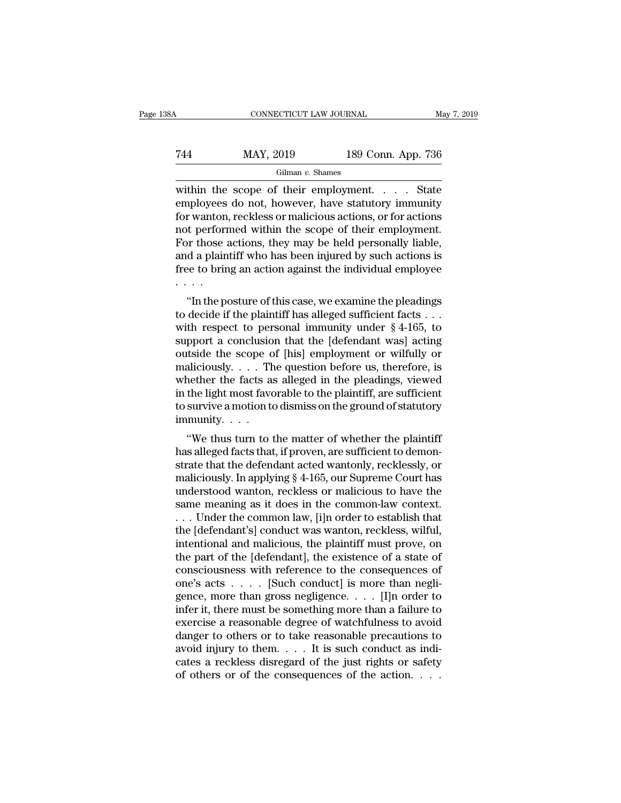## CONNECTICUT LAW JOURNAL May 7, 2019<br>
744 MAY, 2019 189 Conn. App. 736<br>
Gilman v. Shames Gilman *v.* Shames

CONNECTICUT LAW JOURNAL May 7, 2019<br>
T44 MAY, 2019 189 Conn. App. 736<br>
Gilman v. Shames<br>
Within the scope of their employment. . . . . State<br>
employees do not, however, have statutory immunity<br>
for wonton reckloss or malic T44 MAY, 2019 189 Conn. App. 736<br>
Gilman v. Shames<br>
within the scope of their employment. . . . . State<br>
employees do not, however, have statutory immunity<br>
for wanton, reckless or malicious actions, or for actions<br>
not p For these actions, they may be held personally liable<br>
For the scope of their employment.<br>
The employees do not, however, have statutory immunity<br>
for wanton, reckless or malicious actions, or for actions<br>
not performed w Take May, 2019 189 Conn. App. 736<br>
Gilman v. Shames<br>
within the scope of their employment. . . . . State<br>
employees do not, however, have statutory immunity<br>
for wanton, reckless or malicious actions, or for actions<br>
not For the scope of their employment.  $\ldots$  State<br>within the scope of their employment.  $\ldots$  State<br>employees do not, however, have statutory immunity<br>for wanton, reckless or malicious actions, or for actions<br>not performed w Gilman v. Shames<br>within the scope of their employment. . . . . State<br>employees do not, however, have statutory immunity<br>for wanton, reckless or malicious actions, or for actions<br>not performed within the scope of their emp within the scope of their employment. . . . State<br>employees do not, however, have statutory immunity<br>for wanton, reckless or malicious actions, or for actions<br>not performed within the scope of their employment.<br>For those . . . . The posture of their employment.<br>
In those actions, they may be held personally liable,<br>
d a plaintiff who has been injured by such actions is<br>
gee to bring an action against the individual employee<br>  $\cdot$ <br>
"In the posture For those actions, they may be held personally liable,<br>For those actions, they may be held personally liable,<br>and a plaintiff who has been injured by such actions is<br>free to bring an action against the individual employee

For those actions, they may be held personally hable,<br>and a plaintiff who has been injured by such actions is<br>free to bring an action against the individual employee<br> $\cdots$ <br>"In the posture of this case, we examine the plea support a conclusion that the individual employee<br>support a correct operation against the individual employee<br> $\cdots$ <br>"In the posture of this case, we examine the pleadings<br>to decide if the plaintiff has alleged sufficient The coloning an action against the mutvidual employee<br>  $\cdots$ <br>
"In the posture of this case, we examine the pleadings<br>
to decide if the plaintiff has alleged sufficient facts  $\cdots$ <br>
with respect to personal immunity under "In the posture of this case, we examine the pleadings<br>to decide if the plaintiff has alleged sufficient facts . . .<br>with respect to personal immunity under  $\S 4$ -165, to<br>support a conclusion that the [defendant was] acti "In the posture of this case, we examine the pleadings<br>to decide if the plaintiff has alleged sufficient facts . . .<br>with respect to personal immunity under  $\S 4-165$ , to<br>support a conclusion that the [defendant was] acti to decide if the plaintiff has alleged sufficient facts . . .<br>with respect to personal immunity under  $\S 4{\text -}165$ , to<br>support a conclusion that the [defendant was] acting<br>outside the scope of [his] employment or wilfully with respect to personal immunity under  $\S$  4-165, to<br>support a conclusion that the [defendant was] acting<br>outside the scope of [his] employment or wilfully or<br>maliciously.... The question before us, therefore, is<br>whether support a conclusio<br>outside the scope of<br>maliciously. . . . The<br>whether the facts as<br>in the light most fave<br>to survive a motion to<br>immunity. . . . .<br>"We thus turn to t aliciously. . . . The question before us, therefore, is<br>
aliciously. . . . The question before us, therefore, is<br>
aether the facts as alleged in the pleadings, viewed<br>
the light most favorable to the plaintiff, are suffic manciously.  $\ldots$  The question before us, therefore, is<br>whether the facts as alleged in the pleadings, viewed<br>in the light most favorable to the plaintiff, are sufficient<br>to survive a motion to dismiss on the ground of st

whether the facts as aneged in the pleatings, viewed<br>in the light most favorable to the plaintiff, are sufficient<br>to survive a motion to dismiss on the ground of statutory<br>immunity.<br>...<br>"We thus turn to the matter of whet m the right most ravorable to the plaintin, are suincrent<br>to survive a motion to dismiss on the ground of statutory<br>immunity.<br>...<br>"We thus turn to the matter of whether the plaintiff<br>has alleged facts that, if proven, are immunity.<br>
"We thus turn to the matter of whether the plaintiff<br>
has alleged facts that, if proven, are sufficient to demon-<br>
strate that the defendant acted wantonly, recklessly, or<br>
maliciously. In applying § 4-165, our same meaning as it does not the matter of whether the plaintiff<br>has alleged facts that, if proven, are sufficient to demon-<br>strate that the defendant acted wantonly, recklessly, or<br>maliciously. In applying § 4-165, our Su "We thus turn to the matter of whether the plaintiff<br>has alleged facts that, if proven, are sufficient to demon-<br>strate that the defendant acted wantonly, recklessly, or<br>maliciously. In applying § 4-165, our Supreme Court has alleged facts that, if proven, are sufficient to demonstrate that the defendant acted wantonly, recklessly, or<br>maliciously. In applying § 4-165, our Supreme Court has<br>understood wanton, reckless or malicious to have th strate that the defendant acted wantonly, recklessly, or<br>maliciously. In applying § 4-165, our Supreme Court has<br>understood wanton, reckless or malicious to have the<br>same meaning as it does in the common-law context.<br>... U maliciously. In applying § 4-165, our Supreme Court has<br>understood wanton, reckless or malicious to have the<br>same meaning as it does in the common-law context.<br>... Under the common law, [i]n order to establish that<br>the [d understood wanton, reckless or malicious to have the<br>same meaning as it does in the common-law context.<br>... Under the common law, [i]n order to establish that<br>the [defendant's] conduct was wanton, reckless, wilful,<br>intent same meaning as it does in the common-law context.<br>
. . . Under the common law, [i]n order to establish that<br>
the [defendant's] conduct was wanton, reckless, wilful,<br>
intentional and malicious, the plaintiff must prove, o ... Under the common law, [i]n order to establish that<br>the [defendant's] conduct was wanton, reckless, wilful,<br>intentional and malicious, the plaintiff must prove, on<br>the part of the [defendant], the existence of a state o the [defendant's] conduct was wanton, reckless, wilful,<br>intentional and malicious, the plaintiff must prove, on<br>the part of the [defendant], the existence of a state of<br>consciousness with reference to the consequences of<br>o intentional and malicious, the plaintiff must prove, on<br>the part of the [defendant], the existence of a state of<br>consciousness with reference to the consequences of<br>one's acts  $\dots$  [Such conduct] is more than negli-<br>gence the part of the [defendant], the existence of a state of<br>consciousness with reference to the consequences of<br>one's acts  $\dots$ . [Such conduct] is more than negli-<br>gence, more than gross negligence.  $\dots$  [I]n order to<br>infer consciousness with reference to the consequences of<br>one's acts . . . . . [Such conduct] is more than negli-<br>gence, more than gross negligence. . . . . [I]n order to<br>infer it, there must be something more than a failure to one's acts  $\dots$  [Such conduct] is more than negli-<br>gence, more than gross negligence.  $\dots$  [I]n order to<br>infer it, there must be something more than a failure to<br>exercise a reasonable degree of watchfulness to avoid<br>dange gence, more than gross negligence. . . . . [I]n order to infer it, there must be something more than a failure to exercise a reasonable degree of watchfulness to avoid danger to others or to take reasonable precautions to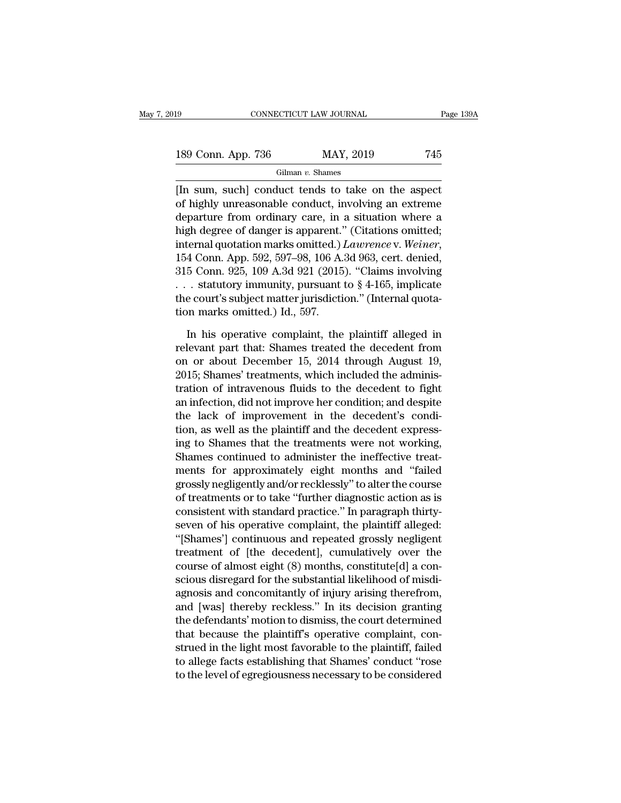| 19<br>CONNECTICUT LAW JOURNAL | Page 139A |     |  |  |
|-------------------------------|-----------|-----|--|--|
| 189 Conn. App. 736            | MAY, 2019 | 745 |  |  |
| Gilman $v$ . Shames           |           |     |  |  |

EXERCT SOMETICUT LAW JOURNAL Page 1394<br>
189 Conn. App. 736 MAY, 2019 745<br>
Gilman v. Shames<br>
[In sum, such] conduct tends to take on the aspect<br>
of highly unreasonable conduct, involving an extreme 189 Conn. App. 736 MAY, 2019 745<br>
Gilman v. Shames<br>
[In sum, such] conduct tends to take on the aspect<br>
of highly unreasonable conduct, involving an extreme<br>
departure from ordinary care, in a situation where a<br>
high degr 189 Conn. App. 736 MAY, 2019 745<br>
Gilman v. Shames<br>
[In sum, such] conduct tends to take on the aspect<br>
of highly unreasonable conduct, involving an extreme<br>
departure from ordinary care, in a situation where a<br>
high degr 189 Conn. App. 736 MAY, 2019 745<br>
Gilman v. Shames<br>
[In sum, such] conduct tends to take on the aspect<br>
of highly unreasonable conduct, involving an extreme<br>
departure from ordinary care, in a situation where a<br>
high degr Gilman v. Shames<br>
[In sum, such] conduct tends to take on the aspect<br>
of highly unreasonable conduct, involving an extreme<br>
departure from ordinary care, in a situation where a<br>
high degree of danger is apparent." (Citatio [In sum, such] conduct tends to take on the aspect<br>of highly unreasonable conduct, involving an extreme<br>departure from ordinary care, in a situation where a<br>high degree of danger is apparent." (Citations omitted;<br>internal of highly unreasonable conduct, involving an extreme<br>departure from ordinary care, in a situation where a<br>high degree of danger is apparent." (Citations omitted;<br>internal quotation marks omitted.) *Lawrence* v. Weiner,<br>15 departure from ordinary care, in a situation where a<br>high degree of danger is apparent." (Citations omitted;<br>internal quotation marks omitted.) *Lawrence* v. Weiner,<br>154 Conn. App. 592, 597–98, 106 A.3d 963, cert. denied, high degree of danger is apparent.'<br>internal quotation marks omitted.)<br>154 Conn. App. 592, 597–98, 106 A.<br>315 Conn. 925, 109 A.3d 921 (2015<br>... statutory immunity, pursuant<br>the court's subject matter jurisdicti<br>tion marks 4 Conn. App. 592, 597–98, 106 A.3d 963, cert. denied,<br>5 Conn. 925, 109 A.3d 921 (2015). "Claims involving<br>. statutory immunity, pursuant to § 4-165, implicate<br>e court's subject matter jurisdiction." (Internal quota-<br>n mar 315 Conn. 925, 109 A.3d 921 (2015). "Claims involving<br>
... statutory immunity, pursuant to § 4-165, implicate<br>
the court's subject matter jurisdiction." (Internal quota-<br>
tion marks omitted.) Id., 597.<br>
In his operative c

on or about Subject matter jurisdiction." (Internal quotation marks omitted.) Id., 597.<br>In his operative complaint, the plaintiff alleged in relevant part that: Shames treated the decedent from on or about December 15, 201 the court's subject matter jurisdiction." (Internal quotation marks omitted.) Id., 597.<br>In his operative complaint, the plaintiff alleged in<br>relevant part that: Shames treated the decedent from<br>on or about December 15, 201 tion marks omitted.) Id., 597.<br>
In his operative complaint, the plaintiff alleged in<br>
relevant part that: Shames treated the decedent from<br>
on or about December 15, 2014 through August 19,<br>
2015; Shames' treatments, which In his operative complaint, the plaintiff alleged in<br>relevant part that: Shames treated the decedent from<br>on or about December 15, 2014 through August 19,<br>2015; Shames' treatments, which included the adminis-<br>tration of in In his operative complaint, the plaintiff alleged in<br>relevant part that: Shames treated the decedent from<br>on or about December 15, 2014 through August 19,<br>2015; Shames' treatments, which included the adminis-<br>tration of in relevant part that: Shames treated the decedent from<br>on or about December 15, 2014 through August 19,<br>2015; Shames' treatments, which included the adminis-<br>tration of intravenous fluids to the decedent to fight<br>an infectio on or about December 15, 2014 through August 19,<br>2015; Shames' treatments, which included the administration of intravenous fluids to the decedent to fight<br>an infection, did not improve her condition; and despite<br>the lack 2015; Shames' treatments, which included the administration of intravenous fluids to the decedent to fight<br>an infection, did not improve her condition; and despite<br>the lack of improvement in the decedent's condi-<br>tion, as tration of intravenous fluids to the decedent to fight<br>an infection, did not improve her condition; and despite<br>the lack of improvement in the decedent's condi-<br>tion, as well as the plaintiff and the decedent express-<br>ing an infection, did not improve her condition; and despite<br>the lack of improvement in the decedent's condi-<br>tion, as well as the plaintiff and the decedent express-<br>ing to Shames that the treatments were not working,<br>Shames the lack of improvement in the decedent's condi-<br>tion, as well as the plaintiff and the decedent express-<br>ing to Shames that the treatments were not working,<br>Shames continued to administer the ineffective treat-<br>ments for tion, as well as the plaintiff and the decedent expressing to Shames that the treatments were not working,<br>Shames continued to administer the ineffective treatments for approximately eight months and "failed<br>grossly neglig ing to Shames that the treatments were not working,<br>Shames continued to administer the ineffective treat-<br>ments for approximately eight months and "failed<br>grossly negligently and/or recklessly" to alter the course<br>of treat Shames continued to administer the ineffective treat-<br>
ments for approximately eight months and "failed<br>
grossly negligently and/or recklessly" to alter the course<br>
of treatments or to take "further diagnostic action as is ments for approximately eight months and "failed<br>grossly negligently and/or recklessly" to alter the course<br>of treatments or to take "further diagnostic action as is<br>consistent with standard practice." In paragraph thirtygrossly negligently and/or recklessly" to alter the course<br>of treatments or to take "further diagnostic action as is<br>consistent with standard practice." In paragraph thirty-<br>seven of his operative complaint, the plaintiff of treatments or to take "further diagnostic action as is<br>consistent with standard practice." In paragraph thirty-<br>seven of his operative complaint, the plaintiff alleged:<br>"[Shames'] continuous and repeated grossly neglige consistent with standard practice." In paragraph thirty-<br>seven of his operative complaint, the plaintiff alleged:<br>"[Shames'] continuous and repeated grossly negligent<br>treatment of [the decedent], cumulatively over the<br>cour seven of his operative complaint, the plaintiff alleged:<br>"[Shames'] continuous and repeated grossly negligent<br>treatment of [the decedent], cumulatively over the<br>course of almost eight (8) months, constitute[d] a con-<br>sciou "[Shames'] continuous and repeated grossly negligent<br>treatment of [the decedent], cumulatively over the<br>course of almost eight (8) months, constitute[d] a con-<br>scious disregard for the substantial likelihood of misdi-<br>agno treatment of [the decedent], cumulatively over the<br>course of almost eight (8) months, constitute[d] a con-<br>scious disregard for the substantial likelihood of misdi-<br>agnosis and concomitantly of injury arising therefrom,<br>an course of almost eight (8) months, constitute[d] a conscious disregard for the substantial likelihood of misdiagnosis and concomitantly of injury arising therefrom, and [was] thereby reckless." In its decision granting the scious disregard for the substantial likelihood of misdi-<br>agnosis and concomitantly of injury arising therefrom,<br>and [was] thereby reckless." In its decision granting<br>the defendants' motion to dismiss, the court determined agnosis and concomitantly of injury arising therefrom,<br>and [was] thereby reckless." In its decision granting<br>the defendants' motion to dismiss, the court determined<br>that because the plaintiff's operative complaint, con-<br>st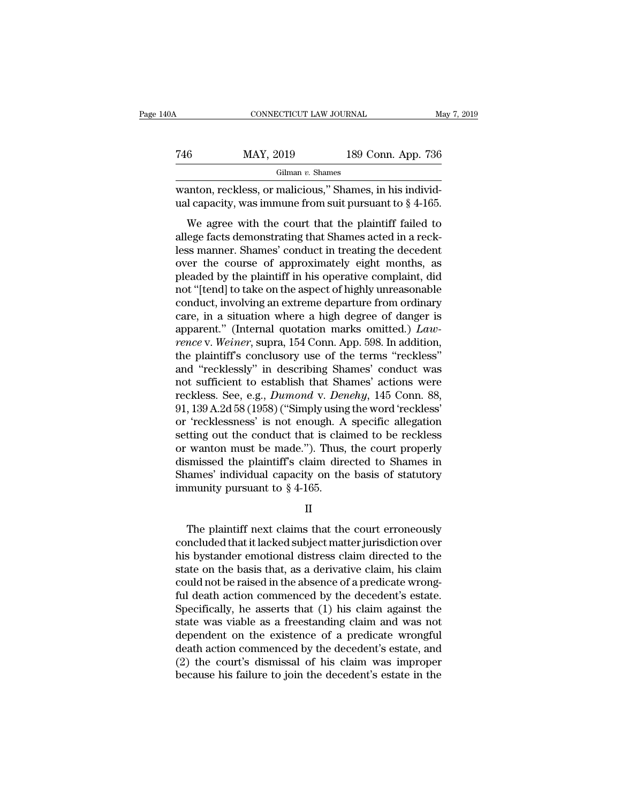| May 7, 2019 |                    | CONNECTICUT LAW JOURNAL                                                                                                | 40A |
|-------------|--------------------|------------------------------------------------------------------------------------------------------------------------|-----|
|             | 189 Conn. App. 736 | MAY, 2019                                                                                                              | 746 |
|             |                    | Gilman $v$ . Shames                                                                                                    |     |
|             |                    | wanton, reckless, or malicious," Shames, in his individ-<br>ual capacity, was immune from suit pursuant to $\S$ 4-165. |     |

MAY, 2019 189 Conn. App. 736<br>
Gilman v. Shames<br>
anton, reckless, or malicious," Shames, in his individ-<br>
dicapacity, was immune from suit pursuant to  $\S$  4-165.<br>
We agree with the court that the plaintiff failed to<br>
ege f Factor MAY, 2019 189 Conn. App. 736<br>
Gilman v. Shames<br>
wanton, reckless, or malicious," Shames, in his individual capacity, was immune from suit pursuant to § 4-165.<br>
We agree with the court that the plaintiff failed to a Gilman v. Shames<br>
wanton, reckless, or malicious," Shames, in his individual capacity, was immune from suit pursuant to  $\S$  4-165.<br>
We agree with the court that the plaintiff failed to<br>
allege facts demonstrating that Sha wanton, reckless, or malicious," Shames, in his individual capacity, was immune from suit pursuant to  $\S$  4-165.<br>We agree with the court that the plaintiff failed to allege facts demonstrating that Shames acted in a reckl wanton, reckless, or manerous, braancs, in his matrix-<br>ual capacity, was immune from suit pursuant to  $\S$  4-165.<br>We agree with the court that the plaintiff failed to<br>allege facts demonstrating that Shames acted in a reck-We agree with the court that the plaintiff failed to allege facts demonstrating that Shames acted in a reck-<br>less manner. Shames' conduct in treating the decedent<br>over the course of approximately eight months, as<br>pleaded b We agree with the court that the plaintiff failed to allege facts demonstrating that Shames acted in a reckless manner. Shames' conduct in treating the decedent over the course of approximately eight months, as pleaded by allege facts demonstrating that Shames acted in a reck-<br>less manner. Shames' conduct in treating the decedent<br>over the course of approximately eight months, as<br>pleaded by the plaintiff in his operative complaint, did<br>not " less manner. Shames' conduct in treating the decedent<br>over the course of approximately eight months, as<br>pleaded by the plaintiff in his operative complaint, did<br>not "[tend] to take on the aspect of highly unreasonable<br>cond over the course of approximately eight months, as<br>pleaded by the plaintiff in his operative complaint, did<br>not "[tend] to take on the aspect of highly unreasonable<br>conduct, involving an extreme departure from ordinary<br>care pleaded by the plaintiff in his operative complaint, did<br>not "[tend] to take on the aspect of highly unreasonable<br>conduct, involving an extreme departure from ordinary<br>care, in a situation where a high degree of danger is<br> not "[tend] to take on the aspect of highly unreasonable<br>conduct, involving an extreme departure from ordinary<br>care, in a situation where a high degree of danger is<br>apparent." (Internal quotation marks omitted.)  $Law-$ <br>renc conduct, involving an extreme departure from ordinary<br>care, in a situation where a high degree of danger is<br>apparent." (Internal quotation marks omitted.)  $Law$ <br>rence v. Weiner, supra, 154 Conn. App. 598. In addition,<br>the p care, in a situation where a high degree of danger is<br>apparent." (Internal quotation marks omitted.) *Law-*<br>rence v. Weiner, supra, 154 Conn. App. 598. In addition,<br>the plaintiff's conclusory use of the terms "reckless"<br>an apparent." (Internal quotation marks omitted.) *Lawrence* v. Weiner, supra, 154 Conn. App. 598. In addition, the plaintiff's conclusory use of the terms "reckless" and "recklessly" in describing Shames' conduct was not suf rence v. Weiner, supra, 154 Conn. App. 598. In addition,<br>the plaintiff's conclusory use of the terms "reckless"<br>and "recklessly" in describing Shames' conduct was<br>not sufficient to establish that Shames' actions were<br>reckl the plaintiff's conclusory use of the terms "reckless"<br>and "recklessly" in describing Shames' conduct was<br>not sufficient to establish that Shames' actions were<br>reckless. See, e.g., *Dumond* v. *Denehy*, 145 Conn. 88,<br>91, 1 and "recklessly" in describing Shames' conduct was<br>not sufficient to establish that Shames' actions were<br>reckless. See, e.g., *Dumond* v. *Denehy*, 145 Conn. 88,<br>91, 139 A.2d 58 (1958) ("Simply using the word 'reckless'<br>or not sufficient to establish that Shames' actions were<br>reckless. See, e.g., *Dumond* v. *Denehy*, 145 Conn. 88,<br>91, 139 A.2d 58 (1958) ("Simply using the word 'reckless'<br>or 'recklessness' is not enough. A specific allegati reckless. See, e.g., *Dumond v. Denehy*, 145 Conn. 88, 91, 139 A.2d 58 (1958) ("Simply using the word 'reckless' or 'recklessness' is not enough. A specific allegation setting out the conduct that is claimed to be reckles 91, 139 A.2d 58 (1958) ("Simply using<br>or 'recklessness' is not enough. A<br>setting out the conduct that is clai<br>or wanton must be made."). Thus,<br>dismissed the plaintiff's claim dire<br>Shames' individual capacity on the<br>immuni wanton must be made."). Thus, the court properly<br>smissed the plaintiff's claim directed to Shames in<br>ames' individual capacity on the basis of statutory<br>munity pursuant to  $\S 4$ -165.<br>II<br>The plaintiff next claims that the

II

dismissed the plaintiff's claim directed to Shames in<br>Shames' individual capacity on the basis of statutory<br>immunity pursuant to § 4-165.<br>II<br>The plaintiff next claims that the court erroneously<br>concluded that it lacked sub Shames' individual capacity on the basis of statutory<br>
immunity pursuant to  $\S 4\n-165$ .<br>
II<br>
The plaintiff next claims that the court erroneously<br>
concluded that it lacked subject matter jurisdiction over<br>
his bystander e immunity pursuant to § 4-165.<br>
II<br>
The plaintiff next claims that the court erroneously<br>
concluded that it lacked subject matter jurisdiction over<br>
his bystander emotional distress claim directed to the<br>
state on the basis II<br>
The plaintiff next claims that the court erroneously<br>
concluded that it lacked subject matter jurisdiction over<br>
his bystander emotional distress claim directed to the<br>
state on the basis that, as a derivative claim, h The plaintiff next claims that the court erroneously<br>concluded that it lacked subject matter jurisdiction over<br>his bystander emotional distress claim directed to the<br>state on the basis that, as a derivative claim, his clai The plaintiff next claims that the court erroneously<br>concluded that it lacked subject matter jurisdiction over<br>his bystander emotional distress claim directed to the<br>state on the basis that, as a derivative claim, his clai concluded that it lacked subject matter jurisdiction over<br>his bystander emotional distress claim directed to the<br>state on the basis that, as a derivative claim, his claim<br>could not be raised in the absence of a predicate w his bystander emotional distress claim directed to the state on the basis that, as a derivative claim, his claim could not be raised in the absence of a predicate wrongful death action commenced by the decedent's estate. state on the basis that, as a derivative claim, his claim<br>could not be raised in the absence of a predicate wrong-<br>ful death action commenced by the decedent's estate.<br>Specifically, he asserts that (1) his claim against th could not be raised in the absence of a predicate wrong-<br>ful death action commenced by the decedent's estate.<br>Specifically, he asserts that (1) his claim against the<br>state was viable as a freestanding claim and was not<br>dep ful death action commenced by the decedent's estate.<br>Specifically, he asserts that (1) his claim against the<br>state was viable as a freestanding claim and was not<br>dependent on the existence of a predicate wrongful<br>death act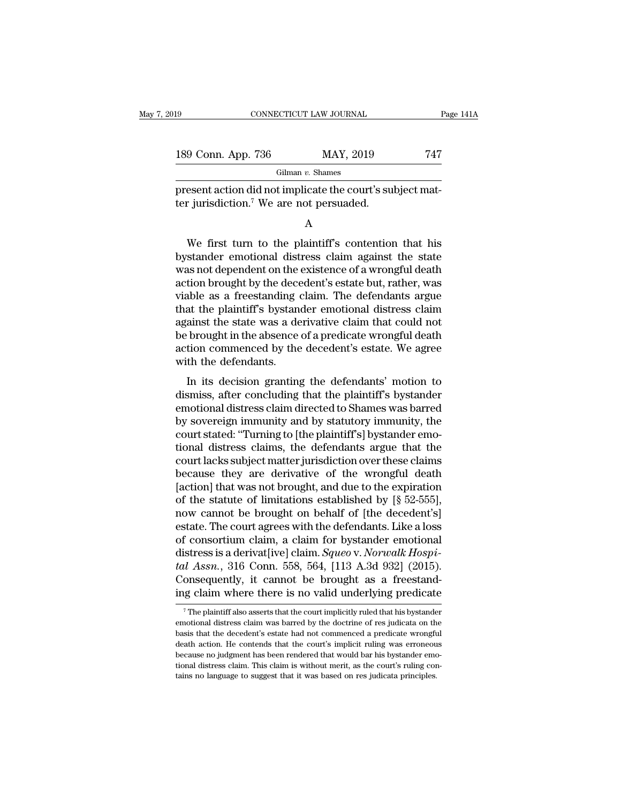| 19<br>CONNECTICUT LAW JOURNAL |  |                                                                                                                   | Page 141A |  |
|-------------------------------|--|-------------------------------------------------------------------------------------------------------------------|-----------|--|
| 189 Conn. App. 736            |  | MAY, 2019                                                                                                         | 747       |  |
|                               |  | Gilman $v$ . Shames                                                                                               |           |  |
|                               |  | present action did not implicate the court's subject mat-<br>ter jurisdiction. <sup>7</sup> We are not persuaded. |           |  |
|                               |  |                                                                                                                   |           |  |

Gilman v. Shames<br>
esent action did not implicate the court's subject matrix jurisdiction.<sup>7</sup> We are not persuaded.<br>
A<br>
We first turn to the plaintiff's contention that his<br>
stander emotional distress claim against the sta  $\frac{1}{2}$  oliman v. snames<br>present action did not implicate the court's subject matter<br>jurisdiction.<sup>7</sup> We are not persuaded.<br>A<br>We first turn to the plaintiff's contention that his<br>bystander emotional distress claim again present action did not implicate the court's subject mat-<br>ter jurisdiction.<sup>7</sup> We are not persuaded.<br>A<br>We first turn to the plaintiff's contention that his<br>bystander emotional distress claim against the state<br>was not depen ter jurisdiction.<sup>7</sup> We are not persuaded.<br>
A<br>
We first turn to the plaintiff's contention that his<br>
bystander emotional distress claim against the state<br>
was not dependent on the existence of a wrongful death<br>
action brou A<br>We first turn to the plaintiff's contention that his<br>bystander emotional distress claim against the state<br>was not dependent on the existence of a wrongful death<br>action brought by the decedent's estate but, rather, was<br>vi The sum of the plaintiff's contention that his<br>bystander emotional distress claim against the state<br>was not dependent on the existence of a wrongful death<br>action brought by the decedent's estate but, rather, was<br>viable as We first turn to the plaintiff's contention that his<br>bystander emotional distress claim against the state<br>was not dependent on the existence of a wrongful death<br>action brought by the decedent's estate but, rather, was<br>viab bystander emotional distress claim against the state<br>was not dependent on the existence of a wrongful death<br>action brought by the decedent's estate but, rather, was<br>viable as a freestanding claim. The defendants argue<br>that was not dependent on the existence of a wrongful death<br>action brought by the decedent's estate but, rather, was<br>viable as a freestanding claim. The defendants argue<br>that the plaintiff's bystander emotional distress claim<br>a action brought by the dece<br>viable as a freestanding of<br>that the plaintiff's bystand<br>against the state was a de<br>be brought in the absence<br>action commenced by the<br>with the defendants.<br>In its decision granting EVERT AS A TRESEARCHING CLEARCHE INTERNATION and the plaintiff's bystander emotional distress claim<br>ainst the state was a derivative claim that could not<br>brought in the absence of a predicate wrongful death<br>tion commenced diat the plaintin's bystander emotional distress claim<br>against the state was a derivative claim that could not<br>be brought in the absence of a predicate wrongful death<br>action commenced by the decedent's estate. We agree<br>wit

distribute the state was a derivative claim that codid not<br>be brought in the absence of a predicate wrongful death<br>action commenced by the decedent's estate. We agree<br>with the defendants.<br>In its decision granting the defen be brought in the absence of a predicate wronglui death<br>action commenced by the decedent's estate. We agree<br>with the defendants.<br>In its decision granting the defendants' motion to<br>dismiss, after concluding that the plainti action commenced by the decedent's estate. We agree<br>with the defendants.<br>In its decision granting the defendants' motion to<br>dismiss, after concluding that the plaintiff's bystander<br>emotional distress claims and by statutor In its decision granting the defendants' motion to<br>dismiss, after concluding that the plaintiff's bystander<br>emotional distress claim directed to Shames was barred<br>by sovereign immunity and by statutory immunity, the<br>court In its decision granting the defendants' motion to<br>dismiss, after concluding that the plaintiff's bystander<br>emotional distress claim directed to Shames was barred<br>by sovereign immunity and by statutory immunity, the<br>court dismiss, after concluding that the plaintiff's bystander<br>emotional distress claim directed to Shames was barred<br>by sovereign immunity and by statutory immunity, the<br>court stated: "Turning to [the plaintiff's] bystander emo emotional distress claim directed to Shames was barred<br>by sovereign immunity and by statutory immunity, the<br>court stated: "Turning to [the plaintiff's] bystander emo-<br>tional distress claims, the defendants argue that the<br>c by sovereign immunity and by statutory immunity, the<br>court stated: "Turning to [the plaintiff's] bystander emo-<br>tional distress claims, the defendants argue that the<br>court lacks subject matter jurisdiction over these claim court stated: "Turning to [the plaintiff's] bystander emotional distress claims, the defendants argue that the<br>court lacks subject matter jurisdiction over these claims<br>because they are derivative of the wrongful death<br>[ac tional distress claims, the defendants argue that the<br>court lacks subject matter jurisdiction over these claims<br>because they are derivative of the wrongful death<br>[action] that was not brought, and due to the expiration<br>of court lacks subject matter jurisdiction over these claims<br>because they are derivative of the wrongful death<br>[action] that was not brought, and due to the expiration<br>of the statute of limitations established by [§ 52-555], because they are derivative of the wrongful death<br>[action] that was not brought, and due to the expiration<br>of the statute of limitations established by [§ 52-555],<br>now cannot be brought on behalf of [the decedent's]<br>estate [action] that was not brought, and due to the expiration<br>of the statute of limitations established by [§ 52-555],<br>now cannot be brought on behalf of [the decedent's]<br>estate. The court agrees with the defendants. Like a los % of the statute of limitations established by [§ 52-555], now cannot be brought on behalf of [the decedent's] estate. The court agrees with the defendants. Like a loss of consortium claim, a claim for bystander emotional now cannot be brought on behalf of [the decedent's]<br>estate. The court agrees with the defendants. Like a loss<br>of consortium claim, a claim for bystander emotional<br>distress is a derivat[ive] claim. *Squeo* v. *Norwalk Hospi* distress is a derivat[ive] claim. *Squeo* v. *Norwalk Hospital Assn.*, 316 Conn. 558, 564, [113 A.3d 932] (2015). Consequently, it cannot be brought as a freestanding claim where there is no valid underlying predicate  $\frac$ tal Assn., 316 Conn. 558, 564, [113 A.3d 932] (2015).<br>Consequently, it cannot be brought as a freestand-<br>ing claim where there is no valid underlying predicate<br><sup>7</sup>The plaintiff also asserts that the court implicitly ruled

Consequently, it cannot be brought as a freestanding claim where there is no valid underlying predicate  $\frac{1}{\sqrt{T}}$  The plaintiff also asserts that the court implicitly ruled that his bystander emotional distress claim wa ing claim where there is no valid underlying predicate<br> $\overline{ }$ <sup>7</sup>The plaintiff also asserts that the court implicitly ruled that his bystander<br>emotional distress claim was barred by the doctrine of res judicata on the<br>bas The plaintif where there is no vanid underlying predicate<br>
The plaintiff also asserts that the court implicitly ruled that his bystander<br>
emotional distress claim was barred by the doctrine of res judicata on the<br>
basis t  $^\circ$  The plaintiff also asserts that the court implicitly ruled that his bystander emotional distress claim was barred by the doctrine of res judicata on the basis that the decedent's estate had not commenced a predicate emotional distress claim was barred by the doctrine of res judicata on the basis that the decedent's estate had not commenced a predicate wrongful death action. He contends that the court's implicit ruling was erroneous be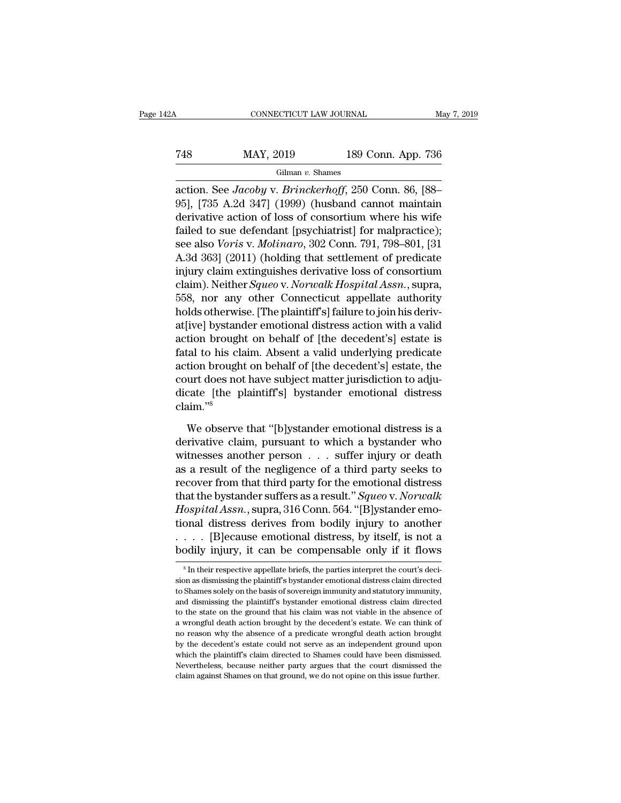# CONNECTICUT LAW JOURNAL May 7, 2019<br>
T48 MAY, 2019 189 Conn. App. 736<br>
Gilman v. Shames

Gilman *v.* Shames

CONNECTICUT LAW JOURNAL May 7, 2019<br>
T48 MAY, 2019 189 Conn. App. 736<br>
Gilman v. Shames<br>
action. See *Jacoby* v. *Brinckerhoff*, 250 Conn. 86, [88–<br>
95], [735 A.2d 347] (1999) (husband cannot maintain<br>
derivative action of MAY, 2019 189 Conn. App. 736<br>
Gilman v. Shames<br>
action. See *Jacoby* v. *Brinckerhoff*, 250 Conn. 86, [88-<br>
95], [735 A.2d 347] (1999) (husband cannot maintain<br>
derivative action of loss of consortium where his wife<br>
foile T48 MAY, 2019 189 Conn. App. 736<br>
Gilman v. Shames<br>
action. See *Jacoby* v. *Brinckerhoff*, 250 Conn. 86, [88–<br>
95], [735 A.2d 347] (1999) (husband cannot maintain<br>
derivative action of loss of consortium where his wife<br> Failman v. Shames<br>
Gilman v. Shames<br>
action. See *Jacoby* v. *Brinckerhoff*, 250 Conn. 86, [88-<br>
95], [735 A.2d 347] (1999) (husband cannot maintain<br>
derivative action of loss of consortium where his wife<br>
failed to sue d Gilman v. Shames<br>action. See *Jacoby* v. *Brinckerhoff*, 250 Conn. 86, [88–95], [735 A.2d 347] (1999) (husband cannot maintain<br>derivative action of loss of consortium where his wife<br>failed to sue defendant [psychiatrist] f action. See *Jacoby* v. *Brinckerhoff*, 250 Conn. 86, [88-<br>95], [735 A.2d 347] (1999) (husband cannot maintain<br>derivative action of loss of consortium where his wife<br>failed to sue defendant [psychiatrist] for malpractice) action. See *Jacoby* v. *Brinckerhoff*, 250 Conn. 86, [88–95], [735 A.2d 347] (1999) (husband cannot maintain<br>derivative action of loss of consortium where his wife<br>failed to sue defendant [psychiatrist] for malpractice); 95], [735 A.2d 347] (1999) (husband cannot maintain<br>derivative action of loss of consortium where his wife<br>failed to sue defendant [psychiatrist] for malpractice);<br>see also *Voris* v. *Molinaro*, 302 Conn. 791, 798–801, [3 derivative action of loss of consortium where his wife<br>failed to sue defendant [psychiatrist] for malpractice);<br>see also *Voris v. Molinaro*, 302 Conn. 791, 798–801, [31<br>A.3d 363] (2011) (holding that settlement of predica failed to sue defendant [psychiatrist] for malpractice);<br>see also *Voris* v. *Molinaro*, 302 Conn. 791, 798–801, [31<br>A.3d 363] (2011) (holding that settlement of predicate<br>injury claim extinguishes derivative loss of conso see also *Voris* v. *Molinaro*, 302 Conn. 791, 798–801, [31<br>A.3d 363] (2011) (holding that settlement of predicate<br>injury claim extinguishes derivative loss of consortium<br>claim). Neither *Squeo* v. *Norwalk Hospital Assn*. A.3d 363] (2011) (holding that settlement of predicate<br>injury claim extinguishes derivative loss of consortium<br>claim). Neither *Squeo* v. *Norwalk Hospital Assn*., supra,<br>558, nor any other Connecticut appellate authority<br> injury claim extinguishes derivative loss of consortium<br>claim). Neither *Squeo* v. *Norwalk Hospital Assn.*, supra,<br>558, nor any other Connecticut appellate authority<br>holds otherwise. [The plaintiff's] failure to join his claim). Neither *Squeo* v. *Norwalk Hospital Assn.*, supra,<br>558, nor any other Connecticut appellate authority<br>holds otherwise. [The plaintiff's] failure to join his deriv-<br>at[ive] bystander emotional distress action with 558, nor any other Connecticut appellate authority<br>holds otherwise. [The plaintiff's] failure to join his deriv-<br>at[ive] bystander emotional distress action with a valid<br>action brought on behalf of [the decedent's] estate holds otherwise. [The plaintiff's] failure to join his derivat<br>[ive] bystander emotional distress action with a valid<br>action brought on behalf of [the decedent's] estate is<br>fatal to his claim. Absent a valid underlying pre claim.''<sup>8</sup> tal to his claim. Absent a valid underlying predicate<br>tion brought on behalf of [the decedent's] estate, the<br>urt does not have subject matter jurisdiction to adju-<br>cate [the plaintiff's] bystander emotional distress<br>aim."<sup></sup> action brought on behalf of [the decedent's] estate, the<br>court does not have subject matter jurisdiction to adju-<br>dicate [the plaintiff's] bystander emotional distress<br>claim."<sup>8</sup><br>We observe that "[b]ystander emotional dis

court does not have subject matter jurisdiction to adjudicate [the plaintiff's] bystander emotional distress<br>claim."<sup>8</sup><br>We observe that "[b]ystander emotional distress is a<br>derivative claim, pursuant to which a bystander w dicate [the plaintiff's] bystander emotional distress<br>claim."<sup>8</sup><br>We observe that "[b]ystander emotional distress is a<br>derivative claim, pursuant to which a bystander who<br>witnesses another person . . . suffer injury or deat claim."<sup>8</sup><br>We observe that "[b]ystander emotional distress is a<br>derivative claim, pursuant to which a bystander who<br>witnesses another person . . . suffer injury or death<br>as a result of the negligence of a third party seek We observe that "[b]ystander emotional distress is a<br>derivative claim, pursuant to which a bystander who<br>witnesses another person . . . suffer injury or death<br>as a result of the negligence of a third party seeks to<br>recover We observe that "[b]ystander emotional distress is a<br>derivative claim, pursuant to which a bystander who<br>witnesses another person . . . suffer injury or death<br>as a result of the negligence of a third party seeks to<br>recover derivative claim, pursuant to which a bystander who<br>witnesses another person . . . suffer injury or death<br>as a result of the negligence of a third party seeks to<br>recover from that third party for the emotional distress<br>tha witnesses another person . . . suffer injury or death<br>as a result of the negligence of a third party seeks to<br>recover from that third party for the emotional distress<br>that the bystander suffers as a result." Squee v. Norw as a result of the negligence of a third party seeks to<br>recover from that third party for the emotional distress<br>that the bystander suffers as a result." Squeo v. Norwalk<br>Hospital Assn., supra, 316 Conn. 564. "[B]ystander Hospital Assn., supra, 316 Conn. 564. "[B]ystander emotional distress derives from bodily injury to another . . . . . [B]ecause emotional distress, by itself, is not a bodily injury, it can be compensable only if it flows tional distress derives from bodily injury to another . . . . [B]ecause emotional distress, by itself, is not a bodily injury, it can be compensable only if it flows  $s \ln$  their respective appellate briefs, the parties in

<sup>.... [</sup>B]ecause emotional distress, by itself, is not a bodily injury, it can be compensable only if it flows  $*$  In their respective appellate briefs, the parties interpret the court's decision as dismissing the plaintiff bodily injury, it can be compensable only if it flows<br>  $\overline{\phantom{a}}^s$  In their respective appellate briefs, the parties interpret the court's decision as dismissing the plaintiff's bystander emotional distress claim direct The state on the state on the state of a wrongful death action of a wrongful death action of a wrongful death action by the ground that his claim was not viable in the absence of a wrongful death action brought by the dece  $\overline{\phantom{a}}$  is In their respective appellate briefs, the parties interpret the court's decision as dismissing the plaintiff's bystander emotional distress claim directed to Shames solely on the basis of sovereign immunity is a sum single to plaintiff's bystander emotional distress claim directed to Shames solely on the basis of sovereign immunity and statutory immunity, and dismissing the plaintiff's bystander emotional distress claim direc by the decedent's estate could have been dismissed.<br>The decement of the deceler of the deceleration of the state could not serve a serve as an interested to the state on the ground that his claim was not viable in the abse and dismissing the plaintiff's bystander emotional distress claim directed to the state on the ground that his claim was not viable in the absence of a wrongful death action brought by the decedent's estate. We can think o and we state on the ground that his claim was not viable in the absence of a wrongful death action brought by the decedent's estate. We can think of no reason why the absence of a predicate wrongful death action brought by a wrongful death action brought by the decedent's estate. We can think of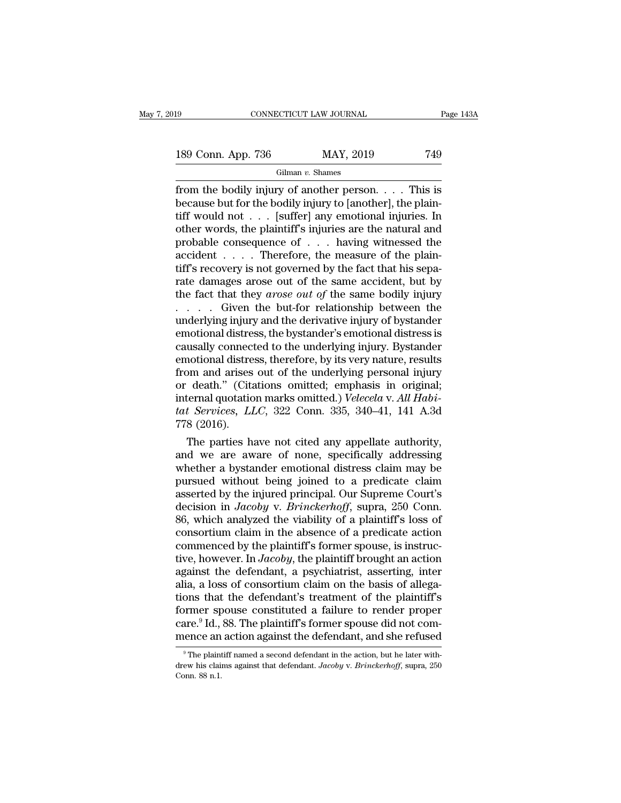189 CONNECTICUT LAW JOURNAL Page 143A<br>189 Conn. App. 736 MAY, 2019 749<br>Gilman v. Shames

Gilman *v.* Shames

Fage 143A<br>
from the bodily injury of another person. . . . This is<br>
because but for the bodily injury to [another], the plain-<br>
tiff would not another person of the plain-189 Conn. App. 736 MAY, 2019 749<br>
Gilman v. Shames<br>
from the bodily injury of another person. . . . This is<br>
because but for the bodily injury to [another], the plain-<br>
tiff would not . . . [suffer] any emotional injuries 189 Conn. App. 736 MAY, 2019 749<br>
Gilman v. Shames<br>
from the bodily injury of another person. . . . This is<br>
because but for the bodily injury to [another], the plain-<br>
tiff would not . . . [suffer] any emotional injuries 189 Conn. App. 736 MAY, 2019 749<br>
Gilman v. Shames<br>
from the bodily injury of another person. . . . This is<br>
because but for the bodily injury to [another], the plain-<br>
tiff would not . . . [suffer] any emotional injuries For extra experimentation of  $\frac{1}{2}$   $\frac{1}{2}$   $\frac{1}{2}$   $\frac{1}{2}$   $\frac{1}{2}$   $\frac{1}{2}$   $\frac{1}{2}$   $\frac{1}{2}$  from the bodily injury of another person. . . . This is because but for the bodily injury to [another], the plai Gilman v. Shames<br>from the bodily injury of another person. . . . This is<br>because but for the bodily injury to [another], the plain-<br>tiff would not . . . [suffer] any emotional injuries. In<br>other words, the plaintiff's inj from the bodily injury of another person. . . . This is<br>because but for the bodily injury to [another], the plain-<br>tiff would not . . . [suffer] any emotional injuries. In<br>other words, the plaintiff's injuries are the nat because but for the bodily injury to [another], the plaintiff would not . . . [suffer] any emotional injuries. In other words, the plaintiff's injuries are the natural and probable consequence of . . . having witnessed th tiff would not . . . [suffer] any emotional injuries. In<br>other words, the plaintiff's injuries are the natural and<br>probable consequence of . . . having witnessed the<br>accident . . . . Therefore, the measure of the plain-<br>t other words, the plaintiff's injuries are the natural and<br>probable consequence of  $\ldots$  having witnessed the<br>accident  $\ldots$ . Therefore, the measure of the plain-<br>tiff's recovery is not governed by the fact that his sepa-<br> probable consequence of  $\dots$  having witnessed the accident  $\dots$ . Therefore, the measure of the plain-<br>tiff's recovery is not governed by the fact that his separate damages arose out of the same accident, but by<br>the fact t accident . . . . . Therefore, the measure of the plain-<br>tiff's recovery is not governed by the fact that his sepa-<br>rate damages arose out of the same accident, but by<br>the fact that they *arose out of* the same bodily inju tiff's recovery is not governed by the fact that his separate damages arose out of the same accident, but by the fact that they *arose out of* the same bodily injury  $\ldots$ . Given the but-for relationship between the under rate damages arose out of the same accident, but by<br>the fact that they *arose out of* the same bodily injury<br> $\ldots$  . Given the but-for relationship between the<br>underlying injury and the derivative injury of bystander<br>emot the fact that they *arose out of* the same bodily injury<br>
. . . . . Given the but-for relationship between the<br>
underlying injury and the derivative injury of bystander<br>
emotional distress, the bystander's emotional distr .... Given the but-for relationship between the<br>
underlying injury and the derivative injury of bystander<br>
emotional distress, the bystander's emotional distress is<br>
causally connected to the underlying injury. Bystander<br> underlying injury and the derivative injury of bystander<br>emotional distress, the bystander's emotional distress is<br>causally connected to the underlying injury. Bystander<br>emotional distress, therefore, by its very nature, r emotional distress, the bystander's emotional distress is<br>causally connected to the underlying injury. Bystander<br>emotional distress, therefore, by its very nature, results<br>from and arises out of the underlying personal inj causally connect<br>emotional distre<br>from and arises<br>or death." (Cita<br>internal quotation<br>tat Services, Ll<br>778 (2016).<br>The parties h notional distress, therefore, by its very nature, results<br>om and arises out of the underlying personal injury<br>death." (Citations omitted; emphasis in original;<br>termal quotation marks omitted.) *Velecela* v. All Habi-<br>t Ser From and arises out of the underlying personal injury<br>or death." (Citations omitted; emphasis in original;<br>internal quotation marks omitted.) *Velecela v. All Habi-<br>tat Services, LLC*, 322 Conn. 335, 340–41, 141 A.3d<br>778 (

or death." (Citations omitted; emphasis in original;<br>internal quotation marks omitted.) *Velecela* v. All Habi-<br>tat Services, LLC, 322 Conn. 335, 340–41, 141 A.3d<br>778 (2016).<br>The parties have not cited any appellate author internal quotation marks omitted.) *Velecela v. All Hab-*<br>tat *Services*, *LLC*, 322 Conn. 335, 340–41, 141 A.3d<br>778 (2016).<br>The parties have not cited any appellate authority,<br>and we are aware of none, specifically addres tat Services, LLC, 322 Conn. 335, 340–41, 141 A.3d<br>778 (2016).<br>The parties have not cited any appellate authority,<br>and we are aware of none, specifically addressing<br>whether a bystander emotional distress claim may be<br>pursu T/8 (2016).<br>The parties have not cited any appellate authority,<br>and we are aware of none, specifically addressing<br>whether a bystander emotional distress claim may be<br>pursued without being joined to a predicate claim<br>assert The parties have not cited any appellate authority,<br>and we are aware of none, specifically addressing<br>whether a bystander emotional distress claim may be<br>pursued without being joined to a predicate claim<br>asserted by the in and we are aware of none, specifically addressing<br>whether a bystander emotional distress claim may be<br>pursued without being joined to a predicate claim<br>asserted by the injured principal. Our Supreme Court's<br>decision in *Ja* whether a bystander emotional distress claim may be<br>pursued without being joined to a predicate claim<br>asserted by the injured principal. Our Supreme Court's<br>decision in *Jacoby* v. *Brinckerhoff*, supra, 250 Conn.<br>86, whi pursued without being joined to a predicate claim<br>asserted by the injured principal. Our Supreme Court's<br>decision in *Jacoby* v. *Brinckerhoff*, supra, 250 Conn.<br>86, which analyzed the viability of a plaintiff's loss of<br>co asserted by the injured principal. Our Supreme Court's<br>decision in *Jacoby* v. *Brinckerhoff*, supra, 250 Conn.<br>86, which analyzed the viability of a plaintiff's loss of<br>consortium claim in the absence of a predicate actio decision in *Jacoby* v. *Brinckerhoff*, supra, 250 Conn.<br>86, which analyzed the viability of a plaintiff's loss of<br>consortium claim in the absence of a predicate action<br>commenced by the plaintiff's former spouse, is instru 86, which analyzed the viability of a plaintiff's loss of<br>consortium claim in the absence of a predicate action<br>commenced by the plaintiff's former spouse, is instruc-<br>tive, however. In *Jacoby*, the plaintiff brought an consortium claim in the absence of a predicate action<br>commenced by the plaintiff's former spouse, is instruc-<br>tive, however. In *Jacoby*, the plaintiff brought an action<br>against the defendant, a psychiatrist, asserting, i commenced by the plaintiff's former spouse, is instructive, however. In *Jacoby*, the plaintiff brought an action against the defendant, a psychiatrist, asserting, inter alia, a loss of consortium claim on the basis of al tive, however. In *Jacoby*, the plaintiff brought an action against the defendant, a psychiatrist, asserting, inter alia, a loss of consortium claim on the basis of allegations that the defendant's treatment of the plainti ons that the defendant's treatment of the plaintiff's ormer spouse constituted a failure to render proper are.<sup>9</sup> Id., 88. The plaintiff's former spouse did not comence an action against the defendant, and she refused  $\degree$ former spouse constituted a failure to render proper care.<sup>9</sup> Id., 88. The plaintiff's former spouse did not commence an action against the defendant, and she refused <sup>9</sup> The plaintiff named a second defendant in the actio care.<sup>9</sup> Id.,<br>mence an<br><sup>9</sup> The plaint<br>drew his clain<br>Conn. 88 n.1.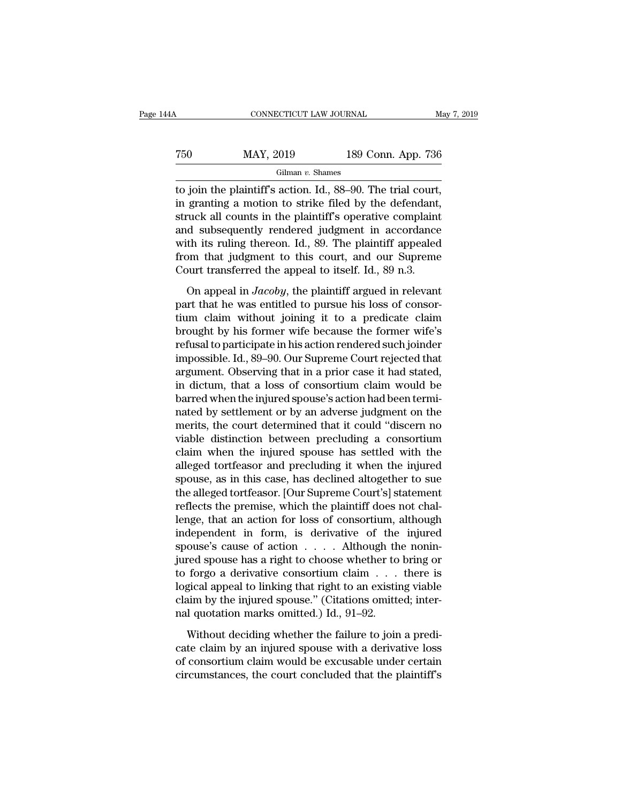# CONNECTICUT LAW JOURNAL May 7, 2019<br>
T50 MAY, 2019 189 Conn. App. 736<br>
Gilman v. Shames

Gilman *v.* Shames

TREE THE CONNECTICUT LAW JOURNAL May 7, 2<br>
TREE THE PLANT OF THE PLANT CONNECTICUT LAW JOURNAL<br>
Gilman v. Shames<br>
The plaintiff's action. Id., 88–90. The trial court,<br>
in granting a motion to strike filed by the defendant  $\begin{array}{r} \text{750} & \text{MAX, } 2019 & \text{189 Conn. App. 736} \\ \text{Gilman } v. \text{ Shames} \\ \text{16.} & \text{16.} & \text{16.} & \text{16.} \\ \text{17.} & \text{18.} & \text{17.} \\ \text{18.} & \text{18.} & \text{18.} \\ \text{19.} & \text{19.} & \text{19.} \\ \text{10.} & \text{19.} & \text{19.} \\ \text{11.} & \text{10.} & \text{10.} \\ \text{12.} & \$ T50 MAY, 2019 189 Conn. App. 736<br>
Gilman v. Shames<br>
to join the plaintiff's action. Id., 88–90. The trial court,<br>
in granting a motion to strike filed by the defendant,<br>
struck all counts in the plaintiff's operative comp T50 MAY, 2019 189 Conn. App. 736<br>
Gilman v. Shames<br>
to join the plaintiff's action. Id., 88–90. The trial court,<br>
in granting a motion to strike filed by the defendant,<br>
struck all counts in the plaintiff's operative comp Gilman v. Shames<br>to join the plaintiff's action. Id., 88–90. The trial court,<br>in granting a motion to strike filed by the defendant,<br>struck all counts in the plaintiff's operative complaint<br>and subsequently rendered judgm From the plaintiff's action. Id., 88–90. The trial court,<br>in granting a motion to strike filed by the defendant,<br>struck all counts in the plaintiff's operative complaint<br>and subsequently rendered judgment in accordance<br>wi to join the plaintiff's action. Id., 88–90. The trial court,<br>in granting a motion to strike filed by the defendant,<br>struck all counts in the plaintiff's operative complaint<br>and subsequently rendered judgment in accordance d subsequently rendered judgment in accordance<br>th its ruling thereon. Id., 89. The plaintiff appealed<br>om that judgment to this court, and our Supreme<br>ourt transferred the appeal to itself. Id., 89 n.3.<br>On appeal in *Jacoby* and subsequently rendered judgment in accordance<br>with its ruling thereon. Id., 89. The plaintiff appealed<br>from that judgment to this court, and our Supreme<br>Court transferred the appeal to itself. Id., 89 n.3.<br>On appeal in

with its ruling thereon. Id., 89. The plaintiff appealed<br>from that judgment to this court, and our Supreme<br>Court transferred the appeal to itself. Id., 89 n.3.<br>On appeal in *Jacoby*, the plaintiff argued in relevant<br>part from that judgment to this court, and our Supreme<br>Court transferred the appeal to itself. Id., 89 n.3.<br>On appeal in *Jacoby*, the plaintiff argued in relevant<br>part that he was entitled to pursue his loss of consor-<br>tium c From the syngen of the transferred in the star of the set of the court transferred the appeal to itself. Id., 89 n.3.<br>On appeal in *Jacoby*, the plaintiff argued in relevant part that he was entitled to pursue his loss of On appeal in *Jacoby*, the plaintiff argued in relevant<br>part that he was entitled to pursue his loss of consor-<br>tium claim without joining it to a predicate claim<br>brought by his former wife because the former wife's<br>refus On appeal in *Jacoby*, the plaintiff argued in relevant<br>part that he was entitled to pursue his loss of consor-<br>tium claim without joining it to a predicate claim<br>brought by his former wife because the former wife's<br>refusa part that he was entitled to pursue his loss of consortium claim without joining it to a predicate claim<br>brought by his former wife because the former wife's<br>refusal to participate in his action rendered such joinder<br>impos tium claim without joining it to a predicate claim<br>brought by his former wife because the former wife's<br>refusal to participate in his action rendered such joinder<br>impossible. Id., 89–90. Our Supreme Court rejected that<br>arg brought by his former wife because the former wife's<br>refusal to participate in his action rendered such joinder<br>impossible. Id., 89–90. Our Supreme Court rejected that<br>argument. Observing that in a prior case it had stated refusal to participate in his action rendered such joinder<br>impossible. Id., 89–90. Our Supreme Court rejected that<br>argument. Observing that in a prior case it had stated,<br>in dictum, that a loss of consortium claim would be impossible. Id., 89–90. Our Supreme Court rejected that<br>argument. Observing that in a prior case it had stated,<br>in dictum, that a loss of consortium claim would be<br>barred when the injured spouse's action had been termi-<br>na argument. Observing that in a prior case it had stated,<br>in dictum, that a loss of consortium claim would be<br>barred when the injured spouse's action had been termi-<br>nated by settlement or by an adverse judgment on the<br>merit in dictum, that a loss of consortium claim would be<br>barred when the injured spouse's action had been termi-<br>nated by settlement or by an adverse judgment on the<br>merits, the court determined that it could "discern no<br>viable barred when the injured spouse's action had been termi-<br>nated by settlement or by an adverse judgment on the<br>merits, the court determined that it could "discern no<br>viable distinction between precluding a consortium<br>claim w nated by settlement or by an adverse judgment on the<br>merits, the court determined that it could "discern no<br>viable distinction between precluding a consortium<br>claim when the injured spouse has settled with the<br>alleged tort merits, the court determined that it could "discern no<br>viable distinction between precluding a consortium<br>claim when the injured spouse has settled with the<br>alleged tortfeasor and precluding it when the injured<br>spouse, as viable distinction between precluding a consortium<br>claim when the injured spouse has settled with the<br>alleged tortfeasor and precluding it when the injured<br>spouse, as in this case, has declined altogether to sue<br>the allege claim when the injured spouse has settled with the<br>alleged tortfeasor and precluding it when the injured<br>spouse, as in this case, has declined altogether to sue<br>the alleged tortfeasor. [Our Supreme Court's] statement<br>refle alleged tortfeasor and precluding it when the injured<br>spouse, as in this case, has declined altogether to sue<br>the alleged tortfeasor. [Our Supreme Court's] statement<br>reflects the premise, which the plaintiff does not chalspouse, as in this case, has declined altogether to sue<br>the alleged tortfeasor. [Our Supreme Court's] statement<br>reflects the premise, which the plaintiff does not chal-<br>lenge, that an action for loss of consortium, althoug the alleged tortfeasor. [Our Supreme Court's] statement<br>reflects the premise, which the plaintiff does not chal-<br>lenge, that an action for loss of consortium, although<br>independent in form, is derivative of the injured<br>spou reflects the premise, which the plaintiff does not chal-<br>lenge, that an action for loss of consortium, although<br>independent in form, is derivative of the injured<br>spouse's cause of action  $\dots$  . Although the nonin-<br>jured s lenge, that an action for loss of consortium, although<br>independent in form, is derivative of the injured<br>spouse's cause of action  $\dots$ . Although the nonin-<br>jured spouse has a right to choose whether to bring or<br>to forgo a independent in form, is derivative of the spouse's cause of action  $\dots$  Although th jured spouse has a right to choose whether to to forgo a derivative consortium claim  $\dots$  logical appeal to linking that right to an exis red spouse has a right to choose whether to bring or<br>forgo a derivative consortium claim  $\dots$  there is<br>gical appeal to linking that right to an existing viable<br>aim by the injured spouse." (Citations omitted; inter-<br>l quot to forgo a derivative consortium claim  $\ldots$  there is<br>logical appeal to linking that right to an existing viable<br>claim by the injured spouse." (Citations omitted; inter-<br>nal quotation marks omitted.) Id., 91–92.<br>Without d

logical appeal to linking that right to an existing viable<br>claim by the injured spouse." (Citations omitted; inter-<br>nal quotation marks omitted.) Id., 91–92.<br>Without deciding whether the failure to join a predi-<br>cate claim claim by the injured spouse." (Citations omitted; inter-<br>nal quotation marks omitted.) Id., 91–92.<br>Without deciding whether the failure to join a predi-<br>cate claim by an injured spouse with a derivative loss<br>of consortium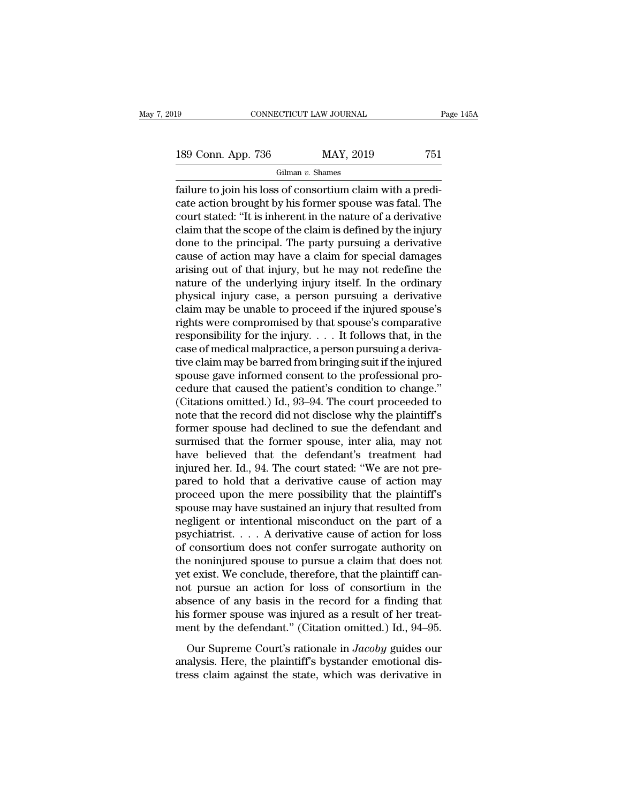189 CONNECTICUT LAW JOURNAL Page 145A<br>
189 Conn. App. 736 MAY, 2019 751<br>
Gilman v. Shames

Gilman *v.* Shames

May 7, 2019 CONNECTICUT LAW JOURNAL Page 145A<br>
189 Conn. App. 736 MAY, 2019 751<br>
Gilman v. Shames<br>
failure to join his loss of consortium claim with a predi-<br>
cate action brought by his former spouse was fatal. The<br>
court 189 Conn. App. 736 MAY, 2019 751<br>
Gilman v. Shames<br>
failure to join his loss of consortium claim with a predicate action brought by his former spouse was fatal. The<br>
court stated: "It is inherent in the nature of a deriva 189 Conn. App. 736 MAY, 2019 751<br>
Gilman v. Shames<br>
failure to join his loss of consortium claim with a predi-<br>
cate action brought by his former spouse was fatal. The<br>
court stated: "It is inherent in the nature of a der 189 Conn. App. 736 MAY, 2019 751<br>
Gilman v. Shames<br>
failure to join his loss of consortium claim with a predi-<br>
cate action brought by his former spouse was fatal. The<br>
court stated: "It is inherent in the nature of a der Gilman v. Shames<br>
dilman v. Shames<br>
dilman v. Shames<br>
dilman v. Shames<br>
cate action brought by his former spouse was fatal. The<br>
court stated: "It is inherent in the nature of a derivative<br>
claim that the scope of the cla Gilman v. Shames<br>
failure to join his loss of consortium claim with a predi-<br>
cate action brought by his former spouse was fatal. The<br>
court stated: "It is inherent in the nature of a derivative<br>
claim that the scope of t failure to join his loss of consortium claim with a predicate action brought by his former spouse was fatal. The court stated: "It is inherent in the nature of a derivative claim that the scope of the claim is defined by t cate action brought by his former spouse was fatal. The<br>court stated: "It is inherent in the nature of a derivative<br>claim that the scope of the claim is defined by the injury<br>done to the principal. The party pursuing a der court stated: "It is inherent in the nature of a derivative<br>claim that the scope of the claim is defined by the injury<br>done to the principal. The party pursuing a derivative<br>cause of action may have a claim for special dam claim that the scope of the claim is defined by the injury<br>done to the principal. The party pursuing a derivative<br>cause of action may have a claim for special damages<br>arising out of that injury, but he may not redefine the done to the principal. The party pursuing a derivative<br>cause of action may have a claim for special damages<br>arising out of that injury, but he may not redefine the<br>nature of the underlying injury itself. In the ordinary<br>p cause of action may have a claim for special damages<br>arising out of that injury, but he may not redefine the<br>nature of the underlying injury itself. In the ordinary<br>physical injury case, a person pursuing a derivative<br>cla arising out of that injury, but he may not redefine the<br>nature of the underlying injury itself. In the ordinary<br>physical injury case, a person pursuing a derivative<br>claim may be unable to proceed if the injured spouse's<br>r nature of the underlying injury itself. In the ordinary<br>physical injury case, a person pursuing a derivative<br>claim may be unable to proceed if the injured spouse's<br>rights were compromised by that spouse's comparative<br>resp physical injury case, a person pursuing a derivative<br>claim may be unable to proceed if the injured spouse's<br>rights were compromised by that spouse's comparative<br>responsibility for the injury.... It follows that, in the<br>ca claim may be unable to proceed if the injured spouse's<br>rights were compromised by that spouse's comparative<br>responsibility for the injury. . . . It follows that, in the<br>case of medical malpractice, a person pursuing a der rights were compromised by that spouse's comparative<br>responsibility for the injury.  $\dots$  It follows that, in the<br>case of medical malpractice, a person pursuing a deriva-<br>tive claim may be barred from bringing suit if the responsibility for the injury. . . . It follows that, in the case of medical malpractice, a person pursuing a derivative claim may be barred from bringing suit if the injured spouse gave informed consent to the profession case of medical malpractice, a person pursuing a derivative claim may be barred from bringing suit if the injured<br>spouse gave informed consent to the professional pro-<br>cedure that caused the patient's condition to change." tive claim may be barred from bringing suit if the injured<br>spouse gave informed consent to the professional pro-<br>cedure that caused the patient's condition to change."<br>(Citations omitted.) Id., 93–94. The court proceeded t spouse gave informed consent to the professional procedure that caused the patient's condition to change."<br>(Citations omitted.) Id., 93–94. The court proceeded to<br>note that the record did not disclose why the plaintiff's<br>f cedure that caused the patient's condition to change."<br>(Citations omitted.) Id., 93–94. The court proceeded to<br>note that the record did not disclose why the plaintiff's<br>former spouse had declined to sue the defendant and<br>s (Citations omitted.) Id., 93–94. The court proceeded to<br>note that the record did not disclose why the plaintiff's<br>former spouse had declined to sue the defendant and<br>surmised that the former spouse, inter alia, may not<br>hav note that the record did not disclose why the plaintiff's<br>former spouse had declined to sue the defendant and<br>surmised that the former spouse, inter alia, may not<br>have believed that the defendant's treatment had<br>injured he former spouse had declined to sue the defendant and<br>surmised that the former spouse, inter alia, may not<br>have believed that the defendant's treatment had<br>injured her. Id., 94. The court stated: "We are not pre-<br>pared to h surmised that the former spouse, inter alia, may not<br>have believed that the defendant's treatment had<br>injured her. Id., 94. The court stated: "We are not pre-<br>pared to hold that a derivative cause of action may<br>proceed upo have believed that the defendant's treatment had<br>injured her. Id., 94. The court stated: "We are not pre-<br>pared to hold that a derivative cause of action may<br>proceed upon the mere possibility that the plaintiff's<br>spouse ma injured her. Id., 94. The court stated: "We are not pre-<br>pared to hold that a derivative cause of action may<br>proceed upon the mere possibility that the plaintiff's<br>spouse may have sustained an injury that resulted from<br>neg pared to hold that a derivative cause of action may<br>proceed upon the mere possibility that the plaintiff's<br>spouse may have sustained an injury that resulted from<br>negligent or intentional misconduct on the part of a<br>psychia proceed upon the mere possibility that the plaintiff's<br>spouse may have sustained an injury that resulted from<br>negligent or intentional misconduct on the part of a<br>psychiatrist.  $\ldots$  A derivative cause of action for loss<br> spouse may have sustained an injury that resulted from<br>negligent or intentional misconduct on the part of a<br>psychiatrist.... A derivative cause of action for loss<br>of consortium does not confer surrogate authority on<br>the n negligent or intentional misconduct on the part of a<br>psychiatrist.... A derivative cause of action for loss<br>of consortium does not confer surrogate authority on<br>the noninjured spouse to pursue a claim that does not<br>yet ex psychiatrist.... A derivative cause of action for loss<br>of consortium does not confer surrogate authority on<br>the noninjured spouse to pursue a claim that does not<br>yet exist. We conclude, therefore, that the plaintiff can-<br> of consortium does not confer surrogate authority on<br>the noninjured spouse to pursue a claim that does not<br>yet exist. We conclude, therefore, that the plaintiff can-<br>not pursue an action for loss of consortium in the<br>abse of exist. We conclude, therefore, that the plaintiff can-<br>t exist. We conclude, therefore, that the plaintiff can-<br>t pursue an action for loss of consortium in the<br>sence of any basis in the record for a finding that<br>s form and pursue an action for loss of consortium in the absence of any basis in the record for a finding that his former spouse was injured as a result of her treatment by the defendant." (Citation omitted.) Id., 94–95. Our Sup the paradical divident for the state of order a finding that<br>his former spouse was injured as a result of her treat-<br>ment by the defendant." (Citation omitted.) Id., 94–95.<br>Our Supreme Court's rationale in *Jacoby* guides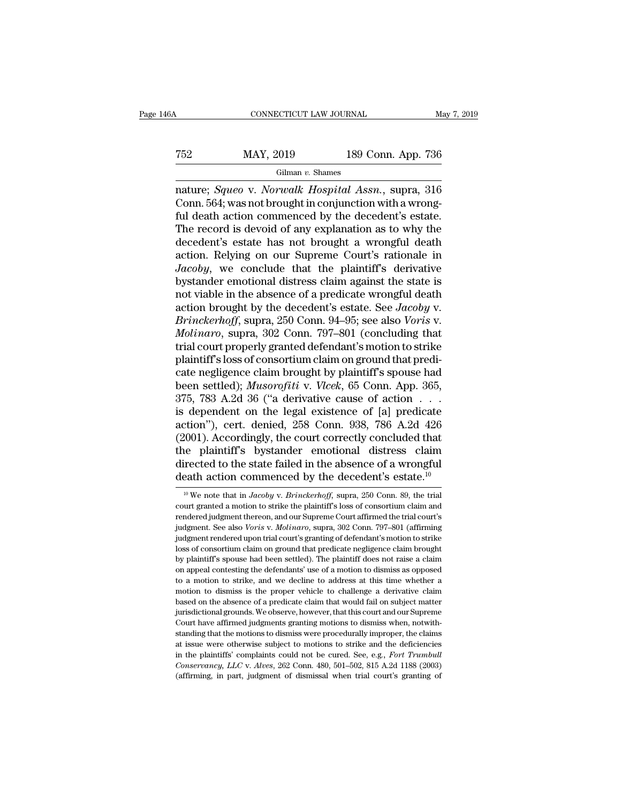#### CONNECTICUT LAW JOURNAL May 7, 2019<br>
T52 MAY, 2019 189 Conn. App. 736<br>
Gilman v. Shames Gilman *v.* Shames

CONNECTICUT LAW JOURNAL<br>
T52 MAY, 2019 189 Conn. App. 736<br>
Gilman v. Shames<br>
nature; *Squeo* v. *Norwalk Hospital Assn.*, supra, 316<br>
Conn. 564; was not brought in conjunction with a wrong-<br>
ful doath action commonood by t T52 MAY, 2019 189 Conn. App. 736<br>
Gilman v. Shames<br>
nature; *Squeo* v. *Norwalk Hospital Assn.*, supra, 316<br>
Conn. 564; was not brought in conjunction with a wrong-<br>
ful death action commenced by the decedent's estate.<br>
Th For the decedent's estate has not brought a wrongful death<br>decodent's estate by the decedent's estate.<br>The record is devoid of any explanation as to why the decedent's estate. The record is devoted in the record is devoted as the record is devoid of any explanation as to why the decedent's estate.<br>The record is devoid of any explanation as to why the decedent's estate.<br>The record is devoid of a Gilman v. Shames<br>
The Column v. Shames<br>
The Column v. Shames<br>
Conn. 564; was not brought in conjunction with a wrong-<br>
ful death action commenced by the decedent's estate.<br>
The record is devoid of any explanation as to wh Gilman v. Shames<br>
mature; *Squeo* v. *Norwalk Hospital Assn.*, supra, 316<br>
Conn. 564; was not brought in conjunction with a wrong-<br>
ful death action commenced by the decedent's estate.<br>
The record is devoid of any explana nature; *Squeo* v. *Norwalk Hospital Assn.*, supra, 316<br>Conn. 564; was not brought in conjunction with a wrong-<br>ful death action commenced by the decedent's estate.<br>The record is devoid of any explanation as to why the<br>dec Conn. 564; was not brought in conjunction with a wrong-<br>ful death action commenced by the decedent's estate.<br>The record is devoid of any explanation as to why the<br>decedent's estate has not brought a wrongful death<br>action. ful death action commenced by the decedent's estate.<br>The record is devoid of any explanation as to why the<br>decedent's estate has not brought a wrongful death<br>action. Relying on our Supreme Court's rationale in<br> $Jacoby$ , we co The record is devoid of any explanation as to why the<br>decedent's estate has not brought a wrongful death<br>action. Relying on our Supreme Court's rationale in<br>*Jacoby*, we conclude that the plaintiff's derivative<br>bystander e decedent's estate has not brought a wrongful death<br>action. Relying on our Supreme Court's rationale in<br>*Jacoby*, we conclude that the plaintiff's derivative<br>bystander emotional distress claim against the state is<br>not viabl action. Relying on our Supreme Court's rationale in *Jacoby*, we conclude that the plaintiff's derivative bystander emotional distress claim against the state is not viable in the absence of a predicate wrongful death acti Jacoby, we conclude that the plaintiff's derivative<br>bystander emotional distress claim against the state is<br>not viable in the absence of a predicate wrongful death<br>action brought by the decedent's estate. See Jacoby v.<br>Bri bystander emotional distress claim against the state is<br>not viable in the absence of a predicate wrongful death<br>action brought by the decedent's estate. See *Jacoby* v.<br>*Brinckerhoff*, supra, 250 Conn. 94–95; see also *Vor* not viable in the absence of a predicate wrongful death<br>action brought by the decedent's estate. See *Jacoby* v.<br>*Brinckerhoff*, supra, 250 Conn. 94–95; see also *Voris* v.<br>*Molinaro*, supra, 302 Conn. 797–801 (concluding action brought by the decedent's estate. See *Jacoby* v.<br> *Brinckerhoff*, supra, 250 Conn. 94–95; see also *Voris* v.<br> *Molinaro*, supra, 302 Conn. 797–801 (concluding that<br>
trial court properly granted defendant's motion *Brinckerhoff,* supra, 250 Conn. 94–95; see also *Voris* v.<br> *Molinaro*, supra, 302 Conn. 797–801 (concluding that<br>
trial court properly granted defendant's motion to strike<br>
plaintiff's loss of consortium claim on ground *Molinaro*, supra, 302 Conn. 797–801 (concluding that<br>trial court properly granted defendant's motion to strike<br>plaintiff's loss of consortium claim on ground that predi-<br>cate negligence claim brought by plaintiff's spouse trial court properly granted defendant's motion to strike<br>plaintiff's loss of consortium claim on ground that predi-<br>cate negligence claim brought by plaintiff's spouse had<br>been settled); *Musorofiti* v. *Vlcek*, 65 Conn. plaintiff's loss of consortium claim on ground that predicate negligence claim brought by plaintiff's spouse had<br>been settled); *Musorofitiv*. *Vlcek*, 65 Conn. App. 365,<br>375, 783 A.2d 36 ("a derivative cause of action . . cate negligence claim brought by plaintiff's spouse had<br>been settled); *Musorofiti* v. *Vlcek*, 65 Conn. App. 365,<br>375, 783 A.2d 36 ("a derivative cause of action . . . .<br>is dependent on the legal existence of [a] predica been settled); *Musorofiti* v. *Vlcek*, 65 Conn. App. 365, 375, 783 A.2d 36 ("a derivative cause of action  $\ldots$  is dependent on the legal existence of [a] predicate action"), cert. denied, 258 Conn. 938, 786 A.2d 426 (20 375, 783 A.2d 36 ("a derivative cause of action  $\dots$  is dependent on the legal existence of [a] predicate action"), cert. denied, 258 Conn. 938, 786 A.2d 426 (2001). Accordingly, the court correctly concluded that the pla 2001). Accordingly, the court correctly concluded that<br>ie plaintiff's bystander emotional distress claim<br>irrected to the state failed in the absence of a wrongful<br>eath action commenced by the decedent's estate.<sup>10</sup><br><sup>10</sup> We the plaintiff's bystander emotional distress claim<br>directed to the state failed in the absence of a wrongful<br>death action commenced by the decedent's estate.<sup>10</sup><br><sup>10</sup> We note that in *Jacoby* v. *Brinckerhoff*, supra, 250

directed to the state failed in the absence of a wrongful<br>death action commenced by the decedent's estate.<sup>10</sup><br> $\frac{10}{10}$  We note that in *Jacoby* v. *Brinckerhoff*, supra, 250 Conn. 89, the trial<br>court granted a motion death action commenced by the decedent's estate.<sup>10</sup><br><sup>10</sup> We note that in *Jacoby v. Brinckerhoff*, supra, 250 Conn. 89, the trial<br>court granted a motion to strike the plaintiff's loss of consortium claim and<br>rendered judg We note that in *Jacoby* v. *Brinckerhoff*, supra, 250 Conn. 89, the trial court granted a motion to strike the plaintiff's loss of consortium claim and rendered judgment thereon, and our Supreme Court affirmed the trial <sup>10</sup> We note that in *Jacoby* v. *Brinckerhoff*, supra, 250 Conn. 89, the trial court granted a motion to strike the plaintiff's loss of consortium claim and rendered judgment thereon, and our Supreme Court affirmed the t court granted a motion to strike the plaintiff's loss of consortium claim and<br>rendered judgment thereon, and our Supreme Court affirmed the trial court's<br>judgment. See also *Voris v. Molinaro*, supra, 302 Conn. 797–801 (af rendered judgment thereon, and our Supreme Court affirmed the trial court's judgment. See also *Voris v. Molinaro*, supra, 302 Conn. 797–801 (affirming judgment rendered upon trial court's granting of defendant's motion to independent. See also *Voris* v. *Molinaro*, supra, 302 Conn. 797–801 (affirming judgment rendered upon trial court's granting of defendant's motion to strike loss of consortium claim on ground that predicate negligence cl judgment rendered upon trial court's granting of defendant's motion to strike<br>loss of consortium claim on ground that predicate negligence claim brought<br>by plaintiff's spouse had been settled). The plaintiff does not raise based on the absence of a predicate claim on appear of absorption of absorption of appear of consortium claim on appear contesting the defendants' use of a motion to dismiss as opposed to a motion to strike, and we decline by plaintiff's spouse had been settled). The plaintiff does not raise a claim<br>on appeal contesting the defendants' use of a motion to dismiss as opposed<br>to a motion to strike, and we decline to address at this time whether Experimentally the defendants' use of a motion to dismiss as opposed on appeal contesting the defendants' use of a motion to dismiss as opposed to a motion to dismiss is the proper vehicle to challenge a derivative claim to a motion to strike, and we decline to address at this time whether a motion to dismiss is the proper vehicle to challenge a derivative claim based on the absence of a predicate claim that would fail on subject matter j motion to dismiss is the proper vehicle to challenge a derivative claim<br>based on the absence of a predicate claim that would fail on subject matter<br>jurisdictional grounds. We observe, however, that this court and our Supr based on the absence of a predicate claim that would fail on subject matter jurisdictional grounds. We observe, however, that this court and our Supreme Court have affirmed judgments granting motions to dismiss when, notwi jurisdictional grounds. We observe, however, that this court and our Supreme Court have affirmed judgments granting motions to dismiss when, notwith-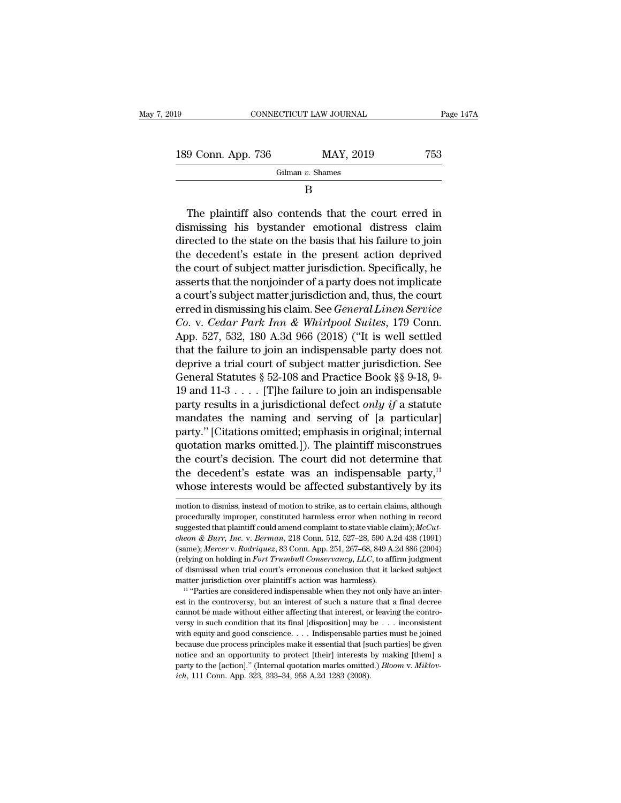| 19                 | CONNECTICUT LAW JOURNAL | Page 147A |
|--------------------|-------------------------|-----------|
| 189 Conn. App. 736 | MAY, 2019               | 753       |
|                    | Gilman $v$ . Shames     |           |

B

9 Conn. App. 736 MAY, 2019 753<br>
Gilman v. Shames<br>
B<br>
The plaintiff also contends that the court erred in<br>
smissing his bystander emotional distress claim 189 Conn. App. 736 MAY, 2019 753<br>
Gilman v. Shames<br>
B<br>
The plaintiff also contends that the court erred in<br>
dismissing his bystander emotional distress claim<br>
directed to the state on the basis that his failure to join<br>
t  $\begin{array}{c|c}\n\hline\n\text{Gilman } v. \text{ Shames}\n\hline\n\text{Gilman } v. \text{ Shames}\n\hline\n\end{array}$ <br>
The plaintiff also contends that the court erred in dismissing his bystander emotional distress claim directed to the state on the basis that his failure to j Gilman  $v$ . Shames<br>  $B$ <br>
The plaintiff also contends that the court erred in<br>
dismissing his bystander emotional distress claim<br>
directed to the state on the basis that his failure to join<br>
the decedent's estate in the pr B<br>The plaintiff also contends that the court erred in<br>dismissing his bystander emotional distress claim<br>directed to the state on the basis that his failure to join<br>the decedent's estate in the present action deprived<br>the c The plaintiff also contends that the court erred in<br>dismissing his bystander emotional distress claim<br>directed to the state on the basis that his failure to join<br>the decedent's estate in the present action deprived<br>the cou The plaintiff also contends that the court erred in dismissing his bystander emotional distress claim directed to the state on the basis that his failure to join the decedent's estate in the present action deprived the co dismissing his bystander emotional distress claim.<br>directed to the state on the basis that his failure to join<br>the decedent's estate in the present action deprived<br>the court of subject matter jurisdiction. Specifically, he directed to the state on the basis that his failure to join<br>the decedent's estate in the present action deprived<br>the court of subject matter jurisdiction. Specifically, he<br>asserts that the nonjoinder of a party does not im the decedent's estate in the present action deprived<br>the court of subject matter jurisdiction. Specifically, he<br>asserts that the nonjoinder of a party does not implicate<br>a court's subject matter jurisdiction and, thus, the the court of subject matter jurisdiction. Specifically, he<br>asserts that the nonjoinder of a party does not implicate<br>a court's subject matter jurisdiction and, thus, the court<br>erred in dismissing his claim. See *General L* asserts that the nonjoinder of a party does not implicate<br>a court's subject matter jurisdiction and, thus, the court<br>erred in dismissing his claim. See *General Linen Service*<br>*Co.* v. *Cedar Park Inn & Whirlpool Suites*, a court's subject matter jurisdiction and, thus, the court<br>erred in dismissing his claim. See *General Linen Service*<br>Co. v. Cedar Park Inn & Whirlpool Suites, 179 Conn.<br>App. 527, 532, 180 A.3d 966 (2018) ("It is well set erred in dismissing his claim. See *General Linen Service*<br> *Co.* v. *Cedar Park Inn & Whirlpool Suites*, 179 Conn.<br>
App. 527, 532, 180 A.3d 966 (2018) ("It is well settled<br>
that the failure to join an indispensable party Co. v. Cedar Park Inn & Whirlpool Suites, 179 Conn.<br>App. 527, 532, 180 A.3d 966 (2018) ("It is well settled<br>that the failure to join an indispensable party does not<br>deprive a trial court of subject matter jurisdiction. Se App. 527, 532, 180 A.3d 966 (2018) ("It is well settled<br>that the failure to join an indispensable party does not<br>deprive a trial court of subject matter jurisdiction. See<br>General Statutes § 52-108 and Practice Book §§ 9-1 that the failure to join an indispensable party does not<br>deprive a trial court of subject matter jurisdiction. See<br>General Statutes § 52-108 and Practice Book §§ 9-18, 9-<br>19 and 11-3 . . . . . [T]he failure to join an ind deprive a trial court of subject matter jurisdiction. See<br>General Statutes § 52-108 and Practice Book §§ 9-18, 9-<br>19 and 11-3 . . . . [T]he failure to join an indispensable<br>party results in a jurisdictional defect *only i* General Statutes § 52-108 and Practice Book §§ 9-18, 9-19 and 11-3 . . . . [T]he failure to join an indispensable party results in a jurisdictional defect *only if* a statute mandates the naming and serving of [a particul 19 and 11-3 . . . . [T]he failure to join an indispensable<br>party results in a jurisdictional defect *only if* a statute<br>mandates the naming and serving of [a particular]<br>party." [Citations omitted, emphasis in original; i party results in a jurisdictional defect *only if* a statute<br>mandates the naming and serving of [a particular]<br>party." [Citations omitted; emphasis in original; internal<br>quotation marks omitted.]). The plaintiff misconstr quotation marks omitted.]). The plaintin misconstrues<br>the court's decision. The court did not determine that<br>the decedent's estate was an indispensable party,<sup>11</sup><br>whose interests would be affected substantively by its<br>mot the court's decision. The court did not determine that<br>the decedent's estate was an indispensable party,<sup>11</sup><br>whose interests would be affected substantively by its<br>motion to dismiss, instead of motion to strike, as to cer

the decedent's estate was an indispensable party,<sup>11</sup> whose interests would be affected substantively by its motion to dismiss, instead of motion to strike, as to certain claims, although procedurally improper, constituted *cheon & Burr, Inc.* v. *Berman*, 218 Conn. Appl. 267-68, 849 A.2d 886 (2004) (relying on holding in *Fort Trumbull Conservancy, LLC*, to affirm judgment (same); *Mercer* v. *Rodriquez*, 83 Conn. App. 251, 267–68, 849 A.2d 886 (2004)<br>(reduced v. *Rodriguez*, *Rodriguez*, 83 Conn. 512, 527–28, 590 A.2d 438 (1991)<br>(same); *Mercer* v. *Rodriquez*, 83 Conn. 512, 527–28, 590 A.2 motion to dismiss, instead of motion to strike, as to certain claims, although<br>procedurally improper, constituted harmless error when nothing in record<br>suggested that plaintiff could amend complaint to state viable claim); procedurally improper, constituted harmless error when nothing in record<br>suggested that plaintiff could amend complaint to state viable claim);  $MCut-  
cheon & Burr, Inc. v. Berman, 218 Conn. 512, 527–28, 590 A.2d 438 (1991)  
(same); *Mercerv v. Rodriguez*, 83 Conn$ suggested that plaintiff could amend complaint to state viable claim);  $McCut-cheon & Burr$ ,  $Inc. v. Berman$ , 218 Conn. 512, 527–28, 590 A.2d 438 (1991) (same);  $Mercerv$ .  $Rodriques$ , 83 Conn. App. 251, 267–68, 849 A.2d 886 (2004) (relying on hold (same); *Mercer v. Rodriquez*, 83 Conn. App. 251, 267–68, 849 A.2d 886 (2004) (relying on holding in *Fort Trumbull Conservancy*, *LLC*, to affirm judgment of dismissal when trial court's erroneous conclusion that it lack

<sup>(</sup>relying on holding in *Fort Trumbull Conservancy, LLC*, to affirm judgment of dismissal when trial court's erroneous conclusion that it lacked subject matter jurisdiction over plaintiff's action was harmless).<br>
<sup>11</sup> "Par versing in such condition that its final court's erroneous conclusion that it lacked subject<br>matter jurisdiction over plaintiff's action was harmless).<br><sup>11</sup> "Parties are considered indispensable when they not only have an matter jurisdiction over plaintiff's action was harmless).<br>
<sup>11</sup> "Parties are considered indispensable when they not only have an interest in the controversy, but an interest of such a nature that a final decree cannot be <sup>11</sup> "Parties are considered indispensable when they not only have an interest in the controversy, but an interest of such a nature that a final decree cannot be made without either affecting that interest, or leaving the For the controversy, but an interest of such a nature that a final decree<br>examot be made without either affecting that interest, or leaving the contro-<br>versy in such condition that its final [disposition] may be . . . inc cannot be made without either affecting that interest, or leaving the controversy in such condition that its final [disposition] may be . . . inconsistent with equity and good conscience. . . . Indispensable parties must versy in such condition that its final [disposition] may be . . . inconsistent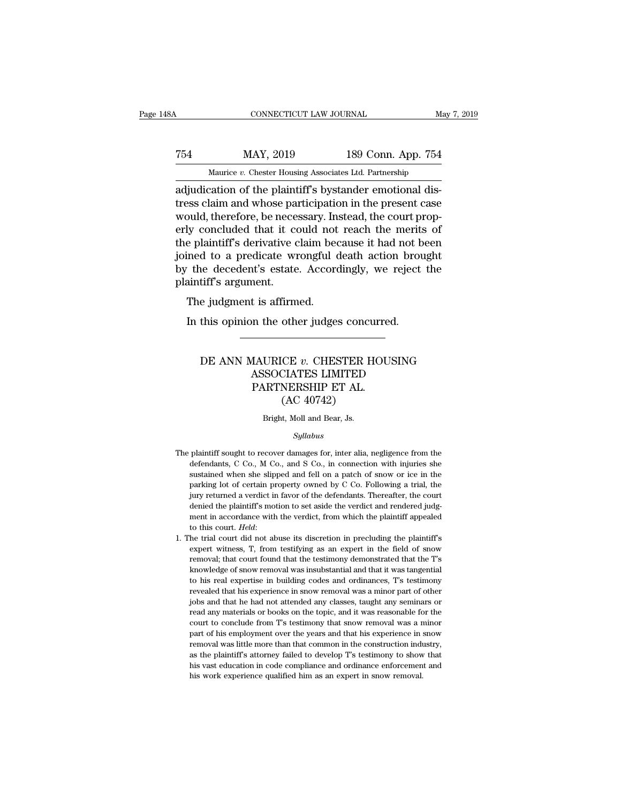# CONNECTICUT LAW JOURNAL May 7, 2019<br>
754 MAY, 2019 189 Conn. App. 754<br>
Maurice v. Chester Housing Associates Ltd. Partnership CONNECTICUT LAW JOURNAL May 7, 2019<br>
MAY, 2019 189 Conn. App. 754<br>
Maurice *v.* Chester Housing Associates Ltd. Partnership<br>
adjudication of the plaintiff's bystander emotional dis-

CONNECTICUT LAW JOURNAL<br>
MAY, 2019 189 Conn. App. 754<br>
Maurice *v*. Chester Housing Associates Ltd. Partnership<br>
adjudication of the plaintiff's bystander emotional dis-<br>
tress claim and whose participation in the present T54 MAY, 2019 189 Conn. App. 754<br>Maurice v. Chester Housing Associates Ltd. Partnership<br>adjudication of the plaintiff's bystander emotional dis-<br>tress claim and whose participation in the present case<br>would, therefore, be  $\begin{tabular}{ll} \hline \textbf{189 Conn. App. 754} \hline \textbf{MAY, 2019} & \textbf{189 Conn. App. 754} \\\hline \textbf{189}} & \textbf{189 Conn. App. 754} \\\hline \textbf{180} & \textbf{180} & \textbf{181} & \textbf{182} \\ \hline \textbf{181} & \textbf{182} & \textbf{183} & \textbf{184} \\ \hline \textbf{181} & \textbf{183} & \textbf{185} & \textbf{185} \\ \hline \textbf{181} & \$ T54 MAY, 2019 189 Conn. App. 754<br>
Maurice  $v$ . Chester Housing Associates Ltd. Partnership<br>
adjudication of the plaintiff's bystander emotional dis-<br>
tress claim and whose participation in the present case<br>
would, therefo Maurice v. Chester Housing Associates Ltd. Partnership<br>adjudication of the plaintiff's bystander emotional dis-<br>tress claim and whose participation in the present case<br>would, therefore, be necessary. Instead, the court pr Maurice v. Chester Housing Associates Ltd. Partnership<br>adjudication of the plaintiff's bystander emotional dis-<br>tress claim and whose participation in the present case<br>would, therefore, be necessary. Instead, the court pr adjudication of the plaintiff's bystander emotional distress claim and whose participation in the present case<br>would, therefore, be necessary. Instead, the court prop-<br>erly concluded that it could not reach the merits of<br>t tress claim and whose part<br>would, therefore, be necestry concluded that it correlate<br>the plaintiff's derivative c<br>joined to a predicate wr<br>by the decedent's estate<br>plaintiff's argument.<br>The judgment is affirm Figures of the interesting in the plaintiff's derivative claim bed interesting to a predicate wrongful of the decedent's estate. Accordinatiff's argument.<br>The judgment is affirmed.<br>In this opinion the other judge: In the plaintiff's derivative claim because it had not be ined to a predicate wrongful death action brout the decedent's estate. Accordingly, we reject intiff's argument.<br>The judgment is affirmed.<br>In this opinion the other

#### tiff's argument.<br>
e judgment is affirmed.<br>
this opinion the other judges concurred.<br>
DE ANN MAURICE *v*. CHESTER HOUSING<br>
ASSOCIATES LIMITED<br>
PARTNERSHIP FT AI t is affirmed.<br>
an the other judges concurred.<br>
AAURICE v. CHESTER HOUSING<br>
ASSOCIATES LIMITED<br>
PARTNERSHIP ET AL.<br>
(AC 40742) n the other judges concurre<br>
MAURICE v. CHESTER HOU<br>
ASSOCIATES LIMITED<br>
PARTNERSHIP ET AL.<br>
(AC 40742) other judges concu<br>
CE v. CHESTER H<br>
CIATES LIMITED<br>
NERSHIP ET AL.<br>
(AC 40742)<br>
t, Moll and Bear, Js. DE ANN MAURICE  $v$ . CHESTER HOUSING<br>ASSOCIATES LIMITED<br>PARTNERSHIP ET AL.<br>(AC 40742)<br>Bright, Moll and Bear, Js.

#### *Syllabus*

- $(AC 40742)$ <br>Bright, Moll and Bear, Js.<br> $Syllabus$ <br>The plaintiff sought to recover damages for, inter alia, negligence from the<br>defendants, C Co., M Co., and S Co., in connection with injuries she Bright, Moll and Bear, Js.<br>Syllabus<br>plaintiff sought to recover damages for, inter alia, negligence from the<br>defendants, C Co., M Co., and S Co., in connection with injuries she<br>sustained when she slipped and fell on a pat Bright, Moll and Bear, Js.<br>Syllabus<br>plaintiff sought to recover damages for, inter alia, negligence from the<br>defendants, C Co., M Co., and S Co., in connection with injuries she<br>sustained when she slipped and fell on a pat *Syllabus*<br>plaintiff sought to recover damages for, inter alia, negligence from the<br>defendants, C Co., M Co., and S Co., in connection with injuries she<br>sustained when she slipped and fell on a patch of snow or ice in the<br> *Syllabus*<br>plaintiff sought to recover damages for, inter alia, negligence from the<br>defendants, C Co., M Co., and S Co., in connection with injuries she<br>sustained when she slipped and fell on a patch of snow or ice in the<br> The plaintiff sought to recover damages for, inter alia, negligence from the defendants, C Co., M Co., and S Co., in connection with injuries she sustained when she slipped and fell on a patch of snow or ice in the parkin defendants, C Co., M Co., and S Co., in connection with injuries she sustained when she slipped and fell on a patch of snow or ice in the parking lot of certain property owned by C Co. Following a trial, the jury returned sustained when she slipped and fell on a patch of snow or ice in the parking lot of certain property owned by C Co. Following a trial, the jury returned a verdict in favor of the defendants. Thereafter, the court denied th pury returned a verdict in favor of the defendants. Thereafter, the court<br>denied the plaintiff's motion to set aside the verdict and rendered judg-<br>ment in accordance with the verdict, from which the plaintiff appealed<br>to
- denied the plaintiff's motion to set aside the verdict and rendered judgement in accordance with the verdict, from which the plaintiff appealed to this court. *Held*:<br>he trial court did not abuse its discretion in precludi ment in accordance with the verdict, from which the plaintiff appealed<br>to this court. *Held*:<br>to this court did not abuse its discretion in precluding the plaintiff's<br>expert witness, T, from testifying as an expert in the to this court. *Held*:<br>he trial court did not abuse its discretion in precluding the plaintiff's<br>expert witness, T, from testifying as an expert in the field of snow<br>removal; that court found that the testimony demonstrate he trial court did not abuse its discretion in precluding the plaintiff's expert witness, T, from testifying as an expert in the field of snow removal; that court found that the testimony demonstrated that the T's knowledg expert witness, T, from testifying as an expert in the field of snow<br>removal; that court found that the testimony demonstrated that the T's<br>knowledge of snow removal was insubstantial and that it was tangential<br>to his real removal; that court found that the testimony demonstrated that the T's knowledge of snow removal was insubstantial and that it was tangential to his real expertise in building codes and ordinances, T's testimony revealed t knowledge of snow removal was insubstantial and that it was tangential<br>to his real expertise in building codes and ordinances, T's testimony<br>revealed that his experience in snow removal was a minor part of other<br>jobs and t from the size of his real expertise in building codes and ordinances, T's testimony revealed that his experience in snow removal was a minor part of other jobs and that he had not attended any classes, taught any seminars to his real expertise in building codes and ordinances,  $T$ 's testimony revealed that his experience in snow removal was a minor part of other jobs and that he had not attended any classes, taught any seminars or read any jobs and that he had not attended any classes, taught any seminars or read any materials or books on the topic, and it was reasonable for the court to conclude from T's testimony that show removal was a minor part of his e bread any materials or books on the topic, and it was reasonable for the court to conclude from T's testimony that snow removal was a minor part of his employment over the years and that his experience in snow removal was court to conclude from T's testimony that snow removal was a minor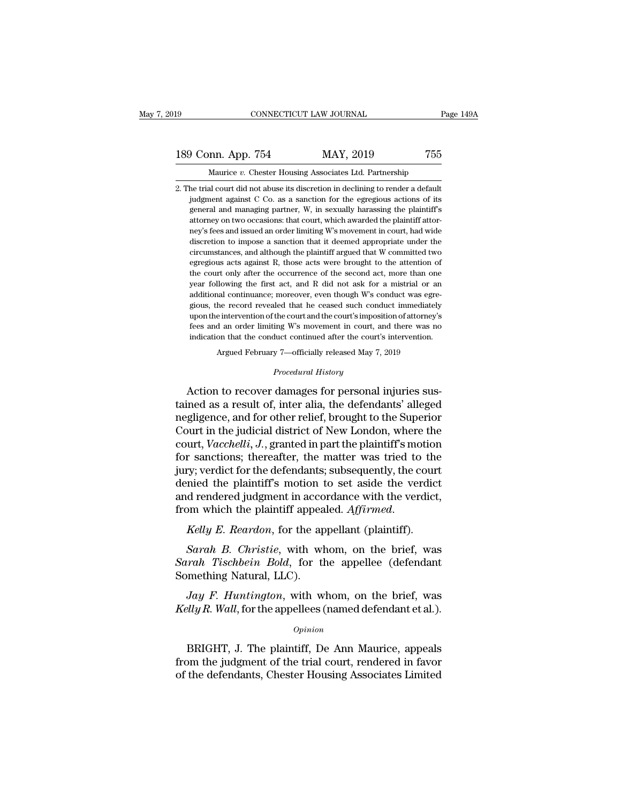### 189 CONNECTICUT LAW JOURNAL Page 149A<br>
189 Conn. App. 754 MAY, 2019 755<br>
Maurice v. Chester Housing Associates Ltd. Partnership THE TREAT TEST TEND THE Page 149A CONNECTICUT LAW JOURNAL Page 149A<br>
MAY, 2019 755<br>
Maurice *v.* Chester Housing Associates Ltd. Partnership<br>
2. The trial court did not abuse its discretion in declining to render a default

2. The trial court did not abuse its discretion in declining to render a default<br>2. The trial court did not abuse its discretion in declining to render a default<br>3. The trial court did not abuse its discretion in declining Judgment App. 754 MAY, 2019 755<br>Maurice v. Chester Housing Associates Ltd. Partnership<br>he trial court did not abuse its discretion in declining to render a default<br>judgment against C Co. as a sanction for the egregious act general and managing partner, W. 2019 755<br>Maurice v. Chester Housing Associates Ltd. Partnership<br>he trial court did not abuse its discretion in declining to render a default<br>judgment against C Co. as a sanction for the egr Maurice v. Chester Housing Associates Ltd. Partnership<br>he trial court did not abuse its discretion in declining to render a default<br>judgment against C Co. as a sanction for the egregious actions of its<br>general and managing Maurice v. Chester Housing Associates Ltd. Partnership<br>he trial court did not abuse its discretion in declining to render a default<br>judgment against C Co. as a sanction for the egregious actions of its<br>general and managing he trial court did not abuse its discretion in declining to render a default judgment against C Co. as a sanction for the egregious actions of its general and managing partner, W, in sexually harassing the plaintiff's atto in different against C Co. as a sanction for the egregious actions of its general and managing partner, W, in sexually harassing the plaintiff's attorney on two occasions: that court, which awarded the plaintiff attorney' general and managing partner, W, in sexually harassing the plaintiff's attorney on two occasions: that court, which awarded the plaintiff attorney's fees and issued an order limiting W's movement in court, had wide discret attorney on two occasions: that court, which awarded the plaintiff attorney's fees and issued an order limiting W's movement in court, had wide discretion to impose a sanction that it deemed appropriate under the circumsta ney's fees and issued an order limiting W's movement in court, had wide<br>discretion to impose a sanction that it deemed appropriate under the<br>circumstances, and although the plaintiff argued that W committed two<br>egregious a ney's fees and issued an order limiting W's movement in court, had wide discretion to impose a sanction that it deemed appropriate under the circumstances, and although the plaintiff argued that W committed two egregious circumstances, and although the plaintiff argued that W committed two egregious acts against R, those acts were brought to the attention of the court only after the occurrence of the second act, more than one year followin egregious acts against R, those acts were brought to the attention of the court only after the occurrence of the second act, more than one year following the first act, and R did not ask for a mistrial or an additional con the court only after the occurrence of the second act, more than one year following the first act, and R did not ask for a mistrial or an additional continuance; moreover, even though W's conduct was egregious, the record indication that the first act, and R did not ask for a mistrial or an additional continuance; moreover, even though W's conduct was egregious, the record revealed that he ceased such conduct immediately upon the interventi % gious, the record revealed that he ceased such conduct immediately upon the intervention of the court and the court's imposition of attorney's fees and an order limiting W's movement in court, and there was no indicatio % upon the intervention of the court and the court's imposition of attorney's<br>fees and an order limiting W's movement in court, and there was no<br>indication that the conduct continued after the court's intervention.<br>Argued glows, are record revealed and its exact of summer summer<br>that the court's imposition of attorney's<br>fees and an order limiting W's movement in court, and there was no<br>indication that the conduct continued after the court's

fees and an order limiting W's movement in court, and there was no<br>indication that the conduct continued after the court's intervention.<br>Argued February 7—officially released May 7, 2019<br>*Procedural History*<br>**Action to rec** indication that the conduct continued after the court's intervention.<br>
Argued February 7—officially released May 7, 2019<br>
Procedural History<br>
Action to recover damages for personal injuries sus-<br>
tained as a result of, int Argued February 7—officially released May 7, 2019<br>
Procedural History<br>
Action to recover damages for personal injuries sus-<br>
tained as a result of, inter alia, the defendants' alleged<br>
negligence, and for other relief, bro *Procedural History*<br>Action to recover damages for personal injuries sus-<br>tained as a result of, inter alia, the defendants' alleged<br>negligence, and for other relief, brought to the Superior<br>Court in the judicial district Froceaand Essay<br>Action to recover damages for personal injuries sus-<br>tained as a result of, inter alia, the defendants' alleged<br>negligence, and for other relief, brought to the Superior<br>Court in the judicial district of Ne Action to recover damages for personal injuries sus-<br>tained as a result of, inter alia, the defendants' alleged<br>negligence, and for other relief, brought to the Superior<br>Court in the judicial district of New London, where tained as a result of, inter alia, the defendants' alleged<br>negligence, and for other relief, brought to the Superior<br>Court in the judicial district of New London, where the<br>court, *Vacchelli*, *J*., granted in part the pl negligence, and for other relief, brought to the Superior<br>Court in the judicial district of New London, where the<br>court, *Vacchelli*, *J*., granted in part the plaintiff's motion<br>for sanctions; thereafter, the matter was t From Wearth Court, *Vacchelli, J.*, granted in part the plaintiff's motion<br>for sanctions; thereafter, the matter was tried to the<br>jury; verdict for the defendants; subsequently, the cour<br>denied the plaintiff's motion to se *Sarah B. Christie*, with a court with the plaintiff's motion to set aside the verdict<br>d rendered judgment in accordance with the verdict,<br>pm which the plaintiff appealed. *Affirmed.*<br>*Kelly E. Reardon*, for the appellant denied the plaintiff's motion to set aside the verdict<br>and rendered judgment in accordance with the verdict,<br>from which the plaintiff appealed. *Affirmed.*<br>*Kelly E. Reardon*, for the appellant (plaintiff).<br>*Sarah B. Chris* 

and rendered judgment in acco<br>from which the plaintiff appea<br>*Kelly E. Reardon*, for the ap<br>*Sarah B. Christie*, with wh<br>*Sarah Tischbein Bold*, for th<br>Something Natural, LLC).<br>*Jay F. Huntington*, with w *Jay E. Reardon*, for the appellant (plaintiff).<br>*Sarah B. Christie*, with whom, on the brief, was<br>*rah Tischbein Bold*, for the appellee (defendant<br>mething Natural, LLC).<br>*Jay F. Huntington*, with whom, on the brief, was<br> *Kelly E. Reardon*, for the appellant (plaintiff).<br> *Sarah B. Christie*, with whom, on the brief, was<br> *Sarah Tischbein Bold*, for the appellee (defendant<br> *Something Natural, LLC).*<br> *Jay F. Huntington*, with whom, on the

#### *Opinion*

Frame Tischocche Estat, for the appendice (determinant mething Natural, LLC).<br>
Jay F. Huntington, with whom, on the brief, was<br>
illy R. Wall, for the appellees (named defendant et al.).<br>
Opinion<br>
BRIGHT, J. The plaintiff, Jay F. Huntington, with whom, on the brief, was<br>Kelly R. Wall, for the appellees (named defendant et al.).<br>
opinion<br>
BRIGHT, J. The plaintiff, De Ann Maurice, appeals<br>
from the judgment of the trial court, rendered in favo *Jay F. Huntington*, with whom, on the brief, was *Kelly R. Wall*, for the appellees (named defendant et al.).<br>  $\frac{Opinion}{P}$  BRIGHT, J. The plaintiff, De Ann Maurice, appeals from the judgment of the trial court, rendered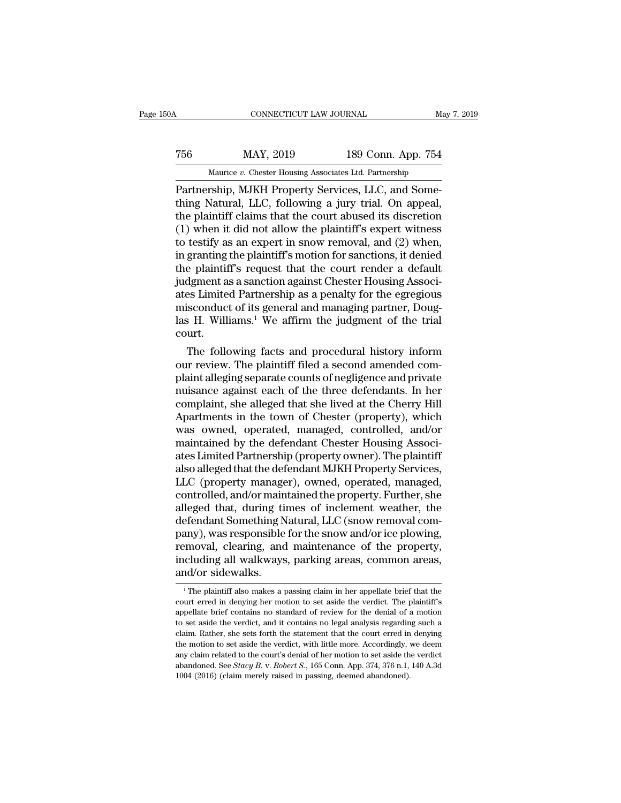# CONNECTICUT LAW JOURNAL May 7, 2019<br>
756 MAY, 2019 189 Conn. App. 754<br>
Maurice v. Chester Housing Associates Ltd. Partnership CONNECTICUT LAW JOURNAL May 7, 2019<br>
MAY, 2019 189 Conn. App. 754<br>
Maurice *v.* Chester Housing Associates Ltd. Partnership<br>
Partnership, MJKH Property Services, LLC, and Some-

CONNECTICUT LAW JOURNAL<br>
MAY, 2019 189 Conn. App. 754<br>
Maurice v. Chester Housing Associates Ltd. Partnership<br>
Partnership, MJKH Property Services, LLC, and Some-<br>
thing Natural, LLC, following a jury trial. On appeal,<br>
th TERRET MAY, 2019<br>
MAY, 2019 189 Conn. App. 754<br>
Maurice v. Chester Housing Associates Ltd. Partnership<br>
Partnership, MJKH Property Services, LLC, and Some-<br>
thing Natural, LLC, following a jury trial. On appeal,<br>
the plain T56 MAY, 2019 189 Conn. App. 754<br>
Maurice *v.* Chester Housing Associates Ltd. Partnership<br>
Partnership, MJKH Property Services, LLC, and Some-<br>
thing Natural, LLC, following a jury trial. On appeal,<br>
the plaintiff claims (1) The matrice *v.* Chester Housing Associates Ltd. Partnership<br>
Partnership, MJKH Property Services, LLC, and Some-<br>
thing Natural, LLC, following a jury trial. On appeal,<br>
the plaintiff claims that the court abused its Maurice v. Chester Housing Associates Ltd. Partnership<br>
Partnership, MJKH Property Services, LLC, and Some-<br>
thing Natural, LLC, following a jury trial. On appeal,<br>
the plaintiff claims that the court abused its discretio Maurice *v*. Chester Housing Associates Ltd. Partnership<br>
Partnership, MJKH Property Services, LLC, and Some-<br>
thing Natural, LLC, following a jury trial. On appeal,<br>
the plaintiff claims that the court abused its discreti Partnership, MJKH Property Services, LLC, and Some-<br>thing Natural, LLC, following a jury trial. On appeal,<br>the plaintiff claims that the court abused its discretion<br>(1) when it did not allow the plaintiff's expert witness<br> thing Natural, LLC, following a jury trial. On appeal,<br>the plaintiff claims that the court abused its discretion<br>(1) when it did not allow the plaintiff's expert witness<br>to testify as an expert in snow removal, and (2) whe the plaintiff claims that the court abused its discretion (1) when it did not allow the plaintiff's expert witness<br>to testify as an expert in snow removal, and (2) when,<br>in granting the plaintiff's motion for sanctions, i (1) when it did not allow the plaintiff's expert witness<br>to testify as an expert in snow removal, and (2) when,<br>in granting the plaintiff's motion for sanctions, it denied<br>the plaintiff's request that the court render a d to testify as an expert in snow removal, and (2) when,<br>in granting the plaintiff's motion for sanctions, it denied<br>the plaintiff's request that the court render a default<br>judgment as a sanction against Chester Housing Asso court. e plaintiff s request that the court render a default<br>dgment as a sanction against Chester Housing Associ-<br>es Limited Partnership as a penalty for the egregious<br>isconduct of its general and managing partner, Doug-<br>is H. Wi quagment as a sanction against Cnester Housing Associates Limited Partnership as a penalty for the egregious misconduct of its general and managing partner, Douglas H. Williams.<sup>1</sup> We affirm the judgment of the trial court

ates Limited Partnership as a penaity for the egregious<br>misconduct of its general and managing partner, Douglas H. Williams.<sup>1</sup> We affirm the judgment of the trial<br>court.<br>The following facts and procedural history inform<br>o misconduct of its general and managing partner, Douglas H. Williams.<sup>1</sup> We affirm the judgment of the trial court.<br>The following facts and procedural history inform<br>our review. The plaintiff filed a second amended com-<br>pla reader in Minams.<sup>2</sup> we aring the judgment of the trial<br>court.<br>The following facts and procedural history inform<br>our review. The plaintiff filed a second amended com-<br>plaint alleging separate counts of negligence and priva court.<br>
The following facts and procedural history inform<br>
our review. The plaintiff filed a second amended com-<br>
plaint alleging separate counts of negligence and private<br>
muisance against each of the three defendants. In The following facts and procedural history inform<br>our review. The plaintiff filed a second amended com-<br>plaint alleging separate counts of negligence and private<br>nuisance against each of the three defendants. In her<br>compla our review. The plaintiff filed a second amended complaint alleging separate counts of negligence and private<br>muisance against each of the three defendants. In her<br>complaint, she alleged that she lived at the Cherry Hill<br>A plaint alleging separate counts of negligence and private<br>nuisance against each of the three defendants. In her<br>complaint, she alleged that she lived at the Cherry Hill<br>Apartments in the town of Chester (property), which<br>w nuisance against each of the three defendants. In her complaint, she alleged that she lived at the Cherry Hill Apartments in the town of Chester (property), which was owned, operated, managed, controlled, and/or maintained complaint, she alleged that she lived at the Cherry Hill<br>Apartments in the town of Chester (property), which<br>was owned, operated, managed, controlled, and/or<br>maintained by the defendant Chester Housing Associ-<br>ates Limited Apartments in the town of Chester (property), which<br>was owned, operated, managed, controlled, and/or<br>maintained by the defendant Chester Housing Associ-<br>ates Limited Partnership (property owner). The plaintiff<br>also alleged was owned, operated, managed, controlled, and/or<br>maintained by the defendant Chester Housing Associ-<br>ates Limited Partnership (property owner). The plaintiff<br>also alleged that the defendant MJKH Property Services,<br>LLC (pro maintained by the defendant Chester Housing Associates Limited Partnership (property owner). The plaintiff<br>also alleged that the defendant MJKH Property Services,<br>LLC (property manager), owned, operated, managed,<br>controlle ates Limited Partnership (property owner). The plaintiff<br>also alleged that the defendant MJKH Property Services,<br>LLC (property manager), owned, operated, managed,<br>controlled, and/or maintained the property. Further, she<br>al also alleged that the defendant MJKH Property Services,<br>LLC (property manager), owned, operated, managed,<br>controlled, and/or maintained the property. Further, she<br>alleged that, during times of inclement weather, the<br>defend LLC (property manager), owned, operated, managed, controlled, and/or maintained the property. Further, she alleged that, during times of inclement weather, the defendant Something Natural, LLC (snow removal company), was r controlled, and/or main<br>alleged that, during ti<br>defendant Something N<br>pany), was responsible<br>removal, clearing, and<br>including all walkways<br>and/or sidewalks. any), was responsible for the snow and/or ice plowing,<br>emoval, clearing, and maintenance of the property,<br>icluding all walkways, parking areas, common areas,<br>d/or sidewalks.<br><sup>1</sup>The plaintiff also makes a passing claim in h removal, clearing, and maintenance of the property,<br>including all walkways, parking areas, common areas,<br>and/or sidewalks.<br><sup>1</sup>The plaintiff also makes a passing claim in her appellate brief that the<br>court erred in denying

including all walkways, parking areas, common areas,<br>and/or sidewalks.<br>The plaintiff also makes a passing claim in her appellate brief that the<br>court erred in denying her motion to set aside the verdict. The plaintiff's<br>ap and/or sidewalks.<br>
<sup>1</sup>The plaintiff also makes a passing claim in her appellate brief that the court erred in denying her motion to set aside the verdict. The plaintiff's appellate brief contains no standard of review for and/or sidewalks.<br>
<sup>1</sup> The plaintiff also makes a passing claim in her appellate brief that the court erred in denying her motion to set aside the verdict. The plaintiff's appellate brief contains no standard of review fo <sup>1</sup> The plaintiff also makes a passing claim in her appellate brief that the court erred in denying her motion to set aside the verdict. The plaintiff's appellate brief contains no standard of review for the denial of a m court erred in denying her motion to set aside the verdict. The plaintiff's appellate brief contains no standard of review for the denial of a motion to set aside the verdict, and it contains no legal analysis regarding s appellate brief contains no standard of review for the denial of a motion<br>appellate brief contains no standard of review for the denial of a motion<br>to set aside the verdict, and it contains no legal analysis regarding such to set aside the verdict, and it contains no legal analysis regarding such a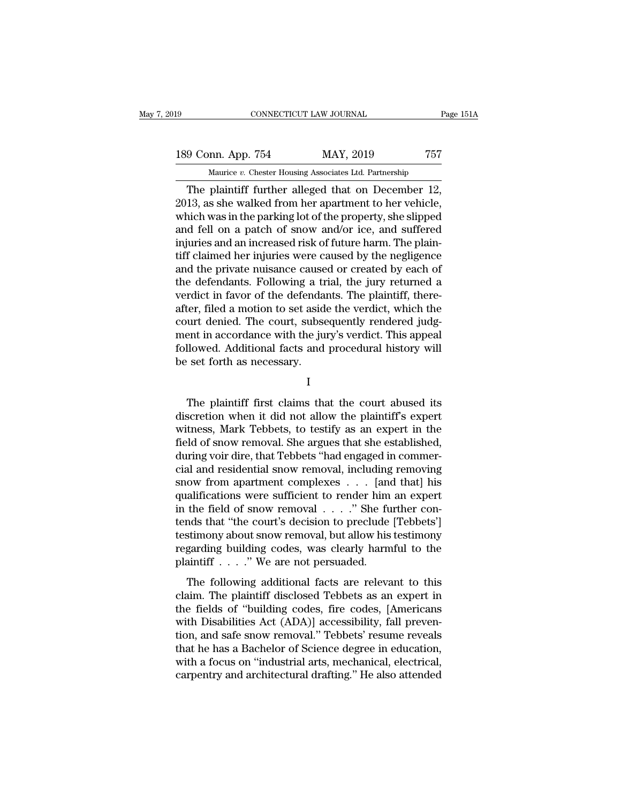### 189 CONNECTICUT LAW JOURNAL Page 151A<br>
189 Conn. App. 754 MAY, 2019 757<br>
Maurice v. Chester Housing Associates Ltd. Partnership CONNECTICUT LAW JOURNAL Pa<br>
mn. App. 754 MAY, 2019 757<br>
Maurice *v.* Chester Housing Associates Ltd. Partnership<br>
plaintiff further alleged that on December 12

CONNECTICUT LAW JOURNAL Page 18<br>
9 Conn. App. 754 MAY, 2019 757<br>
Maurice v. Chester Housing Associates Ltd. Partnership<br>
The plaintiff further alleged that on December 12,<br>
13, as she walked from her apartment to her vehic 189 Conn. App. 754 MAY, 2019 757<br>Maurice v. Chester Housing Associates Ltd. Partnership<br>The plaintiff further alleged that on December 12,<br>2013, as she walked from her apartment to her vehicle,<br>which was in the parking lot 189 Conn. App. 754 MAY, 2019 757<br>
Maurice *v*. Chester Housing Associates Ltd. Partnership<br>
The plaintiff further alleged that on December 12,<br>
2013, as she walked from her apartment to her vehicle,<br>
which was in the park 189 Conn. App. 754 MAY, 2019 757<br>
Maurice *v*. Chester Housing Associates Ltd. Partnership<br>
The plaintiff further alleged that on December 12,<br>
2013, as she walked from her apartment to her vehicle,<br>
which was in the park Maurice *v*. Chester Housing Associates Ltd. Partnership<br>
The plaintiff further alleged that on December 12,<br>
2013, as she walked from her apartment to her vehicle,<br>
which was in the parking lot of the property, she slipp Maurice v. Chester Housing Associates Ltd. Partnership<br>
The plaintiff further alleged that on December 12,<br>
2013, as she walked from her apartment to her vehicle,<br>
which was in the parking lot of the property, she slipped The plaintiff further alleged that on December 12,<br>2013, as she walked from her apartment to her vehicle,<br>which was in the parking lot of the property, she slipped<br>and fell on a patch of snow and/or ice, and suffered<br>injur 2013, as she walked from her apartment to her vehicle,<br>which was in the parking lot of the property, she slipped<br>and fell on a patch of snow and/or ice, and suffered<br>injuries and an increased risk of future harm. The plain which was in the parking lot of the property, she slipped<br>and fell on a patch of snow and/or ice, and suffered<br>injuries and an increased risk of future harm. The plain-<br>tiff claimed her injuries were caused by the negligen and fell on a patch of snow and/or ice, and suffered<br>injuries and an increased risk of future harm. The plain-<br>tiff claimed her injuries were caused by the negligence<br>and the private nuisance caused or created by each of<br>t injuries and an increased risk of future harm. The plaintiff claimed her injuries were caused by the negligence<br>and the private nuisance caused or created by each of<br>the defendants. Following a trial, the jury returned a<br>v tiff claimed her injuries were caused by the negligence<br>and the private nuisance caused or created by each of<br>the defendants. Following a trial, the jury returned a<br>verdict in favor of the defendants. The plaintiff, thereand the private nuisance caused or created by each of<br>the defendants. Following a trial, the jury returned a<br>verdict in favor of the defendants. The plaintiff, there-<br>after, filed a motion to set aside the verdict, which t the defendants. Following a tr<br>verdict in favor of the defenda<br>after, filed a motion to set asid<br>court denied. The court, subse<br>ment in accordance with the ju<br>followed. Additional facts and<br>be set forth as necessary. urt denied. The court, subsequently rendered judgent in accordance with the jury's verdict. This appeal<br>Ilowed. Additional facts and procedural history will<br>set forth as necessary.<br>I<br>The plaintiff first claims that the cou

I

ment in accordance with the jury's verdict. This appeal<br>followed. Additional facts and procedural history will<br>be set forth as necessary.<br>I<br>The plaintiff first claims that the court abused its<br>discretion when it did not al followed. Additional facts and procedural history will<br>be set forth as necessary.<br>I<br>The plaintiff first claims that the court abused its<br>discretion when it did not allow the plaintiff's expert<br>witness, Mark Tebbets, to tes I<br>I<br>The plaintiff first claims that the court abused its<br>discretion when it did not allow the plaintiff's expert<br>witness, Mark Tebbets, to testify as an expert in the<br>field of snow removal. She argues that she established, I<br>I<br>The plaintiff first claims that the court abused its<br>discretion when it did not allow the plaintiff's expert<br>witness, Mark Tebbets, to testify as an expert in the<br>field of snow removal. She argues that she established, The plaintiff first claims that the court abused its<br>discretion when it did not allow the plaintiff's expert<br>witness, Mark Tebbets, to testify as an expert in the<br>field of snow removal. She argues that she established,<br>dur The plaintiff first claims that the court abused its<br>discretion when it did not allow the plaintiff's expert<br>witness, Mark Tebbets, to testify as an expert in the<br>field of snow removal. She argues that she established,<br>dur discretion when it did not allow the plaintiff's expert<br>witness, Mark Tebbets, to testify as an expert in the<br>field of snow removal. She argues that she established,<br>during voir dire, that Tebbets "had engaged in commer-<br>c witness, Mark Tebbets, to testify as an expert in the field of snow removal. She argues that she established, during voir dire, that Tebbets "had engaged in commercial and residential snow removal, including removing snow field of snow removal. She argues that she established,<br>during voir dire, that Tebbets "had engaged in commer-<br>cial and residential snow removal, including removing<br>snow from apartment complexes . . . [and that] his<br>qualif during voir dire, that Tebbets "had engaged in commercial and residential snow removal, including removing<br>snow from apartment complexes . . . [and that] his<br>qualifications were sufficient to render him an expert<br>in the fi cial and residential snow removal, including removing<br>snow from apartment complexes . . . [and that] his<br>qualifications were sufficient to render him an expert<br>in the field of snow removal . . . ." She further con-<br>tends snow from apartment complexes . . . . [and qualifications were sufficient to render him in the field of snow removal . . . ." She futends that "the court's decision to preclude testimony about snow removal, but allow his the field of snow removal  $\ldots$ ." She further con-<br>nds that "the court's decision to preclude [Tebbets']<br>stimony about snow removal, but allow his testimony<br>garding building codes, was clearly harmful to the<br>aintiff  $\ldots$ find the fields that "the court's decision to preclude [Tebbets']<br>testimony about snow removal, but allow his testimony<br>regarding building codes, was clearly harmful to the<br>plaintiff . . . . ." We are not persuaded.<br>The f

testimony about snow removal, but allow his testimony<br>regarding building codes, was clearly harmful to the<br>plaintiff  $\ldots$ ." We are not persuaded.<br>The following additional facts are relevant to this<br>claim. The plaintiff d regarding building codes, was clearly harmful to the<br>plaintiff . . . ." We are not persuaded.<br>The following additional facts are relevant to this<br>claim. The plaintiff disclosed Tebbets as an expert in<br>the fields of "buildi Figure 3. The following additional facts are relevant to this<br>claim. The plaintiff disclosed Tebbets as an expert in<br>the fields of "building codes, fire codes, [Americans<br>with Disabilities Act (ADA)] accessibility, fall p The following additional facts are relevant to this<br>claim. The plaintiff disclosed Tebbets as an expert in<br>the fields of "building codes, fire codes, [Americans<br>with Disabilities Act (ADA)] accessibility, fall preven-<br>tio The following additional facts are relevant to this<br>claim. The plaintiff disclosed Tebbets as an expert in<br>the fields of "building codes, fire codes, [Americans<br>with Disabilities Act (ADA)] accessibility, fall preven-<br>tion claim. The plaintiff disclosed Tebbets as an expert in<br>the fields of "building codes, fire codes, [Americans<br>with Disabilities Act (ADA)] accessibility, fall preven-<br>tion, and safe snow removal." Tebbets' resume reveals<br>th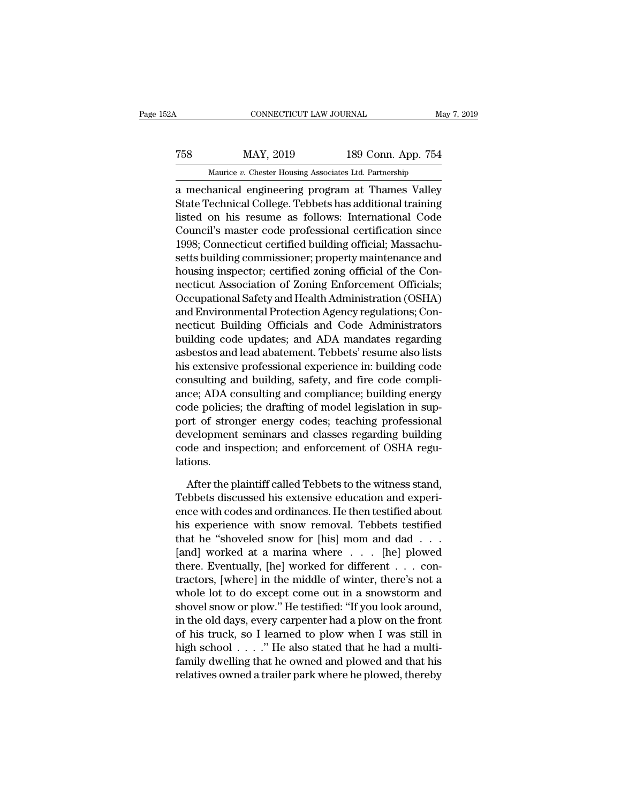### EXECUTE CONNECTICUT LAW JOURNAL May 7, 2019<br>T58 MAY, 2019 189 Conn. App. 754<br>Maurice v. Chester Housing Associates Ltd. Partnership CONNECTICUT LAW JOURNAL May<br>MAY, 2019 189 Conn. App. 754<br>Maurice *v.* Chester Housing Associates Ltd. Partnership<br>nanical engineering program at Thames Valley

CONNECTICUT LAW JOURNAL May 7, 2019<br>
T58 MAY, 2019 189 Conn. App. 754<br>
Maurice v. Chester Housing Associates Ltd. Partnership<br>
a mechanical engineering program at Thames Valley<br>
State Technical College. Tebbets has additio MAY, 2019 189 Conn. App. 754<br>
Maurice *v*. Chester Housing Associates Ltd. Partnership<br>
a mechanical engineering program at Thames Valley<br>
State Technical College. Tebbets has additional training<br>
listed on his resume as f  $\begin{tabular}{ll} \hline \textbf{189 Conn. App. 754} \hline \textbf{Maurice } v. \textbf{Chester Housing Associates Ltd. Parthership} \\ \hline \textbf{a mechanical engineering program at Thames Valley State Technical College. Tebbets has additional training listed on his resume as follows: International Code Council's master code professional certification since 1008: Connecticut, certified building, official Mascach. \end{tabular}$ T58 MAY, 2019 189 Conn. App. 754<br>
Maurice *v*. Chester Housing Associates Ltd. Partnership<br>
a mechanical engineering program at Thames Valley<br>
State Technical College. Tebbets has additional training<br>
listed on his resume Maurice *v.* Chester Housing Associates Ltd. Partnership<br>
a mechanical engineering program at Thames Valley<br>
State Technical College. Tebbets has additional training<br>
listed on his resume as follows: International Code<br>
Co mainte *v.* Chester Housing Associates Eta. Fartnership<br>a mechanical engineering program at Thames Valley<br>State Technical College. Tebbets has additional training<br>listed on his resume as follows: International Code<br>Council a mechanical engineering program at Thames Valley<br>State Technical College. Tebbets has additional training<br>listed on his resume as follows: International Code<br>Council's master code professional certification since<br>1998; Co State Technical College. Tebbets has additional training<br>listed on his resume as follows: International Code<br>Council's master code professional certification since<br>1998; Connecticut certified building official; Massachu-<br>s listed on his resume as follows: International Code<br>Council's master code professional certification since<br>1998; Connecticut certified building official; Massachu-<br>setts building commissioner; property maintenance and<br>hous Council's master code professional certification since<br>1998; Connecticut certified building official; Massachusetts building commissioner; property maintenance and<br>housing inspector; certified zoning official of the Con-<br>n 1998; Connecticut certified building official; Massachusetts building commissioner; property maintenance and<br>housing inspector; certified zoning official of the Connecticut Association of Zoning Enforcement Officials;<br>Occu setts building commissioner; property maintenance and<br>housing inspector; certified zoning official of the Con-<br>necticut Association of Zoning Enforcement Officials;<br>Occupational Safety and Health Administration (OSHA)<br>and housing inspector; certified zoning official of the Con-<br>necticut Association of Zoning Enforcement Officials;<br>Occupational Safety and Health Administration (OSHA)<br>and Environmental Protection Agency regulations; Con-<br>nect necticut Association of Zoning Enforcement Officials;<br>Occupational Safety and Health Administration (OSHA)<br>and Environmental Protection Agency regulations; Con-<br>necticut Building Officials and Code Administrators<br>building Occupational Safety and Health Administration (OSHA)<br>and Environmental Protection Agency regulations; Con-<br>necticut Building Officials and Code Administrators<br>building code updates; and ADA mandates regarding<br>asbestos and and Environmental Protection Agency regulations; Connecticut Building Officials and Code Administrators<br>building code updates; and ADA mandates regarding<br>asbestos and lead abatement. Tebbets' resume also lists<br>his extensiv necticut Building Officials and Code Administrators<br>building code updates; and ADA mandates regarding<br>asbestos and lead abatement. Tebbets' resume also lists<br>his extensive professional experience in: building code<br>consulti building code updates; and ADA mandates regarding<br>asbestos and lead abatement. Tebbets' resume also lists<br>his extensive professional experience in: building code<br>consulting and building, safety, and fire code compli-<br>ance; asbestos and lead abatement. Tebbets' resume also lists<br>his extensive professional experience in: building code<br>consulting and building, safety, and fire code compli-<br>ance; ADA consulting and compliance; building energy<br>co his extensive professional experience in: building code consulting and building, safety, and fire code compliance; ADA consulting and compliance; building energy code policies; the drafting of model legislation in support lations. de policies; the drafting of model legislation in sup-<br>port of stronger energy codes; teaching professional<br>welopment seminars and classes regarding building<br>de and inspection; and enforcement of OSHA regu-<br>ions.<br>After the port of stronger energy codes; teaching professional<br>development seminars and classes regarding building<br>code and inspection; and enforcement of OSHA regu-<br>lations.<br>After the plaintiff called Tebbets to the witness stand,<br>

development seminars and classes regarding building<br>code and inspection; and enforcement of OSHA regulations.<br>After the plaintiff called Tebbets to the witness stand,<br>Tebbets discussed his extensive education and experienc code and inspection; and enforcement of OSHA regulations.<br>
After the plaintiff called Tebbets to the witness stand,<br>
Tebbets discussed his extensive education and experi-<br>
ence with codes and ordinances. He then testified lations.<br>
After the plaintiff called Tebbets to the witness stand,<br>
Tebbets discussed his extensive education and experience<br>
with codes and ordinances. He then testified about<br>
his experience with snow removal. Tebbets te After the plaintiff called Tebbets to the witness stand,<br>Tebbets discussed his extensive education and experience with codes and ordinances. He then testified about<br>his experience with snow removal. Tebbets testified<br>that After the plaintiff called Tebbets to the witness stand,<br>Tebbets discussed his extensive education and experi-<br>ence with codes and ordinances. He then testified about<br>his experience with snow removal. Tebbets testified<br>tha Tebbets discussed his extensive education and experience with codes and ordinances. He then testified about<br>his experience with snow removal. Tebbets testified<br>that he "shoveled snow for [his] mom and dad . . .<br>[and] worke ence with codes and ordinances. He then testified about<br>his experience with snow removal. Tebbets testified<br>that he "shoveled snow for [his] mom and dad . . .<br>[and] worked at a marina where . . . [he] plowed<br>there. Eventu his experience with snow removal. Tebbets testified<br>that he "shoveled snow for [his] mom and dad . . .<br>[and] worked at a marina where . . . [he] plowed<br>there. Eventually, [he] worked for different . . . con-<br>tractors, [whe that he "shoveled snow for [his] mom and dad . . .<br>[and] worked at a marina where  $\ldots$  [he] plowed<br>there. Eventually, [he] worked for different  $\ldots$  con-<br>tractors, [where] in the middle of winter, there's not a<br>whole lo [and] worked at a marina where  $\dots$  [he] plowed<br>there. Eventually, [he] worked for different  $\dots$  con-<br>tractors, [where] in the middle of winter, there's not a<br>whole lot to do except come out in a snowstorm and<br>shovel sno there. Eventually, [he] worked for different . . . contractors, [where] in the middle of winter, there's not a whole lot to do except come out in a snowstorm and shovel snow or plow." He testified: "If you look around, in tractors, [where] in the middle of winter, there's not a<br>whole lot to do except come out in a snowstorm and<br>shovel snow or plow." He testified: "If you look around,<br>in the old days, every carpenter had a plow on the front<br> whole lot to do except come out in a snowstorm and<br>shovel snow or plow." He testified: "If you look around,<br>in the old days, every carpenter had a plow on the front<br>of his truck, so I learned to plow when I was still in<br>h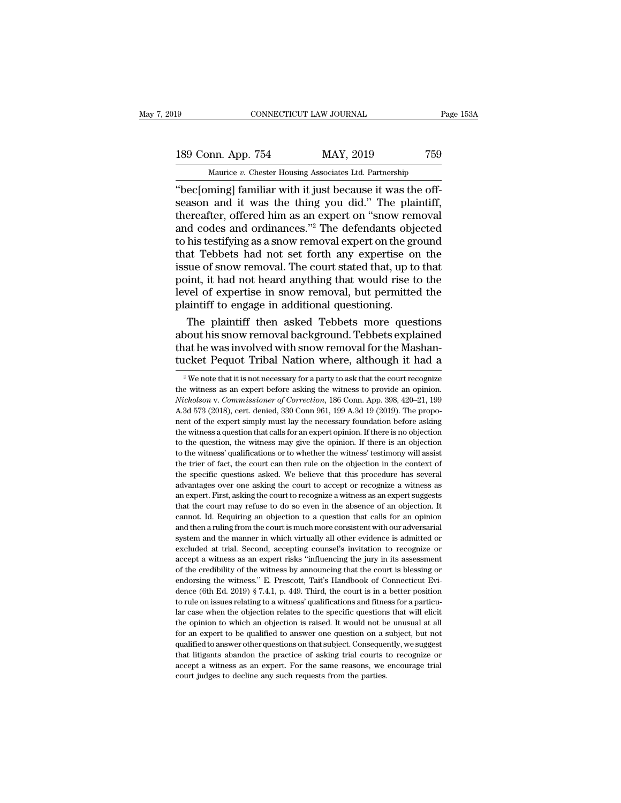# 189 CONNECTICUT LAW JOURNAL Page 153A<br>
189 Conn. App. 754 MAY, 2019 759<br>
Maurice v. Chester Housing Associates Ltd. Partnership The Maurice *v.* Chester Housing Associates Ltd. Partnership<br>
The Conn. App. 754 MAY, 2019 759<br>
Maurice *v.* Chester Housing Associates Ltd. Partnership<br>
"bec[oming] familiar with it just because it was the off-

CONNECTICUT LAW JOURNAL<br>
189 Conn. App. 754 MAY, 2019 759<br>
Maurice v. Chester Housing Associates Ltd. Partnership<br>
"bec[oming] familiar with it just because it was the off-<br>
season and it was the thing you did." The plaint 189 Conn. App. 754 MAY, 2019 759<br>Maurice v. Chester Housing Associates Ltd. Partnership<br>"bec[oming] familiar with it just because it was the off-<br>season and it was the thing you did." The plaintiff,<br>thereafter, offered him 189 Conn. App. 754 MAY, 2019 759<br>
Maurice *v*. Chester Housing Associates Ltd. Partnership<br>
"bec[oming] familiar with it just because it was the off-<br>
season and it was the thing you did." The plaintiff,<br>
thereafter, offe 189 Conn. App. 754 MAY, 2019 759<br>
Maurice *v*. Chester Housing Associates Ltd. Partnership<br>
"bec[oming] familiar with it just because it was the off-<br>
season and it was the thing you did." The plaintiff,<br>
thereafter, offe Maurice v. Chester Housing Associates Ltd. Partnership<br>
"bec[oming] familiar with it just because it was the off-<br>
season and it was the thing you did." The plaintiff,<br>
thereafter, offered him as an expert on "snow remova Maurice *v*. Chester Housing Associates Ltd. Partnership<br>
"bec[oming] familiar with it just because it was the off-<br>
season and it was the thing you did." The plaintiff,<br>
thereafter, offered him as an expert on "snow remo "bec[oming] familiar with it just because it was the off-<br>season and it was the thing you did." The plaintiff,<br>thereafter, offered him as an expert on "snow removal<br>and codes and ordinances."<sup>2</sup> The defendants objected<br>to season and it was the thing you did." The plaintiff,<br>thereafter, offered him as an expert on "snow removal<br>and codes and ordinances."<sup>2</sup> The defendants objected<br>to his testifying as a snow removal expert on the ground<br>that thereafter, offered him as an expert on "snow removal<br>and codes and ordinances."<sup>2</sup> The defendants objected<br>to his testifying as a snow removal expert on the ground<br>that Tebbets had not set forth any expertise on the<br>issue and codes and ordinances."<sup>2</sup> The defendants objected to his testifying as a snow removal expert on the ground that Tebbets had not set forth any expertise on the issue of snow removal. The court stated that, up to that p his testifying as a snow removal expert on the ground<br>at Tebbets had not set forth any expertise on the<br>sue of snow removal. The court stated that, up to that<br>int, it had not heard anything that would rise to the<br>vel of ex that Tebbets had not set forth any expertise on the<br>issue of snow removal. The court stated that, up to that<br>point, it had not heard anything that would rise to the<br>level of expertise in snow removal, but permitted the<br>pla

issue of snow removal. The court stated that, up to that point, it had not heard anything that would rise to the level of expertise in snow removal, but permitted the plaintiff to engage in additional questioning.<br>The plai point, it had not heard anything that would rise to the<br>level of expertise in snow removal, but permitted the<br>plaintiff to engage in additional questioning.<br>The plaintiff then asked Tebbets more questions<br>about his snow re The plaintiff then asked Tebbets more questions<br>pout his snow removal background. Tebbets explained<br>at he was involved with snow removal for the Mashan-<br>icket Pequot Tribal Nation where, although it had a<br> $\frac{1}{2}$  We not about his snow removal background. Tebbets explained<br>that he was involved with snow removal for the Mashan-<br>tucket Pequot Tribal Nation where, although it had a<br><sup>2</sup>We note that it is not necessary for a party to ask that t

*Nicholson* v. *Commissioner of Correction*, 186 Conn. App. 398, 420–21, 199 A.3d 573 (2018), ert. denied, 330 Conn 961, 199 A.3d 19 (2019). The propotucket Pequot Tribal Nation where, although it had a<br><sup>2</sup> We note that it is not necessary for a party to ask that the court recognize<br>the witness as an expert before asking the witness to provide an opinion.<br>*Nicholson v.* EXECT FEQUOT TIDENT NELLOTE WHERE, ELLOUGH IT TRICE  $\frac{1}{2}$  we note that it is not necessary for a party to ask that the court recognize the witness as an expert before asking the witness to provide an opinion.<br>*Nichols* <sup>2</sup> We note that it is not necessary for a party to ask that the court recognize the witness as an expert before asking the witness to provide an opinion. *Nicholson v. Commissioner of Correction*, 186 Conn. App. 398, 420 the witness as an expert before asking the witness to provide an opinion.<br>Nicholson v. Commissioner of Correction, 186 Conn. App. 398, 420–21, 199<br>A.3d 573 (2018), cert. denied, 330 Conn 961, 199 A.3d 19 (2019). The propo-*Nicholson v. Commissioner of Correction*, 186 Conn. App. 398, 420–21, 199<br>A.3d 573 (2018), cert. denied, 330 Conn 961, 199 A.3d 19 (2019). The propo-<br>nent of the expert simply must lay the necessary foundation before aski A.3d 573 (2018), cert. denied, 330 Conn 961, 199 A.3d 19 (2019). The proponent of the expert simply must lay the necessary foundation before asking the witness a question that calls for an expert opinion. If there is no o The specific questions asked. We believe that this procedure has several advantages over one asking the witness a question that calls for an expert opinion. If there is no objection to the question, the witness may give th the witness a question that calls for an expert opinion. If there is no objection to the question, the witness may give the opinion. If there is an objection to the witness' qualifications or to whether the witness' testim to the question, the witness may give the opinion. If there is an objection to the witness' qualifications or to whether the witness' testimony will assist the trier of fact, the court can then rule on the objection in the to the witness' qualifications or to whether the witness' testimony will assist the trier of fact, the court can then rule on the objection in the context of the specific questions asked. We believe that this procedure has the trier of fact, the court can then rule on the objection in the context of the trier of fact, the court can then rule on the objection in the context of the specific questions asked. We believe that this procedure has s the specific questions asked. We believe that this procedure has several advantages over one asking the court to accept or recognize a witness as an expert. First, asking the court to recognize a witness as an expert sugge and vantages over one asking the court to accept or recognize a witness as an expert. First, asking the court to recognize a witness as an expert suggests that the court may refuse to do so even in the absence of an object at the court of recognize a witness as an expert suggests that the court may refuse to do so even in the absence of an objection. It cannot. Id. Requiring an objection to a question that calls for an opinion and then a rul accepting and the court may refuse to do so even in the absence of an objection. It cannot. Id. Requiring an objection to a question that calls for an opinion and then a ruling from the court is much more consistent with o cannot. Id. Requiring an objection to a question that calls for an opinion and then a ruling from the court is much more consistent with our adversarial system and the manner in which virtually all other evidence is admitt endorsing the manner in which virtually all other evidence is admitted or excluded at trial. Second, accepting counsel's invitation to recognize or accept a witness as an expert risks "influencing the jury in its assessmen system and the manner in which virtually all other evidence is admitted or excluded at trial. Second, accepting counsel's invitation to recognize or accept a witness as an expert risks "influencing the jury in its assessme excluded at trial. Second, accepting counsel's invitation to recognize or accept a witness as an expert risks "influencing the jury in its assessment of the credibility of the witness by announcing that the court is bless accept a witness as an expert risks "influencing the jury in its assessment<br>of the credibility of the witness by announcing that the court is blessing or<br>endorsing the witness." E. Prescott, Tait's Handbook of Connecticut for the credibility of the witness by announcing that the court is blessing or endorsing the witness." E. Prescott, Tait's Handbook of Connecticut Evidence (6th Ed. 2019) § 7.4.1, p. 449. Third, the court is in a better po endorsing the witness." E. Prescott, Tait's Handbook of Connecticut Evidence (6th Ed. 2019) § 7.4.1, p. 449. Third, the court is in a better position to rule on issues relating to a witness' qualifications and fitness for dence (6th Ed. 2019) § 7.4.1, p. 449. Third, the court is in a better position to rule on issues relating to a witness' qualifications and fitness for a particular case when the objection relates to the specific questions that litigants abandon the practice of asking trial courts of a particular case when the objection relates to the specific questions that will elicit the opinion to which an objection is raised. It would not be unusual at ar case when the objection relates to the specific questions that will elicit the opinion to which an objection is raised. It would not be unusual at all for an expert to be qualified to answer one question on a subject, b the opinion to which an objection is raised. It would not both for an expert to be qualified to answer one question on a s<br>qualified to answer other questions on that subject. Conseques<br>that litigants abandon the practice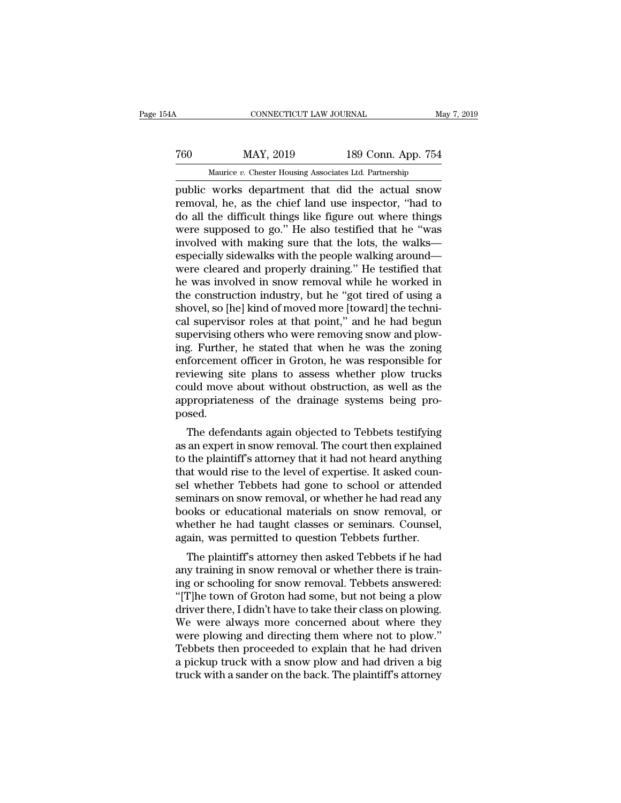# EXECUTE CONNECTICUT LAW JOURNAL May 7, 2019<br>
760 MAY, 2019 189 Conn. App. 754<br>
Maurice v. Chester Housing Associates Ltd. Partnership CONNECTICUT LAW JOURNAL May 7, 2019<br>
MAY, 2019 189 Conn. App. 754<br>
Maurice *v.* Chester Housing Associates Ltd. Partnership<br>
public works department that did the actual snow

FREE CONNECTICUT LAW JOURNAL May 7, 2019<br>
TREE MAY, 2019 189 Conn. App. 754<br>
Maurice v. Chester Housing Associates Ltd. Partnership<br>
public works department that did the actual snow<br>
removal, he, as the chief land use insp Teo MAY, 2019 189 Conn. App. 754<br>
Maurice *v*. Chester Housing Associates Ltd. Partnership<br>
public works department that did the actual snow<br>
removal, he, as the chief land use inspector, "had to<br>
do all the difficult thin  $\begin{tabular}{ll} 760 & \text{MAX, } 2019 & \text{189 Conn. App. 754} \\ \hline \hline \text{ Maurice } v. \text{ Chester Housing Associates Ltd. Partnership} \\ \text{public works department that did the actual snow} \\ \text{removal, he, as the chief land use inspector, "had to do all the difficult things like figure out where things} \\ \text{were supposed to go." He also testified that he "was involved with making sure that the lots the wells. \end{tabular}$  $\begin{tabular}{ c c c c} \hline & \text{MAY, 2019} & \text{189 Conn. App. 754} \\ \hline \text{Maurice } v. \text{ Chester Housing Associates Ltd. Partnership} \\ \hline \text{public works department that did the actual snow} \\ \text{removal, he, as the chief land use inspector, "had to do all the difficult things like figure out where things} \\ \text{were supposed to go." He also testified that he "was involved with making sure that the lots, the walks—  
aspcically sideways with the people walking around. \\ \hline \end{tabular}$ Maurice v. Chester Housing Associates Ltd. Partnership<br>public works department that did the actual snow<br>removal, he, as the chief land use inspector, "had to<br>do all the difficult things like figure out where things<br>were s Maurice v. Chester Housing Associates Ltd. Partnership<br>public works department that did the actual snow<br>removal, he, as the chief land use inspector, "had to<br>do all the difficult things like figure out where things<br>were s public works department that did the actual snow<br>removal, he, as the chief land use inspector, "had to<br>do all the difficult things like figure out where things<br>were supposed to go." He also testified that he "was<br>involved removal, he, as the chief land use inspector, "had to<br>do all the difficult things like figure out where things<br>were supposed to go." He also testified that he "was<br>involved with making sure that the lots, the walks—<br>especi do all the difficult things like figure out where things<br>were supposed to go." He also testified that he "was<br>involved with making sure that the lots, the walks—<br>especially sidewalks with the people walking around—<br>were cl were supposed to go." He also testified that he "was<br>involved with making sure that the lots, the walks<br>especially sidewalks with the people walking around—<br>were cleared and properly draining." He testified that<br>he was inv involved with making sure that the lots, the walks—<br>especially sidewalks with the people walking around—<br>were cleared and properly draining." He testified that<br>he was involved in snow removal while he worked in<br>the constru especially sidewalks with the people walking around—<br>were cleared and properly draining." He testified that<br>he was involved in snow removal while he worked in<br>the construction industry, but he "got tired of using a<br>shovel, were cleared and properly draining." He testified that<br>he was involved in snow removal while he worked in<br>the construction industry, but he "got tired of using a<br>shovel, so [he] kind of moved more [toward] the techni-<br>cal he was involved in snow removal while he worked in<br>the construction industry, but he "got tired of using a<br>shovel, so [he] kind of moved more [toward] the techni-<br>cal supervisor roles at that point," and he had begun<br>super the construction industry, but he "got tired of using a<br>shovel, so [he] kind of moved more [toward] the techni-<br>cal supervisor roles at that point," and he had begun<br>supervising others who were removing snow and plow-<br>ing. shovel, so [he] kind of moved more [toward] the techni-<br>cal supervisor roles at that point," and he had begun<br>supervising others who were removing snow and plow-<br>ing. Further, he stated that when he was the zoning<br>enforcem cal supervisor roles at that point," and he had begun<br>supervising others who were removing snow and plow-<br>ing. Further, he stated that when he was the zoning<br>enforcement officer in Groton, he was responsible for<br>reviewing posed. g. Further, he stated that when he was the zoning<br>forcement officer in Groton, he was responsible for<br>viewing site plans to assess whether plow trucks<br>uld move about without obstruction, as well as the<br>propriateness of the enforcement officer in croton, he was responsible for<br>reviewing site plans to assess whether plow trucks<br>could move about without obstruction, as well as the<br>appropriateness of the drainage systems being pro-<br>posed.<br>The de

teviewing site plans to assess whether plow trucks<br>could move about without obstruction, as well as the<br>appropriateness of the drainage systems being pro-<br>posed.<br>The defendants again objected to Tebbets testifying<br>as an ex tould move about without obstruction, as well as the<br>appropriateness of the drainage systems being pro-<br>posed.<br>The defendants again objected to Tebbets testifying<br>as an expert in snow removal. The court then explained<br>to t appropriateness or the dramage systems being pro-<br>posed.<br>The defendants again objected to Tebbets testifying<br>as an expert in snow removal. The court then explained<br>to the plaintiff's attorney that it had not heard anything posed.<br>The defendants again objected to Tebbets testifying<br>as an expert in snow removal. The court then explained<br>to the plaintiff's attorney that it had not heard anything<br>that would rise to the level of expertise. It ask The defendants again objected to Tebbets testifying<br>as an expert in snow removal. The court then explained<br>to the plaintiff's attorney that it had not heard anything<br>that would rise to the level of expertise. It asked coun as an expert in snow removal. The court then explained<br>to the plaintiff's attorney that it had not heard anything<br>that would rise to the level of expertise. It asked coun-<br>sel whether Tebbets had gone to school or attended to the plaintiff's attorney that it had not heard anything<br>that would rise to the level of expertise. It asked coun-<br>sel whether Tebbets had gone to school or attended<br>seminars on snow removal, or whether he had read any<br>b at would rise to the lever of expertise. It asked coun-<br>I whether Tebbets had gone to school or attended<br>minars on snow removal, or whether he had read any<br>ooks or educational materials on snow removal, or<br>nether he had ta ser whether Tebbets had gone to school or attented<br>seminars on snow removal, or whether he had read any<br>books or educational materials on snow removal, or<br>whether he had taught classes or seminars. Counsel,<br>again, was perm

sentinars on show removal, or whether he had read any<br>books or educational materials on snow removal, or<br>whether he had taught classes or seminars. Counsel,<br>again, was permitted to question Tebbets further.<br>The plaintiff's books of educational materials on show fentoval, or<br>
whether he had taught classes or seminars. Counsel,<br>
again, was permitted to question Tebbets further.<br>
The plaintiff's attorney then asked Tebbets if he had<br>
any traini whether he had taught classes of seminals. Counsel,<br>again, was permitted to question Tebbets further.<br>The plaintiff's attorney then asked Tebbets if he had<br>any training in snow removal or whether there is train-<br>ing or sch agant, was permitted to question Tebbets intuler.<br>The plaintiff's attorney then asked Tebbets if he had<br>any training in snow removal or whether there is train-<br>ing or schooling for snow removal. Tebbets answered:<br>"[T]he to The plaintiff's attorney then asked Tebbets if he had<br>any training in snow removal or whether there is train-<br>ing or schooling for snow removal. Tebbets answered:<br>"[T]he town of Groton had some, but not being a plow<br>driver any training in snow removal or whether there is training or schooling for snow removal. Tebbets answered:<br>"[T]he town of Groton had some, but not being a plow<br>driver there, I didn't have to take their class on plowing.<br>We ing or schooling for snow removal. Tebbets answered:<br>"[T]he town of Groton had some, but not being a plow<br>driver there, I didn't have to take their class on plowing.<br>We were always more concerned about where they<br>were plow "[T]he town of Groton had some, but not being a plow<br>driver there, I didn't have to take their class on plowing.<br>We were always more concerned about where they<br>were plowing and directing them where not to plow."<br>Tebbets th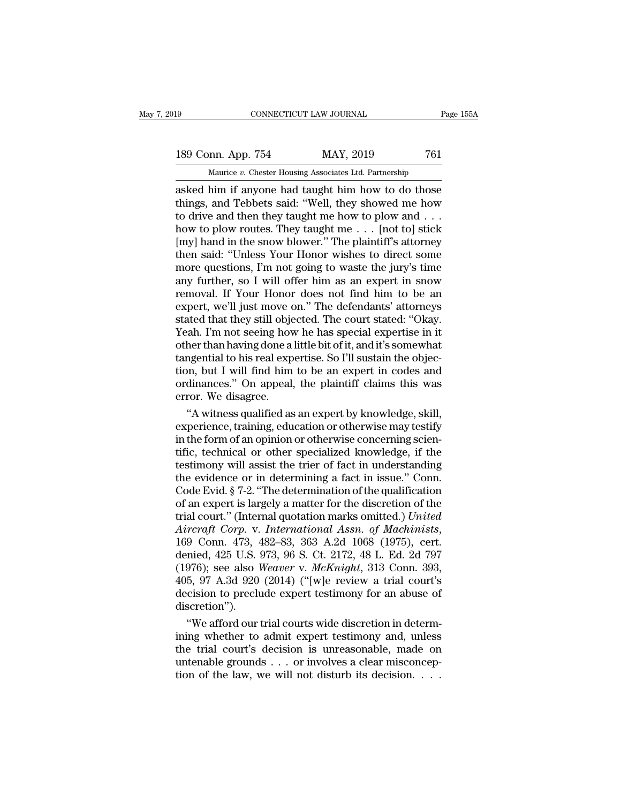### 189 CONNECTICUT LAW JOURNAL Page 155A<br>
189 Conn. App. 754 MAY, 2019 761<br>
Maurice v. Chester Housing Associates Ltd. Partnership CONNECTICUT LAW JOURNAL Pa<br>
mn. App. 754 MAY, 2019 761<br>
Maurice *v.* Chester Housing Associates Ltd. Partnership<br>
him if anyone had taught him how to do those

connectricut LAW JOURNAL Page 155A<br>
189 Conn. App. 754 MAY, 2019 761<br>
Maurice v. Chester Housing Associates Ltd. Partnership<br>
asked him if anyone had taught him how to do those<br>
things, and Tebbets said: "Well, they showed 189 Conn. App. 754 MAY, 2019 761<br>
Maurice *v*. Chester Housing Associates Ltd. Partnership<br>
asked him if anyone had taught him how to do those<br>
things, and Tebbets said: "Well, they showed me how<br>
to drive and then they ta 189 Conn. App. 754 MAY, 2019 761<br>
Maurice *v*. Chester Housing Associates Ltd. Partnership<br>
asked him if anyone had taught him how to do those<br>
things, and Tebbets said: "Well, they showed me how<br>
to drive and then they t 189 Conn. App. 754 MAY, 2019 761<br>
Maurice *v*. Chester Housing Associates Ltd. Partnership<br>
asked him if anyone had taught him how to do those<br>
things, and Tebbets said: "Well, they showed me how<br>
to drive and then they ta Maurice v. Chester Housing Associates Ltd. Partnership<br>asked him if anyone had taught him how to do those<br>things, and Tebbets said: "Well, they showed me how<br>to drive and then they taught me how to plow and . . .<br>how to p Maurice *v*. Chester Housing Associates Ltd. Partnership<br>asked him if anyone had taught him how to do those<br>things, and Tebbets said: "Well, they showed me how<br>to drive and then they taught me how to plow and . . .<br>how to asked him if anyone had taught him how to do those<br>things, and Tebbets said: "Well, they showed me how<br>to drive and then they taught me how to plow and . . .<br>how to plow routes. They taught me . . . [not to] stick<br>[my] han things, and Tebbets said: "Well, they showed me how<br>to drive and then they taught me how to plow and . . .<br>how to plow routes. They taught me . . . [not to] stick<br>[my] hand in the snow blower." The plaintiff's attorney<br>th to drive and then they taught me how to plow and . . .<br>how to plow routes. They taught me . . . [not to] stick<br>[my] hand in the snow blower." The plaintiff's attorney<br>then said: "Unless Your Honor wishes to direct some<br>mo how to plow routes. They taught me . . . [not to] stick<br>[my] hand in the snow blower." The plaintiff's attorney<br>then said: "Unless Your Honor wishes to direct some<br>more questions, I'm not going to waste the jury's time<br>any [my] hand in the snow blower." The plaintiff's attorney<br>then said: "Unless Your Honor wishes to direct some<br>more questions, I'm not going to waste the jury's time<br>any further, so I will offer him as an expert in snow<br>remov then said: "Unless Your Honor wishes to direct some<br>more questions, I'm not going to waste the jury's time<br>any further, so I will offer him as an expert in snow<br>removal. If Your Honor does not find him to be an<br>expert, we' more questions, I'm not going to waste the jury's time<br>any further, so I will offer him as an expert in snow<br>removal. If Your Honor does not find him to be an<br>expert, we'll just move on." The defendants' attorneys<br>stated t any further, so I will offer him as an expert in snow<br>removal. If Your Honor does not find him to be an<br>expert, we'll just move on." The defendants' attorneys<br>stated that they still objected. The court stated: "Okay.<br>Yeah. removal. If Your Honor does not find him to be an expert, we'll just move on." The defendants' attorneys stated that they still objected. The court stated: "Okay. Yeah. I'm not seeing how he has special expertise in it oth expert, we'll just move on." The defendants' attorneys<br>stated that they still objected. The court stated: "Okay.<br>Yeah. I'm not seeing how he has special expertise in it<br>other than having done a little bit of it, and it's s stated that they still obje<br>Yeah. I'm not seeing hov<br>other than having done a<br>tangential to his real exp<br>tion, but I will find him<br>ordinances." On appeal,<br>error. We disagree.<br>"A witness qualified as ah. I'm not seeing how he has special expertise in it<br>her than having done a little bit of it, and it's somewhat<br>ngential to his real expertise. So I'll sustain the objec-<br>n, but I will find him to be an expert in codes an other than having done a little bit of it, and it's somewhat<br>tangential to his real expertise. So I'll sustain the objec-<br>tion, but I will find him to be an expert in codes and<br>ordinances." On appeal, the plaintiff claims

tangential to his real expertise. So I'll sustain the objection, but I will find him to be an expert in codes and ordinances." On appeal, the plaintiff claims this was error. We disagree.<br>"A witness qualified as an expert tion, but I will find him to be an expert in codes and<br>ordinances." On appeal, the plaintiff claims this was<br>error. We disagree.<br>"A witness qualified as an expert by knowledge, skill,<br>experience, training, education or oth ordinances." On appeal, the plaintiff claims this was<br>error. We disagree.<br>"A witness qualified as an expert by knowledge, skill,<br>experience, training, education or otherwise may testify<br>in the form of an opinion or otherwi error. We disagree.<br>
"A witness qualified as an expert by knowledge, skill,<br>
experience, training, education or otherwise may testify<br>
in the form of an opinion or otherwise concerning scien-<br>
tific, technical or other spe "A witness qualified as an expert by knowledge, skill,<br>experience, training, education or otherwise may testify<br>in the form of an opinion or otherwise concerning scien-<br>tific, technical or other specialized knowledge, if experience, training, education or otherwise may testify<br>in the form of an opinion or otherwise concerning scien-<br>tific, technical or other specialized knowledge, if the<br>testimony will assist the trier of fact in understan in the form of an opinion or otherwise concerning scientific, technical or other specialized knowledge, if the testimony will assist the trier of fact in understanding the evidence or in determining a fact in issue." Conn. *Aircraft Corp.* **And Assn.** *International Assn. Aircraft Corp.* **And Aircraft Corp.** Corp. Code Evid. § 7-2. "The determination of the qualification of an expert is largely a matter for the discretion of the trial cour the evidence or in determining a fact in issue." Conn.<br>
Code Evid. § 7-2. "The determination of the qualification<br>
of an expert is largely a matter for the discretion of the<br>
trial court." (Internal quotation marks omitte Code Evid. § 7-2. "The determination of the qualification<br>of an expert is largely a matter for the discretion of the<br>trial court." (Internal quotation marks omitted.) *United*<br>Aircraft Corp. v. *International Assn. of Mach* of an expert is largely a matter for the discretion of the<br>trial court." (Internal quotation marks omitted.) United<br>Aircraft Corp. v. International Assn. of Machinists,<br>169 Conn. 473, 482–83, 363 A.2d 1068 (1975), cert.<br>de trial court." (Internal quotation marks omitted.) *United*<br>Aircraft Corp. v. International Assn. of Machinists,<br>169 Conn. 473, 482–83, 363 A.2d 1068 (1975), cert.<br>denied, 425 U.S. 973, 96 S. Ct. 2172, 48 L. Ed. 2d 797<br>(197 discretion''). 9 Conn. 473, 482–83, 363 A.2d 1068 (1975), cert.<br>
nied, 425 U.S. 973, 96 S. Ct. 2172, 48 L. Ed. 2d 797<br>
976); see also *Weaver v. McKnight*, 313 Conn. 393,<br>
5, 97 A.3d 920 (2014) ("[w]e review a trial court's<br>
ccision to denied, 425 U.S. 973, 96 S. Ct. 2172, 48 L. Ed. 2d 797<br>(1976); see also *Weaver* v. *McKnight*, 313 Conn. 393,<br>405, 97 A.3d 920 (2014) ("[w]e review a trial court's<br>decision to preclude expert testimony for an abuse of<br>di

(1976); see also *Weaver* v. *McKnight*, 313 Conn. 393,<br>405, 97 A.3d 920 (2014) ("[w]e review a trial court's<br>decision to preclude expert testimony for an abuse of<br>discretion").<br>"We afford our trial courts wide discretion 405, 97 A.3d 920 (2014) ("|w]e review a trial court's decision to preclude expert testimony for an abuse of discretion").<br>
"We afford our trial courts wide discretion in determining whether to admit expert testimony and, decision to preclude expert testimony for an abuse of discretion").<br>
"We afford our trial courts wide discretion in determining whether to admit expert testimony and, unless<br>
the trial court's decision is unreasonable, mad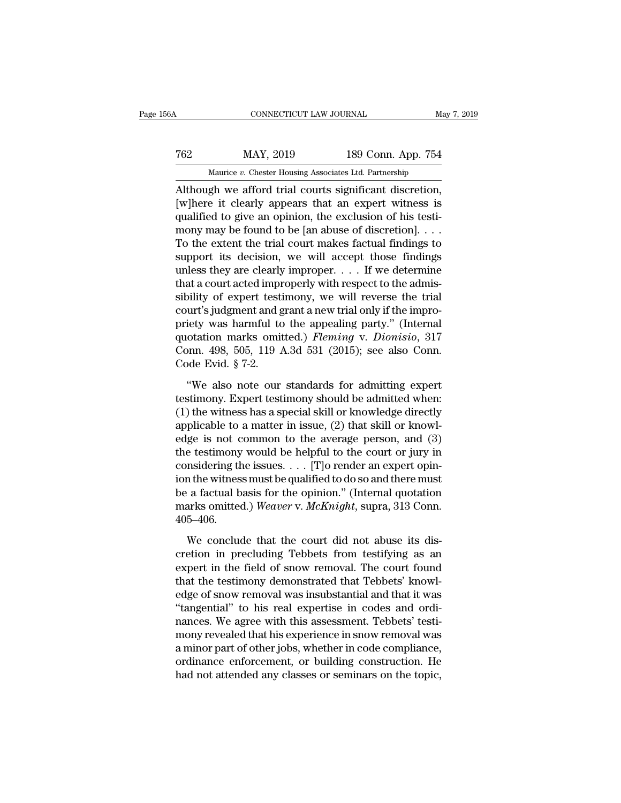### EXECUTE CONNECTICUT LAW JOURNAL May 7, 2019<br>T62 MAY, 2019 189 Conn. App. 754<br>Maurice v. Chester Housing Associates Ltd. Partnership CONNECTICUT LAW JOURNAL May<br>MAY, 2019 189 Conn. App. 754<br>Maurice *v.* Chester Housing Associates Ltd. Partnership<br>oh we afford trial courts significant discretion

CONNECTICUT LAW JOURNAL May 7, 2<br>
T62 MAY, 2019 189 Conn. App. 754<br>
Maurice v. Chester Housing Associates Ltd. Partnership<br>
Although we afford trial courts significant discretion,<br>
[w]here it clearly appears that an expert MAY, 2019 189 Conn. App. 754<br>
Maurice *v*. Chester Housing Associates Ltd. Partnership<br>
Although we afford trial courts significant discretion,<br>
[w]here it clearly appears that an expert witness is<br>
qualified to give an op T62 MAY, 2019 189 Conn. App. 754<br>
Maurice *v*. Chester Housing Associates Ltd. Partnership<br>
Although we afford trial courts significant discretion,<br>
[w]here it clearly appears that an expert witness is<br>
qualified to give MAY, 2019 189 Conn. App. 754<br>
Maurice *v*. Chester Housing Associates Ltd. Partnership<br>
Although we afford trial courts significant discretion,<br>
[w]here it clearly appears that an expert witness is<br>
qualified to give an o Maurice *v*. Chester Housing Associates Ltd. Partnership<br>Although we afford trial courts significant discretion,<br>[w]here it clearly appears that an expert witness is<br>qualified to give an opinion, the exclusion of his test Maurice *v*. Chester Housing Associates Ltd. Partnership<br>Although we afford trial courts significant discretion,<br>[w]here it clearly appears that an expert witness is<br>qualified to give an opinion, the exclusion of his test Although we afford trial courts significant discretion,<br>[w]here it clearly appears that an expert witness is<br>qualified to give an opinion, the exclusion of his testi-<br>mony may be found to be [an abuse of discretion]. . . [w]here it clearly appears that an expert witness is<br>qualified to give an opinion, the exclusion of his testi-<br>mony may be found to be [an abuse of discretion]. . . .<br>To the extent the trial court makes factual findings t qualified to give an opinion, the exclusion of his testi-<br>mony may be found to be [an abuse of discretion]. . . .<br>To the extent the trial court makes factual findings to<br>support its decision, we will accept those findings mony may be found to be [an abuse of discretion]. . . . To the extent the trial court makes factual findings to support its decision, we will accept those findings unless they are clearly improper. . . . If we determine t To the extent the trial court makes factual findings to<br>support its decision, we will accept those findings<br>unless they are clearly improper.... If we determine<br>that a court acted improperly with respect to the admis-<br>sib support its decision, we will accept those findings<br>unless they are clearly improper. . . . If we determine<br>that a court acted improperly with respect to the admis-<br>sibility of expert testimony, we will reverse the trial<br> unless they are clearly improper. . . . If we determine<br>that a court acted improperly with respect to the admis-<br>sibility of expert testimony, we will reverse the trial<br>court's judgment and grant a new trial only if the i that a court acted impresibility of expert testic court's judgment and g<br>priety was harmful to<br>quotation marks omit<br>Conn. 498, 505, 119  $\ell$ <br>Code Evid.  $\S$  7-2.<br>"We also note our urt's judgment and grant a new trial only if the impro-<br>
iety was harmful to the appealing party." (Internal<br>
otation marks omitted.) *Fleming* v. *Dionisio*, 317<br>
pnn. 498, 505, 119 A.3d 531 (2015); see also Conn.<br>
ode Ev priety was harmful to the appealing party." (Internal<br>quotation marks omitted.) *Fleming* v. *Dionisio*, 317<br>Conn. 498, 505, 119 A.3d 531 (2015); see also Conn.<br>Code Evid. § 7-2.<br>"We also note our standards for admitting

quotation marks omitted.) *Fleming* v. *Dionisio*, 317<br>Conn. 498, 505, 119 A.3d 531 (2015); see also Conn.<br>Code Evid. § 7-2.<br>"We also note our standards for admitting expert<br>testimony. Expert testimony should be admitted Conn. 498, 505, 119 A.3d 531 (2015); see also Conn.<br>Code Evid. § 7-2.<br>"We also note our standards for admitting expert<br>testimony. Expert testimony should be admitted when:<br>(1) the witness has a special skill or knowledge Code Evid. § 7-2.<br>
"We also note our standards for admitting expert<br>
testimony. Expert testimony should be admitted when:<br>
(1) the witness has a special skill or knowledge directly<br>
applicable to a matter in issue, (2) th "We also note our standards for admitting expert<br>testimony. Expert testimony should be admitted when:<br>(1) the witness has a special skill or knowledge directly<br>applicable to a matter in issue, (2) that skill or knowl-<br>edg "We also note our standards for admitting expert<br>testimony. Expert testimony should be admitted when:<br>(1) the witness has a special skill or knowledge directly<br>applicable to a matter in issue, (2) that skill or knowl-<br>edg testimony. Expert testimony should be admitted when:<br>
(1) the witness has a special skill or knowledge directly<br>
applicable to a matter in issue, (2) that skill or knowl-<br>
edge is not common to the average person, and (3) (1) the witness has a special skill or knowledge directly<br>applicable to a matter in issue, (2) that skill or knowl-<br>edge is not common to the average person, and (3)<br>the testimony would be helpful to the court or jury in<br> applicable to a matter in issue, (2) that skill or knowledge is not common to the average person, and (3) the testimony would be helpful to the court or jury in considering the issues. . . . [T]o render an expert opinion t 405–406. msidering the issues.  $\ldots$  [T]o render an expert opin-<br>in the witness must be qualified to do so and there must<br>a factual basis for the opinion." (Internal quotation<br>arks omitted.) Weaver v. McKnight, supra, 313 Conn.<br>5– ion the witness must be qualified to do so and there must<br>be a factual basis for the opinion." (Internal quotation<br>marks omitted.) Weaver v. McKnight, supra, 313 Conn.<br>405–406.<br>We conclude that the court did not abuse its

be a factual basis for the opinion." (Internal quotation<br>marks omitted.) Weaver v. McKnight, supra, 313 Conn.<br>405–406.<br>We conclude that the court did not abuse its dis-<br>cretion in precluding Tebbets from testifying as an<br> marks omitted.) Weaver v. McKnight, supra, 313 Conn.<br>405–406.<br>We conclude that the court did not abuse its discretion in precluding Tebbets from testifying as an<br>expert in the field of snow removal. The court found<br>that t 405–406.<br>We conclude that the court did not abuse its discretion in precluding Tebbets from testifying as an expert in the field of snow removal. The court found that the testimony demonstrated that Tebbets' knowledge of We conclude that the court did not abuse its discretion in precluding Tebbets from testifying as an expert in the field of snow removal. The court found that the testimony demonstrated that Tebbets' knowledge of snow remov We conclude that the court did not abuse its discretion in precluding Tebbets from testifying as an expert in the field of snow removal. The court found that the testimony demonstrated that Tebbets' knowledge of snow remov cretion in precluding Tebbets from testifying as an<br>expert in the field of snow removal. The court found<br>that the testimony demonstrated that Tebbets' knowl-<br>edge of snow removal was insubstantial and that it was<br>"tangenti expert in the field of snow removal. The court found<br>that the testimony demonstrated that Tebbets' knowl-<br>edge of snow removal was insubstantial and that it was<br>"tangential" to his real expertise in codes and ordi-<br>nances. that the testimony demonstrated that Tebbets' knowledge of snow removal was insubstantial and that it was<br>"tangential" to his real expertise in codes and ordinances. We agree with this assessment. Tebbets' testi-<br>mony reve edge of snow removal was insubstantial and that it was<br>"tangential" to his real expertise in codes and ordi-<br>nances. We agree with this assessment. Tebbets' testi-<br>mony revealed that his experience in snow removal was<br>a mi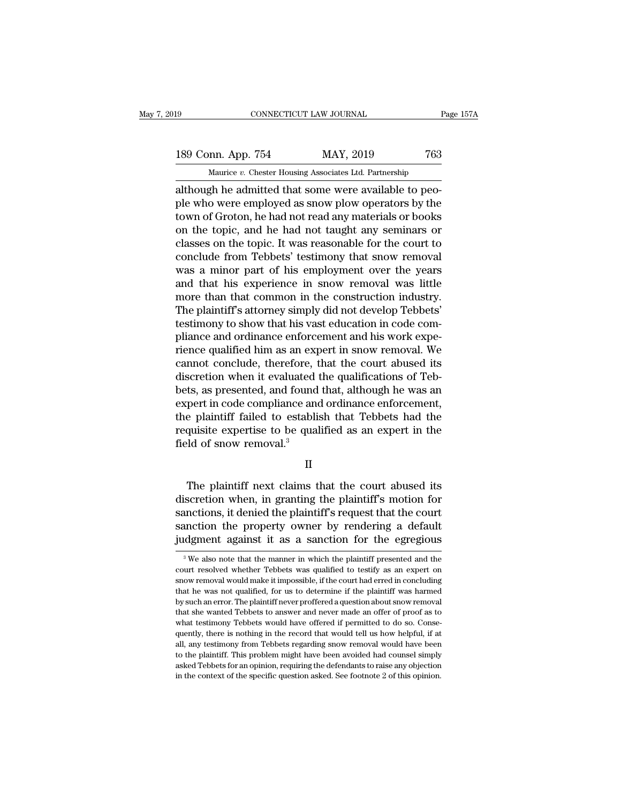# 189 CONNECTICUT LAW JOURNAL Page 157A<br>189 Conn. App. 754 MAY, 2019 763<br>Maurice v. Chester Housing Associates Ltd. Partnership

EXECUTE LAW JOURNAL PROPERTY CONNECTICUT LAW JOURNAL PROPERTY ON THE PROPERTY OF THE MANUS MARK ASSOCIATES AND MANUS ASSOCIATES AND MODEL THAT A structure of Cross and the people who were employed as snow plow operators by 189 Conn. App. 754 MAY, 2019 763<br>
Maurice v. Chester Housing Associates Ltd. Partnership<br>
although he admitted that some were available to peo-<br>
ple who were employed as snow plow operators by the<br>
town of Groton, he had n 189 Conn. App. 754 MAY, 2019 763<br>
Maurice *v*. Chester Housing Associates Ltd. Partnership<br>
although he admitted that some were available to peo-<br>
ple who were employed as snow plow operators by the<br>
town of Groton, he ha 189 Conn. App. 754 MAY, 2019 763<br>
Maurice *v*. Chester Housing Associates Ltd. Partnership<br>
although he admitted that some were available to peo-<br>
ple who were employed as snow plow operators by the<br>
town of Groton, he ha Maurice  $v$ . Chester Housing Associates Ltd. Partnership<br>although he admitted that some were available to peo-<br>ple who were employed as snow plow operators by the<br>town of Groton, he had not read any materials or books<br>on matrice  $v$ . Chester Housing associates Ltd. Partnership<br>although he admitted that some were available to peo-<br>ple who were employed as snow plow operators by the<br>town of Groton, he had not read any materials or books<br>on although he admitted that some were available to peo-<br>ple who were employed as snow plow operators by the<br>town of Groton, he had not read any materials or books<br>on the topic, and he had not taught any seminars or<br>classes o ple who were employed as snow plow operators by the<br>town of Groton, he had not read any materials or books<br>on the topic, and he had not taught any seminars or<br>classes on the topic. It was reasonable for the court to<br>conclu town of Groton, he had not read any materials or books<br>on the topic, and he had not taught any seminars or<br>classes on the topic. It was reasonable for the court to<br>conclude from Tebbets' testimony that snow removal<br>was a m on the topic, and he had not taught any seminars or classes on the topic. It was reasonable for the court to conclude from Tebbets' testimony that snow removal was a minor part of his employment over the years and that his classes on the topic. It was reasonable for the court to conclude from Tebbets' testimony that snow removal was a minor part of his employment over the years and that his experience in snow removal was little more than tha conclude from Tebbets' testimony that snow removal<br>was a minor part of his employment over the years<br>and that his experience in snow removal was little<br>more than that common in the construction industry.<br>The plaintiff's at was a minor part of his employment over the years<br>and that his experience in snow removal was little<br>more than that common in the construction industry.<br>The plaintiff's attorney simply did not develop Tebbets'<br>testimony to and that his experience in snow removal was little<br>more than that common in the construction industry.<br>The plaintiff's attorney simply did not develop Tebbets'<br>testimony to show that his vast education in code com-<br>pliance more than that common in the construction industry.<br>The plaintiff's attorney simply did not develop Tebbets'<br>testimony to show that his vast education in code com-<br>pliance and ordinance enforcement and his work expe-<br>rienc The plaintiff's attorney simply did not develop Tebbets'<br>testimony to show that his vast education in code com-<br>pliance and ordinance enforcement and his work expe-<br>rience qualified him as an expert in snow removal. We<br>can testimony to show that his vast education in code compliance and ordinance enforcement and his work experience qualified him as an expert in snow removal. We cannot conclude, therefore, that the court abused its discretion pliance and ordinance enforcement and his work experience qualified him as an expert in snow removal. We cannot conclude, therefore, that the court abused its discretion when it evaluated the qualifications of Tebbets, as rience qualified him as an expert in snow removal. We<br>cannot conclude, therefore, that the court abused its<br>discretion when it evaluated the qualifications of Teb-<br>bets, as presented, and found that, although he was an<br>exp cannot conclude, therefore, t<br>discretion when it evaluated<br>bets, as presented, and found<br>expert in code compliance and<br>the plaintiff failed to establis<br>requisite expertise to be qual<br>field of snow removal.<sup>3</sup> pert in code compliance and ordinance enforcement,<br>
e plaintiff failed to establish that Tebbets had the<br>
quisite expertise to be qualified as an expert in the<br>
ld of snow removal.<sup>3</sup><br>
II<br>
The plaintiff next claims that th

II

the plaintiff failed to establish that Tebbets had the<br>requisite expertise to be qualified as an expert in the<br>field of snow removal.<sup>3</sup><br>II<br>The plaintiff next claims that the court abused its<br>discretion when, in granting t requisite expertise to be qualified as an expert in the<br>field of snow removal.<sup>3</sup><br>II<br>The plaintiff next claims that the court abused its<br>discretion when, in granting the plaintiff's motion for<br>sanctions, it denied the plai II<br>II<br>II<br>The plaintiff next claims that the court abused its<br>discretion when, in granting the plaintiff's motion for<br>sanctions, it denied the plaintiff's request that the court<br>sanction the property owner by rendering a de II<br>The plaintiff next claims that the court abused its<br>discretion when, in granting the plaintiff's motion for<br>sanctions, it denied the plaintiff's request that the court<br>sanction the property owner by rendering a default discretion when, in granting the plaintiff's motion for sanctions, it denied the plaintiff's request that the court sanction the property owner by rendering a default judgment against it as a sanction for the egregious  $\$ sanctions, it denied the plaintiff's request that the court<br>sanction the property owner by rendering a default<br>judgment against it as a sanction for the egregious<br> $\frac{1}{3}$  We also note that the manner in which the plaint

sanction the property owner by rendering a default judgment against it as a sanction for the egregious  $\frac{1}{\sqrt{2}}$  we also note that the manner in which the plaintiff presented and the court resolved whether Tebbets was judgment against it as a sanction for the egregious<br>
<sup>3</sup> We also note that the manner in which the plaintiff presented and the<br>
court resolved whether Tebbets was qualified to testify as an expert on<br>
snow removal would m We also note that the manner in which the plaintiff presented and the court resolved whether Tebbets was qualified to testify as an expert on snow removal would make it impossible, if the court had erred in concluding tha <sup>3</sup> We also note that the manner in which the plaintiff presented and the court resolved whether Tebbets was qualified to testify as an expert on snow removal would make it impossible, if the court had erred in concluding court resolved whether Tebbets was qualified to testify as an expert on snow removal would make it impossible, if the court had erred in concluding that he was not qualified, for us to determine if the plaintiff was harmed show removal would make it impossible, if the court had erred in concluding that he was not qualified, for us to determine if the plaintiff was harmed by such an error. The plaintiff never proffered a question about snow r ally that he was not qualified, for us to determine if the plaintiff was harmed by such an error. The plaintiff never proffered a question about snow removal that she wanted Tebbets to answer and never made an offer of pro the way such an error. The plaintiff never proffered a question about show removal<br>that she wanted Tebbets to answer and never made an offer of proof as to<br>what testimony Tebbets would have offered if permitted to do so. C by some wanted Tebbets to answer and never made an offer of proof as to what testimony Tebbets would have offered if permitted to do so. Consequently, there is nothing in the record that would tell us how helpful, if at al what testimony Tebbets would have offered if permitted to do so. Consequently, there is nothing in the record that would tell us how helpful, if at all, any testimony from Tebbets regarding snow removal would have been to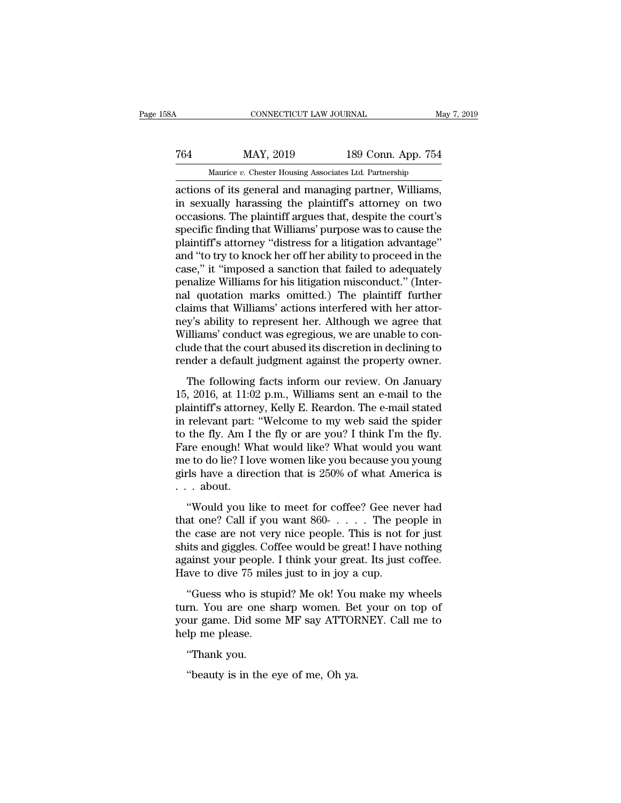# CONNECTICUT LAW JOURNAL May 7, 2019<br>
764 MAY, 2019 189 Conn. App. 754<br>
Maurice v. Chester Housing Associates Ltd. Partnership CONNECTICUT LAW JOURNAL May 7, 2019<br>
MAY, 2019 189 Conn. App. 754<br>
Maurice *v.* Chester Housing Associates Ltd. Partnership<br>
actions of its general and managing partner, Williams,

CONNECTICUT LAW JOURNAL May 7, 2<br>
T64 MAY, 2019 189 Conn. App. 754<br>
Maurice v. Chester Housing Associates Ltd. Partnership<br>
actions of its general and managing partner, Williams,<br>
in sexually harassing the plaintiff's atto T64 MAY, 2019 189 Conn. App. 754<br>
Maurice *v*. Chester Housing Associates Ltd. Partnership<br>
actions of its general and managing partner, Williams,<br>
in sexually harassing the plaintiff's attorney on two<br>
occasions. The plai Text MAY, 2019 189 Conn. App. 754<br>
Maurice *v*. Chester Housing Associates Ltd. Partnership<br>
actions of its general and managing partner, Williams,<br>
in sexually harassing the plaintiff's attorney on two<br>
occasions. The pl  $\begin{tabular}{l l l l} \hline & \text{MAY, 2019} & \text{189 Conn. App. 754} \\ \hline \text{Maurice } v. \text{ Chester Housing Associates Ltd. Parthership} \\ \hline \text{actions of its general and managing partner, Williams,} \\ \hline \text{in sexually harassing the plaintiff's attorney on two} \\ \hline \text{occasions. The plaintiff argues that, despite the court's} \\ \hline \text{specific finding that Williams' purpose was to cause the plaintiff's attorney "distress for a litigation advantage" \\ \hline \text{and "to try to knock her off her ability to proceed in the} \\ \hline \end{tabular}$ Maurice *v.* Chester Housing Associates Ltd. Partnership<br>actions of its general and managing partner, Williams,<br>in sexually harassing the plaintiff's attorney on two<br>occasions. The plaintiff argues that, despite the court Maurice  $v$ . Chester Housing Associates Ltd. Partnership<br>actions of its general and managing partner, Williams,<br>in sexually harassing the plaintiff's attorney on two<br>occasions. The plaintiff argues that, despite the court actions of its general and managing partner, Williams,<br>
in sexually harassing the plaintiff's attorney on two<br>
occasions. The plaintiff argues that, despite the court's<br>
specific finding that Williams' purpose was to cause in sexually harassing the plaintiff's attorney on two<br>occasions. The plaintiff argues that, despite the court's<br>specific finding that Williams' purpose was to cause the<br>plaintiff's attorney "distress for a litigation advan occasions. The plaintiff argues that, despite the court's<br>specific finding that Williams' purpose was to cause the<br>plaintiff's attorney "distress for a litigation advantage"<br>and "to try to knock her off her ability to proc specific finding that Williams' purpose was to cause the plaintiff's attorney "distress for a litigation advantage" and "to try to knock her off her ability to proceed in the case," it "imposed a sanction that failed to ad plaintiff's attorney "distress for a litigation advantage"<br>and "to try to knock her off her ability to proceed in the<br>case," it "imposed a sanction that failed to adequately<br>penalize Williams for his litigation misconduct. and "to try to knock her off her ability to proceed in the case," it "imposed a sanction that failed to adequately penalize Williams for his litigation misconduct." (Internal quotation marks omitted.) The plaintiff further case," it "imposed a sanction that failed to adequately<br>penalize Williams for his litigation misconduct." (Inter-<br>nal quotation marks omitted.) The plaintiff further<br>claims that Williams' actions interfered with her attorpenalize Williams for his litigation misconduct." (Internal quotation marks omitted.) The plaintiff further claims that Williams' actions interfered with her attorney's ability to represent her. Although we agree that Will The following facts informally the parameteristic significant in the same state.<br>
The following facts in the same of the following to conde that the court abused its discretion in declining to<br>
inder a default judgment ag reams that whilms actions interfered with her attor-<br>ney's ability to represent her. Although we agree that<br>Williams' conduct was egregious, we are unable to con-<br>clude that the court abused its discretion in declining to<br>

Williams' conduct was egregious, we are unable to conclude that the court abused its discretion in declining to render a default judgment against the property owner.<br>The following facts inform our review. On January 15, 2 winants conduct was egregious, we are unable to conclude that the court abused its discretion in declining to render a default judgment against the property owner.<br>The following facts inform our review. On January 15, 2016 render a default judgment against the property owner.<br>The following facts inform our review. On January<br>15, 2016, at 11:02 p.m., Williams sent an e-mail to the<br>plaintiff's attorney, Kelly E. Reardon. The e-mail stated<br>in r The following facts inform our review. On January 15, 2016, at 11:02 p.m., Williams sent an e-mail to the plaintiff's attorney, Kelly E. Reardon. The e-mail stated in relevant part: "Welcome to my web said the spider to t The following facts inform our review. On January<br>15, 2016, at 11:02 p.m., Williams sent an e-mail to the<br>plaintiff's attorney, Kelly E. Reardon. The e-mail stated<br>in relevant part: "Welcome to my web said the spider<br>to th 15, 2016, at 11:02 p.m., Williams sent an e-mail to the plaintiff's attorney, Kelly E. Reardon. The e-mail stated in relevant part: "Welcome to my web said the spider to the fly. Am I the fly or are you? I think I'm the f plaintiff's attorne<br>in relevant part:<br>to the fly. Am I<br>Fare enough! WI<br>me to do lie? I lo<br>girls have a dire<br>...about.<br>...about. The fly. Am I the fly or are you? I think I'm the fly.<br>
the fly. Am I the fly or are you? I think I'm the fly.<br>
e to do lie? I love women like you because you young<br>
respect to do lie? I love women like you because you you Fare enough! What would like? What would you want<br>me to do lie? I love women like you because you young<br>girls have a direction that is 250% of what America is<br>... about.<br>"Would you like to meet for coffee? Gee never had<br>t

The chologic with women like you because you young<br>the condition of the case are direction that is 250% of what America is<br> $\ldots$  about.<br>"Would you like to meet for coffee? Gee never had<br>that one? Call if you want 860- $\ldots$ shits and giggles. Coffee would be great! I have nothing against you like to meet for coffee? Gee never had that one? Call if you want 860- $\dots$ . The people in the case are not very nice people. This is not for just shits and the different matrix  $250\%$  of what finitefied is  $\ldots$  about.<br>
"Would you like to meet for coffee? Gee never had that one? Call if you want  $860\ldots$ ... The people in the case are not very nice people. This is not fo ... about.<br>
"Would you like to meet for coffee? Gee never had<br>
that one? Call if you want 860-.... The people in<br>
the case are not very nice people. This is not for just<br>
shits and giggles. Coffee would be great! I have n would you mide to hicet for correct december and at one? Call if you want 860- $\dots$ . The people in<br>e case are not very nice people. This is not for just<br>its and giggles. Coffee would be great! I have nothing<br>ainst your peo the case are not very nice people. This is not for just<br>the case are not very nice people. This is not for just<br>shits and giggles. Coffee would be great! I have nothing<br>against your people. I think your great. Its just co

shits and giggles. Coffee would be great! I have nothing against your people. I think your great. Its just coffee.<br>Have to dive 75 miles just to in joy a cup.<br>"Guess who is stupid? Me ok! You make my wheels turn. You are o shas and giggles. On<br>against your people.<br>Have to dive 75 mile<br>"Guess who is stup<br>turn. You are one sl<br>your game. Did some<br>help me please.<br>"Thank you. we to dive 75 mil<br>"Guess who is sti<br>rn. You are one :<br>ur game. Did son<br>lp me please.<br>"Thank you.<br>"beauty is in the "Guess who is stupid? Me ok! You<br>rn. You are one sharp women. Be<br>ur game. Did some MF say ATTOF<br>lp me please.<br>"Thank you.<br>"beauty is in the eye of me, Oh ya.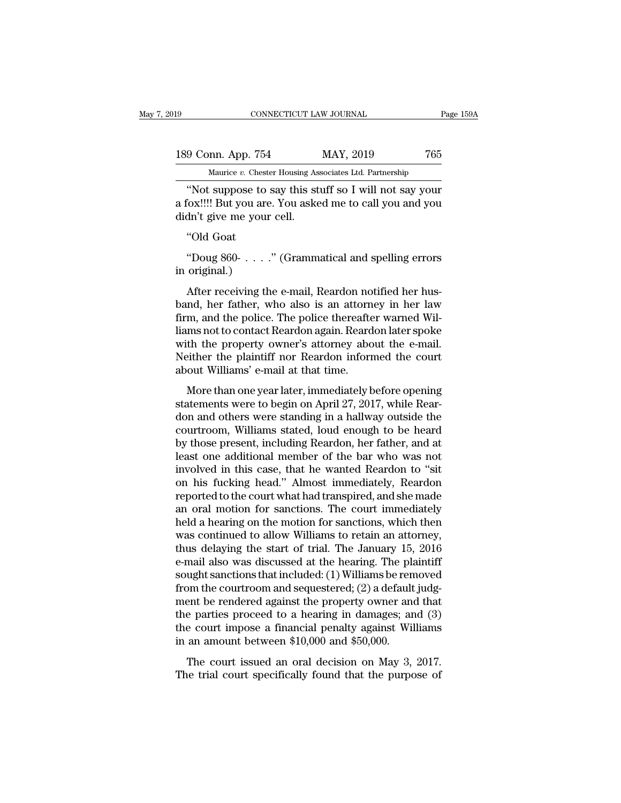| 19                 | CONNECTICUT LAW JOURNAL                                | Page 159A |
|--------------------|--------------------------------------------------------|-----------|
| 189 Conn. App. 754 | MAY, 2019                                              | 765       |
|                    | Maurice v. Chester Housing Associates Ltd. Partnership |           |
|                    | "Not suppose to say this stuff so I will not say your  |           |

CONNECTICUT LAW JOURNAL Page 159A<br>
9 Conn. App. 754 MAY, 2019 765<br>
Maurice v. Chester Housing Associates Ltd. Partnership<br>
"Not suppose to say this stuff so I will not say your<br>
"Ox!!!! But you are. You asked me to call yo 189 Conn. App. 754 MAY, 2019 765<br>
Maurice v. Chester Housing Associates Ltd. Partnership<br>
"Not suppose to say this stuff so I will not say your<br>
a fox!!!! But you are. You asked me to call you and you<br>
didn't give me your 189 Conn. App. 754<br>Maurice v. Chester Housing As<br>"Not suppose to say this st<br>a fox!!!! But you are. You asked<br>didn't give me your cell.<br>"Old Goat 9 Conn. App. 754<br>Maurice v. Chest<br>"Not suppose to<br>"Old Goat"<br>"Old Goat"<br>Doug 860- . . . . When the vertical model is stuff so I will not say your<br>
"Not suppose to say this stuff so I will not say your<br>
"Old Goat"<br>
"Old Goat"<br>
Doug 860- . . . . " (Grammatical and spelling errors<br>
original.) "Not suppose to :<br>a fox!!!! But you are<br>didn't give me your<br>"Old Goat<br>"Doug 860- . . . . .<br>in original.)<br>After receiving th

After receiving the e-mail, Reardon notified her hus-<br>  $\text{Mod}(R)$ <br>
After receiving the e-mail, Reardon notified her hus-<br>
After receiving the e-mail, Reardon notified her hus-<br>
After receiving the e-mail, Reardon notified "Old Goat"<br>
"Doug 860-  $\dots$ " (Grammatical and spelling errors<br>
in original.)<br>
After receiving the e-mail, Reardon notified her hus-<br>
band, her father, who also is an attorney in her law<br>
firm, and the police. The police t "Doug 860-  $\ldots$  ." (Grammatical and spelling errors<br>in original.)<br>After receiving the e-mail, Reardon notified her hus-<br>band, her father, who also is an attorney in her law<br>firm, and the police. The police thereafter war "Doug 860-  $\ldots$  ." (Grammatical and spelling errors<br>in original.)<br>After receiving the e-mail, Reardon notified her hus-<br>band, her father, who also is an attorney in her law<br>firm, and the police. The police thereafter war  $\sigma$  bodg 600  $\ldots$  (Grammatical and spendig errors)<br>in original.)<br>After receiving the e-mail, Reardon notified her hus-<br>band, her father, who also is an attorney in her law<br>firm, and the police. The police thereafter war After receiving the e-mail, Reardon notified her hus-<br>band, her father, who also is an attorney in her law<br>firm, and the police. The police thereafter warned Wil-<br>liams not to contact Reardon again. Reardon later spoke<br>wit After receiving the e-mail, Reardon no<br>band, her father, who also is an attorn<br>firm, and the police. The police thereafte<br>liams not to contact Reardon again. Reard<br>with the property owner's attorney abo<br>Neither the plainti m, and the police. The police thereafter warned Wil-<br>ms not to contact Reardon again. Reardon later spoke<br>th the property owner's attorney about the e-mail.<br>iither the plaintiff nor Reardon informed the court<br>out Williams' Firm, and the police. The police thereafter warhed wire<br>liams not to contact Reardon again. Reardon later spoke<br>with the property owner's attorney about the e-mail.<br>Neither the plaintiff nor Reardon informed the court<br>abou

mants not to contact ricardon again. It cardon rater spoke<br>with the property owner's attorney about the e-mail.<br>Neither the plaintiff nor Reardon informed the court<br>about Williams' e-mail at that time.<br>More than one year l What are property owner's attorney about the climat.<br>Neither the plaintiff nor Reardon informed the court<br>about Williams' e-mail at that time.<br>More than one year later, immediately before opening<br>statements were to begin o Reflated the plantation for iteration into ite court<br>about Williams' e-mail at that time.<br>More than one year later, immediately before opening<br>statements were to begin on April 27, 2017, while Rear-<br>don and others were sta More than one year later, immediately before opening<br>statements were to begin on April 27, 2017, while Rear-<br>don and others were standing in a hallway outside the<br>courtroom, Williams stated, loud enough to be heard<br>by thos More than one year later, immediately before opening<br>statements were to begin on April 27, 2017, while Rear-<br>don and others were standing in a hallway outside the<br>courtroom, Williams stated, loud enough to be heard<br>by thos statements were to begin on April 27, 2017, while Reardon and others were standing in a hallway outside the courtroom, Williams stated, loud enough to be heard<br>by those present, including Reardon, her father, and at least don and others were standing in a hallway outside the courtroom, Williams stated, loud enough to be heard<br>by those present, including Reardon, her father, and at<br>least one additional member of the bar who was not<br>involved courtroom, Williams stated, loud enough to be heard<br>by those present, including Reardon, her father, and at<br>least one additional member of the bar who was not<br>involved in this case, that he wanted Reardon to "sit<br>on his fu by those present, including Reardon, her father, and at least one additional member of the bar who was not involved in this case, that he wanted Reardon to "sit on his fucking head." Almost immediately, Reardon reported to least one additional member of the bar who was not<br>involved in this case, that he wanted Reardon to "sit<br>on his fucking head." Almost immediately, Reardon<br>reported to the court what had transpired, and she made<br>an oral mot involved in this case, that he wanted Reardon to "sit<br>on his fucking head." Almost immediately, Reardon<br>reported to the court what had transpired, and she made<br>an oral motion for sanctions. The court immediately<br>held a hea on his fucking head." Almost immediately, Reardon<br>reported to the court what had transpired, and she made<br>an oral motion for sanctions. The court immediately<br>held a hearing on the motion for sanctions, which then<br>was conti reported to the court what had transpired, and she made<br>an oral motion for sanctions. The court immediately<br>held a hearing on the motion for sanctions, which then<br>was continued to allow Williams to retain an attorney,<br>thus an oral motion for sanctions. The court immediately<br>held a hearing on the motion for sanctions, which then<br>was continued to allow Williams to retain an attorney,<br>thus delaying the start of trial. The January 15, 2016<br>e-ma held a hearing on the motion for sanctions, which then<br>was continued to allow Williams to retain an attorney,<br>thus delaying the start of trial. The January 15, 2016<br>e-mail also was discussed at the hearing. The plaintiff<br>s was continued to allow Williams to retain an attorney,<br>thus delaying the start of trial. The January 15, 2016<br>e-mail also was discussed at the hearing. The plaintiff<br>sought sanctions that included: (1) Williams be removed thus delaying the start of trial. The January 15, 2016<br>e-mail also was discussed at the hearing. The plaintiff<br>sought sanctions that included: (1) Williams be removed<br>from the courtroom and sequestered; (2) a default judg e-mail also was discussed at the hearing. The pla<br>sought sanctions that included: (1) Williams be ren<br>from the courtroom and sequestered; (2) a default<br>ment be rendered against the property owner an<br>the parties proceed to manned and sequestered; (2) a default judgent be rendered against the property owner and that e parties proceed to a hearing in damages; and (3) e court impose a financial penalty against Williams an amount between \$10,00 The trial counts of the property owner and that<br>the parties proceed to a hearing in damages; and (3)<br>the court impose a financial penalty against Williams<br>in an amount between \$10,000 and \$50,000.<br>The court issued an oral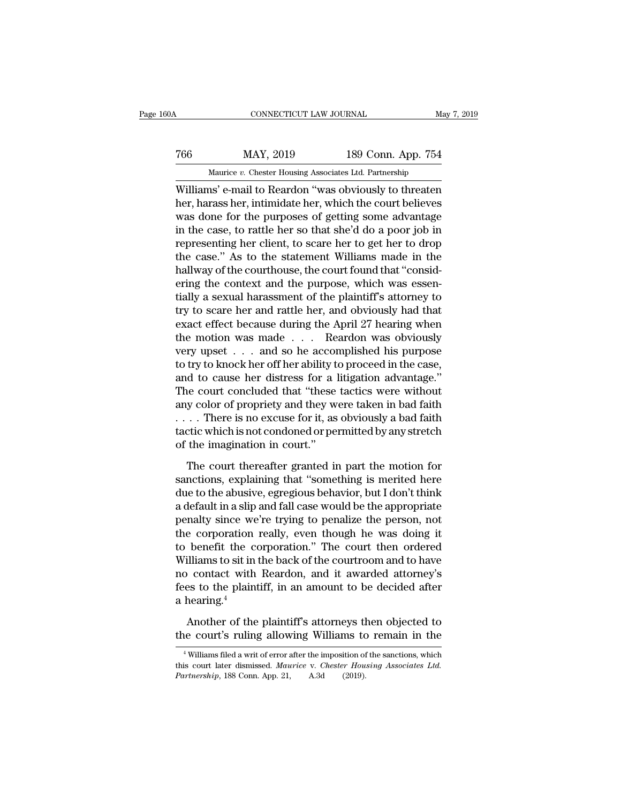### CONNECTICUT LAW JOURNAL May 7, 2019<br>
766 MAY, 2019 189 Conn. App. 754<br>
Maurice v. Chester Housing Associates Ltd. Partnership CONNECTICUT LAW JOURNAL May<br>MAY, 2019 189 Conn. App. 754<br>Maurice *v.* Chester Housing Associates Ltd. Partnership<br>ns' e-mail to Reardon "was obviously to threaten

CONNECTICUT LAW JOURNAL May 7, 2019<br>
MAY, 2019 189 Conn. App. 754<br>
Maurice v. Chester Housing Associates Ltd. Partnership<br>
Williams' e-mail to Reardon "was obviously to threaten<br>
her, harass her, intimidate her, which the MAY, 2019 189 Conn. App. 754<br>
Maurice *v*. Chester Housing Associates Ltd. Partnership<br>
Williams' e-mail to Reardon "was obviously to threaten<br>
her, harass her, intimidate her, which the court believes<br>
was done for the pu  $\begin{tabular}{ c c c c} \hline \multicolumn{1}{c}{} \multicolumn{1}{c}{} \multicolumn{1}{c}{} \multicolumn{1}{c}{} \multicolumn{1}{c}{} \multicolumn{1}{c}{} \multicolumn{1}{c}{} \multicolumn{1}{c}{} \multicolumn{1}{c}{} \multicolumn{1}{c}{} \multicolumn{1}{c}{} \multicolumn{1}{c}{} \multicolumn{1}{c}{} \multicolumn{1}{c}{} \multicolumn{1}{c}{} \multicolumn{1}{c}{} \multicolumn{1}{c}{} \multicolumn{1}{c}{} \multicolumn{1}{c}{} \multicolumn{1}{c}{} \multicolumn{1$  $\frac{189 \text{ Conn. App. 754}}{\text{Maurice } v. \text{ Chester Housing Associates Ltd. Partnership}}$ <br>Williams' e-mail to Reardon "was obviously to threaten<br>her, harass her, intimidate her, which the court believes<br>was done for the purposes of getting some advantage<br>in the case, Maurice  $v$ . Chester Housing Associates Ltd. Partnership<br>Williams' e-mail to Reardon "was obviously to threaten<br>her, harass her, intimidate her, which the court believes<br>was done for the purposes of getting some advantage matrice  $v$ . Chester Housing Associates Ltd. Partnership<br>Williams' e-mail to Reardon "was obviously to threaten<br>her, harass her, intimidate her, which the court believes<br>was done for the purposes of getting some advantage Williams' e-mail to Reardon "was obviously to threaten<br>her, harass her, intimidate her, which the court believes<br>was done for the purposes of getting some advantage<br>in the case, to rattle her so that she'd do a poor job in her, harass her, intimidate her, which the court believes<br>was done for the purposes of getting some advantage<br>in the case, to rattle her so that she'd do a poor job in<br>representing her client, to scare her to get her to dr was done for the purposes of getting some advantage<br>in the case, to rattle her so that she'd do a poor job in<br>representing her client, to scare her to get her to drop<br>the case." As to the statement Williams made in the<br>hal in the case, to rattle her so that she'd do a poor job in<br>representing her client, to scare her to get her to drop<br>the case." As to the statement Williams made in the<br>hallway of the courthouse, the court found that "consid representing her client, to scare her to get her to drop<br>the case." As to the statement Williams made in the<br>hallway of the courthouse, the court found that "consid-<br>ering the context and the purpose, which was essen-<br>tial the case." As to the statement Williams made in the<br>hallway of the courthouse, the court found that "consid-<br>ering the context and the purpose, which was essen-<br>tially a sexual harassment of the plaintiff's attorney to<br>try hallway of the courthouse, the court found that "considering the context and the purpose, which was essentially a sexual harassment of the plaintiff's attorney to try to scare her and rattle her, and obviously had that exa ering the context and the purpose, which was essentially a sexual harassment of the plaintiff's attorney to try to scare her and rattle her, and obviously had that exact effect because during the April 27 hearing when the tially a sexual harassment of the plaintiff's attorney to<br>try to scare her and rattle her, and obviously had that<br>exact effect because during the April 27 hearing when<br>the motion was made . . . Reardon was obviously<br>very u try to scare her and rattle her, and obviously had that<br>exact effect because during the April 27 hearing when<br>the motion was made . . . Reardon was obviously<br>very upset . . . and so he accomplished his purpose<br>to try to kn exact effect because during the April 27 hearing when<br>the motion was made . . . Reardon was obviously<br>very upset . . . and so he accomplished his purpose<br>to try to knock her off her ability to proceed in the case,<br>and to the motion was made . . . . Reardon was obviously<br>very upset . . . and so he accomplished his purpose<br>to try to knock her off her ability to proceed in the case,<br>and to cause her distress for a litigation advantage."<br>The c very upset  $\ldots$  and so he accomplished his purpose<br>to try to knock her off her ability to proceed in the case,<br>and to cause her distress for a litigation advantage."<br>The court concluded that "these tactics were without<br>a to try to knock her off her ability to proceed in the case,<br>and to cause her distress for a litigation advantage."<br>The court concluded that "these tactics were without<br>any color of propriety and they were taken in bad fai is a court concluded that "these tactics were without<br>y color of propriety and they were taken in bad faith<br>... There is no excuse for it, as obviously a bad faith<br>ctic which is not condoned or permitted by any stretch<br>the any color of propriety and they were taken in bad faith<br>  $\dots$  There is no excuse for it, as obviously a bad faith<br>
tactic which is not condoned or permitted by any stretch<br>
of the imagination in court."<br>
The court thereaf

 $\dots$ . There is no excuse for it, as obviously a bad faith tactic which is not condoned or permitted by any stretch of the imagination in court."<br>The court thereafter granted in part the motion for sanctions, explaining th tactic which is not condoned or permitted by any stretch<br>of the imagination in court."<br>The court thereafter granted in part the motion for<br>sanctions, explaining that "something is merited here<br>due to the abusive, egregious of the imagination in court."<br>The court thereafter granted in part the motion for<br>sanctions, explaining that "something is merited here<br>due to the abusive, egregious behavior, but I don't think<br>a default in a slip and fall The court thereafter granted in part the motion for<br>sanctions, explaining that "something is merited here<br>due to the abusive, egregious behavior, but I don't think<br>a default in a slip and fall case would be the appropriate The court thereafter granted in part the motion for<br>sanctions, explaining that "something is merited here<br>due to the abusive, egregious behavior, but I don't think<br>a default in a slip and fall case would be the appropriate sanctions, explaining that "something is merited here<br>due to the abusive, egregious behavior, but I don't think<br>a default in a slip and fall case would be the appropriate<br>penalty since we're trying to penalize the person, due to the abusive, egregious behavior, but I don't think<br>a default in a slip and fall case would be the appropriate<br>penalty since we're trying to penalize the person, not<br>the corporation really, even though he was doing i a default in a slip and fall case would be the appropriate<br>penalty since we're trying to penalize the person, not<br>the corporation really, even though he was doing it<br>to benefit the corporation." The court then ordered<br>Will % penalty since we're trying to penalize the person, not<br>the corporation really, even though he was doing it<br>to benefit the corporation." The court then ordered<br>Williams to sit in the back of the courtroom and to have<br>no benefit the corporation." The court then ordered<br>illiams to sit in the back of the courtroom and to have<br>o contact with Reardon, and it awarded attorney's<br>es to the plaintiff, in an amount to be decided after<br>hearing.<sup>4</sup><br>A Williams to sit in the back of the courtroom and to have<br>no contact with Reardon, and it awarded attorney's<br>fees to the plaintiff, in an amount to be decided after<br>a hearing.<sup>4</sup><br>Another of the plaintiff's attorneys then ob

hearing.<sup>4</sup><br>Another of the plaintiff's attorneys then objected to<br>the court's ruling allowing Williams to remain in the<br><sup>4</sup>Williams filed a writ of error after the imposition of the sanctions, which<br>is court later dismisse

Another of the plaintiff's attorneys then objected to<br>the court's ruling allowing Williams to remain in the<br><sup>4</sup>Williams filed a writ of error after the imposition of the sanctions, which<br>this court later dismissed. *Mauric* Another of the plaintiff's attorneys the court's ruling allowing Williams to<br>
<sup>4</sup>Williams filed a writ of error after the imposition of<br>
this court later dismissed. *Maurice v. Chester Hou*<br> *Partnership*, 188 Conn. App. 2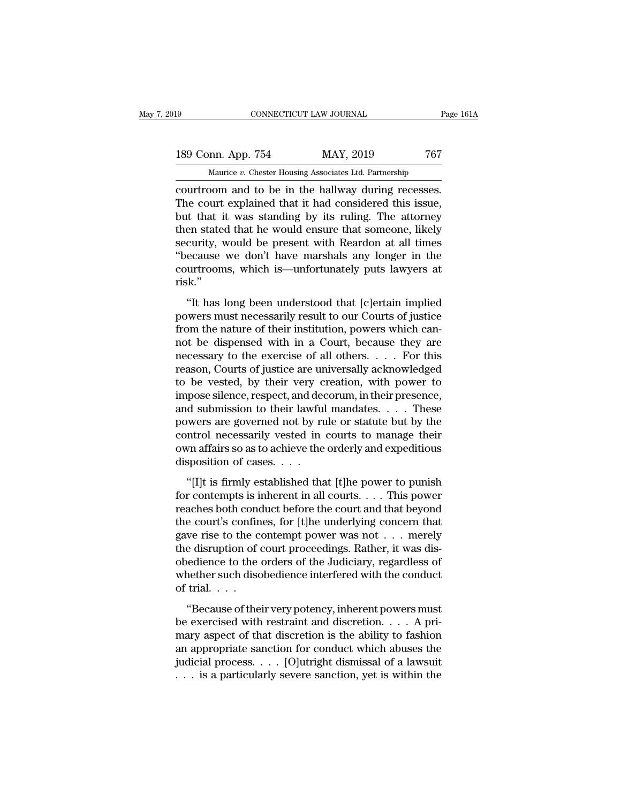# 189 CONNECTICUT LAW JOURNAL Page 161A<br>
189 Conn. App. 754 MAY, 2019 767<br>
Maurice v. Chester Housing Associates Ltd. Partnership THE TREAT THE CONNECTICUT LAW JOURNAL Page 161A<br>
MAY, 2019 767<br>
Maurice *v.* Chester Housing Associates Ltd. Partnership<br>
Courtroom and to be in the hallway during recesses.

connectricut LAW JOURNAL Page 16<br>
189 Conn. App. 754 MAY, 2019 767<br>
Maurice v. Chester Housing Associates Ltd. Partnership<br>
courtroom and to be in the hallway during recesses.<br>
The court explained that it had considered th 189 Conn. App. 754 MAY, 2019 767<br>
Maurice *v*. Chester Housing Associates Ltd. Partnership<br>
court room and to be in the hallway during recesses.<br>
The court explained that it had considered this issue,<br>
but that it was stan 189 Conn. App. 754 MAY, 2019 767<br>
Maurice *v*. Chester Housing Associates Ltd. Partnership<br>
courtroom and to be in the hallway during recesses.<br>
The court explained that it had considered this issue,<br>
but that it was stan 189 Conn. App. 754 MAY, 2019 767<br>
Maurice *v*. Chester Housing Associates Ltd. Partnership<br>
courtroom and to be in the hallway during recesses.<br>
The court explained that it had considered this issue,<br>
but that it was stan Maurice v. Chester Housing Associates Ltd. Partnership<br>
courtroom and to be in the hallway during recesses.<br>
The court explained that it had considered this issue,<br>
but that it was standing by its ruling. The attorney<br>
th Maurice v. Chester Housing Associates Ltd. Partnership<br>
courtroom and to be in the hallway during recesses.<br>
The court explained that it had considered this issue,<br>
but that it was standing by its ruling. The attorney<br>
th courtroom and to be in the hallway during recesses.<br>The court explained that it had considered this issue,<br>but that it was standing by its ruling. The attorney<br>then stated that he would ensure that someone, likely<br>security risk.'' Fig. 1.1 and the was standing by its runng. The attorney<br>
en stated that he would ensure that someone, likely<br>
curity, would be present with Reardon at all times<br>
ecause we don't have marshals any longer in the<br>
urtrooms, powers with the present with Reardon at all times<br>
"because we don't have marshals any longer in the<br>
courtrooms, which is—unfortunately puts lawyers at<br>
risk."<br>
"It has long been understood that [c]ertain implied<br>
powers

from the nature of their institution, where the courtrooms, which is—unfortunately puts lawyers at risk."<br>"It has long been understood that [c]ertain implied<br>powers must necessarily result to our Courts of justice<br>from the courtrooms, which is—unfortunately puts lawyers at<br>risk."<br>"It has long been understood that [c]ertain implied<br>powers must necessarily result to our Courts of justice<br>from the nature of their institution, powers which canrisk."<br>
"It has long been understood that [c]ertain implied<br>
powers must necessarily result to our Courts of justice<br>
from the nature of their institution, powers which can-<br>
not be dispensed with in a Court, because they "It has long been understood that [c]ertain implied<br>powers must necessarily result to our Courts of justice<br>from the nature of their institution, powers which can-<br>not be dispensed with in a Court, because they are<br>necess "It has long been understood that [c]ertain implied<br>powers must necessarily result to our Courts of justice<br>from the nature of their institution, powers which can-<br>not be dispensed with in a Court, because they are<br>necess powers must necessarily result to our Courts of justice<br>from the nature of their institution, powers which can-<br>not be dispensed with in a Court, because they are<br>necessary to the exercise of all others. . . . For this<br>rea from the nature of their institution, powers which cannot be dispensed with in a Court, because they are necessary to the exercise of all others. . . . For this reason, Courts of justice are universally acknowledged to be not be dispensed with in a Court, because they are<br>necessary to the exercise of all others. . . . For this<br>reason, Courts of justice are universally acknowledged<br>to be vested, by their very creation, with power to<br>impose necessary to the exercise of all others. . . . For this<br>reason, Courts of justice are universally acknowledged<br>to be vested, by their very creation, with power to<br>impose silence, respect, and decorum, in their presence,<br>an reason, Courts of justice are universally acknowledged<br>to be vested, by their very creation, with power to<br>impose silence, respect, and decorum, in their presence,<br>and submission to their lawful mandates. . . . These<br>power to be vested, by their very c<br>impose silence, respect, and dea<br>and submission to their lawful<br>powers are governed not by ru<br>control necessarily vested in<br>own affairs so as to achieve the<br>disposition of cases. . . .<br>"[I]t i d submission to their lawful mandates.  $\dots$  These<br>wers are governed not by rule or statute but by the<br>ntrol necessarily vested in courts to manage their<br>vn affairs so as to achieve the orderly and expeditious<br>sposition of for contempts is inherent in all courts. . . . . . These<br>powers are governed not by rule or statute but by the<br>control necessarily vested in courts to manage their<br>own affairs so as to achieve the orderly and expeditious<br>

Fowers are governed not by take of statate bat by the<br>control necessarily vested in courts to manage their<br>own affairs so as to achieve the orderly and expeditious<br>disposition of cases. . . .<br>"[I]t is firmly established t for the court of recessarity vested in events to manage and<br>own affairs so as to achieve the orderly and expeditious<br>disposition of cases. . . .<br>"[I]t is firmly established that [t]he power to punish<br>for contempts is inhe disposition of cases. . . .<br>
"[I]t is firmly established that [t]he power to punish<br>
for contempts is inherent in all courts. . . . This power<br>
reaches both conduct before the court and that beyond<br>
the court's confines, disposition of cases. . . . .<br>"[I]t is firmly established that [t]he power to punish for contempts is inherent in all courts. . . . This power<br>reaches both conduct before the court and that beyond<br>the court's confines, fo "[I]t is firmly established that [t]he power to punish<br>for contempts is inherent in all courts. . . . This power<br>reaches both conduct before the court and that beyond<br>the court's confines, for [t]he underlying concern tha for contempts is inherent in all courts. . . . This power<br>reaches both conduct before the court and that beyond<br>the court's confines, for [t]he underlying concern that<br>gave rise to the contempt power was not . . . merely<br> reaches both cond<br>the court's confin<br>gave rise to the c<br>the disruption of d<br>obedience to the<br>whether such disc<br>of trial. . . . .<br>"Because of the ve rise to the contempt power was not . . . merely<br>
e disruption of court proceedings. Rather, it was dis-<br>
edience to the orders of the Judiciary, regardless of<br>
nether such disobedience interfered with the conduct<br>
trial gave rise to the contempt power was not  $\cdot \cdot \cdot$  interests the disruption of court proceedings. Rather, it was disobedience to the orders of the Judiciary, regardless of whether such disobedience interfered with the condu

obedience to the orders of the Judiciary, regardless of<br>whether such disobedience interfered with the conduct<br>of trial....<br>"Because of their very potency, inherent powers must<br>be exercised with restraint and discretion... between the states of the states of the states of whether such disobedience interfered with the conduct<br>of trial....<br>"Because of their very potency, inherent powers must<br>be exercised with restraint and discretion.... A pr Figure 3.1 and the conduct what the conduct of trial. . . .<br>
"Because of their very potency, inherent powers must<br>
be exercised with restraint and discretion. . . . A pri-<br>
mary aspect of that discretion is the ability to "Because of their very potency, inherent powers must<br>be exercised with restraint and discretion.... A pri-<br>mary aspect of that discretion is the ability to fashion<br>an appropriate sanction for conduct which abuses the<br>judi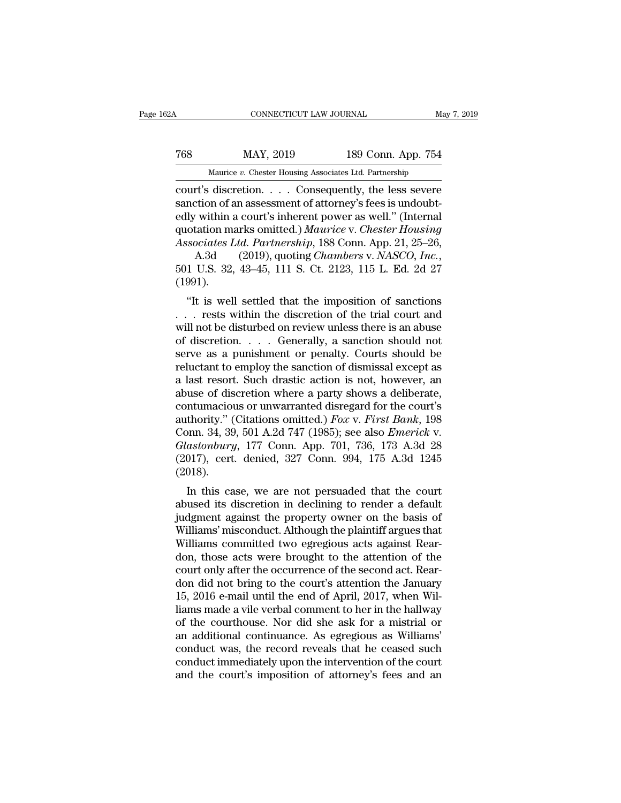### CONNECTICUT LAW JOURNAL May 7, 2019<br>
768 MAY, 2019 189 Conn. App. 754<br>
Maurice v. Chester Housing Associates Ltd. Partnership CONNECTICUT LAW JOURNAL May<br>MAY, 2019 189 Conn. App. 754<br>Maurice *v.* Chester Housing Associates Ltd. Partnership<br>discretion Consequently the less severe

CONNECTICUT LAW JOURNAL May 7, 2019<br>
T68 MAY, 2019 189 Conn. App. 754<br>
Maurice v. Chester Housing Associates Ltd. Partnership<br>
Court's discretion. . . . . Consequently, the less severe<br>
sanction of an assessment of attorne Text May, 2019<br>
Sanction of an assessment of attorney's fees is undoubt-<br>
Sanction of an assessment of attorney's fees is undoubt-<br>
dup within a court's inherent power as well." (Internal<br>
mustation marks omitted ) Mauries For The May, 2019 and the May, 2019<br>
Maurice v. Chester Housing Associates Ltd. Partnership<br>
court's discretion. . . . . Consequently, the less severe<br>
sanction of an assessment of attorney's fees is undoubtedly within a MAY, 2019 189 Conn. App. 754<br>
Maurice *v*. Chester Housing Associates Ltd. Partnership<br>
court's discretion. . . . . Consequently, the less severe<br>
sanction of an assessment of attorney's fees is undoubt-<br>
edly within a cou *Associates Ltd. Partnership*<br> *Associates Ltd. Partnership*<br> **Court's discretion.** . . . . Consequently, the less severe<br>
sanction of an assessment of attorney's fees is undoubt-<br>
edly within a court's inherent power as w Maurice *v.* Chester Housing Associates Ltd. Partnership<br>
court's discretion. . . . Consequently, the less severe<br>
sanction of an assessment of attorney's fees is undoubt-<br>
edly within a court's inherent power as well." (I

(1991). The interaction marks omitted.) Maurice v. Chester Housing<br>
sociates Ltd. Partnership, 188 Conn. App. 21, 25–26,<br>
A.3d (2019), quoting Chambers v. NASCO, Inc.,<br>
1 U.S. 32, 43–45, 111 S. Ct. 2123, 115 L. Ed. 2d 27<br>
991).<br>
"

Associates Ltd. Partnership, 188 Conn. App. 21, 25–26,<br>A.3d (2019), quoting *Chambers v. NASCO*, Inc.,<br>501 U.S. 32, 43–45, 111 S. Ct. 2123, 115 L. Ed. 2d 27<br>(1991).<br>"It is well settled that the imposition of sanctions<br>... Associates Eta. 1 armership, 188 Collit. App. 21, 23–20,<br>A.3d (2019), quoting *Chambers v. NASCO*, Inc.,<br>501 U.S. 32, 43–45, 111 S. Ct. 2123, 115 L. Ed. 2d 27<br>(1991).<br>"It is well settled that the imposition of sanctions<br>. A.50 (2019), quoting *Chambers v. NASCO*, *Inc.*,<br>501 U.S. 32, 43–45, 111 S. Ct. 2123, 115 L. Ed. 2d 27<br>(1991).<br>"It is well settled that the imposition of sanctions<br>... rests within the discretion of the trial court and<br>w (1991).<br>
"It is well settled that the imposition of sanctions<br>  $\dots$  rests within the discretion of the trial court and<br>
will not be disturbed on review unless there is an abuse<br>
of discretion.  $\dots$  Generally, a sanction s "It is well settled that the imposition of sanctions<br>  $\ldots$  rests within the discretion of the trial court and<br>
will not be disturbed on review unless there is an abuse<br>
of discretion.  $\ldots$  Generally, a sanction should n "It is well settled that the imposition of sanctions<br>  $\dots$  rests within the discretion of the trial court and<br>
will not be disturbed on review unless there is an abuse<br>
of discretion.  $\dots$  Generally, a sanction should not ... rests within the discretion of the trial court and<br>will not be disturbed on review unless there is an abuse<br>of discretion.... Generally, a sanction should not<br>serve as a punishment or penalty. Courts should be<br>relucta will not be disturbed on review unless there is an abuse<br>of discretion. . . . . Generally, a sanction should not<br>serve as a punishment or penalty. Courts should be<br>reluctant to employ the sanction of dismissal except as<br>a of discretion. . . . Generally, a sanction should not<br>serve as a punishment or penalty. Courts should be<br>reluctant to employ the sanction of dismissal except as<br>a last resort. Such drastic action is not, however, an<br>abuse serve as a punishment or penalty. Courts should be<br>reluctant to employ the sanction of dismissal except as<br>a last resort. Such drastic action is not, however, an<br>abuse of discretion where a party shows a deliberate,<br>contum reluctant to employ the sanction of dismissal except as<br>a last resort. Such drastic action is not, however, an<br>abuse of discretion where a party shows a deliberate,<br>contumacious or unwarranted disregard for the court's<br>aut a last resort. Such drastic action is not, however, an abuse of discretion where a party shows a deliberate, contumacious or unwarranted disregard for the court's authority." (Citations omitted.)  $Fox$  v.  $First Bank$ , 198 Conn. 3 (2018). Influenced is of unwarranted distegard for the court's<br>
thority." (Citations omitted.) Fox v. First Bank, 198<br>
onn. 34, 39, 501 A.2d 747 (1985); see also Emerick v.<br>
astonbury, 177 Conn. App. 701, 736, 173 A.3d 28<br>
017), c authority. (Chations onlitted.) Pox v. Pirst Bahk, 198<br>
Conn. 34, 39, 501 A.2d 747 (1985); see also *Emerick* v.<br> *Glastonbury*, 177 Conn. App. 701, 736, 173 A.3d 28<br>
(2017), cert. denied, 327 Conn. 994, 175 A.3d 1245<br>
(2

Coluit 54, 59, 501 A.2d 747 (1985), see also *Emerick V.*<br>Glastonbury, 177 Conn. App. 701, 736, 173 A.3d 28<br>(2017), cert. denied, 327 Conn. 994, 175 A.3d 1245<br>(2018).<br>In this case, we are not persuaded that the court<br>abus Grassmoury, 177 Conn. App. 701, 750, 175 A.5d 28 (2017), cert. denied, 327 Conn. 994, 175 A.3d 1245 (2018).<br>In this case, we are not persuaded that the court abused its discretion in declining to render a default judgment (2017), Cert. defined, 527 Comm.  $394$ , 175 A.5d 1245<br>(2018).<br>In this case, we are not persuaded that the court<br>abused its discretion in declining to render a default<br>judgment against the property owner on the basis of<br>Wi (2016).<br>
In this case, we are not persuaded that the court<br>
abused its discretion in declining to render a default<br>
judgment against the property owner on the basis of<br>
Williams' misconduct. Although the plaintiff argues t In this case, we are not persuaded that the court<br>abused its discretion in declining to render a default<br>judgment against the property owner on the basis of<br>Williams' misconduct. Although the plaintiff argues that<br>William abused its discretion in declining to render a default<br>judgment against the property owner on the basis of<br>Williams' misconduct. Although the plaintiff argues that<br>Williams committed two egregious acts against Rear-<br>don, t judgment against the property owner on the basis of<br>Williams' misconduct. Although the plaintiff argues that<br>Williams committed two egregious acts against Rear-<br>don, those acts were brought to the attention of the<br>court on Williams' misconduct. Although the plaintiff argues that<br>Williams committed two egregious acts against Rear-<br>don, those acts were brought to the attention of the<br>court only after the occurrence of the second act. Rear-<br>don Williams committed two egregious acts against Reardon, those acts were brought to the attention of the court only after the occurrence of the second act. Reardon did not bring to the court's attention the January 15, 2016 don, those acts were brought to the attention of the court only after the occurrence of the second act. Reardon did not bring to the court's attention the January 15, 2016 e-mail until the end of April, 2017, when Williams court only after the occurrence of the second act. Reardon did not bring to the court's attention the January 15, 2016 e-mail until the end of April, 2017, when Williams made a vile verbal comment to her in the hallway of don did not bring to the court's attention the January<br>15, 2016 e-mail until the end of April, 2017, when Wil-<br>liams made a vile verbal comment to her in the hallway<br>of the courthouse. Nor did she ask for a mistrial or<br>an 15, 2016 e-mail until the end of April, 2017, when Williams made a vile verbal comment to her in the hallway of the courthouse. Nor did she ask for a mistrial or an additional continuance. As egregious as Williams' conduct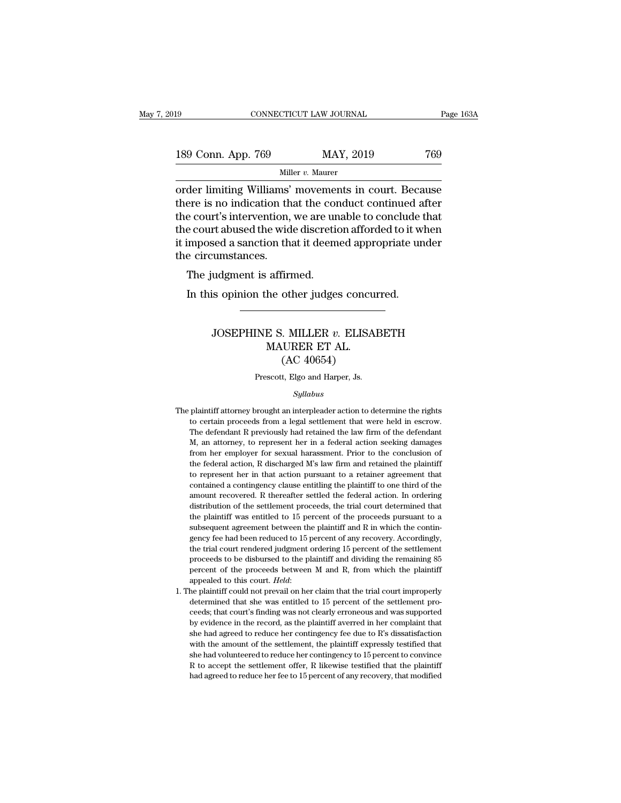| l9                 | CONNECTICUT LAW JOURNAL |           | Page 163A |
|--------------------|-------------------------|-----------|-----------|
|                    |                         |           |           |
| 189 Conn. App. 769 |                         | MAY, 2019 | 769       |
|                    | Miller $v$ . Maurer     |           |           |

Fage 163A<br>
189 Conn. App. 769 MAY, 2019 769<br>
Miller v. Maurer<br>
Order limiting Williams' movements in court. Because<br>
there is no indication that the conduct continued after<br>
the court's intervation we are unable to conclu 189 Conn. App. 769 MAY, 2019 769<br>
Miller *v*. Maurer<br>
order limiting Williams' movements in court. Because<br>
there is no indication that the conduct continued after<br>
the court's intervention, we are unable to conclude that 189 Conn. App. 769 MAY, 2019 769<br>
Miller v. Maurer<br>
order limiting Williams' movements in court. Because<br>
there is no indication that the conduct continued after<br>
the court's intervention, we are unable to conclude that<br> 189 Conn. App. 769 MAY, 2019 769<br>
Miller v. Maurer<br>
order limiting Williams' movements in court. Because<br>
there is no indication that the conduct continued after<br>
the court's intervention, we are unable to conclude that<br> Miller v. Maurer<br>
order limiting Williams' movements in court. Because<br>
there is no indication that the conduct continued after<br>
the court's intervention, we are unable to conclude that<br>
the court abused the wide discreti Mill<br>
order limiting Williams'<br>
there is no indication th<br>
the court's intervention,<br>
the court abused the wid<br>
it imposed a sanction th:<br>
the circumstances.<br>
The judgment is affirm der mining winants inoventer<br>ere is no indication that the cor<br>e court's intervention, we are un<br>e court abused the wide discretio<br>imposed a sanction that it deem<br>e circumstances.<br>The judgment is affirmed.<br>In this opinion In this intervention, we are unable to conclude the court abused the wide discretion afforded to it we imposed a sanction that it deemed appropriate under circumstances.<br>The judgment is affirmed.<br>In this opinion the other

#### % udgment is affirmed.<br>
is opinion the other judges concurred.<br>
JOSEPHINE S. MILLER *v*. ELISABETH<br>
MAURER ET AL.<br>
(AC 40654) affirmed.<br>he other judges concu<br>E S. MILLER v. ELISA<br>MAURER ET AL.<br>(AC 40654) (AC 40654) JOSEPHINE S. MILLER  $v$ . ELISABETH<br>MAURER ET AL.<br>(AC 40654)<br>Prescott, Elgo and Harper, Js.

#### *Syllabus*

- $(AC 40654)$ <br>Prescott, Elgo and Harper, Js.<br> $Syllabus$ <br>The plaintiff attorney brought an interpleader action to determine the rights<br>to certain proceeds from a legal settlement that were held in escrow. (AC 40054)<br>Prescott, Elgo and Harper, Js.<br>Syllabus<br>plaintiff attorney brought an interpleader action to determine the rights<br>to certain proceeds from a legal settlement that were held in escrow.<br>The defendant R previously Frescott, Elgo and Harper, Js.<br>Syllabus<br>plaintiff attorney brought an interpleader action to determine the rights<br>to certain proceeds from a legal settlement that were held in escrow.<br>The defendant R previously had retaine Syllabus<br>
Syllabus<br>
M, an interpleader action to determine the rights<br>
to certain proceeds from a legal settlement that were held in escrow.<br>
The defendant R previously had retained the law firm of the defendant<br>
M, an att *Syllabus*<br>Brain tiff attorney brought an interpleader action to determine the rights<br>to certain proceeds from a legal settlement that were held in escrow.<br>The defendant R previously had retained the law firm of the defend plaintiff attorney brought an interpleader action to determine the rights to certain proceeds from a legal settlement that were held in escrow. The defendant R previously had retained the law firm of the defendant M, an at fracture are the certain proceeds from a legal settlement that were held in escrow.<br>The defendant R previously had retained the law firm of the defendant M, an attorney, to represent her in a federal action seeking damages The defendant R previously had retained the law firm of the defendant M, an attorney, to represent her in a federal action seeking damages from her employer for sexual harassment. Prior to the conclusion of the federal act M, an attorney, to represent her in a federal action seeking damages from her employer for sexual harassment. Prior to the conclusion of the federal action, R discharged M's law firm and retained the plaintiff to represen from her employer for sexual harassment. Prior to the conclusion of the federal action, R discharged M's law firm and retained the plaintiff to represent her in that action pursuant to a retainer agreement that contained the federal action, R discharged M's law firm and retained the plaintiff to represent her in that action pursuant to a retainer agreement that contained a contingency clause entitling the plaintiff to one third of the amou the federal action, R discharged M's law firm and retained the plaintiff to represent her in that action pursuant to a retainer agreement that contained a contingency clause entitling the plaintiff to one third of the amo contained a contingency clause entitling the plaintiff to one third of the amount recovered. R thereafter settled the federal action. In ordering distribution of the settlement proceeds, the trial court determined that the amount recovered. R thereafter settled the federal action. In ordering distribution of the settlement proceeds, the trial court determined that the plaintiff was entitled to 15 percent of the proceeds pursuant to a subsequ distribution of the settlement proceeds, the trial court determined that<br>the plaintiff was entitled to 15 percent of the proceeds pursuant to a<br>subsequent agreement between the plaintiff and R in which the contin-<br>gency fe the plaintiff was entitled to 15 percent of the proceeds pursuant to a subsequent agreement between the plaintiff and R in which the contingency fee had been reduced to 15 percent of any recovery. Accordingly, the trial co appear to the plaintiff and R in which the contingency fee had been reduced to 15 percent of any recovery. Accordingly, the trial court rendered judgment ordering 15 percent of the settlement proceeds to be disbursed to th the trial court rendered judgment ordering 15 percent of the settlement proceeds to be disbursed to the plaintiff and dividing the remaining 85 percent of the proceeds between  $M$  and  $R$ , from which the plaintiff appeale
- proceeds to be disbursed to the plaintiff and dividing the remaining 85<br>percent of the proceeds between M and R, from which the plaintiff<br>appealed to this court. *Held*:<br>the plaintiff could not prevail on her claim that th percent of the proceeds between M and R, from which the plaintiff<br>appealed to this court. *Held*:<br>he plaintiff could not prevail on her claim that the trial court improperly<br>determined that she was entitled to 15 percent o appealed to this court. *Held*:<br>appealed to this court. *Held*:<br>he plaintiff could not prevail on her claim that the trial court improperly<br>determined that she was entitled to 15 percent of the settlement pro-<br>ceeds; that appealed to this court. Held:<br>
1. The plaintiff could not prevail on her claim that the trial court improperly<br>
determined that she was entitled to 15 percent of the settlement pro-<br>
ceeds; that court's finding was not cl determined that she was entitled to 15 percent of the settlement proceeds; that court's finding was not clearly erroneous and was supported by evidence in the record, as the plaintiff averred in her complaint that she had ceeds; that court's finding was not clearly erroneous and was supported<br>by evidence in the record, as the plaintiff averred in her complaint that<br>she had agreed to reduce her contingency fee due to R's dissatisfaction<br>wit by evidence in the record, as the plaintiff averred in her complaint that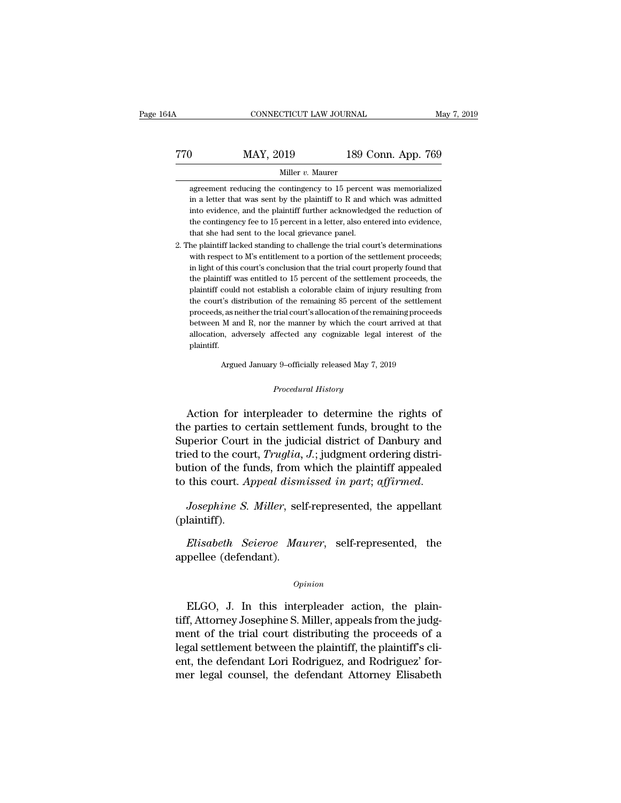CONNECTICUT LAW JOURNAL May 7, 2019<br>
T70 MAY, 2019 189 Conn. App. 769<br>
Miller v. Maurer Miller *v.* Maurer MAY, 2019 189 Conn. App. 769<br>Miller v. Maurer<br>agreement reducing the contingency to 15 percent was memorialized<br>in a letter that was sent by the plaintiff to R and which was admitted

**in a letter that was sent by the plaintiff to R and which was admitted** into evidence, and the plaintiff further acknowledged the reduction of **into evidence, and the plaintiff further acknowledged the reduction** a letter that was sent by the plaintiff to R and which was admitted into evidence, and the plaintiff further acknowledged the reduction of the continge Miller  $v$ . Maurer<br>agreement reducing the contingency to 15 percent was memorialized<br>in a letter that was sent by the plaintiff to R and which was admitted<br>into evidence, and the plaintiff further acknowledged the reducti  $\mu$  muller v. Maurer<br>in a letter that was sent by the plaintiff to R and w<br>into evidence, and the plaintiff further acknowledge<br>the contingency fee to 15 percent in a letter, also ent<br>that she had sent to the local griev agreement reducing the contingency to 15 percent was memorialized<br>in a letter that was sent by the plaintiff to R and which was admitted<br>into evidence, and the plaintiff further acknowledged the reduction of<br>the contingen into evidence, and the plaintiff further acknowledged the reduction of<br>the contingency fee to 15 percent in a letter, also entered into evidence,<br>that she had sent to the local grievance panel.<br>The plaintiff lacked standin

the contingency fee to 15 percent in a letter, also entered into evidence, that she had sent to the local grievance panel.<br>The plaintiff lacked standing to challenge the trial court's determinations with respect to  $M$ 's the contingency fee to 15 percent in a letter, also entered into evidence,<br>that she had sent to the local grievance panel.<br>he plaintiff lacked standing to challenge the trial court's determinations<br>with respect to M's enti that she had sent to the local grievance panel.<br>
he plaintiff lacked standing to challenge the trial court's determinations<br>
with respect to M's entitlement to a portion of the settlement proceeds;<br>
in light of this court' he plaintiff lacked standing to challenge the trial court's determinations<br>with respect to M's entitlement to a portion of the settlement proceeds;<br>in light of this court's conclusion that the trial court properly found th with respect to M's entitlement to a portion of the settlement proceeds;<br>in light of this court's conclusion that the trial court properly found that<br>the plaintiff was entitled to 15 percent of the settlement proceeds, the the plaintiff was entitled to 15 percent of the settlement proceeds, the plaintiff could not establish a colorable claim of injury resulting from the court's distribution of the remaining 85 percent of the settlement proce the plaintiff was entitled to 15 percent of the settlement proceeds, the plaintiff could not establish a colorable claim of injury resulting from the court's distribution of the remaining 85 percent of the settlement proce plaintiff. between M and R, nor the manner by which the court arrived at that allocation, adversely affected any cognizable legal interest of the plaintiff.<br>Argued January 9–officially released May 7, 2019 allocation, adversely affected any cognizable legal interest of the plaintiff.<br> *Procedural History*<br> *Procedural History*<br> *Procedural History*<br> **Procedural History**<br> **Procedural History** 

allocation, adversely affected any cognizable legal interest of the<br>plaintiff.<br>Argued January 9-officially released May 7, 2019<br>*Procedural History*<br>Action for interpleader to determine the rights of<br>e parties to certain s plaintiff.<br>
Argued January 9-officially released May 7, 2019<br>
Procedural History<br>
Action for interpleader to determine the rights of<br>
the parties to certain settlement funds, brought to the<br>
Superior Court in the judicial Argued January 9-officially released May 7, 2019<br>
Procedural History<br>
Action for interpleader to determine the rights of<br>
the parties to certain settlement funds, brought to the<br>
Superior Court in the judicial district of *Procedural History*<br>Action for interpleader to determine the rights of<br>the parties to certain settlement funds, brought to the<br>Superior Court in the judicial district of Danbury and<br>tried to the court, *Truglia, J*.; judg Procedural History<br>
Action for interpleader to determine the rights of<br>
the parties to certain settlement funds, brought to the<br>
Superior Court in the judicial district of Danbury and<br>
tried to the court, *Truglia*, *J*.; Action for interpleader to determine the rights of<br>the parties to certain settlement funds, brought to the<br>Superior Court in the judicial district of Danbury and<br>tried to the court, *Truglia*, *J*.; judgment ordering distr *Elisabeth Seieroe Maurer*, self-represented, the plaintiff appealed this court. *Appeal dismissed in part*; *affirmed.*<br> *Josephine S. Miller*, self-represented, the appellant laintiff).<br> *Elisabeth Seieroe Maurer*, self-

(plaintiff). to this court. Appeal dism<br>
Josephine S. Miller, sel<br>
(plaintiff).<br>
Elisabeth Seieroe Man<br>
appellee (defendant).

#### *Opinion*

Elisabeth Seieroe Maurer, self-represented, the<br>pellee (defendant).<br>Opinion<br>ELGO, J. In this interpleader action, the plain-<br>f, Attorney Josephine S. Miller, appeals from the judg-Elisabeth Seieroe Maurer, self-represented, the<br>appellee (defendant).<br> $opinion$ <br>ELGO, J. In this interpleader action, the plain-<br>tiff, Attorney Josephine S. Miller, appeals from the judg-<br>ment of the trial court distributing th opinion<br>
opinion<br>
ELGO, J. In this interpleader action, the plain-<br>
tiff, Attorney Josephine S. Miller, appeals from the judg-<br>
ment of the trial court distributing the proceeds of a<br>
legal settlement between the plaintiff Opinion<br>
ELGO, J. In this interpleader action, the plain-<br>
tiff, Attorney Josephine S. Miller, appeals from the judg-<br>
ment of the trial court distributing the proceeds of a<br>
legal settlement between the plaintiff, the pla  $\alpha$ <br>ELGO, J. In this interpleader action, the plain-<br>tiff, Attorney Josephine S. Miller, appeals from the judg-<br>ment of the trial court distributing the proceeds of a<br>legal settlement between the plaintiff, the plaintiff ELGO, J. In this interpleader action, the plaintiff, Attorney Josephine S. Miller, appeals from the judgment of the trial court distributing the proceeds of a legal settlement between the plaintiff, the plaintiff's client,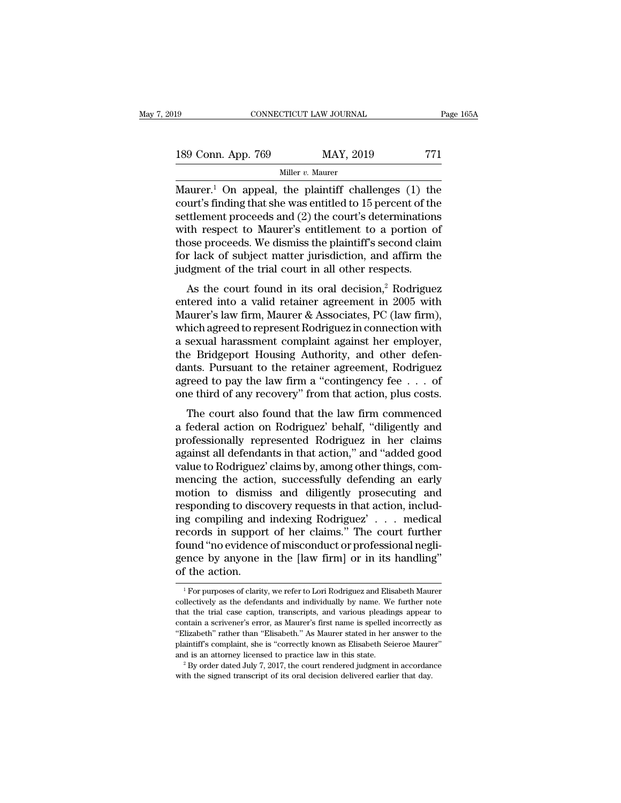| 19                 | CONNECTICUT LAW JOURNAL | Page 165A |
|--------------------|-------------------------|-----------|
| 189 Conn. App. 769 | MAY, 2019               | 771       |
|                    | Miller $v$ . Maurer     |           |

Maurer.<sup>1</sup> On appeal, the plaintiff challenges (1) the<br>
stream Maurer.<sup>1</sup> On appeal, the plaintiff challenges (1) the<br>
court's finding that she was entitled to 15 percent of the<br>
settlement proceeds and (2) the court's de 189 Conn. App. 769 MAY, 2019 771<br>
Miller v. Maurer<br>
Maurer.<sup>1</sup> On appeal, the plaintiff challenges (1) the<br>
court's finding that she was entitled to 15 percent of the<br>
settlement proceeds and (2) the court's determination 189 Conn. App. 769 MAY, 2019 771<br>
Miller v. Maurer<br>
Maurer.<sup>1</sup> On appeal, the plaintiff challenges (1) the court's finding that she was entitled to 15 percent of the settlement proceeds and (2) the court's determinations 189 Conn. App. 769 MAY, 2019 771<br>
Miller v. Maurer<br>
Maurer.<sup>1</sup> On appeal, the plaintiff challenges (1) the<br>
court's finding that she was entitled to 15 percent of the<br>
settlement proceeds and (2) the court's determination Miller v. Maurer<br>Maurer.<sup>1</sup> On appeal, the plaintiff challenges (1) the<br>court's finding that she was entitled to 15 percent of the<br>settlement proceeds and (2) the court's determinations<br>with respect to Maurer's entitlemen Maurer.<sup>1</sup> On appeal, the plaintiff challenges (1) the court's finding that she was entitled to 15 percent of the settlement proceeds and (2) the court's determinations with respect to Maurer's entitlement to a portion of Maurer.<sup>1</sup> On appeal, the plaintiff challenges  $(1)$  the court's finding that she was entitled to 15 percent of the settlement proceeds and  $(2)$  the court's determination with respect to Maurer's entitlement to a portion the court's main grad site was entitled to 19 percent of the<br>ttlement proceeds and (2) the court's determinations<br>th respect to Maurer's entitlement to a portion of<br>ose proceeds. We dismiss the plaintiff's second claim<br>r settement proceeds and (2) the court s determinations<br>with respect to Maurer's entitlement to a portion of<br>those proceeds. We dismiss the plaintiff's second claim<br>for lack of subject matter jurisdiction, and affirm the<br>ju

what respect to matter's entitement to a portion of<br>those proceeds. We dismiss the plaintiff's second claim<br>for lack of subject matter jurisdiction, and affirm the<br>judgment of the trial court in all other respects.<br>As the for lack of subject matter jurisdiction, and affirm the<br>judgment of the trial court in all other respects.<br>As the court found in its oral decision,<sup>2</sup> Rodriguez<br>entered into a valid retainer agreement in 2005 with<br>Maurer' For fack of subject matter jurisdiction, and affinit the<br>judgment of the trial court in all other respects.<br>As the court found in its oral decision,<sup>2</sup> Rodriguez<br>entered into a valid retainer agreement in 2005 with<br>Maurer' As the court found in its oral decision,<sup>2</sup> Rodriguez<br>entered into a valid retainer agreement in 2005 with<br>Maurer's law firm, Maurer & Associates, PC (law firm),<br>which agreed to represent Rodriguez in connection with<br>a sex As the court found in its oral decision,<sup>2</sup> Rodriguez<br>entered into a valid retainer agreement in 2005 with<br>Maurer's law firm, Maurer & Associates, PC (law firm),<br>which agreed to represent Rodriguez in connection with<br>a se entered into a valid retainer agreement in 2005 with<br>Maurer's law firm, Maurer & Associates, PC (law firm),<br>which agreed to represent Rodriguez in connection with<br>a sexual harassment complaint against her employer,<br>the Bri Maurer's law firm, Maurer & Associates, PC (law firm),<br>which agreed to represent Rodriguez in connection with<br>a sexual harassment complaint against her employer,<br>the Bridgeport Housing Authority, and other defen-<br>dants. Pu Example and a represent nourigies in connection with<br>sexual harassment complaint against her employer,<br>e Bridgeport Housing Authority, and other defen-<br>nts. Pursuant to the retainer agreement, Rodriguez<br>reed to pay the law a sexual harassment complaint against net employer,<br>the Bridgeport Housing Authority, and other defen-<br>dants. Pursuant to the retainer agreement, Rodriguez<br>agreed to pay the law firm a "contingency fee . . . of<br>one third o

France Bruggepot Trousing Authority, and other deter-<br>dants. Pursuant to the retainer agreement, Rodriguez<br>agreed to pay the law firm a "contingency fee . . . of<br>one third of any recovery" from that action, plus costs.<br>The dants. I distant to the Fetanier agreement, Rouriguez<br>agreed to pay the law firm a "contingency fee . . . of<br>one third of any recovery" from that action, plus costs.<br>The court also found that the law firm commenced<br>a feder value to Pay the Taw Infinited Condingency Fectors . The court also found that the law firm commenced<br>a federal action on Rodriguez' behalf, "diligently and<br>professionally represented Rodriguez in her claims<br>against all d one time of any recovery from that action, phaseosis.<br>The court also found that the law firm commenced<br>a federal action on Rodriguez' behalf, "diligently and<br>professionally represented Rodriguez in her claims<br>against all d The court also found that the law firm commenced<br>a federal action on Rodriguez' behalf, "diligently and<br>professionally represented Rodriguez in her claims<br>against all defendants in that action," and "added good<br>value to Ro a federal action on Rodriguez' behalf, "diligently and<br>professionally represented Rodriguez in her claims<br>against all defendants in that action," and "added good<br>value to Rodriguez' claims by, among other things, com-<br>menc professionally represented Rodriguez in her claims<br>against all defendants in that action," and "added good<br>value to Rodriguez' claims by, among other things, com-<br>mencing the action, successfully defending an early<br>motion against all defendants in that action," and "added good<br>value to Rodriguez' claims by, among other things, com-<br>mencing the action, successfully defending an early<br>motion to dismiss and diligently prosecuting and<br>respondin value to Rodriguez' claims by, among other things, commencing the action, successfully defending an early motion to dismiss and diligently prosecuting and responding to discovery requests in that action, including compilin mencing the action, successfully defending an early<br>motion to dismiss and diligently prosecuting and<br>responding to discovery requests in that action, includ-<br>ing compiling and indexing Rodriguez'... medical<br>records in supp motion to dismis<br>responding to discom<br>ing compiling and<br>records in suppor<br>found "no evidence<br>gence by anyone i<br>of the action. 1 For purposes of clarity, we refer to Lori Rodriguez and Elisabeth Maurer<br>
1 For purposes of clarity, we refer to Lori Rodriguez and Elisabeth Maurer<br>
1 For purposes of clarity, we refer to Lori Rodriguez and Elisabeth Ma found "no evidence of misconduct or professional negli-<br>gence by anyone in the [law firm] or in its handling"<br>of the action.<br><sup>1</sup> For purposes of clarity, we refer to Lori Rodriguez and Elisabeth Maurer<br>collectively as the

gence by anyone in the [law firm] or in its handling"<br>of the action.<br> $\frac{1}{100}$  For purposes of clarity, we refer to Lori Rodriguez and Elisabeth Maurer<br>collectively as the defendants and individually by name. We further of the action.<br>
<sup>1</sup> For purposes of clarity, we refer to Lori Rodriguez and Elisabeth Maurer<br>
collectively as the defendants and individually by name. We further note<br>
that the trial case caption, transcripts, and various <sup>1</sup> For purposes of clarity, we refer to Lori Rodriguez and Elisabeth Maurer collectively as the defendants and individually by name. We further note that the trial case caption, transcripts, and various pleadings appear t  $^\text{1}$  For purposes of clarity, we refer to Lori Rodriguez and Elisabeth Maurer collectively as the defendants and individually by name. We further note that the trial case caption, transcripts, and various pleadings app collectively as the defendants and individually by name. We further note that the trial case caption, transcripts, and various pleadings appear to contain a scrivener's error, as Maurer's first name is spelled incorrectly that the trial case caption, transcripts, and various pleadings appear to contain a scrivener's error, as Maurer's first name is spelled incorrectly as "Elizabeth" rather than "Elisabeth." As Maurer stated in her answer t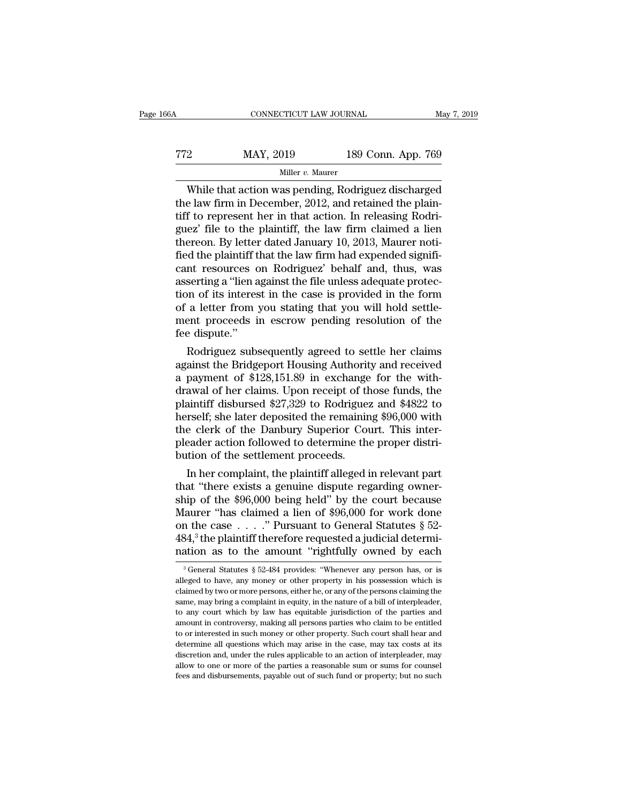| 6A  | CONNECTICUT LAW JOURNAL |                    | May 7, 2019 |
|-----|-------------------------|--------------------|-------------|
| 772 | MAY, 2019               | 189 Conn. App. 769 |             |
|     | Miller $v$ . Maurer     |                    |             |

CONNECTICUT LAW JOURNAL May 7, 2019<br>
2 MAY, 2019 189 Conn. App. 769<br>
Miller v. Maurer<br>
While that action was pending, Rodriguez discharged<br>
e law firm in December, 2012, and retained the plain-<br>
f to represent her in that TT2 MAY, 2019 189 Conn. App. 769<br>
Miller v. Maurer<br>
While that action was pending, Rodriguez discharged<br>
the law firm in December, 2012, and retained the plain-<br>
tiff to represent her in that action. In releasing Rodrigue Treaty MAY, 2019 189 Conn. App. 769<br>
Miller v. Maurer<br>
While that action was pending, Rodriguez discharged<br>
the law firm in December, 2012, and retained the plain-<br>
tiff to represent her in that action. In releasing Rodri MAY, 2019 189 Conn. App. 769<br>
Miller v. Maurer<br>
While that action was pending, Rodriguez discharged<br>
the law firm in December, 2012, and retained the plain-<br>
tiff to represent her in that action. In releasing Rodriguez' f While that action was pending, Rodriguez discharged<br>the law firm in December, 2012, and retained the plain-<br>tiff to represent her in that action. In releasing Rodri-<br>guez' file to the plaintiff, the law firm claimed a lie While that action was pending, Rodriguez discharged<br>the law firm in December, 2012, and retained the plain-<br>tiff to represent her in that action. In releasing Rodri-<br>guez' file to the plaintiff, the law firm claimed a lie While that action was pending, Rodriguez discharged<br>the law firm in December, 2012, and retained the plain-<br>tiff to represent her in that action. In releasing Rodri-<br>guez' file to the plaintiff, the law firm claimed a lien the law firm in December, 2012, and retained the plaintiff to represent her in that action. In releasing Rodriguez' file to the plaintiff, the law firm claimed a lien thereon. By letter dated January 10, 2013, Maurer notif tiff to represent her in that action. In releasing Rodriguez' file to the plaintiff, the law firm claimed a lien<br>thereon. By letter dated January 10, 2013, Maurer noti-<br>fied the plaintiff that the law firm had expended sig guez' file to the plaintiff, the law firm claimed a lien<br>thereon. By letter dated January 10, 2013, Maurer noti-<br>fied the plaintiff that the law firm had expended signifi-<br>cant resources on Rodriguez' behalf and, thus, was thereon. By letter dated January 10, 2013, Maurer notified the plaintiff that the law firm had expended significant resources on Rodriguez' behalf and, thus, was asserting a "lien against the file unless adequate protectio fied the plaintiff t<br>cant resources c<br>asserting a "lien a<br>tion of its interes<br>of a letter from :<br>ment proceeds i<br>fee dispute."<br>Rodriguez subs Int resources on Rodriguez behalf and, thus, was<br>serting a "lien against the file unless adequate protec-<br>on of its interest in the case is provided in the form<br>a letter from you stating that you will hold settle-<br>ent proc asserting a "lien against the file unless adequate protection of its interest in the case is provided in the form<br>of a letter from you stating that you will hold settle-<br>ment proceeds in escrow pending resolution of the<br>fe

a payment of its micrest in the case is provided in the form<br>of a letter from you stating that you will hold settle-<br>ment proceeds in escrow pending resolution of the<br>fee dispute."<br>Rodriguez subsequently agreed to settle or a letter from you stating that you will not settle-<br>ment proceeds in escrow pending resolution of the<br>fee dispute."<br>Rodriguez subsequently agreed to settle her claims<br>against the Bridgeport Housing Authority and receive ment proceeds in escrow pending resolution of the<br>fee dispute."<br>Rodriguez subsequently agreed to settle her claims<br>against the Bridgeport Housing Authority and received<br>a payment of \$128,151.89 in exchange for the with-<br>dr ree alspute.<br>
Rodriguez subsequently agreed to settle her claims<br>
against the Bridgeport Housing Authority and received<br>
a payment of \$128,151.89 in exchange for the with-<br>
drawal of her claims. Upon receipt of those funds Rodriguez subsequently agreed to settle her claims<br>against the Bridgeport Housing Authority and received<br>a payment of \$128,151.89 in exchange for the with-<br>drawal of her claims. Upon receipt of those funds, the<br>plaintiff d against the Bridgeport Housing Authority and received<br>a payment of \$128,151.89 in exchange for the with-<br>drawal of her claims. Upon receipt of those funds, the<br>plaintiff disbursed \$27,329 to Rodriguez and \$4822 to<br>herself; a payment of \$128,151.89 in exchange<br>drawal of her claims. Upon receipt of th<br>plaintiff disbursed \$27,329 to Rodrigue:<br>herself; she later deposited the remainin<br>the clerk of the Danbury Superior Cot<br>pleader action followed awal of ner claims. Upon receipt of those funds, the<br>aintiff disbursed \$27,329 to Rodriguez and \$4822 to<br>rself; she later deposited the remaining \$96,000 with<br>e clerk of the Danbury Superior Court. This inter-<br>eader action plaintiff disbursed \$27,329 to Rodriguez and \$4822 to<br>herself; she later deposited the remaining \$96,000 with<br>the clerk of the Danbury Superior Court. This inter-<br>pleader action followed to determine the proper distri-<br>but

herselt; she later deposited the remaining \$96,000 with<br>the clerk of the Danbury Superior Court. This inter-<br>pleader action followed to determine the proper distri-<br>bution of the settlement proceeds.<br>In her complaint, the the clerk of the Danbury Superior Court. This inter-<br>pleader action followed to determine the proper distri-<br>bution of the settlement proceeds.<br>In her complaint, the plaintiff alleged in relevant part<br>that "there exists a pleader action followed to determine the proper distribution of the settlement proceeds.<br>
In her complaint, the plaintiff alleged in relevant part<br>
that "there exists a genuine dispute regarding owner-<br>
ship of the \$96,000 bution of the settlement proceeds.<br>
In her complaint, the plaintiff alleged in relevant part<br>
that "there exists a genuine dispute regarding owner-<br>
ship of the \$96,000 being held" by the court because<br>
Maurer "has claimed In her complaint, the plaintiff alleged in relevant part<br>that "there exists a genuine dispute regarding owner-<br>ship of the \$96,000 being held" by the court because<br>Maurer "has claimed a lien of \$96,000 for work done<br>on th faurer "has claimed a lien of \$96,000 for work done<br>n the case . . . . " Pursuant to General Statutes § 52-<br>34,<sup>3</sup> the plaintiff therefore requested a judicial determi-<br>ation as to the amount "rightfully owned by each<br> $\frac$ on the case . . . ." Pursuant to General Statutes § 52-<br>484,<sup>3</sup> the plaintiff therefore requested a judicial determination as to the amount "rightfully owned by each<br><sup>3</sup> General Statutes § 52-484 provides: "Whenever any p

<sup>484,&</sup>lt;sup>3</sup> the plaintiff therefore requested a judicial determination as to the amount "rightfully owned by each  $\frac{1}{3}$  General Statutes § 52-484 provides: "Whenever any person has, or is alleged to have, any money or oth same, may bring a complaint in equity, in the nature of a bill of interpleader,<br>allocated by each a complaint in equity, whenever any person has, or is<br>alleged to have, any money or other property in his possession which Trattion as to the antiount rightnumy owned by each alternation of the antious section of the particle in dependence in the particle in the particle in the parties and statuse is claimed by two or more persons, either he, <sup>3</sup> General Statutes § 52-484 provides: "Whenever any person has, or is alleged to have, any money or other property in his possession which is claimed by two or more persons, either he, or any of the persons claiming the alleged to have, any money or other property in his possession which is claimed by two or more persons, either he, or any of the persons claiming the same, may bring a complaint in equity, in the nature of a bill of interp determine all questions which may arise in the persons claiming the same, may bring a complaint in equity, in the nature of a bill of interpleader, to any court which by law has equitable jurisdiction of the parties and am same, may bring a complaint in equity, in the nature of a bill of interpleader, to any court which by law has equitable jurisdiction of the parties and amount in controversy, making all persons parties who claim to be enti because, may court which by law has equitable jurisdiction of the parties and amount in controversy, making all persons parties who claim to be entitled to or interested in such money or other property. Such court shall he amount in controversy, making all persons parties who claim to be entitled<br>to or interested in such money or other property. Such court shall hear and<br>determine all questions which may arise in the case, may tax costs at i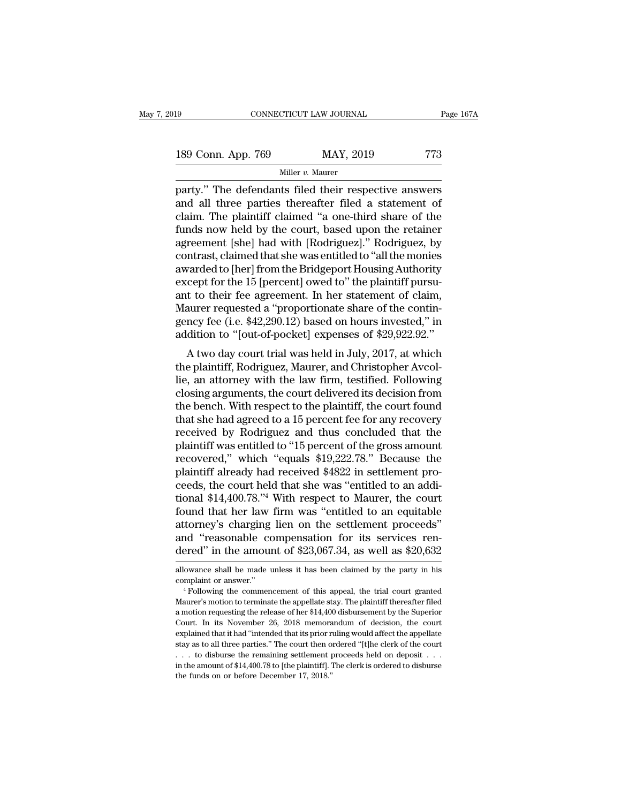| l9                 | CONNECTICUT LAW JOURNAL |           | Page 167A |  |
|--------------------|-------------------------|-----------|-----------|--|
|                    |                         |           |           |  |
| 189 Conn. App. 769 |                         | MAY, 2019 | 773       |  |
|                    | Miller $v$ . Maurer     |           |           |  |

party.'' The defendants filed their respective answers<br>and all three parties thereafter filed a statement of<br>party.'' The defendants filed their respective answers<br>and all three parties thereafter filed a statement of<br>cla 189 Conn. App. 769 MAY, 2019 773<br>
Miller v. Maurer<br>
party." The defendants filed their respective answers<br>
and all three parties thereafter filed a statement of<br>
claim. The plaintiff claimed "a one-third share of the<br>
fun 189 Conn. App. 769 MAY, 2019 773<br>
Miller v. Maurer<br>
party." The defendants filed their respective answers<br>
and all three parties thereafter filed a statement of<br>
claim. The plaintiff claimed "a one-third share of the<br>
fun 189 Conn. App. 769 MAY, 2019 773<br>
Miller v. Maurer<br>
party." The defendants filed their respective answers<br>
and all three parties thereafter filed a statement of<br>
claim. The plaintiff claimed "a one-third share of the<br>
fun Miller v. Maurer<br>
party." The defendants filed their respective answers<br>
and all three parties thereafter filed a statement of<br>
claim. The plaintiff claimed "a one-third share of the<br>
funds now held by the court, based up multer v. Maurer<br>party." The defendants filed their respective answers<br>and all three parties thereafter filed a statement of<br>claim. The plaintiff claimed "a one-third share of the<br>funds now held by the court, based upon th party." The defendants filed their respective answers<br>and all three parties thereafter filed a statement of<br>claim. The plaintiff claimed "a one-third share of the<br>funds now held by the court, based upon the retainer<br>agreem and all three parties thereafter filed a statement of claim. The plaintiff claimed "a one-third share of the funds now held by the court, based upon the retainer agreement [she] had with [Rodriguez]." Rodriguez, by contras claim. The plaintiff claimed "a one-third share of the<br>funds now held by the court, based upon the retainer<br>agreement [she] had with [Rodriguez]." Rodriguez, by<br>contrast, claimed that she was entitled to "all the monies<br>aw funds now held by the court, based upon the retainer<br>agreement [she] had with [Rodriguez]." Rodriguez, by<br>contrast, claimed that she was entitled to "all the monies<br>awarded to [her] from the Bridgeport Housing Authority<br>ex agreement [she] had with [Rodriguez]." Rodriguez, by<br>contrast, claimed that she was entitled to "all the monies<br>awarded to [her] from the Bridgeport Housing Authority<br>except for the 15 [percent] owed to" the plaintiff purs contrast, claimed that she was entitled to "all the monies<br>awarded to [her] from the Bridgeport Housing Authority<br>except for the 15 [percent] owed to" the plaintiff pursu-<br>ant to their fee agreement. In her statement of cl rept for the 15 [percent] owed to" the plaintiff pursu-<br>t to their fee agreement. In her statement of claim,<br>aurer requested a "proportionate share of the contin-<br>ncy fee (i.e. \$42,290.12) based on hours invested," in<br>diti except for the 15 [percent] owed to the plaintiff pursu-<br>ant to their fee agreement. In her statement of claim,<br>Maurer requested a "proportionate share of the contin-<br>gency fee (i.e. \$42,290.12) based on hours invested," i

ant to their fee agreement. In her statement of claim,<br>Maurer requested a "proportionate share of the contingency fee (i.e. \$42,290.12) based on hours invested," in<br>addition to "[out-of-pocket] expenses of \$29,922.92."<br>A t mauter requested a proportionate sitate or the continuation of the continuation to "[out-of-pocket] expenses of \$29,922.92."<br>A two day court trial was held in July, 2017, at which<br>the plaintiff, Rodriguez, Maurer, and Chri gency ree (i.e.  $\sqrt[4]{250.12}$ ) based on nours invested, in<br>addition to "[out-of-pocket] expenses of \$29,922.92."<br>A two day court trial was held in July, 2017, at which<br>the plaintiff, Rodriguez, Maurer, and Christopher Av A two day court trial was held in July, 2017, at which<br>the plaintiff, Rodriguez, Maurer, and Christopher Avcol-<br>lie, an attorney with the law firm, testified. Following<br>closing arguments, the court delivered its decision A two day court trial was held in July, 2017, at which<br>the plaintiff, Rodriguez, Maurer, and Christopher Avcol-<br>lie, an attorney with the law firm, testified. Following<br>closing arguments, the court delivered its decision f the plaintiff, Rodriguez, Maurer, and Christopher Avcollie, an attorney with the law firm, testified. Following<br>closing arguments, the court delivered its decision from<br>the bench. With respect to the plaintiff, the court f lie, an attorney with the law firm, testified. Following<br>closing arguments, the court delivered its decision from<br>the bench. With respect to the plaintiff, the court found<br>that she had agreed to a 15 percent fee for any re closing arguments, the court delivered its decision from<br>the bench. With respect to the plaintiff, the court found<br>that she had agreed to a 15 percent fee for any recovery<br>received by Rodriguez and thus concluded that the<br> the bench. With respect to the plaintiff, the court found<br>that she had agreed to a 15 percent fee for any recovery<br>received by Rodriguez and thus concluded that the<br>plaintiff was entitled to "15 percent of the gross amount that she had agreed to a 15 percent fee for any recovery<br>received by Rodriguez and thus concluded that the<br>plaintiff was entitled to "15 percent of the gross amount<br>recovered," which "equals \$19,222.78." Because the<br>plaint received by Rodriguez and thus concluded that the<br>plaintiff was entitled to "15 percent of the gross amount<br>recovered," which "equals \$19,222.78." Because the<br>plaintiff already had received \$4822 in settlement pro-<br>ceeds, plaintiff was entitled to "15 percent of the gross amount<br>recovered," which "equals \$19,222.78." Because the<br>plaintiff already had received \$4822 in settlement pro-<br>ceeds, the court held that she was "entitled to an addirecovered," which "equals \$19,222.78." Because the<br>plaintiff already had received \$4822 in settlement pro-<br>ceeds, the court held that she was "entitled to an addi-<br>tional \$14,400.78."<sup>4</sup> With respect to Maurer, the court<br>f plaintiff already had received \$4822 in settlement proceeds, the court held that she was "entitled to an additional \$14,400.78."<sup>4</sup> With respect to Maurer, the court found that her law firm was "entitled to an equitable at found that her law firm was "entitled to an equitable<br>attorney's charging lien on the settlement proceeds"<br>and "reasonable compensation for its services ren-<br>dered" in the amount of \$23,067.34, as well as \$20,632<br>allowanc attorney's charging lien on the settlement proceeds"<br>and "reasonable compensation for its services ren-<br>dered" in the amount of \$23,067.34, as well as \$20,632<br>allowance shall be made unless it has been claimed by the party

dered" in the amount of \$23,067.34, as well as \$20,632<br>allowance shall be made unless it has been claimed by the party in his<br>complaint or answer."<br> $4$  Following the commencement of this appeal, the trial court granted<br>Ma allowance shall be made unless it has been claimed by the party in his<br>allowance shall be made unless it has been claimed by the party in his<br>complaint or answer."<br> $4$  Following the commencement of this appeal, the trial allowance shall be made unless it has been claimed by the party in his complaint or answer."<br>
"Following the commencement of this appeal, the trial court granted<br>
Maurer's motion to terminate the appellate stay. The plaint complaint or answer."<br>
<sup>4</sup> Following the commencement of this appeal, the trial court granted<br>
Maurer's motion to terminate the appellate stay. The plaintiff thereafter filed<br>
a motion requesting the release of her \$14,400 <sup>4</sup> Following the commencement of this appeal, the trial court granted Maurer's motion to terminate the appellate stay. The plaintiff thereafter filed a motion requesting the release of her \$14,400 disbursement by the Sup Maurer's motion to terminate the appellate stay. The plaintiff thereafter filed a motion requesting the release of her \$14,400 disbursement by the Superior Court. In its November 26, 2018 memorandum of decision, the court a motion requesting the release of her \$14,400 disbursement by the Superior Court. In its November 26, 2018 memorandum of decision, the court explained that it had "intended that its prior ruling would affect the appellat a motion requesting the release of her \$14,400 disbursement by the Superior Court. In its November 26, 2018 memorandum of decision, the court explained that it had "intended that its prior ruling would affect the appellat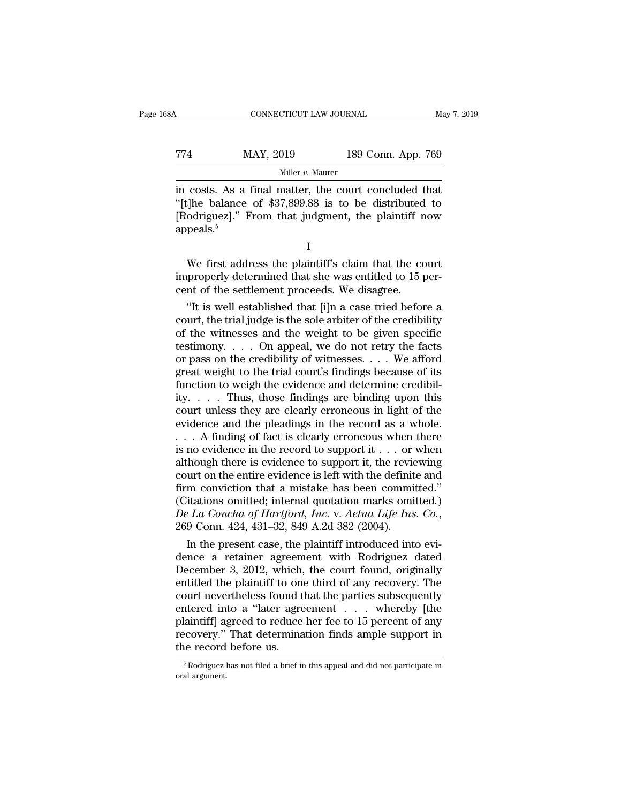CONNECTICUT LAW JOURNAL May 7, 2019<br>
T74 MAY, 2019 189 Conn. App. 769<br>
Miller v. Maurer Miller *v.* Maurer

CONNECTICUT LAW JOURNAL May 7, 2019<br>
MAY, 2019 189 Conn. App. 769<br>
Miller v. Maurer<br>
in costs. As a final matter, the court concluded that<br>
"[t]he balance of \$37,899.88 is to be distributed to<br>
"Redriguez!" From that judg MAY, 2019 189 Conn. App. 769<br>
Miller v. Maurer<br>
in costs. As a final matter, the court concluded that<br>
"[t]he balance of \$37,899.88 is to be distributed to<br>
[Rodriguez]." From that judgment, the plaintiff now<br>
mpeals  $\frac{5$ T74 MAY, 2019 189 Conn. App. 769<br>
Miller v. Maurer<br>
in costs. As a final matter, the court concluded that<br>
"[t]he balance of \$37,899.88 is to be distributed to<br>
[Rodriguez]." From that judgment, the plaintiff now<br>
appeals appeals.<sup>5</sup> costs. As a final matter, the court concluded that<br>
[]he balance of \$37,899.88 is to be distributed to<br>
odriguez]." From that judgment, the plaintiff now<br>
peals.<sup>5</sup><br>
I<br>
We first address the plaintiff's claim that the court improperly determined that she was entitled to [Rodriguez]." From that judgment, the plaintiff now appeals.<sup>5</sup><br>I We first address the plaintiff's claim that the court improperly determined that she was entitled to 15 per-<br>

I

[Rodriguez]." From that judgment, the plaintiff n<br>appeals.<sup>5</sup><br>We first address the plaintiff's claim that the co<br>improperly determined that she was entitled to 15 p<br>cent of the settlement proceeds. We disagree.<br>"It is wel I<br>
We first address the plaintiff's claim that the court<br>
properly determined that she was entitled to 15 per-<br>
Int of the settlement proceeds. We disagree.<br>
"It is well established that [i]n a case tried before a<br>
urt, th

I<br>We first address the plaintiff's claim that the court<br>improperly determined that she was entitled to 15 per-<br>cent of the settlement proceeds. We disagree.<br>"It is well established that [i]n a case tried before a<br>court, th We first address the plaintiff's claim that the court<br>improperly determined that she was entitled to 15 per-<br>cent of the settlement proceeds. We disagree.<br>"It is well established that [i]n a case tried before a<br>court, the We first address the plaintiff's claim that the court<br>improperly determined that she was entitled to 15 per-<br>cent of the settlement proceeds. We disagree.<br>"It is well established that [i]n a case tried before a<br>court, the improperly determined that she was entitled to 15 percent of the settlement proceeds. We disagree.<br>
"It is well established that [i]n a case tried before a<br>
court, the trial judge is the sole arbiter of the credibility<br>
of cent of the settlement proceeds. We disagree.<br>
"It is well established that [i]n a case tried before a<br>
court, the trial judge is the sole arbiter of the credibility<br>
of the witnesses and the weight to be given specific<br>
t "It is well established that [i]n a case tried before a<br>court, the trial judge is the sole arbiter of the credibility<br>of the witnesses and the weight to be given specific<br>testimony. . . . On appeal, we do not retry the fa court, the trial judge is the sole arbiter of the credibility<br>of the witnesses and the weight to be given specific<br>testimony. . . . On appeal, we do not retry the facts<br>or pass on the credibility of witnesses. . . . We af of the witnesses and the weight to be given specific<br>testimony. . . . On appeal, we do not retry the facts<br>or pass on the credibility of witnesses. . . . We afford<br>great weight to the trial court's findings because of its testimony. . . . On appeal, we do not retry the facts<br>or pass on the credibility of witnesses. . . . We afford<br>great weight to the trial court's findings because of its<br>function to weigh the evidence and determine credibi or pass on the credibility of witnesses. . . . We afford<br>great weight to the trial court's findings because of its<br>function to weigh the evidence and determine credibil-<br>ity. . . . Thus, those findings are binding upon th great weight to the trial court's findings because of its<br>function to weigh the evidence and determine credibil-<br>ity. . . . . Thus, those findings are binding upon this<br>court unless they are clearly erroneous in light of t function to weigh the evidence and determine credibility. . . . Thus, those findings are binding upon this court unless they are clearly erroneous in light of the evidence and the pleadings in the record as a whole. . . . ity. . . . . Thus, those findings are binding upon this court unless they are clearly erroneous in light of the evidence and the pleadings in the record as a whole. . . . A finding of fact is clearly erroneous when there court unless they are clearly erroneous in light of the evidence and the pleadings in the record as a whole.<br>  $\ldots$  A finding of fact is clearly erroneous when there is no evidence in the record to support it  $\ldots$  or whe evidence and the pleadings in the record as a whole.<br>  $\ldots$  A finding of fact is clearly erroneous when there<br>
is no evidence in the record to support it  $\ldots$  or when<br>
although there is evidence to support it, the review *De La Concha of Hartford, Inc. De La Concha of Hartford, Inc. De La Concha of Hartford, Inc. De La Concha of Hartford, Inc. D. Aetna Life Ins. Co.*, 269 Conn. 424, 431–32, 849 A.2d 382 (2004). In the present case Though there is evidence to support it, the reviewing<br>urt on the entire evidence is left with the definite and<br>m conviction that a mistake has been committed."<br>itations omitted; internal quotation marks omitted.)<br> $\mu$  La court on the entire evidence is left with the definite and<br>firm conviction that a mistake has been committed."<br>(Citations omitted; internal quotation marks omitted.)<br> $De La Concha of Hartford, Inc. v. Aetna Life Ins. Co.,$ <br> $269 Conn. 424, 431-32, 849 A.2d 382$ 

firm conviction that a mistake has been committed."<br>
(Citations omitted; internal quotation marks omitted.)<br> *De La Concha of Hartford, Inc.* v. *Aetna Life Ins. Co.*,<br>
269 Conn. 424, 431–32, 849 A.2d 382 (2004).<br>
In the (Citations omitted; internal quotation marks omitted.)<br> *De La Concha of Hartford, Inc.* v. *Aetna Life Ins. Co.*,<br>
269 Conn. 424, 431–32, 849 A.2d 382 (2004).<br>
In the present case, the plaintiff introduced into evi-<br>
den De La Concha of Hartford, Inc. v. Aetna Life Ins. Co.,<br>269 Conn. 424, 431–32, 849 A.2d 382 (2004).<br>In the present case, the plaintiff introduced into evi-<br>dence a retainer agreement with Rodriguez dated<br>December 3, 2012, w 269 Conn. 424, 431–32, 849 A.2d 382 (2004).<br>
In the present case, the plaintiff introduced into evi-<br>
dence a retainer agreement with Rodriguez dated<br>
December 3, 2012, which, the court found, originally<br>
entitled the plai In the present case, the plaintiff introduced into evi-<br>dence a retainer agreement with Rodriguez dated<br>December 3, 2012, which, the court found, originally<br>entitled the plaintiff to one third of any recovery. The<br>court ne dence a retainer agreement with Rodriguez dated<br>December 3, 2012, which, the court found, originally<br>entitled the plaintiff to one third of any recovery. The<br>court nevertheless found that the parties subsequently<br>entered i December 3, 2012, which,<br>entitled the plaintiff to one<br>court nevertheless found t<br>entered into a "later agre<br>plaintiff] agreed to reduce<br>recovery." That determina<br>the record before us. ntered into a "later agreement . . . whereby [the laintiff] agreed to reduce her fee to 15 percent of any covery." That determination finds ample support in the record before us.<br>
Foodriguez has not filed a brief in this a plaintiff] a<sub>{</sub><br>recovery."<br>the record<br><sup>5</sup>Rodriguez l<br>oral argument.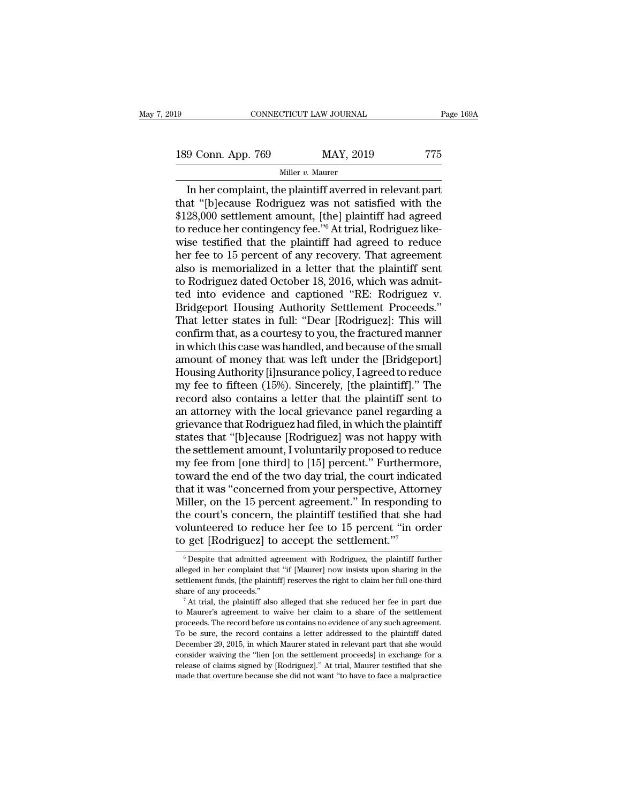189 CONNECTICUT LAW JOURNAL Page 169A<br>
189 Conn. App. 769 MAY, 2019 775<br>
Miller v. Maurer

#### Miller *v.* Maurer

CONNECTICUT LAW JOURNAL Page 169/<br>
9 Conn. App. 769 MAY, 2019 775<br>
Miller v. Maurer<br>
In her complaint, the plaintiff averred in relevant part<br>
at "[b]ecause Rodriguez was not satisfied with the<br>
28.000 sottlomant amount [t 189 Conn. App. 769 MAY, 2019 775<br>
Miller v. Maurer<br>
In her complaint, the plaintiff averred in relevant part<br>
that "[b]ecause Rodriguez was not satisfied with the<br>
\$128,000 settlement amount, [the] plaintiff had agreed<br>
t 189 Conn. App. 769 MAY, 2019 775<br>
Miller v. Maurer<br>
In her complaint, the plaintiff averred in relevant part<br>
that "[b]ecause Rodriguez was not satisfied with the<br>
\$128,000 settlement amount, [the] plaintiff had agreed<br>
t 189 Conn. App. 769 MAY, 2019 775<br>
Miller v. Maurer<br>
In her complaint, the plaintiff averred in relevant part<br>
that "[b]ecause Rodriguez was not satisfied with the<br>
\$128,000 settlement amount, [the] plaintiff had agreed<br>
t Willer v. Maurer<br>
In her complaint, the plaintiff averred in relevant part<br>
that "[b]ecause Rodriguez was not satisfied with the<br>
\$128,000 settlement amount, [the] plaintiff had agreed<br>
to reduce her contingency fee."<sup>6</sup> Miller v. Maurer<br>
In her complaint, the plaintiff averred in relevant part<br>
that "[b]ecause Rodriguez was not satisfied with the<br>
\$128,000 settlement amount, [the] plaintiff had agreed<br>
to reduce her contingency fee."<sup>6</sup> In her complaint, the plaintiff averred in relevant part<br>that "[b]ecause Rodriguez was not satisfied with the<br>\$128,000 settlement amount, [the] plaintiff had agreed<br>to reduce her contingency fee."<sup>6</sup> At trial, Rodriguez l that "[b]ecause Rodriguez was not satisfied with the<br>\$128,000 settlement amount, [the] plaintiff had agreed<br>to reduce her contingency fee."<sup>6</sup> At trial, Rodriguez like-<br>wise testified that the plaintiff had agreed to reduc \$128,000 settlement amount, [the] plaintiff had agreed<br>to reduce her contingency fee."<sup>6</sup> At trial, Rodriguez like-<br>wise testified that the plaintiff had agreed to reduce<br>her fee to 15 percent of any recovery. That agreeme to reduce her contingency fee."<sup>6</sup> At trial, Rodriguez like-<br>wise testified that the plaintiff had agreed to reduce<br>her fee to 15 percent of any recovery. That agreement<br>also is memorialized in a letter that the plaintiff wise testified that the plaintiff had agreed to reduce<br>her fee to 15 percent of any recovery. That agreement<br>also is memorialized in a letter that the plaintiff sent<br>to Rodriguez dated October 18, 2016, which was admit-<br>te her fee to 15 percent of any recovery. That agreement<br>also is memorialized in a letter that the plaintiff sent<br>to Rodriguez dated October 18, 2016, which was admit-<br>ted into evidence and captioned "RE: Rodriguez v.<br>Bridgep also is memorialized in a letter that the plaintiff sent<br>to Rodriguez dated October 18, 2016, which was admit-<br>ted into evidence and captioned "RE: Rodriguez v.<br>Bridgeport Housing Authority Settlement Proceeds."<br>That lette to Rodriguez dated October 18, 2016, which was admitted into evidence and captioned "RE: Rodriguez v.<br>Bridgeport Housing Authority Settlement Proceeds."<br>That letter states in full: "Dear [Rodriguez]: This will<br>confirm that ted into evidence and captioned "RE: Rodriguez v.<br>Bridgeport Housing Authority Settlement Proceeds."<br>That letter states in full: "Dear [Rodriguez]: This will<br>confirm that, as a courtesy to you, the fractured manner<br>in whic Bridgeport Housing Authority Settlement Proceeds."<br>That letter states in full: "Dear [Rodriguez]: This will<br>confirm that, as a courtesy to you, the fractured manner<br>in which this case was handled, and because of the small<br> That letter states in full: "Dear [Rodriguez]: This will<br>confirm that, as a courtesy to you, the fractured manner<br>in which this case was handled, and because of the small<br>amount of money that was left under the [Bridgeport confirm that, as a courtesy to you, the fractured manner<br>in which this case was handled, and because of the small<br>amount of money that was left under the [Bridgeport]<br>Housing Authority [i]nsurance policy, I agreed to reduc in which this case was handled, and because of the small<br>amount of money that was left under the [Bridgeport]<br>Housing Authority [i]nsurance policy, I agreed to reduce<br>my fee to fifteen (15%). Sincerely, [the plaintiff]." T amount of money that was left under the [Bridgeport]<br>Housing Authority [i]nsurance policy, I agreed to reduce<br>my fee to fifteen (15%). Sincerely, [the plaintiff]." The<br>record also contains a letter that the plaintiff sent Housing Authority [i]nsurance policy, I agreed to reduce<br>my fee to fifteen (15%). Sincerely, [the plaintiff]." The<br>record also contains a letter that the plaintiff sent to<br>an attorney with the local grievance panel regardi my fee to fifteen (15%). Sincerely, [the plaintiff]." The<br>record also contains a letter that the plaintiff sent to<br>an attorney with the local grievance panel regarding a<br>grievance that Rodriguez had filed, in which the pla record also contains a letter that the plaintiff sent to<br>an attorney with the local grievance panel regarding a<br>grievance that Rodriguez had filed, in which the plaintiff<br>states that "[b]ecause [Rodriguez] was not happy wi an attorney with the local grievance panel regarding a<br>grievance that Rodriguez had filed, in which the plaintiff<br>states that "[b]ecause [Rodriguez] was not happy with<br>the settlement amount, I voluntarily proposed to reduc grievance that Rodriguez had filed, in which the plaintiff<br>states that "[b]ecause [Rodriguez] was not happy with<br>the settlement amount, I voluntarily proposed to reduce<br>my fee from [one third] to [15] percent." Furthermore states that "[b]ecause [Rodriguez] was not happy with<br>the settlement amount, I voluntarily proposed to reduce<br>my fee from [one third] to [15] percent." Furthermore,<br>toward the end of the two day trial, the court indicated<br> the settlement amount, I voluntarily proposed to reduce<br>my fee from [one third] to [15] percent." Furthermore,<br>toward the end of the two day trial, the court indicated<br>that it was "concerned from your perspective, Attorney my fee from [one third] to [15] percent." Furthermo<br>toward the end of the two day trial, the court indicat<br>that it was "concerned from your perspective, Attorn<br>Miller, on the 15 percent agreement." In responding<br>the court filler, on the 15 percent agreement." In responding to<br>he court's concern, the plaintiff testified that she had<br>blunteered to reduce her fee to 15 percent "in order<br> $\frac{1}{2}$  get [Rodriguez] to accept the settlement."<br> $\frac$ the court's concern, the plaintiff testified that she had<br>volunteered to reduce her fee to 15 percent "in order<br>to get [Rodriguez] to accept the settlement."<sup>7</sup><br><sup>6</sup> Despite that admitted agreement with Rodriguez, the plain

volunteered to reduce her fee to 15 percent "in order<br>to get [Rodriguez] to accept the settlement."<sup>7</sup><br> $\overline{\phantom{a}}$   $\overline{\phantom{a}}$  Despite that admitted agreement with Rodriguez, the plaintiff further<br>alleged in her complaint to get [Rodriguez] to accept the settlement.''<sup>7</sup><br>  $\sigma$  Despite that admitted agreement with Rodriguez, the plaintiff further<br>
alleged in her complaint that "if [Maurer] now insists upon sharing in the<br>
settlement funds, <sup>6</sup> Despite that admitted agreement with Rodriguez, the plaintiff further alleged in her complaint that "if [Maurer] now insists upon sharing in the settlement funds, [the plaintiff] reserves the right to claim her full o

alleged in her complaint that "if [Maurer] now insists upon sharing in the settlement funds, [the plaintiff] reserves the right to claim her full one-third share of any proceeds."<br>
<sup>7</sup> At trial, the plaintiff also alleged Exercise in the basic line in the relation of the reduced her fee in part due of any proceeds."<br>
<sup>7</sup> At trial, the plaintiff also alleged that she reduced her fee in part due<br>
to Maurer's agreement to waive her claim to a Share of any proceeds."<br>
<sup>7</sup> At trial, the plaintiff also alleged that she reduced her fee in part due<br>
to Maurer's agreement to waive her claim to a share of the settlement<br>
proceeds. The record before us contains no evi <sup>7</sup> At trial, the plaintiff also alleged that she reduced her fee in part due to Maurer's agreement to waive her claim to a share of the settlement proceeds. The record before us contains no evidence of any such agreement release of claims and to waive her claim to a share of the settlement<br>proceeds. The record before us contains no evidence of any such agreement.<br>To be sure, the record contains a letter addressed to the plaintiff dated<br>Dec to Maurer's agreement to waive her claim to a share of the settlement<br>proceeds. The record before us contains no evidence of any such agreement.<br>To be sure, the record contains a letter addressed to the plaintiff dated<br>Dec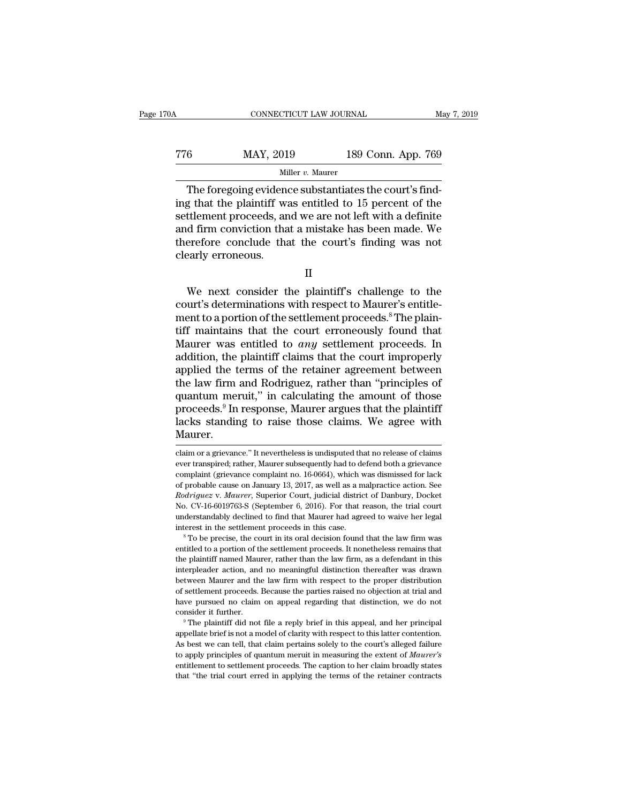| 0A  | CONNECTICUT LAW JOURNAL |                    | May 7, 2019 |
|-----|-------------------------|--------------------|-------------|
| 776 | MAY, 2019               | 189 Conn. App. 769 |             |
|     | Miller $v$ . Maurer     |                    |             |

CONNECTICUT LAW JOURNAL<br>
6 MAY, 2019 189 Conn. App. 769<br>
Miller v. Maurer<br>
The foregoing evidence substantiates the court's find-<br>
g that the plaintiff was entitled to 15 percent of the<br>
ttlement proceeds and we are not le The foregoing evidence substantiates the court's find-<br>
The foregoing evidence substantiates the court's find-<br>
ing that the plaintiff was entitled to 15 percent of the<br>
settlement proceeds, and we are not left with a def The state of the settlement proceeds, and we are not left with a definite and firm conviction that a mistake has been made. We therefore, conclude that the court's finding was not the theoretic conclude that the court's f The foregoing evidence substantiates the court's find-<br>The foregoing evidence substantiates the court's find-<br>ing that the plaintiff was entitled to 15 percent of the<br>settlement proceeds, and we are not left with a defini The foregoing evidence substantiates the court's finding that the plaintiff was entitled to 15 percent of the settlement proceeds, and we are not left with a definite and firm conviction that a mistake has been made. We t <sup>Mi</sup><br>The foregoing evident<br>ing that the plaintiff was<br>settlement proceeds, ar<br>and firm conviction tha<br>therefore conclude tha<br>clearly erroneous. ttlement proceeds, and we are not left with a definite<br>d firm conviction that a mistake has been made. We<br>erefore conclude that the court's finding was not<br>early erroneous.<br>II<br>We next consider the plaintiff's challenge to

and firm conviction that a mistake has been made. We<br>therefore conclude that the court's finding was not<br>clearly erroneous.<br>II<br>We next consider the plaintiff's challenge to the<br>court's determinations with respect to Maurer therefore conclude that the court's finding was not<br>clearly erroneous.<br>II<br>We next consider the plaintiff's challenge to the<br>court's determinations with respect to Maurer's entitle-<br>ment to a portion of the settlement proce clearly erroneous.<br>
II<br>
We next consider the plaintiff's challenge to the<br>
court's determinations with respect to Maurer's entitle-<br>
ment to a portion of the settlement proceeds.<sup>8</sup> The plain-<br>
tiff maintains that the cou II<br>We next consider the plaintiff's challenge to the<br>court's determinations with respect to Maurer's entitle-<br>ment to a portion of the settlement proceeds.<sup>8</sup> The plain-<br>tiff maintains that the court erroneously found that II<br>We next consider the plaintiff's challenge to the<br>court's determinations with respect to Maurer's entitle-<br>ment to a portion of the settlement proceeds.<sup>8</sup> The plain-<br>tiff maintains that the court erroneously found that We next consider the plaintiff's challenge to the<br>court's determinations with respect to Maurer's entitle-<br>ment to a portion of the settlement proceeds.<sup>8</sup> The plain-<br>tiff maintains that the court erroneously found that<br>M court's determinations with respect to Maurer's entitlement to a portion of the settlement proceeds.<sup>8</sup> The plaintiff maintains that the court erroneously found that Maurer was entitled to *any* settlement proceeds. In add ment to a portion of the settlement proceeds.<sup>8</sup> The plaintiff maintains that the court erroneously found that Maurer was entitled to *any* settlement proceeds. In addition, the plaintiff claims that the court improperly a tiff maintains that the court erroneously found that<br>Maurer was entitled to *any* settlement proceeds. In<br>addition, the plaintiff claims that the court improperly<br>applied the terms of the retainer agreement between<br>the law Maurer was entitled to *any* settlement proceeds. In addition, the plaintiff claims that the court improperly applied the terms of the retainer agreement between the law firm and Rodriguez, rather than "principles of quan Maurer. quantum meruit," in calculating the amount of those<br>proceeds.<sup>9</sup> In response, Maurer argues that the plaintiff<br>lacks standing to raise those claims. We agree with<br>Maurer.<br>claim or a grievance." It nevertheless is undispute proceeds.<sup>9</sup> In response, Maurer argues that the plaintiff<br>lacks standing to raise those claims. We agree with<br>Maurer.<br>claim or a grievance." It nevertheless is undisputed that no release of claims<br>ever transpired; rather,

No. CV-16-6019763-S (September 6, 2016). For that reason, the trial court<br>understandably declined to find that Maurer had agreed to waive her legal<br>interest in the settlement proceeds in this case.<br><sup>8</sup> To be precise, the inderstandably declined to find that Maurer had agreed to waive her legal<br>interest in the settlement proceeds in this case.<br><sup>8</sup> To be precise, the court in its oral decision found that the law firm was<br>entitled to a portio interest in the settlement proceeds in this case.<br><sup>8</sup> To be precise, the court in its oral decision found that the law firm was<br>entitled to a portion of the settlement proceeds. It nonetheless remains that<br>the plaintiff na <sup>8</sup> S of the precise, the court in its oral decision found that the law firm was entitled to a portion of the settlement proceeds. It nonetheless remains that the plaintiff named Maurer, rather than the law firm, as a def entitled to a portion of the settlement proceeds. It nonetheless remains that the plaintiff named Maurer, rather than the law firm, as a defendant in this interpleader action, and no meaningful distinction thereafter was d the plaintiff named Maurer, rather than the law firm, as a defendant in this interpleader action, and no meaningful distinction thereafter was drawn between Maurer and the law firm with respect to the proper distribution o able the model of claring the proper distribution of settlement proceeds. Because the parties raised no objection at trial and have pursued no claim on appeal regarding that distinction, we do not consider it further.<br><sup>9</sup>

of settlement proceeds. Because the parties raised no objection at trial and<br>have pursued no claim on appeal regarding that distinction, we do not<br>consider it further.<br><sup>9</sup> The plaintiff did not file a reply brief in this a of settlement proceeds. Because the parties raised no objection at trial and have pursued no claim on appeal regarding that distinction, we do not consider it further.<br>
<sup>9</sup> The plaintiff did not file a reply brief in this entitlement to settlement proceeds. The caption to the retainer onsider it further.<br>
<sup>9</sup> The plaintiff did not file a reply brief in this appeal, and her principal appellate brief is not a model of clarity with respect to The plaintiff did not file a reply brief in this appeal, and her principal appellate brief is not a model of clarity with respect to this latter contention. As best we can tell, that claim pertains solely to the court's a

II

lacks standing to raise those claims. We agree with<br>Maurer.<br>claim or a grievance." It nevertheless is undisputed that no release of claims<br>ever transpired; rather, Maurer subsequently had to defend both a grievance<br>complai Maurer.<br>
Claim or a grievance." It nevertheless is undisputed that no release of claims<br>
ever transpired; rather, Maurer subsequently had to defend both a grievance<br>
complaint (grievance complaint no. 16-0664), which was d *Rodriguez* v. *Maurer*, *Rodriguez* v. *It nevertheless is undisputed that no release of claims* ever transpired; rather, Maurer subsequently had to defend both a grievance complaint (grievance complaint no. 16-0664), whi claim or a grievance." It nevertheless is undisputed that no release of claims<br>ever transpired; rather, Maurer subsequently had to defend both a grievance<br>complaint (grievance complaint no. 16-0664), which was dismissed fo ever transpired; rather, Maurer subsequently had to defend both a grievance complaint (grievance complaint no. 16-0664), which was dismissed for lack of probable cause on January 13, 2017, as well as a malpractice action. complaint (grievance complaint no. 16-0664), which was dismissed for lack of probable cause on January 13, 2017, as well as a malpractice action. See *Rodriguez v. Maurer*, Superior Court, judicial district of Danbury, Do Rodriguez v. Maurer, Superior Court, judicial district of Danbury, Docket No. CV-16-6019763-S (September 6, 2016). For that reason, the trial court understandably declined to find that Maurer had agreed to waive her legal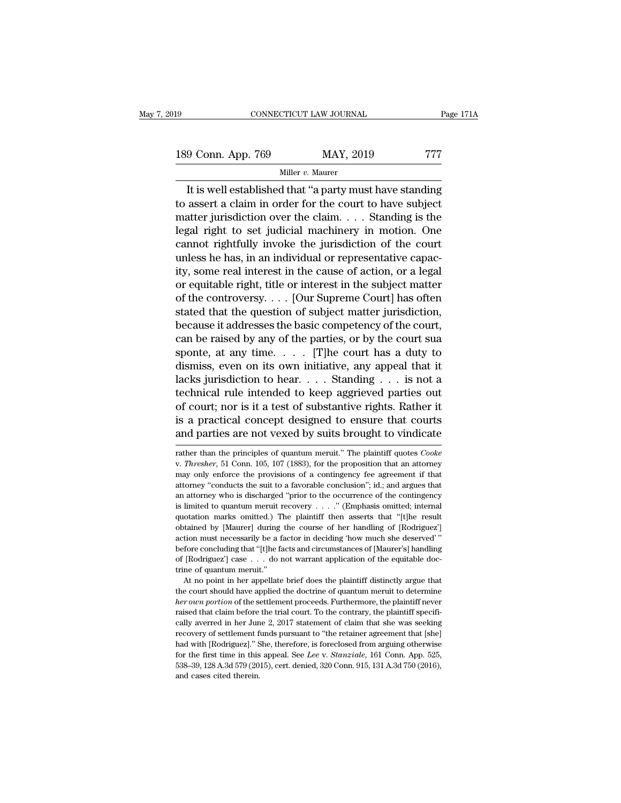189 CONNECTICUT LAW JOURNAL Page 171A<br>
189 Conn. App. 769 MAY, 2019 777<br>
Miller v. Maurer Miller *v.* Maurer

CONNECTICUT LAW JOURNAL Page 171A<br>
9 Conn. App. 769 MAY, 2019 777<br>
Miller v. Maurer<br>
It is well established that "a party must have standing<br>
assert a claim in order for the court to have subject<br>
atter invigilation over t 189 Conn. App. 769 MAY, 2019 777<br>
Miller v. Maurer<br>
It is well established that "a party must have standing<br>
to assert a claim in order for the court to have subject<br>
matter jurisdiction over the claim. . . . Standing is 189 Conn. App. 769 MAY, 2019 777<br>
Miller v. Maurer<br>
It is well established that "a party must have standing<br>
to assert a claim in order for the court to have subject<br>
matter jurisdiction over the claim.... Standing is the 189 Conn. App. 769 MAY, 2019 777<br>
Miller v. Maurer<br>
It is well established that "a party must have standing<br>
to assert a claim in order for the court to have subject<br>
matter jurisdiction over the claim.... Standing is the Miller v. Maurer<br>It is well established that "a party must have standing<br>to assert a claim in order for the court to have subject<br>matter jurisdiction over the claim.... Standing is the<br>legal right to set judicial machinery It is well established that "a party must have standing<br>to assert a claim in order for the court to have subject<br>matter jurisdiction over the claim.... Standing is the<br>legal right to set judicial machinery in motion. One<br> It is well established that "a party must have standing<br>to assert a claim in order for the court to have subject<br>matter jurisdiction over the claim.... Standing is the<br>legal right to set judicial machinery in motion. One<br>c to assert a claim in order for the court to have subject<br>matter jurisdiction over the claim. . . . Standing is the<br>legal right to set judicial machinery in motion. One<br>cannot rightfully invoke the jurisdiction of the court matter jurisdiction over the claim. . . . Standing is the<br>legal right to set judicial machinery in motion. One<br>cannot rightfully invoke the jurisdiction of the court<br>unless he has, in an individual or representative capac legal right to set judicial machinery in motion. One<br>cannot rightfully invoke the jurisdiction of the court<br>unless he has, in an individual or representative capac-<br>ity, some real interest in the cause of action, or a lega cannot rightfully invoke the jurisdiction of the court<br>unless he has, in an individual or representative capac-<br>ity, some real interest in the cause of action, or a legal<br>or equitable right, title or interest in the subje unless he has, in an individual or representative capacity, some real interest in the cause of action, or a legal<br>or equitable right, title or interest in the subject matter<br>of the controversy.... [Our Supreme Court] has ity, some real interest in the cause of action, or a legal<br>or equitable right, title or interest in the subject matter<br>of the controversy.... [Our Supreme Court] has often<br>stated that the question of subject matter jurisd or equitable right, title or interest in the subject matter<br>of the controversy.... [Our Supreme Court] has often<br>stated that the question of subject matter jurisdiction,<br>because it addresses the basic competency of the co of the controversy.... [Our Supreme Court] has often<br>stated that the question of subject matter jurisdiction,<br>because it addresses the basic competency of the court,<br>can be raised by any of the parties, or by the court su stated that the question of subject matter jurisdiction,<br>because it addresses the basic competency of the court,<br>can be raised by any of the parties, or by the court sua<br>sponte, at any time.... [T]he court has a duty to<br>d because it addresses the basic competency of the court,<br>can be raised by any of the parties, or by the court sua<br>sponte, at any time. . . . . [T]he court has a duty to<br>dismiss, even on its own initiative, any appeal that can be raised by any of the parties, or by the court sua<br>sponte, at any time. . . . . [T]he court has a duty to<br>dismiss, even on its own initiative, any appeal that it<br>lacks jurisdiction to hear. . . . Standing . . . is n sponte, at any time. . . . . [T]he court has a duty to dismiss, even on its own initiative, any appeal that it lacks jurisdiction to hear. . . . Standing . . . is not a technical rule intended to keep aggrieved parties ou rection than the principles of quantum meruit.'' The plaintiff quotes *Cooke*<br>and parties are not vexed by suits brought to vindicate<br>and parties are not vexed by suits brought to vindicate<br>were the principles of quantum m

is a practical concept designed to ensure that courts<br>and parties are not vexed by suits brought to vindicate<br>rather than the principles of quantum meruit." The plaintiff quotes *Cooke*<br>v. *Thresher*, 51 Conn. 105, 107 (1 and parties are not vexed by suits brought to vindicate<br>rather than the principles of quantum meruit." The plaintiff quotes *Cooke*<br>v. *Thresher*, 51 Conn. 105, 107 (1883), for the proposition that an attorney<br>may only enf Fraction and particles are not vexet by suits brought to vindicate<br>
rather than the principles of quantum meruit." The plaintiff quotes Cooke<br>
v. Thresher, 51 Conn. 105, 107 (1883), for the proposition that an attorney<br>
m rather than the principles of quantum meruit." The plaintiff quotes *Cooke* v. *Thresher*, 51 Conn. 105, 107 (1883), for the proposition that an attorney may only enforce the provisions of a contingency fee agreement if t w. Thresher, 51 Conn. 105, 107 (1883), for the proposition that an attorney may only enforce the provisions of a contingency fee agreement if that attorney "conducts the suit to a favorable conclusion"; id.; and argues th may only enforce the provisions of a contingency fee agreement if that<br>attorney "conducts the suit to a favorable conclusion"; id.; and argues that<br>an attorney who is discharged "prior to the occurrence of the contingency action must necessarily be a factor in deciding the deserved in determinant attorney "conducts the suit to a favorable conclusion"; id.; and argues that an anatomey who is discharged "prior to the occurrence of the contin an attorney who is discharged "prior to the occurrence of the contingency<br>is limited to quantum meruit recovery . . . ." (Emphasis omitted, internal<br>quotation marks omitted.) The plaintiff then asserts that "[t]he result<br> an attorney who is discharged "prior to the occurrence of the contingency is limited to quantum meruit recovery . . . ." (Emphasis omitted; internal quotation marks omitted.) The plaintiff then asserts that "[t]he result metally metallical exploration marks omitted.) The other during action must necessarily be a fluence of [Rodriguez] case . . . do r trine of quantum meruit."<br>At no point in her appellate that we not not not all the non-At no point in the course of her handling of [Rodriguez]<br>tion must necessarily be a factor in deciding 'how much she deserved'"<br>fore concluding that "[t]he facts and circumstances of [Maurer's] handling<br>[Rodriguez] case action must necessarily be a factor in deciding 'how much she deserved'"<br>before concluding that "[t]he facts and circumstances of [Maurer's] handling<br>of [Rodriguez'] case  $\ldots$  do not warrant application of the equitable

before concluding that "[t]he facts and circumstances of [Maurer's] handling of [Rodriguez'] case . . . do not warrant application of the equitable doctrine of quantum meruit."<br>At no point in her appellate brief does the p of [Rodriguez'] case  $\ldots$  do not warrant application of the equitable doctrine of quantum meruit."<br>At no point in her appellate brief does the plaintiff distinctly argue that<br>the court should have applied the doctrine of cally avere in her appellate brief does the plaintiff distinctly argue that<br>the court should have applied the doctrine of quantum meruit to determine<br>*her own portion* of the settlement proceeds. Furthermore, the plaintiff At no point in her appellate brief does the plaintiff distinctly argue that<br>the court should have applied the doctrine of quantum meruit to determine<br>*her own portion* of the settlement proceeds. Furthermore, the plaintiff The court should have applied the doctrine of quantum meruit to determine<br>*her ourt should have applied the doctrine of quantum meruit to determine*<br>*her own portion* of the settlement proceeds. Furthermore, the plaintiff her own portion of the settlement proceeds. Furthermore, the plaintiff never raised that claim before the trial court. To the contrary, the plaintiff specifically averred in her June 2, 2017 statement of claim that she was raised that claim before the trial court. To the contrary, the plaintiff specifically averred in her June 2, 2017 statement of claim that she was seeking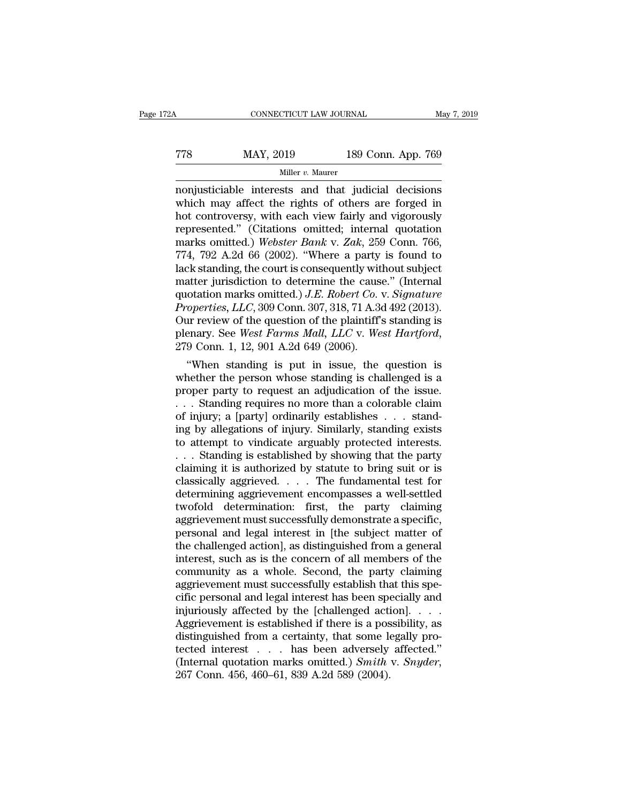#### CONNECTICUT LAW JOURNAL May 7, 2019<br>
TT8 MAY, 2019 189 Conn. App. 769<br>
Miller v. Maurer Miller *v.* Maurer

CONNECTICUT LAW JOURNAL May 7, 2019<br>
MAY, 2019 189 Conn. App. 769<br>
Miller v. Maurer<br>
Miller v. Maurer<br>
Miller v. Maurer<br>
Miller v. Maurer<br>
Miller v. Maurer<br>
Miller v. Maurer<br>
Miller v. Maurer<br>
Miller v. Maurer<br>
Miller v. M MAY, 2019 189 Conn. App. 769<br>
Miller v. Maurer<br>
Miller v. Maurer<br>
monjusticiable interests and that judicial decisions<br>
which may affect the rights of others are forged in<br>
hot controversy, with each view fairly and vigoro  $\begin{array}{r} \text{MAX, 2019} \\ \text{Miller } v. \text{ Maurer} \\ \text{nonjusticiable interests and that judicial decisions} \\ \text{which may affect the rights of others are forged in hot controversy, with each view fairly and vigorously represented." (Citations omitted; internal quotation marks omitted) *Whether Bank v. Zak* 259 Comp. 766 \end{array}$ TT8 MAY, 2019 189 Conn. App. 769<br>
Miller v. Maurer<br>
monjusticiable interests and that judicial decisions<br>
which may affect the rights of others are forged in<br>
hot controversy, with each view fairly and vigorously<br>
represe Miller *v.* Maurer<br>
Miller *v.* Maurer<br>
monjusticiable interests and that judicial decisions<br>
which may affect the rights of others are forged in<br>
hot controversy, with each view fairly and vigorously<br>
represented." (Citat <sup>Miller</sup><sup>*v*. Maurer<br>
monjusticiable interests and that judicial decisions<br>
which may affect the rights of others are forged in<br>
hot controversy, with each view fairly and vigorously<br>
represented." (Citations omitted; int</sup> nonjusticiable interests and that judicial decisions<br>which may affect the rights of others are forged in<br>hot controversy, with each view fairly and vigorously<br>represented." (Citations omitted; internal quotation<br>marks omi which may affect the rights of others are forged in<br>hot controversy, with each view fairly and vigorously<br>represented.'' (Citations omitted; internal quotation<br>marks omitted.) Webster Bank v. Zak, 259 Conn. 766,<br>774, 792 hot controversy, with each view fairly and vigorously<br>represented." (Citations omitted; internal quotation<br>marks omitted.) *Webster Bank* v. *Zak*, 259 Conn. 766,<br>774, 792 A.2d 66 (2002). "Where a party is found to<br>lack st represented." (Citations omitted; internal quotation<br>marks omitted.) Webster Bank v. Zak, 259 Conn. 766,<br>774, 792 A.2d 66 (2002). "Where a party is found to<br>lack standing, the court is consequently without subject<br>matter j marks omitted.) Webster Bank v. Zak, 259 Conn. 766, 774, 792 A.2d 66 (2002). "Where a party is found to lack standing, the court is consequently without subject matter jurisdiction to determine the cause." (Internal quota 774, 792 A.2d 66 (2002). "Where a party is found to<br>lack standing, the court is consequently without subject<br>matter jurisdiction to determine the cause." (Internal<br>quotation marks omitted.) *J.E. Robert Co.* v. *Signature* atter jurisate that to determine the cause." (internal<br>
otation marks omitted.) *J.E. Robert Co. v. Signature*<br>
operties, *LLC*, 309 Conn. 307, 318, 71 A.3d 492 (2013).<br>
Ir review of the question of the plaintiff's standin quotation marks omitted.) J.E. Robert Co. v. Signature<br>Properties, LLC, 309 Conn. 307, 318, 71 A.3d 492 (2013).<br>Our review of the question of the plaintiff's standing is<br>plenary. See *West Farms Mall*, LLC v. *West Hartfo* 

*Properties, LLC,* 309 Conn. 307, 318, 71 A.3d 492 (2013).<br>Our review of the question of the plaintiff's standing is<br>plenary. See *West Farms Mall, LLC* v. *West Hartford*,<br>279 Conn. 1, 12, 901 A.2d 649 (2006).<br>"When stan Our review of the question of the plaintiff's standing is<br>plenary. See *West Farms Mall, LLC* v. *West Hartford*,<br>279 Conn. 1, 12, 901 A.2d 649 (2006).<br>
"When standing is put in issue, the question is<br>whether the person w plenary. See *West Farms Mau*, *LLC* v. *West Hartford*,<br>279 Conn. 1, 12, 901 A.2d 649 (2006).<br>
"When standing is put in issue, the question is<br>
whether the person whose standing is challenged is a<br>
proper party to request 279 Conn. 1, 12, 901 A.2d 649 (2006).<br>
"When standing is put in issue, the question is<br>
whether the person whose standing is challenged is a<br>
proper party to request an adjudication of the issue.<br>  $\dots$  Standing requires n "When standing is put in issue, the question is<br>whether the person whose standing is challenged is a<br>proper party to request an adjudication of the issue.<br> $\ldots$  Standing requires no more than a colorable claim<br>of injury; whether the person whose standing is challenged is a<br>proper party to request an adjudication of the issue.<br>. . . Standing requires no more than a colorable claim<br>of injury; a [party] ordinarily establishes . . . stand-<br>ing proper party to request an adjudication of the issue.<br>
. . . Standing requires no more than a colorable claim<br>
of injury; a [party] ordinarily establishes . . . stand-<br>
ing by allegations of injury. Similarly, standing exi classically aggrievement encompasses a well-settled twofold determination: first the narty claiming and test for determining it is authorized by showing that the party claiming it is authorized by showing that the party cl of injury; a [party] ordinarily establishes . . . stand-<br>ing by allegations of injury. Similarly, standing exists<br>to attempt to vindicate arguably protected interests.<br>. . . Standing is established by showing that the part ing by allegations of injury. Similarly, standing exists<br>to attempt to vindicate arguably protected interests.<br>... Standing is established by showing that the party<br>claiming it is authorized by statute to bring suit or is<br> to attempt to vindicate arguably protected interests.<br>  $\dots$  Standing is established by showing that the party<br>
claiming it is authorized by statute to bring suit or is<br>
classically aggrieved.  $\dots$  The fundamental test for personal and legal interest such as is the concern of all members of the subject matter subject in the subject matter of determining aggrievement encompasses a well-settled twofold determination: first, the party claiming claiming it is authorized by statute to bring suit or is<br>classically aggrieved. . . . The fundamental test for<br>determining aggrievement encompasses a well-settled<br>twofold determination: first, the party claiming<br>aggrievem classically aggrieved. . . . The fundamental test for<br>determining aggrievement encompasses a well-settled<br>twofold determination: first, the party claiming<br>aggrievement must successfully demonstrate a specific,<br>personal and determining aggrievement encompasses a well-settled<br>twofold determination: first, the party claiming<br>aggrievement must successfully demonstrate a specific,<br>personal and legal interest in [the subject matter of<br>the challeng twofold determination: first, the party claiming<br>aggrievement must successfully demonstrate a specific,<br>personal and legal interest in [the subject matter of<br>the challenged action], as distinguished from a general<br>interest aggrievement must successfully demonstrate a specific,<br>personal and legal interest in [the subject matter of<br>the challenged action], as distinguished from a general<br>interest, such as is the concern of all members of the<br>co personal and legal interest in [the subject matter of<br>the challenged action], as distinguished from a general<br>interest, such as is the concern of all members of the<br>community as a whole. Second, the party claiming<br>aggrieve the challenged action], as distinguished from a general<br>interest, such as is the concern of all members of the<br>community as a whole. Second, the party claiming<br>aggrievement must successfully establish that this spe-<br>cific interest, such as is the concern of all members of the community as a whole. Second, the party claiming aggrievement must successfully establish that this specific personal and legal interest has been specially and injuri community as a whole. Second, the party claiming<br>aggrievement must successfully establish that this spe-<br>cific personal and legal interest has been specially and<br>injuriously affected by the [challenged action]. . . .<br>Aggr aggrievement must successfully establish that this specific personal and legal interest has been specially and injuriously affected by the [challenged action]. . . . Aggrievement is established if there is a possibility, a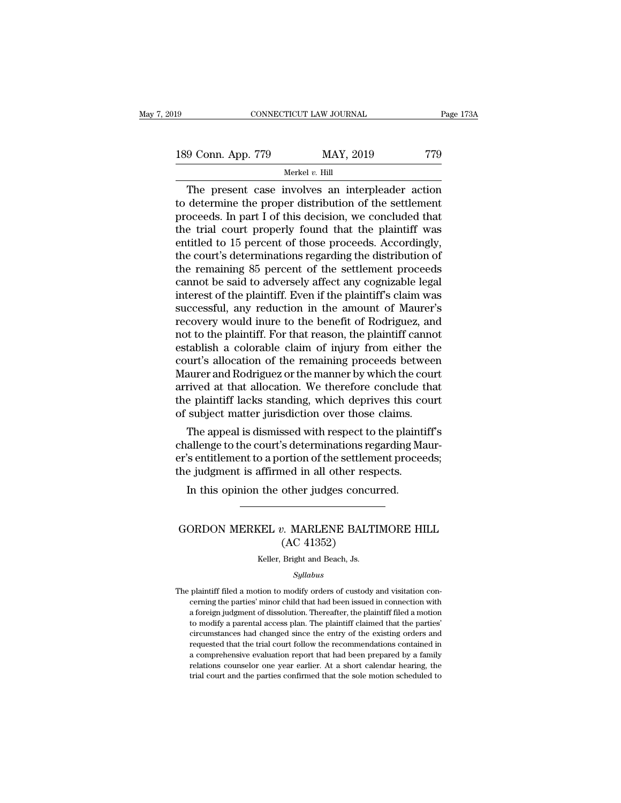189 CONNECTICUT LAW JOURNAL Page 173A<br>
189 Conn. App. 779 MAY, 2019 779<br>
Merkel v. Hill Merkel *v.* Hill

 $\begin{tabular}{llllll} \multicolumn{1}{l}{{\bf CONPECTICUT LAW JOURNAL}} & \multicolumn{1}{l}{Page~173A} \\\\ 9 & \multicolumn{1}{l}{{\bf Conn. App. 779}} & \multicolumn{1}{l}{{\bf MARY, 2019}} & \multicolumn{1}{l}{{\bf 779}} \\\\ \hline & \multicolumn{1}{l}{{{\bf The present case involves an interpleader action}} \\\ etermine the proper distribution of the settlement \\\ decoodes. In part I of this decision, we concluded that \end{tabular}$ 189 Conn. App. 779 MAY, 2019 779<br>Merkel  $v$ . Hill<br>The present case involves an interpleader action<br>to determine the proper distribution of the settlement<br>proceeds. In part I of this decision, we concluded that<br>the trial c 189 Conn. App. 779 MAY, 2019 779<br>
Merkel v. Hill<br>
The present case involves an interpleader action<br>
to determine the proper distribution of the settlement<br>
proceeds. In part I of this decision, we concluded that<br>
the tria 189 Conn. App. 779 MAY, 2019 779<br>
Merkel  $v$ . Hill<br>
The present case involves an interpleader action<br>
to determine the proper distribution of the settlement<br>
proceeds. In part I of this decision, we concluded that<br>
the tr Example of the present case involves an interpleader action<br>to determine the proper distribution of the settlement<br>proceeds. In part I of this decision, we concluded that<br>the trial court properly found that the plaintiff The present case involves an interpleader action<br>to determine the proper distribution of the settlement<br>proceeds. In part I of this decision, we concluded that<br>the trial court properly found that the plaintiff was<br>entitle The present case involves an interpleader action<br>to determine the proper distribution of the settlement<br>proceeds. In part I of this decision, we concluded that<br>the trial court properly found that the plaintiff was<br>entitled to determine the proper distribution of the settlement<br>proceeds. In part I of this decision, we concluded that<br>the trial court properly found that the plaintiff was<br>entitled to 15 percent of those proceeds. Accordingly,<br>th proceeds. In part I of this decision, we concluded that<br>the trial court properly found that the plaintiff was<br>entitled to 15 percent of those proceeds. Accordingly,<br>the court's determinations regarding the distribution of<br> the trial court properly found that the plaintiff was<br>entitled to 15 percent of those proceeds. Accordingly,<br>the court's determinations regarding the distribution of<br>the remaining 85 percent of the settlement proceeds<br>cann entitled to 15 percent of those proceeds. Accordingly,<br>the court's determinations regarding the distribution of<br>the remaining 85 percent of the settlement proceeds<br>cannot be said to adversely affect any cognizable legal<br>in the court's determinations regarding the distribution of<br>the remaining 85 percent of the settlement proceeds<br>cannot be said to adversely affect any cognizable legal<br>interest of the plaintiff. Even if the plaintiff's claim the remaining 85 percent of the settlement proceeds<br>cannot be said to adversely affect any cognizable legal<br>interest of the plaintiff. Even if the plaintiff's claim was<br>successful, any reduction in the amount of Maurer's<br>r cannot be said to adversely affect any cognizable legal<br>interest of the plaintiff. Even if the plaintiff's claim was<br>successful, any reduction in the amount of Maurer's<br>recovery would inure to the benefit of Rodriguez, and interest of the plaintiff. Even if the plaintiff's claim was successful, any reduction in the amount of Maurer's recovery would inure to the benefit of Rodriguez, and not to the plaintiff. For that reason, the plaintiff ca successful, any reduction in the amount of Maurer's<br>recovery would inure to the benefit of Rodriguez, and<br>not to the plaintiff. For that reason, the plaintiff cannot<br>establish a colorable claim of injury from either the<br>co recovery would inure to the benefit of Rodriguez, and<br>not to the plaintiff. For that reason, the plaintiff cannot<br>establish a colorable claim of injury from either the<br>court's allocation of the remaining proceeds between<br>M not to the plaintiff. For that reason, the plaintiff canno<br>establish a colorable claim of injury from either the<br>court's allocation of the remaining proceeds between<br>Maurer and Rodriguez or the manner by which the cour<br>arr Eablish a colorable claim of injury from either the<br>urt's allocation of the remaining proceeds between<br>aurer and Rodriguez or the manner by which the court<br>rived at that allocation. We therefore conclude that<br>e plaintiff l court's anocation of the remaining proceeds between<br>Maurer and Rodriguez or the manner by which the court<br>arrived at that allocation. We therefore conclude that<br>the plaintiff lacks standing, which deprives this court<br>of su

maurer and Rodriguez or the manner by which the court<br>arrived at that allocation. We therefore conclude that<br>the plaintiff lacks standing, which deprives this court<br>of subject matter jurisdiction over those claims.<br>The app arrived at that anocation. We therefore conclude the plaintiff lacks standing, which deprives this compose of subject matter jurisdiction over those claims.<br>The appeal is dismissed with respect to the plaintic challenge to subject matter jurisdiction over those claims.<br>The appeal is dismissed with respect to the plaint allenge to the court's determinations regarding M:<br>'s entitlement to a portion of the settlement procee<br>e judgment is affirm Framenge to the court s'determinations' regarding madi-<br>
in this indigment is affirmed in all other respects.<br>
In this opinion the other judges concurred.<br>
GORDON MERKEL *v.* MARLENE BALTIMORE HILL<br>
(AC 41352)

#### ortion of the settlem<br>
ned in all other resp<br>
other judges concu<br>
2. MARLENE BALT<br>
(AC 41352)<br>
Bright and Beach, Js. GORDON MERKEL  $v$ . MARLENE BALTIMORE HILL<br>(AC 41352)<br>Keller, Bright and Beach, Js.

#### *Syllabus*

 $(AC 41352)$ <br>  $Keller, Bright and Beach, JS.$ <br>  $Syllabus$ <br>
The plaintiff filed a motion to modify orders of custody and visitation con-<br>
cerning the parties' minor child that had been issued in connection with  $(AC 41352)$ <br>  $Keller, Bright and Beach, Js.$ <br>  $Syllabus$ <br>
plaintiff filed a motion to modify orders of custody and visitation concerning the parties' minor child that had been issued in connection with<br>
a foreign judgment of dissolution. Thereaf keller, Bright and Beach, Js.<br>Syllabus<br>plaintiff filed a motion to modify orders of custody and visitation concerning the parties' minor child that had been issued in connection with<br>a foreign judgment of dissolution. Ther Syllabus<br>Syllabus<br>plaintiff filed a motion to modify orders of custody and visitation con-<br>cerning the parties' minor child that had been issued in connection with<br>a foreign judgment of dissolution. Thereafter, the plainti Syllabus<br>plaintiff filed a motion to modify orders of custody and visitation con-<br>cerning the parties' minor child that had been issued in connection with<br>a foreign judgment of dissolution. Thereafter, the plaintiff filed plaintiff filed a motion to modify orders of custody and visitation concerning the parties' minor child that had been issued in connection with a foreign judgment of dissolution. Thereafter, the plaintiff filed a motion to cerning the parties' minor child that had been issued in connection with a foreign judgment of dissolution. Thereafter, the plaintiff filed a motion to modify a parental access plan. The plaintiff claimed that the parties' a foreign judgment of dissolution. Thereafter, the plaintiff filed a motion to modify a parental access plan. The plaintiff claimed that the parties' circumstances had changed since the entry of the existing orders and req a foreign judgment of dissolution. Thereafter, the plaintiff filed a motion to modify a parental access plan. The plaintiff claimed that the parties' circumstances had changed since the entry of the existing orders and re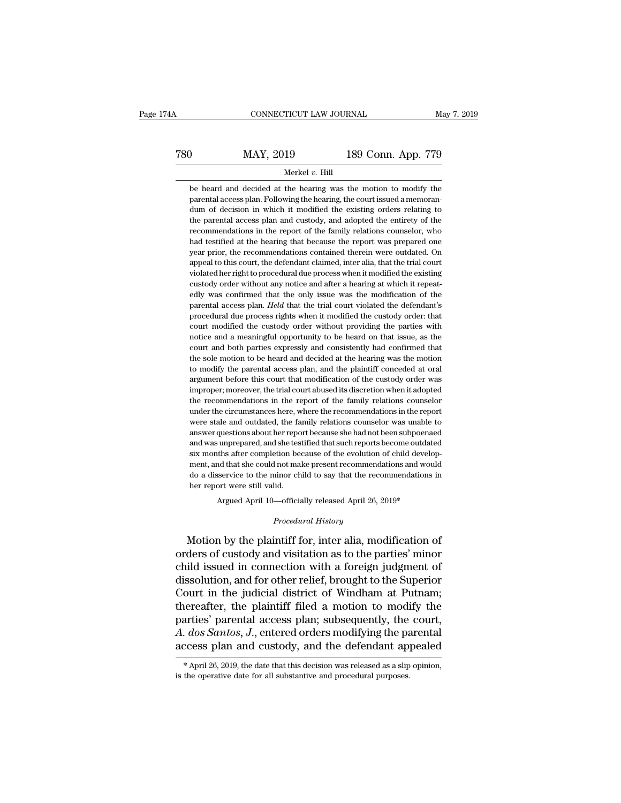189 CONNECTICUT LAW JOURNAL May 7, 2019<br>
2780 MAY, 2019 189 Conn. App. 779<br>
279 Merkel v. Hill Merkel *v.* Hill

MAY, 2019 189 Conn. App. 779<br>Merkel v. Hill<br>be heard and decided at the hearing was the motion to modify the<br>parental access plan. Following the hearing, the court issued a memoran- $\begin{array}{r|l} \hline \text{780} & \text{MAX, } 2019 & \text{189 Conn. App. 779} \ \hline \hline \text{be heard and decided at the hearing was the motion to modify the parental access plan. Following the hearing, the court issued a memorandum of decision in which it modified the existing orders relating to the parental access plan and custody, and adopted the entirety of the network.} \hline \end{array}$ MAY,  $2019$  189 Conn. App. 779<br>Merkel v. Hill<br>be heard and decided at the hearing was the motion to modify the<br>parental access plan. Following the hearing, the court issued a memoran-<br>dum of decision in which it modified Merkel  $v$ . Hill<br>be heard and decided at the hearing was the motion to modify the<br>parental access plan. Following the hearing, the court issued a memoran-<br>dum of decision in which it modified the existing orders relating Merkel v. Hill<br>be heard and decided at the hearing was the motion to modify the<br>parental access plan. Following the hearing, the court issued a memoran-<br>dum of decision in which it modified the existing orders relating to<br> be heard and decided at the hearing was the motion to modify the parental access plan. Following the hearing, the court issued a memorandum of decision in which it modified the existing orders relating to the parental acce parental access plan. Following the hearing, the court issued a memoran-<br>parental access plan. Following the hearing, the court issued a memoran-<br>dum of decision in which it modified the existing orders relating to<br>the par pear on of decision in which it modified the existing orders relating to the parental access plan and custody, and adopted the entirety of the recommendations in the report of the family relations counselor, who had testif the parental access plan and custody, and adopted the entirety of the recommendations in the report of the family relations counselor, who had testified at the hearing that because the report was prepared one year prior, t recommendations in the report of the family relations counselor, who had testified at the hearing that because the report was prepared one year prior, the recommendations contained therein were outdated. On appeal to this had testified at the hearing that because the report was prepared one<br>year prior, the recommendations contained therein were outdated. On<br>appeal to this court, the defendant claimed, inter alia, that the trial court<br>violat year prior, the recommendations contained therein were outdated. On appeal to this court, the defendant claimed, inter alia, that the trial court violated her right to procedural due process when it modified the existing c propeal to this court, the defendant claimed, inter alia, that the trial court violated her right to procedural due process when it modified the existing custody order without any notice and after a hearing at which it re violated her right to procedural due process when it modified the existing custody order without any notice and after a hearing at which it repeatedly was confirmed that the only issue was the modification of the parental custody order without any notice and after a hearing at which it repeatedly was confirmed that the only issue was the modification of the parental access plan. *Held* that the trial court violated the defendant's procedura edly was confirmed that the only issue was the modification of the parental access plan. *Held* that the trial court violated the defendant's procedural due process rights when it modified the custody order: that court mod be more more in the sole model in the trial court violated the defendant's procedural due process rights when it modified the custody order: that court modified the custody order without providing the parties with notice a procedural due process rights when it modified the custody order: that court modified the custody order without providing the parties with notice and a meaningful opportunity to be heard on that issue, as the court and bot From the custody order without providing the parties with notice and a meaningful opportunity to be heard on that issue, as the court and both parties expressly and consistently had confirmed that the sole motion to be hea is more and a meaningful opportunity to be heard on that issue, as the court and both parties expressly and consistently had confirmed that the sole motion to be heard and decided at the hearing was the motion to modify th From an an internation and consistently had confirmed that the sole motion to be heard and decided at the hearing was the motion to modify the parental access plan, and the plaintiff conceded at oral argument before this c the sole motion to be heard and decided at the hearing was the motion to modify the parental access plan, and the plaintiff conceded at oral argument before this court that modification of the custody order was improper; m to modify the parental access plan, and the plaintiff conceded at oral argument before this court that modification of the custody order was improper; moreover, the trial court abused its discretion when it adopted the rec are approaches the sourt that modification of the custody order was improper; moreover, the trial court abused its discretion when it adopted the recommendations in the report of the family relations counselor under the ci and was unproper, moreover, the trial court abused its discretion when it adopted the recommendations in the report of the family relations counselor under the circumstances here, where the recommendations in the report we improper; moreover, the trial court abused its discretion when it adopted<br>the recommendations in the report of the family relations counselor<br>under the circumstances here, where the recommendations in the report<br>were stale ment for examples are expected to the recommendations in the report<br>were stale and outdated, the family relations counselor was unable to<br>answer questions about her report because she had not been subpoenaed<br>and was unprep were stale and outdated, the family relations counselor was unable to answer questions about her report because she had not been subpoenaed and was unprepared, and she testified that such reports become outdated six months her were questions about her report<br>and was unprepared, and she tes<br>six months after completion been<br>ment, and that she could not maido a disservice to the minor ch<br>her report were still valid.<br>Argued April 10—official Argued April 10—officially released April 26, 2019\*<br>
Argued April 10—officially released April 26, 2019\*<br>
Argued April 10—officially released April 26, 2019\*<br>
Decodes April 26, 2019\*<br>
Argued April 10—officially released Ap *Procedural experimental informal ainor child to say that the recoid<br>
<i>Procedural History*<br> *Procedural History*<br> *Procedural History* ment, and that she could not make present recommendations and would<br>do a disservice to the minor child to say that the recommendations in<br>her report were still valid.<br>Argued April 10—officially released April 26, 2019\*<br>*Pr* 

do a disservice to the minor child to say that the recommendations in<br>her report were still valid.<br>Argued April 10—officially released April 26, 2019\*<br>*Procedural History*<br>Motion by the plaintiff for, inter alia, modificat her report were still valid.<br>
Argued April 10—officially released April 26, 2019\*<br>
Procedural History<br>
Motion by the plaintiff for, inter alia, modification of<br>
orders of custody and visitation as to the parties' minor<br>
ch Argued April 10—officially released April 26, 2019\*<br>
Procedural History<br>
Motion by the plaintiff for, inter alia, modification of<br>
orders of custody and visitation as to the parties' minor<br>
child issued in connection with *Procedural History*<br>Motion by the plaintiff for, inter alia, modification of<br>orders of custody and visitation as to the parties' minor<br>child issued in connection with a foreign judgment of<br>dissolution, and for other relie Frocedura History<br>Motion by the plaintiff for, inter alia, modification of<br>orders of custody and visitation as to the parties' minor<br>child issued in connection with a foreign judgment of<br>dissolution, and for other relief, Motion by the plaintiff for, inter alia, modification of<br>orders of custody and visitation as to the parties' minor<br>child issued in connection with a foreign judgment of<br>dissolution, and for other relief, brought to the Sup orders of custody and visitation as to the parties' minor<br>child issued in connection with a foreign judgment of<br>dissolution, and for other relief, brought to the Superior<br>Court in the judicial district of Windham at Putnam child issued in connection with a foreign judgment of<br>dissolution, and for other relief, brought to the Superior<br>Court in the judicial district of Windham at Putnam;<br>thereafter, the plaintiff filed a motion to modify the<br>p iereafter, the plantiff filed a motion to modify the arties' parental access plan; subsequently, the court, *dos Santos, J.*, entered orders modifying the parental ccess plan and custody, and the defendant appealed  $*$  Apr parties' parental access plan; subsequently, the A. dos Santos, J., entered orders modifying the paracess plan and custody, and the defendant aproximately when the defendant purposes.<br>\*April 26, 2019, the date that this de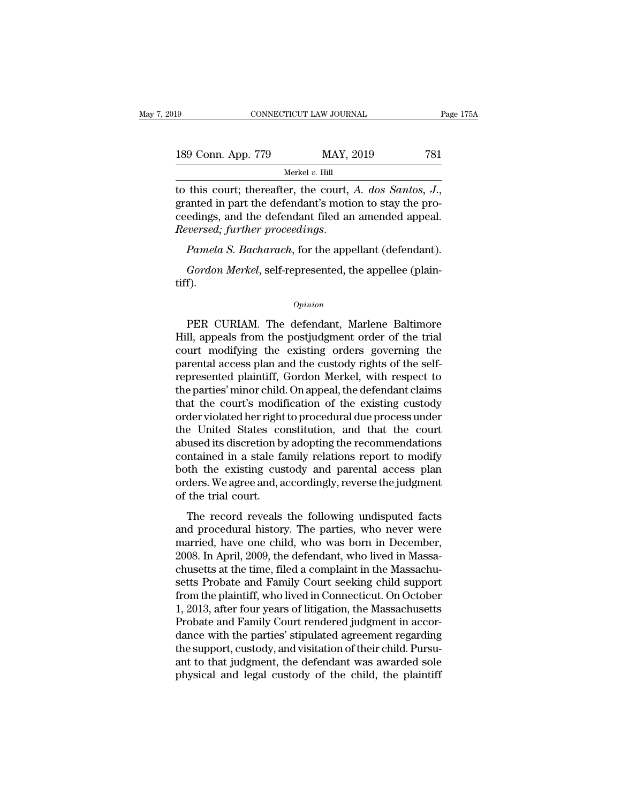| 19                 | CONNECTICUT LAW JOURNAL | Page 175A |
|--------------------|-------------------------|-----------|
| 189 Conn. App. 779 | MAY, 2019               | 781       |
|                    | Merkel $v$ . Hill       |           |

to this court; thereafter, the court, *A. dos Santos, J.*, granted in part the defendant's motion to stay the pro-<br>ceedings, and the defendant filed an amended appeal.<br>Reversed: further proceedings. 189 Conn. App. 779 MAY, 2019 781<br>
Merkel v. Hill<br>
to this court; thereafter, the court, A. dos Santos, J.,<br>
granted in part the defendant's motion to stay the pro-<br>
ceedings, and the defendant filed an amended appeal.<br>
Re *Reversed; further proceedings*. *Pamela S. Bacharach*, for the appellant (defendant).<br> *Reversed; further proceedings. Pamela S. Bacharach*, for the appellant (defendant).<br> *Reversed; further proceedings. Pamela S. Ba* this court; thereafter, the court, *A. dos Santos, J.*, anted in part the defendant's motion to stay the pro-<br>edings, and the defendant filed an amended appeal.<br>*versed; further proceedings.*<br>*Pamela S. Bacharach*, for the

tiff).

#### *Opinion*

Pamela S. Bacharach, for the appellant (defendant).<br>
Gordon Merkel, self-represented, the appellee (plain-<br>
f).<br>
Opinion<br>
PER CURIAM. The defendant, Marlene Baltimore<br>
II, appeals from the postjudgment order of the trial<br> Famous F. Basharand, for the appellant (detentation).<br>
Gordon Merkel, self-represented, the appellee (plain-<br>
opinion<br>
PER CURIAM. The defendant, Marlene Baltimore<br>
Hill, appeals from the postjudgment order of the trial<br>
c Gordon Merkel, self-represented, the appellee (plain-<br>tiff).<br>Opinion<br>PER CURIAM. The defendant, Marlene Baltimore<br>Hill, appeals from the postjudgment order of the trial<br>court modifying the existing orders governing the<br>par PER CURIAM. The defendant, Marlene Baltimore<br>Hill, appeals from the postjudgment order of the trial<br>court modifying the existing orders governing the<br>parental access plan and the custody rights of the self-<br>represented pla opinion<br>
PER CURIAM. The defendant, Marlene Baltimore<br>
Hill, appeals from the postjudgment order of the trial<br>
court modifying the existing orders governing the<br>
parental access plan and the custody rights of the self-<br>
re ER CURIAM. The defendant, Marlene Baltimore<br>Hill, appeals from the postjudgment order of the trial<br>court modifying the existing orders governing the<br>parental access plan and the custody rights of the self-<br>represented plai PER CURIAM. The defendant, Marlene Baltimore<br>Hill, appeals from the postjudgment order of the trial<br>court modifying the existing orders governing the<br>parental access plan and the custody rights of the self-<br>represented pla Hill, appeals from the postjudgment order of the trial<br>court modifying the existing orders governing the<br>parental access plan and the custody rights of the self-<br>represented plaintiff, Gordon Merkel, with respect to<br>the pa court modifying the existing orders governing the<br>parental access plan and the custody rights of the self-<br>represented plaintiff, Gordon Merkel, with respect to<br>the parties' minor child. On appeal, the defendant claims<br>tha parental access plan and the custody rights of the self-<br>represented plaintiff, Gordon Merkel, with respect to<br>the parties' minor child. On appeal, the defendant claims<br>that the court's modification of the existing custody represented plaintiff, Gordon Merkel, with respect to<br>the parties' minor child. On appeal, the defendant claims<br>that the court's modification of the existing custody<br>order violated her right to procedural due process under the parties' minor child. On appeal, the defendant claims<br>that the court's modification of the existing custody<br>order violated her right to procedural due process under<br>the United States constitution, and that the court<br>ab that the court's modification of the existing custody<br>order violated her right to procedural due process under<br>the United States constitution, and that the court<br>abused its discretion by adopting the recommendations<br>contai order violated her right<br>the United States co<br>abused its discretion by<br>contained in a stale fa<br>both the existing cus<br>orders. We agree and, a<br>of the trial court.<br>The record reveals The record states constrained, and that the court<br>used its discretion by adopting the recommendations<br>that the existing custody and parental access plan<br>ders. We agree and, accordingly, reverse the judgment<br>the trial court abused its unserted by adopting the recommendations<br>contained in a stale family relations report to modify<br>both the existing custody and parental access plan<br>orders. We agree and, accordingly, reverse the judgment<br>of the t

both the existing custody and parental access plan<br>orders. We agree and, accordingly, reverse the judgment<br>of the trial court.<br>The record reveals the following undisputed facts<br>and procedural history. The parties, who neve bout the existing edstody and parental access plane<br>orders. We agree and, accordingly, reverse the judgment<br>of the trial court.<br>The record reveals the following undisputed facts<br>and procedural history. The parties, who nev orders. We agree and, accordingly, reverse are judgment<br>of the trial court.<br>The record reveals the following undisputed facts<br>and procedural history. The parties, who never were<br>married, have one child, who was born in Dec The record reveals the following undisputed facts<br>and procedural history. The parties, who never were<br>married, have one child, who was born in December,<br>2008. In April, 2009, the defendant, who lived in Massa-<br>chusetts at The record reveals the following undisputed facts<br>and procedural history. The parties, who never were<br>married, have one child, who was born in December,<br>2008. In April, 2009, the defendant, who lived in Massa-<br>chusetts at and procedural history. The parties, who never were<br>married, have one child, who was born in December,<br>2008. In April, 2009, the defendant, who lived in Massa-<br>chusetts at the time, filed a complaint in the Massachu-<br>setts married, have one child, who was born in December,<br>2008. In April, 2009, the defendant, who lived in Massa-<br>chusetts at the time, filed a complaint in the Massachu-<br>setts Probate and Family Court seeking child support<br>from 2008. In April, 2009, the defendant, who lived in Massa-<br>chusetts at the time, filed a complaint in the Massachu-<br>setts Probate and Family Court seeking child support<br>from the plaintiff, who lived in Connecticut. On Octobe chusetts at the time, filed a complaint in the Massachusetts Probate and Family Court seeking child support from the plaintiff, who lived in Connecticut. On October 1, 2013, after four years of litigation, the Massachusett setts Probate and Family Court seeking child support<br>from the plaintiff, who lived in Connecticut. On October<br>1, 2013, after four years of litigation, the Massachusetts<br>Probate and Family Court rendered judgment in accor-<br> from the plaintiff, who lived in Connecticut. On October 1, 2013, after four years of litigation, the Massachusetts Probate and Family Court rendered judgment in accordance with the parties' stipulated agreement regarding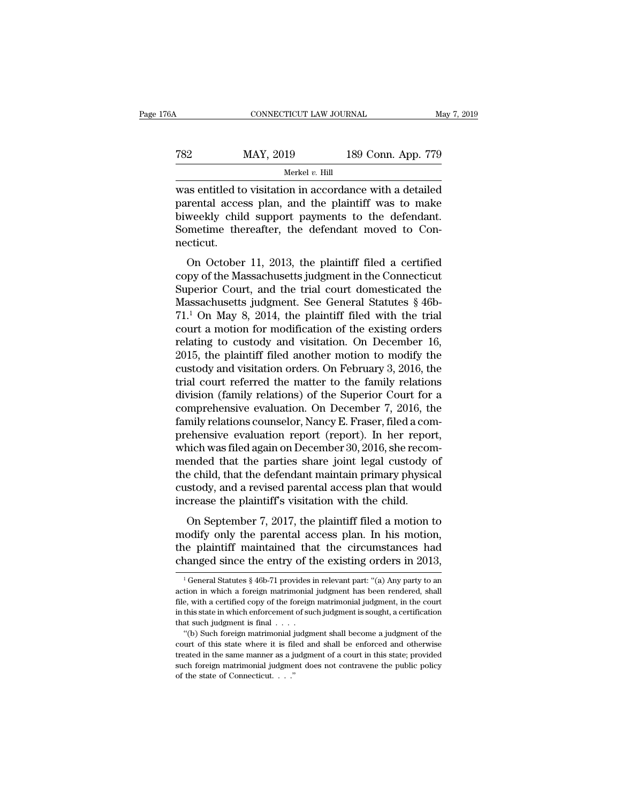189 CONNECTICUT LAW JOURNAL May 7, 2019<br>
2782 MAY, 2019 189 Conn. App. 779<br>
189 Conn. App. 779 Merkel *v.* Hill

CONNECTICUT LAW JOURNAL May 7, 2019<br>
MAY, 2019 189 Conn. App. 779<br>
Merkel v. Hill<br>
Was entitled to visitation in accordance with a detailed<br>
parental access plan, and the plaintiff was to make  $\begin{array}{cc}\n 782 & \text{MAY, } 2019 & \text{189 Conn. App. 779}\n \hline\n\text{Wars entitled to visitation in accordance with a detailed  
parental access plan, and the plaintiff was to make  
biweekly child support payments to the defendant.$ MAY, 2019 189 Conn. App. 779<br>
Merkel v. Hill<br>
Was entitled to visitation in accordance with a detailed<br>
parental access plan, and the plaintiff was to make<br>
biweekly child support payments to the defendant.<br>
Sometime there Sometime thereafter, the defendant moved to Con-<br>
Sometime thereafter, the plaintiff was to make biweekly child support payments to the defendant.<br>
Sometime thereafter, the defendant moved to Connecticut. necticut. as entitled to visitation in accordance with a detailed<br>rental access plan, and the plaintiff was to make<br>weekly child support payments to the defendant.<br>metime thereafter, the defendant moved to Con-<br>cticut.<br>On October 11 was entired to visitation in accordance with a detailed<br>parental access plan, and the plaintiff was to make<br>biweekly child support payments to the defendant.<br>Sometime thereafter, the defendant moved to Con-<br>necticut.<br>On O

biweekly child support payments to the defendant.<br>Sometime thereafter, the defendant moved to Connecticut.<br>On October 11, 2013, the plaintiff filed a certified<br>copy of the Massachusetts judgment in the Connecticut<br>Superio Sometime thereafter, the defendant moved to Connecticut.<br>
On October 11, 2013, the plaintiff filed a certified<br>
copy of the Massachusetts judgment in the Connecticut<br>
Superior Court, and the trial court domesticated the<br> France Interacted Connecticut.<br>
2013, the plaintiff filed a certified<br>
copy of the Massachusetts judgment in the Connecticut<br>
Superior Court, and the trial court domesticated the<br>
Massachusetts judgment. See General Statut On October 11, 2013, the plaintiff filed a certified<br>copy of the Massachusetts judgment in the Connecticut<br>Superior Court, and the trial court domesticated the<br>Massachusetts judgment. See General Statutes  $\S$  46b-<br>71.<sup>1</sup> On October 11, 2013, the plaintiff filed a certified<br>copy of the Massachusetts judgment in the Connecticut<br>Superior Court, and the trial court domesticated the<br>Massachusetts judgment. See General Statutes § 46b-<br>71.<sup>1</sup> On copy of the Massachusetts judgment in the Connecticut<br>Superior Court, and the trial court domesticated the<br>Massachusetts judgment. See General Statutes § 46b-<br>71.<sup>1</sup> On May 8, 2014, the plaintiff filed with the trial<br>court Superior Court, and the trial court domesticated the<br>Massachusetts judgment. See General Statutes  $\S$  46b-<br>71.<sup>1</sup> On May 8, 2014, the plaintiff filed with the trial<br>court a motion for modification of the existing orders<br>r Massachusetts judgment. See General Statutes  $\S$  46b-71.<sup>1</sup> On May 8, 2014, the plaintiff filed with the trial court a motion for modification of the existing orders relating to custody and visitation. On December 16, 201 71.<sup>1</sup> On May 8, 2014, the plaintiff filed with the trial<br>court a motion for modification of the existing orders<br>relating to custody and visitation. On December 16,<br>2015, the plaintiff filed another motion to modify the<br>c court a motion for modification of the existing orders<br>relating to custody and visitation. On December 16,<br>2015, the plaintiff filed another motion to modify the<br>custody and visitation orders. On February 3, 2016, the<br>tria relating to custody and visitation. On December 16,<br>2015, the plaintiff filed another motion to modify the<br>custody and visitation orders. On February 3, 2016, the<br>trial court referred the matter to the family relations<br>div 2015, the plaintiff filed another motion to modify the custody and visitation orders. On February 3, 2016, the trial court referred the matter to the family relations division (family relations) of the Superior Court for a custody and visitation orders. On February 3, 2016, the<br>trial court referred the matter to the family relations<br>division (family relations) of the Superior Court for a<br>comprehensive evaluation. On December 7, 2016, the<br>fam trial court referred the matter to the family relations<br>division (family relations) of the Superior Court for a<br>comprehensive evaluation. On December 7, 2016, the<br>family relations counselor, Nancy E. Fraser, filed a com-<br>p division (family relations) of the Superior Court for a<br>comprehensive evaluation. On December 7, 2016, the<br>family relations counselor, Nancy E. Fraser, filed a com-<br>prehensive evaluation report (report). In her report,<br>whi comprehensive evaluation. On December 7, 2016, the<br>family relations counselor, Nancy E. Fraser, filed a com-<br>prehensive evaluation report (report). In her report,<br>which was filed again on December 30, 2016, she recom-<br>mend family relations counselor, Nancy E. Fraser, filed a corprehensive evaluation report (report). In her report<br>which was filed again on December 30, 2016, she recorprended that the parties share joint legal custody<br>the child enclustive evaluation report (report). In her report,<br>identified again on December 30, 2016, she recom-<br>ended that the parties share joint legal custody of<br>e child, that the defendant maintain primary physical<br>stody, and a mended that the parties share joint legal custody of<br>the child, that the defendant maintain primary physical<br>custody, and a revised parental access plan that would<br>increase the plaintiff's visitation with the child.<br>On Se

the child, that the defendant maintain primary physical<br>custody, and a revised parental access plan that would<br>increase the plaintiff's visitation with the child.<br>On September 7, 2017, the plaintiff filed a motion to<br>modif custody, and a revised parental access plan that would<br>increase the plaintiff's visitation with the child.<br>On September 7, 2017, the plaintiff filed a motion to<br>modify only the parental access plan. In his motion,<br>the pla On September 7, 2017, the plaintiff filed a motion to codify only the parental access plan. In his motion, the plaintiff maintained that the circumstances had nanged since the entry of the existing orders in 2013,  $\frac{1}{1$ modify only the parental access plan. In his motion,<br>the plaintiff maintained that the circumstances had<br>changed since the entry of the existing orders in 2013,<br><sup>1</sup>General Statutes § 46b-71 provides in relevant part: "(a)

the plaintiff maintained that the circumstances had changed since the entry of the existing orders in 2013,<br> $\frac{1}{1}$  General Statutes § 46b-71 provides in relevant part: "(a) Any party to an action in which a foreign mat changed since the entry of the existing orders in 2013,<br>
<sup>1</sup> General Statutes § 46b-71 provides in relevant part: "(a) Any party to an<br>
action in which a foreign matrimonial judgment has been rendered, shall<br>
file, with a action in which a foreign matrimonial judgment has been rendered, shall file, with a certified copy of the foreign matrimonial judgment, in the court in this state in which enforcement of such judgment is sought, a certif <sup>1</sup> General Statutes § 46b-71 provides in relevant part: "(a) Any party to an tion in which a foreign matrimonial judgment has been rendered, shall e, with a certified copy of the foreign matrimonial judgment, in the cour action in which a foreign matrimonial judgment has been rendered, shall file, with a certified copy of the foreign matrimonial judgment, in the court in this state in which enforcement of such judgment is sought, a certif

file, with a certified copy of the foreign matrimonial judgment, in the court<br>in this state in which enforcement of such judgment is sought, a certification<br>that such judgment is final  $\dots$ .<br>"(b) Such foreign matrimonial such finite is state in which enforcement of such judgment is sought, a certification that such judgment is final  $\dots$ .<br>
"(b) Such foreign matrimonial judgment shall become a judgment of the court of this state where it i of the state of Connecticut. . . .''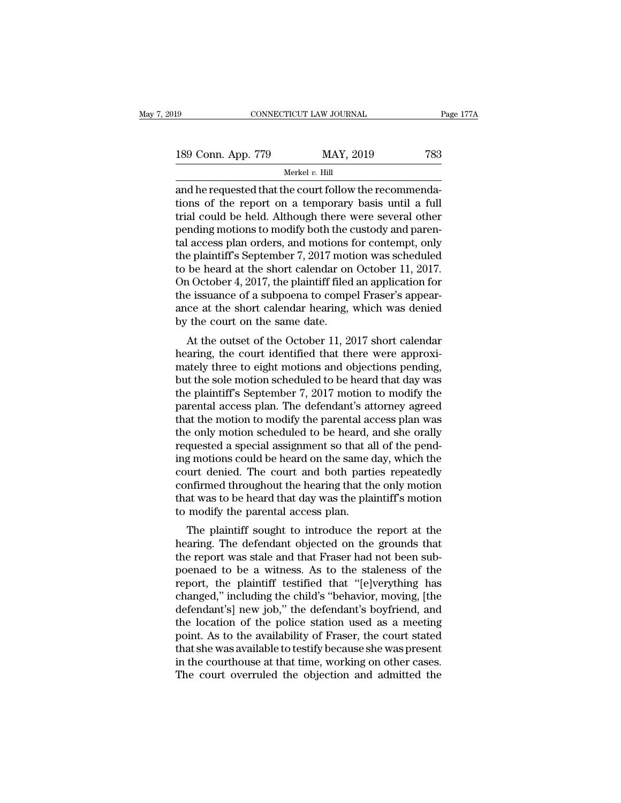| 19                 | CONNECTICUT LAW JOURNAL | Page 177A |
|--------------------|-------------------------|-----------|
| 189 Conn. App. 779 | MAY, 2019               | 783       |
|                    | Merkel v. Hill          |           |

and he requested that the court follow the recommenda-189 Conn. App. 779 MAY, 2019 783<br>
Merkel v. Hill<br>
and he requested that the court follow the recommenda-<br>
tions of the report on a temporary basis until a full<br>
trial could be held. Although there were several other<br>
pond 189 Conn. App. 779 MAY, 2019 783<br>
Merkel v. Hill<br>
and he requested that the court follow the recommenda-<br>
tions of the report on a temporary basis until a full<br>
trial could be held. Although there were several other<br>
pend 189 Conn. App. 779 MAY, 2019 783<br>
Merkel v. Hill<br>
and he requested that the court follow the recommenda-<br>
tions of the report on a temporary basis until a full<br>
trial could be held. Although there were several other<br>
pend Merkel v. Hill<br>and he requested that the court follow the recommenda-<br>tions of the report on a temporary basis until a full<br>trial could be held. Although there were several other<br>pending motions to modify both the custody Merkel v. Hill<br>and he requested that the court follow the recommenda-<br>tions of the report on a temporary basis until a full<br>trial could be held. Although there were several other<br>pending motions to modify both the custody and he requested that the court follow the recommendations of the report on a temporary basis until a full trial could be held. Although there were several other pending motions to modify both the custody and parental acce tions of the report on a temporary basis until a full<br>trial could be held. Although there were several other<br>pending motions to modify both the custody and paren-<br>tal access plan orders, and motions for contempt, only<br>the trial could be held. Although there were several other<br>pending motions to modify both the custody and paren-<br>tal access plan orders, and motions for contempt, only<br>the plaintiff's September 7, 2017 motion was scheduled<br>to pending motions to modify both the custody and parental access plan orders, and motions for contempt, only the plaintiff's September 7, 2017 motion was scheduled to be heard at the short calendar on October 11, 2017. On Oc tal access plan orders, and motions if<br>the plaintiff's September 7, 2017 mot<br>to be heard at the short calendar on<br>On October 4, 2017, the plaintiff filed<br>the issuance of a subpoena to comp<br>ance at the short calendar heari be planting subplement  $t$ , 2017 motion was scheduled<br>be heard at the short calendar on October 11, 2017.<br>a October 4, 2017, the plaintiff filed an application for<br>e issuance of a subpoena to compel Fraser's appear-<br>ce at to be heard at the short calendar on October 11, 2017.<br>On October 4, 2017, the plaintiff filed an application for<br>the issuance of a subpoena to compel Fraser's appear-<br>ance at the short calendar hearing, which was denied<br>

on October 4, 2017, the plantin med an application for<br>the issuance of a subpoena to compel Fraser's appear-<br>ance at the short calendar hearing, which was denied<br>by the court on the same date.<br>At the outset of the October the issuance of a subpoetia to comper Fraser's appear-<br>ance at the short calendar hearing, which was denied<br>by the court on the same date.<br>At the outset of the October 11, 2017 short calendar<br>hearing, the court identified ance at the short calendar hearing, which was defiled<br>by the court on the same date.<br>At the outset of the October 11, 2017 short calendar<br>hearing, the court identified that there were approxi-<br>mately three to eight motions by the court on the same date.<br>
At the outset of the October 11, 2017 short calendar<br>
hearing, the court identified that there were approxi-<br>
mately three to eight motions and objections pending,<br>
but the sole motion sched At the outset of the October 11, 2017 short calendar<br>hearing, the court identified that there were approxi-<br>mately three to eight motions and objections pending,<br>but the sole motion scheduled to be heard that day was<br>the p hearing, the court identified that there were approximately three to eight motions and objections pending,<br>but the sole motion scheduled to be heard that day was<br>the plaintiff's September 7, 2017 motion to modify the<br>paren mately three to eight motions and objections pending,<br>but the sole motion scheduled to be heard that day was<br>the plaintiff's September 7, 2017 motion to modify the<br>parental access plan. The defendant's attorney agreed<br>that but the sole motion scheduled to be heard that day was<br>the plaintiff's September 7, 2017 motion to modify the<br>parental access plan. The defendant's attorney agreed<br>that the motion to modify the parental access plan was<br>the the plaintiff's September 7, 2017 motion to modify the<br>parental access plan. The defendant's attorney agreed<br>that the motion to modify the parental access plan was<br>the only motion scheduled to be heard, and she orally<br>requ parental access plan. The defendant's attorney agreed<br>that the motion to modify the parental access plan was<br>the only motion scheduled to be heard, and she orally<br>requested a special assignment so that all of the pend-<br>ing that the motion to modify the parental access plan was<br>the only motion scheduled to be heard, and she orally<br>requested a special assignment so that all of the pend-<br>ing motions could be heard on the same day, which the<br>cou the only motion scheduled to be heard, a<br>requested a special assignment so that a<br>ing motions could be heard on the same c<br>court denied. The court and both parti<br>confirmed throughout the hearing that th<br>that was to be hear g motions could be heard on the same day, which the<br>aut denied. The court and both parties repeatedly<br>nfirmed throughout the hearing that the only motion<br>at was to be heard that day was the plaintiff's motion<br>modify the pa mg motions collar be heard on the same day, which the<br>court denied. The court and both parties repeatedly<br>confirmed throughout the hearing that the only motion<br>that was to be heard that day was the plaintiff's motion<br>to mo

France and the report and both parties repeatedly<br>confirmed throughout the hearing that the only motion<br>to modify the parental access plan.<br>The plaintiff sought to introduce the report at the<br>hearing. The defendant objecte committed throughout the hearing that the only motion<br>to modify the parental access plan.<br>The plaintiff sought to introduce the report at the<br>hearing. The defendant objected on the grounds that<br>the report was stale and tha report of modify the parental access plan.<br>The plaintiff sought to introduce the report at the<br>hearing. The defendant objected on the grounds that<br>the report was stale and that Fraser had not been sub-<br>poenaed to be a witn to moduly the parental access plant.<br>The plaintiff sought to introduce the report at the<br>hearing. The defendant objected on the grounds that<br>the report was stale and that Fraser had not been sub-<br>poenaed to be a witness. A The plaintiff sought to introduce the report at the<br>hearing. The defendant objected on the grounds that<br>the report was stale and that Fraser had not been sub-<br>poenaed to be a witness. As to the staleness of the<br>report, the hearing. The defendant objected on the grounds that<br>the report was stale and that Fraser had not been sub-<br>poenaed to be a witness. As to the staleness of the<br>report, the plaintiff testified that "[e]verything has<br>changed, the report was stale and that Fraser had not been sub-<br>poenaed to be a witness. As to the staleness of the<br>report, the plaintiff testified that "[e]verything has<br>changed," including the child's "behavior, moving, [the<br>defe poenaed to be a witness. As to the staleness of the<br>report, the plaintiff testified that "[e]verything has<br>changed," including the child's "behavior, moving, [the<br>defendant's] new job," the defendant's boyfriend, and<br>the l report, the plaintiff testified that "[e]verything has changed," including the child's "behavior, moving, [the defendant's] new job," the defendant's boyfriend, and the location of the police station used as a meeting poin changed," including the child's "behavior, moving, [the defendant's] new job," the defendant's boyfriend, and the location of the police station used as a meeting point. As to the availability of Fraser, the court stated t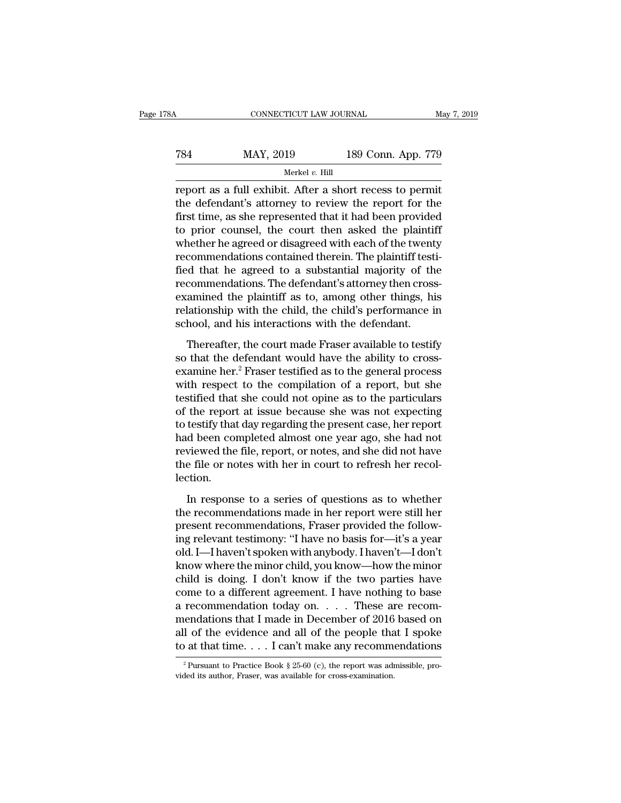| '8Α | CONNECTICUT LAW JOURNAL |                    | May 7, 2019 |
|-----|-------------------------|--------------------|-------------|
| 784 | MAY, 2019               | 189 Conn. App. 779 |             |
|     | Merkel $v$ . Hill       |                    |             |

CONNECTICUT LAW JOURNAL May 7, 2019<br>
TRANSIC MAY, 2019 189 Conn. App. 779<br>
Merkel v. Hill<br>
Treport as a full exhibit. After a short recess to permit<br>
the defendant's attorney to review the report for the<br>
first time as she TR4 MAY, 2019 189 Conn. App. 779<br>
Merkel v. Hill<br>
Teport as a full exhibit. After a short recess to permit<br>
the defendant's attorney to review the report for the<br>
first time, as she represented that it had been provided<br> First MAY, 2019 189 Conn. App. 779<br>
Merkel v. Hill<br>
Treport as a full exhibit. After a short recess to permit<br>
the defendant's attorney to review the report for the<br>
first time, as she represented that it had been provide TRA MAY, 2019 189 Conn. App. 779<br>
Merkel v. Hill<br>
Treport as a full exhibit. After a short recess to permit<br>
the defendant's attorney to review the report for the<br>
first time, as she represented that it had been provided<br> Werkel v. Hill<br>
report as a full exhibit. After a short recess to permit<br>
the defendant's attorney to review the report for the<br>
first time, as she represented that it had been provided<br>
to prior counsel, the court then a merket *v*. Hill<br>report as a full exhibit. After a short recess to permit<br>the defendant's attorney to review the report for the<br>first time, as she represented that it had been provided<br>to prior counsel, the court then aske report as a full exhibit. After a short recess to permit<br>the defendant's attorney to review the report for the<br>first time, as she represented that it had been provided<br>to prior counsel, the court then asked the plaintiff<br>w the defendant's attorney to review the report for the first time, as she represented that it had been provided<br>to prior counsel, the court then asked the plaintiff<br>whether he agreed or disagreed with each of the twenty<br>rec first time, as she represented that it had been provided<br>to prior counsel, the court then asked the plaintiff<br>whether he agreed or disagreed with each of the twenty<br>recommendations contained therein. The plaintiff testi-<br>f to prior counsel, the court then asked the plaintiff<br>whether he agreed or disagreed with each of the twenty<br>recommendations contained therein. The plaintiff testi-<br>fied that he agreed to a substantial majority of the<br>recom whether he agreed or disagreed with each of the twent<br>recommendations contained therein. The plaintiff test<br>fied that he agreed to a substantial majority of th<br>recommendations. The defendant's attorney then cross<br>examined of that he agreed to a substantial majority of the<br>commendations. The defendant's attorney then cross-<br>amined the plaintiff as to, among other things, his<br>lationship with the child, the child's performance in<br>hool, and hi so that the defendant's attorney then cross-<br>recommendations. The defendant's attorney then cross-<br>examined the plaintiff as to, among other things, his<br>relationship with the child, the child's performance in<br>school, and h

examined the plaintiff as to, among other things, his<br>relationship with the child, the child's performance in<br>school, and his interactions with the defendant.<br>Thereafter, the court made Fraser available to testify<br>so that relationship with the child, the child's performance in<br>school, and his interactions with the defendant.<br>Thereafter, the court made Fraser available to testify<br>so that the defendant would have the ability to cross-<br>examin school, and his interactions with the defendant.<br>Thereafter, the court made Fraser available to testify<br>so that the defendant would have the ability to cross-<br>examine her.<sup>2</sup> Fraser testified as to the general process<br>with Thereafter, the court made Fraser available to testify<br>so that the defendant would have the ability to cross-<br>examine her.<sup>2</sup> Fraser testified as to the general process<br>with respect to the compilation of a report, but she Thereafter, the court made Fraser available to testify<br>so that the defendant would have the ability to cross-<br>examine her.<sup>2</sup> Fraser testified as to the general process<br>with respect to the compilation of a report, but she<br> so that the defendant would have the ability to cross-<br>examine her.<sup>2</sup> Fraser testified as to the general process<br>with respect to the compilation of a report, but she<br>testified that she could not opine as to the particular examine her.<sup>2</sup> Fraser testified as to the general process<br>with respect to the compilation of a report, but she<br>testified that she could not opine as to the particulars<br>of the report at issue because she was not expecting<br> with respect to the compilation of a report, but she<br>testified that she could not opine as to the particulars<br>of the report at issue because she was not expecting<br>to testify that day regarding the present case, her report<br> lection. In the series of questions as to whether<br>the series of personal deep completed almost one year ago, she had not<br>viewed the file, report, or notes, and she did not have<br>e file or notes with her in court to refresh her recol the recommendations made in her report were still her present recommendations made in the file or notes with her in court to refresh her recollection.<br>In response to a series of questions as to whether the recommendations

had been completed almost one year ago, she had not<br>reviewed the file, report, or notes, and she did not have<br>the file or notes with her in court to refresh her recol-<br>lection.<br>In response to a series of questions as to wh Fortemed the mix, reperty, or notes, and the did not have not<br>the file or notes with her in court to refresh her recol-<br>lection.<br>In response to a series of questions as to whether<br>the recommendations made in her report wer dection.<br>
In response to a series of questions as to whether<br>
the recommendations made in her report were still her<br>
present recommendations, Fraser provided the follow-<br>
ing relevant testimony: "I have no basis for—it's a In response to a series of questions as to whether<br>the recommendations made in her report were still her<br>present recommendations, Fraser provided the follow-<br>ing relevant testimony: "I have no basis for—it's a year<br>old. I In response to a series of questions as to whether<br>the recommendations made in her report were still her<br>present recommendations, Fraser provided the follow-<br>ing relevant testimony: "I have no basis for—it's a year<br>old. I the recommendations made in her report were still her<br>present recommendations, Fraser provided the follow-<br>ing relevant testimony: "I have no basis for—it's a year<br>old. I—I haven't spoken with anybody. I haven't—I don't<br>kn present recommendations, Fraser provided the following relevant testimony: "I have no basis for—it's a year old. I—I haven't spoken with anybody. I haven't—I don't<br>know where the minor child, you know—how the minor child i ing relevant testimony: "I have no basis for—it's a year<br>old. I—I haven't spoken with anybody. I haven't—I don't<br>know where the minor child, you know—how the minor<br>child is doing. I don't know if the two parties have<br>come old. I—I haven't spoken with anybody. I haven't—I don't<br>know where the minor child, you know—how the minor<br>child is doing. I don't know if the two parties have<br>come to a different agreement. I have nothing to base<br>a recomm know where the minor child, you know—how the minor<br>child is doing. I don't know if the two parties have<br>come to a different agreement. I have nothing to base<br>a recommendation today on.... These are recom-<br>mendations that recommendation today on. . . . These are recom-<br>endations that I made in December of 2016 based on<br>1 of the evidence and all of the people that I spoke<br>at that time. . . . I can't make any recommendations<br> $\frac{1}{2}$ Pursuan mendations that I made in December of 2016<br>all of the evidence and all of the people that<br>to at that time.... I can't make any recommender<br> $\frac{2 \text{ Pursuant to Practice Book § } 25-60 \text{ (c)}, \text{ the report was adi}}{2 \text{ Pursuant to Practice Book § } 25-60 \text{ (c)}, \text{ the report was adi}}$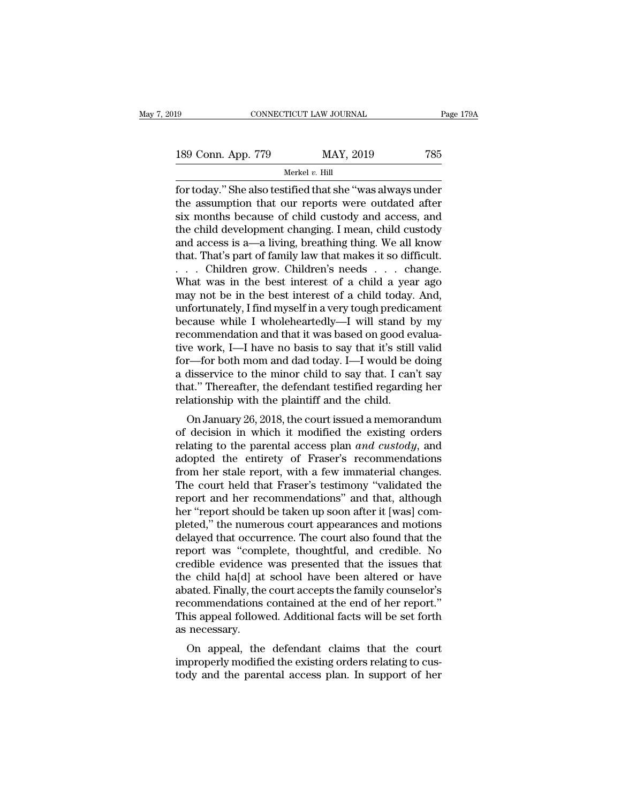| 19                 | CONNECTICUT LAW JOURNAL | Page 179A |
|--------------------|-------------------------|-----------|
| 189 Conn. App. 779 | MAY, 2019               | 785       |
|                    | Merkel $v$ . Hill       |           |

Fage 179A<br>189 Conn. App. 779 MAY, 2019 785<br>Therefore the assumption that our reports were outdated after<br>the assumption that our reports were outdated after<br>the assumption that our reports were outdated after<br>the months bo 189 Conn. App. 779 MAY, 2019 785<br>
Merkel v. Hill<br>
for today." She also testified that she "was always under<br>
the assumption that our reports were outdated after<br>
six months because of child custody and access, and<br>
the chi 189 Conn. App. 779 MAY, 2019 785<br>
Merkel v. Hill<br>
for today." She also testified that she "was always under<br>
the assumption that our reports were outdated after<br>
six months because of child custody and access, and<br>
the ch 189 Conn. App. 779 MAY, 2019 785<br>
Merkel v. Hill<br>
for today." She also testified that she "was always under<br>
the assumption that our reports were outdated after<br>
six months because of child custody and access, and<br>
the ch Merkel v. Hill<br>for today." She also testified that she "was always under<br>the assumption that our reports were outdated after<br>six months because of child custody and access, and<br>the child development changing. I mean, chil Merkel v. Hill<br>for today." She also testified that she "was always under<br>the assumption that our reports were outdated after<br>six months because of child custody and access, and<br>the child development changing. I mean, child for today." She also testified that she "was always under<br>the assumption that our reports were outdated after<br>six months because of child custody and access, and<br>the child development changing. I mean, child custody<br>and ac the assumption that our reports were outdated after<br>six months because of child custody and access, and<br>the child development changing. I mean, child custody<br>and access is a—a living, breathing thing. We all know<br>that. Tha six months because of child custody and access, and<br>the child development changing. I mean, child custody<br>and access is a—a living, breathing thing. We all know<br>that. That's part of family law that makes it so difficult.<br> the child development changing. I mean, child custody<br>and access is a—a living, breathing thing. We all know<br>that. That's part of family law that makes it so difficult.<br>. . . . Children grow. Children's needs . . . . chang and access is a—a living, breathing thing. We all know<br>that. That's part of family law that makes it so difficult.<br>. . . . Children grow. Children's needs . . . . change.<br>What was in the best interest of a child a year ag that. That's part of family law that makes it so difficult.<br>
. . . . Children grow. Children's needs . . . . change.<br>
What was in the best interest of a child a year ago<br>
may not be in the best interest of a child today. ... Children grow. Children's needs .... change.<br>What was in the best interest of a child a year ago<br>may not be in the best interest of a child today. And,<br>unfortunately, I find myself in a very tough predicament<br>because w What was in the best interest of a child a year ago<br>may not be in the best interest of a child today. And,<br>unfortunately, I find myself in a very tough predicament<br>because while I wholeheartedly—I will stand by my<br>recommen may not be in the best interest of a child today. And,<br>unfortunately, I find myself in a very tough predicament<br>because while I wholeheartedly—I will stand by my<br>recommendation and that it was based on good evalua-<br>tive wo unfortunately, I find myself in a very tough predicament<br>because while I wholeheartedly—I will stand by my<br>recommendation and that it was based on good evalua-<br>tive work, I—I have no basis to say that it's still valid<br>for because while I wholeheartedly—I will stand b<br>recommendation and that it was based on good ev<br>tive work, I—I have no basis to say that it's still<br>for—for both mom and dad today. I—I would be<br>a disservice to the minor child Fe work, I—I have no basis to say that it's still valid<br>r—for both mom and dad today. I—I would be doing<br>disservice to the minor child to say that. I can't say<br>at." Thereafter, the defendant testified regarding her<br>lation for—for both mom and dad today. I—I would be doing<br>a disservice to the minor child to say that. I can't say<br>that." Thereafter, the defendant testified regarding her<br>relationship with the plaintiff and the child.<br>On Januar

relation both moltrand dad today. 1—1 would be doing<br>a disservice to the minor child to say that. I can't say<br>that." Thereafter, the defendant testified regarding her<br>relationship with the plaintiff and the child.<br>On Janua a usservice to the filmot child to say that. I can't say<br>that." Thereafter, the defendant testified regarding her<br>relationship with the plaintiff and the child.<br>On January 26, 2018, the court issued a memorandum<br>of decisio From Hereatier, the detendant lessined regarding her relationship with the plaintiff and the child.<br>
On January 26, 2018, the court issued a memorandum<br>
of decision in which it modified the existing orders<br>
relating to the The court issued a memorandum<br>of decision in which it modified the existing orders<br>relating to the parental access plan *and custody*, and<br>adopted the entirety of Fraser's recommendations<br>from her stale report, with a few On January 26, 2018, the court issued a memorandum<br>of decision in which it modified the existing orders<br>relating to the parental access plan *and custody*, and<br>adopted the entirety of Fraser's recommendations<br>from her stal of decision in which it modified the existing orders<br>
relating to the parental access plan and custody, and<br>
adopted the entirety of Fraser's recommendations<br>
from her stale report, with a few immaterial changes.<br>
The cou relating to the parental access plan *and custody*, and<br>adopted the entirety of Fraser's recommendations<br>from her stale report, with a few immaterial changes.<br>The court held that Fraser's testimony "validated the<br>report an adopted the entirety of Fraser's recommendations<br>from her stale report, with a few immaterial changes.<br>The court held that Fraser's testimony "validated the<br>report and her recommendations" and that, although<br>her "report sh from her stale report, with a few immaterial changes.<br>The court held that Fraser's testimony "validated the<br>report and her recommendations" and that, although<br>her "report should be taken up soon after it [was] com-<br>pleted, The court held that Fraser's testimony "validated the<br>report and her recommendations" and that, although<br>her "report should be taken up soon after it [was] com-<br>pleted," the numerous court appearances and motions<br>delayed t report and her recommendations" and that, although<br>her "report should be taken up soon after it [was] com-<br>pleted," the numerous court appearances and motions<br>delayed that occurrence. The court also found that the<br>report w her "report should be taken up soon after it [was] completed," the numerous court appearances and motions<br>delayed that occurrence. The court also found that the<br>report was "complete, thoughtful, and credible. No<br>credible e pleted," the numerous court appearances and motions<br>delayed that occurrence. The court also found that the<br>report was "complete, thoughtful, and credible. No<br>credible evidence was presented that the issues that<br>the child h delayed that occurrence. The court also found that the<br>report was "complete, thoughtful, and credible. No<br>credible evidence was presented that the issues that<br>the child ha[d] at school have been altered or have<br>abated. Fin report was "compredible evidence<br>the child ha[d] at<br>abated. Finally, the<br>recommendations<br>This appeal follow<br>as necessary.<br>On appeal, the Example evidence was presented that the issues that<br>e child ha[d] at school have been altered or have<br>ated. Finally, the court accepts the family counselor's<br>commendations contained at the end of her report."<br>is appeal fol the child hald] at school have been altered of have<br>abated. Finally, the court accepts the family counselor's<br>recommendations contained at the end of her report."<br>This appeal followed. Additional facts will be set forth<br>as abated. Finany, the court accepts the family counselor s<br>recommendations contained at the end of her report."<br>This appeal followed. Additional facts will be set forth<br>as necessary.<br>On appeal, the defendant claims that the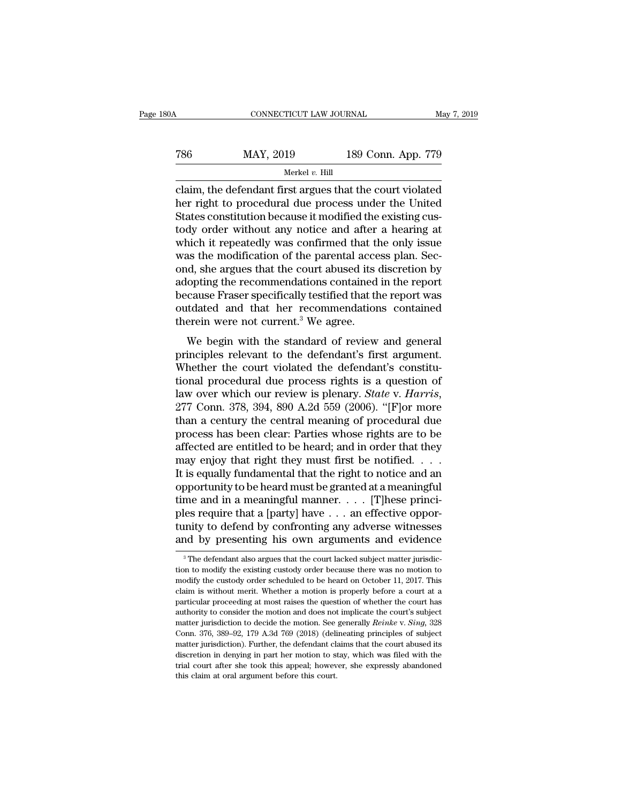CONNECTICUT LAW JOURNAL May 7, 2019<br>
786 MAY, 2019 189 Conn. App. 779<br>
Merkel v. Hill Merkel *v.* Hill

CONNECTICUT LAW JOURNAL May 7, 2019<br>
T86 MAY, 2019 189 Conn. App. 779<br>
Merkel v. Hill<br>
Claim, the defendant first argues that the court violated<br>
her right to procedural due process under the United<br>
States constitution b  $\begin{array}{r} \text{MAY, 2019} \\ \text{Merkel } v. \text{ Hill} \\ \text{claim, the defendant first argues that the court violated her right to procedural due process under the United States constitution because it modified the existing custedy order without any notice and after a bearing at a specific.} \end{array}$ Taster May, 2019<br>
States Constitution because it modified the existing cus-<br>
States constitution because it modified the existing cus-<br>
States constitution because it modified the existing cus-<br>
tody order without any not Task Marty, 2019 189 Conn. App. 779<br>
Merkel v. Hill<br>
claim, the defendant first argues that the court violated<br>
her right to procedural due process under the United<br>
States constitution because it modified the existing cu Worked v. Hill<br>
Claim, the defendant first argues that the court violated<br>
her right to procedural due process under the United<br>
States constitution because it modified the existing cus-<br>
tody order without any notice and Merkel v. Hill<br>claim, the defendant first argues that the court violated<br>her right to procedural due process under the United<br>States constitution because it modified the existing cus-<br>tody order without any notice and afte claim, the defendant first argues that the court violated<br>her right to procedural due process under the United<br>States constitution because it modified the existing cus-<br>tody order without any notice and after a hearing at<br> her right to procedural due process under the United<br>States constitution because it modified the existing cus-<br>tody order without any notice and after a hearing at<br>which it repeatedly was confirmed that the only issue<br>was States constitution because it modified the existing custody order without any notice and after a hearing at which it repeatedly was confirmed that the only issue was the modification of the parental access plan. Second, s tody order without any notice and after a hearing at<br>which it repeatedly was confirmed that the only issue<br>was the modification of the parental access plan. Sec-<br>ond, she argues that the court abused its discretion by<br>adop which it repeatedly was confirmed that th<br>was the modification of the parental acce<br>ond, she argues that the court abused its of<br>adopting the recommendations contained<br>because Fraser specifically testified that th<br>outdated as are modification of the parental access plan. Sec-<br>d, she argues that the court abused its discretion by<br>opting the recommendations contained in the report<br>cause Fraser specifically testified that the report was<br>tdated bind, she argues that the court abused its discretion by<br>adopting the recommendations contained in the report<br>because Fraser specifically testified that the report was<br>outdated and that her recommendations contained<br>therei

definity the recommendations contained in the report<br>because Fraser specifically testified that the report was<br>outdated and that her recommendations contained<br>therein were not current.<sup>3</sup> We agree.<br>We begin with the standa outdated and that her recommendations contained<br>therein were not current.<sup>3</sup> We agree.<br>We begin with the standard of review and general<br>principles relevant to the defendant's first argument.<br>Whether the court violated the backet and that her recommendations contained<br>therein were not current.<sup>3</sup> We agree.<br>We begin with the standard of review and general<br>principles relevant to the defendant's first argument.<br>Whether the court violated the de We begin with the standard of review and general<br>principles relevant to the defendant's first argument.<br>Whether the court violated the defendant's constitu-<br>tional procedural due process rights is a question of<br>law over wh principles relevant to the defendant's first argument.<br>Whether the court violated the defendant's constitu-<br>tional procedural due process rights is a question of<br>law over which our review is plenary. *State* v. *Harris*,<br>2 Whether the court violated the defendant's constitutional procedural due process rights is a question of law over which our review is plenary. *State v. Harris*, 277 Conn. 378, 394, 890 A.2d 559 (2006). "[F]or more than a tional procedural due process rights is a question of<br>law over which our review is plenary. *State* v. *Harris*,<br>277 Conn. 378, 394, 890 A.2d 559 (2006). "[F]or more<br>than a century the central meaning of procedural due<br>pr law over which our review is plenary. *State* v. *Harris*,<br>277 Conn. 378, 394, 890 A.2d 559 (2006). "[F]or more<br>than a century the central meaning of procedural due<br>process has been clear: Parties whose rights are to be<br>af 277 Conn. 378, 394, 890 A.2d 559 (2006). "[F]or more<br>than a century the central meaning of procedural due<br>process has been clear: Parties whose rights are to be<br>affected are entitled to be heard; and in order that they<br>ma than a century the central meaning of procedural due<br>process has been clear: Parties whose rights are to be<br>affected are entitled to be heard; and in order that they<br>may enjoy that right they must first be notified. . . . process has been clear: Parties whose rights are to be affected are entitled to be heard; and in order that they may enjoy that right they must first be notified. . . . . It is equally fundamental that the right to notice affected are entitled to be heard; and in order that they<br>may enjoy that right they must first be notified. . . .<br>It is equally fundamental that the right to notice and an<br>opportunity to be heard must be granted at a meani may enjoy that right they must first be notified. . . . .<br>It is equally fundamental that the right to notice and an<br>opportunity to be heard must be granted at a meaningful<br>time and in a meaningful manner. . . . . [T]hese ples require that a [party] have  $\dots$  an effective opportunity to defend by confronting any adverse witnesses and by presenting his own arguments and evidence  $\frac{1}{3}$ The defendant also argues that the court lacked subje ples require that a [party] have  $\dots$  an effective opportunity to defend by confronting any adverse witnesses and by presenting his own arguments and evidence  $\frac{3}{\pi}$ The defendant also argues that the court lacked subj

tunity to defend by confronting any adverse witnesses<br>and by presenting his own arguments and evidence<br><sup>3</sup>The defendant also argues that the court lacked subject matter jurisdic-<br>tion to modify the existing custody order b and by presenting his own arguments and evidence<br>
<sup>3</sup> The defendant also argues that the court lacked subject matter jurisdiction to modify the existing custody order because there was no motion to modify the custody orde The defendant also argues that the court lacked subject matter jurisdiction to modify the existing custody order because there was no motion to modify the custody order scheduled to be heard on October 11, 2017. This clai <sup>3</sup> The defendant also argues that the court lacked subject matter jurisdiction to modify the existing custody order because there was no motion to modify the custody order scheduled to be heard on October 11, 2017. This tion to modify the existing custody order because there was no motion to modify the custody order scheduled to be heard on October 11, 2017. This claim is without merit. Whether a motion is properly before a court at a par modify the custody order scheduled to be heard on October 11, 2017. This claim is without merit. Whether a motion is properly before a court at a particular proceeding at most raises the question of whether the court has claim is without merit. Whether a motion is properly before a court at a particular proceeding at most raises the question of whether the court has authority to consider the motion and does not implicate the court's subje particular proceeding at most raises the question of whether the court has authority to consider the motion and does not implicate the court's subject matter jurisdiction to decide the motion. See generally *Reinke v. Sing* paramer processure and does not implicate the court's subject<br>authority to consider the motion and does not implicate the court's subject<br>matter jurisdiction to decide the motion. See generally *Reinke* v. Sing, 328<br>Conn. matter jurisdiction to decide the motion. See generally *Reinke* v. *Sing*, 328 Conn. 376, 389–92, 179 A.3d 769 (2018) (delineating principles of subject matter jurisdiction). Further, the defendant claims that the court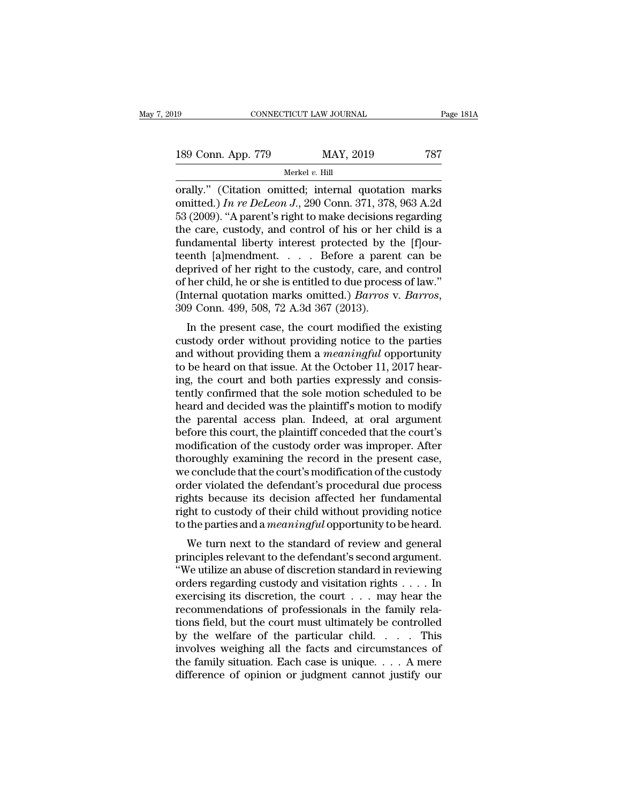| 19                 | CONNECTICUT LAW JOURNAL | Page 181A |
|--------------------|-------------------------|-----------|
| 189 Conn. App. 779 | MAY, 2019               | 787       |
|                    | Merkel $v$ . Hill       |           |

Fage 181A<br>
189 Conn. App. 779 MAY, 2019 787<br>
Merkel v. Hill<br>
orally.'' (Citation omitted; internal quotation marks<br>
omitted.) In re DeLeon J., 290 Conn. 371, 378, 963 A.2d<br>
53 (2000) "A parent's right to make decisions re 189 Conn. App. 779 MAY, 2019 787<br>
Merkel v. Hill<br>
orally." (Citation omitted; internal quotation marks<br>
omitted.) *In re DeLeon J.*, 290 Conn. 371, 378, 963 A.2d<br>
53 (2009). "A parent's right to make decisions regarding<br>
t 189 Conn. App. 779 MAY, 2019 787<br>
Merkel v. Hill<br>
orally." (Citation omitted; internal quotation marks<br>
omitted.) In re DeLeon J., 290 Conn. 371, 378, 963 A.2d<br>
53 (2009). "A parent's right to make decisions regarding<br>
th 189 Conn. App. 779 MAY, 2019 787<br>
Merkel v. Hill<br>
orally." (Citation omitted; internal quotation marks<br>
omitted.) In re DeLeon J., 290 Conn. 371, 378, 963 A.2d<br>
53 (2009). "A parent's right to make decisions regarding<br>
th Merkel v. Hill<br>
orally." (Citation omitted; internal quotation marks<br>
omitted.) In re DeLeon J., 290 Conn. 371, 378, 963 A.2d<br>
53 (2009). "A parent's right to make decisions regarding<br>
the care, custody, and control of hi Merkel v. Hill<br>
orally." (Citation omitted; internal quotation marks<br>
omitted.) In re DeLeon J., 290 Conn. 371, 378, 963 A.2d<br>
53 (2009). "A parent's right to make decisions regarding<br>
the care, custody, and control of hi orally." (Citation omitted; internal quotation marks<br>omitted.) In re DeLeon J., 290 Conn. 371, 378, 963 A.2d<br>53 (2009). "A parent's right to make decisions regarding<br>the care, custody, and control of his or her child is a omitted.) In re DeLeon J., 290 Conn. 371, 378, 963 A.2d 53 (2009). "A parent's right to make decisions regarding the care, custody, and control of his or her child is a fundamental liberty interest protected by the [f]our 53 (2009). "A parent's right to make decisions regarding<br>the care, custody, and control of his or her child is a<br>fundamental liberty interest protected by the [f]our-<br>teenth [a]mendment. . . . . Before a parent can be<br>depr In the present case, the custody, care, and control<br>prived of her right to the custody, care, and control<br>her child, he or she is entitled to due process of law."<br>termal quotation marks omitted.) *Barros* v. *Barros*,<br>9 C deprived of her right to the custody, care, and control<br>of her child, he or she is entitled to due process of law."<br>(Internal quotation marks omitted.) *Barros v. Barros*,<br>309 Conn. 499, 508, 72 A.3d 367 (2013).<br>In the pr

deprived of her right to the custody, care, and control<br>of her child, he or she is entitled to due process of law."<br>(Internal quotation marks omitted.) *Barros* v. *Barros*,<br>309 Conn. 499, 508, 72 A.3d 367 (2013).<br>In the p of her child, he of she is entitled to due process of law.<br>(Internal quotation marks omitted.) *Barros* v. *Barros*,<br>309 Conn. 499, 508, 72 A.3d 367 (2013).<br>In the present case, the court modified the existing<br>custody orde In the present case, the court modified the existing<br>and without providing notice to the parties<br>and without providing them a *meaningful* opportunity<br>to be heard on that issue. At the October 11, 2017 hear-<br>ing, the cour In the present case, the court modified the existing<br>custody order without providing notice to the parties<br>and without providing them a *meaningful* opportunity<br>to be heard on that issue. At the October 11, 2017 hear-<br>ing In the present case, the court modified the existing<br>custody order without providing notice to the parties<br>and without providing them a *meaningful* opportunity<br>to be heard on that issue. At the October 11, 2017 hear-<br>ing, custody order without providing notice to the parties<br>and without providing them a *meaningful* opportunity<br>to be heard on that issue. At the October 11, 2017 hear-<br>ing, the court and both parties expressly and consis-<br>ten and without providing them a *meaningful* opportunity<br>to be heard on that issue. At the October 11, 2017 hear-<br>ing, the court and both parties expressly and consis-<br>tently confirmed that the sole motion scheduled to be<br>hea to be heard on that issue. At the October 11, 2017 hearing, the court and both parties expressly and consistently confirmed that the sole motion scheduled to be heard and decided was the plaintiff's motion to modify the pa ing, the court and both parties expressly and consistently confirmed that the sole motion scheduled to be heard and decided was the plaintiff's motion to modify the parental access plan. Indeed, at oral argument before thi tently confirmed that the sole motion scheduled to be<br>heard and decided was the plaintiff's motion to modify<br>the parental access plan. Indeed, at oral argument<br>before this court, the plaintiff conceded that the court's<br>mod heard and decided was the plaintiff's motion to modify<br>the parental access plan. Indeed, at oral argument<br>before this court, the plaintiff conceded that the court's<br>modification of the custody order was improper. After<br>tho the parental access plan. Indeed, at oral argument<br>before this court, the plaintiff conceded that the court's<br>modification of the custody order was improper. After<br>thoroughly examining the record in the present case,<br>we co before this court, the plaintiff conceded that the court's<br>modification of the custody order was improper. After<br>thoroughly examining the record in the present case,<br>we conclude that the court's modification of the custody modification of the custody order was improper. After thoroughly examining the record in the present case, we conclude that the court's modification of the custody order violated the defendant's procedural due process righ broughly examining the record in the present case,<br>e conclude that the court's modification of the custody<br>der violated the defendant's procedural due process<br>thts because its decision affected her fundamental<br>tht to custo we conclude that the court s'holdincation of the custody<br>order violated the defendant's procedural due process<br>rights because its decision affected her fundamental<br>right to custody of their child without providing notice<br>t

order violated the defendant s procedural due process<br>
rights because its decision affected her fundamental<br>
right to custody of their child without providing notice<br>
to the parties and a *meaningful* opportunity to be he right to custody of their child without providing notice<br>to the parties and a *meaningful* opportunity to be heard.<br>We turn next to the standard of review and general<br>principles relevant to the defendant's second argument Fight to custody of their child whilout providing holice<br>to the parties and a *meaningful* opportunity to be heard.<br>We turn next to the standard of review and general<br>principles relevant to the defendant's second argument For the parties and a *meaning at* opportunity to be heard.<br>We turn next to the standard of review and general<br>principles relevant to the defendant's second argument.<br>"We utilize an abuse of discretion standard in reviewi We turn next to the standard of review and general<br>principles relevant to the defendant's second argument.<br>"We utilize an abuse of discretion standard in reviewing<br>orders regarding custody and visitation rights  $\dots$ . In<br>e principles relevant to the defendant's second argument.<br>
"We utilize an abuse of discretion standard in reviewing<br>
orders regarding custody and visitation rights . . . . In<br>
exercising its discretion, the court . . . may "We utilize an abuse of discretion standard in reviewing<br>orders regarding custody and visitation rights . . . . In<br>exercising its discretion, the court . . . may hear the<br>recommendations of professionals in the family rel orders regarding custody and visitation rights . . . . In<br>exercising its discretion, the court . . . may hear the<br>recommendations of professionals in the family rela-<br>tions field, but the court must ultimately be controll exercising its discretion, the court  $\dots$  may hear the recommendations of professionals in the family relations field, but the court must ultimately be controlled by the welfare of the particular child.  $\dots$  This involves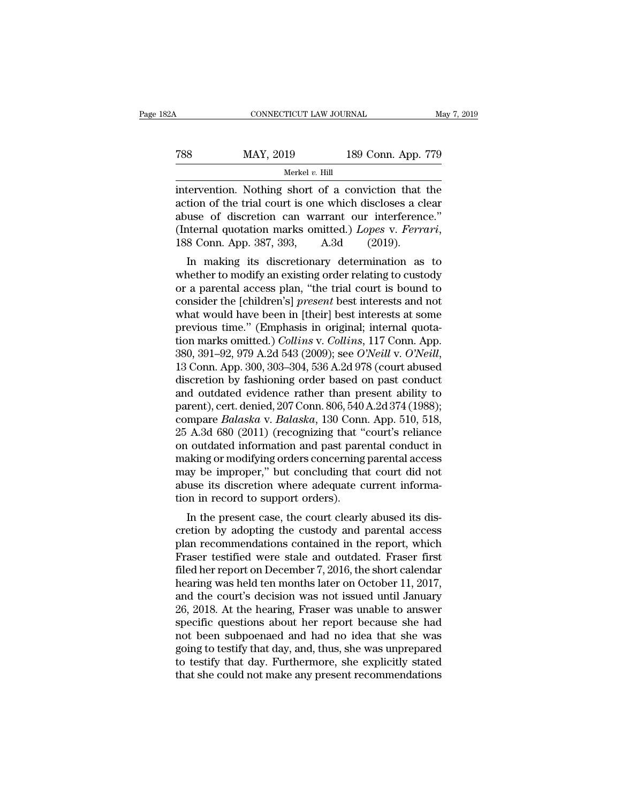| 2Α  | CONNECTICUT LAW JOURNAL |                    | May 7, 2019 |
|-----|-------------------------|--------------------|-------------|
| 788 | MAY, 2019               | 189 Conn. App. 779 |             |
|     | Merkel $v$ . Hill       |                    |             |

FREE CONNECTICUT LAW JOURNAL May 7, 2019<br>
TREE MAY, 2019 189 Conn. App. 779<br>
Merkel v. Hill<br>
intervention. Nothing short of a conviction that the<br>
action of the trial court is one which discloses a clear<br>
abuse of discret Table 189 May, 2019<br>
Table 189 Conn. App. 779<br>
Merkel v. Hill<br>
intervention. Nothing short of a conviction that the<br>
action of the trial court is one which discloses a clear<br>
abuse of discretion can warrant our interferen Table 189 Conn. App. 779<br>
MAY, 2019 189 Conn. App. 779<br>
Merkel v. Hill<br>
intervention. Nothing short of a conviction that the<br>
action of the trial court is one which discloses a clear<br>
abuse of discretion can warrant our i (Intervention. Nothing short of a conviction that the action of the trial court is one which discloses a clear<br>abuse of discretion can warrant our interference."<br>(Internal quotation marks omitted.) *Lopes* v. *Ferrari*, 18 Intervention. Nothing short of a conviction that the<br>tion of the trial court is one which discloses a clear<br>use of discretion can warrant our interference."<br>termal quotation marks omitted.) Lopes v. Ferrari,<br>8 Conn. App. 3 mervention. Nothing short of a conviction that the<br>action of the trial court is one which discloses a clear<br>abuse of discretion can warrant our interference."<br>(Internal quotation marks omitted.) Lopes v. Ferrari,<br>188 Conn.

action of the trial court is one which discloses a clear<br>abuse of discretion can warrant our interference."<br>(Internal quotation marks omitted.) Lopes v. Ferrari,<br>188 Conn. App. 387, 393, A.3d (2019).<br>In making its discreti abuse of discretion can warrant our interference.<br>
(Internal quotation marks omitted.) *Lopes v. Ferrari*,<br>
188 Conn. App. 387, 393, A.3d (2019).<br>
In making its discretionary determination as to<br>
whether to modify an exist (internal quotation marks onlitted.) *Lopes* v. *Ferrart*,<br>188 Conn. App. 387, 393, A.3d (2019).<br>In making its discretionary determination as to<br>whether to modify an existing order relating to custody<br>or a parental access In making its discretionary determination as to<br>whether to modify an existing order relating to custody<br>or a parental access plan, "the trial court is bound to<br>consider the [children's] *present* best interests and not<br>wh In making its discretionary determination as to<br>whether to modify an existing order relating to custody<br>or a parental access plan, "the trial court is bound to<br>consider the [children's] *present* best interests and not<br>wha whether to modify an existing order relating to custody<br>or a parental access plan, "the trial court is bound to<br>consider the [children's] *present* best interests and not<br>what would have been in [their] best interests at s consider the [children's] *present* best interests and not<br>what would have been in [their] best interests at some<br>previous time." (Emphasis in original; internal quota-<br>tion marks omitted.) *Collins* v. *Collins*, 117 Con what would have been in [their] best interests at some<br>previous time." (Emphasis in original; internal quota-<br>tion marks omitted.) *Collins* v. *Collins*, 117 Conn. App.<br>380, 391–92, 979 A.2d 543 (2009); see *O'Neill* v. previous time." (Emphasis in original; internal quotation marks omitted.) *Collins* v. *Collins*, 117 Conn. App. 380, 391–92, 979 A.2d 543 (2009); see *O'Neill* v. *O'Neill*, 13 Conn. App. 300, 303–304, 536 A.2d 978 (court tion marks omitted.) *Collins* v. *Collins*, 117 Conn. App. 380, 391–92, 979 A.2d 543 (2009); see *O'Neill* v. *O'Neill*, 13 Conn. App. 300, 303–304, 536 A.2d 978 (court abused discretion by fashioning order based on past 380, 391–92, 979 A.2d 543 (2009); see O'Neill v. O'Neill,<br>13 Conn. App. 300, 303–304, 536 A.2d 978 (court abused<br>discretion by fashioning order based on past conduct<br>and outdated evidence rather than present ability to<br>pa 13 Conn. App. 300, 303–304, 536 A.2d 978 (court abused<br>discretion by fashioning order based on past conduct<br>and outdated evidence rather than present ability to<br>parent), cert. denied, 207 Conn. 806, 540 A.2d 374 (1988);<br>c discretion by fashioning order based on past conduct<br>and outdated evidence rather than present ability to<br>parent), cert. denied, 207 Conn. 806, 540 A.2d 374 (1988);<br>compare *Balaska* v. *Balaska*, 130 Conn. App. 510, 518,<br> and outdated evidence rather than present ability to<br>parent), cert. denied, 207 Conn. 806, 540 A.2d 374 (1988);<br>compare *Balaska* v. *Balaska*, 130 Conn. App. 510, 518,<br>25 A.3d 680 (2011) (recognizing that "court's relianc parent), cert. denied, 207 Conn. 806, 540 A.2d 374 (1988); compare *Balaska* v. *Balaska*, 130 Conn. App. 510, 518, 25 A.3d 680 (2011) (recognizing that "court's reliance on outdated information and past parental conduct i compare *Balaska* v. *Balaska*, 130 Conr<br>25 A.3d 680 (2011) (recognizing that "<br>on outdated information and past pare<br>making or modifying orders concerning<br>may be improper," but concluding tha<br>abuse its discretion where ad  $\mu$  is different case, the court clearly abused in the presentation and past parental conduct in aking or modifying orders concerning parental access ay be improper," but concluding that court did not use its discretion on outdated mormation and past parental conduct in<br>making or modifying orders concerning parental access<br>may be improper," but concluding that court did not<br>abuse its discretion where adequate current informa-<br>tion in reco

making or modifying orders concerning parental access<br>may be improper," but concluding that court did not<br>abuse its discretion where adequate current informa-<br>tion in record to support orders).<br>In the present case, the cou Fraser is discretion where adequate current informa-<br>tion in record to support orders).<br>In the present case, the court clearly abused its dis-<br>cretion by adopting the custody and parental access<br>plan recommendations contai film in ecord to support orders).<br>
In the present case, the court clearly abused its discretion by adopting the custody and parental access<br>
plan recommendations contained in the report, which<br>
Fraser testified were stale In the present case, the court clearly abused its discretion by adopting the custody and parental access<br>plan recommendations contained in the report, which<br>Fraser testified were stale and outdated. Fraser first<br>filed her In the present case, the court clearly abused its discretion by adopting the custody and parental access<br>plan recommendations contained in the report, which<br>Fraser testified were stale and outdated. Fraser first<br>filed her cretion by adopting the custody and parental access<br>plan recommendations contained in the report, which<br>Fraser testified were stale and outdated. Fraser first<br>filed her report on December 7, 2016, the short calendar<br>hearin plan recommendations contained in the report, which<br>Fraser testified were stale and outdated. Fraser first<br>filed her report on December 7, 2016, the short calendar<br>hearing was held ten months later on October 11, 2017,<br>and Fraser testified were stale and outdated. Fraser first<br>filed her report on December 7, 2016, the short calendar<br>hearing was held ten months later on October 11, 2017,<br>and the court's decision was not issued until January<br>2 filed her report on December 7, 2016, the short calendar<br>hearing was held ten months later on October 11, 2017,<br>and the court's decision was not issued until January<br>26, 2018. At the hearing, Fraser was unable to answer<br>sp hearing was held ten months later on October 11, 2017,<br>and the court's decision was not issued until January<br>26, 2018. At the hearing, Fraser was unable to answer<br>specific questions about her report because she had<br>not bee and the court's decision was not issued until January 26, 2018. At the hearing, Fraser was unable to answer specific questions about her report because she had not been subpoenaed and had no idea that she was going to test